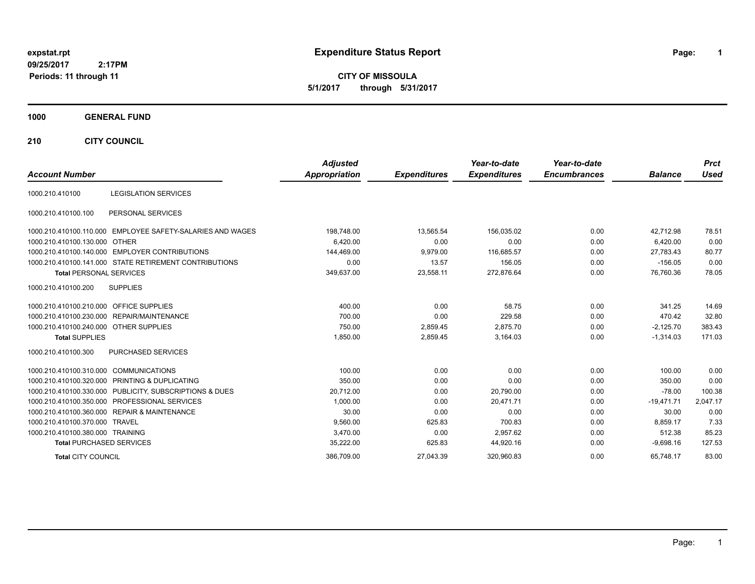# **expstat.rpt Expenditure Status Report Page:**

**1**

**CITY OF MISSOULA 5/1/2017 through 5/31/2017**

### **1000 GENERAL FUND**

**210 CITY COUNCIL**

| <b>Account Number</b>                                      | <b>Adjusted</b><br>Appropriation | <b>Expenditures</b> | Year-to-date<br><b>Expenditures</b> | Year-to-date<br><b>Encumbrances</b> | <b>Balance</b> | <b>Prct</b><br>Used |
|------------------------------------------------------------|----------------------------------|---------------------|-------------------------------------|-------------------------------------|----------------|---------------------|
| <b>LEGISLATION SERVICES</b><br>1000.210.410100             |                                  |                     |                                     |                                     |                |                     |
| PERSONAL SERVICES<br>1000.210.410100.100                   |                                  |                     |                                     |                                     |                |                     |
| 1000.210.410100.110.000 EMPLOYEE SAFETY-SALARIES AND WAGES | 198,748.00                       | 13.565.54           | 156.035.02                          | 0.00                                | 42.712.98      | 78.51               |
| 1000.210.410100.130.000 OTHER                              | 6,420.00                         | 0.00                | 0.00                                | 0.00                                | 6,420.00       | 0.00                |
| 1000.210.410100.140.000 EMPLOYER CONTRIBUTIONS             | 144,469.00                       | 9,979.00            | 116,685.57                          | 0.00                                | 27,783.43      | 80.77               |
| 1000.210.410100.141.000 STATE RETIREMENT CONTRIBUTIONS     | 0.00                             | 13.57               | 156.05                              | 0.00                                | $-156.05$      | 0.00                |
| <b>Total PERSONAL SERVICES</b>                             | 349,637.00                       | 23,558.11           | 272,876.64                          | 0.00                                | 76,760.36      | 78.05               |
| 1000.210.410100.200<br><b>SUPPLIES</b>                     |                                  |                     |                                     |                                     |                |                     |
| 1000.210.410100.210.000 OFFICE SUPPLIES                    | 400.00                           | 0.00                | 58.75                               | 0.00                                | 341.25         | 14.69               |
| 1000.210.410100.230.000 REPAIR/MAINTENANCE                 | 700.00                           | 0.00                | 229.58                              | 0.00                                | 470.42         | 32.80               |
| 1000.210.410100.240.000 OTHER SUPPLIES                     | 750.00                           | 2,859.45            | 2,875.70                            | 0.00                                | $-2,125.70$    | 383.43              |
| <b>Total SUPPLIES</b>                                      | 1,850.00                         | 2,859.45            | 3,164.03                            | 0.00                                | $-1,314.03$    | 171.03              |
| PURCHASED SERVICES<br>1000.210.410100.300                  |                                  |                     |                                     |                                     |                |                     |
| 1000.210.410100.310.000 COMMUNICATIONS                     | 100.00                           | 0.00                | 0.00                                | 0.00                                | 100.00         | 0.00                |
| 1000.210.410100.320.000 PRINTING & DUPLICATING             | 350.00                           | 0.00                | 0.00                                | 0.00                                | 350.00         | 0.00                |
| 1000.210.410100.330.000 PUBLICITY, SUBSCRIPTIONS & DUES    | 20,712.00                        | 0.00                | 20,790.00                           | 0.00                                | $-78.00$       | 100.38              |
| 1000.210.410100.350.000 PROFESSIONAL SERVICES              | 1,000.00                         | 0.00                | 20.471.71                           | 0.00                                | $-19,471.71$   | 2,047.17            |
| 1000.210.410100.360.000 REPAIR & MAINTENANCE               | 30.00                            | 0.00                | 0.00                                | 0.00                                | 30.00          | 0.00                |
| 1000.210.410100.370.000 TRAVEL                             | 9,560.00                         | 625.83              | 700.83                              | 0.00                                | 8.859.17       | 7.33                |
| 1000.210.410100.380.000 TRAINING                           | 3,470.00                         | 0.00                | 2,957.62                            | 0.00                                | 512.38         | 85.23               |
| <b>Total PURCHASED SERVICES</b>                            | 35,222.00                        | 625.83              | 44,920.16                           | 0.00                                | $-9.698.16$    | 127.53              |
| <b>Total CITY COUNCIL</b>                                  | 386.709.00                       | 27.043.39           | 320.960.83                          | 0.00                                | 65.748.17      | 83.00               |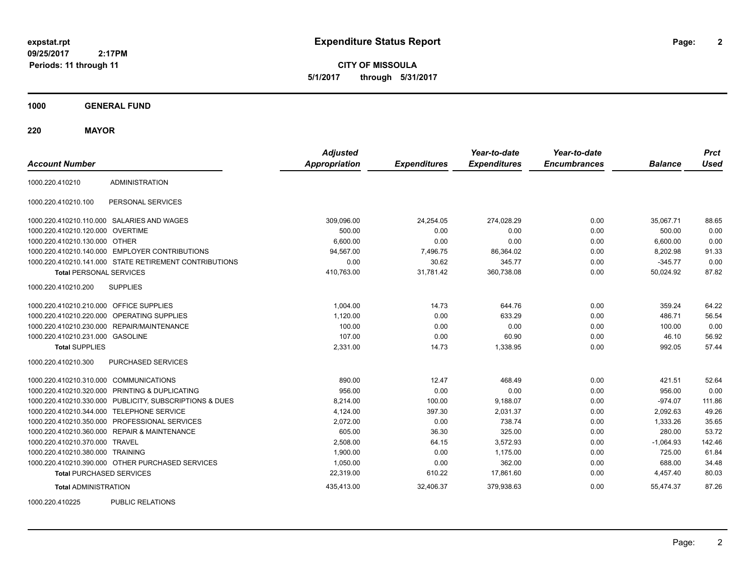**2**

**CITY OF MISSOULA 5/1/2017 through 5/31/2017**

**1000 GENERAL FUND**

**220 MAYOR**

| <b>Account Number</b>                   |                                                         | <b>Adjusted</b><br><b>Appropriation</b> | <b>Expenditures</b> | Year-to-date<br><b>Expenditures</b> | Year-to-date<br><b>Encumbrances</b> | <b>Balance</b> | <b>Prct</b><br><b>Used</b> |
|-----------------------------------------|---------------------------------------------------------|-----------------------------------------|---------------------|-------------------------------------|-------------------------------------|----------------|----------------------------|
| 1000.220.410210                         | <b>ADMINISTRATION</b>                                   |                                         |                     |                                     |                                     |                |                            |
| 1000.220.410210.100                     | PERSONAL SERVICES                                       |                                         |                     |                                     |                                     |                |                            |
|                                         | 1000.220.410210.110.000 SALARIES AND WAGES              | 309,096.00                              | 24,254.05           | 274,028.29                          | 0.00                                | 35,067.71      | 88.65                      |
| 1000.220.410210.120.000 OVERTIME        |                                                         | 500.00                                  | 0.00                | 0.00                                | 0.00                                | 500.00         | 0.00                       |
| 1000.220.410210.130.000 OTHER           |                                                         | 6,600.00                                | 0.00                | 0.00                                | 0.00                                | 6,600.00       | 0.00                       |
|                                         | 1000.220.410210.140.000 EMPLOYER CONTRIBUTIONS          | 94,567.00                               | 7,496.75            | 86,364.02                           | 0.00                                | 8,202.98       | 91.33                      |
|                                         | 1000.220.410210.141.000 STATE RETIREMENT CONTRIBUTIONS  | 0.00                                    | 30.62               | 345.77                              | 0.00                                | $-345.77$      | 0.00                       |
| <b>Total PERSONAL SERVICES</b>          |                                                         | 410,763.00                              | 31,781.42           | 360,738.08                          | 0.00                                | 50,024.92      | 87.82                      |
| 1000.220.410210.200                     | <b>SUPPLIES</b>                                         |                                         |                     |                                     |                                     |                |                            |
| 1000.220.410210.210.000 OFFICE SUPPLIES |                                                         | 1,004.00                                | 14.73               | 644.76                              | 0.00                                | 359.24         | 64.22                      |
|                                         | 1000.220.410210.220.000 OPERATING SUPPLIES              | 1,120.00                                | 0.00                | 633.29                              | 0.00                                | 486.71         | 56.54                      |
|                                         | 1000.220.410210.230.000 REPAIR/MAINTENANCE              | 100.00                                  | 0.00                | 0.00                                | 0.00                                | 100.00         | 0.00                       |
| 1000.220.410210.231.000 GASOLINE        |                                                         | 107.00                                  | 0.00                | 60.90                               | 0.00                                | 46.10          | 56.92                      |
| <b>Total SUPPLIES</b>                   |                                                         | 2,331.00                                | 14.73               | 1,338.95                            | 0.00                                | 992.05         | 57.44                      |
| 1000.220.410210.300                     | PURCHASED SERVICES                                      |                                         |                     |                                     |                                     |                |                            |
| 1000.220.410210.310.000 COMMUNICATIONS  |                                                         | 890.00                                  | 12.47               | 468.49                              | 0.00                                | 421.51         | 52.64                      |
|                                         | 1000.220.410210.320.000 PRINTING & DUPLICATING          | 956.00                                  | 0.00                | 0.00                                | 0.00                                | 956.00         | 0.00                       |
|                                         | 1000.220.410210.330.000 PUBLICITY, SUBSCRIPTIONS & DUES | 8,214.00                                | 100.00              | 9,188.07                            | 0.00                                | $-974.07$      | 111.86                     |
|                                         | 1000.220.410210.344.000 TELEPHONE SERVICE               | 4,124.00                                | 397.30              | 2,031.37                            | 0.00                                | 2,092.63       | 49.26                      |
|                                         | 1000.220.410210.350.000 PROFESSIONAL SERVICES           | 2,072.00                                | 0.00                | 738.74                              | 0.00                                | 1,333.26       | 35.65                      |
|                                         | 1000.220.410210.360.000 REPAIR & MAINTENANCE            | 605.00                                  | 36.30               | 325.00                              | 0.00                                | 280.00         | 53.72                      |
| 1000.220.410210.370.000 TRAVEL          |                                                         | 2,508.00                                | 64.15               | 3,572.93                            | 0.00                                | $-1,064.93$    | 142.46                     |
| 1000.220.410210.380.000 TRAINING        |                                                         | 1,900.00                                | 0.00                | 1,175.00                            | 0.00                                | 725.00         | 61.84                      |
|                                         | 1000.220.410210.390.000 OTHER PURCHASED SERVICES        | 1,050.00                                | 0.00                | 362.00                              | 0.00                                | 688.00         | 34.48                      |
| <b>Total PURCHASED SERVICES</b>         |                                                         | 22,319.00                               | 610.22              | 17,861.60                           | 0.00                                | 4,457.40       | 80.03                      |
| <b>Total ADMINISTRATION</b>             |                                                         | 435,413.00                              | 32,406.37           | 379,938.63                          | 0.00                                | 55,474.37      | 87.26                      |
| 1000000110005                           | <b>DUDLIO DEL ATIONO</b>                                |                                         |                     |                                     |                                     |                |                            |

1000.220.410225 PUBLIC RELATIONS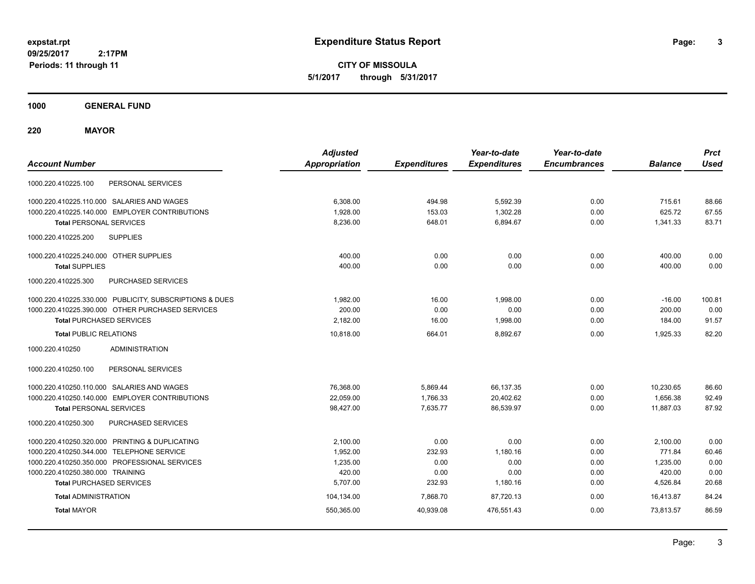**CITY OF MISSOULA 5/1/2017 through 5/31/2017**

**1000 GENERAL FUND**

**220 MAYOR**

| <b>Account Number</b>                                   | <b>Adjusted</b><br><b>Appropriation</b> | <b>Expenditures</b> | Year-to-date<br><b>Expenditures</b> | Year-to-date<br><b>Encumbrances</b> | <b>Balance</b> | <b>Prct</b><br><b>Used</b> |
|---------------------------------------------------------|-----------------------------------------|---------------------|-------------------------------------|-------------------------------------|----------------|----------------------------|
| 1000.220.410225.100<br>PERSONAL SERVICES                |                                         |                     |                                     |                                     |                |                            |
| 1000.220.410225.110.000 SALARIES AND WAGES              | 6,308.00                                | 494.98              | 5,592.39                            | 0.00                                | 715.61         | 88.66                      |
| 1000.220.410225.140.000 EMPLOYER CONTRIBUTIONS          | 1,928.00                                | 153.03              | 1,302.28                            | 0.00                                | 625.72         | 67.55                      |
| <b>Total PERSONAL SERVICES</b>                          | 8,236.00                                | 648.01              | 6,894.67                            | 0.00                                | 1,341.33       | 83.71                      |
| <b>SUPPLIES</b><br>1000.220.410225.200                  |                                         |                     |                                     |                                     |                |                            |
| 1000.220.410225.240.000 OTHER SUPPLIES                  | 400.00                                  | 0.00                | 0.00                                | 0.00                                | 400.00         | 0.00                       |
| <b>Total SUPPLIES</b>                                   | 400.00                                  | 0.00                | 0.00                                | 0.00                                | 400.00         | 0.00                       |
| <b>PURCHASED SERVICES</b><br>1000.220.410225.300        |                                         |                     |                                     |                                     |                |                            |
| 1000.220.410225.330.000 PUBLICITY, SUBSCRIPTIONS & DUES | 1,982.00                                | 16.00               | 1,998.00                            | 0.00                                | $-16.00$       | 100.81                     |
| 1000.220.410225.390.000 OTHER PURCHASED SERVICES        | 200.00                                  | 0.00                | 0.00                                | 0.00                                | 200.00         | 0.00                       |
| <b>Total PURCHASED SERVICES</b>                         | 2,182.00                                | 16.00               | 1,998.00                            | 0.00                                | 184.00         | 91.57                      |
| <b>Total PUBLIC RELATIONS</b>                           | 10,818.00                               | 664.01              | 8.892.67                            | 0.00                                | 1,925.33       | 82.20                      |
| <b>ADMINISTRATION</b><br>1000.220.410250                |                                         |                     |                                     |                                     |                |                            |
| 1000.220.410250.100<br>PERSONAL SERVICES                |                                         |                     |                                     |                                     |                |                            |
| 1000.220.410250.110.000 SALARIES AND WAGES              | 76,368.00                               | 5,869.44            | 66,137.35                           | 0.00                                | 10,230.65      | 86.60                      |
| 1000.220.410250.140.000 EMPLOYER CONTRIBUTIONS          | 22,059.00                               | 1,766.33            | 20,402.62                           | 0.00                                | 1,656.38       | 92.49                      |
| <b>Total PERSONAL SERVICES</b>                          | 98,427.00                               | 7,635.77            | 86,539.97                           | 0.00                                | 11,887.03      | 87.92                      |
| 1000.220.410250.300<br>PURCHASED SERVICES               |                                         |                     |                                     |                                     |                |                            |
| 1000.220.410250.320.000 PRINTING & DUPLICATING          | 2.100.00                                | 0.00                | 0.00                                | 0.00                                | 2,100.00       | 0.00                       |
| 1000.220.410250.344.000 TELEPHONE SERVICE               | 1,952.00                                | 232.93              | 1,180.16                            | 0.00                                | 771.84         | 60.46                      |
| 1000.220.410250.350.000 PROFESSIONAL SERVICES           | 1,235.00                                | 0.00                | 0.00                                | 0.00                                | 1,235.00       | 0.00                       |
| 1000.220.410250.380.000 TRAINING                        | 420.00                                  | 0.00                | 0.00                                | 0.00                                | 420.00         | 0.00                       |
| <b>Total PURCHASED SERVICES</b>                         | 5,707.00                                | 232.93              | 1,180.16                            | 0.00                                | 4,526.84       | 20.68                      |
| <b>Total ADMINISTRATION</b>                             | 104,134.00                              | 7,868.70            | 87,720.13                           | 0.00                                | 16.413.87      | 84.24                      |
| <b>Total MAYOR</b>                                      | 550,365.00                              | 40,939.08           | 476,551.43                          | 0.00                                | 73,813.57      | 86.59                      |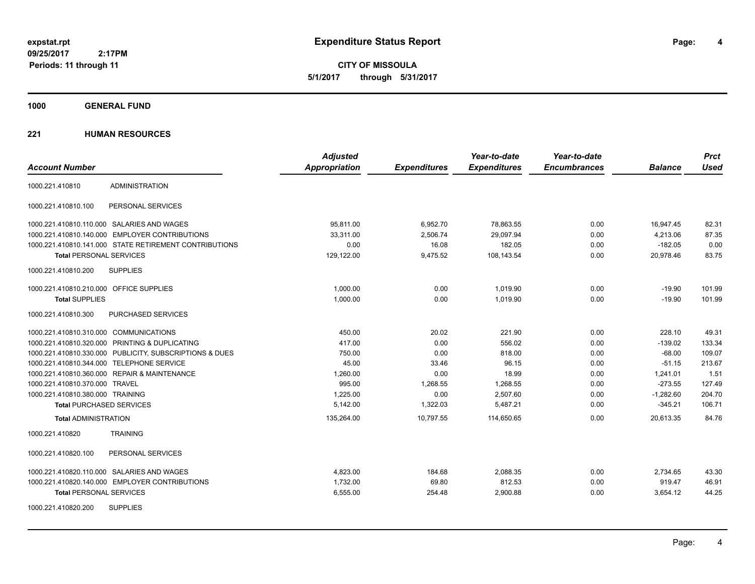**4**

**CITY OF MISSOULA 5/1/2017 through 5/31/2017**

**1000 GENERAL FUND**

| <b>Account Number</b>                   |                                                         | <b>Adjusted</b><br>Appropriation | <b>Expenditures</b> | Year-to-date<br><b>Expenditures</b> | Year-to-date<br><b>Encumbrances</b> | <b>Balance</b> | <b>Prct</b><br><b>Used</b> |
|-----------------------------------------|---------------------------------------------------------|----------------------------------|---------------------|-------------------------------------|-------------------------------------|----------------|----------------------------|
| 1000.221.410810                         | <b>ADMINISTRATION</b>                                   |                                  |                     |                                     |                                     |                |                            |
| 1000.221.410810.100                     | PERSONAL SERVICES                                       |                                  |                     |                                     |                                     |                |                            |
|                                         | 1000.221.410810.110.000 SALARIES AND WAGES              | 95,811.00                        | 6,952.70            | 78,863.55                           | 0.00                                | 16,947.45      | 82.31                      |
|                                         | 1000.221.410810.140.000 EMPLOYER CONTRIBUTIONS          | 33.311.00                        | 2,506.74            | 29,097.94                           | 0.00                                | 4,213.06       | 87.35                      |
|                                         | 1000.221.410810.141.000 STATE RETIREMENT CONTRIBUTIONS  | 0.00                             | 16.08               | 182.05                              | 0.00                                | $-182.05$      | 0.00                       |
| <b>Total PERSONAL SERVICES</b>          |                                                         | 129,122.00                       | 9,475.52            | 108,143.54                          | 0.00                                | 20.978.46      | 83.75                      |
| 1000.221.410810.200                     | <b>SUPPLIES</b>                                         |                                  |                     |                                     |                                     |                |                            |
| 1000.221.410810.210.000 OFFICE SUPPLIES |                                                         | 1.000.00                         | 0.00                | 1.019.90                            | 0.00                                | $-19.90$       | 101.99                     |
| <b>Total SUPPLIES</b>                   |                                                         | 1,000.00                         | 0.00                | 1,019.90                            | 0.00                                | $-19.90$       | 101.99                     |
| 1000.221.410810.300                     | PURCHASED SERVICES                                      |                                  |                     |                                     |                                     |                |                            |
| 1000.221.410810.310.000 COMMUNICATIONS  |                                                         | 450.00                           | 20.02               | 221.90                              | 0.00                                | 228.10         | 49.31                      |
|                                         | 1000.221.410810.320.000 PRINTING & DUPLICATING          | 417.00                           | 0.00                | 556.02                              | 0.00                                | $-139.02$      | 133.34                     |
|                                         | 1000.221.410810.330.000 PUBLICITY, SUBSCRIPTIONS & DUES | 750.00                           | 0.00                | 818.00                              | 0.00                                | $-68.00$       | 109.07                     |
|                                         | 1000.221.410810.344.000 TELEPHONE SERVICE               | 45.00                            | 33.46               | 96.15                               | 0.00                                | $-51.15$       | 213.67                     |
|                                         | 1000.221.410810.360.000 REPAIR & MAINTENANCE            | 1,260.00                         | 0.00                | 18.99                               | 0.00                                | 1.241.01       | 1.51                       |
| 1000.221.410810.370.000 TRAVEL          |                                                         | 995.00                           | 1,268.55            | 1,268.55                            | 0.00                                | $-273.55$      | 127.49                     |
| 1000.221.410810.380.000 TRAINING        |                                                         | 1,225.00                         | 0.00                | 2,507.60                            | 0.00                                | $-1,282.60$    | 204.70                     |
| <b>Total PURCHASED SERVICES</b>         |                                                         | 5,142.00                         | 1,322.03            | 5,487.21                            | 0.00                                | $-345.21$      | 106.71                     |
| <b>Total ADMINISTRATION</b>             |                                                         | 135,264.00                       | 10,797.55           | 114,650.65                          | 0.00                                | 20,613.35      | 84.76                      |
| 1000.221.410820                         | <b>TRAINING</b>                                         |                                  |                     |                                     |                                     |                |                            |
| 1000.221.410820.100                     | PERSONAL SERVICES                                       |                                  |                     |                                     |                                     |                |                            |
|                                         | 1000.221.410820.110.000 SALARIES AND WAGES              | 4,823.00                         | 184.68              | 2,088.35                            | 0.00                                | 2,734.65       | 43.30                      |
|                                         | 1000.221.410820.140.000 EMPLOYER CONTRIBUTIONS          | 1,732.00                         | 69.80               | 812.53                              | 0.00                                | 919.47         | 46.91                      |
| <b>Total PERSONAL SERVICES</b>          |                                                         | 6,555.00                         | 254.48              | 2,900.88                            | 0.00                                | 3,654.12       | 44.25                      |
| 1000.221.410820.200                     | <b>SUPPLIES</b>                                         |                                  |                     |                                     |                                     |                |                            |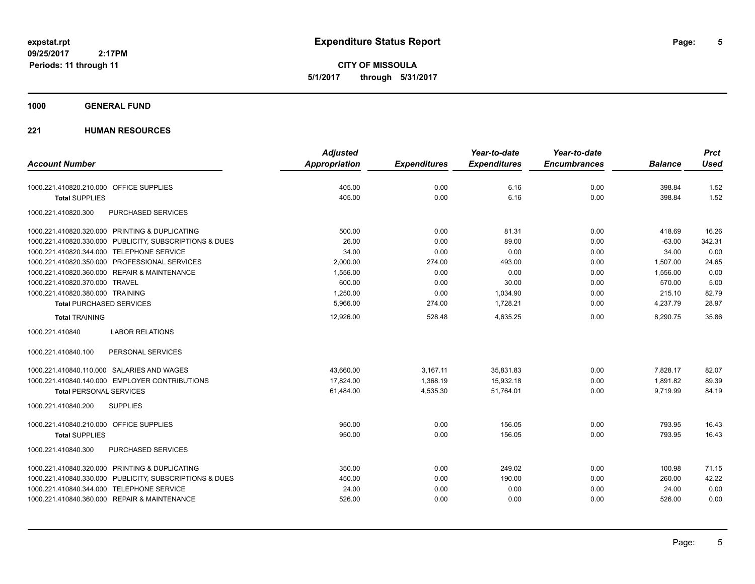**CITY OF MISSOULA 5/1/2017 through 5/31/2017**

### **1000 GENERAL FUND**

|                                                         |                        | <b>Adjusted</b>      |                     | Year-to-date        | Year-to-date        |                | <b>Prct</b> |
|---------------------------------------------------------|------------------------|----------------------|---------------------|---------------------|---------------------|----------------|-------------|
| <b>Account Number</b>                                   |                        | <b>Appropriation</b> | <b>Expenditures</b> | <b>Expenditures</b> | <b>Encumbrances</b> | <b>Balance</b> | <b>Used</b> |
| 1000.221.410820.210.000 OFFICE SUPPLIES                 |                        | 405.00               | 0.00                | 6.16                | 0.00                | 398.84         | 1.52        |
| <b>Total SUPPLIES</b>                                   |                        | 405.00               | 0.00                | 6.16                | 0.00                | 398.84         | 1.52        |
| 1000.221.410820.300                                     | PURCHASED SERVICES     |                      |                     |                     |                     |                |             |
| 1000.221.410820.320.000 PRINTING & DUPLICATING          |                        | 500.00               | 0.00                | 81.31               | 0.00                | 418.69         | 16.26       |
| 1000.221.410820.330.000 PUBLICITY, SUBSCRIPTIONS & DUES |                        | 26.00                | 0.00                | 89.00               | 0.00                | $-63.00$       | 342.31      |
| 1000.221.410820.344.000 TELEPHONE SERVICE               |                        | 34.00                | 0.00                | 0.00                | 0.00                | 34.00          | 0.00        |
| 1000.221.410820.350.000 PROFESSIONAL SERVICES           |                        | 2.000.00             | 274.00              | 493.00              | 0.00                | 1.507.00       | 24.65       |
| 1000.221.410820.360.000 REPAIR & MAINTENANCE            |                        | 1,556.00             | 0.00                | 0.00                | 0.00                | 1,556.00       | 0.00        |
| 1000.221.410820.370.000 TRAVEL                          |                        | 600.00               | 0.00                | 30.00               | 0.00                | 570.00         | 5.00        |
| 1000.221.410820.380.000 TRAINING                        |                        | 1,250.00             | 0.00                | 1,034.90            | 0.00                | 215.10         | 82.79       |
| <b>Total PURCHASED SERVICES</b>                         |                        | 5,966.00             | 274.00              | 1,728.21            | 0.00                | 4,237.79       | 28.97       |
| <b>Total TRAINING</b>                                   |                        | 12,926.00            | 528.48              | 4,635.25            | 0.00                | 8,290.75       | 35.86       |
| 1000.221.410840                                         | <b>LABOR RELATIONS</b> |                      |                     |                     |                     |                |             |
| 1000.221.410840.100                                     | PERSONAL SERVICES      |                      |                     |                     |                     |                |             |
| 1000.221.410840.110.000 SALARIES AND WAGES              |                        | 43,660.00            | 3,167.11            | 35,831.83           | 0.00                | 7,828.17       | 82.07       |
| 1000.221.410840.140.000 EMPLOYER CONTRIBUTIONS          |                        | 17,824.00            | 1,368.19            | 15,932.18           | 0.00                | 1,891.82       | 89.39       |
| <b>Total PERSONAL SERVICES</b>                          |                        | 61,484.00            | 4,535.30            | 51,764.01           | 0.00                | 9,719.99       | 84.19       |
| 1000.221.410840.200<br><b>SUPPLIES</b>                  |                        |                      |                     |                     |                     |                |             |
| 1000.221.410840.210.000 OFFICE SUPPLIES                 |                        | 950.00               | 0.00                | 156.05              | 0.00                | 793.95         | 16.43       |
| <b>Total SUPPLIES</b>                                   |                        | 950.00               | 0.00                | 156.05              | 0.00                | 793.95         | 16.43       |
| 1000.221.410840.300                                     | PURCHASED SERVICES     |                      |                     |                     |                     |                |             |
| 1000.221.410840.320.000 PRINTING & DUPLICATING          |                        | 350.00               | 0.00                | 249.02              | 0.00                | 100.98         | 71.15       |
| 1000.221.410840.330.000 PUBLICITY, SUBSCRIPTIONS & DUES |                        | 450.00               | 0.00                | 190.00              | 0.00                | 260.00         | 42.22       |
| 1000.221.410840.344.000 TELEPHONE SERVICE               |                        | 24.00                | 0.00                | 0.00                | 0.00                | 24.00          | 0.00        |
| 1000.221.410840.360.000 REPAIR & MAINTENANCE            |                        | 526.00               | 0.00                | 0.00                | 0.00                | 526.00         | 0.00        |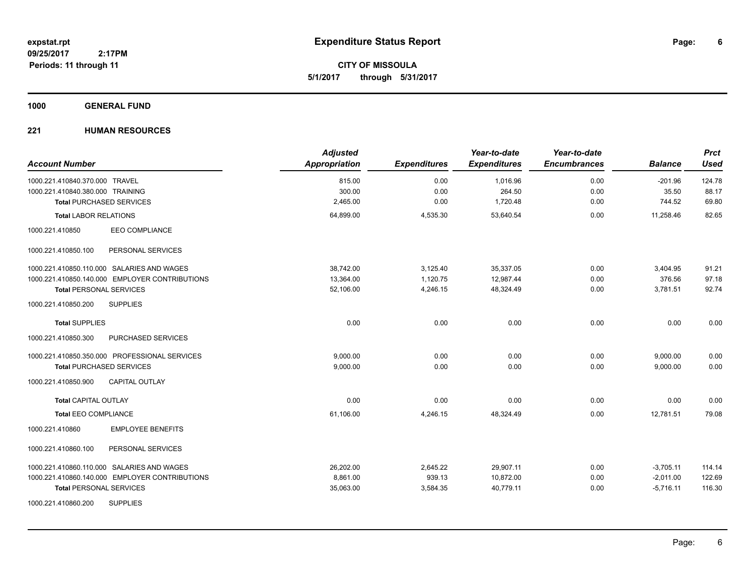**CITY OF MISSOULA 5/1/2017 through 5/31/2017**

### **1000 GENERAL FUND**

| <b>Account Number</b>                          | <b>Adjusted</b><br>Appropriation | <b>Expenditures</b> | Year-to-date<br><b>Expenditures</b> | Year-to-date<br><b>Encumbrances</b> | <b>Balance</b> | <b>Prct</b><br><b>Used</b> |
|------------------------------------------------|----------------------------------|---------------------|-------------------------------------|-------------------------------------|----------------|----------------------------|
| 1000.221.410840.370.000 TRAVEL                 | 815.00                           | 0.00                | 1,016.96                            | 0.00                                | $-201.96$      | 124.78                     |
| 1000.221.410840.380.000 TRAINING               | 300.00                           | 0.00                | 264.50                              | 0.00                                | 35.50          | 88.17                      |
| <b>Total PURCHASED SERVICES</b>                | 2,465.00                         | 0.00                | 1,720.48                            | 0.00                                | 744.52         | 69.80                      |
| <b>Total LABOR RELATIONS</b>                   | 64,899.00                        | 4,535.30            | 53,640.54                           | 0.00                                | 11,258.46      | 82.65                      |
| 1000.221.410850<br>EEO COMPLIANCE              |                                  |                     |                                     |                                     |                |                            |
| 1000.221.410850.100<br>PERSONAL SERVICES       |                                  |                     |                                     |                                     |                |                            |
| 1000.221.410850.110.000 SALARIES AND WAGES     | 38,742.00                        | 3,125.40            | 35,337.05                           | 0.00                                | 3,404.95       | 91.21                      |
| 1000.221.410850.140.000 EMPLOYER CONTRIBUTIONS | 13,364.00                        | 1,120.75            | 12,987.44                           | 0.00                                | 376.56         | 97.18                      |
| <b>Total PERSONAL SERVICES</b>                 | 52.106.00                        | 4.246.15            | 48.324.49                           | 0.00                                | 3,781.51       | 92.74                      |
| <b>SUPPLIES</b><br>1000.221.410850.200         |                                  |                     |                                     |                                     |                |                            |
| <b>Total SUPPLIES</b>                          | 0.00                             | 0.00                | 0.00                                | 0.00                                | 0.00           | 0.00                       |
| PURCHASED SERVICES<br>1000.221.410850.300      |                                  |                     |                                     |                                     |                |                            |
| 1000.221.410850.350.000 PROFESSIONAL SERVICES  | 9.000.00                         | 0.00                | 0.00                                | 0.00                                | 9,000.00       | 0.00                       |
| <b>Total PURCHASED SERVICES</b>                | 9,000.00                         | 0.00                | 0.00                                | 0.00                                | 9,000.00       | 0.00                       |
| <b>CAPITAL OUTLAY</b><br>1000.221.410850.900   |                                  |                     |                                     |                                     |                |                            |
| <b>Total CAPITAL OUTLAY</b>                    | 0.00                             | 0.00                | 0.00                                | 0.00                                | 0.00           | 0.00                       |
| <b>Total EEO COMPLIANCE</b>                    | 61,106.00                        | 4,246.15            | 48,324.49                           | 0.00                                | 12,781.51      | 79.08                      |
| <b>EMPLOYEE BENEFITS</b><br>1000.221.410860    |                                  |                     |                                     |                                     |                |                            |
| 1000.221.410860.100<br>PERSONAL SERVICES       |                                  |                     |                                     |                                     |                |                            |
| 1000.221.410860.110.000 SALARIES AND WAGES     | 26,202.00                        | 2,645.22            | 29,907.11                           | 0.00                                | $-3,705.11$    | 114.14                     |
| 1000.221.410860.140.000 EMPLOYER CONTRIBUTIONS | 8,861.00                         | 939.13              | 10,872.00                           | 0.00                                | $-2,011.00$    | 122.69                     |
| <b>Total PERSONAL SERVICES</b>                 | 35,063.00                        | 3,584.35            | 40,779.11                           | 0.00                                | $-5,716.11$    | 116.30                     |
| <b>SUPPLIES</b><br>1000.221.410860.200         |                                  |                     |                                     |                                     |                |                            |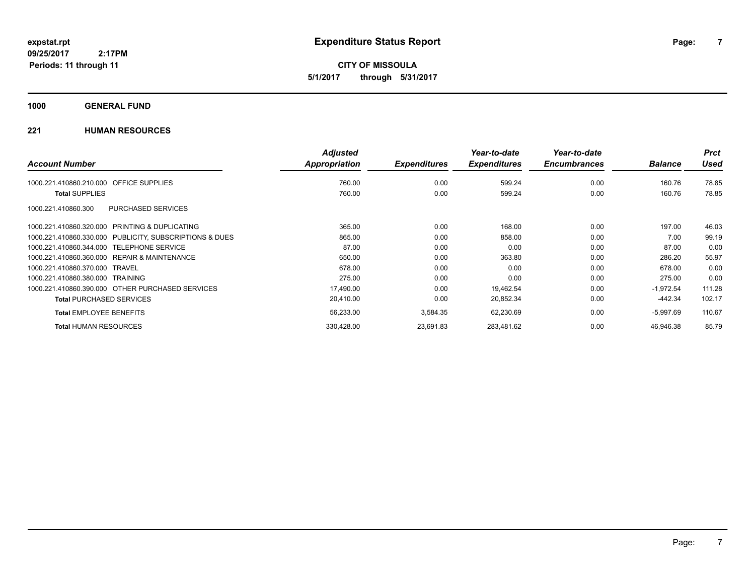**CITY OF MISSOULA 5/1/2017 through 5/31/2017**

### **1000 GENERAL FUND**

|                                                         | <b>Adjusted</b>      |                     | Year-to-date        | Year-to-date        |                | <b>Prct</b> |
|---------------------------------------------------------|----------------------|---------------------|---------------------|---------------------|----------------|-------------|
| <b>Account Number</b>                                   | <b>Appropriation</b> | <b>Expenditures</b> | <b>Expenditures</b> | <b>Encumbrances</b> | <b>Balance</b> | <b>Used</b> |
| OFFICE SUPPLIES<br>1000.221.410860.210.000              | 760.00               | 0.00                | 599.24              | 0.00                | 160.76         | 78.85       |
| <b>Total SUPPLIES</b>                                   | 760.00               | 0.00                | 599.24              | 0.00                | 160.76         | 78.85       |
| PURCHASED SERVICES<br>1000.221.410860.300               |                      |                     |                     |                     |                |             |
| 1000.221.410860.320.000 PRINTING & DUPLICATING          | 365.00               | 0.00                | 168.00              | 0.00                | 197.00         | 46.03       |
| 1000.221.410860.330.000 PUBLICITY, SUBSCRIPTIONS & DUES | 865.00               | 0.00                | 858.00              | 0.00                | 7.00           | 99.19       |
| 1000.221.410860.344.000 TELEPHONE SERVICE               | 87.00                | 0.00                | 0.00                | 0.00                | 87.00          | 0.00        |
| 1000.221.410860.360.000 REPAIR & MAINTENANCE            | 650.00               | 0.00                | 363.80              | 0.00                | 286.20         | 55.97       |
| 1000.221.410860.370.000 TRAVEL                          | 678.00               | 0.00                | 0.00                | 0.00                | 678.00         | 0.00        |
| 1000.221.410860.380.000 TRAINING                        | 275.00               | 0.00                | 0.00                | 0.00                | 275.00         | 0.00        |
| 1000.221.410860.390.000 OTHER PURCHASED SERVICES        | 17,490.00            | 0.00                | 19,462.54           | 0.00                | $-1,972.54$    | 111.28      |
| <b>Total PURCHASED SERVICES</b>                         | 20,410.00            | 0.00                | 20,852.34           | 0.00                | $-442.34$      | 102.17      |
| <b>Total EMPLOYEE BENEFITS</b>                          | 56,233.00            | 3,584.35            | 62,230.69           | 0.00                | $-5,997.69$    | 110.67      |
| <b>Total HUMAN RESOURCES</b>                            | 330,428.00           | 23,691.83           | 283,481.62          | 0.00                | 46.946.38      | 85.79       |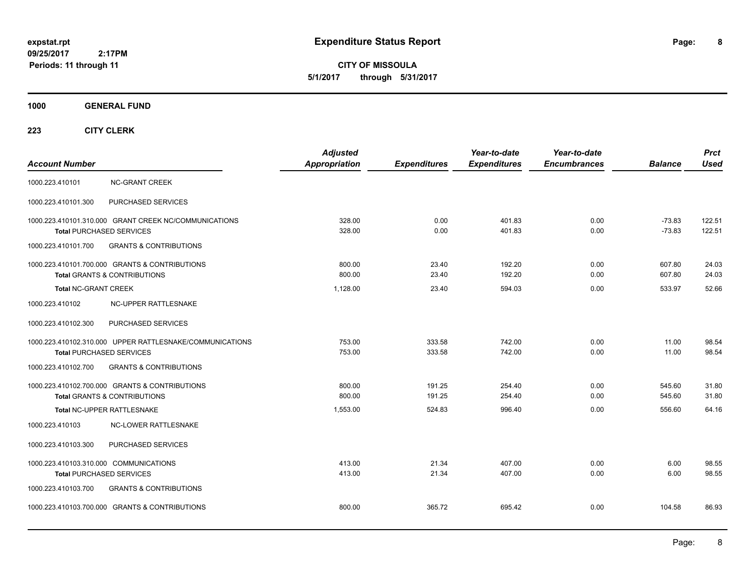**CITY OF MISSOULA 5/1/2017 through 5/31/2017**

### **1000 GENERAL FUND**

|                                                          | <b>Adjusted</b>      |                     | Year-to-date        | Year-to-date        |                | <b>Prct</b> |
|----------------------------------------------------------|----------------------|---------------------|---------------------|---------------------|----------------|-------------|
| <b>Account Number</b>                                    | <b>Appropriation</b> | <b>Expenditures</b> | <b>Expenditures</b> | <b>Encumbrances</b> | <b>Balance</b> | <b>Used</b> |
| <b>NC-GRANT CREEK</b><br>1000.223.410101                 |                      |                     |                     |                     |                |             |
| PURCHASED SERVICES<br>1000.223.410101.300                |                      |                     |                     |                     |                |             |
| 1000.223.410101.310.000 GRANT CREEK NC/COMMUNICATIONS    | 328.00               | 0.00                | 401.83              | 0.00                | $-73.83$       | 122.51      |
| <b>Total PURCHASED SERVICES</b>                          | 328.00               | 0.00                | 401.83              | 0.00                | $-73.83$       | 122.51      |
| <b>GRANTS &amp; CONTRIBUTIONS</b><br>1000.223.410101.700 |                      |                     |                     |                     |                |             |
| 1000.223.410101.700.000 GRANTS & CONTRIBUTIONS           | 800.00               | 23.40               | 192.20              | 0.00                | 607.80         | 24.03       |
| <b>Total GRANTS &amp; CONTRIBUTIONS</b>                  | 800.00               | 23.40               | 192.20              | 0.00                | 607.80         | 24.03       |
| <b>Total NC-GRANT CREEK</b>                              | 1,128.00             | 23.40               | 594.03              | 0.00                | 533.97         | 52.66       |
| 1000.223.410102<br>NC-UPPER RATTLESNAKE                  |                      |                     |                     |                     |                |             |
| PURCHASED SERVICES<br>1000.223.410102.300                |                      |                     |                     |                     |                |             |
| 1000.223.410102.310.000 UPPER RATTLESNAKE/COMMUNICATIONS | 753.00               | 333.58              | 742.00              | 0.00                | 11.00          | 98.54       |
| <b>Total PURCHASED SERVICES</b>                          | 753.00               | 333.58              | 742.00              | 0.00                | 11.00          | 98.54       |
| <b>GRANTS &amp; CONTRIBUTIONS</b><br>1000.223.410102.700 |                      |                     |                     |                     |                |             |
| 1000.223.410102.700.000 GRANTS & CONTRIBUTIONS           | 800.00               | 191.25              | 254.40              | 0.00                | 545.60         | 31.80       |
| <b>Total GRANTS &amp; CONTRIBUTIONS</b>                  | 800.00               | 191.25              | 254.40              | 0.00                | 545.60         | 31.80       |
| Total NC-UPPER RATTLESNAKE                               | 1,553.00             | 524.83              | 996.40              | 0.00                | 556.60         | 64.16       |
| 1000.223.410103<br><b>NC-LOWER RATTLESNAKE</b>           |                      |                     |                     |                     |                |             |
| 1000.223.410103.300<br>PURCHASED SERVICES                |                      |                     |                     |                     |                |             |
| 1000.223.410103.310.000 COMMUNICATIONS                   | 413.00               | 21.34               | 407.00              | 0.00                | 6.00           | 98.55       |
| <b>Total PURCHASED SERVICES</b>                          | 413.00               | 21.34               | 407.00              | 0.00                | 6.00           | 98.55       |
| 1000.223.410103.700<br><b>GRANTS &amp; CONTRIBUTIONS</b> |                      |                     |                     |                     |                |             |
| 1000.223.410103.700.000 GRANTS & CONTRIBUTIONS           | 800.00               | 365.72              | 695.42              | 0.00                | 104.58         | 86.93       |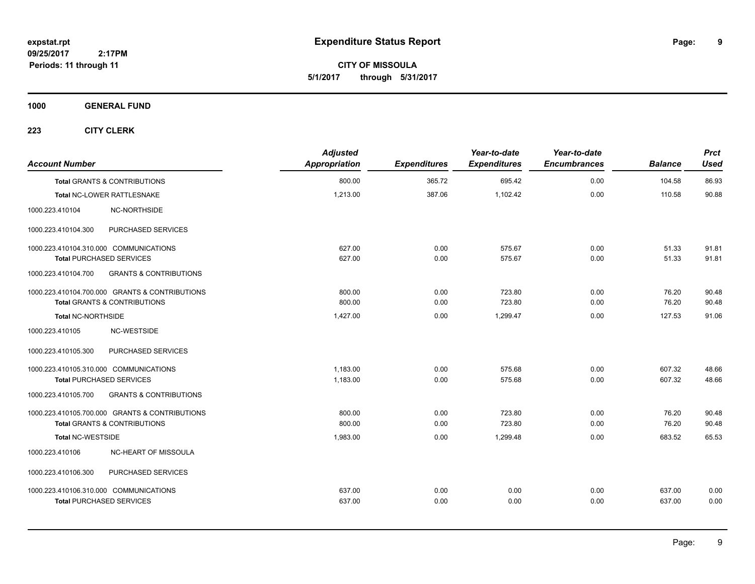**9**

**CITY OF MISSOULA 5/1/2017 through 5/31/2017**

**1000 GENERAL FUND**

| <b>Account Number</b>                  |                                                | <b>Adjusted</b><br><b>Appropriation</b> | <b>Expenditures</b> | Year-to-date<br><b>Expenditures</b> | Year-to-date<br><b>Encumbrances</b> | <b>Balance</b> | <b>Prct</b><br><b>Used</b> |
|----------------------------------------|------------------------------------------------|-----------------------------------------|---------------------|-------------------------------------|-------------------------------------|----------------|----------------------------|
|                                        | <b>Total GRANTS &amp; CONTRIBUTIONS</b>        | 800.00                                  | 365.72              | 695.42                              | 0.00                                | 104.58         | 86.93                      |
|                                        | Total NC-LOWER RATTLESNAKE                     | 1,213.00                                | 387.06              | 1,102.42                            | 0.00                                | 110.58         | 90.88                      |
| 1000.223.410104                        | NC-NORTHSIDE                                   |                                         |                     |                                     |                                     |                |                            |
| 1000.223.410104.300                    | PURCHASED SERVICES                             |                                         |                     |                                     |                                     |                |                            |
| 1000.223.410104.310.000 COMMUNICATIONS |                                                | 627.00                                  | 0.00                | 575.67                              | 0.00                                | 51.33          | 91.81                      |
| <b>Total PURCHASED SERVICES</b>        |                                                | 627.00                                  | 0.00                | 575.67                              | 0.00                                | 51.33          | 91.81                      |
| 1000.223.410104.700                    | <b>GRANTS &amp; CONTRIBUTIONS</b>              |                                         |                     |                                     |                                     |                |                            |
|                                        | 1000.223.410104.700.000 GRANTS & CONTRIBUTIONS | 800.00                                  | 0.00                | 723.80                              | 0.00                                | 76.20          | 90.48                      |
|                                        | <b>Total GRANTS &amp; CONTRIBUTIONS</b>        | 800.00                                  | 0.00                | 723.80                              | 0.00                                | 76.20          | 90.48                      |
| Total NC-NORTHSIDE                     |                                                | 1,427.00                                | 0.00                | 1,299.47                            | 0.00                                | 127.53         | 91.06                      |
| 1000.223.410105                        | NC-WESTSIDE                                    |                                         |                     |                                     |                                     |                |                            |
| 1000.223.410105.300                    | PURCHASED SERVICES                             |                                         |                     |                                     |                                     |                |                            |
| 1000.223.410105.310.000 COMMUNICATIONS |                                                | 1,183.00                                | 0.00                | 575.68                              | 0.00                                | 607.32         | 48.66                      |
| <b>Total PURCHASED SERVICES</b>        |                                                | 1,183.00                                | 0.00                | 575.68                              | 0.00                                | 607.32         | 48.66                      |
| 1000.223.410105.700                    | <b>GRANTS &amp; CONTRIBUTIONS</b>              |                                         |                     |                                     |                                     |                |                            |
|                                        | 1000.223.410105.700.000 GRANTS & CONTRIBUTIONS | 800.00                                  | 0.00                | 723.80                              | 0.00                                | 76.20          | 90.48                      |
|                                        | <b>Total GRANTS &amp; CONTRIBUTIONS</b>        | 800.00                                  | 0.00                | 723.80                              | 0.00                                | 76.20          | 90.48                      |
| <b>Total NC-WESTSIDE</b>               |                                                | 1,983.00                                | 0.00                | 1,299.48                            | 0.00                                | 683.52         | 65.53                      |
| 1000.223.410106                        | NC-HEART OF MISSOULA                           |                                         |                     |                                     |                                     |                |                            |
| 1000.223.410106.300                    | PURCHASED SERVICES                             |                                         |                     |                                     |                                     |                |                            |
| 1000.223.410106.310.000 COMMUNICATIONS |                                                | 637.00                                  | 0.00                | 0.00                                | 0.00                                | 637.00         | 0.00                       |
| <b>Total PURCHASED SERVICES</b>        |                                                | 637.00                                  | 0.00                | 0.00                                | 0.00                                | 637.00         | 0.00                       |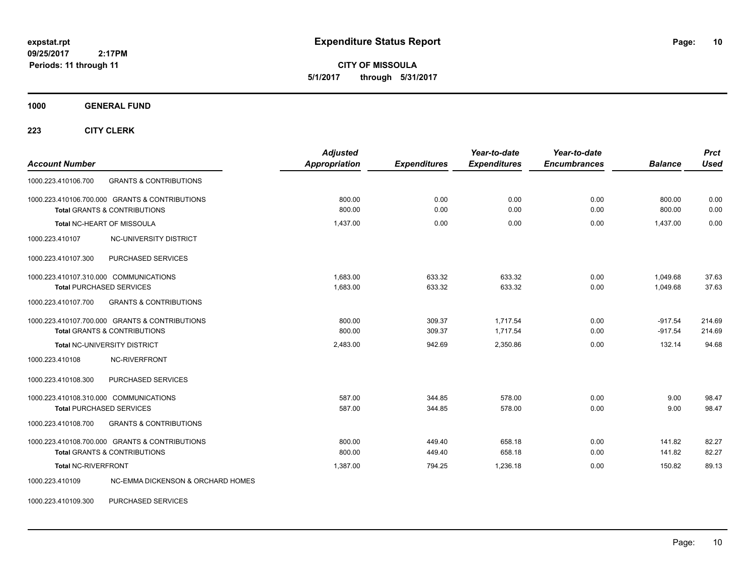**CITY OF MISSOULA 5/1/2017 through 5/31/2017**

**1000 GENERAL FUND**

**223 CITY CLERK**

| <b>Account Number</b>                                                                     |                                              | <b>Adjusted</b><br><b>Appropriation</b> | <b>Expenditures</b> | Year-to-date<br><b>Expenditures</b> | Year-to-date<br><b>Encumbrances</b> | <b>Balance</b>   | <b>Prct</b><br><b>Used</b> |
|-------------------------------------------------------------------------------------------|----------------------------------------------|-----------------------------------------|---------------------|-------------------------------------|-------------------------------------|------------------|----------------------------|
| 1000.223.410106.700                                                                       | <b>GRANTS &amp; CONTRIBUTIONS</b>            |                                         |                     |                                     |                                     |                  |                            |
| 1000.223.410106.700.000 GRANTS & CONTRIBUTIONS<br><b>Total GRANTS &amp; CONTRIBUTIONS</b> |                                              | 800.00<br>800.00                        | 0.00<br>0.00        | 0.00<br>0.00                        | 0.00<br>0.00                        | 800.00<br>800.00 | 0.00<br>0.00               |
|                                                                                           |                                              |                                         |                     |                                     |                                     |                  |                            |
| <b>Total NC-HEART OF MISSOULA</b>                                                         |                                              | 1,437.00                                | 0.00                | 0.00                                | 0.00                                | 1,437.00         | 0.00                       |
| 1000.223.410107                                                                           | NC-UNIVERSITY DISTRICT                       |                                         |                     |                                     |                                     |                  |                            |
| 1000.223.410107.300                                                                       | PURCHASED SERVICES                           |                                         |                     |                                     |                                     |                  |                            |
| 1000.223.410107.310.000 COMMUNICATIONS                                                    |                                              | 1.683.00                                | 633.32              | 633.32                              | 0.00                                | 1,049.68         | 37.63                      |
| <b>Total PURCHASED SERVICES</b>                                                           |                                              | 1,683.00                                | 633.32              | 633.32                              | 0.00                                | 1,049.68         | 37.63                      |
| 1000.223.410107.700                                                                       | <b>GRANTS &amp; CONTRIBUTIONS</b>            |                                         |                     |                                     |                                     |                  |                            |
| 1000.223.410107.700.000 GRANTS & CONTRIBUTIONS                                            |                                              | 800.00                                  | 309.37              | 1.717.54                            | 0.00                                | $-917.54$        | 214.69                     |
| <b>Total GRANTS &amp; CONTRIBUTIONS</b>                                                   |                                              | 800.00                                  | 309.37              | 1,717.54                            | 0.00                                | $-917.54$        | 214.69                     |
| Total NC-UNIVERSITY DISTRICT                                                              |                                              | 2,483.00                                | 942.69              | 2,350.86                            | 0.00                                | 132.14           | 94.68                      |
| 1000.223.410108                                                                           | NC-RIVERFRONT                                |                                         |                     |                                     |                                     |                  |                            |
| 1000.223.410108.300                                                                       | PURCHASED SERVICES                           |                                         |                     |                                     |                                     |                  |                            |
| 1000.223.410108.310.000 COMMUNICATIONS                                                    |                                              | 587.00                                  | 344.85              | 578.00                              | 0.00                                | 9.00             | 98.47                      |
| <b>Total PURCHASED SERVICES</b>                                                           |                                              | 587.00                                  | 344.85              | 578.00                              | 0.00                                | 9.00             | 98.47                      |
| 1000.223.410108.700                                                                       | <b>GRANTS &amp; CONTRIBUTIONS</b>            |                                         |                     |                                     |                                     |                  |                            |
| 1000.223.410108.700.000 GRANTS & CONTRIBUTIONS                                            |                                              | 800.00                                  | 449.40              | 658.18                              | 0.00                                | 141.82           | 82.27                      |
| <b>Total GRANTS &amp; CONTRIBUTIONS</b>                                                   |                                              | 800.00                                  | 449.40              | 658.18                              | 0.00                                | 141.82           | 82.27                      |
| <b>Total NC-RIVERFRONT</b>                                                                |                                              | 1,387.00                                | 794.25              | 1,236.18                            | 0.00                                | 150.82           | 89.13                      |
| 1000.223.410109                                                                           | <b>NC-EMMA DICKENSON &amp; ORCHARD HOMES</b> |                                         |                     |                                     |                                     |                  |                            |

1000.223.410109.300 PURCHASED SERVICES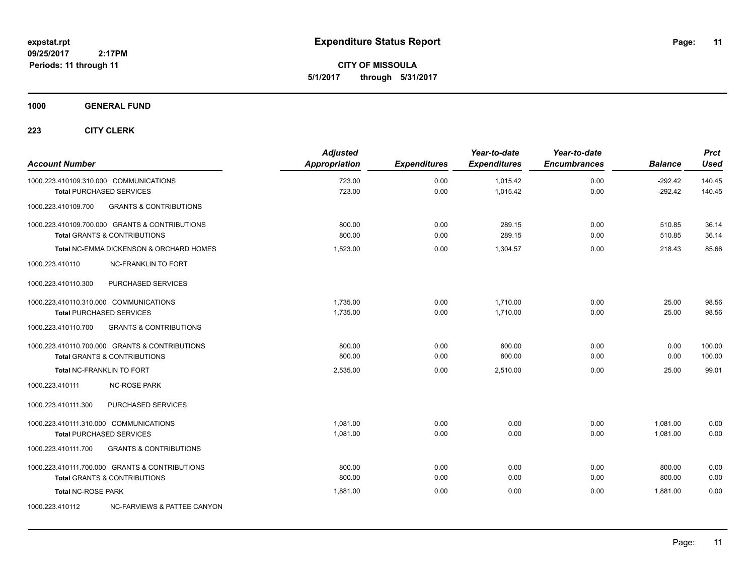**CITY OF MISSOULA 5/1/2017 through 5/31/2017**

### **1000 GENERAL FUND**

| <b>Account Number</b>                  |                                                                                           | <b>Adjusted</b><br>Appropriation | <b>Expenditures</b> | Year-to-date<br><b>Expenditures</b> | Year-to-date<br><b>Encumbrances</b> | <b>Balance</b>         | <b>Prct</b><br><b>Used</b> |
|----------------------------------------|-------------------------------------------------------------------------------------------|----------------------------------|---------------------|-------------------------------------|-------------------------------------|------------------------|----------------------------|
| 1000.223.410109.310.000 COMMUNICATIONS | <b>Total PURCHASED SERVICES</b>                                                           | 723.00<br>723.00                 | 0.00<br>0.00        | 1,015.42<br>1,015.42                | 0.00<br>0.00                        | $-292.42$<br>$-292.42$ | 140.45<br>140.45           |
| 1000.223.410109.700                    | <b>GRANTS &amp; CONTRIBUTIONS</b>                                                         |                                  |                     |                                     |                                     |                        |                            |
|                                        | 1000.223.410109.700.000 GRANTS & CONTRIBUTIONS<br><b>Total GRANTS &amp; CONTRIBUTIONS</b> | 800.00<br>800.00                 | 0.00<br>0.00        | 289.15<br>289.15                    | 0.00<br>0.00                        | 510.85<br>510.85       | 36.14<br>36.14             |
|                                        | Total NC-EMMA DICKENSON & ORCHARD HOMES                                                   | 1,523.00                         | 0.00                | 1,304.57                            | 0.00                                | 218.43                 | 85.66                      |
| 1000.223.410110                        | <b>NC-FRANKLIN TO FORT</b>                                                                |                                  |                     |                                     |                                     |                        |                            |
| 1000.223.410110.300                    | PURCHASED SERVICES                                                                        |                                  |                     |                                     |                                     |                        |                            |
| 1000.223.410110.310.000 COMMUNICATIONS | <b>Total PURCHASED SERVICES</b>                                                           | 1,735.00<br>1,735.00             | 0.00<br>0.00        | 1,710.00<br>1.710.00                | 0.00<br>0.00                        | 25.00<br>25.00         | 98.56<br>98.56             |
| 1000.223.410110.700                    | <b>GRANTS &amp; CONTRIBUTIONS</b>                                                         |                                  |                     |                                     |                                     |                        |                            |
|                                        | 1000.223.410110.700.000 GRANTS & CONTRIBUTIONS<br><b>Total GRANTS &amp; CONTRIBUTIONS</b> | 800.00<br>800.00                 | 0.00<br>0.00        | 800.00<br>800.00                    | 0.00<br>0.00                        | 0.00<br>0.00           | 100.00<br>100.00           |
| Total NC-FRANKLIN TO FORT              |                                                                                           | 2,535.00                         | 0.00                | 2,510.00                            | 0.00                                | 25.00                  | 99.01                      |
| 1000.223.410111                        | <b>NC-ROSE PARK</b>                                                                       |                                  |                     |                                     |                                     |                        |                            |
| 1000.223.410111.300                    | PURCHASED SERVICES                                                                        |                                  |                     |                                     |                                     |                        |                            |
| 1000.223.410111.310.000 COMMUNICATIONS | <b>Total PURCHASED SERVICES</b>                                                           | 1,081.00<br>1,081.00             | 0.00<br>0.00        | 0.00<br>0.00                        | 0.00<br>0.00                        | 1,081.00<br>1.081.00   | 0.00<br>0.00               |
| 1000.223.410111.700                    | <b>GRANTS &amp; CONTRIBUTIONS</b>                                                         |                                  |                     |                                     |                                     |                        |                            |
|                                        | 1000.223.410111.700.000 GRANTS & CONTRIBUTIONS<br><b>Total GRANTS &amp; CONTRIBUTIONS</b> | 800.00<br>800.00                 | 0.00<br>0.00        | 0.00<br>0.00                        | 0.00<br>0.00                        | 800.00<br>800.00       | 0.00<br>0.00               |
| <b>Total NC-ROSE PARK</b>              |                                                                                           | 1,881.00                         | 0.00                | 0.00                                | 0.00                                | 1,881.00               | 0.00                       |
| 1000.223.410112                        | NC-FARVIEWS & PATTEE CANYON                                                               |                                  |                     |                                     |                                     |                        |                            |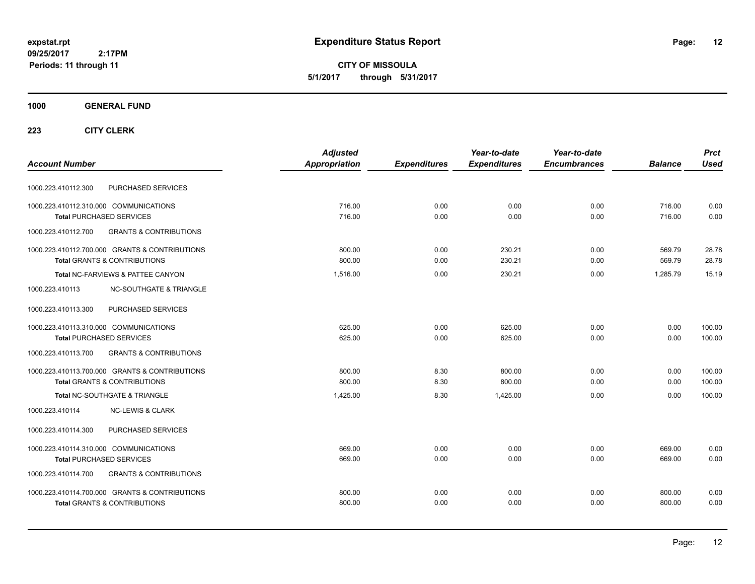**CITY OF MISSOULA 5/1/2017 through 5/31/2017**

### **1000 GENERAL FUND**

|                                                          | <b>Adjusted</b>      |                     | Year-to-date        | Year-to-date        |                | <b>Prct</b> |
|----------------------------------------------------------|----------------------|---------------------|---------------------|---------------------|----------------|-------------|
| <b>Account Number</b>                                    | <b>Appropriation</b> | <b>Expenditures</b> | <b>Expenditures</b> | <b>Encumbrances</b> | <b>Balance</b> | <b>Used</b> |
| PURCHASED SERVICES<br>1000.223.410112.300                |                      |                     |                     |                     |                |             |
| 1000.223.410112.310.000 COMMUNICATIONS                   | 716.00               | 0.00                | 0.00                | 0.00                | 716.00         | 0.00        |
| <b>Total PURCHASED SERVICES</b>                          | 716.00               | 0.00                | 0.00                | 0.00                | 716.00         | 0.00        |
| 1000.223.410112.700<br><b>GRANTS &amp; CONTRIBUTIONS</b> |                      |                     |                     |                     |                |             |
| 1000.223.410112.700.000 GRANTS & CONTRIBUTIONS           | 800.00               | 0.00                | 230.21              | 0.00                | 569.79         | 28.78       |
| <b>Total GRANTS &amp; CONTRIBUTIONS</b>                  | 800.00               | 0.00                | 230.21              | 0.00                | 569.79         | 28.78       |
| Total NC-FARVIEWS & PATTEE CANYON                        | 1,516.00             | 0.00                | 230.21              | 0.00                | 1.285.79       | 15.19       |
| 1000.223.410113<br><b>NC-SOUTHGATE &amp; TRIANGLE</b>    |                      |                     |                     |                     |                |             |
| 1000.223.410113.300<br>PURCHASED SERVICES                |                      |                     |                     |                     |                |             |
| 1000.223.410113.310.000 COMMUNICATIONS                   | 625.00               | 0.00                | 625.00              | 0.00                | 0.00           | 100.00      |
| <b>Total PURCHASED SERVICES</b>                          | 625.00               | 0.00                | 625.00              | 0.00                | 0.00           | 100.00      |
| 1000.223.410113.700<br><b>GRANTS &amp; CONTRIBUTIONS</b> |                      |                     |                     |                     |                |             |
| 1000.223.410113.700.000 GRANTS & CONTRIBUTIONS           | 800.00               | 8.30                | 800.00              | 0.00                | 0.00           | 100.00      |
| Total GRANTS & CONTRIBUTIONS                             | 800.00               | 8.30                | 800.00              | 0.00                | 0.00           | 100.00      |
| Total NC-SOUTHGATE & TRIANGLE                            | 1,425.00             | 8.30                | 1.425.00            | 0.00                | 0.00           | 100.00      |
| 1000.223.410114<br><b>NC-LEWIS &amp; CLARK</b>           |                      |                     |                     |                     |                |             |
| PURCHASED SERVICES<br>1000.223.410114.300                |                      |                     |                     |                     |                |             |
| 1000.223.410114.310.000 COMMUNICATIONS                   | 669.00               | 0.00                | 0.00                | 0.00                | 669.00         | 0.00        |
| <b>Total PURCHASED SERVICES</b>                          | 669.00               | 0.00                | 0.00                | 0.00                | 669.00         | 0.00        |
| <b>GRANTS &amp; CONTRIBUTIONS</b><br>1000.223.410114.700 |                      |                     |                     |                     |                |             |
| 1000.223.410114.700.000 GRANTS & CONTRIBUTIONS           | 800.00               | 0.00                | 0.00                | 0.00                | 800.00         | 0.00        |
| <b>Total GRANTS &amp; CONTRIBUTIONS</b>                  | 800.00               | 0.00                | 0.00                | 0.00                | 800.00         | 0.00        |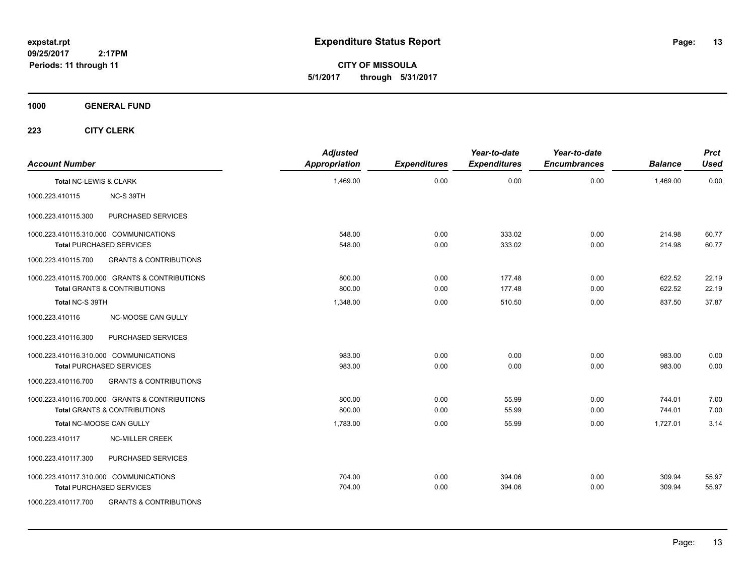**CITY OF MISSOULA 5/1/2017 through 5/31/2017**

### **1000 GENERAL FUND**

| <b>Account Number</b>  |                                                | <b>Adjusted</b><br><b>Appropriation</b> | <b>Expenditures</b> | Year-to-date<br><b>Expenditures</b> | Year-to-date<br><b>Encumbrances</b> | <b>Balance</b> | <b>Prct</b><br><b>Used</b> |
|------------------------|------------------------------------------------|-----------------------------------------|---------------------|-------------------------------------|-------------------------------------|----------------|----------------------------|
| Total NC-LEWIS & CLARK |                                                | 1,469.00                                | 0.00                | 0.00                                | 0.00                                | 1.469.00       | 0.00                       |
| 1000.223.410115        | NC-S 39TH                                      |                                         |                     |                                     |                                     |                |                            |
| 1000.223.410115.300    | PURCHASED SERVICES                             |                                         |                     |                                     |                                     |                |                            |
|                        | 1000.223.410115.310.000 COMMUNICATIONS         | 548.00                                  | 0.00                | 333.02                              | 0.00                                | 214.98         | 60.77                      |
|                        | <b>Total PURCHASED SERVICES</b>                | 548.00                                  | 0.00                | 333.02                              | 0.00                                | 214.98         | 60.77                      |
| 1000.223.410115.700    | <b>GRANTS &amp; CONTRIBUTIONS</b>              |                                         |                     |                                     |                                     |                |                            |
|                        | 1000.223.410115.700.000 GRANTS & CONTRIBUTIONS | 800.00                                  | 0.00                | 177.48                              | 0.00                                | 622.52         | 22.19                      |
|                        | <b>Total GRANTS &amp; CONTRIBUTIONS</b>        | 800.00                                  | 0.00                | 177.48                              | 0.00                                | 622.52         | 22.19                      |
| Total NC-S 39TH        |                                                | 1,348.00                                | 0.00                | 510.50                              | 0.00                                | 837.50         | 37.87                      |
| 1000.223.410116        | <b>NC-MOOSE CAN GULLY</b>                      |                                         |                     |                                     |                                     |                |                            |
| 1000.223.410116.300    | PURCHASED SERVICES                             |                                         |                     |                                     |                                     |                |                            |
|                        | 1000.223.410116.310.000 COMMUNICATIONS         | 983.00                                  | 0.00                | 0.00                                | 0.00                                | 983.00         | 0.00                       |
|                        | <b>Total PURCHASED SERVICES</b>                | 983.00                                  | 0.00                | 0.00                                | 0.00                                | 983.00         | 0.00                       |
| 1000.223.410116.700    | <b>GRANTS &amp; CONTRIBUTIONS</b>              |                                         |                     |                                     |                                     |                |                            |
|                        | 1000.223.410116.700.000 GRANTS & CONTRIBUTIONS | 800.00                                  | 0.00                | 55.99                               | 0.00                                | 744.01         | 7.00                       |
|                        | <b>Total GRANTS &amp; CONTRIBUTIONS</b>        | 800.00                                  | 0.00                | 55.99                               | 0.00                                | 744.01         | 7.00                       |
|                        | Total NC-MOOSE CAN GULLY                       | 1,783.00                                | 0.00                | 55.99                               | 0.00                                | 1,727.01       | 3.14                       |
| 1000.223.410117        | <b>NC-MILLER CREEK</b>                         |                                         |                     |                                     |                                     |                |                            |
| 1000.223.410117.300    | PURCHASED SERVICES                             |                                         |                     |                                     |                                     |                |                            |
|                        | 1000.223.410117.310.000 COMMUNICATIONS         | 704.00                                  | 0.00                | 394.06                              | 0.00                                | 309.94         | 55.97                      |
|                        | <b>Total PURCHASED SERVICES</b>                | 704.00                                  | 0.00                | 394.06                              | 0.00                                | 309.94         | 55.97                      |
| 1000.223.410117.700    | <b>GRANTS &amp; CONTRIBUTIONS</b>              |                                         |                     |                                     |                                     |                |                            |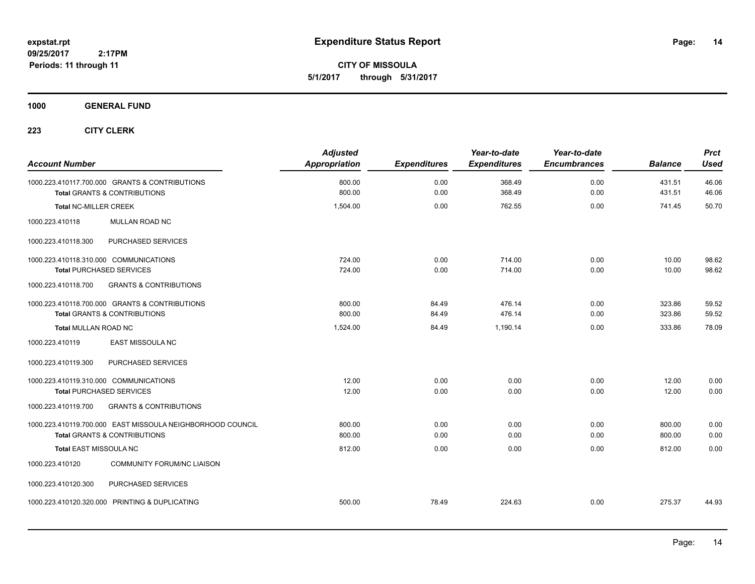**CITY OF MISSOULA 5/1/2017 through 5/31/2017**

### **1000 GENERAL FUND**

| <b>Account Number</b>                                                     |                                                                                                       | <b>Adjusted</b><br><b>Appropriation</b> | <b>Expenditures</b> | Year-to-date<br><b>Expenditures</b> | Year-to-date<br><b>Encumbrances</b> | <b>Balance</b>   | <b>Prct</b><br><b>Used</b> |
|---------------------------------------------------------------------------|-------------------------------------------------------------------------------------------------------|-----------------------------------------|---------------------|-------------------------------------|-------------------------------------|------------------|----------------------------|
|                                                                           | 1000.223.410117.700.000 GRANTS & CONTRIBUTIONS<br><b>Total GRANTS &amp; CONTRIBUTIONS</b>             | 800.00<br>800.00                        | 0.00<br>0.00        | 368.49<br>368.49                    | 0.00<br>0.00                        | 431.51<br>431.51 | 46.06<br>46.06             |
| <b>Total NC-MILLER CREEK</b>                                              |                                                                                                       | 1,504.00                                | 0.00                | 762.55                              | 0.00                                | 741.45           | 50.70                      |
| 1000.223.410118                                                           | MULLAN ROAD NC                                                                                        |                                         |                     |                                     |                                     |                  |                            |
| 1000.223.410118.300                                                       | PURCHASED SERVICES                                                                                    |                                         |                     |                                     |                                     |                  |                            |
| 1000.223.410118.310.000 COMMUNICATIONS<br><b>Total PURCHASED SERVICES</b> |                                                                                                       | 724.00<br>724.00                        | 0.00<br>0.00        | 714.00<br>714.00                    | 0.00<br>0.00                        | 10.00<br>10.00   | 98.62<br>98.62             |
| 1000.223.410118.700                                                       | <b>GRANTS &amp; CONTRIBUTIONS</b>                                                                     |                                         |                     |                                     |                                     |                  |                            |
|                                                                           | 1000.223.410118.700.000 GRANTS & CONTRIBUTIONS<br><b>Total GRANTS &amp; CONTRIBUTIONS</b>             | 800.00<br>800.00                        | 84.49<br>84.49      | 476.14<br>476.14                    | 0.00<br>0.00                        | 323.86<br>323.86 | 59.52<br>59.52             |
| <b>Total MULLAN ROAD NC</b>                                               |                                                                                                       | 1,524.00                                | 84.49               | 1,190.14                            | 0.00                                | 333.86           | 78.09                      |
| 1000.223.410119                                                           | <b>EAST MISSOULA NC</b>                                                                               |                                         |                     |                                     |                                     |                  |                            |
| 1000.223.410119.300                                                       | PURCHASED SERVICES                                                                                    |                                         |                     |                                     |                                     |                  |                            |
| 1000.223.410119.310.000 COMMUNICATIONS<br><b>Total PURCHASED SERVICES</b> |                                                                                                       | 12.00<br>12.00                          | 0.00<br>0.00        | 0.00<br>0.00                        | 0.00<br>0.00                        | 12.00<br>12.00   | 0.00<br>0.00               |
| 1000.223.410119.700                                                       | <b>GRANTS &amp; CONTRIBUTIONS</b>                                                                     |                                         |                     |                                     |                                     |                  |                            |
|                                                                           | 1000.223.410119.700.000 EAST MISSOULA NEIGHBORHOOD COUNCIL<br><b>Total GRANTS &amp; CONTRIBUTIONS</b> | 800.00<br>800.00                        | 0.00<br>0.00        | 0.00<br>0.00                        | 0.00<br>0.00                        | 800.00<br>800.00 | 0.00<br>0.00               |
| Total EAST MISSOULA NC                                                    |                                                                                                       | 812.00                                  | 0.00                | 0.00                                | 0.00                                | 812.00           | 0.00                       |
| 1000.223.410120                                                           | <b>COMMUNITY FORUM/NC LIAISON</b>                                                                     |                                         |                     |                                     |                                     |                  |                            |
| 1000.223.410120.300                                                       | PURCHASED SERVICES                                                                                    |                                         |                     |                                     |                                     |                  |                            |
|                                                                           | 1000.223.410120.320.000 PRINTING & DUPLICATING                                                        | 500.00                                  | 78.49               | 224.63                              | 0.00                                | 275.37           | 44.93                      |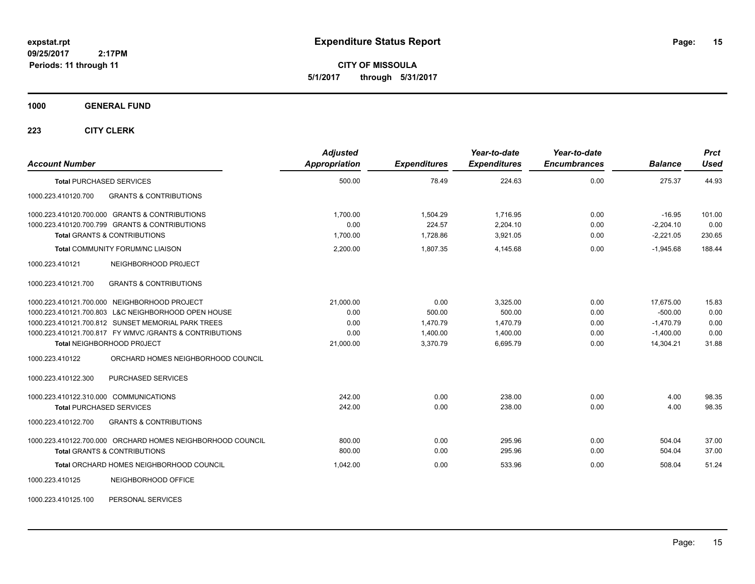**CITY OF MISSOULA 5/1/2017 through 5/31/2017**

### **1000 GENERAL FUND**

| <b>Account Number</b>                                      | <b>Adjusted</b><br>Appropriation | <b>Expenditures</b> | Year-to-date<br><b>Expenditures</b> | Year-to-date<br><b>Encumbrances</b> | <b>Balance</b> | <b>Prct</b><br><b>Used</b> |
|------------------------------------------------------------|----------------------------------|---------------------|-------------------------------------|-------------------------------------|----------------|----------------------------|
| <b>Total PURCHASED SERVICES</b>                            | 500.00                           | 78.49               | 224.63                              | 0.00                                | 275.37         | 44.93                      |
| <b>GRANTS &amp; CONTRIBUTIONS</b><br>1000.223.410120.700   |                                  |                     |                                     |                                     |                |                            |
| 1000.223.410120.700.000 GRANTS & CONTRIBUTIONS             | 1,700.00                         | 1,504.29            | 1,716.95                            | 0.00                                | $-16.95$       | 101.00                     |
| 1000.223.410120.700.799 GRANTS & CONTRIBUTIONS             | 0.00                             | 224.57              | 2,204.10                            | 0.00                                | $-2,204.10$    | 0.00                       |
| <b>Total GRANTS &amp; CONTRIBUTIONS</b>                    | 1,700.00                         | 1,728.86            | 3,921.05                            | 0.00                                | $-2,221.05$    | 230.65                     |
| <b>Total COMMUNITY FORUM/NC LIAISON</b>                    | 2,200.00                         | 1,807.35            | 4,145.68                            | 0.00                                | $-1,945.68$    | 188.44                     |
| NEIGHBORHOOD PROJECT<br>1000.223.410121                    |                                  |                     |                                     |                                     |                |                            |
| <b>GRANTS &amp; CONTRIBUTIONS</b><br>1000.223.410121.700   |                                  |                     |                                     |                                     |                |                            |
| 1000.223.410121.700.000 NEIGHBORHOOD PROJECT               | 21,000.00                        | 0.00                | 3.325.00                            | 0.00                                | 17,675.00      | 15.83                      |
| 1000.223.410121.700.803 L&C NEIGHBORHOOD OPEN HOUSE        | 0.00                             | 500.00              | 500.00                              | 0.00                                | $-500.00$      | 0.00                       |
| 1000.223.410121.700.812 SUNSET MEMORIAL PARK TREES         | 0.00                             | 1,470.79            | 1,470.79                            | 0.00                                | $-1.470.79$    | 0.00                       |
| 1000.223.410121.700.817 FY WMVC / GRANTS & CONTRIBUTIONS   | 0.00                             | 1,400.00            | 1,400.00                            | 0.00                                | $-1,400.00$    | 0.00                       |
| Total NEIGHBORHOOD PROJECT                                 | 21,000.00                        | 3,370.79            | 6,695.79                            | 0.00                                | 14,304.21      | 31.88                      |
| 1000.223.410122<br>ORCHARD HOMES NEIGHBORHOOD COUNCIL      |                                  |                     |                                     |                                     |                |                            |
| <b>PURCHASED SERVICES</b><br>1000.223.410122.300           |                                  |                     |                                     |                                     |                |                            |
| 1000.223.410122.310.000 COMMUNICATIONS                     | 242.00                           | 0.00                | 238.00                              | 0.00                                | 4.00           | 98.35                      |
| <b>Total PURCHASED SERVICES</b>                            | 242.00                           | 0.00                | 238.00                              | 0.00                                | 4.00           | 98.35                      |
| <b>GRANTS &amp; CONTRIBUTIONS</b><br>1000.223.410122.700   |                                  |                     |                                     |                                     |                |                            |
| 1000.223.410122.700.000 ORCHARD HOMES NEIGHBORHOOD COUNCIL | 800.00                           | 0.00                | 295.96                              | 0.00                                | 504.04         | 37.00                      |
| Total GRANTS & CONTRIBUTIONS                               | 800.00                           | 0.00                | 295.96                              | 0.00                                | 504.04         | 37.00                      |
| Total ORCHARD HOMES NEIGHBORHOOD COUNCIL                   | 1,042.00                         | 0.00                | 533.96                              | 0.00                                | 508.04         | 51.24                      |
| NEIGHBORHOOD OFFICE<br>1000.223.410125                     |                                  |                     |                                     |                                     |                |                            |
| PERSONAL SERVICES<br>1000.223.410125.100                   |                                  |                     |                                     |                                     |                |                            |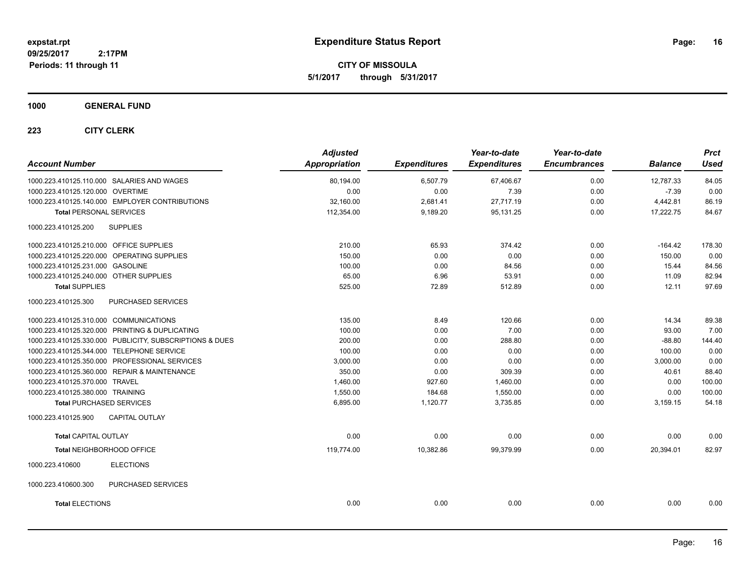**CITY OF MISSOULA 5/1/2017 through 5/31/2017**

### **1000 GENERAL FUND**

| <b>Account Number</b>                                   | <b>Adjusted</b><br>Appropriation | <b>Expenditures</b> | Year-to-date<br><b>Expenditures</b> | Year-to-date<br><b>Encumbrances</b> | <b>Balance</b> | <b>Prct</b><br>Used |
|---------------------------------------------------------|----------------------------------|---------------------|-------------------------------------|-------------------------------------|----------------|---------------------|
| 1000.223.410125.110.000 SALARIES AND WAGES              | 80,194.00                        | 6,507.79            | 67,406.67                           | 0.00                                | 12,787.33      | 84.05               |
| 1000.223.410125.120.000 OVERTIME                        | 0.00                             | 0.00                | 7.39                                | 0.00                                | $-7.39$        | 0.00                |
| 1000.223.410125.140.000 EMPLOYER CONTRIBUTIONS          | 32,160.00                        | 2,681.41            | 27,717.19                           | 0.00                                | 4,442.81       | 86.19               |
| <b>Total PERSONAL SERVICES</b>                          | 112,354.00                       | 9,189.20            | 95,131.25                           | 0.00                                | 17,222.75      | 84.67               |
|                                                         |                                  |                     |                                     |                                     |                |                     |
| <b>SUPPLIES</b><br>1000.223.410125.200                  |                                  |                     |                                     |                                     |                |                     |
| 1000.223.410125.210.000 OFFICE SUPPLIES                 | 210.00                           | 65.93               | 374.42                              | 0.00                                | $-164.42$      | 178.30              |
| 1000.223.410125.220.000 OPERATING SUPPLIES              | 150.00                           | 0.00                | 0.00                                | 0.00                                | 150.00         | 0.00                |
| 1000.223.410125.231.000 GASOLINE                        | 100.00                           | 0.00                | 84.56                               | 0.00                                | 15.44          | 84.56               |
| 1000.223.410125.240.000 OTHER SUPPLIES                  | 65.00                            | 6.96                | 53.91                               | 0.00                                | 11.09          | 82.94               |
| <b>Total SUPPLIES</b>                                   | 525.00                           | 72.89               | 512.89                              | 0.00                                | 12.11          | 97.69               |
| 1000.223.410125.300<br>PURCHASED SERVICES               |                                  |                     |                                     |                                     |                |                     |
| 1000.223.410125.310.000 COMMUNICATIONS                  | 135.00                           | 8.49                | 120.66                              | 0.00                                | 14.34          | 89.38               |
| 1000.223.410125.320.000 PRINTING & DUPLICATING          | 100.00                           | 0.00                | 7.00                                | 0.00                                | 93.00          | 7.00                |
| 1000.223.410125.330.000 PUBLICITY, SUBSCRIPTIONS & DUES | 200.00                           | 0.00                | 288.80                              | 0.00                                | $-88.80$       | 144.40              |
| 1000.223.410125.344.000 TELEPHONE SERVICE               | 100.00                           | 0.00                | 0.00                                | 0.00                                | 100.00         | 0.00                |
| 1000.223.410125.350.000 PROFESSIONAL SERVICES           | 3,000.00                         | 0.00                | 0.00                                | 0.00                                | 3,000.00       | 0.00                |
| 1000.223.410125.360.000 REPAIR & MAINTENANCE            | 350.00                           | 0.00                | 309.39                              | 0.00                                | 40.61          | 88.40               |
| 1000.223.410125.370.000 TRAVEL                          | 1,460.00                         | 927.60              | 1,460.00                            | 0.00                                | 0.00           | 100.00              |
| 1000.223.410125.380.000 TRAINING                        | 1,550.00                         | 184.68              | 1,550.00                            | 0.00                                | 0.00           | 100.00              |
| <b>Total PURCHASED SERVICES</b>                         | 6,895.00                         | 1,120.77            | 3,735.85                            | 0.00                                | 3,159.15       | 54.18               |
| <b>CAPITAL OUTLAY</b><br>1000.223.410125.900            |                                  |                     |                                     |                                     |                |                     |
| <b>Total CAPITAL OUTLAY</b>                             | 0.00                             | 0.00                | 0.00                                | 0.00                                | 0.00           | 0.00                |
| Total NEIGHBORHOOD OFFICE                               | 119.774.00                       | 10,382.86           | 99,379.99                           | 0.00                                | 20,394.01      | 82.97               |
| <b>ELECTIONS</b><br>1000.223.410600                     |                                  |                     |                                     |                                     |                |                     |
| 1000.223.410600.300<br>PURCHASED SERVICES               |                                  |                     |                                     |                                     |                |                     |
| <b>Total ELECTIONS</b>                                  | 0.00                             | 0.00                | 0.00                                | 0.00                                | 0.00           | 0.00                |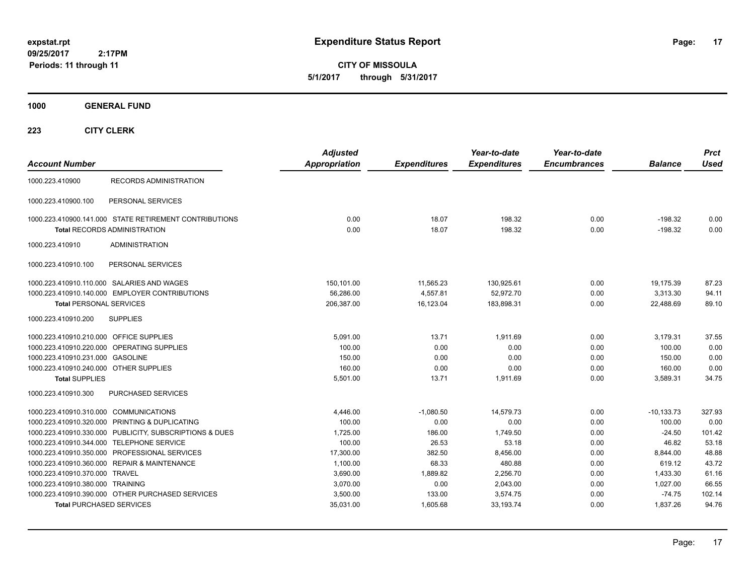**CITY OF MISSOULA 5/1/2017 through 5/31/2017**

**1000 GENERAL FUND**

| <b>Account Number</b>                                   | <b>Adjusted</b><br><b>Appropriation</b> | <b>Expenditures</b> | Year-to-date<br><b>Expenditures</b> | Year-to-date<br><b>Encumbrances</b> | <b>Balance</b> | <b>Prct</b><br><b>Used</b> |
|---------------------------------------------------------|-----------------------------------------|---------------------|-------------------------------------|-------------------------------------|----------------|----------------------------|
| <b>RECORDS ADMINISTRATION</b><br>1000.223.410900        |                                         |                     |                                     |                                     |                |                            |
| 1000.223.410900.100<br>PERSONAL SERVICES                |                                         |                     |                                     |                                     |                |                            |
| 1000.223.410900.141.000 STATE RETIREMENT CONTRIBUTIONS  | 0.00                                    | 18.07               | 198.32                              | 0.00                                | -198.32        | 0.00                       |
| <b>Total RECORDS ADMINISTRATION</b>                     | 0.00                                    | 18.07               | 198.32                              | 0.00                                | $-198.32$      | 0.00                       |
| <b>ADMINISTRATION</b><br>1000.223.410910                |                                         |                     |                                     |                                     |                |                            |
| 1000.223.410910.100<br>PERSONAL SERVICES                |                                         |                     |                                     |                                     |                |                            |
| 1000.223.410910.110.000 SALARIES AND WAGES              | 150,101.00                              | 11,565.23           | 130,925.61                          | 0.00                                | 19.175.39      | 87.23                      |
| 1000.223.410910.140.000 EMPLOYER CONTRIBUTIONS          | 56,286.00                               | 4,557.81            | 52,972.70                           | 0.00                                | 3,313.30       | 94.11                      |
| <b>Total PERSONAL SERVICES</b>                          | 206,387.00                              | 16,123.04           | 183,898.31                          | 0.00                                | 22,488.69      | 89.10                      |
| 1000.223.410910.200<br><b>SUPPLIES</b>                  |                                         |                     |                                     |                                     |                |                            |
| 1000.223.410910.210.000 OFFICE SUPPLIES                 | 5,091.00                                | 13.71               | 1,911.69                            | 0.00                                | 3,179.31       | 37.55                      |
| 1000.223.410910.220.000 OPERATING SUPPLIES              | 100.00                                  | 0.00                | 0.00                                | 0.00                                | 100.00         | 0.00                       |
| 1000.223.410910.231.000 GASOLINE                        | 150.00                                  | 0.00                | 0.00                                | 0.00                                | 150.00         | 0.00                       |
| 1000.223.410910.240.000 OTHER SUPPLIES                  | 160.00                                  | 0.00                | 0.00                                | 0.00                                | 160.00         | 0.00                       |
| <b>Total SUPPLIES</b>                                   | 5,501.00                                | 13.71               | 1,911.69                            | 0.00                                | 3,589.31       | 34.75                      |
| PURCHASED SERVICES<br>1000.223.410910.300               |                                         |                     |                                     |                                     |                |                            |
| 1000.223.410910.310.000 COMMUNICATIONS                  | 4,446.00                                | $-1,080.50$         | 14,579.73                           | 0.00                                | $-10, 133.73$  | 327.93                     |
| 1000.223.410910.320.000 PRINTING & DUPLICATING          | 100.00                                  | 0.00                | 0.00                                | 0.00                                | 100.00         | 0.00                       |
| 1000.223.410910.330.000 PUBLICITY, SUBSCRIPTIONS & DUES | 1,725.00                                | 186.00              | 1,749.50                            | 0.00                                | $-24.50$       | 101.42                     |
| 1000.223.410910.344.000 TELEPHONE SERVICE               | 100.00                                  | 26.53               | 53.18                               | 0.00                                | 46.82          | 53.18                      |
| 1000.223.410910.350.000 PROFESSIONAL SERVICES           | 17,300.00                               | 382.50              | 8,456.00                            | 0.00                                | 8,844.00       | 48.88                      |
| 1000.223.410910.360.000 REPAIR & MAINTENANCE            | 1,100.00                                | 68.33               | 480.88                              | 0.00                                | 619.12         | 43.72                      |
| 1000.223.410910.370.000 TRAVEL                          | 3,690.00                                | 1,889.82            | 2,256.70                            | 0.00                                | 1,433.30       | 61.16                      |
| 1000.223.410910.380.000 TRAINING                        | 3,070.00                                | 0.00                | 2,043.00                            | 0.00                                | 1,027.00       | 66.55                      |
| 1000.223.410910.390.000 OTHER PURCHASED SERVICES        | 3,500.00                                | 133.00              | 3,574.75                            | 0.00                                | $-74.75$       | 102.14                     |
| <b>Total PURCHASED SERVICES</b>                         | 35,031.00                               | 1,605.68            | 33, 193. 74                         | 0.00                                | 1,837.26       | 94.76                      |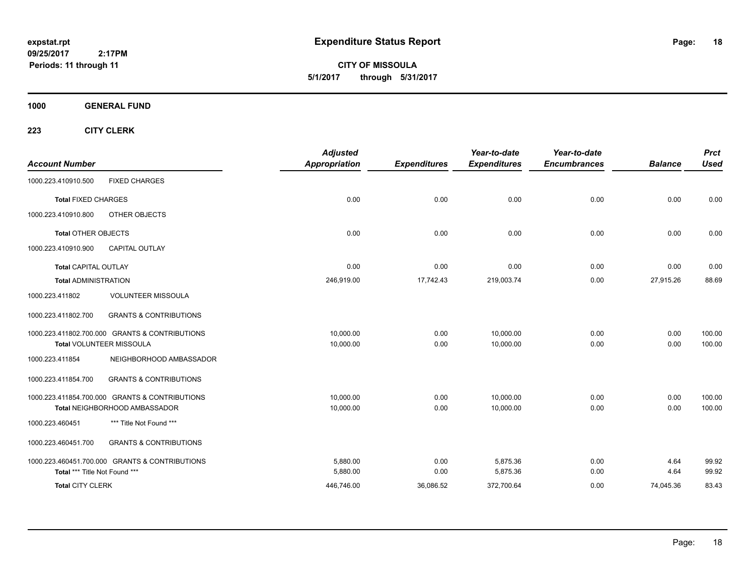**CITY OF MISSOULA 5/1/2017 through 5/31/2017**

**1000 GENERAL FUND**

| <b>Account Number</b>         |                                                | <b>Adjusted</b><br><b>Appropriation</b> | <b>Expenditures</b> | Year-to-date<br><b>Expenditures</b> | Year-to-date<br><b>Encumbrances</b> | <b>Balance</b> | <b>Prct</b><br><b>Used</b> |
|-------------------------------|------------------------------------------------|-----------------------------------------|---------------------|-------------------------------------|-------------------------------------|----------------|----------------------------|
|                               |                                                |                                         |                     |                                     |                                     |                |                            |
| 1000.223.410910.500           | <b>FIXED CHARGES</b>                           |                                         |                     |                                     |                                     |                |                            |
| <b>Total FIXED CHARGES</b>    |                                                | 0.00                                    | 0.00                | 0.00                                | 0.00                                | 0.00           | 0.00                       |
| 1000.223.410910.800           | OTHER OBJECTS                                  |                                         |                     |                                     |                                     |                |                            |
| <b>Total OTHER OBJECTS</b>    |                                                | 0.00                                    | 0.00                | 0.00                                | 0.00                                | 0.00           | 0.00                       |
| 1000.223.410910.900           | <b>CAPITAL OUTLAY</b>                          |                                         |                     |                                     |                                     |                |                            |
| <b>Total CAPITAL OUTLAY</b>   |                                                | 0.00                                    | 0.00                | 0.00                                | 0.00                                | 0.00           | 0.00                       |
| <b>Total ADMINISTRATION</b>   |                                                | 246,919.00                              | 17,742.43           | 219,003.74                          | 0.00                                | 27,915.26      | 88.69                      |
| 1000.223.411802               | <b>VOLUNTEER MISSOULA</b>                      |                                         |                     |                                     |                                     |                |                            |
| 1000.223.411802.700           | <b>GRANTS &amp; CONTRIBUTIONS</b>              |                                         |                     |                                     |                                     |                |                            |
|                               | 1000.223.411802.700.000 GRANTS & CONTRIBUTIONS | 10,000.00                               | 0.00                | 10,000.00                           | 0.00                                | 0.00           | 100.00                     |
|                               | Total VOLUNTEER MISSOULA                       | 10,000.00                               | 0.00                | 10,000.00                           | 0.00                                | 0.00           | 100.00                     |
| 1000.223.411854               | NEIGHBORHOOD AMBASSADOR                        |                                         |                     |                                     |                                     |                |                            |
| 1000.223.411854.700           | <b>GRANTS &amp; CONTRIBUTIONS</b>              |                                         |                     |                                     |                                     |                |                            |
|                               | 1000.223.411854.700.000 GRANTS & CONTRIBUTIONS | 10,000.00                               | 0.00                | 10,000.00                           | 0.00                                | 0.00           | 100.00                     |
|                               | Total NEIGHBORHOOD AMBASSADOR                  | 10,000.00                               | 0.00                | 10,000.00                           | 0.00                                | 0.00           | 100.00                     |
| 1000.223.460451               | *** Title Not Found ***                        |                                         |                     |                                     |                                     |                |                            |
| 1000.223.460451.700           | <b>GRANTS &amp; CONTRIBUTIONS</b>              |                                         |                     |                                     |                                     |                |                            |
|                               | 1000.223.460451.700.000 GRANTS & CONTRIBUTIONS | 5,880.00                                | 0.00                | 5,875.36                            | 0.00                                | 4.64           | 99.92                      |
| Total *** Title Not Found *** |                                                | 5,880.00                                | 0.00                | 5,875.36                            | 0.00                                | 4.64           | 99.92                      |
| <b>Total CITY CLERK</b>       |                                                | 446,746.00                              | 36,086.52           | 372,700.64                          | 0.00                                | 74,045.36      | 83.43                      |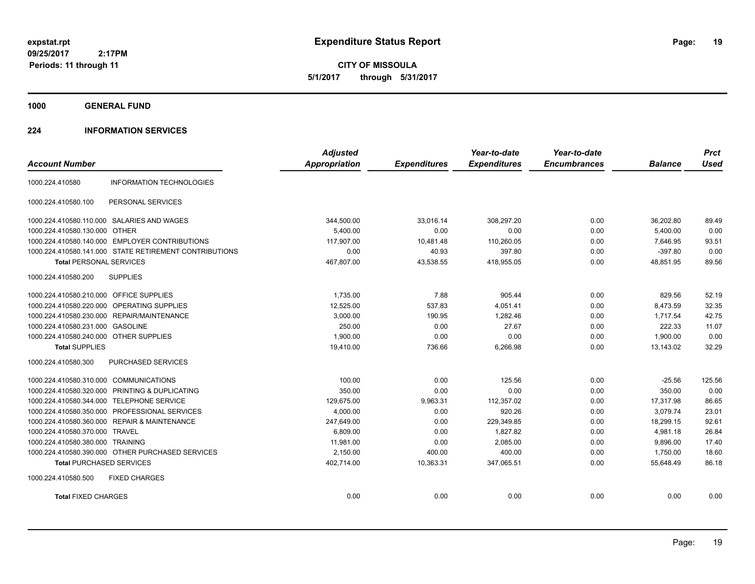**CITY OF MISSOULA 5/1/2017 through 5/31/2017**

**1000 GENERAL FUND**

### **224 INFORMATION SERVICES**

| <b>Account Number</b>                   |                                                        | <b>Adjusted</b><br>Appropriation | <b>Expenditures</b> | Year-to-date<br><b>Expenditures</b> | Year-to-date<br><b>Encumbrances</b> | <b>Balance</b> | <b>Prct</b><br><b>Used</b> |
|-----------------------------------------|--------------------------------------------------------|----------------------------------|---------------------|-------------------------------------|-------------------------------------|----------------|----------------------------|
| 1000.224.410580                         | <b>INFORMATION TECHNOLOGIES</b>                        |                                  |                     |                                     |                                     |                |                            |
| 1000.224.410580.100                     | PERSONAL SERVICES                                      |                                  |                     |                                     |                                     |                |                            |
|                                         | 1000.224.410580.110.000 SALARIES AND WAGES             | 344,500.00                       | 33,016.14           | 308,297.20                          | 0.00                                | 36,202.80      | 89.49                      |
| 1000.224.410580.130.000 OTHER           |                                                        | 5,400.00                         | 0.00                | 0.00                                | 0.00                                | 5,400.00       | 0.00                       |
|                                         | 1000.224.410580.140.000 EMPLOYER CONTRIBUTIONS         | 117,907.00                       | 10,481.48           | 110,260.05                          | 0.00                                | 7,646.95       | 93.51                      |
|                                         | 1000.224.410580.141.000 STATE RETIREMENT CONTRIBUTIONS | 0.00                             | 40.93               | 397.80                              | 0.00                                | $-397.80$      | 0.00                       |
| <b>Total PERSONAL SERVICES</b>          |                                                        | 467,807.00                       | 43,538.55           | 418,955.05                          | 0.00                                | 48,851.95      | 89.56                      |
| 1000.224.410580.200                     | <b>SUPPLIES</b>                                        |                                  |                     |                                     |                                     |                |                            |
| 1000.224.410580.210.000 OFFICE SUPPLIES |                                                        | 1.735.00                         | 7.88                | 905.44                              | 0.00                                | 829.56         | 52.19                      |
|                                         | 1000.224.410580.220.000 OPERATING SUPPLIES             | 12,525.00                        | 537.83              | 4,051.41                            | 0.00                                | 8,473.59       | 32.35                      |
|                                         | 1000.224.410580.230.000 REPAIR/MAINTENANCE             | 3,000.00                         | 190.95              | 1.282.46                            | 0.00                                | 1.717.54       | 42.75                      |
| 1000.224.410580.231.000 GASOLINE        |                                                        | 250.00                           | 0.00                | 27.67                               | 0.00                                | 222.33         | 11.07                      |
| 1000.224.410580.240.000 OTHER SUPPLIES  |                                                        | 1,900.00                         | 0.00                | 0.00                                | 0.00                                | 1,900.00       | 0.00                       |
| <b>Total SUPPLIES</b>                   |                                                        | 19,410.00                        | 736.66              | 6,266.98                            | 0.00                                | 13.143.02      | 32.29                      |
| 1000.224.410580.300                     | <b>PURCHASED SERVICES</b>                              |                                  |                     |                                     |                                     |                |                            |
| 1000.224.410580.310.000 COMMUNICATIONS  |                                                        | 100.00                           | 0.00                | 125.56                              | 0.00                                | $-25.56$       | 125.56                     |
| 1000.224.410580.320.000                 | PRINTING & DUPLICATING                                 | 350.00                           | 0.00                | 0.00                                | 0.00                                | 350.00         | 0.00                       |
| 1000.224.410580.344.000                 | <b>TELEPHONE SERVICE</b>                               | 129,675.00                       | 9,963.31            | 112,357.02                          | 0.00                                | 17,317.98      | 86.65                      |
| 1000.224.410580.350.000                 | PROFESSIONAL SERVICES                                  | 4,000.00                         | 0.00                | 920.26                              | 0.00                                | 3,079.74       | 23.01                      |
|                                         | 1000.224.410580.360.000 REPAIR & MAINTENANCE           | 247,649.00                       | 0.00                | 229,349.85                          | 0.00                                | 18,299.15      | 92.61                      |
| 1000.224.410580.370.000 TRAVEL          |                                                        | 6,809.00                         | 0.00                | 1,827.82                            | 0.00                                | 4,981.18       | 26.84                      |
| 1000.224.410580.380.000 TRAINING        |                                                        | 11.981.00                        | 0.00                | 2,085.00                            | 0.00                                | 9,896.00       | 17.40                      |
|                                         | 1000.224.410580.390.000 OTHER PURCHASED SERVICES       | 2,150.00                         | 400.00              | 400.00                              | 0.00                                | 1,750.00       | 18.60                      |
| <b>Total PURCHASED SERVICES</b>         |                                                        | 402,714.00                       | 10,363.31           | 347,065.51                          | 0.00                                | 55,648.49      | 86.18                      |
| 1000.224.410580.500                     | <b>FIXED CHARGES</b>                                   |                                  |                     |                                     |                                     |                |                            |
| <b>Total FIXED CHARGES</b>              |                                                        | 0.00                             | 0.00                | 0.00                                | 0.00                                | 0.00           | 0.00                       |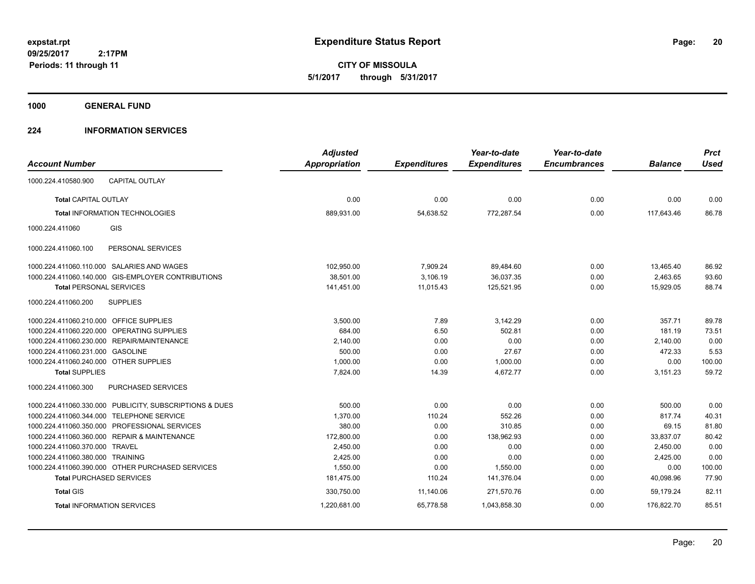**CITY OF MISSOULA 5/1/2017 through 5/31/2017**

**1000 GENERAL FUND**

### **224 INFORMATION SERVICES**

| <b>Account Number</b>                   |                                                         | <b>Adjusted</b><br><b>Appropriation</b> | <b>Expenditures</b> | Year-to-date<br><b>Expenditures</b> | Year-to-date<br><b>Encumbrances</b> | <b>Balance</b> | <b>Prct</b><br><b>Used</b> |
|-----------------------------------------|---------------------------------------------------------|-----------------------------------------|---------------------|-------------------------------------|-------------------------------------|----------------|----------------------------|
| 1000.224.410580.900                     | <b>CAPITAL OUTLAY</b>                                   |                                         |                     |                                     |                                     |                |                            |
| <b>Total CAPITAL OUTLAY</b>             |                                                         | 0.00                                    | 0.00                | 0.00                                | 0.00                                | 0.00           | 0.00                       |
|                                         | <b>Total INFORMATION TECHNOLOGIES</b>                   | 889,931.00                              | 54,638.52           | 772,287.54                          | 0.00                                | 117,643.46     | 86.78                      |
| 1000.224.411060                         | GIS                                                     |                                         |                     |                                     |                                     |                |                            |
| 1000.224.411060.100                     | PERSONAL SERVICES                                       |                                         |                     |                                     |                                     |                |                            |
|                                         | 1000.224.411060.110.000 SALARIES AND WAGES              | 102,950.00                              | 7,909.24            | 89,484.60                           | 0.00                                | 13,465.40      | 86.92                      |
|                                         | 1000.224.411060.140.000 GIS-EMPLOYER CONTRIBUTIONS      | 38,501.00                               | 3,106.19            | 36,037.35                           | 0.00                                | 2,463.65       | 93.60                      |
| <b>Total PERSONAL SERVICES</b>          |                                                         | 141,451.00                              | 11,015.43           | 125,521.95                          | 0.00                                | 15,929.05      | 88.74                      |
| 1000.224.411060.200                     | <b>SUPPLIES</b>                                         |                                         |                     |                                     |                                     |                |                            |
| 1000.224.411060.210.000 OFFICE SUPPLIES |                                                         | 3,500.00                                | 7.89                | 3,142.29                            | 0.00                                | 357.71         | 89.78                      |
|                                         | 1000.224.411060.220.000 OPERATING SUPPLIES              | 684.00                                  | 6.50                | 502.81                              | 0.00                                | 181.19         | 73.51                      |
|                                         | 1000.224.411060.230.000 REPAIR/MAINTENANCE              | 2,140.00                                | 0.00                | 0.00                                | 0.00                                | 2,140.00       | 0.00                       |
| 1000.224.411060.231.000                 | <b>GASOLINE</b>                                         | 500.00                                  | 0.00                | 27.67                               | 0.00                                | 472.33         | 5.53                       |
| 1000.224.411060.240.000 OTHER SUPPLIES  |                                                         | 1,000.00                                | 0.00                | 1,000.00                            | 0.00                                | 0.00           | 100.00                     |
| <b>Total SUPPLIES</b>                   |                                                         | 7,824.00                                | 14.39               | 4,672.77                            | 0.00                                | 3,151.23       | 59.72                      |
| 1000.224.411060.300                     | PURCHASED SERVICES                                      |                                         |                     |                                     |                                     |                |                            |
|                                         | 1000.224.411060.330.000 PUBLICITY, SUBSCRIPTIONS & DUES | 500.00                                  | 0.00                | 0.00                                | 0.00                                | 500.00         | 0.00                       |
| 1000.224.411060.344.000                 | <b>TELEPHONE SERVICE</b>                                | 1,370.00                                | 110.24              | 552.26                              | 0.00                                | 817.74         | 40.31                      |
|                                         | 1000.224.411060.350.000 PROFESSIONAL SERVICES           | 380.00                                  | 0.00                | 310.85                              | 0.00                                | 69.15          | 81.80                      |
|                                         | 1000.224.411060.360.000 REPAIR & MAINTENANCE            | 172,800.00                              | 0.00                | 138,962.93                          | 0.00                                | 33,837.07      | 80.42                      |
| 1000.224.411060.370.000 TRAVEL          |                                                         | 2,450.00                                | 0.00                | 0.00                                | 0.00                                | 2,450.00       | 0.00                       |
| 1000.224.411060.380.000 TRAINING        |                                                         | 2,425.00                                | 0.00                | 0.00                                | 0.00                                | 2,425.00       | 0.00                       |
|                                         | 1000.224.411060.390.000 OTHER PURCHASED SERVICES        | 1,550.00                                | 0.00                | 1,550.00                            | 0.00                                | 0.00           | 100.00                     |
|                                         | <b>Total PURCHASED SERVICES</b>                         | 181,475.00                              | 110.24              | 141,376.04                          | 0.00                                | 40,098.96      | 77.90                      |
| <b>Total GIS</b>                        |                                                         | 330,750.00                              | 11,140.06           | 271,570.76                          | 0.00                                | 59.179.24      | 82.11                      |
|                                         | <b>Total INFORMATION SERVICES</b>                       | 1,220,681.00                            | 65,778.58           | 1,043,858.30                        | 0.00                                | 176,822.70     | 85.51                      |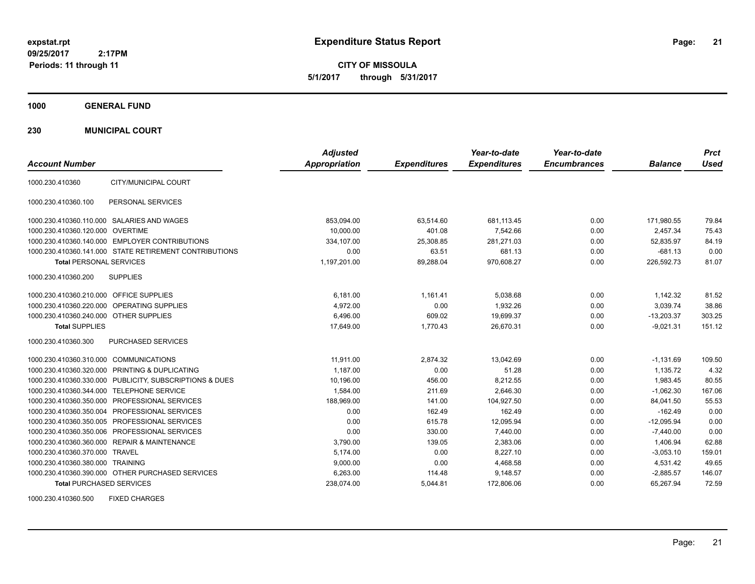**CITY OF MISSOULA 5/1/2017 through 5/31/2017**

**1000 GENERAL FUND**

**230 MUNICIPAL COURT**

| <b>Account Number</b>                   |                                                         | <b>Adjusted</b><br><b>Appropriation</b> | <b>Expenditures</b> | Year-to-date<br><b>Expenditures</b> | Year-to-date<br><b>Encumbrances</b> | <b>Balance</b> | <b>Prct</b><br>Used |
|-----------------------------------------|---------------------------------------------------------|-----------------------------------------|---------------------|-------------------------------------|-------------------------------------|----------------|---------------------|
| 1000.230.410360                         | CITY/MUNICIPAL COURT                                    |                                         |                     |                                     |                                     |                |                     |
| 1000.230.410360.100                     | PERSONAL SERVICES                                       |                                         |                     |                                     |                                     |                |                     |
|                                         | 1000.230.410360.110.000 SALARIES AND WAGES              | 853,094.00                              | 63,514.60           | 681,113.45                          | 0.00                                | 171,980.55     | 79.84               |
| 1000.230.410360.120.000 OVERTIME        |                                                         | 10.000.00                               | 401.08              | 7.542.66                            | 0.00                                | 2.457.34       | 75.43               |
|                                         | 1000.230.410360.140.000 EMPLOYER CONTRIBUTIONS          | 334,107.00                              | 25,308.85           | 281,271.03                          | 0.00                                | 52,835.97      | 84.19               |
|                                         | 1000.230.410360.141.000 STATE RETIREMENT CONTRIBUTIONS  | 0.00                                    | 63.51               | 681.13                              | 0.00                                | $-681.13$      | 0.00                |
| <b>Total PERSONAL SERVICES</b>          |                                                         | 1,197,201.00                            | 89,288.04           | 970,608.27                          | 0.00                                | 226,592.73     | 81.07               |
| 1000.230.410360.200                     | <b>SUPPLIES</b>                                         |                                         |                     |                                     |                                     |                |                     |
| 1000.230.410360.210.000 OFFICE SUPPLIES |                                                         | 6,181.00                                | 1,161.41            | 5,038.68                            | 0.00                                | 1,142.32       | 81.52               |
|                                         | 1000.230.410360.220.000 OPERATING SUPPLIES              | 4.972.00                                | 0.00                | 1.932.26                            | 0.00                                | 3,039.74       | 38.86               |
| 1000.230.410360.240.000 OTHER SUPPLIES  |                                                         | 6.496.00                                | 609.02              | 19.699.37                           | 0.00                                | $-13,203.37$   | 303.25              |
| <b>Total SUPPLIES</b>                   |                                                         | 17,649.00                               | 1,770.43            | 26,670.31                           | 0.00                                | $-9,021.31$    | 151.12              |
| 1000.230.410360.300                     | PURCHASED SERVICES                                      |                                         |                     |                                     |                                     |                |                     |
| 1000.230.410360.310.000 COMMUNICATIONS  |                                                         | 11,911.00                               | 2,874.32            | 13,042.69                           | 0.00                                | $-1,131.69$    | 109.50              |
|                                         | 1000.230.410360.320.000 PRINTING & DUPLICATING          | 1,187.00                                | 0.00                | 51.28                               | 0.00                                | 1,135.72       | 4.32                |
|                                         | 1000.230.410360.330.000 PUBLICITY, SUBSCRIPTIONS & DUES | 10,196.00                               | 456.00              | 8,212.55                            | 0.00                                | 1,983.45       | 80.55               |
|                                         | 1000.230.410360.344.000 TELEPHONE SERVICE               | 1,584.00                                | 211.69              | 2.646.30                            | 0.00                                | $-1.062.30$    | 167.06              |
|                                         | 1000.230.410360.350.000 PROFESSIONAL SERVICES           | 188,969.00                              | 141.00              | 104,927.50                          | 0.00                                | 84,041.50      | 55.53               |
|                                         | 1000.230.410360.350.004 PROFESSIONAL SERVICES           | 0.00                                    | 162.49              | 162.49                              | 0.00                                | $-162.49$      | 0.00                |
|                                         | 1000.230.410360.350.005 PROFESSIONAL SERVICES           | 0.00                                    | 615.78              | 12,095.94                           | 0.00                                | $-12,095.94$   | 0.00                |
|                                         | 1000.230.410360.350.006 PROFESSIONAL SERVICES           | 0.00                                    | 330.00              | 7.440.00                            | 0.00                                | $-7,440.00$    | 0.00                |
|                                         | 1000.230.410360.360.000 REPAIR & MAINTENANCE            | 3,790.00                                | 139.05              | 2,383.06                            | 0.00                                | 1,406.94       | 62.88               |
| 1000.230.410360.370.000 TRAVEL          |                                                         | 5.174.00                                | 0.00                | 8,227.10                            | 0.00                                | $-3,053.10$    | 159.01              |
| 1000.230.410360.380.000 TRAINING        |                                                         | 9,000.00                                | 0.00                | 4,468.58                            | 0.00                                | 4,531.42       | 49.65               |
|                                         | 1000.230.410360.390.000 OTHER PURCHASED SERVICES        | 6,263.00                                | 114.48              | 9,148.57                            | 0.00                                | $-2,885.57$    | 146.07              |
| <b>Total PURCHASED SERVICES</b>         |                                                         | 238,074.00                              | 5,044.81            | 172,806.06                          | 0.00                                | 65,267.94      | 72.59               |

1000.230.410360.500 FIXED CHARGES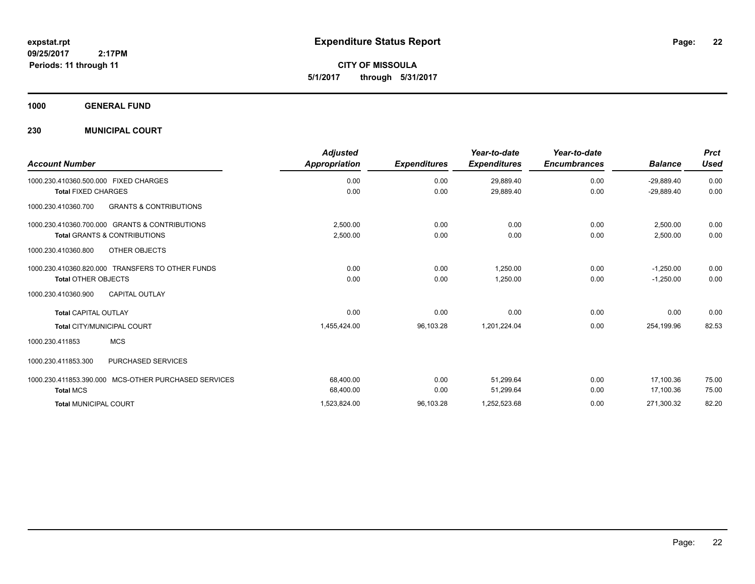**CITY OF MISSOULA 5/1/2017 through 5/31/2017**

**1000 GENERAL FUND**

### **230 MUNICIPAL COURT**

|                                                          | <b>Adjusted</b>      |                     | Year-to-date        | Year-to-date        |                | <b>Prct</b> |
|----------------------------------------------------------|----------------------|---------------------|---------------------|---------------------|----------------|-------------|
| <b>Account Number</b>                                    | <b>Appropriation</b> | <b>Expenditures</b> | <b>Expenditures</b> | <b>Encumbrances</b> | <b>Balance</b> | Used        |
| 1000.230.410360.500.000 FIXED CHARGES                    | 0.00                 | 0.00                | 29,889.40           | 0.00                | $-29,889.40$   | 0.00        |
| <b>Total FIXED CHARGES</b>                               | 0.00                 | 0.00                | 29,889.40           | 0.00                | $-29,889.40$   | 0.00        |
| <b>GRANTS &amp; CONTRIBUTIONS</b><br>1000.230.410360.700 |                      |                     |                     |                     |                |             |
| 1000.230.410360.700.000 GRANTS & CONTRIBUTIONS           | 2.500.00             | 0.00                | 0.00                | 0.00                | 2.500.00       | 0.00        |
| <b>Total GRANTS &amp; CONTRIBUTIONS</b>                  | 2,500.00             | 0.00                | 0.00                | 0.00                | 2,500.00       | 0.00        |
| OTHER OBJECTS<br>1000.230.410360.800                     |                      |                     |                     |                     |                |             |
| 1000.230.410360.820.000 TRANSFERS TO OTHER FUNDS         | 0.00                 | 0.00                | 1,250.00            | 0.00                | $-1,250.00$    | 0.00        |
| <b>Total OTHER OBJECTS</b>                               | 0.00                 | 0.00                | 1,250.00            | 0.00                | $-1,250.00$    | 0.00        |
| <b>CAPITAL OUTLAY</b><br>1000.230.410360.900             |                      |                     |                     |                     |                |             |
| <b>Total CAPITAL OUTLAY</b>                              | 0.00                 | 0.00                | 0.00                | 0.00                | 0.00           | 0.00        |
| <b>Total CITY/MUNICIPAL COURT</b>                        | 1,455,424.00         | 96,103.28           | 1,201,224.04        | 0.00                | 254,199.96     | 82.53       |
| <b>MCS</b><br>1000.230.411853                            |                      |                     |                     |                     |                |             |
| 1000.230.411853.300<br>PURCHASED SERVICES                |                      |                     |                     |                     |                |             |
| 1000.230.411853.390.000<br>MCS-OTHER PURCHASED SERVICES  | 68,400.00            | 0.00                | 51,299.64           | 0.00                | 17,100.36      | 75.00       |
| <b>Total MCS</b>                                         | 68,400.00            | 0.00                | 51,299.64           | 0.00                | 17,100.36      | 75.00       |
| <b>Total MUNICIPAL COURT</b>                             | 1,523,824.00         | 96,103.28           | 1,252,523.68        | 0.00                | 271,300.32     | 82.20       |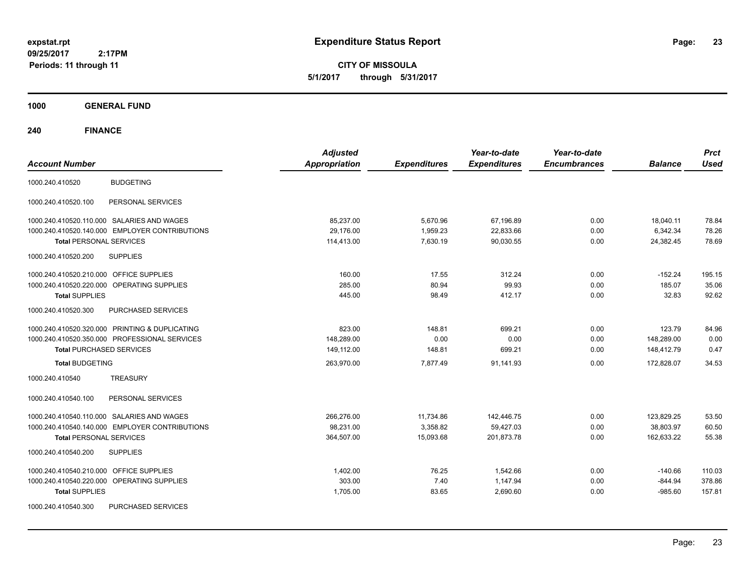**CITY OF MISSOULA 5/1/2017 through 5/31/2017**

**1000 GENERAL FUND**

| <b>Account Number</b>                                | <b>Adjusted</b><br><b>Appropriation</b> | <b>Expenditures</b> | Year-to-date<br><b>Expenditures</b> | Year-to-date<br><b>Encumbrances</b> | <b>Balance</b> | <b>Prct</b><br><b>Used</b> |
|------------------------------------------------------|-----------------------------------------|---------------------|-------------------------------------|-------------------------------------|----------------|----------------------------|
| <b>BUDGETING</b><br>1000.240.410520                  |                                         |                     |                                     |                                     |                |                            |
| PERSONAL SERVICES<br>1000.240.410520.100             |                                         |                     |                                     |                                     |                |                            |
| 1000.240.410520.110.000 SALARIES AND WAGES           | 85,237.00                               | 5,670.96            | 67,196.89                           | 0.00                                | 18,040.11      | 78.84                      |
| 1000.240.410520.140.000 EMPLOYER CONTRIBUTIONS       | 29.176.00                               | 1,959.23            | 22,833.66                           | 0.00                                | 6,342.34       | 78.26                      |
| <b>Total PERSONAL SERVICES</b>                       | 114,413.00                              | 7,630.19            | 90,030.55                           | 0.00                                | 24,382.45      | 78.69                      |
| 1000.240.410520.200<br><b>SUPPLIES</b>               |                                         |                     |                                     |                                     |                |                            |
| 1000.240.410520.210.000 OFFICE SUPPLIES              | 160.00                                  | 17.55               | 312.24                              | 0.00                                | $-152.24$      | 195.15                     |
| 1000.240.410520.220.000<br><b>OPERATING SUPPLIES</b> | 285.00                                  | 80.94               | 99.93                               | 0.00                                | 185.07         | 35.06                      |
| <b>Total SUPPLIES</b>                                | 445.00                                  | 98.49               | 412.17                              | 0.00                                | 32.83          | 92.62                      |
| 1000.240.410520.300<br>PURCHASED SERVICES            |                                         |                     |                                     |                                     |                |                            |
| 1000.240.410520.320.000 PRINTING & DUPLICATING       | 823.00                                  | 148.81              | 699.21                              | 0.00                                | 123.79         | 84.96                      |
| 1000.240.410520.350.000 PROFESSIONAL SERVICES        | 148,289.00                              | 0.00                | 0.00                                | 0.00                                | 148,289.00     | 0.00                       |
| <b>Total PURCHASED SERVICES</b>                      | 149,112.00                              | 148.81              | 699.21                              | 0.00                                | 148,412.79     | 0.47                       |
| <b>Total BUDGETING</b>                               | 263,970.00                              | 7,877.49            | 91,141.93                           | 0.00                                | 172,828.07     | 34.53                      |
| <b>TREASURY</b><br>1000.240.410540                   |                                         |                     |                                     |                                     |                |                            |
| PERSONAL SERVICES<br>1000.240.410540.100             |                                         |                     |                                     |                                     |                |                            |
| 1000.240.410540.110.000 SALARIES AND WAGES           | 266,276.00                              | 11,734.86           | 142,446.75                          | 0.00                                | 123,829.25     | 53.50                      |
| 1000.240.410540.140.000 EMPLOYER CONTRIBUTIONS       | 98,231.00                               | 3,358.82            | 59,427.03                           | 0.00                                | 38,803.97      | 60.50                      |
| <b>Total PERSONAL SERVICES</b>                       | 364,507.00                              | 15,093.68           | 201,873.78                          | 0.00                                | 162,633.22     | 55.38                      |
| <b>SUPPLIES</b><br>1000.240.410540.200               |                                         |                     |                                     |                                     |                |                            |
| <b>OFFICE SUPPLIES</b><br>1000.240.410540.210.000    | 1,402.00                                | 76.25               | 1,542.66                            | 0.00                                | -140.66        | 110.03                     |
| 1000.240.410540.220.000 OPERATING SUPPLIES           | 303.00                                  | 7.40                | 1,147.94                            | 0.00                                | $-844.94$      | 378.86                     |
| <b>Total SUPPLIES</b>                                | 1,705.00                                | 83.65               | 2,690.60                            | 0.00                                | $-985.60$      | 157.81                     |
| PURCHASED SERVICES<br>1000.240.410540.300            |                                         |                     |                                     |                                     |                |                            |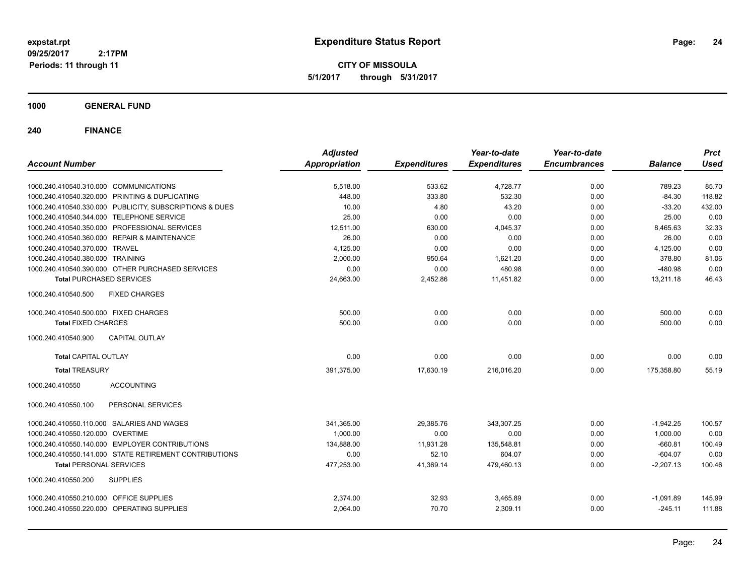**CITY OF MISSOULA 5/1/2017 through 5/31/2017**

**1000 GENERAL FUND**

| <b>Account Number</b>                                   | <b>Adjusted</b><br><b>Appropriation</b> | <b>Expenditures</b> | Year-to-date<br><b>Expenditures</b> | Year-to-date<br><b>Encumbrances</b> | <b>Balance</b> | <b>Prct</b><br><b>Used</b> |
|---------------------------------------------------------|-----------------------------------------|---------------------|-------------------------------------|-------------------------------------|----------------|----------------------------|
|                                                         |                                         |                     |                                     |                                     |                |                            |
| 1000.240.410540.310.000 COMMUNICATIONS                  | 5,518.00                                | 533.62              | 4,728.77                            | 0.00                                | 789.23         | 85.70                      |
| 1000.240.410540.320.000 PRINTING & DUPLICATING          | 448.00                                  | 333.80              | 532.30                              | 0.00                                | $-84.30$       | 118.82                     |
| 1000.240.410540.330.000 PUBLICITY, SUBSCRIPTIONS & DUES | 10.00                                   | 4.80                | 43.20                               | 0.00                                | $-33.20$       | 432.00                     |
| 1000.240.410540.344.000 TELEPHONE SERVICE               | 25.00                                   | 0.00                | 0.00                                | 0.00                                | 25.00          | 0.00                       |
| 1000.240.410540.350.000 PROFESSIONAL SERVICES           | 12,511.00                               | 630.00              | 4,045.37                            | 0.00                                | 8,465.63       | 32.33                      |
| 1000.240.410540.360.000 REPAIR & MAINTENANCE            | 26.00                                   | 0.00                | 0.00                                | 0.00                                | 26.00          | 0.00                       |
| 1000.240.410540.370.000 TRAVEL                          | 4,125.00                                | 0.00                | 0.00                                | 0.00                                | 4,125.00       | 0.00                       |
| 1000.240.410540.380.000 TRAINING                        | 2,000.00                                | 950.64              | 1,621.20                            | 0.00                                | 378.80         | 81.06                      |
| 1000.240.410540.390.000 OTHER PURCHASED SERVICES        | 0.00                                    | 0.00                | 480.98                              | 0.00                                | $-480.98$      | 0.00                       |
| <b>Total PURCHASED SERVICES</b>                         | 24,663.00                               | 2,452.86            | 11.451.82                           | 0.00                                | 13.211.18      | 46.43                      |
| 1000.240.410540.500<br><b>FIXED CHARGES</b>             |                                         |                     |                                     |                                     |                |                            |
| 1000.240.410540.500.000 FIXED CHARGES                   | 500.00                                  | 0.00                | 0.00                                | 0.00                                | 500.00         | 0.00                       |
| <b>Total FIXED CHARGES</b>                              | 500.00                                  | 0.00                | 0.00                                | 0.00                                | 500.00         | 0.00                       |
| 1000.240.410540.900<br><b>CAPITAL OUTLAY</b>            |                                         |                     |                                     |                                     |                |                            |
| <b>Total CAPITAL OUTLAY</b>                             | 0.00                                    | 0.00                | 0.00                                | 0.00                                | 0.00           | 0.00                       |
| <b>Total TREASURY</b>                                   | 391,375.00                              | 17,630.19           | 216,016.20                          | 0.00                                | 175,358.80     | 55.19                      |
| 1000.240.410550<br><b>ACCOUNTING</b>                    |                                         |                     |                                     |                                     |                |                            |
| 1000.240.410550.100<br>PERSONAL SERVICES                |                                         |                     |                                     |                                     |                |                            |
| 1000.240.410550.110.000 SALARIES AND WAGES              | 341,365.00                              | 29,385.76           | 343,307.25                          | 0.00                                | $-1,942.25$    | 100.57                     |
| 1000.240.410550.120.000 OVERTIME                        | 1,000.00                                | 0.00                | 0.00                                | 0.00                                | 1,000.00       | 0.00                       |
| 1000.240.410550.140.000 EMPLOYER CONTRIBUTIONS          | 134,888.00                              | 11,931.28           | 135,548.81                          | 0.00                                | $-660.81$      | 100.49                     |
| 1000.240.410550.141.000 STATE RETIREMENT CONTRIBUTIONS  | 0.00                                    | 52.10               | 604.07                              | 0.00                                | $-604.07$      | 0.00                       |
| <b>Total PERSONAL SERVICES</b>                          | 477,253.00                              | 41,369.14           | 479,460.13                          | 0.00                                | $-2,207.13$    | 100.46                     |
| 1000.240.410550.200<br><b>SUPPLIES</b>                  |                                         |                     |                                     |                                     |                |                            |
| 1000.240.410550.210.000 OFFICE SUPPLIES                 | 2,374.00                                | 32.93               | 3,465.89                            | 0.00                                | $-1,091.89$    | 145.99                     |
| 1000.240.410550.220.000 OPERATING SUPPLIES              | 2,064.00                                | 70.70               | 2,309.11                            | 0.00                                | $-245.11$      | 111.88                     |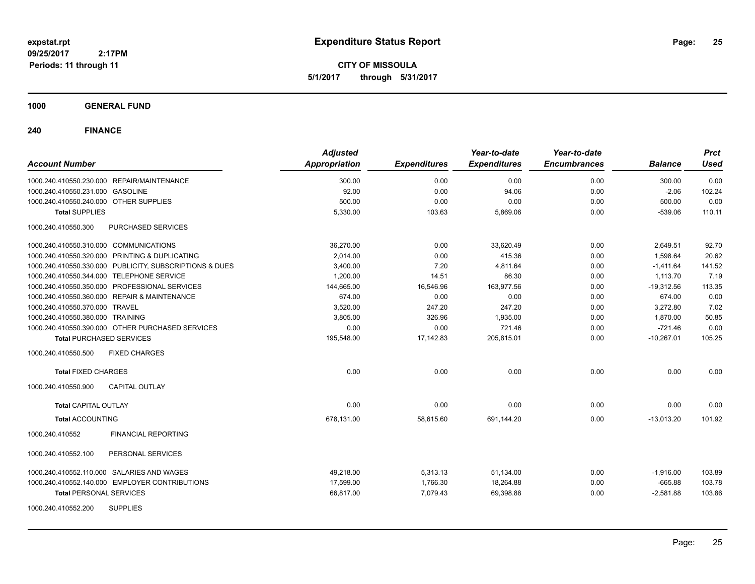**CITY OF MISSOULA 5/1/2017 through 5/31/2017**

### **1000 GENERAL FUND**

|                                                         | <b>Adjusted</b>      |                     | Year-to-date        | Year-to-date        |                | <b>Prct</b> |
|---------------------------------------------------------|----------------------|---------------------|---------------------|---------------------|----------------|-------------|
| <b>Account Number</b>                                   | <b>Appropriation</b> | <b>Expenditures</b> | <b>Expenditures</b> | <b>Encumbrances</b> | <b>Balance</b> | <b>Used</b> |
| 1000.240.410550.230.000 REPAIR/MAINTENANCE              | 300.00               | 0.00                | 0.00                | 0.00                | 300.00         | 0.00        |
| 1000.240.410550.231.000 GASOLINE                        | 92.00                | 0.00                | 94.06               | 0.00                | $-2.06$        | 102.24      |
| 1000.240.410550.240.000 OTHER SUPPLIES                  | 500.00               | 0.00                | 0.00                | 0.00                | 500.00         | 0.00        |
| <b>Total SUPPLIES</b>                                   | 5,330.00             | 103.63              | 5,869.06            | 0.00                | $-539.06$      | 110.11      |
| 1000.240.410550.300<br>PURCHASED SERVICES               |                      |                     |                     |                     |                |             |
| 1000.240.410550.310.000 COMMUNICATIONS                  | 36,270.00            | 0.00                | 33,620.49           | 0.00                | 2,649.51       | 92.70       |
| 1000.240.410550.320.000 PRINTING & DUPLICATING          | 2,014.00             | 0.00                | 415.36              | 0.00                | 1,598.64       | 20.62       |
| 1000.240.410550.330.000 PUBLICITY, SUBSCRIPTIONS & DUES | 3,400.00             | 7.20                | 4,811.64            | 0.00                | $-1,411.64$    | 141.52      |
| 1000.240.410550.344.000 TELEPHONE SERVICE               | 1,200.00             | 14.51               | 86.30               | 0.00                | 1,113.70       | 7.19        |
| 1000.240.410550.350.000 PROFESSIONAL SERVICES           | 144,665.00           | 16,546.96           | 163,977.56          | 0.00                | $-19,312.56$   | 113.35      |
| 1000.240.410550.360.000 REPAIR & MAINTENANCE            | 674.00               | 0.00                | 0.00                | 0.00                | 674.00         | 0.00        |
| 1000.240.410550.370.000 TRAVEL                          | 3,520.00             | 247.20              | 247.20              | 0.00                | 3.272.80       | 7.02        |
| 1000.240.410550.380.000 TRAINING                        | 3.805.00             | 326.96              | 1.935.00            | 0.00                | 1.870.00       | 50.85       |
| 1000.240.410550.390.000 OTHER PURCHASED SERVICES        | 0.00                 | 0.00                | 721.46              | 0.00                | $-721.46$      | 0.00        |
| <b>Total PURCHASED SERVICES</b>                         | 195,548.00           | 17,142.83           | 205,815.01          | 0.00                | $-10,267.01$   | 105.25      |
| 1000.240.410550.500<br><b>FIXED CHARGES</b>             |                      |                     |                     |                     |                |             |
| <b>Total FIXED CHARGES</b>                              | 0.00                 | 0.00                | 0.00                | 0.00                | 0.00           | 0.00        |
| 1000.240.410550.900<br><b>CAPITAL OUTLAY</b>            |                      |                     |                     |                     |                |             |
| <b>Total CAPITAL OUTLAY</b>                             | 0.00                 | 0.00                | 0.00                | 0.00                | 0.00           | 0.00        |
| <b>Total ACCOUNTING</b>                                 | 678,131.00           | 58,615.60           | 691,144.20          | 0.00                | $-13.013.20$   | 101.92      |
| 1000.240.410552<br><b>FINANCIAL REPORTING</b>           |                      |                     |                     |                     |                |             |
| 1000.240.410552.100<br>PERSONAL SERVICES                |                      |                     |                     |                     |                |             |
| 1000.240.410552.110.000 SALARIES AND WAGES              | 49,218.00            | 5,313.13            | 51,134.00           | 0.00                | $-1,916.00$    | 103.89      |
| 1000.240.410552.140.000 EMPLOYER CONTRIBUTIONS          | 17,599.00            | 1,766.30            | 18,264.88           | 0.00                | $-665.88$      | 103.78      |
| <b>Total PERSONAL SERVICES</b>                          | 66,817.00            | 7,079.43            | 69,398.88           | 0.00                | $-2,581.88$    | 103.86      |
| 1000.240.410552.200<br><b>SUPPLIES</b>                  |                      |                     |                     |                     |                |             |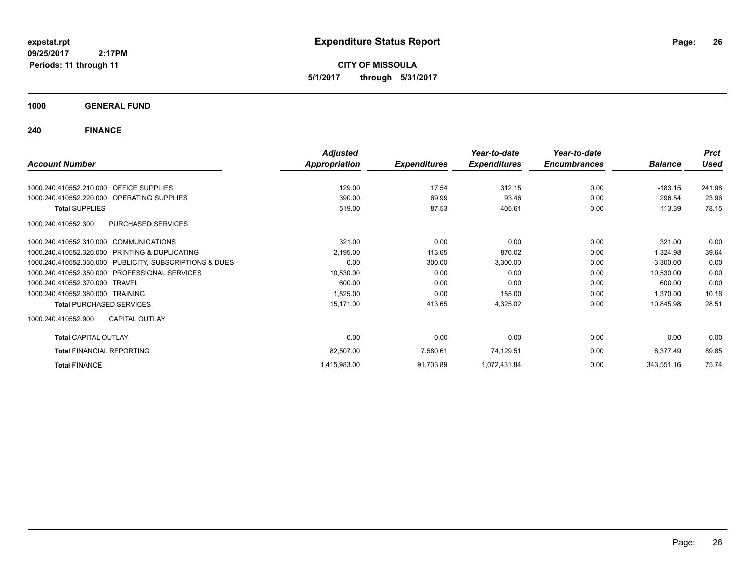**CITY OF MISSOULA 5/1/2017 through 5/31/2017**

**1000 GENERAL FUND**

|                                                         | <b>Adjusted</b>      |                     | Year-to-date        | Year-to-date        |                | <b>Prct</b> |
|---------------------------------------------------------|----------------------|---------------------|---------------------|---------------------|----------------|-------------|
| <b>Account Number</b>                                   | <b>Appropriation</b> | <b>Expenditures</b> | <b>Expenditures</b> | <b>Encumbrances</b> | <b>Balance</b> | <b>Used</b> |
| 1000.240.410552.210.000 OFFICE SUPPLIES                 | 129.00               | 17.54               | 312.15              | 0.00                | $-183.15$      | 241.98      |
|                                                         |                      |                     |                     |                     |                |             |
| 1000.240.410552.220.000 OPERATING SUPPLIES              | 390.00               | 69.99               | 93.46               | 0.00                | 296.54         | 23.96       |
| <b>Total SUPPLIES</b>                                   | 519.00               | 87.53               | 405.61              | 0.00                | 113.39         | 78.15       |
| <b>PURCHASED SERVICES</b><br>1000.240.410552.300        |                      |                     |                     |                     |                |             |
| 1000.240.410552.310.000 COMMUNICATIONS                  | 321.00               | 0.00                | 0.00                | 0.00                | 321.00         | 0.00        |
| 1000.240.410552.320.000 PRINTING & DUPLICATING          | 2,195.00             | 113.65              | 870.02              | 0.00                | 1,324.98       | 39.64       |
| 1000.240.410552.330.000 PUBLICITY, SUBSCRIPTIONS & DUES | 0.00                 | 300.00              | 3,300.00            | 0.00                | $-3,300.00$    | 0.00        |
| <b>PROFESSIONAL SERVICES</b><br>1000.240.410552.350.000 | 10,530.00            | 0.00                | 0.00                | 0.00                | 10,530.00      | 0.00        |
| 1000.240.410552.370.000 TRAVEL                          | 600.00               | 0.00                | 0.00                | 0.00                | 600.00         | 0.00        |
| 1000.240.410552.380.000 TRAINING                        | 1,525.00             | 0.00                | 155.00              | 0.00                | 1,370.00       | 10.16       |
| <b>Total PURCHASED SERVICES</b>                         | 15,171.00            | 413.65              | 4,325.02            | 0.00                | 10,845.98      | 28.51       |
| <b>CAPITAL OUTLAY</b><br>1000.240.410552.900            |                      |                     |                     |                     |                |             |
| <b>Total CAPITAL OUTLAY</b>                             | 0.00                 | 0.00                | 0.00                | 0.00                | 0.00           | 0.00        |
| <b>Total FINANCIAL REPORTING</b>                        | 82,507.00            | 7,580.61            | 74,129.51           | 0.00                | 8,377.49       | 89.85       |
| <b>Total FINANCE</b>                                    | 1,415,983.00         | 91,703.89           | 1,072,431.84        | 0.00                | 343,551.16     | 75.74       |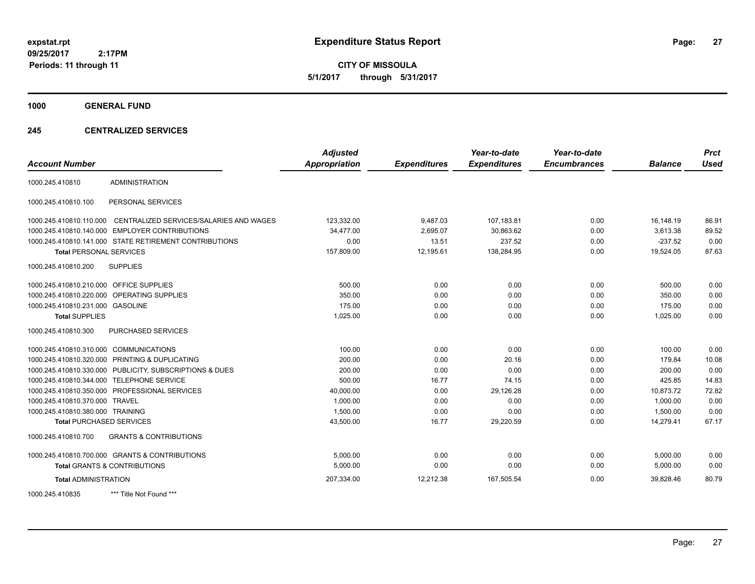**CITY OF MISSOULA 5/1/2017 through 5/31/2017**

**1000 GENERAL FUND**

### **245 CENTRALIZED SERVICES**

| <b>Account Number</b>                   |                                                        | <b>Adjusted</b><br><b>Appropriation</b> | <b>Expenditures</b> | Year-to-date<br><b>Expenditures</b> | Year-to-date<br><b>Encumbrances</b> | <b>Balance</b> | <b>Prct</b><br><b>Used</b> |
|-----------------------------------------|--------------------------------------------------------|-----------------------------------------|---------------------|-------------------------------------|-------------------------------------|----------------|----------------------------|
| 1000.245.410810                         | <b>ADMINISTRATION</b>                                  |                                         |                     |                                     |                                     |                |                            |
|                                         |                                                        |                                         |                     |                                     |                                     |                |                            |
| 1000.245.410810.100                     | PERSONAL SERVICES                                      |                                         |                     |                                     |                                     |                |                            |
| 1000.245.410810.110.000                 | CENTRALIZED SERVICES/SALARIES AND WAGES                | 123,332.00                              | 9,487.03            | 107,183.81                          | 0.00                                | 16,148.19      | 86.91                      |
| 1000.245.410810.140.000                 | <b>EMPLOYER CONTRIBUTIONS</b>                          | 34,477.00                               | 2,695.07            | 30,863.62                           | 0.00                                | 3,613.38       | 89.52                      |
|                                         | 1000.245.410810.141.000 STATE RETIREMENT CONTRIBUTIONS | 0.00                                    | 13.51               | 237.52                              | 0.00                                | $-237.52$      | 0.00                       |
| <b>Total PERSONAL SERVICES</b>          |                                                        | 157,809.00                              | 12,195.61           | 138,284.95                          | 0.00                                | 19,524.05      | 87.63                      |
| 1000.245.410810.200                     | <b>SUPPLIES</b>                                        |                                         |                     |                                     |                                     |                |                            |
| 1000.245.410810.210.000 OFFICE SUPPLIES |                                                        | 500.00                                  | 0.00                | 0.00                                | 0.00                                | 500.00         | 0.00                       |
| 1000.245.410810.220.000                 | OPERATING SUPPLIES                                     | 350.00                                  | 0.00                | 0.00                                | 0.00                                | 350.00         | 0.00                       |
| 1000.245.410810.231.000 GASOLINE        |                                                        | 175.00                                  | 0.00                | 0.00                                | 0.00                                | 175.00         | 0.00                       |
| <b>Total SUPPLIES</b>                   |                                                        | 1,025.00                                | 0.00                | 0.00                                | 0.00                                | 1,025.00       | 0.00                       |
| 1000.245.410810.300                     | PURCHASED SERVICES                                     |                                         |                     |                                     |                                     |                |                            |
| 1000.245.410810.310.000 COMMUNICATIONS  |                                                        | 100.00                                  | 0.00                | 0.00                                | 0.00                                | 100.00         | 0.00                       |
|                                         | 1000.245.410810.320.000 PRINTING & DUPLICATING         | 200.00                                  | 0.00                | 20.16                               | 0.00                                | 179.84         | 10.08                      |
| 1000.245.410810.330.000                 | PUBLICITY, SUBSCRIPTIONS & DUES                        | 200.00                                  | 0.00                | 0.00                                | 0.00                                | 200.00         | 0.00                       |
| 1000.245.410810.344.000                 | <b>TELEPHONE SERVICE</b>                               | 500.00                                  | 16.77               | 74.15                               | 0.00                                | 425.85         | 14.83                      |
|                                         | 1000.245.410810.350.000 PROFESSIONAL SERVICES          | 40,000.00                               | 0.00                | 29,126.28                           | 0.00                                | 10,873.72      | 72.82                      |
| 1000.245.410810.370.000                 | <b>TRAVEL</b>                                          | 1,000.00                                | 0.00                | 0.00                                | 0.00                                | 1.000.00       | 0.00                       |
| 1000.245.410810.380.000 TRAINING        |                                                        | 1,500.00                                | 0.00                | 0.00                                | 0.00                                | 1,500.00       | 0.00                       |
| <b>Total PURCHASED SERVICES</b>         |                                                        | 43,500.00                               | 16.77               | 29,220.59                           | 0.00                                | 14,279.41      | 67.17                      |
| 1000.245.410810.700                     | <b>GRANTS &amp; CONTRIBUTIONS</b>                      |                                         |                     |                                     |                                     |                |                            |
|                                         | 1000.245.410810.700.000 GRANTS & CONTRIBUTIONS         | 5.000.00                                | 0.00                | 0.00                                | 0.00                                | 5,000.00       | 0.00                       |
|                                         | <b>Total GRANTS &amp; CONTRIBUTIONS</b>                | 5,000.00                                | 0.00                | 0.00                                | 0.00                                | 5,000.00       | 0.00                       |
| <b>Total ADMINISTRATION</b>             |                                                        | 207,334.00                              | 12,212.38           | 167,505.54                          | 0.00                                | 39,828.46      | 80.79                      |
| 1000.245.410835                         | *** Title Not Found ***                                |                                         |                     |                                     |                                     |                |                            |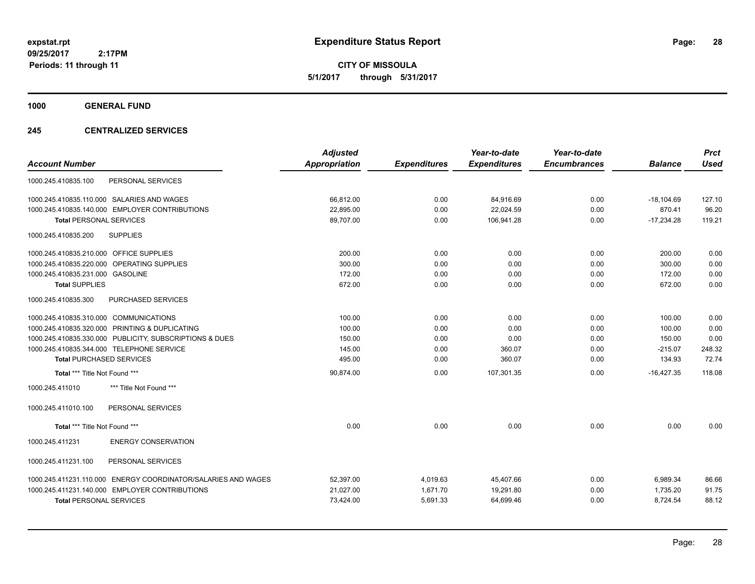**CITY OF MISSOULA 5/1/2017 through 5/31/2017**

**1000 GENERAL FUND**

### **245 CENTRALIZED SERVICES**

|                                                               | <b>Adjusted</b> |                     | Year-to-date        | Year-to-date        |                | <b>Prct</b> |
|---------------------------------------------------------------|-----------------|---------------------|---------------------|---------------------|----------------|-------------|
| <b>Account Number</b>                                         | Appropriation   | <b>Expenditures</b> | <b>Expenditures</b> | <b>Encumbrances</b> | <b>Balance</b> | <b>Used</b> |
| PERSONAL SERVICES<br>1000.245.410835.100                      |                 |                     |                     |                     |                |             |
| 1000.245.410835.110.000 SALARIES AND WAGES                    | 66,812.00       | 0.00                | 84,916.69           | 0.00                | $-18,104.69$   | 127.10      |
| 1000.245.410835.140.000 EMPLOYER CONTRIBUTIONS                | 22,895.00       | 0.00                | 22,024.59           | 0.00                | 870.41         | 96.20       |
| <b>Total PERSONAL SERVICES</b>                                | 89,707.00       | 0.00                | 106,941.28          | 0.00                | $-17,234.28$   | 119.21      |
| <b>SUPPLIES</b><br>1000.245.410835.200                        |                 |                     |                     |                     |                |             |
| 1000.245.410835.210.000 OFFICE SUPPLIES                       | 200.00          | 0.00                | 0.00                | 0.00                | 200.00         | 0.00        |
| 1000.245.410835.220.000<br><b>OPERATING SUPPLIES</b>          | 300.00          | 0.00                | 0.00                | 0.00                | 300.00         | 0.00        |
| 1000.245.410835.231.000 GASOLINE                              | 172.00          | 0.00                | 0.00                | 0.00                | 172.00         | 0.00        |
| <b>Total SUPPLIES</b>                                         | 672.00          | 0.00                | 0.00                | 0.00                | 672.00         | 0.00        |
| 1000.245.410835.300<br>PURCHASED SERVICES                     |                 |                     |                     |                     |                |             |
| 1000.245.410835.310.000 COMMUNICATIONS                        | 100.00          | 0.00                | 0.00                | 0.00                | 100.00         | 0.00        |
| 1000.245.410835.320.000 PRINTING & DUPLICATING                | 100.00          | 0.00                | 0.00                | 0.00                | 100.00         | 0.00        |
| 1000.245.410835.330.000 PUBLICITY, SUBSCRIPTIONS & DUES       | 150.00          | 0.00                | 0.00                | 0.00                | 150.00         | 0.00        |
| 1000.245.410835.344.000 TELEPHONE SERVICE                     | 145.00          | 0.00                | 360.07              | 0.00                | $-215.07$      | 248.32      |
| <b>Total PURCHASED SERVICES</b>                               | 495.00          | 0.00                | 360.07              | 0.00                | 134.93         | 72.74       |
| Total *** Title Not Found ***                                 | 90,874.00       | 0.00                | 107,301.35          | 0.00                | $-16,427.35$   | 118.08      |
| *** Title Not Found ***<br>1000.245.411010                    |                 |                     |                     |                     |                |             |
| 1000.245.411010.100<br>PERSONAL SERVICES                      |                 |                     |                     |                     |                |             |
| Total *** Title Not Found ***                                 | 0.00            | 0.00                | 0.00                | 0.00                | 0.00           | 0.00        |
| 1000.245.411231<br><b>ENERGY CONSERVATION</b>                 |                 |                     |                     |                     |                |             |
| 1000.245.411231.100<br>PERSONAL SERVICES                      |                 |                     |                     |                     |                |             |
| 1000.245.411231.110.000 ENERGY COORDINATOR/SALARIES AND WAGES | 52,397.00       | 4,019.63            | 45,407.66           | 0.00                | 6,989.34       | 86.66       |
| 1000.245.411231.140.000 EMPLOYER CONTRIBUTIONS                | 21,027.00       | 1,671.70            | 19,291.80           | 0.00                | 1,735.20       | 91.75       |
| <b>Total PERSONAL SERVICES</b>                                | 73,424.00       | 5,691.33            | 64,699.46           | 0.00                | 8,724.54       | 88.12       |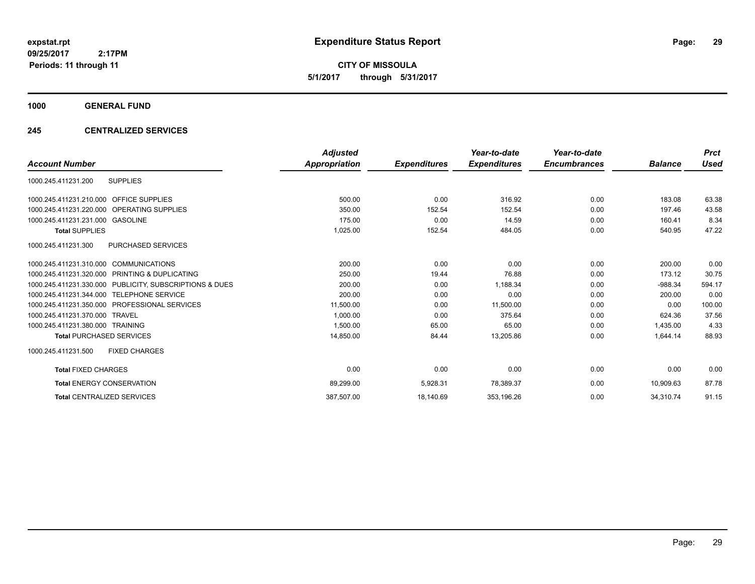**CITY OF MISSOULA 5/1/2017 through 5/31/2017**

# **1000 GENERAL FUND**

### **245 CENTRALIZED SERVICES**

|                                                         | <b>Adjusted</b> |                     | Year-to-date        | Year-to-date        |                | <b>Prct</b> |
|---------------------------------------------------------|-----------------|---------------------|---------------------|---------------------|----------------|-------------|
| <b>Account Number</b>                                   | Appropriation   | <b>Expenditures</b> | <b>Expenditures</b> | <b>Encumbrances</b> | <b>Balance</b> | Used        |
| <b>SUPPLIES</b><br>1000.245.411231.200                  |                 |                     |                     |                     |                |             |
| 1000.245.411231.210.000 OFFICE SUPPLIES                 | 500.00          | 0.00                | 316.92              | 0.00                | 183.08         | 63.38       |
| 1000.245.411231.220.000 OPERATING SUPPLIES              | 350.00          | 152.54              | 152.54              | 0.00                | 197.46         | 43.58       |
| 1000.245.411231.231.000 GASOLINE                        | 175.00          | 0.00                | 14.59               | 0.00                | 160.41         | 8.34        |
| <b>Total SUPPLIES</b>                                   | 1,025.00        | 152.54              | 484.05              | 0.00                | 540.95         | 47.22       |
| 1000.245.411231.300<br><b>PURCHASED SERVICES</b>        |                 |                     |                     |                     |                |             |
| 1000.245.411231.310.000 COMMUNICATIONS                  | 200.00          | 0.00                | 0.00                | 0.00                | 200.00         | 0.00        |
| 1000.245.411231.320.000 PRINTING & DUPLICATING          | 250.00          | 19.44               | 76.88               | 0.00                | 173.12         | 30.75       |
| 1000.245.411231.330.000 PUBLICITY, SUBSCRIPTIONS & DUES | 200.00          | 0.00                | 1,188.34            | 0.00                | $-988.34$      | 594.17      |
| 1000.245.411231.344.000 TELEPHONE SERVICE               | 200.00          | 0.00                | 0.00                | 0.00                | 200.00         | 0.00        |
| 1000.245.411231.350.000 PROFESSIONAL SERVICES           | 11,500.00       | 0.00                | 11,500.00           | 0.00                | 0.00           | 100.00      |
| 1000.245.411231.370.000 TRAVEL                          | 1,000.00        | 0.00                | 375.64              | 0.00                | 624.36         | 37.56       |
| 1000.245.411231.380.000 TRAINING                        | 1.500.00        | 65.00               | 65.00               | 0.00                | 1.435.00       | 4.33        |
| <b>Total PURCHASED SERVICES</b>                         | 14,850.00       | 84.44               | 13,205.86           | 0.00                | 1,644.14       | 88.93       |
| 1000.245.411231.500<br><b>FIXED CHARGES</b>             |                 |                     |                     |                     |                |             |
| <b>Total FIXED CHARGES</b>                              | 0.00            | 0.00                | 0.00                | 0.00                | 0.00           | 0.00        |
| <b>Total ENERGY CONSERVATION</b>                        | 89,299.00       | 5,928.31            | 78,389.37           | 0.00                | 10,909.63      | 87.78       |
| <b>Total CENTRALIZED SERVICES</b>                       | 387,507.00      | 18,140.69           | 353,196.26          | 0.00                | 34,310.74      | 91.15       |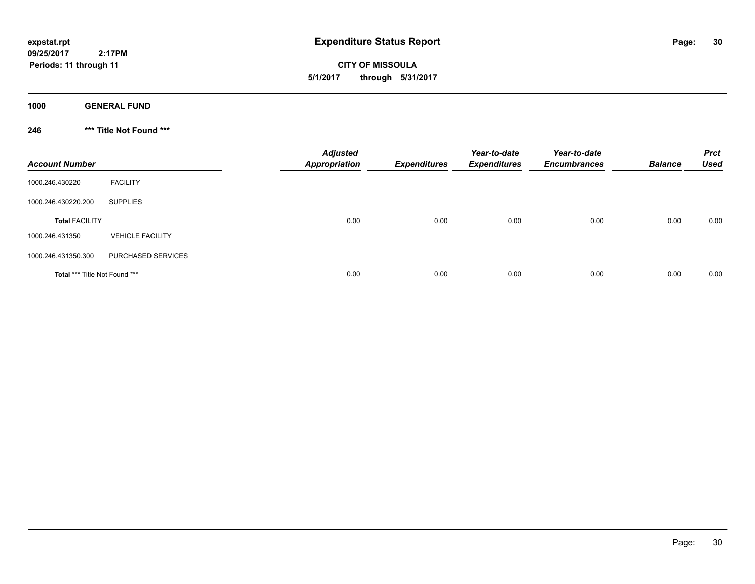**CITY OF MISSOULA 5/1/2017 through 5/31/2017**

**1000 GENERAL FUND**

**246 \*\*\* Title Not Found \*\*\***

| <b>Account Number</b>         |                         | <b>Adjusted</b><br>Appropriation | <b>Expenditures</b> | Year-to-date<br><b>Expenditures</b> | Year-to-date<br><b>Encumbrances</b> | <b>Balance</b> | <b>Prct</b><br>Used |
|-------------------------------|-------------------------|----------------------------------|---------------------|-------------------------------------|-------------------------------------|----------------|---------------------|
| 1000.246.430220               | <b>FACILITY</b>         |                                  |                     |                                     |                                     |                |                     |
| 1000.246.430220.200           | <b>SUPPLIES</b>         |                                  |                     |                                     |                                     |                |                     |
| <b>Total FACILITY</b>         |                         | 0.00                             | 0.00                | 0.00                                | 0.00                                | 0.00           | 0.00                |
| 1000.246.431350               | <b>VEHICLE FACILITY</b> |                                  |                     |                                     |                                     |                |                     |
| 1000.246.431350.300           | PURCHASED SERVICES      |                                  |                     |                                     |                                     |                |                     |
| Total *** Title Not Found *** |                         | 0.00                             | 0.00                | 0.00                                | 0.00                                | 0.00           | 0.00                |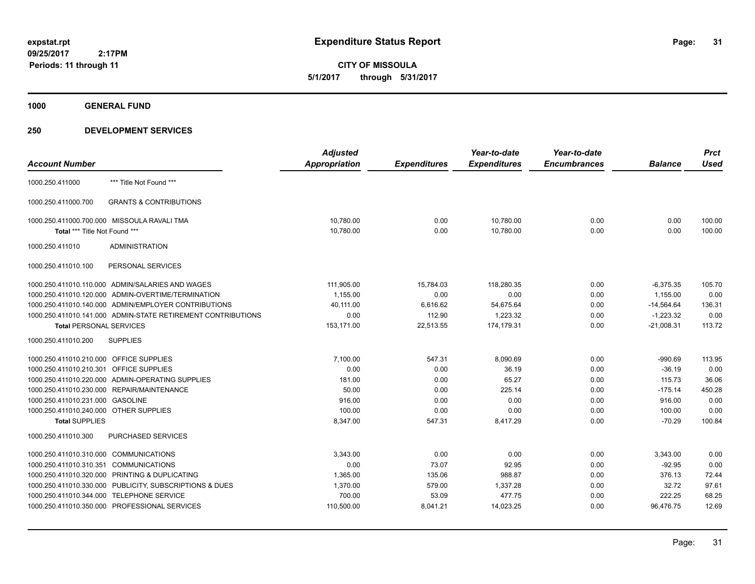**CITY OF MISSOULA 5/1/2017 through 5/31/2017**

**1000 GENERAL FUND**

|                                         |                                                              | <b>Adjusted</b>      |                     | Year-to-date        | Year-to-date        |                | <b>Prct</b> |
|-----------------------------------------|--------------------------------------------------------------|----------------------|---------------------|---------------------|---------------------|----------------|-------------|
| <b>Account Number</b>                   |                                                              | <b>Appropriation</b> | <b>Expenditures</b> | <b>Expenditures</b> | <b>Encumbrances</b> | <b>Balance</b> | <b>Used</b> |
| 1000.250.411000                         | *** Title Not Found ***                                      |                      |                     |                     |                     |                |             |
| 1000.250.411000.700                     | <b>GRANTS &amp; CONTRIBUTIONS</b>                            |                      |                     |                     |                     |                |             |
|                                         | 1000.250.411000.700.000 MISSOULA RAVALI TMA                  | 10,780.00            | 0.00                | 10,780.00           | 0.00                | 0.00           | 100.00      |
| Total *** Title Not Found ***           |                                                              | 10,780.00            | 0.00                | 10,780.00           | 0.00                | 0.00           | 100.00      |
| 1000.250.411010                         | <b>ADMINISTRATION</b>                                        |                      |                     |                     |                     |                |             |
| 1000.250.411010.100                     | PERSONAL SERVICES                                            |                      |                     |                     |                     |                |             |
|                                         | 1000.250.411010.110.000 ADMIN/SALARIES AND WAGES             | 111,905.00           | 15,784.03           | 118,280.35          | 0.00                | $-6,375.35$    | 105.70      |
|                                         | 1000.250.411010.120.000 ADMIN-OVERTIME/TERMINATION           | 1.155.00             | 0.00                | 0.00                | 0.00                | 1,155.00       | 0.00        |
|                                         | 1000.250.411010.140.000 ADMIN/EMPLOYER CONTRIBUTIONS         | 40,111.00            | 6,616.62            | 54,675.64           | 0.00                | $-14,564.64$   | 136.31      |
|                                         | 1000.250.411010.141.000 ADMIN-STATE RETIREMENT CONTRIBUTIONS | 0.00                 | 112.90              | 1,223.32            | 0.00                | $-1,223.32$    | 0.00        |
| <b>Total PERSONAL SERVICES</b>          |                                                              | 153,171.00           | 22,513.55           | 174,179.31          | 0.00                | $-21,008.31$   | 113.72      |
| 1000.250.411010.200                     | <b>SUPPLIES</b>                                              |                      |                     |                     |                     |                |             |
| 1000.250.411010.210.000 OFFICE SUPPLIES |                                                              | 7,100.00             | 547.31              | 8,090.69            | 0.00                | $-990.69$      | 113.95      |
| 1000.250.411010.210.301                 | <b>OFFICE SUPPLIES</b>                                       | 0.00                 | 0.00                | 36.19               | 0.00                | $-36.19$       | 0.00        |
|                                         | 1000.250.411010.220.000 ADMIN-OPERATING SUPPLIES             | 181.00               | 0.00                | 65.27               | 0.00                | 115.73         | 36.06       |
| 1000.250.411010.230.000                 | REPAIR/MAINTENANCE                                           | 50.00                | 0.00                | 225.14              | 0.00                | $-175.14$      | 450.28      |
| 1000.250.411010.231.000                 | <b>GASOLINE</b>                                              | 916.00               | 0.00                | 0.00                | 0.00                | 916.00         | 0.00        |
| 1000.250.411010.240.000 OTHER SUPPLIES  |                                                              | 100.00               | 0.00                | 0.00                | 0.00                | 100.00         | 0.00        |
| <b>Total SUPPLIES</b>                   |                                                              | 8,347.00             | 547.31              | 8,417.29            | 0.00                | $-70.29$       | 100.84      |
| 1000.250.411010.300                     | <b>PURCHASED SERVICES</b>                                    |                      |                     |                     |                     |                |             |
| 1000.250.411010.310.000                 | <b>COMMUNICATIONS</b>                                        | 3,343.00             | 0.00                | 0.00                | 0.00                | 3,343.00       | 0.00        |
| 1000.250.411010.310.351                 | <b>COMMUNICATIONS</b>                                        | 0.00                 | 73.07               | 92.95               | 0.00                | $-92.95$       | 0.00        |
| 1000.250.411010.320.000                 | PRINTING & DUPLICATING                                       | 1,365.00             | 135.06              | 988.87              | 0.00                | 376.13         | 72.44       |
| 1000.250.411010.330.000                 | PUBLICITY, SUBSCRIPTIONS & DUES                              | 1,370.00             | 579.00              | 1,337.28            | 0.00                | 32.72          | 97.61       |
| 1000.250.411010.344.000                 | <b>TELEPHONE SERVICE</b>                                     | 700.00               | 53.09               | 477.75              | 0.00                | 222.25         | 68.25       |
|                                         | 1000.250.411010.350.000 PROFESSIONAL SERVICES                | 110,500.00           | 8,041.21            | 14,023.25           | 0.00                | 96,476.75      | 12.69       |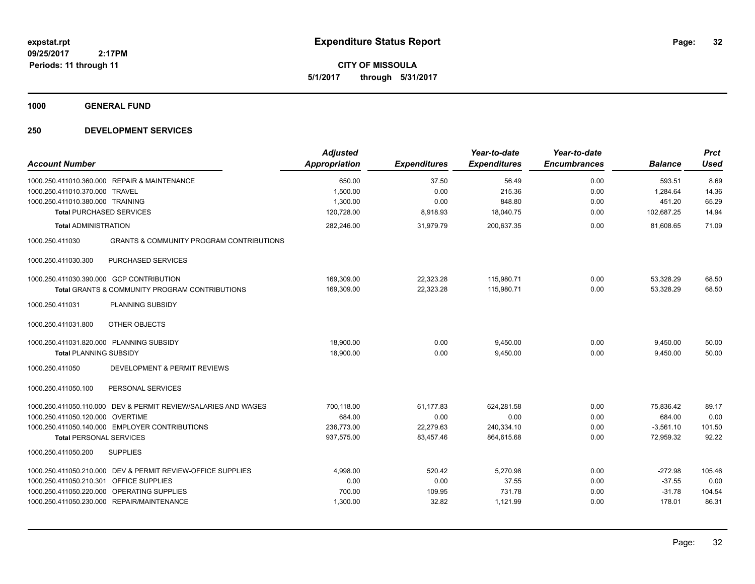**CITY OF MISSOULA 5/1/2017 through 5/31/2017**

**1000 GENERAL FUND**

| <b>Account Number</b>                                                     |                                                                                                                                                         | <b>Adjusted</b><br>Appropriation                 | <b>Expenditures</b>                         | Year-to-date<br><b>Expenditures</b>            | Year-to-date<br><b>Encumbrances</b> | <b>Balance</b>                                  | <b>Prct</b><br><b>Used</b>        |
|---------------------------------------------------------------------------|---------------------------------------------------------------------------------------------------------------------------------------------------------|--------------------------------------------------|---------------------------------------------|------------------------------------------------|-------------------------------------|-------------------------------------------------|-----------------------------------|
| 1000.250.411010.370.000 TRAVEL<br>1000.250.411010.380.000 TRAINING        | 1000.250.411010.360.000 REPAIR & MAINTENANCE                                                                                                            | 650.00<br>1,500.00<br>1,300.00                   | 37.50<br>0.00<br>0.00                       | 56.49<br>215.36<br>848.80                      | 0.00<br>0.00<br>0.00                | 593.51<br>1,284.64<br>451.20                    | 8.69<br>14.36<br>65.29            |
| <b>Total PURCHASED SERVICES</b>                                           |                                                                                                                                                         | 120,728.00                                       | 8,918.93                                    | 18,040.75                                      | 0.00                                | 102,687.25                                      | 14.94                             |
| <b>Total ADMINISTRATION</b>                                               |                                                                                                                                                         | 282,246.00                                       | 31,979.79                                   | 200,637.35                                     | 0.00                                | 81,608.65                                       | 71.09                             |
| 1000.250.411030                                                           | <b>GRANTS &amp; COMMUNITY PROGRAM CONTRIBUTIONS</b>                                                                                                     |                                                  |                                             |                                                |                                     |                                                 |                                   |
| 1000.250.411030.300                                                       | PURCHASED SERVICES                                                                                                                                      |                                                  |                                             |                                                |                                     |                                                 |                                   |
| 1000.250.411030.390.000 GCP CONTRIBUTION                                  | <b>Total GRANTS &amp; COMMUNITY PROGRAM CONTRIBUTIONS</b>                                                                                               | 169,309.00<br>169,309.00                         | 22,323.28<br>22,323.28                      | 115,980.71<br>115,980.71                       | 0.00<br>0.00                        | 53,328.29<br>53,328.29                          | 68.50<br>68.50                    |
| 1000.250.411031                                                           | <b>PLANNING SUBSIDY</b>                                                                                                                                 |                                                  |                                             |                                                |                                     |                                                 |                                   |
| 1000.250.411031.800                                                       | OTHER OBJECTS                                                                                                                                           |                                                  |                                             |                                                |                                     |                                                 |                                   |
| 1000.250.411031.820.000 PLANNING SUBSIDY<br><b>Total PLANNING SUBSIDY</b> |                                                                                                                                                         | 18,900.00<br>18,900.00                           | 0.00<br>0.00                                | 9,450.00<br>9,450.00                           | 0.00<br>0.00                        | 9,450.00<br>9,450.00                            | 50.00<br>50.00                    |
| 1000.250.411050                                                           | DEVELOPMENT & PERMIT REVIEWS                                                                                                                            |                                                  |                                             |                                                |                                     |                                                 |                                   |
| 1000.250.411050.100                                                       | PERSONAL SERVICES                                                                                                                                       |                                                  |                                             |                                                |                                     |                                                 |                                   |
| 1000.250.411050.120.000 OVERTIME<br><b>Total PERSONAL SERVICES</b>        | 1000.250.411050.110.000 DEV & PERMIT REVIEW/SALARIES AND WAGES<br>1000.250.411050.140.000 EMPLOYER CONTRIBUTIONS                                        | 700.118.00<br>684.00<br>236,773.00<br>937,575.00 | 61.177.83<br>0.00<br>22,279.63<br>83,457.46 | 624.281.58<br>0.00<br>240,334.10<br>864,615.68 | 0.00<br>0.00<br>0.00<br>0.00        | 75.836.42<br>684.00<br>$-3,561.10$<br>72,959.32 | 89.17<br>0.00<br>101.50<br>92.22  |
| 1000.250.411050.200                                                       | <b>SUPPLIES</b>                                                                                                                                         |                                                  |                                             |                                                |                                     |                                                 |                                   |
| 1000.250.411050.210.301 OFFICE SUPPLIES                                   | 1000.250.411050.210.000 DEV & PERMIT REVIEW-OFFICE SUPPLIES<br>1000.250.411050.220.000 OPERATING SUPPLIES<br>1000.250.411050.230.000 REPAIR/MAINTENANCE | 4,998.00<br>0.00<br>700.00<br>1,300.00           | 520.42<br>0.00<br>109.95<br>32.82           | 5,270.98<br>37.55<br>731.78<br>1,121.99        | 0.00<br>0.00<br>0.00<br>0.00        | $-272.98$<br>$-37.55$<br>$-31.78$<br>178.01     | 105.46<br>0.00<br>104.54<br>86.31 |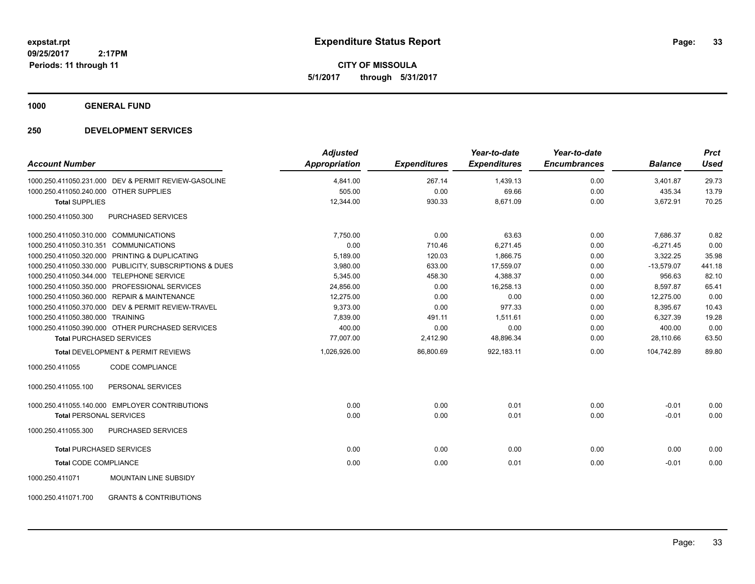**CITY OF MISSOULA 5/1/2017 through 5/31/2017**

**1000 GENERAL FUND**

| <b>Account Number</b>                                    | <b>Adjusted</b><br><b>Appropriation</b> | <b>Expenditures</b> | Year-to-date<br><b>Expenditures</b> | Year-to-date<br><b>Encumbrances</b> | <b>Balance</b> | <b>Prct</b><br><b>Used</b> |
|----------------------------------------------------------|-----------------------------------------|---------------------|-------------------------------------|-------------------------------------|----------------|----------------------------|
| 1000.250.411050.231.000 DEV & PERMIT REVIEW-GASOLINE     | 4,841.00                                | 267.14              | 1,439.13                            | 0.00                                | 3,401.87       | 29.73                      |
| 1000.250.411050.240.000 OTHER SUPPLIES                   | 505.00                                  | 0.00                | 69.66                               | 0.00                                | 435.34         | 13.79                      |
| <b>Total SUPPLIES</b>                                    | 12,344.00                               | 930.33              | 8,671.09                            | 0.00                                | 3,672.91       | 70.25                      |
| 1000.250.411050.300<br>PURCHASED SERVICES                |                                         |                     |                                     |                                     |                |                            |
| 1000.250.411050.310.000 COMMUNICATIONS                   | 7,750.00                                | 0.00                | 63.63                               | 0.00                                | 7,686.37       | 0.82                       |
| 1000.250.411050.310.351 COMMUNICATIONS                   | 0.00                                    | 710.46              | 6,271.45                            | 0.00                                | $-6,271.45$    | 0.00                       |
| 1000.250.411050.320.000 PRINTING & DUPLICATING           | 5,189.00                                | 120.03              | 1,866.75                            | 0.00                                | 3,322.25       | 35.98                      |
| 1000.250.411050.330.000 PUBLICITY, SUBSCRIPTIONS & DUES  | 3,980.00                                | 633.00              | 17,559.07                           | 0.00                                | $-13,579.07$   | 441.18                     |
| 1000.250.411050.344.000 TELEPHONE SERVICE                | 5,345.00                                | 458.30              | 4,388.37                            | 0.00                                | 956.63         | 82.10                      |
| 1000.250.411050.350.000 PROFESSIONAL SERVICES            | 24,856.00                               | 0.00                | 16,258.13                           | 0.00                                | 8,597.87       | 65.41                      |
| 1000.250.411050.360.000 REPAIR & MAINTENANCE             | 12,275.00                               | 0.00                | 0.00                                | 0.00                                | 12,275.00      | 0.00                       |
| 1000.250.411050.370.000 DEV & PERMIT REVIEW-TRAVEL       | 9,373.00                                | 0.00                | 977.33                              | 0.00                                | 8,395.67       | 10.43                      |
| 1000.250.411050.380.000 TRAINING                         | 7,839.00                                | 491.11              | 1,511.61                            | 0.00                                | 6,327.39       | 19.28                      |
| 1000.250.411050.390.000 OTHER PURCHASED SERVICES         | 400.00                                  | 0.00                | 0.00                                | 0.00                                | 400.00         | 0.00                       |
| <b>Total PURCHASED SERVICES</b>                          | 77,007.00                               | 2,412.90            | 48,896.34                           | 0.00                                | 28,110.66      | 63.50                      |
| <b>Total DEVELOPMENT &amp; PERMIT REVIEWS</b>            | 1,026,926.00                            | 86,800.69           | 922,183.11                          | 0.00                                | 104.742.89     | 89.80                      |
| 1000.250.411055<br><b>CODE COMPLIANCE</b>                |                                         |                     |                                     |                                     |                |                            |
| 1000.250.411055.100<br>PERSONAL SERVICES                 |                                         |                     |                                     |                                     |                |                            |
| 1000.250.411055.140.000 EMPLOYER CONTRIBUTIONS           | 0.00                                    | 0.00                | 0.01                                | 0.00                                | $-0.01$        | 0.00                       |
| <b>Total PERSONAL SERVICES</b>                           | 0.00                                    | 0.00                | 0.01                                | 0.00                                | $-0.01$        | 0.00                       |
| 1000.250.411055.300<br>PURCHASED SERVICES                |                                         |                     |                                     |                                     |                |                            |
| <b>Total PURCHASED SERVICES</b>                          | 0.00                                    | 0.00                | 0.00                                | 0.00                                | 0.00           | 0.00                       |
| <b>Total CODE COMPLIANCE</b>                             | 0.00                                    | 0.00                | 0.01                                | 0.00                                | $-0.01$        | 0.00                       |
| <b>MOUNTAIN LINE SUBSIDY</b><br>1000.250.411071          |                                         |                     |                                     |                                     |                |                            |
| <b>GRANTS &amp; CONTRIBUTIONS</b><br>1000.250.411071.700 |                                         |                     |                                     |                                     |                |                            |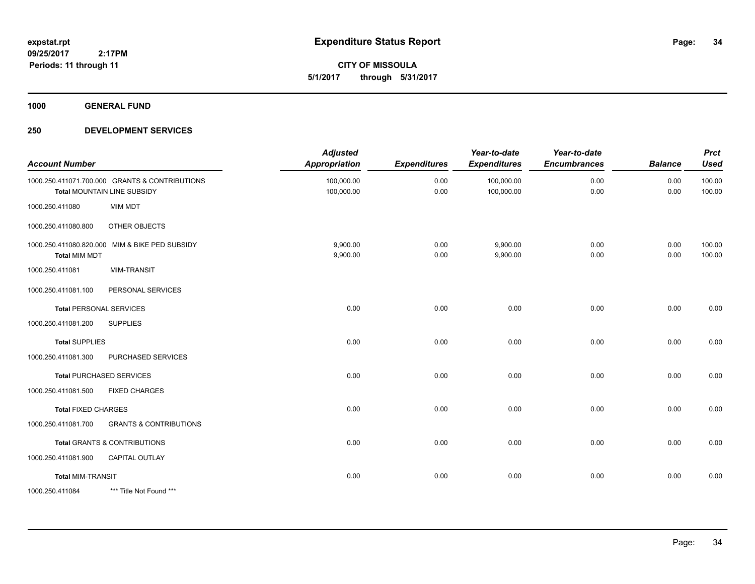**CITY OF MISSOULA 5/1/2017 through 5/31/2017**

**1000 GENERAL FUND**

| <b>Account Number</b>      |                                                                               | <b>Adjusted</b><br><b>Appropriation</b> | <b>Expenditures</b> | Year-to-date<br><b>Expenditures</b> | Year-to-date<br><b>Encumbrances</b> | <b>Balance</b> | <b>Prct</b><br><b>Used</b> |
|----------------------------|-------------------------------------------------------------------------------|-----------------------------------------|---------------------|-------------------------------------|-------------------------------------|----------------|----------------------------|
|                            | 1000.250.411071.700.000 GRANTS & CONTRIBUTIONS<br>Total MOUNTAIN LINE SUBSIDY | 100,000.00<br>100,000.00                | 0.00<br>0.00        | 100,000.00<br>100,000.00            | 0.00<br>0.00                        | 0.00<br>0.00   | 100.00<br>100.00           |
| 1000.250.411080            | <b>MIM MDT</b>                                                                |                                         |                     |                                     |                                     |                |                            |
| 1000.250.411080.800        | OTHER OBJECTS                                                                 |                                         |                     |                                     |                                     |                |                            |
| <b>Total MIM MDT</b>       | 1000.250.411080.820.000 MIM & BIKE PED SUBSIDY                                | 9,900.00<br>9,900.00                    | 0.00<br>0.00        | 9,900.00<br>9,900.00                | 0.00<br>0.00                        | 0.00<br>0.00   | 100.00<br>100.00           |
| 1000.250.411081            | <b>MIM-TRANSIT</b>                                                            |                                         |                     |                                     |                                     |                |                            |
| 1000.250.411081.100        | PERSONAL SERVICES                                                             |                                         |                     |                                     |                                     |                |                            |
|                            | <b>Total PERSONAL SERVICES</b>                                                | 0.00                                    | 0.00                | 0.00                                | 0.00                                | 0.00           | 0.00                       |
| 1000.250.411081.200        | <b>SUPPLIES</b>                                                               |                                         |                     |                                     |                                     |                |                            |
| <b>Total SUPPLIES</b>      |                                                                               | 0.00                                    | 0.00                | 0.00                                | 0.00                                | 0.00           | 0.00                       |
| 1000.250.411081.300        | PURCHASED SERVICES                                                            |                                         |                     |                                     |                                     |                |                            |
|                            | <b>Total PURCHASED SERVICES</b>                                               | 0.00                                    | 0.00                | 0.00                                | 0.00                                | 0.00           | 0.00                       |
| 1000.250.411081.500        | <b>FIXED CHARGES</b>                                                          |                                         |                     |                                     |                                     |                |                            |
| <b>Total FIXED CHARGES</b> |                                                                               | 0.00                                    | 0.00                | 0.00                                | 0.00                                | 0.00           | 0.00                       |
| 1000.250.411081.700        | <b>GRANTS &amp; CONTRIBUTIONS</b>                                             |                                         |                     |                                     |                                     |                |                            |
|                            | <b>Total GRANTS &amp; CONTRIBUTIONS</b>                                       | 0.00                                    | 0.00                | 0.00                                | 0.00                                | 0.00           | 0.00                       |
| 1000.250.411081.900        | CAPITAL OUTLAY                                                                |                                         |                     |                                     |                                     |                |                            |
| <b>Total MIM-TRANSIT</b>   |                                                                               | 0.00                                    | 0.00                | 0.00                                | 0.00                                | 0.00           | 0.00                       |
| 1000.250.411084            | *** Title Not Found ***                                                       |                                         |                     |                                     |                                     |                |                            |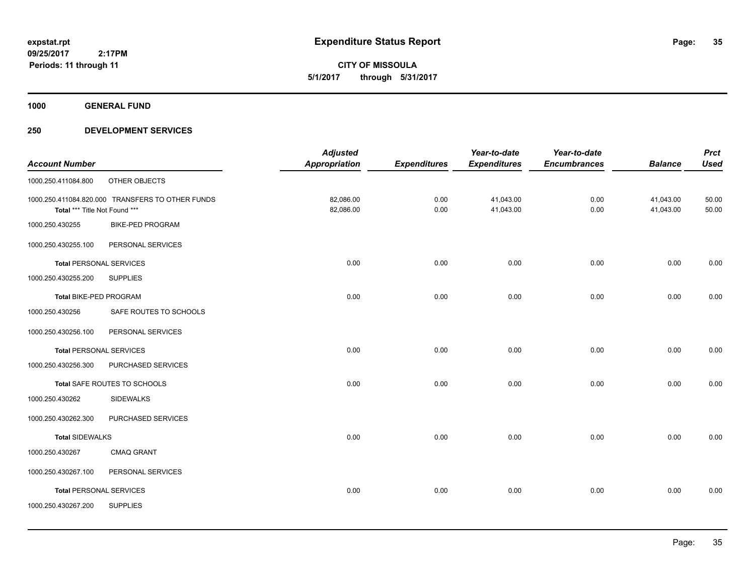**CITY OF MISSOULA 5/1/2017 through 5/31/2017**

**1000 GENERAL FUND**

|                                |                                                  | <b>Adjusted</b>      |                     | Year-to-date        | Year-to-date        |                | <b>Prct</b> |
|--------------------------------|--------------------------------------------------|----------------------|---------------------|---------------------|---------------------|----------------|-------------|
| <b>Account Number</b>          |                                                  | <b>Appropriation</b> | <b>Expenditures</b> | <b>Expenditures</b> | <b>Encumbrances</b> | <b>Balance</b> | <b>Used</b> |
| 1000.250.411084.800            | OTHER OBJECTS                                    |                      |                     |                     |                     |                |             |
|                                | 1000.250.411084.820.000 TRANSFERS TO OTHER FUNDS | 82,086.00            | 0.00                | 41,043.00           | 0.00                | 41,043.00      | 50.00       |
| Total *** Title Not Found ***  |                                                  | 82,086.00            | 0.00                | 41,043.00           | 0.00                | 41,043.00      | 50.00       |
| 1000.250.430255                | <b>BIKE-PED PROGRAM</b>                          |                      |                     |                     |                     |                |             |
| 1000.250.430255.100            | PERSONAL SERVICES                                |                      |                     |                     |                     |                |             |
| <b>Total PERSONAL SERVICES</b> |                                                  | 0.00                 | 0.00                | 0.00                | 0.00                | 0.00           | 0.00        |
| 1000.250.430255.200            | <b>SUPPLIES</b>                                  |                      |                     |                     |                     |                |             |
| Total BIKE-PED PROGRAM         |                                                  | 0.00                 | 0.00                | 0.00                | 0.00                | 0.00           | 0.00        |
| 1000.250.430256                | SAFE ROUTES TO SCHOOLS                           |                      |                     |                     |                     |                |             |
| 1000.250.430256.100            | PERSONAL SERVICES                                |                      |                     |                     |                     |                |             |
| <b>Total PERSONAL SERVICES</b> |                                                  | 0.00                 | 0.00                | 0.00                | 0.00                | 0.00           | 0.00        |
| 1000.250.430256.300            | PURCHASED SERVICES                               |                      |                     |                     |                     |                |             |
|                                | Total SAFE ROUTES TO SCHOOLS                     | 0.00                 | 0.00                | 0.00                | 0.00                | 0.00           | 0.00        |
| 1000.250.430262                | <b>SIDEWALKS</b>                                 |                      |                     |                     |                     |                |             |
| 1000.250.430262.300            | PURCHASED SERVICES                               |                      |                     |                     |                     |                |             |
| <b>Total SIDEWALKS</b>         |                                                  | 0.00                 | 0.00                | 0.00                | 0.00                | 0.00           | 0.00        |
| 1000.250.430267                | <b>CMAQ GRANT</b>                                |                      |                     |                     |                     |                |             |
| 1000.250.430267.100            | PERSONAL SERVICES                                |                      |                     |                     |                     |                |             |
| <b>Total PERSONAL SERVICES</b> |                                                  | 0.00                 | 0.00                | 0.00                | 0.00                | 0.00           | 0.00        |
| 1000.250.430267.200            | <b>SUPPLIES</b>                                  |                      |                     |                     |                     |                |             |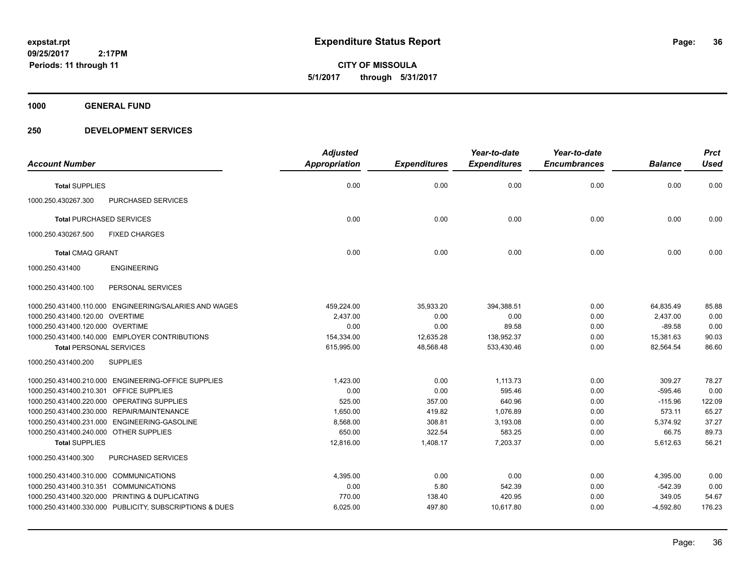**CITY OF MISSOULA 5/1/2017 through 5/31/2017**

**1000 GENERAL FUND**

|                                                         | <b>Adjusted</b>      |                     | Year-to-date        | Year-to-date        |                | <b>Prct</b> |
|---------------------------------------------------------|----------------------|---------------------|---------------------|---------------------|----------------|-------------|
| <b>Account Number</b>                                   | <b>Appropriation</b> | <b>Expenditures</b> | <b>Expenditures</b> | <b>Encumbrances</b> | <b>Balance</b> | <b>Used</b> |
| <b>Total SUPPLIES</b>                                   | 0.00                 | 0.00                | 0.00                | 0.00                | 0.00           | 0.00        |
| 1000.250.430267.300<br><b>PURCHASED SERVICES</b>        |                      |                     |                     |                     |                |             |
| <b>Total PURCHASED SERVICES</b>                         | 0.00                 | 0.00                | 0.00                | 0.00                | 0.00           | 0.00        |
| 1000.250.430267.500<br><b>FIXED CHARGES</b>             |                      |                     |                     |                     |                |             |
| <b>Total CMAQ GRANT</b>                                 | 0.00                 | 0.00                | 0.00                | 0.00                | 0.00           | 0.00        |
| <b>ENGINEERING</b><br>1000.250.431400                   |                      |                     |                     |                     |                |             |
| 1000.250.431400.100<br>PERSONAL SERVICES                |                      |                     |                     |                     |                |             |
| 1000.250.431400.110.000 ENGINEERING/SALARIES AND WAGES  | 459,224.00           | 35,933.20           | 394,388.51          | 0.00                | 64,835.49      | 85.88       |
| 1000.250.431400.120.00 OVERTIME                         | 2,437.00             | 0.00                | 0.00                | 0.00                | 2,437.00       | 0.00        |
| 1000.250.431400.120.000 OVERTIME                        | 0.00                 | 0.00                | 89.58               | 0.00                | $-89.58$       | 0.00        |
| 1000.250.431400.140.000 EMPLOYER CONTRIBUTIONS          | 154,334.00           | 12.635.28           | 138,952.37          | 0.00                | 15,381.63      | 90.03       |
| <b>Total PERSONAL SERVICES</b>                          | 615,995.00           | 48,568.48           | 533,430.46          | 0.00                | 82,564.54      | 86.60       |
| <b>SUPPLIES</b><br>1000.250.431400.200                  |                      |                     |                     |                     |                |             |
| 1000.250.431400.210.000 ENGINEERING-OFFICE SUPPLIES     | 1.423.00             | 0.00                | 1.113.73            | 0.00                | 309.27         | 78.27       |
| 1000.250.431400.210.301 OFFICE SUPPLIES                 | 0.00                 | 0.00                | 595.46              | 0.00                | $-595.46$      | 0.00        |
| 1000.250.431400.220.000 OPERATING SUPPLIES              | 525.00               | 357.00              | 640.96              | 0.00                | $-115.96$      | 122.09      |
| 1000.250.431400.230.000 REPAIR/MAINTENANCE              | 1.650.00             | 419.82              | 1.076.89            | 0.00                | 573.11         | 65.27       |
| 1000.250.431400.231.000 ENGINEERING-GASOLINE            | 8,568.00             | 308.81              | 3,193.08            | 0.00                | 5,374.92       | 37.27       |
| 1000.250.431400.240.000 OTHER SUPPLIES                  | 650.00               | 322.54              | 583.25              | 0.00                | 66.75          | 89.73       |
| <b>Total SUPPLIES</b>                                   | 12,816.00            | 1,408.17            | 7,203.37            | 0.00                | 5,612.63       | 56.21       |
| <b>PURCHASED SERVICES</b><br>1000.250.431400.300        |                      |                     |                     |                     |                |             |
| 1000.250.431400.310.000 COMMUNICATIONS                  | 4,395.00             | 0.00                | 0.00                | 0.00                | 4,395.00       | 0.00        |
| 1000.250.431400.310.351 COMMUNICATIONS                  | 0.00                 | 5.80                | 542.39              | 0.00                | $-542.39$      | 0.00        |
| 1000.250.431400.320.000 PRINTING & DUPLICATING          | 770.00               | 138.40              | 420.95              | 0.00                | 349.05         | 54.67       |
| 1000.250.431400.330.000 PUBLICITY, SUBSCRIPTIONS & DUES | 6,025.00             | 497.80              | 10,617.80           | 0.00                | $-4,592.80$    | 176.23      |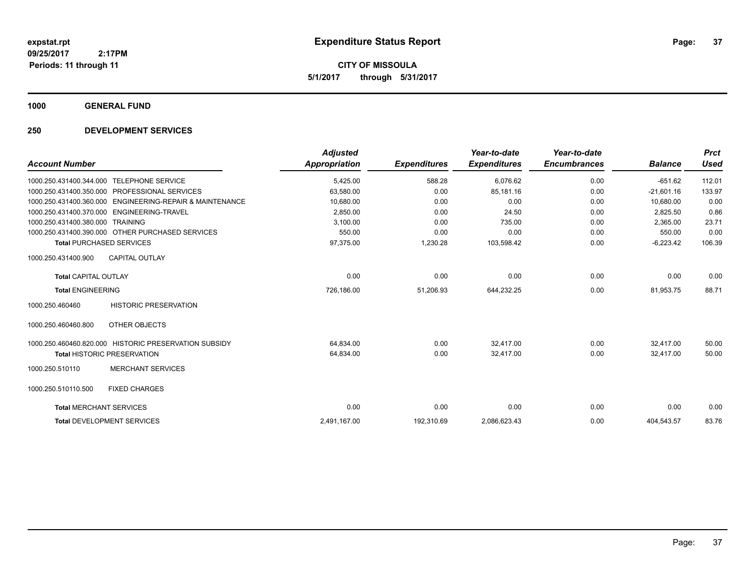**CITY OF MISSOULA 5/1/2017 through 5/31/2017**

**1000 GENERAL FUND**

### **250 DEVELOPMENT SERVICES**

|                                                             | <b>Adjusted</b> |                     | Year-to-date        | Year-to-date        |                | <b>Prct</b> |
|-------------------------------------------------------------|-----------------|---------------------|---------------------|---------------------|----------------|-------------|
| <b>Account Number</b>                                       | Appropriation   | <b>Expenditures</b> | <b>Expenditures</b> | <b>Encumbrances</b> | <b>Balance</b> | <b>Used</b> |
| <b>TELEPHONE SERVICE</b><br>1000.250.431400.344.000         | 5,425.00        | 588.28              | 6,076.62            | 0.00                | $-651.62$      | 112.01      |
| PROFESSIONAL SERVICES<br>1000.250.431400.350.000            | 63,580.00       | 0.00                | 85,181.16           | 0.00                | $-21,601.16$   | 133.97      |
| ENGINEERING-REPAIR & MAINTENANCE<br>1000.250.431400.360.000 | 10,680.00       | 0.00                | 0.00                | 0.00                | 10.680.00      | 0.00        |
| ENGINEERING-TRAVEL<br>1000.250.431400.370.000               | 2,850.00        | 0.00                | 24.50               | 0.00                | 2,825.50       | 0.86        |
| 1000.250.431400.380.000<br><b>TRAINING</b>                  | 3.100.00        | 0.00                | 735.00              | 0.00                | 2.365.00       | 23.71       |
| 1000.250.431400.390.000 OTHER PURCHASED SERVICES            | 550.00          | 0.00                | 0.00                | 0.00                | 550.00         | 0.00        |
| <b>Total PURCHASED SERVICES</b>                             | 97,375.00       | 1,230.28            | 103,598.42          | 0.00                | $-6,223.42$    | 106.39      |
| <b>CAPITAL OUTLAY</b><br>1000.250.431400.900                |                 |                     |                     |                     |                |             |
| <b>Total CAPITAL OUTLAY</b>                                 | 0.00            | 0.00                | 0.00                | 0.00                | 0.00           | 0.00        |
| <b>Total ENGINEERING</b>                                    | 726,186.00      | 51,206.93           | 644,232.25          | 0.00                | 81,953.75      | 88.71       |
| <b>HISTORIC PRESERVATION</b><br>1000.250.460460             |                 |                     |                     |                     |                |             |
| OTHER OBJECTS<br>1000.250.460460.800                        |                 |                     |                     |                     |                |             |
| 1000.250.460460.820.000 HISTORIC PRESERVATION SUBSIDY       | 64,834.00       | 0.00                | 32.417.00           | 0.00                | 32.417.00      | 50.00       |
| <b>Total HISTORIC PRESERVATION</b>                          | 64,834.00       | 0.00                | 32,417.00           | 0.00                | 32.417.00      | 50.00       |
| <b>MERCHANT SERVICES</b><br>1000.250.510110                 |                 |                     |                     |                     |                |             |
| 1000.250.510110.500<br><b>FIXED CHARGES</b>                 |                 |                     |                     |                     |                |             |
| <b>Total MERCHANT SERVICES</b>                              | 0.00            | 0.00                | 0.00                | 0.00                | 0.00           | 0.00        |
| <b>Total DEVELOPMENT SERVICES</b>                           | 2,491,167.00    | 192,310.69          | 2,086,623.43        | 0.00                | 404,543.57     | 83.76       |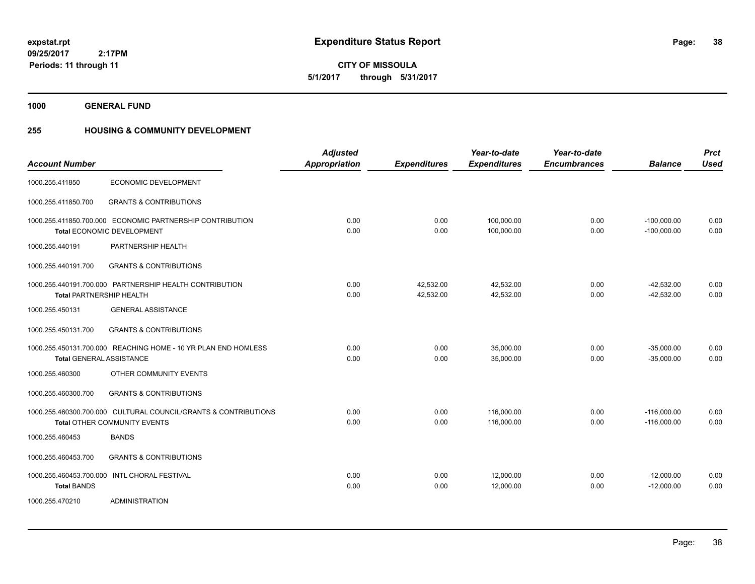**1000 GENERAL FUND**

## **255 HOUSING & COMMUNITY DEVELOPMENT**

| <b>Account Number</b>           |                                                                                                 | <b>Adjusted</b><br><b>Appropriation</b> | <b>Expenditures</b>    | Year-to-date<br><b>Expenditures</b> | Year-to-date<br><b>Encumbrances</b> | <b>Balance</b>                 | <b>Prct</b><br><b>Used</b> |
|---------------------------------|-------------------------------------------------------------------------------------------------|-----------------------------------------|------------------------|-------------------------------------|-------------------------------------|--------------------------------|----------------------------|
| 1000.255.411850                 | ECONOMIC DEVELOPMENT                                                                            |                                         |                        |                                     |                                     |                                |                            |
| 1000.255.411850.700             | <b>GRANTS &amp; CONTRIBUTIONS</b>                                                               |                                         |                        |                                     |                                     |                                |                            |
|                                 | 1000.255.411850.700.000 ECONOMIC PARTNERSHIP CONTRIBUTION<br>Total ECONOMIC DEVELOPMENT         | 0.00<br>0.00                            | 0.00<br>0.00           | 100,000.00<br>100,000.00            | 0.00<br>0.00                        | $-100,000.00$<br>$-100,000.00$ | 0.00<br>0.00               |
| 1000.255.440191                 | PARTNERSHIP HEALTH                                                                              |                                         |                        |                                     |                                     |                                |                            |
| 1000.255.440191.700             | <b>GRANTS &amp; CONTRIBUTIONS</b>                                                               |                                         |                        |                                     |                                     |                                |                            |
| <b>Total PARTNERSHIP HEALTH</b> | 1000.255.440191.700.000 PARTNERSHIP HEALTH CONTRIBUTION                                         | 0.00<br>0.00                            | 42,532.00<br>42,532.00 | 42,532.00<br>42,532.00              | 0.00<br>0.00                        | $-42,532.00$<br>$-42,532.00$   | 0.00<br>0.00               |
| 1000.255.450131                 | <b>GENERAL ASSISTANCE</b>                                                                       |                                         |                        |                                     |                                     |                                |                            |
| 1000.255.450131.700             | <b>GRANTS &amp; CONTRIBUTIONS</b>                                                               |                                         |                        |                                     |                                     |                                |                            |
| <b>Total GENERAL ASSISTANCE</b> | 1000.255.450131.700.000 REACHING HOME - 10 YR PLAN END HOMLESS                                  | 0.00<br>0.00                            | 0.00<br>0.00           | 35,000.00<br>35,000.00              | 0.00<br>0.00                        | $-35,000.00$<br>$-35,000.00$   | 0.00<br>0.00               |
| 1000.255.460300                 | OTHER COMMUNITY EVENTS                                                                          |                                         |                        |                                     |                                     |                                |                            |
| 1000.255.460300.700             | <b>GRANTS &amp; CONTRIBUTIONS</b>                                                               |                                         |                        |                                     |                                     |                                |                            |
|                                 | 1000.255.460300.700.000 CULTURAL COUNCIL/GRANTS & CONTRIBUTIONS<br>Total OTHER COMMUNITY EVENTS | 0.00<br>0.00                            | 0.00<br>0.00           | 116,000.00<br>116,000.00            | 0.00<br>0.00                        | $-116,000.00$<br>$-116,000.00$ | 0.00<br>0.00               |
| 1000.255.460453                 | <b>BANDS</b>                                                                                    |                                         |                        |                                     |                                     |                                |                            |
| 1000.255.460453.700             | <b>GRANTS &amp; CONTRIBUTIONS</b>                                                               |                                         |                        |                                     |                                     |                                |                            |
| <b>Total BANDS</b>              | 1000.255.460453.700.000 INTL CHORAL FESTIVAL                                                    | 0.00<br>0.00                            | 0.00<br>0.00           | 12,000.00<br>12,000.00              | 0.00<br>0.00                        | $-12,000.00$<br>$-12,000.00$   | 0.00<br>0.00               |
| 1000.255.470210                 | <b>ADMINISTRATION</b>                                                                           |                                         |                        |                                     |                                     |                                |                            |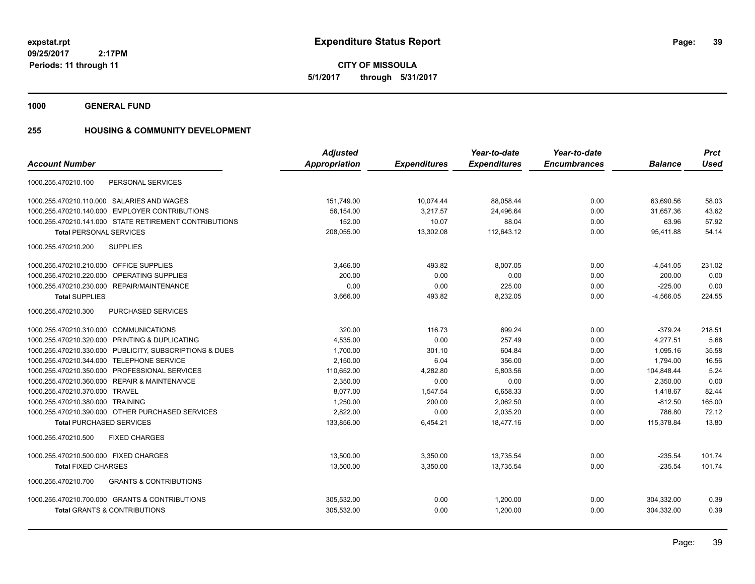**CITY OF MISSOULA 5/1/2017 through 5/31/2017**

**1000 GENERAL FUND**

## **255 HOUSING & COMMUNITY DEVELOPMENT**

|                                                          | <b>Adjusted</b> |                     | Year-to-date        | Year-to-date        |                | <b>Prct</b> |
|----------------------------------------------------------|-----------------|---------------------|---------------------|---------------------|----------------|-------------|
| <b>Account Number</b>                                    | Appropriation   | <b>Expenditures</b> | <b>Expenditures</b> | <b>Encumbrances</b> | <b>Balance</b> | <b>Used</b> |
| PERSONAL SERVICES<br>1000.255.470210.100                 |                 |                     |                     |                     |                |             |
| 1000.255.470210.110.000 SALARIES AND WAGES               | 151,749.00      | 10,074.44           | 88,058.44           | 0.00                | 63,690.56      | 58.03       |
| 1000.255.470210.140.000 EMPLOYER CONTRIBUTIONS           | 56,154.00       | 3,217.57            | 24,496.64           | 0.00                | 31.657.36      | 43.62       |
| 1000.255.470210.141.000 STATE RETIREMENT CONTRIBUTIONS   | 152.00          | 10.07               | 88.04               | 0.00                | 63.96          | 57.92       |
| <b>Total PERSONAL SERVICES</b>                           | 208,055.00      | 13,302.08           | 112,643.12          | 0.00                | 95,411.88      | 54.14       |
| 1000.255.470210.200<br><b>SUPPLIES</b>                   |                 |                     |                     |                     |                |             |
| 1000.255.470210.210.000 OFFICE SUPPLIES                  | 3,466.00        | 493.82              | 8,007.05            | 0.00                | $-4,541.05$    | 231.02      |
| 1000.255.470210.220.000 OPERATING SUPPLIES               | 200.00          | 0.00                | 0.00                | 0.00                | 200.00         | 0.00        |
| 1000.255.470210.230.000 REPAIR/MAINTENANCE               | 0.00            | 0.00                | 225.00              | 0.00                | $-225.00$      | 0.00        |
| <b>Total SUPPLIES</b>                                    | 3,666.00        | 493.82              | 8,232.05            | 0.00                | $-4,566.05$    | 224.55      |
| 1000.255.470210.300<br><b>PURCHASED SERVICES</b>         |                 |                     |                     |                     |                |             |
| 1000.255.470210.310.000 COMMUNICATIONS                   | 320.00          | 116.73              | 699.24              | 0.00                | $-379.24$      | 218.51      |
| 1000.255.470210.320.000 PRINTING & DUPLICATING           | 4,535.00        | 0.00                | 257.49              | 0.00                | 4,277.51       | 5.68        |
| 1000.255.470210.330.000 PUBLICITY, SUBSCRIPTIONS & DUES  | 1,700.00        | 301.10              | 604.84              | 0.00                | 1,095.16       | 35.58       |
| 1000.255.470210.344.000 TELEPHONE SERVICE                | 2,150.00        | 6.04                | 356.00              | 0.00                | 1,794.00       | 16.56       |
| 1000.255.470210.350.000 PROFESSIONAL SERVICES            | 110,652.00      | 4,282.80            | 5,803.56            | 0.00                | 104,848.44     | 5.24        |
| 1000.255.470210.360.000 REPAIR & MAINTENANCE             | 2,350.00        | 0.00                | 0.00                | 0.00                | 2,350.00       | 0.00        |
| 1000.255.470210.370.000 TRAVEL                           | 8,077.00        | 1,547.54            | 6,658.33            | 0.00                | 1,418.67       | 82.44       |
| 1000.255.470210.380.000 TRAINING                         | 1,250.00        | 200.00              | 2,062.50            | 0.00                | $-812.50$      | 165.00      |
| 1000.255.470210.390.000 OTHER PURCHASED SERVICES         | 2,822.00        | 0.00                | 2,035.20            | 0.00                | 786.80         | 72.12       |
| <b>Total PURCHASED SERVICES</b>                          | 133,856.00      | 6,454.21            | 18,477.16           | 0.00                | 115,378.84     | 13.80       |
| 1000.255.470210.500<br><b>FIXED CHARGES</b>              |                 |                     |                     |                     |                |             |
| 1000.255.470210.500.000 FIXED CHARGES                    | 13,500.00       | 3,350.00            | 13,735.54           | 0.00                | $-235.54$      | 101.74      |
| <b>Total FIXED CHARGES</b>                               | 13,500.00       | 3,350.00            | 13.735.54           | 0.00                | $-235.54$      | 101.74      |
| 1000.255.470210.700<br><b>GRANTS &amp; CONTRIBUTIONS</b> |                 |                     |                     |                     |                |             |
| 1000.255.470210.700.000 GRANTS & CONTRIBUTIONS           | 305,532.00      | 0.00                | 1,200.00            | 0.00                | 304,332.00     | 0.39        |
| <b>Total GRANTS &amp; CONTRIBUTIONS</b>                  | 305,532.00      | 0.00                | 1,200.00            | 0.00                | 304,332.00     | 0.39        |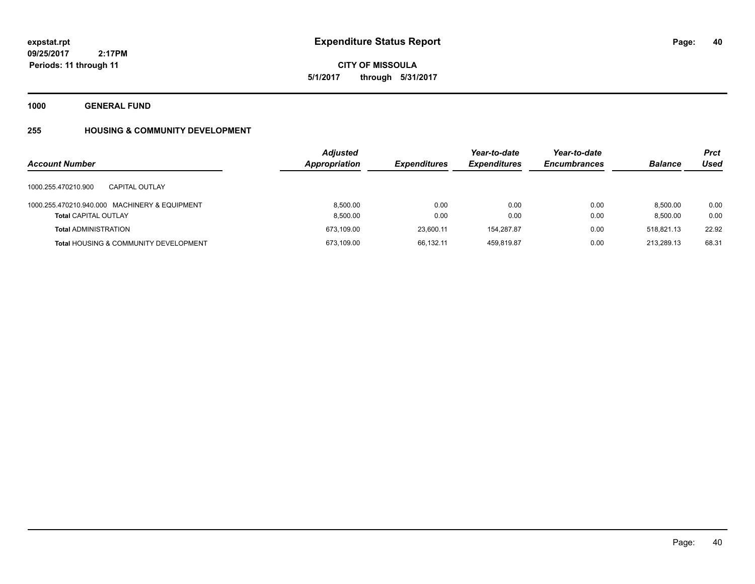**1000 GENERAL FUND**

## **255 HOUSING & COMMUNITY DEVELOPMENT**

| <b>Account Number</b>                                                        | <b>Adjusted</b><br><b>Appropriation</b> | <b>Expenditures</b> | Year-to-date<br><b>Expenditures</b> | Year-to-date<br><b>Encumbrances</b> | <b>Balance</b>       | <b>Prct</b><br>Used |
|------------------------------------------------------------------------------|-----------------------------------------|---------------------|-------------------------------------|-------------------------------------|----------------------|---------------------|
| 1000.255.470210.900<br>CAPITAL OUTLAY                                        |                                         |                     |                                     |                                     |                      |                     |
| 1000.255.470210.940.000 MACHINERY & EQUIPMENT<br><b>Total CAPITAL OUTLAY</b> | 8.500.00<br>8.500.00                    | 0.00<br>0.00        | 0.00<br>0.00                        | 0.00<br>0.00                        | 8.500.00<br>8.500.00 | 0.00<br>0.00        |
| <b>Total ADMINISTRATION</b>                                                  | 673,109.00                              | 23,600.11           | 154,287.87                          | 0.00                                | 518,821.13           | 22.92               |
| <b>Total HOUSING &amp; COMMUNITY DEVELOPMENT</b>                             | 673,109.00                              | 66,132.11           | 459.819.87                          | 0.00                                | 213.289.13           | 68.31               |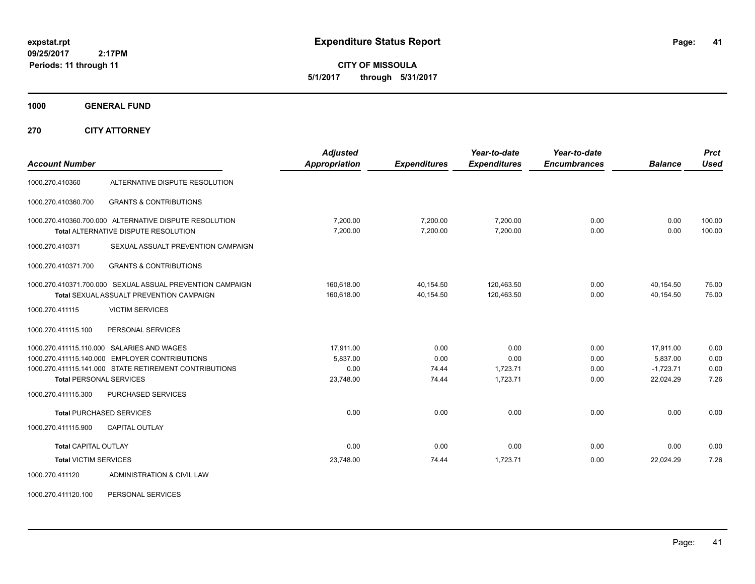**CITY OF MISSOULA 5/1/2017 through 5/31/2017**

**1000 GENERAL FUND**

**270 CITY ATTORNEY**

| <b>Account Number</b>           |                                                                                                              | <b>Adjusted</b><br><b>Appropriation</b> | <b>Expenditures</b>    | Year-to-date<br><b>Expenditures</b> | Year-to-date<br><b>Encumbrances</b> | <b>Balance</b>         | <b>Prct</b><br><b>Used</b> |
|---------------------------------|--------------------------------------------------------------------------------------------------------------|-----------------------------------------|------------------------|-------------------------------------|-------------------------------------|------------------------|----------------------------|
| 1000.270.410360                 | ALTERNATIVE DISPUTE RESOLUTION                                                                               |                                         |                        |                                     |                                     |                        |                            |
| 1000.270.410360.700             | <b>GRANTS &amp; CONTRIBUTIONS</b>                                                                            |                                         |                        |                                     |                                     |                        |                            |
|                                 | 1000.270.410360.700.000 ALTERNATIVE DISPUTE RESOLUTION<br>Total ALTERNATIVE DISPUTE RESOLUTION               | 7,200.00<br>7,200.00                    | 7,200.00<br>7,200.00   | 7,200.00<br>7,200.00                | 0.00<br>0.00                        | 0.00<br>0.00           | 100.00<br>100.00           |
| 1000.270.410371                 | SEXUAL ASSUALT PREVENTION CAMPAIGN                                                                           |                                         |                        |                                     |                                     |                        |                            |
| 1000.270.410371.700             | <b>GRANTS &amp; CONTRIBUTIONS</b>                                                                            |                                         |                        |                                     |                                     |                        |                            |
|                                 | 1000.270.410371.700.000 SEXUAL ASSUAL PREVENTION CAMPAIGN<br><b>Total SEXUAL ASSUALT PREVENTION CAMPAIGN</b> | 160,618.00<br>160.618.00                | 40,154.50<br>40.154.50 | 120,463.50<br>120.463.50            | 0.00<br>0.00                        | 40,154.50<br>40.154.50 | 75.00<br>75.00             |
| 1000.270.411115                 | <b>VICTIM SERVICES</b>                                                                                       |                                         |                        |                                     |                                     |                        |                            |
| 1000.270.411115.100             | PERSONAL SERVICES                                                                                            |                                         |                        |                                     |                                     |                        |                            |
|                                 | 1000.270.411115.110.000 SALARIES AND WAGES                                                                   | 17,911.00                               | 0.00                   | 0.00                                | 0.00                                | 17,911.00              | 0.00                       |
|                                 | 1000.270.411115.140.000 EMPLOYER CONTRIBUTIONS                                                               | 5,837.00                                | 0.00                   | 0.00                                | 0.00                                | 5,837.00               | 0.00                       |
|                                 | 1000.270.411115.141.000 STATE RETIREMENT CONTRIBUTIONS                                                       | 0.00                                    | 74.44                  | 1,723.71                            | 0.00                                | $-1,723.71$            | 0.00                       |
| <b>Total PERSONAL SERVICES</b>  |                                                                                                              | 23,748.00                               | 74.44                  | 1,723.71                            | 0.00                                | 22,024.29              | 7.26                       |
| 1000.270.411115.300             | <b>PURCHASED SERVICES</b>                                                                                    |                                         |                        |                                     |                                     |                        |                            |
| <b>Total PURCHASED SERVICES</b> |                                                                                                              | 0.00                                    | 0.00                   | 0.00                                | 0.00                                | 0.00                   | 0.00                       |
| 1000.270.411115.900             | <b>CAPITAL OUTLAY</b>                                                                                        |                                         |                        |                                     |                                     |                        |                            |
| <b>Total CAPITAL OUTLAY</b>     |                                                                                                              | 0.00                                    | 0.00                   | 0.00                                | 0.00                                | 0.00                   | 0.00                       |
| <b>Total VICTIM SERVICES</b>    |                                                                                                              | 23,748.00                               | 74.44                  | 1,723.71                            | 0.00                                | 22,024.29              | 7.26                       |
| 1000.270.411120                 | ADMINISTRATION & CIVIL LAW                                                                                   |                                         |                        |                                     |                                     |                        |                            |

1000.270.411120.100 PERSONAL SERVICES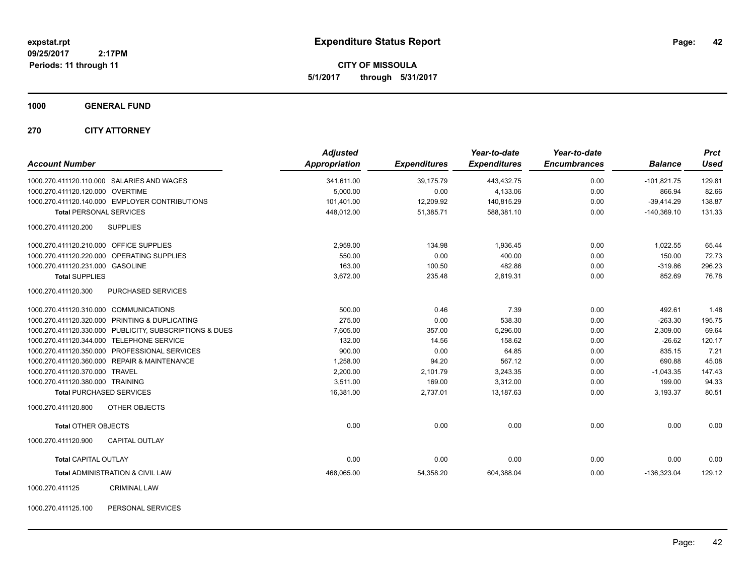**CITY OF MISSOULA 5/1/2017 through 5/31/2017**

### **1000 GENERAL FUND**

### **270 CITY ATTORNEY**

| <b>Account Number</b>                                   | <b>Adjusted</b><br><b>Appropriation</b> | <b>Expenditures</b> | Year-to-date<br><b>Expenditures</b> | Year-to-date<br><b>Encumbrances</b> | <b>Balance</b> | <b>Prct</b><br>Used |
|---------------------------------------------------------|-----------------------------------------|---------------------|-------------------------------------|-------------------------------------|----------------|---------------------|
| 1000.270.411120.110.000 SALARIES AND WAGES              | 341,611.00                              | 39,175.79           | 443,432.75                          | 0.00                                | $-101,821.75$  | 129.81              |
| 1000.270.411120.120.000 OVERTIME                        | 5,000.00                                | 0.00                | 4,133.06                            | 0.00                                | 866.94         | 82.66               |
| 1000.270.411120.140.000 EMPLOYER CONTRIBUTIONS          | 101,401.00                              | 12,209.92           | 140,815.29                          | 0.00                                | $-39,414.29$   | 138.87              |
| <b>Total PERSONAL SERVICES</b>                          | 448,012.00                              | 51,385.71           | 588,381.10                          | 0.00                                | $-140,369.10$  | 131.33              |
| 1000.270.411120.200<br><b>SUPPLIES</b>                  |                                         |                     |                                     |                                     |                |                     |
| 1000.270.411120.210.000 OFFICE SUPPLIES                 | 2,959.00                                | 134.98              | 1.936.45                            | 0.00                                | 1,022.55       | 65.44               |
| 1000.270.411120.220.000 OPERATING SUPPLIES              | 550.00                                  | 0.00                | 400.00                              | 0.00                                | 150.00         | 72.73               |
| 1000.270.411120.231.000 GASOLINE                        | 163.00                                  | 100.50              | 482.86                              | 0.00                                | $-319.86$      | 296.23              |
| <b>Total SUPPLIES</b>                                   | 3,672.00                                | 235.48              | 2,819.31                            | 0.00                                | 852.69         | 76.78               |
| 1000.270.411120.300<br><b>PURCHASED SERVICES</b>        |                                         |                     |                                     |                                     |                |                     |
| 1000.270.411120.310.000 COMMUNICATIONS                  | 500.00                                  | 0.46                | 7.39                                | 0.00                                | 492.61         | 1.48                |
| 1000.270.411120.320.000 PRINTING & DUPLICATING          | 275.00                                  | 0.00                | 538.30                              | 0.00                                | $-263.30$      | 195.75              |
| 1000.270.411120.330.000 PUBLICITY, SUBSCRIPTIONS & DUES | 7,605.00                                | 357.00              | 5,296.00                            | 0.00                                | 2,309.00       | 69.64               |
| 1000.270.411120.344.000 TELEPHONE SERVICE               | 132.00                                  | 14.56               | 158.62                              | 0.00                                | $-26.62$       | 120.17              |
| 1000.270.411120.350.000 PROFESSIONAL SERVICES           | 900.00                                  | 0.00                | 64.85                               | 0.00                                | 835.15         | 7.21                |
| 1000.270.411120.360.000 REPAIR & MAINTENANCE            | 1,258.00                                | 94.20               | 567.12                              | 0.00                                | 690.88         | 45.08               |
| 1000.270.411120.370.000 TRAVEL                          | 2,200.00                                | 2,101.79            | 3,243.35                            | 0.00                                | $-1,043.35$    | 147.43              |
| 1000.270.411120.380.000 TRAINING                        | 3,511.00                                | 169.00              | 3,312.00                            | 0.00                                | 199.00         | 94.33               |
| <b>Total PURCHASED SERVICES</b>                         | 16,381.00                               | 2,737.01            | 13,187.63                           | 0.00                                | 3,193.37       | 80.51               |
| 1000.270.411120.800<br>OTHER OBJECTS                    |                                         |                     |                                     |                                     |                |                     |
| <b>Total OTHER OBJECTS</b>                              | 0.00                                    | 0.00                | 0.00                                | 0.00                                | 0.00           | 0.00                |
| <b>CAPITAL OUTLAY</b><br>1000.270.411120.900            |                                         |                     |                                     |                                     |                |                     |
| <b>Total CAPITAL OUTLAY</b>                             | 0.00                                    | 0.00                | 0.00                                | 0.00                                | 0.00           | 0.00                |
| Total ADMINISTRATION & CIVIL LAW                        | 468,065.00                              | 54,358.20           | 604,388.04                          | 0.00                                | $-136,323.04$  | 129.12              |
| <b>CRIMINAL LAW</b><br>1000.270.411125                  |                                         |                     |                                     |                                     |                |                     |

1000.270.411125.100 PERSONAL SERVICES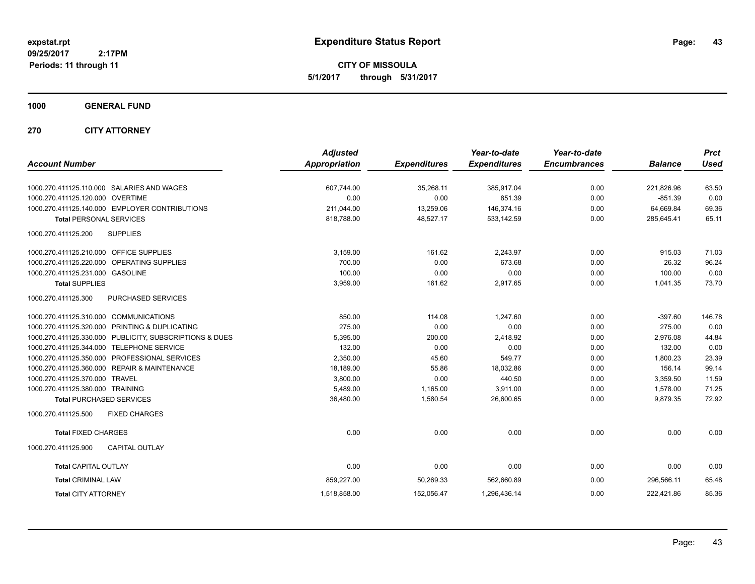**CITY OF MISSOULA 5/1/2017 through 5/31/2017**

**1000 GENERAL FUND**

**270 CITY ATTORNEY**

|                                                         | <b>Adjusted</b>      |                     | Year-to-date        | Year-to-date        |                | <b>Prct</b> |
|---------------------------------------------------------|----------------------|---------------------|---------------------|---------------------|----------------|-------------|
| <b>Account Number</b>                                   | <b>Appropriation</b> | <b>Expenditures</b> | <b>Expenditures</b> | <b>Encumbrances</b> | <b>Balance</b> | <b>Used</b> |
| 1000.270.411125.110.000 SALARIES AND WAGES              | 607,744.00           | 35,268.11           | 385,917.04          | 0.00                | 221,826.96     | 63.50       |
| 1000.270.411125.120.000 OVERTIME                        | 0.00                 | 0.00                | 851.39              | 0.00                | $-851.39$      | 0.00        |
| 1000.270.411125.140.000 EMPLOYER CONTRIBUTIONS          | 211,044.00           | 13,259.06           | 146,374.16          | 0.00                | 64,669.84      | 69.36       |
| <b>Total PERSONAL SERVICES</b>                          | 818,788.00           | 48,527.17           | 533,142.59          | 0.00                | 285,645.41     | 65.11       |
| 1000.270.411125.200<br><b>SUPPLIES</b>                  |                      |                     |                     |                     |                |             |
| 1000.270.411125.210.000 OFFICE SUPPLIES                 | 3,159.00             | 161.62              | 2,243.97            | 0.00                | 915.03         | 71.03       |
| 1000.270.411125.220.000 OPERATING SUPPLIES              | 700.00               | 0.00                | 673.68              | 0.00                | 26.32          | 96.24       |
| 1000.270.411125.231.000 GASOLINE                        | 100.00               | 0.00                | 0.00                | 0.00                | 100.00         | 0.00        |
| <b>Total SUPPLIES</b>                                   | 3,959.00             | 161.62              | 2,917.65            | 0.00                | 1,041.35       | 73.70       |
| 1000.270.411125.300<br><b>PURCHASED SERVICES</b>        |                      |                     |                     |                     |                |             |
| 1000.270.411125.310.000 COMMUNICATIONS                  | 850.00               | 114.08              | 1,247.60            | 0.00                | $-397.60$      | 146.78      |
| 1000.270.411125.320.000 PRINTING & DUPLICATING          | 275.00               | 0.00                | 0.00                | 0.00                | 275.00         | 0.00        |
| 1000.270.411125.330.000 PUBLICITY, SUBSCRIPTIONS & DUES | 5,395.00             | 200.00              | 2,418.92            | 0.00                | 2,976.08       | 44.84       |
| 1000.270.411125.344.000<br><b>TELEPHONE SERVICE</b>     | 132.00               | 0.00                | 0.00                | 0.00                | 132.00         | 0.00        |
| 1000.270.411125.350.000 PROFESSIONAL SERVICES           | 2,350.00             | 45.60               | 549.77              | 0.00                | 1,800.23       | 23.39       |
| 1000.270.411125.360.000 REPAIR & MAINTENANCE            | 18,189.00            | 55.86               | 18,032.86           | 0.00                | 156.14         | 99.14       |
| 1000.270.411125.370.000 TRAVEL                          | 3,800.00             | 0.00                | 440.50              | 0.00                | 3,359.50       | 11.59       |
| 1000.270.411125.380.000 TRAINING                        | 5,489.00             | 1,165.00            | 3,911.00            | 0.00                | 1,578.00       | 71.25       |
| <b>Total PURCHASED SERVICES</b>                         | 36,480.00            | 1,580.54            | 26,600.65           | 0.00                | 9,879.35       | 72.92       |
| 1000.270.411125.500<br><b>FIXED CHARGES</b>             |                      |                     |                     |                     |                |             |
| <b>Total FIXED CHARGES</b>                              | 0.00                 | 0.00                | 0.00                | 0.00                | 0.00           | 0.00        |
| 1000.270.411125.900<br><b>CAPITAL OUTLAY</b>            |                      |                     |                     |                     |                |             |
| <b>Total CAPITAL OUTLAY</b>                             | 0.00                 | 0.00                | 0.00                | 0.00                | 0.00           | 0.00        |
| <b>Total CRIMINAL LAW</b>                               | 859,227.00           | 50,269.33           | 562,660.89          | 0.00                | 296,566.11     | 65.48       |
| <b>Total CITY ATTORNEY</b>                              | 1,518,858.00         | 152,056.47          | 1,296,436.14        | 0.00                | 222,421.86     | 85.36       |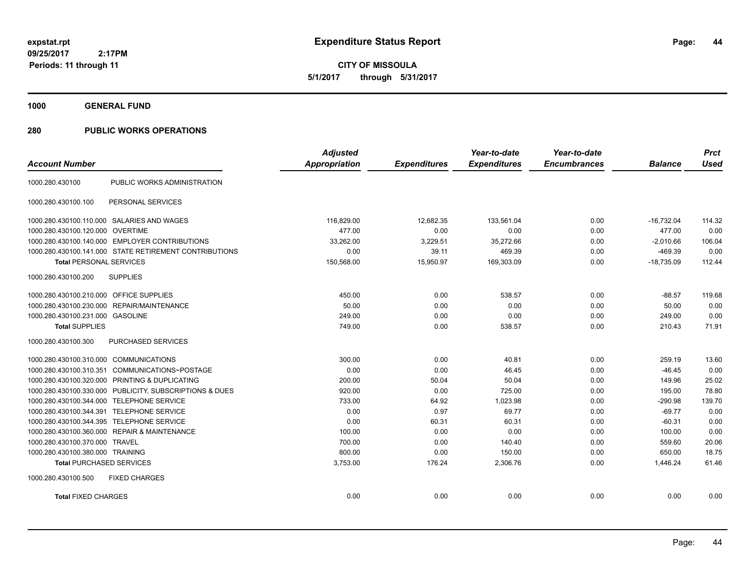**1000 GENERAL FUND**

### **280 PUBLIC WORKS OPERATIONS**

| <b>Account Number</b>                   |                                                         | <b>Adjusted</b><br>Appropriation | <b>Expenditures</b> | Year-to-date<br><b>Expenditures</b> | Year-to-date<br><b>Encumbrances</b> | <b>Balance</b> | <b>Prct</b><br><b>Used</b> |
|-----------------------------------------|---------------------------------------------------------|----------------------------------|---------------------|-------------------------------------|-------------------------------------|----------------|----------------------------|
|                                         |                                                         |                                  |                     |                                     |                                     |                |                            |
| 1000.280.430100                         | PUBLIC WORKS ADMINISTRATION                             |                                  |                     |                                     |                                     |                |                            |
| 1000.280.430100.100                     | PERSONAL SERVICES                                       |                                  |                     |                                     |                                     |                |                            |
|                                         | 1000.280.430100.110.000 SALARIES AND WAGES              | 116.829.00                       | 12.682.35           | 133.561.04                          | 0.00                                | $-16.732.04$   | 114.32                     |
| 1000.280.430100.120.000 OVERTIME        |                                                         | 477.00                           | 0.00                | 0.00                                | 0.00                                | 477.00         | 0.00                       |
|                                         | 1000.280.430100.140.000 EMPLOYER CONTRIBUTIONS          | 33,262.00                        | 3,229.51            | 35,272.66                           | 0.00                                | $-2.010.66$    | 106.04                     |
|                                         | 1000.280.430100.141.000 STATE RETIREMENT CONTRIBUTIONS  | 0.00                             | 39.11               | 469.39                              | 0.00                                | $-469.39$      | 0.00                       |
| <b>Total PERSONAL SERVICES</b>          |                                                         | 150,568.00                       | 15,950.97           | 169,303.09                          | 0.00                                | $-18,735.09$   | 112.44                     |
| 1000.280.430100.200                     | <b>SUPPLIES</b>                                         |                                  |                     |                                     |                                     |                |                            |
| 1000.280.430100.210.000 OFFICE SUPPLIES |                                                         | 450.00                           | 0.00                | 538.57                              | 0.00                                | $-88.57$       | 119.68                     |
|                                         | 1000.280.430100.230.000 REPAIR/MAINTENANCE              | 50.00                            | 0.00                | 0.00                                | 0.00                                | 50.00          | 0.00                       |
| 1000.280.430100.231.000 GASOLINE        |                                                         | 249.00                           | 0.00                | 0.00                                | 0.00                                | 249.00         | 0.00                       |
| <b>Total SUPPLIES</b>                   |                                                         | 749.00                           | 0.00                | 538.57                              | 0.00                                | 210.43         | 71.91                      |
| 1000.280.430100.300                     | PURCHASED SERVICES                                      |                                  |                     |                                     |                                     |                |                            |
| 1000.280.430100.310.000 COMMUNICATIONS  |                                                         | 300.00                           | 0.00                | 40.81                               | 0.00                                | 259.19         | 13.60                      |
| 1000.280.430100.310.351                 | COMMUNICATIONS~POSTAGE                                  | 0.00                             | 0.00                | 46.45                               | 0.00                                | $-46.45$       | 0.00                       |
|                                         | 1000.280.430100.320.000 PRINTING & DUPLICATING          | 200.00                           | 50.04               | 50.04                               | 0.00                                | 149.96         | 25.02                      |
|                                         | 1000.280.430100.330.000 PUBLICITY, SUBSCRIPTIONS & DUES | 920.00                           | 0.00                | 725.00                              | 0.00                                | 195.00         | 78.80                      |
|                                         | 1000.280.430100.344.000 TELEPHONE SERVICE               | 733.00                           | 64.92               | 1,023.98                            | 0.00                                | $-290.98$      | 139.70                     |
| 1000.280.430100.344.391                 | <b>TELEPHONE SERVICE</b>                                | 0.00                             | 0.97                | 69.77                               | 0.00                                | $-69.77$       | 0.00                       |
|                                         | 1000.280.430100.344.395 TELEPHONE SERVICE               | 0.00                             | 60.31               | 60.31                               | 0.00                                | $-60.31$       | 0.00                       |
|                                         | 1000.280.430100.360.000 REPAIR & MAINTENANCE            | 100.00                           | 0.00                | 0.00                                | 0.00                                | 100.00         | 0.00                       |
| 1000.280.430100.370.000 TRAVEL          |                                                         | 700.00                           | 0.00                | 140.40                              | 0.00                                | 559.60         | 20.06                      |
| 1000.280.430100.380.000 TRAINING        |                                                         | 800.00                           | 0.00                | 150.00                              | 0.00                                | 650.00         | 18.75                      |
| <b>Total PURCHASED SERVICES</b>         |                                                         | 3,753.00                         | 176.24              | 2,306.76                            | 0.00                                | 1.446.24       | 61.46                      |
| 1000.280.430100.500                     | <b>FIXED CHARGES</b>                                    |                                  |                     |                                     |                                     |                |                            |
| <b>Total FIXED CHARGES</b>              |                                                         | 0.00                             | 0.00                | 0.00                                | 0.00                                | 0.00           | 0.00                       |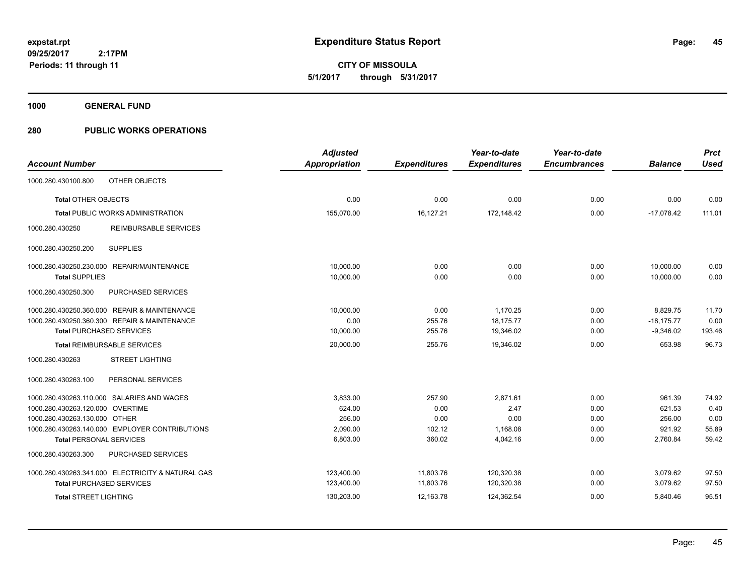**1000 GENERAL FUND**

### **280 PUBLIC WORKS OPERATIONS**

|                                                   | <b>Adjusted</b>      |                     | Year-to-date        | Year-to-date        |                | <b>Prct</b> |
|---------------------------------------------------|----------------------|---------------------|---------------------|---------------------|----------------|-------------|
| <b>Account Number</b>                             | <b>Appropriation</b> | <b>Expenditures</b> | <b>Expenditures</b> | <b>Encumbrances</b> | <b>Balance</b> | <b>Used</b> |
| 1000.280.430100.800<br>OTHER OBJECTS              |                      |                     |                     |                     |                |             |
| <b>Total OTHER OBJECTS</b>                        | 0.00                 | 0.00                | 0.00                | 0.00                | 0.00           | 0.00        |
| <b>Total PUBLIC WORKS ADMINISTRATION</b>          | 155,070.00           | 16,127.21           | 172,148.42          | 0.00                | $-17,078.42$   | 111.01      |
| REIMBURSABLE SERVICES<br>1000.280.430250          |                      |                     |                     |                     |                |             |
| 1000.280.430250.200<br><b>SUPPLIES</b>            |                      |                     |                     |                     |                |             |
| 1000.280.430250.230.000 REPAIR/MAINTENANCE        | 10,000.00            | 0.00                | 0.00                | 0.00                | 10,000.00      | 0.00        |
| <b>Total SUPPLIES</b>                             | 10,000.00            | 0.00                | 0.00                | 0.00                | 10,000.00      | 0.00        |
| 1000.280.430250.300<br>PURCHASED SERVICES         |                      |                     |                     |                     |                |             |
| 1000.280.430250.360.000 REPAIR & MAINTENANCE      | 10,000.00            | 0.00                | 1,170.25            | 0.00                | 8,829.75       | 11.70       |
| 1000.280.430250.360.300 REPAIR & MAINTENANCE      | 0.00                 | 255.76              | 18,175.77           | 0.00                | $-18,175.77$   | 0.00        |
| <b>Total PURCHASED SERVICES</b>                   | 10,000.00            | 255.76              | 19,346.02           | 0.00                | $-9,346.02$    | 193.46      |
| <b>Total REIMBURSABLE SERVICES</b>                | 20,000.00            | 255.76              | 19,346.02           | 0.00                | 653.98         | 96.73       |
| 1000.280.430263<br><b>STREET LIGHTING</b>         |                      |                     |                     |                     |                |             |
| 1000.280.430263.100<br>PERSONAL SERVICES          |                      |                     |                     |                     |                |             |
| 1000.280.430263.110.000 SALARIES AND WAGES        | 3,833.00             | 257.90              | 2.871.61            | 0.00                | 961.39         | 74.92       |
| 1000.280.430263.120.000 OVERTIME                  | 624.00               | 0.00                | 2.47                | 0.00                | 621.53         | 0.40        |
| 1000.280.430263.130.000 OTHER                     | 256.00               | 0.00                | 0.00                | 0.00                | 256.00         | 0.00        |
| 1000.280.430263.140.000 EMPLOYER CONTRIBUTIONS    | 2,090.00             | 102.12              | 1,168.08            | 0.00                | 921.92         | 55.89       |
| <b>Total PERSONAL SERVICES</b>                    | 6,803.00             | 360.02              | 4,042.16            | 0.00                | 2,760.84       | 59.42       |
| 1000.280.430263.300<br>PURCHASED SERVICES         |                      |                     |                     |                     |                |             |
| 1000.280.430263.341.000 ELECTRICITY & NATURAL GAS | 123,400.00           | 11,803.76           | 120,320.38          | 0.00                | 3,079.62       | 97.50       |
| <b>Total PURCHASED SERVICES</b>                   | 123,400.00           | 11,803.76           | 120,320.38          | 0.00                | 3,079.62       | 97.50       |
| <b>Total STREET LIGHTING</b>                      | 130,203.00           | 12.163.78           | 124,362.54          | 0.00                | 5,840.46       | 95.51       |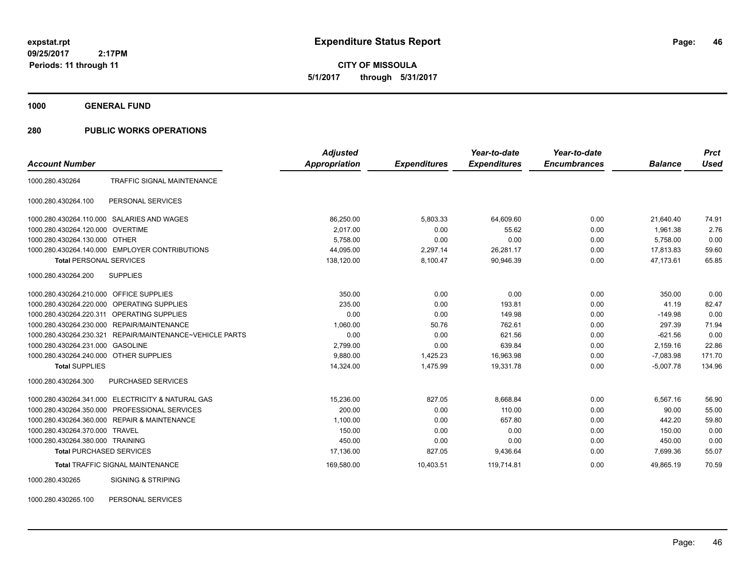**1000 GENERAL FUND**

### **280 PUBLIC WORKS OPERATIONS**

|                                         |                                                   | <b>Adjusted</b>      |                     | Year-to-date        | Year-to-date        |                | <b>Prct</b> |
|-----------------------------------------|---------------------------------------------------|----------------------|---------------------|---------------------|---------------------|----------------|-------------|
| <b>Account Number</b>                   |                                                   | <b>Appropriation</b> | <b>Expenditures</b> | <b>Expenditures</b> | <b>Encumbrances</b> | <b>Balance</b> | <b>Used</b> |
| 1000.280.430264                         | TRAFFIC SIGNAL MAINTENANCE                        |                      |                     |                     |                     |                |             |
| 1000.280.430264.100                     | PERSONAL SERVICES                                 |                      |                     |                     |                     |                |             |
|                                         | 1000.280.430264.110.000 SALARIES AND WAGES        | 86,250.00            | 5,803.33            | 64,609.60           | 0.00                | 21,640.40      | 74.91       |
| 1000.280.430264.120.000                 | <b>OVERTIME</b>                                   | 2,017.00             | 0.00                | 55.62               | 0.00                | 1.961.38       | 2.76        |
| 1000.280.430264.130.000 OTHER           |                                                   | 5,758.00             | 0.00                | 0.00                | 0.00                | 5,758.00       | 0.00        |
|                                         | 1000.280.430264.140.000 EMPLOYER CONTRIBUTIONS    | 44,095.00            | 2,297.14            | 26,281.17           | 0.00                | 17,813.83      | 59.60       |
| <b>Total PERSONAL SERVICES</b>          |                                                   | 138,120.00           | 8,100.47            | 90,946.39           | 0.00                | 47.173.61      | 65.85       |
| 1000.280.430264.200                     | <b>SUPPLIES</b>                                   |                      |                     |                     |                     |                |             |
| 1000.280.430264.210.000 OFFICE SUPPLIES |                                                   | 350.00               | 0.00                | 0.00                | 0.00                | 350.00         | 0.00        |
| 1000.280.430264.220.000                 | <b>OPERATING SUPPLIES</b>                         | 235.00               | 0.00                | 193.81              | 0.00                | 41.19          | 82.47       |
| 1000.280.430264.220.311                 | <b>OPERATING SUPPLIES</b>                         | 0.00                 | 0.00                | 149.98              | 0.00                | $-149.98$      | 0.00        |
| 1000.280.430264.230.000                 | <b>REPAIR/MAINTENANCE</b>                         | 1,060.00             | 50.76               | 762.61              | 0.00                | 297.39         | 71.94       |
| 1000.280.430264.230.321                 | REPAIR/MAINTENANCE~VEHICLE PARTS                  | 0.00                 | 0.00                | 621.56              | 0.00                | $-621.56$      | 0.00        |
| 1000.280.430264.231.000                 | <b>GASOLINE</b>                                   | 2,799.00             | 0.00                | 639.84              | 0.00                | 2,159.16       | 22.86       |
| 1000.280.430264.240.000 OTHER SUPPLIES  |                                                   | 9,880.00             | 1,425.23            | 16,963.98           | 0.00                | $-7,083.98$    | 171.70      |
| <b>Total SUPPLIES</b>                   |                                                   | 14,324.00            | 1,475.99            | 19,331.78           | 0.00                | $-5.007.78$    | 134.96      |
| 1000.280.430264.300                     | PURCHASED SERVICES                                |                      |                     |                     |                     |                |             |
|                                         | 1000.280.430264.341.000 ELECTRICITY & NATURAL GAS | 15,236.00            | 827.05              | 8,668.84            | 0.00                | 6,567.16       | 56.90       |
| 1000.280.430264.350.000                 | PROFESSIONAL SERVICES                             | 200.00               | 0.00                | 110.00              | 0.00                | 90.00          | 55.00       |
|                                         | 1000.280.430264.360.000 REPAIR & MAINTENANCE      | 1,100.00             | 0.00                | 657.80              | 0.00                | 442.20         | 59.80       |
| 1000.280.430264.370.000                 | <b>TRAVEL</b>                                     | 150.00               | 0.00                | 0.00                | 0.00                | 150.00         | 0.00        |
| 1000.280.430264.380.000 TRAINING        |                                                   | 450.00               | 0.00                | 0.00                | 0.00                | 450.00         | 0.00        |
| <b>Total PURCHASED SERVICES</b>         |                                                   | 17,136.00            | 827.05              | 9,436.64            | 0.00                | 7,699.36       | 55.07       |
|                                         | <b>Total TRAFFIC SIGNAL MAINTENANCE</b>           | 169,580.00           | 10,403.51           | 119,714.81          | 0.00                | 49,865.19      | 70.59       |
| 1000.280.430265                         | <b>SIGNING &amp; STRIPING</b>                     |                      |                     |                     |                     |                |             |

1000.280.430265.100 PERSONAL SERVICES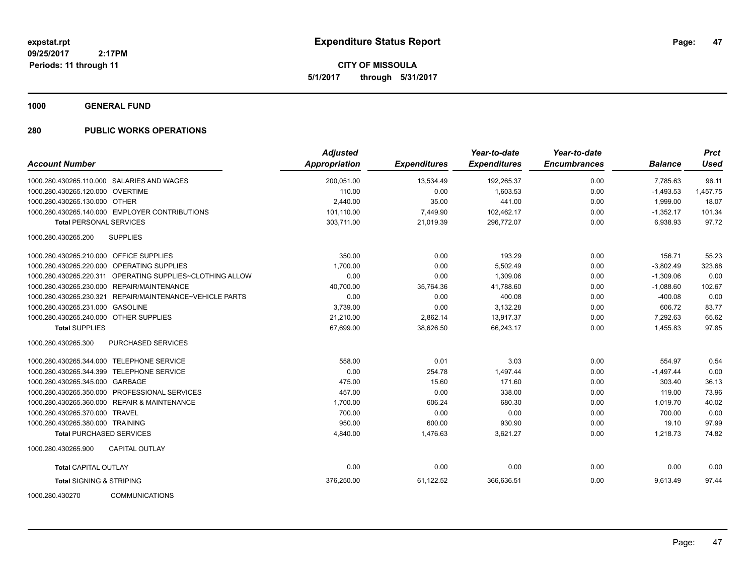**CITY OF MISSOULA 5/1/2017 through 5/31/2017**

**1000 GENERAL FUND**

### **280 PUBLIC WORKS OPERATIONS**

| <b>Account Number</b>                   |                                                           | <b>Adjusted</b><br><b>Appropriation</b> | <b>Expenditures</b> | Year-to-date<br><b>Expenditures</b> | Year-to-date<br><b>Encumbrances</b> | <b>Balance</b> | <b>Prct</b><br><b>Used</b> |
|-----------------------------------------|-----------------------------------------------------------|-----------------------------------------|---------------------|-------------------------------------|-------------------------------------|----------------|----------------------------|
|                                         | 1000.280.430265.110.000 SALARIES AND WAGES                | 200,051.00                              | 13,534.49           | 192,265.37                          | 0.00                                | 7,785.63       | 96.11                      |
| 1000.280.430265.120.000 OVERTIME        |                                                           | 110.00                                  | 0.00                | 1,603.53                            | 0.00                                | $-1,493.53$    | 1,457.75                   |
| 1000.280.430265.130.000 OTHER           |                                                           | 2,440.00                                | 35.00               | 441.00                              | 0.00                                | 1.999.00       | 18.07                      |
|                                         | 1000.280.430265.140.000 EMPLOYER CONTRIBUTIONS            | 101,110.00                              | 7,449.90            | 102,462.17                          | 0.00                                | $-1,352.17$    | 101.34                     |
| <b>Total PERSONAL SERVICES</b>          |                                                           | 303,711.00                              | 21,019.39           | 296,772.07                          | 0.00                                | 6,938.93       | 97.72                      |
| 1000.280.430265.200                     | <b>SUPPLIES</b>                                           |                                         |                     |                                     |                                     |                |                            |
| 1000.280.430265.210.000 OFFICE SUPPLIES |                                                           | 350.00                                  | 0.00                | 193.29                              | 0.00                                | 156.71         | 55.23                      |
|                                         | 1000.280.430265.220.000 OPERATING SUPPLIES                | 1,700.00                                | 0.00                | 5,502.49                            | 0.00                                | $-3,802.49$    | 323.68                     |
|                                         | 1000.280.430265.220.311 OPERATING SUPPLIES~CLOTHING ALLOW | 0.00                                    | 0.00                | 1,309.06                            | 0.00                                | $-1,309.06$    | 0.00                       |
|                                         | 1000.280.430265.230.000 REPAIR/MAINTENANCE                | 40,700.00                               | 35,764.36           | 41,788.60                           | 0.00                                | $-1,088.60$    | 102.67                     |
|                                         | 1000.280.430265.230.321 REPAIR/MAINTENANCE~VEHICLE PARTS  | 0.00                                    | 0.00                | 400.08                              | 0.00                                | $-400.08$      | 0.00                       |
| 1000.280.430265.231.000 GASOLINE        |                                                           | 3,739.00                                | 0.00                | 3,132.28                            | 0.00                                | 606.72         | 83.77                      |
| 1000.280.430265.240.000 OTHER SUPPLIES  |                                                           | 21,210.00                               | 2,862.14            | 13,917.37                           | 0.00                                | 7,292.63       | 65.62                      |
| <b>Total SUPPLIES</b>                   |                                                           | 67,699.00                               | 38,626.50           | 66,243.17                           | 0.00                                | 1,455.83       | 97.85                      |
| 1000.280.430265.300                     | <b>PURCHASED SERVICES</b>                                 |                                         |                     |                                     |                                     |                |                            |
|                                         | 1000.280.430265.344.000 TELEPHONE SERVICE                 | 558.00                                  | 0.01                | 3.03                                | 0.00                                | 554.97         | 0.54                       |
|                                         | 1000.280.430265.344.399 TELEPHONE SERVICE                 | 0.00                                    | 254.78              | 1,497.44                            | 0.00                                | $-1,497.44$    | 0.00                       |
| 1000.280.430265.345.000 GARBAGE         |                                                           | 475.00                                  | 15.60               | 171.60                              | 0.00                                | 303.40         | 36.13                      |
|                                         | 1000.280.430265.350.000 PROFESSIONAL SERVICES             | 457.00                                  | 0.00                | 338.00                              | 0.00                                | 119.00         | 73.96                      |
|                                         | 1000.280.430265.360.000 REPAIR & MAINTENANCE              | 1,700.00                                | 606.24              | 680.30                              | 0.00                                | 1,019.70       | 40.02                      |
| 1000.280.430265.370.000 TRAVEL          |                                                           | 700.00                                  | 0.00                | 0.00                                | 0.00                                | 700.00         | 0.00                       |
| 1000.280.430265.380.000 TRAINING        |                                                           | 950.00                                  | 600.00              | 930.90                              | 0.00                                | 19.10          | 97.99                      |
| <b>Total PURCHASED SERVICES</b>         |                                                           | 4,840.00                                | 1,476.63            | 3,621.27                            | 0.00                                | 1,218.73       | 74.82                      |
| 1000.280.430265.900                     | <b>CAPITAL OUTLAY</b>                                     |                                         |                     |                                     |                                     |                |                            |
| <b>Total CAPITAL OUTLAY</b>             |                                                           | 0.00                                    | 0.00                | 0.00                                | 0.00                                | 0.00           | 0.00                       |
| <b>Total SIGNING &amp; STRIPING</b>     |                                                           | 376,250.00                              | 61,122.52           | 366,636.51                          | 0.00                                | 9,613.49       | 97.44                      |
| 1000.280.430270                         | <b>COMMUNICATIONS</b>                                     |                                         |                     |                                     |                                     |                |                            |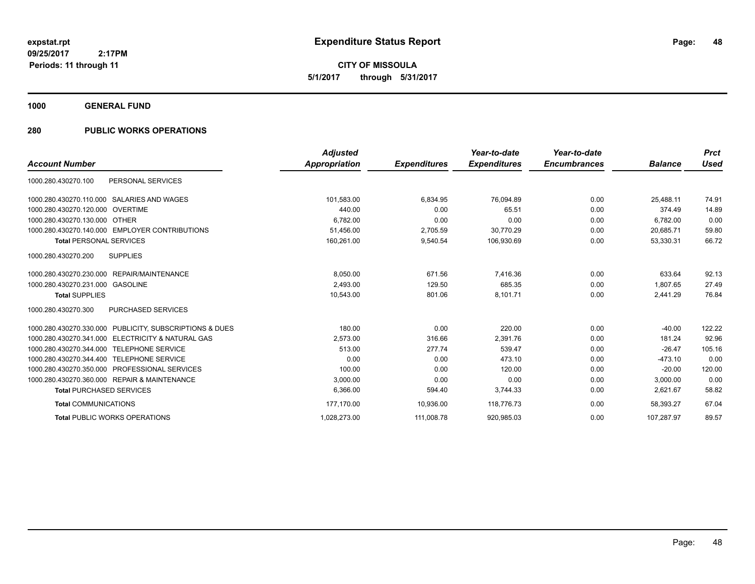**1000 GENERAL FUND**

### **280 PUBLIC WORKS OPERATIONS**

|                                                         | <b>Adjusted</b> |                     | Year-to-date        | Year-to-date        |                | <b>Prct</b> |
|---------------------------------------------------------|-----------------|---------------------|---------------------|---------------------|----------------|-------------|
| <b>Account Number</b>                                   | Appropriation   | <b>Expenditures</b> | <b>Expenditures</b> | <b>Encumbrances</b> | <b>Balance</b> | <b>Used</b> |
| PERSONAL SERVICES<br>1000.280.430270.100                |                 |                     |                     |                     |                |             |
| 1000.280.430270.110.000 SALARIES AND WAGES              | 101,583.00      | 6,834.95            | 76,094.89           | 0.00                | 25.488.11      | 74.91       |
| 1000.280.430270.120.000 OVERTIME                        | 440.00          | 0.00                | 65.51               | 0.00                | 374.49         | 14.89       |
| 1000.280.430270.130.000 OTHER                           | 6,782.00        | 0.00                | 0.00                | 0.00                | 6,782.00       | 0.00        |
| 1000.280.430270.140.000 EMPLOYER CONTRIBUTIONS          | 51,456.00       | 2,705.59            | 30,770.29           | 0.00                | 20,685.71      | 59.80       |
| <b>Total PERSONAL SERVICES</b>                          | 160,261.00      | 9,540.54            | 106,930.69          | 0.00                | 53,330.31      | 66.72       |
| 1000.280.430270.200<br><b>SUPPLIES</b>                  |                 |                     |                     |                     |                |             |
| REPAIR/MAINTENANCE<br>1000.280.430270.230.000           | 8,050.00        | 671.56              | 7,416.36            | 0.00                | 633.64         | 92.13       |
| 1000.280.430270.231.000 GASOLINE                        | 2.493.00        | 129.50              | 685.35              | 0.00                | 1.807.65       | 27.49       |
| <b>Total SUPPLIES</b>                                   | 10,543.00       | 801.06              | 8,101.71            | 0.00                | 2,441.29       | 76.84       |
| 1000.280.430270.300<br><b>PURCHASED SERVICES</b>        |                 |                     |                     |                     |                |             |
| 1000.280.430270.330.000 PUBLICITY, SUBSCRIPTIONS & DUES | 180.00          | 0.00                | 220.00              | 0.00                | $-40.00$       | 122.22      |
| 1000.280.430270.341.000 ELECTRICITY & NATURAL GAS       | 2.573.00        | 316.66              | 2,391.76            | 0.00                | 181.24         | 92.96       |
| 1000.280.430270.344.000<br><b>TELEPHONE SERVICE</b>     | 513.00          | 277.74              | 539.47              | 0.00                | $-26.47$       | 105.16      |
| 1000.280.430270.344.400 TELEPHONE SERVICE               | 0.00            | 0.00                | 473.10              | 0.00                | $-473.10$      | 0.00        |
| 1000.280.430270.350.000 PROFESSIONAL SERVICES           | 100.00          | 0.00                | 120.00              | 0.00                | $-20.00$       | 120.00      |
| 1000.280.430270.360.000 REPAIR & MAINTENANCE            | 3,000.00        | 0.00                | 0.00                | 0.00                | 3.000.00       | 0.00        |
| <b>Total PURCHASED SERVICES</b>                         | 6,366.00        | 594.40              | 3,744.33            | 0.00                | 2,621.67       | 58.82       |
| <b>Total COMMUNICATIONS</b>                             | 177,170.00      | 10,936.00           | 118,776.73          | 0.00                | 58,393.27      | 67.04       |
| <b>Total PUBLIC WORKS OPERATIONS</b>                    | 1,028,273.00    | 111,008.78          | 920,985.03          | 0.00                | 107.287.97     | 89.57       |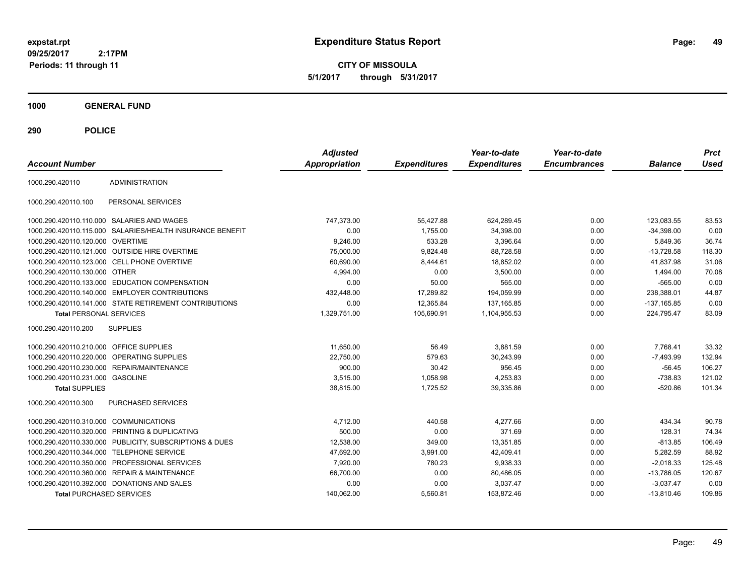**CITY OF MISSOULA 5/1/2017 through 5/31/2017**

**1000 GENERAL FUND**

| <b>Account Number</b>                   |                                                           | <b>Adjusted</b><br>Appropriation | <b>Expenditures</b> | Year-to-date<br><b>Expenditures</b> | Year-to-date<br><b>Encumbrances</b> | <b>Balance</b> | <b>Prct</b><br><b>Used</b> |
|-----------------------------------------|-----------------------------------------------------------|----------------------------------|---------------------|-------------------------------------|-------------------------------------|----------------|----------------------------|
| 1000.290.420110                         | <b>ADMINISTRATION</b>                                     |                                  |                     |                                     |                                     |                |                            |
| 1000.290.420110.100                     | PERSONAL SERVICES                                         |                                  |                     |                                     |                                     |                |                            |
|                                         | 1000.290.420110.110.000 SALARIES AND WAGES                | 747,373.00                       | 55,427.88           | 624,289.45                          | 0.00                                | 123,083.55     | 83.53                      |
|                                         | 1000.290.420110.115.000 SALARIES/HEALTH INSURANCE BENEFIT | 0.00                             | 1,755.00            | 34,398.00                           | 0.00                                | $-34,398.00$   | 0.00                       |
| 1000.290.420110.120.000 OVERTIME        |                                                           | 9,246.00                         | 533.28              | 3,396.64                            | 0.00                                | 5,849.36       | 36.74                      |
|                                         | 1000.290.420110.121.000 OUTSIDE HIRE OVERTIME             | 75,000.00                        | 9,824.48            | 88,728.58                           | 0.00                                | $-13,728.58$   | 118.30                     |
|                                         | 1000.290.420110.123.000 CELL PHONE OVERTIME               | 60,690.00                        | 8,444.61            | 18,852.02                           | 0.00                                | 41,837.98      | 31.06                      |
| 1000.290.420110.130.000 OTHER           |                                                           | 4,994.00                         | 0.00                | 3,500.00                            | 0.00                                | 1,494.00       | 70.08                      |
|                                         | 1000.290.420110.133.000 EDUCATION COMPENSATION            | 0.00                             | 50.00               | 565.00                              | 0.00                                | $-565.00$      | 0.00                       |
|                                         | 1000.290.420110.140.000 EMPLOYER CONTRIBUTIONS            | 432,448.00                       | 17,289.82           | 194,059.99                          | 0.00                                | 238,388.01     | 44.87                      |
|                                         | 1000.290.420110.141.000 STATE RETIREMENT CONTRIBUTIONS    | 0.00                             | 12.365.84           | 137.165.85                          | 0.00                                | $-137,165.85$  | 0.00                       |
| <b>Total PERSONAL SERVICES</b>          |                                                           | 1,329,751.00                     | 105,690.91          | 1,104,955.53                        | 0.00                                | 224,795.47     | 83.09                      |
| 1000.290.420110.200                     | <b>SUPPLIES</b>                                           |                                  |                     |                                     |                                     |                |                            |
| 1000.290.420110.210.000 OFFICE SUPPLIES |                                                           | 11.650.00                        | 56.49               | 3.881.59                            | 0.00                                | 7,768.41       | 33.32                      |
| 1000.290.420110.220.000                 | <b>OPERATING SUPPLIES</b>                                 | 22,750.00                        | 579.63              | 30,243.99                           | 0.00                                | $-7,493.99$    | 132.94                     |
| 1000.290.420110.230.000                 | REPAIR/MAINTENANCE                                        | 900.00                           | 30.42               | 956.45                              | 0.00                                | $-56.45$       | 106.27                     |
| 1000.290.420110.231.000 GASOLINE        |                                                           | 3,515.00                         | 1,058.98            | 4,253.83                            | 0.00                                | $-738.83$      | 121.02                     |
| <b>Total SUPPLIES</b>                   |                                                           | 38,815.00                        | 1,725.52            | 39,335.86                           | 0.00                                | $-520.86$      | 101.34                     |
| 1000.290.420110.300                     | PURCHASED SERVICES                                        |                                  |                     |                                     |                                     |                |                            |
| 1000.290.420110.310.000                 | <b>COMMUNICATIONS</b>                                     | 4,712.00                         | 440.58              | 4,277.66                            | 0.00                                | 434.34         | 90.78                      |
| 1000.290.420110.320.000                 | PRINTING & DUPLICATING                                    | 500.00                           | 0.00                | 371.69                              | 0.00                                | 128.31         | 74.34                      |
|                                         | 1000.290.420110.330.000 PUBLICITY, SUBSCRIPTIONS & DUES   | 12,538.00                        | 349.00              | 13,351.85                           | 0.00                                | $-813.85$      | 106.49                     |
| 1000.290.420110.344.000                 | <b>TELEPHONE SERVICE</b>                                  | 47,692.00                        | 3,991.00            | 42,409.41                           | 0.00                                | 5,282.59       | 88.92                      |
| 1000.290.420110.350.000                 | PROFESSIONAL SERVICES                                     | 7,920.00                         | 780.23              | 9,938.33                            | 0.00                                | $-2,018.33$    | 125.48                     |
|                                         | 1000.290.420110.360.000 REPAIR & MAINTENANCE              | 66,700.00                        | 0.00                | 80,486.05                           | 0.00                                | $-13,786.05$   | 120.67                     |
|                                         | 1000.290.420110.392.000 DONATIONS AND SALES               | 0.00                             | 0.00                | 3,037.47                            | 0.00                                | $-3,037.47$    | 0.00                       |
| <b>Total PURCHASED SERVICES</b>         |                                                           | 140,062.00                       | 5,560.81            | 153,872.46                          | 0.00                                | $-13,810.46$   | 109.86                     |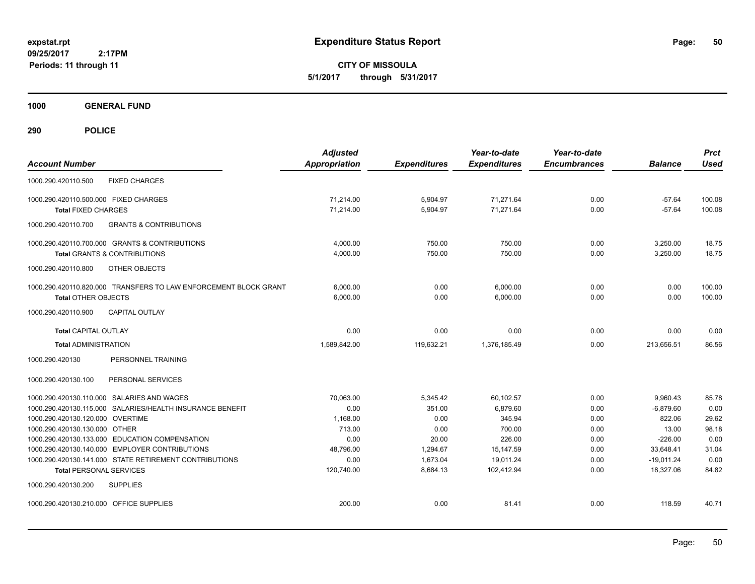**CITY OF MISSOULA 5/1/2017 through 5/31/2017**

**1000 GENERAL FUND**

| <b>Account Number</b>                                                           | <b>Adjusted</b><br><b>Appropriation</b> | <b>Expenditures</b> | Year-to-date<br><b>Expenditures</b> | Year-to-date<br><b>Encumbrances</b> | <b>Balance</b>     | <b>Prct</b><br><b>Used</b> |
|---------------------------------------------------------------------------------|-----------------------------------------|---------------------|-------------------------------------|-------------------------------------|--------------------|----------------------------|
| 1000.290.420110.500<br><b>FIXED CHARGES</b>                                     |                                         |                     |                                     |                                     |                    |                            |
| 1000.290.420110.500.000 FIXED CHARGES                                           | 71.214.00                               | 5,904.97            | 71,271.64                           | 0.00                                | $-57.64$           | 100.08                     |
| <b>Total FIXED CHARGES</b>                                                      | 71,214.00                               | 5,904.97            | 71,271.64                           | 0.00                                | $-57.64$           | 100.08                     |
| <b>GRANTS &amp; CONTRIBUTIONS</b><br>1000.290.420110.700                        |                                         |                     |                                     |                                     |                    |                            |
| 1000.290.420110.700.000 GRANTS & CONTRIBUTIONS                                  | 4,000.00                                | 750.00              | 750.00                              | 0.00                                | 3,250.00           | 18.75                      |
| <b>Total GRANTS &amp; CONTRIBUTIONS</b>                                         | 4,000.00                                | 750.00              | 750.00                              | 0.00                                | 3,250.00           | 18.75                      |
| 1000.290.420110.800<br>OTHER OBJECTS                                            |                                         |                     |                                     |                                     |                    |                            |
| 1000.290.420110.820.000 TRANSFERS TO LAW ENFORCEMENT BLOCK GRANT                | 6.000.00                                | 0.00                | 6,000.00                            | 0.00                                | 0.00               | 100.00                     |
| <b>Total OTHER OBJECTS</b>                                                      | 6.000.00                                | 0.00                | 6.000.00                            | 0.00                                | 0.00               | 100.00                     |
| CAPITAL OUTLAY<br>1000.290.420110.900                                           |                                         |                     |                                     |                                     |                    |                            |
| <b>Total CAPITAL OUTLAY</b>                                                     | 0.00                                    | 0.00                | 0.00                                | 0.00                                | 0.00               | 0.00                       |
| <b>Total ADMINISTRATION</b>                                                     | 1.589.842.00                            | 119,632.21          | 1.376.185.49                        | 0.00                                | 213.656.51         | 86.56                      |
| PERSONNEL TRAINING<br>1000.290.420130                                           |                                         |                     |                                     |                                     |                    |                            |
| 1000.290.420130.100<br>PERSONAL SERVICES                                        |                                         |                     |                                     |                                     |                    |                            |
| 1000.290.420130.110.000 SALARIES AND WAGES                                      | 70,063.00                               | 5,345.42            | 60,102.57                           | 0.00                                | 9,960.43           | 85.78                      |
| 1000.290.420130.115.000 SALARIES/HEALTH INSURANCE BENEFIT                       | 0.00                                    | 351.00              | 6,879.60                            | 0.00                                | $-6,879.60$        | 0.00                       |
| 1000.290.420130.120.000 OVERTIME                                                | 1.168.00                                | 0.00                | 345.94                              | 0.00                                | 822.06             | 29.62                      |
| 1000.290.420130.130.000 OTHER<br>1000.290.420130.133.000 EDUCATION COMPENSATION | 713.00<br>0.00                          | 0.00                | 700.00<br>226.00                    | 0.00                                | 13.00<br>$-226.00$ | 98.18<br>0.00              |
| 1000.290.420130.140.000 EMPLOYER CONTRIBUTIONS                                  | 48,796.00                               | 20.00<br>1,294.67   | 15,147.59                           | 0.00<br>0.00                        | 33,648.41          | 31.04                      |
| 1000.290.420130.141.000 STATE RETIREMENT CONTRIBUTIONS                          | 0.00                                    | 1,673.04            | 19.011.24                           | 0.00                                | $-19.011.24$       | 0.00                       |
| <b>Total PERSONAL SERVICES</b>                                                  | 120.740.00                              | 8.684.13            | 102.412.94                          | 0.00                                | 18.327.06          | 84.82                      |
| 1000.290.420130.200<br><b>SUPPLIES</b>                                          |                                         |                     |                                     |                                     |                    |                            |
| 1000.290.420130.210.000 OFFICE SUPPLIES                                         | 200.00                                  | 0.00                | 81.41                               | 0.00                                | 118.59             | 40.71                      |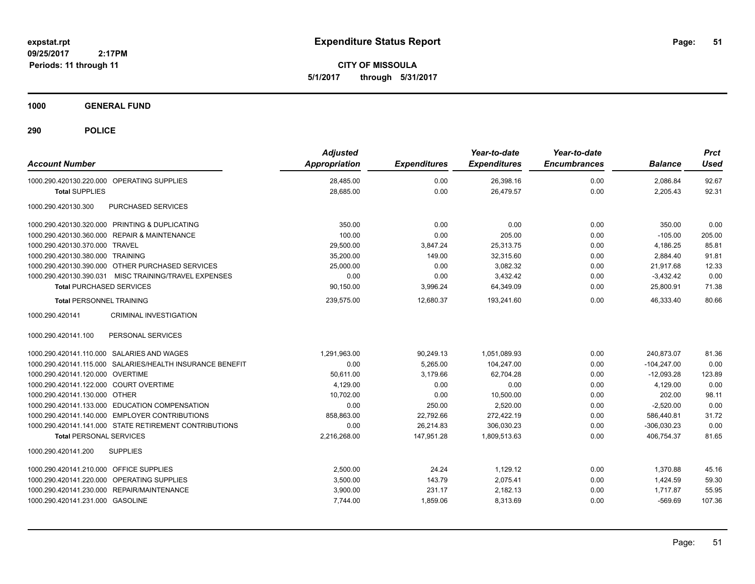**CITY OF MISSOULA 5/1/2017 through 5/31/2017**

**1000 GENERAL FUND**

| <b>Account Number</b>                                     | <b>Adjusted</b><br>Appropriation | <b>Expenditures</b> | Year-to-date<br><b>Expenditures</b> | Year-to-date<br><b>Encumbrances</b> | <b>Balance</b> | <b>Prct</b><br><b>Used</b> |
|-----------------------------------------------------------|----------------------------------|---------------------|-------------------------------------|-------------------------------------|----------------|----------------------------|
| 1000.290.420130.220.000 OPERATING SUPPLIES                | 28,485.00                        | 0.00                | 26,398.16                           | 0.00                                | 2,086.84       | 92.67                      |
| <b>Total SUPPLIES</b>                                     | 28,685.00                        | 0.00                | 26,479.57                           | 0.00                                | 2,205.43       | 92.31                      |
| 1000.290.420130.300<br>PURCHASED SERVICES                 |                                  |                     |                                     |                                     |                |                            |
| 1000.290.420130.320.000 PRINTING & DUPLICATING            | 350.00                           | 0.00                | 0.00                                | 0.00                                | 350.00         | 0.00                       |
| 1000.290.420130.360.000 REPAIR & MAINTENANCE              | 100.00                           | 0.00                | 205.00                              | 0.00                                | $-105.00$      | 205.00                     |
| 1000.290.420130.370.000 TRAVEL                            | 29,500.00                        | 3,847.24            | 25.313.75                           | 0.00                                | 4,186.25       | 85.81                      |
| 1000.290.420130.380.000 TRAINING                          | 35,200.00                        | 149.00              | 32,315.60                           | 0.00                                | 2,884.40       | 91.81                      |
| 1000.290.420130.390.000 OTHER PURCHASED SERVICES          | 25,000.00                        | 0.00                | 3,082.32                            | 0.00                                | 21.917.68      | 12.33                      |
| 1000.290.420130.390.031 MISC TRAINING/TRAVEL EXPENSES     | 0.00                             | 0.00                | 3,432.42                            | 0.00                                | $-3,432.42$    | 0.00                       |
| <b>Total PURCHASED SERVICES</b>                           | 90,150.00                        | 3,996.24            | 64,349.09                           | 0.00                                | 25,800.91      | 71.38                      |
| <b>Total PERSONNEL TRAINING</b>                           | 239,575.00                       | 12,680.37           | 193,241.60                          | 0.00                                | 46,333.40      | 80.66                      |
| <b>CRIMINAL INVESTIGATION</b><br>1000.290.420141          |                                  |                     |                                     |                                     |                |                            |
| 1000.290.420141.100<br>PERSONAL SERVICES                  |                                  |                     |                                     |                                     |                |                            |
| 1000.290.420141.110.000 SALARIES AND WAGES                | 1,291,963.00                     | 90,249.13           | 1,051,089.93                        | 0.00                                | 240.873.07     | 81.36                      |
| 1000.290.420141.115.000 SALARIES/HEALTH INSURANCE BENEFIT | 0.00                             | 5,265.00            | 104,247.00                          | 0.00                                | $-104,247.00$  | 0.00                       |
| 1000.290.420141.120.000 OVERTIME                          | 50,611.00                        | 3,179.66            | 62,704.28                           | 0.00                                | $-12,093.28$   | 123.89                     |
| 1000.290.420141.122.000 COURT OVERTIME                    | 4,129.00                         | 0.00                | 0.00                                | 0.00                                | 4,129.00       | 0.00                       |
| 1000.290.420141.130.000 OTHER                             | 10.702.00                        | 0.00                | 10,500.00                           | 0.00                                | 202.00         | 98.11                      |
| 1000.290.420141.133.000 EDUCATION COMPENSATION            | 0.00                             | 250.00              | 2,520.00                            | 0.00                                | $-2,520.00$    | 0.00                       |
| 1000.290.420141.140.000 EMPLOYER CONTRIBUTIONS            | 858,863.00                       | 22,792.66           | 272,422.19                          | 0.00                                | 586,440.81     | 31.72                      |
| 1000.290.420141.141.000 STATE RETIREMENT CONTRIBUTIONS    | 0.00                             | 26,214.83           | 306.030.23                          | 0.00                                | $-306.030.23$  | 0.00                       |
| <b>Total PERSONAL SERVICES</b>                            | 2,216,268.00                     | 147,951.28          | 1,809,513.63                        | 0.00                                | 406.754.37     | 81.65                      |
| <b>SUPPLIES</b><br>1000.290.420141.200                    |                                  |                     |                                     |                                     |                |                            |
| 1000.290.420141.210.000 OFFICE SUPPLIES                   | 2,500.00                         | 24.24               | 1,129.12                            | 0.00                                | 1,370.88       | 45.16                      |
| 1000.290.420141.220.000 OPERATING SUPPLIES                | 3,500.00                         | 143.79              | 2,075.41                            | 0.00                                | 1,424.59       | 59.30                      |
| 1000.290.420141.230.000 REPAIR/MAINTENANCE                | 3,900.00                         | 231.17              | 2,182.13                            | 0.00                                | 1,717.87       | 55.95                      |
| 1000.290.420141.231.000 GASOLINE                          | 7,744.00                         | 1,859.06            | 8,313.69                            | 0.00                                | $-569.69$      | 107.36                     |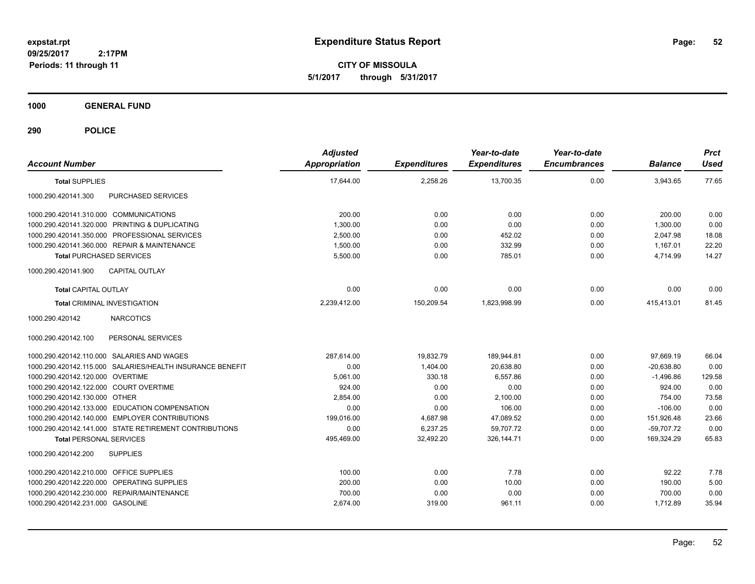**CITY OF MISSOULA 5/1/2017 through 5/31/2017**

**1000 GENERAL FUND**

| <b>Account Number</b>                                     | <b>Adjusted</b><br>Appropriation | <b>Expenditures</b> | Year-to-date<br><b>Expenditures</b> | Year-to-date<br><b>Encumbrances</b> | <b>Balance</b> | <b>Prct</b><br><b>Used</b> |
|-----------------------------------------------------------|----------------------------------|---------------------|-------------------------------------|-------------------------------------|----------------|----------------------------|
| <b>Total SUPPLIES</b>                                     | 17,644.00                        | 2,258.26            | 13,700.35                           | 0.00                                | 3,943.65       | 77.65                      |
| 1000.290.420141.300<br>PURCHASED SERVICES                 |                                  |                     |                                     |                                     |                |                            |
| 1000.290.420141.310.000 COMMUNICATIONS                    | 200.00                           | 0.00                | 0.00                                | 0.00                                | 200.00         | 0.00                       |
| 1000.290.420141.320.000 PRINTING & DUPLICATING            | 1,300.00                         | 0.00                | 0.00                                | 0.00                                | 1,300.00       | 0.00                       |
| 1000.290.420141.350.000 PROFESSIONAL SERVICES             | 2,500.00                         | 0.00                | 452.02                              | 0.00                                | 2,047.98       | 18.08                      |
| 1000.290.420141.360.000 REPAIR & MAINTENANCE              | 1,500.00                         | 0.00                | 332.99                              | 0.00                                | 1,167.01       | 22.20                      |
| <b>Total PURCHASED SERVICES</b>                           | 5,500.00                         | 0.00                | 785.01                              | 0.00                                | 4,714.99       | 14.27                      |
| <b>CAPITAL OUTLAY</b><br>1000.290.420141.900              |                                  |                     |                                     |                                     |                |                            |
| <b>Total CAPITAL OUTLAY</b>                               | 0.00                             | 0.00                | 0.00                                | 0.00                                | 0.00           | 0.00                       |
| <b>Total CRIMINAL INVESTIGATION</b>                       | 2,239,412.00                     | 150,209.54          | 1,823,998.99                        | 0.00                                | 415,413.01     | 81.45                      |
| 1000.290.420142<br><b>NARCOTICS</b>                       |                                  |                     |                                     |                                     |                |                            |
| PERSONAL SERVICES<br>1000.290.420142.100                  |                                  |                     |                                     |                                     |                |                            |
| 1000.290.420142.110.000 SALARIES AND WAGES                | 287,614.00                       | 19,832.79           | 189,944.81                          | 0.00                                | 97,669.19      | 66.04                      |
| 1000.290.420142.115.000 SALARIES/HEALTH INSURANCE BENEFIT | 0.00                             | 1,404.00            | 20,638.80                           | 0.00                                | $-20,638.80$   | 0.00                       |
| 1000.290.420142.120.000 OVERTIME                          | 5,061.00                         | 330.18              | 6.557.86                            | 0.00                                | $-1,496.86$    | 129.58                     |
| 1000.290.420142.122.000 COURT OVERTIME                    | 924.00                           | 0.00                | 0.00                                | 0.00                                | 924.00         | 0.00                       |
| 1000.290.420142.130.000 OTHER                             | 2.854.00                         | 0.00                | 2.100.00                            | 0.00                                | 754.00         | 73.58                      |
| 1000.290.420142.133.000 EDUCATION COMPENSATION            | 0.00                             | 0.00                | 106.00                              | 0.00                                | $-106.00$      | 0.00                       |
| 1000.290.420142.140.000 EMPLOYER CONTRIBUTIONS            | 199,016.00                       | 4,687.98            | 47,089.52                           | 0.00                                | 151,926.48     | 23.66                      |
| 1000.290.420142.141.000 STATE RETIREMENT CONTRIBUTIONS    | 0.00                             | 6,237.25            | 59.707.72                           | 0.00                                | $-59.707.72$   | 0.00                       |
| <b>Total PERSONAL SERVICES</b>                            | 495,469.00                       | 32,492.20           | 326, 144.71                         | 0.00                                | 169.324.29     | 65.83                      |
| <b>SUPPLIES</b><br>1000.290.420142.200                    |                                  |                     |                                     |                                     |                |                            |
| 1000.290.420142.210.000 OFFICE SUPPLIES                   | 100.00                           | 0.00                | 7.78                                | 0.00                                | 92.22          | 7.78                       |
| 1000.290.420142.220.000 OPERATING SUPPLIES                | 200.00                           | 0.00                | 10.00                               | 0.00                                | 190.00         | 5.00                       |
| 1000.290.420142.230.000 REPAIR/MAINTENANCE                | 700.00                           | 0.00                | 0.00                                | 0.00                                | 700.00         | 0.00                       |
| 1000.290.420142.231.000 GASOLINE                          | 2,674.00                         | 319.00              | 961.11                              | 0.00                                | 1,712.89       | 35.94                      |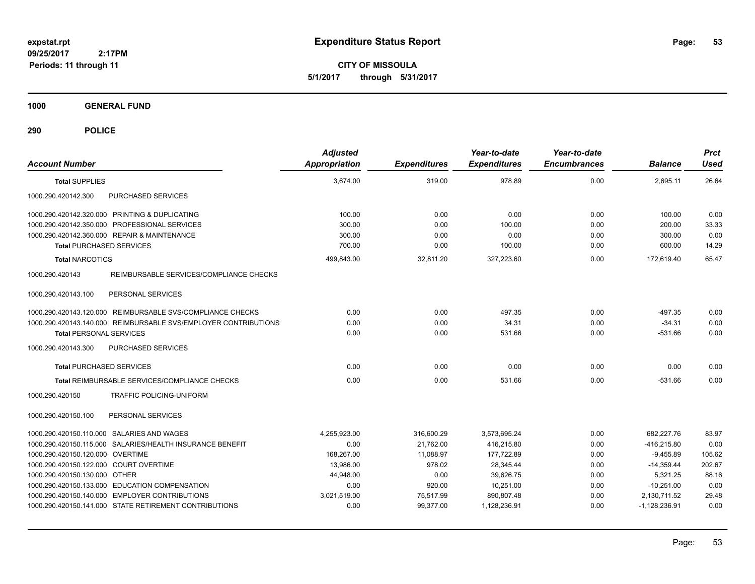**CITY OF MISSOULA 5/1/2017 through 5/31/2017**

**1000 GENERAL FUND**

| <b>Account Number</b>                                           | <b>Adjusted</b><br><b>Appropriation</b> | <b>Expenditures</b> | Year-to-date<br><b>Expenditures</b> | Year-to-date<br><b>Encumbrances</b> | <b>Balance</b>  | <b>Prct</b><br><b>Used</b> |
|-----------------------------------------------------------------|-----------------------------------------|---------------------|-------------------------------------|-------------------------------------|-----------------|----------------------------|
| <b>Total SUPPLIES</b>                                           | 3,674.00                                | 319.00              | 978.89                              | 0.00                                | 2,695.11        | 26.64                      |
| 1000.290.420142.300<br>PURCHASED SERVICES                       |                                         |                     |                                     |                                     |                 |                            |
| 1000.290.420142.320.000 PRINTING & DUPLICATING                  | 100.00                                  | 0.00                | 0.00                                | 0.00                                | 100.00          | 0.00                       |
| 1000.290.420142.350.000 PROFESSIONAL SERVICES                   | 300.00                                  | 0.00                | 100.00                              | 0.00                                | 200.00          | 33.33                      |
| 1000.290.420142.360.000 REPAIR & MAINTENANCE                    | 300.00                                  | 0.00                | 0.00                                | 0.00                                | 300.00          | 0.00                       |
| <b>Total PURCHASED SERVICES</b>                                 | 700.00                                  | 0.00                | 100.00                              | 0.00                                | 600.00          | 14.29                      |
| <b>Total NARCOTICS</b>                                          | 499,843.00                              | 32,811.20           | 327,223.60                          | 0.00                                | 172,619.40      | 65.47                      |
| REIMBURSABLE SERVICES/COMPLIANCE CHECKS<br>1000.290.420143      |                                         |                     |                                     |                                     |                 |                            |
| 1000.290.420143.100<br>PERSONAL SERVICES                        |                                         |                     |                                     |                                     |                 |                            |
| 1000.290.420143.120.000 REIMBURSABLE SVS/COMPLIANCE CHECKS      | 0.00                                    | 0.00                | 497.35                              | 0.00                                | $-497.35$       | 0.00                       |
| 1000.290.420143.140.000 REIMBURSABLE SVS/EMPLOYER CONTRIBUTIONS | 0.00                                    | 0.00                | 34.31                               | 0.00                                | $-34.31$        | 0.00                       |
| <b>Total PERSONAL SERVICES</b>                                  | 0.00                                    | 0.00                | 531.66                              | 0.00                                | $-531.66$       | 0.00                       |
| PURCHASED SERVICES<br>1000.290.420143.300                       |                                         |                     |                                     |                                     |                 |                            |
| <b>Total PURCHASED SERVICES</b>                                 | 0.00                                    | 0.00                | 0.00                                | 0.00                                | 0.00            | 0.00                       |
| <b>Total REIMBURSABLE SERVICES/COMPLIANCE CHECKS</b>            | 0.00                                    | 0.00                | 531.66                              | 0.00                                | $-531.66$       | 0.00                       |
| 1000.290.420150<br><b>TRAFFIC POLICING-UNIFORM</b>              |                                         |                     |                                     |                                     |                 |                            |
| 1000.290.420150.100<br>PERSONAL SERVICES                        |                                         |                     |                                     |                                     |                 |                            |
| 1000.290.420150.110.000 SALARIES AND WAGES                      | 4,255,923.00                            | 316,600.29          | 3,573,695.24                        | 0.00                                | 682,227.76      | 83.97                      |
| 1000.290.420150.115.000 SALARIES/HEALTH INSURANCE BENEFIT       | 0.00                                    | 21,762.00           | 416,215.80                          | 0.00                                | $-416,215.80$   | 0.00                       |
| 1000.290.420150.120.000 OVERTIME                                | 168,267.00                              | 11,088.97           | 177,722.89                          | 0.00                                | $-9,455.89$     | 105.62                     |
| 1000.290.420150.122.000 COURT OVERTIME                          | 13,986.00                               | 978.02              | 28,345.44                           | 0.00                                | $-14,359.44$    | 202.67                     |
| 1000.290.420150.130.000 OTHER                                   | 44,948.00                               | 0.00                | 39,626.75                           | 0.00                                | 5,321.25        | 88.16                      |
| 1000.290.420150.133.000 EDUCATION COMPENSATION                  | 0.00                                    | 920.00              | 10.251.00                           | 0.00                                | $-10,251.00$    | 0.00                       |
| 1000.290.420150.140.000 EMPLOYER CONTRIBUTIONS                  | 3,021,519.00                            | 75,517.99           | 890,807.48                          | 0.00                                | 2,130,711.52    | 29.48                      |
| 1000.290.420150.141.000 STATE RETIREMENT CONTRIBUTIONS          | 0.00                                    | 99,377.00           | 1,128,236.91                        | 0.00                                | $-1,128,236.91$ | 0.00                       |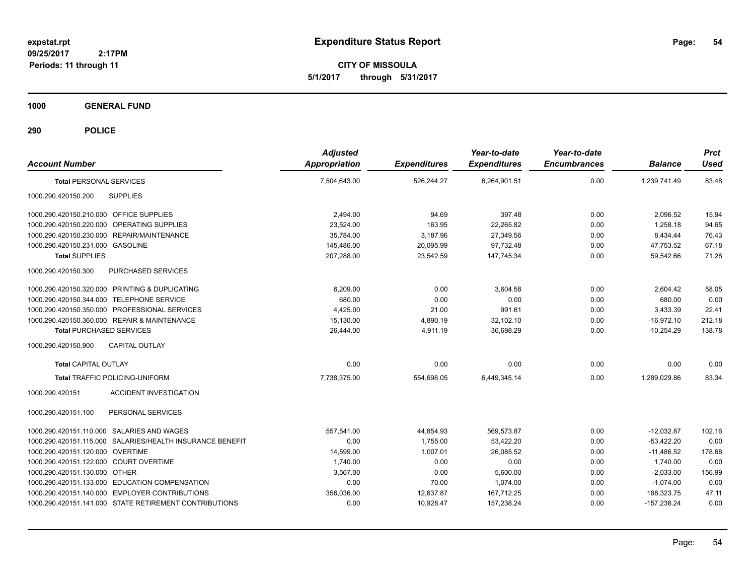**CITY OF MISSOULA 5/1/2017 through 5/31/2017**

**1000 GENERAL FUND**

| <b>Account Number</b>                      |                                                           | <b>Adjusted</b><br>Appropriation | <b>Expenditures</b> | Year-to-date<br><b>Expenditures</b> | Year-to-date<br><b>Encumbrances</b> | <b>Balance</b> | <b>Prct</b><br><b>Used</b> |
|--------------------------------------------|-----------------------------------------------------------|----------------------------------|---------------------|-------------------------------------|-------------------------------------|----------------|----------------------------|
| <b>Total PERSONAL SERVICES</b>             |                                                           | 7,504,643.00                     | 526,244.27          | 6,264,901.51                        | 0.00                                | 1,239,741.49   | 83.48                      |
| 1000.290.420150.200                        | <b>SUPPLIES</b>                                           |                                  |                     |                                     |                                     |                |                            |
| 1000.290.420150.210.000 OFFICE SUPPLIES    |                                                           | 2,494.00                         | 94.69               | 397.48                              | 0.00                                | 2,096.52       | 15.94                      |
| 1000.290.420150.220.000 OPERATING SUPPLIES |                                                           | 23,524.00                        | 163.95              | 22,265.82                           | 0.00                                | 1,258.18       | 94.65                      |
|                                            | 1000.290.420150.230.000 REPAIR/MAINTENANCE                | 35,784.00                        | 3,187.96            | 27,349.56                           | 0.00                                | 8,434.44       | 76.43                      |
| 1000.290.420150.231.000 GASOLINE           |                                                           | 145,486.00                       | 20,095.99           | 97,732.48                           | 0.00                                | 47,753.52      | 67.18                      |
| <b>Total SUPPLIES</b>                      |                                                           | 207,288.00                       | 23,542.59           | 147,745.34                          | 0.00                                | 59,542.66      | 71.28                      |
| 1000.290.420150.300                        | PURCHASED SERVICES                                        |                                  |                     |                                     |                                     |                |                            |
|                                            | 1000.290.420150.320.000 PRINTING & DUPLICATING            | 6.209.00                         | 0.00                | 3.604.58                            | 0.00                                | 2.604.42       | 58.05                      |
| 1000.290.420150.344.000 TELEPHONE SERVICE  |                                                           | 680.00                           | 0.00                | 0.00                                | 0.00                                | 680.00         | 0.00                       |
|                                            | 1000.290.420150.350.000 PROFESSIONAL SERVICES             | 4,425.00                         | 21.00               | 991.61                              | 0.00                                | 3,433.39       | 22.41                      |
|                                            | 1000.290.420150.360.000 REPAIR & MAINTENANCE              | 15,130.00                        | 4,890.19            | 32,102.10                           | 0.00                                | $-16,972.10$   | 212.18                     |
| <b>Total PURCHASED SERVICES</b>            |                                                           | 26,444.00                        | 4,911.19            | 36,698.29                           | 0.00                                | $-10,254.29$   | 138.78                     |
| 1000.290.420150.900                        | <b>CAPITAL OUTLAY</b>                                     |                                  |                     |                                     |                                     |                |                            |
| <b>Total CAPITAL OUTLAY</b>                |                                                           | 0.00                             | 0.00                | 0.00                                | 0.00                                | 0.00           | 0.00                       |
|                                            | <b>Total TRAFFIC POLICING-UNIFORM</b>                     | 7,738,375.00                     | 554,698.05          | 6,449,345.14                        | 0.00                                | 1,289,029.86   | 83.34                      |
| 1000.290.420151                            | <b>ACCIDENT INVESTIGATION</b>                             |                                  |                     |                                     |                                     |                |                            |
| 1000.290.420151.100                        | PERSONAL SERVICES                                         |                                  |                     |                                     |                                     |                |                            |
| 1000.290.420151.110.000 SALARIES AND WAGES |                                                           | 557,541.00                       | 44,854.93           | 569,573.87                          | 0.00                                | $-12,032.87$   | 102.16                     |
|                                            | 1000.290.420151.115.000 SALARIES/HEALTH INSURANCE BENEFIT | 0.00                             | 1,755.00            | 53,422.20                           | 0.00                                | $-53,422.20$   | 0.00                       |
| 1000.290.420151.120.000 OVERTIME           |                                                           | 14,599.00                        | 1,007.01            | 26,085.52                           | 0.00                                | $-11,486.52$   | 178.68                     |
| 1000.290.420151.122.000 COURT OVERTIME     |                                                           | 1,740.00                         | 0.00                | 0.00                                | 0.00                                | 1,740.00       | 0.00                       |
| 1000.290.420151.130.000 OTHER              |                                                           | 3,567.00                         | 0.00                | 5,600.00                            | 0.00                                | $-2,033.00$    | 156.99                     |
|                                            | 1000.290.420151.133.000 EDUCATION COMPENSATION            | 0.00                             | 70.00               | 1.074.00                            | 0.00                                | $-1.074.00$    | 0.00                       |
|                                            | 1000.290.420151.140.000 EMPLOYER CONTRIBUTIONS            | 356,036.00                       | 12,637.87           | 167.712.25                          | 0.00                                | 188,323.75     | 47.11                      |
|                                            | 1000.290.420151.141.000 STATE RETIREMENT CONTRIBUTIONS    | 0.00                             | 10,928.47           | 157,238.24                          | 0.00                                | $-157,238.24$  | 0.00                       |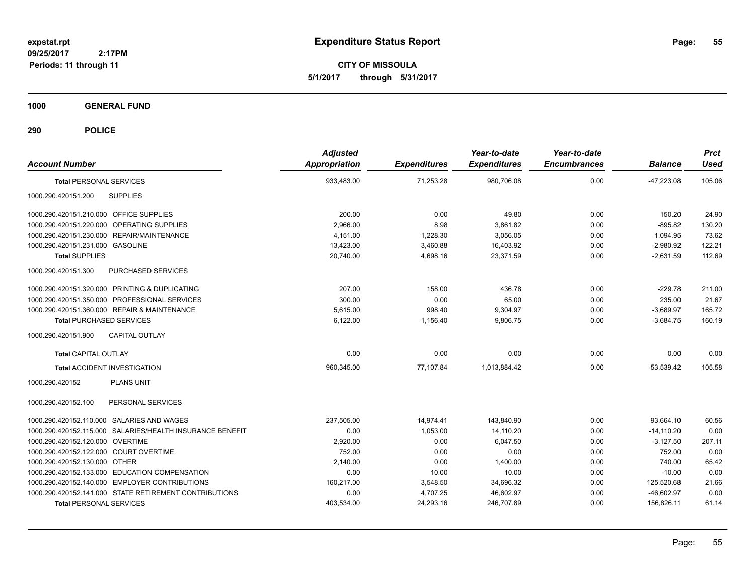**CITY OF MISSOULA 5/1/2017 through 5/31/2017**

**1000 GENERAL FUND**

| <b>Account Number</b>                                     | <b>Adjusted</b><br><b>Appropriation</b> | <b>Expenditures</b> | Year-to-date<br><b>Expenditures</b> | Year-to-date<br><b>Encumbrances</b> | <b>Balance</b> | <b>Prct</b><br><b>Used</b> |
|-----------------------------------------------------------|-----------------------------------------|---------------------|-------------------------------------|-------------------------------------|----------------|----------------------------|
| <b>Total PERSONAL SERVICES</b>                            | 933,483.00                              | 71,253.28           | 980,706.08                          | 0.00                                | $-47,223.08$   | 105.06                     |
| 1000.290.420151.200<br><b>SUPPLIES</b>                    |                                         |                     |                                     |                                     |                |                            |
| 1000.290.420151.210.000 OFFICE SUPPLIES                   | 200.00                                  | 0.00                | 49.80                               | 0.00                                | 150.20         | 24.90                      |
| 1000.290.420151.220.000 OPERATING SUPPLIES                | 2,966.00                                | 8.98                | 3,861.82                            | 0.00                                | $-895.82$      | 130.20                     |
| 1000.290.420151.230.000 REPAIR/MAINTENANCE                | 4,151.00                                | 1,228.30            | 3,056.05                            | 0.00                                | 1,094.95       | 73.62                      |
| 1000.290.420151.231.000 GASOLINE                          | 13,423.00                               | 3,460.88            | 16,403.92                           | 0.00                                | $-2,980.92$    | 122.21                     |
| <b>Total SUPPLIES</b>                                     | 20,740.00                               | 4,698.16            | 23,371.59                           | 0.00                                | $-2,631.59$    | 112.69                     |
| 1000.290.420151.300<br>PURCHASED SERVICES                 |                                         |                     |                                     |                                     |                |                            |
| 1000.290.420151.320.000 PRINTING & DUPLICATING            | 207.00                                  | 158.00              | 436.78                              | 0.00                                | $-229.78$      | 211.00                     |
| 1000.290.420151.350.000 PROFESSIONAL SERVICES             | 300.00                                  | 0.00                | 65.00                               | 0.00                                | 235.00         | 21.67                      |
| 1000.290.420151.360.000 REPAIR & MAINTENANCE              | 5,615.00                                | 998.40              | 9,304.97                            | 0.00                                | $-3,689.97$    | 165.72                     |
| <b>Total PURCHASED SERVICES</b>                           | 6,122.00                                | 1,156.40            | 9,806.75                            | 0.00                                | $-3,684.75$    | 160.19                     |
| 1000.290.420151.900<br><b>CAPITAL OUTLAY</b>              |                                         |                     |                                     |                                     |                |                            |
| <b>Total CAPITAL OUTLAY</b>                               | 0.00                                    | 0.00                | 0.00                                | 0.00                                | 0.00           | 0.00                       |
| <b>Total ACCIDENT INVESTIGATION</b>                       | 960,345.00                              | 77,107.84           | 1,013,884.42                        | 0.00                                | $-53,539.42$   | 105.58                     |
| <b>PLANS UNIT</b><br>1000.290.420152                      |                                         |                     |                                     |                                     |                |                            |
| 1000.290.420152.100<br>PERSONAL SERVICES                  |                                         |                     |                                     |                                     |                |                            |
| 1000.290.420152.110.000 SALARIES AND WAGES                | 237,505.00                              | 14,974.41           | 143,840.90                          | 0.00                                | 93,664.10      | 60.56                      |
| 1000.290.420152.115.000 SALARIES/HEALTH INSURANCE BENEFIT | 0.00                                    | 1,053.00            | 14,110.20                           | 0.00                                | $-14,110.20$   | 0.00                       |
| 1000.290.420152.120.000 OVERTIME                          | 2,920.00                                | 0.00                | 6,047.50                            | 0.00                                | $-3,127.50$    | 207.11                     |
| 1000.290.420152.122.000 COURT OVERTIME                    | 752.00                                  | 0.00                | 0.00                                | 0.00                                | 752.00         | 0.00                       |
| 1000.290.420152.130.000 OTHER                             | 2,140.00                                | 0.00                | 1,400.00                            | 0.00                                | 740.00         | 65.42                      |
| 1000.290.420152.133.000 EDUCATION COMPENSATION            | 0.00                                    | 10.00               | 10.00                               | 0.00                                | $-10.00$       | 0.00                       |
| 1000.290.420152.140.000 EMPLOYER CONTRIBUTIONS            | 160,217.00                              | 3,548.50            | 34,696.32                           | 0.00                                | 125,520.68     | 21.66                      |
| 1000.290.420152.141.000 STATE RETIREMENT CONTRIBUTIONS    | 0.00                                    | 4,707.25            | 46,602.97                           | 0.00                                | $-46,602.97$   | 0.00                       |
| <b>Total PERSONAL SERVICES</b>                            | 403,534.00                              | 24,293.16           | 246,707.89                          | 0.00                                | 156,826.11     | 61.14                      |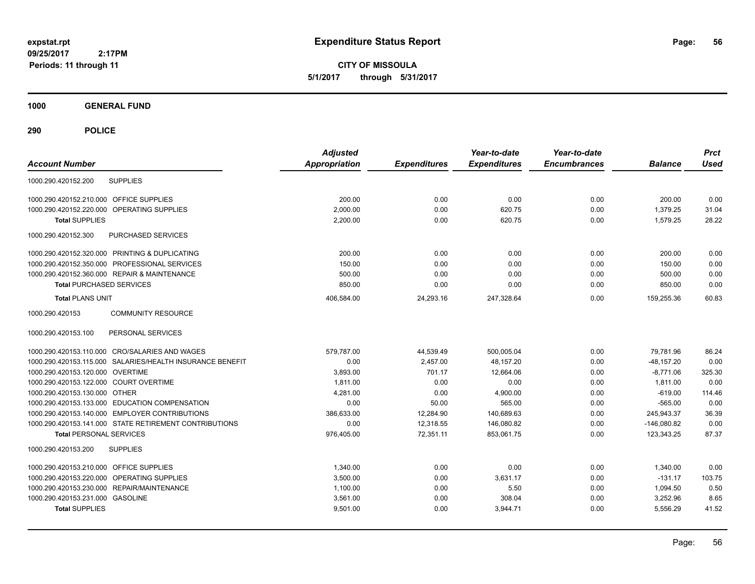**CITY OF MISSOULA 5/1/2017 through 5/31/2017**

**1000 GENERAL FUND**

| <b>Account Number</b>                   |                                                           | <b>Adjusted</b><br><b>Appropriation</b> | <b>Expenditures</b> | Year-to-date<br><b>Expenditures</b> | Year-to-date<br><b>Encumbrances</b> | <b>Balance</b> | <b>Prct</b><br><b>Used</b> |
|-----------------------------------------|-----------------------------------------------------------|-----------------------------------------|---------------------|-------------------------------------|-------------------------------------|----------------|----------------------------|
| 1000.290.420152.200                     | <b>SUPPLIES</b>                                           |                                         |                     |                                     |                                     |                |                            |
| 1000.290.420152.210.000                 | <b>OFFICE SUPPLIES</b>                                    | 200.00                                  | 0.00                | 0.00                                | 0.00                                | 200.00         | 0.00                       |
| 1000.290.420152.220.000                 | <b>OPERATING SUPPLIES</b>                                 | 2.000.00                                | 0.00                | 620.75                              | 0.00                                | 1,379.25       | 31.04                      |
| <b>Total SUPPLIES</b>                   |                                                           | 2,200.00                                | 0.00                | 620.75                              | 0.00                                | 1,579.25       | 28.22                      |
| 1000.290.420152.300                     | PURCHASED SERVICES                                        |                                         |                     |                                     |                                     |                |                            |
|                                         | 1000.290.420152.320.000 PRINTING & DUPLICATING            | 200.00                                  | 0.00                | 0.00                                | 0.00                                | 200.00         | 0.00                       |
| 1000.290.420152.350.000                 | PROFESSIONAL SERVICES                                     | 150.00                                  | 0.00                | 0.00                                | 0.00                                | 150.00         | 0.00                       |
|                                         | 1000.290.420152.360.000 REPAIR & MAINTENANCE              | 500.00                                  | 0.00                | 0.00                                | 0.00                                | 500.00         | 0.00                       |
| <b>Total PURCHASED SERVICES</b>         |                                                           | 850.00                                  | 0.00                | 0.00                                | 0.00                                | 850.00         | 0.00                       |
| <b>Total PLANS UNIT</b>                 |                                                           | 406,584.00                              | 24,293.16           | 247.328.64                          | 0.00                                | 159.255.36     | 60.83                      |
| 1000.290.420153                         | <b>COMMUNITY RESOURCE</b>                                 |                                         |                     |                                     |                                     |                |                            |
| 1000.290.420153.100                     | PERSONAL SERVICES                                         |                                         |                     |                                     |                                     |                |                            |
|                                         | 1000.290.420153.110.000 CRO/SALARIES AND WAGES            | 579,787.00                              | 44,539.49           | 500,005.04                          | 0.00                                | 79,781.96      | 86.24                      |
|                                         | 1000.290.420153.115.000 SALARIES/HEALTH INSURANCE BENEFIT | 0.00                                    | 2,457.00            | 48,157.20                           | 0.00                                | $-48, 157.20$  | 0.00                       |
| 1000.290.420153.120.000 OVERTIME        |                                                           | 3,893.00                                | 701.17              | 12.664.06                           | 0.00                                | $-8.771.06$    | 325.30                     |
| 1000.290.420153.122.000 COURT OVERTIME  |                                                           | 1.811.00                                | 0.00                | 0.00                                | 0.00                                | 1.811.00       | 0.00                       |
| 1000.290.420153.130.000 OTHER           |                                                           | 4.281.00                                | 0.00                | 4,900.00                            | 0.00                                | $-619.00$      | 114.46                     |
|                                         | 1000.290.420153.133.000 EDUCATION COMPENSATION            | 0.00                                    | 50.00               | 565.00                              | 0.00                                | $-565.00$      | 0.00                       |
|                                         | 1000.290.420153.140.000 EMPLOYER CONTRIBUTIONS            | 386,633.00                              | 12,284.90           | 140,689.63                          | 0.00                                | 245,943.37     | 36.39                      |
|                                         | 1000.290.420153.141.000 STATE RETIREMENT CONTRIBUTIONS    | 0.00                                    | 12,318.55           | 146,080.82                          | 0.00                                | $-146,080.82$  | 0.00                       |
| <b>Total PERSONAL SERVICES</b>          |                                                           | 976,405.00                              | 72,351.11           | 853,061.75                          | 0.00                                | 123.343.25     | 87.37                      |
| 1000.290.420153.200                     | <b>SUPPLIES</b>                                           |                                         |                     |                                     |                                     |                |                            |
| 1000.290.420153.210.000 OFFICE SUPPLIES |                                                           | 1,340.00                                | 0.00                | 0.00                                | 0.00                                | 1,340.00       | 0.00                       |
|                                         | 1000.290.420153.220.000 OPERATING SUPPLIES                | 3,500.00                                | 0.00                | 3,631.17                            | 0.00                                | $-131.17$      | 103.75                     |
|                                         | 1000.290.420153.230.000 REPAIR/MAINTENANCE                | 1.100.00                                | 0.00                | 5.50                                | 0.00                                | 1,094.50       | 0.50                       |
| 1000.290.420153.231.000 GASOLINE        |                                                           | 3,561.00                                | 0.00                | 308.04                              | 0.00                                | 3,252.96       | 8.65                       |
| <b>Total SUPPLIES</b>                   |                                                           | 9,501.00                                | 0.00                | 3,944.71                            | 0.00                                | 5,556.29       | 41.52                      |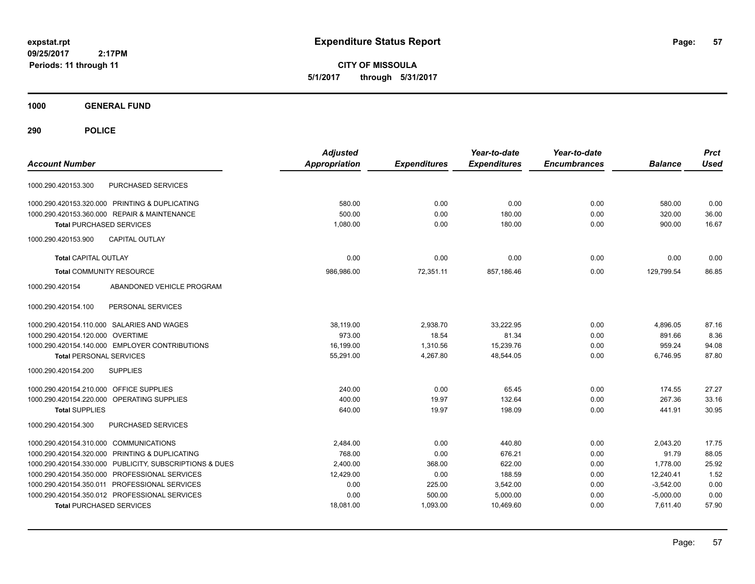**CITY OF MISSOULA 5/1/2017 through 5/31/2017**

**1000 GENERAL FUND**

| <b>Account Number</b>                   |                                                | <b>Adjusted</b><br><b>Appropriation</b> | <b>Expenditures</b> | Year-to-date<br><b>Expenditures</b> | Year-to-date<br><b>Encumbrances</b> | <b>Balance</b> | <b>Prct</b><br><b>Used</b> |
|-----------------------------------------|------------------------------------------------|-----------------------------------------|---------------------|-------------------------------------|-------------------------------------|----------------|----------------------------|
| 1000.290.420153.300                     | PURCHASED SERVICES                             |                                         |                     |                                     |                                     |                |                            |
|                                         | 1000.290.420153.320.000 PRINTING & DUPLICATING | 580.00                                  | 0.00                | 0.00                                | 0.00                                | 580.00         | 0.00                       |
|                                         | 1000.290.420153.360.000 REPAIR & MAINTENANCE   | 500.00                                  | 0.00                | 180.00                              | 0.00                                | 320.00         | 36.00                      |
| <b>Total PURCHASED SERVICES</b>         |                                                | 1,080.00                                | 0.00                | 180.00                              | 0.00                                | 900.00         | 16.67                      |
| 1000.290.420153.900                     | <b>CAPITAL OUTLAY</b>                          |                                         |                     |                                     |                                     |                |                            |
| <b>Total CAPITAL OUTLAY</b>             |                                                | 0.00                                    | 0.00                | 0.00                                | 0.00                                | 0.00           | 0.00                       |
| <b>Total COMMUNITY RESOURCE</b>         |                                                | 986.986.00                              | 72.351.11           | 857.186.46                          | 0.00                                | 129.799.54     | 86.85                      |
| 1000.290.420154                         | ABANDONED VEHICLE PROGRAM                      |                                         |                     |                                     |                                     |                |                            |
| 1000.290.420154.100                     | PERSONAL SERVICES                              |                                         |                     |                                     |                                     |                |                            |
|                                         | 1000.290.420154.110.000 SALARIES AND WAGES     | 38,119.00                               | 2,938.70            | 33,222.95                           | 0.00                                | 4,896.05       | 87.16                      |
| 1000.290.420154.120.000 OVERTIME        |                                                | 973.00                                  | 18.54               | 81.34                               | 0.00                                | 891.66         | 8.36                       |
|                                         | 1000.290.420154.140.000 EMPLOYER CONTRIBUTIONS | 16,199.00                               | 1,310.56            | 15,239.76                           | 0.00                                | 959.24         | 94.08                      |
| <b>Total PERSONAL SERVICES</b>          |                                                | 55,291.00                               | 4,267.80            | 48,544.05                           | 0.00                                | 6,746.95       | 87.80                      |
| 1000.290.420154.200                     | <b>SUPPLIES</b>                                |                                         |                     |                                     |                                     |                |                            |
| 1000.290.420154.210.000 OFFICE SUPPLIES |                                                | 240.00                                  | 0.00                | 65.45                               | 0.00                                | 174.55         | 27.27                      |
|                                         | 1000.290.420154.220.000 OPERATING SUPPLIES     | 400.00                                  | 19.97               | 132.64                              | 0.00                                | 267.36         | 33.16                      |
| <b>Total SUPPLIES</b>                   |                                                | 640.00                                  | 19.97               | 198.09                              | 0.00                                | 441.91         | 30.95                      |
| 1000.290.420154.300                     | PURCHASED SERVICES                             |                                         |                     |                                     |                                     |                |                            |
| 1000.290.420154.310.000 COMMUNICATIONS  |                                                | 2,484.00                                | 0.00                | 440.80                              | 0.00                                | 2,043.20       | 17.75                      |
|                                         | 1000.290.420154.320.000 PRINTING & DUPLICATING | 768.00                                  | 0.00                | 676.21                              | 0.00                                | 91.79          | 88.05                      |
| 1000.290.420154.330.000                 | PUBLICITY, SUBSCRIPTIONS & DUES                | 2,400.00                                | 368.00              | 622.00                              | 0.00                                | 1.778.00       | 25.92                      |
|                                         | 1000.290.420154.350.000 PROFESSIONAL SERVICES  | 12,429.00                               | 0.00                | 188.59                              | 0.00                                | 12,240.41      | 1.52                       |
|                                         | 1000.290.420154.350.011 PROFESSIONAL SERVICES  | 0.00                                    | 225.00              | 3,542.00                            | 0.00                                | $-3,542.00$    | 0.00                       |
|                                         | 1000.290.420154.350.012 PROFESSIONAL SERVICES  | 0.00                                    | 500.00              | 5,000.00                            | 0.00                                | $-5,000.00$    | 0.00                       |
| <b>Total PURCHASED SERVICES</b>         |                                                | 18,081.00                               | 1,093.00            | 10,469.60                           | 0.00                                | 7,611.40       | 57.90                      |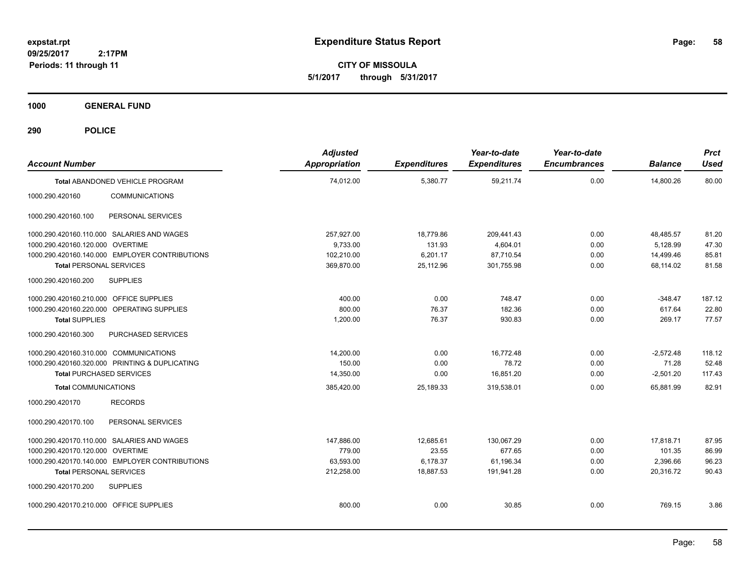**CITY OF MISSOULA 5/1/2017 through 5/31/2017**

**1000 GENERAL FUND**

| <b>Account Number</b>                          | <b>Adjusted</b><br>Appropriation | <b>Expenditures</b> | Year-to-date<br><b>Expenditures</b> | Year-to-date<br><b>Encumbrances</b> | <b>Balance</b> | <b>Prct</b><br><b>Used</b> |
|------------------------------------------------|----------------------------------|---------------------|-------------------------------------|-------------------------------------|----------------|----------------------------|
| <b>Total ABANDONED VEHICLE PROGRAM</b>         | 74,012.00                        | 5,380.77            | 59,211.74                           | 0.00                                | 14,800.26      | 80.00                      |
| 1000.290.420160<br><b>COMMUNICATIONS</b>       |                                  |                     |                                     |                                     |                |                            |
| 1000.290.420160.100<br>PERSONAL SERVICES       |                                  |                     |                                     |                                     |                |                            |
| 1000.290.420160.110.000 SALARIES AND WAGES     | 257.927.00                       | 18,779.86           | 209.441.43                          | 0.00                                | 48,485.57      | 81.20                      |
| 1000.290.420160.120.000 OVERTIME               | 9,733.00                         | 131.93              | 4,604.01                            | 0.00                                | 5,128.99       | 47.30                      |
| 1000.290.420160.140.000 EMPLOYER CONTRIBUTIONS | 102,210.00                       | 6,201.17            | 87,710.54                           | 0.00                                | 14,499.46      | 85.81                      |
| <b>Total PERSONAL SERVICES</b>                 | 369,870.00                       | 25,112.96           | 301,755.98                          | 0.00                                | 68,114.02      | 81.58                      |
| <b>SUPPLIES</b><br>1000.290.420160.200         |                                  |                     |                                     |                                     |                |                            |
| 1000.290.420160.210.000 OFFICE SUPPLIES        | 400.00                           | 0.00                | 748.47                              | 0.00                                | $-348.47$      | 187.12                     |
| 1000.290.420160.220.000 OPERATING SUPPLIES     | 800.00                           | 76.37               | 182.36                              | 0.00                                | 617.64         | 22.80                      |
| <b>Total SUPPLIES</b>                          | 1,200.00                         | 76.37               | 930.83                              | 0.00                                | 269.17         | 77.57                      |
| PURCHASED SERVICES<br>1000.290.420160.300      |                                  |                     |                                     |                                     |                |                            |
| 1000.290.420160.310.000 COMMUNICATIONS         | 14.200.00                        | 0.00                | 16.772.48                           | 0.00                                | $-2,572.48$    | 118.12                     |
| 1000.290.420160.320.000 PRINTING & DUPLICATING | 150.00                           | 0.00                | 78.72                               | 0.00                                | 71.28          | 52.48                      |
| <b>Total PURCHASED SERVICES</b>                | 14,350.00                        | 0.00                | 16,851.20                           | 0.00                                | $-2,501.20$    | 117.43                     |
| <b>Total COMMUNICATIONS</b>                    | 385,420.00                       | 25,189.33           | 319,538.01                          | 0.00                                | 65,881.99      | 82.91                      |
| 1000.290.420170<br><b>RECORDS</b>              |                                  |                     |                                     |                                     |                |                            |
| 1000.290.420170.100<br>PERSONAL SERVICES       |                                  |                     |                                     |                                     |                |                            |
| 1000.290.420170.110.000 SALARIES AND WAGES     | 147,886.00                       | 12,685.61           | 130,067.29                          | 0.00                                | 17,818.71      | 87.95                      |
| 1000.290.420170.120.000 OVERTIME               | 779.00                           | 23.55               | 677.65                              | 0.00                                | 101.35         | 86.99                      |
| 1000.290.420170.140.000 EMPLOYER CONTRIBUTIONS | 63,593.00                        | 6,178.37            | 61,196.34                           | 0.00                                | 2,396.66       | 96.23                      |
| <b>Total PERSONAL SERVICES</b>                 | 212,258.00                       | 18,887.53           | 191,941.28                          | 0.00                                | 20,316.72      | 90.43                      |
| 1000.290.420170.200<br><b>SUPPLIES</b>         |                                  |                     |                                     |                                     |                |                            |
| 1000.290.420170.210.000 OFFICE SUPPLIES        | 800.00                           | 0.00                | 30.85                               | 0.00                                | 769.15         | 3.86                       |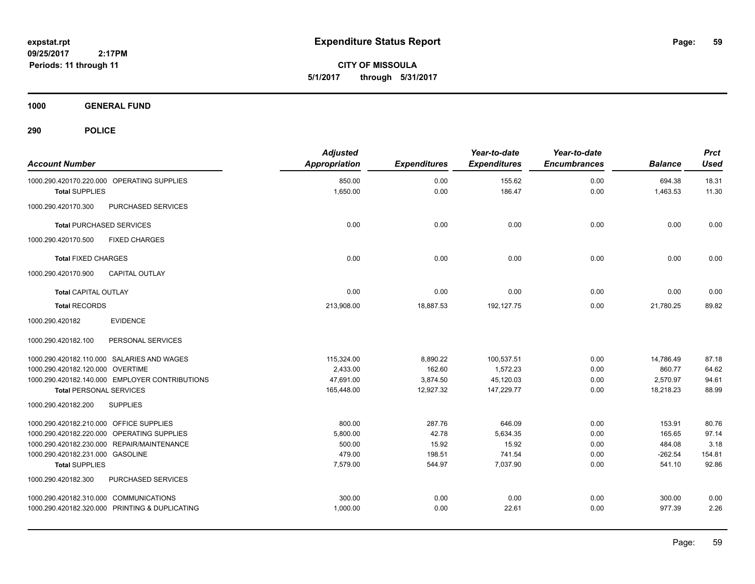**CITY OF MISSOULA 5/1/2017 through 5/31/2017**

**1000 GENERAL FUND**

| <b>Account Number</b>                                               | <b>Adjusted</b><br><b>Appropriation</b> | <b>Expenditures</b> | Year-to-date<br><b>Expenditures</b> | Year-to-date<br><b>Encumbrances</b> | <b>Balance</b>     | <b>Prct</b><br><b>Used</b> |
|---------------------------------------------------------------------|-----------------------------------------|---------------------|-------------------------------------|-------------------------------------|--------------------|----------------------------|
| 1000.290.420170.220.000 OPERATING SUPPLIES<br><b>Total SUPPLIES</b> | 850.00<br>1,650.00                      | 0.00<br>0.00        | 155.62<br>186.47                    | 0.00<br>0.00                        | 694.38<br>1,463.53 | 18.31<br>11.30             |
| PURCHASED SERVICES<br>1000.290.420170.300                           |                                         |                     |                                     |                                     |                    |                            |
| <b>Total PURCHASED SERVICES</b>                                     | 0.00                                    | 0.00                | 0.00                                | 0.00                                | 0.00               | 0.00                       |
| 1000.290.420170.500<br><b>FIXED CHARGES</b>                         |                                         |                     |                                     |                                     |                    |                            |
| <b>Total FIXED CHARGES</b>                                          | 0.00                                    | 0.00                | 0.00                                | 0.00                                | 0.00               | 0.00                       |
| 1000.290.420170.900<br><b>CAPITAL OUTLAY</b>                        |                                         |                     |                                     |                                     |                    |                            |
| <b>Total CAPITAL OUTLAY</b>                                         | 0.00                                    | 0.00                | 0.00                                | 0.00                                | 0.00               | 0.00                       |
| <b>Total RECORDS</b>                                                | 213,908.00                              | 18,887.53           | 192,127.75                          | 0.00                                | 21,780.25          | 89.82                      |
| <b>EVIDENCE</b><br>1000.290.420182                                  |                                         |                     |                                     |                                     |                    |                            |
| PERSONAL SERVICES<br>1000.290.420182.100                            |                                         |                     |                                     |                                     |                    |                            |
| 1000.290.420182.110.000 SALARIES AND WAGES                          | 115,324.00                              | 8,890.22            | 100,537.51                          | 0.00                                | 14,786.49          | 87.18                      |
| 1000.290.420182.120.000 OVERTIME                                    | 2.433.00                                | 162.60              | 1,572.23                            | 0.00                                | 860.77             | 64.62                      |
| 1000.290.420182.140.000 EMPLOYER CONTRIBUTIONS                      | 47,691.00                               | 3,874.50            | 45,120.03                           | 0.00                                | 2,570.97           | 94.61                      |
| <b>Total PERSONAL SERVICES</b>                                      | 165,448.00                              | 12,927.32           | 147,229.77                          | 0.00                                | 18,218.23          | 88.99                      |
| 1000.290.420182.200<br><b>SUPPLIES</b>                              |                                         |                     |                                     |                                     |                    |                            |
| 1000.290.420182.210.000 OFFICE SUPPLIES                             | 800.00                                  | 287.76              | 646.09                              | 0.00                                | 153.91             | 80.76                      |
| 1000.290.420182.220.000 OPERATING SUPPLIES                          | 5,800.00                                | 42.78               | 5,634.35                            | 0.00                                | 165.65             | 97.14                      |
| 1000.290.420182.230.000 REPAIR/MAINTENANCE                          | 500.00                                  | 15.92               | 15.92                               | 0.00                                | 484.08             | 3.18                       |
| 1000.290.420182.231.000 GASOLINE                                    | 479.00                                  | 198.51              | 741.54                              | 0.00                                | $-262.54$          | 154.81                     |
| <b>Total SUPPLIES</b>                                               | 7,579.00                                | 544.97              | 7,037.90                            | 0.00                                | 541.10             | 92.86                      |
| 1000.290.420182.300<br>PURCHASED SERVICES                           |                                         |                     |                                     |                                     |                    |                            |
| 1000.290.420182.310.000 COMMUNICATIONS                              | 300.00                                  | 0.00                | 0.00                                | 0.00                                | 300.00             | 0.00                       |
| 1000.290.420182.320.000 PRINTING & DUPLICATING                      | 1,000.00                                | 0.00                | 22.61                               | 0.00                                | 977.39             | 2.26                       |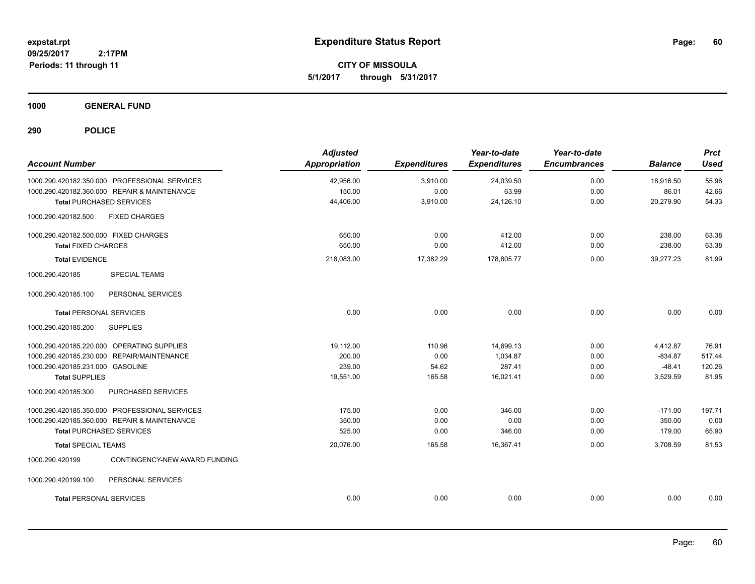**CITY OF MISSOULA 5/1/2017 through 5/31/2017**

**1000 GENERAL FUND**

| <b>Account Number</b>                            | <b>Adjusted</b><br><b>Appropriation</b> | <b>Expenditures</b> | Year-to-date<br><b>Expenditures</b> | Year-to-date<br><b>Encumbrances</b> | <b>Balance</b> | <b>Prct</b><br><b>Used</b> |
|--------------------------------------------------|-----------------------------------------|---------------------|-------------------------------------|-------------------------------------|----------------|----------------------------|
| 1000.290.420182.350.000 PROFESSIONAL SERVICES    | 42,956.00                               | 3,910.00            | 24,039.50                           | 0.00                                | 18,916.50      | 55.96                      |
| 1000.290.420182.360.000 REPAIR & MAINTENANCE     | 150.00                                  | 0.00                | 63.99                               | 0.00                                | 86.01          | 42.66                      |
| <b>Total PURCHASED SERVICES</b>                  | 44,406.00                               | 3,910.00            | 24,126.10                           | 0.00                                | 20,279.90      | 54.33                      |
| 1000.290.420182.500<br><b>FIXED CHARGES</b>      |                                         |                     |                                     |                                     |                |                            |
| 1000.290.420182.500.000 FIXED CHARGES            | 650.00                                  | 0.00                | 412.00                              | 0.00                                | 238.00         | 63.38                      |
| <b>Total FIXED CHARGES</b>                       | 650.00                                  | 0.00                | 412.00                              | 0.00                                | 238.00         | 63.38                      |
| <b>Total EVIDENCE</b>                            | 218,083.00                              | 17,382.29           | 178,805.77                          | 0.00                                | 39,277.23      | 81.99                      |
| 1000.290.420185<br><b>SPECIAL TEAMS</b>          |                                         |                     |                                     |                                     |                |                            |
| 1000.290.420185.100<br>PERSONAL SERVICES         |                                         |                     |                                     |                                     |                |                            |
| <b>Total PERSONAL SERVICES</b>                   | 0.00                                    | 0.00                | 0.00                                | 0.00                                | 0.00           | 0.00                       |
| 1000.290.420185.200<br><b>SUPPLIES</b>           |                                         |                     |                                     |                                     |                |                            |
| 1000.290.420185.220.000 OPERATING SUPPLIES       | 19,112.00                               | 110.96              | 14,699.13                           | 0.00                                | 4,412.87       | 76.91                      |
| 1000.290.420185.230.000 REPAIR/MAINTENANCE       | 200.00                                  | 0.00                | 1,034.87                            | 0.00                                | $-834.87$      | 517.44                     |
| 1000.290.420185.231.000 GASOLINE                 | 239.00                                  | 54.62               | 287.41                              | 0.00                                | $-48.41$       | 120.26                     |
| <b>Total SUPPLIES</b>                            | 19,551.00                               | 165.58              | 16,021.41                           | 0.00                                | 3,529.59       | 81.95                      |
| 1000.290.420185.300<br>PURCHASED SERVICES        |                                         |                     |                                     |                                     |                |                            |
| 1000.290.420185.350.000 PROFESSIONAL SERVICES    | 175.00                                  | 0.00                | 346.00                              | 0.00                                | $-171.00$      | 197.71                     |
| 1000.290.420185.360.000 REPAIR & MAINTENANCE     | 350.00                                  | 0.00                | 0.00                                | 0.00                                | 350.00         | 0.00                       |
| <b>Total PURCHASED SERVICES</b>                  | 525.00                                  | 0.00                | 346.00                              | 0.00                                | 179.00         | 65.90                      |
| <b>Total SPECIAL TEAMS</b>                       | 20,076.00                               | 165.58              | 16,367.41                           | 0.00                                | 3,708.59       | 81.53                      |
| CONTINGENCY-NEW AWARD FUNDING<br>1000.290.420199 |                                         |                     |                                     |                                     |                |                            |
| 1000.290.420199.100<br>PERSONAL SERVICES         |                                         |                     |                                     |                                     |                |                            |
| <b>Total PERSONAL SERVICES</b>                   | 0.00                                    | 0.00                | 0.00                                | 0.00                                | 0.00           | 0.00                       |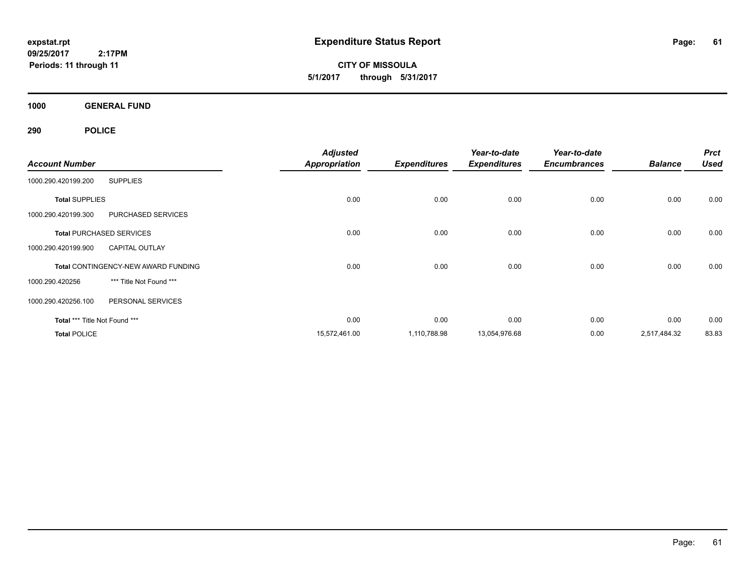**CITY OF MISSOULA 5/1/2017 through 5/31/2017**

**1000 GENERAL FUND**

|                               |                                            | <b>Adjusted</b>      |                     | Year-to-date        | Year-to-date        |                | <b>Prct</b> |
|-------------------------------|--------------------------------------------|----------------------|---------------------|---------------------|---------------------|----------------|-------------|
| <b>Account Number</b>         |                                            | <b>Appropriation</b> | <b>Expenditures</b> | <b>Expenditures</b> | <b>Encumbrances</b> | <b>Balance</b> | <b>Used</b> |
| 1000.290.420199.200           | <b>SUPPLIES</b>                            |                      |                     |                     |                     |                |             |
| <b>Total SUPPLIES</b>         |                                            | 0.00                 | 0.00                | 0.00                | 0.00                | 0.00           | 0.00        |
| 1000.290.420199.300           | PURCHASED SERVICES                         |                      |                     |                     |                     |                |             |
|                               | <b>Total PURCHASED SERVICES</b>            | 0.00                 | 0.00                | 0.00                | 0.00                | 0.00           | 0.00        |
| 1000.290.420199.900           | <b>CAPITAL OUTLAY</b>                      |                      |                     |                     |                     |                |             |
|                               | <b>Total CONTINGENCY-NEW AWARD FUNDING</b> | 0.00                 | 0.00                | 0.00                | 0.00                | 0.00           | 0.00        |
| 1000.290.420256               | *** Title Not Found ***                    |                      |                     |                     |                     |                |             |
| 1000.290.420256.100           | PERSONAL SERVICES                          |                      |                     |                     |                     |                |             |
| Total *** Title Not Found *** |                                            | 0.00                 | 0.00                | 0.00                | 0.00                | 0.00           | 0.00        |
| <b>Total POLICE</b>           |                                            | 15,572,461.00        | 1,110,788.98        | 13,054,976.68       | 0.00                | 2,517,484.32   | 83.83       |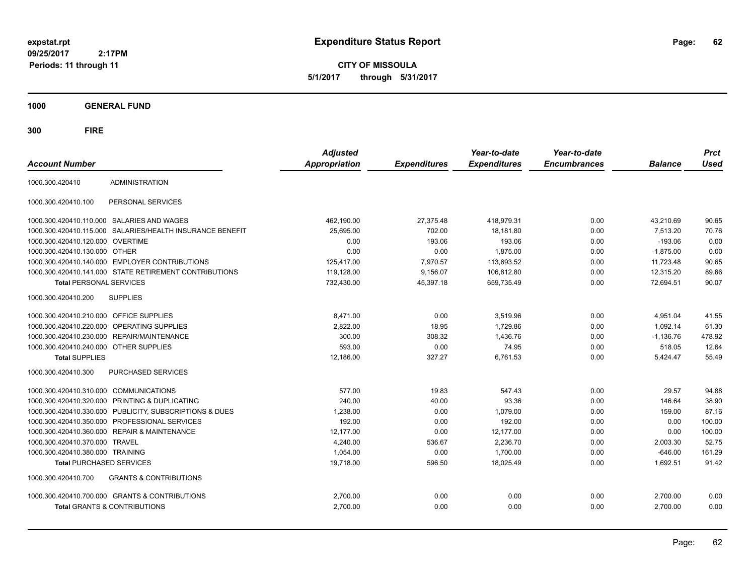**CITY OF MISSOULA 5/1/2017 through 5/31/2017**

**1000 GENERAL FUND**

| <b>Account Number</b>                   |                                                           | <b>Adjusted</b><br>Appropriation | <b>Expenditures</b> | Year-to-date<br><b>Expenditures</b> | Year-to-date<br><b>Encumbrances</b> | <b>Balance</b> | <b>Prct</b><br><b>Used</b> |
|-----------------------------------------|-----------------------------------------------------------|----------------------------------|---------------------|-------------------------------------|-------------------------------------|----------------|----------------------------|
| 1000.300.420410                         | <b>ADMINISTRATION</b>                                     |                                  |                     |                                     |                                     |                |                            |
| 1000.300.420410.100                     | PERSONAL SERVICES                                         |                                  |                     |                                     |                                     |                |                            |
|                                         | 1000.300.420410.110.000 SALARIES AND WAGES                | 462,190.00                       | 27,375.48           | 418,979.31                          | 0.00                                | 43,210.69      | 90.65                      |
|                                         | 1000.300.420410.115.000 SALARIES/HEALTH INSURANCE BENEFIT | 25,695.00                        | 702.00              | 18,181.80                           | 0.00                                | 7,513.20       | 70.76                      |
| 1000.300.420410.120.000 OVERTIME        |                                                           | 0.00                             | 193.06              | 193.06                              | 0.00                                | $-193.06$      | 0.00                       |
| 1000.300.420410.130.000 OTHER           |                                                           | 0.00                             | 0.00                | 1,875.00                            | 0.00                                | $-1,875.00$    | 0.00                       |
|                                         | 1000.300.420410.140.000 EMPLOYER CONTRIBUTIONS            | 125.417.00                       | 7,970.57            | 113.693.52                          | 0.00                                | 11,723.48      | 90.65                      |
|                                         | 1000.300.420410.141.000 STATE RETIREMENT CONTRIBUTIONS    | 119,128.00                       | 9,156.07            | 106,812.80                          | 0.00                                | 12,315.20      | 89.66                      |
| <b>Total PERSONAL SERVICES</b>          |                                                           | 732,430.00                       | 45,397.18           | 659,735.49                          | 0.00                                | 72,694.51      | 90.07                      |
| 1000.300.420410.200                     | <b>SUPPLIES</b>                                           |                                  |                     |                                     |                                     |                |                            |
| 1000.300.420410.210.000 OFFICE SUPPLIES |                                                           | 8,471.00                         | 0.00                | 3,519.96                            | 0.00                                | 4.951.04       | 41.55                      |
|                                         | 1000.300.420410.220.000 OPERATING SUPPLIES                | 2,822.00                         | 18.95               | 1,729.86                            | 0.00                                | 1,092.14       | 61.30                      |
| 1000.300.420410.230.000                 | <b>REPAIR/MAINTENANCE</b>                                 | 300.00                           | 308.32              | 1.436.76                            | 0.00                                | $-1.136.76$    | 478.92                     |
| 1000.300.420410.240.000                 | <b>OTHER SUPPLIES</b>                                     | 593.00                           | 0.00                | 74.95                               | 0.00                                | 518.05         | 12.64                      |
| <b>Total SUPPLIES</b>                   |                                                           | 12,186.00                        | 327.27              | 6,761.53                            | 0.00                                | 5,424.47       | 55.49                      |
| 1000.300.420410.300                     | <b>PURCHASED SERVICES</b>                                 |                                  |                     |                                     |                                     |                |                            |
| 1000.300.420410.310.000 COMMUNICATIONS  |                                                           | 577.00                           | 19.83               | 547.43                              | 0.00                                | 29.57          | 94.88                      |
| 1000.300.420410.320.000                 | PRINTING & DUPLICATING                                    | 240.00                           | 40.00               | 93.36                               | 0.00                                | 146.64         | 38.90                      |
|                                         | 1000.300.420410.330.000 PUBLICITY, SUBSCRIPTIONS & DUES   | 1,238.00                         | 0.00                | 1,079.00                            | 0.00                                | 159.00         | 87.16                      |
|                                         | 1000.300.420410.350.000 PROFESSIONAL SERVICES             | 192.00                           | 0.00                | 192.00                              | 0.00                                | 0.00           | 100.00                     |
| 1000.300.420410.360.000                 | <b>REPAIR &amp; MAINTENANCE</b>                           | 12,177.00                        | 0.00                | 12,177.00                           | 0.00                                | 0.00           | 100.00                     |
| 1000.300.420410.370.000                 | <b>TRAVEL</b>                                             | 4.240.00                         | 536.67              | 2,236.70                            | 0.00                                | 2.003.30       | 52.75                      |
| 1000.300.420410.380.000 TRAINING        |                                                           | 1,054.00                         | 0.00                | 1,700.00                            | 0.00                                | $-646.00$      | 161.29                     |
| <b>Total PURCHASED SERVICES</b>         |                                                           | 19,718.00                        | 596.50              | 18,025.49                           | 0.00                                | 1,692.51       | 91.42                      |
| 1000.300.420410.700                     | <b>GRANTS &amp; CONTRIBUTIONS</b>                         |                                  |                     |                                     |                                     |                |                            |
|                                         | 1000.300.420410.700.000 GRANTS & CONTRIBUTIONS            | 2,700.00                         | 0.00                | 0.00                                | 0.00                                | 2,700.00       | 0.00                       |
|                                         | <b>Total GRANTS &amp; CONTRIBUTIONS</b>                   | 2,700.00                         | 0.00                | 0.00                                | 0.00                                | 2,700.00       | 0.00                       |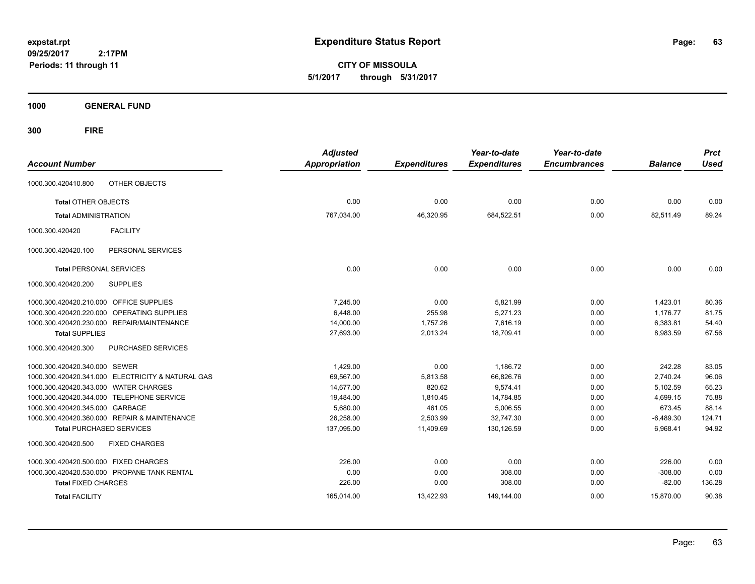**CITY OF MISSOULA 5/1/2017 through 5/31/2017**

**1000 GENERAL FUND**

| <b>Account Number</b>                   |                                                   | <b>Adjusted</b><br><b>Appropriation</b> | <b>Expenditures</b> | Year-to-date<br><b>Expenditures</b> | Year-to-date<br><b>Encumbrances</b> | <b>Balance</b> | <b>Prct</b><br>Used |
|-----------------------------------------|---------------------------------------------------|-----------------------------------------|---------------------|-------------------------------------|-------------------------------------|----------------|---------------------|
|                                         |                                                   |                                         |                     |                                     |                                     |                |                     |
| 1000.300.420410.800                     | OTHER OBJECTS                                     |                                         |                     |                                     |                                     |                |                     |
| <b>Total OTHER OBJECTS</b>              |                                                   | 0.00                                    | 0.00                | 0.00                                | 0.00                                | 0.00           | 0.00                |
| <b>Total ADMINISTRATION</b>             |                                                   | 767,034.00                              | 46,320.95           | 684,522.51                          | 0.00                                | 82,511.49      | 89.24               |
| 1000.300.420420                         | <b>FACILITY</b>                                   |                                         |                     |                                     |                                     |                |                     |
| 1000.300.420420.100                     | PERSONAL SERVICES                                 |                                         |                     |                                     |                                     |                |                     |
| <b>Total PERSONAL SERVICES</b>          |                                                   | 0.00                                    | 0.00                | 0.00                                | 0.00                                | 0.00           | 0.00                |
| 1000.300.420420.200                     | <b>SUPPLIES</b>                                   |                                         |                     |                                     |                                     |                |                     |
| 1000.300.420420.210.000 OFFICE SUPPLIES |                                                   | 7,245.00                                | 0.00                | 5,821.99                            | 0.00                                | 1,423.01       | 80.36               |
| 1000.300.420420.220.000                 | OPERATING SUPPLIES                                | 6.448.00                                | 255.98              | 5,271.23                            | 0.00                                | 1,176.77       | 81.75               |
|                                         | 1000.300.420420.230.000 REPAIR/MAINTENANCE        | 14,000.00                               | 1,757.26            | 7,616.19                            | 0.00                                | 6,383.81       | 54.40               |
| <b>Total SUPPLIES</b>                   |                                                   | 27,693.00                               | 2,013.24            | 18,709.41                           | 0.00                                | 8,983.59       | 67.56               |
| 1000.300.420420.300                     | PURCHASED SERVICES                                |                                         |                     |                                     |                                     |                |                     |
| 1000.300.420420.340.000 SEWER           |                                                   | 1,429.00                                | 0.00                | 1,186.72                            | 0.00                                | 242.28         | 83.05               |
|                                         | 1000.300.420420.341.000 ELECTRICITY & NATURAL GAS | 69,567.00                               | 5,813.58            | 66,826.76                           | 0.00                                | 2,740.24       | 96.06               |
| 1000.300.420420.343.000 WATER CHARGES   |                                                   | 14,677.00                               | 820.62              | 9,574.41                            | 0.00                                | 5,102.59       | 65.23               |
|                                         | 1000.300.420420.344.000 TELEPHONE SERVICE         | 19,484.00                               | 1,810.45            | 14,784.85                           | 0.00                                | 4,699.15       | 75.88               |
| 1000.300.420420.345.000 GARBAGE         |                                                   | 5,680.00                                | 461.05              | 5,006.55                            | 0.00                                | 673.45         | 88.14               |
|                                         | 1000.300.420420.360.000 REPAIR & MAINTENANCE      | 26,258.00                               | 2,503.99            | 32,747.30                           | 0.00                                | $-6,489.30$    | 124.71              |
|                                         | <b>Total PURCHASED SERVICES</b>                   | 137,095.00                              | 11,409.69           | 130,126.59                          | 0.00                                | 6,968.41       | 94.92               |
| 1000.300.420420.500                     | <b>FIXED CHARGES</b>                              |                                         |                     |                                     |                                     |                |                     |
| 1000.300.420420.500.000 FIXED CHARGES   |                                                   | 226.00                                  | 0.00                | 0.00                                | 0.00                                | 226.00         | 0.00                |
|                                         | 1000.300.420420.530.000 PROPANE TANK RENTAL       | 0.00                                    | 0.00                | 308.00                              | 0.00                                | $-308.00$      | 0.00                |
| <b>Total FIXED CHARGES</b>              |                                                   | 226.00                                  | 0.00                | 308.00                              | 0.00                                | $-82.00$       | 136.28              |
| <b>Total FACILITY</b>                   |                                                   | 165,014.00                              | 13,422.93           | 149,144.00                          | 0.00                                | 15,870.00      | 90.38               |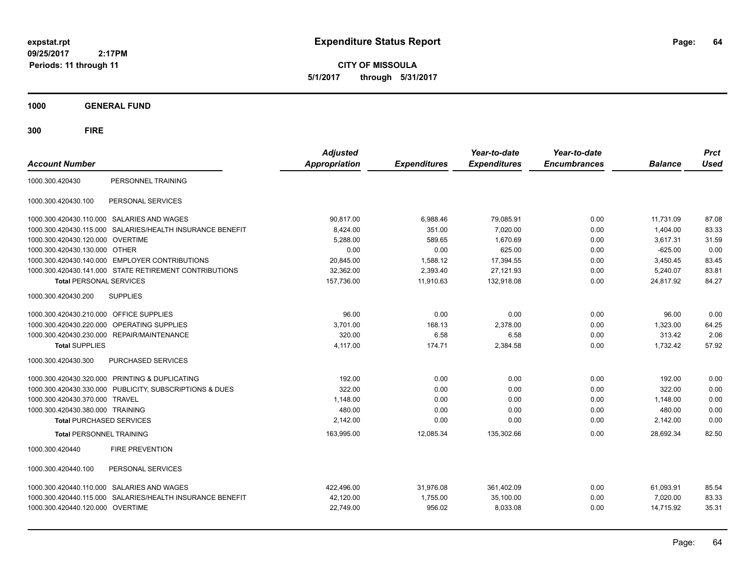**CITY OF MISSOULA 5/1/2017 through 5/31/2017**

**1000 GENERAL FUND**

| <b>Account Number</b>            |                                                         | <b>Adjusted</b><br><b>Appropriation</b> | <b>Expenditures</b> | Year-to-date<br><b>Expenditures</b> | Year-to-date<br><b>Encumbrances</b> | <b>Balance</b> | <b>Prct</b><br><b>Used</b> |
|----------------------------------|---------------------------------------------------------|-----------------------------------------|---------------------|-------------------------------------|-------------------------------------|----------------|----------------------------|
| 1000.300.420430                  | PERSONNEL TRAINING                                      |                                         |                     |                                     |                                     |                |                            |
| 1000.300.420430.100              | PERSONAL SERVICES                                       |                                         |                     |                                     |                                     |                |                            |
| 1000.300.420430.110.000          | <b>SALARIES AND WAGES</b>                               | 90.817.00                               | 6,988.46            | 79,085.91                           | 0.00                                | 11,731.09      | 87.08                      |
| 1000.300.420430.115.000          | SALARIES/HEALTH INSURANCE BENEFIT                       | 8,424.00                                | 351.00              | 7,020.00                            | 0.00                                | 1,404.00       | 83.33                      |
| 1000.300.420430.120.000          | <b>OVERTIME</b>                                         | 5,288.00                                | 589.65              | 1,670.69                            | 0.00                                | 3,617.31       | 31.59                      |
| 1000.300.420430.130.000 OTHER    |                                                         | 0.00                                    | 0.00                | 625.00                              | 0.00                                | $-625.00$      | 0.00                       |
|                                  | 1000.300.420430.140.000 EMPLOYER CONTRIBUTIONS          | 20,845.00                               | 1,588.12            | 17,394.55                           | 0.00                                | 3,450.45       | 83.45                      |
|                                  | 1000.300.420430.141.000 STATE RETIREMENT CONTRIBUTIONS  | 32,362.00                               | 2,393.40            | 27,121.93                           | 0.00                                | 5,240.07       | 83.81                      |
| <b>Total PERSONAL SERVICES</b>   |                                                         | 157,736.00                              | 11,910.63           | 132,918.08                          | 0.00                                | 24,817.92      | 84.27                      |
| 1000.300.420430.200              | <b>SUPPLIES</b>                                         |                                         |                     |                                     |                                     |                |                            |
| 1000.300.420430.210.000          | <b>OFFICE SUPPLIES</b>                                  | 96.00                                   | 0.00                | 0.00                                | 0.00                                | 96.00          | 0.00                       |
| 1000.300.420430.220.000          | OPERATING SUPPLIES                                      | 3,701.00                                | 168.13              | 2,378.00                            | 0.00                                | 1,323.00       | 64.25                      |
| 1000.300.420430.230.000          | <b>REPAIR/MAINTENANCE</b>                               | 320.00                                  | 6.58                | 6.58                                | 0.00                                | 313.42         | 2.06                       |
| <b>Total SUPPLIES</b>            |                                                         | 4,117.00                                | 174.71              | 2,384.58                            | 0.00                                | 1,732.42       | 57.92                      |
| 1000.300.420430.300              | PURCHASED SERVICES                                      |                                         |                     |                                     |                                     |                |                            |
|                                  | 1000.300.420430.320.000 PRINTING & DUPLICATING          | 192.00                                  | 0.00                | 0.00                                | 0.00                                | 192.00         | 0.00                       |
|                                  | 1000.300.420430.330.000 PUBLICITY, SUBSCRIPTIONS & DUES | 322.00                                  | 0.00                | 0.00                                | 0.00                                | 322.00         | 0.00                       |
| 1000.300.420430.370.000 TRAVEL   |                                                         | 1,148.00                                | 0.00                | 0.00                                | 0.00                                | 1.148.00       | 0.00                       |
| 1000.300.420430.380.000 TRAINING |                                                         | 480.00                                  | 0.00                | 0.00                                | 0.00                                | 480.00         | 0.00                       |
| <b>Total PURCHASED SERVICES</b>  |                                                         | 2,142.00                                | 0.00                | 0.00                                | 0.00                                | 2,142.00       | 0.00                       |
| <b>Total PERSONNEL TRAINING</b>  |                                                         | 163,995.00                              | 12,085.34           | 135,302.66                          | 0.00                                | 28,692.34      | 82.50                      |
| 1000.300.420440                  | <b>FIRE PREVENTION</b>                                  |                                         |                     |                                     |                                     |                |                            |
| 1000.300.420440.100              | PERSONAL SERVICES                                       |                                         |                     |                                     |                                     |                |                            |
|                                  | 1000.300.420440.110.000 SALARIES AND WAGES              | 422,496.00                              | 31.976.08           | 361,402.09                          | 0.00                                | 61.093.91      | 85.54                      |
| 1000.300.420440.115.000          | SALARIES/HEALTH INSURANCE BENEFIT                       | 42,120.00                               | 1,755.00            | 35,100.00                           | 0.00                                | 7.020.00       | 83.33                      |
| 1000.300.420440.120.000 OVERTIME |                                                         | 22,749.00                               | 956.02              | 8,033.08                            | 0.00                                | 14,715.92      | 35.31                      |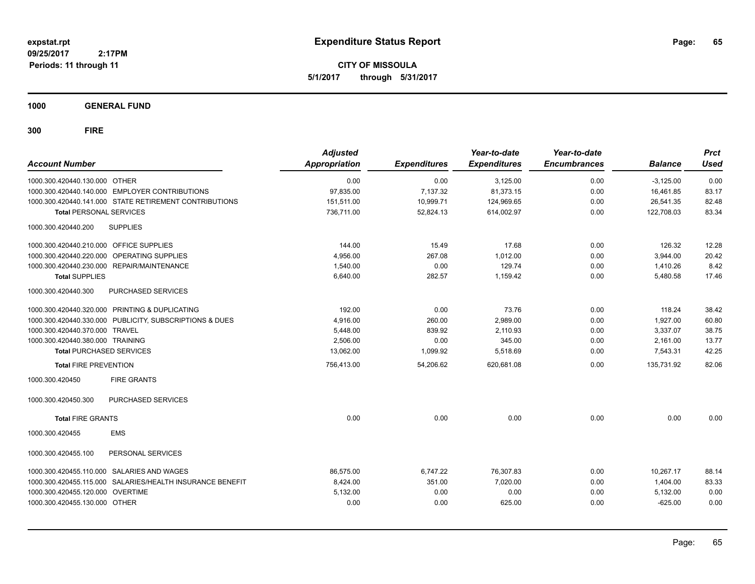**CITY OF MISSOULA 5/1/2017 through 5/31/2017**

**1000 GENERAL FUND**

| <b>Account Number</b>                   |                                                           | <b>Adjusted</b><br><b>Appropriation</b> | <b>Expenditures</b> | Year-to-date<br><b>Expenditures</b> | Year-to-date<br><b>Encumbrances</b> | <b>Balance</b> | <b>Prct</b><br><b>Used</b> |
|-----------------------------------------|-----------------------------------------------------------|-----------------------------------------|---------------------|-------------------------------------|-------------------------------------|----------------|----------------------------|
| 1000.300.420440.130.000 OTHER           |                                                           | 0.00                                    | 0.00                | 3,125.00                            | 0.00                                | $-3,125.00$    | 0.00                       |
|                                         | 1000.300.420440.140.000 EMPLOYER CONTRIBUTIONS            | 97,835.00                               | 7,137.32            | 81,373.15                           | 0.00                                | 16,461.85      | 83.17                      |
|                                         | 1000.300.420440.141.000 STATE RETIREMENT CONTRIBUTIONS    | 151,511.00                              | 10,999.71           | 124,969.65                          | 0.00                                | 26,541.35      | 82.48                      |
| <b>Total PERSONAL SERVICES</b>          |                                                           | 736.711.00                              | 52.824.13           | 614.002.97                          | 0.00                                | 122.708.03     | 83.34                      |
| 1000.300.420440.200                     | <b>SUPPLIES</b>                                           |                                         |                     |                                     |                                     |                |                            |
| 1000.300.420440.210.000 OFFICE SUPPLIES |                                                           | 144.00                                  | 15.49               | 17.68                               | 0.00                                | 126.32         | 12.28                      |
|                                         | 1000.300.420440.220.000 OPERATING SUPPLIES                | 4,956.00                                | 267.08              | 1,012.00                            | 0.00                                | 3,944.00       | 20.42                      |
|                                         | 1000.300.420440.230.000 REPAIR/MAINTENANCE                | 1,540.00                                | 0.00                | 129.74                              | 0.00                                | 1,410.26       | 8.42                       |
| <b>Total SUPPLIES</b>                   |                                                           | 6,640.00                                | 282.57              | 1,159.42                            | 0.00                                | 5,480.58       | 17.46                      |
| 1000.300.420440.300                     | PURCHASED SERVICES                                        |                                         |                     |                                     |                                     |                |                            |
|                                         | 1000.300.420440.320.000 PRINTING & DUPLICATING            | 192.00                                  | 0.00                | 73.76                               | 0.00                                | 118.24         | 38.42                      |
|                                         | 1000.300.420440.330.000 PUBLICITY, SUBSCRIPTIONS & DUES   | 4,916.00                                | 260.00              | 2,989.00                            | 0.00                                | 1,927.00       | 60.80                      |
| 1000.300.420440.370.000 TRAVEL          |                                                           | 5,448.00                                | 839.92              | 2,110.93                            | 0.00                                | 3,337.07       | 38.75                      |
| 1000.300.420440.380.000 TRAINING        |                                                           | 2.506.00                                | 0.00                | 345.00                              | 0.00                                | 2.161.00       | 13.77                      |
| <b>Total PURCHASED SERVICES</b>         |                                                           | 13,062.00                               | 1,099.92            | 5,518.69                            | 0.00                                | 7,543.31       | 42.25                      |
| <b>Total FIRE PREVENTION</b>            |                                                           | 756,413.00                              | 54,206.62           | 620,681.08                          | 0.00                                | 135,731.92     | 82.06                      |
| 1000.300.420450                         | <b>FIRE GRANTS</b>                                        |                                         |                     |                                     |                                     |                |                            |
| 1000.300.420450.300                     | <b>PURCHASED SERVICES</b>                                 |                                         |                     |                                     |                                     |                |                            |
| <b>Total FIRE GRANTS</b>                |                                                           | 0.00                                    | 0.00                | 0.00                                | 0.00                                | 0.00           | 0.00                       |
| 1000.300.420455                         | <b>EMS</b>                                                |                                         |                     |                                     |                                     |                |                            |
| 1000.300.420455.100                     | PERSONAL SERVICES                                         |                                         |                     |                                     |                                     |                |                            |
|                                         | 1000.300.420455.110.000 SALARIES AND WAGES                | 86,575.00                               | 6,747.22            | 76,307.83                           | 0.00                                | 10,267.17      | 88.14                      |
|                                         | 1000.300.420455.115.000 SALARIES/HEALTH INSURANCE BENEFIT | 8,424.00                                | 351.00              | 7,020.00                            | 0.00                                | 1,404.00       | 83.33                      |
| 1000.300.420455.120.000 OVERTIME        |                                                           | 5,132.00                                | 0.00                | 0.00                                | 0.00                                | 5,132.00       | 0.00                       |
| 1000.300.420455.130.000 OTHER           |                                                           | 0.00                                    | 0.00                | 625.00                              | 0.00                                | $-625.00$      | 0.00                       |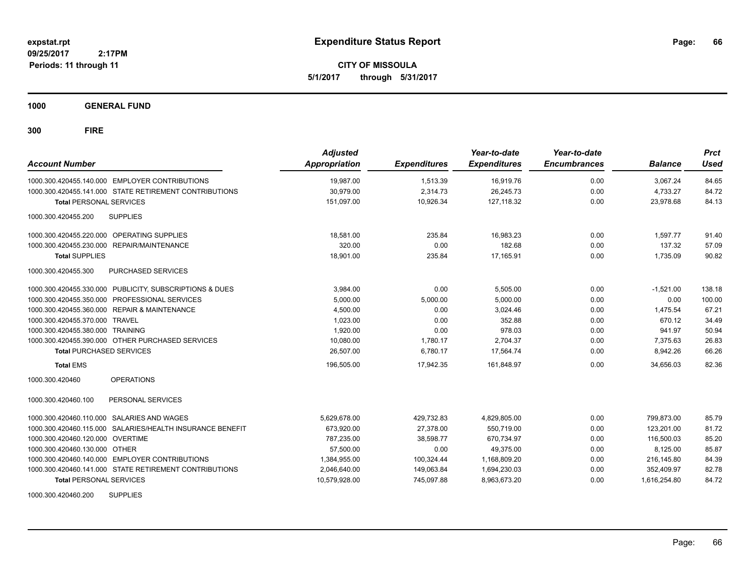**CITY OF MISSOULA 5/1/2017 through 5/31/2017**

**1000 GENERAL FUND**

**300 FIRE**

| <b>Account Number</b>                                      | <b>Adjusted</b><br><b>Appropriation</b> | <b>Expenditures</b> | Year-to-date<br><b>Expenditures</b> | Year-to-date<br><b>Encumbrances</b> | <b>Balance</b> | <b>Prct</b><br>Used |
|------------------------------------------------------------|-----------------------------------------|---------------------|-------------------------------------|-------------------------------------|----------------|---------------------|
| 1000.300.420455.140.000 EMPLOYER CONTRIBUTIONS             | 19,987.00                               | 1,513.39            | 16,919.76                           | 0.00                                | 3,067.24       | 84.65               |
| 1000.300.420455.141.000 STATE RETIREMENT CONTRIBUTIONS     | 30,979.00                               | 2,314.73            | 26,245.73                           | 0.00                                | 4,733.27       | 84.72               |
| <b>Total PERSONAL SERVICES</b>                             | 151,097.00                              | 10,926.34           | 127, 118.32                         | 0.00                                | 23,978.68      | 84.13               |
| 1000.300.420455.200<br><b>SUPPLIES</b>                     |                                         |                     |                                     |                                     |                |                     |
| 1000.300.420455.220.000 OPERATING SUPPLIES                 | 18,581.00                               | 235.84              | 16,983.23                           | 0.00                                | 1.597.77       | 91.40               |
| REPAIR/MAINTENANCE<br>1000.300.420455.230.000              | 320.00                                  | 0.00                | 182.68                              | 0.00                                | 137.32         | 57.09               |
| <b>Total SUPPLIES</b>                                      | 18,901.00                               | 235.84              | 17,165.91                           | 0.00                                | 1,735.09       | 90.82               |
| 1000.300.420455.300<br>PURCHASED SERVICES                  |                                         |                     |                                     |                                     |                |                     |
| 1000.300.420455.330.000 PUBLICITY, SUBSCRIPTIONS & DUES    | 3,984.00                                | 0.00                | 5,505.00                            | 0.00                                | $-1,521.00$    | 138.18              |
| PROFESSIONAL SERVICES<br>1000.300.420455.350.000           | 5,000.00                                | 5,000.00            | 5,000.00                            | 0.00                                | 0.00           | 100.00              |
| <b>REPAIR &amp; MAINTENANCE</b><br>1000.300.420455.360.000 | 4,500.00                                | 0.00                | 3.024.46                            | 0.00                                | 1,475.54       | 67.21               |
| 1000.300.420455.370.000<br><b>TRAVEL</b>                   | 1,023.00                                | 0.00                | 352.88                              | 0.00                                | 670.12         | 34.49               |
| 1000.300.420455.380.000 TRAINING                           | 1,920.00                                | 0.00                | 978.03                              | 0.00                                | 941.97         | 50.94               |
| 1000.300.420455.390.000 OTHER PURCHASED SERVICES           | 10,080.00                               | 1,780.17            | 2,704.37                            | 0.00                                | 7,375.63       | 26.83               |
| <b>Total PURCHASED SERVICES</b>                            | 26.507.00                               | 6,780.17            | 17,564.74                           | 0.00                                | 8,942.26       | 66.26               |
| <b>Total EMS</b>                                           | 196,505.00                              | 17,942.35           | 161,848.97                          | 0.00                                | 34.656.03      | 82.36               |
| <b>OPERATIONS</b><br>1000.300.420460                       |                                         |                     |                                     |                                     |                |                     |
| 1000.300.420460.100<br>PERSONAL SERVICES                   |                                         |                     |                                     |                                     |                |                     |
| 1000.300.420460.110.000 SALARIES AND WAGES                 | 5,629,678.00                            | 429,732.83          | 4,829,805.00                        | 0.00                                | 799.873.00     | 85.79               |
| 1000.300.420460.115.000 SALARIES/HEALTH INSURANCE BENEFIT  | 673,920.00                              | 27,378.00           | 550,719.00                          | 0.00                                | 123,201.00     | 81.72               |
| 1000.300.420460.120.000 OVERTIME                           | 787.235.00                              | 38.598.77           | 670,734.97                          | 0.00                                | 116.500.03     | 85.20               |
| 1000.300.420460.130.000 OTHER                              | 57,500.00                               | 0.00                | 49.375.00                           | 0.00                                | 8,125.00       | 85.87               |
| 1000.300.420460.140.000 EMPLOYER CONTRIBUTIONS             | 1,384,955.00                            | 100,324.44          | 1,168,809.20                        | 0.00                                | 216,145.80     | 84.39               |
| 1000.300.420460.141.000 STATE RETIREMENT CONTRIBUTIONS     | 2,046,640.00                            | 149,063.84          | 1,694,230.03                        | 0.00                                | 352,409.97     | 82.78               |
| <b>Total PERSONAL SERVICES</b>                             | 10,579,928.00                           | 745,097.88          | 8,963,673.20                        | 0.00                                | 1,616,254.80   | 84.72               |

1000.300.420460.200 SUPPLIES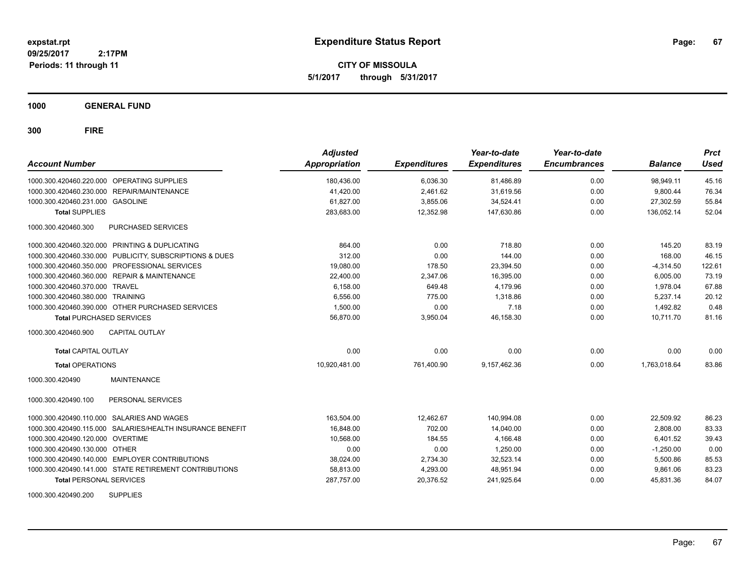**CITY OF MISSOULA 5/1/2017 through 5/31/2017**

**1000 GENERAL FUND**

| <b>Account Number</b>                                     | <b>Adjusted</b><br><b>Appropriation</b> | <b>Expenditures</b> | Year-to-date<br><b>Expenditures</b> | Year-to-date<br><b>Encumbrances</b> | <b>Balance</b> | <b>Prct</b><br><b>Used</b> |
|-----------------------------------------------------------|-----------------------------------------|---------------------|-------------------------------------|-------------------------------------|----------------|----------------------------|
| 1000.300.420460.220.000 OPERATING SUPPLIES                | 180,436.00                              | 6,036.30            | 81,486.89                           | 0.00                                | 98.949.11      | 45.16                      |
| 1000.300.420460.230.000 REPAIR/MAINTENANCE                | 41,420.00                               | 2,461.62            | 31.619.56                           | 0.00                                | 9.800.44       | 76.34                      |
| 1000.300.420460.231.000 GASOLINE                          | 61,827.00                               | 3,855.06            | 34,524.41                           | 0.00                                | 27,302.59      | 55.84                      |
| <b>Total SUPPLIES</b>                                     | 283,683.00                              | 12,352.98           | 147,630.86                          | 0.00                                | 136,052.14     | 52.04                      |
| PURCHASED SERVICES<br>1000.300.420460.300                 |                                         |                     |                                     |                                     |                |                            |
| 1000.300.420460.320.000 PRINTING & DUPLICATING            | 864.00                                  | 0.00                | 718.80                              | 0.00                                | 145.20         | 83.19                      |
| 1000.300.420460.330.000 PUBLICITY, SUBSCRIPTIONS & DUES   | 312.00                                  | 0.00                | 144.00                              | 0.00                                | 168.00         | 46.15                      |
| 1000.300.420460.350.000 PROFESSIONAL SERVICES             | 19,080.00                               | 178.50              | 23,394.50                           | 0.00                                | $-4,314.50$    | 122.61                     |
| 1000.300.420460.360.000 REPAIR & MAINTENANCE              | 22,400.00                               | 2,347.06            | 16,395.00                           | 0.00                                | 6,005.00       | 73.19                      |
| 1000.300.420460.370.000<br>TRAVEL                         | 6,158.00                                | 649.48              | 4,179.96                            | 0.00                                | 1,978.04       | 67.88                      |
| 1000.300.420460.380.000<br><b>TRAINING</b>                | 6,556.00                                | 775.00              | 1,318.86                            | 0.00                                | 5,237.14       | 20.12                      |
| 1000.300.420460.390.000 OTHER PURCHASED SERVICES          | 1,500.00                                | 0.00                | 7.18                                | 0.00                                | 1,492.82       | 0.48                       |
| <b>Total PURCHASED SERVICES</b>                           | 56,870.00                               | 3,950.04            | 46,158.30                           | 0.00                                | 10,711.70      | 81.16                      |
| 1000.300.420460.900<br><b>CAPITAL OUTLAY</b>              |                                         |                     |                                     |                                     |                |                            |
| <b>Total CAPITAL OUTLAY</b>                               | 0.00                                    | 0.00                | 0.00                                | 0.00                                | 0.00           | 0.00                       |
| <b>Total OPERATIONS</b>                                   | 10,920,481.00                           | 761,400.90          | 9,157,462.36                        | 0.00                                | 1,763,018.64   | 83.86                      |
| <b>MAINTENANCE</b><br>1000.300.420490                     |                                         |                     |                                     |                                     |                |                            |
| PERSONAL SERVICES<br>1000.300.420490.100                  |                                         |                     |                                     |                                     |                |                            |
| 1000.300.420490.110.000 SALARIES AND WAGES                | 163,504.00                              | 12.462.67           | 140,994.08                          | 0.00                                | 22.509.92      | 86.23                      |
| 1000.300.420490.115.000 SALARIES/HEALTH INSURANCE BENEFIT | 16,848.00                               | 702.00              | 14,040.00                           | 0.00                                | 2,808.00       | 83.33                      |
| 1000.300.420490.120.000 OVERTIME                          | 10,568.00                               | 184.55              | 4,166.48                            | 0.00                                | 6,401.52       | 39.43                      |
| 1000.300.420490.130.000 OTHER                             | 0.00                                    | 0.00                | 1,250.00                            | 0.00                                | $-1,250.00$    | 0.00                       |
| 1000.300.420490.140.000 EMPLOYER CONTRIBUTIONS            | 38,024.00                               | 2,734.30            | 32,523.14                           | 0.00                                | 5,500.86       | 85.53                      |
| 1000.300.420490.141.000 STATE RETIREMENT CONTRIBUTIONS    | 58,813.00                               | 4,293.00            | 48,951.94                           | 0.00                                | 9,861.06       | 83.23                      |
| <b>Total PERSONAL SERVICES</b>                            | 287,757.00                              | 20,376.52           | 241,925.64                          | 0.00                                | 45,831.36      | 84.07                      |
| <b>SUPPLIES</b><br>1000.300.420490.200                    |                                         |                     |                                     |                                     |                |                            |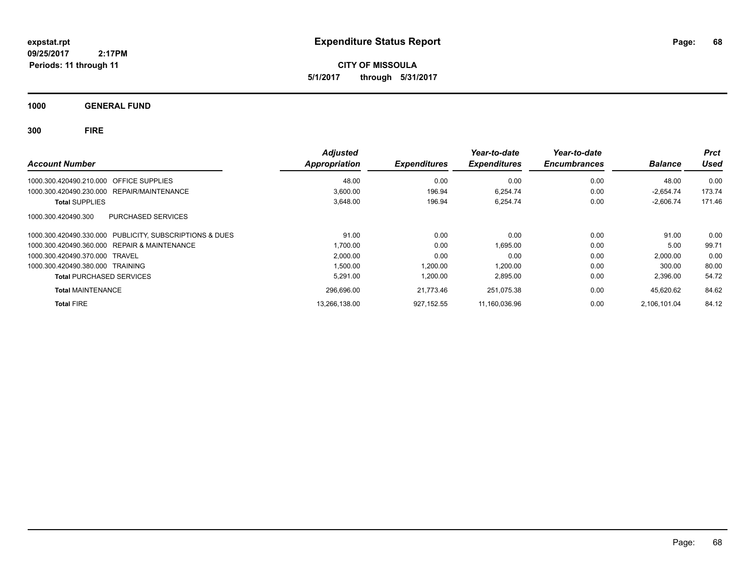**CITY OF MISSOULA 5/1/2017 through 5/31/2017**

**1000 GENERAL FUND**

| <b>Account Number</b>                                   | <b>Adjusted</b><br>Appropriation | <b>Expenditures</b> | Year-to-date<br><b>Expenditures</b> | Year-to-date<br><b>Encumbrances</b> | <b>Balance</b> | <b>Prct</b><br>Used |
|---------------------------------------------------------|----------------------------------|---------------------|-------------------------------------|-------------------------------------|----------------|---------------------|
|                                                         |                                  |                     |                                     |                                     |                |                     |
| 1000.300.420490.210.000 OFFICE SUPPLIES                 | 48.00                            | 0.00                | 0.00                                | 0.00                                | 48.00          | 0.00                |
| REPAIR/MAINTENANCE<br>1000.300.420490.230.000           | 3.600.00                         | 196.94              | 6.254.74                            | 0.00                                | $-2.654.74$    | 173.74              |
| <b>Total SUPPLIES</b>                                   | 3,648.00                         | 196.94              | 6,254.74                            | 0.00                                | $-2,606.74$    | 171.46              |
| PURCHASED SERVICES<br>1000.300.420490.300               |                                  |                     |                                     |                                     |                |                     |
| 1000.300.420490.330.000 PUBLICITY. SUBSCRIPTIONS & DUES | 91.00                            | 0.00                | 0.00                                | 0.00                                | 91.00          | 0.00                |
| 1000.300.420490.360.000 REPAIR & MAINTENANCE            | 1,700.00                         | 0.00                | 1,695.00                            | 0.00                                | 5.00           | 99.71               |
| 1000.300.420490.370.000 TRAVEL                          | 2,000.00                         | 0.00                | 0.00                                | 0.00                                | 2,000.00       | 0.00                |
| 1000.300.420490.380.000 TRAINING                        | 1.500.00                         | 1.200.00            | 1.200.00                            | 0.00                                | 300.00         | 80.00               |
| <b>Total PURCHASED SERVICES</b>                         | 5.291.00                         | 1,200.00            | 2,895.00                            | 0.00                                | 2,396.00       | 54.72               |
| <b>Total MAINTENANCE</b>                                | 296,696.00                       | 21,773.46           | 251.075.38                          | 0.00                                | 45.620.62      | 84.62               |
| <b>Total FIRE</b>                                       | 13.266.138.00                    | 927.152.55          | 11.160.036.96                       | 0.00                                | 2.106.101.04   | 84.12               |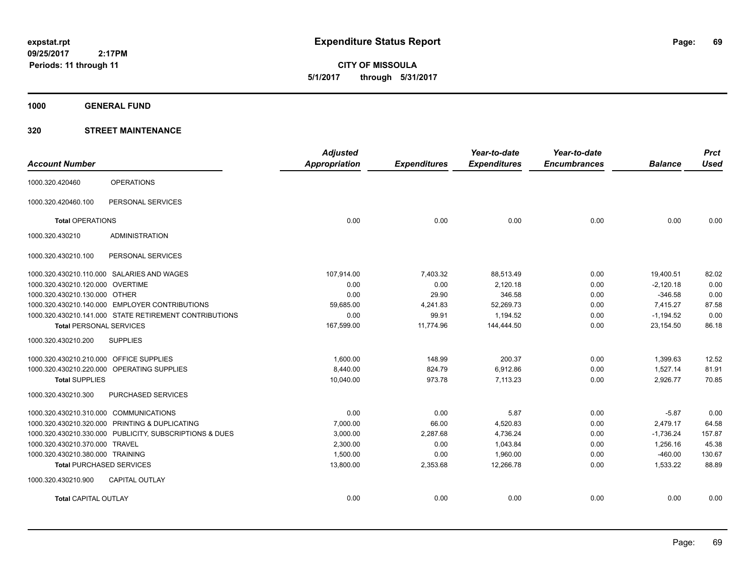**CITY OF MISSOULA 5/1/2017 through 5/31/2017**

**1000 GENERAL FUND**

### **320 STREET MAINTENANCE**

| <b>Account Number</b>                   |                                                         | <b>Adjusted</b><br>Appropriation | <b>Expenditures</b> | Year-to-date<br><b>Expenditures</b> | Year-to-date<br><b>Encumbrances</b> | <b>Balance</b> | <b>Prct</b><br><b>Used</b> |
|-----------------------------------------|---------------------------------------------------------|----------------------------------|---------------------|-------------------------------------|-------------------------------------|----------------|----------------------------|
|                                         |                                                         |                                  |                     |                                     |                                     |                |                            |
| 1000.320.420460                         | <b>OPERATIONS</b>                                       |                                  |                     |                                     |                                     |                |                            |
| 1000.320.420460.100                     | PERSONAL SERVICES                                       |                                  |                     |                                     |                                     |                |                            |
| <b>Total OPERATIONS</b>                 |                                                         | 0.00                             | 0.00                | 0.00                                | 0.00                                | 0.00           | 0.00                       |
| 1000.320.430210                         | <b>ADMINISTRATION</b>                                   |                                  |                     |                                     |                                     |                |                            |
| 1000.320.430210.100                     | PERSONAL SERVICES                                       |                                  |                     |                                     |                                     |                |                            |
|                                         | 1000.320.430210.110.000 SALARIES AND WAGES              | 107,914.00                       | 7,403.32            | 88,513.49                           | 0.00                                | 19,400.51      | 82.02                      |
| 1000.320.430210.120.000 OVERTIME        |                                                         | 0.00                             | 0.00                | 2,120.18                            | 0.00                                | $-2,120.18$    | 0.00                       |
| 1000.320.430210.130.000 OTHER           |                                                         | 0.00                             | 29.90               | 346.58                              | 0.00                                | $-346.58$      | 0.00                       |
|                                         | 1000.320.430210.140.000 EMPLOYER CONTRIBUTIONS          | 59.685.00                        | 4,241.83            | 52,269.73                           | 0.00                                | 7.415.27       | 87.58                      |
|                                         | 1000.320.430210.141.000 STATE RETIREMENT CONTRIBUTIONS  | 0.00                             | 99.91               | 1,194.52                            | 0.00                                | $-1,194.52$    | 0.00                       |
| <b>Total PERSONAL SERVICES</b>          |                                                         | 167,599.00                       | 11,774.96           | 144,444.50                          | 0.00                                | 23,154.50      | 86.18                      |
| 1000.320.430210.200                     | <b>SUPPLIES</b>                                         |                                  |                     |                                     |                                     |                |                            |
| 1000.320.430210.210.000 OFFICE SUPPLIES |                                                         | 1.600.00                         | 148.99              | 200.37                              | 0.00                                | 1,399.63       | 12.52                      |
|                                         | 1000.320.430210.220.000 OPERATING SUPPLIES              | 8,440.00                         | 824.79              | 6,912.86                            | 0.00                                | 1,527.14       | 81.91                      |
| <b>Total SUPPLIES</b>                   |                                                         | 10,040.00                        | 973.78              | 7,113.23                            | 0.00                                | 2,926.77       | 70.85                      |
| 1000.320.430210.300                     | PURCHASED SERVICES                                      |                                  |                     |                                     |                                     |                |                            |
| 1000.320.430210.310.000 COMMUNICATIONS  |                                                         | 0.00                             | 0.00                | 5.87                                | 0.00                                | $-5.87$        | 0.00                       |
|                                         | 1000.320.430210.320.000 PRINTING & DUPLICATING          | 7,000.00                         | 66.00               | 4,520.83                            | 0.00                                | 2,479.17       | 64.58                      |
|                                         | 1000.320.430210.330.000 PUBLICITY, SUBSCRIPTIONS & DUES | 3,000.00                         | 2,287.68            | 4,736.24                            | 0.00                                | $-1,736.24$    | 157.87                     |
| 1000.320.430210.370.000 TRAVEL          |                                                         | 2,300.00                         | 0.00                | 1,043.84                            | 0.00                                | 1,256.16       | 45.38                      |
| 1000.320.430210.380.000 TRAINING        |                                                         | 1,500.00                         | 0.00                | 1,960.00                            | 0.00                                | $-460.00$      | 130.67                     |
| <b>Total PURCHASED SERVICES</b>         |                                                         | 13,800.00                        | 2,353.68            | 12,266.78                           | 0.00                                | 1,533.22       | 88.89                      |
| 1000.320.430210.900                     | <b>CAPITAL OUTLAY</b>                                   |                                  |                     |                                     |                                     |                |                            |
| <b>Total CAPITAL OUTLAY</b>             |                                                         | 0.00                             | 0.00                | 0.00                                | 0.00                                | 0.00           | 0.00                       |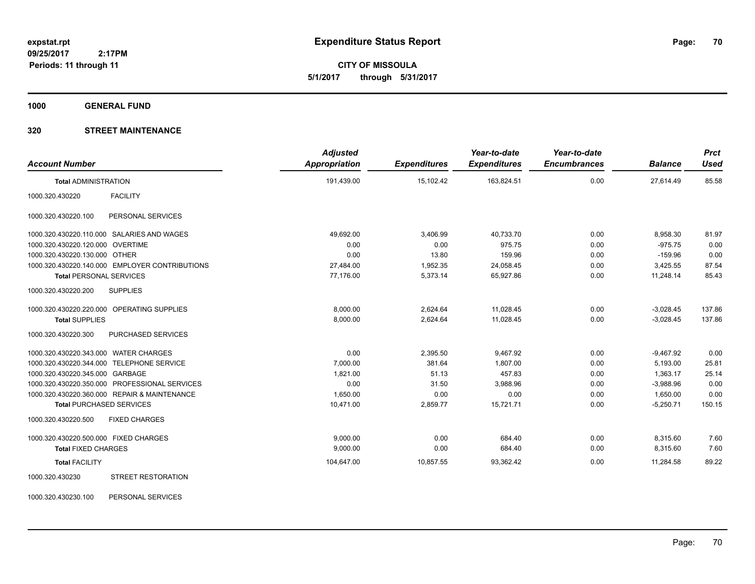**CITY OF MISSOULA 5/1/2017 through 5/31/2017**

**1000 GENERAL FUND**

### **320 STREET MAINTENANCE**

| <b>Account Number</b>                          | <b>Adjusted</b><br>Appropriation | <b>Expenditures</b> | Year-to-date<br><b>Expenditures</b> | Year-to-date<br><b>Encumbrances</b> | <b>Balance</b> | <b>Prct</b><br><b>Used</b> |
|------------------------------------------------|----------------------------------|---------------------|-------------------------------------|-------------------------------------|----------------|----------------------------|
| <b>Total ADMINISTRATION</b>                    | 191,439.00                       | 15,102.42           | 163,824.51                          | 0.00                                | 27,614.49      | 85.58                      |
| <b>FACILITY</b><br>1000.320.430220             |                                  |                     |                                     |                                     |                |                            |
| 1000.320.430220.100<br>PERSONAL SERVICES       |                                  |                     |                                     |                                     |                |                            |
| 1000.320.430220.110.000 SALARIES AND WAGES     | 49,692.00                        | 3,406.99            | 40,733.70                           | 0.00                                | 8,958.30       | 81.97                      |
| 1000.320.430220.120.000 OVERTIME               | 0.00                             | 0.00                | 975.75                              | 0.00                                | $-975.75$      | 0.00                       |
| 1000.320.430220.130.000 OTHER                  | 0.00                             | 13.80               | 159.96                              | 0.00                                | $-159.96$      | 0.00                       |
| 1000.320.430220.140.000 EMPLOYER CONTRIBUTIONS | 27,484.00                        | 1,952.35            | 24,058.45                           | 0.00                                | 3,425.55       | 87.54                      |
| <b>Total PERSONAL SERVICES</b>                 | 77,176.00                        | 5,373.14            | 65,927.86                           | 0.00                                | 11,248.14      | 85.43                      |
| 1000.320.430220.200<br><b>SUPPLIES</b>         |                                  |                     |                                     |                                     |                |                            |
| 1000.320.430220.220.000 OPERATING SUPPLIES     | 8,000.00                         | 2,624.64            | 11,028.45                           | 0.00                                | $-3,028.45$    | 137.86                     |
| <b>Total SUPPLIES</b>                          | 8,000.00                         | 2,624.64            | 11,028.45                           | 0.00                                | $-3,028.45$    | 137.86                     |
| PURCHASED SERVICES<br>1000.320.430220.300      |                                  |                     |                                     |                                     |                |                            |
| 1000.320.430220.343.000 WATER CHARGES          | 0.00                             | 2,395.50            | 9,467.92                            | 0.00                                | $-9,467.92$    | 0.00                       |
| 1000.320.430220.344.000 TELEPHONE SERVICE      | 7,000.00                         | 381.64              | 1,807.00                            | 0.00                                | 5,193.00       | 25.81                      |
| 1000.320.430220.345.000 GARBAGE                | 1,821.00                         | 51.13               | 457.83                              | 0.00                                | 1,363.17       | 25.14                      |
| 1000.320.430220.350.000 PROFESSIONAL SERVICES  | 0.00                             | 31.50               | 3,988.96                            | 0.00                                | $-3,988.96$    | 0.00                       |
| 1000.320.430220.360.000 REPAIR & MAINTENANCE   | 1,650.00                         | 0.00                | 0.00                                | 0.00                                | 1,650.00       | 0.00                       |
| <b>Total PURCHASED SERVICES</b>                | 10,471.00                        | 2,859.77            | 15,721.71                           | 0.00                                | $-5,250.71$    | 150.15                     |
| 1000.320.430220.500<br><b>FIXED CHARGES</b>    |                                  |                     |                                     |                                     |                |                            |
| 1000.320.430220.500.000 FIXED CHARGES          | 9,000.00                         | 0.00                | 684.40                              | 0.00                                | 8,315.60       | 7.60                       |
| <b>Total FIXED CHARGES</b>                     | 9,000.00                         | 0.00                | 684.40                              | 0.00                                | 8,315.60       | 7.60                       |
| <b>Total FACILITY</b>                          | 104,647.00                       | 10,857.55           | 93,362.42                           | 0.00                                | 11,284.58      | 89.22                      |
| <b>STREET RESTORATION</b><br>1000.320.430230   |                                  |                     |                                     |                                     |                |                            |

1000.320.430230.100 PERSONAL SERVICES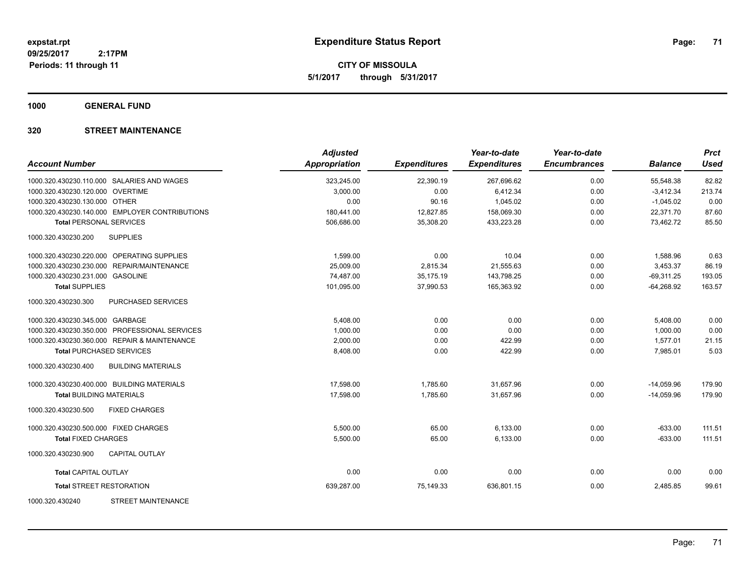**CITY OF MISSOULA 5/1/2017 through 5/31/2017**

**1000 GENERAL FUND**

### **320 STREET MAINTENANCE**

| <b>Account Number</b>                            | <b>Adjusted</b><br><b>Appropriation</b> | <b>Expenditures</b> | Year-to-date<br><b>Expenditures</b> | Year-to-date<br><b>Encumbrances</b> | <b>Balance</b> | <b>Prct</b><br><b>Used</b> |
|--------------------------------------------------|-----------------------------------------|---------------------|-------------------------------------|-------------------------------------|----------------|----------------------------|
| 1000.320.430230.110.000 SALARIES AND WAGES       | 323,245.00                              | 22,390.19           | 267,696.62                          | 0.00                                | 55,548.38      | 82.82                      |
| 1000.320.430230.120.000 OVERTIME                 | 3,000.00                                | 0.00                | 6,412.34                            | 0.00                                | $-3,412.34$    | 213.74                     |
| 1000.320.430230.130.000 OTHER                    | 0.00                                    | 90.16               | 1,045.02                            | 0.00                                | $-1,045.02$    | 0.00                       |
| 1000.320.430230.140.000 EMPLOYER CONTRIBUTIONS   | 180,441.00                              | 12,827.85           | 158,069.30                          | 0.00                                | 22,371.70      | 87.60                      |
| <b>Total PERSONAL SERVICES</b>                   | 506,686.00                              | 35,308.20           | 433,223.28                          | 0.00                                | 73,462.72      | 85.50                      |
| 1000.320.430230.200<br><b>SUPPLIES</b>           |                                         |                     |                                     |                                     |                |                            |
| 1000.320.430230.220.000 OPERATING SUPPLIES       | 1,599.00                                | 0.00                | 10.04                               | 0.00                                | 1,588.96       | 0.63                       |
| 1000.320.430230.230.000 REPAIR/MAINTENANCE       | 25,009.00                               | 2,815.34            | 21,555.63                           | 0.00                                | 3,453.37       | 86.19                      |
| 1000.320.430230.231.000 GASOLINE                 | 74,487.00                               | 35,175.19           | 143,798.25                          | 0.00                                | $-69,311.25$   | 193.05                     |
| <b>Total SUPPLIES</b>                            | 101,095.00                              | 37,990.53           | 165,363.92                          | 0.00                                | $-64,268.92$   | 163.57                     |
| 1000.320.430230.300<br>PURCHASED SERVICES        |                                         |                     |                                     |                                     |                |                            |
| 1000.320.430230.345.000 GARBAGE                  | 5,408.00                                | 0.00                | 0.00                                | 0.00                                | 5,408.00       | 0.00                       |
| 1000.320.430230.350.000 PROFESSIONAL SERVICES    | 1,000.00                                | 0.00                | 0.00                                | 0.00                                | 1,000.00       | 0.00                       |
| 1000.320.430230.360.000 REPAIR & MAINTENANCE     | 2,000.00                                | 0.00                | 422.99                              | 0.00                                | 1,577.01       | 21.15                      |
| <b>Total PURCHASED SERVICES</b>                  | 8,408.00                                | 0.00                | 422.99                              | 0.00                                | 7,985.01       | 5.03                       |
| <b>BUILDING MATERIALS</b><br>1000.320.430230.400 |                                         |                     |                                     |                                     |                |                            |
| 1000.320.430230.400.000 BUILDING MATERIALS       | 17,598.00                               | 1,785.60            | 31,657.96                           | 0.00                                | $-14,059.96$   | 179.90                     |
| <b>Total BUILDING MATERIALS</b>                  | 17,598.00                               | 1.785.60            | 31.657.96                           | 0.00                                | $-14.059.96$   | 179.90                     |
| 1000.320.430230.500<br><b>FIXED CHARGES</b>      |                                         |                     |                                     |                                     |                |                            |
| 1000.320.430230.500.000 FIXED CHARGES            | 5,500.00                                | 65.00               | 6,133.00                            | 0.00                                | $-633.00$      | 111.51                     |
| <b>Total FIXED CHARGES</b>                       | 5,500.00                                | 65.00               | 6,133.00                            | 0.00                                | $-633.00$      | 111.51                     |
| <b>CAPITAL OUTLAY</b><br>1000.320.430230.900     |                                         |                     |                                     |                                     |                |                            |
| <b>Total CAPITAL OUTLAY</b>                      | 0.00                                    | 0.00                | 0.00                                | 0.00                                | 0.00           | 0.00                       |
| <b>Total STREET RESTORATION</b>                  | 639,287.00                              | 75,149.33           | 636,801.15                          | 0.00                                | 2,485.85       | 99.61                      |
| <b>STREET MAINTENANCE</b><br>1000.320.430240     |                                         |                     |                                     |                                     |                |                            |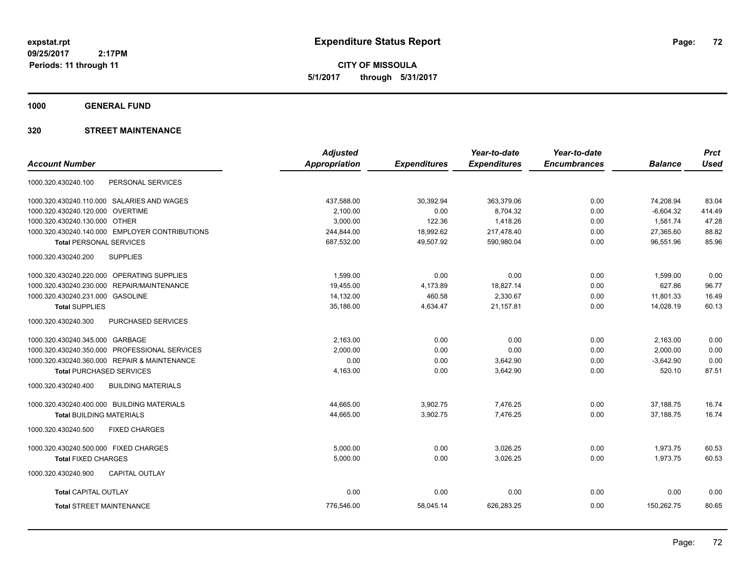**CITY OF MISSOULA 5/1/2017 through 5/31/2017**

**1000 GENERAL FUND**

### **320 STREET MAINTENANCE**

|                                                  | <b>Adjusted</b> |                     | Year-to-date        | Year-to-date        |                | <b>Prct</b> |
|--------------------------------------------------|-----------------|---------------------|---------------------|---------------------|----------------|-------------|
| <b>Account Number</b>                            | Appropriation   | <b>Expenditures</b> | <b>Expenditures</b> | <b>Encumbrances</b> | <b>Balance</b> | <b>Used</b> |
| 1000.320.430240.100<br>PERSONAL SERVICES         |                 |                     |                     |                     |                |             |
| 1000.320.430240.110.000 SALARIES AND WAGES       | 437,588.00      | 30,392.94           | 363,379.06          | 0.00                | 74,208.94      | 83.04       |
| <b>OVERTIME</b><br>1000.320.430240.120.000       | 2,100.00        | 0.00                | 8,704.32            | 0.00                | $-6,604.32$    | 414.49      |
| 1000.320.430240.130.000 OTHER                    | 3,000.00        | 122.36              | 1,418.26            | 0.00                | 1,581.74       | 47.28       |
| 1000.320.430240.140.000 EMPLOYER CONTRIBUTIONS   | 244,844.00      | 18,992.62           | 217,478.40          | 0.00                | 27,365.60      | 88.82       |
| <b>Total PERSONAL SERVICES</b>                   | 687,532.00      | 49,507.92           | 590,980.04          | 0.00                | 96,551.96      | 85.96       |
| <b>SUPPLIES</b><br>1000.320.430240.200           |                 |                     |                     |                     |                |             |
| 1000.320.430240.220.000 OPERATING SUPPLIES       | 1,599.00        | 0.00                | 0.00                | 0.00                | 1,599.00       | 0.00        |
| REPAIR/MAINTENANCE<br>1000.320.430240.230.000    | 19,455.00       | 4,173.89            | 18,827.14           | 0.00                | 627.86         | 96.77       |
| 1000.320.430240.231.000 GASOLINE                 | 14,132.00       | 460.58              | 2,330.67            | 0.00                | 11,801.33      | 16.49       |
| <b>Total SUPPLIES</b>                            | 35,186.00       | 4,634.47            | 21,157.81           | 0.00                | 14,028.19      | 60.13       |
| 1000.320.430240.300<br><b>PURCHASED SERVICES</b> |                 |                     |                     |                     |                |             |
| 1000.320.430240.345.000 GARBAGE                  | 2,163.00        | 0.00                | 0.00                | 0.00                | 2,163.00       | 0.00        |
| 1000.320.430240.350.000 PROFESSIONAL SERVICES    | 2,000.00        | 0.00                | 0.00                | 0.00                | 2,000.00       | 0.00        |
| 1000.320.430240.360.000 REPAIR & MAINTENANCE     | 0.00            | 0.00                | 3,642.90            | 0.00                | $-3,642.90$    | 0.00        |
| <b>Total PURCHASED SERVICES</b>                  | 4,163.00        | 0.00                | 3,642.90            | 0.00                | 520.10         | 87.51       |
| 1000.320.430240.400<br><b>BUILDING MATERIALS</b> |                 |                     |                     |                     |                |             |
| 1000.320.430240.400.000 BUILDING MATERIALS       | 44,665.00       | 3,902.75            | 7,476.25            | 0.00                | 37,188.75      | 16.74       |
| <b>Total BUILDING MATERIALS</b>                  | 44,665.00       | 3,902.75            | 7,476.25            | 0.00                | 37,188.75      | 16.74       |
| 1000.320.430240.500<br><b>FIXED CHARGES</b>      |                 |                     |                     |                     |                |             |
| 1000.320.430240.500.000 FIXED CHARGES            | 5,000.00        | 0.00                | 3,026.25            | 0.00                | 1,973.75       | 60.53       |
| <b>Total FIXED CHARGES</b>                       | 5,000.00        | 0.00                | 3,026.25            | 0.00                | 1,973.75       | 60.53       |
| CAPITAL OUTLAY<br>1000.320.430240.900            |                 |                     |                     |                     |                |             |
| <b>Total CAPITAL OUTLAY</b>                      | 0.00            | 0.00                | 0.00                | 0.00                | 0.00           | 0.00        |
| <b>Total STREET MAINTENANCE</b>                  | 776,546.00      | 58,045.14           | 626,283.25          | 0.00                | 150,262.75     | 80.65       |
|                                                  |                 |                     |                     |                     |                |             |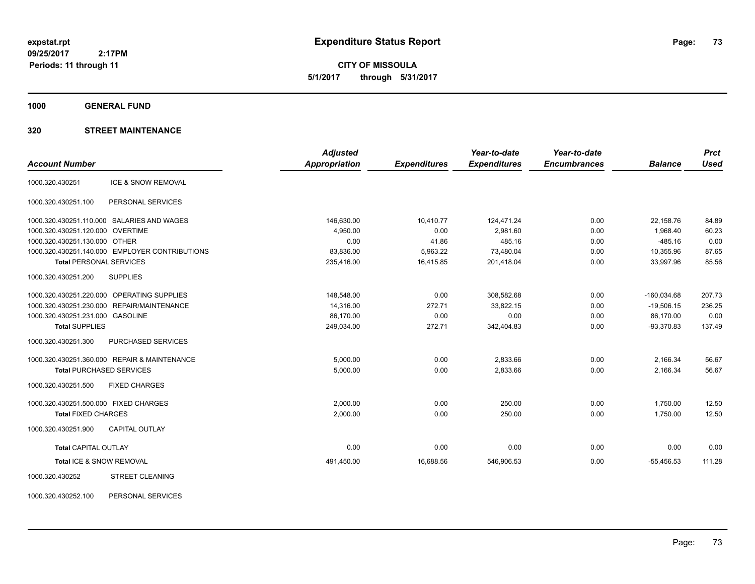**CITY OF MISSOULA 5/1/2017 through 5/31/2017**

**1000 GENERAL FUND**

# **320 STREET MAINTENANCE**

|                                                | <b>Adjusted</b>      |                     | Year-to-date        | Year-to-date        |                | <b>Prct</b> |
|------------------------------------------------|----------------------|---------------------|---------------------|---------------------|----------------|-------------|
| <b>Account Number</b>                          | <b>Appropriation</b> | <b>Expenditures</b> | <b>Expenditures</b> | <b>Encumbrances</b> | <b>Balance</b> | <b>Used</b> |
| ICE & SNOW REMOVAL<br>1000.320.430251          |                      |                     |                     |                     |                |             |
| PERSONAL SERVICES<br>1000.320.430251.100       |                      |                     |                     |                     |                |             |
| 1000.320.430251.110.000 SALARIES AND WAGES     | 146,630.00           | 10,410.77           | 124,471.24          | 0.00                | 22,158.76      | 84.89       |
| 1000.320.430251.120.000 OVERTIME               | 4,950.00             | 0.00                | 2,981.60            | 0.00                | 1,968.40       | 60.23       |
| 1000.320.430251.130.000 OTHER                  | 0.00                 | 41.86               | 485.16              | 0.00                | $-485.16$      | 0.00        |
| 1000.320.430251.140.000 EMPLOYER CONTRIBUTIONS | 83,836.00            | 5,963.22            | 73,480.04           | 0.00                | 10,355.96      | 87.65       |
| <b>Total PERSONAL SERVICES</b>                 | 235,416.00           | 16,415.85           | 201,418.04          | 0.00                | 33,997.96      | 85.56       |
| 1000.320.430251.200<br><b>SUPPLIES</b>         |                      |                     |                     |                     |                |             |
| 1000.320.430251.220.000 OPERATING SUPPLIES     | 148,548.00           | 0.00                | 308,582.68          | 0.00                | $-160,034.68$  | 207.73      |
| 1000.320.430251.230.000 REPAIR/MAINTENANCE     | 14,316.00            | 272.71              | 33,822.15           | 0.00                | $-19,506.15$   | 236.25      |
| 1000.320.430251.231.000 GASOLINE               | 86,170.00            | 0.00                | 0.00                | 0.00                | 86.170.00      | 0.00        |
| <b>Total SUPPLIES</b>                          | 249,034.00           | 272.71              | 342,404.83          | 0.00                | $-93,370.83$   | 137.49      |
| 1000.320.430251.300<br>PURCHASED SERVICES      |                      |                     |                     |                     |                |             |
| 1000.320.430251.360.000 REPAIR & MAINTENANCE   | 5,000.00             | 0.00                | 2,833.66            | 0.00                | 2,166.34       | 56.67       |
| <b>Total PURCHASED SERVICES</b>                | 5,000.00             | 0.00                | 2,833.66            | 0.00                | 2,166.34       | 56.67       |
| 1000.320.430251.500<br><b>FIXED CHARGES</b>    |                      |                     |                     |                     |                |             |
| 1000.320.430251.500.000 FIXED CHARGES          | 2,000.00             | 0.00                | 250.00              | 0.00                | 1,750.00       | 12.50       |
| <b>Total FIXED CHARGES</b>                     | 2,000.00             | 0.00                | 250.00              | 0.00                | 1.750.00       | 12.50       |
| 1000.320.430251.900<br><b>CAPITAL OUTLAY</b>   |                      |                     |                     |                     |                |             |
| <b>Total CAPITAL OUTLAY</b>                    | 0.00                 | 0.00                | 0.00                | 0.00                | 0.00           | 0.00        |
| Total ICE & SNOW REMOVAL                       | 491,450.00           | 16,688.56           | 546,906.53          | 0.00                | $-55,456.53$   | 111.28      |
| 1000.320.430252<br><b>STREET CLEANING</b>      |                      |                     |                     |                     |                |             |
|                                                |                      |                     |                     |                     |                |             |

1000.320.430252.100 PERSONAL SERVICES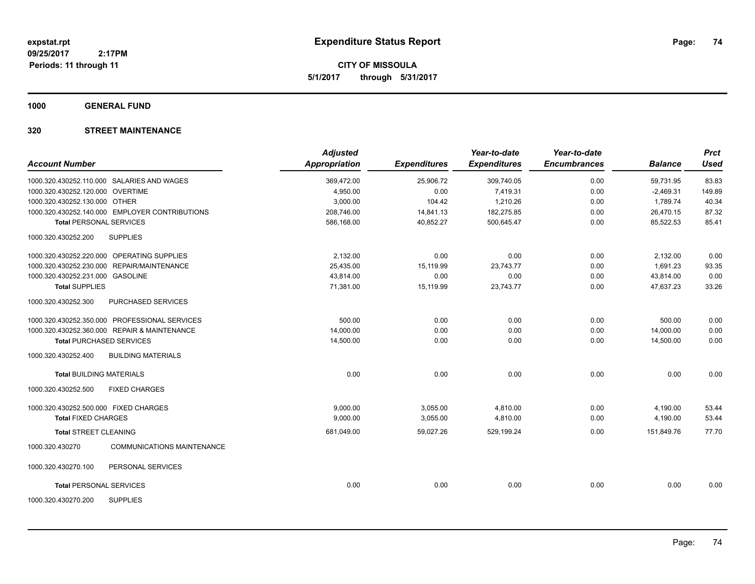**CITY OF MISSOULA 5/1/2017 through 5/31/2017**

**1000 GENERAL FUND**

# **320 STREET MAINTENANCE**

| <b>Account Number</b>                 |                                                | <b>Adjusted</b><br><b>Appropriation</b> | <b>Expenditures</b> | Year-to-date<br><b>Expenditures</b> | Year-to-date<br><b>Encumbrances</b> | <b>Balance</b> | <b>Prct</b><br><b>Used</b> |
|---------------------------------------|------------------------------------------------|-----------------------------------------|---------------------|-------------------------------------|-------------------------------------|----------------|----------------------------|
|                                       |                                                |                                         |                     |                                     |                                     |                |                            |
|                                       | 1000.320.430252.110.000 SALARIES AND WAGES     | 369,472.00                              | 25,906.72           | 309,740.05                          | 0.00                                | 59,731.95      | 83.83                      |
| 1000.320.430252.120.000 OVERTIME      |                                                | 4,950.00                                | 0.00                | 7,419.31                            | 0.00                                | $-2,469.31$    | 149.89                     |
| 1000.320.430252.130.000 OTHER         |                                                | 3,000.00                                | 104.42              | 1,210.26                            | 0.00                                | 1,789.74       | 40.34                      |
|                                       | 1000.320.430252.140.000 EMPLOYER CONTRIBUTIONS | 208,746.00                              | 14,841.13           | 182,275.85                          | 0.00                                | 26,470.15      | 87.32                      |
| <b>Total PERSONAL SERVICES</b>        |                                                | 586,168.00                              | 40,852.27           | 500,645.47                          | 0.00                                | 85.522.53      | 85.41                      |
| 1000.320.430252.200                   | <b>SUPPLIES</b>                                |                                         |                     |                                     |                                     |                |                            |
|                                       | 1000.320.430252.220.000 OPERATING SUPPLIES     | 2.132.00                                | 0.00                | 0.00                                | 0.00                                | 2,132.00       | 0.00                       |
| 1000.320.430252.230.000               | REPAIR/MAINTENANCE                             | 25,435.00                               | 15,119.99           | 23,743.77                           | 0.00                                | 1,691.23       | 93.35                      |
| 1000.320.430252.231.000 GASOLINE      |                                                | 43,814.00                               | 0.00                | 0.00                                | 0.00                                | 43,814.00      | 0.00                       |
| <b>Total SUPPLIES</b>                 |                                                | 71,381.00                               | 15,119.99           | 23,743.77                           | 0.00                                | 47,637.23      | 33.26                      |
| 1000.320.430252.300                   | <b>PURCHASED SERVICES</b>                      |                                         |                     |                                     |                                     |                |                            |
|                                       | 1000.320.430252.350.000 PROFESSIONAL SERVICES  | 500.00                                  | 0.00                | 0.00                                | 0.00                                | 500.00         | 0.00                       |
|                                       | 1000.320.430252.360.000 REPAIR & MAINTENANCE   | 14,000.00                               | 0.00                | 0.00                                | 0.00                                | 14,000.00      | 0.00                       |
|                                       | <b>Total PURCHASED SERVICES</b>                | 14,500.00                               | 0.00                | 0.00                                | 0.00                                | 14,500.00      | 0.00                       |
| 1000.320.430252.400                   | <b>BUILDING MATERIALS</b>                      |                                         |                     |                                     |                                     |                |                            |
| <b>Total BUILDING MATERIALS</b>       |                                                | 0.00                                    | 0.00                | 0.00                                | 0.00                                | 0.00           | 0.00                       |
| 1000.320.430252.500                   | <b>FIXED CHARGES</b>                           |                                         |                     |                                     |                                     |                |                            |
| 1000.320.430252.500.000 FIXED CHARGES |                                                | 9,000.00                                | 3,055.00            | 4,810.00                            | 0.00                                | 4,190.00       | 53.44                      |
| <b>Total FIXED CHARGES</b>            |                                                | 9,000.00                                | 3,055.00            | 4,810.00                            | 0.00                                | 4,190.00       | 53.44                      |
| <b>Total STREET CLEANING</b>          |                                                | 681,049.00                              | 59,027.26           | 529,199.24                          | 0.00                                | 151,849.76     | 77.70                      |
| 1000.320.430270                       | <b>COMMUNICATIONS MAINTENANCE</b>              |                                         |                     |                                     |                                     |                |                            |
| 1000.320.430270.100                   | PERSONAL SERVICES                              |                                         |                     |                                     |                                     |                |                            |
| <b>Total PERSONAL SERVICES</b>        |                                                | 0.00                                    | 0.00                | 0.00                                | 0.00                                | 0.00           | 0.00                       |
| 1000.320.430270.200                   | <b>SUPPLIES</b>                                |                                         |                     |                                     |                                     |                |                            |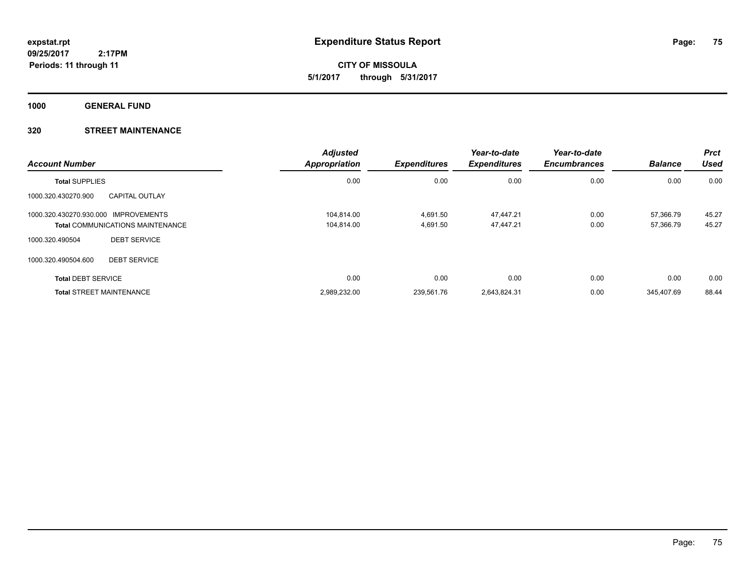**CITY OF MISSOULA 5/1/2017 through 5/31/2017**

**1000 GENERAL FUND**

# **320 STREET MAINTENANCE**

| <b>Account Number</b>                |                                         | <b>Adjusted</b><br><b>Appropriation</b> | <b>Expenditures</b> | Year-to-date<br><b>Expenditures</b> | Year-to-date<br><b>Encumbrances</b> | <b>Balance</b> | <b>Prct</b><br><b>Used</b> |
|--------------------------------------|-----------------------------------------|-----------------------------------------|---------------------|-------------------------------------|-------------------------------------|----------------|----------------------------|
| <b>Total SUPPLIES</b>                |                                         | 0.00                                    | 0.00                | 0.00                                | 0.00                                | 0.00           | 0.00                       |
| 1000.320.430270.900                  | <b>CAPITAL OUTLAY</b>                   |                                         |                     |                                     |                                     |                |                            |
| 1000.320.430270.930.000 IMPROVEMENTS |                                         | 104.814.00                              | 4,691.50            | 47,447.21                           | 0.00                                | 57.366.79      | 45.27                      |
|                                      | <b>Total COMMUNICATIONS MAINTENANCE</b> | 104,814.00                              | 4,691.50            | 47,447.21                           | 0.00                                | 57,366.79      | 45.27                      |
| 1000.320.490504                      | <b>DEBT SERVICE</b>                     |                                         |                     |                                     |                                     |                |                            |
| 1000.320.490504.600                  | <b>DEBT SERVICE</b>                     |                                         |                     |                                     |                                     |                |                            |
| <b>Total DEBT SERVICE</b>            |                                         | 0.00                                    | 0.00                | 0.00                                | 0.00                                | 0.00           | 0.00                       |
|                                      | <b>Total STREET MAINTENANCE</b>         | 2,989,232.00                            | 239.561.76          | 2.643.824.31                        | 0.00                                | 345.407.69     | 88.44                      |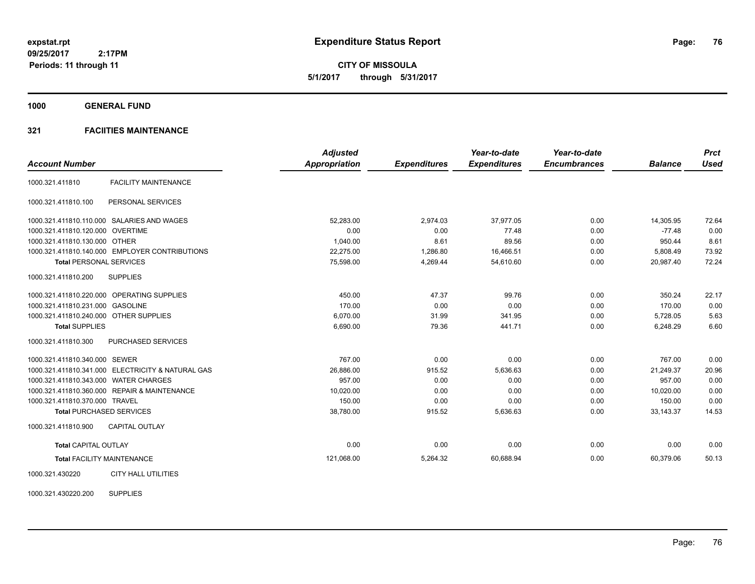**CITY OF MISSOULA 5/1/2017 through 5/31/2017**

**1000 GENERAL FUND**

# **321 FACIITIES MAINTENANCE**

|                                        |                                                   | <b>Adjusted</b>      |                     | Year-to-date        | Year-to-date        |                | <b>Prct</b> |
|----------------------------------------|---------------------------------------------------|----------------------|---------------------|---------------------|---------------------|----------------|-------------|
| <b>Account Number</b>                  |                                                   | <b>Appropriation</b> | <b>Expenditures</b> | <b>Expenditures</b> | <b>Encumbrances</b> | <b>Balance</b> | <b>Used</b> |
| 1000.321.411810                        | <b>FACILITY MAINTENANCE</b>                       |                      |                     |                     |                     |                |             |
| 1000.321.411810.100                    | PERSONAL SERVICES                                 |                      |                     |                     |                     |                |             |
|                                        | 1000.321.411810.110.000 SALARIES AND WAGES        | 52.283.00            | 2,974.03            | 37,977.05           | 0.00                | 14,305.95      | 72.64       |
| 1000.321.411810.120.000 OVERTIME       |                                                   | 0.00                 | 0.00                | 77.48               | 0.00                | $-77.48$       | 0.00        |
| 1000.321.411810.130.000 OTHER          |                                                   | 1,040.00             | 8.61                | 89.56               | 0.00                | 950.44         | 8.61        |
|                                        | 1000.321.411810.140.000 EMPLOYER CONTRIBUTIONS    | 22,275.00            | 1,286.80            | 16,466.51           | 0.00                | 5,808.49       | 73.92       |
| <b>Total PERSONAL SERVICES</b>         |                                                   | 75,598.00            | 4,269.44            | 54,610.60           | 0.00                | 20,987.40      | 72.24       |
| 1000.321.411810.200                    | <b>SUPPLIES</b>                                   |                      |                     |                     |                     |                |             |
|                                        | 1000.321.411810.220.000 OPERATING SUPPLIES        | 450.00               | 47.37               | 99.76               | 0.00                | 350.24         | 22.17       |
| 1000.321.411810.231.000 GASOLINE       |                                                   | 170.00               | 0.00                | 0.00                | 0.00                | 170.00         | 0.00        |
| 1000.321.411810.240.000 OTHER SUPPLIES |                                                   | 6,070.00             | 31.99               | 341.95              | 0.00                | 5,728.05       | 5.63        |
| <b>Total SUPPLIES</b>                  |                                                   | 6,690.00             | 79.36               | 441.71              | 0.00                | 6,248.29       | 6.60        |
| 1000.321.411810.300                    | <b>PURCHASED SERVICES</b>                         |                      |                     |                     |                     |                |             |
| 1000.321.411810.340.000 SEWER          |                                                   | 767.00               | 0.00                | 0.00                | 0.00                | 767.00         | 0.00        |
|                                        | 1000.321.411810.341.000 ELECTRICITY & NATURAL GAS | 26,886.00            | 915.52              | 5.636.63            | 0.00                | 21.249.37      | 20.96       |
| 1000.321.411810.343.000 WATER CHARGES  |                                                   | 957.00               | 0.00                | 0.00                | 0.00                | 957.00         | 0.00        |
|                                        | 1000.321.411810.360.000 REPAIR & MAINTENANCE      | 10,020.00            | 0.00                | 0.00                | 0.00                | 10,020.00      | 0.00        |
| 1000.321.411810.370.000 TRAVEL         |                                                   | 150.00               | 0.00                | 0.00                | 0.00                | 150.00         | 0.00        |
|                                        | <b>Total PURCHASED SERVICES</b>                   | 38,780.00            | 915.52              | 5,636.63            | 0.00                | 33,143.37      | 14.53       |
| 1000.321.411810.900                    | <b>CAPITAL OUTLAY</b>                             |                      |                     |                     |                     |                |             |
| <b>Total CAPITAL OUTLAY</b>            |                                                   | 0.00                 | 0.00                | 0.00                | 0.00                | 0.00           | 0.00        |
|                                        | <b>Total FACILITY MAINTENANCE</b>                 | 121,068.00           | 5,264.32            | 60,688.94           | 0.00                | 60,379.06      | 50.13       |
| 1000.321.430220                        | <b>CITY HALL UTILITIES</b>                        |                      |                     |                     |                     |                |             |

1000.321.430220.200 SUPPLIES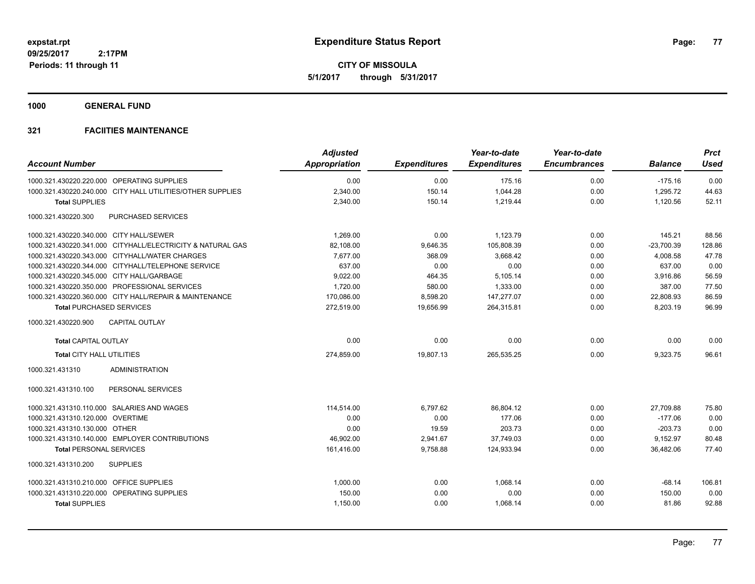**CITY OF MISSOULA 5/1/2017 through 5/31/2017**

**1000 GENERAL FUND**

| <b>Account Number</b>                                      | <b>Adjusted</b><br><b>Appropriation</b> | <b>Expenditures</b> | Year-to-date<br><b>Expenditures</b> | Year-to-date<br><b>Encumbrances</b> | <b>Balance</b> | <b>Prct</b><br>Used |
|------------------------------------------------------------|-----------------------------------------|---------------------|-------------------------------------|-------------------------------------|----------------|---------------------|
| 1000.321.430220.220.000 OPERATING SUPPLIES                 | 0.00                                    | 0.00                | 175.16                              | 0.00                                | $-175.16$      | 0.00                |
| 1000.321.430220.240.000 CITY HALL UTILITIES/OTHER SUPPLIES | 2,340.00                                | 150.14              | 1,044.28                            | 0.00                                | 1,295.72       | 44.63               |
| <b>Total SUPPLIES</b>                                      | 2,340.00                                | 150.14              | 1,219.44                            | 0.00                                | 1,120.56       | 52.11               |
| 1000.321.430220.300<br><b>PURCHASED SERVICES</b>           |                                         |                     |                                     |                                     |                |                     |
| 1000.321.430220.340.000 CITY HALL/SEWER                    | 1,269.00                                | 0.00                | 1,123.79                            | 0.00                                | 145.21         | 88.56               |
| 1000.321.430220.341.000 CITYHALL/ELECTRICITY & NATURAL GAS | 82,108.00                               | 9,646.35            | 105,808.39                          | 0.00                                | $-23,700.39$   | 128.86              |
| 1000.321.430220.343.000 CITYHALL/WATER CHARGES             | 7,677.00                                | 368.09              | 3,668.42                            | 0.00                                | 4,008.58       | 47.78               |
| 1000.321.430220.344.000 CITYHALL/TELEPHONE SERVICE         | 637.00                                  | 0.00                | 0.00                                | 0.00                                | 637.00         | 0.00                |
| 1000.321.430220.345.000 CITY HALL/GARBAGE                  | 9,022.00                                | 464.35              | 5,105.14                            | 0.00                                | 3,916.86       | 56.59               |
| 1000.321.430220.350.000 PROFESSIONAL SERVICES              | 1,720.00                                | 580.00              | 1,333.00                            | 0.00                                | 387.00         | 77.50               |
| 1000.321.430220.360.000 CITY HALL/REPAIR & MAINTENANCE     | 170,086.00                              | 8,598.20            | 147,277.07                          | 0.00                                | 22,808.93      | 86.59               |
| <b>Total PURCHASED SERVICES</b>                            | 272,519.00                              | 19,656.99           | 264,315.81                          | 0.00                                | 8,203.19       | 96.99               |
| <b>CAPITAL OUTLAY</b><br>1000.321.430220.900               |                                         |                     |                                     |                                     |                |                     |
| <b>Total CAPITAL OUTLAY</b>                                | 0.00                                    | 0.00                | 0.00                                | 0.00                                | 0.00           | 0.00                |
| Total CITY HALL UTILITIES                                  | 274,859.00                              | 19,807.13           | 265,535.25                          | 0.00                                | 9,323.75       | 96.61               |
| <b>ADMINISTRATION</b><br>1000.321.431310                   |                                         |                     |                                     |                                     |                |                     |
| PERSONAL SERVICES<br>1000.321.431310.100                   |                                         |                     |                                     |                                     |                |                     |
| 1000.321.431310.110.000 SALARIES AND WAGES                 | 114.514.00                              | 6.797.62            | 86.804.12                           | 0.00                                | 27.709.88      | 75.80               |
| 1000.321.431310.120.000 OVERTIME                           | 0.00                                    | 0.00                | 177.06                              | 0.00                                | $-177.06$      | 0.00                |
| 1000.321.431310.130.000 OTHER                              | 0.00                                    | 19.59               | 203.73                              | 0.00                                | $-203.73$      | 0.00                |
| 1000.321.431310.140.000 EMPLOYER CONTRIBUTIONS             | 46,902.00                               | 2,941.67            | 37,749.03                           | 0.00                                | 9,152.97       | 80.48               |
| <b>Total PERSONAL SERVICES</b>                             | 161,416.00                              | 9,758.88            | 124,933.94                          | 0.00                                | 36,482.06      | 77.40               |
| <b>SUPPLIES</b><br>1000.321.431310.200                     |                                         |                     |                                     |                                     |                |                     |
| 1000.321.431310.210.000 OFFICE SUPPLIES                    | 1,000.00                                | 0.00                | 1,068.14                            | 0.00                                | $-68.14$       | 106.81              |
| 1000.321.431310.220.000 OPERATING SUPPLIES                 | 150.00                                  | 0.00                | 0.00                                | 0.00                                | 150.00         | 0.00                |
| <b>Total SUPPLIES</b>                                      | 1,150.00                                | 0.00                | 1,068.14                            | 0.00                                | 81.86          | 92.88               |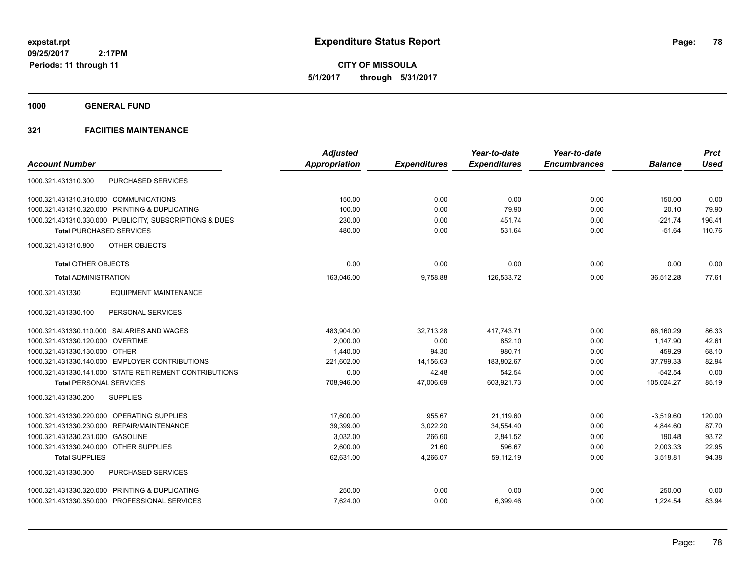**CITY OF MISSOULA 5/1/2017 through 5/31/2017**

**1000 GENERAL FUND**

|                                                         | <b>Adjusted</b>      |                     | Year-to-date        | Year-to-date        |                | <b>Prct</b> |
|---------------------------------------------------------|----------------------|---------------------|---------------------|---------------------|----------------|-------------|
| <b>Account Number</b>                                   | <b>Appropriation</b> | <b>Expenditures</b> | <b>Expenditures</b> | <b>Encumbrances</b> | <b>Balance</b> | <b>Used</b> |
| <b>PURCHASED SERVICES</b><br>1000.321.431310.300        |                      |                     |                     |                     |                |             |
| 1000.321.431310.310.000 COMMUNICATIONS                  | 150.00               | 0.00                | 0.00                | 0.00                | 150.00         | 0.00        |
| 1000.321.431310.320.000 PRINTING & DUPLICATING          | 100.00               | 0.00                | 79.90               | 0.00                | 20.10          | 79.90       |
| 1000.321.431310.330.000 PUBLICITY, SUBSCRIPTIONS & DUES | 230.00               | 0.00                | 451.74              | 0.00                | $-221.74$      | 196.41      |
| <b>Total PURCHASED SERVICES</b>                         | 480.00               | 0.00                | 531.64              | 0.00                | $-51.64$       | 110.76      |
| OTHER OBJECTS<br>1000.321.431310.800                    |                      |                     |                     |                     |                |             |
| <b>Total OTHER OBJECTS</b>                              | 0.00                 | 0.00                | 0.00                | 0.00                | 0.00           | 0.00        |
| <b>Total ADMINISTRATION</b>                             | 163,046.00           | 9,758.88            | 126,533.72          | 0.00                | 36,512.28      | 77.61       |
| <b>EQUIPMENT MAINTENANCE</b><br>1000.321.431330         |                      |                     |                     |                     |                |             |
| 1000.321.431330.100<br>PERSONAL SERVICES                |                      |                     |                     |                     |                |             |
| 1000.321.431330.110.000 SALARIES AND WAGES              | 483,904.00           | 32,713.28           | 417.743.71          | 0.00                | 66.160.29      | 86.33       |
| 1000.321.431330.120.000 OVERTIME                        | 2,000.00             | 0.00                | 852.10              | 0.00                | 1,147.90       | 42.61       |
| 1000.321.431330.130.000 OTHER                           | 1,440.00             | 94.30               | 980.71              | 0.00                | 459.29         | 68.10       |
| 1000.321.431330.140.000 EMPLOYER CONTRIBUTIONS          | 221,602.00           | 14,156.63           | 183,802.67          | 0.00                | 37,799.33      | 82.94       |
| 1000.321.431330.141.000 STATE RETIREMENT CONTRIBUTIONS  | 0.00                 | 42.48               | 542.54              | 0.00                | $-542.54$      | 0.00        |
| <b>Total PERSONAL SERVICES</b>                          | 708,946.00           | 47,006.69           | 603.921.73          | 0.00                | 105,024.27     | 85.19       |
| 1000.321.431330.200<br><b>SUPPLIES</b>                  |                      |                     |                     |                     |                |             |
| 1000.321.431330.220.000 OPERATING SUPPLIES              | 17.600.00            | 955.67              | 21.119.60           | 0.00                | $-3,519.60$    | 120.00      |
| 1000.321.431330.230.000 REPAIR/MAINTENANCE              | 39,399.00            | 3,022.20            | 34,554.40           | 0.00                | 4,844.60       | 87.70       |
| 1000.321.431330.231.000 GASOLINE                        | 3,032.00             | 266.60              | 2,841.52            | 0.00                | 190.48         | 93.72       |
| 1000.321.431330.240.000 OTHER SUPPLIES                  | 2,600.00             | 21.60               | 596.67              | 0.00                | 2,003.33       | 22.95       |
| <b>Total SUPPLIES</b>                                   | 62,631.00            | 4,266.07            | 59,112.19           | 0.00                | 3,518.81       | 94.38       |
| PURCHASED SERVICES<br>1000.321.431330.300               |                      |                     |                     |                     |                |             |
| 1000.321.431330.320.000 PRINTING & DUPLICATING          | 250.00               | 0.00                | 0.00                | 0.00                | 250.00         | 0.00        |
| 1000.321.431330.350.000 PROFESSIONAL SERVICES           | 7,624.00             | 0.00                | 6,399.46            | 0.00                | 1,224.54       | 83.94       |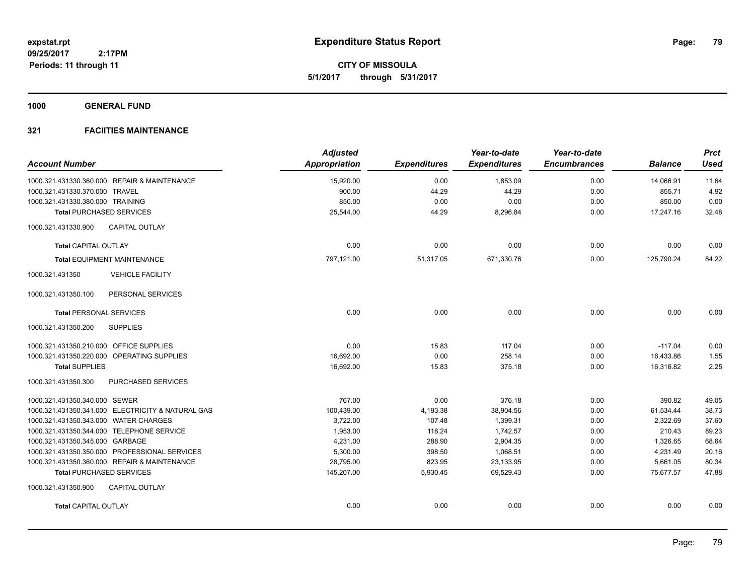**CITY OF MISSOULA 5/1/2017 through 5/31/2017**

**1000 GENERAL FUND**

| <b>Account Number</b>                             | <b>Adjusted</b><br><b>Appropriation</b> | <b>Expenditures</b> | Year-to-date<br><b>Expenditures</b> | Year-to-date<br><b>Encumbrances</b> | <b>Balance</b> | <b>Prct</b><br><b>Used</b> |
|---------------------------------------------------|-----------------------------------------|---------------------|-------------------------------------|-------------------------------------|----------------|----------------------------|
| 1000.321.431330.360.000 REPAIR & MAINTENANCE      | 15,920.00                               | 0.00                | 1,853.09                            | 0.00                                | 14,066.91      | 11.64                      |
| 1000.321.431330.370.000 TRAVEL                    | 900.00                                  | 44.29               | 44.29                               | 0.00                                | 855.71         | 4.92                       |
| 1000.321.431330.380.000 TRAINING                  | 850.00                                  | 0.00                | 0.00                                | 0.00                                | 850.00         | 0.00                       |
| <b>Total PURCHASED SERVICES</b>                   | 25,544.00                               | 44.29               | 8,296.84                            | 0.00                                | 17,247.16      | 32.48                      |
| <b>CAPITAL OUTLAY</b><br>1000.321.431330.900      |                                         |                     |                                     |                                     |                |                            |
| <b>Total CAPITAL OUTLAY</b>                       | 0.00                                    | 0.00                | 0.00                                | 0.00                                | 0.00           | 0.00                       |
| <b>Total EQUIPMENT MAINTENANCE</b>                | 797,121.00                              | 51,317.05           | 671,330.76                          | 0.00                                | 125,790.24     | 84.22                      |
| 1000.321.431350<br><b>VEHICLE FACILITY</b>        |                                         |                     |                                     |                                     |                |                            |
| 1000.321.431350.100<br>PERSONAL SERVICES          |                                         |                     |                                     |                                     |                |                            |
| <b>Total PERSONAL SERVICES</b>                    | 0.00                                    | 0.00                | 0.00                                | 0.00                                | 0.00           | 0.00                       |
| <b>SUPPLIES</b><br>1000.321.431350.200            |                                         |                     |                                     |                                     |                |                            |
| 1000.321.431350.210.000 OFFICE SUPPLIES           | 0.00                                    | 15.83               | 117.04                              | 0.00                                | $-117.04$      | 0.00                       |
| 1000.321.431350.220.000 OPERATING SUPPLIES        | 16,692.00                               | 0.00                | 258.14                              | 0.00                                | 16,433.86      | 1.55                       |
| <b>Total SUPPLIES</b>                             | 16,692.00                               | 15.83               | 375.18                              | 0.00                                | 16,316.82      | 2.25                       |
| PURCHASED SERVICES<br>1000.321.431350.300         |                                         |                     |                                     |                                     |                |                            |
| 1000.321.431350.340.000 SEWER                     | 767.00                                  | 0.00                | 376.18                              | 0.00                                | 390.82         | 49.05                      |
| 1000.321.431350.341.000 ELECTRICITY & NATURAL GAS | 100,439.00                              | 4,193.38            | 38,904.56                           | 0.00                                | 61,534.44      | 38.73                      |
| 1000.321.431350.343.000 WATER CHARGES             | 3,722.00                                | 107.48              | 1,399.31                            | 0.00                                | 2,322.69       | 37.60                      |
| 1000.321.431350.344.000 TELEPHONE SERVICE         | 1,953.00                                | 118.24              | 1,742.57                            | 0.00                                | 210.43         | 89.23                      |
| 1000.321.431350.345.000 GARBAGE                   | 4,231.00                                | 288.90              | 2,904.35                            | 0.00                                | 1,326.65       | 68.64                      |
| 1000.321.431350.350.000 PROFESSIONAL SERVICES     | 5,300.00                                | 398.50              | 1,068.51                            | 0.00                                | 4,231.49       | 20.16                      |
| 1000.321.431350.360.000 REPAIR & MAINTENANCE      | 28,795.00                               | 823.95              | 23,133.95                           | 0.00                                | 5,661.05       | 80.34                      |
| <b>Total PURCHASED SERVICES</b>                   | 145,207.00                              | 5,930.45            | 69,529.43                           | 0.00                                | 75,677.57      | 47.88                      |
| 1000.321.431350.900<br><b>CAPITAL OUTLAY</b>      |                                         |                     |                                     |                                     |                |                            |
| <b>Total CAPITAL OUTLAY</b>                       | 0.00                                    | 0.00                | 0.00                                | 0.00                                | 0.00           | 0.00                       |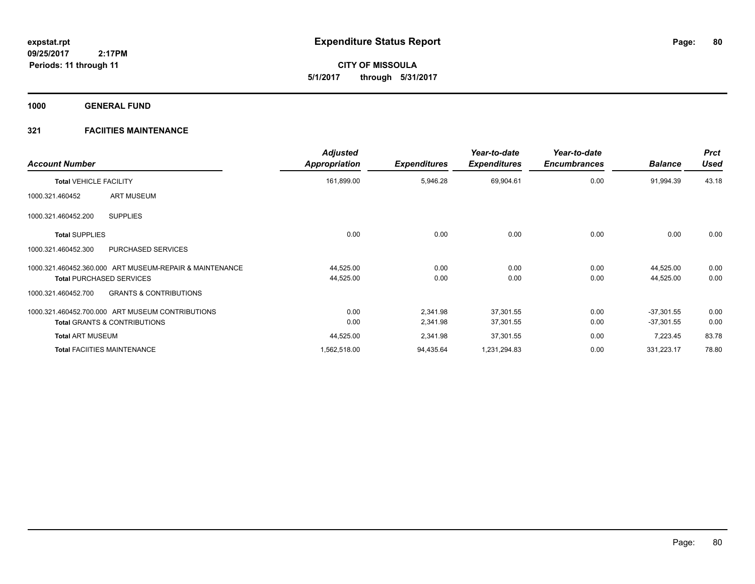**CITY OF MISSOULA 5/1/2017 through 5/31/2017**

**1000 GENERAL FUND**

| <b>Account Number</b>                                                                      | <b>Adjusted</b><br><b>Appropriation</b> | <b>Expenditures</b> | Year-to-date<br><b>Expenditures</b> | Year-to-date<br><b>Encumbrances</b> | <b>Balance</b>         | <b>Prct</b><br><b>Used</b> |
|--------------------------------------------------------------------------------------------|-----------------------------------------|---------------------|-------------------------------------|-------------------------------------|------------------------|----------------------------|
| <b>Total VEHICLE FACILITY</b>                                                              | 161,899.00                              | 5,946.28            | 69,904.61                           | 0.00                                | 91,994.39              | 43.18                      |
| <b>ART MUSEUM</b><br>1000.321.460452                                                       |                                         |                     |                                     |                                     |                        |                            |
| <b>SUPPLIES</b><br>1000.321.460452.200                                                     |                                         |                     |                                     |                                     |                        |                            |
| <b>Total SUPPLIES</b>                                                                      | 0.00                                    | 0.00                | 0.00                                | 0.00                                | 0.00                   | 0.00                       |
| PURCHASED SERVICES<br>1000.321.460452.300                                                  |                                         |                     |                                     |                                     |                        |                            |
| 1000.321.460452.360.000 ART MUSEUM-REPAIR & MAINTENANCE<br><b>Total PURCHASED SERVICES</b> | 44,525.00<br>44,525.00                  | 0.00<br>0.00        | 0.00<br>0.00                        | 0.00<br>0.00                        | 44,525.00<br>44,525.00 | 0.00<br>0.00               |
| <b>GRANTS &amp; CONTRIBUTIONS</b><br>1000.321.460452.700                                   |                                         |                     |                                     |                                     |                        |                            |
| 1000.321.460452.700.000 ART MUSEUM CONTRIBUTIONS                                           | 0.00                                    | 2,341.98            | 37,301.55                           | 0.00                                | $-37,301.55$           | 0.00                       |
| <b>Total GRANTS &amp; CONTRIBUTIONS</b>                                                    | 0.00                                    | 2,341.98            | 37,301.55                           | 0.00                                | $-37,301.55$           | 0.00                       |
| <b>Total ART MUSEUM</b>                                                                    | 44,525.00                               | 2,341.98            | 37,301.55                           | 0.00                                | 7,223.45               | 83.78                      |
| <b>Total FACIITIES MAINTENANCE</b>                                                         | 1,562,518.00                            | 94,435.64           | 1,231,294.83                        | 0.00                                | 331,223.17             | 78.80                      |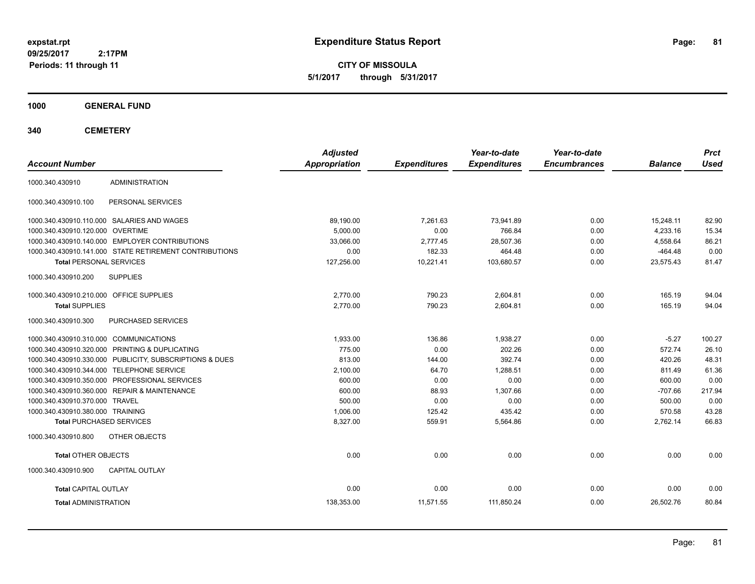**CITY OF MISSOULA 5/1/2017 through 5/31/2017**

**1000 GENERAL FUND**

**340 CEMETERY**

| <b>Account Number</b>                   |                                                         | <b>Adjusted</b><br><b>Appropriation</b> | <b>Expenditures</b> | Year-to-date<br><b>Expenditures</b> | Year-to-date<br><b>Encumbrances</b> | <b>Balance</b> | <b>Prct</b><br><b>Used</b> |
|-----------------------------------------|---------------------------------------------------------|-----------------------------------------|---------------------|-------------------------------------|-------------------------------------|----------------|----------------------------|
|                                         | <b>ADMINISTRATION</b>                                   |                                         |                     |                                     |                                     |                |                            |
| 1000.340.430910                         |                                                         |                                         |                     |                                     |                                     |                |                            |
| 1000.340.430910.100                     | PERSONAL SERVICES                                       |                                         |                     |                                     |                                     |                |                            |
|                                         | 1000.340.430910.110.000 SALARIES AND WAGES              | 89,190.00                               | 7,261.63            | 73,941.89                           | 0.00                                | 15,248.11      | 82.90                      |
| 1000.340.430910.120.000 OVERTIME        |                                                         | 5,000.00                                | 0.00                | 766.84                              | 0.00                                | 4,233.16       | 15.34                      |
|                                         | 1000.340.430910.140.000 EMPLOYER CONTRIBUTIONS          | 33.066.00                               | 2,777.45            | 28,507.36                           | 0.00                                | 4,558.64       | 86.21                      |
|                                         | 1000.340.430910.141.000 STATE RETIREMENT CONTRIBUTIONS  | 0.00                                    | 182.33              | 464.48                              | 0.00                                | $-464.48$      | 0.00                       |
| <b>Total PERSONAL SERVICES</b>          |                                                         | 127,256.00                              | 10,221.41           | 103,680.57                          | 0.00                                | 23,575.43      | 81.47                      |
| 1000.340.430910.200                     | <b>SUPPLIES</b>                                         |                                         |                     |                                     |                                     |                |                            |
| 1000.340.430910.210.000 OFFICE SUPPLIES |                                                         | 2,770.00                                | 790.23              | 2,604.81                            | 0.00                                | 165.19         | 94.04                      |
| <b>Total SUPPLIES</b>                   |                                                         | 2,770.00                                | 790.23              | 2,604.81                            | 0.00                                | 165.19         | 94.04                      |
| 1000.340.430910.300                     | PURCHASED SERVICES                                      |                                         |                     |                                     |                                     |                |                            |
| 1000.340.430910.310.000 COMMUNICATIONS  |                                                         | 1,933.00                                | 136.86              | 1,938.27                            | 0.00                                | $-5.27$        | 100.27                     |
|                                         | 1000.340.430910.320.000 PRINTING & DUPLICATING          | 775.00                                  | 0.00                | 202.26                              | 0.00                                | 572.74         | 26.10                      |
|                                         | 1000.340.430910.330.000 PUBLICITY, SUBSCRIPTIONS & DUES | 813.00                                  | 144.00              | 392.74                              | 0.00                                | 420.26         | 48.31                      |
|                                         | 1000.340.430910.344.000 TELEPHONE SERVICE               | 2,100.00                                | 64.70               | 1,288.51                            | 0.00                                | 811.49         | 61.36                      |
|                                         | 1000.340.430910.350.000 PROFESSIONAL SERVICES           | 600.00                                  | 0.00                | 0.00                                | 0.00                                | 600.00         | 0.00                       |
|                                         | 1000.340.430910.360.000 REPAIR & MAINTENANCE            | 600.00                                  | 88.93               | 1,307.66                            | 0.00                                | $-707.66$      | 217.94                     |
| 1000.340.430910.370.000 TRAVEL          |                                                         | 500.00                                  | 0.00                | 0.00                                | 0.00                                | 500.00         | 0.00                       |
| 1000.340.430910.380.000 TRAINING        |                                                         | 1,006.00                                | 125.42              | 435.42                              | 0.00                                | 570.58         | 43.28                      |
| <b>Total PURCHASED SERVICES</b>         |                                                         | 8,327.00                                | 559.91              | 5,564.86                            | 0.00                                | 2,762.14       | 66.83                      |
| 1000.340.430910.800                     | OTHER OBJECTS                                           |                                         |                     |                                     |                                     |                |                            |
| <b>Total OTHER OBJECTS</b>              |                                                         | 0.00                                    | 0.00                | 0.00                                | 0.00                                | 0.00           | 0.00                       |
| 1000.340.430910.900                     | <b>CAPITAL OUTLAY</b>                                   |                                         |                     |                                     |                                     |                |                            |
| <b>Total CAPITAL OUTLAY</b>             |                                                         | 0.00                                    | 0.00                | 0.00                                | 0.00                                | 0.00           | 0.00                       |
| <b>Total ADMINISTRATION</b>             |                                                         | 138,353.00                              | 11,571.55           | 111,850.24                          | 0.00                                | 26,502.76      | 80.84                      |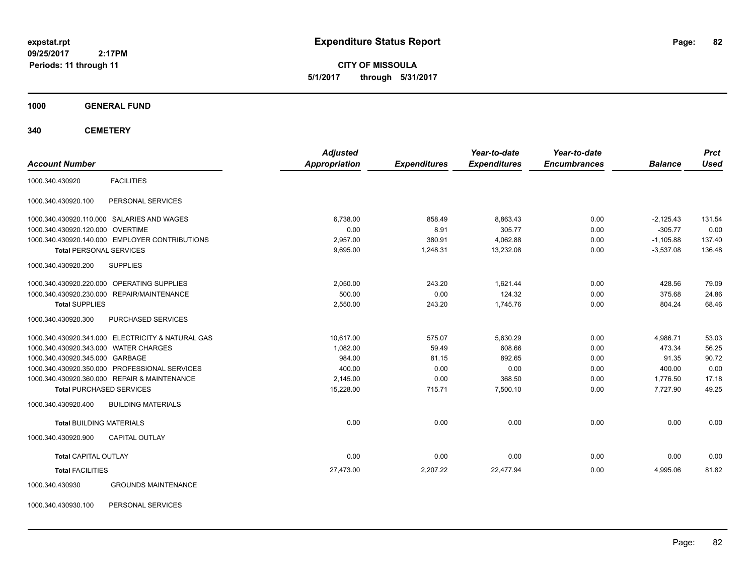**CITY OF MISSOULA 5/1/2017 through 5/31/2017**

**1000 GENERAL FUND**

**340 CEMETERY**

|                                       |                                                   | <b>Adjusted</b> |                     | Year-to-date        | Year-to-date        |                | <b>Prct</b> |
|---------------------------------------|---------------------------------------------------|-----------------|---------------------|---------------------|---------------------|----------------|-------------|
| <b>Account Number</b>                 |                                                   | Appropriation   | <b>Expenditures</b> | <b>Expenditures</b> | <b>Encumbrances</b> | <b>Balance</b> | <b>Used</b> |
| 1000.340.430920                       | <b>FACILITIES</b>                                 |                 |                     |                     |                     |                |             |
| 1000.340.430920.100                   | PERSONAL SERVICES                                 |                 |                     |                     |                     |                |             |
|                                       | 1000.340.430920.110.000 SALARIES AND WAGES        | 6.738.00        | 858.49              | 8.863.43            | 0.00                | $-2.125.43$    | 131.54      |
| 1000.340.430920.120.000 OVERTIME      |                                                   | 0.00            | 8.91                | 305.77              | 0.00                | $-305.77$      | 0.00        |
|                                       | 1000.340.430920.140.000 EMPLOYER CONTRIBUTIONS    | 2,957.00        | 380.91              | 4,062.88            | 0.00                | $-1,105.88$    | 137.40      |
| <b>Total PERSONAL SERVICES</b>        |                                                   | 9,695.00        | 1,248.31            | 13,232.08           | 0.00                | $-3,537.08$    | 136.48      |
| 1000.340.430920.200                   | <b>SUPPLIES</b>                                   |                 |                     |                     |                     |                |             |
|                                       | 1000.340.430920.220.000 OPERATING SUPPLIES        | 2,050.00        | 243.20              | 1,621.44            | 0.00                | 428.56         | 79.09       |
|                                       | 1000.340.430920.230.000 REPAIR/MAINTENANCE        | 500.00          | 0.00                | 124.32              | 0.00                | 375.68         | 24.86       |
| <b>Total SUPPLIES</b>                 |                                                   | 2,550.00        | 243.20              | 1.745.76            | 0.00                | 804.24         | 68.46       |
| 1000.340.430920.300                   | PURCHASED SERVICES                                |                 |                     |                     |                     |                |             |
|                                       | 1000.340.430920.341.000 ELECTRICITY & NATURAL GAS | 10.617.00       | 575.07              | 5,630.29            | 0.00                | 4,986.71       | 53.03       |
| 1000.340.430920.343.000 WATER CHARGES |                                                   | 1,082.00        | 59.49               | 608.66              | 0.00                | 473.34         | 56.25       |
| 1000.340.430920.345.000 GARBAGE       |                                                   | 984.00          | 81.15               | 892.65              | 0.00                | 91.35          | 90.72       |
|                                       | 1000.340.430920.350.000 PROFESSIONAL SERVICES     | 400.00          | 0.00                | 0.00                | 0.00                | 400.00         | 0.00        |
|                                       | 1000.340.430920.360.000 REPAIR & MAINTENANCE      | 2,145.00        | 0.00                | 368.50              | 0.00                | 1,776.50       | 17.18       |
| <b>Total PURCHASED SERVICES</b>       |                                                   | 15,228.00       | 715.71              | 7,500.10            | 0.00                | 7,727.90       | 49.25       |
| 1000.340.430920.400                   | <b>BUILDING MATERIALS</b>                         |                 |                     |                     |                     |                |             |
| <b>Total BUILDING MATERIALS</b>       |                                                   | 0.00            | 0.00                | 0.00                | 0.00                | 0.00           | 0.00        |
| 1000.340.430920.900                   | <b>CAPITAL OUTLAY</b>                             |                 |                     |                     |                     |                |             |
| <b>Total CAPITAL OUTLAY</b>           |                                                   | 0.00            | 0.00                | 0.00                | 0.00                | 0.00           | 0.00        |
| <b>Total FACILITIES</b>               |                                                   | 27,473.00       | 2,207.22            | 22,477.94           | 0.00                | 4,995.06       | 81.82       |
| 1000.340.430930                       | <b>GROUNDS MAINTENANCE</b>                        |                 |                     |                     |                     |                |             |

1000.340.430930.100 PERSONAL SERVICES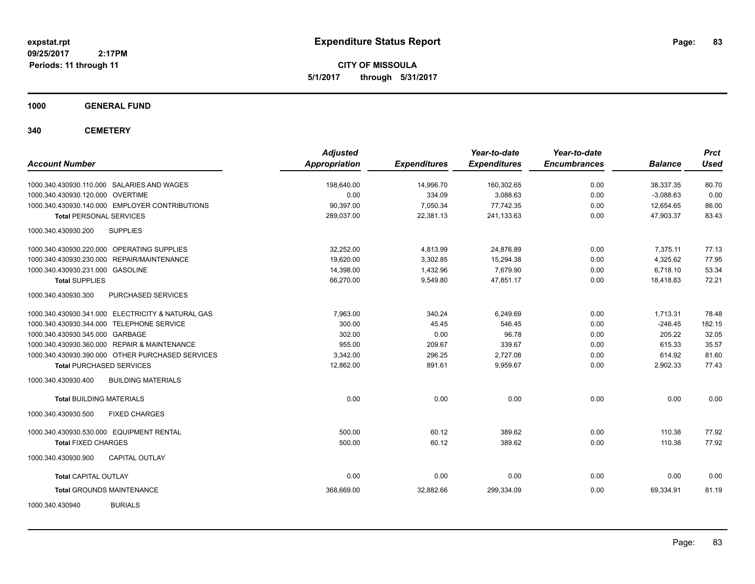**CITY OF MISSOULA 5/1/2017 through 5/31/2017**

**1000 GENERAL FUND**

**340 CEMETERY**

| <b>Account Number</b>                             | <b>Adjusted</b><br><b>Appropriation</b> | <b>Expenditures</b> | Year-to-date<br><b>Expenditures</b> | Year-to-date<br><b>Encumbrances</b> | <b>Balance</b> | <b>Prct</b><br><b>Used</b> |
|---------------------------------------------------|-----------------------------------------|---------------------|-------------------------------------|-------------------------------------|----------------|----------------------------|
| 1000.340.430930.110.000 SALARIES AND WAGES        | 198,640.00                              | 14,996.70           | 160,302.65                          | 0.00                                | 38,337.35      | 80.70                      |
| 1000.340.430930.120.000 OVERTIME                  | 0.00                                    | 334.09              | 3,088.63                            | 0.00                                | $-3,088.63$    | 0.00                       |
| 1000.340.430930.140.000 EMPLOYER CONTRIBUTIONS    | 90,397.00                               | 7,050.34            | 77,742.35                           | 0.00                                | 12,654.65      | 86.00                      |
| <b>Total PERSONAL SERVICES</b>                    | 289,037.00                              | 22,381.13           | 241,133.63                          | 0.00                                | 47,903.37      | 83.43                      |
| 1000.340.430930.200<br><b>SUPPLIES</b>            |                                         |                     |                                     |                                     |                |                            |
| 1000.340.430930.220.000 OPERATING SUPPLIES        | 32.252.00                               | 4,813.99            | 24.876.89                           | 0.00                                | 7.375.11       | 77.13                      |
| 1000.340.430930.230.000 REPAIR/MAINTENANCE        | 19,620.00                               | 3,302.85            | 15,294.38                           | 0.00                                | 4,325.62       | 77.95                      |
| 1000.340.430930.231.000 GASOLINE                  | 14,398.00                               | 1,432.96            | 7,679.90                            | 0.00                                | 6,718.10       | 53.34                      |
| <b>Total SUPPLIES</b>                             | 66,270.00                               | 9,549.80            | 47,851.17                           | 0.00                                | 18,418.83      | 72.21                      |
| PURCHASED SERVICES<br>1000.340.430930.300         |                                         |                     |                                     |                                     |                |                            |
| 1000.340.430930.341.000 ELECTRICITY & NATURAL GAS | 7.963.00                                | 340.24              | 6.249.69                            | 0.00                                | 1,713.31       | 78.48                      |
| 1000.340.430930.344.000 TELEPHONE SERVICE         | 300.00                                  | 45.45               | 546.45                              | 0.00                                | $-246.45$      | 182.15                     |
| 1000.340.430930.345.000 GARBAGE                   | 302.00                                  | 0.00                | 96.78                               | 0.00                                | 205.22         | 32.05                      |
| 1000.340.430930.360.000 REPAIR & MAINTENANCE      | 955.00                                  | 209.67              | 339.67                              | 0.00                                | 615.33         | 35.57                      |
| 1000.340.430930.390.000 OTHER PURCHASED SERVICES  | 3.342.00                                | 296.25              | 2,727.08                            | 0.00                                | 614.92         | 81.60                      |
| <b>Total PURCHASED SERVICES</b>                   | 12,862.00                               | 891.61              | 9,959.67                            | 0.00                                | 2,902.33       | 77.43                      |
| <b>BUILDING MATERIALS</b><br>1000.340.430930.400  |                                         |                     |                                     |                                     |                |                            |
| <b>Total BUILDING MATERIALS</b>                   | 0.00                                    | 0.00                | 0.00                                | 0.00                                | 0.00           | 0.00                       |
| 1000.340.430930.500<br><b>FIXED CHARGES</b>       |                                         |                     |                                     |                                     |                |                            |
| 1000.340.430930.530.000 EQUIPMENT RENTAL          | 500.00                                  | 60.12               | 389.62                              | 0.00                                | 110.38         | 77.92                      |
| <b>Total FIXED CHARGES</b>                        | 500.00                                  | 60.12               | 389.62                              | 0.00                                | 110.38         | 77.92                      |
| <b>CAPITAL OUTLAY</b><br>1000.340.430930.900      |                                         |                     |                                     |                                     |                |                            |
| <b>Total CAPITAL OUTLAY</b>                       | 0.00                                    | 0.00                | 0.00                                | 0.00                                | 0.00           | 0.00                       |
| <b>Total GROUNDS MAINTENANCE</b>                  | 368,669.00                              | 32,882.66           | 299,334.09                          | 0.00                                | 69,334.91      | 81.19                      |
| <b>BURIALS</b><br>1000.340.430940                 |                                         |                     |                                     |                                     |                |                            |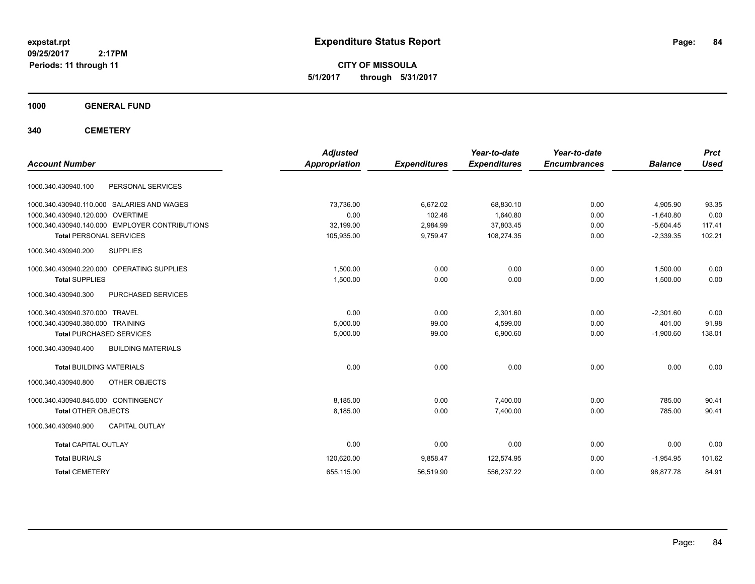**CITY OF MISSOULA 5/1/2017 through 5/31/2017**

**1000 GENERAL FUND**

**340 CEMETERY**

| <b>Account Number</b>                            | <b>Adjusted</b><br><b>Appropriation</b> | <b>Expenditures</b> | Year-to-date<br><b>Expenditures</b> | Year-to-date<br><b>Encumbrances</b> | <b>Balance</b> | <b>Prct</b><br><b>Used</b> |
|--------------------------------------------------|-----------------------------------------|---------------------|-------------------------------------|-------------------------------------|----------------|----------------------------|
|                                                  |                                         |                     |                                     |                                     |                |                            |
| 1000.340.430940.100<br>PERSONAL SERVICES         |                                         |                     |                                     |                                     |                |                            |
| 1000.340.430940.110.000 SALARIES AND WAGES       | 73.736.00                               | 6,672.02            | 68,830.10                           | 0.00                                | 4,905.90       | 93.35                      |
| 1000.340.430940.120.000 OVERTIME                 | 0.00                                    | 102.46              | 1,640.80                            | 0.00                                | $-1,640.80$    | 0.00                       |
| 1000.340.430940.140.000 EMPLOYER CONTRIBUTIONS   | 32,199.00                               | 2,984.99            | 37.803.45                           | 0.00                                | $-5.604.45$    | 117.41                     |
| <b>Total PERSONAL SERVICES</b>                   | 105,935.00                              | 9,759.47            | 108,274.35                          | 0.00                                | $-2,339.35$    | 102.21                     |
| <b>SUPPLIES</b><br>1000.340.430940.200           |                                         |                     |                                     |                                     |                |                            |
| 1000.340.430940.220.000 OPERATING SUPPLIES       | 1.500.00                                | 0.00                | 0.00                                | 0.00                                | 1,500.00       | 0.00                       |
| <b>Total SUPPLIES</b>                            | 1,500.00                                | 0.00                | 0.00                                | 0.00                                | 1,500.00       | 0.00                       |
| PURCHASED SERVICES<br>1000.340.430940.300        |                                         |                     |                                     |                                     |                |                            |
| 1000.340.430940.370.000 TRAVEL                   | 0.00                                    | 0.00                | 2,301.60                            | 0.00                                | $-2,301.60$    | 0.00                       |
| 1000.340.430940.380.000 TRAINING                 | 5,000.00                                | 99.00               | 4,599.00                            | 0.00                                | 401.00         | 91.98                      |
| <b>Total PURCHASED SERVICES</b>                  | 5,000.00                                | 99.00               | 6,900.60                            | 0.00                                | $-1,900.60$    | 138.01                     |
| <b>BUILDING MATERIALS</b><br>1000.340.430940.400 |                                         |                     |                                     |                                     |                |                            |
| <b>Total BUILDING MATERIALS</b>                  | 0.00                                    | 0.00                | 0.00                                | 0.00                                | 0.00           | 0.00                       |
| OTHER OBJECTS<br>1000.340.430940.800             |                                         |                     |                                     |                                     |                |                            |
| 1000.340.430940.845.000 CONTINGENCY              | 8.185.00                                | 0.00                | 7.400.00                            | 0.00                                | 785.00         | 90.41                      |
| <b>Total OTHER OBJECTS</b>                       | 8,185.00                                | 0.00                | 7,400.00                            | 0.00                                | 785.00         | 90.41                      |
| <b>CAPITAL OUTLAY</b><br>1000.340.430940.900     |                                         |                     |                                     |                                     |                |                            |
| <b>Total CAPITAL OUTLAY</b>                      | 0.00                                    | 0.00                | 0.00                                | 0.00                                | 0.00           | 0.00                       |
| <b>Total BURIALS</b>                             | 120,620.00                              | 9,858.47            | 122,574.95                          | 0.00                                | $-1,954.95$    | 101.62                     |
| <b>Total CEMETERY</b>                            | 655,115.00                              | 56,519.90           | 556,237.22                          | 0.00                                | 98,877.78      | 84.91                      |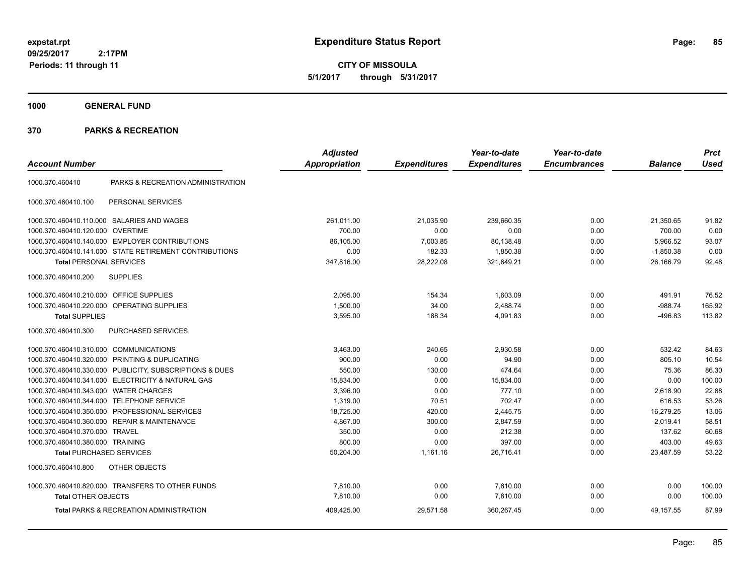**CITY OF MISSOULA 5/1/2017 through 5/31/2017**

**1000 GENERAL FUND**

|                                         |                                                         | <b>Adjusted</b>      |                     | Year-to-date        | Year-to-date        |                | <b>Prct</b> |
|-----------------------------------------|---------------------------------------------------------|----------------------|---------------------|---------------------|---------------------|----------------|-------------|
| <b>Account Number</b>                   |                                                         | <b>Appropriation</b> | <b>Expenditures</b> | <b>Expenditures</b> | <b>Encumbrances</b> | <b>Balance</b> | <b>Used</b> |
| 1000.370.460410                         | PARKS & RECREATION ADMINISTRATION                       |                      |                     |                     |                     |                |             |
| 1000.370.460410.100                     | PERSONAL SERVICES                                       |                      |                     |                     |                     |                |             |
|                                         | 1000.370.460410.110.000 SALARIES AND WAGES              | 261,011.00           | 21,035.90           | 239,660.35          | 0.00                | 21,350.65      | 91.82       |
| 1000.370.460410.120.000                 | <b>OVERTIME</b>                                         | 700.00               | 0.00                | 0.00                | 0.00                | 700.00         | 0.00        |
|                                         | 1000.370.460410.140.000 EMPLOYER CONTRIBUTIONS          | 86,105.00            | 7,003.85            | 80,138.48           | 0.00                | 5,966.52       | 93.07       |
|                                         | 1000.370.460410.141.000 STATE RETIREMENT CONTRIBUTIONS  | 0.00                 | 182.33              | 1,850.38            | 0.00                | $-1,850.38$    | 0.00        |
| <b>Total PERSONAL SERVICES</b>          |                                                         | 347,816.00           | 28,222.08           | 321,649.21          | 0.00                | 26,166.79      | 92.48       |
| 1000.370.460410.200                     | <b>SUPPLIES</b>                                         |                      |                     |                     |                     |                |             |
| 1000.370.460410.210.000 OFFICE SUPPLIES |                                                         | 2,095.00             | 154.34              | 1,603.09            | 0.00                | 491.91         | 76.52       |
|                                         | 1000.370.460410.220.000 OPERATING SUPPLIES              | 1,500.00             | 34.00               | 2,488.74            | 0.00                | $-988.74$      | 165.92      |
| <b>Total SUPPLIES</b>                   |                                                         | 3,595.00             | 188.34              | 4,091.83            | 0.00                | $-496.83$      | 113.82      |
| 1000.370.460410.300                     | PURCHASED SERVICES                                      |                      |                     |                     |                     |                |             |
| 1000.370.460410.310.000 COMMUNICATIONS  |                                                         | 3,463.00             | 240.65              | 2,930.58            | 0.00                | 532.42         | 84.63       |
| 1000.370.460410.320.000                 | PRINTING & DUPLICATING                                  | 900.00               | 0.00                | 94.90               | 0.00                | 805.10         | 10.54       |
|                                         | 1000.370.460410.330.000 PUBLICITY, SUBSCRIPTIONS & DUES | 550.00               | 130.00              | 474.64              | 0.00                | 75.36          | 86.30       |
|                                         | 1000.370.460410.341.000 ELECTRICITY & NATURAL GAS       | 15,834.00            | 0.00                | 15,834.00           | 0.00                | 0.00           | 100.00      |
| 1000.370.460410.343.000                 | <b>WATER CHARGES</b>                                    | 3,396.00             | 0.00                | 777.10              | 0.00                | 2,618.90       | 22.88       |
| 1000.370.460410.344.000                 | <b>TELEPHONE SERVICE</b>                                | 1,319.00             | 70.51               | 702.47              | 0.00                | 616.53         | 53.26       |
| 1000.370.460410.350.000                 | PROFESSIONAL SERVICES                                   | 18,725.00            | 420.00              | 2,445.75            | 0.00                | 16,279.25      | 13.06       |
|                                         | 1000.370.460410.360.000 REPAIR & MAINTENANCE            | 4,867.00             | 300.00              | 2,847.59            | 0.00                | 2,019.41       | 58.51       |
| 1000.370.460410.370.000 TRAVEL          |                                                         | 350.00               | 0.00                | 212.38              | 0.00                | 137.62         | 60.68       |
| 1000.370.460410.380.000 TRAINING        |                                                         | 800.00               | 0.00                | 397.00              | 0.00                | 403.00         | 49.63       |
| <b>Total PURCHASED SERVICES</b>         |                                                         | 50,204.00            | 1,161.16            | 26,716.41           | 0.00                | 23,487.59      | 53.22       |
| 1000.370.460410.800                     | OTHER OBJECTS                                           |                      |                     |                     |                     |                |             |
|                                         | 1000.370.460410.820.000 TRANSFERS TO OTHER FUNDS        | 7,810.00             | 0.00                | 7,810.00            | 0.00                | 0.00           | 100.00      |
| <b>Total OTHER OBJECTS</b>              |                                                         | 7,810.00             | 0.00                | 7,810.00            | 0.00                | 0.00           | 100.00      |
|                                         | <b>Total PARKS &amp; RECREATION ADMINISTRATION</b>      | 409,425.00           | 29,571.58           | 360,267.45          | 0.00                | 49,157.55      | 87.99       |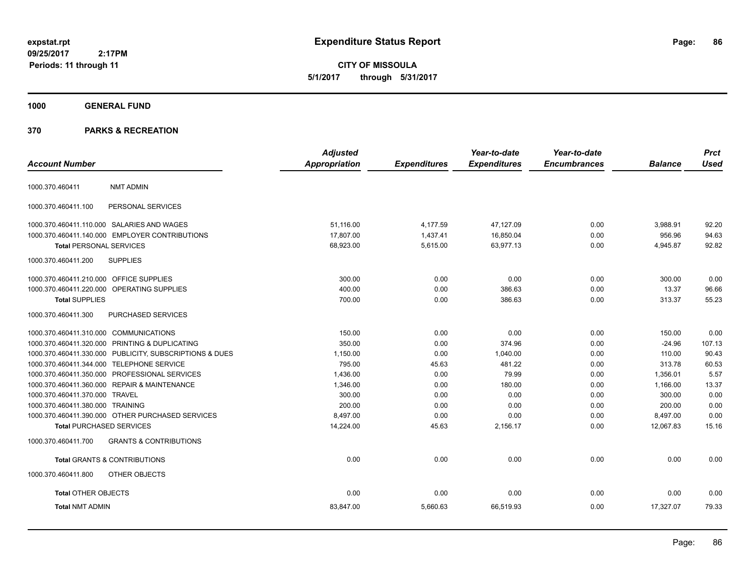**CITY OF MISSOULA 5/1/2017 through 5/31/2017**

# **1000 GENERAL FUND**

|                                         |                                                         | <b>Adjusted</b> |                     | Year-to-date        | Year-to-date        |                | <b>Prct</b> |
|-----------------------------------------|---------------------------------------------------------|-----------------|---------------------|---------------------|---------------------|----------------|-------------|
| <b>Account Number</b>                   |                                                         | Appropriation   | <b>Expenditures</b> | <b>Expenditures</b> | <b>Encumbrances</b> | <b>Balance</b> | <b>Used</b> |
| 1000.370.460411                         | <b>NMT ADMIN</b>                                        |                 |                     |                     |                     |                |             |
| 1000.370.460411.100                     | PERSONAL SERVICES                                       |                 |                     |                     |                     |                |             |
|                                         | 1000.370.460411.110.000 SALARIES AND WAGES              | 51,116.00       | 4,177.59            | 47,127.09           | 0.00                | 3,988.91       | 92.20       |
|                                         | 1000.370.460411.140.000 EMPLOYER CONTRIBUTIONS          | 17,807.00       | 1,437.41            | 16,850.04           | 0.00                | 956.96         | 94.63       |
| <b>Total PERSONAL SERVICES</b>          |                                                         | 68,923.00       | 5,615.00            | 63,977.13           | 0.00                | 4,945.87       | 92.82       |
| 1000.370.460411.200                     | <b>SUPPLIES</b>                                         |                 |                     |                     |                     |                |             |
| 1000.370.460411.210.000 OFFICE SUPPLIES |                                                         | 300.00          | 0.00                | 0.00                | 0.00                | 300.00         | 0.00        |
|                                         | 1000.370.460411.220.000 OPERATING SUPPLIES              | 400.00          | 0.00                | 386.63              | 0.00                | 13.37          | 96.66       |
| <b>Total SUPPLIES</b>                   |                                                         | 700.00          | 0.00                | 386.63              | 0.00                | 313.37         | 55.23       |
| 1000.370.460411.300                     | PURCHASED SERVICES                                      |                 |                     |                     |                     |                |             |
| 1000.370.460411.310.000 COMMUNICATIONS  |                                                         | 150.00          | 0.00                | 0.00                | 0.00                | 150.00         | 0.00        |
|                                         | 1000.370.460411.320.000 PRINTING & DUPLICATING          | 350.00          | 0.00                | 374.96              | 0.00                | $-24.96$       | 107.13      |
|                                         | 1000.370.460411.330.000 PUBLICITY, SUBSCRIPTIONS & DUES | 1,150.00        | 0.00                | 1.040.00            | 0.00                | 110.00         | 90.43       |
|                                         | 1000.370.460411.344.000 TELEPHONE SERVICE               | 795.00          | 45.63               | 481.22              | 0.00                | 313.78         | 60.53       |
|                                         | 1000.370.460411.350.000 PROFESSIONAL SERVICES           | 1,436.00        | 0.00                | 79.99               | 0.00                | 1,356.01       | 5.57        |
|                                         | 1000.370.460411.360.000 REPAIR & MAINTENANCE            | 1,346.00        | 0.00                | 180.00              | 0.00                | 1,166.00       | 13.37       |
| 1000.370.460411.370.000 TRAVEL          |                                                         | 300.00          | 0.00                | 0.00                | 0.00                | 300.00         | 0.00        |
| 1000.370.460411.380.000 TRAINING        |                                                         | 200.00          | 0.00                | 0.00                | 0.00                | 200.00         | 0.00        |
|                                         | 1000.370.460411.390.000 OTHER PURCHASED SERVICES        | 8,497.00        | 0.00                | 0.00                | 0.00                | 8,497.00       | 0.00        |
|                                         | <b>Total PURCHASED SERVICES</b>                         | 14,224.00       | 45.63               | 2,156.17            | 0.00                | 12,067.83      | 15.16       |
| 1000.370.460411.700                     | <b>GRANTS &amp; CONTRIBUTIONS</b>                       |                 |                     |                     |                     |                |             |
|                                         | <b>Total GRANTS &amp; CONTRIBUTIONS</b>                 | 0.00            | 0.00                | 0.00                | 0.00                | 0.00           | 0.00        |
| 1000.370.460411.800                     | OTHER OBJECTS                                           |                 |                     |                     |                     |                |             |
| <b>Total OTHER OBJECTS</b>              |                                                         | 0.00            | 0.00                | 0.00                | 0.00                | 0.00           | 0.00        |
| <b>Total NMT ADMIN</b>                  |                                                         | 83,847.00       | 5,660.63            | 66,519.93           | 0.00                | 17,327.07      | 79.33       |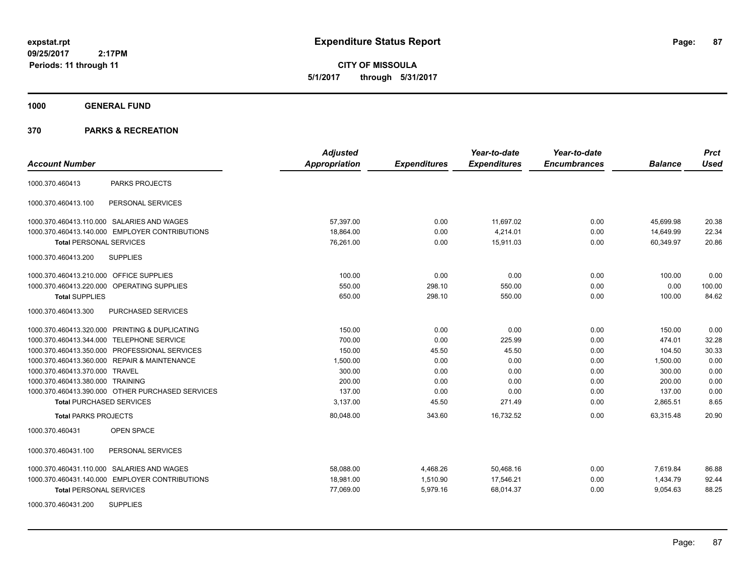**CITY OF MISSOULA 5/1/2017 through 5/31/2017**

#### **1000 GENERAL FUND**

|                                                  | <b>Adjusted</b>      |                     | Year-to-date        | Year-to-date        |                | <b>Prct</b> |
|--------------------------------------------------|----------------------|---------------------|---------------------|---------------------|----------------|-------------|
| <b>Account Number</b>                            | <b>Appropriation</b> | <b>Expenditures</b> | <b>Expenditures</b> | <b>Encumbrances</b> | <b>Balance</b> | <b>Used</b> |
| <b>PARKS PROJECTS</b><br>1000.370.460413         |                      |                     |                     |                     |                |             |
| 1000.370.460413.100<br>PERSONAL SERVICES         |                      |                     |                     |                     |                |             |
| 1000.370.460413.110.000 SALARIES AND WAGES       | 57,397.00            | 0.00                | 11,697.02           | 0.00                | 45,699.98      | 20.38       |
| 1000.370.460413.140.000 EMPLOYER CONTRIBUTIONS   | 18,864.00            | 0.00                | 4,214.01            | 0.00                | 14,649.99      | 22.34       |
| <b>Total PERSONAL SERVICES</b>                   | 76,261.00            | 0.00                | 15,911.03           | 0.00                | 60,349.97      | 20.86       |
| 1000.370.460413.200<br><b>SUPPLIES</b>           |                      |                     |                     |                     |                |             |
| 1000.370.460413.210.000 OFFICE SUPPLIES          | 100.00               | 0.00                | 0.00                | 0.00                | 100.00         | 0.00        |
| 1000.370.460413.220.000 OPERATING SUPPLIES       | 550.00               | 298.10              | 550.00              | 0.00                | 0.00           | 100.00      |
| <b>Total SUPPLIES</b>                            | 650.00               | 298.10              | 550.00              | 0.00                | 100.00         | 84.62       |
| 1000.370.460413.300<br>PURCHASED SERVICES        |                      |                     |                     |                     |                |             |
| 1000.370.460413.320.000 PRINTING & DUPLICATING   | 150.00               | 0.00                | 0.00                | 0.00                | 150.00         | 0.00        |
| 1000.370.460413.344.000 TELEPHONE SERVICE        | 700.00               | 0.00                | 225.99              | 0.00                | 474.01         | 32.28       |
| 1000.370.460413.350.000 PROFESSIONAL SERVICES    | 150.00               | 45.50               | 45.50               | 0.00                | 104.50         | 30.33       |
| 1000.370.460413.360.000 REPAIR & MAINTENANCE     | 1,500.00             | 0.00                | 0.00                | 0.00                | 1,500.00       | 0.00        |
| 1000.370.460413.370.000 TRAVEL                   | 300.00               | 0.00                | 0.00                | 0.00                | 300.00         | 0.00        |
| 1000.370.460413.380.000 TRAINING                 | 200.00               | 0.00                | 0.00                | 0.00                | 200.00         | 0.00        |
| 1000.370.460413.390.000 OTHER PURCHASED SERVICES | 137.00               | 0.00                | 0.00                | 0.00                | 137.00         | 0.00        |
| <b>Total PURCHASED SERVICES</b>                  | 3,137.00             | 45.50               | 271.49              | 0.00                | 2,865.51       | 8.65        |
| <b>Total PARKS PROJECTS</b>                      | 80,048.00            | 343.60              | 16,732.52           | 0.00                | 63,315.48      | 20.90       |
| 1000.370.460431<br><b>OPEN SPACE</b>             |                      |                     |                     |                     |                |             |
| 1000.370.460431.100<br>PERSONAL SERVICES         |                      |                     |                     |                     |                |             |
| 1000.370.460431.110.000 SALARIES AND WAGES       | 58,088.00            | 4,468.26            | 50,468.16           | 0.00                | 7,619.84       | 86.88       |
| 1000.370.460431.140.000 EMPLOYER CONTRIBUTIONS   | 18,981.00            | 1,510.90            | 17,546.21           | 0.00                | 1,434.79       | 92.44       |
| <b>Total PERSONAL SERVICES</b>                   | 77,069.00            | 5,979.16            | 68,014.37           | 0.00                | 9,054.63       | 88.25       |
| <b>SUPPLIES</b><br>1000.370.460431.200           |                      |                     |                     |                     |                |             |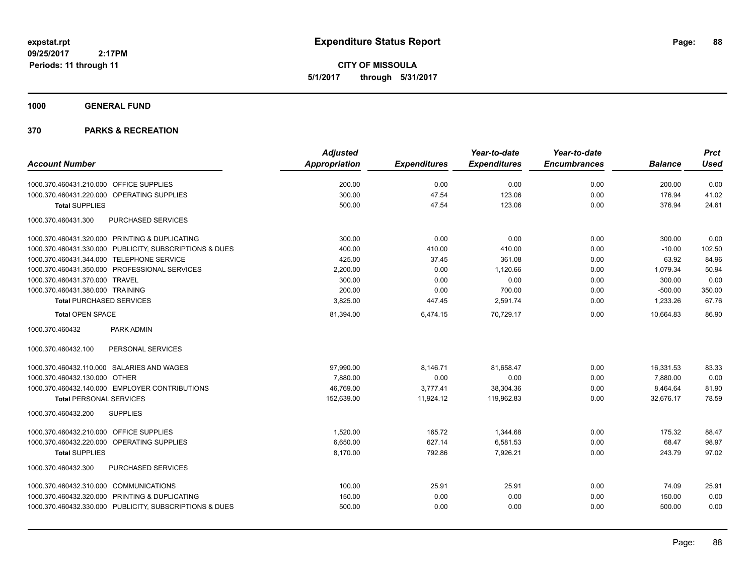**CITY OF MISSOULA 5/1/2017 through 5/31/2017**

**1000 GENERAL FUND**

| <b>Account Number</b>                                   | <b>Adjusted</b> |                     | Year-to-date        | Year-to-date<br><b>Encumbrances</b> | <b>Balance</b> | <b>Prct</b><br><b>Used</b> |
|---------------------------------------------------------|-----------------|---------------------|---------------------|-------------------------------------|----------------|----------------------------|
|                                                         | Appropriation   | <b>Expenditures</b> | <b>Expenditures</b> |                                     |                |                            |
| 1000.370.460431.210.000 OFFICE SUPPLIES                 | 200.00          | 0.00                | 0.00                | 0.00                                | 200.00         | 0.00                       |
| 1000.370.460431.220.000 OPERATING SUPPLIES              | 300.00          | 47.54               | 123.06              | 0.00                                | 176.94         | 41.02                      |
| <b>Total SUPPLIES</b>                                   | 500.00          | 47.54               | 123.06              | 0.00                                | 376.94         | 24.61                      |
| PURCHASED SERVICES<br>1000.370.460431.300               |                 |                     |                     |                                     |                |                            |
| 1000.370.460431.320.000 PRINTING & DUPLICATING          | 300.00          | 0.00                | 0.00                | 0.00                                | 300.00         | 0.00                       |
| 1000.370.460431.330.000 PUBLICITY, SUBSCRIPTIONS & DUES | 400.00          | 410.00              | 410.00              | 0.00                                | $-10.00$       | 102.50                     |
| 1000.370.460431.344.000 TELEPHONE SERVICE               | 425.00          | 37.45               | 361.08              | 0.00                                | 63.92          | 84.96                      |
| 1000.370.460431.350.000 PROFESSIONAL SERVICES           | 2,200.00        | 0.00                | 1,120.66            | 0.00                                | 1,079.34       | 50.94                      |
| 1000.370.460431.370.000 TRAVEL                          | 300.00          | 0.00                | 0.00                | 0.00                                | 300.00         | 0.00                       |
| 1000.370.460431.380.000 TRAINING                        | 200.00          | 0.00                | 700.00              | 0.00                                | $-500.00$      | 350.00                     |
| <b>Total PURCHASED SERVICES</b>                         | 3,825.00        | 447.45              | 2,591.74            | 0.00                                | 1,233.26       | 67.76                      |
| <b>Total OPEN SPACE</b>                                 | 81,394.00       | 6,474.15            | 70,729.17           | 0.00                                | 10.664.83      | 86.90                      |
| PARK ADMIN<br>1000.370.460432                           |                 |                     |                     |                                     |                |                            |
| PERSONAL SERVICES<br>1000.370.460432.100                |                 |                     |                     |                                     |                |                            |
| 1000.370.460432.110.000 SALARIES AND WAGES              | 97,990.00       | 8,146.71            | 81,658.47           | 0.00                                | 16,331.53      | 83.33                      |
| 1000.370.460432.130.000 OTHER                           | 7,880.00        | 0.00                | 0.00                | 0.00                                | 7,880.00       | 0.00                       |
| 1000.370.460432.140.000 EMPLOYER CONTRIBUTIONS          | 46,769.00       | 3,777.41            | 38,304.36           | 0.00                                | 8,464.64       | 81.90                      |
| <b>Total PERSONAL SERVICES</b>                          | 152,639.00      | 11,924.12           | 119,962.83          | 0.00                                | 32,676.17      | 78.59                      |
| 1000.370.460432.200<br><b>SUPPLIES</b>                  |                 |                     |                     |                                     |                |                            |
| 1000.370.460432.210.000 OFFICE SUPPLIES                 | 1,520.00        | 165.72              | 1,344.68            | 0.00                                | 175.32         | 88.47                      |
| 1000.370.460432.220.000<br><b>OPERATING SUPPLIES</b>    | 6,650.00        | 627.14              | 6,581.53            | 0.00                                | 68.47          | 98.97                      |
| <b>Total SUPPLIES</b>                                   | 8,170.00        | 792.86              | 7,926.21            | 0.00                                | 243.79         | 97.02                      |
| 1000.370.460432.300<br>PURCHASED SERVICES               |                 |                     |                     |                                     |                |                            |
| 1000.370.460432.310.000 COMMUNICATIONS                  | 100.00          | 25.91               | 25.91               | 0.00                                | 74.09          | 25.91                      |
| 1000.370.460432.320.000 PRINTING & DUPLICATING          | 150.00          | 0.00                | 0.00                | 0.00                                | 150.00         | 0.00                       |
| 1000.370.460432.330.000 PUBLICITY, SUBSCRIPTIONS & DUES | 500.00          | 0.00                | 0.00                | 0.00                                | 500.00         | 0.00                       |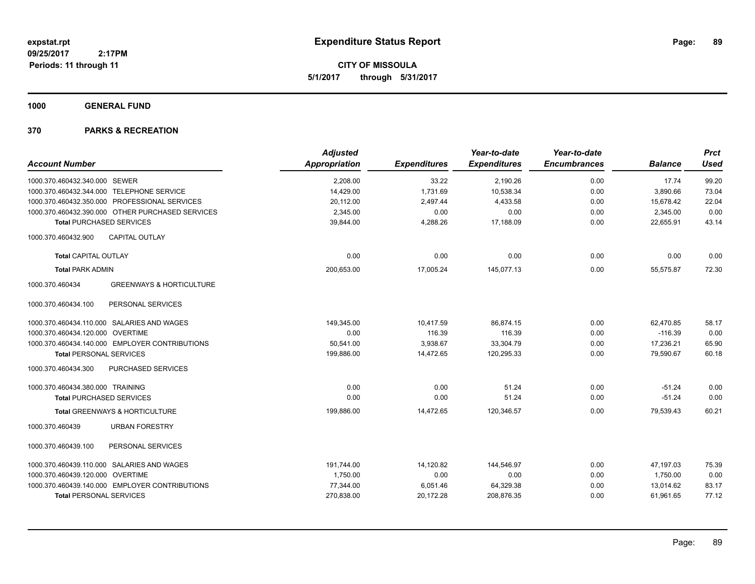**CITY OF MISSOULA 5/1/2017 through 5/31/2017**

**1000 GENERAL FUND**

|                                                        | <b>Adjusted</b>      |                     | Year-to-date        | Year-to-date        |                | <b>Prct</b> |
|--------------------------------------------------------|----------------------|---------------------|---------------------|---------------------|----------------|-------------|
| <b>Account Number</b>                                  | <b>Appropriation</b> | <b>Expenditures</b> | <b>Expenditures</b> | <b>Encumbrances</b> | <b>Balance</b> | <b>Used</b> |
| 1000.370.460432.340.000 SEWER                          | 2,208.00             | 33.22               | 2,190.26            | 0.00                | 17.74          | 99.20       |
| 1000.370.460432.344.000 TELEPHONE SERVICE              | 14,429.00            | 1,731.69            | 10,538.34           | 0.00                | 3,890.66       | 73.04       |
| 1000.370.460432.350.000 PROFESSIONAL SERVICES          | 20,112.00            | 2,497.44            | 4,433.58            | 0.00                | 15,678.42      | 22.04       |
| 1000.370.460432.390.000 OTHER PURCHASED SERVICES       | 2,345.00             | 0.00                | 0.00                | 0.00                | 2,345.00       | 0.00        |
| <b>Total PURCHASED SERVICES</b>                        | 39,844.00            | 4,288.26            | 17,188.09           | 0.00                | 22,655.91      | 43.14       |
| CAPITAL OUTLAY<br>1000.370.460432.900                  |                      |                     |                     |                     |                |             |
| <b>Total CAPITAL OUTLAY</b>                            | 0.00                 | 0.00                | 0.00                | 0.00                | 0.00           | 0.00        |
| <b>Total PARK ADMIN</b>                                | 200,653.00           | 17,005.24           | 145,077.13          | 0.00                | 55,575.87      | 72.30       |
| <b>GREENWAYS &amp; HORTICULTURE</b><br>1000.370.460434 |                      |                     |                     |                     |                |             |
| PERSONAL SERVICES<br>1000.370.460434.100               |                      |                     |                     |                     |                |             |
| 1000.370.460434.110.000 SALARIES AND WAGES             | 149.345.00           | 10,417.59           | 86,874.15           | 0.00                | 62,470.85      | 58.17       |
| 1000.370.460434.120.000 OVERTIME                       | 0.00                 | 116.39              | 116.39              | 0.00                | $-116.39$      | 0.00        |
| 1000.370.460434.140.000 EMPLOYER CONTRIBUTIONS         | 50,541.00            | 3,938.67            | 33,304.79           | 0.00                | 17,236.21      | 65.90       |
| <b>Total PERSONAL SERVICES</b>                         | 199,886.00           | 14,472.65           | 120,295.33          | 0.00                | 79,590.67      | 60.18       |
| 1000.370.460434.300<br>PURCHASED SERVICES              |                      |                     |                     |                     |                |             |
| 1000.370.460434.380.000 TRAINING                       | 0.00                 | 0.00                | 51.24               | 0.00                | $-51.24$       | 0.00        |
| <b>Total PURCHASED SERVICES</b>                        | 0.00                 | 0.00                | 51.24               | 0.00                | $-51.24$       | 0.00        |
| Total GREENWAYS & HORTICULTURE                         | 199,886.00           | 14,472.65           | 120,346.57          | 0.00                | 79,539.43      | 60.21       |
| <b>URBAN FORESTRY</b><br>1000.370.460439               |                      |                     |                     |                     |                |             |
| PERSONAL SERVICES<br>1000.370.460439.100               |                      |                     |                     |                     |                |             |
| 1000.370.460439.110.000 SALARIES AND WAGES             | 191,744.00           | 14,120.82           | 144,546.97          | 0.00                | 47,197.03      | 75.39       |
| 1000.370.460439.120.000 OVERTIME                       | 1,750.00             | 0.00                | 0.00                | 0.00                | 1,750.00       | 0.00        |
| 1000.370.460439.140.000 EMPLOYER CONTRIBUTIONS         | 77,344.00            | 6,051.46            | 64,329.38           | 0.00                | 13,014.62      | 83.17       |
| <b>Total PERSONAL SERVICES</b>                         | 270,838.00           | 20,172.28           | 208,876.35          | 0.00                | 61,961.65      | 77.12       |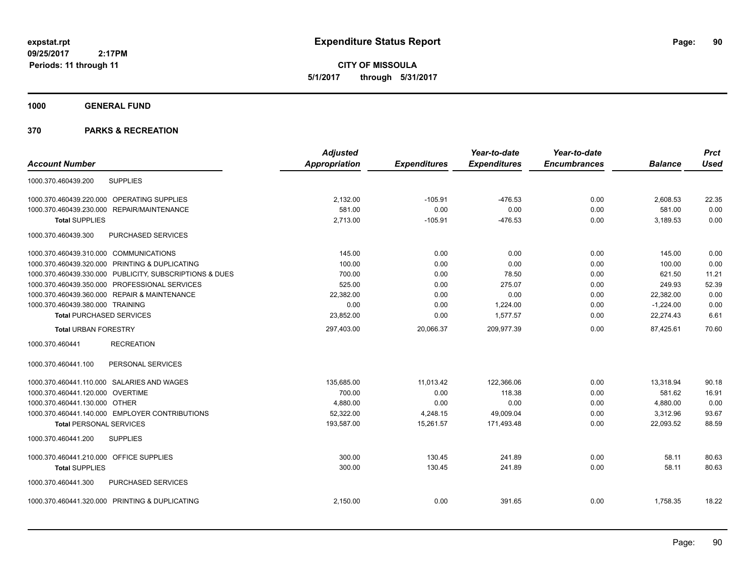**CITY OF MISSOULA 5/1/2017 through 5/31/2017**

**1000 GENERAL FUND**

|                                                |                                                         | <b>Adjusted</b>      |                     | Year-to-date        | Year-to-date        |                | <b>Prct</b> |
|------------------------------------------------|---------------------------------------------------------|----------------------|---------------------|---------------------|---------------------|----------------|-------------|
| <b>Account Number</b>                          |                                                         | <b>Appropriation</b> | <b>Expenditures</b> | <b>Expenditures</b> | <b>Encumbrances</b> | <b>Balance</b> | <b>Used</b> |
| 1000.370.460439.200                            | <b>SUPPLIES</b>                                         |                      |                     |                     |                     |                |             |
| 1000.370.460439.220.000                        | <b>OPERATING SUPPLIES</b>                               | 2,132.00             | $-105.91$           | $-476.53$           | 0.00                | 2,608.53       | 22.35       |
| 1000.370.460439.230.000                        | REPAIR/MAINTENANCE                                      | 581.00               | 0.00                | 0.00                | 0.00                | 581.00         | 0.00        |
| <b>Total SUPPLIES</b>                          |                                                         | 2,713.00             | $-105.91$           | $-476.53$           | 0.00                | 3,189.53       | 0.00        |
| 1000.370.460439.300                            | PURCHASED SERVICES                                      |                      |                     |                     |                     |                |             |
| 1000.370.460439.310.000 COMMUNICATIONS         |                                                         | 145.00               | 0.00                | 0.00                | 0.00                | 145.00         | 0.00        |
| 1000.370.460439.320.000 PRINTING & DUPLICATING |                                                         | 100.00               | 0.00                | 0.00                | 0.00                | 100.00         | 0.00        |
|                                                | 1000.370.460439.330.000 PUBLICITY, SUBSCRIPTIONS & DUES | 700.00               | 0.00                | 78.50               | 0.00                | 621.50         | 11.21       |
|                                                | 1000.370.460439.350.000 PROFESSIONAL SERVICES           | 525.00               | 0.00                | 275.07              | 0.00                | 249.93         | 52.39       |
| 1000.370.460439.360.000 REPAIR & MAINTENANCE   |                                                         | 22,382.00            | 0.00                | 0.00                | 0.00                | 22,382.00      | 0.00        |
| 1000.370.460439.380.000 TRAINING               |                                                         | 0.00                 | 0.00                | 1,224.00            | 0.00                | $-1,224.00$    | 0.00        |
| <b>Total PURCHASED SERVICES</b>                |                                                         | 23,852.00            | 0.00                | 1,577.57            | 0.00                | 22,274.43      | 6.61        |
| <b>Total URBAN FORESTRY</b>                    |                                                         | 297,403.00           | 20,066.37           | 209,977.39          | 0.00                | 87,425.61      | 70.60       |
| 1000.370.460441                                | <b>RECREATION</b>                                       |                      |                     |                     |                     |                |             |
| 1000.370.460441.100                            | PERSONAL SERVICES                                       |                      |                     |                     |                     |                |             |
| 1000.370.460441.110.000 SALARIES AND WAGES     |                                                         | 135,685.00           | 11,013.42           | 122,366.06          | 0.00                | 13,318.94      | 90.18       |
| 1000.370.460441.120.000 OVERTIME               |                                                         | 700.00               | 0.00                | 118.38              | 0.00                | 581.62         | 16.91       |
| 1000.370.460441.130.000 OTHER                  |                                                         | 4,880.00             | 0.00                | 0.00                | 0.00                | 4,880.00       | 0.00        |
|                                                | 1000.370.460441.140.000 EMPLOYER CONTRIBUTIONS          | 52,322.00            | 4,248.15            | 49,009.04           | 0.00                | 3,312.96       | 93.67       |
| <b>Total PERSONAL SERVICES</b>                 |                                                         | 193,587.00           | 15.261.57           | 171,493.48          | 0.00                | 22,093.52      | 88.59       |
| 1000.370.460441.200                            | <b>SUPPLIES</b>                                         |                      |                     |                     |                     |                |             |
| 1000.370.460441.210.000 OFFICE SUPPLIES        |                                                         | 300.00               | 130.45              | 241.89              | 0.00                | 58.11          | 80.63       |
| <b>Total SUPPLIES</b>                          |                                                         | 300.00               | 130.45              | 241.89              | 0.00                | 58.11          | 80.63       |
| 1000.370.460441.300                            | PURCHASED SERVICES                                      |                      |                     |                     |                     |                |             |
| 1000.370.460441.320.000 PRINTING & DUPLICATING |                                                         | 2,150.00             | 0.00                | 391.65              | 0.00                | 1,758.35       | 18.22       |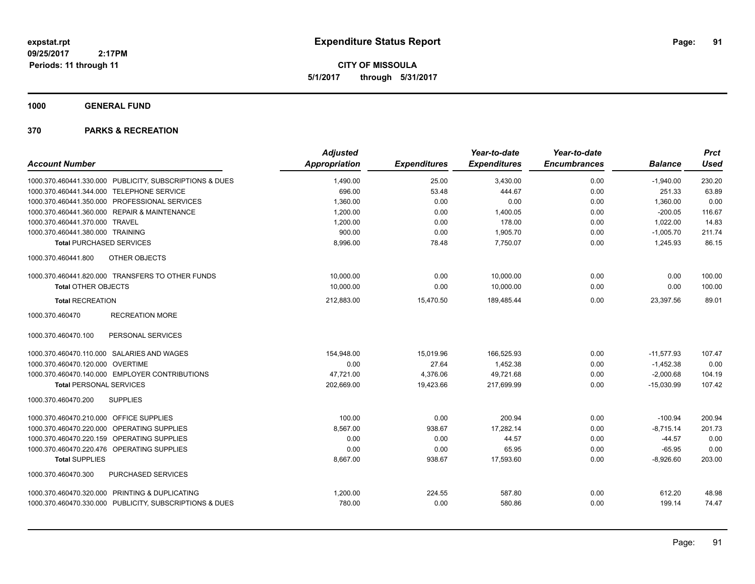**CITY OF MISSOULA 5/1/2017 through 5/31/2017**

**1000 GENERAL FUND**

| <b>Account Number</b>                                   | <b>Adjusted</b><br>Appropriation | <b>Expenditures</b> | Year-to-date<br><b>Expenditures</b> | Year-to-date<br><b>Encumbrances</b> | <b>Balance</b> | <b>Prct</b><br>Used |
|---------------------------------------------------------|----------------------------------|---------------------|-------------------------------------|-------------------------------------|----------------|---------------------|
|                                                         |                                  |                     |                                     |                                     |                |                     |
| 1000.370.460441.330.000 PUBLICITY, SUBSCRIPTIONS & DUES | 1,490.00                         | 25.00               | 3,430.00                            | 0.00                                | $-1,940.00$    | 230.20              |
| 1000.370.460441.344.000 TELEPHONE SERVICE               | 696.00                           | 53.48               | 444.67                              | 0.00                                | 251.33         | 63.89               |
| 1000.370.460441.350.000 PROFESSIONAL SERVICES           | 1,360.00                         | 0.00                | 0.00                                | 0.00                                | 1,360.00       | 0.00                |
| 1000.370.460441.360.000 REPAIR & MAINTENANCE            | 1,200.00                         | 0.00                | 1.400.05                            | 0.00                                | $-200.05$      | 116.67              |
| 1000.370.460441.370.000 TRAVEL                          | 1,200.00                         | 0.00                | 178.00                              | 0.00                                | 1,022.00       | 14.83               |
| 1000.370.460441.380.000 TRAINING                        | 900.00                           | 0.00                | 1,905.70                            | 0.00                                | $-1,005.70$    | 211.74              |
| <b>Total PURCHASED SERVICES</b>                         | 8,996.00                         | 78.48               | 7,750.07                            | 0.00                                | 1,245.93       | 86.15               |
| OTHER OBJECTS<br>1000.370.460441.800                    |                                  |                     |                                     |                                     |                |                     |
| 1000.370.460441.820.000 TRANSFERS TO OTHER FUNDS        | 10.000.00                        | 0.00                | 10,000.00                           | 0.00                                | 0.00           | 100.00              |
| <b>Total OTHER OBJECTS</b>                              | 10.000.00                        | 0.00                | 10.000.00                           | 0.00                                | 0.00           | 100.00              |
| <b>Total RECREATION</b>                                 | 212,883.00                       | 15,470.50           | 189,485.44                          | 0.00                                | 23,397.56      | 89.01               |
| 1000.370.460470<br><b>RECREATION MORE</b>               |                                  |                     |                                     |                                     |                |                     |
| 1000.370.460470.100<br>PERSONAL SERVICES                |                                  |                     |                                     |                                     |                |                     |
| 1000.370.460470.110.000 SALARIES AND WAGES              | 154,948.00                       | 15,019.96           | 166,525.93                          | 0.00                                | $-11,577.93$   | 107.47              |
| 1000.370.460470.120.000 OVERTIME                        | 0.00                             | 27.64               | 1,452.38                            | 0.00                                | $-1,452.38$    | 0.00                |
| 1000.370.460470.140.000 EMPLOYER CONTRIBUTIONS          | 47,721.00                        | 4,376.06            | 49,721.68                           | 0.00                                | $-2,000.68$    | 104.19              |
| <b>Total PERSONAL SERVICES</b>                          | 202,669.00                       | 19,423.66           | 217,699.99                          | 0.00                                | $-15,030.99$   | 107.42              |
| <b>SUPPLIES</b><br>1000.370.460470.200                  |                                  |                     |                                     |                                     |                |                     |
| 1000.370.460470.210.000 OFFICE SUPPLIES                 | 100.00                           | 0.00                | 200.94                              | 0.00                                | $-100.94$      | 200.94              |
| 1000.370.460470.220.000 OPERATING SUPPLIES              | 8.567.00                         | 938.67              | 17.282.14                           | 0.00                                | $-8.715.14$    | 201.73              |
| 1000.370.460470.220.159 OPERATING SUPPLIES              | 0.00                             | 0.00                | 44.57                               | 0.00                                | $-44.57$       | 0.00                |
| 1000.370.460470.220.476 OPERATING SUPPLIES              | 0.00                             | 0.00                | 65.95                               | 0.00                                | $-65.95$       | 0.00                |
| <b>Total SUPPLIES</b>                                   | 8,667.00                         | 938.67              | 17,593.60                           | 0.00                                | $-8,926.60$    | 203.00              |
| 1000.370.460470.300<br>PURCHASED SERVICES               |                                  |                     |                                     |                                     |                |                     |
| 1000.370.460470.320.000 PRINTING & DUPLICATING          | 1,200.00                         | 224.55              | 587.80                              | 0.00                                | 612.20         | 48.98               |
| 1000.370.460470.330.000 PUBLICITY, SUBSCRIPTIONS & DUES | 780.00                           | 0.00                | 580.86                              | 0.00                                | 199.14         | 74.47               |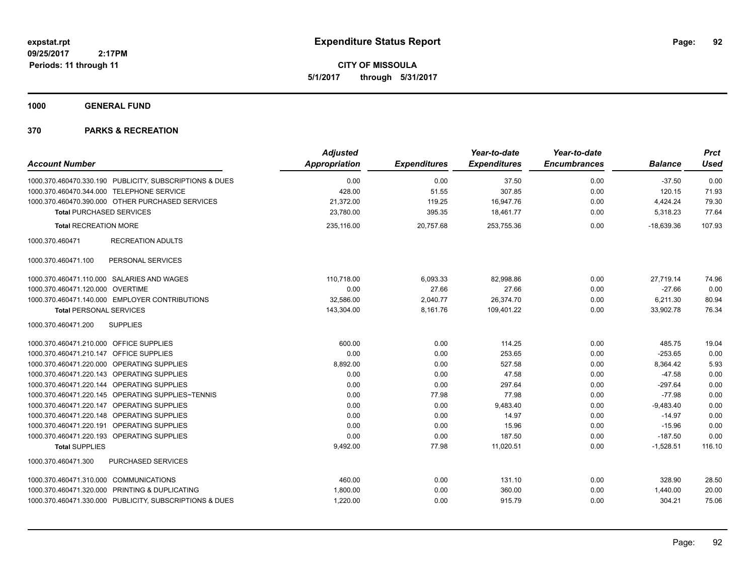**CITY OF MISSOULA 5/1/2017 through 5/31/2017**

**1000 GENERAL FUND**

| <b>Account Number</b>                                   | <b>Adjusted</b><br>Appropriation | <b>Expenditures</b> | Year-to-date<br><b>Expenditures</b> | Year-to-date<br><b>Encumbrances</b> | <b>Balance</b> | <b>Prct</b><br><b>Used</b> |
|---------------------------------------------------------|----------------------------------|---------------------|-------------------------------------|-------------------------------------|----------------|----------------------------|
| 1000.370.460470.330.190 PUBLICITY, SUBSCRIPTIONS & DUES | 0.00                             | 0.00                | 37.50                               | 0.00                                | $-37.50$       | 0.00                       |
| 1000.370.460470.344.000 TELEPHONE SERVICE               | 428.00                           | 51.55               | 307.85                              | 0.00                                | 120.15         | 71.93                      |
| 1000.370.460470.390.000 OTHER PURCHASED SERVICES        | 21,372.00                        | 119.25              | 16,947.76                           | 0.00                                | 4,424.24       | 79.30                      |
| <b>Total PURCHASED SERVICES</b>                         | 23,780.00                        | 395.35              | 18,461.77                           | 0.00                                | 5,318.23       | 77.64                      |
| <b>Total RECREATION MORE</b>                            | 235,116.00                       | 20,757.68           | 253,755.36                          | 0.00                                | $-18,639.36$   | 107.93                     |
| 1000.370.460471<br><b>RECREATION ADULTS</b>             |                                  |                     |                                     |                                     |                |                            |
| PERSONAL SERVICES<br>1000.370.460471.100                |                                  |                     |                                     |                                     |                |                            |
| 1000.370.460471.110.000 SALARIES AND WAGES              | 110,718.00                       | 6,093.33            | 82,998.86                           | 0.00                                | 27,719.14      | 74.96                      |
| 1000.370.460471.120.000 OVERTIME                        | 0.00                             | 27.66               | 27.66                               | 0.00                                | $-27.66$       | 0.00                       |
| 1000.370.460471.140.000 EMPLOYER CONTRIBUTIONS          | 32,586.00                        | 2,040.77            | 26,374.70                           | 0.00                                | 6,211.30       | 80.94                      |
| <b>Total PERSONAL SERVICES</b>                          | 143,304.00                       | 8,161.76            | 109.401.22                          | 0.00                                | 33,902.78      | 76.34                      |
| 1000.370.460471.200<br><b>SUPPLIES</b>                  |                                  |                     |                                     |                                     |                |                            |
| 1000.370.460471.210.000 OFFICE SUPPLIES                 | 600.00                           | 0.00                | 114.25                              | 0.00                                | 485.75         | 19.04                      |
| 1000.370.460471.210.147 OFFICE SUPPLIES                 | 0.00                             | 0.00                | 253.65                              | 0.00                                | $-253.65$      | 0.00                       |
| 1000.370.460471.220.000 OPERATING SUPPLIES              | 8,892.00                         | 0.00                | 527.58                              | 0.00                                | 8,364.42       | 5.93                       |
| 1000.370.460471.220.143 OPERATING SUPPLIES              | 0.00                             | 0.00                | 47.58                               | 0.00                                | $-47.58$       | 0.00                       |
| 1000.370.460471.220.144 OPERATING SUPPLIES              | 0.00                             | 0.00                | 297.64                              | 0.00                                | $-297.64$      | 0.00                       |
| 1000.370.460471.220.145 OPERATING SUPPLIES~TENNIS       | 0.00                             | 77.98               | 77.98                               | 0.00                                | $-77.98$       | 0.00                       |
| 1000.370.460471.220.147 OPERATING SUPPLIES              | 0.00                             | 0.00                | 9,483.40                            | 0.00                                | $-9.483.40$    | 0.00                       |
| 1000.370.460471.220.148 OPERATING SUPPLIES              | 0.00                             | 0.00                | 14.97                               | 0.00                                | $-14.97$       | 0.00                       |
| 1000.370.460471.220.191 OPERATING SUPPLIES              | 0.00                             | 0.00                | 15.96                               | 0.00                                | $-15.96$       | 0.00                       |
| 1000.370.460471.220.193 OPERATING SUPPLIES              | 0.00                             | 0.00                | 187.50                              | 0.00                                | $-187.50$      | 0.00                       |
| <b>Total SUPPLIES</b>                                   | 9,492.00                         | 77.98               | 11,020.51                           | 0.00                                | $-1,528.51$    | 116.10                     |
| 1000.370.460471.300<br>PURCHASED SERVICES               |                                  |                     |                                     |                                     |                |                            |
| 1000.370.460471.310.000 COMMUNICATIONS                  | 460.00                           | 0.00                | 131.10                              | 0.00                                | 328.90         | 28.50                      |
| 1000.370.460471.320.000 PRINTING & DUPLICATING          | 1,800.00                         | 0.00                | 360.00                              | 0.00                                | 1,440.00       | 20.00                      |
| 1000.370.460471.330.000 PUBLICITY, SUBSCRIPTIONS & DUES | 1,220.00                         | 0.00                | 915.79                              | 0.00                                | 304.21         | 75.06                      |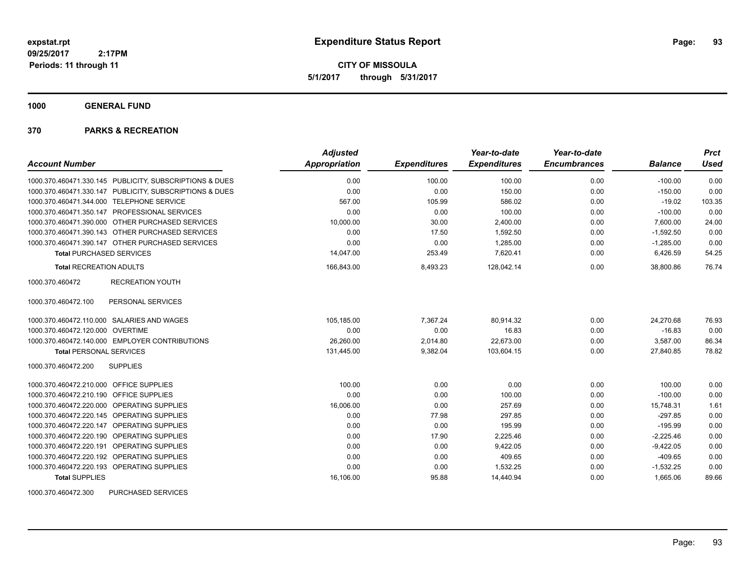**CITY OF MISSOULA 5/1/2017 through 5/31/2017**

**1000 GENERAL FUND**

#### **370 PARKS & RECREATION**

|                                                         | <b>Adjusted</b>      |                     | Year-to-date        | Year-to-date        |                | <b>Prct</b> |
|---------------------------------------------------------|----------------------|---------------------|---------------------|---------------------|----------------|-------------|
| <b>Account Number</b>                                   | <b>Appropriation</b> | <b>Expenditures</b> | <b>Expenditures</b> | <b>Encumbrances</b> | <b>Balance</b> | <b>Used</b> |
| 1000.370.460471.330.145 PUBLICITY, SUBSCRIPTIONS & DUES | 0.00                 | 100.00              | 100.00              | 0.00                | $-100.00$      | 0.00        |
| 1000.370.460471.330.147 PUBLICITY, SUBSCRIPTIONS & DUES | 0.00                 | 0.00                | 150.00              | 0.00                | $-150.00$      | 0.00        |
| 1000.370.460471.344.000 TELEPHONE SERVICE               | 567.00               | 105.99              | 586.02              | 0.00                | $-19.02$       | 103.35      |
| 1000.370.460471.350.147 PROFESSIONAL SERVICES           | 0.00                 | 0.00                | 100.00              | 0.00                | $-100.00$      | 0.00        |
| 1000.370.460471.390.000 OTHER PURCHASED SERVICES        | 10,000.00            | 30.00               | 2,400.00            | 0.00                | 7,600.00       | 24.00       |
| 1000.370.460471.390.143 OTHER PURCHASED SERVICES        | 0.00                 | 17.50               | 1,592.50            | 0.00                | $-1,592.50$    | 0.00        |
| 1000.370.460471.390.147 OTHER PURCHASED SERVICES        | 0.00                 | 0.00                | 1.285.00            | 0.00                | $-1,285.00$    | 0.00        |
| <b>Total PURCHASED SERVICES</b>                         | 14,047.00            | 253.49              | 7,620.41            | 0.00                | 6,426.59       | 54.25       |
| <b>Total RECREATION ADULTS</b>                          | 166,843.00           | 8,493.23            | 128,042.14          | 0.00                | 38,800.86      | 76.74       |
| 1000.370.460472<br><b>RECREATION YOUTH</b>              |                      |                     |                     |                     |                |             |
| 1000.370.460472.100<br>PERSONAL SERVICES                |                      |                     |                     |                     |                |             |
| 1000.370.460472.110.000 SALARIES AND WAGES              | 105,185.00           | 7,367.24            | 80,914.32           | 0.00                | 24,270.68      | 76.93       |
| 1000.370.460472.120.000 OVERTIME                        | 0.00                 | 0.00                | 16.83               | 0.00                | $-16.83$       | 0.00        |
| 1000.370.460472.140.000 EMPLOYER CONTRIBUTIONS          | 26.260.00            | 2,014.80            | 22.673.00           | 0.00                | 3,587.00       | 86.34       |
| <b>Total PERSONAL SERVICES</b>                          | 131,445.00           | 9,382.04            | 103,604.15          | 0.00                | 27,840.85      | 78.82       |
| 1000.370.460472.200<br><b>SUPPLIES</b>                  |                      |                     |                     |                     |                |             |
| 1000.370.460472.210.000 OFFICE SUPPLIES                 | 100.00               | 0.00                | 0.00                | 0.00                | 100.00         | 0.00        |
| 1000.370.460472.210.190 OFFICE SUPPLIES                 | 0.00                 | 0.00                | 100.00              | 0.00                | $-100.00$      | 0.00        |
| OPERATING SUPPLIES<br>1000.370.460472.220.000           | 16,006.00            | 0.00                | 257.69              | 0.00                | 15,748.31      | 1.61        |
| 1000.370.460472.220.145<br>OPERATING SUPPLIES           | 0.00                 | 77.98               | 297.85              | 0.00                | $-297.85$      | 0.00        |
| 1000.370.460472.220.147<br>OPERATING SUPPLIES           | 0.00                 | 0.00                | 195.99              | 0.00                | $-195.99$      | 0.00        |
| 1000.370.460472.220.190 OPERATING SUPPLIES              | 0.00                 | 17.90               | 2,225.46            | 0.00                | $-2,225.46$    | 0.00        |
| 1000.370.460472.220.191 OPERATING SUPPLIES              | 0.00                 | 0.00                | 9,422.05            | 0.00                | $-9,422.05$    | 0.00        |
| 1000.370.460472.220.192 OPERATING SUPPLIES              | 0.00                 | 0.00                | 409.65              | 0.00                | $-409.65$      | 0.00        |
| 1000.370.460472.220.193 OPERATING SUPPLIES              | 0.00                 | 0.00                | 1,532.25            | 0.00                | $-1,532.25$    | 0.00        |
| <b>Total SUPPLIES</b>                                   | 16,106.00            | 95.88               | 14.440.94           | 0.00                | 1,665.06       | 89.66       |

1000.370.460472.300 PURCHASED SERVICES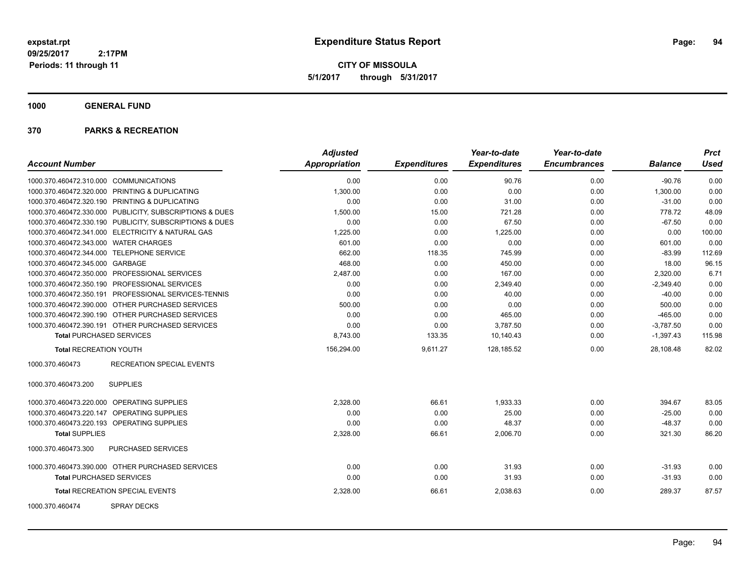**CITY OF MISSOULA 5/1/2017 through 5/31/2017**

# **1000 GENERAL FUND**

|                                                         | <b>Adjusted</b>      |                     | Year-to-date        | Year-to-date        |                | <b>Prct</b> |
|---------------------------------------------------------|----------------------|---------------------|---------------------|---------------------|----------------|-------------|
| <b>Account Number</b>                                   | <b>Appropriation</b> | <b>Expenditures</b> | <b>Expenditures</b> | <b>Encumbrances</b> | <b>Balance</b> | <b>Used</b> |
| 1000.370.460472.310.000 COMMUNICATIONS                  | 0.00                 | 0.00                | 90.76               | 0.00                | $-90.76$       | 0.00        |
| 1000.370.460472.320.000 PRINTING & DUPLICATING          | 1,300.00             | 0.00                | 0.00                | 0.00                | 1,300.00       | 0.00        |
| 1000.370.460472.320.190 PRINTING & DUPLICATING          | 0.00                 | 0.00                | 31.00               | 0.00                | $-31.00$       | 0.00        |
| 1000.370.460472.330.000 PUBLICITY, SUBSCRIPTIONS & DUES | 1,500.00             | 15.00               | 721.28              | 0.00                | 778.72         | 48.09       |
| 1000.370.460472.330.190 PUBLICITY, SUBSCRIPTIONS & DUES | 0.00                 | 0.00                | 67.50               | 0.00                | $-67.50$       | 0.00        |
| 1000.370.460472.341.000 ELECTRICITY & NATURAL GAS       | 1,225.00             | 0.00                | 1,225.00            | 0.00                | 0.00           | 100.00      |
| 1000.370.460472.343.000 WATER CHARGES                   | 601.00               | 0.00                | 0.00                | 0.00                | 601.00         | 0.00        |
| 1000.370.460472.344.000 TELEPHONE SERVICE               | 662.00               | 118.35              | 745.99              | 0.00                | $-83.99$       | 112.69      |
| 1000.370.460472.345.000 GARBAGE                         | 468.00               | 0.00                | 450.00              | 0.00                | 18.00          | 96.15       |
| 1000.370.460472.350.000 PROFESSIONAL SERVICES           | 2,487.00             | 0.00                | 167.00              | 0.00                | 2,320.00       | 6.71        |
| 1000.370.460472.350.190 PROFESSIONAL SERVICES           | 0.00                 | 0.00                | 2,349.40            | 0.00                | $-2,349.40$    | 0.00        |
| 1000.370.460472.350.191 PROFESSIONAL SERVICES-TENNIS    | 0.00                 | 0.00                | 40.00               | 0.00                | $-40.00$       | 0.00        |
| 1000.370.460472.390.000 OTHER PURCHASED SERVICES        | 500.00               | 0.00                | 0.00                | 0.00                | 500.00         | 0.00        |
| 1000.370.460472.390.190 OTHER PURCHASED SERVICES        | 0.00                 | 0.00                | 465.00              | 0.00                | $-465.00$      | 0.00        |
| 1000.370.460472.390.191 OTHER PURCHASED SERVICES        | 0.00                 | 0.00                | 3,787.50            | 0.00                | $-3,787.50$    | 0.00        |
| <b>Total PURCHASED SERVICES</b>                         | 8,743.00             | 133.35              | 10,140.43           | 0.00                | $-1,397.43$    | 115.98      |
| <b>Total RECREATION YOUTH</b>                           | 156,294.00           | 9,611.27            | 128,185.52          | 0.00                | 28,108.48      | 82.02       |
| <b>RECREATION SPECIAL EVENTS</b><br>1000.370.460473     |                      |                     |                     |                     |                |             |
| <b>SUPPLIES</b><br>1000.370.460473.200                  |                      |                     |                     |                     |                |             |
| 1000.370.460473.220.000 OPERATING SUPPLIES              | 2.328.00             | 66.61               | 1,933.33            | 0.00                | 394.67         | 83.05       |
| 1000.370.460473.220.147 OPERATING SUPPLIES              | 0.00                 | 0.00                | 25.00               | 0.00                | $-25.00$       | 0.00        |
| 1000.370.460473.220.193 OPERATING SUPPLIES              | 0.00                 | 0.00                | 48.37               | 0.00                | $-48.37$       | 0.00        |
| <b>Total SUPPLIES</b>                                   | 2,328.00             | 66.61               | 2,006.70            | 0.00                | 321.30         | 86.20       |
| 1000.370.460473.300<br>PURCHASED SERVICES               |                      |                     |                     |                     |                |             |
| 1000.370.460473.390.000 OTHER PURCHASED SERVICES        | 0.00                 | 0.00                | 31.93               | 0.00                | $-31.93$       | 0.00        |
| <b>Total PURCHASED SERVICES</b>                         | 0.00                 | 0.00                | 31.93               | 0.00                | $-31.93$       | 0.00        |
| Total RECREATION SPECIAL EVENTS                         | 2,328.00             | 66.61               | 2,038.63            | 0.00                | 289.37         | 87.57       |
| <b>SPRAY DECKS</b><br>1000.370.460474                   |                      |                     |                     |                     |                |             |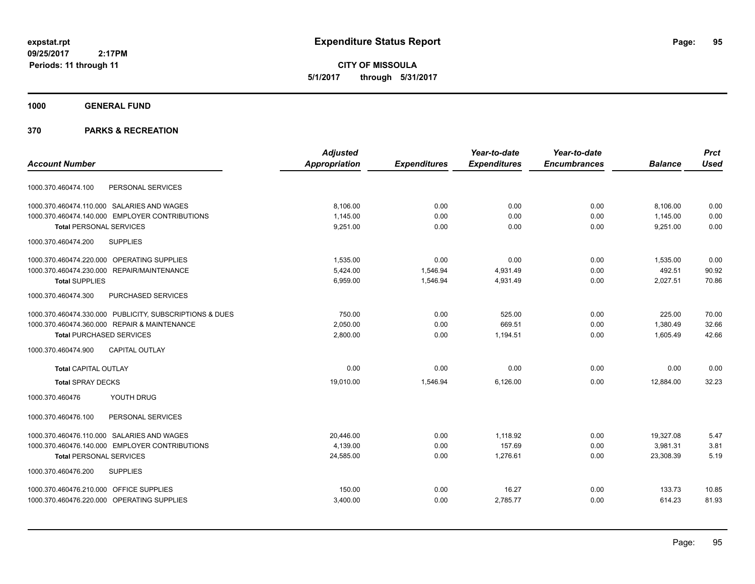**CITY OF MISSOULA 5/1/2017 through 5/31/2017**

**1000 GENERAL FUND**

|                                                         | <b>Adjusted</b>      |                     | Year-to-date        | Year-to-date        |                | <b>Prct</b> |
|---------------------------------------------------------|----------------------|---------------------|---------------------|---------------------|----------------|-------------|
| <b>Account Number</b>                                   | <b>Appropriation</b> | <b>Expenditures</b> | <b>Expenditures</b> | <b>Encumbrances</b> | <b>Balance</b> | <b>Used</b> |
| PERSONAL SERVICES<br>1000.370.460474.100                |                      |                     |                     |                     |                |             |
| 1000.370.460474.110.000 SALARIES AND WAGES              | 8,106.00             | 0.00                | 0.00                | 0.00                | 8,106.00       | 0.00        |
| 1000.370.460474.140.000 EMPLOYER CONTRIBUTIONS          | 1,145.00             | 0.00                | 0.00                | 0.00                | 1,145.00       | 0.00        |
| <b>Total PERSONAL SERVICES</b>                          | 9,251.00             | 0.00                | 0.00                | 0.00                | 9,251.00       | 0.00        |
| 1000.370.460474.200<br><b>SUPPLIES</b>                  |                      |                     |                     |                     |                |             |
| 1000.370.460474.220.000 OPERATING SUPPLIES              | 1,535.00             | 0.00                | 0.00                | 0.00                | 1,535.00       | 0.00        |
| 1000.370.460474.230.000 REPAIR/MAINTENANCE              | 5,424.00             | 1,546.94            | 4,931.49            | 0.00                | 492.51         | 90.92       |
| <b>Total SUPPLIES</b>                                   | 6,959.00             | 1,546.94            | 4,931.49            | 0.00                | 2,027.51       | 70.86       |
| 1000.370.460474.300<br><b>PURCHASED SERVICES</b>        |                      |                     |                     |                     |                |             |
| 1000.370.460474.330.000 PUBLICITY, SUBSCRIPTIONS & DUES | 750.00               | 0.00                | 525.00              | 0.00                | 225.00         | 70.00       |
| 1000.370.460474.360.000 REPAIR & MAINTENANCE            | 2.050.00             | 0.00                | 669.51              | 0.00                | 1.380.49       | 32.66       |
| <b>Total PURCHASED SERVICES</b>                         | 2,800.00             | 0.00                | 1,194.51            | 0.00                | 1,605.49       | 42.66       |
| <b>CAPITAL OUTLAY</b><br>1000.370.460474.900            |                      |                     |                     |                     |                |             |
| <b>Total CAPITAL OUTLAY</b>                             | 0.00                 | 0.00                | 0.00                | 0.00                | 0.00           | 0.00        |
| <b>Total SPRAY DECKS</b>                                | 19,010.00            | 1,546.94            | 6,126.00            | 0.00                | 12,884.00      | 32.23       |
| YOUTH DRUG<br>1000.370.460476                           |                      |                     |                     |                     |                |             |
| 1000.370.460476.100<br>PERSONAL SERVICES                |                      |                     |                     |                     |                |             |
| 1000.370.460476.110.000 SALARIES AND WAGES              | 20,446.00            | 0.00                | 1.118.92            | 0.00                | 19,327.08      | 5.47        |
| 1000.370.460476.140.000 EMPLOYER CONTRIBUTIONS          | 4,139.00             | 0.00                | 157.69              | 0.00                | 3,981.31       | 3.81        |
| <b>Total PERSONAL SERVICES</b>                          | 24,585.00            | 0.00                | 1,276.61            | 0.00                | 23,308.39      | 5.19        |
| 1000.370.460476.200<br><b>SUPPLIES</b>                  |                      |                     |                     |                     |                |             |
| 1000.370.460476.210.000 OFFICE SUPPLIES                 | 150.00               | 0.00                | 16.27               | 0.00                | 133.73         | 10.85       |
| 1000.370.460476.220.000 OPERATING SUPPLIES              | 3,400.00             | 0.00                | 2,785.77            | 0.00                | 614.23         | 81.93       |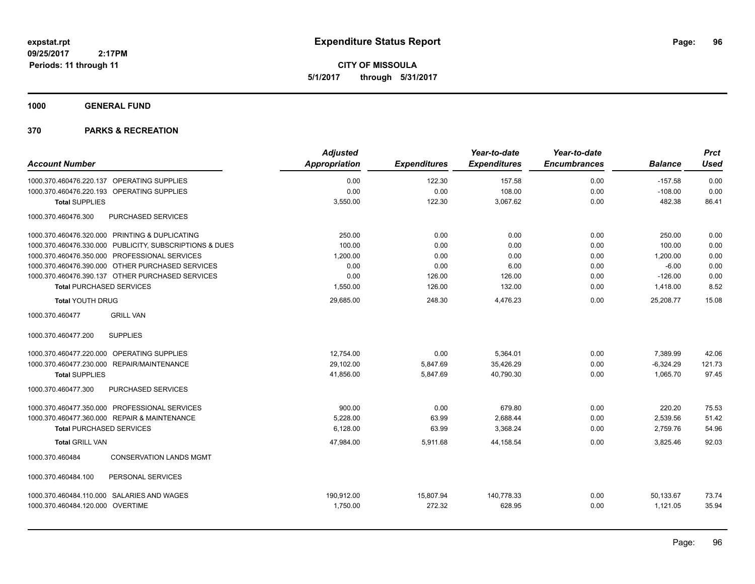**CITY OF MISSOULA 5/1/2017 through 5/31/2017**

**1000 GENERAL FUND**

| <b>Account Number</b>            |                                                         | <b>Adjusted</b><br><b>Appropriation</b> | <b>Expenditures</b> | Year-to-date<br><b>Expenditures</b> | Year-to-date<br><b>Encumbrances</b> | <b>Balance</b> | <b>Prct</b><br><b>Used</b> |
|----------------------------------|---------------------------------------------------------|-----------------------------------------|---------------------|-------------------------------------|-------------------------------------|----------------|----------------------------|
| 1000.370.460476.220.137          | <b>OPERATING SUPPLIES</b>                               | 0.00                                    | 122.30              | 157.58                              | 0.00                                | $-157.58$      | 0.00                       |
| 1000.370.460476.220.193          | OPERATING SUPPLIES                                      | 0.00                                    | 0.00                | 108.00                              | 0.00                                | $-108.00$      | 0.00                       |
| <b>Total SUPPLIES</b>            |                                                         | 3,550.00                                | 122.30              | 3,067.62                            | 0.00                                | 482.38         | 86.41                      |
| 1000.370.460476.300              | PURCHASED SERVICES                                      |                                         |                     |                                     |                                     |                |                            |
|                                  | 1000.370.460476.320.000 PRINTING & DUPLICATING          | 250.00                                  | 0.00                | 0.00                                | 0.00                                | 250.00         | 0.00                       |
|                                  | 1000.370.460476.330.000 PUBLICITY, SUBSCRIPTIONS & DUES | 100.00                                  | 0.00                | 0.00                                | 0.00                                | 100.00         | 0.00                       |
|                                  | 1000.370.460476.350.000 PROFESSIONAL SERVICES           | 1,200.00                                | 0.00                | 0.00                                | 0.00                                | 1,200.00       | 0.00                       |
|                                  | 1000.370.460476.390.000 OTHER PURCHASED SERVICES        | 0.00                                    | 0.00                | 6.00                                | 0.00                                | $-6.00$        | 0.00                       |
|                                  | 1000.370.460476.390.137 OTHER PURCHASED SERVICES        | 0.00                                    | 126.00              | 126.00                              | 0.00                                | $-126.00$      | 0.00                       |
| <b>Total PURCHASED SERVICES</b>  |                                                         | 1,550.00                                | 126.00              | 132.00                              | 0.00                                | 1,418.00       | 8.52                       |
| <b>Total YOUTH DRUG</b>          |                                                         | 29,685.00                               | 248.30              | 4,476.23                            | 0.00                                | 25,208.77      | 15.08                      |
| 1000.370.460477                  | <b>GRILL VAN</b>                                        |                                         |                     |                                     |                                     |                |                            |
| 1000.370.460477.200              | <b>SUPPLIES</b>                                         |                                         |                     |                                     |                                     |                |                            |
|                                  | 1000.370.460477.220.000 OPERATING SUPPLIES              | 12,754.00                               | 0.00                | 5,364.01                            | 0.00                                | 7,389.99       | 42.06                      |
| 1000.370.460477.230.000          | REPAIR/MAINTENANCE                                      | 29,102.00                               | 5,847.69            | 35,426.29                           | 0.00                                | $-6,324.29$    | 121.73                     |
| <b>Total SUPPLIES</b>            |                                                         | 41,856.00                               | 5,847.69            | 40.790.30                           | 0.00                                | 1,065.70       | 97.45                      |
| 1000.370.460477.300              | PURCHASED SERVICES                                      |                                         |                     |                                     |                                     |                |                            |
|                                  | 1000.370.460477.350.000 PROFESSIONAL SERVICES           | 900.00                                  | 0.00                | 679.80                              | 0.00                                | 220.20         | 75.53                      |
|                                  | 1000.370.460477.360.000 REPAIR & MAINTENANCE            | 5,228.00                                | 63.99               | 2,688.44                            | 0.00                                | 2,539.56       | 51.42                      |
| <b>Total PURCHASED SERVICES</b>  |                                                         | 6,128.00                                | 63.99               | 3,368.24                            | 0.00                                | 2,759.76       | 54.96                      |
| <b>Total GRILL VAN</b>           |                                                         | 47,984.00                               | 5,911.68            | 44,158.54                           | 0.00                                | 3,825.46       | 92.03                      |
| 1000.370.460484                  | <b>CONSERVATION LANDS MGMT</b>                          |                                         |                     |                                     |                                     |                |                            |
| 1000.370.460484.100              | PERSONAL SERVICES                                       |                                         |                     |                                     |                                     |                |                            |
|                                  | 1000.370.460484.110.000 SALARIES AND WAGES              | 190.912.00                              | 15,807.94           | 140,778.33                          | 0.00                                | 50,133.67      | 73.74                      |
| 1000.370.460484.120.000 OVERTIME |                                                         | 1,750.00                                | 272.32              | 628.95                              | 0.00                                | 1,121.05       | 35.94                      |
|                                  |                                                         |                                         |                     |                                     |                                     |                |                            |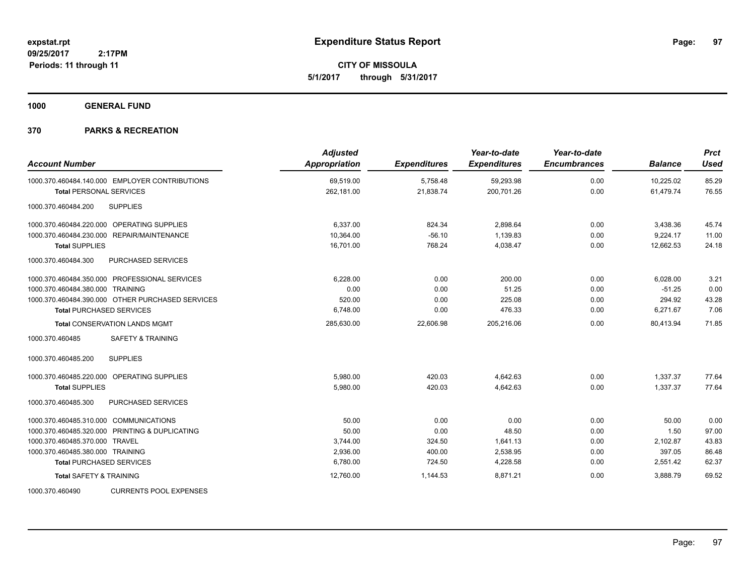**CITY OF MISSOULA 5/1/2017 through 5/31/2017**

**1000 GENERAL FUND**

| <b>Account Number</b>                            | <b>Adjusted</b><br><b>Appropriation</b> | <b>Expenditures</b> | Year-to-date<br><b>Expenditures</b> | Year-to-date<br><b>Encumbrances</b> | <b>Balance</b> | <b>Prct</b><br><b>Used</b> |
|--------------------------------------------------|-----------------------------------------|---------------------|-------------------------------------|-------------------------------------|----------------|----------------------------|
| 1000.370.460484.140.000 EMPLOYER CONTRIBUTIONS   | 69,519.00                               | 5,758.48            | 59,293.98                           | 0.00                                | 10,225.02      | 85.29                      |
| <b>Total PERSONAL SERVICES</b>                   | 262,181.00                              | 21,838.74           | 200,701.26                          | 0.00                                | 61,479.74      | 76.55                      |
| <b>SUPPLIES</b><br>1000.370.460484.200           |                                         |                     |                                     |                                     |                |                            |
| 1000.370.460484.220.000 OPERATING SUPPLIES       | 6,337.00                                | 824.34              | 2,898.64                            | 0.00                                | 3,438.36       | 45.74                      |
| 1000.370.460484.230.000 REPAIR/MAINTENANCE       | 10,364.00                               | $-56.10$            | 1,139.83                            | 0.00                                | 9,224.17       | 11.00                      |
| <b>Total SUPPLIES</b>                            | 16,701.00                               | 768.24              | 4,038.47                            | 0.00                                | 12,662.53      | 24.18                      |
| <b>PURCHASED SERVICES</b><br>1000.370.460484.300 |                                         |                     |                                     |                                     |                |                            |
| 1000.370.460484.350.000 PROFESSIONAL SERVICES    | 6,228.00                                | 0.00                | 200.00                              | 0.00                                | 6,028.00       | 3.21                       |
| 1000.370.460484.380.000 TRAINING                 | 0.00                                    | 0.00                | 51.25                               | 0.00                                | $-51.25$       | 0.00                       |
| 1000.370.460484.390.000 OTHER PURCHASED SERVICES | 520.00                                  | 0.00                | 225.08                              | 0.00                                | 294.92         | 43.28                      |
| <b>Total PURCHASED SERVICES</b>                  | 6,748.00                                | 0.00                | 476.33                              | 0.00                                | 6,271.67       | 7.06                       |
| <b>Total CONSERVATION LANDS MGMT</b>             | 285,630.00                              | 22,606.98           | 205,216.06                          | 0.00                                | 80,413.94      | 71.85                      |
| <b>SAFETY &amp; TRAINING</b><br>1000.370.460485  |                                         |                     |                                     |                                     |                |                            |
| <b>SUPPLIES</b><br>1000.370.460485.200           |                                         |                     |                                     |                                     |                |                            |
| 1000.370.460485.220.000 OPERATING SUPPLIES       | 5.980.00                                | 420.03              | 4.642.63                            | 0.00                                | 1.337.37       | 77.64                      |
| <b>Total SUPPLIES</b>                            | 5,980.00                                | 420.03              | 4,642.63                            | 0.00                                | 1,337.37       | 77.64                      |
| 1000.370.460485.300<br><b>PURCHASED SERVICES</b> |                                         |                     |                                     |                                     |                |                            |
| 1000.370.460485.310.000 COMMUNICATIONS           | 50.00                                   | 0.00                | 0.00                                | 0.00                                | 50.00          | 0.00                       |
| 1000.370.460485.320.000 PRINTING & DUPLICATING   | 50.00                                   | 0.00                | 48.50                               | 0.00                                | 1.50           | 97.00                      |
| 1000.370.460485.370.000 TRAVEL                   | 3,744.00                                | 324.50              | 1,641.13                            | 0.00                                | 2,102.87       | 43.83                      |
| 1000.370.460485.380.000 TRAINING                 | 2,936.00                                | 400.00              | 2,538.95                            | 0.00                                | 397.05         | 86.48                      |
| <b>Total PURCHASED SERVICES</b>                  | 6,780.00                                | 724.50              | 4,228.58                            | 0.00                                | 2,551.42       | 62.37                      |
| <b>Total SAFETY &amp; TRAINING</b>               | 12,760.00                               | 1.144.53            | 8.871.21                            | 0.00                                | 3,888.79       | 69.52                      |
| <b>CURRENTS POOL EXPENSES</b><br>1000.370.460490 |                                         |                     |                                     |                                     |                |                            |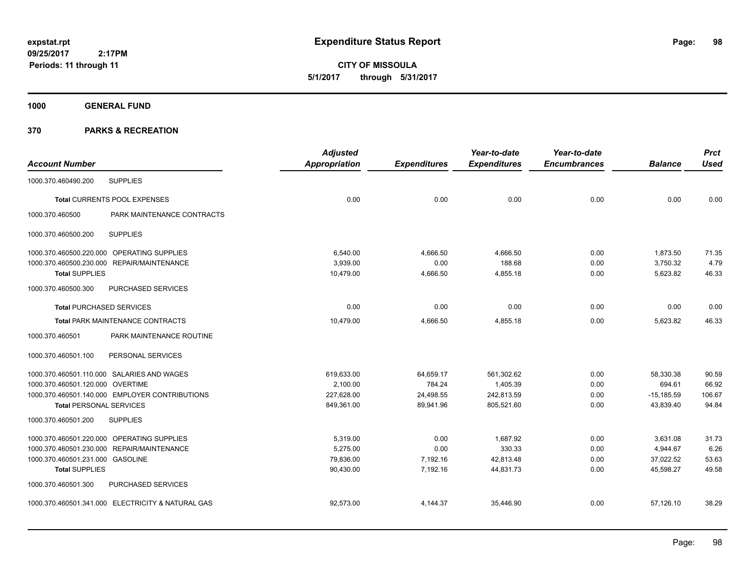**CITY OF MISSOULA 5/1/2017 through 5/31/2017**

**1000 GENERAL FUND**

|                                  |                                                   | <b>Adjusted</b>      |                     | Year-to-date        | Year-to-date        |                | <b>Prct</b> |
|----------------------------------|---------------------------------------------------|----------------------|---------------------|---------------------|---------------------|----------------|-------------|
| <b>Account Number</b>            |                                                   | <b>Appropriation</b> | <b>Expenditures</b> | <b>Expenditures</b> | <b>Encumbrances</b> | <b>Balance</b> | <b>Used</b> |
| 1000.370.460490.200              | <b>SUPPLIES</b>                                   |                      |                     |                     |                     |                |             |
|                                  | Total CURRENTS POOL EXPENSES                      | 0.00                 | 0.00                | 0.00                | 0.00                | 0.00           | 0.00        |
| 1000.370.460500                  | PARK MAINTENANCE CONTRACTS                        |                      |                     |                     |                     |                |             |
| 1000.370.460500.200              | <b>SUPPLIES</b>                                   |                      |                     |                     |                     |                |             |
|                                  | 1000.370.460500.220.000 OPERATING SUPPLIES        | 6,540.00             | 4,666.50            | 4,666.50            | 0.00                | 1,873.50       | 71.35       |
|                                  | 1000.370.460500.230.000 REPAIR/MAINTENANCE        | 3,939.00             | 0.00                | 188.68              | 0.00                | 3,750.32       | 4.79        |
| <b>Total SUPPLIES</b>            |                                                   | 10.479.00            | 4,666.50            | 4,855.18            | 0.00                | 5,623.82       | 46.33       |
| 1000.370.460500.300              | <b>PURCHASED SERVICES</b>                         |                      |                     |                     |                     |                |             |
| <b>Total PURCHASED SERVICES</b>  |                                                   | 0.00                 | 0.00                | 0.00                | 0.00                | 0.00           | 0.00        |
|                                  | Total PARK MAINTENANCE CONTRACTS                  | 10,479.00            | 4,666.50            | 4,855.18            | 0.00                | 5,623.82       | 46.33       |
| 1000.370.460501                  | PARK MAINTENANCE ROUTINE                          |                      |                     |                     |                     |                |             |
| 1000.370.460501.100              | PERSONAL SERVICES                                 |                      |                     |                     |                     |                |             |
|                                  | 1000.370.460501.110.000 SALARIES AND WAGES        | 619,633.00           | 64,659.17           | 561,302.62          | 0.00                | 58,330.38      | 90.59       |
| 1000.370.460501.120.000 OVERTIME |                                                   | 2,100.00             | 784.24              | 1,405.39            | 0.00                | 694.61         | 66.92       |
|                                  | 1000.370.460501.140.000 EMPLOYER CONTRIBUTIONS    | 227,628.00           | 24,498.55           | 242,813.59          | 0.00                | $-15,185.59$   | 106.67      |
| <b>Total PERSONAL SERVICES</b>   |                                                   | 849,361.00           | 89,941.96           | 805,521.60          | 0.00                | 43,839.40      | 94.84       |
| 1000.370.460501.200              | <b>SUPPLIES</b>                                   |                      |                     |                     |                     |                |             |
|                                  | 1000.370.460501.220.000 OPERATING SUPPLIES        | 5,319.00             | 0.00                | 1,687.92            | 0.00                | 3,631.08       | 31.73       |
|                                  | 1000.370.460501.230.000 REPAIR/MAINTENANCE        | 5,275.00             | 0.00                | 330.33              | 0.00                | 4,944.67       | 6.26        |
| 1000.370.460501.231.000 GASOLINE |                                                   | 79,836.00            | 7,192.16            | 42,813.48           | 0.00                | 37,022.52      | 53.63       |
| <b>Total SUPPLIES</b>            |                                                   | 90,430.00            | 7,192.16            | 44,831.73           | 0.00                | 45.598.27      | 49.58       |
| 1000.370.460501.300              | PURCHASED SERVICES                                |                      |                     |                     |                     |                |             |
|                                  | 1000.370.460501.341.000 ELECTRICITY & NATURAL GAS | 92,573.00            | 4,144.37            | 35,446.90           | 0.00                | 57,126.10      | 38.29       |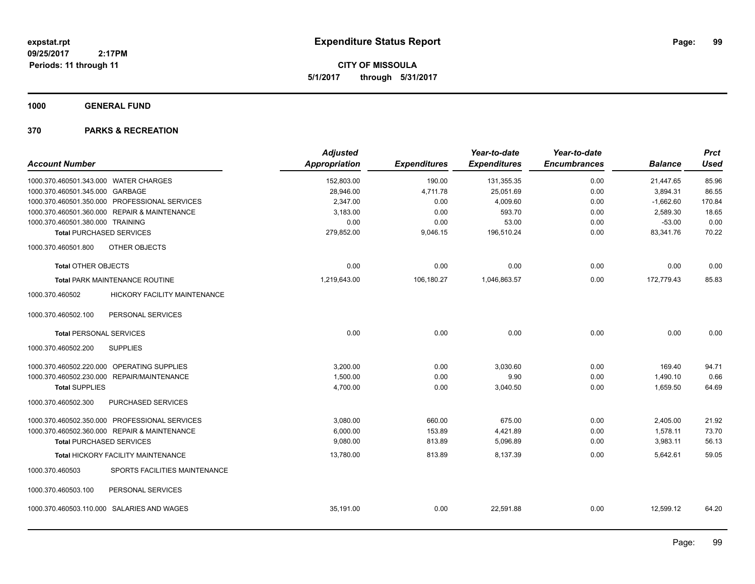**CITY OF MISSOULA 5/1/2017 through 5/31/2017**

**1000 GENERAL FUND**

| <b>Account Number</b>                            | <b>Adjusted</b><br>Appropriation | <b>Expenditures</b> | Year-to-date<br><b>Expenditures</b> | Year-to-date<br><b>Encumbrances</b> | <b>Balance</b> | <b>Prct</b><br><b>Used</b> |
|--------------------------------------------------|----------------------------------|---------------------|-------------------------------------|-------------------------------------|----------------|----------------------------|
| 1000.370.460501.343.000 WATER CHARGES            | 152,803.00                       | 190.00              | 131,355.35                          | 0.00                                | 21,447.65      | 85.96                      |
| 1000.370.460501.345.000 GARBAGE                  | 28,946.00                        | 4,711.78            | 25,051.69                           | 0.00                                | 3,894.31       | 86.55                      |
| 1000.370.460501.350.000 PROFESSIONAL SERVICES    | 2,347.00                         | 0.00                | 4,009.60                            | 0.00                                | $-1,662.60$    | 170.84                     |
| 1000.370.460501.360.000 REPAIR & MAINTENANCE     | 3,183.00                         | 0.00                | 593.70                              | 0.00                                | 2,589.30       | 18.65                      |
| 1000.370.460501.380.000 TRAINING                 | 0.00                             | 0.00                | 53.00                               | 0.00                                | $-53.00$       | 0.00                       |
| <b>Total PURCHASED SERVICES</b>                  | 279,852.00                       | 9,046.15            | 196,510.24                          | 0.00                                | 83,341.76      | 70.22                      |
| OTHER OBJECTS<br>1000.370.460501.800             |                                  |                     |                                     |                                     |                |                            |
| <b>Total OTHER OBJECTS</b>                       | 0.00                             | 0.00                | 0.00                                | 0.00                                | 0.00           | 0.00                       |
| Total PARK MAINTENANCE ROUTINE                   | 1,219,643.00                     | 106,180.27          | 1,046,863.57                        | 0.00                                | 172,779.43     | 85.83                      |
| HICKORY FACILITY MAINTENANCE<br>1000.370.460502  |                                  |                     |                                     |                                     |                |                            |
| PERSONAL SERVICES<br>1000.370.460502.100         |                                  |                     |                                     |                                     |                |                            |
| <b>Total PERSONAL SERVICES</b>                   | 0.00                             | 0.00                | 0.00                                | 0.00                                | 0.00           | 0.00                       |
| 1000.370.460502.200<br><b>SUPPLIES</b>           |                                  |                     |                                     |                                     |                |                            |
| 1000.370.460502.220.000 OPERATING SUPPLIES       | 3,200.00                         | 0.00                | 3,030.60                            | 0.00                                | 169.40         | 94.71                      |
| 1000.370.460502.230.000 REPAIR/MAINTENANCE       | 1,500.00                         | 0.00                | 9.90                                | 0.00                                | 1,490.10       | 0.66                       |
| <b>Total SUPPLIES</b>                            | 4,700.00                         | 0.00                | 3,040.50                            | 0.00                                | 1,659.50       | 64.69                      |
| 1000.370.460502.300<br>PURCHASED SERVICES        |                                  |                     |                                     |                                     |                |                            |
| 1000.370.460502.350.000 PROFESSIONAL SERVICES    | 3,080.00                         | 660.00              | 675.00                              | 0.00                                | 2,405.00       | 21.92                      |
| 1000.370.460502.360.000 REPAIR & MAINTENANCE     | 6,000.00                         | 153.89              | 4,421.89                            | 0.00                                | 1,578.11       | 73.70                      |
| <b>Total PURCHASED SERVICES</b>                  | 9,080.00                         | 813.89              | 5,096.89                            | 0.00                                | 3,983.11       | 56.13                      |
| Total HICKORY FACILITY MAINTENANCE               | 13,780.00                        | 813.89              | 8,137.39                            | 0.00                                | 5,642.61       | 59.05                      |
| 1000.370.460503<br>SPORTS FACILITIES MAINTENANCE |                                  |                     |                                     |                                     |                |                            |
| 1000.370.460503.100<br>PERSONAL SERVICES         |                                  |                     |                                     |                                     |                |                            |
| 1000.370.460503.110.000 SALARIES AND WAGES       | 35,191.00                        | 0.00                | 22,591.88                           | 0.00                                | 12,599.12      | 64.20                      |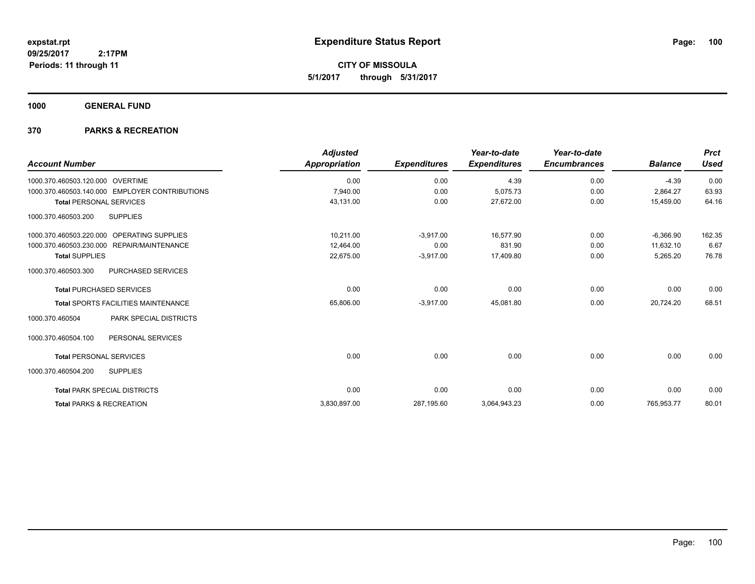**CITY OF MISSOULA 5/1/2017 through 5/31/2017**

**1000 GENERAL FUND**

| <b>Account Number</b>               |                                                | <b>Adjusted</b><br><b>Appropriation</b> | <b>Expenditures</b> | Year-to-date<br><b>Expenditures</b> | Year-to-date<br><b>Encumbrances</b> | <b>Balance</b> | <b>Prct</b><br><b>Used</b> |
|-------------------------------------|------------------------------------------------|-----------------------------------------|---------------------|-------------------------------------|-------------------------------------|----------------|----------------------------|
| 1000.370.460503.120.000 OVERTIME    |                                                | 0.00                                    | 0.00                | 4.39                                | 0.00                                | $-4.39$        | 0.00                       |
|                                     | 1000.370.460503.140.000 EMPLOYER CONTRIBUTIONS | 7,940.00                                | 0.00                | 5,075.73                            | 0.00                                | 2,864.27       | 63.93                      |
| <b>Total PERSONAL SERVICES</b>      |                                                | 43,131.00                               | 0.00                | 27,672.00                           | 0.00                                | 15,459.00      | 64.16                      |
| 1000.370.460503.200                 | <b>SUPPLIES</b>                                |                                         |                     |                                     |                                     |                |                            |
|                                     | 1000.370.460503.220.000 OPERATING SUPPLIES     | 10.211.00                               | $-3,917.00$         | 16.577.90                           | 0.00                                | $-6,366.90$    | 162.35                     |
| 1000.370.460503.230.000             | REPAIR/MAINTENANCE                             | 12,464.00                               | 0.00                | 831.90                              | 0.00                                | 11,632.10      | 6.67                       |
| <b>Total SUPPLIES</b>               |                                                | 22,675.00                               | $-3,917.00$         | 17,409.80                           | 0.00                                | 5,265.20       | 76.78                      |
| 1000.370.460503.300                 | <b>PURCHASED SERVICES</b>                      |                                         |                     |                                     |                                     |                |                            |
| <b>Total PURCHASED SERVICES</b>     |                                                | 0.00                                    | 0.00                | 0.00                                | 0.00                                | 0.00           | 0.00                       |
|                                     | <b>Total SPORTS FACILITIES MAINTENANCE</b>     | 65,806.00                               | $-3,917.00$         | 45,081.80                           | 0.00                                | 20,724.20      | 68.51                      |
| 1000.370.460504                     | PARK SPECIAL DISTRICTS                         |                                         |                     |                                     |                                     |                |                            |
| 1000.370.460504.100                 | PERSONAL SERVICES                              |                                         |                     |                                     |                                     |                |                            |
| <b>Total PERSONAL SERVICES</b>      |                                                | 0.00                                    | 0.00                | 0.00                                | 0.00                                | 0.00           | 0.00                       |
| 1000.370.460504.200                 | <b>SUPPLIES</b>                                |                                         |                     |                                     |                                     |                |                            |
|                                     | <b>Total PARK SPECIAL DISTRICTS</b>            | 0.00                                    | 0.00                | 0.00                                | 0.00                                | 0.00           | 0.00                       |
| <b>Total PARKS &amp; RECREATION</b> |                                                | 3,830,897.00                            | 287,195.60          | 3,064,943.23                        | 0.00                                | 765,953.77     | 80.01                      |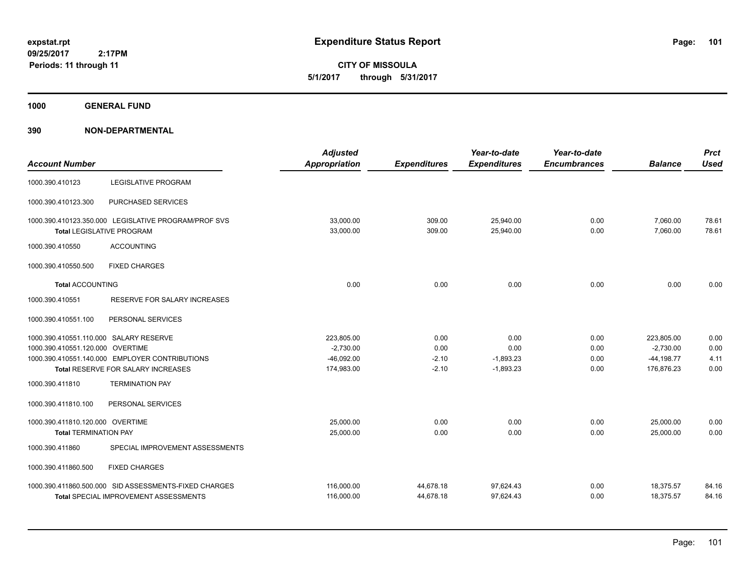**CITY OF MISSOULA 5/1/2017 through 5/31/2017**

**1000 GENERAL FUND**

| <b>Account Number</b>                  |                                                                                                | <b>Adjusted</b><br><b>Appropriation</b> | <b>Expenditures</b>    | Year-to-date<br><b>Expenditures</b> | Year-to-date<br><b>Encumbrances</b> | <b>Balance</b>         | <b>Prct</b><br><b>Used</b> |
|----------------------------------------|------------------------------------------------------------------------------------------------|-----------------------------------------|------------------------|-------------------------------------|-------------------------------------|------------------------|----------------------------|
| 1000.390.410123                        | <b>LEGISLATIVE PROGRAM</b>                                                                     |                                         |                        |                                     |                                     |                        |                            |
| 1000.390.410123.300                    | PURCHASED SERVICES                                                                             |                                         |                        |                                     |                                     |                        |                            |
|                                        | 1000.390.410123.350.000 LEGISLATIVE PROGRAM/PROF SVS<br><b>Total LEGISLATIVE PROGRAM</b>       | 33,000.00<br>33,000.00                  | 309.00<br>309.00       | 25,940.00<br>25,940.00              | 0.00<br>0.00                        | 7,060.00<br>7,060.00   | 78.61<br>78.61             |
| 1000.390.410550                        | <b>ACCOUNTING</b>                                                                              |                                         |                        |                                     |                                     |                        |                            |
| 1000.390.410550.500                    | <b>FIXED CHARGES</b>                                                                           |                                         |                        |                                     |                                     |                        |                            |
| <b>Total ACCOUNTING</b>                |                                                                                                | 0.00                                    | 0.00                   | 0.00                                | 0.00                                | 0.00                   | 0.00                       |
| 1000.390.410551                        | RESERVE FOR SALARY INCREASES                                                                   |                                         |                        |                                     |                                     |                        |                            |
| 1000.390.410551.100                    | PERSONAL SERVICES                                                                              |                                         |                        |                                     |                                     |                        |                            |
| 1000.390.410551.110.000 SALARY RESERVE |                                                                                                | 223,805.00                              | 0.00                   | 0.00                                | 0.00                                | 223,805.00             | 0.00                       |
| 1000.390.410551.120.000 OVERTIME       |                                                                                                | $-2,730.00$                             | 0.00                   | 0.00                                | 0.00                                | $-2,730.00$            | 0.00                       |
|                                        | 1000.390.410551.140.000 EMPLOYER CONTRIBUTIONS                                                 | $-46,092.00$                            | $-2.10$                | $-1,893.23$                         | 0.00                                | $-44, 198.77$          | 4.11                       |
|                                        | Total RESERVE FOR SALARY INCREASES                                                             | 174,983.00                              | $-2.10$                | $-1,893.23$                         | 0.00                                | 176,876.23             | 0.00                       |
| 1000.390.411810                        | <b>TERMINATION PAY</b>                                                                         |                                         |                        |                                     |                                     |                        |                            |
| 1000.390.411810.100                    | PERSONAL SERVICES                                                                              |                                         |                        |                                     |                                     |                        |                            |
| 1000.390.411810.120.000 OVERTIME       |                                                                                                | 25,000.00                               | 0.00                   | 0.00                                | 0.00                                | 25,000.00              | 0.00                       |
| <b>Total TERMINATION PAY</b>           |                                                                                                | 25,000.00                               | 0.00                   | 0.00                                | 0.00                                | 25,000.00              | 0.00                       |
| 1000.390.411860                        | SPECIAL IMPROVEMENT ASSESSMENTS                                                                |                                         |                        |                                     |                                     |                        |                            |
| 1000.390.411860.500                    | <b>FIXED CHARGES</b>                                                                           |                                         |                        |                                     |                                     |                        |                            |
|                                        | 1000.390.411860.500.000 SID ASSESSMENTS-FIXED CHARGES<br>Total SPECIAL IMPROVEMENT ASSESSMENTS | 116,000.00<br>116,000.00                | 44,678.18<br>44,678.18 | 97,624.43<br>97,624.43              | 0.00<br>0.00                        | 18,375.57<br>18,375.57 | 84.16<br>84.16             |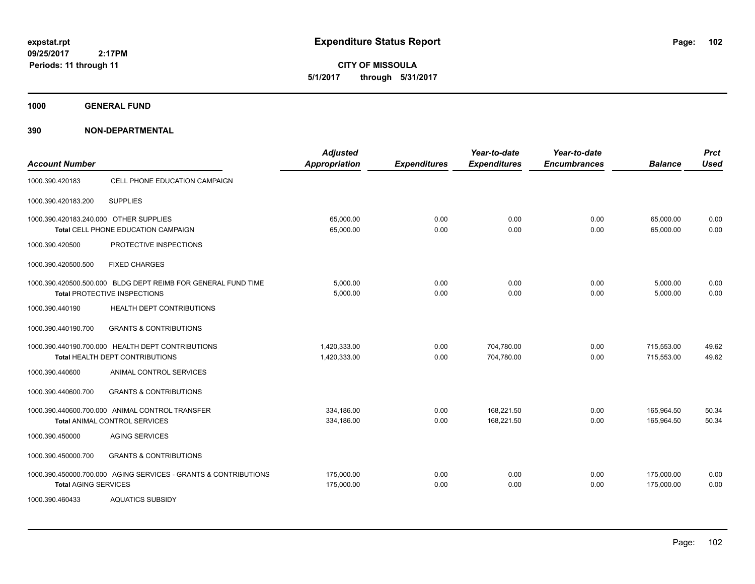**CITY OF MISSOULA 5/1/2017 through 5/31/2017**

**1000 GENERAL FUND**

| <b>Account Number</b>                  |                                                                                               | <b>Adjusted</b><br><b>Appropriation</b> | <b>Expenditures</b> | Year-to-date<br><b>Expenditures</b> | Year-to-date<br><b>Encumbrances</b> | <b>Balance</b>           | <b>Prct</b><br><b>Used</b> |
|----------------------------------------|-----------------------------------------------------------------------------------------------|-----------------------------------------|---------------------|-------------------------------------|-------------------------------------|--------------------------|----------------------------|
| 1000.390.420183                        | CELL PHONE EDUCATION CAMPAIGN                                                                 |                                         |                     |                                     |                                     |                          |                            |
| 1000.390.420183.200                    | <b>SUPPLIES</b>                                                                               |                                         |                     |                                     |                                     |                          |                            |
| 1000.390.420183.240.000 OTHER SUPPLIES | Total CELL PHONE EDUCATION CAMPAIGN                                                           | 65,000.00<br>65,000.00                  | 0.00<br>0.00        | 0.00<br>0.00                        | 0.00<br>0.00                        | 65,000.00<br>65,000.00   | 0.00<br>0.00               |
| 1000.390.420500                        | PROTECTIVE INSPECTIONS                                                                        |                                         |                     |                                     |                                     |                          |                            |
| 1000.390.420500.500                    | <b>FIXED CHARGES</b>                                                                          |                                         |                     |                                     |                                     |                          |                            |
|                                        | 1000.390.420500.500.000 BLDG DEPT REIMB FOR GENERAL FUND TIME<br>Total PROTECTIVE INSPECTIONS | 5,000.00<br>5,000.00                    | 0.00<br>0.00        | 0.00<br>0.00                        | 0.00<br>0.00                        | 5,000.00<br>5,000.00     | 0.00<br>0.00               |
| 1000.390.440190                        | <b>HEALTH DEPT CONTRIBUTIONS</b>                                                              |                                         |                     |                                     |                                     |                          |                            |
| 1000.390.440190.700                    | <b>GRANTS &amp; CONTRIBUTIONS</b>                                                             |                                         |                     |                                     |                                     |                          |                            |
|                                        | 1000.390.440190.700.000 HEALTH DEPT CONTRIBUTIONS<br>Total HEALTH DEPT CONTRIBUTIONS          | 1.420.333.00<br>1,420,333.00            | 0.00<br>0.00        | 704.780.00<br>704,780.00            | 0.00<br>0.00                        | 715,553.00<br>715,553.00 | 49.62<br>49.62             |
| 1000.390.440600                        | ANIMAL CONTROL SERVICES                                                                       |                                         |                     |                                     |                                     |                          |                            |
| 1000.390.440600.700                    | <b>GRANTS &amp; CONTRIBUTIONS</b>                                                             |                                         |                     |                                     |                                     |                          |                            |
|                                        | 1000.390.440600.700.000 ANIMAL CONTROL TRANSFER<br><b>Total ANIMAL CONTROL SERVICES</b>       | 334,186.00<br>334,186.00                | 0.00<br>0.00        | 168,221.50<br>168,221.50            | 0.00<br>0.00                        | 165,964.50<br>165,964.50 | 50.34<br>50.34             |
| 1000.390.450000                        | <b>AGING SERVICES</b>                                                                         |                                         |                     |                                     |                                     |                          |                            |
| 1000.390.450000.700                    | <b>GRANTS &amp; CONTRIBUTIONS</b>                                                             |                                         |                     |                                     |                                     |                          |                            |
| <b>Total AGING SERVICES</b>            | 1000.390.450000.700.000 AGING SERVICES - GRANTS & CONTRIBUTIONS                               | 175,000.00<br>175,000.00                | 0.00<br>0.00        | 0.00<br>0.00                        | 0.00<br>0.00                        | 175,000.00<br>175,000.00 | 0.00<br>0.00               |
| 1000.390.460433                        | <b>AQUATICS SUBSIDY</b>                                                                       |                                         |                     |                                     |                                     |                          |                            |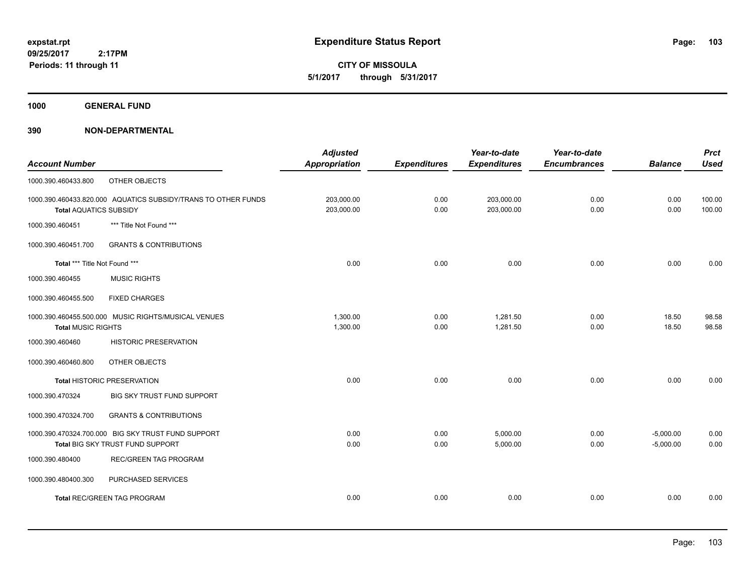**CITY OF MISSOULA 5/1/2017 through 5/31/2017**

**1000 GENERAL FUND**

| <b>Balance</b><br><b>Used</b><br>0.00<br>100.00<br>0.00<br>100.00 |
|-------------------------------------------------------------------|
|                                                                   |
|                                                                   |
|                                                                   |
|                                                                   |
|                                                                   |
|                                                                   |
| 0.00<br>0.00                                                      |
|                                                                   |
|                                                                   |
| 18.50<br>98.58                                                    |
| 18.50<br>98.58                                                    |
|                                                                   |
|                                                                   |
| 0.00<br>0.00                                                      |
|                                                                   |
|                                                                   |
| 0.00<br>$-5,000.00$                                               |
| 0.00<br>$-5,000.00$                                               |
|                                                                   |
|                                                                   |
| 0.00<br>0.00                                                      |
|                                                                   |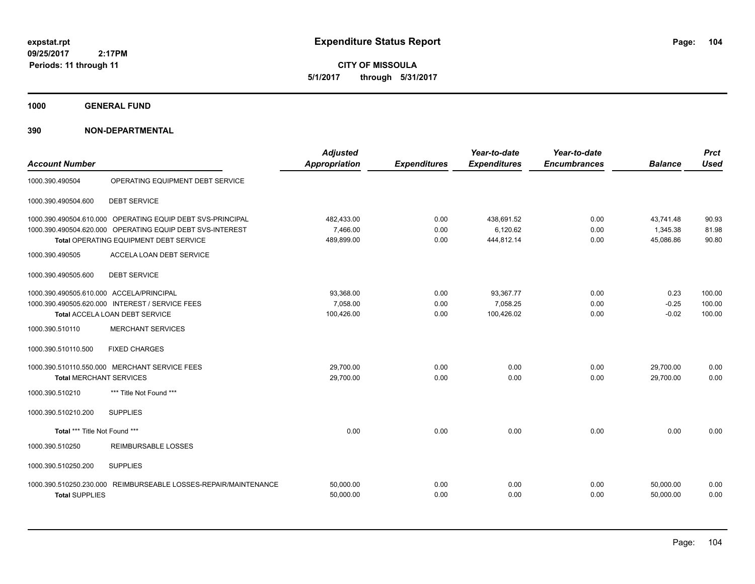**CITY OF MISSOULA 5/1/2017 through 5/31/2017**

**1000 GENERAL FUND**

| <b>Account Number</b>                    |                                                                                                                                                                   | <b>Adjusted</b><br><b>Appropriation</b> | <b>Expenditures</b>  | Year-to-date<br><b>Expenditures</b>  | Year-to-date<br><b>Encumbrances</b> | <b>Balance</b>                     | <b>Prct</b><br><b>Used</b> |
|------------------------------------------|-------------------------------------------------------------------------------------------------------------------------------------------------------------------|-----------------------------------------|----------------------|--------------------------------------|-------------------------------------|------------------------------------|----------------------------|
| 1000.390.490504                          | OPERATING EQUIPMENT DEBT SERVICE                                                                                                                                  |                                         |                      |                                      |                                     |                                    |                            |
| 1000.390.490504.600                      | <b>DEBT SERVICE</b>                                                                                                                                               |                                         |                      |                                      |                                     |                                    |                            |
|                                          | 1000.390.490504.610.000 OPERATING EQUIP DEBT SVS-PRINCIPAL<br>1000.390.490504.620.000 OPERATING EQUIP DEBT SVS-INTEREST<br>Total OPERATING EQUIPMENT DEBT SERVICE | 482,433.00<br>7.466.00<br>489,899.00    | 0.00<br>0.00<br>0.00 | 438,691.52<br>6,120.62<br>444,812.14 | 0.00<br>0.00<br>0.00                | 43,741.48<br>1,345.38<br>45,086.86 | 90.93<br>81.98<br>90.80    |
| 1000.390.490505<br>1000.390.490505.600   | ACCELA LOAN DEBT SERVICE<br><b>DEBT SERVICE</b>                                                                                                                   |                                         |                      |                                      |                                     |                                    |                            |
| 1000.390.490505.610.000 ACCELA/PRINCIPAL | 1000.390.490505.620.000 INTEREST / SERVICE FEES<br>Total ACCELA LOAN DEBT SERVICE                                                                                 | 93,368.00<br>7,058.00<br>100,426.00     | 0.00<br>0.00<br>0.00 | 93,367.77<br>7,058.25<br>100,426.02  | 0.00<br>0.00<br>0.00                | 0.23<br>$-0.25$<br>$-0.02$         | 100.00<br>100.00<br>100.00 |
| 1000.390.510110                          | <b>MERCHANT SERVICES</b>                                                                                                                                          |                                         |                      |                                      |                                     |                                    |                            |
| 1000.390.510110.500                      | <b>FIXED CHARGES</b>                                                                                                                                              |                                         |                      |                                      |                                     |                                    |                            |
| <b>Total MERCHANT SERVICES</b>           | 1000.390.510110.550.000 MERCHANT SERVICE FEES                                                                                                                     | 29,700.00<br>29,700.00                  | 0.00<br>0.00         | 0.00<br>0.00                         | 0.00<br>0.00                        | 29,700.00<br>29.700.00             | 0.00<br>0.00               |
| 1000.390.510210                          | *** Title Not Found ***                                                                                                                                           |                                         |                      |                                      |                                     |                                    |                            |
| 1000.390.510210.200                      | <b>SUPPLIES</b>                                                                                                                                                   |                                         |                      |                                      |                                     |                                    |                            |
| Total *** Title Not Found ***            |                                                                                                                                                                   | 0.00                                    | 0.00                 | 0.00                                 | 0.00                                | 0.00                               | 0.00                       |
| 1000.390.510250                          | <b>REIMBURSABLE LOSSES</b>                                                                                                                                        |                                         |                      |                                      |                                     |                                    |                            |
| 1000.390.510250.200                      | <b>SUPPLIES</b>                                                                                                                                                   |                                         |                      |                                      |                                     |                                    |                            |
| <b>Total SUPPLIES</b>                    | 1000.390.510250.230.000 REIMBURSEABLE LOSSES-REPAIR/MAINTENANCE                                                                                                   | 50,000.00<br>50,000.00                  | 0.00<br>0.00         | 0.00<br>0.00                         | 0.00<br>0.00                        | 50,000.00<br>50,000.00             | 0.00<br>0.00               |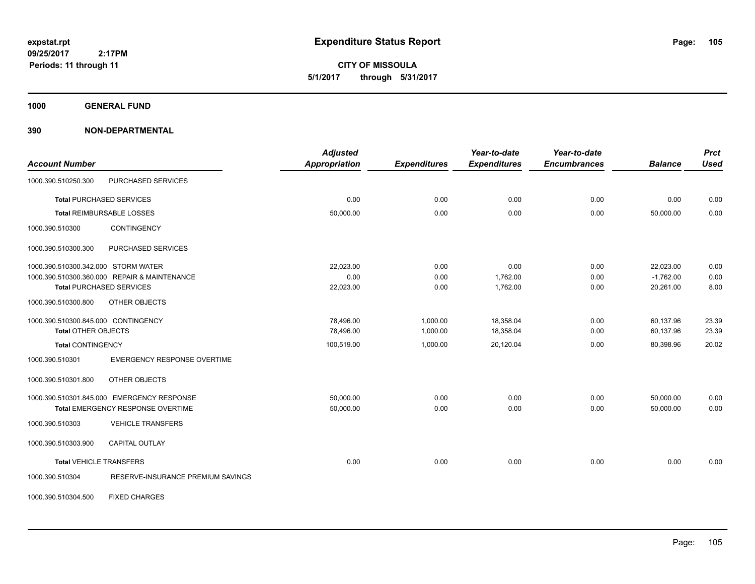**CITY OF MISSOULA 5/1/2017 through 5/31/2017**

**1000 GENERAL FUND**

| <b>Account Number</b>               |                                              | <b>Adjusted</b><br><b>Appropriation</b> | <b>Expenditures</b> | Year-to-date<br><b>Expenditures</b> | Year-to-date<br><b>Encumbrances</b> | <b>Balance</b> | <b>Prct</b><br><b>Used</b> |
|-------------------------------------|----------------------------------------------|-----------------------------------------|---------------------|-------------------------------------|-------------------------------------|----------------|----------------------------|
| 1000.390.510250.300                 | PURCHASED SERVICES                           |                                         |                     |                                     |                                     |                |                            |
|                                     | <b>Total PURCHASED SERVICES</b>              | 0.00                                    | 0.00                | 0.00                                | 0.00                                | 0.00           | 0.00                       |
|                                     | <b>Total REIMBURSABLE LOSSES</b>             | 50,000.00                               | 0.00                | 0.00                                | 0.00                                | 50,000.00      | 0.00                       |
| 1000.390.510300                     | CONTINGENCY                                  |                                         |                     |                                     |                                     |                |                            |
| 1000.390.510300.300                 | PURCHASED SERVICES                           |                                         |                     |                                     |                                     |                |                            |
| 1000.390.510300.342.000 STORM WATER |                                              | 22,023.00                               | 0.00                | 0.00                                | 0.00                                | 22,023.00      | 0.00                       |
|                                     | 1000.390.510300.360.000 REPAIR & MAINTENANCE | 0.00                                    | 0.00                | 1,762.00                            | 0.00                                | $-1,762.00$    | 0.00                       |
|                                     | <b>Total PURCHASED SERVICES</b>              | 22,023.00                               | 0.00                | 1,762.00                            | 0.00                                | 20,261.00      | 8.00                       |
| 1000.390.510300.800                 | OTHER OBJECTS                                |                                         |                     |                                     |                                     |                |                            |
| 1000.390.510300.845.000 CONTINGENCY |                                              | 78,496.00                               | 1,000.00            | 18,358.04                           | 0.00                                | 60,137.96      | 23.39                      |
| <b>Total OTHER OBJECTS</b>          |                                              | 78,496.00                               | 1,000.00            | 18,358.04                           | 0.00                                | 60,137.96      | 23.39                      |
| <b>Total CONTINGENCY</b>            |                                              | 100,519.00                              | 1,000.00            | 20,120.04                           | 0.00                                | 80,398.96      | 20.02                      |
| 1000.390.510301                     | <b>EMERGENCY RESPONSE OVERTIME</b>           |                                         |                     |                                     |                                     |                |                            |
| 1000.390.510301.800                 | OTHER OBJECTS                                |                                         |                     |                                     |                                     |                |                            |
|                                     | 1000.390.510301.845.000 EMERGENCY RESPONSE   | 50,000.00                               | 0.00                | 0.00                                | 0.00                                | 50,000.00      | 0.00                       |
|                                     | Total EMERGENCY RESPONSE OVERTIME            | 50,000.00                               | 0.00                | 0.00                                | 0.00                                | 50,000.00      | 0.00                       |
| 1000.390.510303                     | <b>VEHICLE TRANSFERS</b>                     |                                         |                     |                                     |                                     |                |                            |
| 1000.390.510303.900                 | <b>CAPITAL OUTLAY</b>                        |                                         |                     |                                     |                                     |                |                            |
| <b>Total VEHICLE TRANSFERS</b>      |                                              | 0.00                                    | 0.00                | 0.00                                | 0.00                                | 0.00           | 0.00                       |
| 1000.390.510304                     | RESERVE-INSURANCE PREMIUM SAVINGS            |                                         |                     |                                     |                                     |                |                            |
| 1000.390.510304.500                 | <b>FIXED CHARGES</b>                         |                                         |                     |                                     |                                     |                |                            |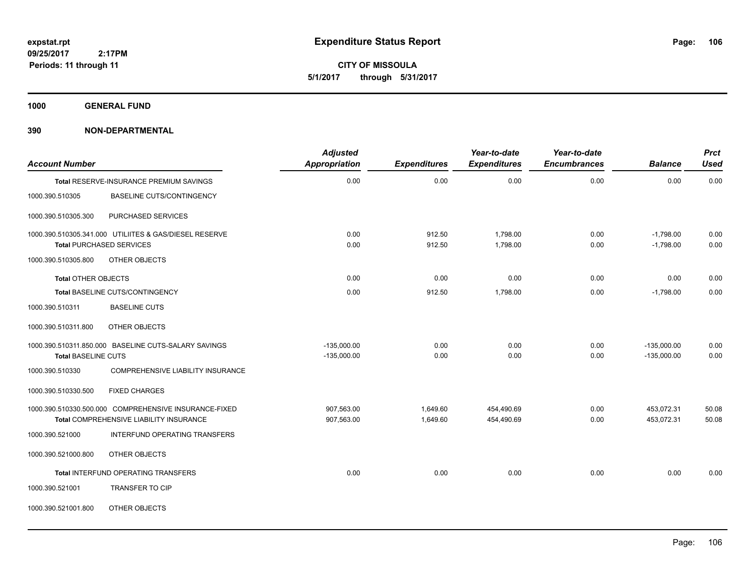**CITY OF MISSOULA 5/1/2017 through 5/31/2017**

**1000 GENERAL FUND**

| <b>Account Number</b>      |                                                                                           | <b>Adjusted</b><br><b>Appropriation</b> | <b>Expenditures</b> | Year-to-date<br><b>Expenditures</b> | Year-to-date<br><b>Encumbrances</b> | <b>Balance</b>             | <b>Prct</b><br><b>Used</b> |
|----------------------------|-------------------------------------------------------------------------------------------|-----------------------------------------|---------------------|-------------------------------------|-------------------------------------|----------------------------|----------------------------|
|                            | Total RESERVE-INSURANCE PREMIUM SAVINGS                                                   | 0.00                                    | 0.00                | 0.00                                | 0.00                                | 0.00                       | 0.00                       |
| 1000.390.510305            | <b>BASELINE CUTS/CONTINGENCY</b>                                                          |                                         |                     |                                     |                                     |                            |                            |
| 1000.390.510305.300        | PURCHASED SERVICES                                                                        |                                         |                     |                                     |                                     |                            |                            |
|                            | 1000.390.510305.341.000 UTILIITES & GAS/DIESEL RESERVE<br><b>Total PURCHASED SERVICES</b> | 0.00<br>0.00                            | 912.50<br>912.50    | 1,798.00<br>1,798.00                | 0.00<br>0.00                        | $-1,798.00$<br>$-1,798.00$ | 0.00<br>0.00               |
| 1000.390.510305.800        | OTHER OBJECTS                                                                             |                                         |                     |                                     |                                     |                            |                            |
| <b>Total OTHER OBJECTS</b> |                                                                                           | 0.00                                    | 0.00                | 0.00                                | 0.00                                | 0.00                       | 0.00                       |
|                            | Total BASELINE CUTS/CONTINGENCY                                                           | 0.00                                    | 912.50              | 1,798.00                            | 0.00                                | $-1,798.00$                | 0.00                       |
| 1000.390.510311            | <b>BASELINE CUTS</b>                                                                      |                                         |                     |                                     |                                     |                            |                            |
| 1000.390.510311.800        | OTHER OBJECTS                                                                             |                                         |                     |                                     |                                     |                            |                            |
|                            | 1000.390.510311.850.000 BASELINE CUTS-SALARY SAVINGS                                      | $-135,000.00$                           | 0.00                | 0.00                                | 0.00                                | $-135,000.00$              | 0.00                       |
| <b>Total BASELINE CUTS</b> |                                                                                           | $-135,000.00$                           | 0.00                | 0.00                                | 0.00                                | $-135,000.00$              | 0.00                       |
| 1000.390.510330            | <b>COMPREHENSIVE LIABILITY INSURANCE</b>                                                  |                                         |                     |                                     |                                     |                            |                            |
| 1000.390.510330.500        | <b>FIXED CHARGES</b>                                                                      |                                         |                     |                                     |                                     |                            |                            |
|                            | 1000.390.510330.500.000 COMPREHENSIVE INSURANCE-FIXED                                     | 907,563.00                              | 1,649.60            | 454,490.69                          | 0.00                                | 453,072.31                 | 50.08                      |
|                            | <b>Total COMPREHENSIVE LIABILITY INSURANCE</b>                                            | 907,563.00                              | 1,649.60            | 454,490.69                          | 0.00                                | 453,072.31                 | 50.08                      |
| 1000.390.521000            | INTERFUND OPERATING TRANSFERS                                                             |                                         |                     |                                     |                                     |                            |                            |
| 1000.390.521000.800        | OTHER OBJECTS                                                                             |                                         |                     |                                     |                                     |                            |                            |
|                            | Total INTERFUND OPERATING TRANSFERS                                                       | 0.00                                    | 0.00                | 0.00                                | 0.00                                | 0.00                       | 0.00                       |
| 1000.390.521001            | TRANSFER TO CIP                                                                           |                                         |                     |                                     |                                     |                            |                            |
| 1000.390.521001.800        | OTHER OBJECTS                                                                             |                                         |                     |                                     |                                     |                            |                            |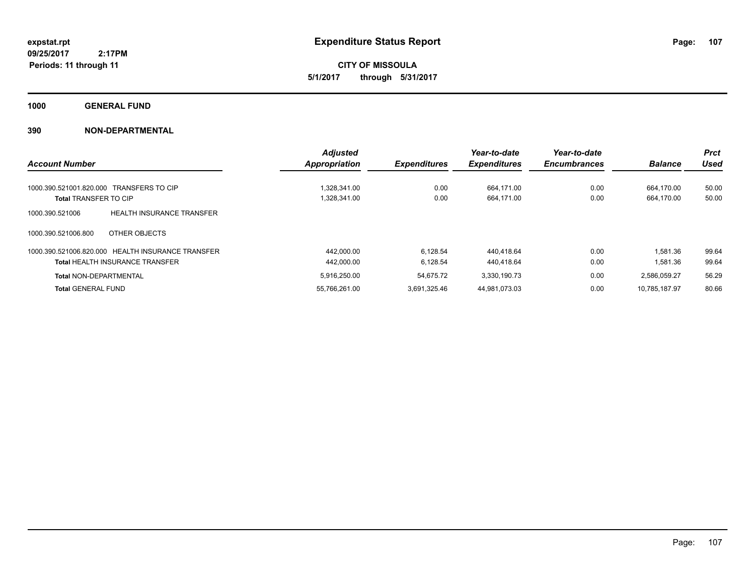**CITY OF MISSOULA 5/1/2017 through 5/31/2017**

**1000 GENERAL FUND**

|                                                     | <b>Adjusted</b>      |                     | Year-to-date        | Year-to-date        |                | <b>Prct</b> |
|-----------------------------------------------------|----------------------|---------------------|---------------------|---------------------|----------------|-------------|
| <b>Account Number</b>                               | <b>Appropriation</b> | <b>Expenditures</b> | <b>Expenditures</b> | <b>Encumbrances</b> | <b>Balance</b> | <b>Used</b> |
| 1000.390.521001.820.000 TRANSFERS TO CIP            | 1.328.341.00         | 0.00                | 664.171.00          | 0.00                | 664.170.00     | 50.00       |
| <b>Total TRANSFER TO CIP</b>                        | 1,328,341.00         | 0.00                | 664,171.00          | 0.00                | 664,170.00     | 50.00       |
|                                                     |                      |                     |                     |                     |                |             |
| <b>HEALTH INSURANCE TRANSFER</b><br>1000.390.521006 |                      |                     |                     |                     |                |             |
| 1000.390.521006.800<br>OTHER OBJECTS                |                      |                     |                     |                     |                |             |
| 1000.390.521006.820.000 HEALTH INSURANCE TRANSFER   | 442.000.00           | 6.128.54            | 440.418.64          | 0.00                | 1,581.36       | 99.64       |
| <b>Total HEALTH INSURANCE TRANSFER</b>              | 442,000.00           | 6.128.54            | 440.418.64          | 0.00                | 1,581.36       | 99.64       |
| <b>Total NON-DEPARTMENTAL</b>                       | 5.916.250.00         | 54.675.72           | 3.330.190.73        | 0.00                | 2.586.059.27   | 56.29       |
| <b>Total GENERAL FUND</b>                           | 55,766,261.00        | 3.691.325.46        | 44,981,073.03       | 0.00                | 10.785.187.97  | 80.66       |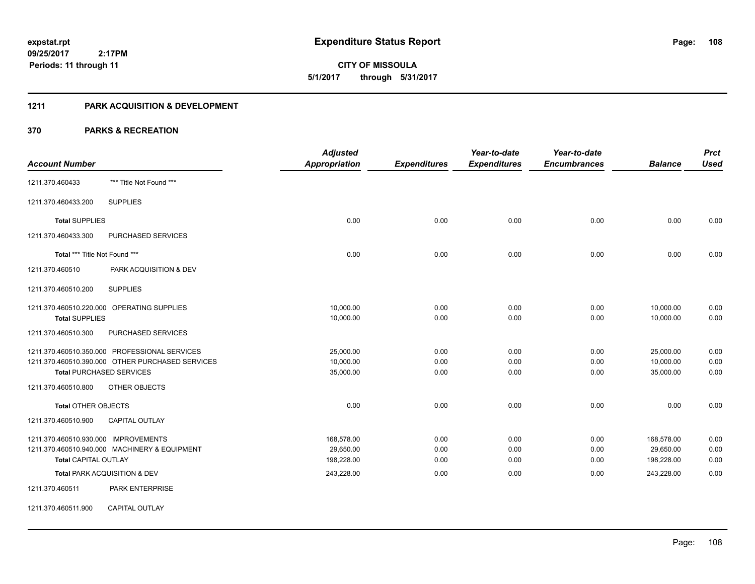**108**

**09/25/2017 2:17PM Periods: 11 through 11**

**CITY OF MISSOULA 5/1/2017 through 5/31/2017**

#### **1211 PARK ACQUISITION & DEVELOPMENT**

|                                                  | <b>Adjusted</b>      |                     | Year-to-date        | Year-to-date        |                | <b>Prct</b> |
|--------------------------------------------------|----------------------|---------------------|---------------------|---------------------|----------------|-------------|
| <b>Account Number</b>                            | <b>Appropriation</b> | <b>Expenditures</b> | <b>Expenditures</b> | <b>Encumbrances</b> | <b>Balance</b> | <b>Used</b> |
| *** Title Not Found ***<br>1211.370.460433       |                      |                     |                     |                     |                |             |
| <b>SUPPLIES</b><br>1211.370.460433.200           |                      |                     |                     |                     |                |             |
| <b>Total SUPPLIES</b>                            | 0.00                 | 0.00                | 0.00                | 0.00                | 0.00           | 0.00        |
| 1211.370.460433.300<br><b>PURCHASED SERVICES</b> |                      |                     |                     |                     |                |             |
| Total *** Title Not Found ***                    | 0.00                 | 0.00                | 0.00                | 0.00                | 0.00           | 0.00        |
| PARK ACQUISITION & DEV<br>1211.370.460510        |                      |                     |                     |                     |                |             |
| 1211.370.460510.200<br><b>SUPPLIES</b>           |                      |                     |                     |                     |                |             |
| 1211.370.460510.220.000 OPERATING SUPPLIES       | 10,000.00            | 0.00                | 0.00                | 0.00                | 10,000.00      | 0.00        |
| <b>Total SUPPLIES</b>                            | 10,000.00            | 0.00                | 0.00                | 0.00                | 10,000.00      | 0.00        |
| 1211.370.460510.300<br>PURCHASED SERVICES        |                      |                     |                     |                     |                |             |
| 1211.370.460510.350.000 PROFESSIONAL SERVICES    | 25,000.00            | 0.00                | 0.00                | 0.00                | 25,000.00      | 0.00        |
| 1211.370.460510.390.000 OTHER PURCHASED SERVICES | 10,000.00            | 0.00                | 0.00                | 0.00                | 10,000.00      | 0.00        |
| <b>Total PURCHASED SERVICES</b>                  | 35,000.00            | 0.00                | 0.00                | 0.00                | 35,000.00      | 0.00        |
| 1211.370.460510.800<br>OTHER OBJECTS             |                      |                     |                     |                     |                |             |
| <b>Total OTHER OBJECTS</b>                       | 0.00                 | 0.00                | 0.00                | 0.00                | 0.00           | 0.00        |
| 1211.370.460510.900<br><b>CAPITAL OUTLAY</b>     |                      |                     |                     |                     |                |             |
| 1211.370.460510.930.000 IMPROVEMENTS             | 168,578.00           | 0.00                | 0.00                | 0.00                | 168,578.00     | 0.00        |
| 1211.370.460510.940.000 MACHINERY & EQUIPMENT    | 29,650.00            | 0.00                | 0.00                | 0.00                | 29,650.00      | 0.00        |
| <b>Total CAPITAL OUTLAY</b>                      | 198,228.00           | 0.00                | 0.00                | 0.00                | 198,228.00     | 0.00        |
| Total PARK ACQUISITION & DEV                     | 243,228.00           | 0.00                | 0.00                | 0.00                | 243,228.00     | 0.00        |
| 1211.370.460511<br>PARK ENTERPRISE               |                      |                     |                     |                     |                |             |
| <b>CAPITAL OUTLAY</b><br>1211.370.460511.900     |                      |                     |                     |                     |                |             |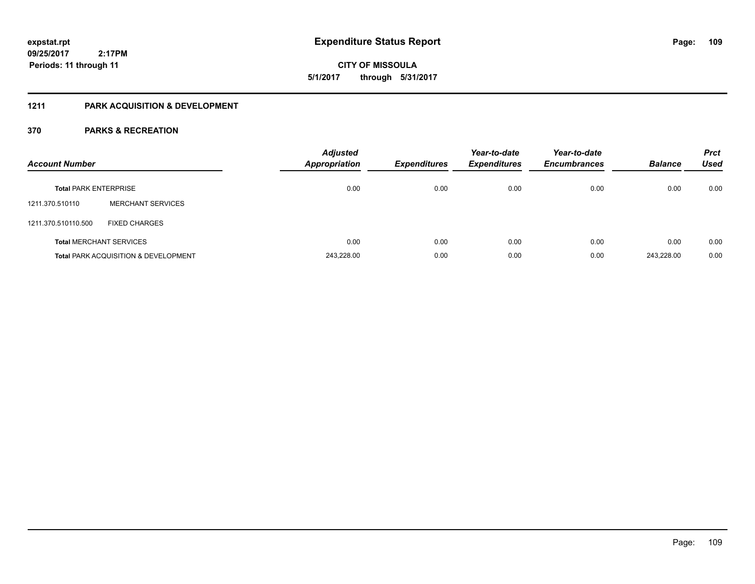**CITY OF MISSOULA 5/1/2017 through 5/31/2017**

### **1211 PARK ACQUISITION & DEVELOPMENT**

| <b>Account Number</b>        |                                                 | <b>Adjusted</b><br><b>Appropriation</b> | <b>Expenditures</b> | Year-to-date<br><b>Expenditures</b> | Year-to-date<br><b>Encumbrances</b> | <b>Balance</b> | <b>Prct</b><br><b>Used</b> |
|------------------------------|-------------------------------------------------|-----------------------------------------|---------------------|-------------------------------------|-------------------------------------|----------------|----------------------------|
| <b>Total PARK ENTERPRISE</b> |                                                 | 0.00                                    | 0.00                | 0.00                                | 0.00                                | 0.00           | 0.00                       |
| 1211.370.510110              | <b>MERCHANT SERVICES</b>                        |                                         |                     |                                     |                                     |                |                            |
| 1211.370.510110.500          | <b>FIXED CHARGES</b>                            |                                         |                     |                                     |                                     |                |                            |
|                              | <b>Total MERCHANT SERVICES</b>                  | 0.00                                    | 0.00                | 0.00                                | 0.00                                | 0.00           | 0.00                       |
|                              | <b>Total PARK ACQUISITION &amp; DEVELOPMENT</b> | 243,228.00                              | 0.00                | 0.00                                | 0.00                                | 243.228.00     | 0.00                       |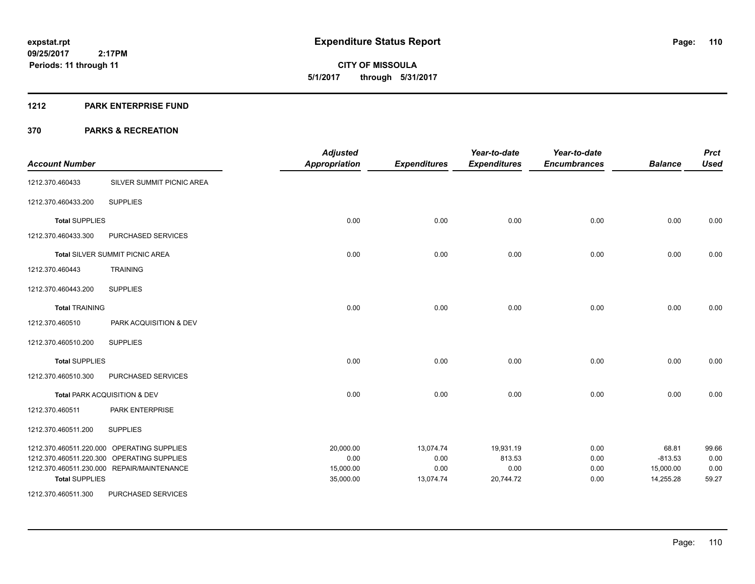#### **1212 PARK ENTERPRISE FUND**

| <b>Account Number</b> |                                            | <b>Adjusted</b><br><b>Appropriation</b> | <b>Expenditures</b> | Year-to-date<br><b>Expenditures</b> | Year-to-date<br><b>Encumbrances</b> | <b>Balance</b> | <b>Prct</b><br><b>Used</b> |
|-----------------------|--------------------------------------------|-----------------------------------------|---------------------|-------------------------------------|-------------------------------------|----------------|----------------------------|
| 1212.370.460433       | SILVER SUMMIT PICNIC AREA                  |                                         |                     |                                     |                                     |                |                            |
| 1212.370.460433.200   | <b>SUPPLIES</b>                            |                                         |                     |                                     |                                     |                |                            |
| <b>Total SUPPLIES</b> |                                            | 0.00                                    | 0.00                | 0.00                                | 0.00                                | 0.00           | 0.00                       |
| 1212.370.460433.300   | PURCHASED SERVICES                         |                                         |                     |                                     |                                     |                |                            |
|                       | Total SILVER SUMMIT PICNIC AREA            | 0.00                                    | 0.00                | 0.00                                | 0.00                                | 0.00           | 0.00                       |
| 1212.370.460443       | <b>TRAINING</b>                            |                                         |                     |                                     |                                     |                |                            |
| 1212.370.460443.200   | <b>SUPPLIES</b>                            |                                         |                     |                                     |                                     |                |                            |
| <b>Total TRAINING</b> |                                            | 0.00                                    | 0.00                | 0.00                                | 0.00                                | 0.00           | 0.00                       |
| 1212.370.460510       | PARK ACQUISITION & DEV                     |                                         |                     |                                     |                                     |                |                            |
| 1212.370.460510.200   | <b>SUPPLIES</b>                            |                                         |                     |                                     |                                     |                |                            |
| <b>Total SUPPLIES</b> |                                            | 0.00                                    | 0.00                | 0.00                                | 0.00                                | 0.00           | 0.00                       |
| 1212.370.460510.300   | PURCHASED SERVICES                         |                                         |                     |                                     |                                     |                |                            |
|                       | Total PARK ACQUISITION & DEV               | 0.00                                    | 0.00                | 0.00                                | 0.00                                | 0.00           | 0.00                       |
| 1212.370.460511       | PARK ENTERPRISE                            |                                         |                     |                                     |                                     |                |                            |
| 1212.370.460511.200   | <b>SUPPLIES</b>                            |                                         |                     |                                     |                                     |                |                            |
|                       | 1212.370.460511.220.000 OPERATING SUPPLIES | 20,000.00                               | 13,074.74           | 19,931.19                           | 0.00                                | 68.81          | 99.66                      |
|                       | 1212.370.460511.220.300 OPERATING SUPPLIES | 0.00                                    | 0.00                | 813.53                              | 0.00                                | $-813.53$      | 0.00                       |
|                       | 1212.370.460511.230.000 REPAIR/MAINTENANCE | 15,000.00                               | 0.00                | 0.00                                | 0.00                                | 15,000.00      | 0.00                       |
| <b>Total SUPPLIES</b> |                                            | 35,000.00                               | 13,074.74           | 20,744.72                           | 0.00                                | 14,255.28      | 59.27                      |
| 1212.370.460511.300   | PURCHASED SERVICES                         |                                         |                     |                                     |                                     |                |                            |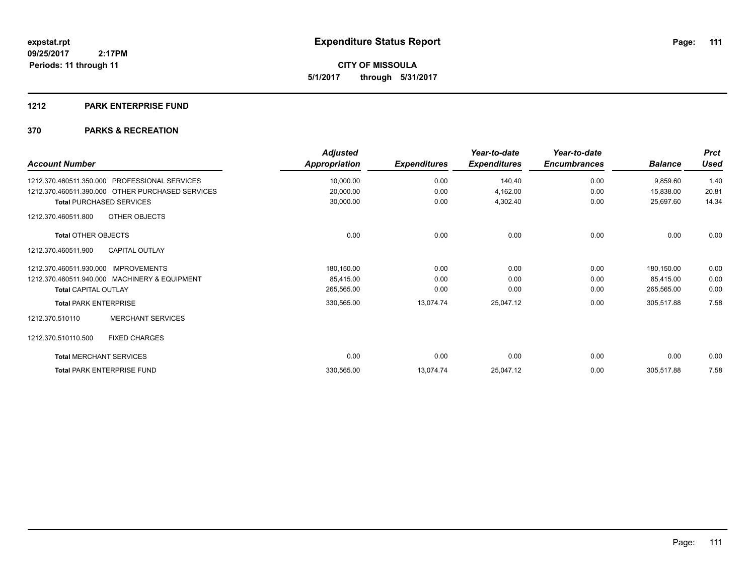**CITY OF MISSOULA 5/1/2017 through 5/31/2017**

#### **1212 PARK ENTERPRISE FUND**

| <b>Account Number</b>                            | <b>Adjusted</b><br>Appropriation | <b>Expenditures</b> | Year-to-date<br><b>Expenditures</b> | Year-to-date<br><b>Encumbrances</b> | <b>Balance</b> | <b>Prct</b><br><b>Used</b> |
|--------------------------------------------------|----------------------------------|---------------------|-------------------------------------|-------------------------------------|----------------|----------------------------|
| PROFESSIONAL SERVICES<br>1212.370.460511.350.000 | 10,000.00                        | 0.00                | 140.40                              | 0.00                                | 9,859.60       | 1.40                       |
| 1212.370.460511.390.000 OTHER PURCHASED SERVICES | 20,000.00                        | 0.00                | 4,162.00                            | 0.00                                | 15,838.00      | 20.81                      |
| <b>Total PURCHASED SERVICES</b>                  | 30,000.00                        | 0.00                | 4,302.40                            | 0.00                                | 25,697.60      | 14.34                      |
| OTHER OBJECTS<br>1212.370.460511.800             |                                  |                     |                                     |                                     |                |                            |
| <b>Total OTHER OBJECTS</b>                       | 0.00                             | 0.00                | 0.00                                | 0.00                                | 0.00           | 0.00                       |
| <b>CAPITAL OUTLAY</b><br>1212.370.460511.900     |                                  |                     |                                     |                                     |                |                            |
| 1212.370.460511.930.000<br><b>IMPROVEMENTS</b>   | 180,150.00                       | 0.00                | 0.00                                | 0.00                                | 180,150.00     | 0.00                       |
| 1212.370.460511.940.000 MACHINERY & EQUIPMENT    | 85,415.00                        | 0.00                | 0.00                                | 0.00                                | 85,415.00      | 0.00                       |
| <b>Total CAPITAL OUTLAY</b>                      | 265,565.00                       | 0.00                | 0.00                                | 0.00                                | 265,565.00     | 0.00                       |
| <b>Total PARK ENTERPRISE</b>                     | 330,565.00                       | 13,074.74           | 25,047.12                           | 0.00                                | 305,517.88     | 7.58                       |
| <b>MERCHANT SERVICES</b><br>1212.370.510110      |                                  |                     |                                     |                                     |                |                            |
| 1212.370.510110.500<br><b>FIXED CHARGES</b>      |                                  |                     |                                     |                                     |                |                            |
| <b>Total MERCHANT SERVICES</b>                   | 0.00                             | 0.00                | 0.00                                | 0.00                                | 0.00           | 0.00                       |
| <b>Total PARK ENTERPRISE FUND</b>                | 330,565.00                       | 13,074.74           | 25,047.12                           | 0.00                                | 305,517.88     | 7.58                       |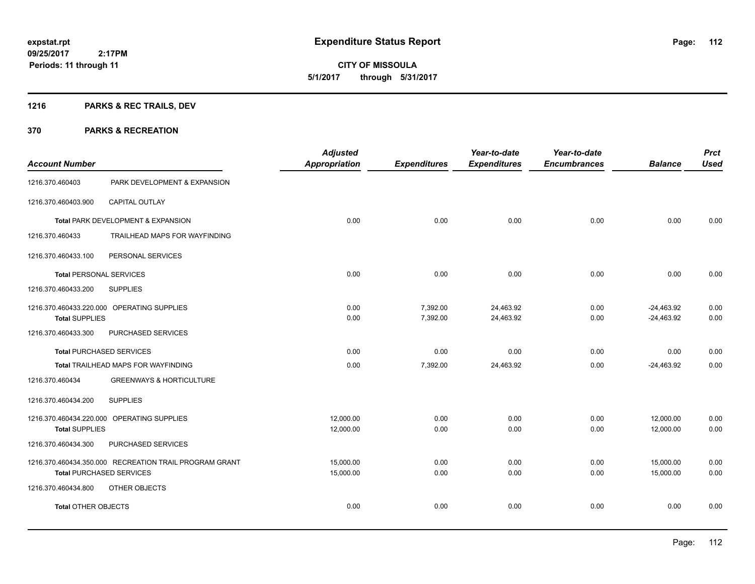## **1216 PARKS & REC TRAILS, DEV**

|                                 |                                                        | <b>Adjusted</b>      |                     | Year-to-date        | Year-to-date        |                | <b>Prct</b> |
|---------------------------------|--------------------------------------------------------|----------------------|---------------------|---------------------|---------------------|----------------|-------------|
| <b>Account Number</b>           |                                                        | <b>Appropriation</b> | <b>Expenditures</b> | <b>Expenditures</b> | <b>Encumbrances</b> | <b>Balance</b> | <b>Used</b> |
| 1216.370.460403                 | PARK DEVELOPMENT & EXPANSION                           |                      |                     |                     |                     |                |             |
| 1216.370.460403.900             | CAPITAL OUTLAY                                         |                      |                     |                     |                     |                |             |
|                                 | Total PARK DEVELOPMENT & EXPANSION                     | 0.00                 | 0.00                | 0.00                | 0.00                | 0.00           | 0.00        |
| 1216.370.460433                 | TRAILHEAD MAPS FOR WAYFINDING                          |                      |                     |                     |                     |                |             |
| 1216.370.460433.100             | PERSONAL SERVICES                                      |                      |                     |                     |                     |                |             |
| <b>Total PERSONAL SERVICES</b>  |                                                        | 0.00                 | 0.00                | 0.00                | 0.00                | 0.00           | 0.00        |
| 1216.370.460433.200             | <b>SUPPLIES</b>                                        |                      |                     |                     |                     |                |             |
|                                 | 1216.370.460433.220.000 OPERATING SUPPLIES             | 0.00                 | 7,392.00            | 24,463.92           | 0.00                | $-24,463.92$   | 0.00        |
| <b>Total SUPPLIES</b>           |                                                        | 0.00                 | 7,392.00            | 24,463.92           | 0.00                | $-24,463.92$   | 0.00        |
| 1216.370.460433.300             | PURCHASED SERVICES                                     |                      |                     |                     |                     |                |             |
| <b>Total PURCHASED SERVICES</b> |                                                        | 0.00                 | 0.00                | 0.00                | 0.00                | 0.00           | 0.00        |
|                                 | Total TRAILHEAD MAPS FOR WAYFINDING                    | 0.00                 | 7,392.00            | 24,463.92           | 0.00                | $-24,463.92$   | 0.00        |
| 1216.370.460434                 | <b>GREENWAYS &amp; HORTICULTURE</b>                    |                      |                     |                     |                     |                |             |
| 1216.370.460434.200             | <b>SUPPLIES</b>                                        |                      |                     |                     |                     |                |             |
|                                 | 1216.370.460434.220.000 OPERATING SUPPLIES             | 12,000.00            | 0.00                | 0.00                | 0.00                | 12,000.00      | 0.00        |
| <b>Total SUPPLIES</b>           |                                                        | 12,000.00            | 0.00                | 0.00                | 0.00                | 12,000.00      | 0.00        |
| 1216.370.460434.300             | PURCHASED SERVICES                                     |                      |                     |                     |                     |                |             |
|                                 | 1216.370.460434.350.000 RECREATION TRAIL PROGRAM GRANT | 15,000.00            | 0.00                | 0.00                | 0.00                | 15,000.00      | 0.00        |
| <b>Total PURCHASED SERVICES</b> |                                                        | 15,000.00            | 0.00                | 0.00                | 0.00                | 15,000.00      | 0.00        |
| 1216.370.460434.800             | OTHER OBJECTS                                          |                      |                     |                     |                     |                |             |
| <b>Total OTHER OBJECTS</b>      |                                                        | 0.00                 | 0.00                | 0.00                | 0.00                | 0.00           | 0.00        |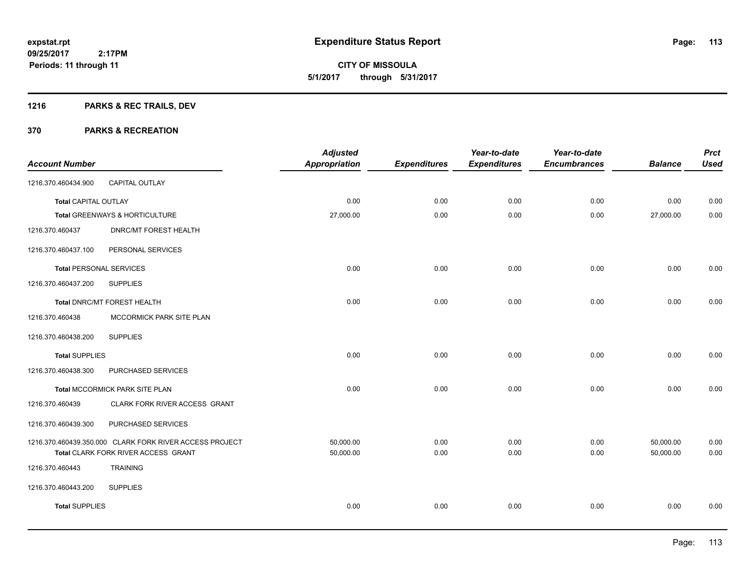Page: 113

**09/25/2017 2:17PM Periods: 11 through 11**

**CITY OF MISSOULA 5/1/2017 through 5/31/2017**

## **1216 PARKS & REC TRAILS, DEV**

| <b>Account Number</b>          |                                                                                                | <b>Adjusted</b><br><b>Appropriation</b> | <b>Expenditures</b> | Year-to-date<br><b>Expenditures</b> | Year-to-date<br><b>Encumbrances</b> | <b>Balance</b>         | <b>Prct</b><br><b>Used</b> |
|--------------------------------|------------------------------------------------------------------------------------------------|-----------------------------------------|---------------------|-------------------------------------|-------------------------------------|------------------------|----------------------------|
| 1216.370.460434.900            | CAPITAL OUTLAY                                                                                 |                                         |                     |                                     |                                     |                        |                            |
| <b>Total CAPITAL OUTLAY</b>    |                                                                                                | 0.00                                    | 0.00                | 0.00                                | 0.00                                | 0.00                   | 0.00                       |
|                                | Total GREENWAYS & HORTICULTURE                                                                 | 27,000.00                               | 0.00                | 0.00                                | 0.00                                | 27,000.00              | 0.00                       |
| 1216.370.460437                | <b>DNRC/MT FOREST HEALTH</b>                                                                   |                                         |                     |                                     |                                     |                        |                            |
| 1216.370.460437.100            | PERSONAL SERVICES                                                                              |                                         |                     |                                     |                                     |                        |                            |
| <b>Total PERSONAL SERVICES</b> |                                                                                                | 0.00                                    | 0.00                | 0.00                                | 0.00                                | 0.00                   | 0.00                       |
| 1216.370.460437.200            | <b>SUPPLIES</b>                                                                                |                                         |                     |                                     |                                     |                        |                            |
|                                | Total DNRC/MT FOREST HEALTH                                                                    | 0.00                                    | 0.00                | 0.00                                | 0.00                                | 0.00                   | 0.00                       |
| 1216.370.460438                | MCCORMICK PARK SITE PLAN                                                                       |                                         |                     |                                     |                                     |                        |                            |
| 1216.370.460438.200            | <b>SUPPLIES</b>                                                                                |                                         |                     |                                     |                                     |                        |                            |
| <b>Total SUPPLIES</b>          |                                                                                                | 0.00                                    | 0.00                | 0.00                                | 0.00                                | 0.00                   | 0.00                       |
| 1216.370.460438.300            | PURCHASED SERVICES                                                                             |                                         |                     |                                     |                                     |                        |                            |
|                                | Total MCCORMICK PARK SITE PLAN                                                                 | 0.00                                    | 0.00                | 0.00                                | 0.00                                | 0.00                   | 0.00                       |
| 1216.370.460439                | CLARK FORK RIVER ACCESS GRANT                                                                  |                                         |                     |                                     |                                     |                        |                            |
| 1216.370.460439.300            | PURCHASED SERVICES                                                                             |                                         |                     |                                     |                                     |                        |                            |
|                                | 1216.370.460439.350.000 CLARK FORK RIVER ACCESS PROJECT<br>Total CLARK FORK RIVER ACCESS GRANT | 50,000.00<br>50,000.00                  | 0.00<br>0.00        | 0.00<br>0.00                        | 0.00<br>0.00                        | 50,000.00<br>50,000.00 | 0.00<br>0.00               |
| 1216.370.460443                | <b>TRAINING</b>                                                                                |                                         |                     |                                     |                                     |                        |                            |
| 1216.370.460443.200            | <b>SUPPLIES</b>                                                                                |                                         |                     |                                     |                                     |                        |                            |
| <b>Total SUPPLIES</b>          |                                                                                                | 0.00                                    | 0.00                | 0.00                                | 0.00                                | 0.00                   | 0.00                       |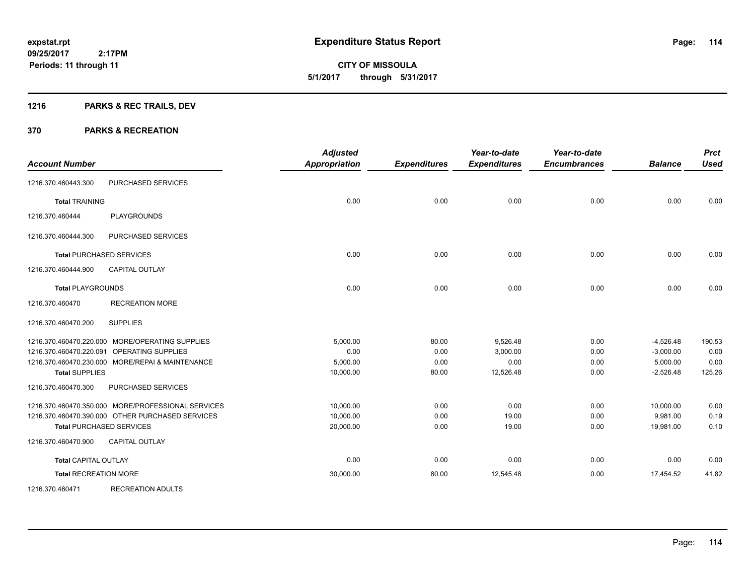**114**

**09/25/2017 2:17PM Periods: 11 through 11**

# **CITY OF MISSOULA 5/1/2017 through 5/31/2017**

## **1216 PARKS & REC TRAILS, DEV**

| <b>Account Number</b>           |                                                    | <b>Adjusted</b><br><b>Appropriation</b> | <b>Expenditures</b> | Year-to-date<br><b>Expenditures</b> | Year-to-date<br><b>Encumbrances</b> | <b>Balance</b> | <b>Prct</b><br><b>Used</b> |
|---------------------------------|----------------------------------------------------|-----------------------------------------|---------------------|-------------------------------------|-------------------------------------|----------------|----------------------------|
| 1216.370.460443.300             | PURCHASED SERVICES                                 |                                         |                     |                                     |                                     |                |                            |
| <b>Total TRAINING</b>           |                                                    | 0.00                                    | 0.00                | 0.00                                | 0.00                                | 0.00           | 0.00                       |
| 1216.370.460444                 | <b>PLAYGROUNDS</b>                                 |                                         |                     |                                     |                                     |                |                            |
| 1216.370.460444.300             | PURCHASED SERVICES                                 |                                         |                     |                                     |                                     |                |                            |
| <b>Total PURCHASED SERVICES</b> |                                                    | 0.00                                    | 0.00                | 0.00                                | 0.00                                | 0.00           | 0.00                       |
| 1216.370.460444.900             | <b>CAPITAL OUTLAY</b>                              |                                         |                     |                                     |                                     |                |                            |
| <b>Total PLAYGROUNDS</b>        |                                                    | 0.00                                    | 0.00                | 0.00                                | 0.00                                | 0.00           | 0.00                       |
| 1216.370.460470                 | <b>RECREATION MORE</b>                             |                                         |                     |                                     |                                     |                |                            |
| 1216.370.460470.200             | <b>SUPPLIES</b>                                    |                                         |                     |                                     |                                     |                |                            |
|                                 | 1216.370.460470.220.000 MORE/OPERATING SUPPLIES    | 5,000.00                                | 80.00               | 9,526.48                            | 0.00                                | $-4,526.48$    | 190.53                     |
| 1216.370.460470.220.091         | <b>OPERATING SUPPLIES</b>                          | 0.00                                    | 0.00                | 3,000.00                            | 0.00                                | $-3,000.00$    | 0.00                       |
|                                 | 1216.370.460470.230.000 MORE/REPAI & MAINTENANCE   | 5,000.00                                | 0.00                | 0.00                                | 0.00                                | 5,000.00       | 0.00                       |
| <b>Total SUPPLIES</b>           |                                                    | 10,000.00                               | 80.00               | 12,526.48                           | 0.00                                | $-2,526.48$    | 125.26                     |
| 1216.370.460470.300             | PURCHASED SERVICES                                 |                                         |                     |                                     |                                     |                |                            |
|                                 | 1216.370.460470.350.000 MORE/PROFESSIONAL SERVICES | 10,000.00                               | 0.00                | 0.00                                | 0.00                                | 10,000.00      | 0.00                       |
|                                 | 1216.370.460470.390.000 OTHER PURCHASED SERVICES   | 10,000.00                               | 0.00                | 19.00                               | 0.00                                | 9.981.00       | 0.19                       |
| <b>Total PURCHASED SERVICES</b> |                                                    | 20,000.00                               | 0.00                | 19.00                               | 0.00                                | 19,981.00      | 0.10                       |
| 1216.370.460470.900             | <b>CAPITAL OUTLAY</b>                              |                                         |                     |                                     |                                     |                |                            |
| <b>Total CAPITAL OUTLAY</b>     |                                                    | 0.00                                    | 0.00                | 0.00                                | 0.00                                | 0.00           | 0.00                       |
| <b>Total RECREATION MORE</b>    |                                                    | 30,000.00                               | 80.00               | 12,545.48                           | 0.00                                | 17,454.52      | 41.82                      |
| 1216.370.460471                 | <b>RECREATION ADULTS</b>                           |                                         |                     |                                     |                                     |                |                            |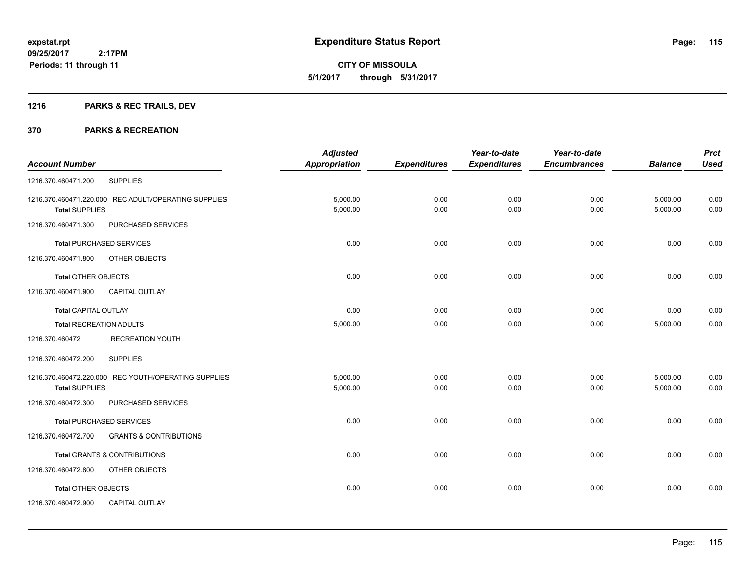**CITY OF MISSOULA 5/1/2017 through 5/31/2017**

## **1216 PARKS & REC TRAILS, DEV**

|                                |                                                      | <b>Adjusted</b>      |                     | Year-to-date        | Year-to-date        |                | <b>Prct</b> |
|--------------------------------|------------------------------------------------------|----------------------|---------------------|---------------------|---------------------|----------------|-------------|
| <b>Account Number</b>          |                                                      | <b>Appropriation</b> | <b>Expenditures</b> | <b>Expenditures</b> | <b>Encumbrances</b> | <b>Balance</b> | <b>Used</b> |
| 1216.370.460471.200            | <b>SUPPLIES</b>                                      |                      |                     |                     |                     |                |             |
|                                | 1216.370.460471.220.000 REC ADULT/OPERATING SUPPLIES | 5,000.00             | 0.00                | 0.00                | 0.00                | 5,000.00       | 0.00        |
| <b>Total SUPPLIES</b>          |                                                      | 5,000.00             | 0.00                | 0.00                | 0.00                | 5,000.00       | 0.00        |
| 1216.370.460471.300            | PURCHASED SERVICES                                   |                      |                     |                     |                     |                |             |
|                                | <b>Total PURCHASED SERVICES</b>                      | 0.00                 | 0.00                | 0.00                | 0.00                | 0.00           | 0.00        |
| 1216.370.460471.800            | OTHER OBJECTS                                        |                      |                     |                     |                     |                |             |
| <b>Total OTHER OBJECTS</b>     |                                                      | 0.00                 | 0.00                | 0.00                | 0.00                | 0.00           | 0.00        |
| 1216.370.460471.900            | <b>CAPITAL OUTLAY</b>                                |                      |                     |                     |                     |                |             |
| <b>Total CAPITAL OUTLAY</b>    |                                                      | 0.00                 | 0.00                | 0.00                | 0.00                | 0.00           | 0.00        |
| <b>Total RECREATION ADULTS</b> |                                                      | 5,000.00             | 0.00                | 0.00                | 0.00                | 5,000.00       | 0.00        |
| 1216.370.460472                | <b>RECREATION YOUTH</b>                              |                      |                     |                     |                     |                |             |
| 1216.370.460472.200            | <b>SUPPLIES</b>                                      |                      |                     |                     |                     |                |             |
|                                | 1216.370.460472.220.000 REC YOUTH/OPERATING SUPPLIES | 5,000.00             | 0.00                | 0.00                | 0.00                | 5,000.00       | 0.00        |
| <b>Total SUPPLIES</b>          |                                                      | 5,000.00             | 0.00                | 0.00                | 0.00                | 5,000.00       | 0.00        |
| 1216.370.460472.300            | PURCHASED SERVICES                                   |                      |                     |                     |                     |                |             |
|                                | <b>Total PURCHASED SERVICES</b>                      | 0.00                 | 0.00                | 0.00                | 0.00                | 0.00           | 0.00        |
| 1216.370.460472.700            | <b>GRANTS &amp; CONTRIBUTIONS</b>                    |                      |                     |                     |                     |                |             |
|                                | <b>Total GRANTS &amp; CONTRIBUTIONS</b>              | 0.00                 | 0.00                | 0.00                | 0.00                | 0.00           | 0.00        |
| 1216.370.460472.800            | OTHER OBJECTS                                        |                      |                     |                     |                     |                |             |
| Total OTHER OBJECTS            |                                                      | 0.00                 | 0.00                | 0.00                | 0.00                | 0.00           | 0.00        |
| 1216.370.460472.900            | <b>CAPITAL OUTLAY</b>                                |                      |                     |                     |                     |                |             |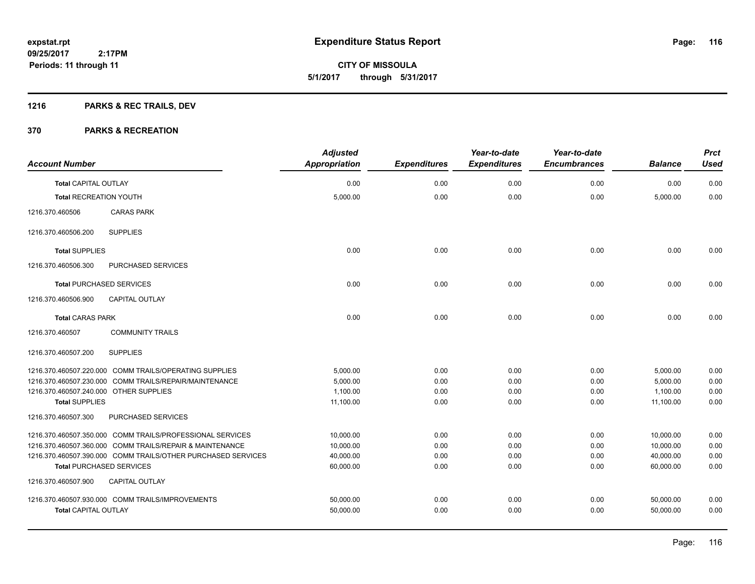Page: 116

**09/25/2017 2:17PM Periods: 11 through 11**

# **CITY OF MISSOULA 5/1/2017 through 5/31/2017**

## **1216 PARKS & REC TRAILS, DEV**

| <b>Account Number</b>                  |                                                              | <b>Adjusted</b><br><b>Appropriation</b> | <b>Expenditures</b> | Year-to-date<br><b>Expenditures</b> | Year-to-date<br><b>Encumbrances</b> | <b>Balance</b> | <b>Prct</b><br><b>Used</b> |
|----------------------------------------|--------------------------------------------------------------|-----------------------------------------|---------------------|-------------------------------------|-------------------------------------|----------------|----------------------------|
| <b>Total CAPITAL OUTLAY</b>            |                                                              | 0.00                                    | 0.00                | 0.00                                | 0.00                                | 0.00           | 0.00                       |
| <b>Total RECREATION YOUTH</b>          |                                                              | 5,000.00                                | 0.00                | 0.00                                | 0.00                                | 5,000.00       | 0.00                       |
| 1216.370.460506                        | <b>CARAS PARK</b>                                            |                                         |                     |                                     |                                     |                |                            |
| 1216.370.460506.200                    | <b>SUPPLIES</b>                                              |                                         |                     |                                     |                                     |                |                            |
| <b>Total SUPPLIES</b>                  |                                                              | 0.00                                    | 0.00                | 0.00                                | 0.00                                | 0.00           | 0.00                       |
| 1216.370.460506.300                    | PURCHASED SERVICES                                           |                                         |                     |                                     |                                     |                |                            |
|                                        | <b>Total PURCHASED SERVICES</b>                              | 0.00                                    | 0.00                | 0.00                                | 0.00                                | 0.00           | 0.00                       |
| 1216.370.460506.900                    | CAPITAL OUTLAY                                               |                                         |                     |                                     |                                     |                |                            |
| <b>Total CARAS PARK</b>                |                                                              | 0.00                                    | 0.00                | 0.00                                | 0.00                                | 0.00           | 0.00                       |
| 1216.370.460507                        | <b>COMMUNITY TRAILS</b>                                      |                                         |                     |                                     |                                     |                |                            |
| 1216.370.460507.200                    | <b>SUPPLIES</b>                                              |                                         |                     |                                     |                                     |                |                            |
|                                        | 1216.370.460507.220.000 COMM TRAILS/OPERATING SUPPLIES       | 5,000.00                                | 0.00                | 0.00                                | 0.00                                | 5,000.00       | 0.00                       |
|                                        | 1216.370.460507.230.000 COMM TRAILS/REPAIR/MAINTENANCE       | 5.000.00                                | 0.00                | 0.00                                | 0.00                                | 5,000.00       | 0.00                       |
| 1216.370.460507.240.000 OTHER SUPPLIES |                                                              | 1,100.00                                | 0.00                | 0.00                                | 0.00                                | 1,100.00       | 0.00                       |
| <b>Total SUPPLIES</b>                  |                                                              | 11,100.00                               | 0.00                | 0.00                                | 0.00                                | 11,100.00      | 0.00                       |
| 1216.370.460507.300                    | PURCHASED SERVICES                                           |                                         |                     |                                     |                                     |                |                            |
|                                        | 1216.370.460507.350.000 COMM TRAILS/PROFESSIONAL SERVICES    | 10,000.00                               | 0.00                | 0.00                                | 0.00                                | 10,000.00      | 0.00                       |
|                                        | 1216.370.460507.360.000 COMM TRAILS/REPAIR & MAINTENANCE     | 10,000.00                               | 0.00                | 0.00                                | 0.00                                | 10,000.00      | 0.00                       |
|                                        | 1216.370.460507.390.000 COMM TRAILS/OTHER PURCHASED SERVICES | 40.000.00                               | 0.00                | 0.00                                | 0.00                                | 40,000.00      | 0.00                       |
|                                        | <b>Total PURCHASED SERVICES</b>                              | 60.000.00                               | 0.00                | 0.00                                | 0.00                                | 60.000.00      | 0.00                       |
| 1216.370.460507.900                    | <b>CAPITAL OUTLAY</b>                                        |                                         |                     |                                     |                                     |                |                            |
|                                        | 1216.370.460507.930.000 COMM TRAILS/IMPROVEMENTS             | 50,000.00                               | 0.00                | 0.00                                | 0.00                                | 50,000.00      | 0.00                       |
| <b>Total CAPITAL OUTLAY</b>            |                                                              | 50,000.00                               | 0.00                | 0.00                                | 0.00                                | 50,000.00      | 0.00                       |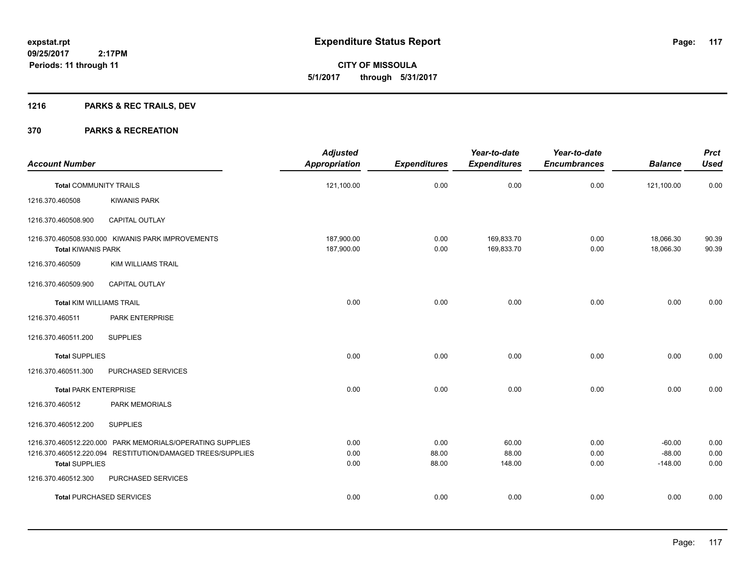## **1216 PARKS & REC TRAILS, DEV**

|                                 |                                                            | <b>Adjusted</b>          |                     | Year-to-date             | Year-to-date        |                        | <b>Prct</b>    |
|---------------------------------|------------------------------------------------------------|--------------------------|---------------------|--------------------------|---------------------|------------------------|----------------|
| <b>Account Number</b>           |                                                            | <b>Appropriation</b>     | <b>Expenditures</b> | <b>Expenditures</b>      | <b>Encumbrances</b> | <b>Balance</b>         | <b>Used</b>    |
| <b>Total COMMUNITY TRAILS</b>   |                                                            | 121,100.00               | 0.00                | 0.00                     | 0.00                | 121,100.00             | 0.00           |
| 1216.370.460508                 | <b>KIWANIS PARK</b>                                        |                          |                     |                          |                     |                        |                |
| 1216.370.460508.900             | <b>CAPITAL OUTLAY</b>                                      |                          |                     |                          |                     |                        |                |
| <b>Total KIWANIS PARK</b>       | 1216.370.460508.930.000 KIWANIS PARK IMPROVEMENTS          | 187,900.00<br>187,900.00 | 0.00<br>0.00        | 169,833.70<br>169,833.70 | 0.00<br>0.00        | 18,066.30<br>18,066.30 | 90.39<br>90.39 |
| 1216.370.460509                 | <b>KIM WILLIAMS TRAIL</b>                                  |                          |                     |                          |                     |                        |                |
| 1216.370.460509.900             | <b>CAPITAL OUTLAY</b>                                      |                          |                     |                          |                     |                        |                |
| <b>Total KIM WILLIAMS TRAIL</b> |                                                            | 0.00                     | 0.00                | 0.00                     | 0.00                | 0.00                   | 0.00           |
| 1216.370.460511                 | PARK ENTERPRISE                                            |                          |                     |                          |                     |                        |                |
| 1216.370.460511.200             | <b>SUPPLIES</b>                                            |                          |                     |                          |                     |                        |                |
| <b>Total SUPPLIES</b>           |                                                            | 0.00                     | 0.00                | 0.00                     | 0.00                | 0.00                   | 0.00           |
| 1216.370.460511.300             | PURCHASED SERVICES                                         |                          |                     |                          |                     |                        |                |
| <b>Total PARK ENTERPRISE</b>    |                                                            | 0.00                     | 0.00                | 0.00                     | 0.00                | 0.00                   | 0.00           |
| 1216.370.460512                 | <b>PARK MEMORIALS</b>                                      |                          |                     |                          |                     |                        |                |
| 1216.370.460512.200             | <b>SUPPLIES</b>                                            |                          |                     |                          |                     |                        |                |
|                                 | 1216.370.460512.220.000 PARK MEMORIALS/OPERATING SUPPLIES  | 0.00                     | 0.00                | 60.00                    | 0.00                | $-60.00$               | 0.00           |
| <b>Total SUPPLIES</b>           | 1216.370.460512.220.094 RESTITUTION/DAMAGED TREES/SUPPLIES | 0.00<br>0.00             | 88.00<br>88.00      | 88.00<br>148.00          | 0.00<br>0.00        | $-88.00$<br>$-148.00$  | 0.00<br>0.00   |
| 1216.370.460512.300             | PURCHASED SERVICES                                         |                          |                     |                          |                     |                        |                |
|                                 | <b>Total PURCHASED SERVICES</b>                            | 0.00                     | 0.00                | 0.00                     | 0.00                | 0.00                   | 0.00           |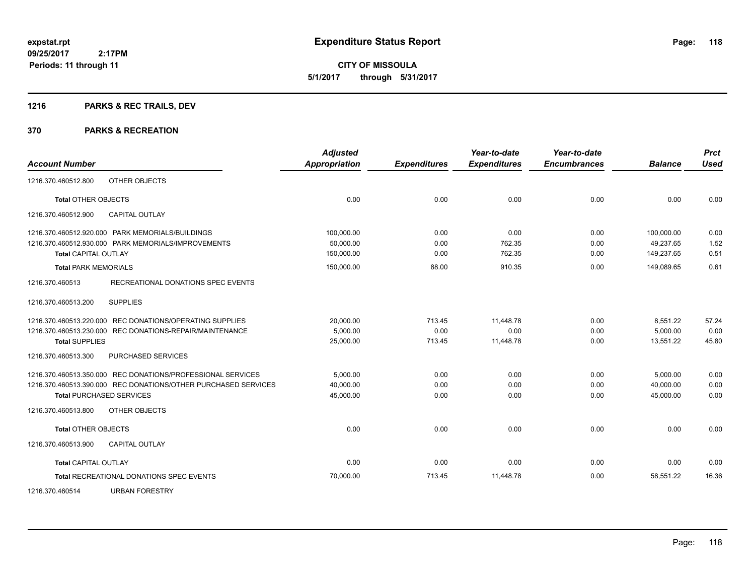Page: 118

**09/25/2017 2:17PM Periods: 11 through 11**

**CITY OF MISSOULA 5/1/2017 through 5/31/2017**

## **1216 PARKS & REC TRAILS, DEV**

|                                 |                                                                | <b>Adjusted</b>      |                     | Year-to-date        | Year-to-date        |                | <b>Prct</b> |
|---------------------------------|----------------------------------------------------------------|----------------------|---------------------|---------------------|---------------------|----------------|-------------|
| <b>Account Number</b>           |                                                                | <b>Appropriation</b> | <b>Expenditures</b> | <b>Expenditures</b> | <b>Encumbrances</b> | <b>Balance</b> | <b>Used</b> |
| 1216.370.460512.800             | OTHER OBJECTS                                                  |                      |                     |                     |                     |                |             |
| <b>Total OTHER OBJECTS</b>      |                                                                | 0.00                 | 0.00                | 0.00                | 0.00                | 0.00           | 0.00        |
| 1216.370.460512.900             | <b>CAPITAL OUTLAY</b>                                          |                      |                     |                     |                     |                |             |
|                                 | 1216.370.460512.920.000 PARK MEMORIALS/BUILDINGS               | 100,000.00           | 0.00                | 0.00                | 0.00                | 100,000.00     | 0.00        |
|                                 | 1216.370.460512.930.000 PARK MEMORIALS/IMPROVEMENTS            | 50.000.00            | 0.00                | 762.35              | 0.00                | 49.237.65      | 1.52        |
| <b>Total CAPITAL OUTLAY</b>     |                                                                | 150,000.00           | 0.00                | 762.35              | 0.00                | 149,237.65     | 0.51        |
| <b>Total PARK MEMORIALS</b>     |                                                                | 150,000.00           | 88.00               | 910.35              | 0.00                | 149.089.65     | 0.61        |
| 1216.370.460513                 | RECREATIONAL DONATIONS SPEC EVENTS                             |                      |                     |                     |                     |                |             |
| 1216.370.460513.200             | <b>SUPPLIES</b>                                                |                      |                     |                     |                     |                |             |
|                                 | 1216.370.460513.220.000 REC DONATIONS/OPERATING SUPPLIES       | 20,000.00            | 713.45              | 11,448.78           | 0.00                | 8,551.22       | 57.24       |
|                                 | 1216.370.460513.230.000 REC DONATIONS-REPAIR/MAINTENANCE       | 5,000.00             | 0.00                | 0.00                | 0.00                | 5,000.00       | 0.00        |
| <b>Total SUPPLIES</b>           |                                                                | 25,000.00            | 713.45              | 11,448.78           | 0.00                | 13.551.22      | 45.80       |
| 1216.370.460513.300             | PURCHASED SERVICES                                             |                      |                     |                     |                     |                |             |
|                                 | 1216.370.460513.350.000 REC DONATIONS/PROFESSIONAL SERVICES    | 5,000.00             | 0.00                | 0.00                | 0.00                | 5,000.00       | 0.00        |
|                                 | 1216.370.460513.390.000 REC DONATIONS/OTHER PURCHASED SERVICES | 40,000.00            | 0.00                | 0.00                | 0.00                | 40,000.00      | 0.00        |
| <b>Total PURCHASED SERVICES</b> |                                                                | 45,000.00            | 0.00                | 0.00                | 0.00                | 45,000.00      | 0.00        |
| 1216.370.460513.800             | OTHER OBJECTS                                                  |                      |                     |                     |                     |                |             |
| <b>Total OTHER OBJECTS</b>      |                                                                | 0.00                 | 0.00                | 0.00                | 0.00                | 0.00           | 0.00        |
| 1216.370.460513.900             | <b>CAPITAL OUTLAY</b>                                          |                      |                     |                     |                     |                |             |
| <b>Total CAPITAL OUTLAY</b>     |                                                                | 0.00                 | 0.00                | 0.00                | 0.00                | 0.00           | 0.00        |
|                                 | <b>Total RECREATIONAL DONATIONS SPEC EVENTS</b>                | 70,000.00            | 713.45              | 11,448.78           | 0.00                | 58,551.22      | 16.36       |
| 1216.370.460514                 | <b>URBAN FORESTRY</b>                                          |                      |                     |                     |                     |                |             |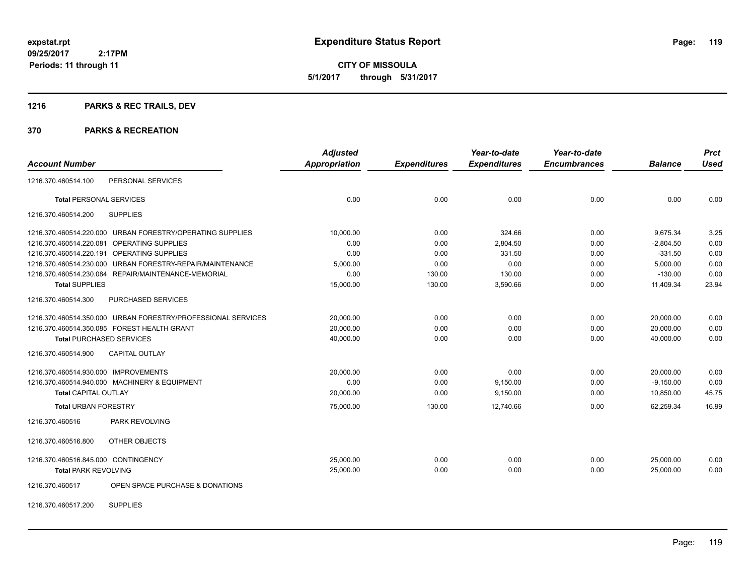## **1216 PARKS & REC TRAILS, DEV**

### **370 PARKS & RECREATION**

| <b>Account Number</b>                                        | <b>Adjusted</b><br><b>Appropriation</b> | <b>Expenditures</b> | Year-to-date<br><b>Expenditures</b> | Year-to-date<br><b>Encumbrances</b> | <b>Balance</b> | <b>Prct</b><br><b>Used</b> |
|--------------------------------------------------------------|-----------------------------------------|---------------------|-------------------------------------|-------------------------------------|----------------|----------------------------|
|                                                              |                                         |                     |                                     |                                     |                |                            |
| PERSONAL SERVICES<br>1216.370.460514.100                     |                                         |                     |                                     |                                     |                |                            |
| <b>Total PERSONAL SERVICES</b>                               | 0.00                                    | 0.00                | 0.00                                | 0.00                                | 0.00           | 0.00                       |
| <b>SUPPLIES</b><br>1216.370.460514.200                       |                                         |                     |                                     |                                     |                |                            |
| 1216.370.460514.220.000 URBAN FORESTRY/OPERATING SUPPLIES    | 10,000.00                               | 0.00                | 324.66                              | 0.00                                | 9,675.34       | 3.25                       |
| OPERATING SUPPLIES<br>1216.370.460514.220.081                | 0.00                                    | 0.00                | 2,804.50                            | 0.00                                | $-2,804.50$    | 0.00                       |
| 1216.370.460514.220.191<br><b>OPERATING SUPPLIES</b>         | 0.00                                    | 0.00                | 331.50                              | 0.00                                | $-331.50$      | 0.00                       |
| URBAN FORESTRY-REPAIR/MAINTENANCE<br>1216.370.460514.230.000 | 5,000.00                                | 0.00                | 0.00                                | 0.00                                | 5,000.00       | 0.00                       |
| 1216.370.460514.230.084 REPAIR/MAINTENANCE-MEMORIAL          | 0.00                                    | 130.00              | 130.00                              | 0.00                                | $-130.00$      | 0.00                       |
| <b>Total SUPPLIES</b>                                        | 15,000.00                               | 130.00              | 3,590.66                            | 0.00                                | 11,409.34      | 23.94                      |
| 1216.370.460514.300<br>PURCHASED SERVICES                    |                                         |                     |                                     |                                     |                |                            |
| 1216.370.460514.350.000 URBAN FORESTRY/PROFESSIONAL SERVICES | 20,000.00                               | 0.00                | 0.00                                | 0.00                                | 20,000.00      | 0.00                       |
| 1216.370.460514.350.085 FOREST HEALTH GRANT                  | 20.000.00                               | 0.00                | 0.00                                | 0.00                                | 20.000.00      | 0.00                       |
| <b>Total PURCHASED SERVICES</b>                              | 40,000.00                               | 0.00                | 0.00                                | 0.00                                | 40,000.00      | 0.00                       |
| 1216.370.460514.900<br><b>CAPITAL OUTLAY</b>                 |                                         |                     |                                     |                                     |                |                            |
| 1216.370.460514.930.000 IMPROVEMENTS                         | 20,000.00                               | 0.00                | 0.00                                | 0.00                                | 20,000.00      | 0.00                       |
| 1216.370.460514.940.000 MACHINERY & EQUIPMENT                | 0.00                                    | 0.00                | 9,150.00                            | 0.00                                | $-9,150.00$    | 0.00                       |
| <b>Total CAPITAL OUTLAY</b>                                  | 20,000.00                               | 0.00                | 9,150.00                            | 0.00                                | 10,850.00      | 45.75                      |
| <b>Total URBAN FORESTRY</b>                                  | 75,000.00                               | 130.00              | 12.740.66                           | 0.00                                | 62.259.34      | 16.99                      |
| PARK REVOLVING<br>1216.370.460516                            |                                         |                     |                                     |                                     |                |                            |
| OTHER OBJECTS<br>1216.370.460516.800                         |                                         |                     |                                     |                                     |                |                            |
| 1216.370.460516.845.000 CONTINGENCY                          | 25,000.00                               | 0.00                | 0.00                                | 0.00                                | 25,000.00      | 0.00                       |
| <b>Total PARK REVOLVING</b>                                  | 25,000.00                               | 0.00                | 0.00                                | 0.00                                | 25,000.00      | 0.00                       |
| OPEN SPACE PURCHASE & DONATIONS<br>1216.370.460517           |                                         |                     |                                     |                                     |                |                            |

1216.370.460517.200 SUPPLIES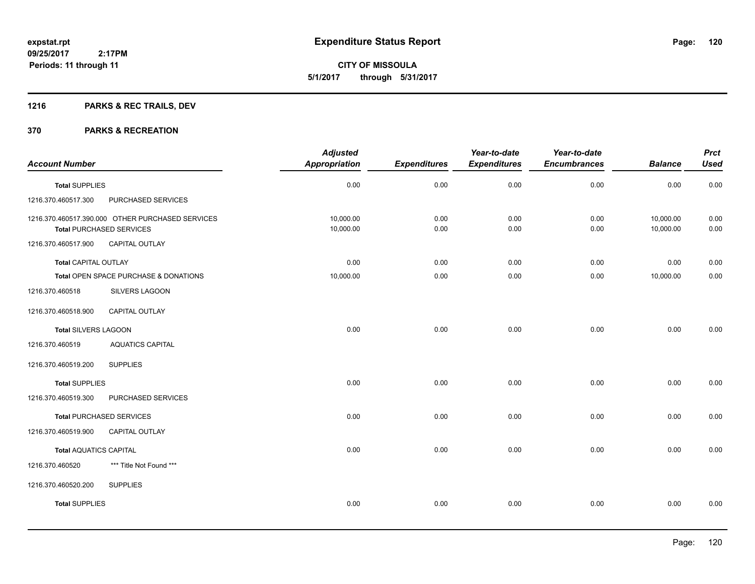## **1216 PARKS & REC TRAILS, DEV**

| <b>Account Number</b>         |                                                                                     | <b>Adjusted</b><br><b>Appropriation</b> | <b>Expenditures</b> | Year-to-date<br><b>Expenditures</b> | Year-to-date<br><b>Encumbrances</b> | <b>Balance</b>         | <b>Prct</b><br><b>Used</b> |
|-------------------------------|-------------------------------------------------------------------------------------|-----------------------------------------|---------------------|-------------------------------------|-------------------------------------|------------------------|----------------------------|
| <b>Total SUPPLIES</b>         |                                                                                     | 0.00                                    | 0.00                | 0.00                                | 0.00                                | 0.00                   | 0.00                       |
| 1216.370.460517.300           | PURCHASED SERVICES                                                                  |                                         |                     |                                     |                                     |                        |                            |
|                               | 1216.370.460517.390.000 OTHER PURCHASED SERVICES<br><b>Total PURCHASED SERVICES</b> | 10,000.00<br>10,000.00                  | 0.00<br>0.00        | 0.00<br>0.00                        | 0.00<br>0.00                        | 10,000.00<br>10,000.00 | 0.00<br>0.00               |
| 1216.370.460517.900           | <b>CAPITAL OUTLAY</b>                                                               |                                         |                     |                                     |                                     |                        |                            |
| <b>Total CAPITAL OUTLAY</b>   |                                                                                     | 0.00                                    | 0.00                | 0.00                                | 0.00                                | 0.00                   | 0.00                       |
|                               | Total OPEN SPACE PURCHASE & DONATIONS                                               | 10,000.00                               | 0.00                | 0.00                                | 0.00                                | 10,000.00              | 0.00                       |
| 1216.370.460518               | SILVERS LAGOON                                                                      |                                         |                     |                                     |                                     |                        |                            |
| 1216.370.460518.900           | CAPITAL OUTLAY                                                                      |                                         |                     |                                     |                                     |                        |                            |
| <b>Total SILVERS LAGOON</b>   |                                                                                     | 0.00                                    | 0.00                | 0.00                                | 0.00                                | 0.00                   | 0.00                       |
| 1216.370.460519               | <b>AQUATICS CAPITAL</b>                                                             |                                         |                     |                                     |                                     |                        |                            |
| 1216.370.460519.200           | <b>SUPPLIES</b>                                                                     |                                         |                     |                                     |                                     |                        |                            |
| <b>Total SUPPLIES</b>         |                                                                                     | 0.00                                    | 0.00                | 0.00                                | 0.00                                | 0.00                   | 0.00                       |
| 1216.370.460519.300           | PURCHASED SERVICES                                                                  |                                         |                     |                                     |                                     |                        |                            |
|                               | <b>Total PURCHASED SERVICES</b>                                                     | 0.00                                    | 0.00                | 0.00                                | 0.00                                | 0.00                   | 0.00                       |
| 1216.370.460519.900           | CAPITAL OUTLAY                                                                      |                                         |                     |                                     |                                     |                        |                            |
| <b>Total AQUATICS CAPITAL</b> |                                                                                     | 0.00                                    | 0.00                | 0.00                                | 0.00                                | 0.00                   | 0.00                       |
| 1216.370.460520               | *** Title Not Found ***                                                             |                                         |                     |                                     |                                     |                        |                            |
| 1216.370.460520.200           | <b>SUPPLIES</b>                                                                     |                                         |                     |                                     |                                     |                        |                            |
| <b>Total SUPPLIES</b>         |                                                                                     | 0.00                                    | 0.00                | 0.00                                | 0.00                                | 0.00                   | 0.00                       |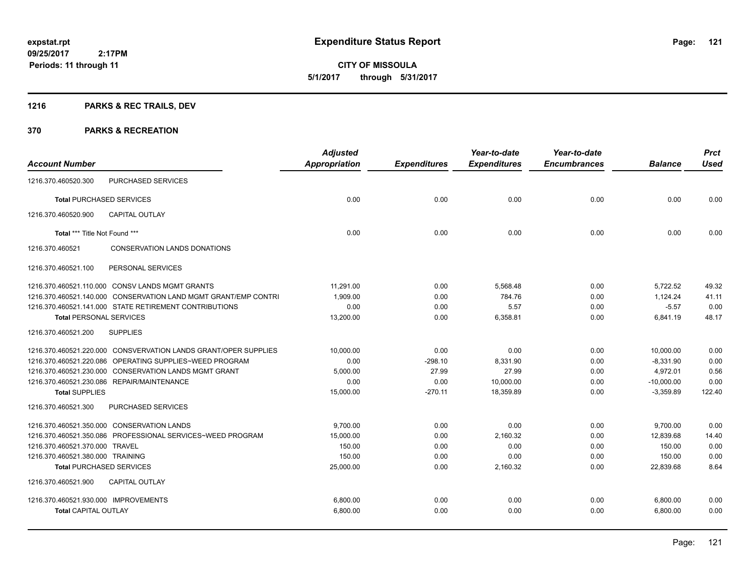**CITY OF MISSOULA 5/1/2017 through 5/31/2017**

## **1216 PARKS & REC TRAILS, DEV**

| <b>Adjusted</b><br><b>Appropriation</b> | <b>Expenditures</b>            | Year-to-date<br><b>Expenditures</b> | Year-to-date<br><b>Encumbrances</b> | <b>Balance</b>       | <b>Prct</b><br><b>Used</b>               |
|-----------------------------------------|--------------------------------|-------------------------------------|-------------------------------------|----------------------|------------------------------------------|
|                                         |                                |                                     |                                     |                      |                                          |
| 0.00                                    | 0.00                           | 0.00                                | 0.00                                | 0.00                 | 0.00                                     |
|                                         |                                |                                     |                                     |                      |                                          |
| 0.00                                    | 0.00                           | 0.00                                | 0.00                                | 0.00                 | 0.00                                     |
|                                         |                                |                                     |                                     |                      |                                          |
|                                         |                                |                                     |                                     |                      |                                          |
| 11.291.00                               | 0.00                           | 5.568.48                            | 0.00                                | 5,722.52             | 49.32                                    |
| 1.909.00                                | 0.00                           | 784.76                              | 0.00                                | 1.124.24             | 41.11                                    |
| 0.00                                    | 0.00                           | 5.57                                | 0.00                                | $-5.57$              | 0.00                                     |
| 13,200.00                               | 0.00                           | 6,358.81                            | 0.00                                | 6,841.19             | 48.17                                    |
|                                         |                                |                                     |                                     |                      |                                          |
| 10,000.00                               | 0.00                           | 0.00                                | 0.00                                | 10,000.00            | 0.00                                     |
| 0.00                                    | $-298.10$                      | 8,331.90                            | 0.00                                | $-8,331.90$          | 0.00                                     |
| 5.000.00                                |                                | 27.99                               | 0.00                                | 4.972.01             | 0.56                                     |
|                                         |                                |                                     |                                     |                      | 0.00                                     |
|                                         |                                |                                     |                                     |                      | 122.40                                   |
|                                         |                                |                                     |                                     |                      |                                          |
| 9.700.00                                | 0.00                           | 0.00                                | 0.00                                | 9,700.00             | 0.00                                     |
| 15,000.00                               | 0.00                           | 2,160.32                            | 0.00                                | 12,839.68            | 14.40                                    |
| 150.00                                  | 0.00                           | 0.00                                | 0.00                                | 150.00               | 0.00                                     |
| 150.00                                  | 0.00                           | 0.00                                | 0.00                                | 150.00               | 0.00                                     |
|                                         |                                |                                     |                                     |                      | 8.64                                     |
|                                         |                                |                                     |                                     |                      |                                          |
| 6.800.00                                | 0.00                           | 0.00                                | 0.00                                | 6,800.00             | 0.00                                     |
| 6,800.00                                | 0.00                           | 0.00                                | 0.00                                | 6,800.00             | 0.00                                     |
|                                         | 0.00<br>15,000.00<br>25,000.00 | 27.99<br>0.00<br>$-270.11$<br>0.00  | 10,000.00<br>18,359.89<br>2,160.32  | 0.00<br>0.00<br>0.00 | $-10,000.00$<br>$-3,359.89$<br>22,839.68 |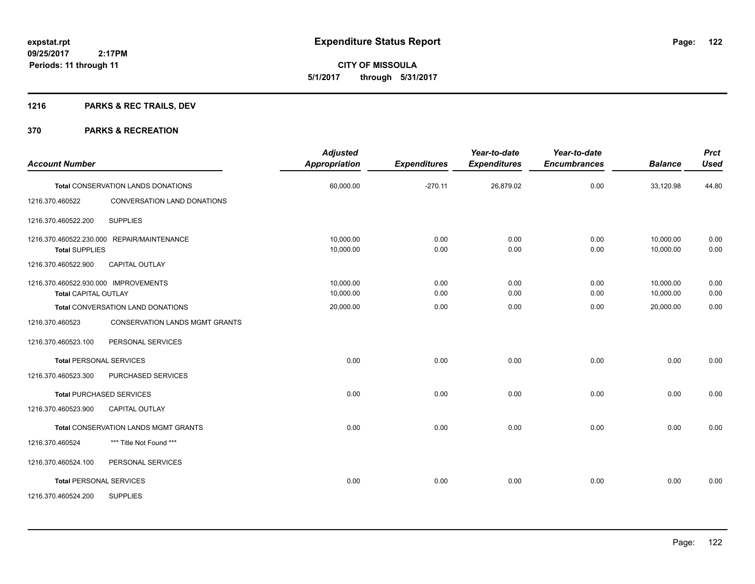## **1216 PARKS & REC TRAILS, DEV**

| <b>Account Number</b>                                               |                                            | <b>Adjusted</b><br><b>Appropriation</b> | <b>Expenditures</b> | Year-to-date<br><b>Expenditures</b> | Year-to-date<br><b>Encumbrances</b> | <b>Balance</b>         | <b>Prct</b><br><b>Used</b> |
|---------------------------------------------------------------------|--------------------------------------------|-----------------------------------------|---------------------|-------------------------------------|-------------------------------------|------------------------|----------------------------|
|                                                                     | <b>Total CONSERVATION LANDS DONATIONS</b>  | 60,000.00                               | $-270.11$           | 26,879.02                           | 0.00                                | 33,120.98              | 44.80                      |
| 1216.370.460522                                                     | CONVERSATION LAND DONATIONS                |                                         |                     |                                     |                                     |                        |                            |
| 1216.370.460522.200                                                 | <b>SUPPLIES</b>                            |                                         |                     |                                     |                                     |                        |                            |
| <b>Total SUPPLIES</b>                                               | 1216.370.460522.230.000 REPAIR/MAINTENANCE | 10,000.00<br>10,000.00                  | 0.00<br>0.00        | 0.00<br>0.00                        | 0.00<br>0.00                        | 10,000.00<br>10,000.00 | 0.00<br>0.00               |
| 1216.370.460522.900                                                 | <b>CAPITAL OUTLAY</b>                      |                                         |                     |                                     |                                     |                        |                            |
| 1216.370.460522.930.000 IMPROVEMENTS<br><b>Total CAPITAL OUTLAY</b> |                                            | 10,000.00<br>10,000.00                  | 0.00<br>0.00        | 0.00<br>0.00                        | 0.00<br>0.00                        | 10,000.00<br>10,000.00 | 0.00<br>0.00               |
| Total CONVERSATION LAND DONATIONS                                   |                                            | 20,000.00                               | 0.00                | 0.00                                | 0.00                                | 20,000.00              | 0.00                       |
| 1216.370.460523                                                     | <b>CONSERVATION LANDS MGMT GRANTS</b>      |                                         |                     |                                     |                                     |                        |                            |
| 1216.370.460523.100                                                 | PERSONAL SERVICES                          |                                         |                     |                                     |                                     |                        |                            |
|                                                                     | <b>Total PERSONAL SERVICES</b>             | 0.00                                    | 0.00                | 0.00                                | 0.00                                | 0.00                   | 0.00                       |
| 1216.370.460523.300                                                 | PURCHASED SERVICES                         |                                         |                     |                                     |                                     |                        |                            |
|                                                                     | <b>Total PURCHASED SERVICES</b>            | 0.00                                    | 0.00                | 0.00                                | 0.00                                | 0.00                   | 0.00                       |
| 1216.370.460523.900                                                 | <b>CAPITAL OUTLAY</b>                      |                                         |                     |                                     |                                     |                        |                            |
|                                                                     | Total CONSERVATION LANDS MGMT GRANTS       | 0.00                                    | 0.00                | 0.00                                | 0.00                                | 0.00                   | 0.00                       |
| 1216.370.460524                                                     | *** Title Not Found ***                    |                                         |                     |                                     |                                     |                        |                            |
| 1216.370.460524.100                                                 | PERSONAL SERVICES                          |                                         |                     |                                     |                                     |                        |                            |
|                                                                     | <b>Total PERSONAL SERVICES</b>             | 0.00                                    | 0.00                | 0.00                                | 0.00                                | 0.00                   | 0.00                       |
| 1216.370.460524.200                                                 | <b>SUPPLIES</b>                            |                                         |                     |                                     |                                     |                        |                            |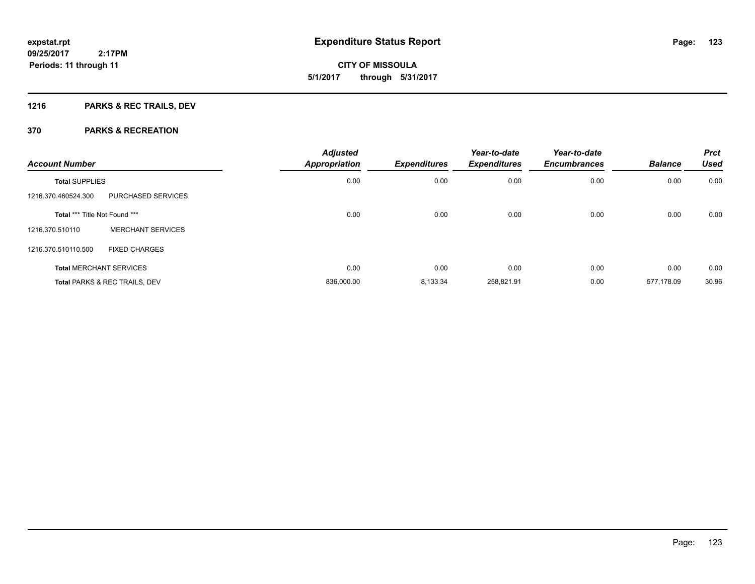## **1216 PARKS & REC TRAILS, DEV**

| <b>Account Number</b>                    |                                | <b>Adjusted</b><br><b>Appropriation</b> | <b>Expenditures</b> | Year-to-date<br><b>Expenditures</b> | Year-to-date<br><b>Encumbrances</b> | <b>Balance</b> | <b>Prct</b><br><b>Used</b> |
|------------------------------------------|--------------------------------|-----------------------------------------|---------------------|-------------------------------------|-------------------------------------|----------------|----------------------------|
| <b>Total SUPPLIES</b>                    |                                | 0.00                                    | 0.00                | 0.00                                | 0.00                                | 0.00           | 0.00                       |
| 1216.370.460524.300                      | PURCHASED SERVICES             |                                         |                     |                                     |                                     |                |                            |
| Total *** Title Not Found ***            |                                | 0.00                                    | 0.00                | 0.00                                | 0.00                                | 0.00           | 0.00                       |
| 1216.370.510110                          | <b>MERCHANT SERVICES</b>       |                                         |                     |                                     |                                     |                |                            |
| 1216.370.510110.500                      | <b>FIXED CHARGES</b>           |                                         |                     |                                     |                                     |                |                            |
|                                          | <b>Total MERCHANT SERVICES</b> | 0.00                                    | 0.00                | 0.00                                | 0.00                                | 0.00           | 0.00                       |
| <b>Total PARKS &amp; REC TRAILS, DEV</b> |                                | 836,000.00                              | 8,133.34            | 258,821.91                          | 0.00                                | 577.178.09     | 30.96                      |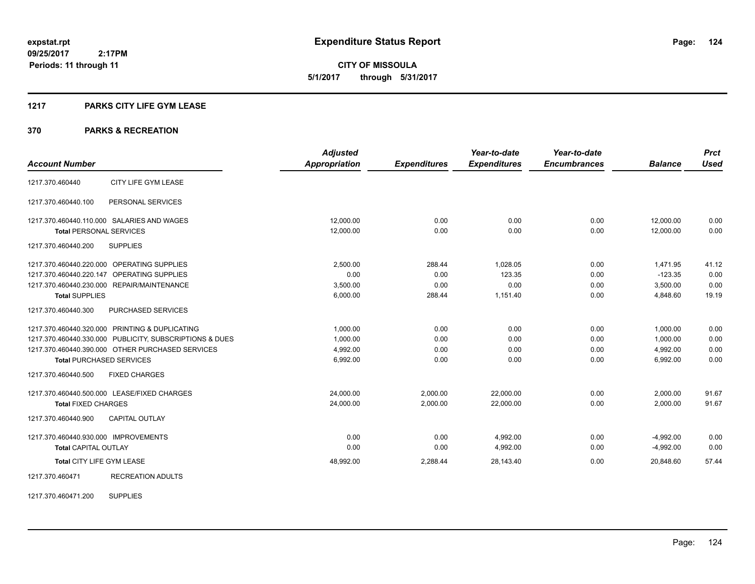**124**

**09/25/2017 2:17PM Periods: 11 through 11**

**CITY OF MISSOULA 5/1/2017 through 5/31/2017**

#### **1217 PARKS CITY LIFE GYM LEASE**

### **370 PARKS & RECREATION**

|                                      |                                                         | <b>Adjusted</b>      |                     | Year-to-date        | Year-to-date        |                | <b>Prct</b> |
|--------------------------------------|---------------------------------------------------------|----------------------|---------------------|---------------------|---------------------|----------------|-------------|
| <b>Account Number</b>                |                                                         | <b>Appropriation</b> | <b>Expenditures</b> | <b>Expenditures</b> | <b>Encumbrances</b> | <b>Balance</b> | <b>Used</b> |
| 1217.370.460440                      | CITY LIFE GYM LEASE                                     |                      |                     |                     |                     |                |             |
| 1217.370.460440.100                  | PERSONAL SERVICES                                       |                      |                     |                     |                     |                |             |
|                                      | 1217.370.460440.110.000 SALARIES AND WAGES              | 12,000.00            | 0.00                | 0.00                | 0.00                | 12,000.00      | 0.00        |
| <b>Total PERSONAL SERVICES</b>       |                                                         | 12,000.00            | 0.00                | 0.00                | 0.00                | 12,000.00      | 0.00        |
| 1217.370.460440.200                  | <b>SUPPLIES</b>                                         |                      |                     |                     |                     |                |             |
|                                      | 1217.370.460440.220.000 OPERATING SUPPLIES              | 2,500.00             | 288.44              | 1,028.05            | 0.00                | 1,471.95       | 41.12       |
| 1217.370.460440.220.147              | OPERATING SUPPLIES                                      | 0.00                 | 0.00                | 123.35              | 0.00                | $-123.35$      | 0.00        |
|                                      | 1217.370.460440.230.000 REPAIR/MAINTENANCE              | 3,500.00             | 0.00                | 0.00                | 0.00                | 3,500.00       | 0.00        |
| <b>Total SUPPLIES</b>                |                                                         | 6,000.00             | 288.44              | 1.151.40            | 0.00                | 4,848.60       | 19.19       |
| 1217.370.460440.300                  | PURCHASED SERVICES                                      |                      |                     |                     |                     |                |             |
|                                      | 1217.370.460440.320.000 PRINTING & DUPLICATING          | 1,000.00             | 0.00                | 0.00                | 0.00                | 1,000.00       | 0.00        |
|                                      | 1217.370.460440.330.000 PUBLICITY, SUBSCRIPTIONS & DUES | 1,000.00             | 0.00                | 0.00                | 0.00                | 1,000.00       | 0.00        |
|                                      | 1217.370.460440.390.000 OTHER PURCHASED SERVICES        | 4,992.00             | 0.00                | 0.00                | 0.00                | 4,992.00       | 0.00        |
| <b>Total PURCHASED SERVICES</b>      |                                                         | 6,992.00             | 0.00                | 0.00                | 0.00                | 6,992.00       | 0.00        |
| 1217.370.460440.500                  | <b>FIXED CHARGES</b>                                    |                      |                     |                     |                     |                |             |
|                                      | 1217.370.460440.500.000 LEASE/FIXED CHARGES             | 24,000.00            | 2,000.00            | 22,000.00           | 0.00                | 2,000.00       | 91.67       |
| <b>Total FIXED CHARGES</b>           |                                                         | 24,000.00            | 2,000.00            | 22.000.00           | 0.00                | 2,000.00       | 91.67       |
| 1217.370.460440.900                  | <b>CAPITAL OUTLAY</b>                                   |                      |                     |                     |                     |                |             |
| 1217.370.460440.930.000 IMPROVEMENTS |                                                         | 0.00                 | 0.00                | 4,992.00            | 0.00                | $-4,992.00$    | 0.00        |
| <b>Total CAPITAL OUTLAY</b>          |                                                         | 0.00                 | 0.00                | 4,992.00            | 0.00                | $-4,992.00$    | 0.00        |
| Total CITY LIFE GYM LEASE            |                                                         | 48,992.00            | 2,288.44            | 28,143.40           | 0.00                | 20,848.60      | 57.44       |
| 1217.370.460471                      | <b>RECREATION ADULTS</b>                                |                      |                     |                     |                     |                |             |

1217.370.460471.200 SUPPLIES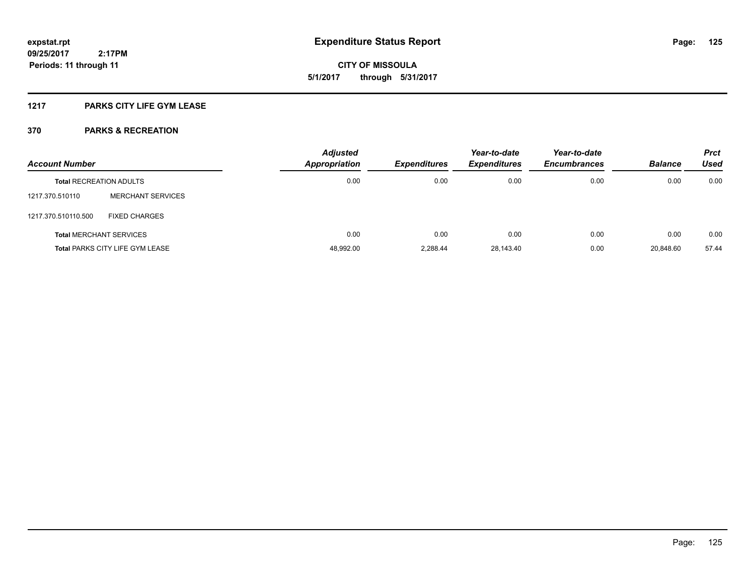**125**

**09/25/2017 2:17PM Periods: 11 through 11**

**CITY OF MISSOULA 5/1/2017 through 5/31/2017**

### **1217 PARKS CITY LIFE GYM LEASE**

| <b>Account Number</b>                  |                                | <b>Adjusted</b><br>Appropriation | <b>Expenditures</b> | Year-to-date<br><b>Expenditures</b> | Year-to-date<br><b>Encumbrances</b> | <b>Balance</b> | <b>Prct</b><br>Used |
|----------------------------------------|--------------------------------|----------------------------------|---------------------|-------------------------------------|-------------------------------------|----------------|---------------------|
| <b>Total RECREATION ADULTS</b>         |                                | 0.00                             | 0.00                | 0.00                                | 0.00                                | 0.00           | 0.00                |
| 1217.370.510110                        | <b>MERCHANT SERVICES</b>       |                                  |                     |                                     |                                     |                |                     |
| 1217.370.510110.500                    | <b>FIXED CHARGES</b>           |                                  |                     |                                     |                                     |                |                     |
|                                        | <b>Total MERCHANT SERVICES</b> | 0.00                             | 0.00                | 0.00                                | 0.00                                | 0.00           | 0.00                |
| <b>Total PARKS CITY LIFE GYM LEASE</b> |                                | 48,992.00                        | 2.288.44            | 28,143.40                           | 0.00                                | 20.848.60      | 57.44               |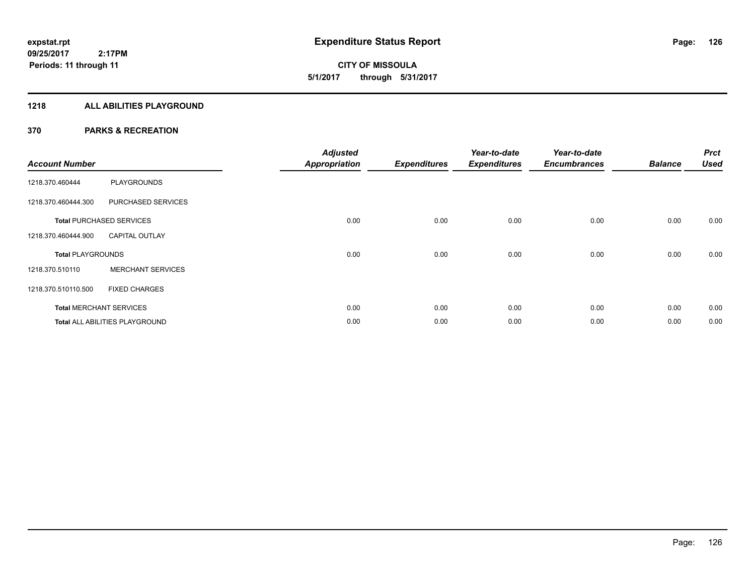**CITY OF MISSOULA 5/1/2017 through 5/31/2017**

#### **1218 ALL ABILITIES PLAYGROUND**

| <b>Account Number</b>           |                                | <b>Adjusted</b><br><b>Appropriation</b> | <b>Expenditures</b> | Year-to-date<br><b>Expenditures</b> | Year-to-date<br><b>Encumbrances</b> | <b>Balance</b> | <b>Prct</b><br><b>Used</b> |
|---------------------------------|--------------------------------|-----------------------------------------|---------------------|-------------------------------------|-------------------------------------|----------------|----------------------------|
| 1218.370.460444                 | <b>PLAYGROUNDS</b>             |                                         |                     |                                     |                                     |                |                            |
| 1218.370.460444.300             | PURCHASED SERVICES             |                                         |                     |                                     |                                     |                |                            |
| <b>Total PURCHASED SERVICES</b> |                                | 0.00                                    | 0.00                | 0.00                                | 0.00                                | 0.00           | 0.00                       |
| 1218.370.460444.900             | <b>CAPITAL OUTLAY</b>          |                                         |                     |                                     |                                     |                |                            |
| <b>Total PLAYGROUNDS</b>        |                                | 0.00                                    | 0.00                | 0.00                                | 0.00                                | 0.00           | 0.00                       |
| 1218.370.510110                 | <b>MERCHANT SERVICES</b>       |                                         |                     |                                     |                                     |                |                            |
| 1218.370.510110.500             | <b>FIXED CHARGES</b>           |                                         |                     |                                     |                                     |                |                            |
|                                 | <b>Total MERCHANT SERVICES</b> | 0.00                                    | 0.00                | 0.00                                | 0.00                                | 0.00           | 0.00                       |
|                                 | Total ALL ABILITIES PLAYGROUND | 0.00                                    | 0.00                | 0.00                                | 0.00                                | 0.00           | 0.00                       |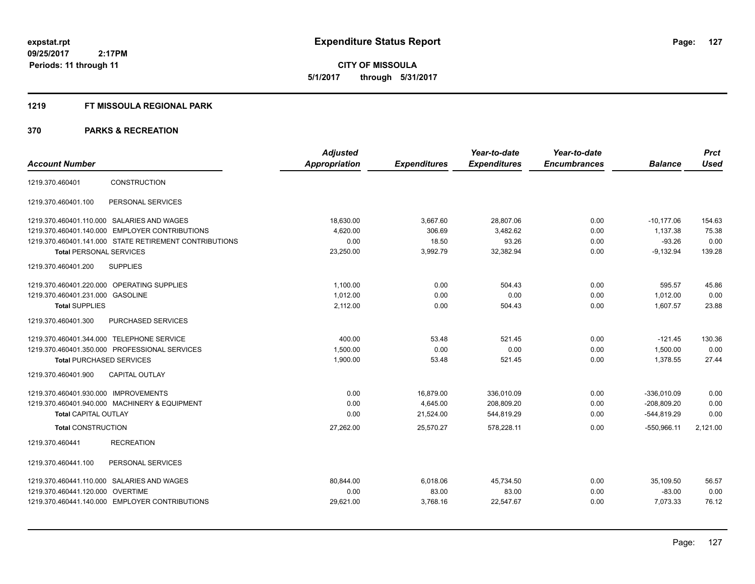#### **1219 FT MISSOULA REGIONAL PARK**

|                                                        | <b>Adjusted</b> |                     | Year-to-date        | Year-to-date        |                | <b>Prct</b> |
|--------------------------------------------------------|-----------------|---------------------|---------------------|---------------------|----------------|-------------|
| <b>Account Number</b>                                  | Appropriation   | <b>Expenditures</b> | <b>Expenditures</b> | <b>Encumbrances</b> | <b>Balance</b> | <b>Used</b> |
| <b>CONSTRUCTION</b><br>1219.370.460401                 |                 |                     |                     |                     |                |             |
| PERSONAL SERVICES<br>1219.370.460401.100               |                 |                     |                     |                     |                |             |
| 1219.370.460401.110.000 SALARIES AND WAGES             | 18,630.00       | 3,667.60            | 28,807.06           | 0.00                | $-10,177.06$   | 154.63      |
| 1219.370.460401.140.000 EMPLOYER CONTRIBUTIONS         | 4,620.00        | 306.69              | 3,482.62            | 0.00                | 1,137.38       | 75.38       |
| 1219.370.460401.141.000 STATE RETIREMENT CONTRIBUTIONS | 0.00            | 18.50               | 93.26               | 0.00                | $-93.26$       | 0.00        |
| <b>Total PERSONAL SERVICES</b>                         | 23,250.00       | 3,992.79            | 32,382.94           | 0.00                | $-9,132.94$    | 139.28      |
| 1219.370.460401.200<br><b>SUPPLIES</b>                 |                 |                     |                     |                     |                |             |
| 1219.370.460401.220.000 OPERATING SUPPLIES             | 1.100.00        | 0.00                | 504.43              | 0.00                | 595.57         | 45.86       |
| 1219.370.460401.231.000 GASOLINE                       | 1,012.00        | 0.00                | 0.00                | 0.00                | 1,012.00       | 0.00        |
| <b>Total SUPPLIES</b>                                  | 2,112.00        | 0.00                | 504.43              | 0.00                | 1,607.57       | 23.88       |
| 1219.370.460401.300<br>PURCHASED SERVICES              |                 |                     |                     |                     |                |             |
| 1219.370.460401.344.000 TELEPHONE SERVICE              | 400.00          | 53.48               | 521.45              | 0.00                | $-121.45$      | 130.36      |
| 1219.370.460401.350.000 PROFESSIONAL SERVICES          | 1,500.00        | 0.00                | 0.00                | 0.00                | 1,500.00       | 0.00        |
| <b>Total PURCHASED SERVICES</b>                        | 1,900.00        | 53.48               | 521.45              | 0.00                | 1.378.55       | 27.44       |
| <b>CAPITAL OUTLAY</b><br>1219.370.460401.900           |                 |                     |                     |                     |                |             |
| 1219.370.460401.930.000 IMPROVEMENTS                   | 0.00            | 16,879.00           | 336,010.09          | 0.00                | $-336,010.09$  | 0.00        |
| 1219.370.460401.940.000 MACHINERY & EQUIPMENT          | 0.00            | 4,645.00            | 208,809.20          | 0.00                | $-208,809.20$  | 0.00        |
| <b>Total CAPITAL OUTLAY</b>                            | 0.00            | 21,524.00           | 544,819.29          | 0.00                | $-544,819.29$  | 0.00        |
| <b>Total CONSTRUCTION</b>                              | 27,262.00       | 25,570.27           | 578,228.11          | 0.00                | $-550,966.11$  | 2,121.00    |
| 1219.370.460441<br><b>RECREATION</b>                   |                 |                     |                     |                     |                |             |
| PERSONAL SERVICES<br>1219.370.460441.100               |                 |                     |                     |                     |                |             |
| 1219.370.460441.110.000 SALARIES AND WAGES             | 80.844.00       | 6,018.06            | 45,734.50           | 0.00                | 35,109.50      | 56.57       |
| 1219.370.460441.120.000 OVERTIME                       | 0.00            | 83.00               | 83.00               | 0.00                | $-83.00$       | 0.00        |
| 1219.370.460441.140.000 EMPLOYER CONTRIBUTIONS         | 29,621.00       | 3,768.16            | 22,547.67           | 0.00                | 7,073.33       | 76.12       |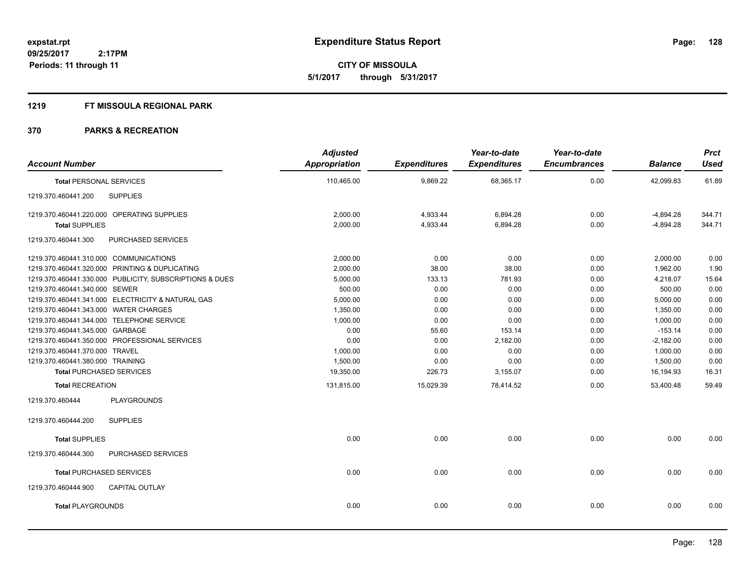**CITY OF MISSOULA 5/1/2017 through 5/31/2017**

#### **1219 FT MISSOULA REGIONAL PARK**

| <b>Account Number</b>                                   |                       | <b>Adjusted</b><br>Appropriation | <b>Expenditures</b> | Year-to-date<br><b>Expenditures</b> | Year-to-date<br><b>Encumbrances</b> | <b>Balance</b> | <b>Prct</b><br><b>Used</b> |
|---------------------------------------------------------|-----------------------|----------------------------------|---------------------|-------------------------------------|-------------------------------------|----------------|----------------------------|
| <b>Total PERSONAL SERVICES</b>                          |                       | 110,465.00                       | 9,869.22            | 68,365.17                           | 0.00                                | 42,099.83      | 61.89                      |
| <b>SUPPLIES</b><br>1219.370.460441.200                  |                       |                                  |                     |                                     |                                     |                |                            |
| 1219.370.460441.220.000 OPERATING SUPPLIES              |                       | 2,000.00                         | 4,933.44            | 6,894.28                            | 0.00                                | $-4,894.28$    | 344.71                     |
| <b>Total SUPPLIES</b>                                   |                       | 2,000.00                         | 4,933.44            | 6,894.28                            | 0.00                                | $-4,894.28$    | 344.71                     |
| 1219.370.460441.300                                     | PURCHASED SERVICES    |                                  |                     |                                     |                                     |                |                            |
| 1219.370.460441.310.000 COMMUNICATIONS                  |                       | 2,000.00                         | 0.00                | 0.00                                | 0.00                                | 2,000.00       | 0.00                       |
| 1219.370.460441.320.000 PRINTING & DUPLICATING          |                       | 2,000.00                         | 38.00               | 38.00                               | 0.00                                | 1,962.00       | 1.90                       |
| 1219.370.460441.330.000 PUBLICITY, SUBSCRIPTIONS & DUES |                       | 5,000.00                         | 133.13              | 781.93                              | 0.00                                | 4,218.07       | 15.64                      |
| 1219.370.460441.340.000 SEWER                           |                       | 500.00                           | 0.00                | 0.00                                | 0.00                                | 500.00         | 0.00                       |
| 1219.370.460441.341.000 ELECTRICITY & NATURAL GAS       |                       | 5,000.00                         | 0.00                | 0.00                                | 0.00                                | 5,000.00       | 0.00                       |
| 1219.370.460441.343.000 WATER CHARGES                   |                       | 1,350.00                         | 0.00                | 0.00                                | 0.00                                | 1,350.00       | 0.00                       |
| 1219.370.460441.344.000 TELEPHONE SERVICE               |                       | 1,000.00                         | 0.00                | 0.00                                | 0.00                                | 1,000.00       | 0.00                       |
| 1219.370.460441.345.000 GARBAGE                         |                       | 0.00                             | 55.60               | 153.14                              | 0.00                                | $-153.14$      | 0.00                       |
| 1219.370.460441.350.000 PROFESSIONAL SERVICES           |                       | 0.00                             | 0.00                | 2,182.00                            | 0.00                                | $-2,182.00$    | 0.00                       |
| 1219.370.460441.370.000 TRAVEL                          |                       | 1,000.00                         | 0.00                | 0.00                                | 0.00                                | 1,000.00       | 0.00                       |
| 1219.370.460441.380.000 TRAINING                        |                       | 1,500.00                         | 0.00                | 0.00                                | 0.00                                | 1,500.00       | 0.00                       |
| <b>Total PURCHASED SERVICES</b>                         |                       | 19,350.00                        | 226.73              | 3,155.07                            | 0.00                                | 16,194.93      | 16.31                      |
| <b>Total RECREATION</b>                                 |                       | 131,815.00                       | 15,029.39           | 78,414.52                           | 0.00                                | 53,400.48      | 59.49                      |
| 1219.370.460444                                         | <b>PLAYGROUNDS</b>    |                                  |                     |                                     |                                     |                |                            |
| <b>SUPPLIES</b><br>1219.370.460444.200                  |                       |                                  |                     |                                     |                                     |                |                            |
| <b>Total SUPPLIES</b>                                   |                       | 0.00                             | 0.00                | 0.00                                | 0.00                                | 0.00           | 0.00                       |
| 1219.370.460444.300                                     | PURCHASED SERVICES    |                                  |                     |                                     |                                     |                |                            |
| <b>Total PURCHASED SERVICES</b>                         |                       | 0.00                             | 0.00                | 0.00                                | 0.00                                | 0.00           | 0.00                       |
| 1219.370.460444.900                                     | <b>CAPITAL OUTLAY</b> |                                  |                     |                                     |                                     |                |                            |
| <b>Total PLAYGROUNDS</b>                                |                       | 0.00                             | 0.00                | 0.00                                | 0.00                                | 0.00           | 0.00                       |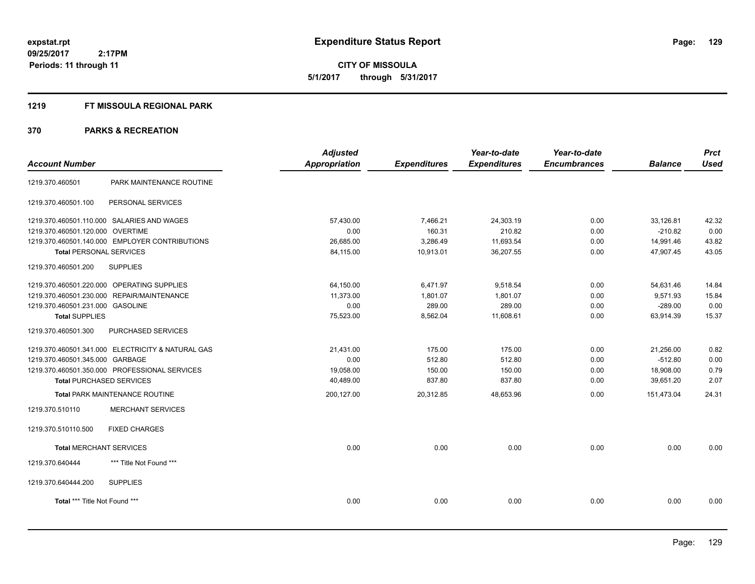#### **1219 FT MISSOULA REGIONAL PARK**

| <b>Appropriation</b><br><b>Expenditures</b><br><b>Expenditures</b><br><b>Encumbrances</b><br><b>Account Number</b><br><b>Balance</b><br>PARK MAINTENANCE ROUTINE<br>1219.370.460501<br>PERSONAL SERVICES<br>1219.370.460501.100<br>1219.370.460501.110.000 SALARIES AND WAGES<br>57,430.00<br>7,466.21<br>24,303.19<br>0.00<br>33,126.81<br>160.31<br>210.82<br>1219.370.460501.120.000 OVERTIME<br>0.00<br>0.00<br>$-210.82$<br>1219.370.460501.140.000 EMPLOYER CONTRIBUTIONS<br>26,685.00<br>3,286.49<br>11,693.54<br>0.00<br>14,991.46<br>84,115.00<br>10,913.01<br>36,207.55<br>0.00<br>47,907.45<br><b>Total PERSONAL SERVICES</b><br>1219.370.460501.200<br><b>SUPPLIES</b><br>1219.370.460501.220.000 OPERATING SUPPLIES<br>64,150.00<br>6,471.97<br>9,518.54<br>0.00<br>54,631.46<br>1219.370.460501.230.000 REPAIR/MAINTENANCE<br>9,571.93<br>11,373.00<br>1,801.07<br>1,801.07<br>0.00 | <b>Prct</b><br><b>Used</b> |
|---------------------------------------------------------------------------------------------------------------------------------------------------------------------------------------------------------------------------------------------------------------------------------------------------------------------------------------------------------------------------------------------------------------------------------------------------------------------------------------------------------------------------------------------------------------------------------------------------------------------------------------------------------------------------------------------------------------------------------------------------------------------------------------------------------------------------------------------------------------------------------------------------|----------------------------|
|                                                                                                                                                                                                                                                                                                                                                                                                                                                                                                                                                                                                                                                                                                                                                                                                                                                                                                   |                            |
|                                                                                                                                                                                                                                                                                                                                                                                                                                                                                                                                                                                                                                                                                                                                                                                                                                                                                                   |                            |
|                                                                                                                                                                                                                                                                                                                                                                                                                                                                                                                                                                                                                                                                                                                                                                                                                                                                                                   |                            |
|                                                                                                                                                                                                                                                                                                                                                                                                                                                                                                                                                                                                                                                                                                                                                                                                                                                                                                   | 42.32                      |
|                                                                                                                                                                                                                                                                                                                                                                                                                                                                                                                                                                                                                                                                                                                                                                                                                                                                                                   | 0.00                       |
|                                                                                                                                                                                                                                                                                                                                                                                                                                                                                                                                                                                                                                                                                                                                                                                                                                                                                                   | 43.82                      |
|                                                                                                                                                                                                                                                                                                                                                                                                                                                                                                                                                                                                                                                                                                                                                                                                                                                                                                   | 43.05                      |
|                                                                                                                                                                                                                                                                                                                                                                                                                                                                                                                                                                                                                                                                                                                                                                                                                                                                                                   |                            |
|                                                                                                                                                                                                                                                                                                                                                                                                                                                                                                                                                                                                                                                                                                                                                                                                                                                                                                   | 14.84                      |
|                                                                                                                                                                                                                                                                                                                                                                                                                                                                                                                                                                                                                                                                                                                                                                                                                                                                                                   | 15.84                      |
| 1219.370.460501.231.000 GASOLINE<br>289.00<br>289.00<br>0.00<br>0.00<br>$-289.00$                                                                                                                                                                                                                                                                                                                                                                                                                                                                                                                                                                                                                                                                                                                                                                                                                 | 0.00                       |
| <b>Total SUPPLIES</b><br>75,523.00<br>8,562.04<br>11,608.61<br>0.00<br>63,914.39                                                                                                                                                                                                                                                                                                                                                                                                                                                                                                                                                                                                                                                                                                                                                                                                                  | 15.37                      |
| 1219.370.460501.300<br>PURCHASED SERVICES                                                                                                                                                                                                                                                                                                                                                                                                                                                                                                                                                                                                                                                                                                                                                                                                                                                         |                            |
| 1219.370.460501.341.000 ELECTRICITY & NATURAL GAS<br>21,431.00<br>175.00<br>175.00<br>0.00<br>21,256.00                                                                                                                                                                                                                                                                                                                                                                                                                                                                                                                                                                                                                                                                                                                                                                                           | 0.82                       |
| 512.80<br>512.80<br>1219.370.460501.345.000 GARBAGE<br>0.00<br>0.00<br>$-512.80$                                                                                                                                                                                                                                                                                                                                                                                                                                                                                                                                                                                                                                                                                                                                                                                                                  | 0.00                       |
| 1219.370.460501.350.000 PROFESSIONAL SERVICES<br>150.00<br>19,058.00<br>150.00<br>0.00<br>18,908.00                                                                                                                                                                                                                                                                                                                                                                                                                                                                                                                                                                                                                                                                                                                                                                                               | 0.79                       |
| 40,489.00<br>837.80<br>837.80<br>39,651.20<br><b>Total PURCHASED SERVICES</b><br>0.00                                                                                                                                                                                                                                                                                                                                                                                                                                                                                                                                                                                                                                                                                                                                                                                                             | 2.07                       |
| <b>Total PARK MAINTENANCE ROUTINE</b><br>0.00<br>200,127.00<br>20,312.85<br>48,653.96<br>151,473.04                                                                                                                                                                                                                                                                                                                                                                                                                                                                                                                                                                                                                                                                                                                                                                                               | 24.31                      |
| 1219.370.510110<br><b>MERCHANT SERVICES</b>                                                                                                                                                                                                                                                                                                                                                                                                                                                                                                                                                                                                                                                                                                                                                                                                                                                       |                            |
| <b>FIXED CHARGES</b><br>1219.370.510110.500                                                                                                                                                                                                                                                                                                                                                                                                                                                                                                                                                                                                                                                                                                                                                                                                                                                       |                            |
| 0.00<br>0.00<br>0.00<br>0.00<br>0.00<br><b>Total MERCHANT SERVICES</b>                                                                                                                                                                                                                                                                                                                                                                                                                                                                                                                                                                                                                                                                                                                                                                                                                            | 0.00                       |
| 1219.370.640444<br>*** Title Not Found ***                                                                                                                                                                                                                                                                                                                                                                                                                                                                                                                                                                                                                                                                                                                                                                                                                                                        |                            |
| <b>SUPPLIES</b><br>1219.370.640444.200                                                                                                                                                                                                                                                                                                                                                                                                                                                                                                                                                                                                                                                                                                                                                                                                                                                            |                            |
| 0.00<br>0.00<br>0.00<br>Total *** Title Not Found ***<br>0.00<br>0.00                                                                                                                                                                                                                                                                                                                                                                                                                                                                                                                                                                                                                                                                                                                                                                                                                             | 0.00                       |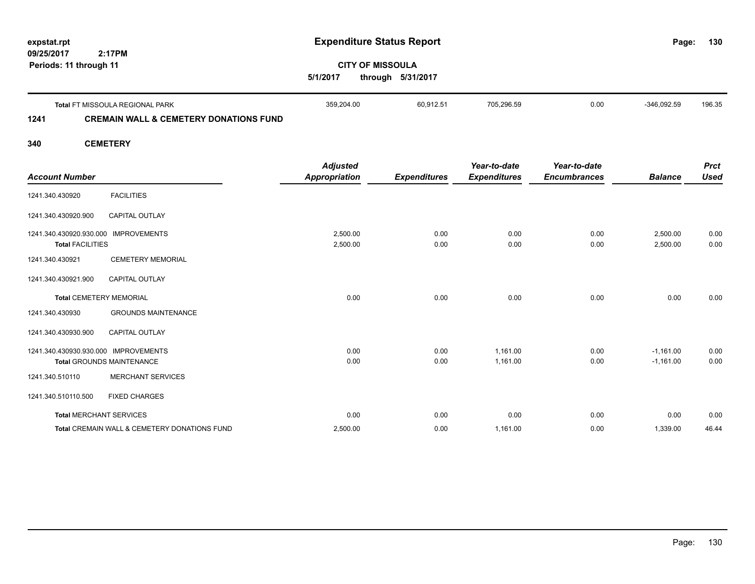| expstat.rpt            |        | <b>Expenditure Status Report</b> | Page: |
|------------------------|--------|----------------------------------|-------|
| 09/25/2017             | 2:17PM |                                  |       |
| Periods: 11 through 11 |        | <b>CITY OF MISSOULA</b>          |       |
|                        |        |                                  |       |

**5/1/2017 through 5/31/2017**

|      | <b>Total FT MISSOULA REGIONAL PARK</b>            | 359.204.00 | 60.912.51 | 705.296.59 | 0.00 | $-346.092.59$ | 196.35 |
|------|---------------------------------------------------|------------|-----------|------------|------|---------------|--------|
| 1241 | <b>CREMAIN WALL &amp; CEMETERY DONATIONS FUND</b> |            |           |            |      |               |        |

### **340 CEMETERY**

|                                                    |                                              | <b>Adjusted</b>      |                     | Year-to-date        | Year-to-date        |                      | <b>Prct</b>  |
|----------------------------------------------------|----------------------------------------------|----------------------|---------------------|---------------------|---------------------|----------------------|--------------|
| <b>Account Number</b>                              |                                              | <b>Appropriation</b> | <b>Expenditures</b> | <b>Expenditures</b> | <b>Encumbrances</b> | <b>Balance</b>       | <b>Used</b>  |
| 1241.340.430920                                    | <b>FACILITIES</b>                            |                      |                     |                     |                     |                      |              |
| 1241.340.430920.900                                | <b>CAPITAL OUTLAY</b>                        |                      |                     |                     |                     |                      |              |
| 1241.340.430920.930.000<br><b>Total FACILITIES</b> | <b>IMPROVEMENTS</b>                          | 2,500.00<br>2,500.00 | 0.00<br>0.00        | 0.00<br>0.00        | 0.00<br>0.00        | 2,500.00<br>2,500.00 | 0.00<br>0.00 |
| 1241.340.430921                                    | <b>CEMETERY MEMORIAL</b>                     |                      |                     |                     |                     |                      |              |
| 1241.340.430921.900                                | <b>CAPITAL OUTLAY</b>                        |                      |                     |                     |                     |                      |              |
|                                                    | <b>Total CEMETERY MEMORIAL</b>               | 0.00                 | 0.00                | 0.00                | 0.00                | 0.00                 | 0.00         |
| 1241.340.430930                                    | <b>GROUNDS MAINTENANCE</b>                   |                      |                     |                     |                     |                      |              |
| 1241.340.430930.900                                | <b>CAPITAL OUTLAY</b>                        |                      |                     |                     |                     |                      |              |
| 1241.340.430930.930.000 IMPROVEMENTS               |                                              | 0.00                 | 0.00                | 1.161.00            | 0.00                | $-1,161.00$          | 0.00         |
|                                                    | <b>Total GROUNDS MAINTENANCE</b>             | 0.00                 | 0.00                | 1.161.00            | 0.00                | $-1,161.00$          | 0.00         |
| 1241.340.510110                                    | <b>MERCHANT SERVICES</b>                     |                      |                     |                     |                     |                      |              |
| 1241.340.510110.500                                | <b>FIXED CHARGES</b>                         |                      |                     |                     |                     |                      |              |
| <b>Total MERCHANT SERVICES</b>                     |                                              | 0.00                 | 0.00                | 0.00                | 0.00                | 0.00                 | 0.00         |
|                                                    | Total CREMAIN WALL & CEMETERY DONATIONS FUND | 2,500.00             | 0.00                | 1,161.00            | 0.00                | 1,339.00             | 46.44        |

**130**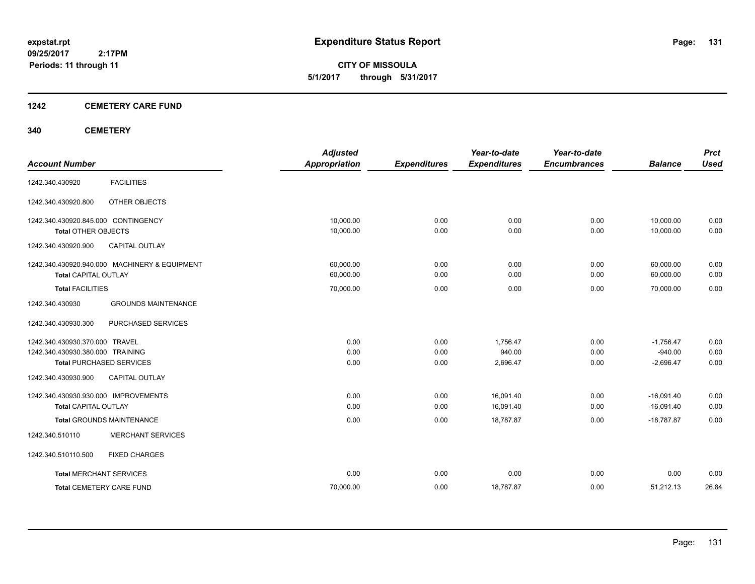**CITY OF MISSOULA 5/1/2017 through 5/31/2017**

### **1242 CEMETERY CARE FUND**

### **340 CEMETERY**

| <b>Account Number</b>                                                                                                                                 | <b>Adjusted</b><br><b>Appropriation</b> | <b>Expenditures</b>  | Year-to-date<br><b>Expenditures</b> | Year-to-date<br><b>Encumbrances</b> | <b>Balance</b>                               | <b>Prct</b><br><b>Used</b> |
|-------------------------------------------------------------------------------------------------------------------------------------------------------|-----------------------------------------|----------------------|-------------------------------------|-------------------------------------|----------------------------------------------|----------------------------|
| <b>FACILITIES</b><br>1242.340.430920                                                                                                                  |                                         |                      |                                     |                                     |                                              |                            |
| 1242.340.430920.800<br>OTHER OBJECTS                                                                                                                  |                                         |                      |                                     |                                     |                                              |                            |
| 1242.340.430920.845.000 CONTINGENCY<br><b>Total OTHER OBJECTS</b>                                                                                     | 10,000.00<br>10,000.00                  | 0.00<br>0.00         | 0.00<br>0.00                        | 0.00<br>0.00                        | 10.000.00<br>10,000.00                       | 0.00<br>0.00               |
| 1242.340.430920.900<br><b>CAPITAL OUTLAY</b>                                                                                                          |                                         |                      |                                     |                                     |                                              |                            |
| 1242.340.430920.940.000 MACHINERY & EQUIPMENT<br><b>Total CAPITAL OUTLAY</b>                                                                          | 60,000.00<br>60,000.00                  | 0.00<br>0.00         | 0.00<br>0.00                        | 0.00<br>0.00                        | 60,000.00<br>60,000.00                       | 0.00<br>0.00               |
| <b>Total FACILITIES</b>                                                                                                                               | 70,000.00                               | 0.00                 | 0.00                                | 0.00                                | 70,000.00                                    | 0.00                       |
| <b>GROUNDS MAINTENANCE</b><br>1242.340.430930                                                                                                         |                                         |                      |                                     |                                     |                                              |                            |
| PURCHASED SERVICES<br>1242.340.430930.300                                                                                                             |                                         |                      |                                     |                                     |                                              |                            |
| 1242.340.430930.370.000 TRAVEL<br>1242.340.430930.380.000 TRAINING<br><b>Total PURCHASED SERVICES</b><br><b>CAPITAL OUTLAY</b><br>1242.340.430930.900 | 0.00<br>0.00<br>0.00                    | 0.00<br>0.00<br>0.00 | 1,756.47<br>940.00<br>2,696.47      | 0.00<br>0.00<br>0.00                | $-1,756.47$<br>$-940.00$<br>$-2,696.47$      | 0.00<br>0.00<br>0.00       |
| 1242.340.430930.930.000 IMPROVEMENTS<br><b>Total CAPITAL OUTLAY</b><br><b>Total GROUNDS MAINTENANCE</b>                                               | 0.00<br>0.00<br>0.00                    | 0.00<br>0.00<br>0.00 | 16.091.40<br>16,091.40<br>18,787.87 | 0.00<br>0.00<br>0.00                | $-16.091.40$<br>$-16,091.40$<br>$-18,787.87$ | 0.00<br>0.00<br>0.00       |
| <b>MERCHANT SERVICES</b><br>1242.340.510110                                                                                                           |                                         |                      |                                     |                                     |                                              |                            |
| 1242.340.510110.500<br><b>FIXED CHARGES</b>                                                                                                           |                                         |                      |                                     |                                     |                                              |                            |
| <b>Total MERCHANT SERVICES</b>                                                                                                                        | 0.00                                    | 0.00                 | 0.00                                | 0.00                                | 0.00                                         | 0.00                       |
| <b>Total CEMETERY CARE FUND</b>                                                                                                                       | 70,000.00                               | 0.00                 | 18,787.87                           | 0.00                                | 51,212.13                                    | 26.84                      |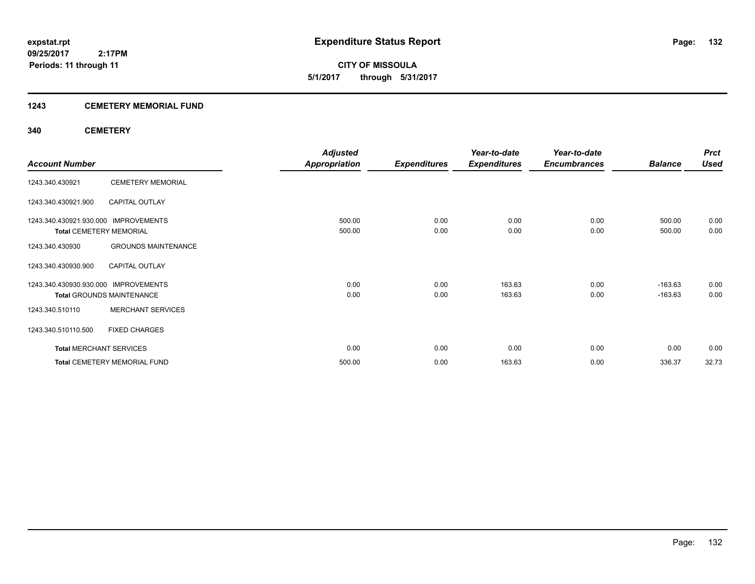### **1243 CEMETERY MEMORIAL FUND**

### **340 CEMETERY**

|                                      |                                     | <b>Adjusted</b>      |                     | Year-to-date        | Year-to-date        |                | <b>Prct</b> |
|--------------------------------------|-------------------------------------|----------------------|---------------------|---------------------|---------------------|----------------|-------------|
| <b>Account Number</b>                |                                     | <b>Appropriation</b> | <b>Expenditures</b> | <b>Expenditures</b> | <b>Encumbrances</b> | <b>Balance</b> | <b>Used</b> |
| 1243.340.430921                      | <b>CEMETERY MEMORIAL</b>            |                      |                     |                     |                     |                |             |
| 1243.340.430921.900                  | <b>CAPITAL OUTLAY</b>               |                      |                     |                     |                     |                |             |
| 1243.340.430921.930.000 IMPROVEMENTS |                                     | 500.00               | 0.00                | 0.00                | 0.00                | 500.00         | 0.00        |
| <b>Total CEMETERY MEMORIAL</b>       |                                     | 500.00               | 0.00                | 0.00                | 0.00                | 500.00         | 0.00        |
| 1243.340.430930                      | <b>GROUNDS MAINTENANCE</b>          |                      |                     |                     |                     |                |             |
| 1243.340.430930.900                  | <b>CAPITAL OUTLAY</b>               |                      |                     |                     |                     |                |             |
| 1243.340.430930.930.000              | <b>IMPROVEMENTS</b>                 | 0.00                 | 0.00                | 163.63              | 0.00                | $-163.63$      | 0.00        |
|                                      | <b>Total GROUNDS MAINTENANCE</b>    | 0.00                 | 0.00                | 163.63              | 0.00                | $-163.63$      | 0.00        |
| 1243.340.510110                      | <b>MERCHANT SERVICES</b>            |                      |                     |                     |                     |                |             |
| 1243.340.510110.500                  | <b>FIXED CHARGES</b>                |                      |                     |                     |                     |                |             |
| <b>Total MERCHANT SERVICES</b>       |                                     | 0.00                 | 0.00                | 0.00                | 0.00                | 0.00           | 0.00        |
|                                      | <b>Total CEMETERY MEMORIAL FUND</b> | 500.00               | 0.00                | 163.63              | 0.00                | 336.37         | 32.73       |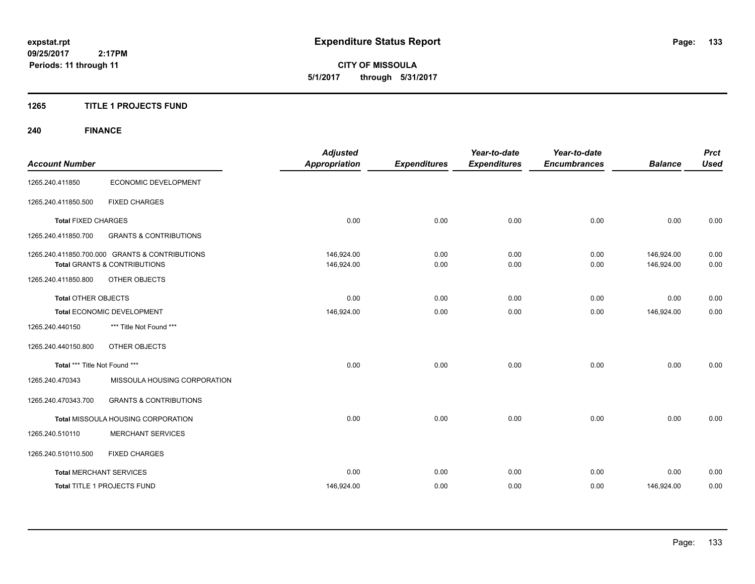**CITY OF MISSOULA 5/1/2017 through 5/31/2017**

### **1265 TITLE 1 PROJECTS FUND**

## **240 FINANCE**

| <b>Account Number</b>          |                                                                                           | <b>Adjusted</b><br><b>Appropriation</b> | <b>Expenditures</b> | Year-to-date<br><b>Expenditures</b> | Year-to-date<br><b>Encumbrances</b> | <b>Balance</b>           | <b>Prct</b><br><b>Used</b> |
|--------------------------------|-------------------------------------------------------------------------------------------|-----------------------------------------|---------------------|-------------------------------------|-------------------------------------|--------------------------|----------------------------|
| 1265.240.411850                | ECONOMIC DEVELOPMENT                                                                      |                                         |                     |                                     |                                     |                          |                            |
| 1265.240.411850.500            | <b>FIXED CHARGES</b>                                                                      |                                         |                     |                                     |                                     |                          |                            |
| <b>Total FIXED CHARGES</b>     |                                                                                           | 0.00                                    | 0.00                | 0.00                                | 0.00                                | 0.00                     | 0.00                       |
| 1265.240.411850.700            | <b>GRANTS &amp; CONTRIBUTIONS</b>                                                         |                                         |                     |                                     |                                     |                          |                            |
|                                | 1265.240.411850.700.000 GRANTS & CONTRIBUTIONS<br><b>Total GRANTS &amp; CONTRIBUTIONS</b> | 146,924.00<br>146,924.00                | 0.00<br>0.00        | 0.00<br>0.00                        | 0.00<br>0.00                        | 146,924.00<br>146,924.00 | 0.00<br>0.00               |
| 1265.240.411850.800            | OTHER OBJECTS                                                                             |                                         |                     |                                     |                                     |                          |                            |
| <b>Total OTHER OBJECTS</b>     |                                                                                           | 0.00                                    | 0.00                | 0.00                                | 0.00                                | 0.00                     | 0.00                       |
|                                | Total ECONOMIC DEVELOPMENT                                                                | 146,924.00                              | 0.00                | 0.00                                | 0.00                                | 146,924.00               | 0.00                       |
| 1265.240.440150                | *** Title Not Found ***                                                                   |                                         |                     |                                     |                                     |                          |                            |
| 1265.240.440150.800            | OTHER OBJECTS                                                                             |                                         |                     |                                     |                                     |                          |                            |
| Total *** Title Not Found ***  |                                                                                           | 0.00                                    | 0.00                | 0.00                                | 0.00                                | 0.00                     | 0.00                       |
| 1265.240.470343                | MISSOULA HOUSING CORPORATION                                                              |                                         |                     |                                     |                                     |                          |                            |
| 1265.240.470343.700            | <b>GRANTS &amp; CONTRIBUTIONS</b>                                                         |                                         |                     |                                     |                                     |                          |                            |
|                                | Total MISSOULA HOUSING CORPORATION                                                        | 0.00                                    | 0.00                | 0.00                                | 0.00                                | 0.00                     | 0.00                       |
| 1265.240.510110                | <b>MERCHANT SERVICES</b>                                                                  |                                         |                     |                                     |                                     |                          |                            |
| 1265.240.510110.500            | <b>FIXED CHARGES</b>                                                                      |                                         |                     |                                     |                                     |                          |                            |
| <b>Total MERCHANT SERVICES</b> |                                                                                           | 0.00                                    | 0.00                | 0.00                                | 0.00                                | 0.00                     | 0.00                       |
|                                | Total TITLE 1 PROJECTS FUND                                                               | 146,924.00                              | 0.00                | 0.00                                | 0.00                                | 146,924.00               | 0.00                       |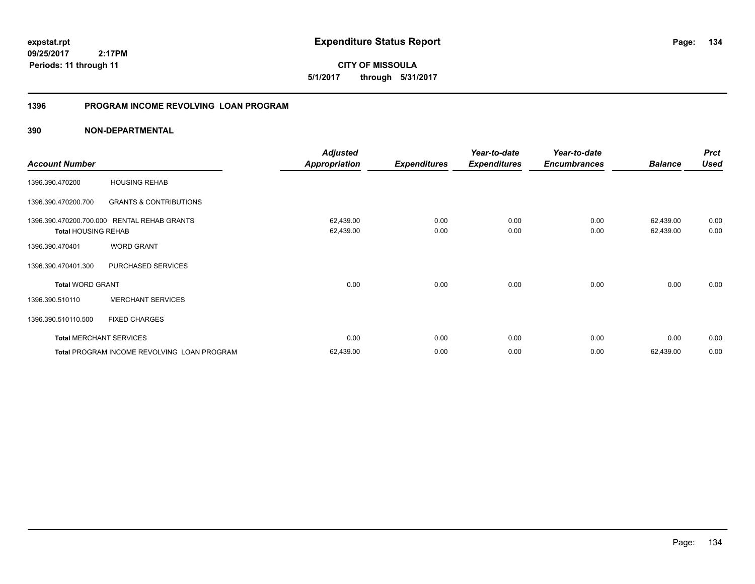**CITY OF MISSOULA 5/1/2017 through 5/31/2017**

### **1396 PROGRAM INCOME REVOLVING LOAN PROGRAM**

|                                                       |                                             | <b>Adjusted</b>        |                     | Year-to-date        | Year-to-date        |                        | <b>Prct</b>  |
|-------------------------------------------------------|---------------------------------------------|------------------------|---------------------|---------------------|---------------------|------------------------|--------------|
| <b>Account Number</b>                                 |                                             | <b>Appropriation</b>   | <b>Expenditures</b> | <b>Expenditures</b> | <b>Encumbrances</b> | <b>Balance</b>         | <b>Used</b>  |
| 1396.390.470200                                       | <b>HOUSING REHAB</b>                        |                        |                     |                     |                     |                        |              |
| 1396.390.470200.700                                   | <b>GRANTS &amp; CONTRIBUTIONS</b>           |                        |                     |                     |                     |                        |              |
| 1396.390.470200.700.000<br><b>Total HOUSING REHAB</b> | <b>RENTAL REHAB GRANTS</b>                  | 62,439.00<br>62,439.00 | 0.00<br>0.00        | 0.00<br>0.00        | 0.00<br>0.00        | 62,439.00<br>62,439.00 | 0.00<br>0.00 |
| 1396.390.470401                                       | <b>WORD GRANT</b>                           |                        |                     |                     |                     |                        |              |
| 1396.390.470401.300                                   | PURCHASED SERVICES                          |                        |                     |                     |                     |                        |              |
| <b>Total WORD GRANT</b>                               |                                             | 0.00                   | 0.00                | 0.00                | 0.00                | 0.00                   | 0.00         |
| 1396.390.510110                                       | <b>MERCHANT SERVICES</b>                    |                        |                     |                     |                     |                        |              |
| 1396.390.510110.500                                   | <b>FIXED CHARGES</b>                        |                        |                     |                     |                     |                        |              |
| <b>Total MERCHANT SERVICES</b>                        |                                             | 0.00                   | 0.00                | 0.00                | 0.00                | 0.00                   | 0.00         |
|                                                       | Total PROGRAM INCOME REVOLVING LOAN PROGRAM | 62,439.00              | 0.00                | 0.00                | 0.00                | 62,439.00              | 0.00         |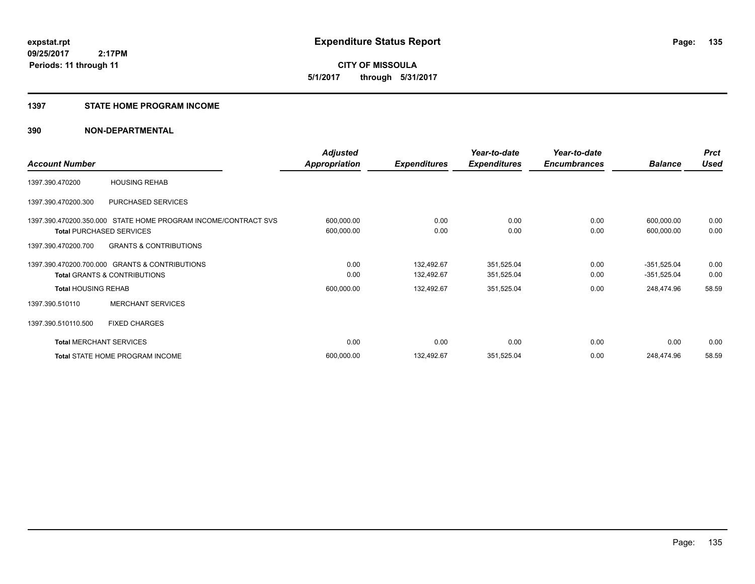**135**

**09/25/2017 2:17PM Periods: 11 through 11**

**CITY OF MISSOULA 5/1/2017 through 5/31/2017**

#### **1397 STATE HOME PROGRAM INCOME**

|                                 |                                                                | <b>Adjusted</b> |                     | Year-to-date        | Year-to-date        |                | <b>Prct</b> |
|---------------------------------|----------------------------------------------------------------|-----------------|---------------------|---------------------|---------------------|----------------|-------------|
| <b>Account Number</b>           |                                                                | Appropriation   | <b>Expenditures</b> | <b>Expenditures</b> | <b>Encumbrances</b> | <b>Balance</b> | <b>Used</b> |
| 1397.390.470200                 | <b>HOUSING REHAB</b>                                           |                 |                     |                     |                     |                |             |
| 1397.390.470200.300             | PURCHASED SERVICES                                             |                 |                     |                     |                     |                |             |
|                                 | 1397.390.470200.350.000 STATE HOME PROGRAM INCOME/CONTRACT SVS | 600,000.00      | 0.00                | 0.00                | 0.00                | 600,000.00     | 0.00        |
| <b>Total PURCHASED SERVICES</b> |                                                                | 600,000.00      | 0.00                | 0.00                | 0.00                | 600,000.00     | 0.00        |
| 1397.390.470200.700             | <b>GRANTS &amp; CONTRIBUTIONS</b>                              |                 |                     |                     |                     |                |             |
|                                 | 1397.390.470200.700.000 GRANTS & CONTRIBUTIONS                 | 0.00            | 132,492.67          | 351,525.04          | 0.00                | $-351,525.04$  | 0.00        |
|                                 | <b>Total GRANTS &amp; CONTRIBUTIONS</b>                        | 0.00            | 132,492.67          | 351,525.04          | 0.00                | $-351,525.04$  | 0.00        |
| <b>Total HOUSING REHAB</b>      |                                                                | 600,000.00      | 132,492.67          | 351,525.04          | 0.00                | 248,474.96     | 58.59       |
| 1397.390.510110                 | <b>MERCHANT SERVICES</b>                                       |                 |                     |                     |                     |                |             |
| 1397.390.510110.500             | <b>FIXED CHARGES</b>                                           |                 |                     |                     |                     |                |             |
| <b>Total MERCHANT SERVICES</b>  |                                                                | 0.00            | 0.00                | 0.00                | 0.00                | 0.00           | 0.00        |
|                                 | <b>Total STATE HOME PROGRAM INCOME</b>                         | 600,000.00      | 132,492.67          | 351,525.04          | 0.00                | 248,474.96     | 58.59       |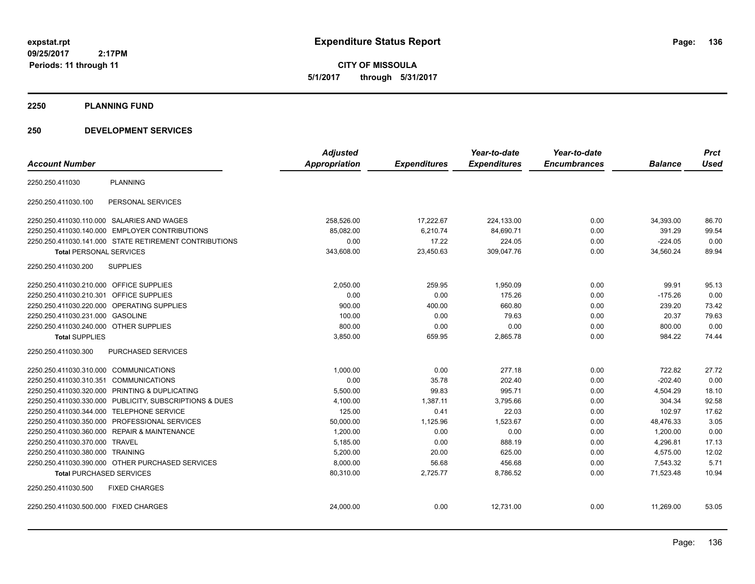**CITY OF MISSOULA 5/1/2017 through 5/31/2017**

#### **2250 PLANNING FUND**

### **250 DEVELOPMENT SERVICES**

|                                                         | <b>Adjusted</b>      |                     | Year-to-date        | Year-to-date        |                | <b>Prct</b> |
|---------------------------------------------------------|----------------------|---------------------|---------------------|---------------------|----------------|-------------|
| <b>Account Number</b>                                   | <b>Appropriation</b> | <b>Expenditures</b> | <b>Expenditures</b> | <b>Encumbrances</b> | <b>Balance</b> | <b>Used</b> |
| <b>PLANNING</b><br>2250.250.411030                      |                      |                     |                     |                     |                |             |
| PERSONAL SERVICES<br>2250.250.411030.100                |                      |                     |                     |                     |                |             |
| 2250.250.411030.110.000 SALARIES AND WAGES              | 258,526.00           | 17,222.67           | 224,133.00          | 0.00                | 34,393.00      | 86.70       |
| 2250.250.411030.140.000 EMPLOYER CONTRIBUTIONS          | 85,082.00            | 6,210.74            | 84,690.71           | 0.00                | 391.29         | 99.54       |
| 2250.250.411030.141.000 STATE RETIREMENT CONTRIBUTIONS  | 0.00                 | 17.22               | 224.05              | 0.00                | $-224.05$      | 0.00        |
| <b>Total PERSONAL SERVICES</b>                          | 343,608.00           | 23,450.63           | 309,047.76          | 0.00                | 34,560.24      | 89.94       |
| <b>SUPPLIES</b><br>2250.250.411030.200                  |                      |                     |                     |                     |                |             |
| 2250.250.411030.210.000 OFFICE SUPPLIES                 | 2,050.00             | 259.95              | 1,950.09            | 0.00                | 99.91          | 95.13       |
| 2250.250.411030.210.301 OFFICE SUPPLIES                 | 0.00                 | 0.00                | 175.26              | 0.00                | $-175.26$      | 0.00        |
| 2250.250.411030.220.000 OPERATING SUPPLIES              | 900.00               | 400.00              | 660.80              | 0.00                | 239.20         | 73.42       |
| 2250.250.411030.231.000 GASOLINE                        | 100.00               | 0.00                | 79.63               | 0.00                | 20.37          | 79.63       |
| 2250.250.411030.240.000 OTHER SUPPLIES                  | 800.00               | 0.00                | 0.00                | 0.00                | 800.00         | 0.00        |
| <b>Total SUPPLIES</b>                                   | 3,850.00             | 659.95              | 2,865.78            | 0.00                | 984.22         | 74.44       |
| 2250.250.411030.300<br><b>PURCHASED SERVICES</b>        |                      |                     |                     |                     |                |             |
| 2250.250.411030.310.000 COMMUNICATIONS                  | 1,000.00             | 0.00                | 277.18              | 0.00                | 722.82         | 27.72       |
| 2250.250.411030.310.351 COMMUNICATIONS                  | 0.00                 | 35.78               | 202.40              | 0.00                | $-202.40$      | 0.00        |
| 2250.250.411030.320.000 PRINTING & DUPLICATING          | 5,500.00             | 99.83               | 995.71              | 0.00                | 4,504.29       | 18.10       |
| 2250.250.411030.330.000 PUBLICITY, SUBSCRIPTIONS & DUES | 4,100.00             | 1,387.11            | 3,795.66            | 0.00                | 304.34         | 92.58       |
| 2250.250.411030.344.000 TELEPHONE SERVICE               | 125.00               | 0.41                | 22.03               | 0.00                | 102.97         | 17.62       |
| 2250.250.411030.350.000 PROFESSIONAL SERVICES           | 50,000.00            | 1,125.96            | 1,523.67            | 0.00                | 48,476.33      | 3.05        |
| 2250.250.411030.360.000 REPAIR & MAINTENANCE            | 1,200.00             | 0.00                | 0.00                | 0.00                | 1,200.00       | 0.00        |
| 2250.250.411030.370.000 TRAVEL                          | 5,185.00             | 0.00                | 888.19              | 0.00                | 4,296.81       | 17.13       |
| 2250.250.411030.380.000 TRAINING                        | 5,200.00             | 20.00               | 625.00              | 0.00                | 4,575.00       | 12.02       |
| 2250.250.411030.390.000 OTHER PURCHASED SERVICES        | 8,000.00             | 56.68               | 456.68              | 0.00                | 7,543.32       | 5.71        |
| <b>Total PURCHASED SERVICES</b>                         | 80,310.00            | 2,725.77            | 8,786.52            | 0.00                | 71,523.48      | 10.94       |
| 2250.250.411030.500<br><b>FIXED CHARGES</b>             |                      |                     |                     |                     |                |             |
| 2250.250.411030.500.000 FIXED CHARGES                   | 24,000.00            | 0.00                | 12,731.00           | 0.00                | 11,269.00      | 53.05       |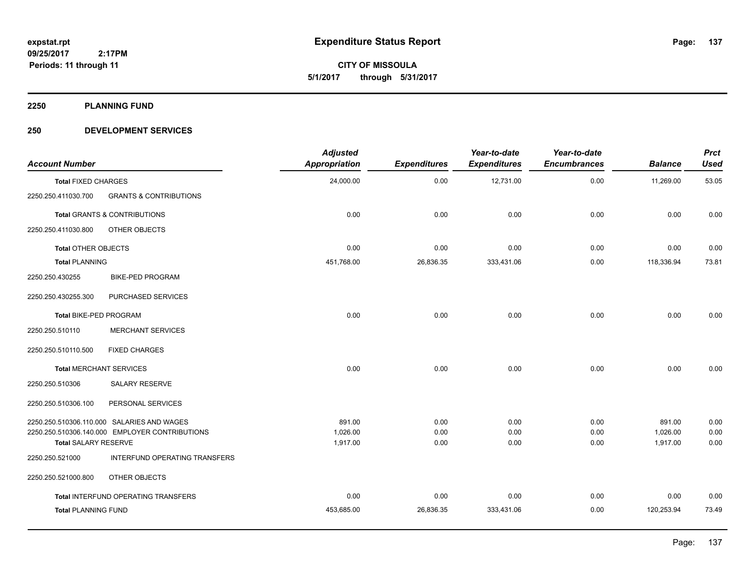**CITY OF MISSOULA 5/1/2017 through 5/31/2017**

**2250 PLANNING FUND**

### **250 DEVELOPMENT SERVICES**

| <b>Account Number</b>          |                                                | <b>Adjusted</b><br><b>Appropriation</b> | <b>Expenditures</b> | Year-to-date<br><b>Expenditures</b> | Year-to-date<br><b>Encumbrances</b> | <b>Balance</b> | <b>Prct</b><br><b>Used</b> |
|--------------------------------|------------------------------------------------|-----------------------------------------|---------------------|-------------------------------------|-------------------------------------|----------------|----------------------------|
| <b>Total FIXED CHARGES</b>     |                                                | 24,000.00                               | 0.00                | 12,731.00                           | 0.00                                | 11,269.00      | 53.05                      |
| 2250.250.411030.700            | <b>GRANTS &amp; CONTRIBUTIONS</b>              |                                         |                     |                                     |                                     |                |                            |
|                                | <b>Total GRANTS &amp; CONTRIBUTIONS</b>        | 0.00                                    | 0.00                | 0.00                                | 0.00                                | 0.00           | 0.00                       |
| 2250.250.411030.800            | OTHER OBJECTS                                  |                                         |                     |                                     |                                     |                |                            |
| <b>Total OTHER OBJECTS</b>     |                                                | 0.00                                    | 0.00                | 0.00                                | 0.00                                | 0.00           | 0.00                       |
| <b>Total PLANNING</b>          |                                                | 451,768.00                              | 26,836.35           | 333,431.06                          | 0.00                                | 118,336.94     | 73.81                      |
| 2250.250.430255                | <b>BIKE-PED PROGRAM</b>                        |                                         |                     |                                     |                                     |                |                            |
| 2250.250.430255.300            | PURCHASED SERVICES                             |                                         |                     |                                     |                                     |                |                            |
| Total BIKE-PED PROGRAM         |                                                | 0.00                                    | 0.00                | 0.00                                | 0.00                                | 0.00           | 0.00                       |
| 2250.250.510110                | <b>MERCHANT SERVICES</b>                       |                                         |                     |                                     |                                     |                |                            |
| 2250.250.510110.500            | <b>FIXED CHARGES</b>                           |                                         |                     |                                     |                                     |                |                            |
| <b>Total MERCHANT SERVICES</b> |                                                | 0.00                                    | 0.00                | 0.00                                | 0.00                                | 0.00           | 0.00                       |
| 2250.250.510306                | <b>SALARY RESERVE</b>                          |                                         |                     |                                     |                                     |                |                            |
| 2250.250.510306.100            | PERSONAL SERVICES                              |                                         |                     |                                     |                                     |                |                            |
|                                | 2250.250.510306.110.000 SALARIES AND WAGES     | 891.00                                  | 0.00                | 0.00                                | 0.00                                | 891.00         | 0.00                       |
|                                | 2250.250.510306.140.000 EMPLOYER CONTRIBUTIONS | 1,026.00                                | 0.00                | 0.00                                | 0.00                                | 1,026.00       | 0.00                       |
| <b>Total SALARY RESERVE</b>    |                                                | 1,917.00                                | 0.00                | 0.00                                | 0.00                                | 1,917.00       | 0.00                       |
| 2250.250.521000                | INTERFUND OPERATING TRANSFERS                  |                                         |                     |                                     |                                     |                |                            |
| 2250.250.521000.800            | OTHER OBJECTS                                  |                                         |                     |                                     |                                     |                |                            |
|                                | Total INTERFUND OPERATING TRANSFERS            | 0.00                                    | 0.00                | 0.00                                | 0.00                                | 0.00           | 0.00                       |
| <b>Total PLANNING FUND</b>     |                                                | 453,685.00                              | 26,836.35           | 333,431.06                          | 0.00                                | 120,253.94     | 73.49                      |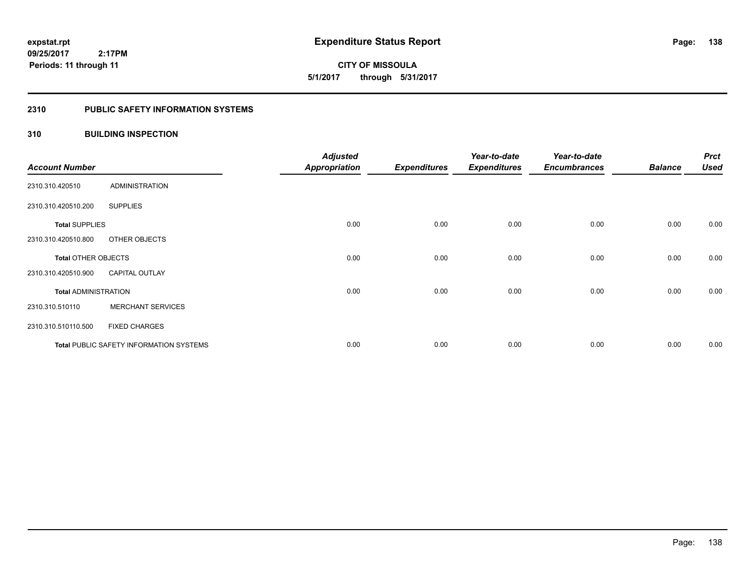**CITY OF MISSOULA 5/1/2017 through 5/31/2017**

## **2310 PUBLIC SAFETY INFORMATION SYSTEMS**

## **310 BUILDING INSPECTION**

| <b>Account Number</b>       |                                                | <b>Adjusted</b><br><b>Appropriation</b> | <b>Expenditures</b> | Year-to-date<br><b>Expenditures</b> | Year-to-date<br><b>Encumbrances</b> | <b>Balance</b> | <b>Prct</b><br><b>Used</b> |
|-----------------------------|------------------------------------------------|-----------------------------------------|---------------------|-------------------------------------|-------------------------------------|----------------|----------------------------|
| 2310.310.420510             | <b>ADMINISTRATION</b>                          |                                         |                     |                                     |                                     |                |                            |
| 2310.310.420510.200         | <b>SUPPLIES</b>                                |                                         |                     |                                     |                                     |                |                            |
| <b>Total SUPPLIES</b>       |                                                | 0.00                                    | 0.00                | 0.00                                | 0.00                                | 0.00           | 0.00                       |
| 2310.310.420510.800         | OTHER OBJECTS                                  |                                         |                     |                                     |                                     |                |                            |
| <b>Total OTHER OBJECTS</b>  |                                                | 0.00                                    | 0.00                | 0.00                                | 0.00                                | 0.00           | 0.00                       |
| 2310.310.420510.900         | <b>CAPITAL OUTLAY</b>                          |                                         |                     |                                     |                                     |                |                            |
| <b>Total ADMINISTRATION</b> |                                                | 0.00                                    | 0.00                | 0.00                                | 0.00                                | 0.00           | 0.00                       |
| 2310.310.510110             | <b>MERCHANT SERVICES</b>                       |                                         |                     |                                     |                                     |                |                            |
| 2310.310.510110.500         | <b>FIXED CHARGES</b>                           |                                         |                     |                                     |                                     |                |                            |
|                             | <b>Total PUBLIC SAFETY INFORMATION SYSTEMS</b> | 0.00                                    | 0.00                | 0.00                                | 0.00                                | 0.00           | 0.00                       |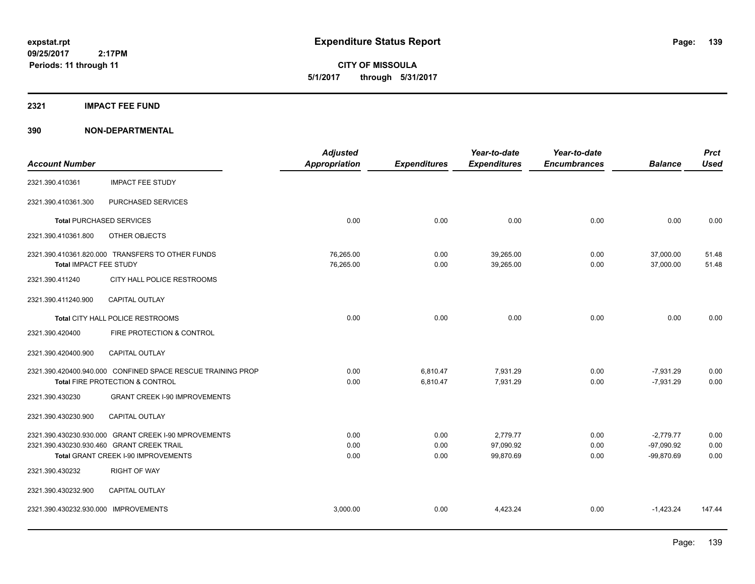**CITY OF MISSOULA 5/1/2017 through 5/31/2017**

#### **2321 IMPACT FEE FUND**

|                                      |                                                             | <b>Adjusted</b>      |                     | Year-to-date        | Year-to-date        |                | <b>Prct</b> |
|--------------------------------------|-------------------------------------------------------------|----------------------|---------------------|---------------------|---------------------|----------------|-------------|
| <b>Account Number</b>                |                                                             | <b>Appropriation</b> | <b>Expenditures</b> | <b>Expenditures</b> | <b>Encumbrances</b> | <b>Balance</b> | <b>Used</b> |
| 2321.390.410361                      | <b>IMPACT FEE STUDY</b>                                     |                      |                     |                     |                     |                |             |
| 2321.390.410361.300                  | PURCHASED SERVICES                                          |                      |                     |                     |                     |                |             |
|                                      | <b>Total PURCHASED SERVICES</b>                             | 0.00                 | 0.00                | 0.00                | 0.00                | 0.00           | 0.00        |
| 2321.390.410361.800                  | OTHER OBJECTS                                               |                      |                     |                     |                     |                |             |
|                                      | 2321.390.410361.820.000 TRANSFERS TO OTHER FUNDS            | 76,265.00            | 0.00                | 39,265.00           | 0.00                | 37,000.00      | 51.48       |
| Total IMPACT FEE STUDY               |                                                             | 76,265.00            | 0.00                | 39,265.00           | 0.00                | 37,000.00      | 51.48       |
| 2321.390.411240                      | CITY HALL POLICE RESTROOMS                                  |                      |                     |                     |                     |                |             |
| 2321.390.411240.900                  | <b>CAPITAL OUTLAY</b>                                       |                      |                     |                     |                     |                |             |
|                                      | Total CITY HALL POLICE RESTROOMS                            | 0.00                 | 0.00                | 0.00                | 0.00                | 0.00           | 0.00        |
| 2321.390.420400                      | FIRE PROTECTION & CONTROL                                   |                      |                     |                     |                     |                |             |
| 2321.390.420400.900                  | CAPITAL OUTLAY                                              |                      |                     |                     |                     |                |             |
|                                      | 2321.390.420400.940.000 CONFINED SPACE RESCUE TRAINING PROP | 0.00                 | 6,810.47            | 7,931.29            | 0.00                | $-7,931.29$    | 0.00        |
|                                      | Total FIRE PROTECTION & CONTROL                             | 0.00                 | 6,810.47            | 7,931.29            | 0.00                | $-7,931.29$    | 0.00        |
| 2321.390.430230                      | <b>GRANT CREEK I-90 IMPROVEMENTS</b>                        |                      |                     |                     |                     |                |             |
| 2321.390.430230.900                  | <b>CAPITAL OUTLAY</b>                                       |                      |                     |                     |                     |                |             |
|                                      | 2321.390.430230.930.000 GRANT CREEK I-90 MPROVEMENTS        | 0.00                 | 0.00                | 2,779.77            | 0.00                | $-2,779.77$    | 0.00        |
|                                      | 2321.390.430230.930.460 GRANT CREEK TRAIL                   | 0.00                 | 0.00                | 97,090.92           | 0.00                | $-97,090.92$   | 0.00        |
|                                      | Total GRANT CREEK I-90 IMPROVEMENTS                         | 0.00                 | 0.00                | 99,870.69           | 0.00                | $-99,870.69$   | 0.00        |
| 2321.390.430232                      | <b>RIGHT OF WAY</b>                                         |                      |                     |                     |                     |                |             |
| 2321.390.430232.900                  | <b>CAPITAL OUTLAY</b>                                       |                      |                     |                     |                     |                |             |
| 2321.390.430232.930.000 IMPROVEMENTS |                                                             | 3,000.00             | 0.00                | 4,423.24            | 0.00                | $-1,423.24$    | 147.44      |
|                                      |                                                             |                      |                     |                     |                     |                |             |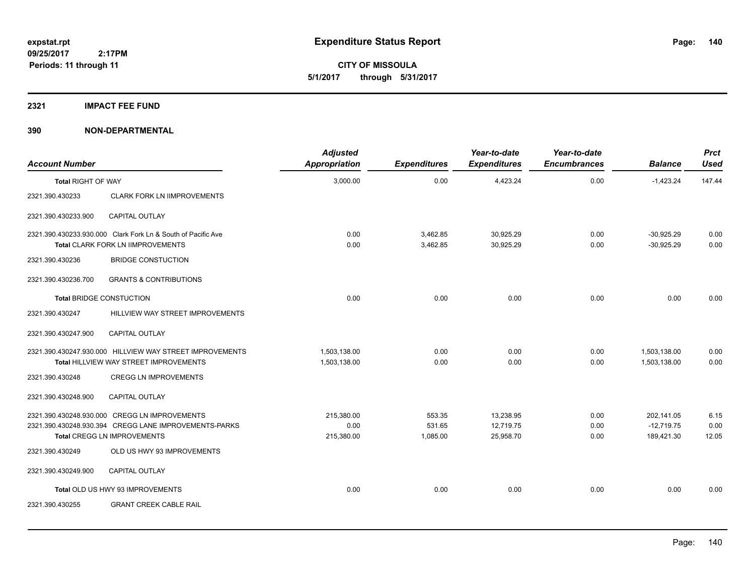**CITY OF MISSOULA 5/1/2017 through 5/31/2017**

#### **2321 IMPACT FEE FUND**

| <b>Account Number</b>     |                                                                                                                                       | <b>Adjusted</b><br>Appropriation | <b>Expenditures</b>          | Year-to-date<br><b>Expenditures</b> | Year-to-date<br><b>Encumbrances</b> | <b>Balance</b>                           | <b>Prct</b><br><b>Used</b> |
|---------------------------|---------------------------------------------------------------------------------------------------------------------------------------|----------------------------------|------------------------------|-------------------------------------|-------------------------------------|------------------------------------------|----------------------------|
| <b>Total RIGHT OF WAY</b> |                                                                                                                                       | 3,000.00                         | 0.00                         | 4,423.24                            | 0.00                                | $-1,423.24$                              | 147.44                     |
| 2321.390.430233           | <b>CLARK FORK LN IIMPROVEMENTS</b>                                                                                                    |                                  |                              |                                     |                                     |                                          |                            |
| 2321.390.430233.900       | <b>CAPITAL OUTLAY</b>                                                                                                                 |                                  |                              |                                     |                                     |                                          |                            |
|                           | 2321.390.430233.930.000 Clark Fork Ln & South of Pacific Ave<br>Total CLARK FORK LN IIMPROVEMENTS                                     | 0.00<br>0.00                     | 3,462.85<br>3,462.85         | 30,925.29<br>30,925.29              | 0.00<br>0.00                        | $-30.925.29$<br>$-30,925.29$             | 0.00<br>0.00               |
| 2321.390.430236           | <b>BRIDGE CONSTUCTION</b>                                                                                                             |                                  |                              |                                     |                                     |                                          |                            |
| 2321.390.430236.700       | <b>GRANTS &amp; CONTRIBUTIONS</b>                                                                                                     |                                  |                              |                                     |                                     |                                          |                            |
|                           | <b>Total BRIDGE CONSTUCTION</b>                                                                                                       | 0.00                             | 0.00                         | 0.00                                | 0.00                                | 0.00                                     | 0.00                       |
| 2321.390.430247           | HILLVIEW WAY STREET IMPROVEMENTS                                                                                                      |                                  |                              |                                     |                                     |                                          |                            |
| 2321.390.430247.900       | <b>CAPITAL OUTLAY</b>                                                                                                                 |                                  |                              |                                     |                                     |                                          |                            |
|                           | 2321.390.430247.930.000 HILLVIEW WAY STREET IMPROVEMENTS<br>Total HILLVIEW WAY STREET IMPROVEMENTS                                    | 1,503,138.00<br>1,503,138.00     | 0.00<br>0.00                 | 0.00<br>0.00                        | 0.00<br>0.00                        | 1,503,138.00<br>1,503,138.00             | 0.00<br>0.00               |
| 2321.390.430248           | <b>CREGG LN IMPROVEMENTS</b>                                                                                                          |                                  |                              |                                     |                                     |                                          |                            |
| 2321.390.430248.900       | <b>CAPITAL OUTLAY</b>                                                                                                                 |                                  |                              |                                     |                                     |                                          |                            |
|                           | 2321.390.430248.930.000 CREGG LN IMPROVEMENTS<br>2321.390.430248.930.394 CREGG LANE IMPROVEMENTS-PARKS<br>Total CREGG LN IMPROVEMENTS | 215,380.00<br>0.00<br>215,380.00 | 553.35<br>531.65<br>1,085.00 | 13,238.95<br>12,719.75<br>25,958.70 | 0.00<br>0.00<br>0.00                | 202,141.05<br>$-12.719.75$<br>189,421.30 | 6.15<br>0.00<br>12.05      |
| 2321.390.430249           | OLD US HWY 93 IMPROVEMENTS                                                                                                            |                                  |                              |                                     |                                     |                                          |                            |
| 2321.390.430249.900       | <b>CAPITAL OUTLAY</b>                                                                                                                 |                                  |                              |                                     |                                     |                                          |                            |
|                           | Total OLD US HWY 93 IMPROVEMENTS                                                                                                      | 0.00                             | 0.00                         | 0.00                                | 0.00                                | 0.00                                     | 0.00                       |
| 2321.390.430255           | <b>GRANT CREEK CABLE RAIL</b>                                                                                                         |                                  |                              |                                     |                                     |                                          |                            |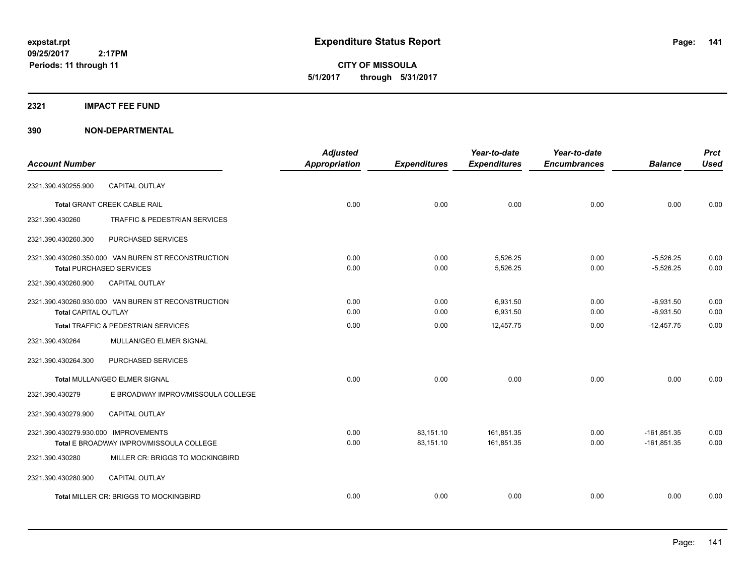**CITY OF MISSOULA 5/1/2017 through 5/31/2017**

#### **2321 IMPACT FEE FUND**

|                                      |                                                     | <b>Adjusted</b>      |                     | Year-to-date        | Year-to-date        |                | <b>Prct</b> |
|--------------------------------------|-----------------------------------------------------|----------------------|---------------------|---------------------|---------------------|----------------|-------------|
| <b>Account Number</b>                |                                                     | <b>Appropriation</b> | <b>Expenditures</b> | <b>Expenditures</b> | <b>Encumbrances</b> | <b>Balance</b> | <b>Used</b> |
| 2321.390.430255.900                  | <b>CAPITAL OUTLAY</b>                               |                      |                     |                     |                     |                |             |
|                                      | <b>Total GRANT CREEK CABLE RAIL</b>                 | 0.00                 | 0.00                | 0.00                | 0.00                | 0.00           | 0.00        |
| 2321.390.430260                      | <b>TRAFFIC &amp; PEDESTRIAN SERVICES</b>            |                      |                     |                     |                     |                |             |
| 2321.390.430260.300                  | PURCHASED SERVICES                                  |                      |                     |                     |                     |                |             |
|                                      | 2321.390.430260.350.000 VAN BUREN ST RECONSTRUCTION | 0.00                 | 0.00                | 5,526.25            | 0.00                | $-5,526.25$    | 0.00        |
| <b>Total PURCHASED SERVICES</b>      |                                                     | 0.00                 | 0.00                | 5,526.25            | 0.00                | $-5,526.25$    | 0.00        |
| 2321.390.430260.900                  | CAPITAL OUTLAY                                      |                      |                     |                     |                     |                |             |
|                                      | 2321.390.430260.930.000 VAN BUREN ST RECONSTRUCTION | 0.00                 | 0.00                | 6.931.50            | 0.00                | $-6,931.50$    | 0.00        |
| <b>Total CAPITAL OUTLAY</b>          |                                                     | 0.00                 | 0.00                | 6,931.50            | 0.00                | $-6,931.50$    | 0.00        |
|                                      | <b>Total TRAFFIC &amp; PEDESTRIAN SERVICES</b>      | 0.00                 | 0.00                | 12.457.75           | 0.00                | $-12,457.75$   | 0.00        |
| 2321.390.430264                      | MULLAN/GEO ELMER SIGNAL                             |                      |                     |                     |                     |                |             |
| 2321.390.430264.300                  | PURCHASED SERVICES                                  |                      |                     |                     |                     |                |             |
|                                      | Total MULLAN/GEO ELMER SIGNAL                       | 0.00                 | 0.00                | 0.00                | 0.00                | 0.00           | 0.00        |
| 2321.390.430279                      | E BROADWAY IMPROV/MISSOULA COLLEGE                  |                      |                     |                     |                     |                |             |
| 2321.390.430279.900                  | <b>CAPITAL OUTLAY</b>                               |                      |                     |                     |                     |                |             |
| 2321.390.430279.930.000 IMPROVEMENTS |                                                     | 0.00                 | 83,151.10           | 161,851.35          | 0.00                | $-161,851.35$  | 0.00        |
|                                      | Total E BROADWAY IMPROV/MISSOULA COLLEGE            | 0.00                 | 83,151.10           | 161,851.35          | 0.00                | $-161,851.35$  | 0.00        |
| 2321.390.430280                      | MILLER CR: BRIGGS TO MOCKINGBIRD                    |                      |                     |                     |                     |                |             |
| 2321.390.430280.900                  | <b>CAPITAL OUTLAY</b>                               |                      |                     |                     |                     |                |             |
|                                      | Total MILLER CR: BRIGGS TO MOCKINGBIRD              | 0.00                 | 0.00                | 0.00                | 0.00                | 0.00           | 0.00        |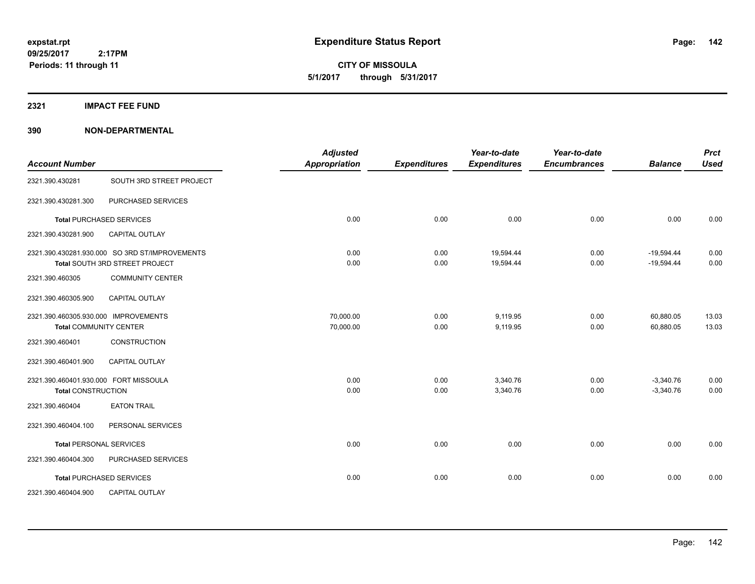**CITY OF MISSOULA 5/1/2017 through 5/31/2017**

**2321 IMPACT FEE FUND**

| <b>Account Number</b>                 |                                                | <b>Adjusted</b><br><b>Appropriation</b> | <b>Expenditures</b> | Year-to-date<br><b>Expenditures</b> | Year-to-date<br><b>Encumbrances</b> | <b>Balance</b> | <b>Prct</b><br><b>Used</b> |
|---------------------------------------|------------------------------------------------|-----------------------------------------|---------------------|-------------------------------------|-------------------------------------|----------------|----------------------------|
|                                       |                                                |                                         |                     |                                     |                                     |                |                            |
| 2321.390.430281                       | SOUTH 3RD STREET PROJECT                       |                                         |                     |                                     |                                     |                |                            |
| 2321.390.430281.300                   | PURCHASED SERVICES                             |                                         |                     |                                     |                                     |                |                            |
|                                       | <b>Total PURCHASED SERVICES</b>                | 0.00                                    | 0.00                | 0.00                                | 0.00                                | 0.00           | 0.00                       |
| 2321.390.430281.900                   | CAPITAL OUTLAY                                 |                                         |                     |                                     |                                     |                |                            |
|                                       | 2321.390.430281.930.000 SO 3RD ST/IMPROVEMENTS | 0.00                                    | 0.00                | 19,594.44                           | 0.00                                | $-19,594.44$   | 0.00                       |
|                                       | Total SOUTH 3RD STREET PROJECT                 | 0.00                                    | 0.00                | 19,594.44                           | 0.00                                | $-19,594.44$   | 0.00                       |
| 2321.390.460305                       | <b>COMMUNITY CENTER</b>                        |                                         |                     |                                     |                                     |                |                            |
| 2321.390.460305.900                   | CAPITAL OUTLAY                                 |                                         |                     |                                     |                                     |                |                            |
| 2321.390.460305.930.000 IMPROVEMENTS  |                                                | 70,000.00                               | 0.00                | 9,119.95                            | 0.00                                | 60,880.05      | 13.03                      |
|                                       | <b>Total COMMUNITY CENTER</b>                  | 70,000.00                               | 0.00                | 9,119.95                            | 0.00                                | 60,880.05      | 13.03                      |
| 2321.390.460401                       | CONSTRUCTION                                   |                                         |                     |                                     |                                     |                |                            |
| 2321.390.460401.900                   | <b>CAPITAL OUTLAY</b>                          |                                         |                     |                                     |                                     |                |                            |
| 2321.390.460401.930.000 FORT MISSOULA |                                                | 0.00                                    | 0.00                | 3,340.76                            | 0.00                                | $-3,340.76$    | 0.00                       |
| <b>Total CONSTRUCTION</b>             |                                                | 0.00                                    | 0.00                | 3,340.76                            | 0.00                                | $-3,340.76$    | 0.00                       |
| 2321.390.460404                       | <b>EATON TRAIL</b>                             |                                         |                     |                                     |                                     |                |                            |
| 2321.390.460404.100                   | PERSONAL SERVICES                              |                                         |                     |                                     |                                     |                |                            |
|                                       | <b>Total PERSONAL SERVICES</b>                 | 0.00                                    | 0.00                | 0.00                                | 0.00                                | 0.00           | 0.00                       |
| 2321.390.460404.300                   | PURCHASED SERVICES                             |                                         |                     |                                     |                                     |                |                            |
|                                       | <b>Total PURCHASED SERVICES</b>                | 0.00                                    | 0.00                | 0.00                                | 0.00                                | 0.00           | 0.00                       |
| 2321.390.460404.900                   | CAPITAL OUTLAY                                 |                                         |                     |                                     |                                     |                |                            |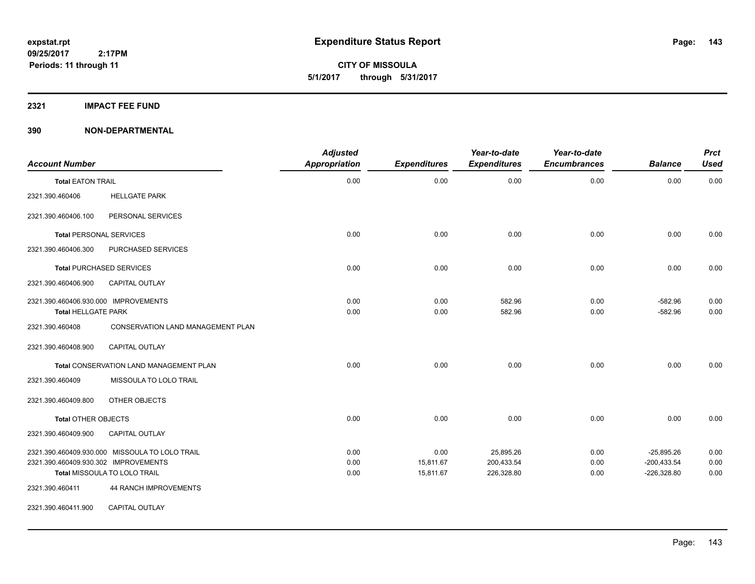**CITY OF MISSOULA 5/1/2017 through 5/31/2017**

#### **2321 IMPACT FEE FUND**

| <b>Account Number</b>                                                                                                  |                                   | <b>Adjusted</b><br><b>Appropriation</b> | <b>Expenditures</b>            | Year-to-date<br><b>Expenditures</b>   | Year-to-date<br><b>Encumbrances</b> | <b>Balance</b>                                 | <b>Prct</b><br><b>Used</b> |
|------------------------------------------------------------------------------------------------------------------------|-----------------------------------|-----------------------------------------|--------------------------------|---------------------------------------|-------------------------------------|------------------------------------------------|----------------------------|
| <b>Total EATON TRAIL</b>                                                                                               |                                   | 0.00                                    | 0.00                           | 0.00                                  | 0.00                                | 0.00                                           | 0.00                       |
| 2321.390.460406                                                                                                        | <b>HELLGATE PARK</b>              |                                         |                                |                                       |                                     |                                                |                            |
| 2321.390.460406.100                                                                                                    | PERSONAL SERVICES                 |                                         |                                |                                       |                                     |                                                |                            |
| <b>Total PERSONAL SERVICES</b>                                                                                         |                                   | 0.00                                    | 0.00                           | 0.00                                  | 0.00                                | 0.00                                           | 0.00                       |
| 2321.390.460406.300                                                                                                    | PURCHASED SERVICES                |                                         |                                |                                       |                                     |                                                |                            |
| <b>Total PURCHASED SERVICES</b>                                                                                        |                                   | 0.00                                    | 0.00                           | 0.00                                  | 0.00                                | 0.00                                           | 0.00                       |
| 2321.390.460406.900                                                                                                    | <b>CAPITAL OUTLAY</b>             |                                         |                                |                                       |                                     |                                                |                            |
| 2321.390.460406.930.000 IMPROVEMENTS<br><b>Total HELLGATE PARK</b>                                                     |                                   | 0.00<br>0.00                            | 0.00<br>0.00                   | 582.96<br>582.96                      | 0.00<br>0.00                        | $-582.96$<br>$-582.96$                         | 0.00<br>0.00               |
| 2321.390.460408                                                                                                        | CONSERVATION LAND MANAGEMENT PLAN |                                         |                                |                                       |                                     |                                                |                            |
| 2321.390.460408.900                                                                                                    | CAPITAL OUTLAY                    |                                         |                                |                                       |                                     |                                                |                            |
| <b>Total CONSERVATION LAND MANAGEMENT PLAN</b>                                                                         |                                   | 0.00                                    | 0.00                           | 0.00                                  | 0.00                                | 0.00                                           | 0.00                       |
| 2321.390.460409                                                                                                        | MISSOULA TO LOLO TRAIL            |                                         |                                |                                       |                                     |                                                |                            |
| 2321.390.460409.800                                                                                                    | OTHER OBJECTS                     |                                         |                                |                                       |                                     |                                                |                            |
| <b>Total OTHER OBJECTS</b>                                                                                             |                                   | 0.00                                    | 0.00                           | 0.00                                  | 0.00                                | 0.00                                           | 0.00                       |
| 2321.390.460409.900                                                                                                    | <b>CAPITAL OUTLAY</b>             |                                         |                                |                                       |                                     |                                                |                            |
| 2321.390.460409.930.000 MISSOULA TO LOLO TRAIL<br>2321.390.460409.930.302 IMPROVEMENTS<br>Total MISSOULA TO LOLO TRAIL |                                   | 0.00<br>0.00<br>0.00                    | 0.00<br>15,811.67<br>15,811.67 | 25,895.26<br>200,433.54<br>226,328.80 | 0.00<br>0.00<br>0.00                | $-25,895.26$<br>$-200,433.54$<br>$-226,328.80$ | 0.00<br>0.00<br>0.00       |
| 2321.390.460411                                                                                                        | <b>44 RANCH IMPROVEMENTS</b>      |                                         |                                |                                       |                                     |                                                |                            |
| 2321.390.460411.900                                                                                                    | CAPITAL OUTLAY                    |                                         |                                |                                       |                                     |                                                |                            |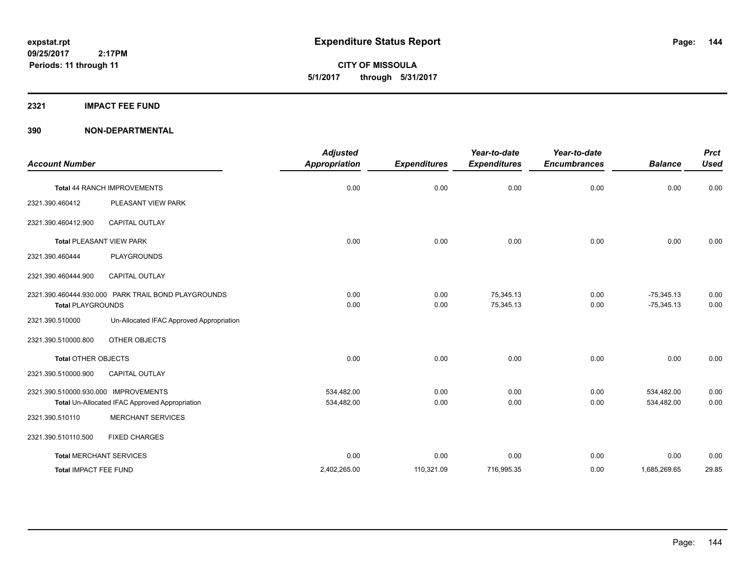**CITY OF MISSOULA 5/1/2017 through 5/31/2017**

#### **2321 IMPACT FEE FUND**

| <b>Account Number</b>                                 |                                          | <b>Adjusted</b><br><b>Appropriation</b> | <b>Expenditures</b> | Year-to-date<br><b>Expenditures</b> | Year-to-date<br><b>Encumbrances</b> | <b>Balance</b> | <b>Prct</b><br><b>Used</b> |
|-------------------------------------------------------|------------------------------------------|-----------------------------------------|---------------------|-------------------------------------|-------------------------------------|----------------|----------------------------|
|                                                       |                                          |                                         |                     |                                     |                                     |                |                            |
| Total 44 RANCH IMPROVEMENTS                           |                                          | 0.00                                    | 0.00                | 0.00                                | 0.00                                | 0.00           | 0.00                       |
| 2321.390.460412                                       | PLEASANT VIEW PARK                       |                                         |                     |                                     |                                     |                |                            |
| 2321.390.460412.900                                   | <b>CAPITAL OUTLAY</b>                    |                                         |                     |                                     |                                     |                |                            |
| <b>Total PLEASANT VIEW PARK</b>                       |                                          | 0.00                                    | 0.00                | 0.00                                | 0.00                                | 0.00           | 0.00                       |
| 2321.390.460444                                       | PLAYGROUNDS                              |                                         |                     |                                     |                                     |                |                            |
| 2321.390.460444.900                                   | <b>CAPITAL OUTLAY</b>                    |                                         |                     |                                     |                                     |                |                            |
| 2321.390.460444.930.000 PARK TRAIL BOND PLAYGROUNDS   |                                          | 0.00                                    | 0.00                | 75,345.13                           | 0.00                                | $-75,345.13$   | 0.00                       |
| <b>Total PLAYGROUNDS</b>                              |                                          | 0.00                                    | 0.00                | 75,345.13                           | 0.00                                | $-75,345.13$   | 0.00                       |
| 2321.390.510000                                       | Un-Allocated IFAC Approved Appropriation |                                         |                     |                                     |                                     |                |                            |
| 2321.390.510000.800                                   | OTHER OBJECTS                            |                                         |                     |                                     |                                     |                |                            |
| <b>Total OTHER OBJECTS</b>                            |                                          | 0.00                                    | 0.00                | 0.00                                | 0.00                                | 0.00           | 0.00                       |
| 2321.390.510000.900                                   | <b>CAPITAL OUTLAY</b>                    |                                         |                     |                                     |                                     |                |                            |
| 2321.390.510000.930.000 IMPROVEMENTS                  |                                          | 534,482.00                              | 0.00                | 0.00                                | 0.00                                | 534,482.00     | 0.00                       |
| <b>Total Un-Allocated IFAC Approved Appropriation</b> |                                          | 534,482.00                              | 0.00                | 0.00                                | 0.00                                | 534,482.00     | 0.00                       |
| 2321.390.510110                                       | <b>MERCHANT SERVICES</b>                 |                                         |                     |                                     |                                     |                |                            |
| 2321.390.510110.500                                   | <b>FIXED CHARGES</b>                     |                                         |                     |                                     |                                     |                |                            |
| <b>Total MERCHANT SERVICES</b>                        |                                          | 0.00                                    | 0.00                | 0.00                                | 0.00                                | 0.00           | 0.00                       |
| <b>Total IMPACT FEE FUND</b>                          |                                          | 2,402,265.00                            | 110,321.09          | 716,995.35                          | 0.00                                | 1,685,269.65   | 29.85                      |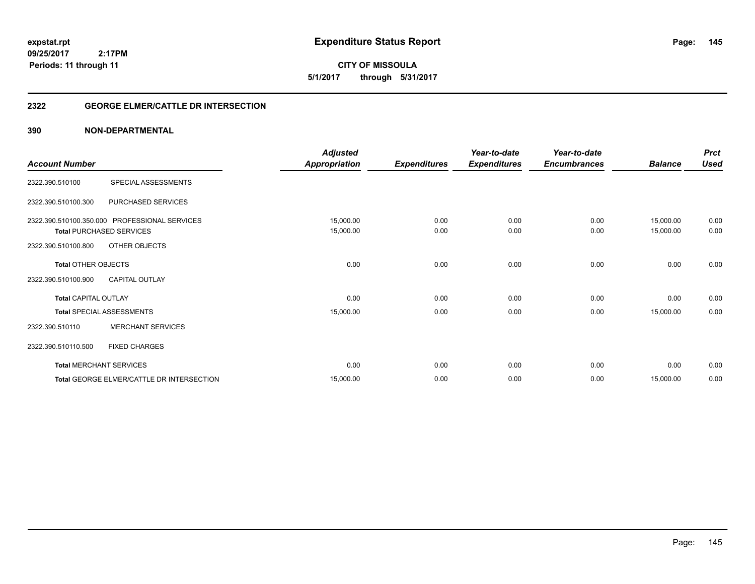# **09/25/2017**

**Periods: 11 through 11**

 **2:17PM**

**145**

**CITY OF MISSOULA 5/1/2017 through 5/31/2017**

### **2322 GEORGE ELMER/CATTLE DR INTERSECTION**

|                             |                                               | <b>Adjusted</b>      |                     | Year-to-date        | Year-to-date        |                | <b>Prct</b> |
|-----------------------------|-----------------------------------------------|----------------------|---------------------|---------------------|---------------------|----------------|-------------|
| <b>Account Number</b>       |                                               | <b>Appropriation</b> | <b>Expenditures</b> | <b>Expenditures</b> | <b>Encumbrances</b> | <b>Balance</b> | <b>Used</b> |
| 2322.390.510100             | SPECIAL ASSESSMENTS                           |                      |                     |                     |                     |                |             |
| 2322.390.510100.300         | PURCHASED SERVICES                            |                      |                     |                     |                     |                |             |
|                             | 2322.390.510100.350.000 PROFESSIONAL SERVICES | 15,000.00            | 0.00                | 0.00                | 0.00                | 15,000.00      | 0.00        |
|                             | <b>Total PURCHASED SERVICES</b>               | 15,000.00            | 0.00                | 0.00                | 0.00                | 15,000.00      | 0.00        |
| 2322.390.510100.800         | OTHER OBJECTS                                 |                      |                     |                     |                     |                |             |
| <b>Total OTHER OBJECTS</b>  |                                               | 0.00                 | 0.00                | 0.00                | 0.00                | 0.00           | 0.00        |
| 2322.390.510100.900         | <b>CAPITAL OUTLAY</b>                         |                      |                     |                     |                     |                |             |
| <b>Total CAPITAL OUTLAY</b> |                                               | 0.00                 | 0.00                | 0.00                | 0.00                | 0.00           | 0.00        |
|                             | <b>Total SPECIAL ASSESSMENTS</b>              | 15,000.00            | 0.00                | 0.00                | 0.00                | 15,000.00      | 0.00        |
| 2322.390.510110             | <b>MERCHANT SERVICES</b>                      |                      |                     |                     |                     |                |             |
| 2322.390.510110.500         | <b>FIXED CHARGES</b>                          |                      |                     |                     |                     |                |             |
|                             | <b>Total MERCHANT SERVICES</b>                | 0.00                 | 0.00                | 0.00                | 0.00                | 0.00           | 0.00        |
|                             | Total GEORGE ELMER/CATTLE DR INTERSECTION     | 15,000.00            | 0.00                | 0.00                | 0.00                | 15,000.00      | 0.00        |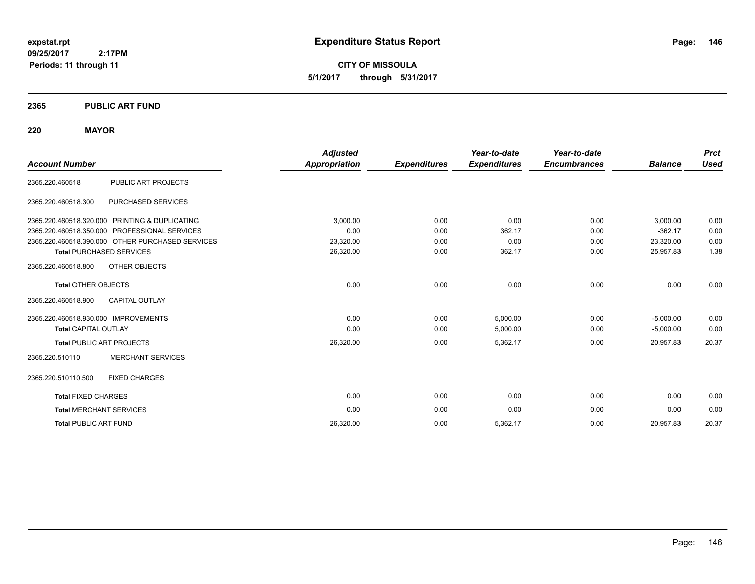**CITY OF MISSOULA 5/1/2017 through 5/31/2017**

### **2365 PUBLIC ART FUND**

### **220 MAYOR**

|                                      |                                                  | <b>Adjusted</b>      |                     | Year-to-date        | Year-to-date        |                | <b>Prct</b> |
|--------------------------------------|--------------------------------------------------|----------------------|---------------------|---------------------|---------------------|----------------|-------------|
| <b>Account Number</b>                |                                                  | <b>Appropriation</b> | <b>Expenditures</b> | <b>Expenditures</b> | <b>Encumbrances</b> | <b>Balance</b> | <b>Used</b> |
| 2365.220.460518                      | PUBLIC ART PROJECTS                              |                      |                     |                     |                     |                |             |
| 2365.220.460518.300                  | PURCHASED SERVICES                               |                      |                     |                     |                     |                |             |
|                                      | 2365.220.460518.320.000 PRINTING & DUPLICATING   | 3,000.00             | 0.00                | 0.00                | 0.00                | 3,000.00       | 0.00        |
|                                      | 2365.220.460518.350.000 PROFESSIONAL SERVICES    | 0.00                 | 0.00                | 362.17              | 0.00                | $-362.17$      | 0.00        |
|                                      | 2365.220.460518.390.000 OTHER PURCHASED SERVICES | 23,320.00            | 0.00                | 0.00                | 0.00                | 23,320.00      | 0.00        |
|                                      | <b>Total PURCHASED SERVICES</b>                  | 26,320.00            | 0.00                | 362.17              | 0.00                | 25,957.83      | 1.38        |
| 2365.220.460518.800                  | OTHER OBJECTS                                    |                      |                     |                     |                     |                |             |
| <b>Total OTHER OBJECTS</b>           |                                                  | 0.00                 | 0.00                | 0.00                | 0.00                | 0.00           | 0.00        |
| 2365.220.460518.900                  | <b>CAPITAL OUTLAY</b>                            |                      |                     |                     |                     |                |             |
| 2365.220.460518.930.000 IMPROVEMENTS |                                                  | 0.00                 | 0.00                | 5,000.00            | 0.00                | $-5,000.00$    | 0.00        |
| <b>Total CAPITAL OUTLAY</b>          |                                                  | 0.00                 | 0.00                | 5,000.00            | 0.00                | $-5,000.00$    | 0.00        |
|                                      | <b>Total PUBLIC ART PROJECTS</b>                 | 26,320.00            | 0.00                | 5,362.17            | 0.00                | 20,957.83      | 20.37       |
| 2365.220.510110                      | <b>MERCHANT SERVICES</b>                         |                      |                     |                     |                     |                |             |
| 2365.220.510110.500                  | <b>FIXED CHARGES</b>                             |                      |                     |                     |                     |                |             |
| <b>Total FIXED CHARGES</b>           |                                                  | 0.00                 | 0.00                | 0.00                | 0.00                | 0.00           | 0.00        |
| <b>Total MERCHANT SERVICES</b>       |                                                  | 0.00                 | 0.00                | 0.00                | 0.00                | 0.00           | 0.00        |
| <b>Total PUBLIC ART FUND</b>         |                                                  | 26,320.00            | 0.00                | 5,362.17            | 0.00                | 20,957.83      | 20.37       |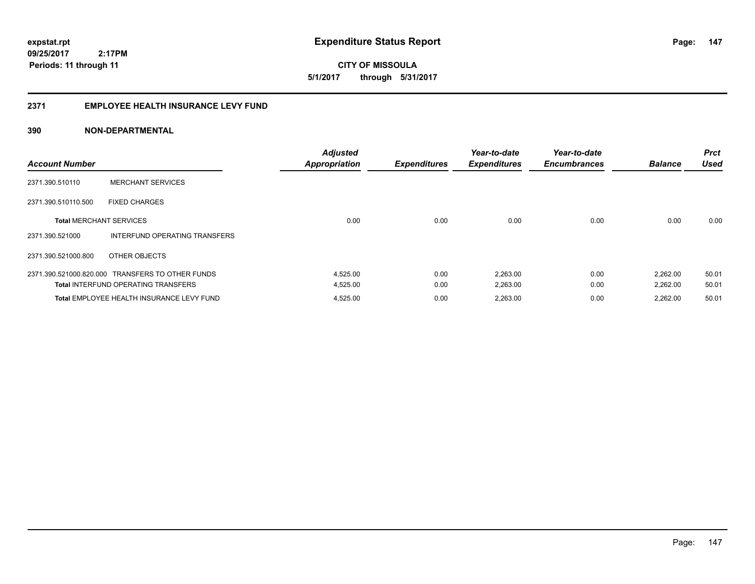**CITY OF MISSOULA 5/1/2017 through 5/31/2017**

#### **2371 EMPLOYEE HEALTH INSURANCE LEVY FUND**

| <b>Account Number</b>          |                                                  | <b>Adjusted</b><br><b>Appropriation</b> | <b>Expenditures</b> | Year-to-date<br><b>Expenditures</b> | Year-to-date<br><b>Encumbrances</b> | <b>Balance</b> | <b>Prct</b><br><b>Used</b> |
|--------------------------------|--------------------------------------------------|-----------------------------------------|---------------------|-------------------------------------|-------------------------------------|----------------|----------------------------|
| 2371.390.510110                | <b>MERCHANT SERVICES</b>                         |                                         |                     |                                     |                                     |                |                            |
| 2371.390.510110.500            | <b>FIXED CHARGES</b>                             |                                         |                     |                                     |                                     |                |                            |
| <b>Total MERCHANT SERVICES</b> |                                                  | 0.00                                    | 0.00                | 0.00                                | 0.00                                | 0.00           | 0.00                       |
| 2371.390.521000                | INTERFUND OPERATING TRANSFERS                    |                                         |                     |                                     |                                     |                |                            |
| 2371.390.521000.800            | OTHER OBJECTS                                    |                                         |                     |                                     |                                     |                |                            |
|                                | 2371.390.521000.820.000 TRANSFERS TO OTHER FUNDS | 4,525.00                                | 0.00                | 2,263.00                            | 0.00                                | 2,262.00       | 50.01                      |
|                                | <b>Total INTERFUND OPERATING TRANSFERS</b>       | 4,525.00                                | 0.00                | 2,263.00                            | 0.00                                | 2,262.00       | 50.01                      |
|                                | Total EMPLOYEE HEALTH INSURANCE LEVY FUND        | 4,525.00                                | 0.00                | 2,263.00                            | 0.00                                | 2.262.00       | 50.01                      |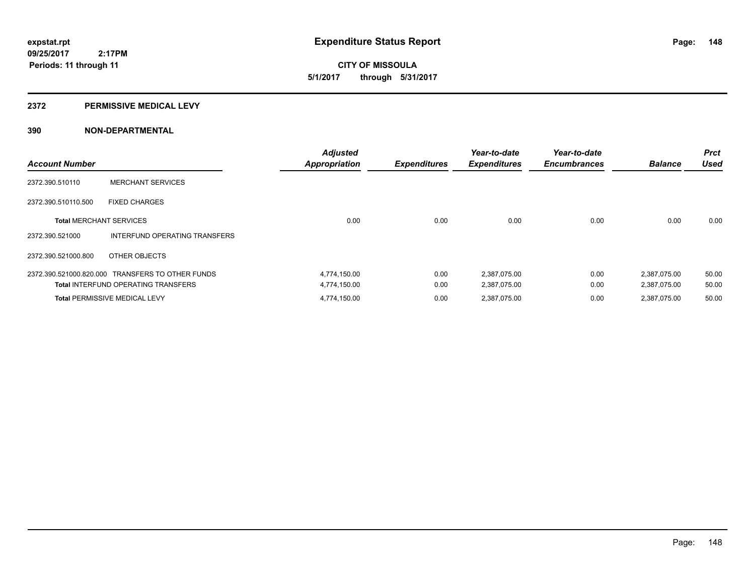**CITY OF MISSOULA 5/1/2017 through 5/31/2017**

#### **2372 PERMISSIVE MEDICAL LEVY**

| <b>Account Number</b>          |                                                  | <b>Adjusted</b><br><b>Appropriation</b> | <b>Expenditures</b> | Year-to-date<br><b>Expenditures</b> | Year-to-date<br><b>Encumbrances</b> | <b>Balance</b> | <b>Prct</b><br><b>Used</b> |
|--------------------------------|--------------------------------------------------|-----------------------------------------|---------------------|-------------------------------------|-------------------------------------|----------------|----------------------------|
| 2372.390.510110                | <b>MERCHANT SERVICES</b>                         |                                         |                     |                                     |                                     |                |                            |
| 2372.390.510110.500            | <b>FIXED CHARGES</b>                             |                                         |                     |                                     |                                     |                |                            |
| <b>Total MERCHANT SERVICES</b> |                                                  | 0.00                                    | 0.00                | 0.00                                | 0.00                                | 0.00           | 0.00                       |
| 2372.390.521000                | INTERFUND OPERATING TRANSFERS                    |                                         |                     |                                     |                                     |                |                            |
| 2372.390.521000.800            | OTHER OBJECTS                                    |                                         |                     |                                     |                                     |                |                            |
|                                | 2372.390.521000.820.000 TRANSFERS TO OTHER FUNDS | 4,774,150.00                            | 0.00                | 2,387,075.00                        | 0.00                                | 2,387,075.00   | 50.00                      |
|                                | <b>Total INTERFUND OPERATING TRANSFERS</b>       | 4,774,150.00                            | 0.00                | 2,387,075.00                        | 0.00                                | 2,387,075.00   | 50.00                      |
|                                | <b>Total PERMISSIVE MEDICAL LEVY</b>             | 4,774,150.00                            | 0.00                | 2.387.075.00                        | 0.00                                | 2.387.075.00   | 50.00                      |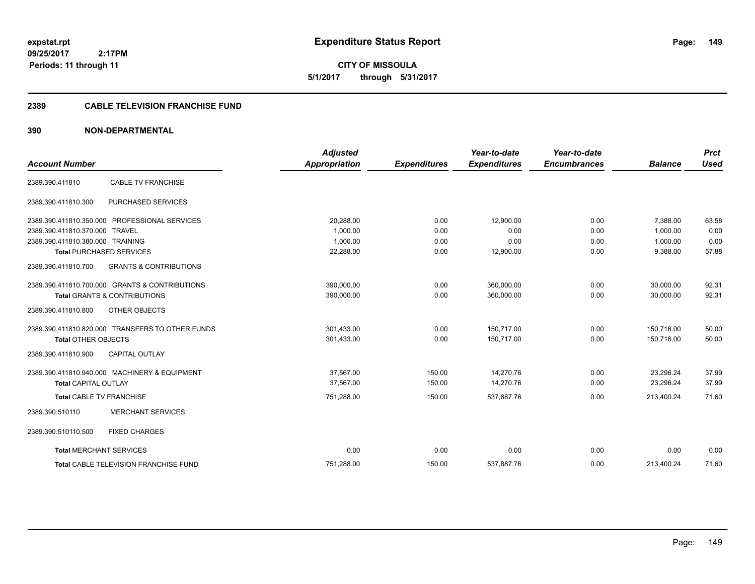**CITY OF MISSOULA 5/1/2017 through 5/31/2017**

### **2389 CABLE TELEVISION FRANCHISE FUND**

| <b>Account Number</b>            |                                                  | <b>Adjusted</b><br><b>Appropriation</b> |                     | Year-to-date        | Year-to-date<br><b>Encumbrances</b> | <b>Balance</b> | <b>Prct</b><br><b>Used</b> |
|----------------------------------|--------------------------------------------------|-----------------------------------------|---------------------|---------------------|-------------------------------------|----------------|----------------------------|
|                                  |                                                  |                                         | <b>Expenditures</b> | <b>Expenditures</b> |                                     |                |                            |
| 2389.390.411810                  | <b>CABLE TV FRANCHISE</b>                        |                                         |                     |                     |                                     |                |                            |
| 2389.390.411810.300              | PURCHASED SERVICES                               |                                         |                     |                     |                                     |                |                            |
|                                  | 2389.390.411810.350.000 PROFESSIONAL SERVICES    | 20,288.00                               | 0.00                | 12.900.00           | 0.00                                | 7,388.00       | 63.58                      |
| 2389.390.411810.370.000 TRAVEL   |                                                  | 1.000.00                                | 0.00                | 0.00                | 0.00                                | 1.000.00       | 0.00                       |
| 2389.390.411810.380.000 TRAINING |                                                  | 1,000.00                                | 0.00                | 0.00                | 0.00                                | 1,000.00       | 0.00                       |
| <b>Total PURCHASED SERVICES</b>  |                                                  | 22,288.00                               | 0.00                | 12,900.00           | 0.00                                | 9,388.00       | 57.88                      |
| 2389.390.411810.700              | <b>GRANTS &amp; CONTRIBUTIONS</b>                |                                         |                     |                     |                                     |                |                            |
|                                  | 2389.390.411810.700.000 GRANTS & CONTRIBUTIONS   | 390,000.00                              | 0.00                | 360,000.00          | 0.00                                | 30,000.00      | 92.31                      |
|                                  | <b>Total GRANTS &amp; CONTRIBUTIONS</b>          | 390,000.00                              | 0.00                | 360,000.00          | 0.00                                | 30,000.00      | 92.31                      |
| 2389.390.411810.800              | OTHER OBJECTS                                    |                                         |                     |                     |                                     |                |                            |
|                                  | 2389.390.411810.820.000 TRANSFERS TO OTHER FUNDS | 301,433.00                              | 0.00                | 150.717.00          | 0.00                                | 150,716.00     | 50.00                      |
| <b>Total OTHER OBJECTS</b>       |                                                  | 301,433.00                              | 0.00                | 150.717.00          | 0.00                                | 150.716.00     | 50.00                      |
| 2389.390.411810.900              | <b>CAPITAL OUTLAY</b>                            |                                         |                     |                     |                                     |                |                            |
|                                  | 2389.390.411810.940.000 MACHINERY & EQUIPMENT    | 37.567.00                               | 150.00              | 14.270.76           | 0.00                                | 23,296.24      | 37.99                      |
| <b>Total CAPITAL OUTLAY</b>      |                                                  | 37,567.00                               | 150.00              | 14,270.76           | 0.00                                | 23,296.24      | 37.99                      |
| <b>Total CABLE TV FRANCHISE</b>  |                                                  | 751,288.00                              | 150.00              | 537,887.76          | 0.00                                | 213,400.24     | 71.60                      |
| 2389.390.510110                  | <b>MERCHANT SERVICES</b>                         |                                         |                     |                     |                                     |                |                            |
| 2389.390.510110.500              | <b>FIXED CHARGES</b>                             |                                         |                     |                     |                                     |                |                            |
| <b>Total MERCHANT SERVICES</b>   |                                                  | 0.00                                    | 0.00                | 0.00                | 0.00                                | 0.00           | 0.00                       |
|                                  | <b>Total CABLE TELEVISION FRANCHISE FUND</b>     | 751,288.00                              | 150.00              | 537,887.76          | 0.00                                | 213,400.24     | 71.60                      |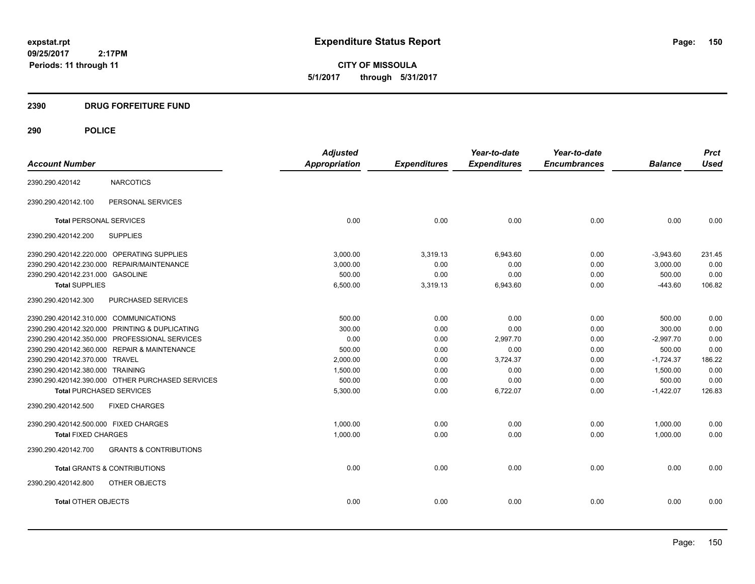**CITY OF MISSOULA 5/1/2017 through 5/31/2017**

# **2390 DRUG FORFEITURE FUND**

|                                                          | <b>Adjusted</b>      |                     | Year-to-date        | Year-to-date        |                | <b>Prct</b> |
|----------------------------------------------------------|----------------------|---------------------|---------------------|---------------------|----------------|-------------|
| <b>Account Number</b>                                    | <b>Appropriation</b> | <b>Expenditures</b> | <b>Expenditures</b> | <b>Encumbrances</b> | <b>Balance</b> | <b>Used</b> |
| <b>NARCOTICS</b><br>2390.290.420142                      |                      |                     |                     |                     |                |             |
| PERSONAL SERVICES<br>2390.290.420142.100                 |                      |                     |                     |                     |                |             |
| <b>Total PERSONAL SERVICES</b>                           | 0.00                 | 0.00                | 0.00                | 0.00                | 0.00           | 0.00        |
| 2390.290.420142.200<br><b>SUPPLIES</b>                   |                      |                     |                     |                     |                |             |
| 2390.290.420142.220.000 OPERATING SUPPLIES               | 3.000.00             | 3,319.13            | 6,943.60            | 0.00                | $-3,943.60$    | 231.45      |
| 2390.290.420142.230.000 REPAIR/MAINTENANCE               | 3,000.00             | 0.00                | 0.00                | 0.00                | 3,000.00       | 0.00        |
| 2390.290.420142.231.000 GASOLINE                         | 500.00               | 0.00                | 0.00                | 0.00                | 500.00         | 0.00        |
| <b>Total SUPPLIES</b>                                    | 6,500.00             | 3,319.13            | 6,943.60            | 0.00                | $-443.60$      | 106.82      |
| PURCHASED SERVICES<br>2390.290.420142.300                |                      |                     |                     |                     |                |             |
| 2390.290.420142.310.000 COMMUNICATIONS                   | 500.00               | 0.00                | 0.00                | 0.00                | 500.00         | 0.00        |
| 2390.290.420142.320.000 PRINTING & DUPLICATING           | 300.00               | 0.00                | 0.00                | 0.00                | 300.00         | 0.00        |
| 2390.290.420142.350.000 PROFESSIONAL SERVICES            | 0.00                 | 0.00                | 2,997.70            | 0.00                | $-2,997.70$    | 0.00        |
| 2390.290.420142.360.000 REPAIR & MAINTENANCE             | 500.00               | 0.00                | 0.00                | 0.00                | 500.00         | 0.00        |
| 2390.290.420142.370.000 TRAVEL                           | 2,000.00             | 0.00                | 3,724.37            | 0.00                | $-1,724.37$    | 186.22      |
| 2390.290.420142.380.000 TRAINING                         | 1,500.00             | 0.00                | 0.00                | 0.00                | 1,500.00       | 0.00        |
| 2390.290.420142.390.000 OTHER PURCHASED SERVICES         | 500.00               | 0.00                | 0.00                | 0.00                | 500.00         | 0.00        |
| <b>Total PURCHASED SERVICES</b>                          | 5,300.00             | 0.00                | 6,722.07            | 0.00                | $-1,422.07$    | 126.83      |
| 2390.290.420142.500<br><b>FIXED CHARGES</b>              |                      |                     |                     |                     |                |             |
| 2390.290.420142.500.000 FIXED CHARGES                    | 1,000.00             | 0.00                | 0.00                | 0.00                | 1,000.00       | 0.00        |
| <b>Total FIXED CHARGES</b>                               | 1,000.00             | 0.00                | 0.00                | 0.00                | 1,000.00       | 0.00        |
| <b>GRANTS &amp; CONTRIBUTIONS</b><br>2390.290.420142.700 |                      |                     |                     |                     |                |             |
| <b>Total GRANTS &amp; CONTRIBUTIONS</b>                  | 0.00                 | 0.00                | 0.00                | 0.00                | 0.00           | 0.00        |
| 2390.290.420142.800<br>OTHER OBJECTS                     |                      |                     |                     |                     |                |             |
| <b>Total OTHER OBJECTS</b>                               | 0.00                 | 0.00                | 0.00                | 0.00                | 0.00           | 0.00        |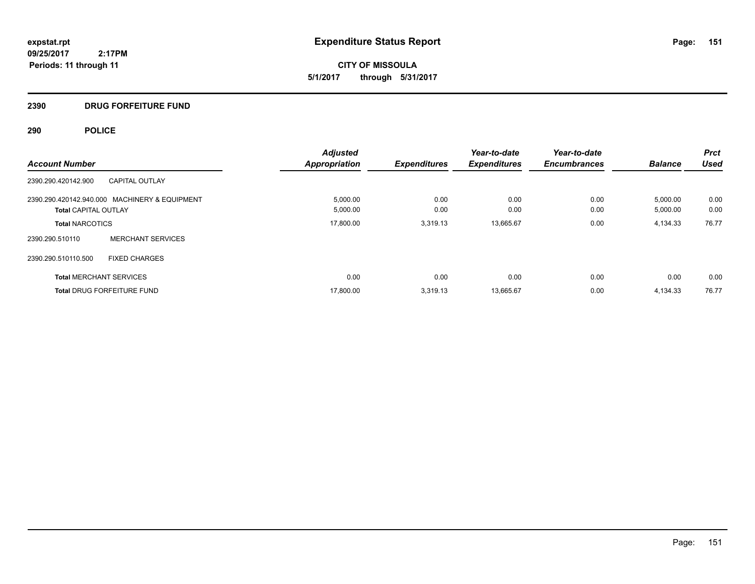**CITY OF MISSOULA 5/1/2017 through 5/31/2017**

# **2390 DRUG FORFEITURE FUND**

| <b>Account Number</b>                                                        | <b>Adjusted</b><br><b>Appropriation</b> | <b>Expenditures</b> | Year-to-date<br><b>Expenditures</b> | Year-to-date<br><b>Encumbrances</b> | <b>Balance</b>       | <b>Prct</b><br><b>Used</b> |
|------------------------------------------------------------------------------|-----------------------------------------|---------------------|-------------------------------------|-------------------------------------|----------------------|----------------------------|
| 2390.290.420142.900<br><b>CAPITAL OUTLAY</b>                                 |                                         |                     |                                     |                                     |                      |                            |
| 2390.290.420142.940.000 MACHINERY & EQUIPMENT<br><b>Total CAPITAL OUTLAY</b> | 5,000.00<br>5,000.00                    | 0.00<br>0.00        | 0.00<br>0.00                        | 0.00<br>0.00                        | 5,000.00<br>5,000.00 | 0.00<br>0.00               |
| <b>Total NARCOTICS</b>                                                       | 17.800.00                               | 3.319.13            | 13,665.67                           | 0.00                                | 4,134.33             | 76.77                      |
| <b>MERCHANT SERVICES</b><br>2390.290.510110                                  |                                         |                     |                                     |                                     |                      |                            |
| 2390.290.510110.500<br><b>FIXED CHARGES</b>                                  |                                         |                     |                                     |                                     |                      |                            |
| <b>Total MERCHANT SERVICES</b>                                               | 0.00                                    | 0.00                | 0.00                                | 0.00                                | 0.00                 | 0.00                       |
| <b>Total DRUG FORFEITURE FUND</b>                                            | 17,800.00                               | 3,319.13            | 13,665.67                           | 0.00                                | 4,134.33             | 76.77                      |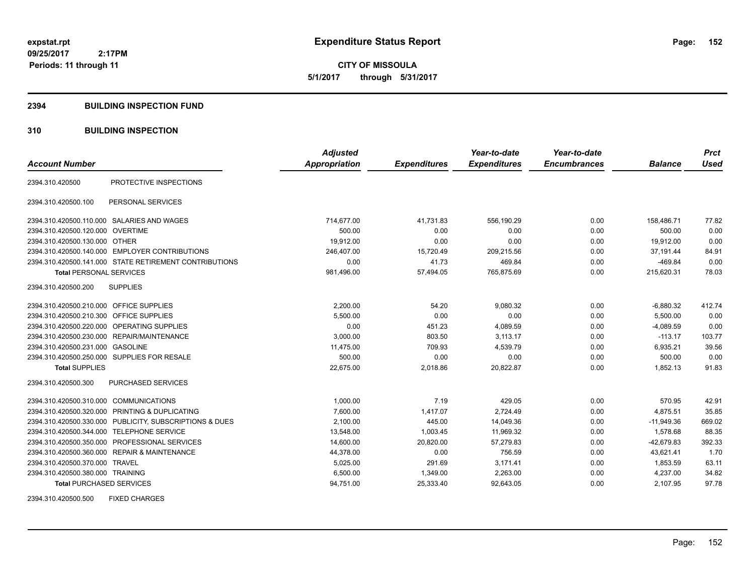**CITY OF MISSOULA 5/1/2017 through 5/31/2017**

#### **2394 BUILDING INSPECTION FUND**

### **310 BUILDING INSPECTION**

|                                           |                                                         | <b>Adjusted</b>      |                     | Year-to-date        | Year-to-date        |                | <b>Prct</b> |
|-------------------------------------------|---------------------------------------------------------|----------------------|---------------------|---------------------|---------------------|----------------|-------------|
| <b>Account Number</b>                     |                                                         | <b>Appropriation</b> | <b>Expenditures</b> | <b>Expenditures</b> | <b>Encumbrances</b> | <b>Balance</b> | <b>Used</b> |
| 2394.310.420500                           | PROTECTIVE INSPECTIONS                                  |                      |                     |                     |                     |                |             |
| 2394.310.420500.100                       | PERSONAL SERVICES                                       |                      |                     |                     |                     |                |             |
|                                           | 2394.310.420500.110.000 SALARIES AND WAGES              | 714,677.00           | 41,731.83           | 556,190.29          | 0.00                | 158,486.71     | 77.82       |
| 2394.310.420500.120.000 OVERTIME          |                                                         | 500.00               | 0.00                | 0.00                | 0.00                | 500.00         | 0.00        |
| 2394.310.420500.130.000 OTHER             |                                                         | 19,912.00            | 0.00                | 0.00                | 0.00                | 19,912.00      | 0.00        |
|                                           | 2394.310.420500.140.000 EMPLOYER CONTRIBUTIONS          | 246.407.00           | 15,720.49           | 209.215.56          | 0.00                | 37.191.44      | 84.91       |
|                                           | 2394.310.420500.141.000 STATE RETIREMENT CONTRIBUTIONS  | 0.00                 | 41.73               | 469.84              | 0.00                | $-469.84$      | 0.00        |
| <b>Total PERSONAL SERVICES</b>            |                                                         | 981,496.00           | 57,494.05           | 765,875.69          | 0.00                | 215,620.31     | 78.03       |
| 2394.310.420500.200                       | <b>SUPPLIES</b>                                         |                      |                     |                     |                     |                |             |
| 2394.310.420500.210.000 OFFICE SUPPLIES   |                                                         | 2,200.00             | 54.20               | 9,080.32            | 0.00                | $-6,880.32$    | 412.74      |
| 2394.310.420500.210.300 OFFICE SUPPLIES   |                                                         | 5,500.00             | 0.00                | 0.00                | 0.00                | 5,500.00       | 0.00        |
| 2394.310.420500.220.000                   | <b>OPERATING SUPPLIES</b>                               | 0.00                 | 451.23              | 4,089.59            | 0.00                | $-4,089.59$    | 0.00        |
|                                           | 2394.310.420500.230.000 REPAIR/MAINTENANCE              | 3,000.00             | 803.50              | 3,113.17            | 0.00                | $-113.17$      | 103.77      |
| 2394.310.420500.231.000                   | <b>GASOLINE</b>                                         | 11,475.00            | 709.93              | 4,539.79            | 0.00                | 6,935.21       | 39.56       |
|                                           | 2394.310.420500.250.000 SUPPLIES FOR RESALE             | 500.00               | 0.00                | 0.00                | 0.00                | 500.00         | 0.00        |
| <b>Total SUPPLIES</b>                     |                                                         | 22.675.00            | 2,018.86            | 20,822.87           | 0.00                | 1.852.13       | 91.83       |
| 2394.310.420500.300                       | PURCHASED SERVICES                                      |                      |                     |                     |                     |                |             |
| 2394.310.420500.310.000 COMMUNICATIONS    |                                                         | 1.000.00             | 7.19                | 429.05              | 0.00                | 570.95         | 42.91       |
|                                           | 2394.310.420500.320.000 PRINTING & DUPLICATING          | 7,600.00             | 1,417.07            | 2,724.49            | 0.00                | 4,875.51       | 35.85       |
|                                           | 2394.310.420500.330.000 PUBLICITY, SUBSCRIPTIONS & DUES | 2,100.00             | 445.00              | 14,049.36           | 0.00                | $-11,949.36$   | 669.02      |
| 2394.310.420500.344.000 TELEPHONE SERVICE |                                                         | 13,548.00            | 1.003.45            | 11,969.32           | 0.00                | 1.578.68       | 88.35       |
|                                           | 2394.310.420500.350.000 PROFESSIONAL SERVICES           | 14,600.00            | 20,820.00           | 57,279.83           | 0.00                | $-42,679.83$   | 392.33      |
|                                           | 2394.310.420500.360.000 REPAIR & MAINTENANCE            | 44,378.00            | 0.00                | 756.59              | 0.00                | 43,621.41      | 1.70        |
| 2394.310.420500.370.000 TRAVEL            |                                                         | 5,025.00             | 291.69              | 3,171.41            | 0.00                | 1,853.59       | 63.11       |
| 2394.310.420500.380.000 TRAINING          |                                                         | 6,500.00             | 1,349.00            | 2,263.00            | 0.00                | 4,237.00       | 34.82       |
| <b>Total PURCHASED SERVICES</b>           |                                                         | 94,751.00            | 25,333.40           | 92,643.05           | 0.00                | 2,107.95       | 97.78       |

2394.310.420500.500 FIXED CHARGES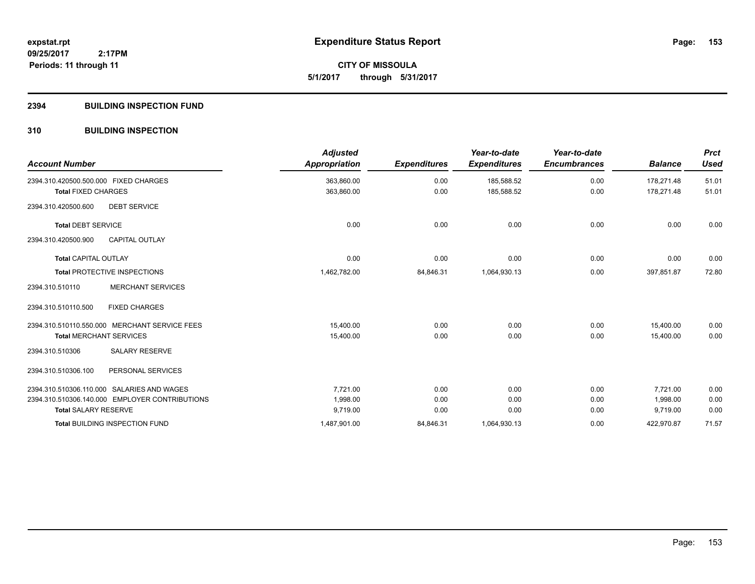**153**

**09/25/2017 2:17PM Periods: 11 through 11**

# **CITY OF MISSOULA 5/1/2017 through 5/31/2017**

### **2394 BUILDING INSPECTION FUND**

### **310 BUILDING INSPECTION**

| <b>Account Number</b>                          | <b>Adjusted</b><br><b>Appropriation</b> | <b>Expenditures</b> | Year-to-date<br><b>Expenditures</b> | Year-to-date<br><b>Encumbrances</b> | <b>Balance</b> | <b>Prct</b><br><b>Used</b> |
|------------------------------------------------|-----------------------------------------|---------------------|-------------------------------------|-------------------------------------|----------------|----------------------------|
| 2394.310.420500.500.000 FIXED CHARGES          | 363,860.00                              | 0.00                | 185,588.52                          | 0.00                                | 178,271.48     | 51.01                      |
| <b>Total FIXED CHARGES</b>                     | 363,860.00                              | 0.00                | 185,588.52                          | 0.00                                | 178,271.48     | 51.01                      |
| 2394.310.420500.600<br><b>DEBT SERVICE</b>     |                                         |                     |                                     |                                     |                |                            |
| <b>Total DEBT SERVICE</b>                      | 0.00                                    | 0.00                | 0.00                                | 0.00                                | 0.00           | 0.00                       |
| CAPITAL OUTLAY<br>2394.310.420500.900          |                                         |                     |                                     |                                     |                |                            |
| <b>Total CAPITAL OUTLAY</b>                    | 0.00                                    | 0.00                | 0.00                                | 0.00                                | 0.00           | 0.00                       |
| <b>Total PROTECTIVE INSPECTIONS</b>            | 1,462,782.00                            | 84,846.31           | 1,064,930.13                        | 0.00                                | 397,851.87     | 72.80                      |
| <b>MERCHANT SERVICES</b><br>2394.310.510110    |                                         |                     |                                     |                                     |                |                            |
| <b>FIXED CHARGES</b><br>2394.310.510110.500    |                                         |                     |                                     |                                     |                |                            |
| 2394.310.510110.550.000 MERCHANT SERVICE FEES  | 15.400.00                               | 0.00                | 0.00                                | 0.00                                | 15.400.00      | 0.00                       |
| <b>Total MERCHANT SERVICES</b>                 | 15,400.00                               | 0.00                | 0.00                                | 0.00                                | 15.400.00      | 0.00                       |
| <b>SALARY RESERVE</b><br>2394.310.510306       |                                         |                     |                                     |                                     |                |                            |
| PERSONAL SERVICES<br>2394.310.510306.100       |                                         |                     |                                     |                                     |                |                            |
| 2394.310.510306.110.000 SALARIES AND WAGES     | 7,721.00                                | 0.00                | 0.00                                | 0.00                                | 7,721.00       | 0.00                       |
| 2394.310.510306.140.000 EMPLOYER CONTRIBUTIONS | 1,998.00                                | 0.00                | 0.00                                | 0.00                                | 1,998.00       | 0.00                       |
| <b>Total SALARY RESERVE</b>                    | 9,719.00                                | 0.00                | 0.00                                | 0.00                                | 9,719.00       | 0.00                       |
| <b>Total BUILDING INSPECTION FUND</b>          | 1,487,901.00                            | 84,846.31           | 1,064,930.13                        | 0.00                                | 422,970.87     | 71.57                      |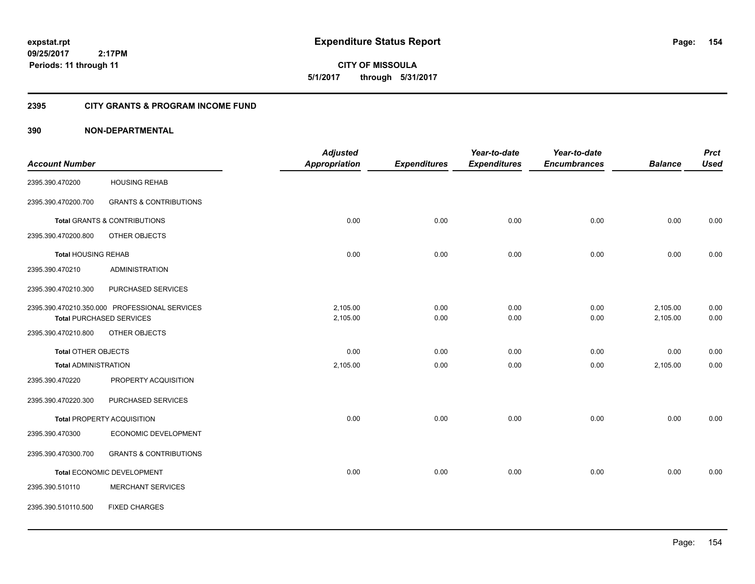**CITY OF MISSOULA 5/1/2017 through 5/31/2017**

### **2395 CITY GRANTS & PROGRAM INCOME FUND**

|                             |                                               | <b>Adjusted</b>      |                     | Year-to-date        | Year-to-date        |                | <b>Prct</b> |
|-----------------------------|-----------------------------------------------|----------------------|---------------------|---------------------|---------------------|----------------|-------------|
| <b>Account Number</b>       |                                               | <b>Appropriation</b> | <b>Expenditures</b> | <b>Expenditures</b> | <b>Encumbrances</b> | <b>Balance</b> | <b>Used</b> |
| 2395.390.470200             | <b>HOUSING REHAB</b>                          |                      |                     |                     |                     |                |             |
| 2395.390.470200.700         | <b>GRANTS &amp; CONTRIBUTIONS</b>             |                      |                     |                     |                     |                |             |
|                             | <b>Total GRANTS &amp; CONTRIBUTIONS</b>       | 0.00                 | 0.00                | 0.00                | 0.00                | 0.00           | 0.00        |
| 2395.390.470200.800         | OTHER OBJECTS                                 |                      |                     |                     |                     |                |             |
| <b>Total HOUSING REHAB</b>  |                                               | 0.00                 | 0.00                | 0.00                | 0.00                | 0.00           | 0.00        |
| 2395.390.470210             | <b>ADMINISTRATION</b>                         |                      |                     |                     |                     |                |             |
| 2395.390.470210.300         | PURCHASED SERVICES                            |                      |                     |                     |                     |                |             |
|                             | 2395.390.470210.350.000 PROFESSIONAL SERVICES | 2,105.00             | 0.00                | 0.00                | 0.00                | 2,105.00       | 0.00        |
|                             | <b>Total PURCHASED SERVICES</b>               | 2,105.00             | 0.00                | 0.00                | 0.00                | 2,105.00       | 0.00        |
| 2395.390.470210.800         | OTHER OBJECTS                                 |                      |                     |                     |                     |                |             |
| <b>Total OTHER OBJECTS</b>  |                                               | 0.00                 | 0.00                | 0.00                | 0.00                | 0.00           | 0.00        |
| <b>Total ADMINISTRATION</b> |                                               | 2,105.00             | 0.00                | 0.00                | 0.00                | 2,105.00       | 0.00        |
| 2395.390.470220             | PROPERTY ACQUISITION                          |                      |                     |                     |                     |                |             |
| 2395.390.470220.300         | PURCHASED SERVICES                            |                      |                     |                     |                     |                |             |
|                             | <b>Total PROPERTY ACQUISITION</b>             | 0.00                 | 0.00                | 0.00                | 0.00                | 0.00           | 0.00        |
| 2395.390.470300             | ECONOMIC DEVELOPMENT                          |                      |                     |                     |                     |                |             |
| 2395.390.470300.700         | <b>GRANTS &amp; CONTRIBUTIONS</b>             |                      |                     |                     |                     |                |             |
|                             | Total ECONOMIC DEVELOPMENT                    | 0.00                 | 0.00                | 0.00                | 0.00                | 0.00           | 0.00        |
| 2395.390.510110             | <b>MERCHANT SERVICES</b>                      |                      |                     |                     |                     |                |             |
| 2395.390.510110.500         | <b>FIXED CHARGES</b>                          |                      |                     |                     |                     |                |             |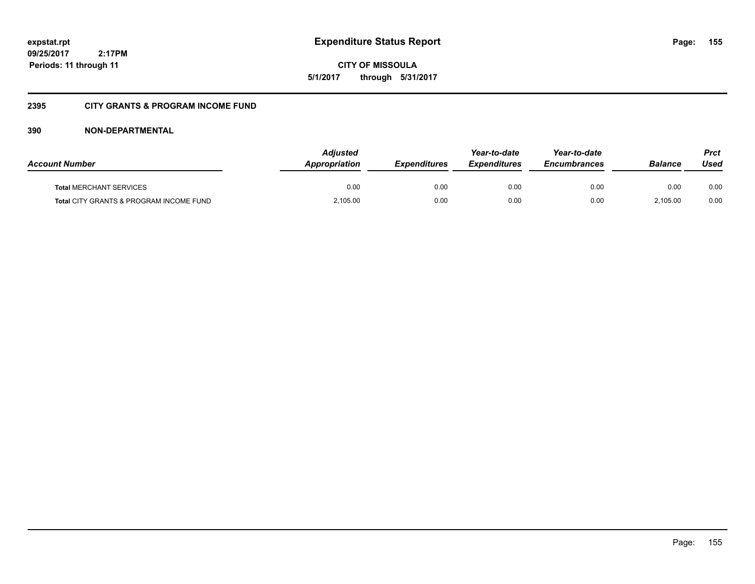**CITY OF MISSOULA 5/1/2017 through 5/31/2017**

### **2395 CITY GRANTS & PROGRAM INCOME FUND**

| <b>Account Number</b>                   | <b>Adjusted</b><br>Appropriation | <i><b>Expenditures</b></i> | Year-to-date<br><i><b>Expenditures</b></i> | Year-to-date<br><b>Encumbrances</b> | <b>Balance</b> | <b>Prct</b><br>Used |
|-----------------------------------------|----------------------------------|----------------------------|--------------------------------------------|-------------------------------------|----------------|---------------------|
| <b>Total MERCHANT SERVICES</b>          | 0.00                             | 0.00                       | 0.00                                       | 0.00                                | 0.00           | 0.00                |
| Total CITY GRANTS & PROGRAM INCOME FUND | 2,105.00                         | 0.00                       | 0.00                                       | 0.00                                | 2.105.00       | 0.00                |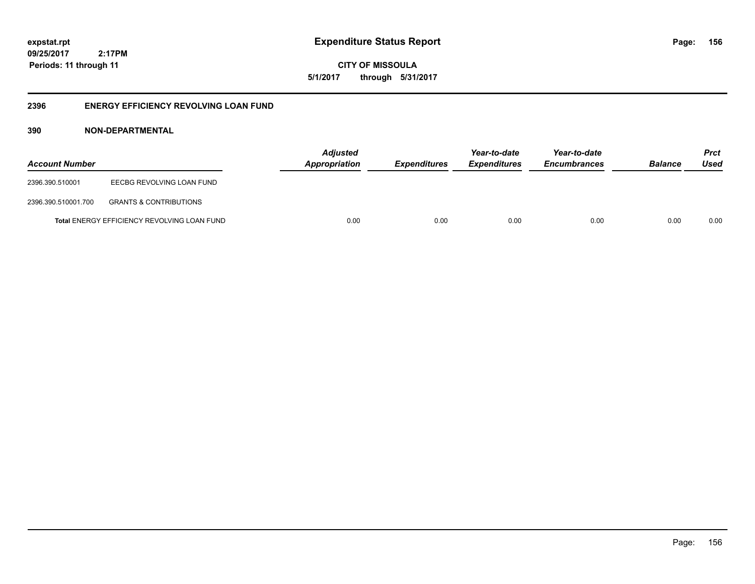**156**

**09/25/2017 2:17PM Periods: 11 through 11**

**CITY OF MISSOULA 5/1/2017 through 5/31/2017**

### **2396 ENERGY EFFICIENCY REVOLVING LOAN FUND**

| <b>Account Number</b> |                                             | <b>Adjusted</b><br>Appropriation | Expenditures | Year-to-date<br><b>Expenditures</b> | Year-to-date<br><b>Encumbrances</b> | <b>Balance</b> | <b>Prct</b><br>Used |
|-----------------------|---------------------------------------------|----------------------------------|--------------|-------------------------------------|-------------------------------------|----------------|---------------------|
| 2396.390.510001       | EECBG REVOLVING LOAN FUND                   |                                  |              |                                     |                                     |                |                     |
| 2396.390.510001.700   | <b>GRANTS &amp; CONTRIBUTIONS</b>           |                                  |              |                                     |                                     |                |                     |
|                       | Total ENERGY EFFICIENCY REVOLVING LOAN FUND | 0.00                             | 0.00         | 0.00                                | 0.00                                | 0.00           | 0.00                |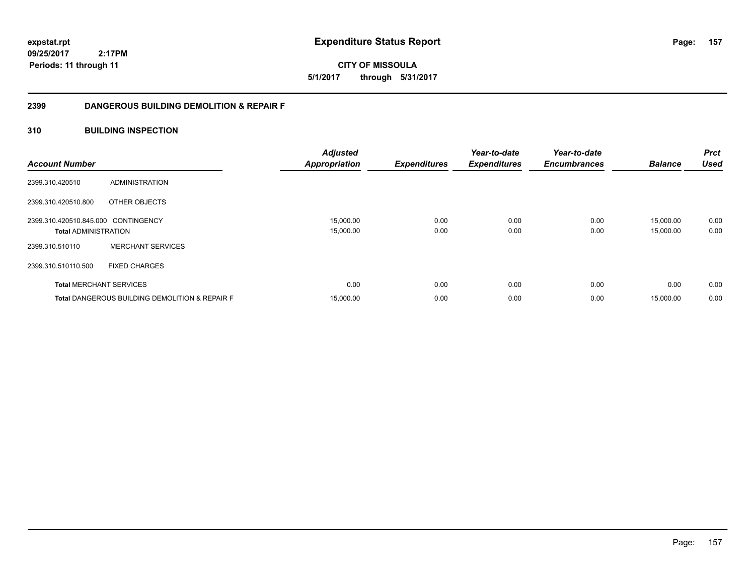# **CITY OF MISSOULA 5/1/2017 through 5/31/2017**

### **2399 DANGEROUS BUILDING DEMOLITION & REPAIR F**

### **310 BUILDING INSPECTION**

| <b>Account Number</b>                          |                                                           | <b>Adjusted</b><br><b>Appropriation</b> | <b>Expenditures</b> | Year-to-date<br><b>Expenditures</b> | Year-to-date<br><b>Encumbrances</b> | <b>Balance</b>         | <b>Prct</b><br><b>Used</b> |
|------------------------------------------------|-----------------------------------------------------------|-----------------------------------------|---------------------|-------------------------------------|-------------------------------------|------------------------|----------------------------|
| 2399.310.420510                                | ADMINISTRATION                                            |                                         |                     |                                     |                                     |                        |                            |
| 2399.310.420510.800                            | OTHER OBJECTS                                             |                                         |                     |                                     |                                     |                        |                            |
| 2399.310.420510.845.000 CONTINGENCY            |                                                           | 15,000.00<br>15,000.00                  | 0.00<br>0.00        | 0.00<br>0.00                        | 0.00<br>0.00                        | 15,000.00<br>15,000.00 | 0.00<br>0.00               |
| <b>Total ADMINISTRATION</b><br>2399.310.510110 | <b>MERCHANT SERVICES</b>                                  |                                         |                     |                                     |                                     |                        |                            |
| 2399.310.510110.500                            | <b>FIXED CHARGES</b>                                      |                                         |                     |                                     |                                     |                        |                            |
|                                                | <b>Total MERCHANT SERVICES</b>                            | 0.00                                    | 0.00                | 0.00                                | 0.00                                | 0.00                   | 0.00                       |
|                                                | <b>Total DANGEROUS BUILDING DEMOLITION &amp; REPAIR F</b> | 15,000.00                               | 0.00                | 0.00                                | 0.00                                | 15,000.00              | 0.00                       |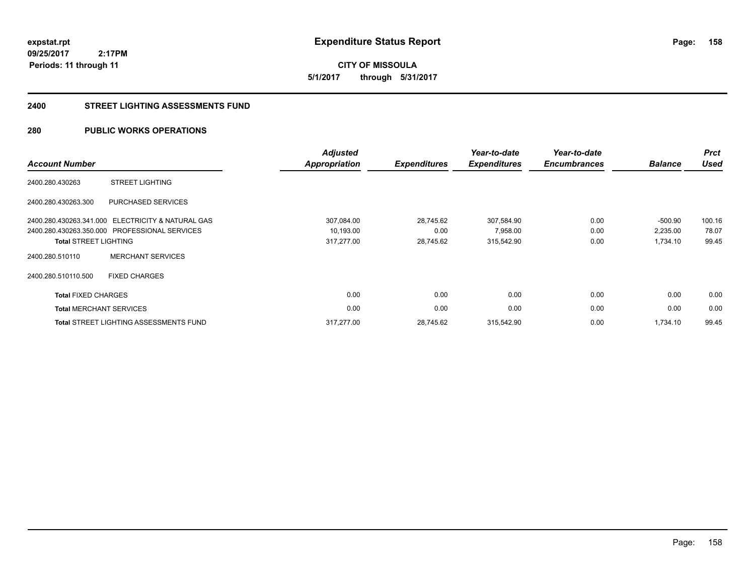**CITY OF MISSOULA 5/1/2017 through 5/31/2017**

#### **2400 STREET LIGHTING ASSESSMENTS FUND**

### **280 PUBLIC WORKS OPERATIONS**

| <b>Account Number</b>          |                                                   | <b>Adjusted</b><br>Appropriation | <b>Expenditures</b> | Year-to-date<br><b>Expenditures</b> | Year-to-date<br><b>Encumbrances</b> | <b>Balance</b> | <b>Prct</b><br><b>Used</b> |
|--------------------------------|---------------------------------------------------|----------------------------------|---------------------|-------------------------------------|-------------------------------------|----------------|----------------------------|
| 2400.280.430263                | <b>STREET LIGHTING</b>                            |                                  |                     |                                     |                                     |                |                            |
| 2400.280.430263.300            | PURCHASED SERVICES                                |                                  |                     |                                     |                                     |                |                            |
|                                | 2400.280.430263.341.000 ELECTRICITY & NATURAL GAS | 307,084.00                       | 28,745.62           | 307,584.90                          | 0.00                                | $-500.90$      | 100.16                     |
|                                | 2400.280.430263.350.000 PROFESSIONAL SERVICES     | 10,193.00                        | 0.00                | 7,958.00                            | 0.00                                | 2,235.00       | 78.07                      |
| <b>Total STREET LIGHTING</b>   |                                                   | 317,277.00                       | 28,745.62           | 315,542.90                          | 0.00                                | 1,734.10       | 99.45                      |
| 2400.280.510110                | <b>MERCHANT SERVICES</b>                          |                                  |                     |                                     |                                     |                |                            |
| 2400.280.510110.500            | <b>FIXED CHARGES</b>                              |                                  |                     |                                     |                                     |                |                            |
| <b>Total FIXED CHARGES</b>     |                                                   | 0.00                             | 0.00                | 0.00                                | 0.00                                | 0.00           | 0.00                       |
| <b>Total MERCHANT SERVICES</b> |                                                   | 0.00                             | 0.00                | 0.00                                | 0.00                                | 0.00           | 0.00                       |
|                                | <b>Total STREET LIGHTING ASSESSMENTS FUND</b>     | 317,277.00                       | 28,745.62           | 315,542.90                          | 0.00                                | 1,734.10       | 99.45                      |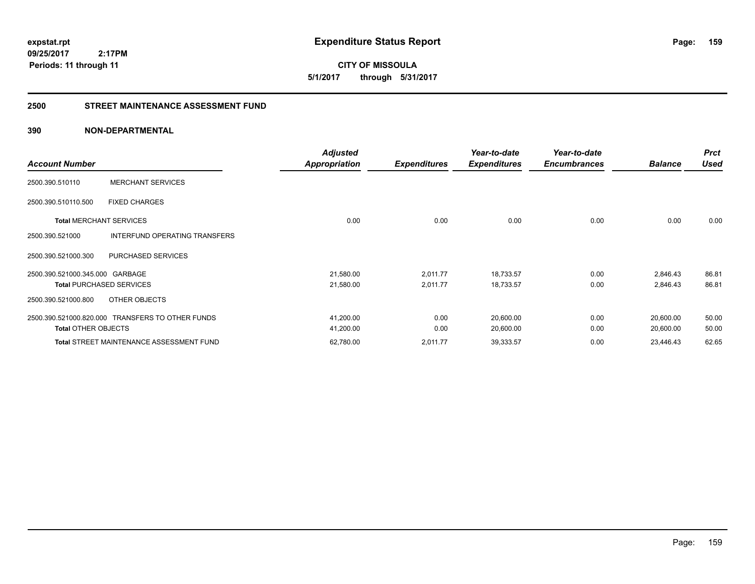**CITY OF MISSOULA 5/1/2017 through 5/31/2017**

### **2500 STREET MAINTENANCE ASSESSMENT FUND**

|                                 |                                                  | <b>Adjusted</b> |                     | Year-to-date        | Year-to-date        |                | <b>Prct</b> |
|---------------------------------|--------------------------------------------------|-----------------|---------------------|---------------------|---------------------|----------------|-------------|
| <b>Account Number</b>           |                                                  | Appropriation   | <b>Expenditures</b> | <b>Expenditures</b> | <b>Encumbrances</b> | <b>Balance</b> | <b>Used</b> |
| 2500.390.510110                 | <b>MERCHANT SERVICES</b>                         |                 |                     |                     |                     |                |             |
| 2500.390.510110.500             | <b>FIXED CHARGES</b>                             |                 |                     |                     |                     |                |             |
| <b>Total MERCHANT SERVICES</b>  |                                                  | 0.00            | 0.00                | 0.00                | 0.00                | 0.00           | 0.00        |
| 2500.390.521000                 | INTERFUND OPERATING TRANSFERS                    |                 |                     |                     |                     |                |             |
| 2500.390.521000.300             | PURCHASED SERVICES                               |                 |                     |                     |                     |                |             |
| 2500.390.521000.345.000 GARBAGE |                                                  | 21,580.00       | 2,011.77            | 18,733.57           | 0.00                | 2,846.43       | 86.81       |
|                                 | <b>Total PURCHASED SERVICES</b>                  | 21,580.00       | 2,011.77            | 18,733.57           | 0.00                | 2,846.43       | 86.81       |
| 2500.390.521000.800             | OTHER OBJECTS                                    |                 |                     |                     |                     |                |             |
|                                 | 2500.390.521000.820.000 TRANSFERS TO OTHER FUNDS | 41,200.00       | 0.00                | 20,600.00           | 0.00                | 20,600.00      | 50.00       |
| <b>Total OTHER OBJECTS</b>      |                                                  | 41,200.00       | 0.00                | 20,600.00           | 0.00                | 20,600.00      | 50.00       |
|                                 | <b>Total STREET MAINTENANCE ASSESSMENT FUND</b>  | 62,780.00       | 2,011.77            | 39,333.57           | 0.00                | 23,446.43      | 62.65       |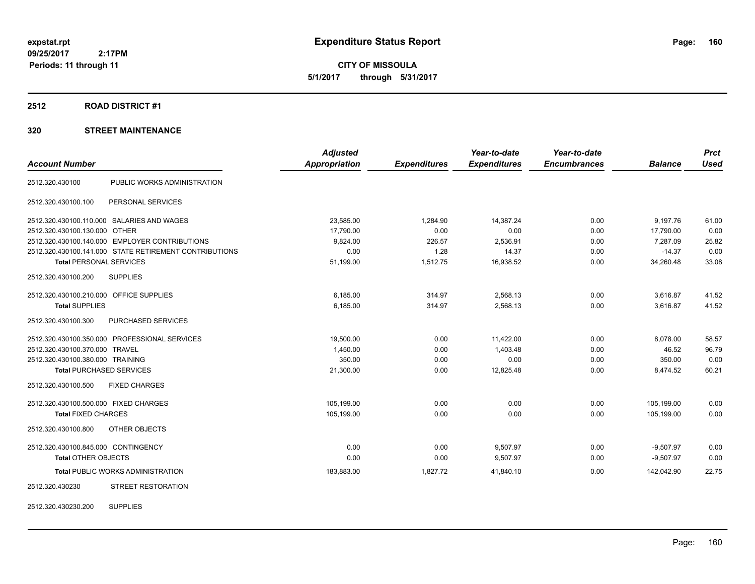**CITY OF MISSOULA 5/1/2017 through 5/31/2017**

#### **2512 ROAD DISTRICT #1**

### **320 STREET MAINTENANCE**

|                                         |                                                        | <b>Adjusted</b>      |                     | Year-to-date        | Year-to-date        |                | <b>Prct</b> |
|-----------------------------------------|--------------------------------------------------------|----------------------|---------------------|---------------------|---------------------|----------------|-------------|
| <b>Account Number</b>                   |                                                        | <b>Appropriation</b> | <b>Expenditures</b> | <b>Expenditures</b> | <b>Encumbrances</b> | <b>Balance</b> | <b>Used</b> |
| 2512.320.430100                         | PUBLIC WORKS ADMINISTRATION                            |                      |                     |                     |                     |                |             |
| 2512.320.430100.100                     | PERSONAL SERVICES                                      |                      |                     |                     |                     |                |             |
|                                         | 2512.320.430100.110.000 SALARIES AND WAGES             | 23,585.00            | 1,284.90            | 14,387.24           | 0.00                | 9,197.76       | 61.00       |
| 2512.320.430100.130.000 OTHER           |                                                        | 17,790.00            | 0.00                | 0.00                | 0.00                | 17,790.00      | 0.00        |
|                                         | 2512.320.430100.140.000 EMPLOYER CONTRIBUTIONS         | 9,824.00             | 226.57              | 2,536.91            | 0.00                | 7.287.09       | 25.82       |
|                                         | 2512.320.430100.141.000 STATE RETIREMENT CONTRIBUTIONS | 0.00                 | 1.28                | 14.37               | 0.00                | $-14.37$       | 0.00        |
| <b>Total PERSONAL SERVICES</b>          |                                                        | 51,199.00            | 1,512.75            | 16,938.52           | 0.00                | 34,260.48      | 33.08       |
| 2512.320.430100.200                     | <b>SUPPLIES</b>                                        |                      |                     |                     |                     |                |             |
| 2512.320.430100.210.000 OFFICE SUPPLIES |                                                        | 6,185.00             | 314.97              | 2,568.13            | 0.00                | 3,616.87       | 41.52       |
| <b>Total SUPPLIES</b>                   |                                                        | 6,185.00             | 314.97              | 2,568.13            | 0.00                | 3,616.87       | 41.52       |
| 2512.320.430100.300                     | PURCHASED SERVICES                                     |                      |                     |                     |                     |                |             |
|                                         | 2512.320.430100.350.000 PROFESSIONAL SERVICES          | 19,500.00            | 0.00                | 11,422.00           | 0.00                | 8,078.00       | 58.57       |
| 2512.320.430100.370.000 TRAVEL          |                                                        | 1,450.00             | 0.00                | 1,403.48            | 0.00                | 46.52          | 96.79       |
| 2512.320.430100.380.000 TRAINING        |                                                        | 350.00               | 0.00                | 0.00                | 0.00                | 350.00         | 0.00        |
|                                         | <b>Total PURCHASED SERVICES</b>                        | 21,300.00            | 0.00                | 12,825.48           | 0.00                | 8,474.52       | 60.21       |
| 2512.320.430100.500                     | <b>FIXED CHARGES</b>                                   |                      |                     |                     |                     |                |             |
| 2512.320.430100.500.000 FIXED CHARGES   |                                                        | 105,199.00           | 0.00                | 0.00                | 0.00                | 105,199.00     | 0.00        |
| <b>Total FIXED CHARGES</b>              |                                                        | 105,199.00           | 0.00                | 0.00                | 0.00                | 105,199.00     | 0.00        |
| 2512.320.430100.800                     | OTHER OBJECTS                                          |                      |                     |                     |                     |                |             |
| 2512.320.430100.845.000 CONTINGENCY     |                                                        | 0.00                 | 0.00                | 9,507.97            | 0.00                | $-9,507.97$    | 0.00        |
| Total OTHER OBJECTS                     |                                                        | 0.00                 | 0.00                | 9,507.97            | 0.00                | $-9,507.97$    | 0.00        |
|                                         | <b>Total PUBLIC WORKS ADMINISTRATION</b>               | 183,883.00           | 1,827.72            | 41,840.10           | 0.00                | 142,042.90     | 22.75       |
| 2512.320.430230                         | <b>STREET RESTORATION</b>                              |                      |                     |                     |                     |                |             |
|                                         |                                                        |                      |                     |                     |                     |                |             |

2512.320.430230.200 SUPPLIES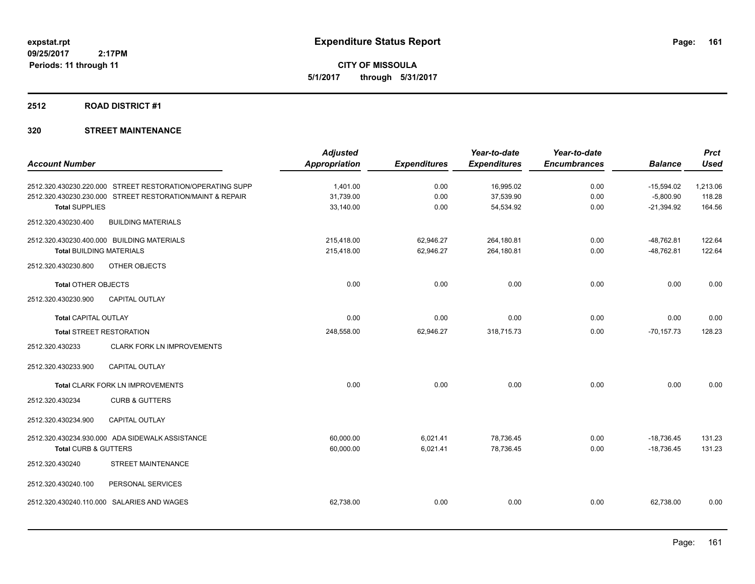**CITY OF MISSOULA 5/1/2017 through 5/31/2017**

#### **2512 ROAD DISTRICT #1**

|                                                           | <b>Adjusted</b>      |                     | Year-to-date        | Year-to-date        |                | <b>Prct</b> |
|-----------------------------------------------------------|----------------------|---------------------|---------------------|---------------------|----------------|-------------|
| <b>Account Number</b>                                     | <b>Appropriation</b> | <b>Expenditures</b> | <b>Expenditures</b> | <b>Encumbrances</b> | <b>Balance</b> | <b>Used</b> |
| 2512.320.430230.220.000 STREET RESTORATION/OPERATING SUPP | 1.401.00             | 0.00                | 16,995.02           | 0.00                | $-15,594.02$   | 1,213.06    |
| 2512.320.430230.230.000 STREET RESTORATION/MAINT & REPAIR | 31,739.00            | 0.00                | 37,539.90           | 0.00                | $-5,800.90$    | 118.28      |
| <b>Total SUPPLIES</b>                                     | 33,140.00            | 0.00                | 54,534.92           | 0.00                | $-21,394.92$   | 164.56      |
| 2512.320.430230.400<br><b>BUILDING MATERIALS</b>          |                      |                     |                     |                     |                |             |
| 2512.320.430230.400.000 BUILDING MATERIALS                | 215,418.00           | 62,946.27           | 264,180.81          | 0.00                | $-48,762.81$   | 122.64      |
| <b>Total BUILDING MATERIALS</b>                           | 215,418.00           | 62,946.27           | 264,180.81          | 0.00                | $-48,762.81$   | 122.64      |
| 2512.320.430230.800<br>OTHER OBJECTS                      |                      |                     |                     |                     |                |             |
| <b>Total OTHER OBJECTS</b>                                | 0.00                 | 0.00                | 0.00                | 0.00                | 0.00           | 0.00        |
| 2512.320.430230.900<br>CAPITAL OUTLAY                     |                      |                     |                     |                     |                |             |
| <b>Total CAPITAL OUTLAY</b>                               | 0.00                 | 0.00                | 0.00                | 0.00                | 0.00           | 0.00        |
| <b>Total STREET RESTORATION</b>                           | 248,558.00           | 62,946.27           | 318,715.73          | 0.00                | $-70, 157.73$  | 128.23      |
| 2512.320.430233<br><b>CLARK FORK LN IMPROVEMENTS</b>      |                      |                     |                     |                     |                |             |
| 2512.320.430233.900<br><b>CAPITAL OUTLAY</b>              |                      |                     |                     |                     |                |             |
| <b>Total CLARK FORK LN IMPROVEMENTS</b>                   | 0.00                 | 0.00                | 0.00                | 0.00                | 0.00           | 0.00        |
| 2512.320.430234<br><b>CURB &amp; GUTTERS</b>              |                      |                     |                     |                     |                |             |
| <b>CAPITAL OUTLAY</b><br>2512.320.430234.900              |                      |                     |                     |                     |                |             |
| 2512.320.430234.930.000 ADA SIDEWALK ASSISTANCE           | 60,000.00            | 6,021.41            | 78,736.45           | 0.00                | $-18,736.45$   | 131.23      |
| <b>Total CURB &amp; GUTTERS</b>                           | 60,000.00            | 6,021.41            | 78,736.45           | 0.00                | $-18,736.45$   | 131.23      |
| STREET MAINTENANCE<br>2512.320.430240                     |                      |                     |                     |                     |                |             |
| PERSONAL SERVICES<br>2512.320.430240.100                  |                      |                     |                     |                     |                |             |
| 2512.320.430240.110.000 SALARIES AND WAGES                | 62,738.00            | 0.00                | 0.00                | 0.00                | 62,738.00      | 0.00        |
|                                                           |                      |                     |                     |                     |                |             |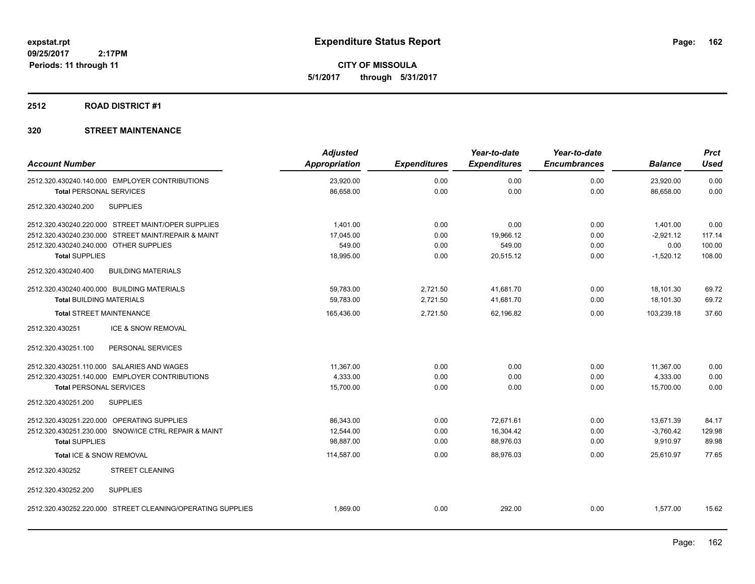**CITY OF MISSOULA 5/1/2017 through 5/31/2017**

#### **2512 ROAD DISTRICT #1**

| <b>Account Number</b>                      |                                                            | <b>Adjusted</b><br>Appropriation | <b>Expenditures</b> | Year-to-date<br><b>Expenditures</b> | Year-to-date<br><b>Encumbrances</b> | <b>Balance</b> | <b>Prct</b><br><b>Used</b> |
|--------------------------------------------|------------------------------------------------------------|----------------------------------|---------------------|-------------------------------------|-------------------------------------|----------------|----------------------------|
|                                            |                                                            |                                  |                     |                                     |                                     |                |                            |
|                                            | 2512.320.430240.140.000 EMPLOYER CONTRIBUTIONS             | 23,920.00                        | 0.00                | 0.00                                | 0.00                                | 23,920.00      | 0.00                       |
| <b>Total PERSONAL SERVICES</b>             |                                                            | 86,658.00                        | 0.00                | 0.00                                | 0.00                                | 86,658.00      | 0.00                       |
| 2512.320.430240.200                        | <b>SUPPLIES</b>                                            |                                  |                     |                                     |                                     |                |                            |
|                                            | 2512.320.430240.220.000 STREET MAINT/OPER SUPPLIES         | 1.401.00                         | 0.00                | 0.00                                | 0.00                                | 1,401.00       | 0.00                       |
|                                            | 2512.320.430240.230.000 STREET MAINT/REPAIR & MAINT        | 17,045.00                        | 0.00                | 19,966.12                           | 0.00                                | $-2,921.12$    | 117.14                     |
| 2512.320.430240.240.000 OTHER SUPPLIES     |                                                            | 549.00                           | 0.00                | 549.00                              | 0.00                                | 0.00           | 100.00                     |
| <b>Total SUPPLIES</b>                      |                                                            | 18,995.00                        | 0.00                | 20,515.12                           | 0.00                                | $-1,520.12$    | 108.00                     |
| 2512.320.430240.400                        | <b>BUILDING MATERIALS</b>                                  |                                  |                     |                                     |                                     |                |                            |
| 2512.320.430240.400.000 BUILDING MATERIALS |                                                            | 59,783.00                        | 2,721.50            | 41,681.70                           | 0.00                                | 18.101.30      | 69.72                      |
| <b>Total BUILDING MATERIALS</b>            |                                                            | 59.783.00                        | 2,721.50            | 41,681.70                           | 0.00                                | 18,101.30      | 69.72                      |
| <b>Total STREET MAINTENANCE</b>            |                                                            | 165,436.00                       | 2,721.50            | 62,196.82                           | 0.00                                | 103.239.18     | 37.60                      |
| 2512.320.430251                            | <b>ICE &amp; SNOW REMOVAL</b>                              |                                  |                     |                                     |                                     |                |                            |
| 2512.320.430251.100                        | PERSONAL SERVICES                                          |                                  |                     |                                     |                                     |                |                            |
|                                            | 2512.320.430251.110.000 SALARIES AND WAGES                 | 11,367.00                        | 0.00                | 0.00                                | 0.00                                | 11,367.00      | 0.00                       |
|                                            | 2512.320.430251.140.000 EMPLOYER CONTRIBUTIONS             | 4,333.00                         | 0.00                | 0.00                                | 0.00                                | 4,333.00       | 0.00                       |
| <b>Total PERSONAL SERVICES</b>             |                                                            | 15,700.00                        | 0.00                | 0.00                                | 0.00                                | 15,700.00      | 0.00                       |
| 2512.320.430251.200                        | <b>SUPPLIES</b>                                            |                                  |                     |                                     |                                     |                |                            |
|                                            | 2512.320.430251.220.000 OPERATING SUPPLIES                 | 86,343.00                        | 0.00                | 72,671.61                           | 0.00                                | 13,671.39      | 84.17                      |
|                                            | 2512.320.430251.230.000 SNOW/ICE CTRL REPAIR & MAINT       | 12,544.00                        | 0.00                | 16,304.42                           | 0.00                                | $-3,760.42$    | 129.98                     |
| <b>Total SUPPLIES</b>                      |                                                            | 98,887.00                        | 0.00                | 88,976.03                           | 0.00                                | 9,910.97       | 89.98                      |
| Total ICE & SNOW REMOVAL                   |                                                            | 114,587.00                       | 0.00                | 88,976.03                           | 0.00                                | 25,610.97      | 77.65                      |
| 2512.320.430252                            | <b>STREET CLEANING</b>                                     |                                  |                     |                                     |                                     |                |                            |
| 2512.320.430252.200                        | <b>SUPPLIES</b>                                            |                                  |                     |                                     |                                     |                |                            |
|                                            | 2512.320.430252.220.000 STREET CLEANING/OPERATING SUPPLIES | 1,869.00                         | 0.00                | 292.00                              | 0.00                                | 1,577.00       | 15.62                      |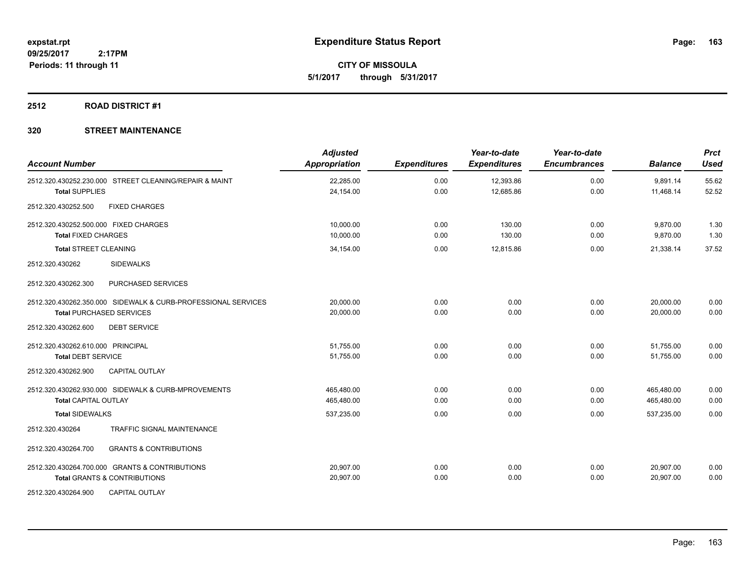**CITY OF MISSOULA 5/1/2017 through 5/31/2017**

#### **2512 ROAD DISTRICT #1**

| <b>Account Number</b>                                         | <b>Adjusted</b><br><b>Appropriation</b> | <b>Expenditures</b> | Year-to-date<br><b>Expenditures</b> | Year-to-date<br><b>Encumbrances</b> | <b>Balance</b> | <b>Prct</b><br><b>Used</b> |
|---------------------------------------------------------------|-----------------------------------------|---------------------|-------------------------------------|-------------------------------------|----------------|----------------------------|
| 2512.320.430252.230.000 STREET CLEANING/REPAIR & MAINT        | 22,285.00                               | 0.00                | 12,393.86                           | 0.00                                | 9,891.14       | 55.62                      |
| <b>Total SUPPLIES</b>                                         | 24,154.00                               | 0.00                | 12,685.86                           | 0.00                                | 11,468.14      | 52.52                      |
| 2512.320.430252.500<br><b>FIXED CHARGES</b>                   |                                         |                     |                                     |                                     |                |                            |
| 2512.320.430252.500.000 FIXED CHARGES                         | 10.000.00                               | 0.00                | 130.00                              | 0.00                                | 9,870.00       | 1.30                       |
| <b>Total FIXED CHARGES</b>                                    | 10,000.00                               | 0.00                | 130.00                              | 0.00                                | 9,870.00       | 1.30                       |
| <b>Total STREET CLEANING</b>                                  | 34,154.00                               | 0.00                | 12,815.86                           | 0.00                                | 21,338.14      | 37.52                      |
| 2512.320.430262<br><b>SIDEWALKS</b>                           |                                         |                     |                                     |                                     |                |                            |
| 2512.320.430262.300<br>PURCHASED SERVICES                     |                                         |                     |                                     |                                     |                |                            |
| 2512.320.430262.350.000 SIDEWALK & CURB-PROFESSIONAL SERVICES | 20,000.00                               | 0.00                | 0.00                                | 0.00                                | 20,000.00      | 0.00                       |
| <b>Total PURCHASED SERVICES</b>                               | 20,000.00                               | 0.00                | 0.00                                | 0.00                                | 20,000.00      | 0.00                       |
| 2512.320.430262.600<br><b>DEBT SERVICE</b>                    |                                         |                     |                                     |                                     |                |                            |
| 2512.320.430262.610.000 PRINCIPAL                             | 51.755.00                               | 0.00                | 0.00                                | 0.00                                | 51,755.00      | 0.00                       |
| <b>Total DEBT SERVICE</b>                                     | 51,755.00                               | 0.00                | 0.00                                | 0.00                                | 51.755.00      | 0.00                       |
| <b>CAPITAL OUTLAY</b><br>2512.320.430262.900                  |                                         |                     |                                     |                                     |                |                            |
| 2512.320.430262.930.000 SIDEWALK & CURB-MPROVEMENTS           | 465,480.00                              | 0.00                | 0.00                                | 0.00                                | 465,480.00     | 0.00                       |
| <b>Total CAPITAL OUTLAY</b>                                   | 465,480.00                              | 0.00                | 0.00                                | 0.00                                | 465,480.00     | 0.00                       |
| <b>Total SIDEWALKS</b>                                        | 537,235.00                              | 0.00                | 0.00                                | 0.00                                | 537,235.00     | 0.00                       |
| <b>TRAFFIC SIGNAL MAINTENANCE</b><br>2512.320.430264          |                                         |                     |                                     |                                     |                |                            |
| 2512.320.430264.700<br><b>GRANTS &amp; CONTRIBUTIONS</b>      |                                         |                     |                                     |                                     |                |                            |
| 2512.320.430264.700.000 GRANTS & CONTRIBUTIONS                | 20,907.00                               | 0.00                | 0.00                                | 0.00                                | 20,907.00      | 0.00                       |
| <b>Total GRANTS &amp; CONTRIBUTIONS</b>                       | 20,907.00                               | 0.00                | 0.00                                | 0.00                                | 20,907.00      | 0.00                       |
| <b>CAPITAL OUTLAY</b><br>2512.320.430264.900                  |                                         |                     |                                     |                                     |                |                            |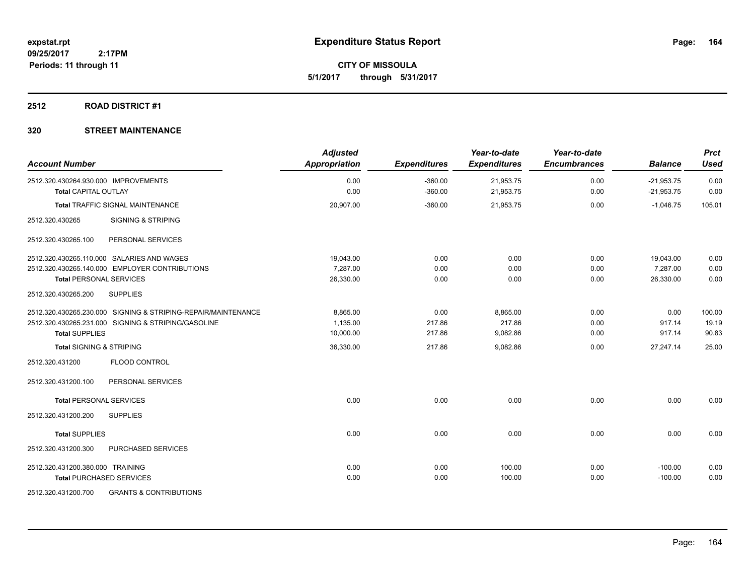**CITY OF MISSOULA 5/1/2017 through 5/31/2017**

#### **2512 ROAD DISTRICT #1**

| <b>Account Number</b>                                                                                                                         | <b>Adjusted</b><br><b>Appropriation</b> | <b>Expenditures</b>      | Year-to-date<br><b>Expenditures</b> | Year-to-date<br><b>Encumbrances</b> | <b>Balance</b>                     | <b>Prct</b><br><b>Used</b> |
|-----------------------------------------------------------------------------------------------------------------------------------------------|-----------------------------------------|--------------------------|-------------------------------------|-------------------------------------|------------------------------------|----------------------------|
| 2512.320.430264.930.000 IMPROVEMENTS<br><b>Total CAPITAL OUTLAY</b>                                                                           | 0.00<br>0.00                            | $-360.00$<br>$-360.00$   | 21,953.75<br>21,953.75              | 0.00<br>0.00                        | $-21,953.75$<br>$-21,953.75$       | 0.00<br>0.00               |
| Total TRAFFIC SIGNAL MAINTENANCE                                                                                                              | 20,907.00                               | $-360.00$                | 21,953.75                           | 0.00                                | $-1,046.75$                        | 105.01                     |
| 2512.320.430265<br><b>SIGNING &amp; STRIPING</b>                                                                                              |                                         |                          |                                     |                                     |                                    |                            |
| PERSONAL SERVICES<br>2512.320.430265.100                                                                                                      |                                         |                          |                                     |                                     |                                    |                            |
| 2512.320.430265.110.000 SALARIES AND WAGES<br>2512.320.430265.140.000 EMPLOYER CONTRIBUTIONS<br><b>Total PERSONAL SERVICES</b>                | 19,043.00<br>7,287.00<br>26,330.00      | 0.00<br>0.00<br>0.00     | 0.00<br>0.00<br>0.00                | 0.00<br>0.00<br>0.00                | 19,043.00<br>7,287.00<br>26,330.00 | 0.00<br>0.00<br>0.00       |
| 2512.320.430265.200<br><b>SUPPLIES</b>                                                                                                        |                                         |                          |                                     |                                     |                                    |                            |
| 2512.320.430265.230.000 SIGNING & STRIPING-REPAIR/MAINTENANCE<br>2512.320.430265.231.000 SIGNING & STRIPING/GASOLINE<br><b>Total SUPPLIES</b> | 8,865.00<br>1,135.00<br>10,000.00       | 0.00<br>217.86<br>217.86 | 8,865.00<br>217.86<br>9,082.86      | 0.00<br>0.00<br>0.00                | 0.00<br>917.14<br>917.14           | 100.00<br>19.19<br>90.83   |
| <b>Total SIGNING &amp; STRIPING</b>                                                                                                           | 36,330.00                               | 217.86                   | 9,082.86                            | 0.00                                | 27,247.14                          | 25.00                      |
| FLOOD CONTROL<br>2512.320.431200                                                                                                              |                                         |                          |                                     |                                     |                                    |                            |
| 2512.320.431200.100<br>PERSONAL SERVICES                                                                                                      |                                         |                          |                                     |                                     |                                    |                            |
| <b>Total PERSONAL SERVICES</b>                                                                                                                | 0.00                                    | 0.00                     | 0.00                                | 0.00                                | 0.00                               | 0.00                       |
| 2512.320.431200.200<br><b>SUPPLIES</b>                                                                                                        |                                         |                          |                                     |                                     |                                    |                            |
| <b>Total SUPPLIES</b>                                                                                                                         | 0.00                                    | 0.00                     | 0.00                                | 0.00                                | 0.00                               | 0.00                       |
| PURCHASED SERVICES<br>2512.320.431200.300                                                                                                     |                                         |                          |                                     |                                     |                                    |                            |
| 2512.320.431200.380.000 TRAINING<br><b>Total PURCHASED SERVICES</b>                                                                           | 0.00<br>0.00                            | 0.00<br>0.00             | 100.00<br>100.00                    | 0.00<br>0.00                        | $-100.00$<br>$-100.00$             | 0.00<br>0.00               |
| 2512.320.431200.700<br><b>GRANTS &amp; CONTRIBUTIONS</b>                                                                                      |                                         |                          |                                     |                                     |                                    |                            |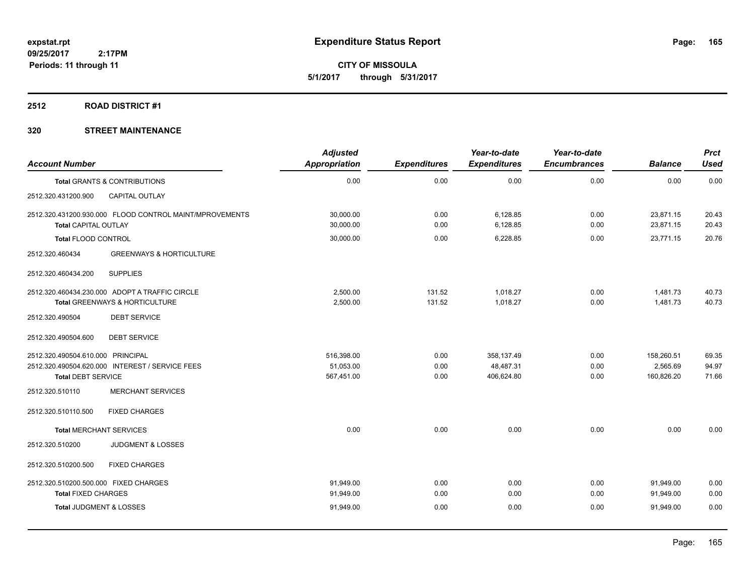**CITY OF MISSOULA 5/1/2017 through 5/31/2017**

#### **2512 ROAD DISTRICT #1**

| <b>Account Number</b>                                               |                                                                                  | <b>Adjusted</b><br>Appropriation      | <b>Expenditures</b>  | Year-to-date<br><b>Expenditures</b>   | Year-to-date<br><b>Encumbrances</b> | <b>Balance</b>                       | <b>Prct</b><br><b>Used</b> |
|---------------------------------------------------------------------|----------------------------------------------------------------------------------|---------------------------------------|----------------------|---------------------------------------|-------------------------------------|--------------------------------------|----------------------------|
|                                                                     | Total GRANTS & CONTRIBUTIONS                                                     | 0.00                                  | 0.00                 | 0.00                                  | 0.00                                | 0.00                                 | 0.00                       |
| 2512.320.431200.900                                                 | <b>CAPITAL OUTLAY</b>                                                            |                                       |                      |                                       |                                     |                                      |                            |
| <b>Total CAPITAL OUTLAY</b>                                         | 2512.320.431200.930.000 FLOOD CONTROL MAINT/MPROVEMENTS                          | 30,000.00<br>30,000.00                | 0.00<br>0.00         | 6,128.85<br>6,128.85                  | 0.00<br>0.00                        | 23,871.15<br>23,871.15               | 20.43<br>20.43             |
| <b>Total FLOOD CONTROL</b>                                          |                                                                                  | 30,000.00                             | 0.00                 | 6,228.85                              | 0.00                                | 23,771.15                            | 20.76                      |
| 2512.320.460434                                                     | <b>GREENWAYS &amp; HORTICULTURE</b>                                              |                                       |                      |                                       |                                     |                                      |                            |
| 2512.320.460434.200                                                 | <b>SUPPLIES</b>                                                                  |                                       |                      |                                       |                                     |                                      |                            |
|                                                                     | 2512.320.460434.230.000 ADOPT A TRAFFIC CIRCLE<br>Total GREENWAYS & HORTICULTURE | 2,500.00<br>2,500.00                  | 131.52<br>131.52     | 1,018.27<br>1,018.27                  | 0.00<br>0.00                        | 1,481.73<br>1,481.73                 | 40.73<br>40.73             |
| 2512.320.490504                                                     | <b>DEBT SERVICE</b>                                                              |                                       |                      |                                       |                                     |                                      |                            |
| 2512.320.490504.600                                                 | <b>DEBT SERVICE</b>                                                              |                                       |                      |                                       |                                     |                                      |                            |
| 2512.320.490504.610.000 PRINCIPAL<br><b>Total DEBT SERVICE</b>      | 2512.320.490504.620.000 INTEREST / SERVICE FEES                                  | 516,398.00<br>51,053.00<br>567,451.00 | 0.00<br>0.00<br>0.00 | 358,137.49<br>48,487.31<br>406,624.80 | 0.00<br>0.00<br>0.00                | 158,260.51<br>2,565.69<br>160,826.20 | 69.35<br>94.97<br>71.66    |
| 2512.320.510110                                                     | <b>MERCHANT SERVICES</b>                                                         |                                       |                      |                                       |                                     |                                      |                            |
| 2512.320.510110.500                                                 | <b>FIXED CHARGES</b>                                                             |                                       |                      |                                       |                                     |                                      |                            |
| <b>Total MERCHANT SERVICES</b>                                      |                                                                                  | 0.00                                  | 0.00                 | 0.00                                  | 0.00                                | 0.00                                 | 0.00                       |
| 2512.320.510200                                                     | <b>JUDGMENT &amp; LOSSES</b>                                                     |                                       |                      |                                       |                                     |                                      |                            |
| 2512.320.510200.500                                                 | <b>FIXED CHARGES</b>                                                             |                                       |                      |                                       |                                     |                                      |                            |
| 2512.320.510200.500.000 FIXED CHARGES<br><b>Total FIXED CHARGES</b> |                                                                                  | 91,949.00<br>91,949.00                | 0.00<br>0.00         | 0.00<br>0.00                          | 0.00<br>0.00                        | 91,949.00<br>91,949.00               | 0.00<br>0.00               |
| Total JUDGMENT & LOSSES                                             |                                                                                  | 91,949.00                             | 0.00                 | 0.00                                  | 0.00                                | 91,949.00                            | 0.00                       |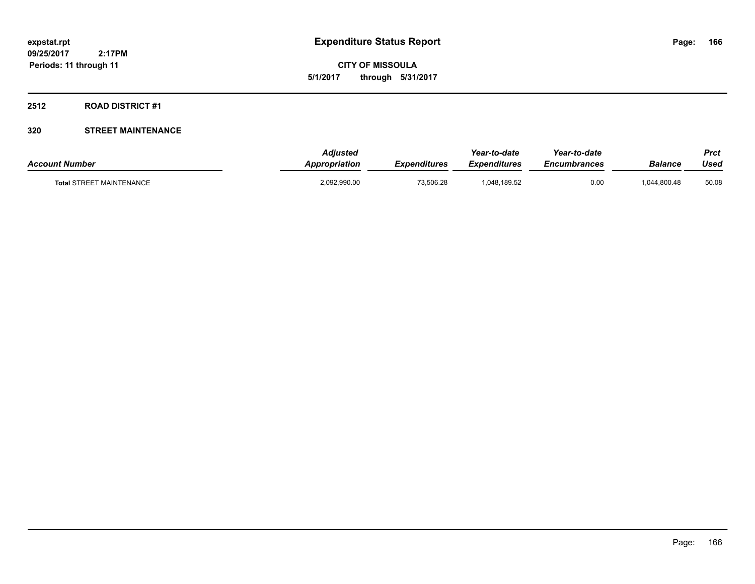**CITY OF MISSOULA 5/1/2017 through 5/31/2017**

#### **2512 ROAD DISTRICT #1**

| <b>Account Number</b>           | <b>Adjusted</b><br>Appropriation | <b>Expenditures</b> | Year-to-date<br><b>Expenditures</b> | Year-to-date<br><i><b>Encumbrances</b></i> | Balance      | Prct<br>Used |
|---------------------------------|----------------------------------|---------------------|-------------------------------------|--------------------------------------------|--------------|--------------|
| <b>Total STREET MAINTENANCE</b> | 2,092,990.00                     | 73.506.28           | 1,048,189.52                        | 0.00                                       | 1.044.800.48 | 50.08        |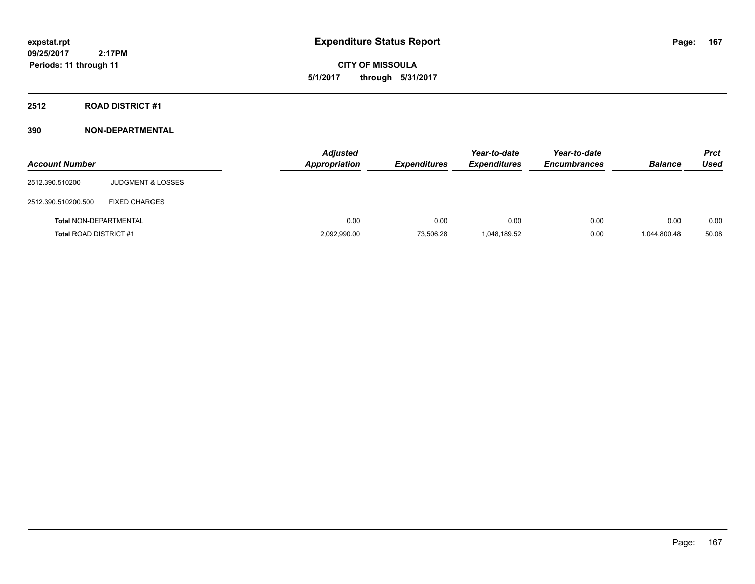**CITY OF MISSOULA 5/1/2017 through 5/31/2017**

**2512 ROAD DISTRICT #1**

| <b>Account Number</b>         |                              | <b>Adjusted</b><br>Appropriation | <b>Expenditures</b> | Year-to-date<br><b>Expenditures</b> | Year-to-date<br><b>Encumbrances</b> | <b>Balance</b> | <b>Prct</b><br>Used |
|-------------------------------|------------------------------|----------------------------------|---------------------|-------------------------------------|-------------------------------------|----------------|---------------------|
| 2512.390.510200               | <b>JUDGMENT &amp; LOSSES</b> |                                  |                     |                                     |                                     |                |                     |
| 2512.390.510200.500           | <b>FIXED CHARGES</b>         |                                  |                     |                                     |                                     |                |                     |
| <b>Total NON-DEPARTMENTAL</b> |                              | 0.00                             | 0.00                | 0.00                                | 0.00                                | 0.00           | 0.00                |
| <b>Total ROAD DISTRICT #1</b> |                              | 2,092,990.00                     | 73,506.28           | 1,048,189.52                        | 0.00                                | 1,044,800.48   | 50.08               |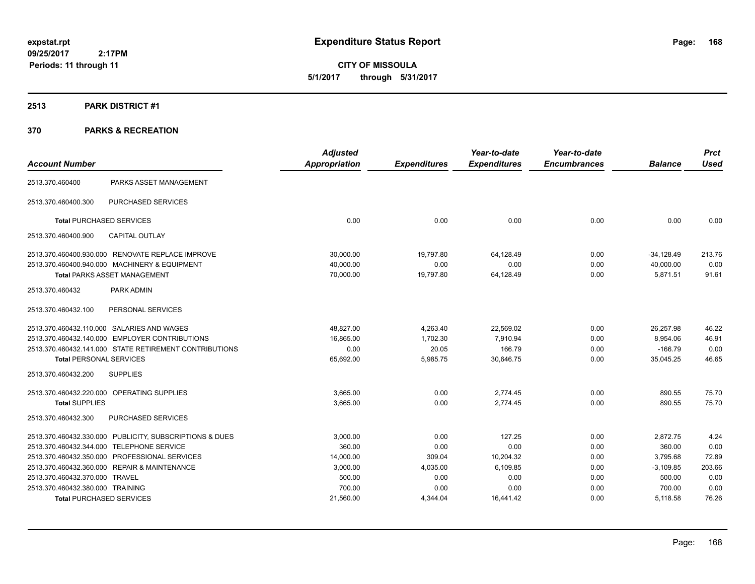**CITY OF MISSOULA 5/1/2017 through 5/31/2017**

#### **2513 PARK DISTRICT #1**

| <b>Account Number</b>            |                                                         | <b>Adjusted</b><br><b>Appropriation</b> | <b>Expenditures</b> | Year-to-date<br><b>Expenditures</b> | Year-to-date<br><b>Encumbrances</b> | <b>Balance</b> | <b>Prct</b><br><b>Used</b> |
|----------------------------------|---------------------------------------------------------|-----------------------------------------|---------------------|-------------------------------------|-------------------------------------|----------------|----------------------------|
|                                  |                                                         |                                         |                     |                                     |                                     |                |                            |
| 2513.370.460400                  | PARKS ASSET MANAGEMENT                                  |                                         |                     |                                     |                                     |                |                            |
| 2513.370.460400.300              | <b>PURCHASED SERVICES</b>                               |                                         |                     |                                     |                                     |                |                            |
| <b>Total PURCHASED SERVICES</b>  |                                                         | 0.00                                    | 0.00                | 0.00                                | 0.00                                | 0.00           | 0.00                       |
| 2513.370.460400.900              | <b>CAPITAL OUTLAY</b>                                   |                                         |                     |                                     |                                     |                |                            |
|                                  | 2513.370.460400.930.000 RENOVATE REPLACE IMPROVE        | 30,000.00                               | 19,797.80           | 64,128.49                           | 0.00                                | $-34,128.49$   | 213.76                     |
|                                  | 2513.370.460400.940.000 MACHINERY & EQUIPMENT           | 40.000.00                               | 0.00                | 0.00                                | 0.00                                | 40,000.00      | 0.00                       |
|                                  | <b>Total PARKS ASSET MANAGEMENT</b>                     | 70,000.00                               | 19,797.80           | 64,128.49                           | 0.00                                | 5,871.51       | 91.61                      |
| 2513.370.460432                  | PARK ADMIN                                              |                                         |                     |                                     |                                     |                |                            |
| 2513.370.460432.100              | PERSONAL SERVICES                                       |                                         |                     |                                     |                                     |                |                            |
|                                  | 2513.370.460432.110.000 SALARIES AND WAGES              | 48.827.00                               | 4,263.40            | 22,569.02                           | 0.00                                | 26,257.98      | 46.22                      |
|                                  | 2513.370.460432.140.000 EMPLOYER CONTRIBUTIONS          | 16,865.00                               | 1,702.30            | 7,910.94                            | 0.00                                | 8,954.06       | 46.91                      |
|                                  | 2513.370.460432.141.000 STATE RETIREMENT CONTRIBUTIONS  | 0.00                                    | 20.05               | 166.79                              | 0.00                                | $-166.79$      | 0.00                       |
| <b>Total PERSONAL SERVICES</b>   |                                                         | 65,692.00                               | 5,985.75            | 30,646.75                           | 0.00                                | 35,045.25      | 46.65                      |
| 2513.370.460432.200              | <b>SUPPLIES</b>                                         |                                         |                     |                                     |                                     |                |                            |
|                                  | 2513.370.460432.220.000 OPERATING SUPPLIES              | 3,665.00                                | 0.00                | 2.774.45                            | 0.00                                | 890.55         | 75.70                      |
| <b>Total SUPPLIES</b>            |                                                         | 3,665.00                                | 0.00                | 2,774.45                            | 0.00                                | 890.55         | 75.70                      |
| 2513.370.460432.300              | <b>PURCHASED SERVICES</b>                               |                                         |                     |                                     |                                     |                |                            |
|                                  | 2513.370.460432.330.000 PUBLICITY, SUBSCRIPTIONS & DUES | 3,000.00                                | 0.00                | 127.25                              | 0.00                                | 2,872.75       | 4.24                       |
|                                  | 2513.370.460432.344.000 TELEPHONE SERVICE               | 360.00                                  | 0.00                | 0.00                                | 0.00                                | 360.00         | 0.00                       |
|                                  | 2513.370.460432.350.000 PROFESSIONAL SERVICES           | 14,000.00                               | 309.04              | 10,204.32                           | 0.00                                | 3,795.68       | 72.89                      |
|                                  | 2513.370.460432.360.000 REPAIR & MAINTENANCE            | 3,000.00                                | 4,035.00            | 6,109.85                            | 0.00                                | $-3,109.85$    | 203.66                     |
| 2513.370.460432.370.000 TRAVEL   |                                                         | 500.00                                  | 0.00                | 0.00                                | 0.00                                | 500.00         | 0.00                       |
| 2513.370.460432.380.000 TRAINING |                                                         | 700.00                                  | 0.00                | 0.00                                | 0.00                                | 700.00         | 0.00                       |
|                                  | <b>Total PURCHASED SERVICES</b>                         | 21,560.00                               | 4,344.04            | 16,441.42                           | 0.00                                | 5,118.58       | 76.26                      |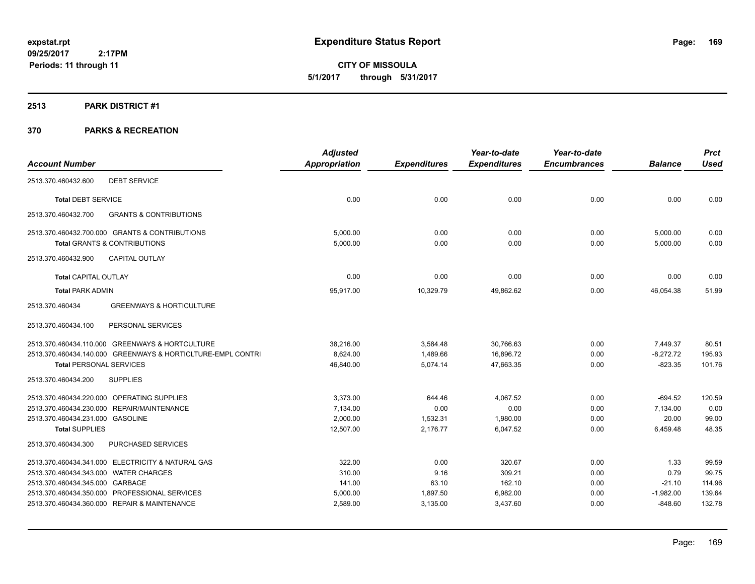**CITY OF MISSOULA 5/1/2017 through 5/31/2017**

#### **2513 PARK DISTRICT #1**

|                                                             | <b>Adjusted</b> |                     | Year-to-date        | Year-to-date        |                | <b>Prct</b> |
|-------------------------------------------------------------|-----------------|---------------------|---------------------|---------------------|----------------|-------------|
| <b>Account Number</b>                                       | Appropriation   | <b>Expenditures</b> | <b>Expenditures</b> | <b>Encumbrances</b> | <b>Balance</b> | <b>Used</b> |
| <b>DEBT SERVICE</b><br>2513.370.460432.600                  |                 |                     |                     |                     |                |             |
| <b>Total DEBT SERVICE</b>                                   | 0.00            | 0.00                | 0.00                | 0.00                | 0.00           | 0.00        |
| 2513.370.460432.700<br><b>GRANTS &amp; CONTRIBUTIONS</b>    |                 |                     |                     |                     |                |             |
| 2513.370.460432.700.000 GRANTS & CONTRIBUTIONS              | 5,000.00        | 0.00                | 0.00                | 0.00                | 5,000.00       | 0.00        |
| <b>Total GRANTS &amp; CONTRIBUTIONS</b>                     | 5,000.00        | 0.00                | 0.00                | 0.00                | 5,000.00       | 0.00        |
| <b>CAPITAL OUTLAY</b><br>2513.370.460432.900                |                 |                     |                     |                     |                |             |
| <b>Total CAPITAL OUTLAY</b>                                 | 0.00            | 0.00                | 0.00                | 0.00                | 0.00           | 0.00        |
| <b>Total PARK ADMIN</b>                                     | 95,917.00       | 10,329.79           | 49,862.62           | 0.00                | 46,054.38      | 51.99       |
| 2513.370.460434<br><b>GREENWAYS &amp; HORTICULTURE</b>      |                 |                     |                     |                     |                |             |
| PERSONAL SERVICES<br>2513.370.460434.100                    |                 |                     |                     |                     |                |             |
| 2513.370.460434.110.000 GREENWAYS & HORTCULTURE             | 38,216.00       | 3,584.48            | 30,766.63           | 0.00                | 7,449.37       | 80.51       |
| 2513.370.460434.140.000 GREENWAYS & HORTICLTURE-EMPL CONTRI | 8,624.00        | 1,489.66            | 16,896.72           | 0.00                | $-8,272.72$    | 195.93      |
| <b>Total PERSONAL SERVICES</b>                              | 46,840.00       | 5,074.14            | 47,663.35           | 0.00                | $-823.35$      | 101.76      |
| <b>SUPPLIES</b><br>2513.370.460434.200                      |                 |                     |                     |                     |                |             |
| 2513.370.460434.220.000 OPERATING SUPPLIES                  | 3,373.00        | 644.46              | 4.067.52            | 0.00                | $-694.52$      | 120.59      |
| 2513.370.460434.230.000 REPAIR/MAINTENANCE                  | 7,134.00        | 0.00                | 0.00                | 0.00                | 7,134.00       | 0.00        |
| 2513.370.460434.231.000 GASOLINE                            | 2,000.00        | 1,532.31            | 1,980.00            | 0.00                | 20.00          | 99.00       |
| <b>Total SUPPLIES</b>                                       | 12,507.00       | 2,176.77            | 6,047.52            | 0.00                | 6,459.48       | 48.35       |
| 2513.370.460434.300<br>PURCHASED SERVICES                   |                 |                     |                     |                     |                |             |
| 2513.370.460434.341.000 ELECTRICITY & NATURAL GAS           | 322.00          | 0.00                | 320.67              | 0.00                | 1.33           | 99.59       |
| 2513.370.460434.343.000 WATER CHARGES                       | 310.00          | 9.16                | 309.21              | 0.00                | 0.79           | 99.75       |
| 2513.370.460434.345.000 GARBAGE                             | 141.00          | 63.10               | 162.10              | 0.00                | $-21.10$       | 114.96      |
| 2513.370.460434.350.000 PROFESSIONAL SERVICES               | 5,000.00        | 1,897.50            | 6,982.00            | 0.00                | $-1,982.00$    | 139.64      |
| 2513.370.460434.360.000 REPAIR & MAINTENANCE                | 2,589.00        | 3,135.00            | 3,437.60            | 0.00                | $-848.60$      | 132.78      |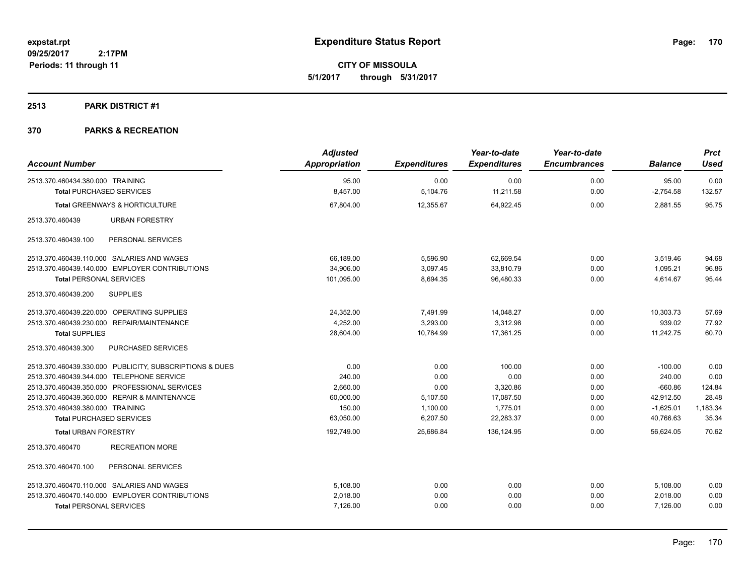**CITY OF MISSOULA 5/1/2017 through 5/31/2017**

#### **2513 PARK DISTRICT #1**

| <b>Account Number</b>                                   | <b>Adjusted</b> |                     | Year-to-date        | Year-to-date        | <b>Balance</b> | <b>Prct</b> |
|---------------------------------------------------------|-----------------|---------------------|---------------------|---------------------|----------------|-------------|
|                                                         | Appropriation   | <b>Expenditures</b> | <b>Expenditures</b> | <b>Encumbrances</b> |                | <b>Used</b> |
| 2513.370.460434.380.000 TRAINING                        | 95.00           | 0.00                | 0.00                | 0.00                | 95.00          | 0.00        |
| <b>Total PURCHASED SERVICES</b>                         | 8,457.00        | 5,104.76            | 11,211.58           | 0.00                | $-2,754.58$    | 132.57      |
| Total GREENWAYS & HORTICULTURE                          | 67,804.00       | 12,355.67           | 64,922.45           | 0.00                | 2,881.55       | 95.75       |
| 2513.370.460439<br><b>URBAN FORESTRY</b>                |                 |                     |                     |                     |                |             |
| 2513.370.460439.100<br>PERSONAL SERVICES                |                 |                     |                     |                     |                |             |
| 2513.370.460439.110.000 SALARIES AND WAGES              | 66,189.00       | 5,596.90            | 62,669.54           | 0.00                | 3,519.46       | 94.68       |
| 2513.370.460439.140.000 EMPLOYER CONTRIBUTIONS          | 34,906.00       | 3,097.45            | 33,810.79           | 0.00                | 1,095.21       | 96.86       |
| <b>Total PERSONAL SERVICES</b>                          | 101,095.00      | 8,694.35            | 96,480.33           | 0.00                | 4,614.67       | 95.44       |
| 2513.370.460439.200<br><b>SUPPLIES</b>                  |                 |                     |                     |                     |                |             |
| 2513.370.460439.220.000 OPERATING SUPPLIES              | 24,352.00       | 7,491.99            | 14,048.27           | 0.00                | 10,303.73      | 57.69       |
| 2513.370.460439.230.000 REPAIR/MAINTENANCE              | 4.252.00        | 3,293.00            | 3.312.98            | 0.00                | 939.02         | 77.92       |
| <b>Total SUPPLIES</b>                                   | 28,604.00       | 10,784.99           | 17,361.25           | 0.00                | 11,242.75      | 60.70       |
| PURCHASED SERVICES<br>2513.370.460439.300               |                 |                     |                     |                     |                |             |
| 2513.370.460439.330.000 PUBLICITY, SUBSCRIPTIONS & DUES | 0.00            | 0.00                | 100.00              | 0.00                | $-100.00$      | 0.00        |
| 2513.370.460439.344.000 TELEPHONE SERVICE               | 240.00          | 0.00                | 0.00                | 0.00                | 240.00         | 0.00        |
| 2513.370.460439.350.000 PROFESSIONAL SERVICES           | 2,660.00        | 0.00                | 3,320.86            | 0.00                | $-660.86$      | 124.84      |
| 2513.370.460439.360.000 REPAIR & MAINTENANCE            | 60,000.00       | 5,107.50            | 17,087.50           | 0.00                | 42,912.50      | 28.48       |
| 2513.370.460439.380.000 TRAINING                        | 150.00          | 1,100.00            | 1,775.01            | 0.00                | $-1,625.01$    | 1,183.34    |
| <b>Total PURCHASED SERVICES</b>                         | 63,050.00       | 6,207.50            | 22,283.37           | 0.00                | 40,766.63      | 35.34       |
| <b>Total URBAN FORESTRY</b>                             | 192,749.00      | 25,686.84           | 136,124.95          | 0.00                | 56,624.05      | 70.62       |
| <b>RECREATION MORE</b><br>2513.370.460470               |                 |                     |                     |                     |                |             |
| PERSONAL SERVICES<br>2513.370.460470.100                |                 |                     |                     |                     |                |             |
| 2513.370.460470.110.000 SALARIES AND WAGES              | 5,108.00        | 0.00                | 0.00                | 0.00                | 5,108.00       | 0.00        |
| 2513.370.460470.140.000 EMPLOYER CONTRIBUTIONS          | 2,018.00        | 0.00                | 0.00                | 0.00                | 2,018.00       | 0.00        |
| <b>Total PERSONAL SERVICES</b>                          | 7,126.00        | 0.00                | 0.00                | 0.00                | 7,126.00       | 0.00        |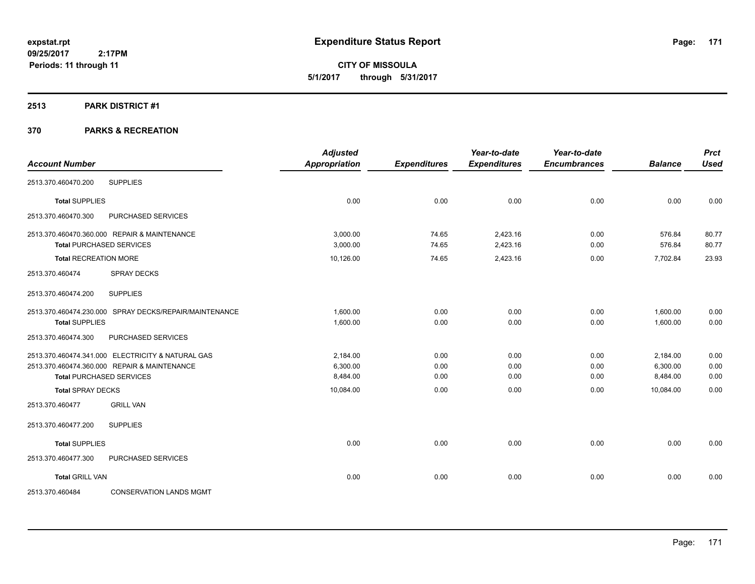**CITY OF MISSOULA 5/1/2017 through 5/31/2017**

#### **2513 PARK DISTRICT #1**

|                              |                                                        | <b>Adjusted</b>      |                     | Year-to-date        | Year-to-date        |                | <b>Prct</b> |
|------------------------------|--------------------------------------------------------|----------------------|---------------------|---------------------|---------------------|----------------|-------------|
| <b>Account Number</b>        |                                                        | <b>Appropriation</b> | <b>Expenditures</b> | <b>Expenditures</b> | <b>Encumbrances</b> | <b>Balance</b> | <b>Used</b> |
| 2513.370.460470.200          | <b>SUPPLIES</b>                                        |                      |                     |                     |                     |                |             |
| <b>Total SUPPLIES</b>        |                                                        | 0.00                 | 0.00                | 0.00                | 0.00                | 0.00           | 0.00        |
| 2513.370.460470.300          | PURCHASED SERVICES                                     |                      |                     |                     |                     |                |             |
|                              | 2513.370.460470.360.000 REPAIR & MAINTENANCE           | 3.000.00             | 74.65               | 2,423.16            | 0.00                | 576.84         | 80.77       |
|                              | <b>Total PURCHASED SERVICES</b>                        | 3,000.00             | 74.65               | 2,423.16            | 0.00                | 576.84         | 80.77       |
| <b>Total RECREATION MORE</b> |                                                        | 10,126.00            | 74.65               | 2,423.16            | 0.00                | 7,702.84       | 23.93       |
| 2513.370.460474              | <b>SPRAY DECKS</b>                                     |                      |                     |                     |                     |                |             |
| 2513.370.460474.200          | <b>SUPPLIES</b>                                        |                      |                     |                     |                     |                |             |
|                              | 2513.370.460474.230.000 SPRAY DECKS/REPAIR/MAINTENANCE | 1,600.00             | 0.00                | 0.00                | 0.00                | 1,600.00       | 0.00        |
| <b>Total SUPPLIES</b>        |                                                        | 1,600.00             | 0.00                | 0.00                | 0.00                | 1,600.00       | 0.00        |
| 2513.370.460474.300          | PURCHASED SERVICES                                     |                      |                     |                     |                     |                |             |
|                              | 2513.370.460474.341.000 ELECTRICITY & NATURAL GAS      | 2,184.00             | 0.00                | 0.00                | 0.00                | 2,184.00       | 0.00        |
|                              | 2513.370.460474.360.000 REPAIR & MAINTENANCE           | 6,300.00             | 0.00                | 0.00                | 0.00                | 6,300.00       | 0.00        |
|                              | <b>Total PURCHASED SERVICES</b>                        | 8,484.00             | 0.00                | 0.00                | 0.00                | 8,484.00       | 0.00        |
| <b>Total SPRAY DECKS</b>     |                                                        | 10,084.00            | 0.00                | 0.00                | 0.00                | 10.084.00      | 0.00        |
| 2513.370.460477              | <b>GRILL VAN</b>                                       |                      |                     |                     |                     |                |             |
| 2513.370.460477.200          | <b>SUPPLIES</b>                                        |                      |                     |                     |                     |                |             |
| <b>Total SUPPLIES</b>        |                                                        | 0.00                 | 0.00                | 0.00                | 0.00                | 0.00           | 0.00        |
| 2513.370.460477.300          | PURCHASED SERVICES                                     |                      |                     |                     |                     |                |             |
| <b>Total GRILL VAN</b>       |                                                        | 0.00                 | 0.00                | 0.00                | 0.00                | 0.00           | 0.00        |
| 2513.370.460484              | <b>CONSERVATION LANDS MGMT</b>                         |                      |                     |                     |                     |                |             |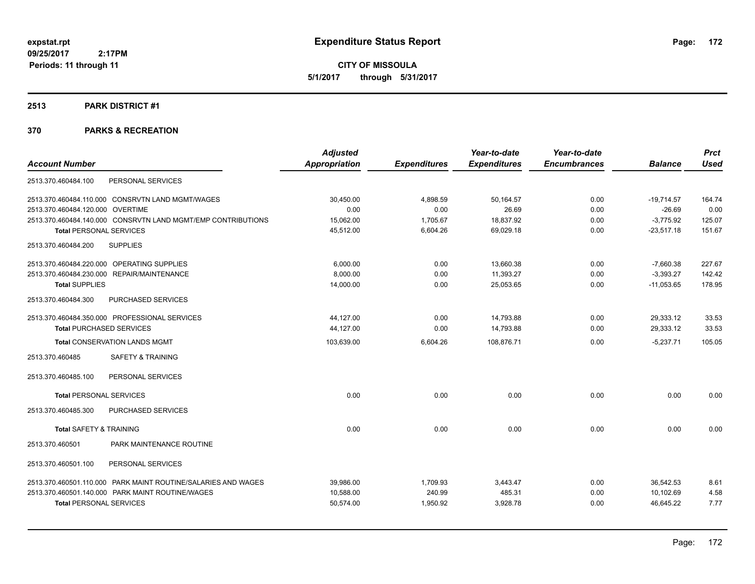**CITY OF MISSOULA 5/1/2017 through 5/31/2017**

#### **2513 PARK DISTRICT #1**

|                                                               | <b>Adjusted</b> |                     | Year-to-date        | Year-to-date        |                | <b>Prct</b> |
|---------------------------------------------------------------|-----------------|---------------------|---------------------|---------------------|----------------|-------------|
| <b>Account Number</b>                                         | Appropriation   | <b>Expenditures</b> | <b>Expenditures</b> | <b>Encumbrances</b> | <b>Balance</b> | <b>Used</b> |
| PERSONAL SERVICES<br>2513.370.460484.100                      |                 |                     |                     |                     |                |             |
| 2513.370.460484.110.000 CONSRVTN LAND MGMT/WAGES              | 30,450.00       | 4,898.59            | 50,164.57           | 0.00                | $-19,714.57$   | 164.74      |
| 2513.370.460484.120.000 OVERTIME                              | 0.00            | 0.00                | 26.69               | 0.00                | $-26.69$       | 0.00        |
| 2513.370.460484.140.000 CONSRVTN LAND MGMT/EMP CONTRIBUTIONS  | 15,062.00       | 1,705.67            | 18,837.92           | 0.00                | $-3,775.92$    | 125.07      |
| <b>Total PERSONAL SERVICES</b>                                | 45,512.00       | 6,604.26            | 69,029.18           | 0.00                | $-23,517.18$   | 151.67      |
| <b>SUPPLIES</b><br>2513.370.460484.200                        |                 |                     |                     |                     |                |             |
| 2513.370.460484.220.000 OPERATING SUPPLIES                    | 6,000.00        | 0.00                | 13,660.38           | 0.00                | $-7,660.38$    | 227.67      |
| 2513.370.460484.230.000 REPAIR/MAINTENANCE                    | 8,000.00        | 0.00                | 11,393.27           | 0.00                | $-3,393.27$    | 142.42      |
| <b>Total SUPPLIES</b>                                         | 14,000.00       | 0.00                | 25,053.65           | 0.00                | $-11,053.65$   | 178.95      |
| PURCHASED SERVICES<br>2513.370.460484.300                     |                 |                     |                     |                     |                |             |
| 2513.370.460484.350.000 PROFESSIONAL SERVICES                 | 44,127.00       | 0.00                | 14,793.88           | 0.00                | 29,333.12      | 33.53       |
| <b>Total PURCHASED SERVICES</b>                               | 44,127.00       | 0.00                | 14,793.88           | 0.00                | 29,333.12      | 33.53       |
| <b>Total CONSERVATION LANDS MGMT</b>                          | 103,639.00      | 6,604.26            | 108,876.71          | 0.00                | $-5,237.71$    | 105.05      |
| <b>SAFETY &amp; TRAINING</b><br>2513.370.460485               |                 |                     |                     |                     |                |             |
| PERSONAL SERVICES<br>2513.370.460485.100                      |                 |                     |                     |                     |                |             |
| <b>Total PERSONAL SERVICES</b>                                | 0.00            | 0.00                | 0.00                | 0.00                | 0.00           | 0.00        |
| 2513.370.460485.300<br>PURCHASED SERVICES                     |                 |                     |                     |                     |                |             |
| <b>Total SAFETY &amp; TRAINING</b>                            | 0.00            | 0.00                | 0.00                | 0.00                | 0.00           | 0.00        |
| PARK MAINTENANCE ROUTINE<br>2513.370.460501                   |                 |                     |                     |                     |                |             |
| 2513.370.460501.100<br>PERSONAL SERVICES                      |                 |                     |                     |                     |                |             |
| 2513.370.460501.110.000 PARK MAINT ROUTINE/SALARIES AND WAGES | 39,986.00       | 1,709.93            | 3,443.47            | 0.00                | 36,542.53      | 8.61        |
| 2513.370.460501.140.000 PARK MAINT ROUTINE/WAGES              | 10.588.00       | 240.99              | 485.31              | 0.00                | 10.102.69      | 4.58        |
| <b>Total PERSONAL SERVICES</b>                                | 50,574.00       | 1,950.92            | 3,928.78            | 0.00                | 46,645.22      | 7.77        |
|                                                               |                 |                     |                     |                     |                |             |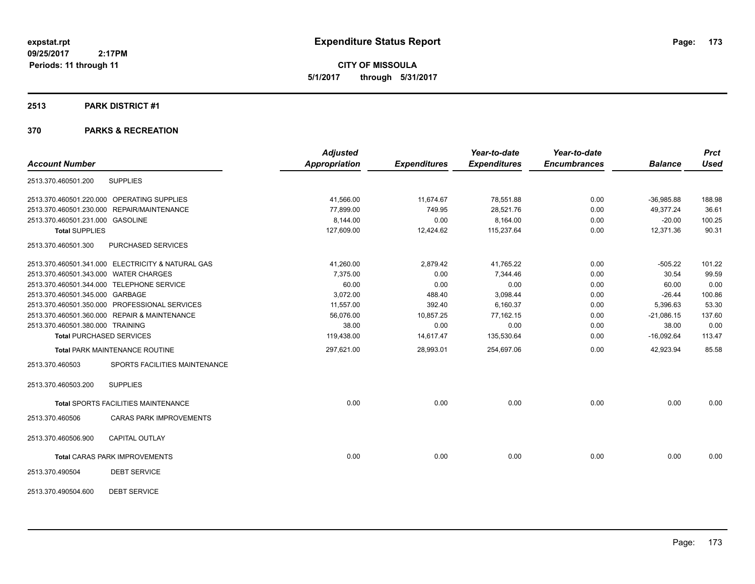**CITY OF MISSOULA 5/1/2017 through 5/31/2017**

#### **2513 PARK DISTRICT #1**

|                                                   | <b>Adjusted</b>      |                     | Year-to-date        | Year-to-date        |                | <b>Prct</b> |
|---------------------------------------------------|----------------------|---------------------|---------------------|---------------------|----------------|-------------|
| <b>Account Number</b>                             | <b>Appropriation</b> | <b>Expenditures</b> | <b>Expenditures</b> | <b>Encumbrances</b> | <b>Balance</b> | <b>Used</b> |
| <b>SUPPLIES</b><br>2513.370.460501.200            |                      |                     |                     |                     |                |             |
| 2513.370.460501.220.000 OPERATING SUPPLIES        | 41,566.00            | 11,674.67           | 78,551.88           | 0.00                | $-36,985.88$   | 188.98      |
| 2513.370.460501.230.000 REPAIR/MAINTENANCE        | 77,899.00            | 749.95              | 28,521.76           | 0.00                | 49,377.24      | 36.61       |
| 2513.370.460501.231.000 GASOLINE                  | 8,144.00             | 0.00                | 8,164.00            | 0.00                | $-20.00$       | 100.25      |
| <b>Total SUPPLIES</b>                             | 127,609.00           | 12,424.62           | 115,237.64          | 0.00                | 12,371.36      | 90.31       |
| 2513.370.460501.300<br>PURCHASED SERVICES         |                      |                     |                     |                     |                |             |
| 2513.370.460501.341.000 ELECTRICITY & NATURAL GAS | 41,260.00            | 2,879.42            | 41,765.22           | 0.00                | $-505.22$      | 101.22      |
| 2513.370.460501.343.000 WATER CHARGES             | 7,375.00             | 0.00                | 7,344.46            | 0.00                | 30.54          | 99.59       |
| 2513.370.460501.344.000 TELEPHONE SERVICE         | 60.00                | 0.00                | 0.00                | 0.00                | 60.00          | 0.00        |
| 2513.370.460501.345.000 GARBAGE                   | 3,072.00             | 488.40              | 3,098.44            | 0.00                | $-26.44$       | 100.86      |
| 2513.370.460501.350.000 PROFESSIONAL SERVICES     | 11,557.00            | 392.40              | 6,160.37            | 0.00                | 5,396.63       | 53.30       |
| 2513.370.460501.360.000 REPAIR & MAINTENANCE      | 56,076.00            | 10,857.25           | 77,162.15           | 0.00                | $-21,086.15$   | 137.60      |
| 2513.370.460501.380.000 TRAINING                  | 38.00                | 0.00                | 0.00                | 0.00                | 38.00          | 0.00        |
| <b>Total PURCHASED SERVICES</b>                   | 119,438.00           | 14,617.47           | 135,530.64          | 0.00                | $-16,092.64$   | 113.47      |
| <b>Total PARK MAINTENANCE ROUTINE</b>             | 297,621.00           | 28,993.01           | 254,697.06          | 0.00                | 42,923.94      | 85.58       |
| SPORTS FACILITIES MAINTENANCE<br>2513.370.460503  |                      |                     |                     |                     |                |             |
| <b>SUPPLIES</b><br>2513.370.460503.200            |                      |                     |                     |                     |                |             |
| <b>Total SPORTS FACILITIES MAINTENANCE</b>        | 0.00                 | 0.00                | 0.00                | 0.00                | 0.00           | 0.00        |
| <b>CARAS PARK IMPROVEMENTS</b><br>2513.370.460506 |                      |                     |                     |                     |                |             |
| CAPITAL OUTLAY<br>2513.370.460506.900             |                      |                     |                     |                     |                |             |
| <b>Total CARAS PARK IMPROVEMENTS</b>              | 0.00                 | 0.00                | 0.00                | 0.00                | 0.00           | 0.00        |
| <b>DEBT SERVICE</b><br>2513.370.490504            |                      |                     |                     |                     |                |             |
| <b>DEBT SERVICE</b><br>2513.370.490504.600        |                      |                     |                     |                     |                |             |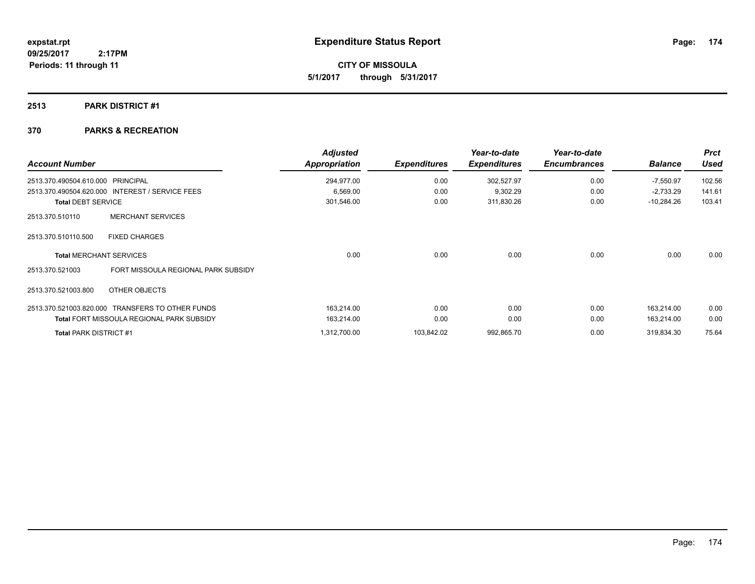**CITY OF MISSOULA 5/1/2017 through 5/31/2017**

### **2513 PARK DISTRICT #1**

| <b>Account Number</b>     |                                                  | <b>Adjusted</b><br><b>Appropriation</b> | <b>Expenditures</b> | Year-to-date<br><b>Expenditures</b> | Year-to-date<br><b>Encumbrances</b> | <b>Balance</b> | <b>Prct</b><br><b>Used</b> |
|---------------------------|--------------------------------------------------|-----------------------------------------|---------------------|-------------------------------------|-------------------------------------|----------------|----------------------------|
| 2513.370.490504.610.000   | <b>PRINCIPAL</b>                                 | 294,977.00                              | 0.00                | 302,527.97                          | 0.00                                | $-7,550.97$    | 102.56                     |
|                           | 2513.370.490504.620.000 INTEREST / SERVICE FEES  | 6,569.00                                | 0.00                | 9,302.29                            | 0.00                                | $-2,733.29$    | 141.61                     |
| <b>Total DEBT SERVICE</b> |                                                  | 301,546.00                              | 0.00                | 311,830.26                          | 0.00                                | $-10,284.26$   | 103.41                     |
| 2513.370.510110           | <b>MERCHANT SERVICES</b>                         |                                         |                     |                                     |                                     |                |                            |
| 2513.370.510110.500       | <b>FIXED CHARGES</b>                             |                                         |                     |                                     |                                     |                |                            |
|                           | <b>Total MERCHANT SERVICES</b>                   | 0.00                                    | 0.00                | 0.00                                | 0.00                                | 0.00           | 0.00                       |
| 2513.370.521003           | FORT MISSOULA REGIONAL PARK SUBSIDY              |                                         |                     |                                     |                                     |                |                            |
| 2513.370.521003.800       | OTHER OBJECTS                                    |                                         |                     |                                     |                                     |                |                            |
|                           | 2513.370.521003.820.000 TRANSFERS TO OTHER FUNDS | 163,214.00                              | 0.00                | 0.00                                | 0.00                                | 163,214.00     | 0.00                       |
|                           | <b>Total FORT MISSOULA REGIONAL PARK SUBSIDY</b> | 163,214.00                              | 0.00                | 0.00                                | 0.00                                | 163,214.00     | 0.00                       |
| Total PARK DISTRICT #1    |                                                  | 1,312,700.00                            | 103,842.02          | 992,865.70                          | 0.00                                | 319,834.30     | 75.64                      |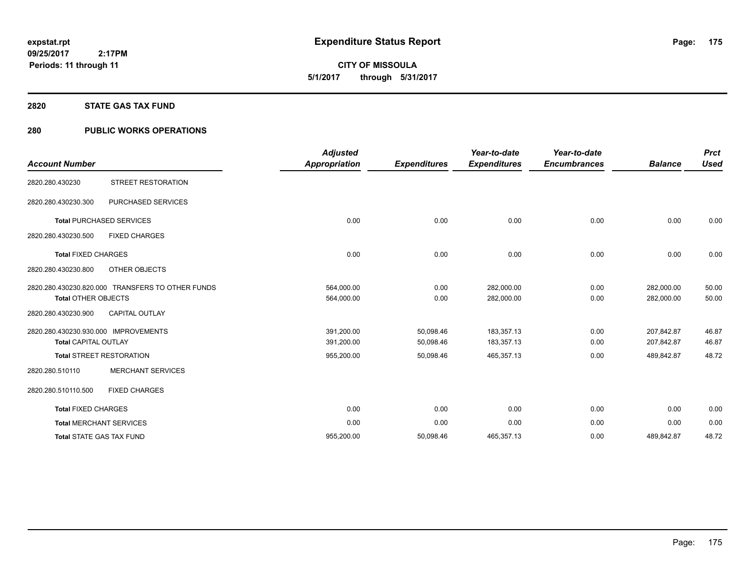**CITY OF MISSOULA 5/1/2017 through 5/31/2017**

#### **2820 STATE GAS TAX FUND**

### **280 PUBLIC WORKS OPERATIONS**

| <b>Account Number</b>                                               |                                                  | <b>Adjusted</b><br><b>Appropriation</b> | <b>Expenditures</b>    | Year-to-date<br><b>Expenditures</b> | Year-to-date<br><b>Encumbrances</b> | <b>Balance</b>           | <b>Prct</b><br><b>Used</b> |
|---------------------------------------------------------------------|--------------------------------------------------|-----------------------------------------|------------------------|-------------------------------------|-------------------------------------|--------------------------|----------------------------|
| 2820.280.430230                                                     | <b>STREET RESTORATION</b>                        |                                         |                        |                                     |                                     |                          |                            |
| 2820.280.430230.300                                                 | PURCHASED SERVICES                               |                                         |                        |                                     |                                     |                          |                            |
|                                                                     | <b>Total PURCHASED SERVICES</b>                  | 0.00                                    | 0.00                   | 0.00                                | 0.00                                | 0.00                     | 0.00                       |
| 2820.280.430230.500                                                 | <b>FIXED CHARGES</b>                             |                                         |                        |                                     |                                     |                          |                            |
| <b>Total FIXED CHARGES</b>                                          |                                                  | 0.00                                    | 0.00                   | 0.00                                | 0.00                                | 0.00                     | 0.00                       |
| 2820.280.430230.800                                                 | OTHER OBJECTS                                    |                                         |                        |                                     |                                     |                          |                            |
| <b>Total OTHER OBJECTS</b>                                          | 2820.280.430230.820.000 TRANSFERS TO OTHER FUNDS | 564,000.00<br>564,000.00                | 0.00<br>0.00           | 282,000.00<br>282,000.00            | 0.00<br>0.00                        | 282,000.00<br>282,000.00 | 50.00<br>50.00             |
| 2820.280.430230.900                                                 | <b>CAPITAL OUTLAY</b>                            |                                         |                        |                                     |                                     |                          |                            |
| 2820.280.430230.930.000 IMPROVEMENTS<br><b>Total CAPITAL OUTLAY</b> |                                                  | 391,200.00<br>391,200.00                | 50,098.46<br>50,098.46 | 183,357.13<br>183,357.13            | 0.00<br>0.00                        | 207,842.87<br>207,842.87 | 46.87<br>46.87             |
|                                                                     | <b>Total STREET RESTORATION</b>                  | 955,200.00                              | 50,098.46              | 465,357.13                          | 0.00                                | 489,842.87               | 48.72                      |
| 2820.280.510110                                                     | <b>MERCHANT SERVICES</b>                         |                                         |                        |                                     |                                     |                          |                            |
| 2820.280.510110.500                                                 | <b>FIXED CHARGES</b>                             |                                         |                        |                                     |                                     |                          |                            |
| <b>Total FIXED CHARGES</b>                                          |                                                  | 0.00                                    | 0.00                   | 0.00                                | 0.00                                | 0.00                     | 0.00                       |
|                                                                     | <b>Total MERCHANT SERVICES</b>                   | 0.00                                    | 0.00                   | 0.00                                | 0.00                                | 0.00                     | 0.00                       |
|                                                                     | <b>Total STATE GAS TAX FUND</b>                  | 955,200.00                              | 50,098.46              | 465,357.13                          | 0.00                                | 489,842.87               | 48.72                      |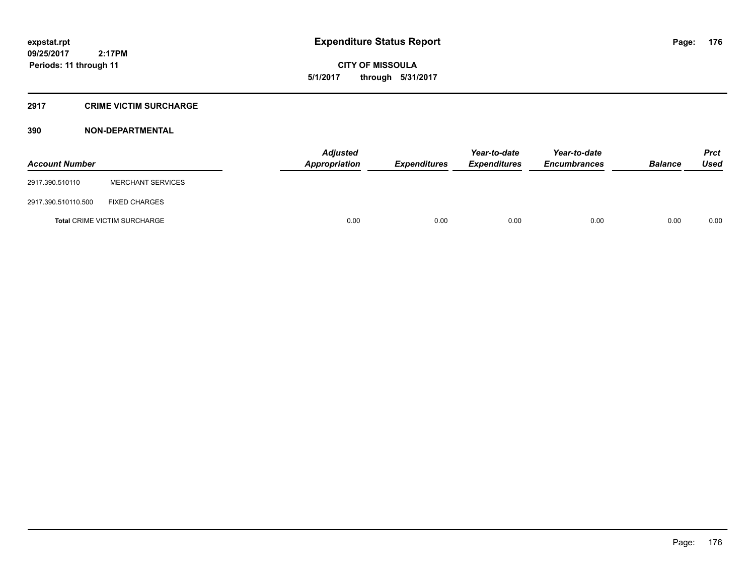**CITY OF MISSOULA 5/1/2017 through 5/31/2017**

### **2917 CRIME VICTIM SURCHARGE**

| <b>Account Number</b> |                                     | <b>Adjusted</b><br>Appropriation | <b>Expenditures</b> | Year-to-date<br><i><b>Expenditures</b></i> | Year-to-date<br><b>Encumbrances</b> | <b>Balance</b> | <b>Prct</b><br>Used |
|-----------------------|-------------------------------------|----------------------------------|---------------------|--------------------------------------------|-------------------------------------|----------------|---------------------|
| 2917.390.510110       | <b>MERCHANT SERVICES</b>            |                                  |                     |                                            |                                     |                |                     |
| 2917.390.510110.500   | <b>FIXED CHARGES</b>                |                                  |                     |                                            |                                     |                |                     |
|                       | <b>Total CRIME VICTIM SURCHARGE</b> | 0.00                             | 0.00                | 0.00                                       | 0.00                                | 0.00           | 0.00                |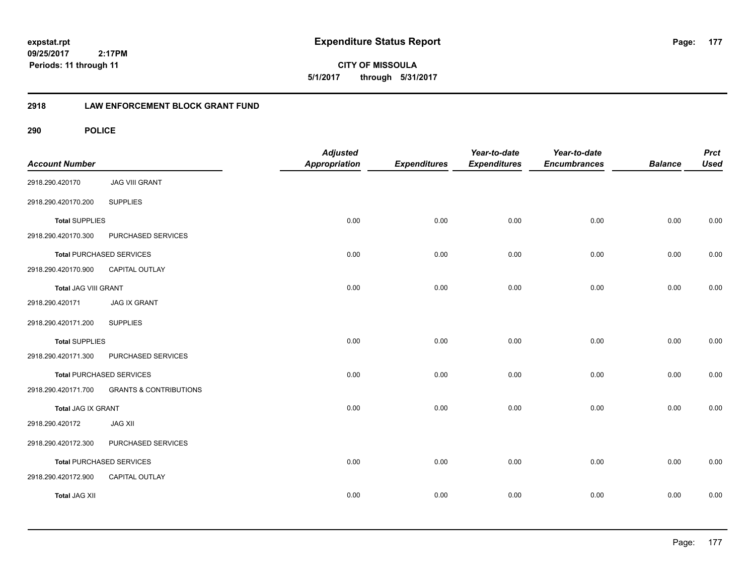**177**

**CITY OF MISSOULA 5/1/2017 through 5/31/2017**

### **2918 LAW ENFORCEMENT BLOCK GRANT FUND**

| <b>Account Number</b>       |                                   | <b>Adjusted</b><br>Appropriation | <b>Expenditures</b> | Year-to-date<br><b>Expenditures</b> | Year-to-date<br><b>Encumbrances</b> | <b>Balance</b> | <b>Prct</b><br><b>Used</b> |
|-----------------------------|-----------------------------------|----------------------------------|---------------------|-------------------------------------|-------------------------------------|----------------|----------------------------|
| 2918.290.420170             | <b>JAG VIII GRANT</b>             |                                  |                     |                                     |                                     |                |                            |
| 2918.290.420170.200         | <b>SUPPLIES</b>                   |                                  |                     |                                     |                                     |                |                            |
| <b>Total SUPPLIES</b>       |                                   | 0.00                             | 0.00                | 0.00                                | 0.00                                | 0.00           | 0.00                       |
| 2918.290.420170.300         | PURCHASED SERVICES                |                                  |                     |                                     |                                     |                |                            |
|                             | <b>Total PURCHASED SERVICES</b>   | 0.00                             | 0.00                | 0.00                                | 0.00                                | 0.00           | 0.00                       |
| 2918.290.420170.900         | CAPITAL OUTLAY                    |                                  |                     |                                     |                                     |                |                            |
| <b>Total JAG VIII GRANT</b> |                                   | 0.00                             | 0.00                | 0.00                                | 0.00                                | 0.00           | 0.00                       |
| 2918.290.420171             | <b>JAG IX GRANT</b>               |                                  |                     |                                     |                                     |                |                            |
| 2918.290.420171.200         | <b>SUPPLIES</b>                   |                                  |                     |                                     |                                     |                |                            |
| <b>Total SUPPLIES</b>       |                                   | 0.00                             | 0.00                | 0.00                                | 0.00                                | 0.00           | 0.00                       |
| 2918.290.420171.300         | PURCHASED SERVICES                |                                  |                     |                                     |                                     |                |                            |
|                             | <b>Total PURCHASED SERVICES</b>   | 0.00                             | 0.00                | 0.00                                | 0.00                                | 0.00           | 0.00                       |
| 2918.290.420171.700         | <b>GRANTS &amp; CONTRIBUTIONS</b> |                                  |                     |                                     |                                     |                |                            |
| <b>Total JAG IX GRANT</b>   |                                   | 0.00                             | 0.00                | 0.00                                | 0.00                                | 0.00           | 0.00                       |
| 2918.290.420172             | <b>JAG XII</b>                    |                                  |                     |                                     |                                     |                |                            |
| 2918.290.420172.300         | PURCHASED SERVICES                |                                  |                     |                                     |                                     |                |                            |
|                             | <b>Total PURCHASED SERVICES</b>   | 0.00                             | 0.00                | 0.00                                | 0.00                                | 0.00           | 0.00                       |
| 2918.290.420172.900         | CAPITAL OUTLAY                    |                                  |                     |                                     |                                     |                |                            |
| <b>Total JAG XII</b>        |                                   | 0.00                             | 0.00                | 0.00                                | 0.00                                | 0.00           | 0.00                       |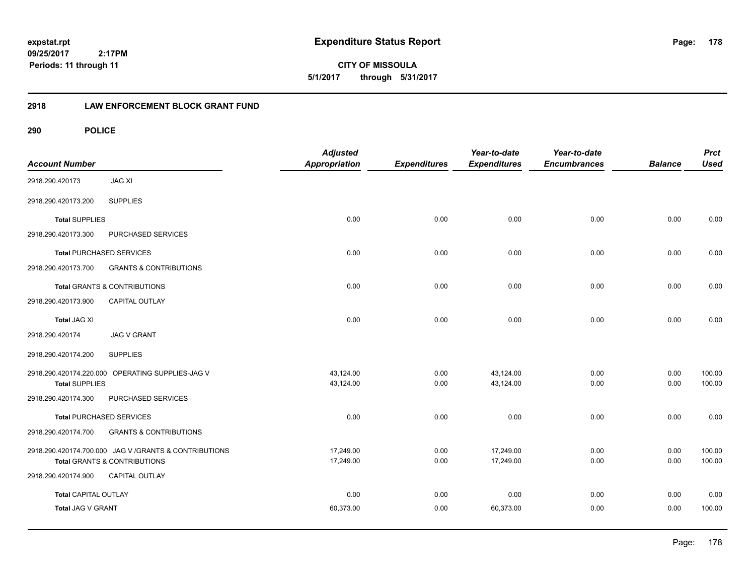**expstat.rpt Expenditure Status Report** 

**09/25/2017 2:17PM Periods: 11 through 11**

**CITY OF MISSOULA 5/1/2017 through 5/31/2017**

### **2918 LAW ENFORCEMENT BLOCK GRANT FUND**

| <b>Account Number</b>       |                                                        | <b>Adjusted</b><br><b>Appropriation</b> | <b>Expenditures</b> | Year-to-date<br><b>Expenditures</b> | Year-to-date<br><b>Encumbrances</b> | <b>Balance</b> | <b>Prct</b><br><b>Used</b> |
|-----------------------------|--------------------------------------------------------|-----------------------------------------|---------------------|-------------------------------------|-------------------------------------|----------------|----------------------------|
| 2918.290.420173             | <b>JAG XI</b>                                          |                                         |                     |                                     |                                     |                |                            |
| 2918.290.420173.200         | <b>SUPPLIES</b>                                        |                                         |                     |                                     |                                     |                |                            |
| <b>Total SUPPLIES</b>       |                                                        | 0.00                                    | 0.00                | 0.00                                | 0.00                                | 0.00           | 0.00                       |
| 2918.290.420173.300         | PURCHASED SERVICES                                     |                                         |                     |                                     |                                     |                |                            |
|                             | <b>Total PURCHASED SERVICES</b>                        | 0.00                                    | 0.00                | 0.00                                | 0.00                                | 0.00           | 0.00                       |
| 2918.290.420173.700         | <b>GRANTS &amp; CONTRIBUTIONS</b>                      |                                         |                     |                                     |                                     |                |                            |
|                             | <b>Total GRANTS &amp; CONTRIBUTIONS</b>                | 0.00                                    | 0.00                | 0.00                                | 0.00                                | 0.00           | 0.00                       |
| 2918.290.420173.900         | CAPITAL OUTLAY                                         |                                         |                     |                                     |                                     |                |                            |
| <b>Total JAG XI</b>         |                                                        | 0.00                                    | 0.00                | 0.00                                | 0.00                                | 0.00           | 0.00                       |
| 2918.290.420174             | <b>JAG V GRANT</b>                                     |                                         |                     |                                     |                                     |                |                            |
| 2918.290.420174.200         | <b>SUPPLIES</b>                                        |                                         |                     |                                     |                                     |                |                            |
|                             | 2918.290.420174.220.000 OPERATING SUPPLIES-JAG V       | 43,124.00                               | 0.00                | 43,124.00                           | 0.00                                | 0.00           | 100.00                     |
| <b>Total SUPPLIES</b>       |                                                        | 43,124.00                               | 0.00                | 43,124.00                           | 0.00                                | 0.00           | 100.00                     |
| 2918.290.420174.300         | PURCHASED SERVICES                                     |                                         |                     |                                     |                                     |                |                            |
|                             | <b>Total PURCHASED SERVICES</b>                        | 0.00                                    | 0.00                | 0.00                                | 0.00                                | 0.00           | 0.00                       |
| 2918.290.420174.700         | <b>GRANTS &amp; CONTRIBUTIONS</b>                      |                                         |                     |                                     |                                     |                |                            |
|                             | 2918.290.420174.700.000 JAG V / GRANTS & CONTRIBUTIONS | 17,249.00                               | 0.00                | 17,249.00                           | 0.00                                | 0.00           | 100.00                     |
|                             | <b>Total GRANTS &amp; CONTRIBUTIONS</b>                | 17,249.00                               | 0.00                | 17,249.00                           | 0.00                                | 0.00           | 100.00                     |
| 2918.290.420174.900         | CAPITAL OUTLAY                                         |                                         |                     |                                     |                                     |                |                            |
| <b>Total CAPITAL OUTLAY</b> |                                                        | 0.00                                    | 0.00                | 0.00                                | 0.00                                | 0.00           | 0.00                       |
| Total JAG V GRANT           |                                                        | 60,373.00                               | 0.00                | 60,373.00                           | 0.00                                | 0.00           | 100.00                     |
|                             |                                                        |                                         |                     |                                     |                                     |                |                            |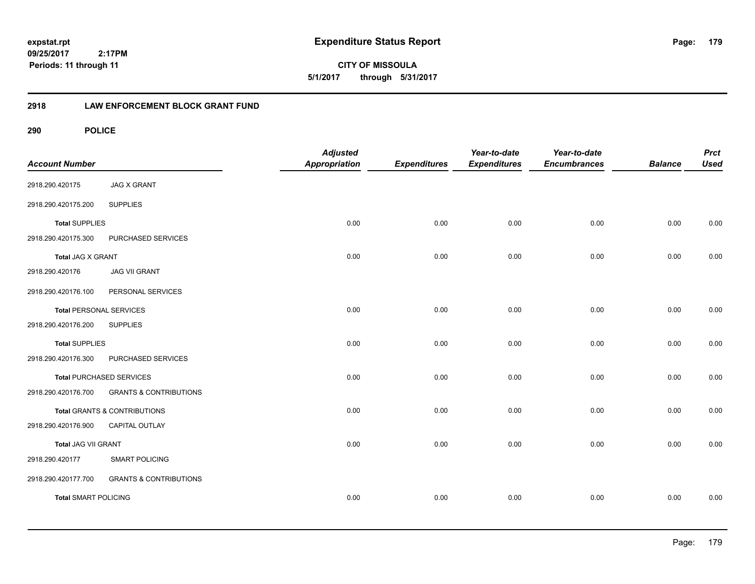**179**

**CITY OF MISSOULA 5/1/2017 through 5/31/2017**

### **2918 LAW ENFORCEMENT BLOCK GRANT FUND**

| <b>Account Number</b>          |                                   | <b>Adjusted</b><br>Appropriation | <b>Expenditures</b> | Year-to-date<br><b>Expenditures</b> | Year-to-date<br><b>Encumbrances</b> | <b>Balance</b> | <b>Prct</b><br><b>Used</b> |
|--------------------------------|-----------------------------------|----------------------------------|---------------------|-------------------------------------|-------------------------------------|----------------|----------------------------|
| 2918.290.420175                | <b>JAG X GRANT</b>                |                                  |                     |                                     |                                     |                |                            |
| 2918.290.420175.200            | <b>SUPPLIES</b>                   |                                  |                     |                                     |                                     |                |                            |
| <b>Total SUPPLIES</b>          |                                   | 0.00                             | 0.00                | 0.00                                | 0.00                                | 0.00           | 0.00                       |
| 2918.290.420175.300            | PURCHASED SERVICES                |                                  |                     |                                     |                                     |                |                            |
| Total JAG X GRANT              |                                   | 0.00                             | 0.00                | 0.00                                | 0.00                                | 0.00           | 0.00                       |
| 2918.290.420176                | <b>JAG VII GRANT</b>              |                                  |                     |                                     |                                     |                |                            |
| 2918.290.420176.100            | PERSONAL SERVICES                 |                                  |                     |                                     |                                     |                |                            |
| <b>Total PERSONAL SERVICES</b> |                                   | 0.00                             | 0.00                | 0.00                                | 0.00                                | 0.00           | 0.00                       |
| 2918.290.420176.200            | <b>SUPPLIES</b>                   |                                  |                     |                                     |                                     |                |                            |
| <b>Total SUPPLIES</b>          |                                   | 0.00                             | 0.00                | 0.00                                | 0.00                                | 0.00           | 0.00                       |
| 2918.290.420176.300            | PURCHASED SERVICES                |                                  |                     |                                     |                                     |                |                            |
|                                | <b>Total PURCHASED SERVICES</b>   | 0.00                             | 0.00                | 0.00                                | 0.00                                | 0.00           | 0.00                       |
| 2918.290.420176.700            | <b>GRANTS &amp; CONTRIBUTIONS</b> |                                  |                     |                                     |                                     |                |                            |
|                                | Total GRANTS & CONTRIBUTIONS      | 0.00                             | 0.00                | 0.00                                | 0.00                                | 0.00           | 0.00                       |
| 2918.290.420176.900            | CAPITAL OUTLAY                    |                                  |                     |                                     |                                     |                |                            |
| Total JAG VII GRANT            |                                   | 0.00                             | 0.00                | 0.00                                | 0.00                                | 0.00           | 0.00                       |
| 2918.290.420177                | <b>SMART POLICING</b>             |                                  |                     |                                     |                                     |                |                            |
| 2918.290.420177.700            | <b>GRANTS &amp; CONTRIBUTIONS</b> |                                  |                     |                                     |                                     |                |                            |
| <b>Total SMART POLICING</b>    |                                   | 0.00                             | 0.00                | 0.00                                | 0.00                                | 0.00           | 0.00                       |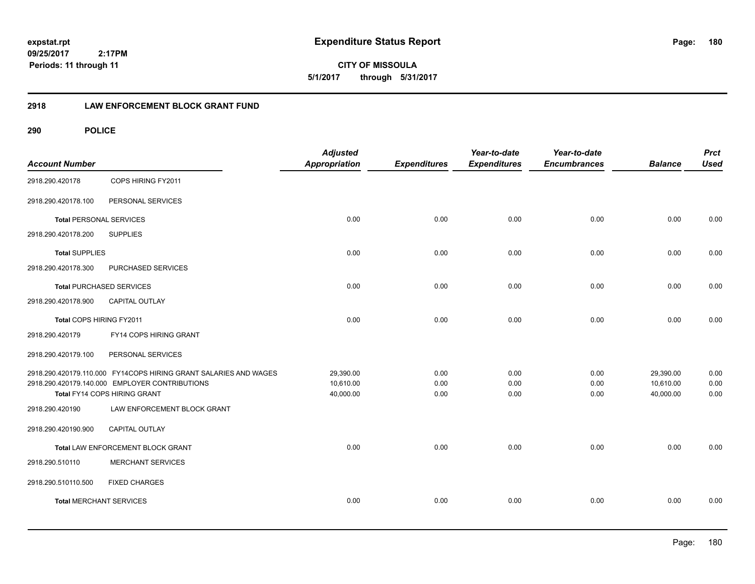**180**

**CITY OF MISSOULA 5/1/2017 through 5/31/2017**

### **2918 LAW ENFORCEMENT BLOCK GRANT FUND**

| <b>Account Number</b>          |                                                                                                                    | <b>Adjusted</b><br>Appropriation | <b>Expenditures</b> | Year-to-date<br><b>Expenditures</b> | Year-to-date<br><b>Encumbrances</b> | <b>Balance</b>         | <b>Prct</b><br><b>Used</b> |
|--------------------------------|--------------------------------------------------------------------------------------------------------------------|----------------------------------|---------------------|-------------------------------------|-------------------------------------|------------------------|----------------------------|
| 2918.290.420178                | COPS HIRING FY2011                                                                                                 |                                  |                     |                                     |                                     |                        |                            |
| 2918.290.420178.100            | PERSONAL SERVICES                                                                                                  |                                  |                     |                                     |                                     |                        |                            |
| <b>Total PERSONAL SERVICES</b> |                                                                                                                    | 0.00                             | 0.00                | 0.00                                | 0.00                                | 0.00                   | 0.00                       |
| 2918.290.420178.200            | <b>SUPPLIES</b>                                                                                                    |                                  |                     |                                     |                                     |                        |                            |
| <b>Total SUPPLIES</b>          |                                                                                                                    | 0.00                             | 0.00                | 0.00                                | 0.00                                | 0.00                   | 0.00                       |
| 2918.290.420178.300            | <b>PURCHASED SERVICES</b>                                                                                          |                                  |                     |                                     |                                     |                        |                            |
|                                | <b>Total PURCHASED SERVICES</b>                                                                                    | 0.00                             | 0.00                | 0.00                                | 0.00                                | 0.00                   | 0.00                       |
| 2918.290.420178.900            | <b>CAPITAL OUTLAY</b>                                                                                              |                                  |                     |                                     |                                     |                        |                            |
| Total COPS HIRING FY2011       |                                                                                                                    | 0.00                             | 0.00                | 0.00                                | 0.00                                | 0.00                   | 0.00                       |
| 2918.290.420179                | FY14 COPS HIRING GRANT                                                                                             |                                  |                     |                                     |                                     |                        |                            |
| 2918.290.420179.100            | PERSONAL SERVICES                                                                                                  |                                  |                     |                                     |                                     |                        |                            |
|                                | 2918.290.420179.110.000 FY14COPS HIRING GRANT SALARIES AND WAGES<br>2918.290.420179.140.000 EMPLOYER CONTRIBUTIONS | 29,390.00<br>10,610.00           | 0.00<br>0.00        | 0.00<br>0.00                        | 0.00<br>0.00                        | 29,390.00<br>10,610.00 | 0.00<br>0.00               |
|                                | Total FY14 COPS HIRING GRANT                                                                                       | 40,000.00                        | 0.00                | 0.00                                | 0.00                                | 40,000.00              | 0.00                       |
| 2918.290.420190                | LAW ENFORCEMENT BLOCK GRANT                                                                                        |                                  |                     |                                     |                                     |                        |                            |
| 2918.290.420190.900            | <b>CAPITAL OUTLAY</b>                                                                                              |                                  |                     |                                     |                                     |                        |                            |
|                                | Total LAW ENFORCEMENT BLOCK GRANT                                                                                  | 0.00                             | 0.00                | 0.00                                | 0.00                                | 0.00                   | 0.00                       |
| 2918.290.510110                | <b>MERCHANT SERVICES</b>                                                                                           |                                  |                     |                                     |                                     |                        |                            |
| 2918.290.510110.500            | <b>FIXED CHARGES</b>                                                                                               |                                  |                     |                                     |                                     |                        |                            |
| <b>Total MERCHANT SERVICES</b> |                                                                                                                    | 0.00                             | 0.00                | 0.00                                | 0.00                                | 0.00                   | 0.00                       |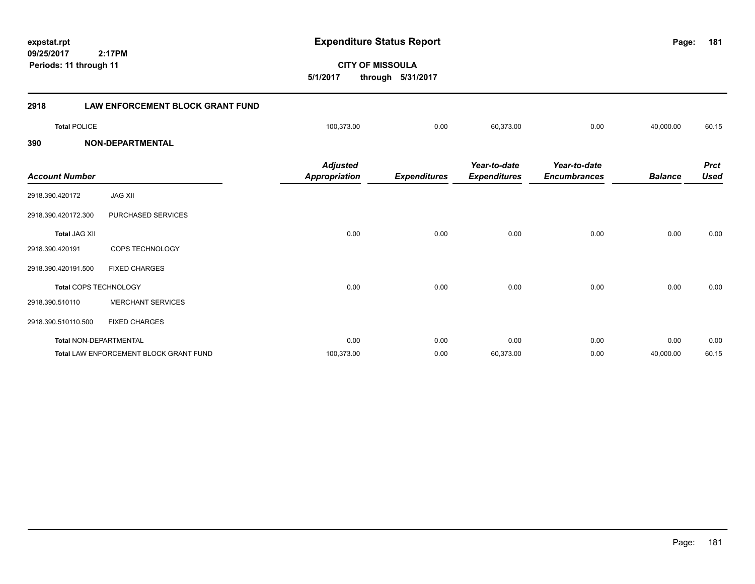**09/25/2017 CITY OF MISSOULA 2:17PM expstat.rpt Expenditure Status Report 5/1/2017 through 5/31/2017 Periods: 11 through 11 2918 LAW ENFORCEMENT BLOCK GRANT FUND Total** POLICE 100,373.00 0.00 60,373.00 0.00 40,000.00 60.15

#### **390 NON-DEPARTMENTAL**

| <b>Account Number</b>         |                                               | <b>Adjusted</b><br>Appropriation | <b>Expenditures</b> | Year-to-date<br><b>Expenditures</b> | Year-to-date<br><b>Encumbrances</b> | <b>Balance</b> | <b>Prct</b><br><b>Used</b> |
|-------------------------------|-----------------------------------------------|----------------------------------|---------------------|-------------------------------------|-------------------------------------|----------------|----------------------------|
| 2918.390.420172               | <b>JAG XII</b>                                |                                  |                     |                                     |                                     |                |                            |
| 2918.390.420172.300           | PURCHASED SERVICES                            |                                  |                     |                                     |                                     |                |                            |
| <b>Total JAG XII</b>          |                                               | 0.00                             | 0.00                | 0.00                                | 0.00                                | 0.00           | 0.00                       |
| 2918.390.420191               | COPS TECHNOLOGY                               |                                  |                     |                                     |                                     |                |                            |
| 2918.390.420191.500           | <b>FIXED CHARGES</b>                          |                                  |                     |                                     |                                     |                |                            |
| <b>Total COPS TECHNOLOGY</b>  |                                               | 0.00                             | 0.00                | 0.00                                | 0.00                                | 0.00           | 0.00                       |
| 2918.390.510110               | <b>MERCHANT SERVICES</b>                      |                                  |                     |                                     |                                     |                |                            |
| 2918.390.510110.500           | <b>FIXED CHARGES</b>                          |                                  |                     |                                     |                                     |                |                            |
| <b>Total NON-DEPARTMENTAL</b> |                                               | 0.00                             | 0.00                | 0.00                                | 0.00                                | 0.00           | 0.00                       |
|                               | <b>Total LAW ENFORCEMENT BLOCK GRANT FUND</b> | 100,373.00                       | 0.00                | 60,373.00                           | 0.00                                | 40,000.00      | 60.15                      |

**181**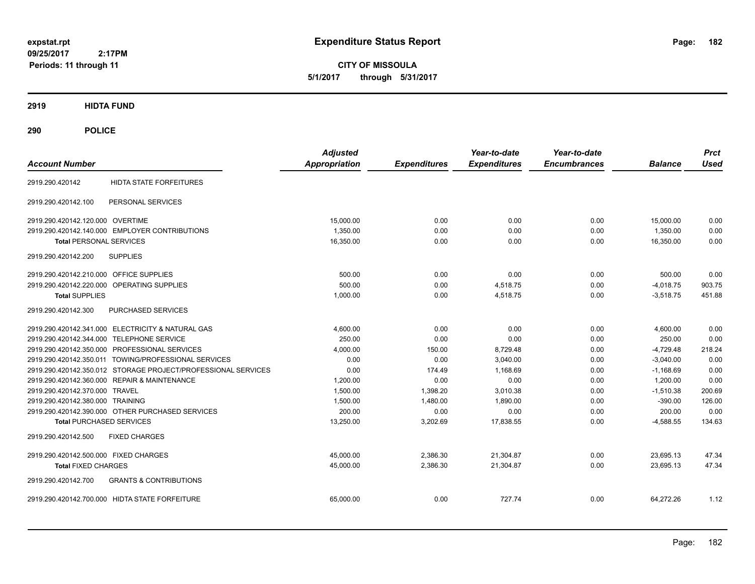**CITY OF MISSOULA 5/1/2017 through 5/31/2017**

**2919 HIDTA FUND**

**290 POLICE**

| <b>Account Number</b>                                         | <b>Adjusted</b><br><b>Appropriation</b> | <b>Expenditures</b> | Year-to-date<br><b>Expenditures</b> | Year-to-date<br><b>Encumbrances</b> | <b>Balance</b> | <b>Prct</b><br><b>Used</b> |
|---------------------------------------------------------------|-----------------------------------------|---------------------|-------------------------------------|-------------------------------------|----------------|----------------------------|
| <b>HIDTA STATE FORFEITURES</b><br>2919.290.420142             |                                         |                     |                                     |                                     |                |                            |
| PERSONAL SERVICES<br>2919.290.420142.100                      |                                         |                     |                                     |                                     |                |                            |
| 2919.290.420142.120.000 OVERTIME                              | 15.000.00                               | 0.00                | 0.00                                | 0.00                                | 15,000.00      | 0.00                       |
| 2919.290.420142.140.000 EMPLOYER CONTRIBUTIONS                | 1.350.00                                | 0.00                | 0.00                                | 0.00                                | 1,350.00       | 0.00                       |
| <b>Total PERSONAL SERVICES</b>                                | 16,350.00                               | 0.00                | 0.00                                | 0.00                                | 16,350.00      | 0.00                       |
| 2919.290.420142.200<br><b>SUPPLIES</b>                        |                                         |                     |                                     |                                     |                |                            |
| 2919.290.420142.210.000<br><b>OFFICE SUPPLIES</b>             | 500.00                                  | 0.00                | 0.00                                | 0.00                                | 500.00         | 0.00                       |
| 2919.290.420142.220.000<br>OPERATING SUPPLIES                 | 500.00                                  | 0.00                | 4,518.75                            | 0.00                                | $-4,018.75$    | 903.75                     |
| <b>Total SUPPLIES</b>                                         | 1.000.00                                | 0.00                | 4,518.75                            | 0.00                                | $-3,518.75$    | 451.88                     |
| PURCHASED SERVICES<br>2919.290.420142.300                     |                                         |                     |                                     |                                     |                |                            |
| 2919.290.420142.341.000 ELECTRICITY & NATURAL GAS             | 4,600.00                                | 0.00                | 0.00                                | 0.00                                | 4,600.00       | 0.00                       |
| 2919.290.420142.344.000 TELEPHONE SERVICE                     | 250.00                                  | 0.00                | 0.00                                | 0.00                                | 250.00         | 0.00                       |
| 2919.290.420142.350.000 PROFESSIONAL SERVICES                 | 4,000.00                                | 150.00              | 8,729.48                            | 0.00                                | $-4,729.48$    | 218.24                     |
| 2919.290.420142.350.011 TOWING/PROFESSIONAL SERVICES          | 0.00                                    | 0.00                | 3,040.00                            | 0.00                                | $-3,040.00$    | 0.00                       |
| 2919.290.420142.350.012 STORAGE PROJECT/PROFESSIONAL SERVICES | 0.00                                    | 174.49              | 1,168.69                            | 0.00                                | $-1,168.69$    | 0.00                       |
| 2919.290.420142.360.000 REPAIR & MAINTENANCE                  | 1,200.00                                | 0.00                | 0.00                                | 0.00                                | 1,200.00       | 0.00                       |
| 2919.290.420142.370.000 TRAVEL                                | 1.500.00                                | 1.398.20            | 3.010.38                            | 0.00                                | $-1.510.38$    | 200.69                     |
| 2919.290.420142.380.000 TRAINING                              | 1,500.00                                | 1.480.00            | 1.890.00                            | 0.00                                | $-390.00$      | 126.00                     |
| 2919.290.420142.390.000 OTHER PURCHASED SERVICES              | 200.00                                  | 0.00                | 0.00                                | 0.00                                | 200.00         | 0.00                       |
| <b>Total PURCHASED SERVICES</b>                               | 13,250.00                               | 3,202.69            | 17,838.55                           | 0.00                                | $-4,588.55$    | 134.63                     |
| 2919.290.420142.500<br><b>FIXED CHARGES</b>                   |                                         |                     |                                     |                                     |                |                            |
| 2919.290.420142.500.000 FIXED CHARGES                         | 45,000.00                               | 2,386.30            | 21,304.87                           | 0.00                                | 23,695.13      | 47.34                      |
| <b>Total FIXED CHARGES</b>                                    | 45,000.00                               | 2,386.30            | 21,304.87                           | 0.00                                | 23,695.13      | 47.34                      |
| 2919.290.420142.700<br><b>GRANTS &amp; CONTRIBUTIONS</b>      |                                         |                     |                                     |                                     |                |                            |
| 2919.290.420142.700.000 HIDTA STATE FORFEITURE                | 65,000.00                               | 0.00                | 727.74                              | 0.00                                | 64,272.26      | 1.12                       |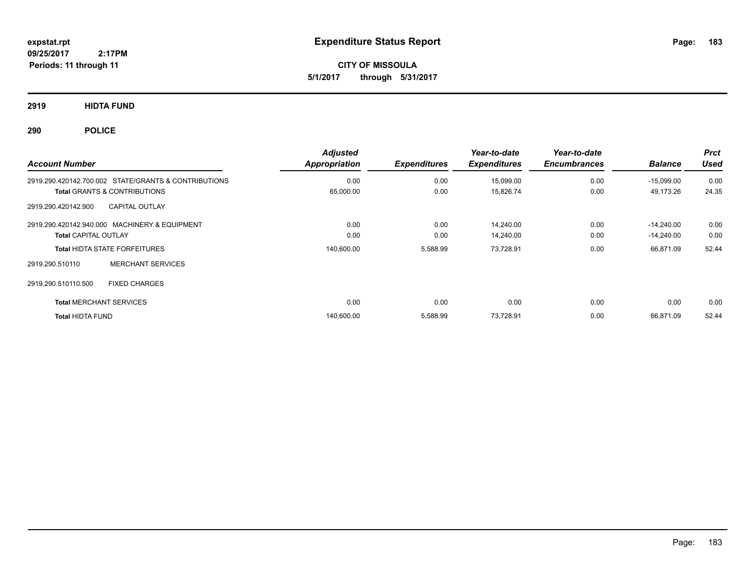**CITY OF MISSOULA 5/1/2017 through 5/31/2017**

**2919 HIDTA FUND**

**290 POLICE**

| <b>Account Number</b>                                                                           | <b>Adjusted</b><br>Appropriation | <b>Expenditures</b> | Year-to-date<br><b>Expenditures</b> | Year-to-date<br><b>Encumbrances</b> | <b>Balance</b>            | <b>Prct</b><br><b>Used</b> |
|-------------------------------------------------------------------------------------------------|----------------------------------|---------------------|-------------------------------------|-------------------------------------|---------------------------|----------------------------|
| 2919.290.420142.700.002 STATE/GRANTS & CONTRIBUTIONS<br><b>Total GRANTS &amp; CONTRIBUTIONS</b> | 0.00<br>65,000.00                | 0.00<br>0.00        | 15,099.00<br>15,826.74              | 0.00<br>0.00                        | $-15,099.00$<br>49,173.26 | 0.00<br>24.35              |
| <b>CAPITAL OUTLAY</b><br>2919.290.420142.900                                                    |                                  |                     |                                     |                                     |                           |                            |
| 2919.290.420142.940.000 MACHINERY & EQUIPMENT                                                   | 0.00                             | 0.00                | 14,240.00                           | 0.00                                | $-14.240.00$              | 0.00<br>0.00               |
| <b>Total CAPITAL OUTLAY</b><br><b>Total HIDTA STATE FORFEITURES</b>                             | 0.00<br>140,600.00               | 0.00<br>5,588.99    | 14,240.00<br>73,728.91              | 0.00<br>0.00                        | $-14,240.00$<br>66.871.09 | 52.44                      |
| <b>MERCHANT SERVICES</b><br>2919.290.510110                                                     |                                  |                     |                                     |                                     |                           |                            |
| 2919.290.510110.500<br><b>FIXED CHARGES</b>                                                     |                                  |                     |                                     |                                     |                           |                            |
| <b>Total MERCHANT SERVICES</b>                                                                  | 0.00                             | 0.00                | 0.00                                | 0.00                                | 0.00                      | 0.00                       |
| <b>Total HIDTA FUND</b>                                                                         | 140,600.00                       | 5,588.99            | 73,728.91                           | 0.00                                | 66.871.09                 | 52.44                      |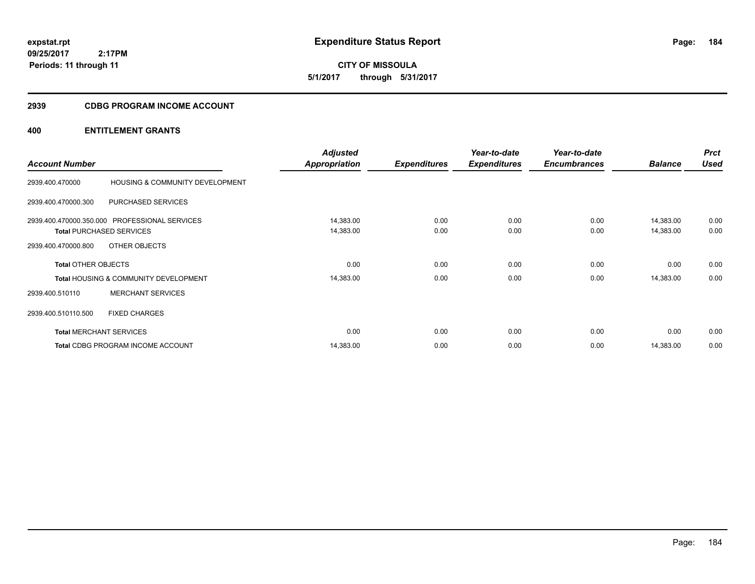**CITY OF MISSOULA 5/1/2017 through 5/31/2017**

# **2939 CDBG PROGRAM INCOME ACCOUNT**

| <b>Account Number</b>          |                                                  | <b>Adjusted</b><br>Appropriation | <b>Expenditures</b> | Year-to-date<br><b>Expenditures</b> | Year-to-date<br><b>Encumbrances</b> | <b>Balance</b> | <b>Prct</b><br><b>Used</b> |
|--------------------------------|--------------------------------------------------|----------------------------------|---------------------|-------------------------------------|-------------------------------------|----------------|----------------------------|
|                                |                                                  |                                  |                     |                                     |                                     |                |                            |
| 2939.400.470000                | HOUSING & COMMUNITY DEVELOPMENT                  |                                  |                     |                                     |                                     |                |                            |
| 2939.400.470000.300            | PURCHASED SERVICES                               |                                  |                     |                                     |                                     |                |                            |
|                                | 2939.400.470000.350.000 PROFESSIONAL SERVICES    | 14,383.00                        | 0.00                | 0.00                                | 0.00                                | 14,383.00      | 0.00                       |
|                                | <b>Total PURCHASED SERVICES</b>                  | 14,383.00                        | 0.00                | 0.00                                | 0.00                                | 14,383.00      | 0.00                       |
| 2939.400.470000.800            | OTHER OBJECTS                                    |                                  |                     |                                     |                                     |                |                            |
| <b>Total OTHER OBJECTS</b>     |                                                  | 0.00                             | 0.00                | 0.00                                | 0.00                                | 0.00           | 0.00                       |
|                                | <b>Total HOUSING &amp; COMMUNITY DEVELOPMENT</b> | 14,383.00                        | 0.00                | 0.00                                | 0.00                                | 14,383.00      | 0.00                       |
| 2939.400.510110                | <b>MERCHANT SERVICES</b>                         |                                  |                     |                                     |                                     |                |                            |
| 2939.400.510110.500            | <b>FIXED CHARGES</b>                             |                                  |                     |                                     |                                     |                |                            |
| <b>Total MERCHANT SERVICES</b> |                                                  | 0.00                             | 0.00                | 0.00                                | 0.00                                | 0.00           | 0.00                       |
|                                | <b>Total CDBG PROGRAM INCOME ACCOUNT</b>         | 14,383.00                        | 0.00                | 0.00                                | 0.00                                | 14,383.00      | 0.00                       |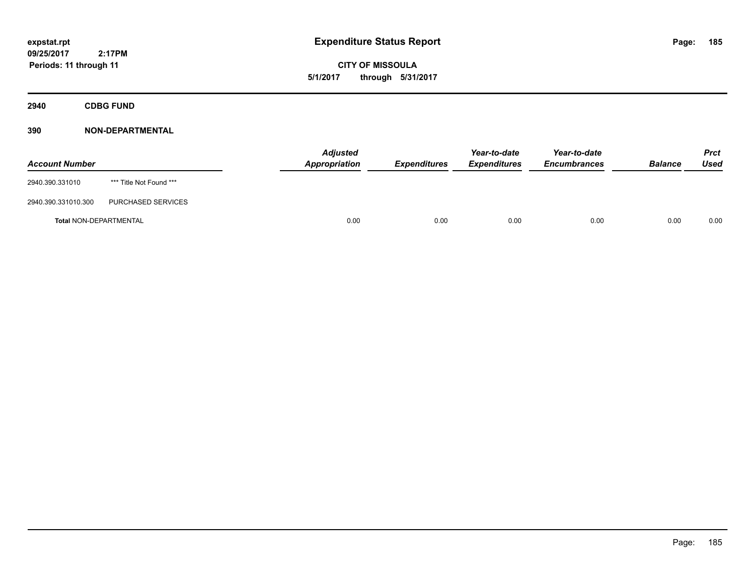**CITY OF MISSOULA 5/1/2017 through 5/31/2017**

**2940 CDBG FUND**

| <b>Account Number</b>         |                         | <b>Adjusted</b><br><b>Appropriation</b> | <b>Expenditures</b> | Year-to-date<br><b>Expenditures</b> | Year-to-date<br><b>Encumbrances</b> | <b>Balance</b> | <b>Prct</b><br>Used |
|-------------------------------|-------------------------|-----------------------------------------|---------------------|-------------------------------------|-------------------------------------|----------------|---------------------|
| 2940.390.331010               | *** Title Not Found *** |                                         |                     |                                     |                                     |                |                     |
| 2940.390.331010.300           | PURCHASED SERVICES      |                                         |                     |                                     |                                     |                |                     |
| <b>Total NON-DEPARTMENTAL</b> |                         | 0.00                                    | 0.00                | 0.00                                | 0.00                                | 0.00           | 0.00                |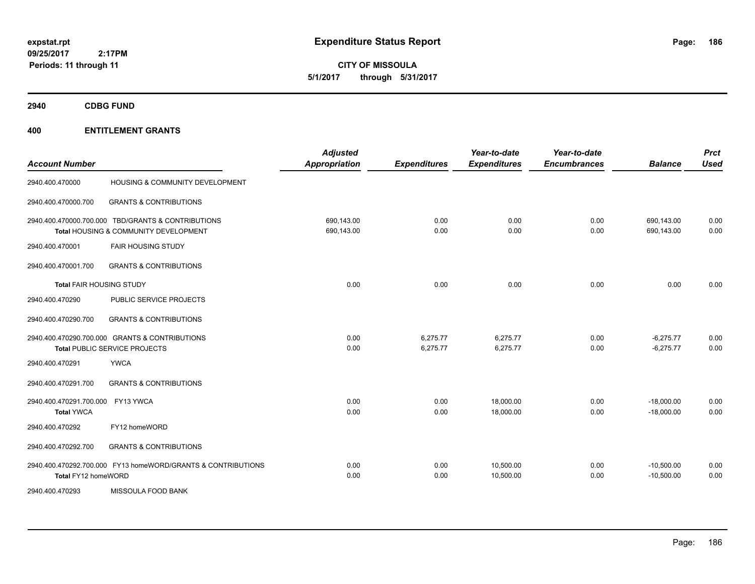**CITY OF MISSOULA 5/1/2017 through 5/31/2017**

**2940 CDBG FUND**

| <b>Account Number</b>                        |                                                                                             | <b>Adjusted</b><br><b>Appropriation</b> | <b>Expenditures</b>  | Year-to-date<br><b>Expenditures</b> | Year-to-date<br><b>Encumbrances</b> | <b>Balance</b>               | <b>Prct</b><br><b>Used</b> |
|----------------------------------------------|---------------------------------------------------------------------------------------------|-----------------------------------------|----------------------|-------------------------------------|-------------------------------------|------------------------------|----------------------------|
| 2940.400.470000                              | HOUSING & COMMUNITY DEVELOPMENT                                                             |                                         |                      |                                     |                                     |                              |                            |
| 2940.400.470000.700                          | <b>GRANTS &amp; CONTRIBUTIONS</b>                                                           |                                         |                      |                                     |                                     |                              |                            |
|                                              | 2940.400.470000.700.000 TBD/GRANTS & CONTRIBUTIONS<br>Total HOUSING & COMMUNITY DEVELOPMENT | 690,143.00<br>690,143.00                | 0.00<br>0.00         | 0.00<br>0.00                        | 0.00<br>0.00                        | 690,143.00<br>690,143.00     | 0.00<br>0.00               |
| 2940.400.470001                              | <b>FAIR HOUSING STUDY</b>                                                                   |                                         |                      |                                     |                                     |                              |                            |
| 2940.400.470001.700                          | <b>GRANTS &amp; CONTRIBUTIONS</b>                                                           |                                         |                      |                                     |                                     |                              |                            |
| <b>Total FAIR HOUSING STUDY</b>              |                                                                                             | 0.00                                    | 0.00                 | 0.00                                | 0.00                                | 0.00                         | 0.00                       |
| 2940.400.470290                              | PUBLIC SERVICE PROJECTS                                                                     |                                         |                      |                                     |                                     |                              |                            |
| 2940.400.470290.700                          | <b>GRANTS &amp; CONTRIBUTIONS</b>                                                           |                                         |                      |                                     |                                     |                              |                            |
|                                              | 2940.400.470290.700.000 GRANTS & CONTRIBUTIONS<br><b>Total PUBLIC SERVICE PROJECTS</b>      | 0.00<br>0.00                            | 6,275.77<br>6,275.77 | 6,275.77<br>6,275.77                | 0.00<br>0.00                        | $-6,275.77$<br>$-6,275.77$   | 0.00<br>0.00               |
| 2940.400.470291                              | <b>YWCA</b>                                                                                 |                                         |                      |                                     |                                     |                              |                            |
| 2940.400.470291.700                          | <b>GRANTS &amp; CONTRIBUTIONS</b>                                                           |                                         |                      |                                     |                                     |                              |                            |
| 2940.400.470291.700.000<br><b>Total YWCA</b> | FY13 YWCA                                                                                   | 0.00<br>0.00                            | 0.00<br>0.00         | 18,000.00<br>18,000.00              | 0.00<br>0.00                        | $-18,000.00$<br>$-18,000.00$ | 0.00<br>0.00               |
| 2940.400.470292                              | FY12 homeWORD                                                                               |                                         |                      |                                     |                                     |                              |                            |
| 2940.400.470292.700                          | <b>GRANTS &amp; CONTRIBUTIONS</b>                                                           |                                         |                      |                                     |                                     |                              |                            |
| Total FY12 homeWORD                          | 2940.400.470292.700.000 FY13 homeWORD/GRANTS & CONTRIBUTIONS                                | 0.00<br>0.00                            | 0.00<br>0.00         | 10,500.00<br>10,500.00              | 0.00<br>0.00                        | $-10,500.00$<br>$-10,500.00$ | 0.00<br>0.00               |
| 2940.400.470293                              | <b>MISSOULA FOOD BANK</b>                                                                   |                                         |                      |                                     |                                     |                              |                            |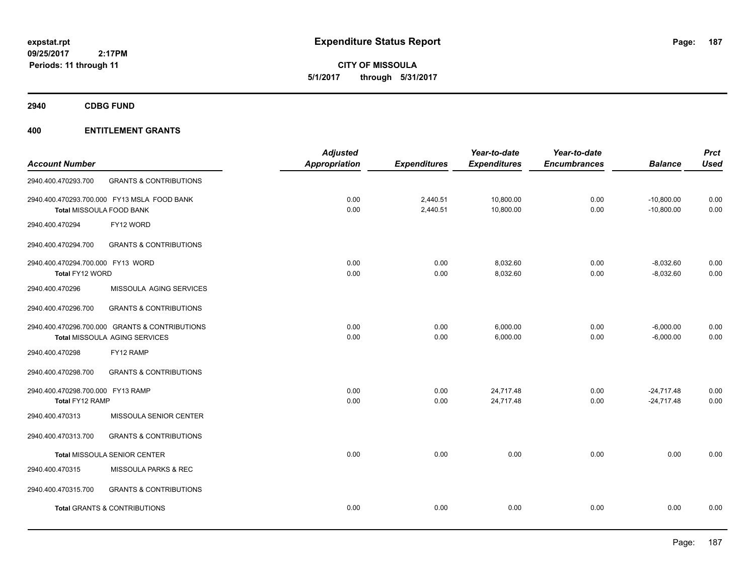**CITY OF MISSOULA 5/1/2017 through 5/31/2017**

**2940 CDBG FUND**

|                                   |                                                | <b>Adjusted</b>      |                     | Year-to-date        | Year-to-date        |                | <b>Prct</b> |
|-----------------------------------|------------------------------------------------|----------------------|---------------------|---------------------|---------------------|----------------|-------------|
| <b>Account Number</b>             |                                                | <b>Appropriation</b> | <b>Expenditures</b> | <b>Expenditures</b> | <b>Encumbrances</b> | <b>Balance</b> | <b>Used</b> |
| 2940.400.470293.700               | <b>GRANTS &amp; CONTRIBUTIONS</b>              |                      |                     |                     |                     |                |             |
|                                   | 2940.400.470293.700.000 FY13 MSLA FOOD BANK    | 0.00                 | 2,440.51            | 10,800.00           | 0.00                | $-10,800.00$   | 0.00        |
| Total MISSOULA FOOD BANK          |                                                | 0.00                 | 2,440.51            | 10,800.00           | 0.00                | $-10,800.00$   | 0.00        |
| 2940.400.470294                   | FY12 WORD                                      |                      |                     |                     |                     |                |             |
| 2940.400.470294.700               | <b>GRANTS &amp; CONTRIBUTIONS</b>              |                      |                     |                     |                     |                |             |
| 2940.400.470294.700.000 FY13 WORD |                                                | 0.00                 | 0.00                | 8,032.60            | 0.00                | $-8,032.60$    | 0.00        |
| Total FY12 WORD                   |                                                | 0.00                 | 0.00                | 8,032.60            | 0.00                | $-8,032.60$    | 0.00        |
| 2940.400.470296                   | MISSOULA AGING SERVICES                        |                      |                     |                     |                     |                |             |
| 2940.400.470296.700               | <b>GRANTS &amp; CONTRIBUTIONS</b>              |                      |                     |                     |                     |                |             |
|                                   | 2940.400.470296.700.000 GRANTS & CONTRIBUTIONS | 0.00                 | 0.00                | 6,000.00            | 0.00                | $-6,000.00$    | 0.00        |
|                                   | Total MISSOULA AGING SERVICES                  | 0.00                 | 0.00                | 6,000.00            | 0.00                | $-6,000.00$    | 0.00        |
| 2940.400.470298                   | FY12 RAMP                                      |                      |                     |                     |                     |                |             |
| 2940.400.470298.700               | <b>GRANTS &amp; CONTRIBUTIONS</b>              |                      |                     |                     |                     |                |             |
| 2940.400.470298.700.000 FY13 RAMP |                                                | 0.00                 | 0.00                | 24,717.48           | 0.00                | $-24,717.48$   | 0.00        |
| Total FY12 RAMP                   |                                                | 0.00                 | 0.00                | 24,717.48           | 0.00                | $-24,717.48$   | 0.00        |
| 2940.400.470313                   | MISSOULA SENIOR CENTER                         |                      |                     |                     |                     |                |             |
| 2940.400.470313.700               | <b>GRANTS &amp; CONTRIBUTIONS</b>              |                      |                     |                     |                     |                |             |
|                                   | Total MISSOULA SENIOR CENTER                   | 0.00                 | 0.00                | 0.00                | 0.00                | 0.00           | 0.00        |
| 2940.400.470315                   | MISSOULA PARKS & REC                           |                      |                     |                     |                     |                |             |
| 2940.400.470315.700               | <b>GRANTS &amp; CONTRIBUTIONS</b>              |                      |                     |                     |                     |                |             |
|                                   | <b>Total GRANTS &amp; CONTRIBUTIONS</b>        | 0.00                 | 0.00                | 0.00                | 0.00                | 0.00           | 0.00        |
|                                   |                                                |                      |                     |                     |                     |                |             |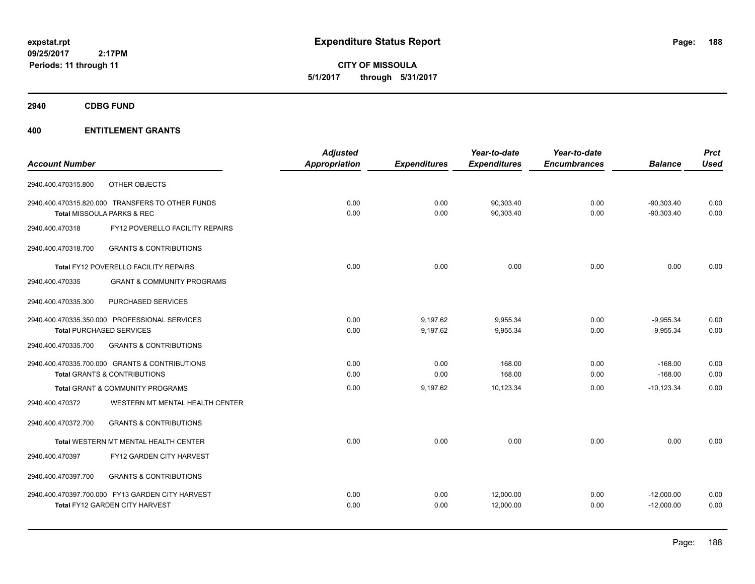**CITY OF MISSOULA 5/1/2017 through 5/31/2017**

**2940 CDBG FUND**

| <b>Account Number</b> |                                                  | <b>Adjusted</b><br>Appropriation | <b>Expenditures</b> | Year-to-date<br><b>Expenditures</b> | Year-to-date<br><b>Encumbrances</b> | <b>Balance</b> | <b>Prct</b><br><b>Used</b> |
|-----------------------|--------------------------------------------------|----------------------------------|---------------------|-------------------------------------|-------------------------------------|----------------|----------------------------|
|                       |                                                  |                                  |                     |                                     |                                     |                |                            |
| 2940.400.470315.800   | OTHER OBJECTS                                    |                                  |                     |                                     |                                     |                |                            |
|                       | 2940.400.470315.820.000 TRANSFERS TO OTHER FUNDS | 0.00                             | 0.00                | 90,303.40                           | 0.00                                | $-90,303.40$   | 0.00                       |
|                       | Total MISSOULA PARKS & REC                       | 0.00                             | 0.00                | 90,303.40                           | 0.00                                | $-90,303.40$   | 0.00                       |
| 2940.400.470318       | FY12 POVERELLO FACILITY REPAIRS                  |                                  |                     |                                     |                                     |                |                            |
| 2940.400.470318.700   | <b>GRANTS &amp; CONTRIBUTIONS</b>                |                                  |                     |                                     |                                     |                |                            |
|                       | Total FY12 POVERELLO FACILITY REPAIRS            | 0.00                             | 0.00                | 0.00                                | 0.00                                | 0.00           | 0.00                       |
| 2940.400.470335       | <b>GRANT &amp; COMMUNITY PROGRAMS</b>            |                                  |                     |                                     |                                     |                |                            |
| 2940.400.470335.300   | PURCHASED SERVICES                               |                                  |                     |                                     |                                     |                |                            |
|                       | 2940.400.470335.350.000 PROFESSIONAL SERVICES    | 0.00                             | 9,197.62            | 9,955.34                            | 0.00                                | $-9,955.34$    | 0.00                       |
|                       | <b>Total PURCHASED SERVICES</b>                  | 0.00                             | 9,197.62            | 9,955.34                            | 0.00                                | $-9,955.34$    | 0.00                       |
| 2940.400.470335.700   | <b>GRANTS &amp; CONTRIBUTIONS</b>                |                                  |                     |                                     |                                     |                |                            |
|                       | 2940.400.470335.700.000 GRANTS & CONTRIBUTIONS   | 0.00                             | 0.00                | 168.00                              | 0.00                                | $-168.00$      | 0.00                       |
|                       | <b>Total GRANTS &amp; CONTRIBUTIONS</b>          | 0.00                             | 0.00                | 168.00                              | 0.00                                | $-168.00$      | 0.00                       |
|                       | Total GRANT & COMMUNITY PROGRAMS                 | 0.00                             | 9,197.62            | 10,123.34                           | 0.00                                | $-10, 123.34$  | 0.00                       |
| 2940.400.470372       | WESTERN MT MENTAL HEALTH CENTER                  |                                  |                     |                                     |                                     |                |                            |
| 2940.400.470372.700   | <b>GRANTS &amp; CONTRIBUTIONS</b>                |                                  |                     |                                     |                                     |                |                            |
|                       | Total WESTERN MT MENTAL HEALTH CENTER            | 0.00                             | 0.00                | 0.00                                | 0.00                                | 0.00           | 0.00                       |
| 2940.400.470397       | FY12 GARDEN CITY HARVEST                         |                                  |                     |                                     |                                     |                |                            |
| 2940.400.470397.700   | <b>GRANTS &amp; CONTRIBUTIONS</b>                |                                  |                     |                                     |                                     |                |                            |
|                       | 2940.400.470397.700.000 FY13 GARDEN CITY HARVEST | 0.00                             | 0.00                | 12,000.00                           | 0.00                                | $-12,000.00$   | 0.00                       |
|                       | Total FY12 GARDEN CITY HARVEST                   | 0.00                             | 0.00                | 12,000.00                           | 0.00                                | $-12,000.00$   | 0.00                       |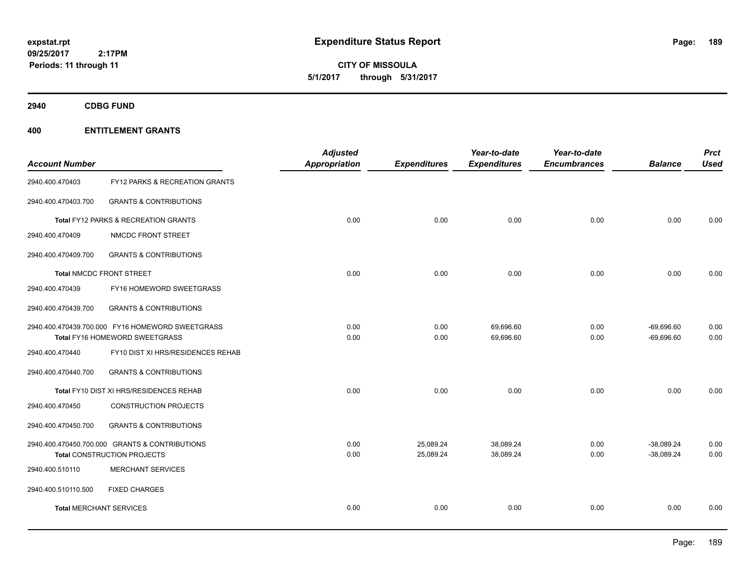**CITY OF MISSOULA 5/1/2017 through 5/31/2017**

**2940 CDBG FUND**

| <b>Account Number</b>          |                                                                                      | <b>Adjusted</b><br><b>Appropriation</b> | <b>Expenditures</b>    | Year-to-date<br><b>Expenditures</b> | Year-to-date<br><b>Encumbrances</b> | <b>Balance</b>               | <b>Prct</b><br><b>Used</b> |
|--------------------------------|--------------------------------------------------------------------------------------|-----------------------------------------|------------------------|-------------------------------------|-------------------------------------|------------------------------|----------------------------|
| 2940.400.470403                | FY12 PARKS & RECREATION GRANTS                                                       |                                         |                        |                                     |                                     |                              |                            |
| 2940.400.470403.700            | <b>GRANTS &amp; CONTRIBUTIONS</b>                                                    |                                         |                        |                                     |                                     |                              |                            |
|                                | <b>Total FY12 PARKS &amp; RECREATION GRANTS</b>                                      | 0.00                                    | 0.00                   | 0.00                                | 0.00                                | 0.00                         | 0.00                       |
| 2940.400.470409                | NMCDC FRONT STREET                                                                   |                                         |                        |                                     |                                     |                              |                            |
| 2940.400.470409.700            | <b>GRANTS &amp; CONTRIBUTIONS</b>                                                    |                                         |                        |                                     |                                     |                              |                            |
|                                | <b>Total NMCDC FRONT STREET</b>                                                      | 0.00                                    | 0.00                   | 0.00                                | 0.00                                | 0.00                         | 0.00                       |
| 2940.400.470439                | FY16 HOMEWORD SWEETGRASS                                                             |                                         |                        |                                     |                                     |                              |                            |
| 2940.400.470439.700            | <b>GRANTS &amp; CONTRIBUTIONS</b>                                                    |                                         |                        |                                     |                                     |                              |                            |
|                                | 2940.400.470439.700.000 FY16 HOMEWORD SWEETGRASS<br>Total FY16 HOMEWORD SWEETGRASS   | 0.00<br>0.00                            | 0.00<br>0.00           | 69,696.60<br>69,696.60              | 0.00<br>0.00                        | $-69,696.60$<br>$-69,696.60$ | 0.00<br>0.00               |
| 2940.400.470440                | FY10 DIST XI HRS/RESIDENCES REHAB                                                    |                                         |                        |                                     |                                     |                              |                            |
| 2940.400.470440.700            | <b>GRANTS &amp; CONTRIBUTIONS</b>                                                    |                                         |                        |                                     |                                     |                              |                            |
|                                | Total FY10 DIST XI HRS/RESIDENCES REHAB                                              | 0.00                                    | 0.00                   | 0.00                                | 0.00                                | 0.00                         | 0.00                       |
| 2940.400.470450                | <b>CONSTRUCTION PROJECTS</b>                                                         |                                         |                        |                                     |                                     |                              |                            |
| 2940.400.470450.700            | <b>GRANTS &amp; CONTRIBUTIONS</b>                                                    |                                         |                        |                                     |                                     |                              |                            |
|                                | 2940.400.470450.700.000 GRANTS & CONTRIBUTIONS<br><b>Total CONSTRUCTION PROJECTS</b> | 0.00<br>0.00                            | 25,089.24<br>25,089.24 | 38,089.24<br>38,089.24              | 0.00<br>0.00                        | $-38,089.24$<br>$-38,089.24$ | 0.00<br>0.00               |
| 2940.400.510110                | <b>MERCHANT SERVICES</b>                                                             |                                         |                        |                                     |                                     |                              |                            |
| 2940.400.510110.500            | <b>FIXED CHARGES</b>                                                                 |                                         |                        |                                     |                                     |                              |                            |
| <b>Total MERCHANT SERVICES</b> |                                                                                      | 0.00                                    | 0.00                   | 0.00                                | 0.00                                | 0.00                         | 0.00                       |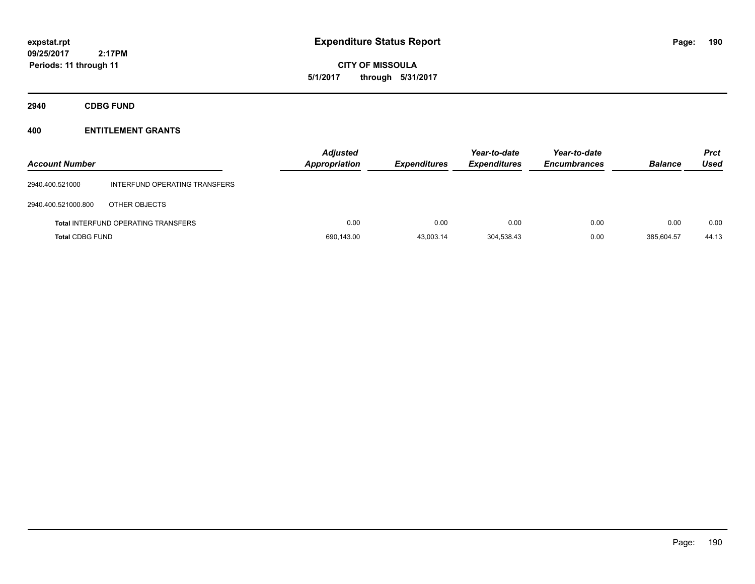# **CITY OF MISSOULA 5/1/2017 through 5/31/2017**

**2940 CDBG FUND**

| <b>Account Number</b>  |                                            | <b>Adjusted</b><br><b>Appropriation</b> | <b>Expenditures</b> | Year-to-date<br><b>Expenditures</b> | Year-to-date<br><b>Encumbrances</b> | <b>Balance</b> | <b>Prct</b><br>Used |
|------------------------|--------------------------------------------|-----------------------------------------|---------------------|-------------------------------------|-------------------------------------|----------------|---------------------|
| 2940.400.521000        | INTERFUND OPERATING TRANSFERS              |                                         |                     |                                     |                                     |                |                     |
| 2940.400.521000.800    | OTHER OBJECTS                              |                                         |                     |                                     |                                     |                |                     |
|                        | <b>Total INTERFUND OPERATING TRANSFERS</b> | 0.00                                    | 0.00                | 0.00                                | 0.00                                | 0.00           | 0.00                |
| <b>Total CDBG FUND</b> |                                            | 690,143.00                              | 43,003.14           | 304.538.43                          | 0.00                                | 385.604.57     | 44.13               |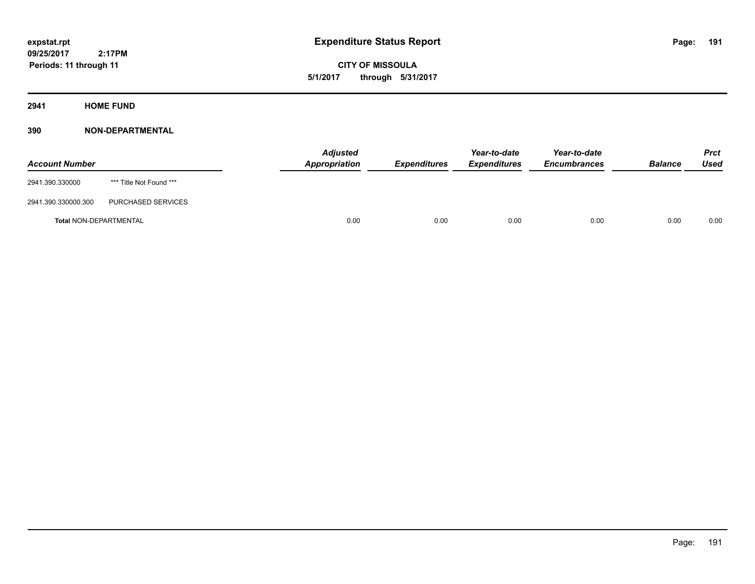**CITY OF MISSOULA 5/1/2017 through 5/31/2017**

**2941 HOME FUND**

| <b>Account Number</b>         |                         | <b>Adjusted</b><br>Appropriation | <b>Expenditures</b> | Year-to-date<br><i><b>Expenditures</b></i> | Year-to-date<br><b>Encumbrances</b> | <b>Balance</b> | <b>Prct</b><br>Used |
|-------------------------------|-------------------------|----------------------------------|---------------------|--------------------------------------------|-------------------------------------|----------------|---------------------|
| 2941.390.330000               | *** Title Not Found *** |                                  |                     |                                            |                                     |                |                     |
| 2941.390.330000.300           | PURCHASED SERVICES      |                                  |                     |                                            |                                     |                |                     |
| <b>Total NON-DEPARTMENTAL</b> |                         | 0.00                             | 0.00                | 0.00                                       | 0.00                                | 0.00           | 0.00                |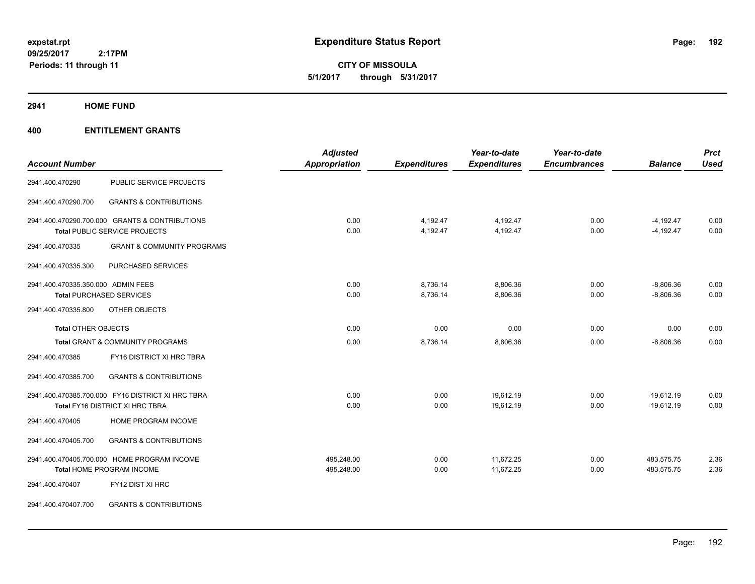**CITY OF MISSOULA 5/1/2017 through 5/31/2017**

#### **2941 HOME FUND**

|                                    |                                                   | <b>Adjusted</b>      |                     | Year-to-date        | Year-to-date        |                | <b>Prct</b> |
|------------------------------------|---------------------------------------------------|----------------------|---------------------|---------------------|---------------------|----------------|-------------|
| <b>Account Number</b>              |                                                   | <b>Appropriation</b> | <b>Expenditures</b> | <b>Expenditures</b> | <b>Encumbrances</b> | <b>Balance</b> | <b>Used</b> |
| 2941.400.470290                    | PUBLIC SERVICE PROJECTS                           |                      |                     |                     |                     |                |             |
| 2941.400.470290.700                | <b>GRANTS &amp; CONTRIBUTIONS</b>                 |                      |                     |                     |                     |                |             |
|                                    | 2941.400.470290.700.000 GRANTS & CONTRIBUTIONS    | 0.00                 | 4,192.47            | 4,192.47            | 0.00                | $-4,192.47$    | 0.00        |
|                                    | Total PUBLIC SERVICE PROJECTS                     | 0.00                 | 4,192.47            | 4,192.47            | 0.00                | $-4,192.47$    | 0.00        |
| 2941.400.470335                    | <b>GRANT &amp; COMMUNITY PROGRAMS</b>             |                      |                     |                     |                     |                |             |
| 2941.400.470335.300                | PURCHASED SERVICES                                |                      |                     |                     |                     |                |             |
| 2941.400.470335.350.000 ADMIN FEES |                                                   | 0.00                 | 8,736.14            | 8,806.36            | 0.00                | $-8,806.36$    | 0.00        |
| <b>Total PURCHASED SERVICES</b>    |                                                   | 0.00                 | 8,736.14            | 8,806.36            | 0.00                | $-8,806.36$    | 0.00        |
| 2941.400.470335.800                | OTHER OBJECTS                                     |                      |                     |                     |                     |                |             |
| <b>Total OTHER OBJECTS</b>         |                                                   | 0.00                 | 0.00                | 0.00                | 0.00                | 0.00           | 0.00        |
|                                    | Total GRANT & COMMUNITY PROGRAMS                  | 0.00                 | 8,736.14            | 8,806.36            | 0.00                | $-8,806.36$    | 0.00        |
| 2941.400.470385                    | FY16 DISTRICT XI HRC TBRA                         |                      |                     |                     |                     |                |             |
| 2941.400.470385.700                | <b>GRANTS &amp; CONTRIBUTIONS</b>                 |                      |                     |                     |                     |                |             |
|                                    | 2941.400.470385.700.000 FY16 DISTRICT XI HRC TBRA | 0.00                 | 0.00                | 19,612.19           | 0.00                | $-19,612.19$   | 0.00        |
|                                    | Total FY16 DISTRICT XI HRC TBRA                   | 0.00                 | 0.00                | 19,612.19           | 0.00                | $-19,612.19$   | 0.00        |
| 2941.400.470405                    | HOME PROGRAM INCOME                               |                      |                     |                     |                     |                |             |
| 2941.400.470405.700                | <b>GRANTS &amp; CONTRIBUTIONS</b>                 |                      |                     |                     |                     |                |             |
|                                    | 2941.400.470405.700.000 HOME PROGRAM INCOME       | 495,248.00           | 0.00                | 11,672.25           | 0.00                | 483,575.75     | 2.36        |
|                                    | Total HOME PROGRAM INCOME                         | 495,248.00           | 0.00                | 11,672.25           | 0.00                | 483,575.75     | 2.36        |
| 2941.400.470407                    | FY12 DIST XI HRC                                  |                      |                     |                     |                     |                |             |
| 2941.400.470407.700                | <b>GRANTS &amp; CONTRIBUTIONS</b>                 |                      |                     |                     |                     |                |             |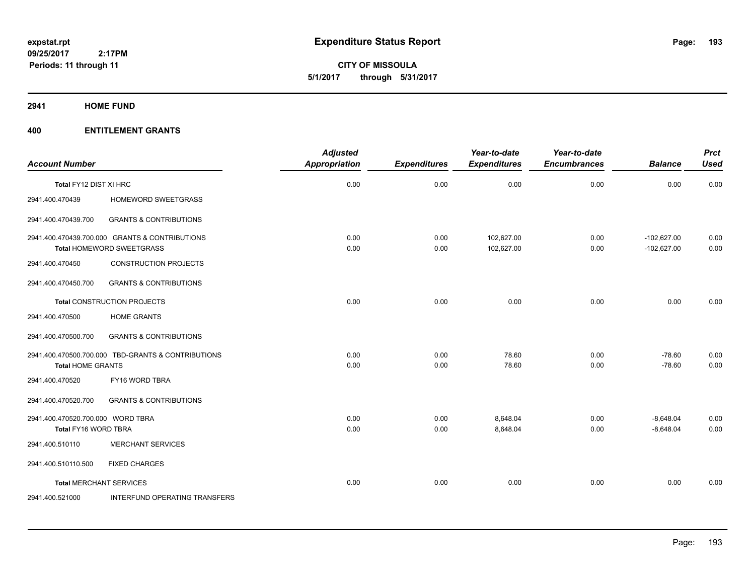**CITY OF MISSOULA 5/1/2017 through 5/31/2017**

**2941 HOME FUND**

|                                   |                                                                             | <b>Adjusted</b>      |                     | Year-to-date             | Year-to-date        |                                | <b>Prct</b>  |
|-----------------------------------|-----------------------------------------------------------------------------|----------------------|---------------------|--------------------------|---------------------|--------------------------------|--------------|
| <b>Account Number</b>             |                                                                             | <b>Appropriation</b> | <b>Expenditures</b> | <b>Expenditures</b>      | <b>Encumbrances</b> | <b>Balance</b>                 | <b>Used</b>  |
| Total FY12 DIST XI HRC            |                                                                             | 0.00                 | 0.00                | 0.00                     | 0.00                | 0.00                           | 0.00         |
| 2941.400.470439                   | HOMEWORD SWEETGRASS                                                         |                      |                     |                          |                     |                                |              |
| 2941.400.470439.700               | <b>GRANTS &amp; CONTRIBUTIONS</b>                                           |                      |                     |                          |                     |                                |              |
|                                   | 2941.400.470439.700.000 GRANTS & CONTRIBUTIONS<br>Total HOMEWORD SWEETGRASS | 0.00<br>0.00         | 0.00<br>0.00        | 102,627.00<br>102,627.00 | 0.00<br>0.00        | $-102,627.00$<br>$-102,627.00$ | 0.00<br>0.00 |
| 2941.400.470450                   | <b>CONSTRUCTION PROJECTS</b>                                                |                      |                     |                          |                     |                                |              |
| 2941.400.470450.700               | <b>GRANTS &amp; CONTRIBUTIONS</b>                                           |                      |                     |                          |                     |                                |              |
|                                   | <b>Total CONSTRUCTION PROJECTS</b>                                          | 0.00                 | 0.00                | 0.00                     | 0.00                | 0.00                           | 0.00         |
| 2941.400.470500                   | <b>HOME GRANTS</b>                                                          |                      |                     |                          |                     |                                |              |
| 2941.400.470500.700               | <b>GRANTS &amp; CONTRIBUTIONS</b>                                           |                      |                     |                          |                     |                                |              |
| <b>Total HOME GRANTS</b>          | 2941.400.470500.700.000 TBD-GRANTS & CONTRIBUTIONS                          | 0.00<br>0.00         | 0.00<br>0.00        | 78.60<br>78.60           | 0.00<br>0.00        | $-78.60$<br>$-78.60$           | 0.00<br>0.00 |
| 2941.400.470520                   | FY16 WORD TBRA                                                              |                      |                     |                          |                     |                                |              |
| 2941.400.470520.700               | <b>GRANTS &amp; CONTRIBUTIONS</b>                                           |                      |                     |                          |                     |                                |              |
| 2941.400.470520.700.000 WORD TBRA |                                                                             | 0.00                 | 0.00                | 8,648.04                 | 0.00                | $-8,648.04$                    | 0.00         |
| Total FY16 WORD TBRA              |                                                                             | 0.00                 | 0.00                | 8,648.04                 | 0.00                | $-8,648.04$                    | 0.00         |
| 2941.400.510110                   | <b>MERCHANT SERVICES</b>                                                    |                      |                     |                          |                     |                                |              |
| 2941.400.510110.500               | <b>FIXED CHARGES</b>                                                        |                      |                     |                          |                     |                                |              |
| <b>Total MERCHANT SERVICES</b>    |                                                                             | 0.00                 | 0.00                | 0.00                     | 0.00                | 0.00                           | 0.00         |
| 2941.400.521000                   | INTERFUND OPERATING TRANSFERS                                               |                      |                     |                          |                     |                                |              |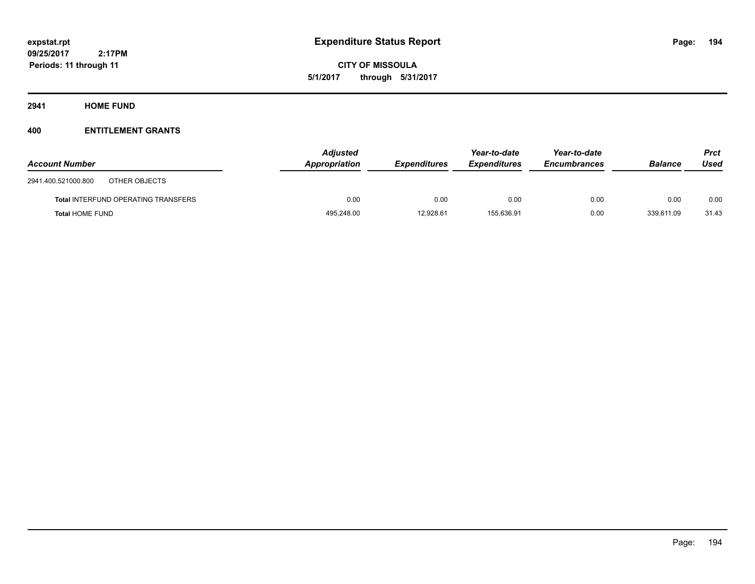**CITY OF MISSOULA 5/1/2017 through 5/31/2017**

**2941 HOME FUND**

| <b>Account Number</b>                      | <b>Adjusted</b><br>Appropriation | <b>Expenditures</b> | Year-to-date<br><b>Expenditures</b> | Year-to-date<br><b>Encumbrances</b> | <b>Balance</b> | <b>Prct</b><br>Used |
|--------------------------------------------|----------------------------------|---------------------|-------------------------------------|-------------------------------------|----------------|---------------------|
| 2941.400.521000.800<br>OTHER OBJECTS       |                                  |                     |                                     |                                     |                |                     |
| <b>Total INTERFUND OPERATING TRANSFERS</b> | 0.00                             | 0.00                | 0.00                                | 0.00                                | 0.00           | 0.00                |
| <b>Total HOME FUND</b>                     | 495,248.00                       | 12,928.61           | 155,636.91                          | 0.00                                | 339,611.09     | 31.43               |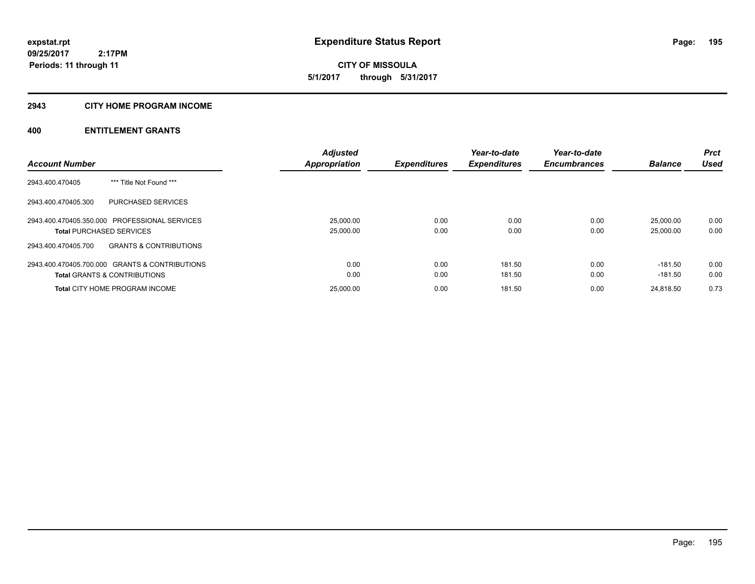# **2943 CITY HOME PROGRAM INCOME**

|                                                          | <b>Adjusted</b>      |                     | Year-to-date        | Year-to-date        |                | <b>Prct</b> |
|----------------------------------------------------------|----------------------|---------------------|---------------------|---------------------|----------------|-------------|
| <b>Account Number</b>                                    | <b>Appropriation</b> | <b>Expenditures</b> | <b>Expenditures</b> | <b>Encumbrances</b> | <b>Balance</b> | Used        |
| *** Title Not Found ***<br>2943.400.470405               |                      |                     |                     |                     |                |             |
| PURCHASED SERVICES<br>2943.400.470405.300                |                      |                     |                     |                     |                |             |
| 2943.400.470405.350.000 PROFESSIONAL SERVICES            | 25,000.00            | 0.00                | 0.00                | 0.00                | 25.000.00      | 0.00        |
| <b>Total PURCHASED SERVICES</b>                          | 25,000.00            | 0.00                | 0.00                | 0.00                | 25.000.00      | 0.00        |
| <b>GRANTS &amp; CONTRIBUTIONS</b><br>2943.400.470405.700 |                      |                     |                     |                     |                |             |
| 2943.400.470405.700.000 GRANTS & CONTRIBUTIONS           | 0.00                 | 0.00                | 181.50              | 0.00                | -181.50        | 0.00        |
| <b>Total GRANTS &amp; CONTRIBUTIONS</b>                  | 0.00                 | 0.00                | 181.50              | 0.00                | $-181.50$      | 0.00        |
| <b>Total CITY HOME PROGRAM INCOME</b>                    | 25,000.00            | 0.00                | 181.50              | 0.00                | 24.818.50      | 0.73        |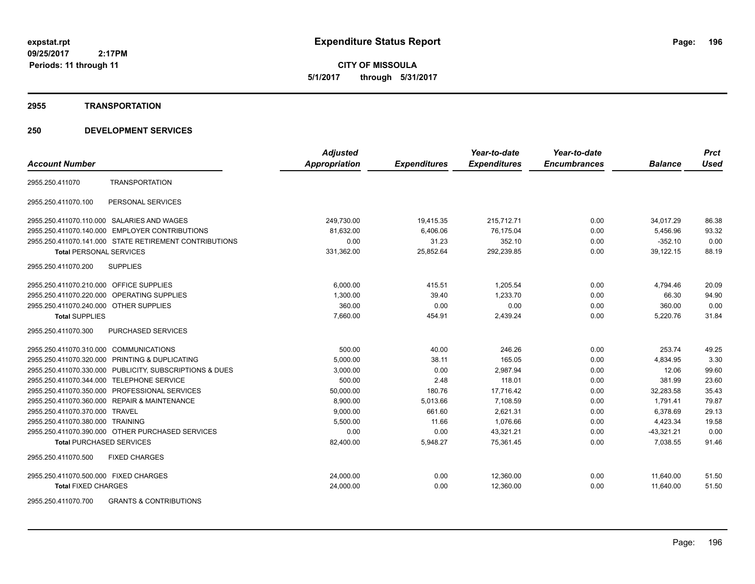**CITY OF MISSOULA 5/1/2017 through 5/31/2017**

#### **2955 TRANSPORTATION**

# **250 DEVELOPMENT SERVICES**

|                                                         | <b>Adjusted</b>      |                     | Year-to-date        | Year-to-date        |                | <b>Prct</b> |
|---------------------------------------------------------|----------------------|---------------------|---------------------|---------------------|----------------|-------------|
| <b>Account Number</b>                                   | <b>Appropriation</b> | <b>Expenditures</b> | <b>Expenditures</b> | <b>Encumbrances</b> | <b>Balance</b> | <b>Used</b> |
| <b>TRANSPORTATION</b><br>2955.250.411070                |                      |                     |                     |                     |                |             |
| PERSONAL SERVICES<br>2955.250.411070.100                |                      |                     |                     |                     |                |             |
| 2955.250.411070.110.000 SALARIES AND WAGES              | 249,730.00           | 19,415.35           | 215,712.71          | 0.00                | 34,017.29      | 86.38       |
| 2955.250.411070.140.000 EMPLOYER CONTRIBUTIONS          | 81.632.00            | 6,406.06            | 76,175.04           | 0.00                | 5,456.96       | 93.32       |
| 2955.250.411070.141.000 STATE RETIREMENT CONTRIBUTIONS  | 0.00                 | 31.23               | 352.10              | 0.00                | $-352.10$      | 0.00        |
| <b>Total PERSONAL SERVICES</b>                          | 331,362.00           | 25,852.64           | 292,239.85          | 0.00                | 39,122.15      | 88.19       |
| 2955.250.411070.200<br><b>SUPPLIES</b>                  |                      |                     |                     |                     |                |             |
| 2955.250.411070.210.000 OFFICE SUPPLIES                 | 6,000.00             | 415.51              | 1,205.54            | 0.00                | 4,794.46       | 20.09       |
| 2955.250.411070.220.000 OPERATING SUPPLIES              | 1,300.00             | 39.40               | 1.233.70            | 0.00                | 66.30          | 94.90       |
| 2955.250.411070.240.000 OTHER SUPPLIES                  | 360.00               | 0.00                | 0.00                | 0.00                | 360.00         | 0.00        |
| <b>Total SUPPLIES</b>                                   | 7,660.00             | 454.91              | 2,439.24            | 0.00                | 5,220.76       | 31.84       |
| <b>PURCHASED SERVICES</b><br>2955.250.411070.300        |                      |                     |                     |                     |                |             |
| 2955.250.411070.310.000 COMMUNICATIONS                  | 500.00               | 40.00               | 246.26              | 0.00                | 253.74         | 49.25       |
| 2955.250.411070.320.000 PRINTING & DUPLICATING          | 5,000.00             | 38.11               | 165.05              | 0.00                | 4,834.95       | 3.30        |
| 2955.250.411070.330.000 PUBLICITY, SUBSCRIPTIONS & DUES | 3,000.00             | 0.00                | 2,987.94            | 0.00                | 12.06          | 99.60       |
| 2955.250.411070.344.000 TELEPHONE SERVICE               | 500.00               | 2.48                | 118.01              | 0.00                | 381.99         | 23.60       |
| 2955.250.411070.350.000 PROFESSIONAL SERVICES           | 50.000.00            | 180.76              | 17.716.42           | 0.00                | 32.283.58      | 35.43       |
| 2955.250.411070.360.000 REPAIR & MAINTENANCE            | 8,900.00             | 5,013.66            | 7.108.59            | 0.00                | 1,791.41       | 79.87       |
| 2955.250.411070.370.000 TRAVEL                          | 9,000.00             | 661.60              | 2,621.31            | 0.00                | 6,378.69       | 29.13       |
| 2955.250.411070.380.000 TRAINING                        | 5,500.00             | 11.66               | 1,076.66            | 0.00                | 4,423.34       | 19.58       |
| 2955.250.411070.390.000 OTHER PURCHASED SERVICES        | 0.00                 | 0.00                | 43,321.21           | 0.00                | $-43,321.21$   | 0.00        |
| <b>Total PURCHASED SERVICES</b>                         | 82,400.00            | 5,948.27            | 75,361.45           | 0.00                | 7,038.55       | 91.46       |
| <b>FIXED CHARGES</b><br>2955.250.411070.500             |                      |                     |                     |                     |                |             |
| 2955.250.411070.500.000 FIXED CHARGES                   | 24,000.00            | 0.00                | 12,360.00           | 0.00                | 11,640.00      | 51.50       |
| <b>Total FIXED CHARGES</b>                              | 24,000.00            | 0.00                | 12,360.00           | 0.00                | 11,640.00      | 51.50       |
| COLLAGE AND TOO COANTO & CONTOINITIONS                  |                      |                     |                     |                     |                |             |

2955.250.411070.700 GRANTS & CONTRIBUTIONS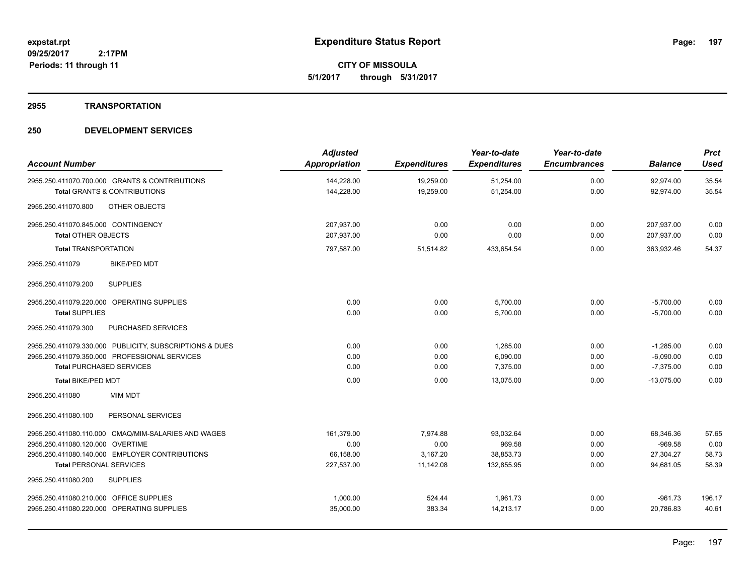**CITY OF MISSOULA 5/1/2017 through 5/31/2017**

#### **2955 TRANSPORTATION**

| <b>Account Number</b>                                                                     | <b>Adjusted</b><br><b>Appropriation</b> | <b>Expenditures</b>    | Year-to-date<br><b>Expenditures</b> | Year-to-date<br><b>Encumbrances</b> | <b>Balance</b>         | <b>Prct</b><br><b>Used</b> |
|-------------------------------------------------------------------------------------------|-----------------------------------------|------------------------|-------------------------------------|-------------------------------------|------------------------|----------------------------|
| 2955.250.411070.700.000 GRANTS & CONTRIBUTIONS<br><b>Total GRANTS &amp; CONTRIBUTIONS</b> | 144,228.00<br>144,228.00                | 19,259.00<br>19,259.00 | 51,254.00<br>51,254.00              | 0.00<br>0.00                        | 92,974.00<br>92,974.00 | 35.54<br>35.54             |
| 2955.250.411070.800<br>OTHER OBJECTS                                                      |                                         |                        |                                     |                                     |                        |                            |
| 2955.250.411070.845.000 CONTINGENCY                                                       | 207,937.00                              | 0.00                   | 0.00                                | 0.00                                | 207,937.00             | 0.00                       |
| <b>Total OTHER OBJECTS</b>                                                                | 207,937.00                              | 0.00                   | 0.00                                | 0.00                                | 207,937.00             | 0.00                       |
| <b>Total TRANSPORTATION</b>                                                               | 797,587.00                              | 51,514.82              | 433,654.54                          | 0.00                                | 363,932.46             | 54.37                      |
| 2955.250.411079<br><b>BIKE/PED MDT</b>                                                    |                                         |                        |                                     |                                     |                        |                            |
| <b>SUPPLIES</b><br>2955.250.411079.200                                                    |                                         |                        |                                     |                                     |                        |                            |
| 2955.250.411079.220.000 OPERATING SUPPLIES                                                | 0.00                                    | 0.00                   | 5,700.00                            | 0.00                                | $-5,700.00$            | 0.00                       |
| <b>Total SUPPLIES</b>                                                                     | 0.00                                    | 0.00                   | 5,700.00                            | 0.00                                | $-5,700.00$            | 0.00                       |
| 2955.250.411079.300<br>PURCHASED SERVICES                                                 |                                         |                        |                                     |                                     |                        |                            |
| 2955.250.411079.330.000 PUBLICITY, SUBSCRIPTIONS & DUES                                   | 0.00                                    | 0.00                   | 1,285.00                            | 0.00                                | $-1,285.00$            | 0.00                       |
| 2955.250.411079.350.000 PROFESSIONAL SERVICES                                             | 0.00                                    | 0.00                   | 6,090.00                            | 0.00                                | $-6,090.00$            | 0.00                       |
| <b>Total PURCHASED SERVICES</b>                                                           | 0.00                                    | 0.00                   | 7,375.00                            | 0.00                                | $-7,375.00$            | 0.00                       |
| <b>Total BIKE/PED MDT</b>                                                                 | 0.00                                    | 0.00                   | 13.075.00                           | 0.00                                | $-13,075.00$           | 0.00                       |
| 2955.250.411080<br><b>MIM MDT</b>                                                         |                                         |                        |                                     |                                     |                        |                            |
| 2955.250.411080.100<br>PERSONAL SERVICES                                                  |                                         |                        |                                     |                                     |                        |                            |
| 2955.250.411080.110.000 CMAQ/MIM-SALARIES AND WAGES                                       | 161.379.00                              | 7.974.88               | 93.032.64                           | 0.00                                | 68.346.36              | 57.65                      |
| 2955.250.411080.120.000 OVERTIME                                                          | 0.00                                    | 0.00                   | 969.58                              | 0.00                                | $-969.58$              | 0.00                       |
| 2955.250.411080.140.000 EMPLOYER CONTRIBUTIONS                                            | 66,158.00                               | 3,167.20               | 38,853.73                           | 0.00                                | 27,304.27              | 58.73                      |
| <b>Total PERSONAL SERVICES</b>                                                            | 227,537.00                              | 11,142.08              | 132,855.95                          | 0.00                                | 94,681.05              | 58.39                      |
| 2955.250.411080.200<br><b>SUPPLIES</b>                                                    |                                         |                        |                                     |                                     |                        |                            |
| 2955.250.411080.210.000 OFFICE SUPPLIES                                                   | 1,000.00                                | 524.44                 | 1,961.73                            | 0.00                                | $-961.73$              | 196.17                     |
| 2955.250.411080.220.000 OPERATING SUPPLIES                                                | 35,000.00                               | 383.34                 | 14,213.17                           | 0.00                                | 20.786.83              | 40.61                      |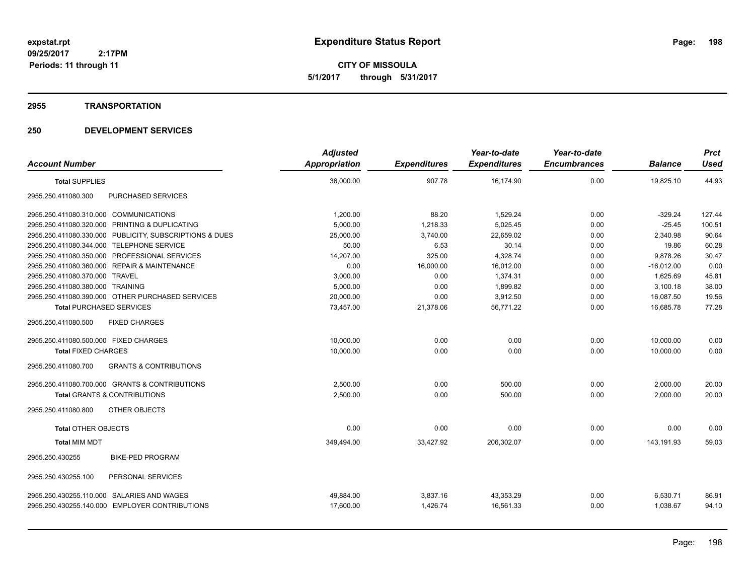**CITY OF MISSOULA 5/1/2017 through 5/31/2017**

#### **2955 TRANSPORTATION**

|                                                          | <b>Adjusted</b> |                     | Year-to-date        | Year-to-date        |                | <b>Prct</b> |
|----------------------------------------------------------|-----------------|---------------------|---------------------|---------------------|----------------|-------------|
| <b>Account Number</b>                                    | Appropriation   | <b>Expenditures</b> | <b>Expenditures</b> | <b>Encumbrances</b> | <b>Balance</b> | <b>Used</b> |
| <b>Total SUPPLIES</b>                                    | 36,000.00       | 907.78              | 16,174.90           | 0.00                | 19,825.10      | 44.93       |
| <b>PURCHASED SERVICES</b><br>2955.250.411080.300         |                 |                     |                     |                     |                |             |
| 2955.250.411080.310.000 COMMUNICATIONS                   | 1,200.00        | 88.20               | 1,529.24            | 0.00                | $-329.24$      | 127.44      |
| 2955.250.411080.320.000 PRINTING & DUPLICATING           | 5,000.00        | 1,218.33            | 5,025.45            | 0.00                | $-25.45$       | 100.51      |
| 2955.250.411080.330.000 PUBLICITY, SUBSCRIPTIONS & DUES  | 25,000.00       | 3,740.00            | 22,659.02           | 0.00                | 2,340.98       | 90.64       |
| 2955.250.411080.344.000 TELEPHONE SERVICE                | 50.00           | 6.53                | 30.14               | 0.00                | 19.86          | 60.28       |
| 2955.250.411080.350.000 PROFESSIONAL SERVICES            | 14,207.00       | 325.00              | 4,328.74            | 0.00                | 9,878.26       | 30.47       |
| 2955.250.411080.360.000 REPAIR & MAINTENANCE             | 0.00            | 16,000.00           | 16,012.00           | 0.00                | $-16,012.00$   | 0.00        |
| 2955.250.411080.370.000 TRAVEL                           | 3,000.00        | 0.00                | 1,374.31            | 0.00                | 1.625.69       | 45.81       |
| 2955.250.411080.380.000 TRAINING                         | 5,000.00        | 0.00                | 1,899.82            | 0.00                | 3,100.18       | 38.00       |
| 2955.250.411080.390.000 OTHER PURCHASED SERVICES         | 20,000.00       | 0.00                | 3,912.50            | 0.00                | 16,087.50      | 19.56       |
| <b>Total PURCHASED SERVICES</b>                          | 73,457.00       | 21,378.06           | 56.771.22           | 0.00                | 16,685.78      | 77.28       |
| <b>FIXED CHARGES</b><br>2955.250.411080.500              |                 |                     |                     |                     |                |             |
| 2955.250.411080.500.000 FIXED CHARGES                    | 10,000.00       | 0.00                | 0.00                | 0.00                | 10,000.00      | 0.00        |
| <b>Total FIXED CHARGES</b>                               | 10,000.00       | 0.00                | 0.00                | 0.00                | 10.000.00      | 0.00        |
| <b>GRANTS &amp; CONTRIBUTIONS</b><br>2955.250.411080.700 |                 |                     |                     |                     |                |             |
| 2955.250.411080.700.000 GRANTS & CONTRIBUTIONS           | 2,500.00        | 0.00                | 500.00              | 0.00                | 2,000.00       | 20.00       |
| <b>Total GRANTS &amp; CONTRIBUTIONS</b>                  | 2,500.00        | 0.00                | 500.00              | 0.00                | 2,000.00       | 20.00       |
| 2955.250.411080.800<br>OTHER OBJECTS                     |                 |                     |                     |                     |                |             |
| <b>Total OTHER OBJECTS</b>                               | 0.00            | 0.00                | 0.00                | 0.00                | 0.00           | 0.00        |
| <b>Total MIM MDT</b>                                     | 349,494.00      | 33,427.92           | 206,302.07          | 0.00                | 143.191.93     | 59.03       |
| <b>BIKE-PED PROGRAM</b><br>2955.250.430255               |                 |                     |                     |                     |                |             |
| PERSONAL SERVICES<br>2955.250.430255.100                 |                 |                     |                     |                     |                |             |
| 2955.250.430255.110.000 SALARIES AND WAGES               | 49,884.00       | 3,837.16            | 43,353.29           | 0.00                | 6,530.71       | 86.91       |
| 2955.250.430255.140.000 EMPLOYER CONTRIBUTIONS           | 17,600.00       | 1,426.74            | 16,561.33           | 0.00                | 1,038.67       | 94.10       |
|                                                          |                 |                     |                     |                     |                |             |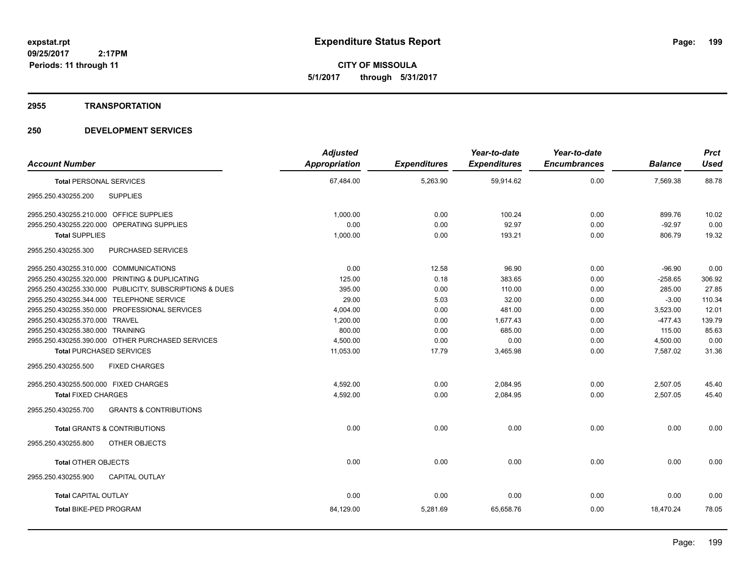**CITY OF MISSOULA 5/1/2017 through 5/31/2017**

#### **2955 TRANSPORTATION**

| <b>Account Number</b>                                    | <b>Adjusted</b><br><b>Appropriation</b> | <b>Expenditures</b> | Year-to-date<br><b>Expenditures</b> | Year-to-date<br><b>Encumbrances</b> | <b>Balance</b> | <b>Prct</b><br><b>Used</b> |
|----------------------------------------------------------|-----------------------------------------|---------------------|-------------------------------------|-------------------------------------|----------------|----------------------------|
| <b>Total PERSONAL SERVICES</b>                           | 67,484.00                               | 5,263.90            | 59,914.62                           | 0.00                                | 7,569.38       | 88.78                      |
| <b>SUPPLIES</b><br>2955.250.430255.200                   |                                         |                     |                                     |                                     |                |                            |
| 2955.250.430255.210.000 OFFICE SUPPLIES                  | 1,000.00                                | 0.00                | 100.24                              | 0.00                                | 899.76         | 10.02                      |
| 2955.250.430255.220.000 OPERATING SUPPLIES               | 0.00                                    | 0.00                | 92.97                               | 0.00                                | $-92.97$       | 0.00                       |
| <b>Total SUPPLIES</b>                                    | 1,000.00                                | 0.00                | 193.21                              | 0.00                                | 806.79         | 19.32                      |
| 2955.250.430255.300<br>PURCHASED SERVICES                |                                         |                     |                                     |                                     |                |                            |
| 2955.250.430255.310.000 COMMUNICATIONS                   | 0.00                                    | 12.58               | 96.90                               | 0.00                                | $-96.90$       | 0.00                       |
| 2955.250.430255.320.000 PRINTING & DUPLICATING           | 125.00                                  | 0.18                | 383.65                              | 0.00                                | $-258.65$      | 306.92                     |
| 2955.250.430255.330.000 PUBLICITY, SUBSCRIPTIONS & DUES  | 395.00                                  | 0.00                | 110.00                              | 0.00                                | 285.00         | 27.85                      |
| 2955.250.430255.344.000 TELEPHONE SERVICE                | 29.00                                   | 5.03                | 32.00                               | 0.00                                | $-3.00$        | 110.34                     |
| 2955.250.430255.350.000 PROFESSIONAL SERVICES            | 4,004.00                                | 0.00                | 481.00                              | 0.00                                | 3,523.00       | 12.01                      |
| 2955.250.430255.370.000 TRAVEL                           | 1,200.00                                | 0.00                | 1,677.43                            | 0.00                                | $-477.43$      | 139.79                     |
| 2955.250.430255.380.000 TRAINING                         | 800.00                                  | 0.00                | 685.00                              | 0.00                                | 115.00         | 85.63                      |
| 2955.250.430255.390.000 OTHER PURCHASED SERVICES         | 4,500.00                                | 0.00                | 0.00                                | 0.00                                | 4,500.00       | 0.00                       |
| <b>Total PURCHASED SERVICES</b>                          | 11,053.00                               | 17.79               | 3,465.98                            | 0.00                                | 7,587.02       | 31.36                      |
| 2955.250.430255.500<br><b>FIXED CHARGES</b>              |                                         |                     |                                     |                                     |                |                            |
| 2955.250.430255.500.000 FIXED CHARGES                    | 4,592.00                                | 0.00                | 2,084.95                            | 0.00                                | 2,507.05       | 45.40                      |
| <b>Total FIXED CHARGES</b>                               | 4,592.00                                | 0.00                | 2,084.95                            | 0.00                                | 2,507.05       | 45.40                      |
| <b>GRANTS &amp; CONTRIBUTIONS</b><br>2955.250.430255.700 |                                         |                     |                                     |                                     |                |                            |
| <b>Total GRANTS &amp; CONTRIBUTIONS</b>                  | 0.00                                    | 0.00                | 0.00                                | 0.00                                | 0.00           | 0.00                       |
| OTHER OBJECTS<br>2955.250.430255.800                     |                                         |                     |                                     |                                     |                |                            |
| <b>Total OTHER OBJECTS</b>                               | 0.00                                    | 0.00                | 0.00                                | 0.00                                | 0.00           | 0.00                       |
| 2955.250.430255.900<br><b>CAPITAL OUTLAY</b>             |                                         |                     |                                     |                                     |                |                            |
| <b>Total CAPITAL OUTLAY</b>                              | 0.00                                    | 0.00                | 0.00                                | 0.00                                | 0.00           | 0.00                       |
| <b>Total BIKE-PED PROGRAM</b>                            | 84,129.00                               | 5,281.69            | 65,658.76                           | 0.00                                | 18,470.24      | 78.05                      |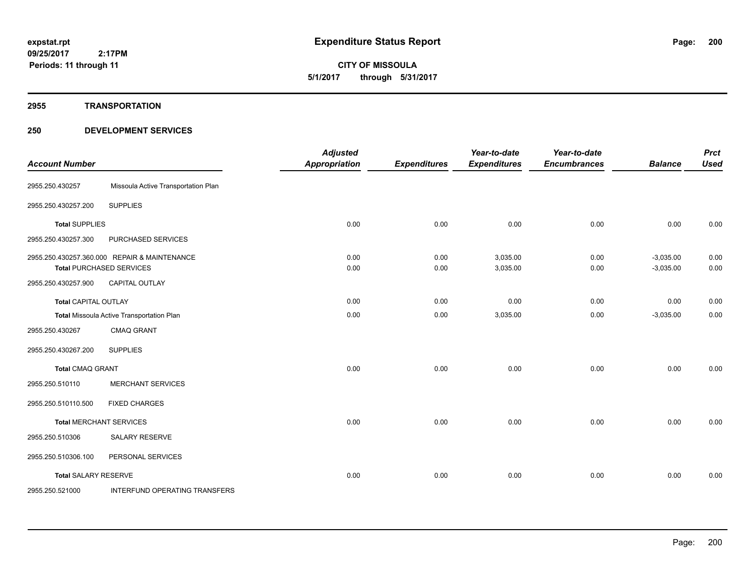#### **2955 TRANSPORTATION**

| <b>Account Number</b>       |                                                                          | <b>Adjusted</b><br><b>Appropriation</b> | <b>Expenditures</b> | Year-to-date<br><b>Expenditures</b> | Year-to-date<br><b>Encumbrances</b> | <b>Balance</b>             | <b>Prct</b><br><b>Used</b> |
|-----------------------------|--------------------------------------------------------------------------|-----------------------------------------|---------------------|-------------------------------------|-------------------------------------|----------------------------|----------------------------|
| 2955.250.430257             | Missoula Active Transportation Plan                                      |                                         |                     |                                     |                                     |                            |                            |
| 2955.250.430257.200         | <b>SUPPLIES</b>                                                          |                                         |                     |                                     |                                     |                            |                            |
| <b>Total SUPPLIES</b>       |                                                                          | 0.00                                    | 0.00                | 0.00                                | 0.00                                | 0.00                       | 0.00                       |
| 2955.250.430257.300         | PURCHASED SERVICES                                                       |                                         |                     |                                     |                                     |                            |                            |
|                             | 2955.250.430257.360.000 REPAIR & MAINTENANCE<br>Total PURCHASED SERVICES | 0.00<br>0.00                            | 0.00<br>0.00        | 3,035.00<br>3,035.00                | 0.00<br>0.00                        | $-3,035.00$<br>$-3,035.00$ | 0.00<br>0.00               |
| 2955.250.430257.900         | <b>CAPITAL OUTLAY</b>                                                    |                                         |                     |                                     |                                     |                            |                            |
| Total CAPITAL OUTLAY        |                                                                          | 0.00                                    | 0.00                | 0.00                                | 0.00                                | 0.00                       | 0.00                       |
|                             | Total Missoula Active Transportation Plan                                | 0.00                                    | 0.00                | 3,035.00                            | 0.00                                | $-3,035.00$                | 0.00                       |
| 2955.250.430267             | <b>CMAQ GRANT</b>                                                        |                                         |                     |                                     |                                     |                            |                            |
| 2955.250.430267.200         | <b>SUPPLIES</b>                                                          |                                         |                     |                                     |                                     |                            |                            |
| <b>Total CMAQ GRANT</b>     |                                                                          | 0.00                                    | 0.00                | 0.00                                | 0.00                                | 0.00                       | 0.00                       |
| 2955.250.510110             | <b>MERCHANT SERVICES</b>                                                 |                                         |                     |                                     |                                     |                            |                            |
| 2955.250.510110.500         | <b>FIXED CHARGES</b>                                                     |                                         |                     |                                     |                                     |                            |                            |
|                             | <b>Total MERCHANT SERVICES</b>                                           | 0.00                                    | 0.00                | 0.00                                | 0.00                                | 0.00                       | 0.00                       |
| 2955.250.510306             | <b>SALARY RESERVE</b>                                                    |                                         |                     |                                     |                                     |                            |                            |
| 2955.250.510306.100         | PERSONAL SERVICES                                                        |                                         |                     |                                     |                                     |                            |                            |
| <b>Total SALARY RESERVE</b> |                                                                          | 0.00                                    | 0.00                | 0.00                                | 0.00                                | 0.00                       | 0.00                       |
| 2955.250.521000             | <b>INTERFUND OPERATING TRANSFERS</b>                                     |                                         |                     |                                     |                                     |                            |                            |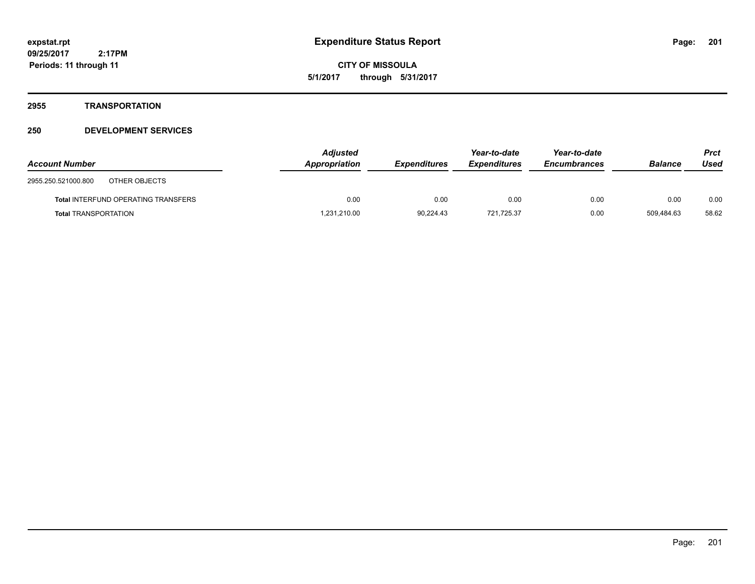# **2955 TRANSPORTATION**

| <b>Account Number</b>                | <b>Adjusted</b><br>Appropriation | <b>Expenditures</b> | Year-to-date<br><b>Expenditures</b> | Year-to-date<br><b>Encumbrances</b> | <b>Balance</b> | <b>Prct</b><br>Used |
|--------------------------------------|----------------------------------|---------------------|-------------------------------------|-------------------------------------|----------------|---------------------|
| 2955.250.521000.800<br>OTHER OBJECTS |                                  |                     |                                     |                                     |                |                     |
| Total INTERFUND OPERATING TRANSFERS  | 0.00                             | 0.00                | 0.00                                | 0.00                                | 0.00           | 0.00                |
| <b>Total TRANSPORTATION</b>          | 1,231,210.00                     | 90.224.43           | 721.725.37                          | 0.00                                | 509.484.63     | 58.62               |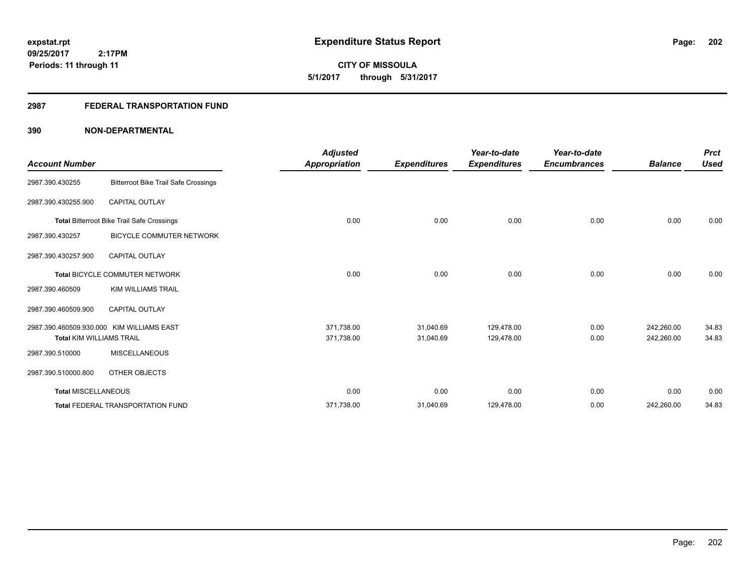**CITY OF MISSOULA 5/1/2017 through 5/31/2017**

# **2987 FEDERAL TRANSPORTATION FUND**

| <b>Account Number</b>                             |                                             | <b>Adjusted</b><br><b>Appropriation</b> | <b>Expenditures</b> | Year-to-date<br><b>Expenditures</b> | Year-to-date<br><b>Encumbrances</b> | <b>Balance</b> | <b>Prct</b><br><b>Used</b> |
|---------------------------------------------------|---------------------------------------------|-----------------------------------------|---------------------|-------------------------------------|-------------------------------------|----------------|----------------------------|
| 2987.390.430255                                   | <b>Bitterroot Bike Trail Safe Crossings</b> |                                         |                     |                                     |                                     |                |                            |
| 2987.390.430255.900                               | <b>CAPITAL OUTLAY</b>                       |                                         |                     |                                     |                                     |                |                            |
| <b>Total Bitterroot Bike Trail Safe Crossings</b> |                                             | 0.00                                    | 0.00                | 0.00                                | 0.00                                | 0.00           | 0.00                       |
| 2987.390.430257                                   | BICYCLE COMMUTER NETWORK                    |                                         |                     |                                     |                                     |                |                            |
| 2987.390.430257.900                               | <b>CAPITAL OUTLAY</b>                       |                                         |                     |                                     |                                     |                |                            |
|                                                   | <b>Total BICYCLE COMMUTER NETWORK</b>       | 0.00                                    | 0.00                | 0.00                                | 0.00                                | 0.00           | 0.00                       |
| 2987.390.460509                                   | <b>KIM WILLIAMS TRAIL</b>                   |                                         |                     |                                     |                                     |                |                            |
| 2987.390.460509.900                               | CAPITAL OUTLAY                              |                                         |                     |                                     |                                     |                |                            |
|                                                   | 2987.390.460509.930.000 KIM WILLIAMS EAST   | 371,738.00                              | 31,040.69           | 129,478.00                          | 0.00                                | 242,260.00     | 34.83                      |
| <b>Total KIM WILLIAMS TRAIL</b>                   |                                             | 371,738.00                              | 31,040.69           | 129,478.00                          | 0.00                                | 242,260.00     | 34.83                      |
| 2987.390.510000                                   | <b>MISCELLANEOUS</b>                        |                                         |                     |                                     |                                     |                |                            |
| 2987.390.510000.800                               | OTHER OBJECTS                               |                                         |                     |                                     |                                     |                |                            |
| Total MISCELLANEOUS                               |                                             | 0.00                                    | 0.00                | 0.00                                | 0.00                                | 0.00           | 0.00                       |
|                                                   | <b>Total FEDERAL TRANSPORTATION FUND</b>    | 371,738.00                              | 31,040.69           | 129,478.00                          | 0.00                                | 242,260.00     | 34.83                      |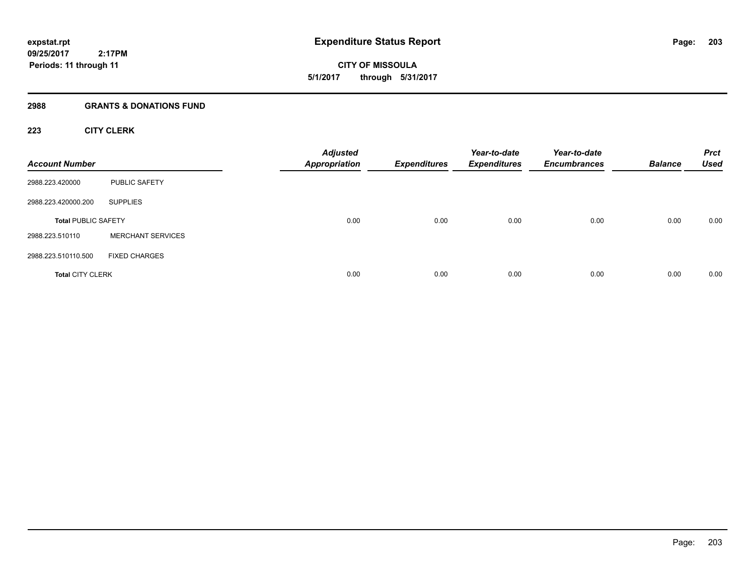# **2988 GRANTS & DONATIONS FUND**

# **223 CITY CLERK**

| <b>Account Number</b>      |                          | <b>Adjusted</b><br><b>Appropriation</b> | <b>Expenditures</b> | Year-to-date<br><b>Expenditures</b> | Year-to-date<br><b>Encumbrances</b> | <b>Balance</b> | <b>Prct</b><br><b>Used</b> |
|----------------------------|--------------------------|-----------------------------------------|---------------------|-------------------------------------|-------------------------------------|----------------|----------------------------|
| 2988.223.420000            | <b>PUBLIC SAFETY</b>     |                                         |                     |                                     |                                     |                |                            |
| 2988.223.420000.200        | <b>SUPPLIES</b>          |                                         |                     |                                     |                                     |                |                            |
| <b>Total PUBLIC SAFETY</b> |                          | 0.00                                    | 0.00                | 0.00                                | 0.00                                | 0.00           | 0.00                       |
| 2988.223.510110            | <b>MERCHANT SERVICES</b> |                                         |                     |                                     |                                     |                |                            |
| 2988.223.510110.500        | <b>FIXED CHARGES</b>     |                                         |                     |                                     |                                     |                |                            |
| <b>Total CITY CLERK</b>    |                          | 0.00                                    | 0.00                | 0.00                                | 0.00                                | 0.00           | 0.00                       |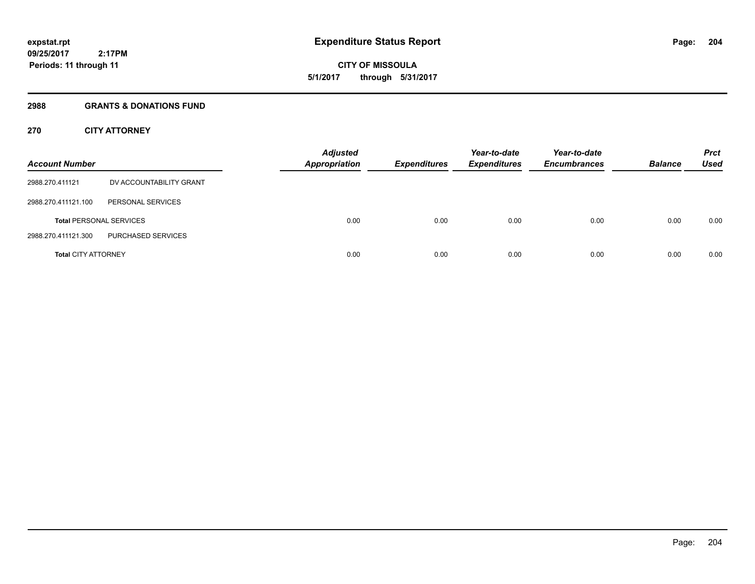**09/25/2017 2:17PM Periods: 11 through 11**

**CITY OF MISSOULA 5/1/2017 through 5/31/2017**

#### **2988 GRANTS & DONATIONS FUND**

# **270 CITY ATTORNEY**

| <b>Account Number</b>          |                         | <b>Adjusted</b><br><b>Appropriation</b> | <b>Expenditures</b> | Year-to-date<br><b>Expenditures</b> | Year-to-date<br><b>Encumbrances</b> | <b>Balance</b> | <b>Prct</b><br><b>Used</b> |
|--------------------------------|-------------------------|-----------------------------------------|---------------------|-------------------------------------|-------------------------------------|----------------|----------------------------|
| 2988.270.411121                | DV ACCOUNTABILITY GRANT |                                         |                     |                                     |                                     |                |                            |
| 2988.270.411121.100            | PERSONAL SERVICES       |                                         |                     |                                     |                                     |                |                            |
| <b>Total PERSONAL SERVICES</b> |                         | 0.00                                    | 0.00                | 0.00                                | 0.00                                | 0.00           | 0.00                       |
| 2988.270.411121.300            | PURCHASED SERVICES      |                                         |                     |                                     |                                     |                |                            |
| <b>Total CITY ATTORNEY</b>     |                         | 0.00                                    | 0.00                | 0.00                                | 0.00                                | 0.00           | 0.00                       |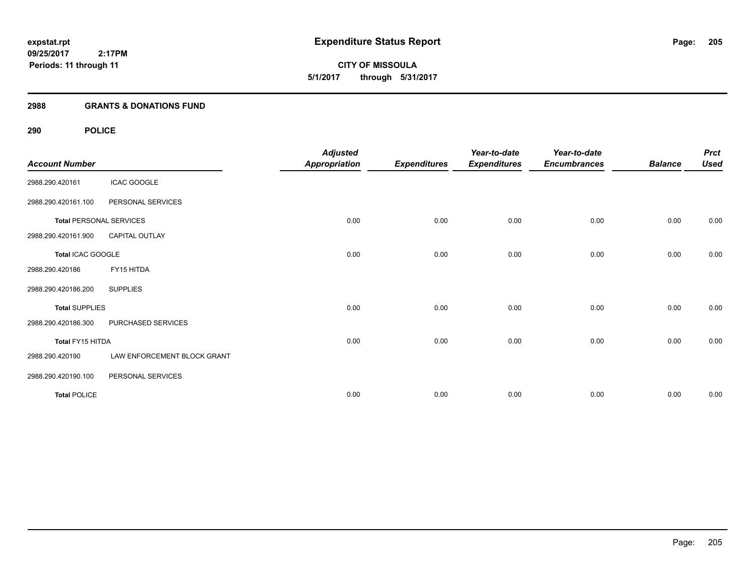# **2988 GRANTS & DONATIONS FUND**

# **290 POLICE**

| <b>Account Number</b> |                                | <b>Adjusted</b><br><b>Appropriation</b> | <b>Expenditures</b> | Year-to-date<br><b>Expenditures</b> | Year-to-date<br><b>Encumbrances</b> | <b>Balance</b> | <b>Prct</b><br><b>Used</b> |
|-----------------------|--------------------------------|-----------------------------------------|---------------------|-------------------------------------|-------------------------------------|----------------|----------------------------|
| 2988.290.420161       | <b>ICAC GOOGLE</b>             |                                         |                     |                                     |                                     |                |                            |
| 2988.290.420161.100   | PERSONAL SERVICES              |                                         |                     |                                     |                                     |                |                            |
|                       | <b>Total PERSONAL SERVICES</b> | 0.00                                    | 0.00                | 0.00                                | 0.00                                | 0.00           | 0.00                       |
| 2988.290.420161.900   | CAPITAL OUTLAY                 |                                         |                     |                                     |                                     |                |                            |
| Total ICAC GOOGLE     |                                | 0.00                                    | 0.00                | 0.00                                | 0.00                                | 0.00           | 0.00                       |
| 2988.290.420186       | FY15 HITDA                     |                                         |                     |                                     |                                     |                |                            |
| 2988.290.420186.200   | <b>SUPPLIES</b>                |                                         |                     |                                     |                                     |                |                            |
| <b>Total SUPPLIES</b> |                                | 0.00                                    | 0.00                | 0.00                                | 0.00                                | 0.00           | 0.00                       |
| 2988.290.420186.300   | PURCHASED SERVICES             |                                         |                     |                                     |                                     |                |                            |
| Total FY15 HITDA      |                                | 0.00                                    | 0.00                | 0.00                                | 0.00                                | 0.00           | 0.00                       |
| 2988.290.420190       | LAW ENFORCEMENT BLOCK GRANT    |                                         |                     |                                     |                                     |                |                            |
| 2988.290.420190.100   | PERSONAL SERVICES              |                                         |                     |                                     |                                     |                |                            |
| <b>Total POLICE</b>   |                                | 0.00                                    | 0.00                | 0.00                                | 0.00                                | 0.00           | 0.00                       |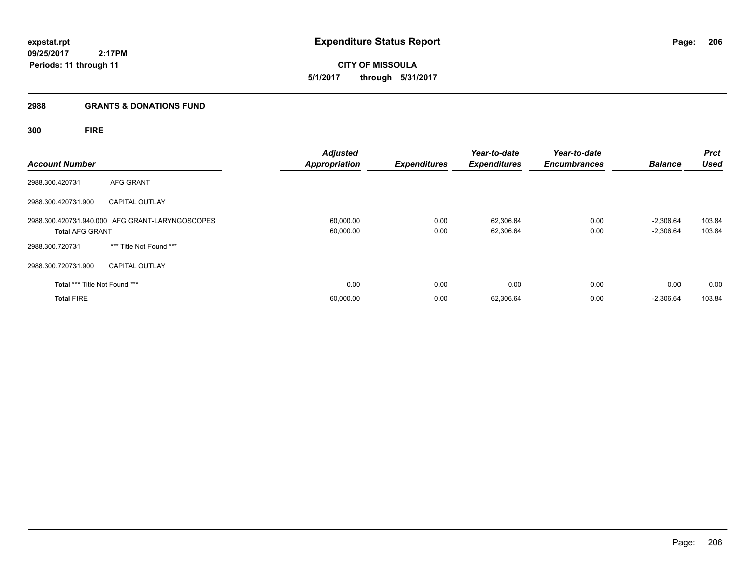#### **2988 GRANTS & DONATIONS FUND**

# **300 FIRE**

| <b>Account Number</b>         |                                                 | <b>Adjusted</b><br><b>Appropriation</b> | <b>Expenditures</b> | Year-to-date<br><b>Expenditures</b> | Year-to-date<br><b>Encumbrances</b> | <b>Balance</b>             | <b>Prct</b><br><b>Used</b> |
|-------------------------------|-------------------------------------------------|-----------------------------------------|---------------------|-------------------------------------|-------------------------------------|----------------------------|----------------------------|
| 2988.300.420731               | AFG GRANT                                       |                                         |                     |                                     |                                     |                            |                            |
| 2988.300.420731.900           | <b>CAPITAL OUTLAY</b>                           |                                         |                     |                                     |                                     |                            |                            |
| <b>Total AFG GRANT</b>        | 2988.300.420731.940.000 AFG GRANT-LARYNGOSCOPES | 60,000.00<br>60,000.00                  | 0.00<br>0.00        | 62,306.64<br>62,306.64              | 0.00<br>0.00                        | $-2,306.64$<br>$-2,306.64$ | 103.84<br>103.84           |
| 2988.300.720731               | *** Title Not Found ***                         |                                         |                     |                                     |                                     |                            |                            |
| 2988.300.720731.900           | <b>CAPITAL OUTLAY</b>                           |                                         |                     |                                     |                                     |                            |                            |
| Total *** Title Not Found *** |                                                 | 0.00                                    | 0.00                | 0.00                                | 0.00                                | 0.00                       | 0.00                       |
| <b>Total FIRE</b>             |                                                 | 60,000.00                               | 0.00                | 62,306.64                           | 0.00                                | $-2,306.64$                | 103.84                     |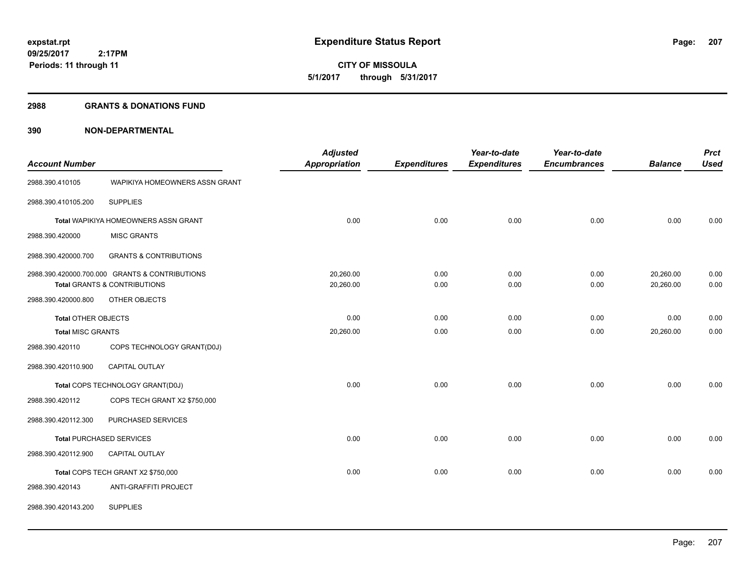#### **2988 GRANTS & DONATIONS FUND**

| <b>Account Number</b>      |                                                | <b>Adjusted</b><br>Appropriation | <b>Expenditures</b> | Year-to-date<br><b>Expenditures</b> | Year-to-date<br><b>Encumbrances</b> | <b>Balance</b> | <b>Prct</b><br><b>Used</b> |
|----------------------------|------------------------------------------------|----------------------------------|---------------------|-------------------------------------|-------------------------------------|----------------|----------------------------|
| 2988.390.410105            | WAPIKIYA HOMEOWNERS ASSN GRANT                 |                                  |                     |                                     |                                     |                |                            |
| 2988.390.410105.200        | <b>SUPPLIES</b>                                |                                  |                     |                                     |                                     |                |                            |
|                            | Total WAPIKIYA HOMEOWNERS ASSN GRANT           | 0.00                             | 0.00                | 0.00                                | 0.00                                | 0.00           | 0.00                       |
| 2988.390.420000            | <b>MISC GRANTS</b>                             |                                  |                     |                                     |                                     |                |                            |
| 2988.390.420000.700        | <b>GRANTS &amp; CONTRIBUTIONS</b>              |                                  |                     |                                     |                                     |                |                            |
|                            | 2988.390.420000.700.000 GRANTS & CONTRIBUTIONS | 20,260.00                        | 0.00                | 0.00                                | 0.00                                | 20,260.00      | 0.00                       |
|                            | Total GRANTS & CONTRIBUTIONS                   | 20,260.00                        | 0.00                | 0.00                                | 0.00                                | 20,260.00      | 0.00                       |
| 2988.390.420000.800        | OTHER OBJECTS                                  |                                  |                     |                                     |                                     |                |                            |
| <b>Total OTHER OBJECTS</b> |                                                | 0.00                             | 0.00                | 0.00                                | 0.00                                | 0.00           | 0.00                       |
| <b>Total MISC GRANTS</b>   |                                                | 20,260.00                        | 0.00                | 0.00                                | 0.00                                | 20,260.00      | 0.00                       |
| 2988.390.420110            | COPS TECHNOLOGY GRANT(D0J)                     |                                  |                     |                                     |                                     |                |                            |
| 2988.390.420110.900        | CAPITAL OUTLAY                                 |                                  |                     |                                     |                                     |                |                            |
|                            | Total COPS TECHNOLOGY GRANT(D0J)               | 0.00                             | 0.00                | 0.00                                | 0.00                                | 0.00           | 0.00                       |
| 2988.390.420112            | COPS TECH GRANT X2 \$750,000                   |                                  |                     |                                     |                                     |                |                            |
| 2988.390.420112.300        | PURCHASED SERVICES                             |                                  |                     |                                     |                                     |                |                            |
|                            | <b>Total PURCHASED SERVICES</b>                | 0.00                             | 0.00                | 0.00                                | 0.00                                | 0.00           | 0.00                       |
| 2988.390.420112.900        | CAPITAL OUTLAY                                 |                                  |                     |                                     |                                     |                |                            |
|                            | Total COPS TECH GRANT X2 \$750,000             | 0.00                             | 0.00                | 0.00                                | 0.00                                | 0.00           | 0.00                       |
| 2988.390.420143            | ANTI-GRAFFITI PROJECT                          |                                  |                     |                                     |                                     |                |                            |
| 2988.390.420143.200        | <b>SUPPLIES</b>                                |                                  |                     |                                     |                                     |                |                            |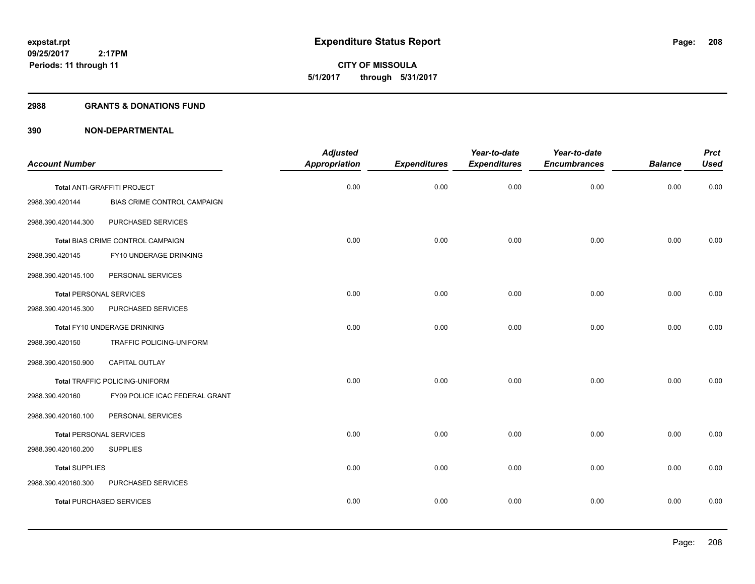#### **2988 GRANTS & DONATIONS FUND**

|                                |                                   | <b>Adjusted</b>      |                     | Year-to-date        | Year-to-date        |                | <b>Prct</b> |
|--------------------------------|-----------------------------------|----------------------|---------------------|---------------------|---------------------|----------------|-------------|
| <b>Account Number</b>          |                                   | <b>Appropriation</b> | <b>Expenditures</b> | <b>Expenditures</b> | <b>Encumbrances</b> | <b>Balance</b> | <b>Used</b> |
|                                | Total ANTI-GRAFFITI PROJECT       | 0.00                 | 0.00                | 0.00                | 0.00                | 0.00           | 0.00        |
| 2988.390.420144                | BIAS CRIME CONTROL CAMPAIGN       |                      |                     |                     |                     |                |             |
| 2988.390.420144.300            | PURCHASED SERVICES                |                      |                     |                     |                     |                |             |
|                                | Total BIAS CRIME CONTROL CAMPAIGN | 0.00                 | 0.00                | 0.00                | 0.00                | 0.00           | 0.00        |
| 2988.390.420145                | FY10 UNDERAGE DRINKING            |                      |                     |                     |                     |                |             |
| 2988.390.420145.100            | PERSONAL SERVICES                 |                      |                     |                     |                     |                |             |
| <b>Total PERSONAL SERVICES</b> |                                   | 0.00                 | 0.00                | 0.00                | 0.00                | 0.00           | 0.00        |
| 2988.390.420145.300            | PURCHASED SERVICES                |                      |                     |                     |                     |                |             |
|                                | Total FY10 UNDERAGE DRINKING      | 0.00                 | 0.00                | 0.00                | 0.00                | 0.00           | 0.00        |
| 2988.390.420150                | TRAFFIC POLICING-UNIFORM          |                      |                     |                     |                     |                |             |
| 2988.390.420150.900            | <b>CAPITAL OUTLAY</b>             |                      |                     |                     |                     |                |             |
|                                | Total TRAFFIC POLICING-UNIFORM    | 0.00                 | 0.00                | 0.00                | 0.00                | 0.00           | 0.00        |
| 2988.390.420160                | FY09 POLICE ICAC FEDERAL GRANT    |                      |                     |                     |                     |                |             |
| 2988.390.420160.100            | PERSONAL SERVICES                 |                      |                     |                     |                     |                |             |
| <b>Total PERSONAL SERVICES</b> |                                   | 0.00                 | 0.00                | 0.00                | 0.00                | 0.00           | 0.00        |
| 2988.390.420160.200            | <b>SUPPLIES</b>                   |                      |                     |                     |                     |                |             |
| <b>Total SUPPLIES</b>          |                                   | 0.00                 | 0.00                | 0.00                | 0.00                | 0.00           | 0.00        |
| 2988.390.420160.300            | PURCHASED SERVICES                |                      |                     |                     |                     |                |             |
|                                | <b>Total PURCHASED SERVICES</b>   | 0.00                 | 0.00                | 0.00                | 0.00                | 0.00           | 0.00        |
|                                |                                   |                      |                     |                     |                     |                |             |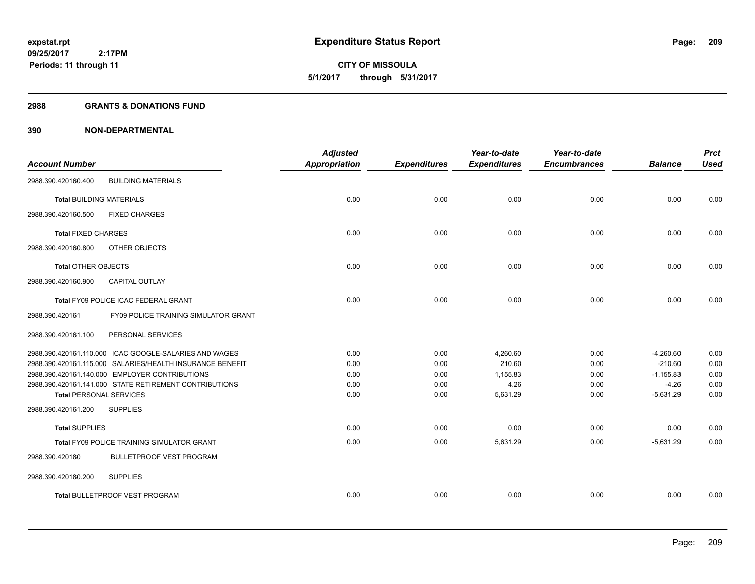**09/25/2017 2:17PM Periods: 11 through 11**

# **CITY OF MISSOULA 5/1/2017 through 5/31/2017**

#### **2988 GRANTS & DONATIONS FUND**

|                                 |                                                           | <b>Adjusted</b>      |                     | Year-to-date        | Year-to-date        |                | <b>Prct</b> |
|---------------------------------|-----------------------------------------------------------|----------------------|---------------------|---------------------|---------------------|----------------|-------------|
| <b>Account Number</b>           |                                                           | <b>Appropriation</b> | <b>Expenditures</b> | <b>Expenditures</b> | <b>Encumbrances</b> | <b>Balance</b> | <b>Used</b> |
| 2988.390.420160.400             | <b>BUILDING MATERIALS</b>                                 |                      |                     |                     |                     |                |             |
| <b>Total BUILDING MATERIALS</b> |                                                           | 0.00                 | 0.00                | 0.00                | 0.00                | 0.00           | 0.00        |
| 2988.390.420160.500             | <b>FIXED CHARGES</b>                                      |                      |                     |                     |                     |                |             |
| <b>Total FIXED CHARGES</b>      |                                                           | 0.00                 | 0.00                | 0.00                | 0.00                | 0.00           | 0.00        |
| 2988.390.420160.800             | OTHER OBJECTS                                             |                      |                     |                     |                     |                |             |
| <b>Total OTHER OBJECTS</b>      |                                                           | 0.00                 | 0.00                | 0.00                | 0.00                | 0.00           | 0.00        |
| 2988.390.420160.900             | <b>CAPITAL OUTLAY</b>                                     |                      |                     |                     |                     |                |             |
|                                 | Total FY09 POLICE ICAC FEDERAL GRANT                      | 0.00                 | 0.00                | 0.00                | 0.00                | 0.00           | 0.00        |
| 2988.390.420161                 | FY09 POLICE TRAINING SIMULATOR GRANT                      |                      |                     |                     |                     |                |             |
| 2988.390.420161.100             | PERSONAL SERVICES                                         |                      |                     |                     |                     |                |             |
|                                 | 2988.390.420161.110.000 ICAC GOOGLE-SALARIES AND WAGES    | 0.00                 | 0.00                | 4,260.60            | 0.00                | $-4,260.60$    | 0.00        |
|                                 | 2988.390.420161.115.000 SALARIES/HEALTH INSURANCE BENEFIT | 0.00                 | 0.00                | 210.60              | 0.00                | $-210.60$      | 0.00        |
|                                 | 2988.390.420161.140.000 EMPLOYER CONTRIBUTIONS            | 0.00                 | 0.00                | 1.155.83            | 0.00                | $-1,155.83$    | 0.00        |
|                                 | 2988.390.420161.141.000 STATE RETIREMENT CONTRIBUTIONS    | 0.00                 | 0.00                | 4.26                | 0.00                | $-4.26$        | 0.00        |
| <b>Total PERSONAL SERVICES</b>  |                                                           | 0.00                 | 0.00                | 5,631.29            | 0.00                | $-5,631.29$    | 0.00        |
| 2988.390.420161.200             | <b>SUPPLIES</b>                                           |                      |                     |                     |                     |                |             |
| <b>Total SUPPLIES</b>           |                                                           | 0.00                 | 0.00                | 0.00                | 0.00                | 0.00           | 0.00        |
|                                 | <b>Total FY09 POLICE TRAINING SIMULATOR GRANT</b>         | 0.00                 | 0.00                | 5,631.29            | 0.00                | $-5,631.29$    | 0.00        |
| 2988.390.420180                 | <b>BULLETPROOF VEST PROGRAM</b>                           |                      |                     |                     |                     |                |             |
| 2988.390.420180.200             | <b>SUPPLIES</b>                                           |                      |                     |                     |                     |                |             |
|                                 | Total BULLETPROOF VEST PROGRAM                            | 0.00                 | 0.00                | 0.00                | 0.00                | 0.00           | 0.00        |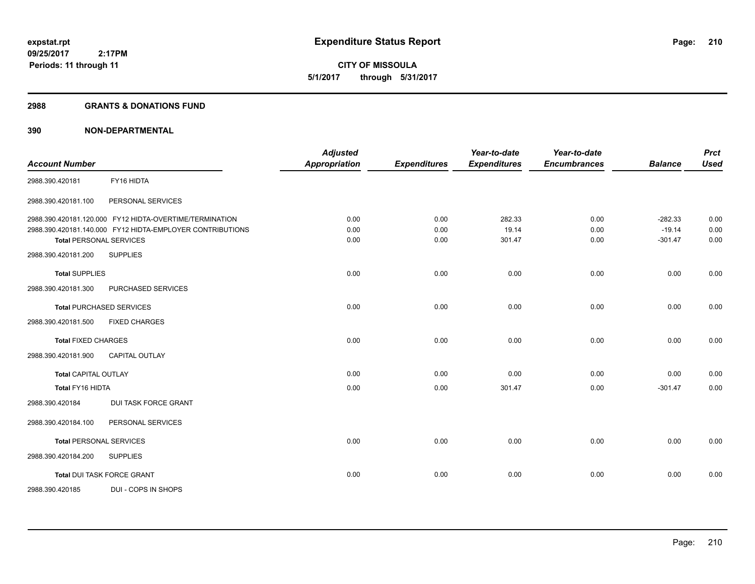**09/25/2017 2:17PM Periods: 11 through 11**

**CITY OF MISSOULA 5/1/2017 through 5/31/2017**

#### **2988 GRANTS & DONATIONS FUND**

| <b>Account Number</b>          |                                                           | <b>Adjusted</b><br><b>Appropriation</b> | <b>Expenditures</b> | Year-to-date<br><b>Expenditures</b> | Year-to-date<br><b>Encumbrances</b> | <b>Balance</b> | <b>Prct</b><br><b>Used</b> |
|--------------------------------|-----------------------------------------------------------|-----------------------------------------|---------------------|-------------------------------------|-------------------------------------|----------------|----------------------------|
|                                |                                                           |                                         |                     |                                     |                                     |                |                            |
| 2988.390.420181                | FY16 HIDTA                                                |                                         |                     |                                     |                                     |                |                            |
| 2988.390.420181.100            | PERSONAL SERVICES                                         |                                         |                     |                                     |                                     |                |                            |
|                                | 2988.390.420181.120.000 FY12 HIDTA-OVERTIME/TERMINATION   | 0.00                                    | 0.00                | 282.33                              | 0.00                                | $-282.33$      | 0.00                       |
|                                | 2988.390.420181.140.000 FY12 HIDTA-EMPLOYER CONTRIBUTIONS | 0.00                                    | 0.00                | 19.14                               | 0.00                                | $-19.14$       | 0.00                       |
| <b>Total PERSONAL SERVICES</b> |                                                           | 0.00                                    | 0.00                | 301.47                              | 0.00                                | $-301.47$      | 0.00                       |
| 2988.390.420181.200            | <b>SUPPLIES</b>                                           |                                         |                     |                                     |                                     |                |                            |
| <b>Total SUPPLIES</b>          |                                                           | 0.00                                    | 0.00                | 0.00                                | 0.00                                | 0.00           | 0.00                       |
| 2988.390.420181.300            | PURCHASED SERVICES                                        |                                         |                     |                                     |                                     |                |                            |
|                                | <b>Total PURCHASED SERVICES</b>                           | 0.00                                    | 0.00                | 0.00                                | 0.00                                | 0.00           | 0.00                       |
| 2988.390.420181.500            | <b>FIXED CHARGES</b>                                      |                                         |                     |                                     |                                     |                |                            |
| <b>Total FIXED CHARGES</b>     |                                                           | 0.00                                    | 0.00                | 0.00                                | 0.00                                | 0.00           | 0.00                       |
| 2988.390.420181.900            | <b>CAPITAL OUTLAY</b>                                     |                                         |                     |                                     |                                     |                |                            |
| <b>Total CAPITAL OUTLAY</b>    |                                                           | 0.00                                    | 0.00                | 0.00                                | 0.00                                | 0.00           | 0.00                       |
| Total FY16 HIDTA               |                                                           | 0.00                                    | 0.00                | 301.47                              | 0.00                                | $-301.47$      | 0.00                       |
| 2988.390.420184                | <b>DUI TASK FORCE GRANT</b>                               |                                         |                     |                                     |                                     |                |                            |
| 2988.390.420184.100            | PERSONAL SERVICES                                         |                                         |                     |                                     |                                     |                |                            |
| <b>Total PERSONAL SERVICES</b> |                                                           | 0.00                                    | 0.00                | 0.00                                | 0.00                                | 0.00           | 0.00                       |
| 2988.390.420184.200            | <b>SUPPLIES</b>                                           |                                         |                     |                                     |                                     |                |                            |
|                                | Total DUI TASK FORCE GRANT                                | 0.00                                    | 0.00                | 0.00                                | 0.00                                | 0.00           | 0.00                       |
| 2988.390.420185                | DUI - COPS IN SHOPS                                       |                                         |                     |                                     |                                     |                |                            |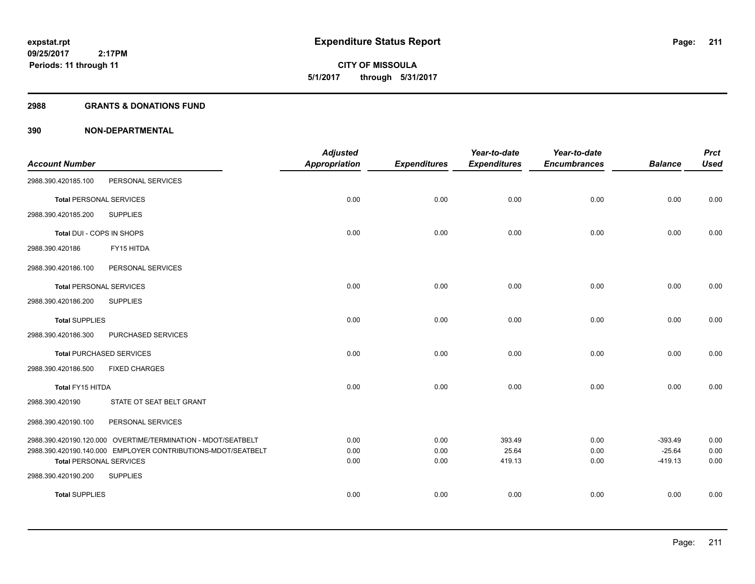**09/25/2017 2:17PM Periods: 11 through 11**

# **CITY OF MISSOULA 5/1/2017 through 5/31/2017**

#### **2988 GRANTS & DONATIONS FUND**

|                                |                                                              | <b>Adjusted</b>      |                     | Year-to-date        | Year-to-date        |                       | <b>Prct</b>  |
|--------------------------------|--------------------------------------------------------------|----------------------|---------------------|---------------------|---------------------|-----------------------|--------------|
| <b>Account Number</b>          |                                                              | <b>Appropriation</b> | <b>Expenditures</b> | <b>Expenditures</b> | <b>Encumbrances</b> | <b>Balance</b>        | <b>Used</b>  |
| 2988.390.420185.100            | PERSONAL SERVICES                                            |                      |                     |                     |                     |                       |              |
| <b>Total PERSONAL SERVICES</b> |                                                              | 0.00                 | 0.00                | 0.00                | 0.00                | 0.00                  | 0.00         |
| 2988.390.420185.200            | <b>SUPPLIES</b>                                              |                      |                     |                     |                     |                       |              |
| Total DUI - COPS IN SHOPS      |                                                              | 0.00                 | 0.00                | 0.00                | 0.00                | 0.00                  | 0.00         |
| 2988.390.420186                | FY15 HITDA                                                   |                      |                     |                     |                     |                       |              |
| 2988.390.420186.100            | PERSONAL SERVICES                                            |                      |                     |                     |                     |                       |              |
| Total PERSONAL SERVICES        |                                                              | 0.00                 | 0.00                | 0.00                | 0.00                | 0.00                  | 0.00         |
| 2988.390.420186.200            | <b>SUPPLIES</b>                                              |                      |                     |                     |                     |                       |              |
| <b>Total SUPPLIES</b>          |                                                              | 0.00                 | 0.00                | 0.00                | 0.00                | 0.00                  | 0.00         |
| 2988.390.420186.300            | PURCHASED SERVICES                                           |                      |                     |                     |                     |                       |              |
|                                | Total PURCHASED SERVICES                                     | 0.00                 | 0.00                | 0.00                | 0.00                | 0.00                  | 0.00         |
| 2988.390.420186.500            | <b>FIXED CHARGES</b>                                         |                      |                     |                     |                     |                       |              |
| Total FY15 HITDA               |                                                              | 0.00                 | 0.00                | 0.00                | 0.00                | 0.00                  | 0.00         |
| 2988.390.420190                | STATE OT SEAT BELT GRANT                                     |                      |                     |                     |                     |                       |              |
| 2988.390.420190.100            | PERSONAL SERVICES                                            |                      |                     |                     |                     |                       |              |
|                                | 2988.390.420190.120.000 OVERTIME/TERMINATION - MDOT/SEATBELT | 0.00                 | 0.00                | 393.49              | 0.00                | $-393.49$             | 0.00         |
| <b>Total PERSONAL SERVICES</b> | 2988.390.420190.140.000 EMPLOYER CONTRIBUTIONS-MDOT/SEATBELT | 0.00<br>0.00         | 0.00<br>0.00        | 25.64<br>419.13     | 0.00<br>0.00        | $-25.64$<br>$-419.13$ | 0.00<br>0.00 |
| 2988.390.420190.200            | <b>SUPPLIES</b>                                              |                      |                     |                     |                     |                       |              |
| <b>Total SUPPLIES</b>          |                                                              | 0.00                 | 0.00                | 0.00                | 0.00                | 0.00                  | 0.00         |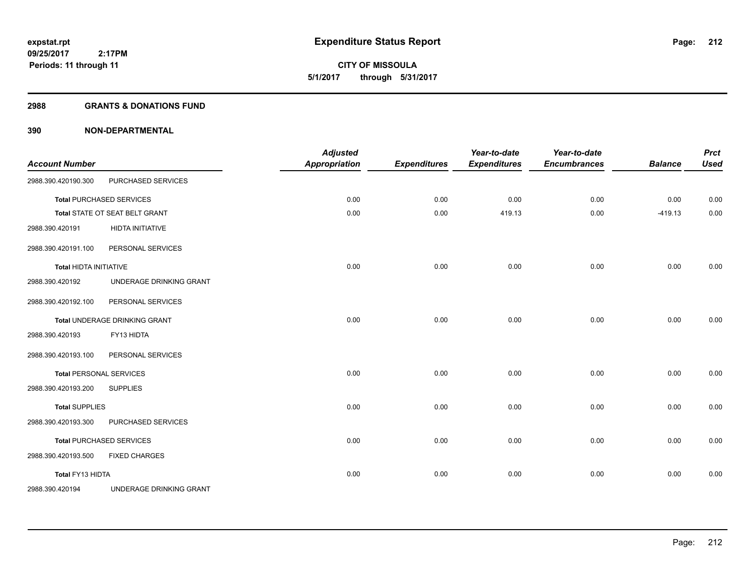#### **2988 GRANTS & DONATIONS FUND**

| <b>Account Number</b>          |                                 | <b>Adjusted</b><br><b>Appropriation</b> | <b>Expenditures</b> | Year-to-date<br><b>Expenditures</b> | Year-to-date<br><b>Encumbrances</b> | <b>Balance</b> | <b>Prct</b><br><b>Used</b> |
|--------------------------------|---------------------------------|-----------------------------------------|---------------------|-------------------------------------|-------------------------------------|----------------|----------------------------|
| 2988.390.420190.300            | PURCHASED SERVICES              |                                         |                     |                                     |                                     |                |                            |
|                                | <b>Total PURCHASED SERVICES</b> | 0.00                                    | 0.00                | 0.00                                | 0.00                                | 0.00           | 0.00                       |
|                                | Total STATE OT SEAT BELT GRANT  | 0.00                                    | 0.00                | 419.13                              | 0.00                                | $-419.13$      | 0.00                       |
| 2988.390.420191                | <b>HIDTA INITIATIVE</b>         |                                         |                     |                                     |                                     |                |                            |
| 2988.390.420191.100            | PERSONAL SERVICES               |                                         |                     |                                     |                                     |                |                            |
| <b>Total HIDTA INITIATIVE</b>  |                                 | 0.00                                    | 0.00                | 0.00                                | 0.00                                | 0.00           | 0.00                       |
| 2988.390.420192                | UNDERAGE DRINKING GRANT         |                                         |                     |                                     |                                     |                |                            |
| 2988.390.420192.100            | PERSONAL SERVICES               |                                         |                     |                                     |                                     |                |                            |
|                                | Total UNDERAGE DRINKING GRANT   | 0.00                                    | 0.00                | 0.00                                | 0.00                                | 0.00           | 0.00                       |
| 2988.390.420193                | FY13 HIDTA                      |                                         |                     |                                     |                                     |                |                            |
| 2988.390.420193.100            | PERSONAL SERVICES               |                                         |                     |                                     |                                     |                |                            |
| <b>Total PERSONAL SERVICES</b> |                                 | 0.00                                    | 0.00                | 0.00                                | 0.00                                | 0.00           | 0.00                       |
| 2988.390.420193.200            | <b>SUPPLIES</b>                 |                                         |                     |                                     |                                     |                |                            |
| <b>Total SUPPLIES</b>          |                                 | 0.00                                    | 0.00                | 0.00                                | 0.00                                | 0.00           | 0.00                       |
| 2988.390.420193.300            | PURCHASED SERVICES              |                                         |                     |                                     |                                     |                |                            |
|                                | <b>Total PURCHASED SERVICES</b> | 0.00                                    | 0.00                | 0.00                                | 0.00                                | 0.00           | 0.00                       |
| 2988.390.420193.500            | <b>FIXED CHARGES</b>            |                                         |                     |                                     |                                     |                |                            |
| Total FY13 HIDTA               |                                 | 0.00                                    | 0.00                | 0.00                                | 0.00                                | 0.00           | 0.00                       |
| 2988.390.420194                | UNDERAGE DRINKING GRANT         |                                         |                     |                                     |                                     |                |                            |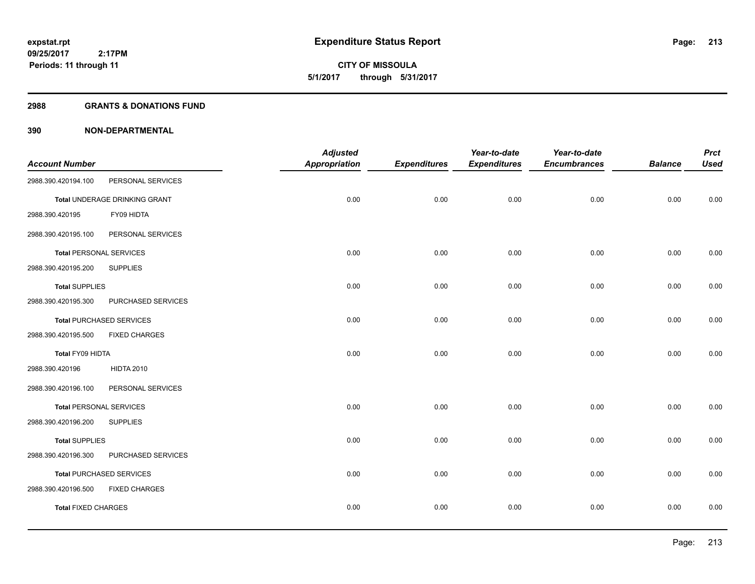**09/25/2017 2:17PM Periods: 11 through 11**

**CITY OF MISSOULA 5/1/2017 through 5/31/2017**

#### **2988 GRANTS & DONATIONS FUND**

|                                |                                 | <b>Adjusted</b>      |                     | Year-to-date        | Year-to-date        |                | <b>Prct</b> |
|--------------------------------|---------------------------------|----------------------|---------------------|---------------------|---------------------|----------------|-------------|
| <b>Account Number</b>          |                                 | <b>Appropriation</b> | <b>Expenditures</b> | <b>Expenditures</b> | <b>Encumbrances</b> | <b>Balance</b> | <b>Used</b> |
| 2988.390.420194.100            | PERSONAL SERVICES               |                      |                     |                     |                     |                |             |
|                                | Total UNDERAGE DRINKING GRANT   | 0.00                 | 0.00                | 0.00                | 0.00                | 0.00           | 0.00        |
| 2988.390.420195                | FY09 HIDTA                      |                      |                     |                     |                     |                |             |
| 2988.390.420195.100            | PERSONAL SERVICES               |                      |                     |                     |                     |                |             |
| <b>Total PERSONAL SERVICES</b> |                                 | 0.00                 | 0.00                | 0.00                | 0.00                | 0.00           | 0.00        |
| 2988.390.420195.200            | <b>SUPPLIES</b>                 |                      |                     |                     |                     |                |             |
| <b>Total SUPPLIES</b>          |                                 | 0.00                 | 0.00                | 0.00                | 0.00                | 0.00           | 0.00        |
| 2988.390.420195.300            | PURCHASED SERVICES              |                      |                     |                     |                     |                |             |
|                                | <b>Total PURCHASED SERVICES</b> | 0.00                 | 0.00                | 0.00                | 0.00                | 0.00           | 0.00        |
| 2988.390.420195.500            | <b>FIXED CHARGES</b>            |                      |                     |                     |                     |                |             |
| Total FY09 HIDTA               |                                 | 0.00                 | 0.00                | 0.00                | 0.00                | 0.00           | 0.00        |
| 2988.390.420196                | <b>HIDTA 2010</b>               |                      |                     |                     |                     |                |             |
| 2988.390.420196.100            | PERSONAL SERVICES               |                      |                     |                     |                     |                |             |
| <b>Total PERSONAL SERVICES</b> |                                 | 0.00                 | 0.00                | 0.00                | 0.00                | 0.00           | 0.00        |
| 2988.390.420196.200            | <b>SUPPLIES</b>                 |                      |                     |                     |                     |                |             |
| <b>Total SUPPLIES</b>          |                                 | 0.00                 | 0.00                | 0.00                | 0.00                | 0.00           | 0.00        |
| 2988.390.420196.300            | PURCHASED SERVICES              |                      |                     |                     |                     |                |             |
|                                | <b>Total PURCHASED SERVICES</b> | 0.00                 | 0.00                | 0.00                | 0.00                | 0.00           | 0.00        |
| 2988.390.420196.500            | <b>FIXED CHARGES</b>            |                      |                     |                     |                     |                |             |
| <b>Total FIXED CHARGES</b>     |                                 | 0.00                 | 0.00                | 0.00                | 0.00                | 0.00           | 0.00        |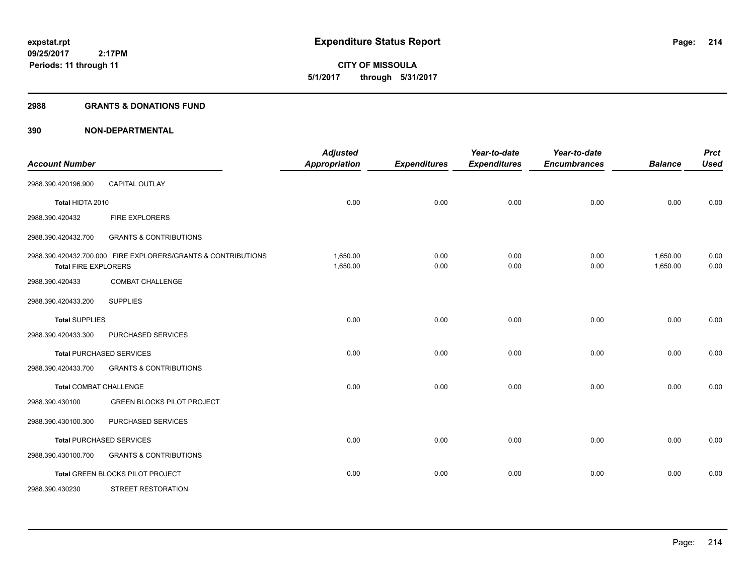**09/25/2017 2:17PM Periods: 11 through 11**

**CITY OF MISSOULA 5/1/2017 through 5/31/2017**

#### **2988 GRANTS & DONATIONS FUND**

| <b>Account Number</b>         |                                                               | <b>Adjusted</b><br><b>Appropriation</b> | <b>Expenditures</b> | Year-to-date<br><b>Expenditures</b> | Year-to-date<br><b>Encumbrances</b> | <b>Balance</b>       | <b>Prct</b><br><b>Used</b> |
|-------------------------------|---------------------------------------------------------------|-----------------------------------------|---------------------|-------------------------------------|-------------------------------------|----------------------|----------------------------|
| 2988.390.420196.900           | <b>CAPITAL OUTLAY</b>                                         |                                         |                     |                                     |                                     |                      |                            |
| Total HIDTA 2010              |                                                               | 0.00                                    | 0.00                | 0.00                                | 0.00                                | 0.00                 | 0.00                       |
| 2988.390.420432               | FIRE EXPLORERS                                                |                                         |                     |                                     |                                     |                      |                            |
| 2988.390.420432.700           | <b>GRANTS &amp; CONTRIBUTIONS</b>                             |                                         |                     |                                     |                                     |                      |                            |
| <b>Total FIRE EXPLORERS</b>   | 2988.390.420432.700.000 FIRE EXPLORERS/GRANTS & CONTRIBUTIONS | 1,650.00<br>1,650.00                    | 0.00<br>0.00        | 0.00<br>0.00                        | 0.00<br>0.00                        | 1,650.00<br>1,650.00 | 0.00<br>0.00               |
| 2988.390.420433               | <b>COMBAT CHALLENGE</b>                                       |                                         |                     |                                     |                                     |                      |                            |
| 2988.390.420433.200           | <b>SUPPLIES</b>                                               |                                         |                     |                                     |                                     |                      |                            |
| <b>Total SUPPLIES</b>         |                                                               | 0.00                                    | 0.00                | 0.00                                | 0.00                                | 0.00                 | 0.00                       |
| 2988.390.420433.300           | PURCHASED SERVICES                                            |                                         |                     |                                     |                                     |                      |                            |
|                               | <b>Total PURCHASED SERVICES</b>                               | 0.00                                    | 0.00                | 0.00                                | 0.00                                | 0.00                 | 0.00                       |
| 2988.390.420433.700           | <b>GRANTS &amp; CONTRIBUTIONS</b>                             |                                         |                     |                                     |                                     |                      |                            |
| <b>Total COMBAT CHALLENGE</b> |                                                               | 0.00                                    | 0.00                | 0.00                                | 0.00                                | 0.00                 | 0.00                       |
| 2988.390.430100               | <b>GREEN BLOCKS PILOT PROJECT</b>                             |                                         |                     |                                     |                                     |                      |                            |
| 2988.390.430100.300           | PURCHASED SERVICES                                            |                                         |                     |                                     |                                     |                      |                            |
|                               | <b>Total PURCHASED SERVICES</b>                               | 0.00                                    | 0.00                | 0.00                                | 0.00                                | 0.00                 | 0.00                       |
| 2988.390.430100.700           | <b>GRANTS &amp; CONTRIBUTIONS</b>                             |                                         |                     |                                     |                                     |                      |                            |
|                               | <b>Total GREEN BLOCKS PILOT PROJECT</b>                       | 0.00                                    | 0.00                | 0.00                                | 0.00                                | 0.00                 | 0.00                       |
| 2988.390.430230               | <b>STREET RESTORATION</b>                                     |                                         |                     |                                     |                                     |                      |                            |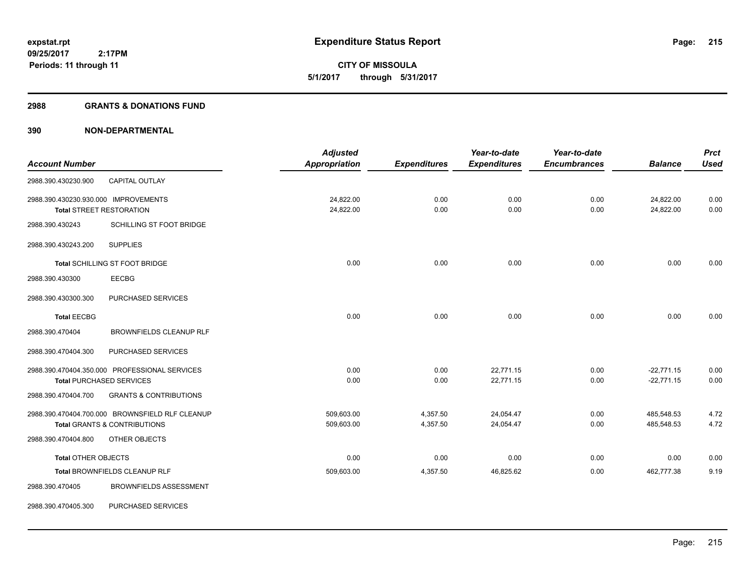**CITY OF MISSOULA 5/1/2017 through 5/31/2017**

#### **2988 GRANTS & DONATIONS FUND**

|                                      |                                                 | <b>Adjusted</b>      |                     | Year-to-date        | Year-to-date        |                | <b>Prct</b> |
|--------------------------------------|-------------------------------------------------|----------------------|---------------------|---------------------|---------------------|----------------|-------------|
| <b>Account Number</b>                |                                                 | <b>Appropriation</b> | <b>Expenditures</b> | <b>Expenditures</b> | <b>Encumbrances</b> | <b>Balance</b> | <b>Used</b> |
| 2988.390.430230.900                  | <b>CAPITAL OUTLAY</b>                           |                      |                     |                     |                     |                |             |
| 2988.390.430230.930.000 IMPROVEMENTS |                                                 | 24,822.00            | 0.00                | 0.00                | 0.00                | 24,822.00      | 0.00        |
| <b>Total STREET RESTORATION</b>      |                                                 | 24,822.00            | 0.00                | 0.00                | 0.00                | 24,822.00      | 0.00        |
| 2988.390.430243                      | SCHILLING ST FOOT BRIDGE                        |                      |                     |                     |                     |                |             |
| 2988.390.430243.200                  | <b>SUPPLIES</b>                                 |                      |                     |                     |                     |                |             |
|                                      | Total SCHILLING ST FOOT BRIDGE                  | 0.00                 | 0.00                | 0.00                | 0.00                | 0.00           | 0.00        |
| 2988.390.430300                      | <b>EECBG</b>                                    |                      |                     |                     |                     |                |             |
| 2988.390.430300.300                  | PURCHASED SERVICES                              |                      |                     |                     |                     |                |             |
| <b>Total EECBG</b>                   |                                                 | 0.00                 | 0.00                | 0.00                | 0.00                | 0.00           | 0.00        |
| 2988.390.470404                      | <b>BROWNFIELDS CLEANUP RLF</b>                  |                      |                     |                     |                     |                |             |
| 2988.390.470404.300                  | PURCHASED SERVICES                              |                      |                     |                     |                     |                |             |
|                                      | 2988.390.470404.350.000 PROFESSIONAL SERVICES   | 0.00                 | 0.00                | 22.771.15           | 0.00                | $-22,771.15$   | 0.00        |
|                                      | <b>Total PURCHASED SERVICES</b>                 | 0.00                 | 0.00                | 22,771.15           | 0.00                | $-22,771.15$   | 0.00        |
| 2988.390.470404.700                  | <b>GRANTS &amp; CONTRIBUTIONS</b>               |                      |                     |                     |                     |                |             |
|                                      | 2988.390.470404.700.000 BROWNSFIELD RLF CLEANUP | 509,603.00           | 4,357.50            | 24,054.47           | 0.00                | 485,548.53     | 4.72        |
|                                      | <b>Total GRANTS &amp; CONTRIBUTIONS</b>         | 509,603.00           | 4,357.50            | 24,054.47           | 0.00                | 485,548.53     | 4.72        |
| 2988.390.470404.800                  | OTHER OBJECTS                                   |                      |                     |                     |                     |                |             |
| <b>Total OTHER OBJECTS</b>           |                                                 | 0.00                 | 0.00                | 0.00                | 0.00                | 0.00           | 0.00        |
|                                      | Total BROWNFIELDS CLEANUP RLF                   | 509,603.00           | 4,357.50            | 46,825.62           | 0.00                | 462,777.38     | 9.19        |
| 2988.390.470405                      | <b>BROWNFIELDS ASSESSMENT</b>                   |                      |                     |                     |                     |                |             |
| 2988.390.470405.300                  | PURCHASED SERVICES                              |                      |                     |                     |                     |                |             |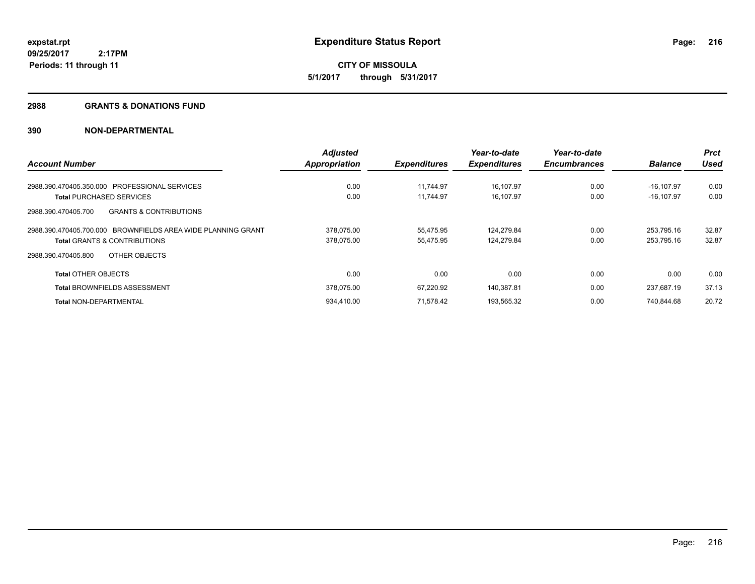#### **2988 GRANTS & DONATIONS FUND**

|                                                              | <b>Adjusted</b>      |                     | Year-to-date        | Year-to-date        |                | <b>Prct</b> |
|--------------------------------------------------------------|----------------------|---------------------|---------------------|---------------------|----------------|-------------|
| <b>Account Number</b>                                        | <b>Appropriation</b> | <b>Expenditures</b> | <b>Expenditures</b> | <b>Encumbrances</b> | <b>Balance</b> | Used        |
| <b>PROFESSIONAL SERVICES</b><br>2988.390.470405.350.000      | 0.00                 | 11.744.97           | 16,107.97           | 0.00                | $-16.107.97$   | 0.00        |
| <b>Total PURCHASED SERVICES</b>                              | 0.00                 | 11.744.97           | 16,107.97           | 0.00                | $-16, 107.97$  | 0.00        |
| <b>GRANTS &amp; CONTRIBUTIONS</b><br>2988.390.470405.700     |                      |                     |                     |                     |                |             |
| 2988.390.470405.700.000 BROWNFIELDS AREA WIDE PLANNING GRANT | 378,075.00           | 55,475.95           | 124,279.84          | 0.00                | 253,795.16     | 32.87       |
| <b>Total GRANTS &amp; CONTRIBUTIONS</b>                      | 378,075.00           | 55,475.95           | 124,279.84          | 0.00                | 253,795.16     | 32.87       |
| OTHER OBJECTS<br>2988.390.470405.800                         |                      |                     |                     |                     |                |             |
| <b>Total OTHER OBJECTS</b>                                   | 0.00                 | 0.00                | 0.00                | 0.00                | 0.00           | 0.00        |
| <b>Total BROWNFIELDS ASSESSMENT</b>                          | 378.075.00           | 67.220.92           | 140.387.81          | 0.00                | 237.687.19     | 37.13       |
| <b>Total NON-DEPARTMENTAL</b>                                | 934,410.00           | 71.578.42           | 193,565.32          | 0.00                | 740.844.68     | 20.72       |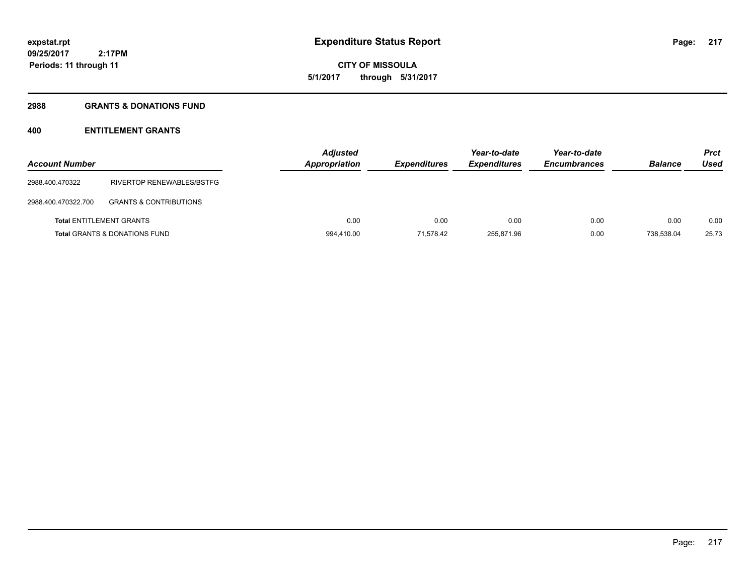# **CITY OF MISSOULA 5/1/2017 through 5/31/2017**

### **2988 GRANTS & DONATIONS FUND**

# **400 ENTITLEMENT GRANTS**

| <b>Account Number</b> |                                          | <b>Adjusted</b><br>Appropriation | <b>Expenditures</b> | Year-to-date<br><b>Expenditures</b> | Year-to-date<br><b>Encumbrances</b> | <b>Balance</b> | <b>Prct</b><br>Used |
|-----------------------|------------------------------------------|----------------------------------|---------------------|-------------------------------------|-------------------------------------|----------------|---------------------|
| 2988.400.470322       | RIVERTOP RENEWABLES/BSTFG                |                                  |                     |                                     |                                     |                |                     |
| 2988.400.470322.700   | <b>GRANTS &amp; CONTRIBUTIONS</b>        |                                  |                     |                                     |                                     |                |                     |
|                       | <b>Total ENTITLEMENT GRANTS</b>          | 0.00                             | 0.00                | 0.00                                | 0.00                                | 0.00           | 0.00                |
|                       | <b>Total GRANTS &amp; DONATIONS FUND</b> | 994,410.00                       | 71.578.42           | 255,871.96                          | 0.00                                | 738.538.04     | 25.73               |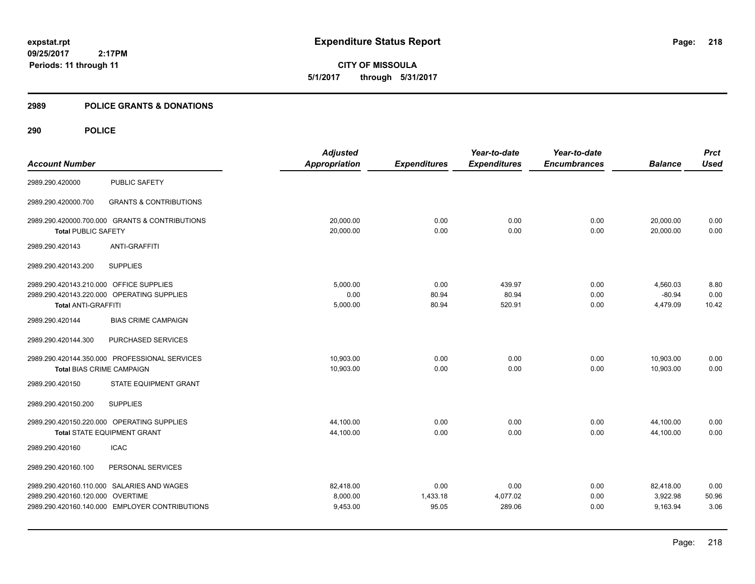**CITY OF MISSOULA 5/1/2017 through 5/31/2017**

### **2989 POLICE GRANTS & DONATIONS**

|                                         |                                                | <b>Adjusted</b>      |                     | Year-to-date        | Year-to-date        |                | <b>Prct</b> |
|-----------------------------------------|------------------------------------------------|----------------------|---------------------|---------------------|---------------------|----------------|-------------|
| <b>Account Number</b>                   |                                                | <b>Appropriation</b> | <b>Expenditures</b> | <b>Expenditures</b> | <b>Encumbrances</b> | <b>Balance</b> | <b>Used</b> |
| 2989.290.420000                         | <b>PUBLIC SAFETY</b>                           |                      |                     |                     |                     |                |             |
| 2989.290.420000.700                     | <b>GRANTS &amp; CONTRIBUTIONS</b>              |                      |                     |                     |                     |                |             |
|                                         | 2989.290.420000.700.000 GRANTS & CONTRIBUTIONS | 20,000.00            | 0.00                | 0.00                | 0.00                | 20,000.00      | 0.00        |
| <b>Total PUBLIC SAFETY</b>              |                                                | 20,000.00            | 0.00                | 0.00                | 0.00                | 20,000.00      | 0.00        |
| 2989.290.420143                         | <b>ANTI-GRAFFITI</b>                           |                      |                     |                     |                     |                |             |
| 2989.290.420143.200                     | <b>SUPPLIES</b>                                |                      |                     |                     |                     |                |             |
| 2989.290.420143.210.000 OFFICE SUPPLIES |                                                | 5,000.00             | 0.00                | 439.97              | 0.00                | 4,560.03       | 8.80        |
|                                         | 2989.290.420143.220.000 OPERATING SUPPLIES     | 0.00                 | 80.94               | 80.94               | 0.00                | $-80.94$       | 0.00        |
| <b>Total ANTI-GRAFFITI</b>              |                                                | 5,000.00             | 80.94               | 520.91              | 0.00                | 4,479.09       | 10.42       |
| 2989.290.420144                         | <b>BIAS CRIME CAMPAIGN</b>                     |                      |                     |                     |                     |                |             |
| 2989.290.420144.300                     | PURCHASED SERVICES                             |                      |                     |                     |                     |                |             |
|                                         | 2989.290.420144.350.000 PROFESSIONAL SERVICES  | 10,903.00            | 0.00                | 0.00                | 0.00                | 10,903.00      | 0.00        |
| <b>Total BIAS CRIME CAMPAIGN</b>        |                                                | 10,903.00            | 0.00                | 0.00                | 0.00                | 10,903.00      | 0.00        |
| 2989.290.420150                         | <b>STATE EQUIPMENT GRANT</b>                   |                      |                     |                     |                     |                |             |
| 2989.290.420150.200                     | <b>SUPPLIES</b>                                |                      |                     |                     |                     |                |             |
|                                         | 2989.290.420150.220.000 OPERATING SUPPLIES     | 44,100.00            | 0.00                | 0.00                | 0.00                | 44,100.00      | 0.00        |
|                                         | <b>Total STATE EQUIPMENT GRANT</b>             | 44,100.00            | 0.00                | 0.00                | 0.00                | 44,100.00      | 0.00        |
| 2989.290.420160                         | <b>ICAC</b>                                    |                      |                     |                     |                     |                |             |
| 2989.290.420160.100                     | PERSONAL SERVICES                              |                      |                     |                     |                     |                |             |
|                                         | 2989.290.420160.110.000 SALARIES AND WAGES     | 82,418.00            | 0.00                | 0.00                | 0.00                | 82,418.00      | 0.00        |
| 2989.290.420160.120.000 OVERTIME        |                                                | 8,000.00             | 1,433.18            | 4,077.02            | 0.00                | 3,922.98       | 50.96       |
|                                         | 2989.290.420160.140.000 EMPLOYER CONTRIBUTIONS | 9,453.00             | 95.05               | 289.06              | 0.00                | 9,163.94       | 3.06        |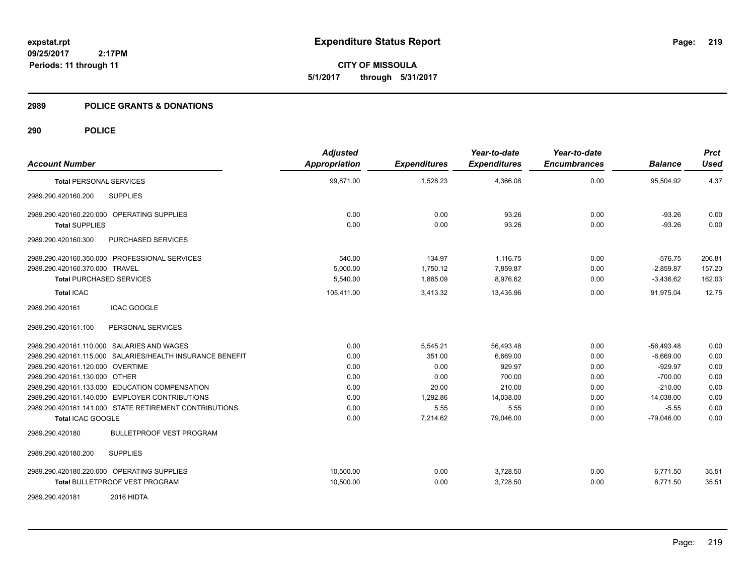**CITY OF MISSOULA 5/1/2017 through 5/31/2017**

### **2989 POLICE GRANTS & DONATIONS**

| <b>Account Number</b>                                     | <b>Adjusted</b><br>Appropriation | <b>Expenditures</b> | Year-to-date<br><b>Expenditures</b> | Year-to-date<br><b>Encumbrances</b> | <b>Balance</b> | <b>Prct</b><br><b>Used</b> |
|-----------------------------------------------------------|----------------------------------|---------------------|-------------------------------------|-------------------------------------|----------------|----------------------------|
| <b>Total PERSONAL SERVICES</b>                            | 99,871.00                        | 1,528.23            | 4,366.08                            | 0.00                                | 95,504.92      | 4.37                       |
| <b>SUPPLIES</b><br>2989.290.420160.200                    |                                  |                     |                                     |                                     |                |                            |
| 2989.290.420160.220.000 OPERATING SUPPLIES                | 0.00                             | 0.00                | 93.26                               | 0.00                                | $-93.26$       | 0.00                       |
| <b>Total SUPPLIES</b>                                     | 0.00                             | 0.00                | 93.26                               | 0.00                                | $-93.26$       | 0.00                       |
| 2989.290.420160.300<br>PURCHASED SERVICES                 |                                  |                     |                                     |                                     |                |                            |
| 2989.290.420160.350.000 PROFESSIONAL SERVICES             | 540.00                           | 134.97              | 1,116.75                            | 0.00                                | $-576.75$      | 206.81                     |
| 2989.290.420160.370.000 TRAVEL                            | 5.000.00                         | 1,750.12            | 7,859.87                            | 0.00                                | $-2,859.87$    | 157.20                     |
| <b>Total PURCHASED SERVICES</b>                           | 5,540.00                         | 1,885.09            | 8,976.62                            | 0.00                                | $-3,436.62$    | 162.03                     |
| <b>Total ICAC</b>                                         | 105,411.00                       | 3,413.32            | 13,435.96                           | 0.00                                | 91,975.04      | 12.75                      |
| <b>ICAC GOOGLE</b><br>2989.290.420161                     |                                  |                     |                                     |                                     |                |                            |
| PERSONAL SERVICES<br>2989.290.420161.100                  |                                  |                     |                                     |                                     |                |                            |
| 2989.290.420161.110.000 SALARIES AND WAGES                | 0.00                             | 5,545.21            | 56,493.48                           | 0.00                                | $-56,493.48$   | 0.00                       |
| 2989.290.420161.115.000 SALARIES/HEALTH INSURANCE BENEFIT | 0.00                             | 351.00              | 6,669.00                            | 0.00                                | $-6,669.00$    | 0.00                       |
| 2989.290.420161.120.000 OVERTIME                          | 0.00                             | 0.00                | 929.97                              | 0.00                                | $-929.97$      | 0.00                       |
| 2989.290.420161.130.000 OTHER                             | 0.00                             | 0.00                | 700.00                              | 0.00                                | $-700.00$      | 0.00                       |
| 2989.290.420161.133.000 EDUCATION COMPENSATION            | 0.00                             | 20.00               | 210.00                              | 0.00                                | $-210.00$      | 0.00                       |
| 2989.290.420161.140.000 EMPLOYER CONTRIBUTIONS            | 0.00                             | 1,292.86            | 14,038.00                           | 0.00                                | $-14,038.00$   | 0.00                       |
| 2989.290.420161.141.000 STATE RETIREMENT CONTRIBUTIONS    | 0.00                             | 5.55                | 5.55                                | 0.00                                | $-5.55$        | 0.00                       |
| Total ICAC GOOGLE                                         | 0.00                             | 7,214.62            | 79,046.00                           | 0.00                                | $-79,046.00$   | 0.00                       |
| <b>BULLETPROOF VEST PROGRAM</b><br>2989.290.420180        |                                  |                     |                                     |                                     |                |                            |
| <b>SUPPLIES</b><br>2989.290.420180.200                    |                                  |                     |                                     |                                     |                |                            |
| 2989.290.420180.220.000 OPERATING SUPPLIES                | 10,500.00                        | 0.00                | 3,728.50                            | 0.00                                | 6,771.50       | 35.51                      |
| Total BULLETPROOF VEST PROGRAM                            | 10,500.00                        | 0.00                | 3,728.50                            | 0.00                                | 6,771.50       | 35.51                      |
| 2016 HIDTA<br>2989.290.420181                             |                                  |                     |                                     |                                     |                |                            |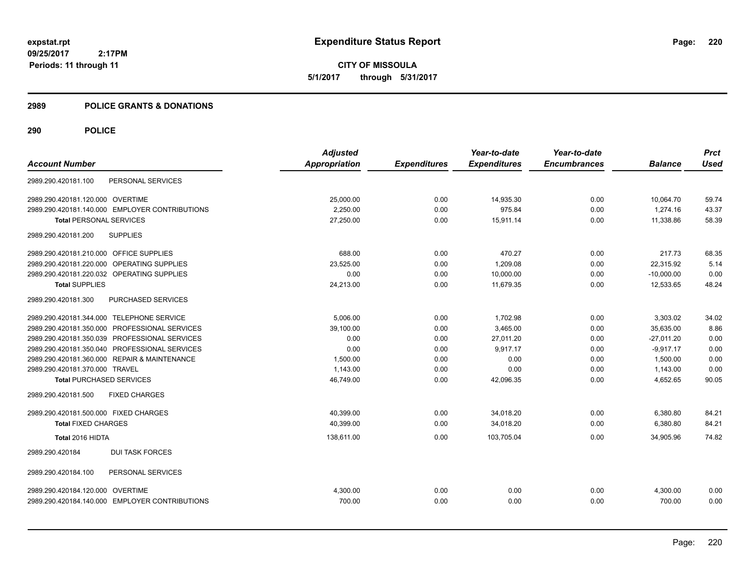**CITY OF MISSOULA 5/1/2017 through 5/31/2017**

### **2989 POLICE GRANTS & DONATIONS**

| <b>Account Number</b>                          | <b>Adjusted</b><br>Appropriation | <b>Expenditures</b> | Year-to-date<br><b>Expenditures</b> | Year-to-date<br><b>Encumbrances</b> | <b>Balance</b> | <b>Prct</b><br><b>Used</b> |
|------------------------------------------------|----------------------------------|---------------------|-------------------------------------|-------------------------------------|----------------|----------------------------|
| PERSONAL SERVICES<br>2989.290.420181.100       |                                  |                     |                                     |                                     |                |                            |
| 2989.290.420181.120.000 OVERTIME               | 25,000.00                        | 0.00                | 14,935.30                           | 0.00                                | 10.064.70      | 59.74                      |
| 2989.290.420181.140.000 EMPLOYER CONTRIBUTIONS | 2,250.00                         | 0.00                | 975.84                              | 0.00                                | 1,274.16       | 43.37                      |
| <b>Total PERSONAL SERVICES</b>                 | 27,250.00                        | 0.00                | 15,911.14                           | 0.00                                | 11,338.86      | 58.39                      |
| <b>SUPPLIES</b><br>2989.290.420181.200         |                                  |                     |                                     |                                     |                |                            |
| 2989.290.420181.210.000 OFFICE SUPPLIES        | 688.00                           | 0.00                | 470.27                              | 0.00                                | 217.73         | 68.35                      |
| 2989.290.420181.220.000<br>OPERATING SUPPLIES  | 23,525.00                        | 0.00                | 1,209.08                            | 0.00                                | 22,315.92      | 5.14                       |
| 2989.290.420181.220.032 OPERATING SUPPLIES     | 0.00                             | 0.00                | 10,000.00                           | 0.00                                | $-10,000.00$   | 0.00                       |
| <b>Total SUPPLIES</b>                          | 24,213.00                        | 0.00                | 11,679.35                           | 0.00                                | 12,533.65      | 48.24                      |
| 2989.290.420181.300<br>PURCHASED SERVICES      |                                  |                     |                                     |                                     |                |                            |
| 2989.290.420181.344.000 TELEPHONE SERVICE      | 5,006.00                         | 0.00                | 1,702.98                            | 0.00                                | 3,303.02       | 34.02                      |
| 2989.290.420181.350.000 PROFESSIONAL SERVICES  | 39,100.00                        | 0.00                | 3,465.00                            | 0.00                                | 35,635.00      | 8.86                       |
| 2989.290.420181.350.039 PROFESSIONAL SERVICES  | 0.00                             | 0.00                | 27.011.20                           | 0.00                                | $-27.011.20$   | 0.00                       |
| 2989.290.420181.350.040 PROFESSIONAL SERVICES  | 0.00                             | 0.00                | 9,917.17                            | 0.00                                | $-9.917.17$    | 0.00                       |
| 2989.290.420181.360.000 REPAIR & MAINTENANCE   | 1.500.00                         | 0.00                | 0.00                                | 0.00                                | 1,500.00       | 0.00                       |
| 2989.290.420181.370.000 TRAVEL                 | 1,143.00                         | 0.00                | 0.00                                | 0.00                                | 1,143.00       | 0.00                       |
| <b>Total PURCHASED SERVICES</b>                | 46,749.00                        | 0.00                | 42,096.35                           | 0.00                                | 4,652.65       | 90.05                      |
| 2989.290.420181.500<br><b>FIXED CHARGES</b>    |                                  |                     |                                     |                                     |                |                            |
| 2989.290.420181.500.000 FIXED CHARGES          | 40,399.00                        | 0.00                | 34,018.20                           | 0.00                                | 6,380.80       | 84.21                      |
| <b>Total FIXED CHARGES</b>                     | 40,399.00                        | 0.00                | 34,018.20                           | 0.00                                | 6,380.80       | 84.21                      |
| Total 2016 HIDTA                               | 138,611.00                       | 0.00                | 103,705.04                          | 0.00                                | 34,905.96      | 74.82                      |
| <b>DUI TASK FORCES</b><br>2989.290.420184      |                                  |                     |                                     |                                     |                |                            |
| PERSONAL SERVICES<br>2989.290.420184.100       |                                  |                     |                                     |                                     |                |                            |
| 2989.290.420184.120.000 OVERTIME               | 4,300.00                         | 0.00                | 0.00                                | 0.00                                | 4,300.00       | 0.00                       |
| 2989.290.420184.140.000 EMPLOYER CONTRIBUTIONS | 700.00                           | 0.00                | 0.00                                | 0.00                                | 700.00         | 0.00                       |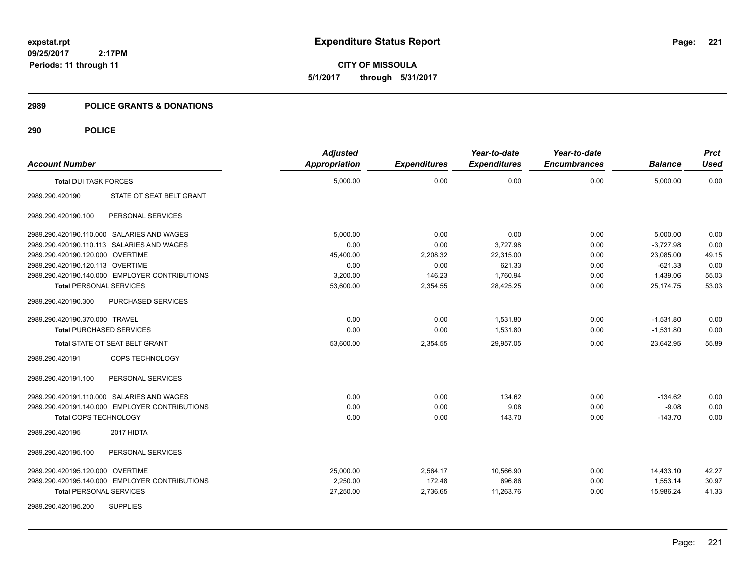**CITY OF MISSOULA 5/1/2017 through 5/31/2017**

### **2989 POLICE GRANTS & DONATIONS**

| <b>Account Number</b>                      |                                                | <b>Adjusted</b><br><b>Appropriation</b> | <b>Expenditures</b> | Year-to-date<br><b>Expenditures</b> | Year-to-date<br><b>Encumbrances</b> | <b>Balance</b> | <b>Prct</b><br><b>Used</b> |
|--------------------------------------------|------------------------------------------------|-----------------------------------------|---------------------|-------------------------------------|-------------------------------------|----------------|----------------------------|
| <b>Total DUI TASK FORCES</b>               |                                                | 5,000.00                                | 0.00                | 0.00                                | 0.00                                | 5,000.00       | 0.00                       |
| 2989.290.420190                            | STATE OT SEAT BELT GRANT                       |                                         |                     |                                     |                                     |                |                            |
| 2989.290.420190.100                        | PERSONAL SERVICES                              |                                         |                     |                                     |                                     |                |                            |
| 2989.290.420190.110.000 SALARIES AND WAGES |                                                | 5.000.00                                | 0.00                | 0.00                                | 0.00                                | 5,000.00       | 0.00                       |
| 2989.290.420190.110.113 SALARIES AND WAGES |                                                | 0.00                                    | 0.00                | 3,727.98                            | 0.00                                | $-3.727.98$    | 0.00                       |
| 2989.290.420190.120.000 OVERTIME           |                                                | 45,400.00                               | 2,208.32            | 22,315.00                           | 0.00                                | 23,085.00      | 49.15                      |
| 2989.290.420190.120.113 OVERTIME           |                                                | 0.00                                    | 0.00                | 621.33                              | 0.00                                | $-621.33$      | 0.00                       |
|                                            | 2989.290.420190.140.000 EMPLOYER CONTRIBUTIONS | 3,200.00                                | 146.23              | 1,760.94                            | 0.00                                | 1,439.06       | 55.03                      |
| <b>Total PERSONAL SERVICES</b>             |                                                | 53,600.00                               | 2,354.55            | 28,425.25                           | 0.00                                | 25,174.75      | 53.03                      |
| 2989.290.420190.300                        | PURCHASED SERVICES                             |                                         |                     |                                     |                                     |                |                            |
| 2989.290.420190.370.000 TRAVEL             |                                                | 0.00                                    | 0.00                | 1,531.80                            | 0.00                                | $-1,531.80$    | 0.00                       |
| <b>Total PURCHASED SERVICES</b>            |                                                | 0.00                                    | 0.00                | 1,531.80                            | 0.00                                | $-1,531.80$    | 0.00                       |
|                                            | <b>Total STATE OT SEAT BELT GRANT</b>          | 53,600.00                               | 2,354.55            | 29,957.05                           | 0.00                                | 23,642.95      | 55.89                      |
| 2989.290.420191                            | COPS TECHNOLOGY                                |                                         |                     |                                     |                                     |                |                            |
| 2989.290.420191.100                        | PERSONAL SERVICES                              |                                         |                     |                                     |                                     |                |                            |
| 2989.290.420191.110.000 SALARIES AND WAGES |                                                | 0.00                                    | 0.00                | 134.62                              | 0.00                                | $-134.62$      | 0.00                       |
|                                            | 2989.290.420191.140.000 EMPLOYER CONTRIBUTIONS | 0.00                                    | 0.00                | 9.08                                | 0.00                                | $-9.08$        | 0.00                       |
| Total COPS TECHNOLOGY                      |                                                | 0.00                                    | 0.00                | 143.70                              | 0.00                                | $-143.70$      | 0.00                       |
| 2989.290.420195                            | 2017 HIDTA                                     |                                         |                     |                                     |                                     |                |                            |
| 2989.290.420195.100                        | PERSONAL SERVICES                              |                                         |                     |                                     |                                     |                |                            |
| 2989.290.420195.120.000 OVERTIME           |                                                | 25,000.00                               | 2,564.17            | 10,566.90                           | 0.00                                | 14,433.10      | 42.27                      |
|                                            | 2989.290.420195.140.000 EMPLOYER CONTRIBUTIONS | 2,250.00                                | 172.48              | 696.86                              | 0.00                                | 1,553.14       | 30.97                      |
| <b>Total PERSONAL SERVICES</b>             |                                                | 27,250.00                               | 2,736.65            | 11,263.76                           | 0.00                                | 15,986.24      | 41.33                      |
| 2989.290.420195.200                        | <b>SUPPLIES</b>                                |                                         |                     |                                     |                                     |                |                            |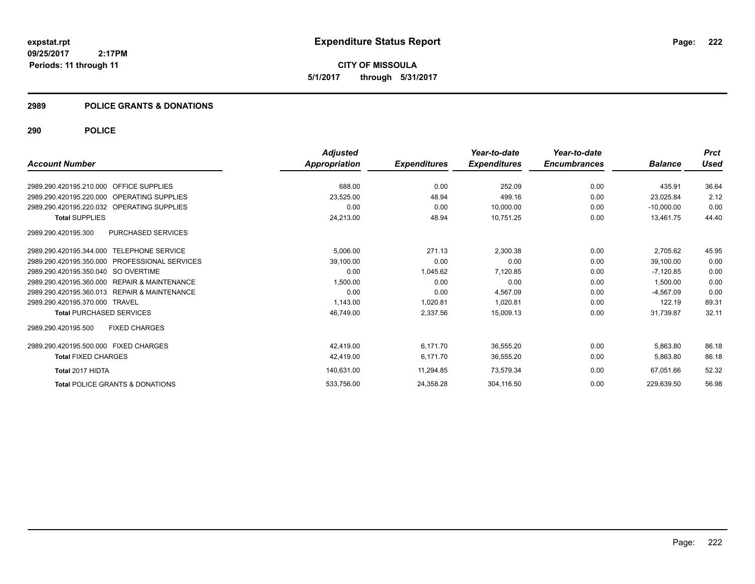**CITY OF MISSOULA 5/1/2017 through 5/31/2017**

# **2989 POLICE GRANTS & DONATIONS**

|                                                            | <b>Adjusted</b> |                     | Year-to-date        | Year-to-date        |                | <b>Prct</b> |
|------------------------------------------------------------|-----------------|---------------------|---------------------|---------------------|----------------|-------------|
| <b>Account Number</b>                                      | Appropriation   | <b>Expenditures</b> | <b>Expenditures</b> | <b>Encumbrances</b> | <b>Balance</b> | Used        |
| <b>OFFICE SUPPLIES</b><br>2989.290.420195.210.000          | 688.00          | 0.00                | 252.09              | 0.00                | 435.91         | 36.64       |
| 2989.290.420195.220.000<br><b>OPERATING SUPPLIES</b>       | 23,525.00       | 48.94               | 499.16              | 0.00                | 23,025.84      | 2.12        |
| 2989.290.420195.220.032 OPERATING SUPPLIES                 | 0.00            | 0.00                | 10,000.00           | 0.00                | $-10,000.00$   | 0.00        |
| <b>Total SUPPLIES</b>                                      | 24,213.00       | 48.94               | 10,751.25           | 0.00                | 13.461.75      | 44.40       |
| <b>PURCHASED SERVICES</b><br>2989.290.420195.300           |                 |                     |                     |                     |                |             |
| 2989.290.420195.344.000 TELEPHONE SERVICE                  | 5,006.00        | 271.13              | 2,300.38            | 0.00                | 2,705.62       | 45.95       |
| 2989.290.420195.350.000 PROFESSIONAL SERVICES              | 39,100.00       | 0.00                | 0.00                | 0.00                | 39,100.00      | 0.00        |
| 2989.290.420195.350.040 SO OVERTIME                        | 0.00            | 1,045.62            | 7,120.85            | 0.00                | $-7,120.85$    | 0.00        |
| 2989.290.420195.360.000<br><b>REPAIR &amp; MAINTENANCE</b> | 1,500.00        | 0.00                | 0.00                | 0.00                | 1,500.00       | 0.00        |
| 2989.290.420195.360.013 REPAIR & MAINTENANCE               | 0.00            | 0.00                | 4.567.09            | 0.00                | $-4.567.09$    | 0.00        |
| 2989.290.420195.370.000 TRAVEL                             | 1,143.00        | 1,020.81            | 1.020.81            | 0.00                | 122.19         | 89.31       |
| <b>Total PURCHASED SERVICES</b>                            | 46,749.00       | 2,337.56            | 15,009.13           | 0.00                | 31.739.87      | 32.11       |
| 2989.290.420195.500<br><b>FIXED CHARGES</b>                |                 |                     |                     |                     |                |             |
| 2989.290.420195.500.000 FIXED CHARGES                      | 42,419.00       | 6,171.70            | 36,555.20           | 0.00                | 5,863.80       | 86.18       |
| <b>Total FIXED CHARGES</b>                                 | 42,419.00       | 6.171.70            | 36,555.20           | 0.00                | 5,863.80       | 86.18       |
| Total 2017 HIDTA                                           | 140,631.00      | 11,294.85           | 73,579.34           | 0.00                | 67,051.66      | 52.32       |
| <b>Total POLICE GRANTS &amp; DONATIONS</b>                 | 533,756.00      | 24,358.28           | 304,116.50          | 0.00                | 229.639.50     | 56.98       |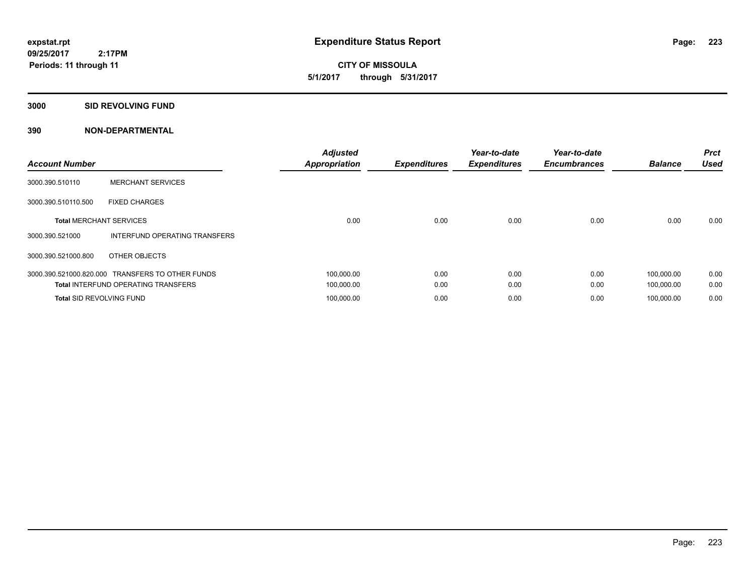**CITY OF MISSOULA 5/1/2017 through 5/31/2017**

### **3000 SID REVOLVING FUND**

| <b>Account Number</b>           |                                            | <b>Adjusted</b><br><b>Appropriation</b> | <b>Expenditures</b> | Year-to-date<br><b>Expenditures</b> | Year-to-date<br><b>Encumbrances</b> | <b>Balance</b> | <b>Prct</b><br><b>Used</b> |
|---------------------------------|--------------------------------------------|-----------------------------------------|---------------------|-------------------------------------|-------------------------------------|----------------|----------------------------|
| 3000.390.510110                 | <b>MERCHANT SERVICES</b>                   |                                         |                     |                                     |                                     |                |                            |
| 3000.390.510110.500             | <b>FIXED CHARGES</b>                       |                                         |                     |                                     |                                     |                |                            |
| <b>Total MERCHANT SERVICES</b>  |                                            | 0.00                                    | 0.00                | 0.00                                | 0.00                                | 0.00           | 0.00                       |
| 3000.390.521000                 | INTERFUND OPERATING TRANSFERS              |                                         |                     |                                     |                                     |                |                            |
| 3000.390.521000.800             | OTHER OBJECTS                              |                                         |                     |                                     |                                     |                |                            |
| 3000.390.521000.820.000         | <b>TRANSFERS TO OTHER FUNDS</b>            | 100,000.00                              | 0.00                | 0.00                                | 0.00                                | 100.000.00     | 0.00                       |
|                                 | <b>Total INTERFUND OPERATING TRANSFERS</b> | 100,000.00                              | 0.00                | 0.00                                | 0.00                                | 100,000.00     | 0.00                       |
| <b>Total SID REVOLVING FUND</b> |                                            | 100,000.00                              | 0.00                | 0.00                                | 0.00                                | 100.000.00     | 0.00                       |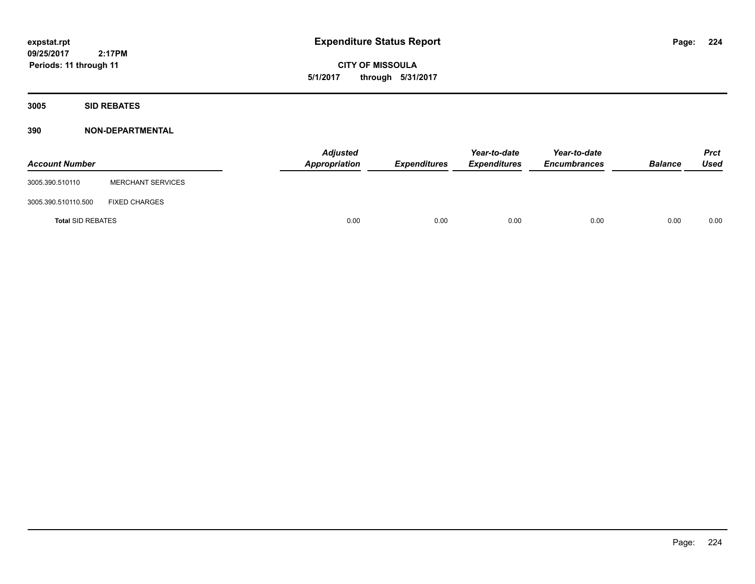**CITY OF MISSOULA 5/1/2017 through 5/31/2017**

**3005 SID REBATES**

| <b>Account Number</b>    |                          | <b>Adjusted</b><br>Appropriation | Expenditures | Year-to-date<br><b>Expenditures</b> | Year-to-date<br><b>Encumbrances</b> | <b>Balance</b> | <b>Prct</b><br>Used |
|--------------------------|--------------------------|----------------------------------|--------------|-------------------------------------|-------------------------------------|----------------|---------------------|
| 3005.390.510110          | <b>MERCHANT SERVICES</b> |                                  |              |                                     |                                     |                |                     |
| 3005.390.510110.500      | <b>FIXED CHARGES</b>     |                                  |              |                                     |                                     |                |                     |
| <b>Total SID REBATES</b> |                          | 0.00                             | 0.00         | 0.00                                | 0.00                                | 0.00           | 0.00                |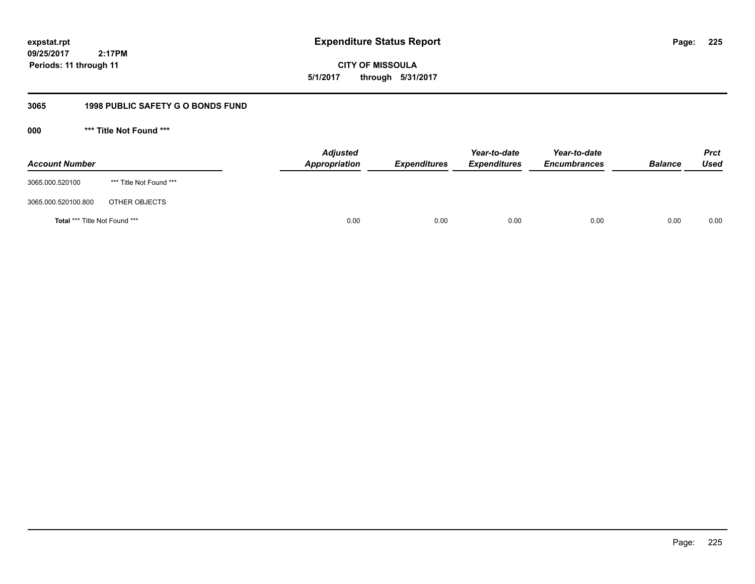**CITY OF MISSOULA 5/1/2017 through 5/31/2017**

# **3065 1998 PUBLIC SAFETY G O BONDS FUND**

**000 \*\*\* Title Not Found \*\*\***

| <b>Account Number</b>         |                         | <b>Adjusted</b><br>Appropriation | <b>Expenditures</b> | Year-to-date<br><b>Expenditures</b> | Year-to-date<br><b>Encumbrances</b> | <b>Balance</b> | <b>Prct</b><br>Used |
|-------------------------------|-------------------------|----------------------------------|---------------------|-------------------------------------|-------------------------------------|----------------|---------------------|
| 3065.000.520100               | *** Title Not Found *** |                                  |                     |                                     |                                     |                |                     |
| 3065.000.520100.800           | OTHER OBJECTS           |                                  |                     |                                     |                                     |                |                     |
| Total *** Title Not Found *** |                         | 0.00                             | 0.00                | 0.00                                | 0.00                                | 0.00           | 0.00                |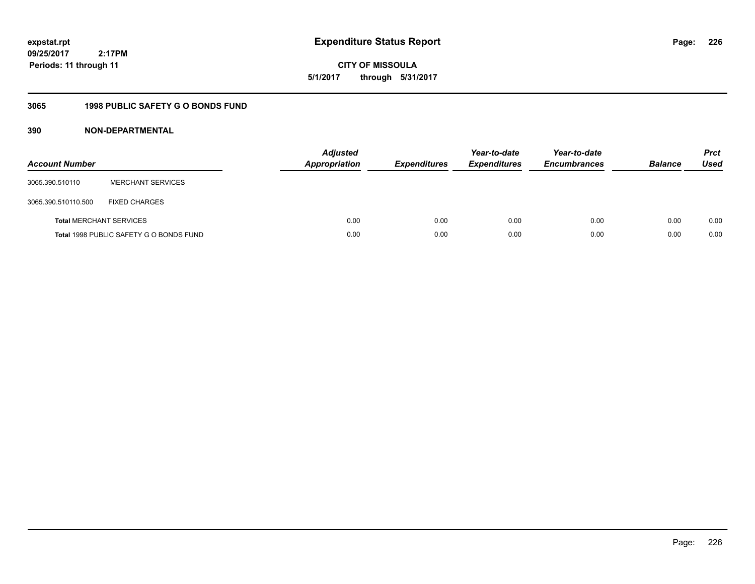**CITY OF MISSOULA 5/1/2017 through 5/31/2017**

# **3065 1998 PUBLIC SAFETY G O BONDS FUND**

| <b>Account Number</b>          |                                         | <b>Adjusted</b><br><b>Appropriation</b> | <b>Expenditures</b> | Year-to-date<br><b>Expenditures</b> | Year-to-date<br><b>Encumbrances</b> | <b>Balance</b> | <b>Prct</b><br><b>Used</b> |
|--------------------------------|-----------------------------------------|-----------------------------------------|---------------------|-------------------------------------|-------------------------------------|----------------|----------------------------|
| 3065.390.510110                | <b>MERCHANT SERVICES</b>                |                                         |                     |                                     |                                     |                |                            |
| 3065.390.510110.500            | <b>FIXED CHARGES</b>                    |                                         |                     |                                     |                                     |                |                            |
| <b>Total MERCHANT SERVICES</b> |                                         | 0.00                                    | 0.00                | 0.00                                | 0.00                                | 0.00           | 0.00                       |
|                                | Total 1998 PUBLIC SAFETY G O BONDS FUND | 0.00                                    | 0.00                | 0.00                                | 0.00                                | 0.00           | 0.00                       |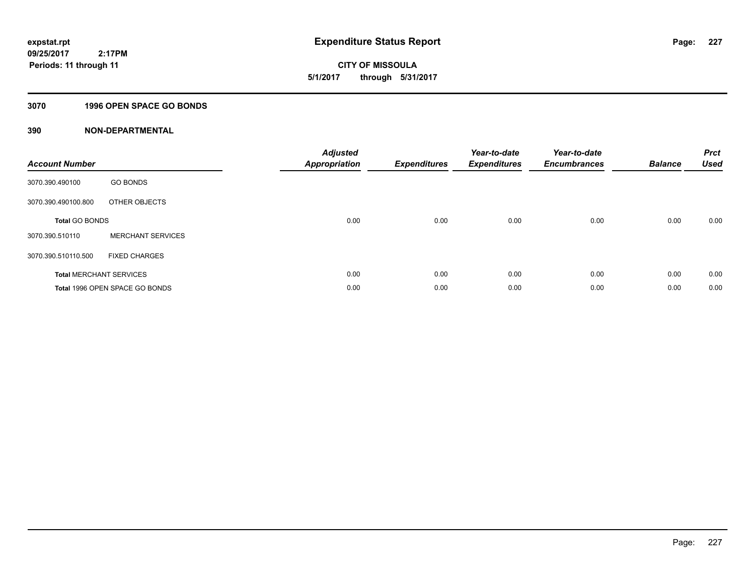**227**

**09/25/2017 2:17PM Periods: 11 through 11**

# **CITY OF MISSOULA 5/1/2017 through 5/31/2017**

# **3070 1996 OPEN SPACE GO BONDS**

| <b>Account Number</b>          |                                | <b>Adjusted</b><br><b>Appropriation</b> | <b>Expenditures</b> | Year-to-date<br><b>Expenditures</b> | Year-to-date<br><b>Encumbrances</b> | <b>Balance</b> | <b>Prct</b><br><b>Used</b> |
|--------------------------------|--------------------------------|-----------------------------------------|---------------------|-------------------------------------|-------------------------------------|----------------|----------------------------|
| 3070.390.490100                | <b>GO BONDS</b>                |                                         |                     |                                     |                                     |                |                            |
| 3070.390.490100.800            | OTHER OBJECTS                  |                                         |                     |                                     |                                     |                |                            |
| <b>Total GO BONDS</b>          |                                | 0.00                                    | 0.00                | 0.00                                | 0.00                                | 0.00           | 0.00                       |
| 3070.390.510110                | <b>MERCHANT SERVICES</b>       |                                         |                     |                                     |                                     |                |                            |
| 3070.390.510110.500            | <b>FIXED CHARGES</b>           |                                         |                     |                                     |                                     |                |                            |
| <b>Total MERCHANT SERVICES</b> |                                | 0.00                                    | 0.00                | 0.00                                | 0.00                                | 0.00           | 0.00                       |
|                                | Total 1996 OPEN SPACE GO BONDS | 0.00                                    | 0.00                | 0.00                                | 0.00                                | 0.00           | 0.00                       |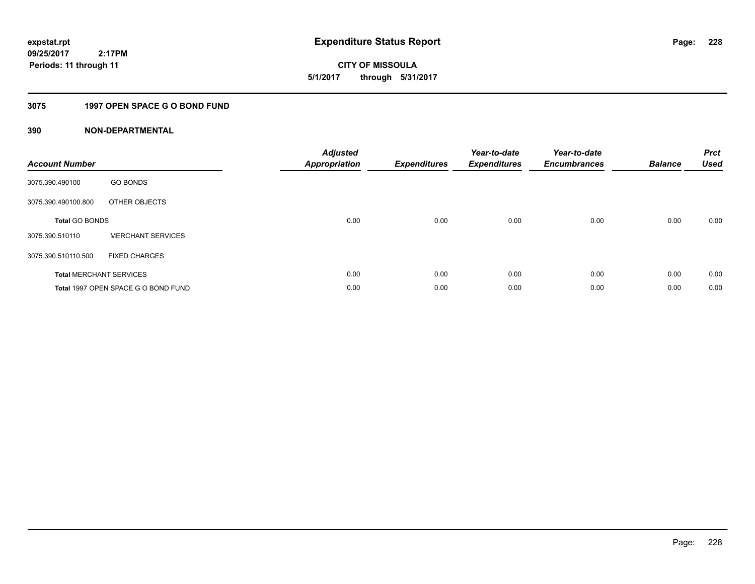**CITY OF MISSOULA 5/1/2017 through 5/31/2017**

# **3075 1997 OPEN SPACE G O BOND FUND**

| <b>Account Number</b>          |                                     | <b>Adjusted</b><br>Appropriation | <b>Expenditures</b> | Year-to-date<br><b>Expenditures</b> | Year-to-date<br><b>Encumbrances</b> | <b>Balance</b> | <b>Prct</b><br><b>Used</b> |
|--------------------------------|-------------------------------------|----------------------------------|---------------------|-------------------------------------|-------------------------------------|----------------|----------------------------|
| 3075.390.490100                | <b>GO BONDS</b>                     |                                  |                     |                                     |                                     |                |                            |
| 3075.390.490100.800            | OTHER OBJECTS                       |                                  |                     |                                     |                                     |                |                            |
| <b>Total GO BONDS</b>          |                                     | 0.00                             | 0.00                | 0.00                                | 0.00                                | 0.00           | 0.00                       |
| 3075.390.510110                | <b>MERCHANT SERVICES</b>            |                                  |                     |                                     |                                     |                |                            |
| 3075.390.510110.500            | <b>FIXED CHARGES</b>                |                                  |                     |                                     |                                     |                |                            |
| <b>Total MERCHANT SERVICES</b> |                                     | 0.00                             | 0.00                | 0.00                                | 0.00                                | 0.00           | 0.00                       |
|                                | Total 1997 OPEN SPACE G O BOND FUND | 0.00                             | 0.00                | 0.00                                | 0.00                                | 0.00           | 0.00                       |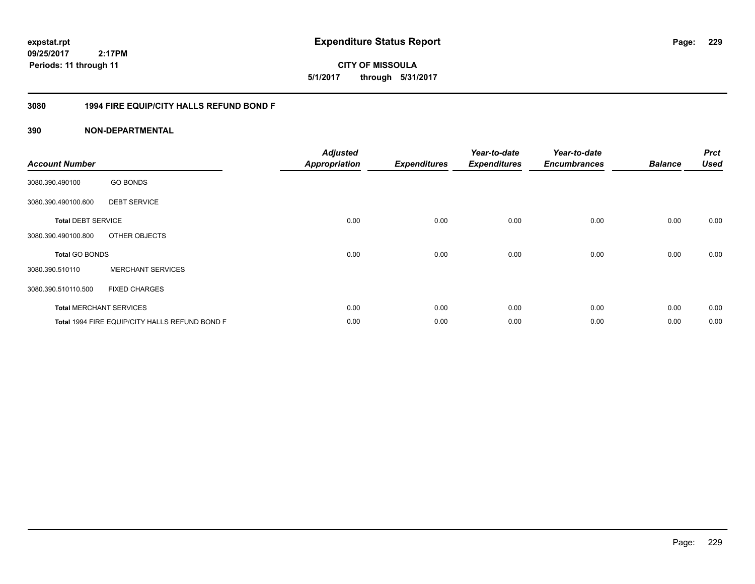**expstat.rpt Expenditure Status Report** 

**09/25/2017 2:17PM Periods: 11 through 11**

**CITY OF MISSOULA 5/1/2017 through 5/31/2017**

# **3080 1994 FIRE EQUIP/CITY HALLS REFUND BOND F**

| <b>Account Number</b>     |                                                | <b>Adjusted</b><br><b>Appropriation</b> | <b>Expenditures</b> | Year-to-date<br><b>Expenditures</b> | Year-to-date<br><b>Encumbrances</b> | <b>Balance</b> | <b>Prct</b><br><b>Used</b> |
|---------------------------|------------------------------------------------|-----------------------------------------|---------------------|-------------------------------------|-------------------------------------|----------------|----------------------------|
| 3080.390.490100           | <b>GO BONDS</b>                                |                                         |                     |                                     |                                     |                |                            |
| 3080.390.490100.600       | <b>DEBT SERVICE</b>                            |                                         |                     |                                     |                                     |                |                            |
| <b>Total DEBT SERVICE</b> |                                                | 0.00                                    | 0.00                | 0.00                                | 0.00                                | 0.00           | 0.00                       |
| 3080.390.490100.800       | OTHER OBJECTS                                  |                                         |                     |                                     |                                     |                |                            |
| <b>Total GO BONDS</b>     |                                                | 0.00                                    | 0.00                | 0.00                                | 0.00                                | 0.00           | 0.00                       |
| 3080.390.510110           | <b>MERCHANT SERVICES</b>                       |                                         |                     |                                     |                                     |                |                            |
| 3080.390.510110.500       | <b>FIXED CHARGES</b>                           |                                         |                     |                                     |                                     |                |                            |
|                           | <b>Total MERCHANT SERVICES</b>                 | 0.00                                    | 0.00                | 0.00                                | 0.00                                | 0.00           | 0.00                       |
|                           | Total 1994 FIRE EQUIP/CITY HALLS REFUND BOND F | 0.00                                    | 0.00                | 0.00                                | 0.00                                | 0.00           | 0.00                       |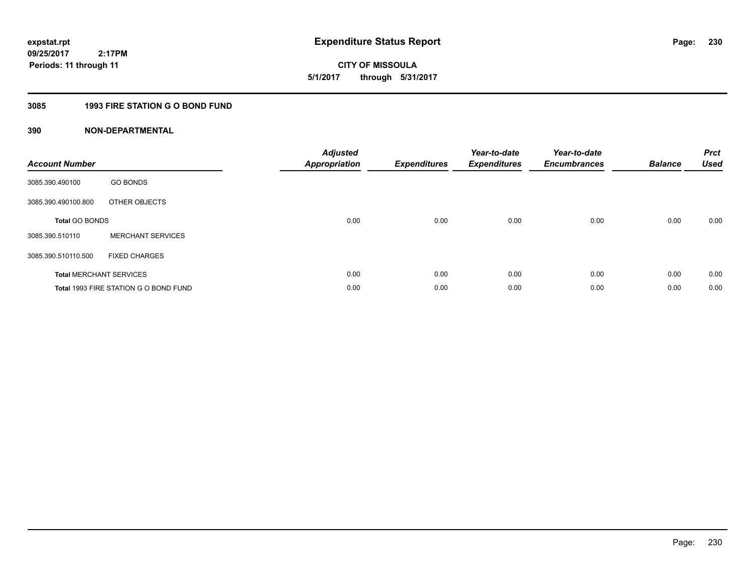**expstat.rpt Expenditure Status Report** 

**09/25/2017 2:17PM Periods: 11 through 11**

**CITY OF MISSOULA 5/1/2017 through 5/31/2017**

# **3085 1993 FIRE STATION G O BOND FUND**

| <b>Account Number</b> |                                       | <b>Adjusted</b><br><b>Appropriation</b> | <b>Expenditures</b> | Year-to-date<br><b>Expenditures</b> | Year-to-date<br><b>Encumbrances</b> | <b>Balance</b> | <b>Prct</b><br><b>Used</b> |
|-----------------------|---------------------------------------|-----------------------------------------|---------------------|-------------------------------------|-------------------------------------|----------------|----------------------------|
| 3085.390.490100       | <b>GO BONDS</b>                       |                                         |                     |                                     |                                     |                |                            |
| 3085.390.490100.800   | OTHER OBJECTS                         |                                         |                     |                                     |                                     |                |                            |
| <b>Total GO BONDS</b> |                                       | 0.00                                    | 0.00                | 0.00                                | 0.00                                | 0.00           | 0.00                       |
| 3085.390.510110       | <b>MERCHANT SERVICES</b>              |                                         |                     |                                     |                                     |                |                            |
| 3085.390.510110.500   | <b>FIXED CHARGES</b>                  |                                         |                     |                                     |                                     |                |                            |
|                       | <b>Total MERCHANT SERVICES</b>        | 0.00                                    | 0.00                | 0.00                                | 0.00                                | 0.00           | 0.00                       |
|                       | Total 1993 FIRE STATION G O BOND FUND | 0.00                                    | 0.00                | 0.00                                | 0.00                                | 0.00           | 0.00                       |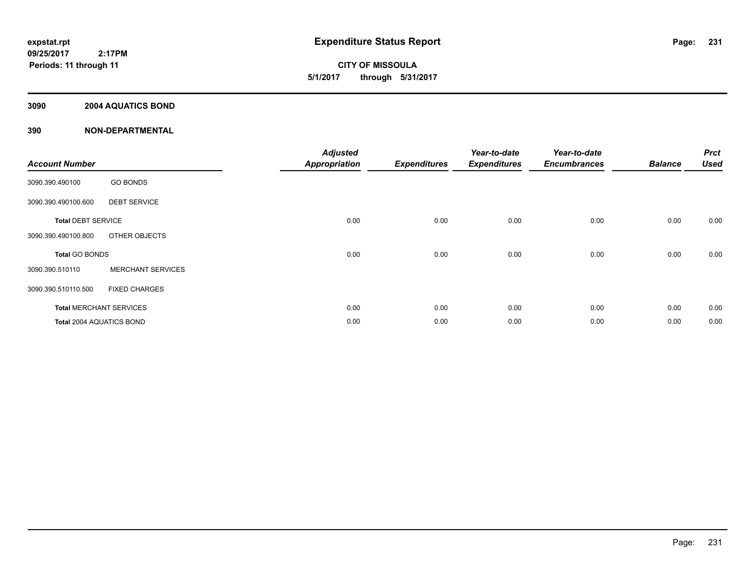**CITY OF MISSOULA 5/1/2017 through 5/31/2017**

# **3090 2004 AQUATICS BOND**

| <b>Account Number</b>     |                                | <b>Adjusted</b><br><b>Appropriation</b> | <b>Expenditures</b> | Year-to-date<br><b>Expenditures</b> | Year-to-date<br><b>Encumbrances</b> | <b>Balance</b> | <b>Prct</b><br><b>Used</b> |
|---------------------------|--------------------------------|-----------------------------------------|---------------------|-------------------------------------|-------------------------------------|----------------|----------------------------|
| 3090.390.490100           | <b>GO BONDS</b>                |                                         |                     |                                     |                                     |                |                            |
| 3090.390.490100.600       | <b>DEBT SERVICE</b>            |                                         |                     |                                     |                                     |                |                            |
| <b>Total DEBT SERVICE</b> |                                | 0.00                                    | 0.00                | 0.00                                | 0.00                                | 0.00           | 0.00                       |
| 3090.390.490100.800       | OTHER OBJECTS                  |                                         |                     |                                     |                                     |                |                            |
| <b>Total GO BONDS</b>     |                                | 0.00                                    | 0.00                | 0.00                                | 0.00                                | 0.00           | 0.00                       |
| 3090.390.510110           | <b>MERCHANT SERVICES</b>       |                                         |                     |                                     |                                     |                |                            |
| 3090.390.510110.500       | <b>FIXED CHARGES</b>           |                                         |                     |                                     |                                     |                |                            |
|                           | <b>Total MERCHANT SERVICES</b> | 0.00                                    | 0.00                | 0.00                                | 0.00                                | 0.00           | 0.00                       |
| Total 2004 AQUATICS BOND  |                                | 0.00                                    | 0.00                | 0.00                                | 0.00                                | 0.00           | 0.00                       |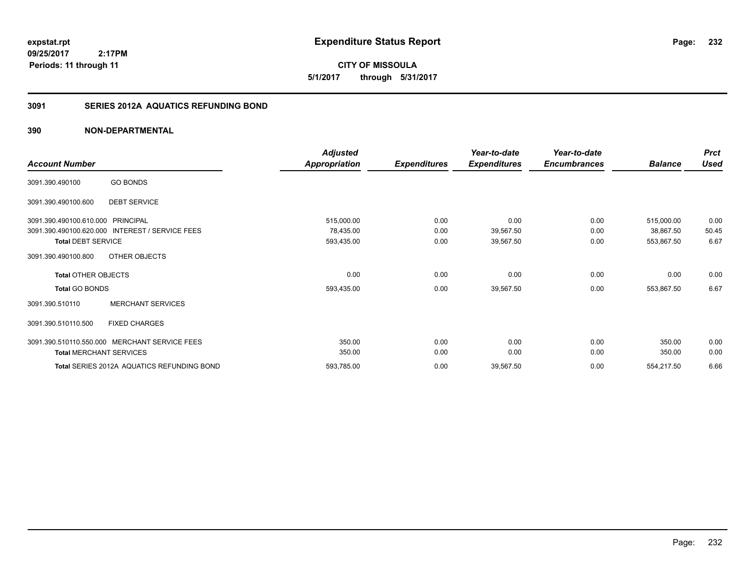**expstat.rpt Expenditure Status Report** 

**09/25/2017 2:17PM Periods: 11 through 11**

# **3091 SERIES 2012A AQUATICS REFUNDING BOND**

|                                   |                                               | <b>Adjusted</b> |                     | Year-to-date        | Year-to-date        |                | <b>Prct</b> |
|-----------------------------------|-----------------------------------------------|-----------------|---------------------|---------------------|---------------------|----------------|-------------|
| <b>Account Number</b>             |                                               | Appropriation   | <b>Expenditures</b> | <b>Expenditures</b> | <b>Encumbrances</b> | <b>Balance</b> | <b>Used</b> |
| 3091.390.490100                   | <b>GO BONDS</b>                               |                 |                     |                     |                     |                |             |
| 3091.390.490100.600               | <b>DEBT SERVICE</b>                           |                 |                     |                     |                     |                |             |
| 3091.390.490100.610.000 PRINCIPAL |                                               | 515,000.00      | 0.00                | 0.00                | 0.00                | 515,000.00     | 0.00        |
| 3091.390.490100.620.000           | <b>INTEREST / SERVICE FEES</b>                | 78,435.00       | 0.00                | 39,567.50           | 0.00                | 38,867.50      | 50.45       |
| <b>Total DEBT SERVICE</b>         |                                               | 593,435.00      | 0.00                | 39,567.50           | 0.00                | 553,867.50     | 6.67        |
| 3091.390.490100.800               | OTHER OBJECTS                                 |                 |                     |                     |                     |                |             |
| <b>Total OTHER OBJECTS</b>        |                                               | 0.00            | 0.00                | 0.00                | 0.00                | 0.00           | 0.00        |
| <b>Total GO BONDS</b>             |                                               | 593,435.00      | 0.00                | 39,567.50           | 0.00                | 553,867.50     | 6.67        |
| 3091.390.510110                   | <b>MERCHANT SERVICES</b>                      |                 |                     |                     |                     |                |             |
| 3091.390.510110.500               | <b>FIXED CHARGES</b>                          |                 |                     |                     |                     |                |             |
|                                   | 3091.390.510110.550.000 MERCHANT SERVICE FEES | 350.00          | 0.00                | 0.00                | 0.00                | 350.00         | 0.00        |
| <b>Total MERCHANT SERVICES</b>    |                                               | 350.00          | 0.00                | 0.00                | 0.00                | 350.00         | 0.00        |
|                                   | Total SERIES 2012A AQUATICS REFUNDING BOND    | 593,785.00      | 0.00                | 39,567.50           | 0.00                | 554,217.50     | 6.66        |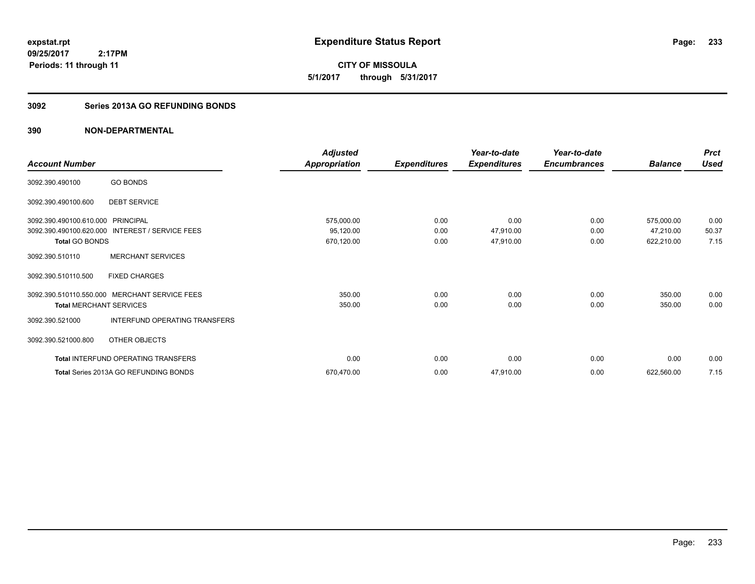**CITY OF MISSOULA 5/1/2017 through 5/31/2017**

# **3092 Series 2013A GO REFUNDING BONDS**

| <b>Account Number</b>                             |                                                                                | <b>Adjusted</b><br>Appropriation      | <b>Expenditures</b>  | Year-to-date<br><b>Expenditures</b> | Year-to-date<br><b>Encumbrances</b> | <b>Balance</b>                        | <b>Prct</b><br><b>Used</b> |
|---------------------------------------------------|--------------------------------------------------------------------------------|---------------------------------------|----------------------|-------------------------------------|-------------------------------------|---------------------------------------|----------------------------|
| 3092.390.490100                                   | <b>GO BONDS</b>                                                                |                                       |                      |                                     |                                     |                                       |                            |
| 3092.390.490100.600                               | <b>DEBT SERVICE</b>                                                            |                                       |                      |                                     |                                     |                                       |                            |
| 3092.390.490100.610.000<br><b>Total GO BONDS</b>  | PRINCIPAL<br>3092.390.490100.620.000 INTEREST / SERVICE FEES                   | 575,000.00<br>95,120.00<br>670,120.00 | 0.00<br>0.00<br>0.00 | 0.00<br>47,910.00<br>47,910.00      | 0.00<br>0.00<br>0.00                | 575,000.00<br>47,210.00<br>622,210.00 | 0.00<br>50.37<br>7.15      |
| 3092.390.510110                                   | <b>MERCHANT SERVICES</b>                                                       |                                       |                      |                                     |                                     |                                       |                            |
| 3092.390.510110.500                               | <b>FIXED CHARGES</b>                                                           |                                       |                      |                                     |                                     |                                       |                            |
| <b>Total MERCHANT SERVICES</b><br>3092.390.521000 | 3092.390.510110.550.000 MERCHANT SERVICE FEES<br>INTERFUND OPERATING TRANSFERS | 350.00<br>350.00                      | 0.00<br>0.00         | 0.00<br>0.00                        | 0.00<br>0.00                        | 350.00<br>350.00                      | 0.00<br>0.00               |
| 3092.390.521000.800                               | OTHER OBJECTS                                                                  |                                       |                      |                                     |                                     |                                       |                            |
|                                                   | <b>Total INTERFUND OPERATING TRANSFERS</b>                                     | 0.00                                  | 0.00                 | 0.00                                | 0.00                                | 0.00                                  | 0.00                       |
|                                                   | Total Series 2013A GO REFUNDING BONDS                                          | 670,470.00                            | 0.00                 | 47,910.00                           | 0.00                                | 622,560.00                            | 7.15                       |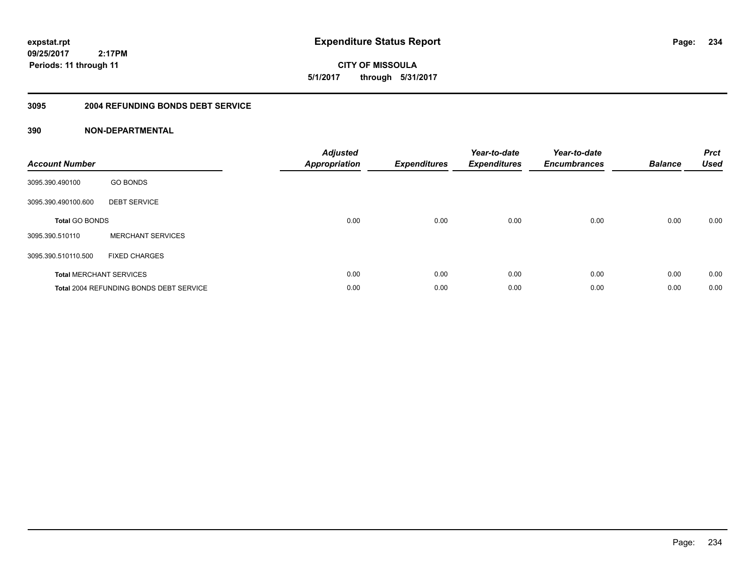**CITY OF MISSOULA 5/1/2017 through 5/31/2017**

### **3095 2004 REFUNDING BONDS DEBT SERVICE**

| <b>Account Number</b> |                                                | <b>Adjusted</b><br>Appropriation | <b>Expenditures</b> | Year-to-date<br><b>Expenditures</b> | Year-to-date<br><b>Encumbrances</b> | <b>Balance</b> | <b>Prct</b><br><b>Used</b> |
|-----------------------|------------------------------------------------|----------------------------------|---------------------|-------------------------------------|-------------------------------------|----------------|----------------------------|
| 3095.390.490100       | <b>GO BONDS</b>                                |                                  |                     |                                     |                                     |                |                            |
| 3095.390.490100.600   | <b>DEBT SERVICE</b>                            |                                  |                     |                                     |                                     |                |                            |
| <b>Total GO BONDS</b> |                                                | 0.00                             | 0.00                | 0.00                                | 0.00                                | 0.00           | 0.00                       |
| 3095.390.510110       | <b>MERCHANT SERVICES</b>                       |                                  |                     |                                     |                                     |                |                            |
| 3095.390.510110.500   | <b>FIXED CHARGES</b>                           |                                  |                     |                                     |                                     |                |                            |
|                       | <b>Total MERCHANT SERVICES</b>                 | 0.00                             | 0.00                | 0.00                                | 0.00                                | 0.00           | 0.00                       |
|                       | <b>Total 2004 REFUNDING BONDS DEBT SERVICE</b> | 0.00                             | 0.00                | 0.00                                | 0.00                                | 0.00           | 0.00                       |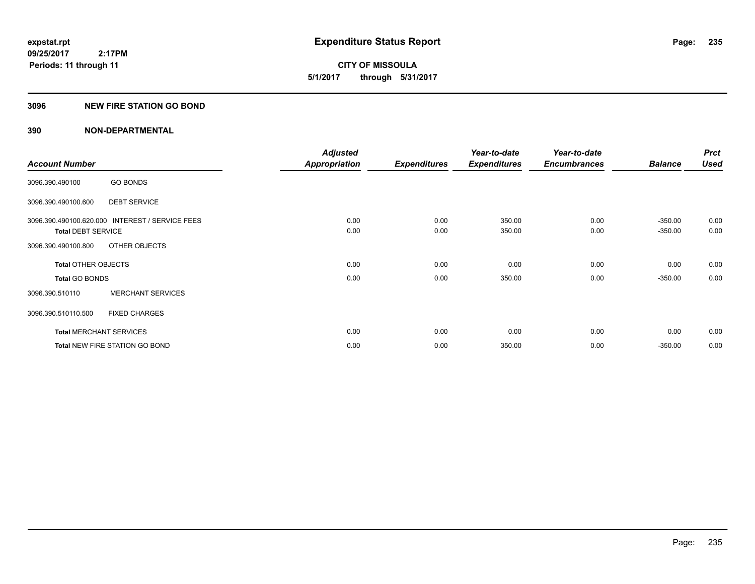**235**

**09/25/2017 2:17PM Periods: 11 through 11**

**CITY OF MISSOULA 5/1/2017 through 5/31/2017**

### **3096 NEW FIRE STATION GO BOND**

|                                |                                                 | <b>Adjusted</b>      |                     | Year-to-date        | Year-to-date        |                | <b>Prct</b> |
|--------------------------------|-------------------------------------------------|----------------------|---------------------|---------------------|---------------------|----------------|-------------|
| <b>Account Number</b>          |                                                 | <b>Appropriation</b> | <b>Expenditures</b> | <b>Expenditures</b> | <b>Encumbrances</b> | <b>Balance</b> | <b>Used</b> |
| 3096.390.490100                | <b>GO BONDS</b>                                 |                      |                     |                     |                     |                |             |
| 3096.390.490100.600            | <b>DEBT SERVICE</b>                             |                      |                     |                     |                     |                |             |
|                                | 3096.390.490100.620.000 INTEREST / SERVICE FEES | 0.00                 | 0.00                | 350.00              | 0.00                | $-350.00$      | 0.00        |
| <b>Total DEBT SERVICE</b>      |                                                 | 0.00                 | 0.00                | 350.00              | 0.00                | $-350.00$      | 0.00        |
| 3096.390.490100.800            | OTHER OBJECTS                                   |                      |                     |                     |                     |                |             |
| <b>Total OTHER OBJECTS</b>     |                                                 | 0.00                 | 0.00                | 0.00                | 0.00                | 0.00           | 0.00        |
| <b>Total GO BONDS</b>          |                                                 | 0.00                 | 0.00                | 350.00              | 0.00                | $-350.00$      | 0.00        |
| 3096.390.510110                | <b>MERCHANT SERVICES</b>                        |                      |                     |                     |                     |                |             |
| 3096.390.510110.500            | <b>FIXED CHARGES</b>                            |                      |                     |                     |                     |                |             |
| <b>Total MERCHANT SERVICES</b> |                                                 | 0.00                 | 0.00                | 0.00                | 0.00                | 0.00           | 0.00        |
|                                | <b>Total NEW FIRE STATION GO BOND</b>           | 0.00                 | 0.00                | 350.00              | 0.00                | $-350.00$      | 0.00        |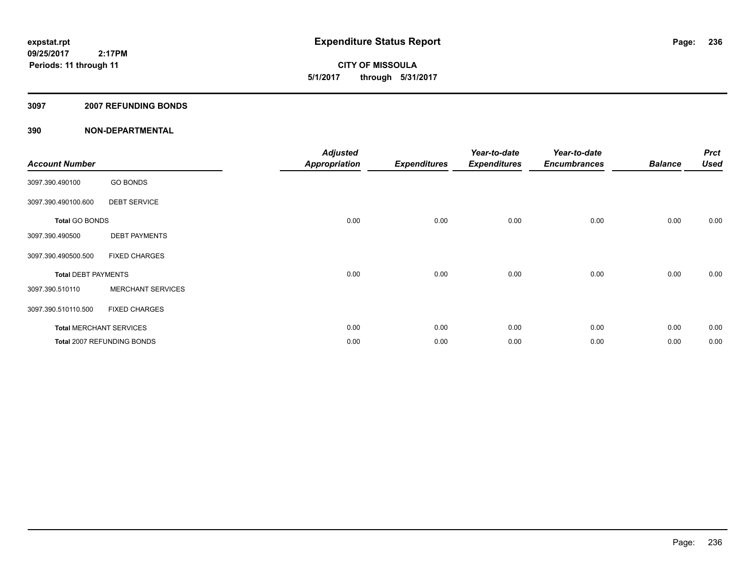**CITY OF MISSOULA 5/1/2017 through 5/31/2017**

### **3097 2007 REFUNDING BONDS**

| <b>Account Number</b>      |                                | <b>Adjusted</b><br><b>Appropriation</b> | <b>Expenditures</b> | Year-to-date<br><b>Expenditures</b> | Year-to-date<br><b>Encumbrances</b> | <b>Balance</b> | <b>Prct</b><br><b>Used</b> |
|----------------------------|--------------------------------|-----------------------------------------|---------------------|-------------------------------------|-------------------------------------|----------------|----------------------------|
| 3097.390.490100            | <b>GO BONDS</b>                |                                         |                     |                                     |                                     |                |                            |
| 3097.390.490100.600        | <b>DEBT SERVICE</b>            |                                         |                     |                                     |                                     |                |                            |
| <b>Total GO BONDS</b>      |                                | 0.00                                    | 0.00                | 0.00                                | 0.00                                | 0.00           | 0.00                       |
| 3097.390.490500            | <b>DEBT PAYMENTS</b>           |                                         |                     |                                     |                                     |                |                            |
| 3097.390.490500.500        | <b>FIXED CHARGES</b>           |                                         |                     |                                     |                                     |                |                            |
| <b>Total DEBT PAYMENTS</b> |                                | 0.00                                    | 0.00                | 0.00                                | 0.00                                | 0.00           | 0.00                       |
| 3097.390.510110            | <b>MERCHANT SERVICES</b>       |                                         |                     |                                     |                                     |                |                            |
| 3097.390.510110.500        | <b>FIXED CHARGES</b>           |                                         |                     |                                     |                                     |                |                            |
|                            | <b>Total MERCHANT SERVICES</b> | 0.00                                    | 0.00                | 0.00                                | 0.00                                | 0.00           | 0.00                       |
|                            | Total 2007 REFUNDING BONDS     | 0.00                                    | 0.00                | 0.00                                | 0.00                                | 0.00           | 0.00                       |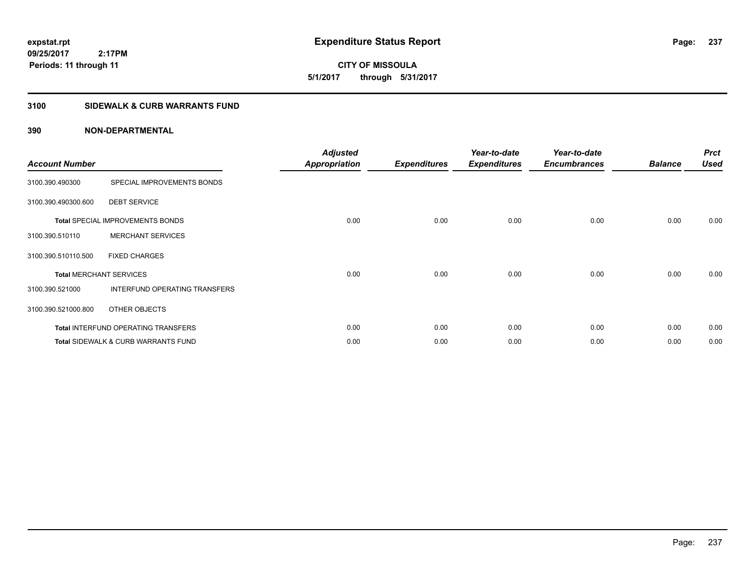**CITY OF MISSOULA 5/1/2017 through 5/31/2017**

# **3100 SIDEWALK & CURB WARRANTS FUND**

| <b>Account Number</b>          |                                                | <b>Adjusted</b><br><b>Appropriation</b> | <b>Expenditures</b> | Year-to-date<br><b>Expenditures</b> | Year-to-date<br><b>Encumbrances</b> | <b>Balance</b> | <b>Prct</b><br><b>Used</b> |
|--------------------------------|------------------------------------------------|-----------------------------------------|---------------------|-------------------------------------|-------------------------------------|----------------|----------------------------|
| 3100.390.490300                | SPECIAL IMPROVEMENTS BONDS                     |                                         |                     |                                     |                                     |                |                            |
| 3100.390.490300.600            | <b>DEBT SERVICE</b>                            |                                         |                     |                                     |                                     |                |                            |
|                                | <b>Total SPECIAL IMPROVEMENTS BONDS</b>        | 0.00                                    | 0.00                | 0.00                                | 0.00                                | 0.00           | 0.00                       |
| 3100.390.510110                | <b>MERCHANT SERVICES</b>                       |                                         |                     |                                     |                                     |                |                            |
| 3100.390.510110.500            | <b>FIXED CHARGES</b>                           |                                         |                     |                                     |                                     |                |                            |
| <b>Total MERCHANT SERVICES</b> |                                                | 0.00                                    | 0.00                | 0.00                                | 0.00                                | 0.00           | 0.00                       |
| 3100.390.521000                | INTERFUND OPERATING TRANSFERS                  |                                         |                     |                                     |                                     |                |                            |
| 3100.390.521000.800            | OTHER OBJECTS                                  |                                         |                     |                                     |                                     |                |                            |
|                                | Total INTERFUND OPERATING TRANSFERS            | 0.00                                    | 0.00                | 0.00                                | 0.00                                | 0.00           | 0.00                       |
|                                | <b>Total SIDEWALK &amp; CURB WARRANTS FUND</b> | 0.00                                    | 0.00                | 0.00                                | 0.00                                | 0.00           | 0.00                       |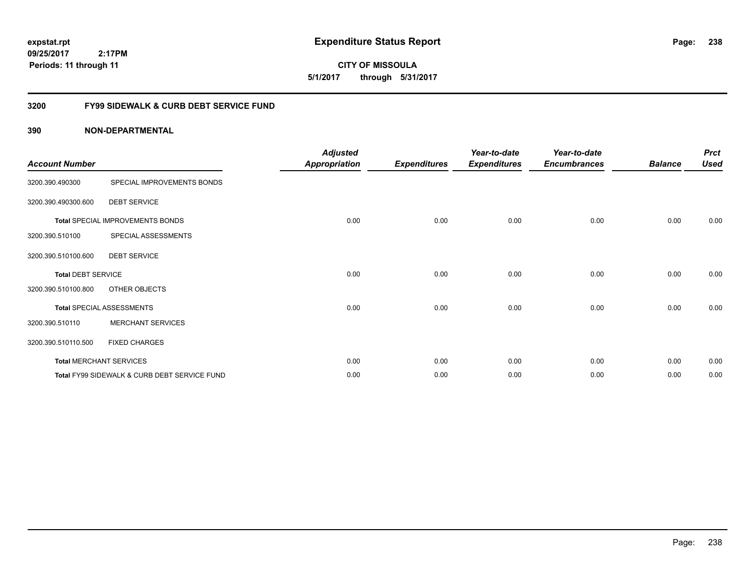**CITY OF MISSOULA 5/1/2017 through 5/31/2017**

# **3200 FY99 SIDEWALK & CURB DEBT SERVICE FUND**

| <b>Account Number</b>     |                                              | <b>Adjusted</b><br><b>Appropriation</b> | <b>Expenditures</b> | Year-to-date<br><b>Expenditures</b> | Year-to-date<br><b>Encumbrances</b> | <b>Balance</b> | <b>Prct</b><br><b>Used</b> |
|---------------------------|----------------------------------------------|-----------------------------------------|---------------------|-------------------------------------|-------------------------------------|----------------|----------------------------|
| 3200.390.490300           | SPECIAL IMPROVEMENTS BONDS                   |                                         |                     |                                     |                                     |                |                            |
| 3200.390.490300.600       | <b>DEBT SERVICE</b>                          |                                         |                     |                                     |                                     |                |                            |
|                           | Total SPECIAL IMPROVEMENTS BONDS             | 0.00                                    | 0.00                | 0.00                                | 0.00                                | 0.00           | 0.00                       |
| 3200.390.510100           | SPECIAL ASSESSMENTS                          |                                         |                     |                                     |                                     |                |                            |
| 3200.390.510100.600       | <b>DEBT SERVICE</b>                          |                                         |                     |                                     |                                     |                |                            |
| <b>Total DEBT SERVICE</b> |                                              | 0.00                                    | 0.00                | 0.00                                | 0.00                                | 0.00           | 0.00                       |
| 3200.390.510100.800       | OTHER OBJECTS                                |                                         |                     |                                     |                                     |                |                            |
|                           | <b>Total SPECIAL ASSESSMENTS</b>             | 0.00                                    | 0.00                | 0.00                                | 0.00                                | 0.00           | 0.00                       |
| 3200.390.510110           | <b>MERCHANT SERVICES</b>                     |                                         |                     |                                     |                                     |                |                            |
| 3200.390.510110.500       | <b>FIXED CHARGES</b>                         |                                         |                     |                                     |                                     |                |                            |
|                           | <b>Total MERCHANT SERVICES</b>               | 0.00                                    | 0.00                | 0.00                                | 0.00                                | 0.00           | 0.00                       |
|                           | Total FY99 SIDEWALK & CURB DEBT SERVICE FUND | 0.00                                    | 0.00                | 0.00                                | 0.00                                | 0.00           | 0.00                       |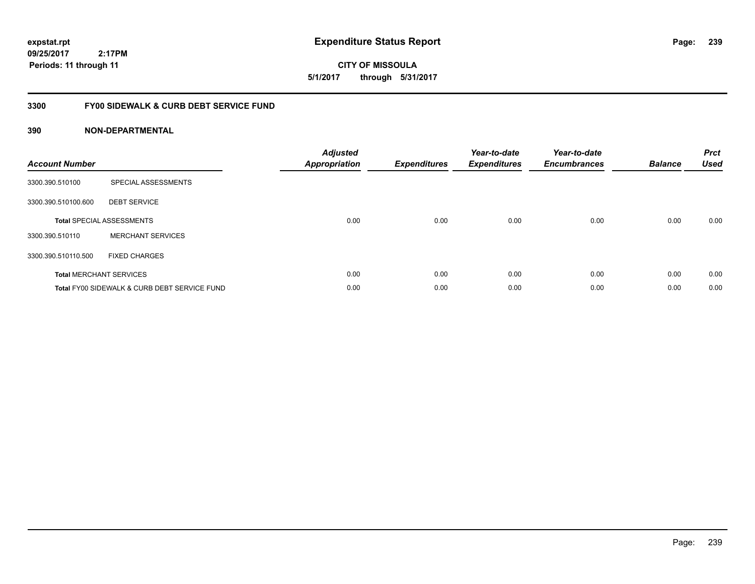**expstat.rpt Expenditure Status Report** 

**09/25/2017 2:17PM Periods: 11 through 11**

**CITY OF MISSOULA 5/1/2017 through 5/31/2017**

# **3300 FY00 SIDEWALK & CURB DEBT SERVICE FUND**

| <b>Account Number</b> |                                              | <b>Adjusted</b><br><b>Appropriation</b> | <b>Expenditures</b> | Year-to-date<br><b>Expenditures</b> | Year-to-date<br><b>Encumbrances</b> | <b>Balance</b> | <b>Prct</b><br><b>Used</b> |
|-----------------------|----------------------------------------------|-----------------------------------------|---------------------|-------------------------------------|-------------------------------------|----------------|----------------------------|
| 3300.390.510100       | SPECIAL ASSESSMENTS                          |                                         |                     |                                     |                                     |                |                            |
| 3300.390.510100.600   | <b>DEBT SERVICE</b>                          |                                         |                     |                                     |                                     |                |                            |
|                       | <b>Total SPECIAL ASSESSMENTS</b>             | 0.00                                    | 0.00                | 0.00                                | 0.00                                | 0.00           | 0.00                       |
| 3300.390.510110       | <b>MERCHANT SERVICES</b>                     |                                         |                     |                                     |                                     |                |                            |
| 3300.390.510110.500   | <b>FIXED CHARGES</b>                         |                                         |                     |                                     |                                     |                |                            |
|                       | <b>Total MERCHANT SERVICES</b>               | 0.00                                    | 0.00                | 0.00                                | 0.00                                | 0.00           | 0.00                       |
|                       | Total FY00 SIDEWALK & CURB DEBT SERVICE FUND | 0.00                                    | 0.00                | 0.00                                | 0.00                                | 0.00           | 0.00                       |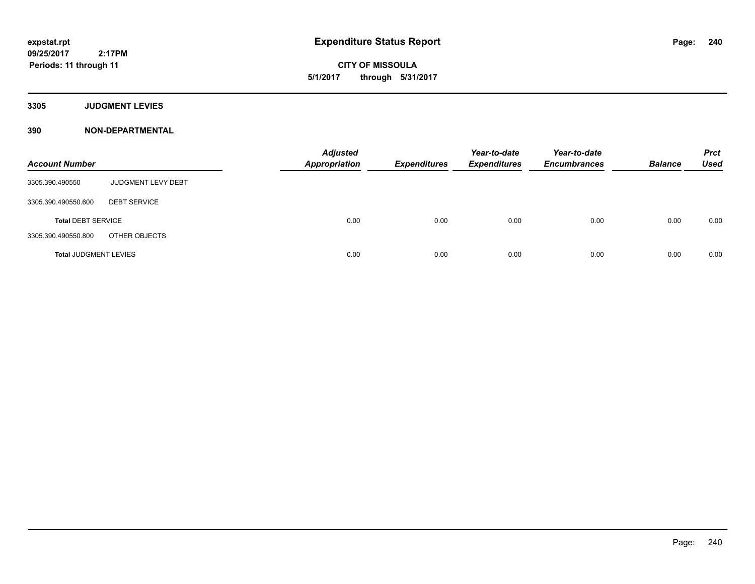**CITY OF MISSOULA 5/1/2017 through 5/31/2017**

**3305 JUDGMENT LEVIES**

| <b>Account Number</b>        |                     | <b>Adjusted</b><br><b>Appropriation</b> | <b>Expenditures</b> | Year-to-date<br><b>Expenditures</b> | Year-to-date<br><b>Encumbrances</b> | <b>Balance</b> | <b>Prct</b><br><b>Used</b> |
|------------------------------|---------------------|-----------------------------------------|---------------------|-------------------------------------|-------------------------------------|----------------|----------------------------|
| 3305.390.490550              | JUDGMENT LEVY DEBT  |                                         |                     |                                     |                                     |                |                            |
| 3305.390.490550.600          | <b>DEBT SERVICE</b> |                                         |                     |                                     |                                     |                |                            |
| <b>Total DEBT SERVICE</b>    |                     | 0.00                                    | 0.00                | 0.00                                | 0.00                                | 0.00           | 0.00                       |
| 3305.390.490550.800          | OTHER OBJECTS       |                                         |                     |                                     |                                     |                |                            |
| <b>Total JUDGMENT LEVIES</b> |                     | 0.00                                    | 0.00                | 0.00                                | 0.00                                | 0.00           | 0.00                       |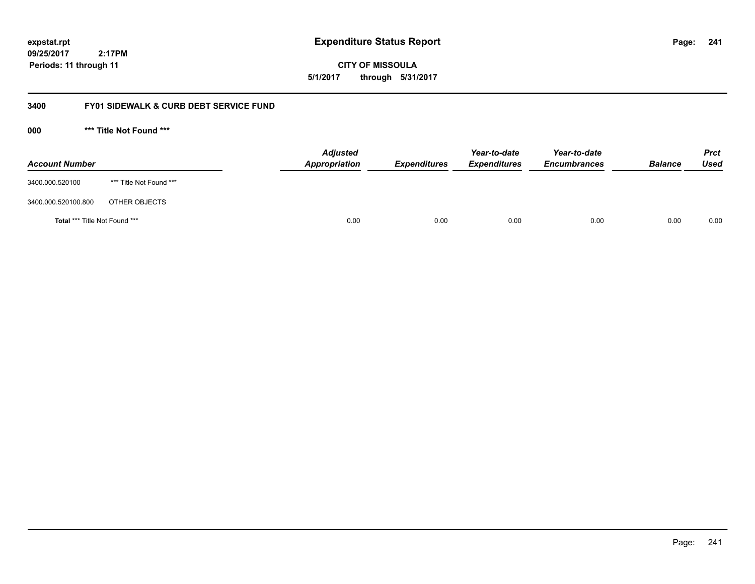**241**

**09/25/2017 2:17PM Periods: 11 through 11**

**CITY OF MISSOULA 5/1/2017 through 5/31/2017**

# **3400 FY01 SIDEWALK & CURB DEBT SERVICE FUND**

**000 \*\*\* Title Not Found \*\*\***

| <b>Account Number</b>         |                         | <b>Adjusted</b><br>Appropriation | <b>Expenditures</b> | Year-to-date<br><b>Expenditures</b> | Year-to-date<br><b>Encumbrances</b> | <b>Balance</b> | <b>Prct</b><br>Used |
|-------------------------------|-------------------------|----------------------------------|---------------------|-------------------------------------|-------------------------------------|----------------|---------------------|
| 3400.000.520100               | *** Title Not Found *** |                                  |                     |                                     |                                     |                |                     |
| 3400.000.520100.800           | OTHER OBJECTS           |                                  |                     |                                     |                                     |                |                     |
| Total *** Title Not Found *** |                         | 0.00                             | 0.00                | 0.00                                | 0.00                                | 0.00           | 0.00                |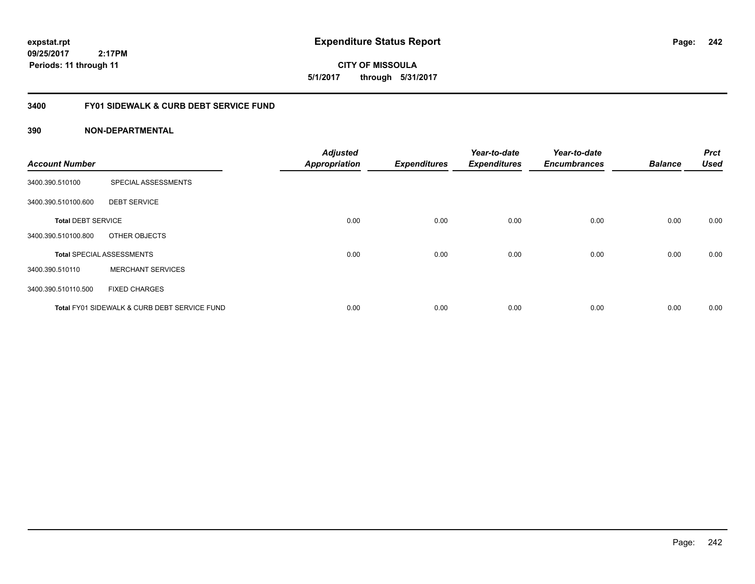**expstat.rpt Expenditure Status Report** 

**09/25/2017 2:17PM Periods: 11 through 11**

# **3400 FY01 SIDEWALK & CURB DEBT SERVICE FUND**

| <b>Account Number</b>     |                                              | <b>Adjusted</b><br><b>Appropriation</b> | <b>Expenditures</b> | Year-to-date<br><b>Expenditures</b> | Year-to-date<br><b>Encumbrances</b> | <b>Balance</b> | <b>Prct</b><br><b>Used</b> |
|---------------------------|----------------------------------------------|-----------------------------------------|---------------------|-------------------------------------|-------------------------------------|----------------|----------------------------|
| 3400.390.510100           | SPECIAL ASSESSMENTS                          |                                         |                     |                                     |                                     |                |                            |
| 3400.390.510100.600       | <b>DEBT SERVICE</b>                          |                                         |                     |                                     |                                     |                |                            |
| <b>Total DEBT SERVICE</b> |                                              | 0.00                                    | 0.00                | 0.00                                | 0.00                                | 0.00           | 0.00                       |
| 3400.390.510100.800       | OTHER OBJECTS                                |                                         |                     |                                     |                                     |                |                            |
|                           | <b>Total SPECIAL ASSESSMENTS</b>             | 0.00                                    | 0.00                | 0.00                                | 0.00                                | 0.00           | 0.00                       |
| 3400.390.510110           | <b>MERCHANT SERVICES</b>                     |                                         |                     |                                     |                                     |                |                            |
| 3400.390.510110.500       | <b>FIXED CHARGES</b>                         |                                         |                     |                                     |                                     |                |                            |
|                           | Total FY01 SIDEWALK & CURB DEBT SERVICE FUND | 0.00                                    | 0.00                | 0.00                                | 0.00                                | 0.00           | 0.00                       |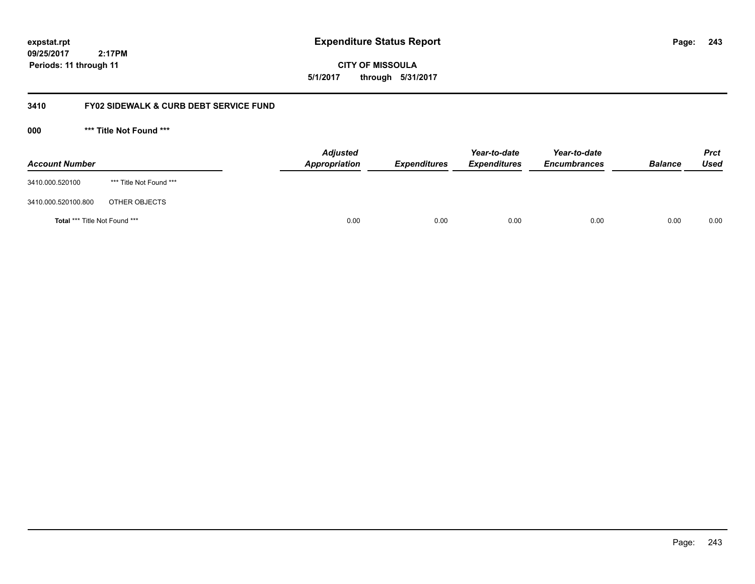**243**

**09/25/2017 2:17PM Periods: 11 through 11**

**CITY OF MISSOULA 5/1/2017 through 5/31/2017**

# **3410 FY02 SIDEWALK & CURB DEBT SERVICE FUND**

**000 \*\*\* Title Not Found \*\*\***

| <b>Account Number</b>         |                         | <b>Adjusted</b><br>Appropriation | <b>Expenditures</b> | Year-to-date<br><b>Expenditures</b> | Year-to-date<br><b>Encumbrances</b> | <b>Balance</b> | <b>Prct</b><br>Used |
|-------------------------------|-------------------------|----------------------------------|---------------------|-------------------------------------|-------------------------------------|----------------|---------------------|
| 3410.000.520100               | *** Title Not Found *** |                                  |                     |                                     |                                     |                |                     |
| 3410.000.520100.800           | OTHER OBJECTS           |                                  |                     |                                     |                                     |                |                     |
| Total *** Title Not Found *** |                         | 0.00                             | 0.00                | 0.00                                | 0.00                                | 0.00           | 0.00                |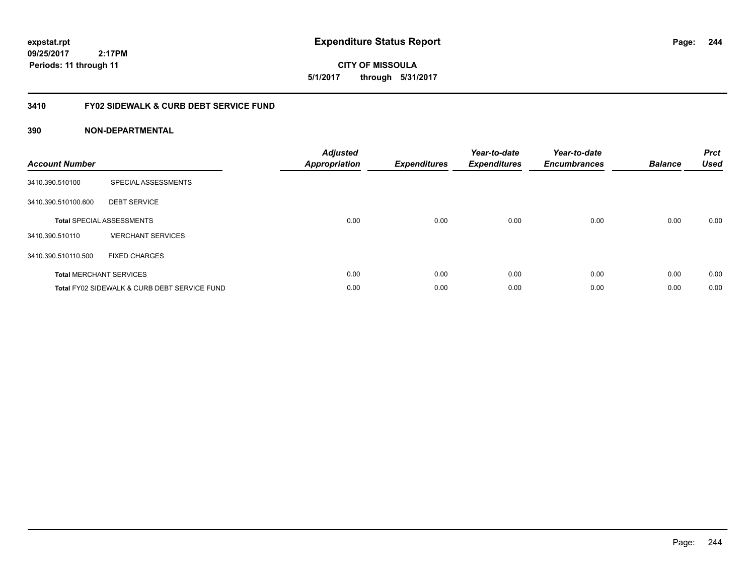**CITY OF MISSOULA 5/1/2017 through 5/31/2017**

# **3410 FY02 SIDEWALK & CURB DEBT SERVICE FUND**

| <b>Account Number</b> |                                              | <b>Adjusted</b><br><b>Appropriation</b> | <b>Expenditures</b> | Year-to-date<br><b>Expenditures</b> | Year-to-date<br><b>Encumbrances</b> | <b>Balance</b> | <b>Prct</b><br><b>Used</b> |
|-----------------------|----------------------------------------------|-----------------------------------------|---------------------|-------------------------------------|-------------------------------------|----------------|----------------------------|
| 3410.390.510100       | SPECIAL ASSESSMENTS                          |                                         |                     |                                     |                                     |                |                            |
| 3410.390.510100.600   | <b>DEBT SERVICE</b>                          |                                         |                     |                                     |                                     |                |                            |
|                       | <b>Total SPECIAL ASSESSMENTS</b>             | 0.00                                    | 0.00                | 0.00                                | 0.00                                | 0.00           | 0.00                       |
| 3410.390.510110       | <b>MERCHANT SERVICES</b>                     |                                         |                     |                                     |                                     |                |                            |
| 3410.390.510110.500   | <b>FIXED CHARGES</b>                         |                                         |                     |                                     |                                     |                |                            |
|                       | <b>Total MERCHANT SERVICES</b>               | 0.00                                    | 0.00                | 0.00                                | 0.00                                | 0.00           | 0.00                       |
|                       | Total FY02 SIDEWALK & CURB DEBT SERVICE FUND | 0.00                                    | 0.00                | 0.00                                | 0.00                                | 0.00           | 0.00                       |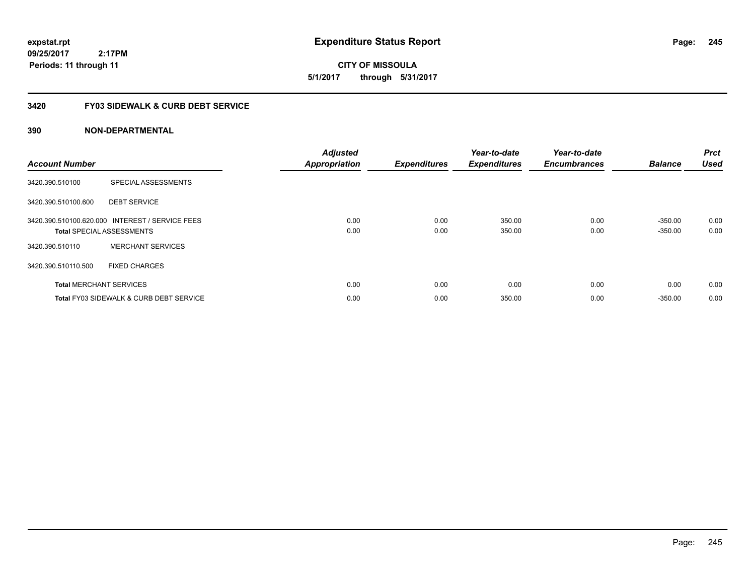**expstat.rpt Expenditure Status Report** 

**09/25/2017 2:17PM Periods: 11 through 11**

**CITY OF MISSOULA 5/1/2017 through 5/31/2017**

# **3420 FY03 SIDEWALK & CURB DEBT SERVICE**

| <b>Account Number</b> |                                                                                     | <b>Adjusted</b><br><b>Appropriation</b> | <b>Expenditures</b> | Year-to-date<br><b>Expenditures</b> | Year-to-date<br><b>Encumbrances</b> | <b>Balance</b>         | <b>Prct</b><br><b>Used</b> |
|-----------------------|-------------------------------------------------------------------------------------|-----------------------------------------|---------------------|-------------------------------------|-------------------------------------|------------------------|----------------------------|
| 3420.390.510100       | SPECIAL ASSESSMENTS                                                                 |                                         |                     |                                     |                                     |                        |                            |
| 3420.390.510100.600   | <b>DEBT SERVICE</b>                                                                 |                                         |                     |                                     |                                     |                        |                            |
|                       | 3420.390.510100.620.000 INTEREST / SERVICE FEES<br><b>Total SPECIAL ASSESSMENTS</b> | 0.00<br>0.00                            | 0.00<br>0.00        | 350.00<br>350.00                    | 0.00<br>0.00                        | $-350.00$<br>$-350.00$ | 0.00<br>0.00               |
| 3420.390.510110       | <b>MERCHANT SERVICES</b>                                                            |                                         |                     |                                     |                                     |                        |                            |
| 3420.390.510110.500   | <b>FIXED CHARGES</b>                                                                |                                         |                     |                                     |                                     |                        |                            |
|                       | <b>Total MERCHANT SERVICES</b>                                                      | 0.00                                    | 0.00                | 0.00                                | 0.00                                | 0.00                   | 0.00                       |
|                       | <b>Total FY03 SIDEWALK &amp; CURB DEBT SERVICE</b>                                  | 0.00                                    | 0.00                | 350.00                              | 0.00                                | $-350.00$              | 0.00                       |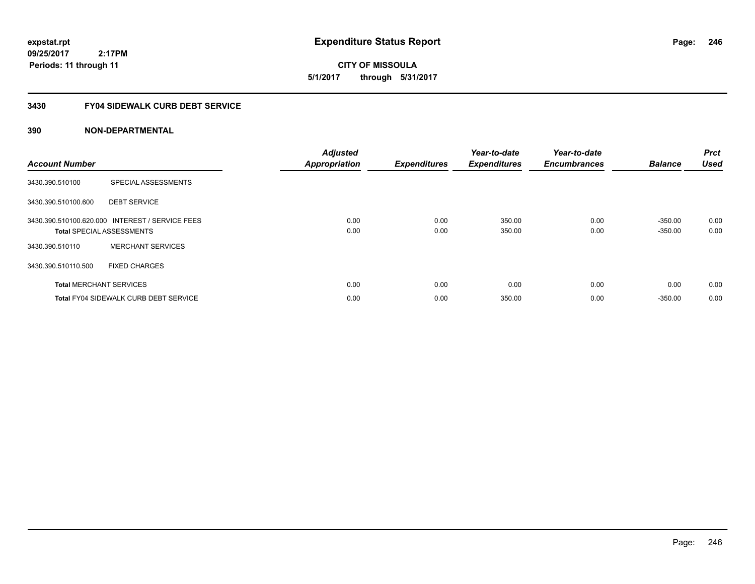**expstat.rpt Expenditure Status Report** 

**09/25/2017 2:17PM Periods: 11 through 11**

**CITY OF MISSOULA 5/1/2017 through 5/31/2017**

# **3430 FY04 SIDEWALK CURB DEBT SERVICE**

| <b>Account Number</b> |                                                                                     | <b>Adjusted</b><br><b>Appropriation</b> | <b>Expenditures</b> | Year-to-date<br><b>Expenditures</b> | Year-to-date<br><b>Encumbrances</b> | <b>Balance</b>         | <b>Prct</b><br><b>Used</b> |
|-----------------------|-------------------------------------------------------------------------------------|-----------------------------------------|---------------------|-------------------------------------|-------------------------------------|------------------------|----------------------------|
| 3430.390.510100       | SPECIAL ASSESSMENTS                                                                 |                                         |                     |                                     |                                     |                        |                            |
| 3430.390.510100.600   | <b>DEBT SERVICE</b>                                                                 |                                         |                     |                                     |                                     |                        |                            |
|                       | 3430.390.510100.620.000 INTEREST / SERVICE FEES<br><b>Total SPECIAL ASSESSMENTS</b> | 0.00<br>0.00                            | 0.00<br>0.00        | 350.00<br>350.00                    | 0.00<br>0.00                        | $-350.00$<br>$-350.00$ | 0.00<br>0.00               |
| 3430.390.510110       | <b>MERCHANT SERVICES</b>                                                            |                                         |                     |                                     |                                     |                        |                            |
| 3430.390.510110.500   | <b>FIXED CHARGES</b>                                                                |                                         |                     |                                     |                                     |                        |                            |
|                       | <b>Total MERCHANT SERVICES</b>                                                      | 0.00                                    | 0.00                | 0.00                                | 0.00                                | 0.00                   | 0.00                       |
|                       | <b>Total FY04 SIDEWALK CURB DEBT SERVICE</b>                                        | 0.00                                    | 0.00                | 350.00                              | 0.00                                | $-350.00$              | 0.00                       |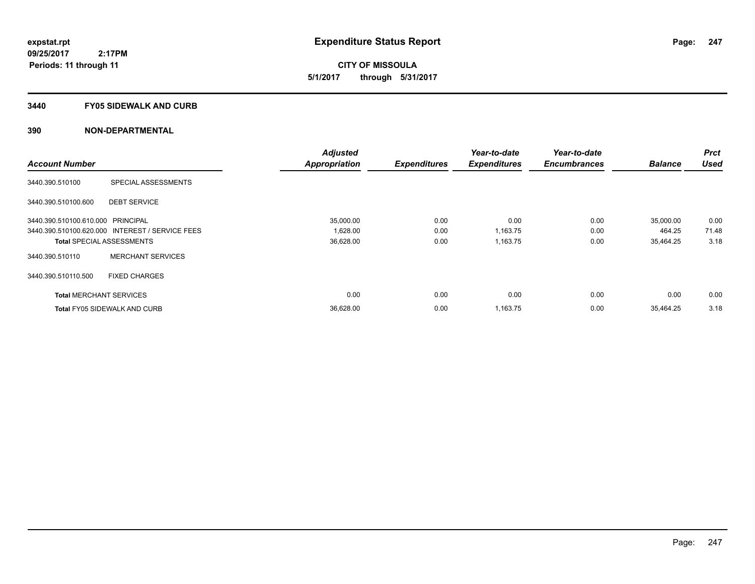**CITY OF MISSOULA 5/1/2017 through 5/31/2017**

### **3440 FY05 SIDEWALK AND CURB**

|                                   |                                                 | <b>Adjusted</b>      |                     | Year-to-date        | Year-to-date        |                | <b>Prct</b> |
|-----------------------------------|-------------------------------------------------|----------------------|---------------------|---------------------|---------------------|----------------|-------------|
| <b>Account Number</b>             |                                                 | <b>Appropriation</b> | <b>Expenditures</b> | <b>Expenditures</b> | <b>Encumbrances</b> | <b>Balance</b> | <b>Used</b> |
| 3440.390.510100                   | SPECIAL ASSESSMENTS                             |                      |                     |                     |                     |                |             |
| 3440.390.510100.600               | <b>DEBT SERVICE</b>                             |                      |                     |                     |                     |                |             |
| 3440.390.510100.610.000 PRINCIPAL |                                                 | 35,000.00            | 0.00                | 0.00                | 0.00                | 35,000.00      | 0.00        |
|                                   | 3440.390.510100.620.000 INTEREST / SERVICE FEES | 1,628.00             | 0.00                | 1,163.75            | 0.00                | 464.25         | 71.48       |
|                                   | <b>Total SPECIAL ASSESSMENTS</b>                | 36,628.00            | 0.00                | 1,163.75            | 0.00                | 35,464.25      | 3.18        |
| 3440.390.510110                   | <b>MERCHANT SERVICES</b>                        |                      |                     |                     |                     |                |             |
| 3440.390.510110.500               | <b>FIXED CHARGES</b>                            |                      |                     |                     |                     |                |             |
| <b>Total MERCHANT SERVICES</b>    |                                                 | 0.00                 | 0.00                | 0.00                | 0.00                | 0.00           | 0.00        |
|                                   | <b>Total FY05 SIDEWALK AND CURB</b>             | 36,628.00            | 0.00                | 1,163.75            | 0.00                | 35,464.25      | 3.18        |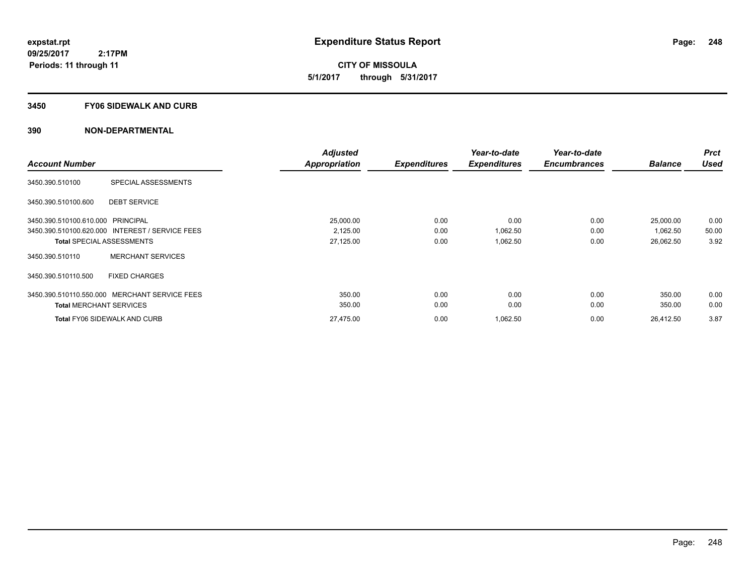**CITY OF MISSOULA 5/1/2017 through 5/31/2017**

### **3450 FY06 SIDEWALK AND CURB**

|                                   |                                                 | <b>Adjusted</b>      |                     | Year-to-date        | Year-to-date        |                | <b>Prct</b> |
|-----------------------------------|-------------------------------------------------|----------------------|---------------------|---------------------|---------------------|----------------|-------------|
| <b>Account Number</b>             |                                                 | <b>Appropriation</b> | <b>Expenditures</b> | <b>Expenditures</b> | <b>Encumbrances</b> | <b>Balance</b> | <b>Used</b> |
| 3450.390.510100                   | SPECIAL ASSESSMENTS                             |                      |                     |                     |                     |                |             |
| 3450.390.510100.600               | <b>DEBT SERVICE</b>                             |                      |                     |                     |                     |                |             |
| 3450.390.510100.610.000 PRINCIPAL |                                                 | 25,000.00            | 0.00                | 0.00                | 0.00                | 25,000.00      | 0.00        |
|                                   | 3450.390.510100.620.000 INTEREST / SERVICE FEES | 2,125.00             | 0.00                | 1,062.50            | 0.00                | 1,062.50       | 50.00       |
|                                   | <b>Total SPECIAL ASSESSMENTS</b>                | 27,125.00            | 0.00                | 1,062.50            | 0.00                | 26,062.50      | 3.92        |
| 3450.390.510110                   | <b>MERCHANT SERVICES</b>                        |                      |                     |                     |                     |                |             |
| 3450.390.510110.500               | <b>FIXED CHARGES</b>                            |                      |                     |                     |                     |                |             |
| 3450.390.510110.550.000           | <b>MERCHANT SERVICE FEES</b>                    | 350.00               | 0.00                | 0.00                | 0.00                | 350.00         | 0.00        |
| <b>Total MERCHANT SERVICES</b>    |                                                 | 350.00               | 0.00                | 0.00                | 0.00                | 350.00         | 0.00        |
|                                   | <b>Total FY06 SIDEWALK AND CURB</b>             | 27.475.00            | 0.00                | 1.062.50            | 0.00                | 26.412.50      | 3.87        |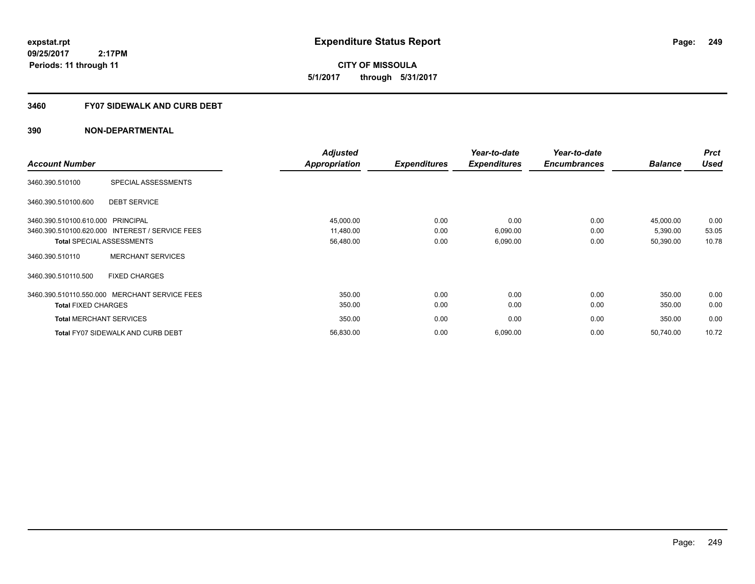**249**

**09/25/2017 2:17PM Periods: 11 through 11**

**CITY OF MISSOULA 5/1/2017 through 5/31/2017**

# **3460 FY07 SIDEWALK AND CURB DEBT**

|                                                 | <b>Adjusted</b>      |                     | Year-to-date        | Year-to-date        |                | <b>Prct</b> |
|-------------------------------------------------|----------------------|---------------------|---------------------|---------------------|----------------|-------------|
| <b>Account Number</b>                           | <b>Appropriation</b> | <b>Expenditures</b> | <b>Expenditures</b> | <b>Encumbrances</b> | <b>Balance</b> | <b>Used</b> |
| SPECIAL ASSESSMENTS<br>3460.390.510100          |                      |                     |                     |                     |                |             |
| <b>DEBT SERVICE</b><br>3460.390.510100.600      |                      |                     |                     |                     |                |             |
| 3460.390.510100.610.000 PRINCIPAL               | 45,000.00            | 0.00                | 0.00                | 0.00                | 45,000.00      | 0.00        |
| 3460.390.510100.620.000 INTEREST / SERVICE FEES | 11,480.00            | 0.00                | 6,090.00            | 0.00                | 5,390.00       | 53.05       |
| <b>Total SPECIAL ASSESSMENTS</b>                | 56,480.00            | 0.00                | 6,090.00            | 0.00                | 50,390.00      | 10.78       |
| <b>MERCHANT SERVICES</b><br>3460.390.510110     |                      |                     |                     |                     |                |             |
| <b>FIXED CHARGES</b><br>3460.390.510110.500     |                      |                     |                     |                     |                |             |
| 3460.390.510110.550.000 MERCHANT SERVICE FEES   | 350.00               | 0.00                | 0.00                | 0.00                | 350.00         | 0.00        |
| <b>Total FIXED CHARGES</b>                      | 350.00               | 0.00                | 0.00                | 0.00                | 350.00         | 0.00        |
| <b>Total MERCHANT SERVICES</b>                  | 350.00               | 0.00                | 0.00                | 0.00                | 350.00         | 0.00        |
| <b>Total FY07 SIDEWALK AND CURB DEBT</b>        | 56,830.00            | 0.00                | 6,090.00            | 0.00                | 50,740.00      | 10.72       |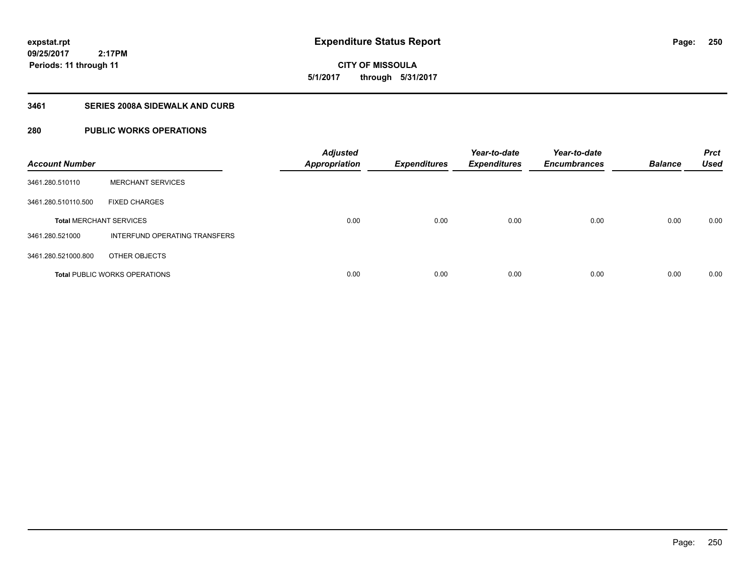**CITY OF MISSOULA 5/1/2017 through 5/31/2017**

# **3461 SERIES 2008A SIDEWALK AND CURB**

# **280 PUBLIC WORKS OPERATIONS**

| <b>Account Number</b>          |                                      | <b>Adjusted</b><br><b>Appropriation</b> | <b>Expenditures</b> | Year-to-date<br><b>Expenditures</b> | Year-to-date<br><b>Encumbrances</b> | <b>Balance</b> | <b>Prct</b><br><b>Used</b> |
|--------------------------------|--------------------------------------|-----------------------------------------|---------------------|-------------------------------------|-------------------------------------|----------------|----------------------------|
| 3461.280.510110                | <b>MERCHANT SERVICES</b>             |                                         |                     |                                     |                                     |                |                            |
| 3461.280.510110.500            | <b>FIXED CHARGES</b>                 |                                         |                     |                                     |                                     |                |                            |
| <b>Total MERCHANT SERVICES</b> |                                      | 0.00                                    | 0.00                | 0.00                                | 0.00                                | 0.00           | 0.00                       |
| 3461.280.521000                | INTERFUND OPERATING TRANSFERS        |                                         |                     |                                     |                                     |                |                            |
| 3461.280.521000.800            | OTHER OBJECTS                        |                                         |                     |                                     |                                     |                |                            |
|                                | <b>Total PUBLIC WORKS OPERATIONS</b> | 0.00                                    | 0.00                | 0.00                                | 0.00                                | 0.00           | 0.00                       |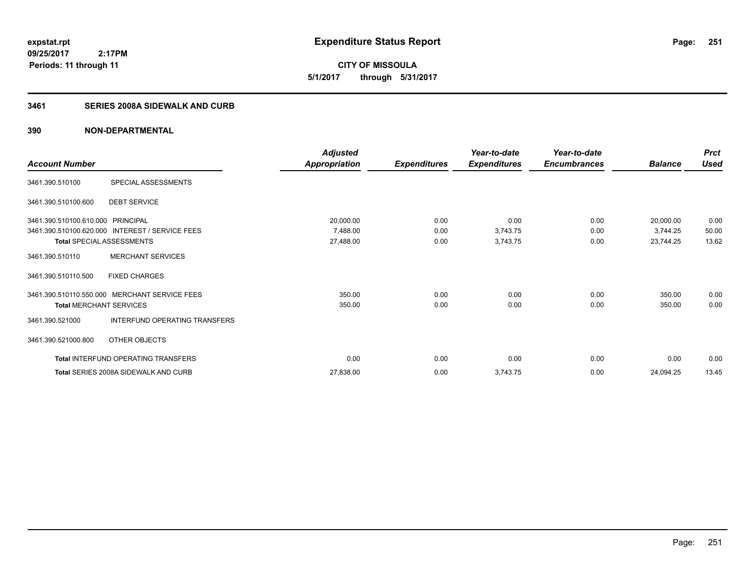**251**

**CITY OF MISSOULA 5/1/2017 through 5/31/2017**

# **3461 SERIES 2008A SIDEWALK AND CURB**

|                                |                                                 | <b>Adjusted</b>      |                     | Year-to-date        | Year-to-date        |                | <b>Prct</b> |
|--------------------------------|-------------------------------------------------|----------------------|---------------------|---------------------|---------------------|----------------|-------------|
| <b>Account Number</b>          |                                                 | <b>Appropriation</b> | <b>Expenditures</b> | <b>Expenditures</b> | <b>Encumbrances</b> | <b>Balance</b> | <b>Used</b> |
| 3461.390.510100                | SPECIAL ASSESSMENTS                             |                      |                     |                     |                     |                |             |
| 3461.390.510100.600            | <b>DEBT SERVICE</b>                             |                      |                     |                     |                     |                |             |
| 3461.390.510100.610.000        | PRINCIPAL                                       | 20,000.00            | 0.00                | 0.00                | 0.00                | 20,000.00      | 0.00        |
|                                | 3461.390.510100.620.000 INTEREST / SERVICE FEES | 7,488.00             | 0.00                | 3,743.75            | 0.00                | 3,744.25       | 50.00       |
| Total SPECIAL ASSESSMENTS      |                                                 | 27,488.00            | 0.00                | 3,743.75            | 0.00                | 23,744.25      | 13.62       |
| 3461.390.510110                | <b>MERCHANT SERVICES</b>                        |                      |                     |                     |                     |                |             |
| 3461.390.510110.500            | <b>FIXED CHARGES</b>                            |                      |                     |                     |                     |                |             |
|                                | 3461.390.510110.550.000 MERCHANT SERVICE FEES   | 350.00               | 0.00                | 0.00                | 0.00                | 350.00         | 0.00        |
| <b>Total MERCHANT SERVICES</b> |                                                 | 350.00               | 0.00                | 0.00                | 0.00                | 350.00         | 0.00        |
| 3461.390.521000                | <b>INTERFUND OPERATING TRANSFERS</b>            |                      |                     |                     |                     |                |             |
| 3461.390.521000.800            | OTHER OBJECTS                                   |                      |                     |                     |                     |                |             |
|                                | Total INTERFUND OPERATING TRANSFERS             | 0.00                 | 0.00                | 0.00                | 0.00                | 0.00           | 0.00        |
|                                | <b>Total SERIES 2008A SIDEWALK AND CURB</b>     | 27,838.00            | 0.00                | 3,743.75            | 0.00                | 24,094.25      | 13.45       |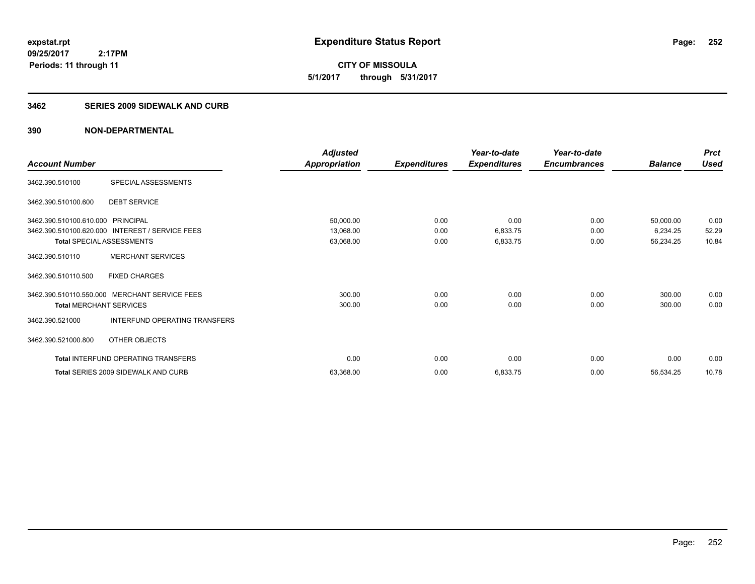**CITY OF MISSOULA 5/1/2017 through 5/31/2017**

### **3462 SERIES 2009 SIDEWALK AND CURB**

|                                   |                                                 | <b>Adjusted</b>      |                     | Year-to-date        | Year-to-date        |                | <b>Prct</b> |
|-----------------------------------|-------------------------------------------------|----------------------|---------------------|---------------------|---------------------|----------------|-------------|
| <b>Account Number</b>             |                                                 | <b>Appropriation</b> | <b>Expenditures</b> | <b>Expenditures</b> | <b>Encumbrances</b> | <b>Balance</b> | <b>Used</b> |
| 3462.390.510100                   | SPECIAL ASSESSMENTS                             |                      |                     |                     |                     |                |             |
| 3462.390.510100.600               | <b>DEBT SERVICE</b>                             |                      |                     |                     |                     |                |             |
| 3462.390.510100.610.000 PRINCIPAL |                                                 | 50,000.00            | 0.00                | 0.00                | 0.00                | 50,000.00      | 0.00        |
|                                   | 3462.390.510100.620.000 INTEREST / SERVICE FEES | 13,068.00            | 0.00                | 6,833.75            | 0.00                | 6,234.25       | 52.29       |
| <b>Total SPECIAL ASSESSMENTS</b>  |                                                 | 63,068.00            | 0.00                | 6,833.75            | 0.00                | 56,234.25      | 10.84       |
| 3462.390.510110                   | <b>MERCHANT SERVICES</b>                        |                      |                     |                     |                     |                |             |
| 3462.390.510110.500               | <b>FIXED CHARGES</b>                            |                      |                     |                     |                     |                |             |
|                                   | 3462.390.510110.550.000 MERCHANT SERVICE FEES   | 300.00               | 0.00                | 0.00                | 0.00                | 300.00         | 0.00        |
| <b>Total MERCHANT SERVICES</b>    |                                                 | 300.00               | 0.00                | 0.00                | 0.00                | 300.00         | 0.00        |
| 3462.390.521000                   | INTERFUND OPERATING TRANSFERS                   |                      |                     |                     |                     |                |             |
| 3462.390.521000.800               | OTHER OBJECTS                                   |                      |                     |                     |                     |                |             |
|                                   | Total INTERFUND OPERATING TRANSFERS             | 0.00                 | 0.00                | 0.00                | 0.00                | 0.00           | 0.00        |
|                                   | Total SERIES 2009 SIDEWALK AND CURB             | 63,368.00            | 0.00                | 6,833.75            | 0.00                | 56,534.25      | 10.78       |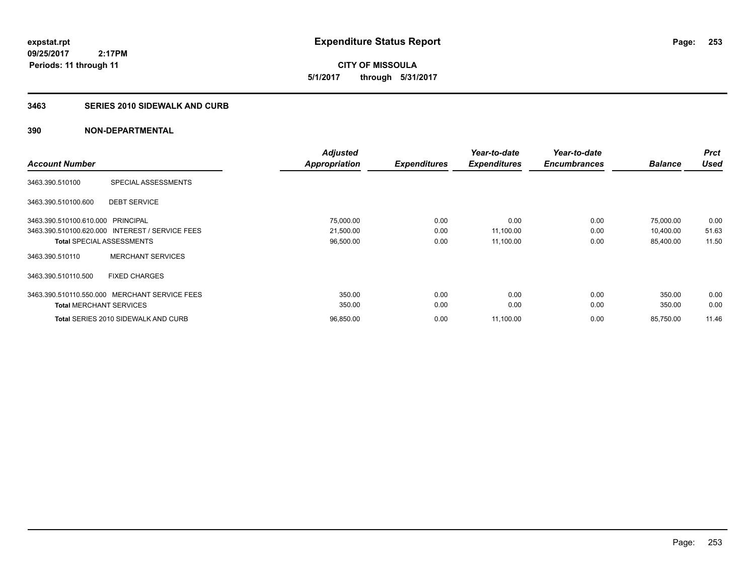**09/25/2017 2:17PM Periods: 11 through 11**

**CITY OF MISSOULA 5/1/2017 through 5/31/2017**

# **3463 SERIES 2010 SIDEWALK AND CURB**

|                                   |                                                 | <b>Adjusted</b> |                     | Year-to-date        | Year-to-date        |                | <b>Prct</b> |
|-----------------------------------|-------------------------------------------------|-----------------|---------------------|---------------------|---------------------|----------------|-------------|
| <b>Account Number</b>             |                                                 | Appropriation   | <b>Expenditures</b> | <b>Expenditures</b> | <b>Encumbrances</b> | <b>Balance</b> | <b>Used</b> |
| 3463.390.510100                   | SPECIAL ASSESSMENTS                             |                 |                     |                     |                     |                |             |
| 3463.390.510100.600               | <b>DEBT SERVICE</b>                             |                 |                     |                     |                     |                |             |
| 3463.390.510100.610.000 PRINCIPAL |                                                 | 75,000.00       | 0.00                | 0.00                | 0.00                | 75,000.00      | 0.00        |
|                                   | 3463.390.510100.620.000 INTEREST / SERVICE FEES | 21,500.00       | 0.00                | 11,100.00           | 0.00                | 10,400.00      | 51.63       |
|                                   | <b>Total SPECIAL ASSESSMENTS</b>                | 96,500.00       | 0.00                | 11,100.00           | 0.00                | 85,400.00      | 11.50       |
| 3463.390.510110                   | <b>MERCHANT SERVICES</b>                        |                 |                     |                     |                     |                |             |
| 3463.390.510110.500               | <b>FIXED CHARGES</b>                            |                 |                     |                     |                     |                |             |
|                                   | 3463.390.510110.550.000 MERCHANT SERVICE FEES   | 350.00          | 0.00                | 0.00                | 0.00                | 350.00         | 0.00        |
| <b>Total MERCHANT SERVICES</b>    |                                                 | 350.00          | 0.00                | 0.00                | 0.00                | 350.00         | 0.00        |
|                                   | Total SERIES 2010 SIDEWALK AND CURB             | 96,850.00       | 0.00                | 11,100.00           | 0.00                | 85,750.00      | 11.46       |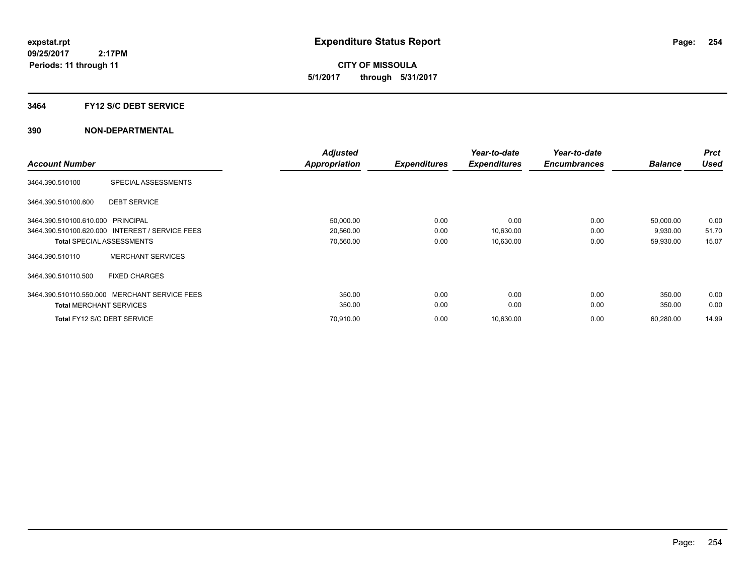**CITY OF MISSOULA 5/1/2017 through 5/31/2017**

### **3464 FY12 S/C DEBT SERVICE**

|                                                 | <b>Adjusted</b> |                     | Year-to-date        | Year-to-date        |                | <b>Prct</b> |
|-------------------------------------------------|-----------------|---------------------|---------------------|---------------------|----------------|-------------|
| <b>Account Number</b>                           | Appropriation   | <b>Expenditures</b> | <b>Expenditures</b> | <b>Encumbrances</b> | <b>Balance</b> | <b>Used</b> |
| SPECIAL ASSESSMENTS<br>3464.390.510100          |                 |                     |                     |                     |                |             |
| 3464.390.510100.600<br><b>DEBT SERVICE</b>      |                 |                     |                     |                     |                |             |
| 3464.390.510100.610.000 PRINCIPAL               | 50,000.00       | 0.00                | 0.00                | 0.00                | 50,000.00      | 0.00        |
| 3464.390.510100.620.000 INTEREST / SERVICE FEES | 20,560.00       | 0.00                | 10,630.00           | 0.00                | 9,930.00       | 51.70       |
| <b>Total SPECIAL ASSESSMENTS</b>                | 70,560.00       | 0.00                | 10,630.00           | 0.00                | 59,930.00      | 15.07       |
| <b>MERCHANT SERVICES</b><br>3464.390.510110     |                 |                     |                     |                     |                |             |
| <b>FIXED CHARGES</b><br>3464.390.510110.500     |                 |                     |                     |                     |                |             |
| 3464.390.510110.550.000 MERCHANT SERVICE FEES   | 350.00          | 0.00                | 0.00                | 0.00                | 350.00         | 0.00        |
| <b>Total MERCHANT SERVICES</b>                  | 350.00          | 0.00                | 0.00                | 0.00                | 350.00         | 0.00        |
| Total FY12 S/C DEBT SERVICE                     | 70,910.00       | 0.00                | 10,630.00           | 0.00                | 60,280.00      | 14.99       |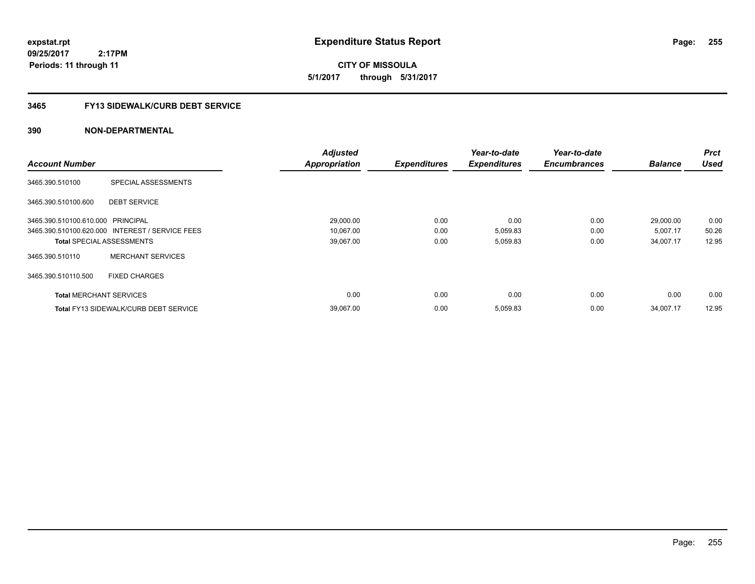**expstat.rpt Expenditure Status Report** 

**09/25/2017 2:17PM Periods: 11 through 11**

**CITY OF MISSOULA 5/1/2017 through 5/31/2017**

# **3465 FY13 SIDEWALK/CURB DEBT SERVICE**

|                                   |                                                 | <b>Adjusted</b>      |                     | Year-to-date        | Year-to-date        |                | <b>Prct</b> |
|-----------------------------------|-------------------------------------------------|----------------------|---------------------|---------------------|---------------------|----------------|-------------|
| <b>Account Number</b>             |                                                 | <b>Appropriation</b> | <b>Expenditures</b> | <b>Expenditures</b> | <b>Encumbrances</b> | <b>Balance</b> | <b>Used</b> |
| 3465.390.510100                   | SPECIAL ASSESSMENTS                             |                      |                     |                     |                     |                |             |
| 3465.390.510100.600               | <b>DEBT SERVICE</b>                             |                      |                     |                     |                     |                |             |
| 3465.390.510100.610.000 PRINCIPAL |                                                 | 29,000.00            | 0.00                | 0.00                | 0.00                | 29,000.00      | 0.00        |
|                                   | 3465.390.510100.620.000 INTEREST / SERVICE FEES | 10,067.00            | 0.00                | 5,059.83            | 0.00                | 5,007.17       | 50.26       |
| <b>Total SPECIAL ASSESSMENTS</b>  |                                                 | 39,067.00            | 0.00                | 5,059.83            | 0.00                | 34,007.17      | 12.95       |
| 3465.390.510110                   | <b>MERCHANT SERVICES</b>                        |                      |                     |                     |                     |                |             |
| 3465.390.510110.500               | <b>FIXED CHARGES</b>                            |                      |                     |                     |                     |                |             |
| <b>Total MERCHANT SERVICES</b>    |                                                 | 0.00                 | 0.00                | 0.00                | 0.00                | 0.00           | 0.00        |
|                                   | <b>Total FY13 SIDEWALK/CURB DEBT SERVICE</b>    | 39,067.00            | 0.00                | 5,059.83            | 0.00                | 34,007.17      | 12.95       |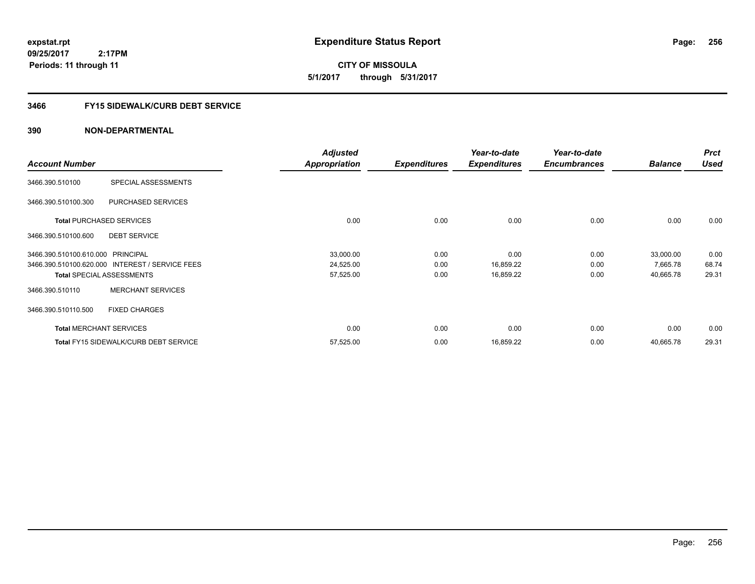**expstat.rpt Expenditure Status Report** 

**09/25/2017 2:17PM Periods: 11 through 11**

**CITY OF MISSOULA 5/1/2017 through 5/31/2017**

# **3466 FY15 SIDEWALK/CURB DEBT SERVICE**

|                                   |                                                 | <b>Adjusted</b>      |                     | Year-to-date        | Year-to-date        |                | <b>Prct</b> |
|-----------------------------------|-------------------------------------------------|----------------------|---------------------|---------------------|---------------------|----------------|-------------|
| <b>Account Number</b>             |                                                 | <b>Appropriation</b> | <b>Expenditures</b> | <b>Expenditures</b> | <b>Encumbrances</b> | <b>Balance</b> | <b>Used</b> |
| 3466.390.510100                   | SPECIAL ASSESSMENTS                             |                      |                     |                     |                     |                |             |
| 3466.390.510100.300               | PURCHASED SERVICES                              |                      |                     |                     |                     |                |             |
|                                   | <b>Total PURCHASED SERVICES</b>                 | 0.00                 | 0.00                | 0.00                | 0.00                | 0.00           | 0.00        |
| 3466.390.510100.600               | <b>DEBT SERVICE</b>                             |                      |                     |                     |                     |                |             |
| 3466.390.510100.610.000 PRINCIPAL |                                                 | 33,000.00            | 0.00                | 0.00                | 0.00                | 33,000.00      | 0.00        |
|                                   | 3466.390.510100.620.000 INTEREST / SERVICE FEES | 24,525.00            | 0.00                | 16,859.22           | 0.00                | 7,665.78       | 68.74       |
|                                   | <b>Total SPECIAL ASSESSMENTS</b>                | 57,525.00            | 0.00                | 16,859.22           | 0.00                | 40,665.78      | 29.31       |
| 3466.390.510110                   | <b>MERCHANT SERVICES</b>                        |                      |                     |                     |                     |                |             |
| 3466.390.510110.500               | <b>FIXED CHARGES</b>                            |                      |                     |                     |                     |                |             |
|                                   | <b>Total MERCHANT SERVICES</b>                  | 0.00                 | 0.00                | 0.00                | 0.00                | 0.00           | 0.00        |
|                                   | <b>Total FY15 SIDEWALK/CURB DEBT SERVICE</b>    | 57,525.00            | 0.00                | 16,859.22           | 0.00                | 40,665.78      | 29.31       |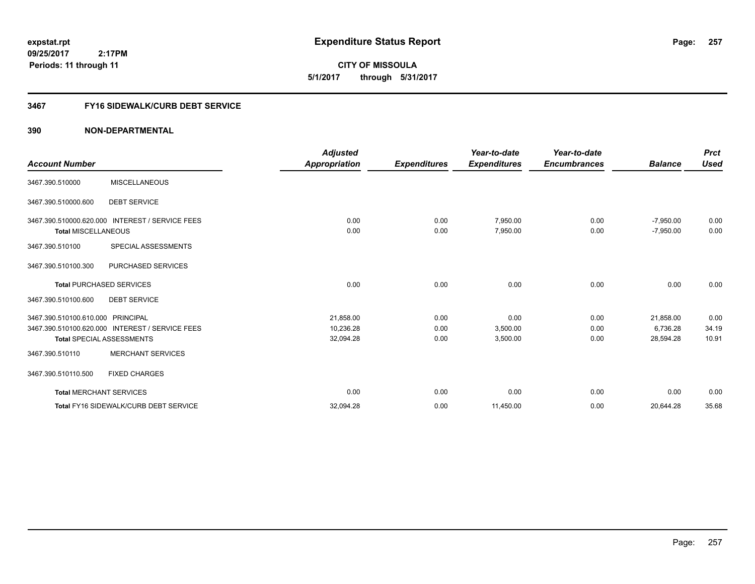**expstat.rpt Expenditure Status Report** 

**09/25/2017 2:17PM Periods: 11 through 11**

**CITY OF MISSOULA 5/1/2017 through 5/31/2017**

# **3467 FY16 SIDEWALK/CURB DEBT SERVICE**

|                                   |                                                 | <b>Adjusted</b> |                     | Year-to-date        | Year-to-date        |                | <b>Prct</b> |
|-----------------------------------|-------------------------------------------------|-----------------|---------------------|---------------------|---------------------|----------------|-------------|
| <b>Account Number</b>             |                                                 | Appropriation   | <b>Expenditures</b> | <b>Expenditures</b> | <b>Encumbrances</b> | <b>Balance</b> | <b>Used</b> |
| 3467.390.510000                   | <b>MISCELLANEOUS</b>                            |                 |                     |                     |                     |                |             |
| 3467.390.510000.600               | <b>DEBT SERVICE</b>                             |                 |                     |                     |                     |                |             |
|                                   | 3467.390.510000.620.000 INTEREST / SERVICE FEES | 0.00            | 0.00                | 7,950.00            | 0.00                | $-7,950.00$    | 0.00        |
| <b>Total MISCELLANEOUS</b>        |                                                 | 0.00            | 0.00                | 7,950.00            | 0.00                | $-7,950.00$    | 0.00        |
| 3467.390.510100                   | SPECIAL ASSESSMENTS                             |                 |                     |                     |                     |                |             |
| 3467.390.510100.300               | PURCHASED SERVICES                              |                 |                     |                     |                     |                |             |
|                                   | <b>Total PURCHASED SERVICES</b>                 | 0.00            | 0.00                | 0.00                | 0.00                | 0.00           | 0.00        |
| 3467.390.510100.600               | <b>DEBT SERVICE</b>                             |                 |                     |                     |                     |                |             |
| 3467.390.510100.610.000 PRINCIPAL |                                                 | 21,858.00       | 0.00                | 0.00                | 0.00                | 21,858.00      | 0.00        |
|                                   | 3467.390.510100.620.000 INTEREST / SERVICE FEES | 10,236.28       | 0.00                | 3,500.00            | 0.00                | 6,736.28       | 34.19       |
|                                   | <b>Total SPECIAL ASSESSMENTS</b>                | 32,094.28       | 0.00                | 3,500.00            | 0.00                | 28,594.28      | 10.91       |
| 3467.390.510110                   | <b>MERCHANT SERVICES</b>                        |                 |                     |                     |                     |                |             |
| 3467.390.510110.500               | <b>FIXED CHARGES</b>                            |                 |                     |                     |                     |                |             |
| <b>Total MERCHANT SERVICES</b>    |                                                 | 0.00            | 0.00                | 0.00                | 0.00                | 0.00           | 0.00        |
|                                   | Total FY16 SIDEWALK/CURB DEBT SERVICE           | 32,094.28       | 0.00                | 11,450.00           | 0.00                | 20,644.28      | 35.68       |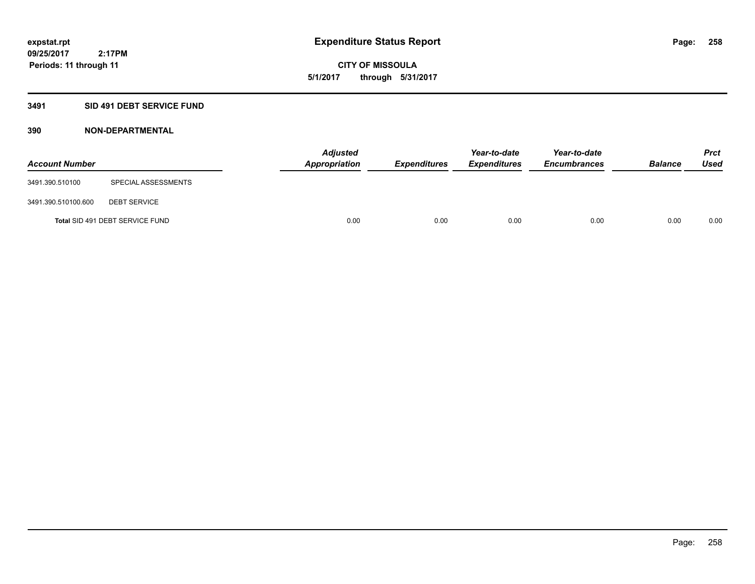# **CITY OF MISSOULA 5/1/2017 through 5/31/2017**

# **3491 SID 491 DEBT SERVICE FUND**

| <b>Account Number</b> |                                 | <b>Adjusted</b><br>Appropriation | <b>Expenditures</b> | Year-to-date<br><i><b>Expenditures</b></i> | Year-to-date<br><b>Encumbrances</b> | <b>Balance</b> | <b>Prct</b><br>Used |
|-----------------------|---------------------------------|----------------------------------|---------------------|--------------------------------------------|-------------------------------------|----------------|---------------------|
| 3491.390.510100       | SPECIAL ASSESSMENTS             |                                  |                     |                                            |                                     |                |                     |
| 3491.390.510100.600   | <b>DEBT SERVICE</b>             |                                  |                     |                                            |                                     |                |                     |
|                       | Total SID 491 DEBT SERVICE FUND | 0.00                             | 0.00                | 0.00                                       | 0.00                                | 0.00           | 0.00                |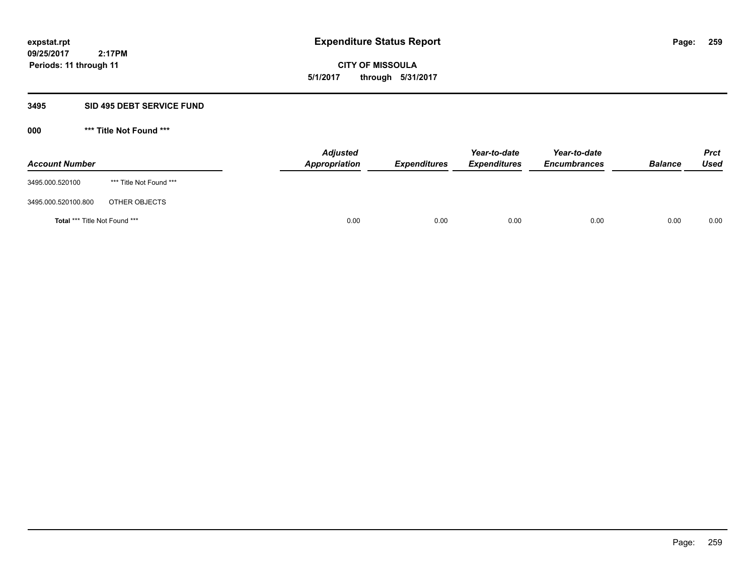**CITY OF MISSOULA 5/1/2017 through 5/31/2017**

# **3495 SID 495 DEBT SERVICE FUND**

| <b>Account Number</b>                |                         | <b>Adjusted</b><br>Appropriation | <b>Expenditures</b> | Year-to-date<br><b>Expenditures</b> | Year-to-date<br><b>Encumbrances</b> | <b>Balance</b> | <b>Prct</b><br>Used |
|--------------------------------------|-------------------------|----------------------------------|---------------------|-------------------------------------|-------------------------------------|----------------|---------------------|
| 3495.000.520100                      | *** Title Not Found *** |                                  |                     |                                     |                                     |                |                     |
| 3495.000.520100.800                  | OTHER OBJECTS           |                                  |                     |                                     |                                     |                |                     |
| <b>Total *** Title Not Found ***</b> |                         | 0.00                             | 0.00                | 0.00                                | 0.00                                | 0.00           | 0.00                |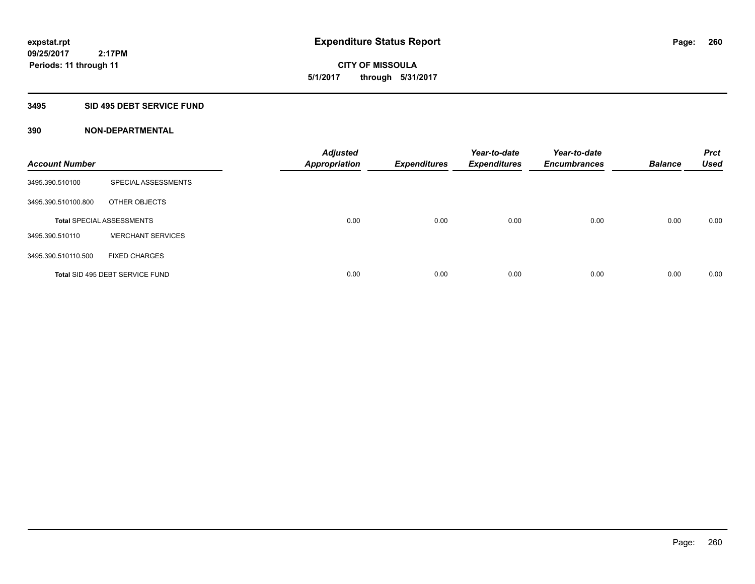**09/25/2017 2:17PM Periods: 11 through 11**

**CITY OF MISSOULA 5/1/2017 through 5/31/2017**

### **3495 SID 495 DEBT SERVICE FUND**

| <b>Account Number</b> |                                  | <b>Adjusted</b><br><b>Appropriation</b> | <b>Expenditures</b> | Year-to-date<br><b>Expenditures</b> | Year-to-date<br><b>Encumbrances</b> | <b>Balance</b> | <b>Prct</b><br><b>Used</b> |
|-----------------------|----------------------------------|-----------------------------------------|---------------------|-------------------------------------|-------------------------------------|----------------|----------------------------|
| 3495.390.510100       | SPECIAL ASSESSMENTS              |                                         |                     |                                     |                                     |                |                            |
| 3495.390.510100.800   | OTHER OBJECTS                    |                                         |                     |                                     |                                     |                |                            |
|                       | <b>Total SPECIAL ASSESSMENTS</b> | 0.00                                    | 0.00                | 0.00                                | 0.00                                | 0.00           | 0.00                       |
| 3495.390.510110       | <b>MERCHANT SERVICES</b>         |                                         |                     |                                     |                                     |                |                            |
| 3495.390.510110.500   | <b>FIXED CHARGES</b>             |                                         |                     |                                     |                                     |                |                            |
|                       | Total SID 495 DEBT SERVICE FUND  | 0.00                                    | 0.00                | 0.00                                | 0.00                                | 0.00           | 0.00                       |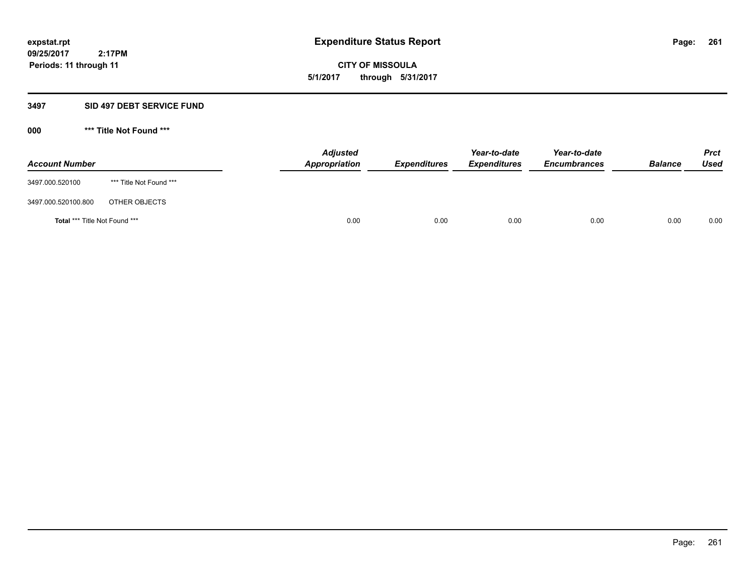**CITY OF MISSOULA 5/1/2017 through 5/31/2017**

# **3497 SID 497 DEBT SERVICE FUND**

| <b>Account Number</b>                |                         | <b>Adjusted</b><br>Appropriation | <b>Expenditures</b> | Year-to-date<br><b>Expenditures</b> | Year-to-date<br><b>Encumbrances</b> | <b>Balance</b> | Prct<br><b>Used</b> |
|--------------------------------------|-------------------------|----------------------------------|---------------------|-------------------------------------|-------------------------------------|----------------|---------------------|
| 3497.000.520100                      | *** Title Not Found *** |                                  |                     |                                     |                                     |                |                     |
| 3497.000.520100.800                  | OTHER OBJECTS           |                                  |                     |                                     |                                     |                |                     |
| <b>Total *** Title Not Found ***</b> |                         | 0.00                             | 0.00                | 0.00                                | 0.00                                | 0.00           | 0.00                |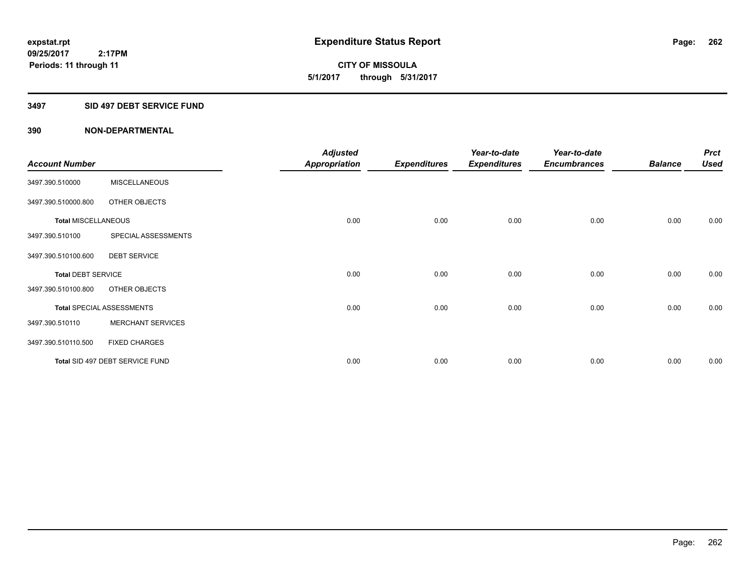**09/25/2017 2:17PM Periods: 11 through 11**

**CITY OF MISSOULA 5/1/2017 through 5/31/2017**

### **3497 SID 497 DEBT SERVICE FUND**

|                            |                                  | <b>Adjusted</b>      |                     | Year-to-date        | Year-to-date        |                | <b>Prct</b> |
|----------------------------|----------------------------------|----------------------|---------------------|---------------------|---------------------|----------------|-------------|
| <b>Account Number</b>      |                                  | <b>Appropriation</b> | <b>Expenditures</b> | <b>Expenditures</b> | <b>Encumbrances</b> | <b>Balance</b> | <b>Used</b> |
| 3497.390.510000            | <b>MISCELLANEOUS</b>             |                      |                     |                     |                     |                |             |
| 3497.390.510000.800        | OTHER OBJECTS                    |                      |                     |                     |                     |                |             |
| <b>Total MISCELLANEOUS</b> |                                  | 0.00                 | 0.00                | 0.00                | 0.00                | 0.00           | 0.00        |
| 3497.390.510100            | SPECIAL ASSESSMENTS              |                      |                     |                     |                     |                |             |
| 3497.390.510100.600        | <b>DEBT SERVICE</b>              |                      |                     |                     |                     |                |             |
| <b>Total DEBT SERVICE</b>  |                                  | 0.00                 | 0.00                | 0.00                | 0.00                | 0.00           | 0.00        |
| 3497.390.510100.800        | OTHER OBJECTS                    |                      |                     |                     |                     |                |             |
|                            | <b>Total SPECIAL ASSESSMENTS</b> | 0.00                 | 0.00                | 0.00                | 0.00                | 0.00           | 0.00        |
| 3497.390.510110            | <b>MERCHANT SERVICES</b>         |                      |                     |                     |                     |                |             |
| 3497.390.510110.500        | <b>FIXED CHARGES</b>             |                      |                     |                     |                     |                |             |
|                            | Total SID 497 DEBT SERVICE FUND  | 0.00                 | 0.00                | 0.00                | 0.00                | 0.00           | 0.00        |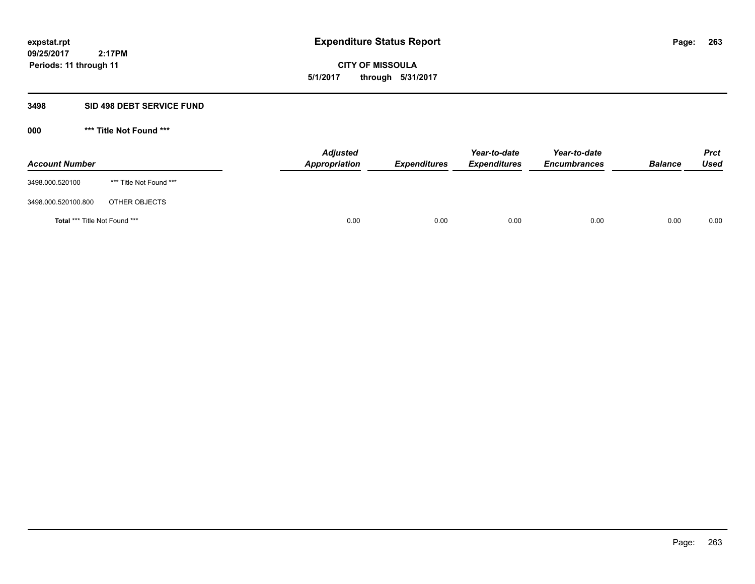**CITY OF MISSOULA 5/1/2017 through 5/31/2017**

# **3498 SID 498 DEBT SERVICE FUND**

| <b>Account Number</b>         |                         | <b>Adjusted</b><br>Appropriation | <b>Expenditures</b> | Year-to-date<br><b>Expenditures</b> | Year-to-date<br><b>Encumbrances</b> | <b>Balance</b> | <b>Prct</b><br>Used |
|-------------------------------|-------------------------|----------------------------------|---------------------|-------------------------------------|-------------------------------------|----------------|---------------------|
| 3498.000.520100               | *** Title Not Found *** |                                  |                     |                                     |                                     |                |                     |
| 3498.000.520100.800           | OTHER OBJECTS           |                                  |                     |                                     |                                     |                |                     |
| Total *** Title Not Found *** |                         | 0.00                             | 0.00                | 0.00                                | 0.00                                | 0.00           | 0.00                |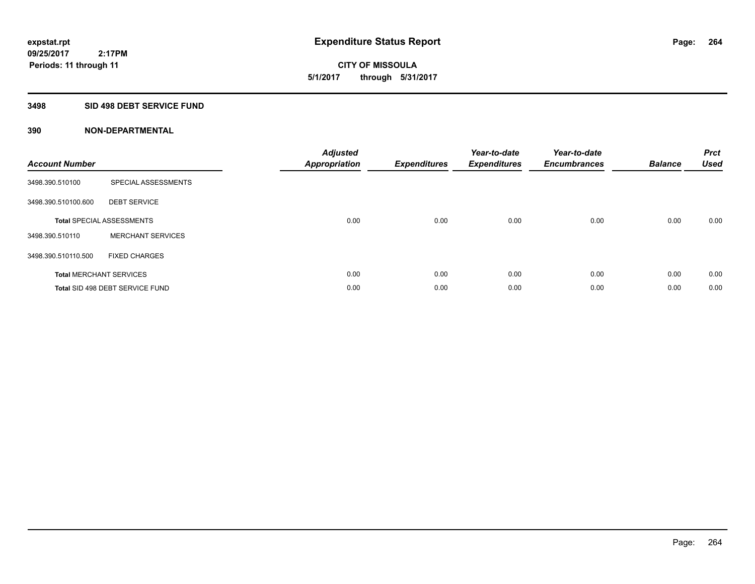**09/25/2017 2:17PM Periods: 11 through 11**

# **CITY OF MISSOULA 5/1/2017 through 5/31/2017**

# **3498 SID 498 DEBT SERVICE FUND**

| <b>Account Number</b> |                                  | <b>Adjusted</b><br><b>Appropriation</b> | <b>Expenditures</b> | Year-to-date<br><b>Expenditures</b> | Year-to-date<br><b>Encumbrances</b> | <b>Balance</b> | <b>Prct</b><br><b>Used</b> |
|-----------------------|----------------------------------|-----------------------------------------|---------------------|-------------------------------------|-------------------------------------|----------------|----------------------------|
| 3498.390.510100       | SPECIAL ASSESSMENTS              |                                         |                     |                                     |                                     |                |                            |
| 3498.390.510100.600   | <b>DEBT SERVICE</b>              |                                         |                     |                                     |                                     |                |                            |
|                       | <b>Total SPECIAL ASSESSMENTS</b> | 0.00                                    | 0.00                | 0.00                                | 0.00                                | 0.00           | 0.00                       |
| 3498.390.510110       | <b>MERCHANT SERVICES</b>         |                                         |                     |                                     |                                     |                |                            |
| 3498.390.510110.500   | <b>FIXED CHARGES</b>             |                                         |                     |                                     |                                     |                |                            |
|                       | <b>Total MERCHANT SERVICES</b>   | 0.00                                    | 0.00                | 0.00                                | 0.00                                | 0.00           | 0.00                       |
|                       | Total SID 498 DEBT SERVICE FUND  | 0.00                                    | 0.00                | 0.00                                | 0.00                                | 0.00           | 0.00                       |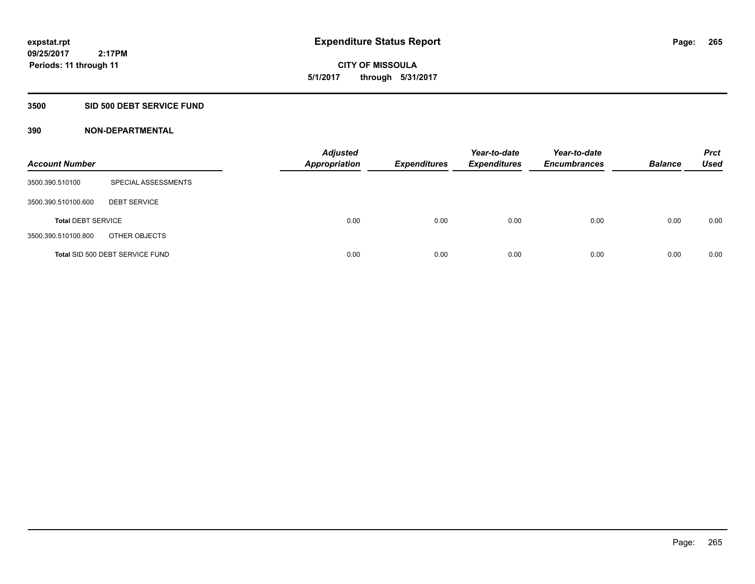**09/25/2017 2:17PM Periods: 11 through 11**

**CITY OF MISSOULA 5/1/2017 through 5/31/2017**

### **3500 SID 500 DEBT SERVICE FUND**

| <b>Account Number</b>     |                                 | <b>Adjusted</b><br><b>Appropriation</b> | <b>Expenditures</b> | Year-to-date<br><b>Expenditures</b> | Year-to-date<br><b>Encumbrances</b> | <b>Balance</b> | <b>Prct</b><br><b>Used</b> |
|---------------------------|---------------------------------|-----------------------------------------|---------------------|-------------------------------------|-------------------------------------|----------------|----------------------------|
| 3500.390.510100           | SPECIAL ASSESSMENTS             |                                         |                     |                                     |                                     |                |                            |
| 3500.390.510100.600       | <b>DEBT SERVICE</b>             |                                         |                     |                                     |                                     |                |                            |
| <b>Total DEBT SERVICE</b> |                                 | 0.00                                    | 0.00                | 0.00                                | 0.00                                | 0.00           | 0.00                       |
| 3500.390.510100.800       | OTHER OBJECTS                   |                                         |                     |                                     |                                     |                |                            |
|                           | Total SID 500 DEBT SERVICE FUND | 0.00                                    | 0.00                | 0.00                                | 0.00                                | 0.00           | 0.00                       |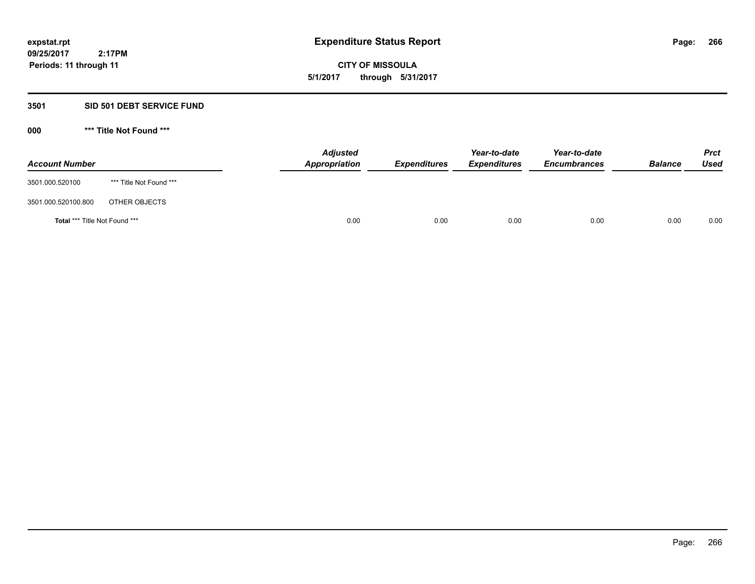**09/25/2017 2:17PM Periods: 11 through 11**

**CITY OF MISSOULA 5/1/2017 through 5/31/2017**

# **3501 SID 501 DEBT SERVICE FUND**

| <b>Account Number</b>         |                         | <b>Adjusted</b><br>Appropriation | <b>Expenditures</b> | Year-to-date<br><b>Expenditures</b> | Year-to-date<br><b>Encumbrances</b> | <b>Balance</b> | <b>Prct</b><br>Used |
|-------------------------------|-------------------------|----------------------------------|---------------------|-------------------------------------|-------------------------------------|----------------|---------------------|
| 3501.000.520100               | *** Title Not Found *** |                                  |                     |                                     |                                     |                |                     |
| 3501.000.520100.800           | OTHER OBJECTS           |                                  |                     |                                     |                                     |                |                     |
| Total *** Title Not Found *** |                         | 0.00                             | 0.00                | 0.00                                | 0.00                                | 0.00           | 0.00                |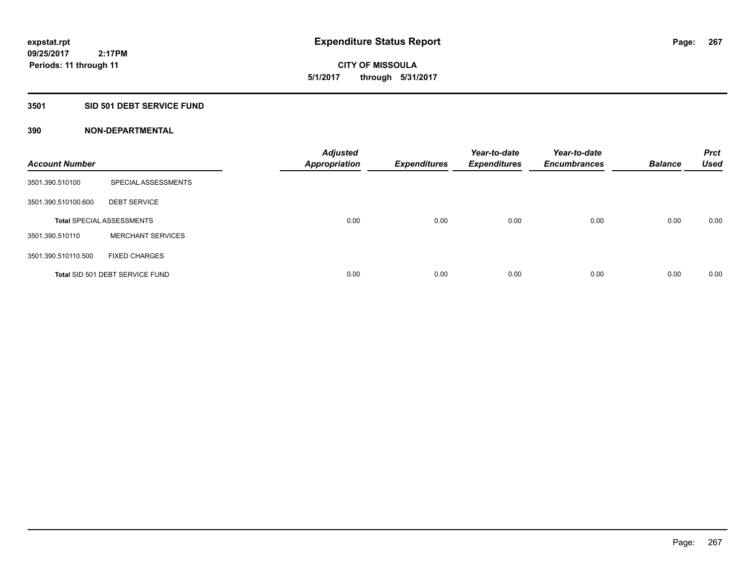**09/25/2017 2:17PM Periods: 11 through 11**

**CITY OF MISSOULA 5/1/2017 through 5/31/2017**

# **3501 SID 501 DEBT SERVICE FUND**

| <b>Account Number</b> |                                  | <b>Adjusted</b><br><b>Appropriation</b> | <b>Expenditures</b> | Year-to-date<br><b>Expenditures</b> | Year-to-date<br><b>Encumbrances</b> | <b>Balance</b> | <b>Prct</b><br><b>Used</b> |
|-----------------------|----------------------------------|-----------------------------------------|---------------------|-------------------------------------|-------------------------------------|----------------|----------------------------|
| 3501.390.510100       | SPECIAL ASSESSMENTS              |                                         |                     |                                     |                                     |                |                            |
| 3501.390.510100.600   | <b>DEBT SERVICE</b>              |                                         |                     |                                     |                                     |                |                            |
|                       | <b>Total SPECIAL ASSESSMENTS</b> | 0.00                                    | 0.00                | 0.00                                | 0.00                                | 0.00           | 0.00                       |
| 3501.390.510110       | <b>MERCHANT SERVICES</b>         |                                         |                     |                                     |                                     |                |                            |
| 3501.390.510110.500   | <b>FIXED CHARGES</b>             |                                         |                     |                                     |                                     |                |                            |
|                       | Total SID 501 DEBT SERVICE FUND  | 0.00                                    | 0.00                | 0.00                                | 0.00                                | 0.00           | 0.00                       |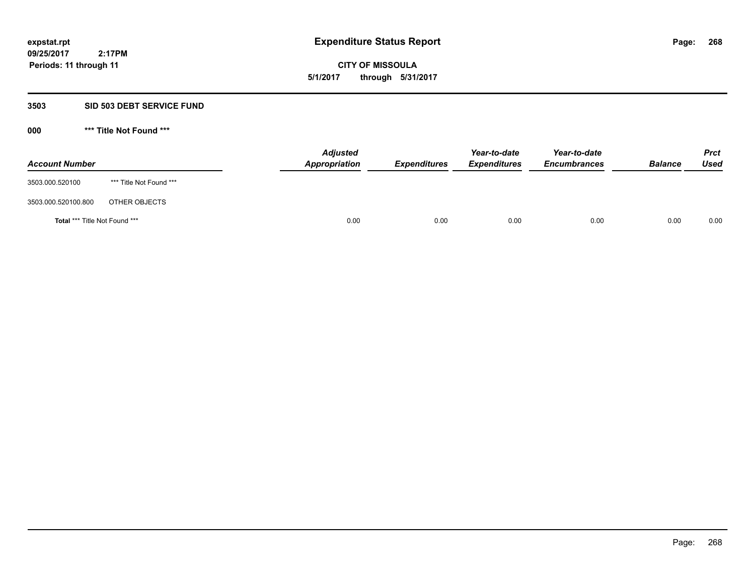**09/25/2017 2:17PM Periods: 11 through 11**

**CITY OF MISSOULA 5/1/2017 through 5/31/2017**

# **3503 SID 503 DEBT SERVICE FUND**

| <b>Account Number</b>                |                         | <b>Adjusted</b><br>Appropriation | <b>Expenditures</b> | Year-to-date<br><b>Expenditures</b> | Year-to-date<br><b>Encumbrances</b> | <b>Balance</b> | <b>Prct</b><br>Used |
|--------------------------------------|-------------------------|----------------------------------|---------------------|-------------------------------------|-------------------------------------|----------------|---------------------|
| 3503.000.520100                      | *** Title Not Found *** |                                  |                     |                                     |                                     |                |                     |
| 3503.000.520100.800                  | OTHER OBJECTS           |                                  |                     |                                     |                                     |                |                     |
| <b>Total *** Title Not Found ***</b> |                         | 0.00                             | 0.00                | 0.00                                | 0.00                                | 0.00           | 0.00                |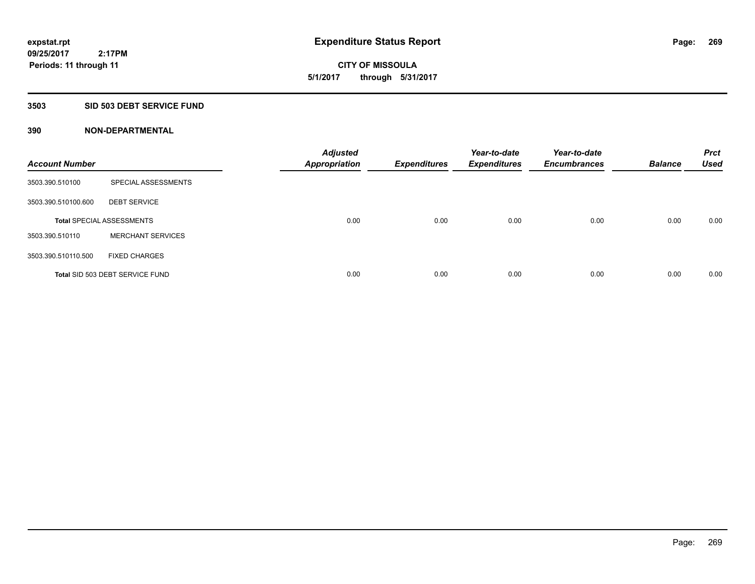**09/25/2017 2:17PM Periods: 11 through 11**

**CITY OF MISSOULA 5/1/2017 through 5/31/2017**

### **3503 SID 503 DEBT SERVICE FUND**

| <b>Account Number</b> |                                  | <b>Adjusted</b><br><b>Appropriation</b> | <b>Expenditures</b> | Year-to-date<br><b>Expenditures</b> | Year-to-date<br><b>Encumbrances</b> | <b>Balance</b> | <b>Prct</b><br><b>Used</b> |
|-----------------------|----------------------------------|-----------------------------------------|---------------------|-------------------------------------|-------------------------------------|----------------|----------------------------|
| 3503.390.510100       | SPECIAL ASSESSMENTS              |                                         |                     |                                     |                                     |                |                            |
| 3503.390.510100.600   | <b>DEBT SERVICE</b>              |                                         |                     |                                     |                                     |                |                            |
|                       | <b>Total SPECIAL ASSESSMENTS</b> | 0.00                                    | 0.00                | 0.00                                | 0.00                                | 0.00           | 0.00                       |
| 3503.390.510110       | <b>MERCHANT SERVICES</b>         |                                         |                     |                                     |                                     |                |                            |
| 3503.390.510110.500   | <b>FIXED CHARGES</b>             |                                         |                     |                                     |                                     |                |                            |
|                       | Total SID 503 DEBT SERVICE FUND  | 0.00                                    | 0.00                | 0.00                                | 0.00                                | 0.00           | 0.00                       |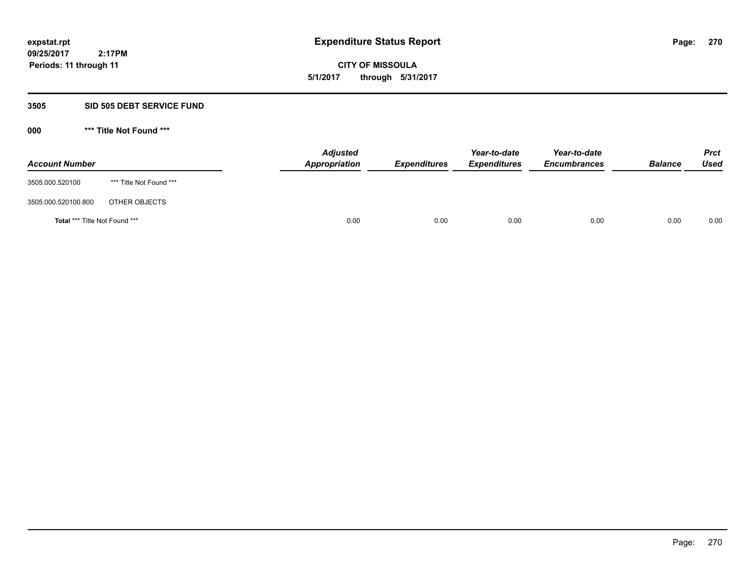**CITY OF MISSOULA 5/1/2017 through 5/31/2017**

# **3505 SID 505 DEBT SERVICE FUND**

| <b>Account Number</b>         |                         | <b>Adjusted</b><br>Appropriation | <b>Expenditures</b> | Year-to-date<br><b>Expenditures</b> | Year-to-date<br><b>Encumbrances</b> | <b>Balance</b> | <b>Prct</b><br><b>Used</b> |
|-------------------------------|-------------------------|----------------------------------|---------------------|-------------------------------------|-------------------------------------|----------------|----------------------------|
| 3505.000.520100               | *** Title Not Found *** |                                  |                     |                                     |                                     |                |                            |
| 3505.000.520100.800           | OTHER OBJECTS           |                                  |                     |                                     |                                     |                |                            |
| Total *** Title Not Found *** |                         | 0.00                             | 0.00                | 0.00                                | 0.00                                | 0.00           | 0.00                       |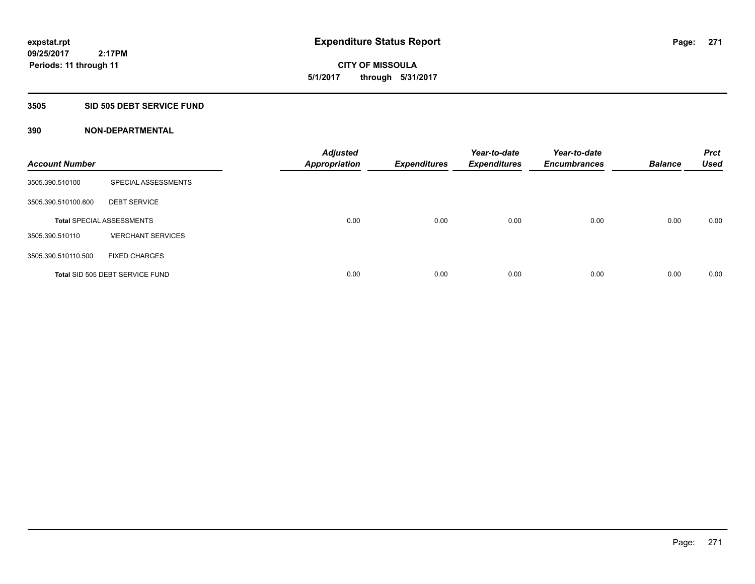**09/25/2017 2:17PM Periods: 11 through 11**

**CITY OF MISSOULA 5/1/2017 through 5/31/2017**

### **3505 SID 505 DEBT SERVICE FUND**

| <b>Account Number</b> |                                  | <b>Adjusted</b><br><b>Appropriation</b> | <b>Expenditures</b> | Year-to-date<br><b>Expenditures</b> | Year-to-date<br><b>Encumbrances</b> | <b>Balance</b> | <b>Prct</b><br><b>Used</b> |
|-----------------------|----------------------------------|-----------------------------------------|---------------------|-------------------------------------|-------------------------------------|----------------|----------------------------|
| 3505.390.510100       | SPECIAL ASSESSMENTS              |                                         |                     |                                     |                                     |                |                            |
| 3505.390.510100.600   | <b>DEBT SERVICE</b>              |                                         |                     |                                     |                                     |                |                            |
|                       | <b>Total SPECIAL ASSESSMENTS</b> | 0.00                                    | 0.00                | 0.00                                | 0.00                                | 0.00           | 0.00                       |
| 3505.390.510110       | <b>MERCHANT SERVICES</b>         |                                         |                     |                                     |                                     |                |                            |
| 3505.390.510110.500   | <b>FIXED CHARGES</b>             |                                         |                     |                                     |                                     |                |                            |
|                       | Total SID 505 DEBT SERVICE FUND  | 0.00                                    | 0.00                | 0.00                                | 0.00                                | 0.00           | 0.00                       |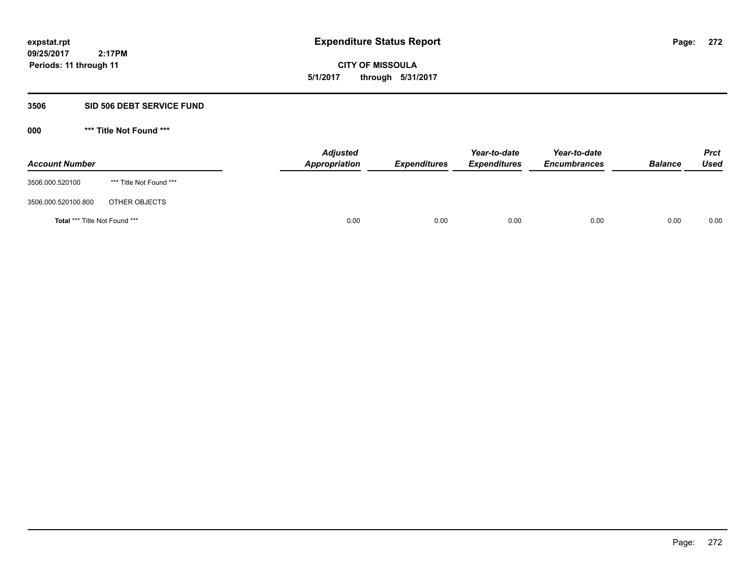**CITY OF MISSOULA 5/1/2017 through 5/31/2017**

# **3506 SID 506 DEBT SERVICE FUND**

| <b>Account Number</b>         |                         | <b>Adjusted</b><br>Appropriation | <b>Expenditures</b> | Year-to-date<br><b>Expenditures</b> | Year-to-date<br><b>Encumbrances</b> | <b>Balance</b> | <b>Prct</b><br><b>Used</b> |
|-------------------------------|-------------------------|----------------------------------|---------------------|-------------------------------------|-------------------------------------|----------------|----------------------------|
| 3506.000.520100               | *** Title Not Found *** |                                  |                     |                                     |                                     |                |                            |
| 3506.000.520100.800           | OTHER OBJECTS           |                                  |                     |                                     |                                     |                |                            |
| Total *** Title Not Found *** |                         | 0.00                             | 0.00                | 0.00                                | 0.00                                | 0.00           | 0.00                       |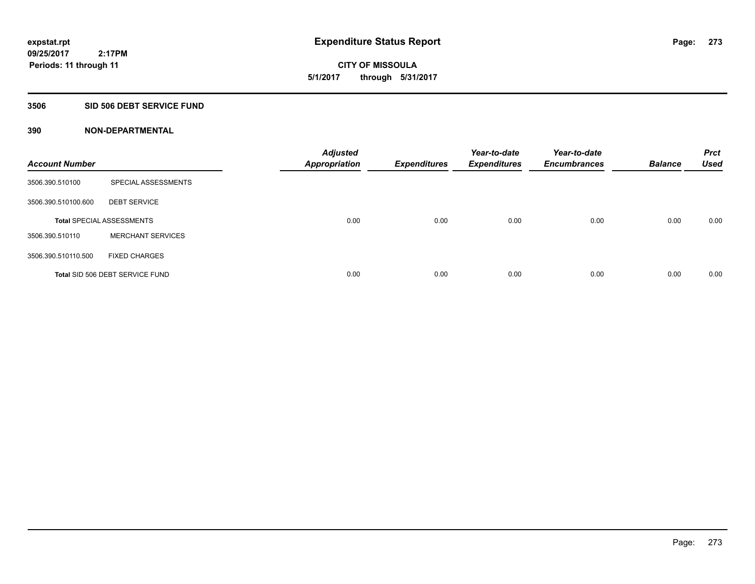**09/25/2017 2:17PM Periods: 11 through 11**

**CITY OF MISSOULA 5/1/2017 through 5/31/2017**

### **3506 SID 506 DEBT SERVICE FUND**

| <b>Account Number</b> |                                  | <b>Adjusted</b><br><b>Appropriation</b> | <b>Expenditures</b> | Year-to-date<br><b>Expenditures</b> | Year-to-date<br><b>Encumbrances</b> | <b>Balance</b> | <b>Prct</b><br><b>Used</b> |
|-----------------------|----------------------------------|-----------------------------------------|---------------------|-------------------------------------|-------------------------------------|----------------|----------------------------|
| 3506.390.510100       | SPECIAL ASSESSMENTS              |                                         |                     |                                     |                                     |                |                            |
| 3506.390.510100.600   | <b>DEBT SERVICE</b>              |                                         |                     |                                     |                                     |                |                            |
|                       | <b>Total SPECIAL ASSESSMENTS</b> | 0.00                                    | 0.00                | 0.00                                | 0.00                                | 0.00           | 0.00                       |
| 3506.390.510110       | <b>MERCHANT SERVICES</b>         |                                         |                     |                                     |                                     |                |                            |
| 3506.390.510110.500   | <b>FIXED CHARGES</b>             |                                         |                     |                                     |                                     |                |                            |
|                       | Total SID 506 DEBT SERVICE FUND  | 0.00                                    | 0.00                | 0.00                                | 0.00                                | 0.00           | 0.00                       |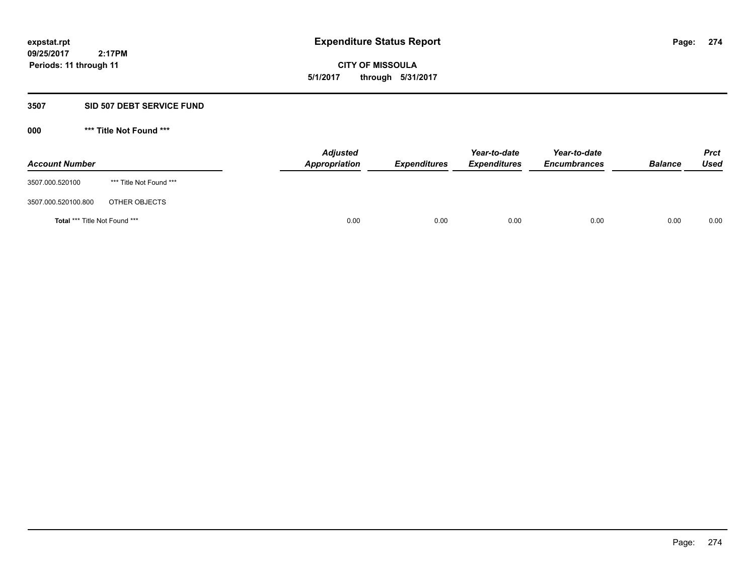**CITY OF MISSOULA 5/1/2017 through 5/31/2017**

# **3507 SID 507 DEBT SERVICE FUND**

| <b>Account Number</b>         |                         | <b>Adjusted</b><br>Appropriation | <b>Expenditures</b> | Year-to-date<br><b>Expenditures</b> | Year-to-date<br><b>Encumbrances</b> | <b>Balance</b> | Prct<br><b>Used</b> |
|-------------------------------|-------------------------|----------------------------------|---------------------|-------------------------------------|-------------------------------------|----------------|---------------------|
| 3507.000.520100               | *** Title Not Found *** |                                  |                     |                                     |                                     |                |                     |
| 3507.000.520100.800           | OTHER OBJECTS           |                                  |                     |                                     |                                     |                |                     |
| Total *** Title Not Found *** |                         | 0.00                             | 0.00                | 0.00                                | 0.00                                | 0.00           | 0.00                |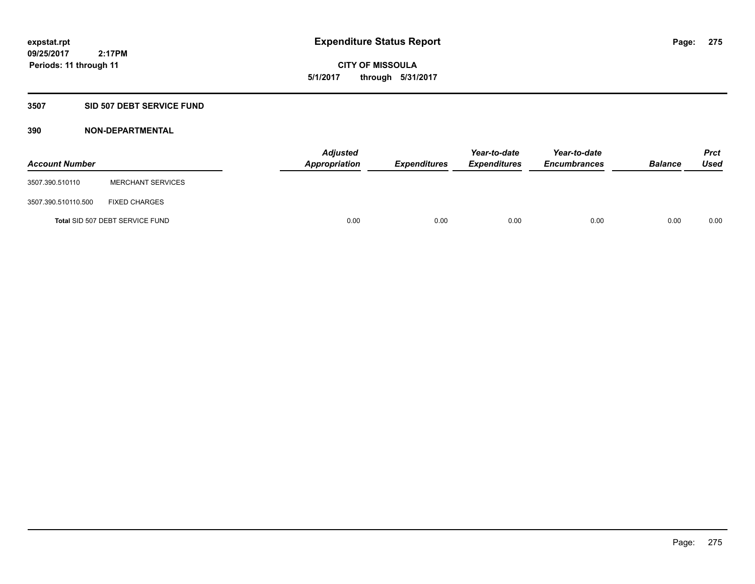**CITY OF MISSOULA 5/1/2017 through 5/31/2017**

# **3507 SID 507 DEBT SERVICE FUND**

| <b>Account Number</b> |                                 | <b>Adjusted</b><br>Appropriation | <b>Expenditures</b> | Year-to-date<br><b>Expenditures</b> | Year-to-date<br><b>Encumbrances</b> | <b>Balance</b> | <b>Prct</b><br>Used |
|-----------------------|---------------------------------|----------------------------------|---------------------|-------------------------------------|-------------------------------------|----------------|---------------------|
| 3507.390.510110       | <b>MERCHANT SERVICES</b>        |                                  |                     |                                     |                                     |                |                     |
| 3507.390.510110.500   | <b>FIXED CHARGES</b>            |                                  |                     |                                     |                                     |                |                     |
|                       | Total SID 507 DEBT SERVICE FUND | 0.00                             | 0.00                | 0.00                                | 0.00                                | 0.00           | 0.00                |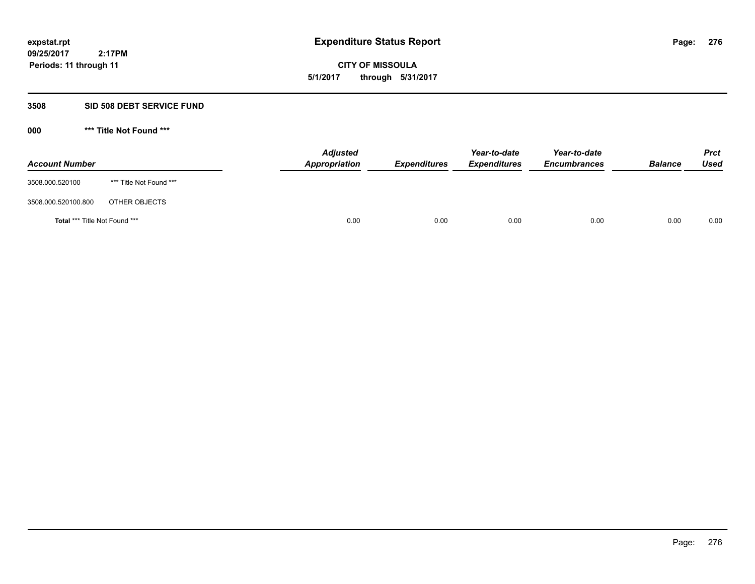**CITY OF MISSOULA 5/1/2017 through 5/31/2017**

# **3508 SID 508 DEBT SERVICE FUND**

| <b>Account Number</b>         |                         | <b>Adjusted</b><br>Appropriation | <b>Expenditures</b> | Year-to-date<br><b>Expenditures</b> | Year-to-date<br><b>Encumbrances</b> | <b>Balance</b> | Prct<br><b>Used</b> |
|-------------------------------|-------------------------|----------------------------------|---------------------|-------------------------------------|-------------------------------------|----------------|---------------------|
| 3508.000.520100               | *** Title Not Found *** |                                  |                     |                                     |                                     |                |                     |
| 3508.000.520100.800           | OTHER OBJECTS           |                                  |                     |                                     |                                     |                |                     |
| Total *** Title Not Found *** |                         | 0.00                             | 0.00                | 0.00                                | 0.00                                | 0.00           | 0.00                |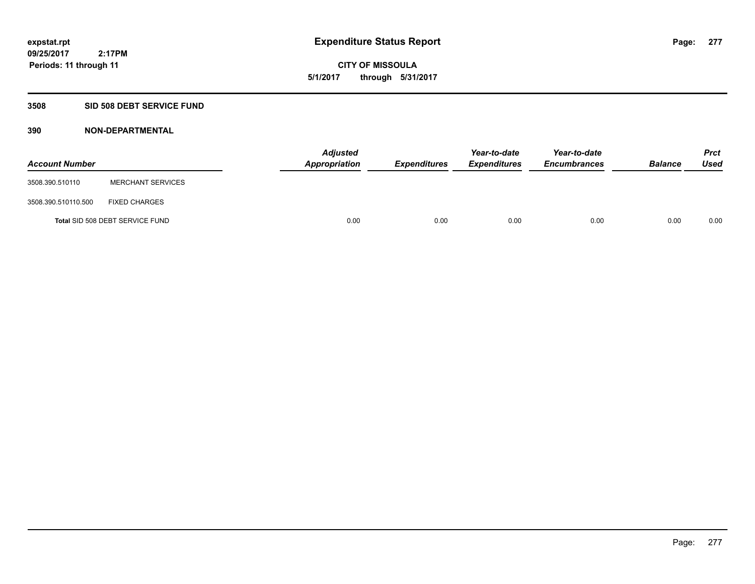**CITY OF MISSOULA 5/1/2017 through 5/31/2017**

# **3508 SID 508 DEBT SERVICE FUND**

| <b>Account Number</b> |                                 | <b>Adjusted</b><br>Appropriation | <b>Expenditures</b> | Year-to-date<br><b>Expenditures</b> | Year-to-date<br><b>Encumbrances</b> | <b>Balance</b> | Prct<br><b>Used</b> |
|-----------------------|---------------------------------|----------------------------------|---------------------|-------------------------------------|-------------------------------------|----------------|---------------------|
| 3508.390.510110       | <b>MERCHANT SERVICES</b>        |                                  |                     |                                     |                                     |                |                     |
| 3508.390.510110.500   | <b>FIXED CHARGES</b>            |                                  |                     |                                     |                                     |                |                     |
|                       | Total SID 508 DEBT SERVICE FUND | 0.00                             | 0.00                | 0.00                                | 0.00                                | 0.00           | 0.00                |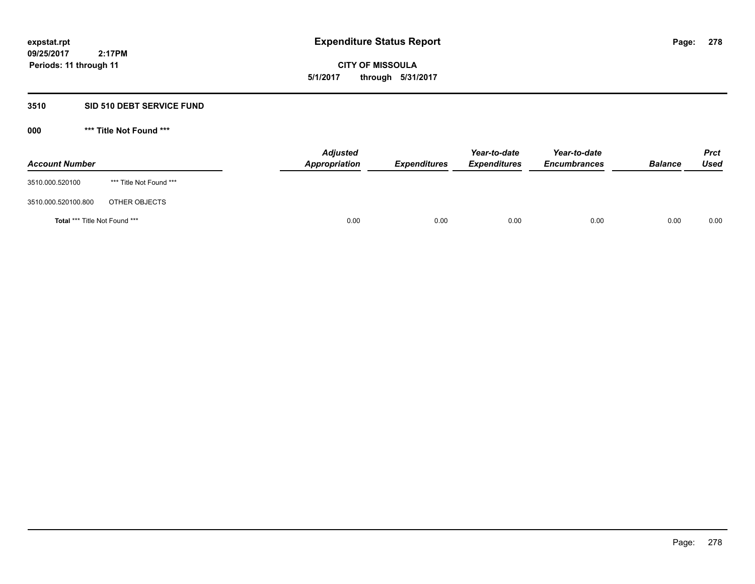**CITY OF MISSOULA 5/1/2017 through 5/31/2017**

# **3510 SID 510 DEBT SERVICE FUND**

| <b>Account Number</b>         |                         | <b>Adjusted</b><br>Appropriation | <b>Expenditures</b> | Year-to-date<br><b>Expenditures</b> | Year-to-date<br><b>Encumbrances</b> | <b>Balance</b> | <b>Prct</b><br>Used |
|-------------------------------|-------------------------|----------------------------------|---------------------|-------------------------------------|-------------------------------------|----------------|---------------------|
| 3510.000.520100               | *** Title Not Found *** |                                  |                     |                                     |                                     |                |                     |
| 3510.000.520100.800           | OTHER OBJECTS           |                                  |                     |                                     |                                     |                |                     |
| Total *** Title Not Found *** |                         | 0.00                             | 0.00                | 0.00                                | 0.00                                | 0.00           | 0.00                |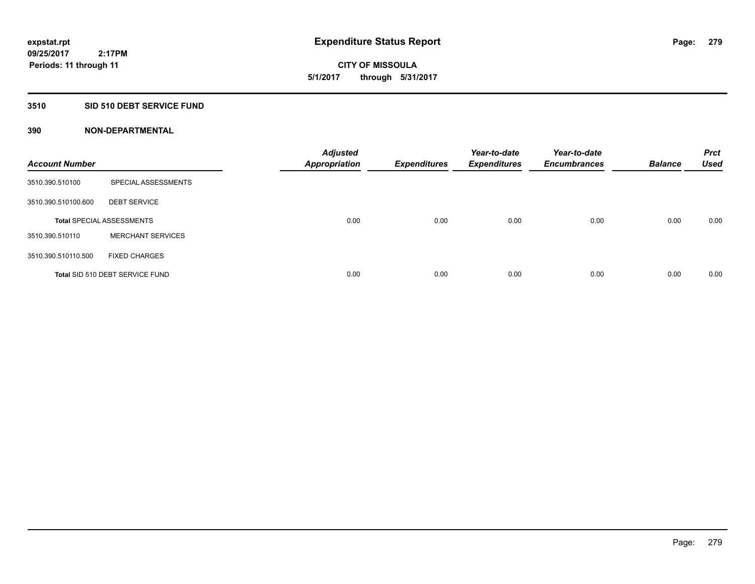**09/25/2017 2:17PM Periods: 11 through 11**

**CITY OF MISSOULA 5/1/2017 through 5/31/2017**

# **3510 SID 510 DEBT SERVICE FUND**

| <b>Account Number</b> |                                  | <b>Adjusted</b><br><b>Appropriation</b> | <b>Expenditures</b> | Year-to-date<br><b>Expenditures</b> | Year-to-date<br><b>Encumbrances</b> | <b>Balance</b> | <b>Prct</b><br><b>Used</b> |
|-----------------------|----------------------------------|-----------------------------------------|---------------------|-------------------------------------|-------------------------------------|----------------|----------------------------|
| 3510.390.510100       | SPECIAL ASSESSMENTS              |                                         |                     |                                     |                                     |                |                            |
| 3510.390.510100.600   | <b>DEBT SERVICE</b>              |                                         |                     |                                     |                                     |                |                            |
|                       | <b>Total SPECIAL ASSESSMENTS</b> | 0.00                                    | 0.00                | 0.00                                | 0.00                                | 0.00           | 0.00                       |
| 3510.390.510110       | <b>MERCHANT SERVICES</b>         |                                         |                     |                                     |                                     |                |                            |
| 3510.390.510110.500   | <b>FIXED CHARGES</b>             |                                         |                     |                                     |                                     |                |                            |
|                       | Total SID 510 DEBT SERVICE FUND  | 0.00                                    | 0.00                | 0.00                                | 0.00                                | 0.00           | 0.00                       |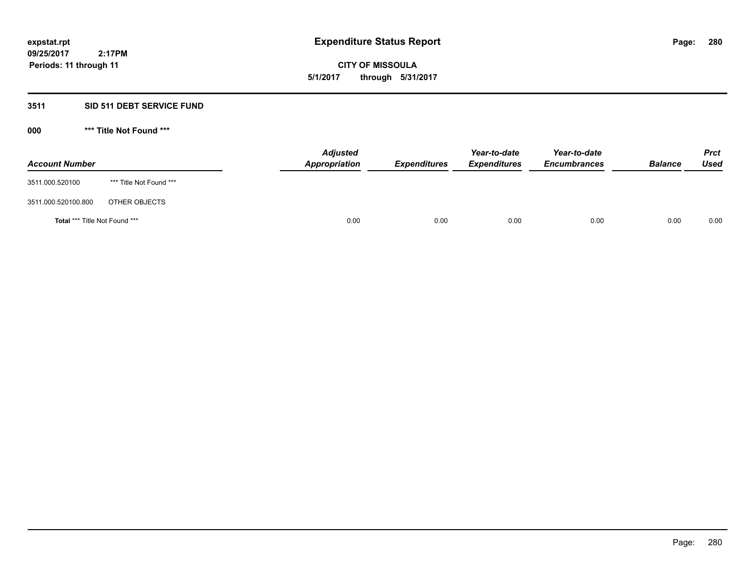**CITY OF MISSOULA 5/1/2017 through 5/31/2017**

# **3511 SID 511 DEBT SERVICE FUND**

| <b>Account Number</b>         |                         | <b>Adjusted</b><br>Appropriation | <b>Expenditures</b> | Year-to-date<br><b>Expenditures</b> | Year-to-date<br><b>Encumbrances</b> | <b>Balance</b> | <b>Prct</b><br><b>Used</b> |
|-------------------------------|-------------------------|----------------------------------|---------------------|-------------------------------------|-------------------------------------|----------------|----------------------------|
| 3511.000.520100               | *** Title Not Found *** |                                  |                     |                                     |                                     |                |                            |
| 3511.000.520100.800           | OTHER OBJECTS           |                                  |                     |                                     |                                     |                |                            |
| Total *** Title Not Found *** |                         | 0.00                             | 0.00                | 0.00                                | 0.00                                | 0.00           | 0.00                       |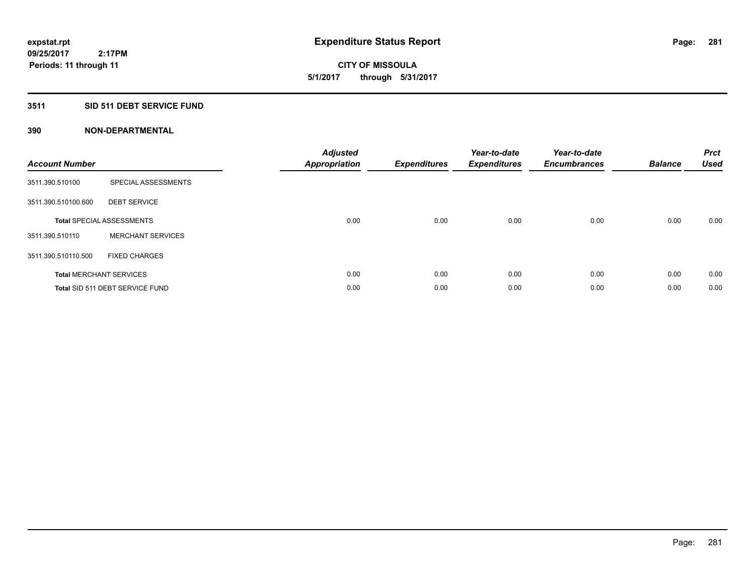**CITY OF MISSOULA 5/1/2017 through 5/31/2017**

# **3511 SID 511 DEBT SERVICE FUND**

| <b>Account Number</b> |                                  | <b>Adjusted</b><br>Appropriation | <b>Expenditures</b> | Year-to-date<br><b>Expenditures</b> | Year-to-date<br><b>Encumbrances</b> | <b>Balance</b> | <b>Prct</b><br><b>Used</b> |
|-----------------------|----------------------------------|----------------------------------|---------------------|-------------------------------------|-------------------------------------|----------------|----------------------------|
| 3511.390.510100       | SPECIAL ASSESSMENTS              |                                  |                     |                                     |                                     |                |                            |
| 3511.390.510100.600   | <b>DEBT SERVICE</b>              |                                  |                     |                                     |                                     |                |                            |
|                       | <b>Total SPECIAL ASSESSMENTS</b> | 0.00                             | 0.00                | 0.00                                | 0.00                                | 0.00           | 0.00                       |
| 3511.390.510110       | <b>MERCHANT SERVICES</b>         |                                  |                     |                                     |                                     |                |                            |
| 3511.390.510110.500   | <b>FIXED CHARGES</b>             |                                  |                     |                                     |                                     |                |                            |
|                       | <b>Total MERCHANT SERVICES</b>   | 0.00                             | 0.00                | 0.00                                | 0.00                                | 0.00           | 0.00                       |
|                       | Total SID 511 DEBT SERVICE FUND  | 0.00                             | 0.00                | 0.00                                | 0.00                                | 0.00           | 0.00                       |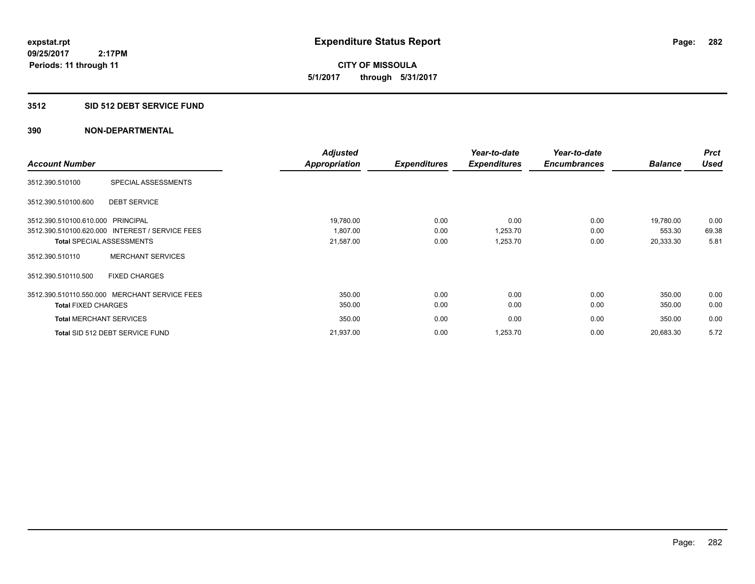**09/25/2017 2:17PM Periods: 11 through 11**

**CITY OF MISSOULA 5/1/2017 through 5/31/2017**

# **3512 SID 512 DEBT SERVICE FUND**

|                                   |                                                 | <b>Adjusted</b>      |                     | Year-to-date        | Year-to-date        |                | <b>Prct</b> |
|-----------------------------------|-------------------------------------------------|----------------------|---------------------|---------------------|---------------------|----------------|-------------|
| <b>Account Number</b>             |                                                 | <b>Appropriation</b> | <b>Expenditures</b> | <b>Expenditures</b> | <b>Encumbrances</b> | <b>Balance</b> | <b>Used</b> |
| 3512.390.510100                   | SPECIAL ASSESSMENTS                             |                      |                     |                     |                     |                |             |
| 3512.390.510100.600               | <b>DEBT SERVICE</b>                             |                      |                     |                     |                     |                |             |
| 3512.390.510100.610.000 PRINCIPAL |                                                 | 19,780.00            | 0.00                | 0.00                | 0.00                | 19,780.00      | 0.00        |
|                                   | 3512.390.510100.620.000 INTEREST / SERVICE FEES | 1,807.00             | 0.00                | 1,253.70            | 0.00                | 553.30         | 69.38       |
|                                   | <b>Total SPECIAL ASSESSMENTS</b>                | 21,587.00            | 0.00                | 1,253.70            | 0.00                | 20,333.30      | 5.81        |
| 3512.390.510110                   | <b>MERCHANT SERVICES</b>                        |                      |                     |                     |                     |                |             |
| 3512.390.510110.500               | <b>FIXED CHARGES</b>                            |                      |                     |                     |                     |                |             |
|                                   | 3512.390.510110.550.000 MERCHANT SERVICE FEES   | 350.00               | 0.00                | 0.00                | 0.00                | 350.00         | 0.00        |
| <b>Total FIXED CHARGES</b>        |                                                 | 350.00               | 0.00                | 0.00                | 0.00                | 350.00         | 0.00        |
| <b>Total MERCHANT SERVICES</b>    |                                                 | 350.00               | 0.00                | 0.00                | 0.00                | 350.00         | 0.00        |
|                                   | Total SID 512 DEBT SERVICE FUND                 | 21,937.00            | 0.00                | 1,253.70            | 0.00                | 20,683.30      | 5.72        |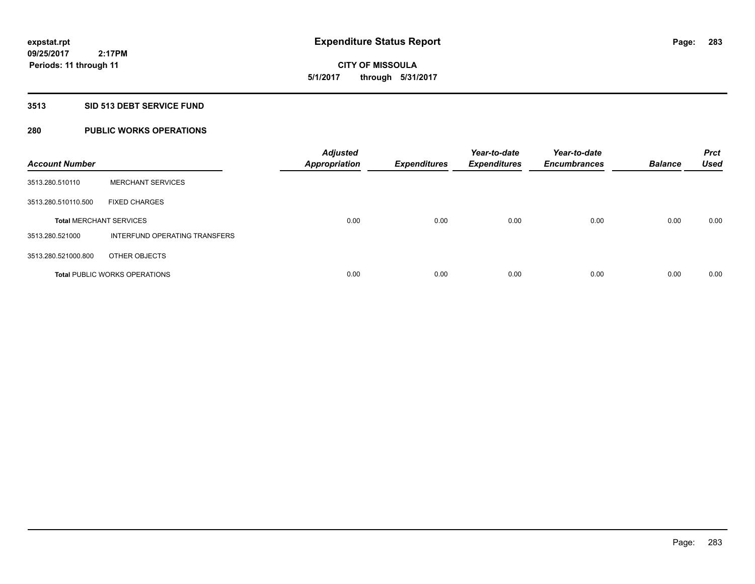**CITY OF MISSOULA 5/1/2017 through 5/31/2017**

### **3513 SID 513 DEBT SERVICE FUND**

# **280 PUBLIC WORKS OPERATIONS**

| <b>Account Number</b>          |                                      | <b>Adjusted</b><br><b>Appropriation</b> | <b>Expenditures</b> | Year-to-date<br><b>Expenditures</b> | Year-to-date<br><b>Encumbrances</b> | <b>Balance</b> | <b>Prct</b><br><b>Used</b> |
|--------------------------------|--------------------------------------|-----------------------------------------|---------------------|-------------------------------------|-------------------------------------|----------------|----------------------------|
| 3513.280.510110                | <b>MERCHANT SERVICES</b>             |                                         |                     |                                     |                                     |                |                            |
| 3513.280.510110.500            | <b>FIXED CHARGES</b>                 |                                         |                     |                                     |                                     |                |                            |
| <b>Total MERCHANT SERVICES</b> |                                      | 0.00                                    | 0.00                | 0.00                                | 0.00                                | 0.00           | 0.00                       |
| 3513.280.521000                | INTERFUND OPERATING TRANSFERS        |                                         |                     |                                     |                                     |                |                            |
| 3513.280.521000.800            | OTHER OBJECTS                        |                                         |                     |                                     |                                     |                |                            |
|                                | <b>Total PUBLIC WORKS OPERATIONS</b> | 0.00                                    | 0.00                | 0.00                                | 0.00                                | 0.00           | 0.00                       |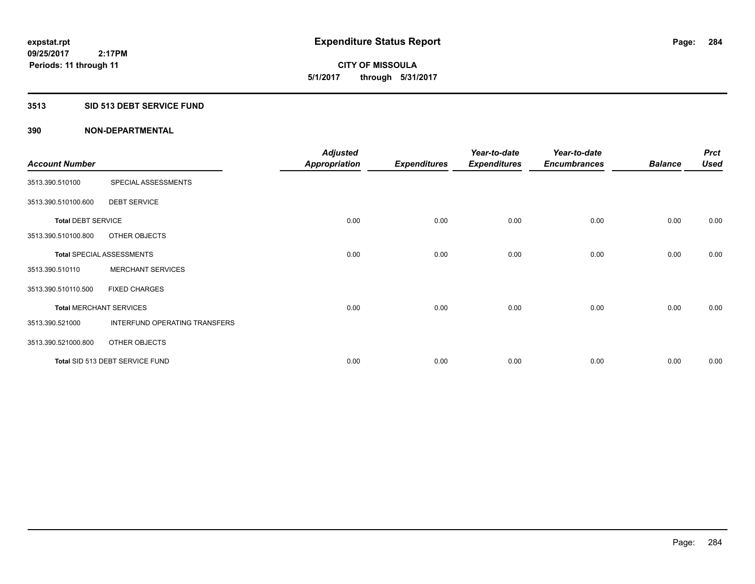**CITY OF MISSOULA 5/1/2017 through 5/31/2017**

# **3513 SID 513 DEBT SERVICE FUND**

| <b>Account Number</b>     |                                  | <b>Adjusted</b><br><b>Appropriation</b> | <b>Expenditures</b> | Year-to-date<br><b>Expenditures</b> | Year-to-date<br><b>Encumbrances</b> | <b>Balance</b> | <b>Prct</b><br><b>Used</b> |
|---------------------------|----------------------------------|-----------------------------------------|---------------------|-------------------------------------|-------------------------------------|----------------|----------------------------|
| 3513.390.510100           | SPECIAL ASSESSMENTS              |                                         |                     |                                     |                                     |                |                            |
| 3513.390.510100.600       | <b>DEBT SERVICE</b>              |                                         |                     |                                     |                                     |                |                            |
| <b>Total DEBT SERVICE</b> |                                  | 0.00                                    | 0.00                | 0.00                                | 0.00                                | 0.00           | 0.00                       |
| 3513.390.510100.800       | OTHER OBJECTS                    |                                         |                     |                                     |                                     |                |                            |
|                           | <b>Total SPECIAL ASSESSMENTS</b> | 0.00                                    | 0.00                | 0.00                                | 0.00                                | 0.00           | 0.00                       |
| 3513.390.510110           | <b>MERCHANT SERVICES</b>         |                                         |                     |                                     |                                     |                |                            |
| 3513.390.510110.500       | <b>FIXED CHARGES</b>             |                                         |                     |                                     |                                     |                |                            |
|                           | <b>Total MERCHANT SERVICES</b>   | 0.00                                    | 0.00                | 0.00                                | 0.00                                | 0.00           | 0.00                       |
| 3513.390.521000           | INTERFUND OPERATING TRANSFERS    |                                         |                     |                                     |                                     |                |                            |
| 3513.390.521000.800       | OTHER OBJECTS                    |                                         |                     |                                     |                                     |                |                            |
|                           | Total SID 513 DEBT SERVICE FUND  | 0.00                                    | 0.00                | 0.00                                | 0.00                                | 0.00           | 0.00                       |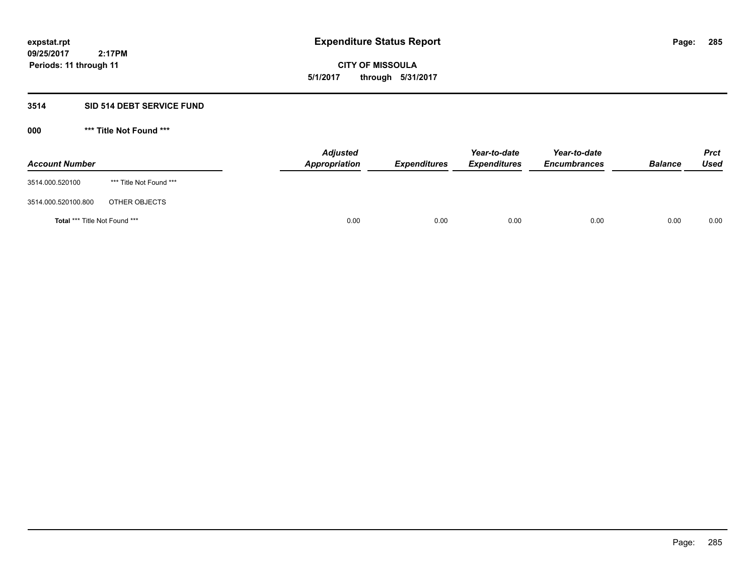**09/25/2017 2:17PM Periods: 11 through 11**

**CITY OF MISSOULA 5/1/2017 through 5/31/2017**

# **3514 SID 514 DEBT SERVICE FUND**

| <b>Account Number</b>                |                         | <b>Adjusted</b><br>Appropriation | <b>Expenditures</b> | Year-to-date<br><i><b>Expenditures</b></i> | Year-to-date<br><b>Encumbrances</b> | <b>Balance</b> | <b>Prct</b><br>Used |
|--------------------------------------|-------------------------|----------------------------------|---------------------|--------------------------------------------|-------------------------------------|----------------|---------------------|
| 3514.000.520100                      | *** Title Not Found *** |                                  |                     |                                            |                                     |                |                     |
| 3514.000.520100.800                  | OTHER OBJECTS           |                                  |                     |                                            |                                     |                |                     |
| <b>Total *** Title Not Found ***</b> |                         | 0.00                             | 0.00                | 0.00                                       | 0.00                                | 0.00           | 0.00                |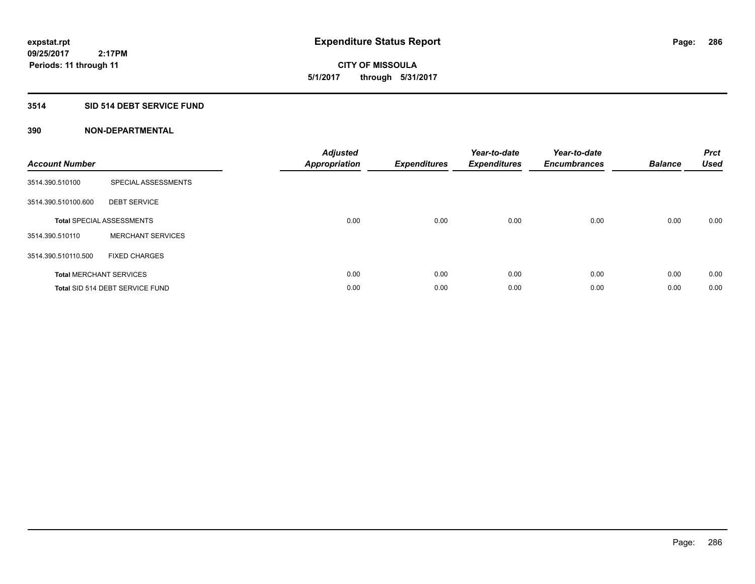# **CITY OF MISSOULA 5/1/2017 through 5/31/2017**

# **3514 SID 514 DEBT SERVICE FUND**

| <b>Account Number</b> |                                  | <b>Adjusted</b><br>Appropriation | <b>Expenditures</b> | Year-to-date<br><b>Expenditures</b> | Year-to-date<br><b>Encumbrances</b> | <b>Balance</b> | <b>Prct</b><br><b>Used</b> |
|-----------------------|----------------------------------|----------------------------------|---------------------|-------------------------------------|-------------------------------------|----------------|----------------------------|
| 3514.390.510100       | SPECIAL ASSESSMENTS              |                                  |                     |                                     |                                     |                |                            |
| 3514.390.510100.600   | <b>DEBT SERVICE</b>              |                                  |                     |                                     |                                     |                |                            |
|                       | <b>Total SPECIAL ASSESSMENTS</b> | 0.00                             | 0.00                | 0.00                                | 0.00                                | 0.00           | 0.00                       |
| 3514.390.510110       | <b>MERCHANT SERVICES</b>         |                                  |                     |                                     |                                     |                |                            |
| 3514.390.510110.500   | <b>FIXED CHARGES</b>             |                                  |                     |                                     |                                     |                |                            |
|                       | <b>Total MERCHANT SERVICES</b>   | 0.00                             | 0.00                | 0.00                                | 0.00                                | 0.00           | 0.00                       |
|                       | Total SID 514 DEBT SERVICE FUND  | 0.00                             | 0.00                | 0.00                                | 0.00                                | 0.00           | 0.00                       |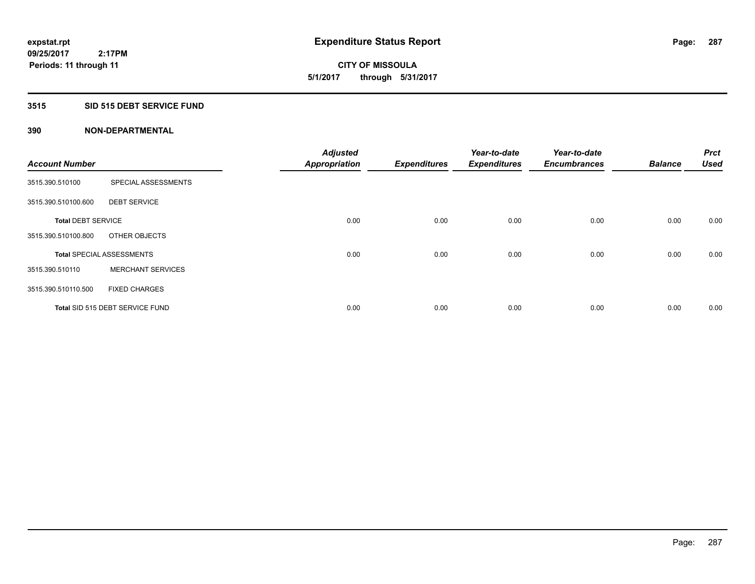**09/25/2017 2:17PM Periods: 11 through 11**

**CITY OF MISSOULA 5/1/2017 through 5/31/2017**

# **3515 SID 515 DEBT SERVICE FUND**

| <b>Account Number</b>     |                                  | <b>Adjusted</b><br><b>Appropriation</b> | <b>Expenditures</b> | Year-to-date<br><b>Expenditures</b> | Year-to-date<br><b>Encumbrances</b> | <b>Balance</b> | <b>Prct</b><br><b>Used</b> |
|---------------------------|----------------------------------|-----------------------------------------|---------------------|-------------------------------------|-------------------------------------|----------------|----------------------------|
|                           |                                  |                                         |                     |                                     |                                     |                |                            |
| 3515.390.510100           | SPECIAL ASSESSMENTS              |                                         |                     |                                     |                                     |                |                            |
| 3515.390.510100.600       | <b>DEBT SERVICE</b>              |                                         |                     |                                     |                                     |                |                            |
| <b>Total DEBT SERVICE</b> |                                  | 0.00                                    | 0.00                | 0.00                                | 0.00                                | 0.00           | 0.00                       |
| 3515.390.510100.800       | OTHER OBJECTS                    |                                         |                     |                                     |                                     |                |                            |
|                           | <b>Total SPECIAL ASSESSMENTS</b> | 0.00                                    | 0.00                | 0.00                                | 0.00                                | 0.00           | 0.00                       |
| 3515.390.510110           | <b>MERCHANT SERVICES</b>         |                                         |                     |                                     |                                     |                |                            |
| 3515.390.510110.500       | <b>FIXED CHARGES</b>             |                                         |                     |                                     |                                     |                |                            |
|                           | Total SID 515 DEBT SERVICE FUND  | 0.00                                    | 0.00                | 0.00                                | 0.00                                | 0.00           | 0.00                       |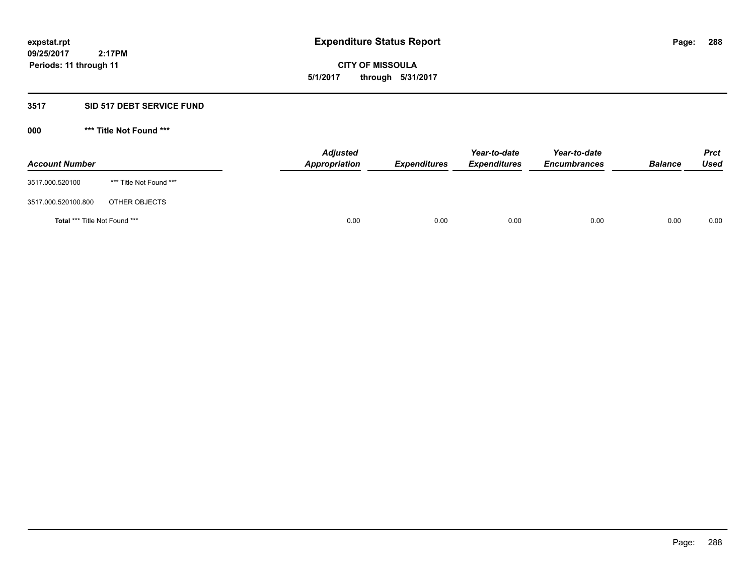**09/25/2017 2:17PM Periods: 11 through 11**

**CITY OF MISSOULA 5/1/2017 through 5/31/2017**

# **3517 SID 517 DEBT SERVICE FUND**

| <b>Account Number</b>         |                         | <b>Adjusted</b><br>Appropriation | <b>Expenditures</b> | Year-to-date<br><b>Expenditures</b> | Year-to-date<br><b>Encumbrances</b> | <b>Balance</b> | <b>Prct</b><br>Used |
|-------------------------------|-------------------------|----------------------------------|---------------------|-------------------------------------|-------------------------------------|----------------|---------------------|
| 3517.000.520100               | *** Title Not Found *** |                                  |                     |                                     |                                     |                |                     |
| 3517.000.520100.800           | OTHER OBJECTS           |                                  |                     |                                     |                                     |                |                     |
| Total *** Title Not Found *** |                         | 0.00                             | 0.00                | 0.00                                | 0.00                                | 0.00           | 0.00                |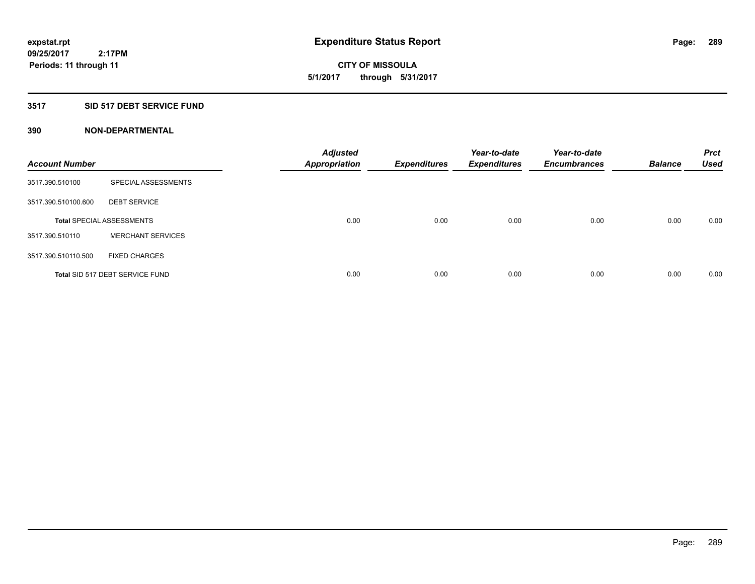**09/25/2017 2:17PM Periods: 11 through 11**

**CITY OF MISSOULA 5/1/2017 through 5/31/2017**

# **3517 SID 517 DEBT SERVICE FUND**

| <b>Account Number</b> |                                  | <b>Adjusted</b><br><b>Appropriation</b> | <b>Expenditures</b> | Year-to-date<br><b>Expenditures</b> | Year-to-date<br><b>Encumbrances</b> | <b>Balance</b> | <b>Prct</b><br><b>Used</b> |
|-----------------------|----------------------------------|-----------------------------------------|---------------------|-------------------------------------|-------------------------------------|----------------|----------------------------|
| 3517.390.510100       | SPECIAL ASSESSMENTS              |                                         |                     |                                     |                                     |                |                            |
| 3517.390.510100.600   | <b>DEBT SERVICE</b>              |                                         |                     |                                     |                                     |                |                            |
|                       | <b>Total SPECIAL ASSESSMENTS</b> | 0.00                                    | 0.00                | 0.00                                | 0.00                                | 0.00           | 0.00                       |
| 3517.390.510110       | <b>MERCHANT SERVICES</b>         |                                         |                     |                                     |                                     |                |                            |
| 3517.390.510110.500   | <b>FIXED CHARGES</b>             |                                         |                     |                                     |                                     |                |                            |
|                       | Total SID 517 DEBT SERVICE FUND  | 0.00                                    | 0.00                | 0.00                                | 0.00                                | 0.00           | 0.00                       |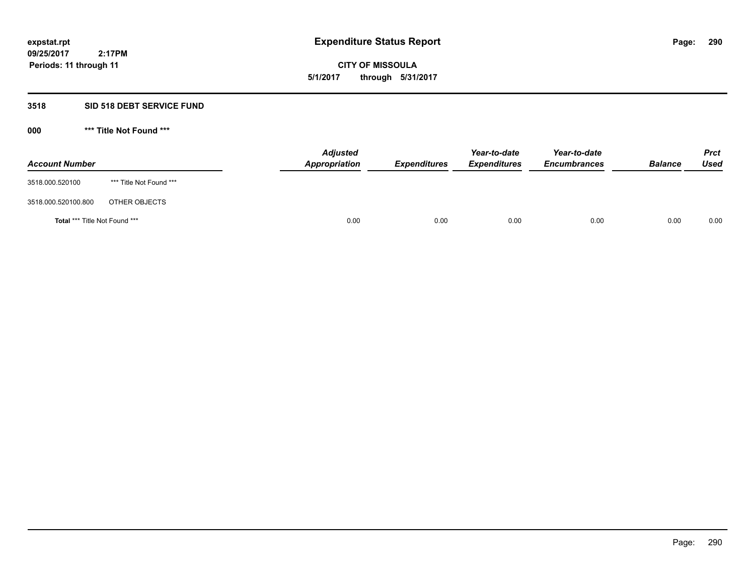**CITY OF MISSOULA 5/1/2017 through 5/31/2017**

# **3518 SID 518 DEBT SERVICE FUND**

**000 \*\*\* Title Not Found \*\*\***

| <b>Account Number</b>         |                         | <b>Adjusted</b><br>Appropriation | <b>Expenditures</b> | Year-to-date<br><b>Expenditures</b> | Year-to-date<br><b>Encumbrances</b> | <b>Balance</b> | <b>Prct</b><br>Used |
|-------------------------------|-------------------------|----------------------------------|---------------------|-------------------------------------|-------------------------------------|----------------|---------------------|
| 3518.000.520100               | *** Title Not Found *** |                                  |                     |                                     |                                     |                |                     |
| 3518.000.520100.800           | OTHER OBJECTS           |                                  |                     |                                     |                                     |                |                     |
| Total *** Title Not Found *** |                         | 0.00                             | 0.00                | 0.00                                | 0.00                                | 0.00           | 0.00                |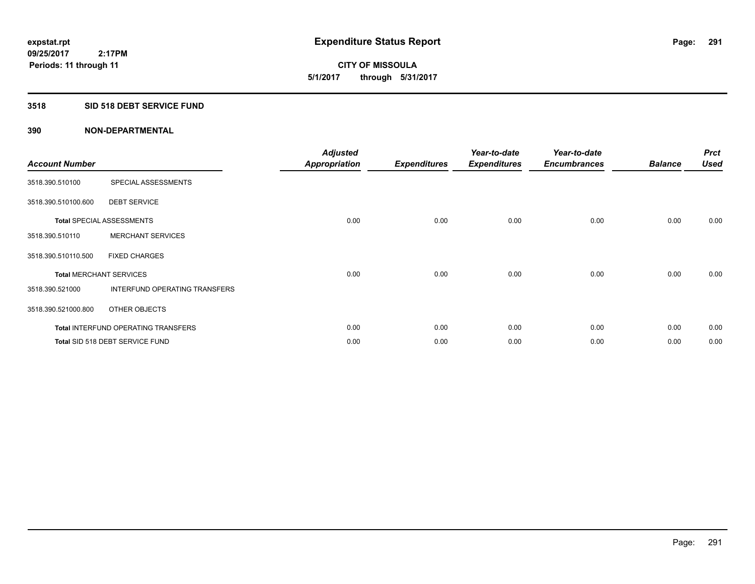**09/25/2017 2:17PM Periods: 11 through 11**

**CITY OF MISSOULA 5/1/2017 through 5/31/2017**

# **3518 SID 518 DEBT SERVICE FUND**

| <b>Account Number</b> |                                            | <b>Adjusted</b><br><b>Appropriation</b> | <b>Expenditures</b> | Year-to-date<br><b>Expenditures</b> | Year-to-date<br><b>Encumbrances</b> | <b>Balance</b> | <b>Prct</b><br><b>Used</b> |
|-----------------------|--------------------------------------------|-----------------------------------------|---------------------|-------------------------------------|-------------------------------------|----------------|----------------------------|
| 3518.390.510100       | SPECIAL ASSESSMENTS                        |                                         |                     |                                     |                                     |                |                            |
| 3518.390.510100.600   | <b>DEBT SERVICE</b>                        |                                         |                     |                                     |                                     |                |                            |
|                       | <b>Total SPECIAL ASSESSMENTS</b>           | 0.00                                    | 0.00                | 0.00                                | 0.00                                | 0.00           | 0.00                       |
| 3518.390.510110       | <b>MERCHANT SERVICES</b>                   |                                         |                     |                                     |                                     |                |                            |
| 3518.390.510110.500   | <b>FIXED CHARGES</b>                       |                                         |                     |                                     |                                     |                |                            |
|                       | <b>Total MERCHANT SERVICES</b>             | 0.00                                    | 0.00                | 0.00                                | 0.00                                | 0.00           | 0.00                       |
| 3518.390.521000       | INTERFUND OPERATING TRANSFERS              |                                         |                     |                                     |                                     |                |                            |
| 3518.390.521000.800   | OTHER OBJECTS                              |                                         |                     |                                     |                                     |                |                            |
|                       | <b>Total INTERFUND OPERATING TRANSFERS</b> | 0.00                                    | 0.00                | 0.00                                | 0.00                                | 0.00           | 0.00                       |
|                       | Total SID 518 DEBT SERVICE FUND            | 0.00                                    | 0.00                | 0.00                                | 0.00                                | 0.00           | 0.00                       |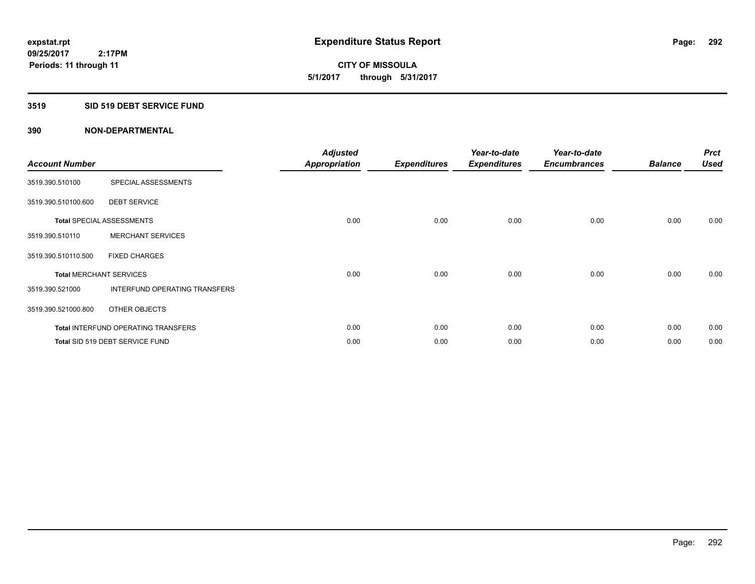**09/25/2017 2:17PM Periods: 11 through 11**

# **CITY OF MISSOULA 5/1/2017 through 5/31/2017**

# **3519 SID 519 DEBT SERVICE FUND**

| <b>Account Number</b>          |                                            | <b>Adjusted</b><br><b>Appropriation</b> | <b>Expenditures</b> | Year-to-date<br><b>Expenditures</b> | Year-to-date<br><b>Encumbrances</b> | <b>Balance</b> | <b>Prct</b><br><b>Used</b> |
|--------------------------------|--------------------------------------------|-----------------------------------------|---------------------|-------------------------------------|-------------------------------------|----------------|----------------------------|
| 3519.390.510100                | SPECIAL ASSESSMENTS                        |                                         |                     |                                     |                                     |                |                            |
| 3519.390.510100.600            | <b>DEBT SERVICE</b>                        |                                         |                     |                                     |                                     |                |                            |
|                                | <b>Total SPECIAL ASSESSMENTS</b>           | 0.00                                    | 0.00                | 0.00                                | 0.00                                | 0.00           | 0.00                       |
| 3519.390.510110                | <b>MERCHANT SERVICES</b>                   |                                         |                     |                                     |                                     |                |                            |
| 3519.390.510110.500            | <b>FIXED CHARGES</b>                       |                                         |                     |                                     |                                     |                |                            |
| <b>Total MERCHANT SERVICES</b> |                                            | 0.00                                    | 0.00                | 0.00                                | 0.00                                | 0.00           | 0.00                       |
| 3519.390.521000                | INTERFUND OPERATING TRANSFERS              |                                         |                     |                                     |                                     |                |                            |
| 3519.390.521000.800            | OTHER OBJECTS                              |                                         |                     |                                     |                                     |                |                            |
|                                | <b>Total INTERFUND OPERATING TRANSFERS</b> | 0.00                                    | 0.00                | 0.00                                | 0.00                                | 0.00           | 0.00                       |
|                                | Total SID 519 DEBT SERVICE FUND            | 0.00                                    | 0.00                | 0.00                                | 0.00                                | 0.00           | 0.00                       |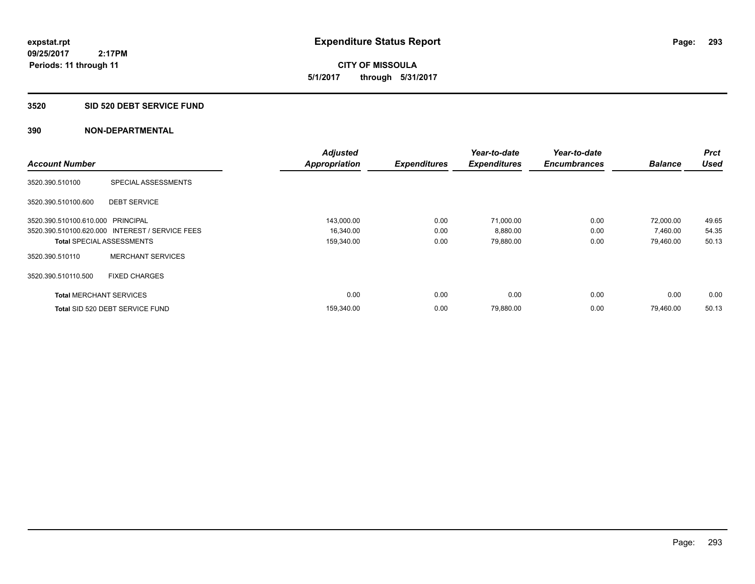**09/25/2017 2:17PM Periods: 11 through 11**

**CITY OF MISSOULA 5/1/2017 through 5/31/2017**

### **3520 SID 520 DEBT SERVICE FUND**

| <b>Account Number</b>             |                                                 | <b>Adjusted</b><br><b>Appropriation</b> | <b>Expenditures</b> | Year-to-date<br><b>Expenditures</b> | Year-to-date<br><b>Encumbrances</b> | <b>Balance</b> | <b>Prct</b><br><b>Used</b> |
|-----------------------------------|-------------------------------------------------|-----------------------------------------|---------------------|-------------------------------------|-------------------------------------|----------------|----------------------------|
| 3520.390.510100                   | SPECIAL ASSESSMENTS                             |                                         |                     |                                     |                                     |                |                            |
| 3520.390.510100.600               | <b>DEBT SERVICE</b>                             |                                         |                     |                                     |                                     |                |                            |
| 3520.390.510100.610.000 PRINCIPAL |                                                 | 143,000.00                              | 0.00                | 71,000.00                           | 0.00                                | 72.000.00      | 49.65                      |
|                                   | 3520.390.510100.620.000 INTEREST / SERVICE FEES | 16,340.00                               | 0.00                | 8,880.00                            | 0.00                                | 7,460.00       | 54.35                      |
|                                   | <b>Total SPECIAL ASSESSMENTS</b>                | 159,340.00                              | 0.00                | 79,880.00                           | 0.00                                | 79,460.00      | 50.13                      |
| 3520.390.510110                   | <b>MERCHANT SERVICES</b>                        |                                         |                     |                                     |                                     |                |                            |
| 3520.390.510110.500               | <b>FIXED CHARGES</b>                            |                                         |                     |                                     |                                     |                |                            |
| <b>Total MERCHANT SERVICES</b>    |                                                 | 0.00                                    | 0.00                | 0.00                                | 0.00                                | 0.00           | 0.00                       |
|                                   | Total SID 520 DEBT SERVICE FUND                 | 159,340.00                              | 0.00                | 79,880.00                           | 0.00                                | 79.460.00      | 50.13                      |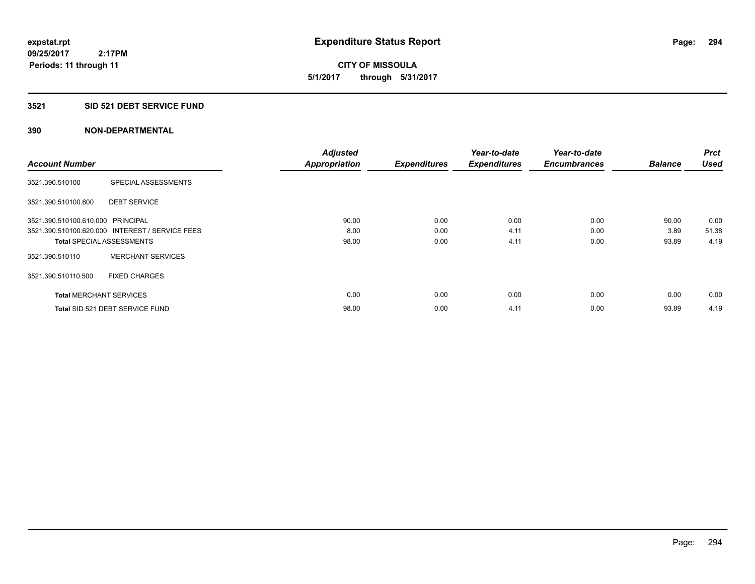**09/25/2017 2:17PM Periods: 11 through 11**

**CITY OF MISSOULA 5/1/2017 through 5/31/2017**

### **3521 SID 521 DEBT SERVICE FUND**

|                                   |                                                 | <b>Adjusted</b>      |                     | Year-to-date        | Year-to-date        |                | <b>Prct</b> |
|-----------------------------------|-------------------------------------------------|----------------------|---------------------|---------------------|---------------------|----------------|-------------|
| <b>Account Number</b>             |                                                 | <b>Appropriation</b> | <b>Expenditures</b> | <b>Expenditures</b> | <b>Encumbrances</b> | <b>Balance</b> | <b>Used</b> |
| 3521.390.510100                   | SPECIAL ASSESSMENTS                             |                      |                     |                     |                     |                |             |
| 3521.390.510100.600               | <b>DEBT SERVICE</b>                             |                      |                     |                     |                     |                |             |
| 3521.390.510100.610.000 PRINCIPAL |                                                 | 90.00                | 0.00                | 0.00                | 0.00                | 90.00          | 0.00        |
|                                   | 3521.390.510100.620.000 INTEREST / SERVICE FEES | 8.00                 | 0.00                | 4.11                | 0.00                | 3.89           | 51.38       |
| <b>Total SPECIAL ASSESSMENTS</b>  |                                                 | 98.00                | 0.00                | 4.11                | 0.00                | 93.89          | 4.19        |
| 3521.390.510110                   | <b>MERCHANT SERVICES</b>                        |                      |                     |                     |                     |                |             |
| 3521.390.510110.500               | <b>FIXED CHARGES</b>                            |                      |                     |                     |                     |                |             |
| <b>Total MERCHANT SERVICES</b>    |                                                 | 0.00                 | 0.00                | 0.00                | 0.00                | 0.00           | 0.00        |
|                                   | Total SID 521 DEBT SERVICE FUND                 | 98.00                | 0.00                | 4.11                | 0.00                | 93.89          | 4.19        |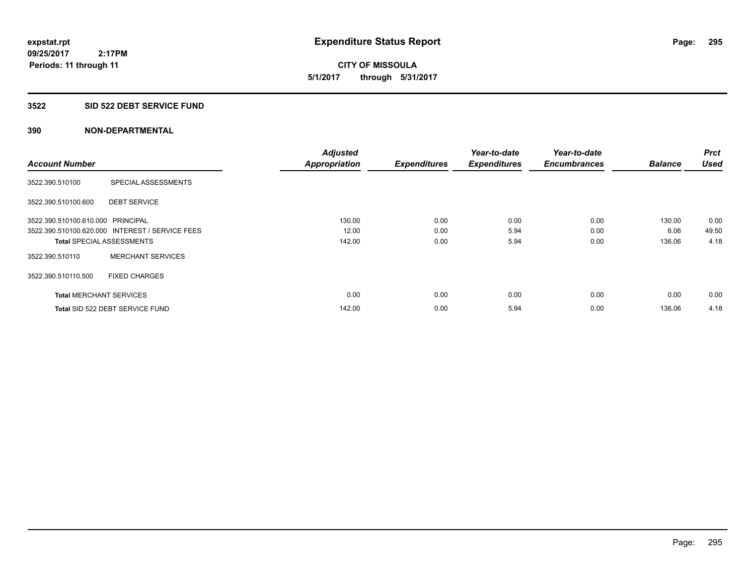**09/25/2017 2:17PM Periods: 11 through 11**

**CITY OF MISSOULA 5/1/2017 through 5/31/2017**

### **3522 SID 522 DEBT SERVICE FUND**

| <b>Account Number</b>             |                                                 | <b>Adjusted</b>      |                     | Year-to-date<br><b>Expenditures</b> | Year-to-date<br><b>Encumbrances</b> | <b>Balance</b> | <b>Prct</b><br><b>Used</b> |
|-----------------------------------|-------------------------------------------------|----------------------|---------------------|-------------------------------------|-------------------------------------|----------------|----------------------------|
|                                   |                                                 | <b>Appropriation</b> | <b>Expenditures</b> |                                     |                                     |                |                            |
| 3522.390.510100                   | SPECIAL ASSESSMENTS                             |                      |                     |                                     |                                     |                |                            |
| 3522.390.510100.600               | <b>DEBT SERVICE</b>                             |                      |                     |                                     |                                     |                |                            |
| 3522.390.510100.610.000 PRINCIPAL |                                                 | 130.00               | 0.00                | 0.00                                | 0.00                                | 130.00         | 0.00                       |
|                                   | 3522.390.510100.620.000 INTEREST / SERVICE FEES | 12.00                | 0.00                | 5.94                                | 0.00                                | 6.06           | 49.50                      |
| <b>Total SPECIAL ASSESSMENTS</b>  |                                                 | 142.00               | 0.00                | 5.94                                | 0.00                                | 136.06         | 4.18                       |
| 3522.390.510110                   | <b>MERCHANT SERVICES</b>                        |                      |                     |                                     |                                     |                |                            |
| 3522.390.510110.500               | <b>FIXED CHARGES</b>                            |                      |                     |                                     |                                     |                |                            |
| <b>Total MERCHANT SERVICES</b>    |                                                 | 0.00                 | 0.00                | 0.00                                | 0.00                                | 0.00           | 0.00                       |
|                                   | Total SID 522 DEBT SERVICE FUND                 | 142.00               | 0.00                | 5.94                                | 0.00                                | 136.06         | 4.18                       |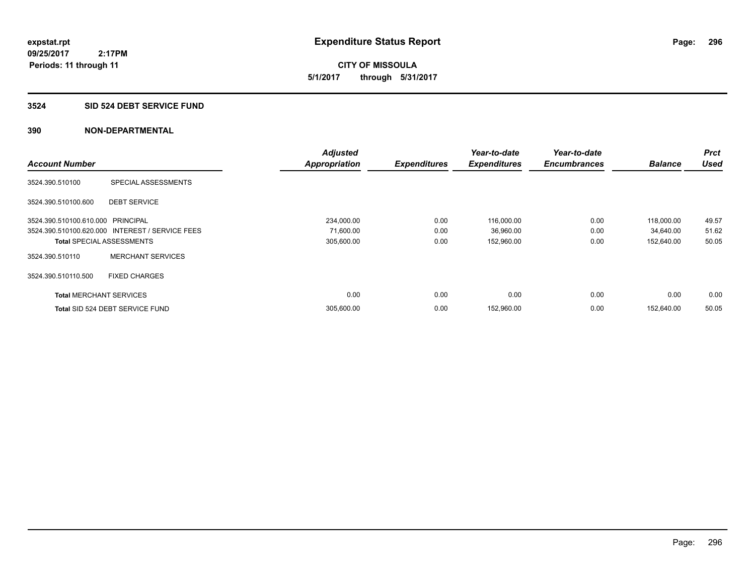**09/25/2017 2:17PM Periods: 11 through 11**

**CITY OF MISSOULA 5/1/2017 through 5/31/2017**

### **3524 SID 524 DEBT SERVICE FUND**

|                                   |                                                 | <b>Adjusted</b>      |                     | Year-to-date        | Year-to-date        |                | <b>Prct</b> |
|-----------------------------------|-------------------------------------------------|----------------------|---------------------|---------------------|---------------------|----------------|-------------|
| <b>Account Number</b>             |                                                 | <b>Appropriation</b> | <b>Expenditures</b> | <b>Expenditures</b> | <b>Encumbrances</b> | <b>Balance</b> | <b>Used</b> |
| 3524.390.510100                   | SPECIAL ASSESSMENTS                             |                      |                     |                     |                     |                |             |
| 3524.390.510100.600               | <b>DEBT SERVICE</b>                             |                      |                     |                     |                     |                |             |
| 3524.390.510100.610.000 PRINCIPAL |                                                 | 234,000.00           | 0.00                | 116,000.00          | 0.00                | 118,000.00     | 49.57       |
|                                   | 3524.390.510100.620.000 INTEREST / SERVICE FEES | 71,600.00            | 0.00                | 36,960.00           | 0.00                | 34,640.00      | 51.62       |
| <b>Total SPECIAL ASSESSMENTS</b>  |                                                 | 305,600.00           | 0.00                | 152,960.00          | 0.00                | 152,640.00     | 50.05       |
| 3524.390.510110                   | <b>MERCHANT SERVICES</b>                        |                      |                     |                     |                     |                |             |
| 3524.390.510110.500               | <b>FIXED CHARGES</b>                            |                      |                     |                     |                     |                |             |
| <b>Total MERCHANT SERVICES</b>    |                                                 | 0.00                 | 0.00                | 0.00                | 0.00                | 0.00           | 0.00        |
|                                   | Total SID 524 DEBT SERVICE FUND                 | 305,600.00           | 0.00                | 152,960.00          | 0.00                | 152.640.00     | 50.05       |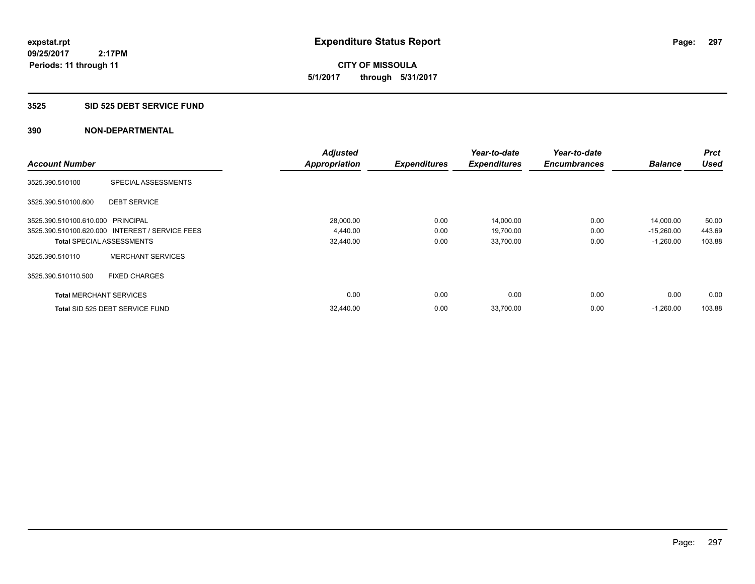**09/25/2017 2:17PM Periods: 11 through 11**

**CITY OF MISSOULA 5/1/2017 through 5/31/2017**

# **3525 SID 525 DEBT SERVICE FUND**

|                                   |                                                 | <b>Adjusted</b>      |                     | Year-to-date        | Year-to-date        |                | <b>Prct</b> |
|-----------------------------------|-------------------------------------------------|----------------------|---------------------|---------------------|---------------------|----------------|-------------|
| <b>Account Number</b>             |                                                 | <b>Appropriation</b> | <b>Expenditures</b> | <b>Expenditures</b> | <b>Encumbrances</b> | <b>Balance</b> | <b>Used</b> |
| 3525.390.510100                   | SPECIAL ASSESSMENTS                             |                      |                     |                     |                     |                |             |
| 3525.390.510100.600               | <b>DEBT SERVICE</b>                             |                      |                     |                     |                     |                |             |
| 3525.390.510100.610.000 PRINCIPAL |                                                 | 28,000.00            | 0.00                | 14,000.00           | 0.00                | 14,000.00      | 50.00       |
|                                   | 3525.390.510100.620.000 INTEREST / SERVICE FEES | 4,440.00             | 0.00                | 19,700.00           | 0.00                | $-15,260.00$   | 443.69      |
| <b>Total SPECIAL ASSESSMENTS</b>  |                                                 | 32,440.00            | 0.00                | 33,700.00           | 0.00                | $-1,260.00$    | 103.88      |
| 3525.390.510110                   | <b>MERCHANT SERVICES</b>                        |                      |                     |                     |                     |                |             |
| 3525.390.510110.500               | <b>FIXED CHARGES</b>                            |                      |                     |                     |                     |                |             |
| <b>Total MERCHANT SERVICES</b>    |                                                 | 0.00                 | 0.00                | 0.00                | 0.00                | 0.00           | 0.00        |
|                                   | Total SID 525 DEBT SERVICE FUND                 | 32.440.00            | 0.00                | 33,700.00           | 0.00                | $-1.260.00$    | 103.88      |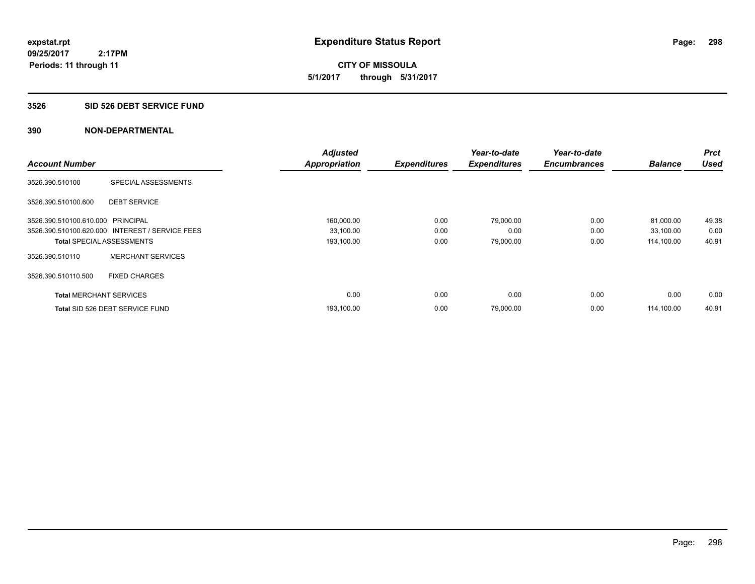**CITY OF MISSOULA 5/1/2017 through 5/31/2017**

### **3526 SID 526 DEBT SERVICE FUND**

|                                   |                                                 | <b>Adjusted</b>      |                     | Year-to-date        | Year-to-date        |                | <b>Prct</b> |
|-----------------------------------|-------------------------------------------------|----------------------|---------------------|---------------------|---------------------|----------------|-------------|
| <b>Account Number</b>             |                                                 | <b>Appropriation</b> | <b>Expenditures</b> | <b>Expenditures</b> | <b>Encumbrances</b> | <b>Balance</b> | <b>Used</b> |
| 3526.390.510100                   | SPECIAL ASSESSMENTS                             |                      |                     |                     |                     |                |             |
| 3526.390.510100.600               | <b>DEBT SERVICE</b>                             |                      |                     |                     |                     |                |             |
| 3526.390.510100.610.000 PRINCIPAL |                                                 | 160,000.00           | 0.00                | 79,000.00           | 0.00                | 81,000.00      | 49.38       |
|                                   | 3526.390.510100.620.000 INTEREST / SERVICE FEES | 33,100.00            | 0.00                | 0.00                | 0.00                | 33,100.00      | 0.00        |
| <b>Total SPECIAL ASSESSMENTS</b>  |                                                 | 193,100.00           | 0.00                | 79,000.00           | 0.00                | 114,100.00     | 40.91       |
| 3526.390.510110                   | <b>MERCHANT SERVICES</b>                        |                      |                     |                     |                     |                |             |
| 3526.390.510110.500               | <b>FIXED CHARGES</b>                            |                      |                     |                     |                     |                |             |
| <b>Total MERCHANT SERVICES</b>    |                                                 | 0.00                 | 0.00                | 0.00                | 0.00                | 0.00           | 0.00        |
|                                   | Total SID 526 DEBT SERVICE FUND                 | 193,100.00           | 0.00                | 79,000.00           | 0.00                | 114.100.00     | 40.91       |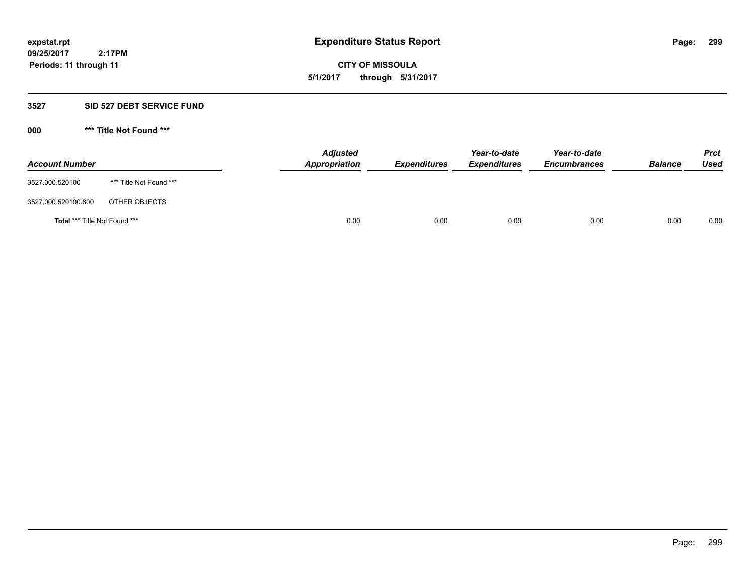**09/25/2017 2:17PM Periods: 11 through 11**

**CITY OF MISSOULA 5/1/2017 through 5/31/2017**

# **3527 SID 527 DEBT SERVICE FUND**

**000 \*\*\* Title Not Found \*\*\***

| <b>Account Number</b>                |                         | <b>Adjusted</b><br>Appropriation | <b>Expenditures</b> | Year-to-date<br><i><b>Expenditures</b></i> | Year-to-date<br><b>Encumbrances</b> | <b>Balance</b> | <b>Prct</b><br>Used |
|--------------------------------------|-------------------------|----------------------------------|---------------------|--------------------------------------------|-------------------------------------|----------------|---------------------|
| 3527.000.520100                      | *** Title Not Found *** |                                  |                     |                                            |                                     |                |                     |
| 3527.000.520100.800                  | OTHER OBJECTS           |                                  |                     |                                            |                                     |                |                     |
| <b>Total *** Title Not Found ***</b> |                         | 0.00                             | 0.00                | 0.00                                       | 0.00                                | 0.00           | 0.00                |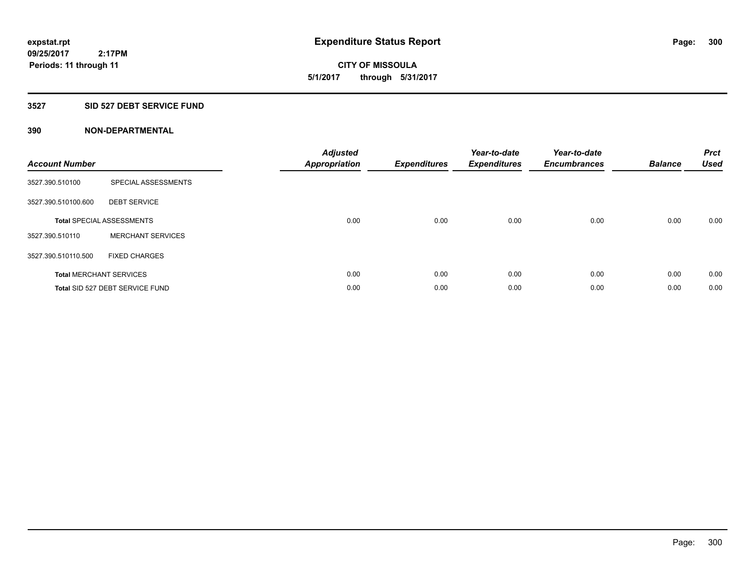# **CITY OF MISSOULA 5/1/2017 through 5/31/2017**

# **3527 SID 527 DEBT SERVICE FUND**

| <b>Account Number</b> |                                  | <b>Adjusted</b><br>Appropriation | <b>Expenditures</b> | Year-to-date<br><b>Expenditures</b> | Year-to-date<br><b>Encumbrances</b> | <b>Balance</b> | <b>Prct</b><br><b>Used</b> |
|-----------------------|----------------------------------|----------------------------------|---------------------|-------------------------------------|-------------------------------------|----------------|----------------------------|
| 3527.390.510100       | SPECIAL ASSESSMENTS              |                                  |                     |                                     |                                     |                |                            |
| 3527.390.510100.600   | <b>DEBT SERVICE</b>              |                                  |                     |                                     |                                     |                |                            |
|                       | <b>Total SPECIAL ASSESSMENTS</b> | 0.00                             | 0.00                | 0.00                                | 0.00                                | 0.00           | 0.00                       |
| 3527.390.510110       | <b>MERCHANT SERVICES</b>         |                                  |                     |                                     |                                     |                |                            |
| 3527.390.510110.500   | <b>FIXED CHARGES</b>             |                                  |                     |                                     |                                     |                |                            |
|                       | <b>Total MERCHANT SERVICES</b>   | 0.00                             | 0.00                | 0.00                                | 0.00                                | 0.00           | 0.00                       |
|                       | Total SID 527 DEBT SERVICE FUND  | 0.00                             | 0.00                | 0.00                                | 0.00                                | 0.00           | 0.00                       |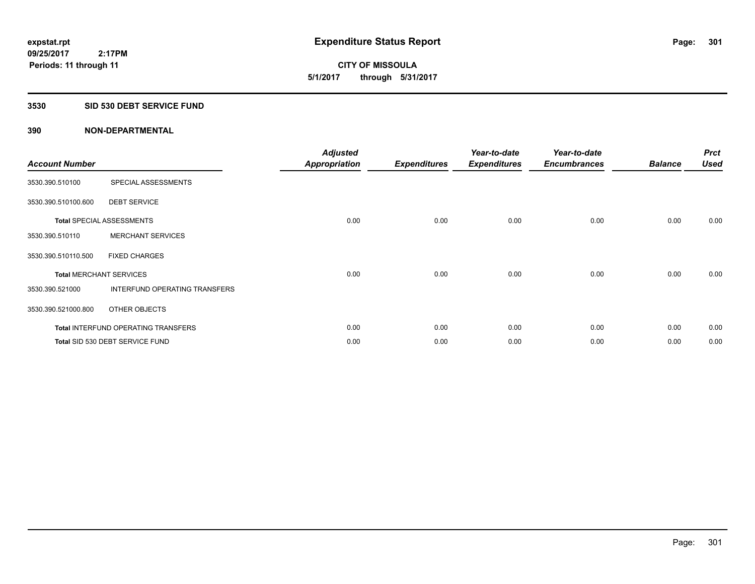**09/25/2017 2:17PM Periods: 11 through 11**

# **CITY OF MISSOULA 5/1/2017 through 5/31/2017**

# **3530 SID 530 DEBT SERVICE FUND**

| <b>Account Number</b>          |                                            | <b>Adjusted</b><br><b>Appropriation</b> | <b>Expenditures</b> | Year-to-date<br><b>Expenditures</b> | Year-to-date<br><b>Encumbrances</b> | <b>Balance</b> | <b>Prct</b><br><b>Used</b> |
|--------------------------------|--------------------------------------------|-----------------------------------------|---------------------|-------------------------------------|-------------------------------------|----------------|----------------------------|
| 3530.390.510100                | SPECIAL ASSESSMENTS                        |                                         |                     |                                     |                                     |                |                            |
| 3530.390.510100.600            | <b>DEBT SERVICE</b>                        |                                         |                     |                                     |                                     |                |                            |
|                                | <b>Total SPECIAL ASSESSMENTS</b>           | 0.00                                    | 0.00                | 0.00                                | 0.00                                | 0.00           | 0.00                       |
| 3530.390.510110                | <b>MERCHANT SERVICES</b>                   |                                         |                     |                                     |                                     |                |                            |
| 3530.390.510110.500            | <b>FIXED CHARGES</b>                       |                                         |                     |                                     |                                     |                |                            |
| <b>Total MERCHANT SERVICES</b> |                                            | 0.00                                    | 0.00                | 0.00                                | 0.00                                | 0.00           | 0.00                       |
| 3530.390.521000                | INTERFUND OPERATING TRANSFERS              |                                         |                     |                                     |                                     |                |                            |
| 3530.390.521000.800            | OTHER OBJECTS                              |                                         |                     |                                     |                                     |                |                            |
|                                | <b>Total INTERFUND OPERATING TRANSFERS</b> | 0.00                                    | 0.00                | 0.00                                | 0.00                                | 0.00           | 0.00                       |
|                                | Total SID 530 DEBT SERVICE FUND            | 0.00                                    | 0.00                | 0.00                                | 0.00                                | 0.00           | 0.00                       |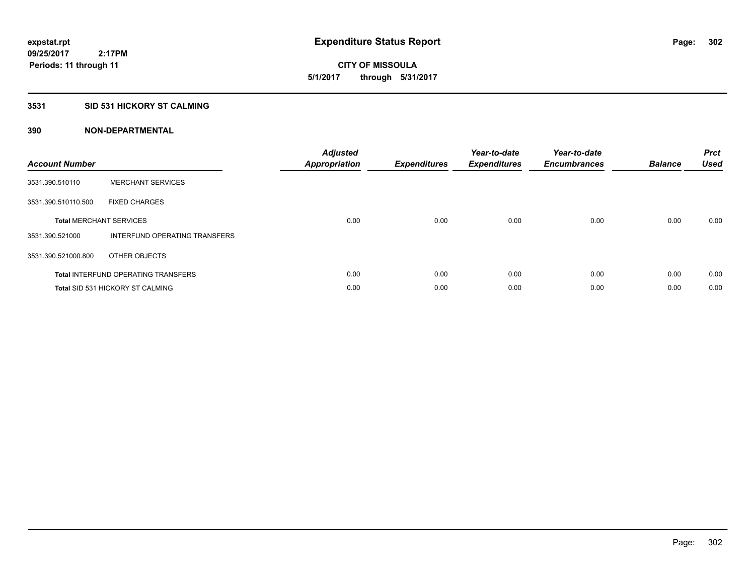**09/25/2017 2:17PM Periods: 11 through 11**

# **CITY OF MISSOULA 5/1/2017 through 5/31/2017**

# **3531 SID 531 HICKORY ST CALMING**

| <b>Account Number</b> |                                            | <b>Adjusted</b><br>Appropriation | <b>Expenditures</b> | Year-to-date<br><b>Expenditures</b> | Year-to-date<br><b>Encumbrances</b> | <b>Balance</b> | <b>Prct</b><br><b>Used</b> |
|-----------------------|--------------------------------------------|----------------------------------|---------------------|-------------------------------------|-------------------------------------|----------------|----------------------------|
| 3531.390.510110       | <b>MERCHANT SERVICES</b>                   |                                  |                     |                                     |                                     |                |                            |
| 3531.390.510110.500   | <b>FIXED CHARGES</b>                       |                                  |                     |                                     |                                     |                |                            |
|                       | <b>Total MERCHANT SERVICES</b>             | 0.00                             | 0.00                | 0.00                                | 0.00                                | 0.00           | 0.00                       |
| 3531.390.521000       | INTERFUND OPERATING TRANSFERS              |                                  |                     |                                     |                                     |                |                            |
| 3531.390.521000.800   | OTHER OBJECTS                              |                                  |                     |                                     |                                     |                |                            |
|                       | <b>Total INTERFUND OPERATING TRANSFERS</b> | 0.00                             | 0.00                | 0.00                                | 0.00                                | 0.00           | 0.00                       |
|                       | <b>Total SID 531 HICKORY ST CALMING</b>    | 0.00                             | 0.00                | 0.00                                | 0.00                                | 0.00           | 0.00                       |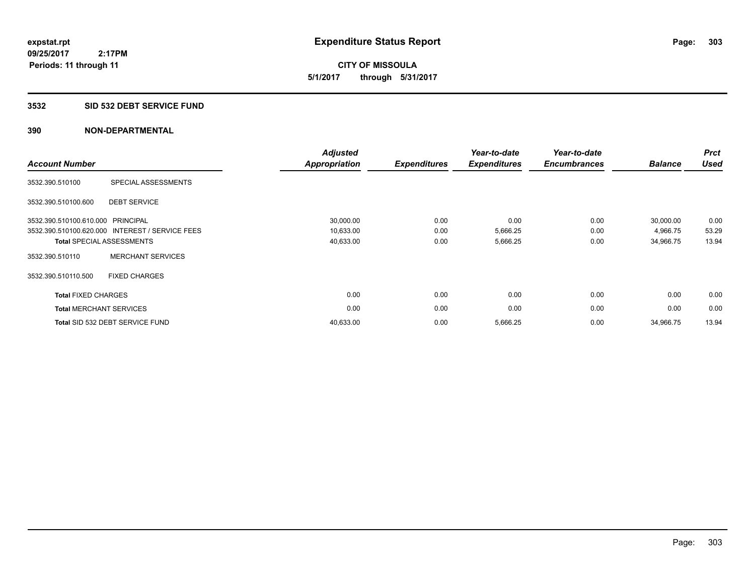**09/25/2017 2:17PM Periods: 11 through 11**

**CITY OF MISSOULA 5/1/2017 through 5/31/2017**

### **3532 SID 532 DEBT SERVICE FUND**

| <b>Account Number</b>             |                                                 | <b>Adjusted</b><br><b>Appropriation</b> | <b>Expenditures</b> | Year-to-date<br><b>Expenditures</b> | Year-to-date<br><b>Encumbrances</b> | <b>Balance</b> | <b>Prct</b><br><b>Used</b> |
|-----------------------------------|-------------------------------------------------|-----------------------------------------|---------------------|-------------------------------------|-------------------------------------|----------------|----------------------------|
| 3532.390.510100                   | SPECIAL ASSESSMENTS                             |                                         |                     |                                     |                                     |                |                            |
| 3532.390.510100.600               | <b>DEBT SERVICE</b>                             |                                         |                     |                                     |                                     |                |                            |
| 3532.390.510100.610.000 PRINCIPAL |                                                 | 30,000.00                               | 0.00                | 0.00                                | 0.00                                | 30,000.00      | 0.00                       |
|                                   | 3532.390.510100.620.000 INTEREST / SERVICE FEES | 10,633.00                               | 0.00                | 5,666.25                            | 0.00                                | 4,966.75       | 53.29                      |
|                                   | <b>Total SPECIAL ASSESSMENTS</b>                | 40,633.00                               | 0.00                | 5,666.25                            | 0.00                                | 34,966.75      | 13.94                      |
| 3532.390.510110                   | <b>MERCHANT SERVICES</b>                        |                                         |                     |                                     |                                     |                |                            |
| 3532.390.510110.500               | <b>FIXED CHARGES</b>                            |                                         |                     |                                     |                                     |                |                            |
| <b>Total FIXED CHARGES</b>        |                                                 | 0.00                                    | 0.00                | 0.00                                | 0.00                                | 0.00           | 0.00                       |
| <b>Total MERCHANT SERVICES</b>    |                                                 | 0.00                                    | 0.00                | 0.00                                | 0.00                                | 0.00           | 0.00                       |
|                                   | Total SID 532 DEBT SERVICE FUND                 | 40,633.00                               | 0.00                | 5,666.25                            | 0.00                                | 34,966.75      | 13.94                      |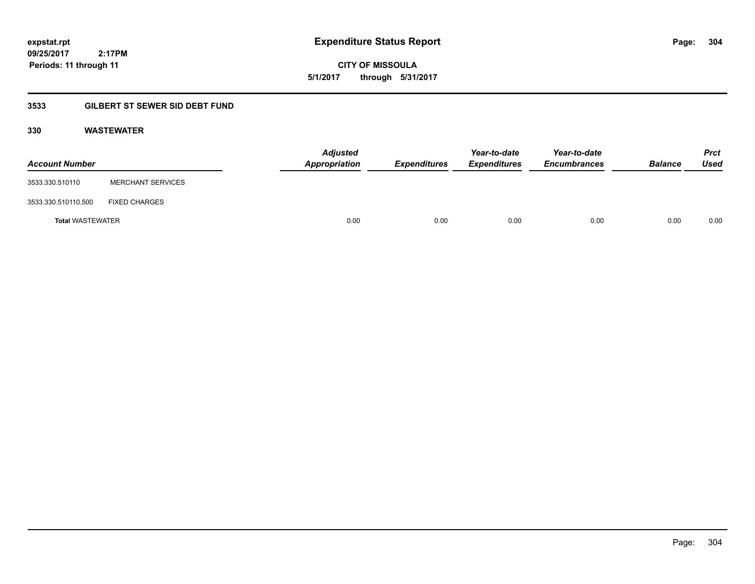**CITY OF MISSOULA 5/1/2017 through 5/31/2017**

# **3533 GILBERT ST SEWER SID DEBT FUND**

# **330 WASTEWATER**

| <b>Account Number</b>   |                          | <b>Adjusted</b><br>Appropriation | Expenditures | Year-to-date<br><b>Expenditures</b> | Year-to-date<br><b>Encumbrances</b> | <b>Balance</b> | <b>Prct</b><br>Used |
|-------------------------|--------------------------|----------------------------------|--------------|-------------------------------------|-------------------------------------|----------------|---------------------|
| 3533.330.510110         | <b>MERCHANT SERVICES</b> |                                  |              |                                     |                                     |                |                     |
| 3533.330.510110.500     | <b>FIXED CHARGES</b>     |                                  |              |                                     |                                     |                |                     |
| <b>Total WASTEWATER</b> |                          | 0.00                             | 0.00         | 0.00                                | 0.00                                | 0.00           | 0.00                |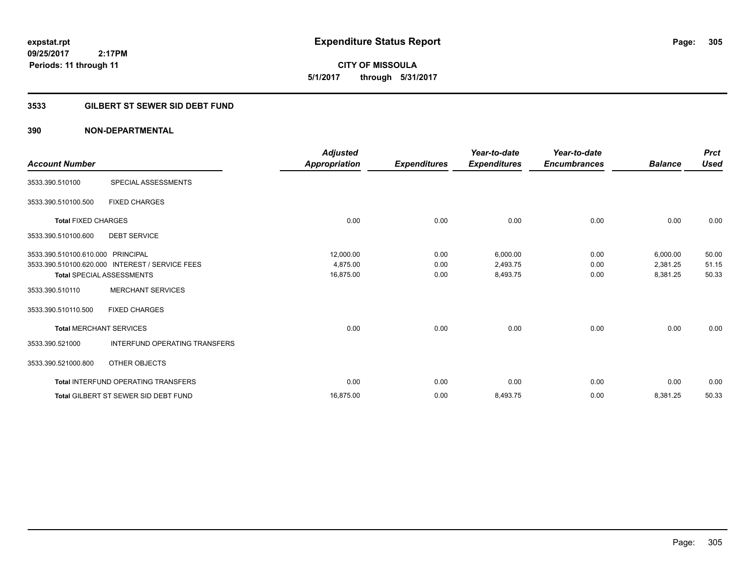**CITY OF MISSOULA 5/1/2017 through 5/31/2017**

# **3533 GILBERT ST SEWER SID DEBT FUND**

| <b>Account Number</b>             |                                                 | <b>Adjusted</b> |                     | Year-to-date        | Year-to-date<br><b>Encumbrances</b> |                | <b>Prct</b><br><b>Used</b> |
|-----------------------------------|-------------------------------------------------|-----------------|---------------------|---------------------|-------------------------------------|----------------|----------------------------|
|                                   |                                                 | Appropriation   | <b>Expenditures</b> | <b>Expenditures</b> |                                     | <b>Balance</b> |                            |
| 3533.390.510100                   | SPECIAL ASSESSMENTS                             |                 |                     |                     |                                     |                |                            |
| 3533.390.510100.500               | <b>FIXED CHARGES</b>                            |                 |                     |                     |                                     |                |                            |
| <b>Total FIXED CHARGES</b>        |                                                 | 0.00            | 0.00                | 0.00                | 0.00                                | 0.00           | 0.00                       |
| 3533.390.510100.600               | <b>DEBT SERVICE</b>                             |                 |                     |                     |                                     |                |                            |
| 3533.390.510100.610.000 PRINCIPAL |                                                 | 12,000.00       | 0.00                | 6,000.00            | 0.00                                | 6,000.00       | 50.00                      |
|                                   | 3533.390.510100.620.000 INTEREST / SERVICE FEES | 4,875.00        | 0.00                | 2,493.75            | 0.00                                | 2,381.25       | 51.15                      |
|                                   | <b>Total SPECIAL ASSESSMENTS</b>                | 16,875.00       | 0.00                | 8,493.75            | 0.00                                | 8,381.25       | 50.33                      |
| 3533.390.510110                   | <b>MERCHANT SERVICES</b>                        |                 |                     |                     |                                     |                |                            |
| 3533.390.510110.500               | <b>FIXED CHARGES</b>                            |                 |                     |                     |                                     |                |                            |
| <b>Total MERCHANT SERVICES</b>    |                                                 | 0.00            | 0.00                | 0.00                | 0.00                                | 0.00           | 0.00                       |
| 3533.390.521000                   | <b>INTERFUND OPERATING TRANSFERS</b>            |                 |                     |                     |                                     |                |                            |
| 3533.390.521000.800               | OTHER OBJECTS                                   |                 |                     |                     |                                     |                |                            |
|                                   | <b>Total INTERFUND OPERATING TRANSFERS</b>      | 0.00            | 0.00                | 0.00                | 0.00                                | 0.00           | 0.00                       |
|                                   | <b>Total GILBERT ST SEWER SID DEBT FUND</b>     | 16,875.00       | 0.00                | 8,493.75            | 0.00                                | 8,381.25       | 50.33                      |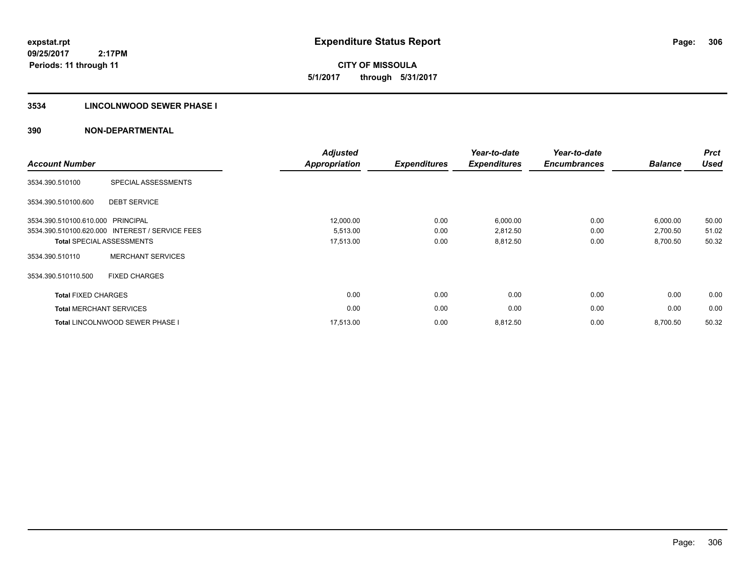**09/25/2017 2:17PM Periods: 11 through 11**

**CITY OF MISSOULA 5/1/2017 through 5/31/2017**

# **3534 LINCOLNWOOD SEWER PHASE I**

| <b>Account Number</b>          |                                                 | <b>Adjusted</b><br><b>Appropriation</b> | <b>Expenditures</b> | Year-to-date<br><b>Expenditures</b> | Year-to-date<br><b>Encumbrances</b> | <b>Balance</b> | <b>Prct</b><br><b>Used</b> |
|--------------------------------|-------------------------------------------------|-----------------------------------------|---------------------|-------------------------------------|-------------------------------------|----------------|----------------------------|
| 3534.390.510100                | SPECIAL ASSESSMENTS                             |                                         |                     |                                     |                                     |                |                            |
| 3534.390.510100.600            | <b>DEBT SERVICE</b>                             |                                         |                     |                                     |                                     |                |                            |
| 3534.390.510100.610.000        | PRINCIPAL                                       | 12,000.00                               | 0.00                | 6,000.00                            | 0.00                                | 6,000.00       | 50.00                      |
|                                | 3534.390.510100.620.000 INTEREST / SERVICE FEES | 5,513.00                                | 0.00                | 2,812.50                            | 0.00                                | 2,700.50       | 51.02                      |
|                                | <b>Total SPECIAL ASSESSMENTS</b>                | 17,513.00                               | 0.00                | 8,812.50                            | 0.00                                | 8,700.50       | 50.32                      |
| 3534.390.510110                | <b>MERCHANT SERVICES</b>                        |                                         |                     |                                     |                                     |                |                            |
| 3534.390.510110.500            | <b>FIXED CHARGES</b>                            |                                         |                     |                                     |                                     |                |                            |
| <b>Total FIXED CHARGES</b>     |                                                 | 0.00                                    | 0.00                | 0.00                                | 0.00                                | 0.00           | 0.00                       |
| <b>Total MERCHANT SERVICES</b> |                                                 | 0.00                                    | 0.00                | 0.00                                | 0.00                                | 0.00           | 0.00                       |
|                                | <b>Total LINCOLNWOOD SEWER PHASE I</b>          | 17,513.00                               | 0.00                | 8,812.50                            | 0.00                                | 8,700.50       | 50.32                      |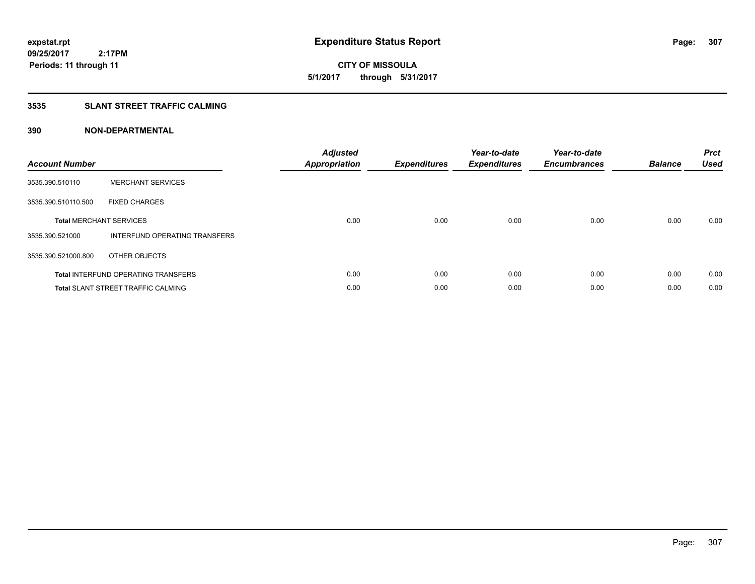**CITY OF MISSOULA 5/1/2017 through 5/31/2017**

# **3535 SLANT STREET TRAFFIC CALMING**

| <b>Account Number</b> |                                            | <b>Adjusted</b><br>Appropriation | <b>Expenditures</b> | Year-to-date<br><b>Expenditures</b> | Year-to-date<br><b>Encumbrances</b> | <b>Balance</b> | <b>Prct</b><br><b>Used</b> |
|-----------------------|--------------------------------------------|----------------------------------|---------------------|-------------------------------------|-------------------------------------|----------------|----------------------------|
| 3535.390.510110       | <b>MERCHANT SERVICES</b>                   |                                  |                     |                                     |                                     |                |                            |
| 3535.390.510110.500   | <b>FIXED CHARGES</b>                       |                                  |                     |                                     |                                     |                |                            |
|                       | <b>Total MERCHANT SERVICES</b>             | 0.00                             | 0.00                | 0.00                                | 0.00                                | 0.00           | 0.00                       |
| 3535.390.521000       | INTERFUND OPERATING TRANSFERS              |                                  |                     |                                     |                                     |                |                            |
| 3535.390.521000.800   | OTHER OBJECTS                              |                                  |                     |                                     |                                     |                |                            |
|                       | <b>Total INTERFUND OPERATING TRANSFERS</b> | 0.00                             | 0.00                | 0.00                                | 0.00                                | 0.00           | 0.00                       |
|                       | <b>Total SLANT STREET TRAFFIC CALMING</b>  | 0.00                             | 0.00                | 0.00                                | 0.00                                | 0.00           | 0.00                       |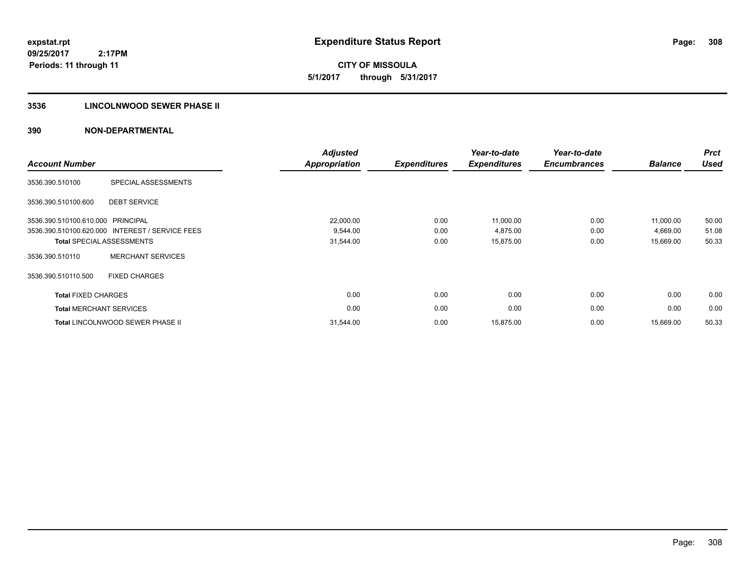**09/25/2017 2:17PM Periods: 11 through 11**

**CITY OF MISSOULA 5/1/2017 through 5/31/2017**

# **3536 LINCOLNWOOD SEWER PHASE II**

| <b>Account Number</b>             |                                                 | <b>Adjusted</b><br>Appropriation | <b>Expenditures</b> | Year-to-date<br><b>Expenditures</b> | Year-to-date<br><b>Encumbrances</b> | <b>Balance</b> | <b>Prct</b><br><b>Used</b> |
|-----------------------------------|-------------------------------------------------|----------------------------------|---------------------|-------------------------------------|-------------------------------------|----------------|----------------------------|
| 3536.390.510100                   | SPECIAL ASSESSMENTS                             |                                  |                     |                                     |                                     |                |                            |
| 3536.390.510100.600               | <b>DEBT SERVICE</b>                             |                                  |                     |                                     |                                     |                |                            |
| 3536.390.510100.610.000 PRINCIPAL |                                                 | 22,000.00                        | 0.00                | 11,000.00                           | 0.00                                | 11.000.00      | 50.00                      |
|                                   | 3536.390.510100.620.000 INTEREST / SERVICE FEES | 9,544.00                         | 0.00                | 4,875.00                            | 0.00                                | 4,669.00       | 51.08                      |
|                                   | <b>Total SPECIAL ASSESSMENTS</b>                | 31,544.00                        | 0.00                | 15,875.00                           | 0.00                                | 15,669.00      | 50.33                      |
| 3536.390.510110                   | <b>MERCHANT SERVICES</b>                        |                                  |                     |                                     |                                     |                |                            |
| 3536.390.510110.500               | <b>FIXED CHARGES</b>                            |                                  |                     |                                     |                                     |                |                            |
| <b>Total FIXED CHARGES</b>        |                                                 | 0.00                             | 0.00                | 0.00                                | 0.00                                | 0.00           | 0.00                       |
| <b>Total MERCHANT SERVICES</b>    |                                                 | 0.00                             | 0.00                | 0.00                                | 0.00                                | 0.00           | 0.00                       |
|                                   | Total LINCOLNWOOD SEWER PHASE II                | 31,544.00                        | 0.00                | 15,875.00                           | 0.00                                | 15,669.00      | 50.33                      |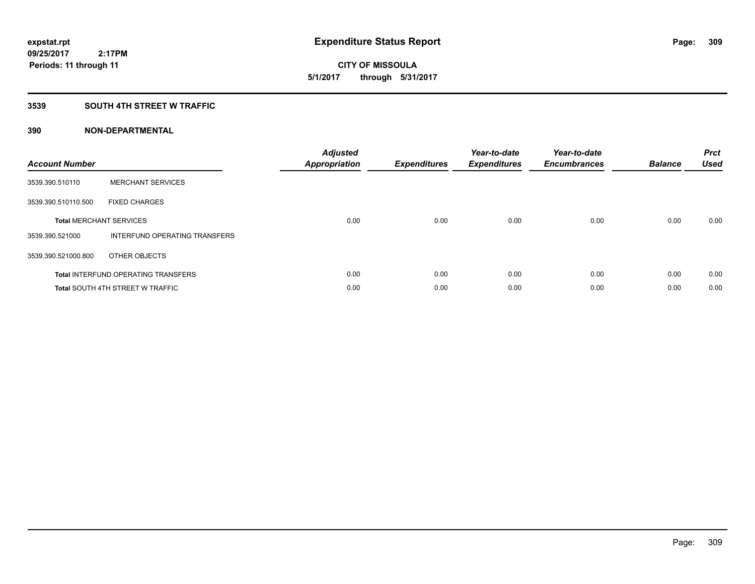**CITY OF MISSOULA 5/1/2017 through 5/31/2017**

# **3539 SOUTH 4TH STREET W TRAFFIC**

| <b>Account Number</b> |                                            | <b>Adjusted</b><br>Appropriation | <b>Expenditures</b> | Year-to-date<br><b>Expenditures</b> | Year-to-date<br><b>Encumbrances</b> | <b>Balance</b> | <b>Prct</b><br><b>Used</b> |
|-----------------------|--------------------------------------------|----------------------------------|---------------------|-------------------------------------|-------------------------------------|----------------|----------------------------|
| 3539.390.510110       | <b>MERCHANT SERVICES</b>                   |                                  |                     |                                     |                                     |                |                            |
| 3539.390.510110.500   | <b>FIXED CHARGES</b>                       |                                  |                     |                                     |                                     |                |                            |
|                       | <b>Total MERCHANT SERVICES</b>             | 0.00                             | 0.00                | 0.00                                | 0.00                                | 0.00           | 0.00                       |
| 3539.390.521000       | INTERFUND OPERATING TRANSFERS              |                                  |                     |                                     |                                     |                |                            |
| 3539.390.521000.800   | OTHER OBJECTS                              |                                  |                     |                                     |                                     |                |                            |
|                       | <b>Total INTERFUND OPERATING TRANSFERS</b> | 0.00                             | 0.00                | 0.00                                | 0.00                                | 0.00           | 0.00                       |
|                       | <b>Total SOUTH 4TH STREET W TRAFFIC</b>    | 0.00                             | 0.00                | 0.00                                | 0.00                                | 0.00           | 0.00                       |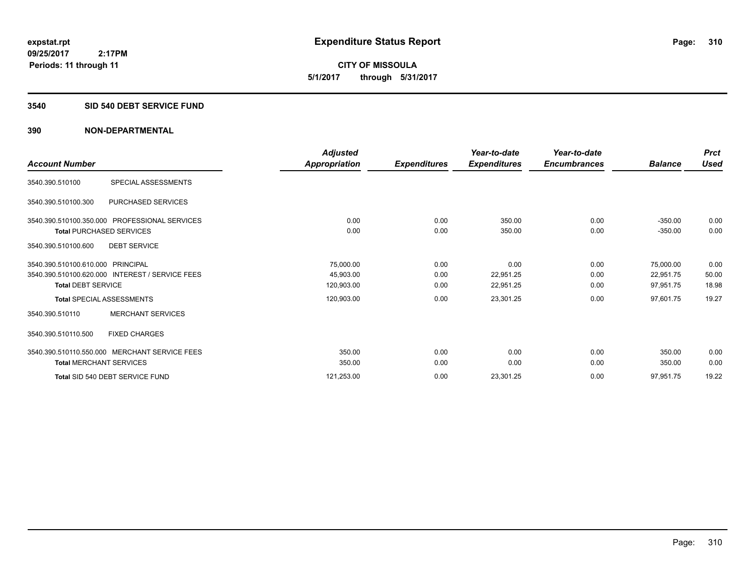**09/25/2017 2:17PM Periods: 11 through 11**

**CITY OF MISSOULA 5/1/2017 through 5/31/2017**

### **3540 SID 540 DEBT SERVICE FUND**

|                                                 | Adjusted      |                     | Year-to-date        | Year-to-date        |                | <b>Prct</b> |
|-------------------------------------------------|---------------|---------------------|---------------------|---------------------|----------------|-------------|
| <b>Account Number</b>                           | Appropriation | <b>Expenditures</b> | <b>Expenditures</b> | <b>Encumbrances</b> | <b>Balance</b> | <b>Used</b> |
| SPECIAL ASSESSMENTS<br>3540.390.510100          |               |                     |                     |                     |                |             |
| PURCHASED SERVICES<br>3540.390.510100.300       |               |                     |                     |                     |                |             |
| 3540.390.510100.350.000 PROFESSIONAL SERVICES   | 0.00          | 0.00                | 350.00              | 0.00                | $-350.00$      | 0.00        |
| <b>Total PURCHASED SERVICES</b>                 | 0.00          | 0.00                | 350.00              | 0.00                | $-350.00$      | 0.00        |
| 3540.390.510100.600<br><b>DEBT SERVICE</b>      |               |                     |                     |                     |                |             |
| 3540.390.510100.610.000 PRINCIPAL               | 75,000.00     | 0.00                | 0.00                | 0.00                | 75,000.00      | 0.00        |
| 3540.390.510100.620.000 INTEREST / SERVICE FEES | 45,903.00     | 0.00                | 22,951.25           | 0.00                | 22,951.75      | 50.00       |
| <b>Total DEBT SERVICE</b>                       | 120,903.00    | 0.00                | 22,951.25           | 0.00                | 97,951.75      | 18.98       |
| <b>Total SPECIAL ASSESSMENTS</b>                | 120,903.00    | 0.00                | 23,301.25           | 0.00                | 97,601.75      | 19.27       |
| <b>MERCHANT SERVICES</b><br>3540.390.510110     |               |                     |                     |                     |                |             |
| 3540.390.510110.500<br><b>FIXED CHARGES</b>     |               |                     |                     |                     |                |             |
| 3540.390.510110.550.000 MERCHANT SERVICE FEES   | 350.00        | 0.00                | 0.00                | 0.00                | 350.00         | 0.00        |
| <b>Total MERCHANT SERVICES</b>                  | 350.00        | 0.00                | 0.00                | 0.00                | 350.00         | 0.00        |
| Total SID 540 DEBT SERVICE FUND                 | 121,253.00    | 0.00                | 23,301.25           | 0.00                | 97,951.75      | 19.22       |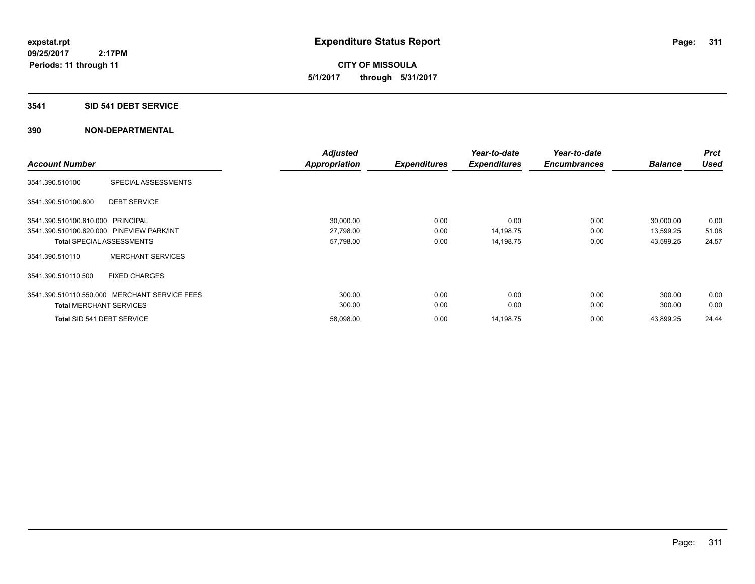**CITY OF MISSOULA 5/1/2017 through 5/31/2017**

### **3541 SID 541 DEBT SERVICE**

|                                           |                                               | <b>Adjusted</b>      |                     | Year-to-date        | Year-to-date        |                | Prct        |
|-------------------------------------------|-----------------------------------------------|----------------------|---------------------|---------------------|---------------------|----------------|-------------|
| <b>Account Number</b>                     |                                               | <b>Appropriation</b> | <b>Expenditures</b> | <b>Expenditures</b> | <b>Encumbrances</b> | <b>Balance</b> | <b>Used</b> |
| 3541.390.510100                           | SPECIAL ASSESSMENTS                           |                      |                     |                     |                     |                |             |
| 3541.390.510100.600                       | <b>DEBT SERVICE</b>                           |                      |                     |                     |                     |                |             |
| 3541.390.510100.610.000 PRINCIPAL         |                                               | 30,000.00            | 0.00                | 0.00                | 0.00                | 30,000.00      | 0.00        |
| 3541.390.510100.620.000 PINEVIEW PARK/INT |                                               | 27,798.00            | 0.00                | 14,198.75           | 0.00                | 13,599.25      | 51.08       |
|                                           | <b>Total SPECIAL ASSESSMENTS</b>              | 57,798.00            | 0.00                | 14,198.75           | 0.00                | 43,599.25      | 24.57       |
| 3541.390.510110                           | <b>MERCHANT SERVICES</b>                      |                      |                     |                     |                     |                |             |
| 3541.390.510110.500                       | <b>FIXED CHARGES</b>                          |                      |                     |                     |                     |                |             |
|                                           | 3541.390.510110.550.000 MERCHANT SERVICE FEES | 300.00               | 0.00                | 0.00                | 0.00                | 300.00         | 0.00        |
| <b>Total MERCHANT SERVICES</b>            |                                               | 300.00               | 0.00                | 0.00                | 0.00                | 300.00         | 0.00        |
| Total SID 541 DEBT SERVICE                |                                               | 58,098.00            | 0.00                | 14,198.75           | 0.00                | 43,899.25      | 24.44       |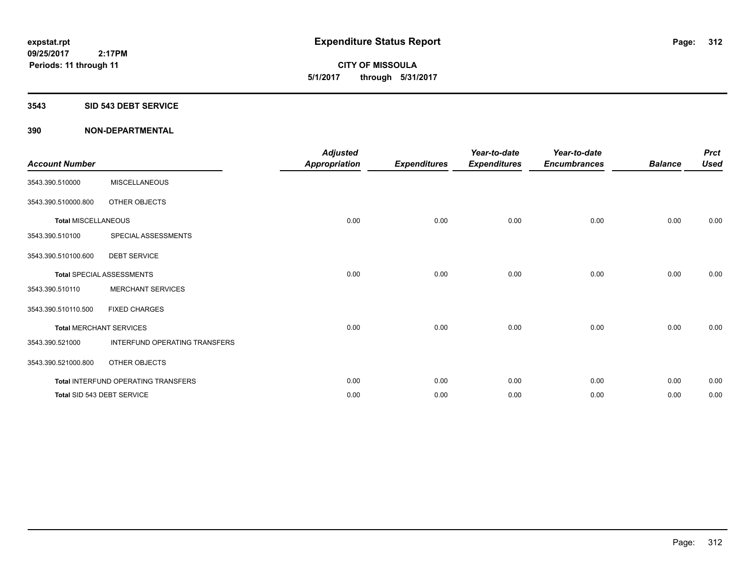**CITY OF MISSOULA 5/1/2017 through 5/31/2017**

#### **3543 SID 543 DEBT SERVICE**

| <b>Account Number</b>      |                                     | <b>Adjusted</b><br><b>Appropriation</b> | <b>Expenditures</b> | Year-to-date<br><b>Expenditures</b> | Year-to-date<br><b>Encumbrances</b> | <b>Balance</b> | <b>Prct</b><br><b>Used</b> |
|----------------------------|-------------------------------------|-----------------------------------------|---------------------|-------------------------------------|-------------------------------------|----------------|----------------------------|
| 3543.390.510000            | <b>MISCELLANEOUS</b>                |                                         |                     |                                     |                                     |                |                            |
| 3543.390.510000.800        | OTHER OBJECTS                       |                                         |                     |                                     |                                     |                |                            |
| <b>Total MISCELLANEOUS</b> |                                     | 0.00                                    | 0.00                | 0.00                                | 0.00                                | 0.00           | 0.00                       |
| 3543.390.510100            | SPECIAL ASSESSMENTS                 |                                         |                     |                                     |                                     |                |                            |
| 3543.390.510100.600        | <b>DEBT SERVICE</b>                 |                                         |                     |                                     |                                     |                |                            |
|                            | <b>Total SPECIAL ASSESSMENTS</b>    | 0.00                                    | 0.00                | 0.00                                | 0.00                                | 0.00           | 0.00                       |
| 3543.390.510110            | <b>MERCHANT SERVICES</b>            |                                         |                     |                                     |                                     |                |                            |
| 3543.390.510110.500        | <b>FIXED CHARGES</b>                |                                         |                     |                                     |                                     |                |                            |
|                            | <b>Total MERCHANT SERVICES</b>      | 0.00                                    | 0.00                | 0.00                                | 0.00                                | 0.00           | 0.00                       |
| 3543.390.521000            | INTERFUND OPERATING TRANSFERS       |                                         |                     |                                     |                                     |                |                            |
| 3543.390.521000.800        | OTHER OBJECTS                       |                                         |                     |                                     |                                     |                |                            |
|                            | Total INTERFUND OPERATING TRANSFERS | 0.00                                    | 0.00                | 0.00                                | 0.00                                | 0.00           | 0.00                       |
|                            | Total SID 543 DEBT SERVICE          | 0.00                                    | 0.00                | 0.00                                | 0.00                                | 0.00           | 0.00                       |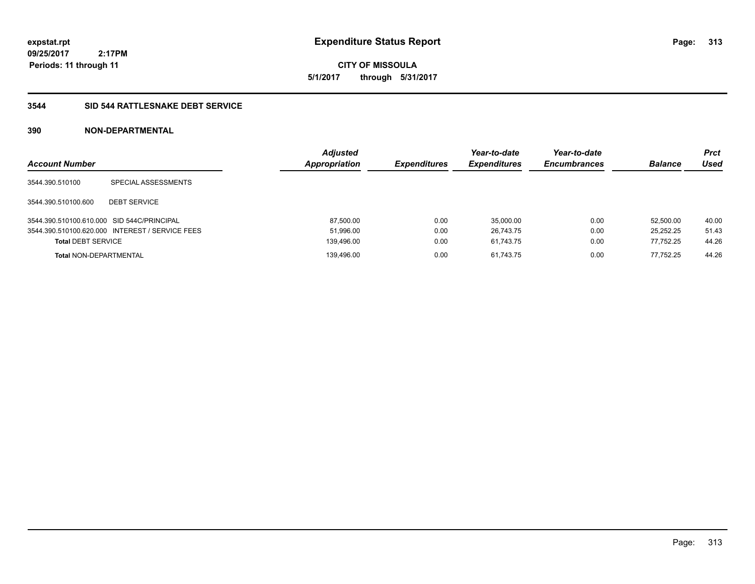**expstat.rpt Expenditure Status Report** 

**09/25/2017 2:17PM Periods: 11 through 11**

**CITY OF MISSOULA 5/1/2017 through 5/31/2017**

# **3544 SID 544 RATTLESNAKE DEBT SERVICE**

| <b>Account Number</b>                      |                                                 | <b>Adjusted</b><br>Appropriation | <b>Expenditures</b> | Year-to-date<br><b>Expenditures</b> | Year-to-date<br><b>Encumbrances</b> | <b>Balance</b> | <b>Prct</b><br>Used |
|--------------------------------------------|-------------------------------------------------|----------------------------------|---------------------|-------------------------------------|-------------------------------------|----------------|---------------------|
| 3544.390.510100                            | SPECIAL ASSESSMENTS                             |                                  |                     |                                     |                                     |                |                     |
| 3544.390.510100.600                        | <b>DEBT SERVICE</b>                             |                                  |                     |                                     |                                     |                |                     |
| 3544.390.510100.610.000 SID 544C/PRINCIPAL |                                                 | 87,500.00                        | 0.00                | 35.000.00                           | 0.00                                | 52.500.00      | 40.00               |
|                                            | 3544.390.510100.620.000 INTEREST / SERVICE FEES | 51,996.00                        | 0.00                | 26.743.75                           | 0.00                                | 25.252.25      | 51.43               |
| <b>Total DEBT SERVICE</b>                  |                                                 | 139,496.00                       | 0.00                | 61.743.75                           | 0.00                                | 77,752.25      | 44.26               |
| <b>Total NON-DEPARTMENTAL</b>              |                                                 | 139.496.00                       | 0.00                | 61.743.75                           | 0.00                                | 77.752.25      | 44.26               |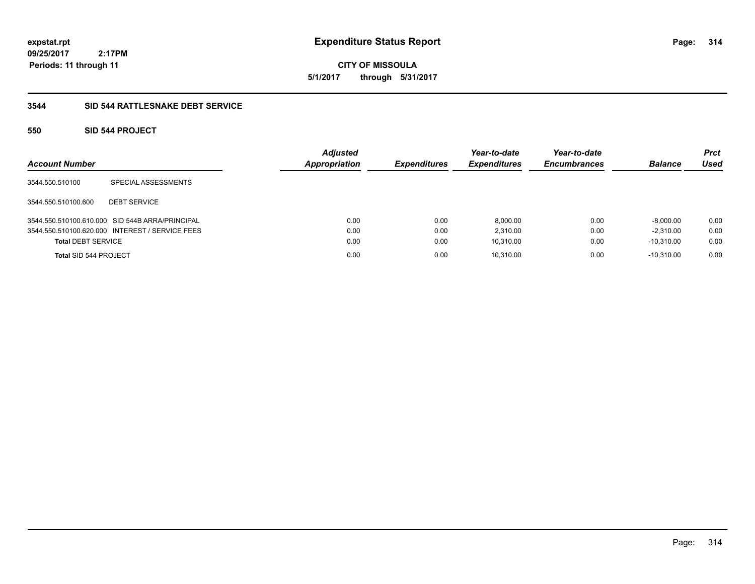**CITY OF MISSOULA 5/1/2017 through 5/31/2017**

# **3544 SID 544 RATTLESNAKE DEBT SERVICE**

# **550 SID 544 PROJECT**

| <b>Account Number</b>     |                                                 | <b>Adjusted</b><br><b>Appropriation</b> | <b>Expenditures</b> | Year-to-date<br><b>Expenditures</b> | Year-to-date<br><b>Encumbrances</b> | <b>Balance</b> | <b>Prct</b><br>Used |
|---------------------------|-------------------------------------------------|-----------------------------------------|---------------------|-------------------------------------|-------------------------------------|----------------|---------------------|
| 3544.550.510100           | SPECIAL ASSESSMENTS                             |                                         |                     |                                     |                                     |                |                     |
| 3544.550.510100.600       | <b>DEBT SERVICE</b>                             |                                         |                     |                                     |                                     |                |                     |
|                           | 3544.550.510100.610.000 SID 544B ARRA/PRINCIPAL | 0.00                                    | 0.00                | 8,000.00                            | 0.00                                | $-8,000.00$    | 0.00                |
|                           | 3544.550.510100.620.000 INTEREST / SERVICE FEES | 0.00                                    | 0.00                | 2.310.00                            | 0.00                                | $-2.310.00$    | 0.00                |
| <b>Total DEBT SERVICE</b> |                                                 | 0.00                                    | 0.00                | 10,310.00                           | 0.00                                | $-10.310.00$   | 0.00                |
| Total SID 544 PROJECT     |                                                 | 0.00                                    | 0.00                | 10,310.00                           | 0.00                                | $-10.310.00$   | 0.00                |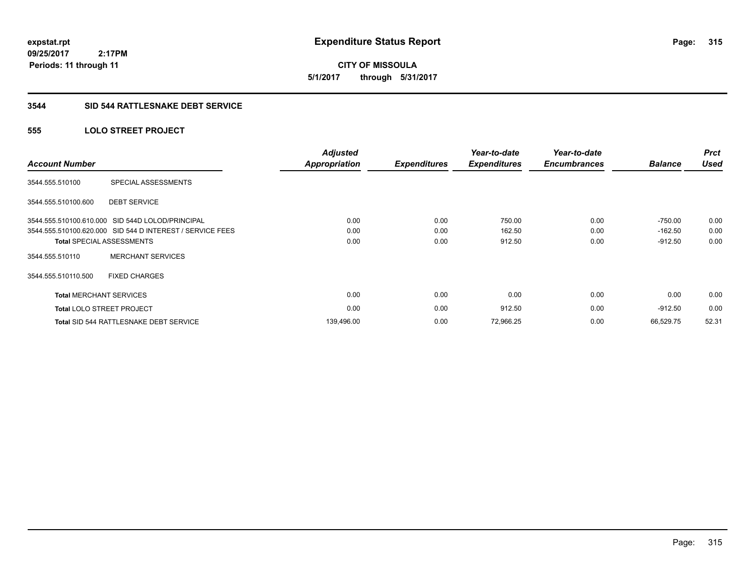**CITY OF MISSOULA 5/1/2017 through 5/31/2017**

# **3544 SID 544 RATTLESNAKE DEBT SERVICE**

# **555 LOLO STREET PROJECT**

| <b>Account Number</b>          |                                                           | <b>Adjusted</b><br><b>Appropriation</b> | <b>Expenditures</b> | Year-to-date<br><b>Expenditures</b> | Year-to-date<br><b>Encumbrances</b> | <b>Balance</b> | <b>Prct</b><br><b>Used</b> |
|--------------------------------|-----------------------------------------------------------|-----------------------------------------|---------------------|-------------------------------------|-------------------------------------|----------------|----------------------------|
| 3544.555.510100                | SPECIAL ASSESSMENTS                                       |                                         |                     |                                     |                                     |                |                            |
| 3544.555.510100.600            | <b>DEBT SERVICE</b>                                       |                                         |                     |                                     |                                     |                |                            |
|                                | 3544.555.510100.610.000 SID 544D LOLOD/PRINCIPAL          | 0.00                                    | 0.00                | 750.00                              | 0.00                                | $-750.00$      | 0.00                       |
|                                | 3544.555.510100.620.000 SID 544 D INTEREST / SERVICE FEES | 0.00                                    | 0.00                | 162.50                              | 0.00                                | $-162.50$      | 0.00                       |
|                                | <b>Total SPECIAL ASSESSMENTS</b>                          | 0.00                                    | 0.00                | 912.50                              | 0.00                                | $-912.50$      | 0.00                       |
| 3544.555.510110                | <b>MERCHANT SERVICES</b>                                  |                                         |                     |                                     |                                     |                |                            |
| 3544.555.510110.500            | <b>FIXED CHARGES</b>                                      |                                         |                     |                                     |                                     |                |                            |
| <b>Total MERCHANT SERVICES</b> |                                                           | 0.00                                    | 0.00                | 0.00                                | 0.00                                | 0.00           | 0.00                       |
|                                | <b>Total LOLO STREET PROJECT</b>                          | 0.00                                    | 0.00                | 912.50                              | 0.00                                | $-912.50$      | 0.00                       |
|                                | Total SID 544 RATTLESNAKE DEBT SERVICE                    | 139,496.00                              | 0.00                | 72,966.25                           | 0.00                                | 66.529.75      | 52.31                      |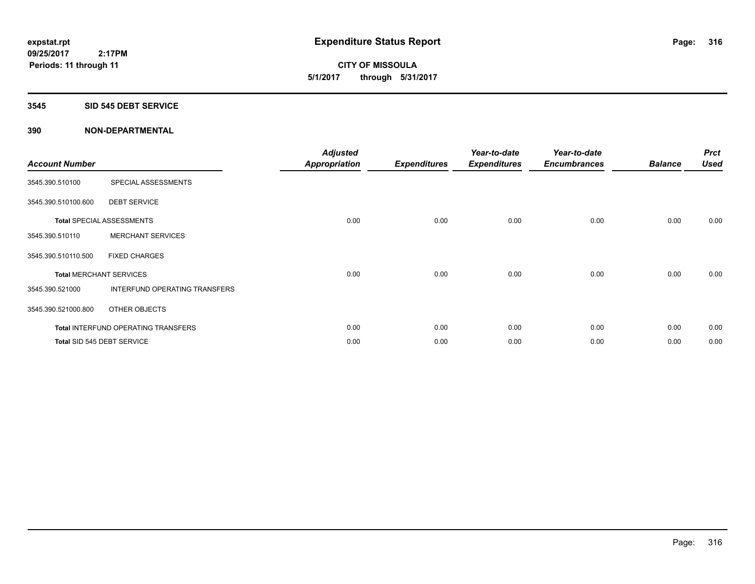**CITY OF MISSOULA 5/1/2017 through 5/31/2017**

### **3545 SID 545 DEBT SERVICE**

| <b>Account Number</b> |                                            | <b>Adjusted</b><br><b>Appropriation</b> | <b>Expenditures</b> | Year-to-date<br><b>Expenditures</b> | Year-to-date<br><b>Encumbrances</b> | <b>Balance</b> | <b>Prct</b><br><b>Used</b> |
|-----------------------|--------------------------------------------|-----------------------------------------|---------------------|-------------------------------------|-------------------------------------|----------------|----------------------------|
| 3545.390.510100       | SPECIAL ASSESSMENTS                        |                                         |                     |                                     |                                     |                |                            |
| 3545.390.510100.600   | <b>DEBT SERVICE</b>                        |                                         |                     |                                     |                                     |                |                            |
|                       | <b>Total SPECIAL ASSESSMENTS</b>           | 0.00                                    | 0.00                | 0.00                                | 0.00                                | 0.00           | 0.00                       |
| 3545.390.510110       | <b>MERCHANT SERVICES</b>                   |                                         |                     |                                     |                                     |                |                            |
| 3545.390.510110.500   | <b>FIXED CHARGES</b>                       |                                         |                     |                                     |                                     |                |                            |
|                       | <b>Total MERCHANT SERVICES</b>             | 0.00                                    | 0.00                | 0.00                                | 0.00                                | 0.00           | 0.00                       |
| 3545.390.521000       | INTERFUND OPERATING TRANSFERS              |                                         |                     |                                     |                                     |                |                            |
| 3545.390.521000.800   | OTHER OBJECTS                              |                                         |                     |                                     |                                     |                |                            |
|                       | <b>Total INTERFUND OPERATING TRANSFERS</b> | 0.00                                    | 0.00                | 0.00                                | 0.00                                | 0.00           | 0.00                       |
|                       | Total SID 545 DEBT SERVICE                 | 0.00                                    | 0.00                | 0.00                                | 0.00                                | 0.00           | 0.00                       |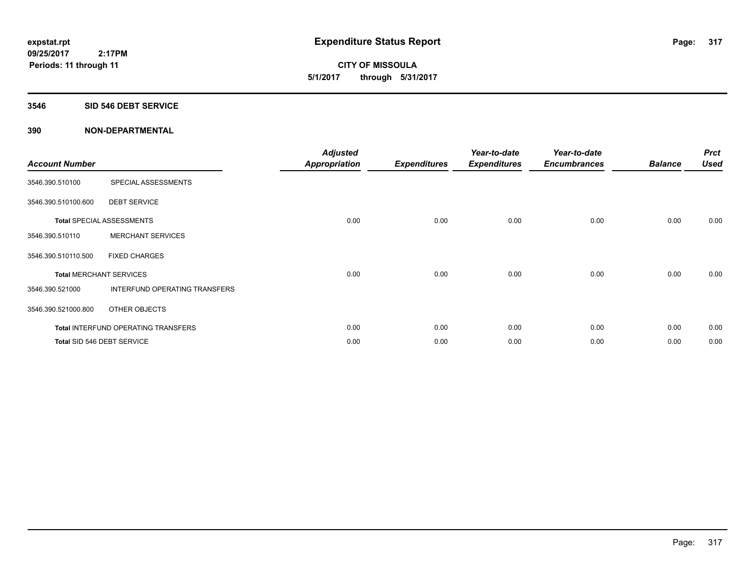**CITY OF MISSOULA 5/1/2017 through 5/31/2017**

### **3546 SID 546 DEBT SERVICE**

| <b>Account Number</b>          |                                     | <b>Adjusted</b><br>Appropriation | <b>Expenditures</b> | Year-to-date<br><b>Expenditures</b> | Year-to-date<br><b>Encumbrances</b> | <b>Balance</b> | <b>Prct</b><br><b>Used</b> |
|--------------------------------|-------------------------------------|----------------------------------|---------------------|-------------------------------------|-------------------------------------|----------------|----------------------------|
| 3546.390.510100                | SPECIAL ASSESSMENTS                 |                                  |                     |                                     |                                     |                |                            |
| 3546.390.510100.600            | <b>DEBT SERVICE</b>                 |                                  |                     |                                     |                                     |                |                            |
|                                | <b>Total SPECIAL ASSESSMENTS</b>    | 0.00                             | 0.00                | 0.00                                | 0.00                                | 0.00           | 0.00                       |
| 3546.390.510110                | <b>MERCHANT SERVICES</b>            |                                  |                     |                                     |                                     |                |                            |
| 3546.390.510110.500            | <b>FIXED CHARGES</b>                |                                  |                     |                                     |                                     |                |                            |
| <b>Total MERCHANT SERVICES</b> |                                     | 0.00                             | 0.00                | 0.00                                | 0.00                                | 0.00           | 0.00                       |
| 3546.390.521000                | INTERFUND OPERATING TRANSFERS       |                                  |                     |                                     |                                     |                |                            |
| 3546.390.521000.800            | OTHER OBJECTS                       |                                  |                     |                                     |                                     |                |                            |
|                                | Total INTERFUND OPERATING TRANSFERS | 0.00                             | 0.00                | 0.00                                | 0.00                                | 0.00           | 0.00                       |
|                                | Total SID 546 DEBT SERVICE          | 0.00                             | 0.00                | 0.00                                | 0.00                                | 0.00           | 0.00                       |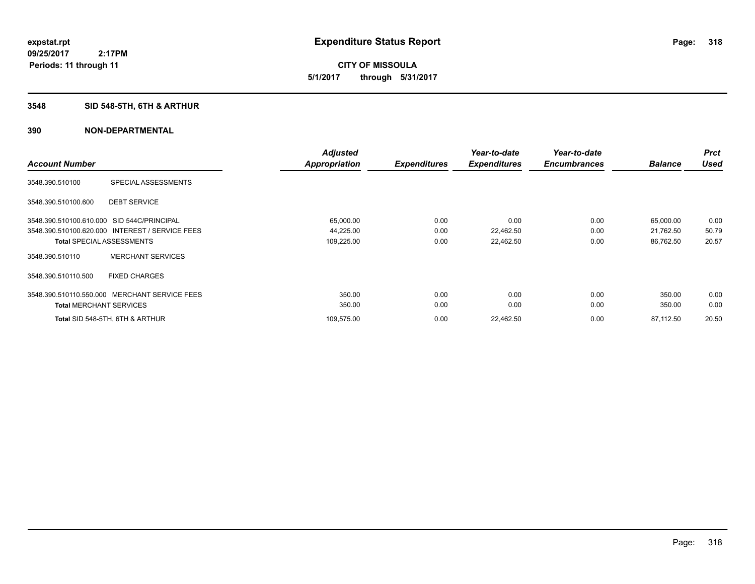**CITY OF MISSOULA 5/1/2017 through 5/31/2017**

# **3548 SID 548-5TH, 6TH & ARTHUR**

|                                                 | <b>Adjusted</b>      |                     | Year-to-date        | Year-to-date        |                | <b>Prct</b> |
|-------------------------------------------------|----------------------|---------------------|---------------------|---------------------|----------------|-------------|
| <b>Account Number</b>                           | <b>Appropriation</b> | <b>Expenditures</b> | <b>Expenditures</b> | <b>Encumbrances</b> | <b>Balance</b> | <b>Used</b> |
| 3548.390.510100<br><b>SPECIAL ASSESSMENTS</b>   |                      |                     |                     |                     |                |             |
| <b>DEBT SERVICE</b><br>3548.390.510100.600      |                      |                     |                     |                     |                |             |
| 3548.390.510100.610.000 SID 544C/PRINCIPAL      | 65,000.00            | 0.00                | 0.00                | 0.00                | 65,000.00      | 0.00        |
| 3548.390.510100.620.000 INTEREST / SERVICE FEES | 44,225.00            | 0.00                | 22,462.50           | 0.00                | 21,762.50      | 50.79       |
| <b>Total SPECIAL ASSESSMENTS</b>                | 109,225.00           | 0.00                | 22,462.50           | 0.00                | 86,762.50      | 20.57       |
| <b>MERCHANT SERVICES</b><br>3548.390.510110     |                      |                     |                     |                     |                |             |
| 3548.390.510110.500<br><b>FIXED CHARGES</b>     |                      |                     |                     |                     |                |             |
| 3548.390.510110.550.000 MERCHANT SERVICE FEES   | 350.00               | 0.00                | 0.00                | 0.00                | 350.00         | 0.00        |
| <b>Total MERCHANT SERVICES</b>                  | 350.00               | 0.00                | 0.00                | 0.00                | 350.00         | 0.00        |
| Total SID 548-5TH, 6TH & ARTHUR                 | 109,575.00           | 0.00                | 22,462.50           | 0.00                | 87,112.50      | 20.50       |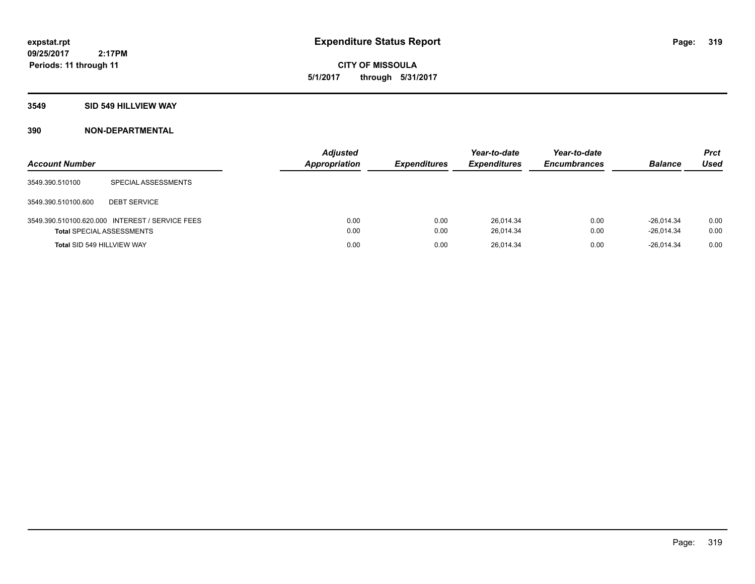**CITY OF MISSOULA 5/1/2017 through 5/31/2017**

### **3549 SID 549 HILLVIEW WAY**

| <b>Account Number</b>             |                                                 | <b>Adjusted</b><br>Appropriation | <b>Expenditures</b> | Year-to-date<br><b>Expenditures</b> | Year-to-date<br><b>Encumbrances</b> | <b>Balance</b>               | <b>Prct</b><br>Used |
|-----------------------------------|-------------------------------------------------|----------------------------------|---------------------|-------------------------------------|-------------------------------------|------------------------------|---------------------|
| 3549.390.510100                   | SPECIAL ASSESSMENTS                             |                                  |                     |                                     |                                     |                              |                     |
| 3549.390.510100.600               | <b>DEBT SERVICE</b>                             |                                  |                     |                                     |                                     |                              |                     |
| <b>Total SPECIAL ASSESSMENTS</b>  | 3549.390.510100.620.000 INTEREST / SERVICE FEES | 0.00<br>0.00                     | 0.00<br>0.00        | 26,014.34<br>26.014.34              | 0.00<br>0.00                        | $-26.014.34$<br>$-26.014.34$ | 0.00<br>0.00        |
| <b>Total SID 549 HILLVIEW WAY</b> |                                                 | 0.00                             | 0.00                | 26.014.34                           | 0.00                                | $-26.014.34$                 | 0.00                |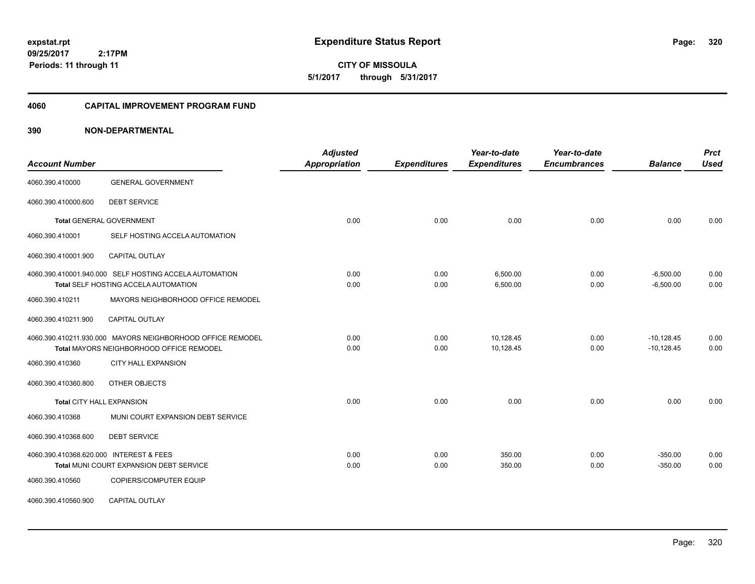**CITY OF MISSOULA 5/1/2017 through 5/31/2017**

### **4060 CAPITAL IMPROVEMENT PROGRAM FUND**

| <b>Account Number</b>                   |                                                                                                        | <b>Adjusted</b><br>Appropriation | <b>Expenditures</b> | Year-to-date<br><b>Expenditures</b> | Year-to-date<br><b>Encumbrances</b> | <b>Balance</b>               | <b>Prct</b><br><b>Used</b> |
|-----------------------------------------|--------------------------------------------------------------------------------------------------------|----------------------------------|---------------------|-------------------------------------|-------------------------------------|------------------------------|----------------------------|
| 4060.390.410000                         | <b>GENERAL GOVERNMENT</b>                                                                              |                                  |                     |                                     |                                     |                              |                            |
| 4060.390.410000.600                     | <b>DEBT SERVICE</b>                                                                                    |                                  |                     |                                     |                                     |                              |                            |
|                                         | <b>Total GENERAL GOVERNMENT</b>                                                                        | 0.00                             | 0.00                | 0.00                                | 0.00                                | 0.00                         | 0.00                       |
| 4060.390.410001                         | SELF HOSTING ACCELA AUTOMATION                                                                         |                                  |                     |                                     |                                     |                              |                            |
| 4060.390.410001.900                     | CAPITAL OUTLAY                                                                                         |                                  |                     |                                     |                                     |                              |                            |
|                                         | 4060.390.410001.940.000 SELF HOSTING ACCELA AUTOMATION<br>Total SELF HOSTING ACCELA AUTOMATION         | 0.00<br>0.00                     | 0.00<br>0.00        | 6,500.00<br>6,500.00                | 0.00<br>0.00                        | $-6,500.00$<br>$-6,500.00$   | 0.00<br>0.00               |
| 4060.390.410211                         | MAYORS NEIGHBORHOOD OFFICE REMODEL                                                                     |                                  |                     |                                     |                                     |                              |                            |
| 4060.390.410211.900                     | <b>CAPITAL OUTLAY</b>                                                                                  |                                  |                     |                                     |                                     |                              |                            |
|                                         | 4060.390.410211.930.000 MAYORS NEIGHBORHOOD OFFICE REMODEL<br>Total MAYORS NEIGHBORHOOD OFFICE REMODEL | 0.00<br>0.00                     | 0.00<br>0.00        | 10,128.45<br>10,128.45              | 0.00<br>0.00                        | $-10,128.45$<br>$-10,128.45$ | 0.00<br>0.00               |
| 4060.390.410360                         | <b>CITY HALL EXPANSION</b>                                                                             |                                  |                     |                                     |                                     |                              |                            |
| 4060.390.410360.800                     | OTHER OBJECTS                                                                                          |                                  |                     |                                     |                                     |                              |                            |
| <b>Total CITY HALL EXPANSION</b>        |                                                                                                        | 0.00                             | 0.00                | 0.00                                | 0.00                                | 0.00                         | 0.00                       |
| 4060.390.410368                         | MUNI COURT EXPANSION DEBT SERVICE                                                                      |                                  |                     |                                     |                                     |                              |                            |
| 4060.390.410368.600                     | <b>DEBT SERVICE</b>                                                                                    |                                  |                     |                                     |                                     |                              |                            |
| 4060.390.410368.620.000 INTEREST & FEES | Total MUNI COURT EXPANSION DEBT SERVICE                                                                | 0.00<br>0.00                     | 0.00<br>0.00        | 350.00<br>350.00                    | 0.00<br>0.00                        | $-350.00$<br>$-350.00$       | 0.00<br>0.00               |
| 4060.390.410560                         | COPIERS/COMPUTER EQUIP                                                                                 |                                  |                     |                                     |                                     |                              |                            |
| 4060.390.410560.900                     | CAPITAL OUTLAY                                                                                         |                                  |                     |                                     |                                     |                              |                            |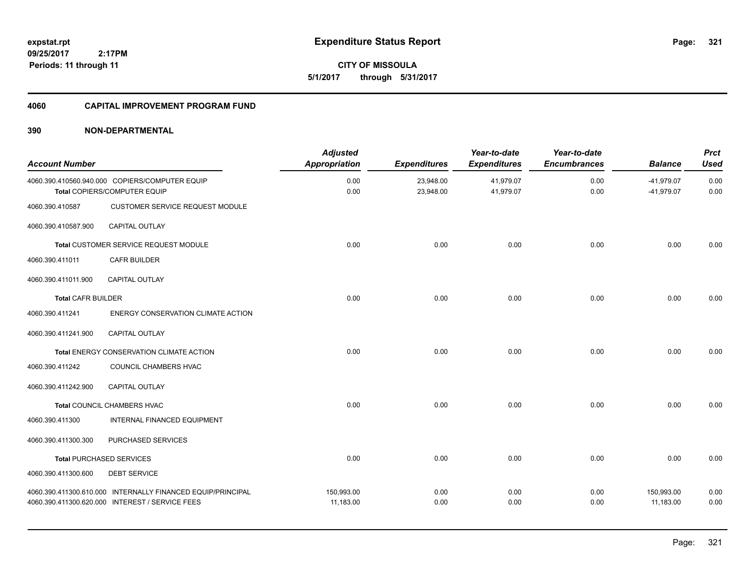**CITY OF MISSOULA 5/1/2017 through 5/31/2017**

# **4060 CAPITAL IMPROVEMENT PROGRAM FUND**

| <b>Account Number</b>     |                                                                                                                | <b>Adjusted</b><br><b>Appropriation</b> | <b>Expenditures</b>    | Year-to-date<br><b>Expenditures</b> | Year-to-date<br><b>Encumbrances</b> | <b>Balance</b>               | <b>Prct</b><br><b>Used</b> |
|---------------------------|----------------------------------------------------------------------------------------------------------------|-----------------------------------------|------------------------|-------------------------------------|-------------------------------------|------------------------------|----------------------------|
|                           | 4060.390.410560.940.000 COPIERS/COMPUTER EQUIP<br>Total COPIERS/COMPUTER EQUIP                                 | 0.00<br>0.00                            | 23,948.00<br>23,948.00 | 41,979.07<br>41,979.07              | 0.00<br>0.00                        | $-41,979.07$<br>$-41,979.07$ | 0.00<br>0.00               |
| 4060.390.410587           | <b>CUSTOMER SERVICE REQUEST MODULE</b>                                                                         |                                         |                        |                                     |                                     |                              |                            |
| 4060.390.410587.900       | CAPITAL OUTLAY                                                                                                 |                                         |                        |                                     |                                     |                              |                            |
|                           | Total CUSTOMER SERVICE REQUEST MODULE                                                                          | 0.00                                    | 0.00                   | 0.00                                | 0.00                                | 0.00                         | 0.00                       |
| 4060.390.411011           | <b>CAFR BUILDER</b>                                                                                            |                                         |                        |                                     |                                     |                              |                            |
| 4060.390.411011.900       | <b>CAPITAL OUTLAY</b>                                                                                          |                                         |                        |                                     |                                     |                              |                            |
| <b>Total CAFR BUILDER</b> |                                                                                                                | 0.00                                    | 0.00                   | 0.00                                | 0.00                                | 0.00                         | 0.00                       |
| 4060.390.411241           | ENERGY CONSERVATION CLIMATE ACTION                                                                             |                                         |                        |                                     |                                     |                              |                            |
| 4060.390.411241.900       | CAPITAL OUTLAY                                                                                                 |                                         |                        |                                     |                                     |                              |                            |
|                           | Total ENERGY CONSERVATION CLIMATE ACTION                                                                       | 0.00                                    | 0.00                   | 0.00                                | 0.00                                | 0.00                         | 0.00                       |
| 4060.390.411242           | COUNCIL CHAMBERS HVAC                                                                                          |                                         |                        |                                     |                                     |                              |                            |
| 4060.390.411242.900       | CAPITAL OUTLAY                                                                                                 |                                         |                        |                                     |                                     |                              |                            |
|                           | <b>Total COUNCIL CHAMBERS HVAC</b>                                                                             | 0.00                                    | 0.00                   | 0.00                                | 0.00                                | 0.00                         | 0.00                       |
| 4060.390.411300           | INTERNAL FINANCED EQUIPMENT                                                                                    |                                         |                        |                                     |                                     |                              |                            |
| 4060.390.411300.300       | PURCHASED SERVICES                                                                                             |                                         |                        |                                     |                                     |                              |                            |
|                           | <b>Total PURCHASED SERVICES</b>                                                                                | 0.00                                    | 0.00                   | 0.00                                | 0.00                                | 0.00                         | 0.00                       |
| 4060.390.411300.600       | <b>DEBT SERVICE</b>                                                                                            |                                         |                        |                                     |                                     |                              |                            |
|                           | 4060.390.411300.610.000 INTERNALLY FINANCED EQUIP/PRINCIPAL<br>4060.390.411300.620.000 INTEREST / SERVICE FEES | 150,993.00<br>11,183.00                 | 0.00<br>0.00           | 0.00<br>0.00                        | 0.00<br>0.00                        | 150,993.00<br>11,183.00      | 0.00<br>0.00               |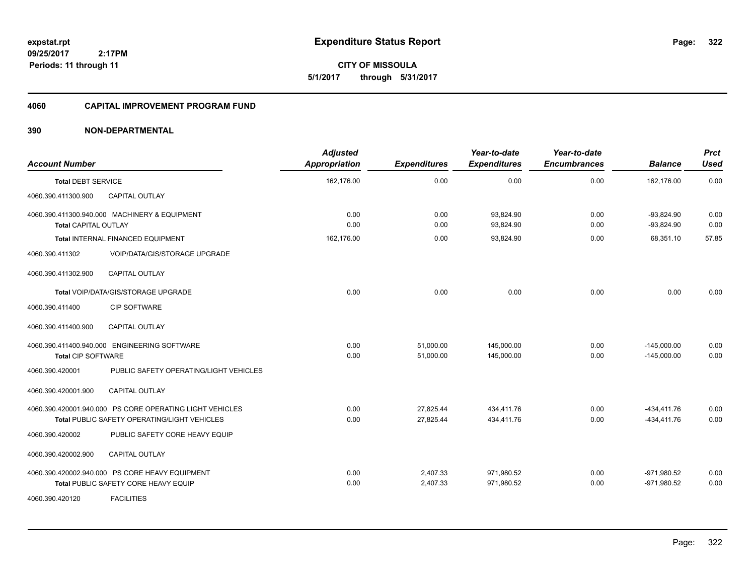**CITY OF MISSOULA 5/1/2017 through 5/31/2017**

### **4060 CAPITAL IMPROVEMENT PROGRAM FUND**

| <b>Account Number</b>       |                                                          | <b>Adjusted</b><br>Appropriation | <b>Expenditures</b> | Year-to-date<br><b>Expenditures</b> | Year-to-date<br><b>Encumbrances</b> | <b>Balance</b>               | <b>Prct</b><br><b>Used</b> |
|-----------------------------|----------------------------------------------------------|----------------------------------|---------------------|-------------------------------------|-------------------------------------|------------------------------|----------------------------|
| <b>Total DEBT SERVICE</b>   |                                                          | 162.176.00                       | 0.00                | 0.00                                | 0.00                                | 162.176.00                   | 0.00                       |
| 4060.390.411300.900         | CAPITAL OUTLAY                                           |                                  |                     |                                     |                                     |                              |                            |
| <b>Total CAPITAL OUTLAY</b> | 4060.390.411300.940.000 MACHINERY & EQUIPMENT            | 0.00<br>0.00                     | 0.00<br>0.00        | 93,824.90<br>93,824.90              | 0.00<br>0.00                        | $-93,824.90$<br>$-93,824.90$ | 0.00<br>0.00               |
|                             | <b>Total INTERNAL FINANCED EQUIPMENT</b>                 | 162.176.00                       | 0.00                | 93,824.90                           | 0.00                                | 68.351.10                    | 57.85                      |
| 4060.390.411302             | VOIP/DATA/GIS/STORAGE UPGRADE                            |                                  |                     |                                     |                                     |                              |                            |
| 4060.390.411302.900         | CAPITAL OUTLAY                                           |                                  |                     |                                     |                                     |                              |                            |
|                             | Total VOIP/DATA/GIS/STORAGE UPGRADE                      | 0.00                             | 0.00                | 0.00                                | 0.00                                | 0.00                         | 0.00                       |
| 4060.390.411400             | <b>CIP SOFTWARE</b>                                      |                                  |                     |                                     |                                     |                              |                            |
| 4060.390.411400.900         | CAPITAL OUTLAY                                           |                                  |                     |                                     |                                     |                              |                            |
|                             | 4060.390.411400.940.000 ENGINEERING SOFTWARE             | 0.00                             | 51,000.00           | 145,000.00                          | 0.00                                | $-145,000.00$                | 0.00                       |
| <b>Total CIP SOFTWARE</b>   |                                                          | 0.00                             | 51,000.00           | 145,000.00                          | 0.00                                | $-145.000.00$                | 0.00                       |
| 4060.390.420001             | PUBLIC SAFETY OPERATING/LIGHT VEHICLES                   |                                  |                     |                                     |                                     |                              |                            |
| 4060.390.420001.900         | <b>CAPITAL OUTLAY</b>                                    |                                  |                     |                                     |                                     |                              |                            |
|                             | 4060.390.420001.940.000 PS CORE OPERATING LIGHT VEHICLES | 0.00                             | 27,825.44           | 434,411.76                          | 0.00                                | $-434, 411.76$               | 0.00                       |
|                             | Total PUBLIC SAFETY OPERATING/LIGHT VEHICLES             | 0.00                             | 27,825.44           | 434,411.76                          | 0.00                                | $-434, 411.76$               | 0.00                       |
| 4060.390.420002             | PUBLIC SAFETY CORE HEAVY EQUIP                           |                                  |                     |                                     |                                     |                              |                            |
| 4060.390.420002.900         | <b>CAPITAL OUTLAY</b>                                    |                                  |                     |                                     |                                     |                              |                            |
|                             | 4060.390.420002.940.000 PS CORE HEAVY EQUIPMENT          | 0.00                             | 2,407.33            | 971,980.52                          | 0.00                                | $-971,980.52$                | 0.00                       |
|                             | Total PUBLIC SAFETY CORE HEAVY EQUIP                     | 0.00                             | 2,407.33            | 971,980.52                          | 0.00                                | $-971,980.52$                | 0.00                       |
| 4060.390.420120             | <b>FACILITIES</b>                                        |                                  |                     |                                     |                                     |                              |                            |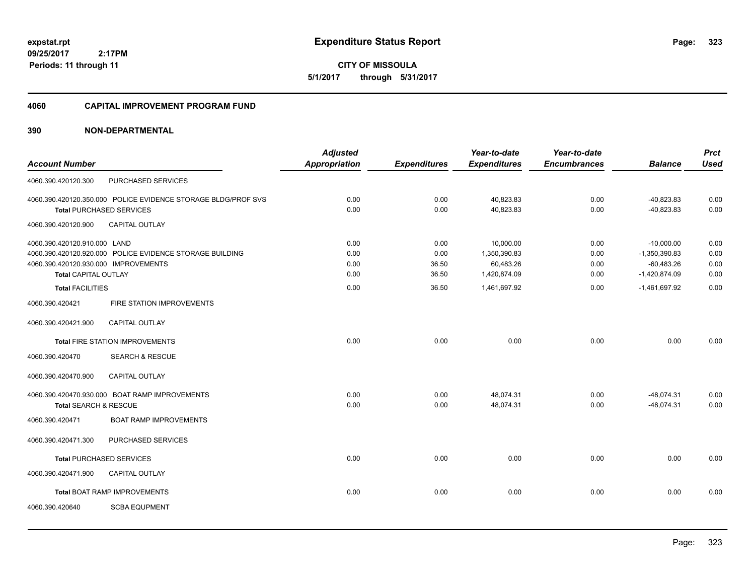**CITY OF MISSOULA 5/1/2017 through 5/31/2017**

#### **4060 CAPITAL IMPROVEMENT PROGRAM FUND**

|                                                               | <b>Adjusted</b>                                                     |                     | Year-to-date        | Year-to-date              |                                     | <b>Prct</b>                     |
|---------------------------------------------------------------|---------------------------------------------------------------------|---------------------|---------------------|---------------------------|-------------------------------------|---------------------------------|
|                                                               | <b>Appropriation</b>                                                | <b>Expenditures</b> | <b>Expenditures</b> |                           | <b>Balance</b>                      | <b>Used</b>                     |
| PURCHASED SERVICES                                            |                                                                     |                     |                     |                           |                                     |                                 |
| 4060.390.420120.350.000 POLICE EVIDENCE STORAGE BLDG/PROF SVS | 0.00                                                                | 0.00                | 40,823.83           | 0.00                      | $-40,823.83$                        | 0.00                            |
| <b>Total PURCHASED SERVICES</b>                               | 0.00                                                                | 0.00                | 40.823.83           | 0.00                      | $-40,823.83$                        | 0.00                            |
| CAPITAL OUTLAY                                                |                                                                     |                     |                     |                           |                                     |                                 |
| 4060.390.420120.910.000 LAND                                  | 0.00                                                                | 0.00                | 10,000.00           | 0.00                      | $-10,000.00$                        | 0.00                            |
| 4060.390.420120.920.000 POLICE EVIDENCE STORAGE BUILDING      | 0.00                                                                | 0.00                | 1,350,390.83        | 0.00                      | $-1,350,390.83$                     | 0.00                            |
|                                                               |                                                                     |                     |                     |                           |                                     | 0.00                            |
|                                                               |                                                                     |                     |                     |                           |                                     | 0.00                            |
| <b>Total FACILITIES</b>                                       | 0.00                                                                | 36.50               | 1,461,697.92        | 0.00                      | $-1,461,697.92$                     | 0.00                            |
| FIRE STATION IMPROVEMENTS                                     |                                                                     |                     |                     |                           |                                     |                                 |
| <b>CAPITAL OUTLAY</b>                                         |                                                                     |                     |                     |                           |                                     |                                 |
| <b>Total FIRE STATION IMPROVEMENTS</b>                        | 0.00                                                                | 0.00                | 0.00                | 0.00                      | 0.00                                | 0.00                            |
| <b>SEARCH &amp; RESCUE</b>                                    |                                                                     |                     |                     |                           |                                     |                                 |
| <b>CAPITAL OUTLAY</b>                                         |                                                                     |                     |                     |                           |                                     |                                 |
| 4060.390.420470.930.000 BOAT RAMP IMPROVEMENTS                | 0.00                                                                | 0.00                | 48,074.31           | 0.00                      | $-48,074.31$                        | 0.00                            |
| Total SEARCH & RESCUE                                         | 0.00                                                                | 0.00                | 48,074.31           | 0.00                      | $-48,074.31$                        | 0.00                            |
| <b>BOAT RAMP IMPROVEMENTS</b>                                 |                                                                     |                     |                     |                           |                                     |                                 |
| PURCHASED SERVICES                                            |                                                                     |                     |                     |                           |                                     |                                 |
| <b>Total PURCHASED SERVICES</b>                               | 0.00                                                                | 0.00                | 0.00                | 0.00                      | 0.00                                | 0.00                            |
| CAPITAL OUTLAY                                                |                                                                     |                     |                     |                           |                                     |                                 |
| <b>Total BOAT RAMP IMPROVEMENTS</b>                           | 0.00                                                                | 0.00                | 0.00                | 0.00                      | 0.00                                | 0.00                            |
| <b>SCBA EQUPMENT</b>                                          |                                                                     |                     |                     |                           |                                     |                                 |
|                                                               | 4060.390.420120.930.000 IMPROVEMENTS<br><b>Total CAPITAL OUTLAY</b> | 0.00<br>0.00        | 36.50<br>36.50      | 60,483.26<br>1,420,874.09 | <b>Encumbrances</b><br>0.00<br>0.00 | $-60,483.26$<br>$-1,420,874.09$ |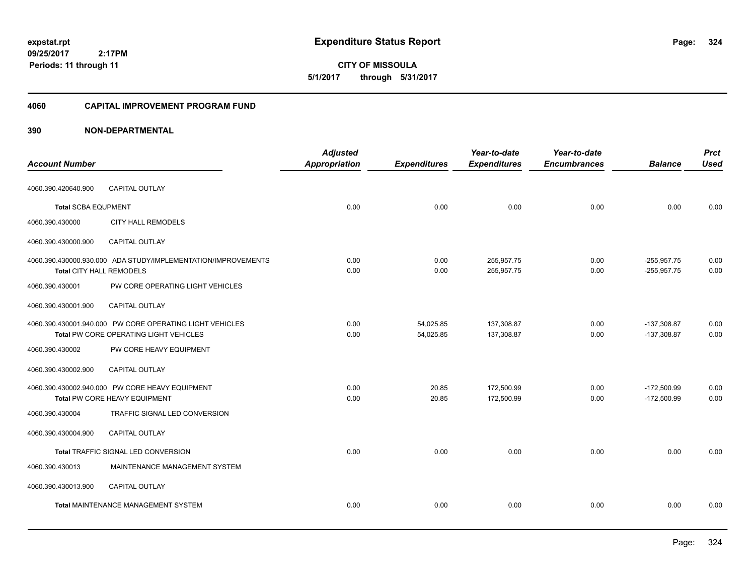**CITY OF MISSOULA 5/1/2017 through 5/31/2017**

#### **4060 CAPITAL IMPROVEMENT PROGRAM FUND**

|                            |                                                                                                    | <b>Adjusted</b> |                        | Year-to-date             | Year-to-date        |                                | <b>Prct</b>  |
|----------------------------|----------------------------------------------------------------------------------------------------|-----------------|------------------------|--------------------------|---------------------|--------------------------------|--------------|
| <b>Account Number</b>      |                                                                                                    | Appropriation   | <b>Expenditures</b>    | <b>Expenditures</b>      | <b>Encumbrances</b> | <b>Balance</b>                 | <b>Used</b>  |
| 4060.390.420640.900        | CAPITAL OUTLAY                                                                                     |                 |                        |                          |                     |                                |              |
| <b>Total SCBA EQUPMENT</b> |                                                                                                    | 0.00            | 0.00                   | 0.00                     | 0.00                | 0.00                           | 0.00         |
| 4060.390.430000            | <b>CITY HALL REMODELS</b>                                                                          |                 |                        |                          |                     |                                |              |
| 4060.390.430000.900        | <b>CAPITAL OUTLAY</b>                                                                              |                 |                        |                          |                     |                                |              |
| Total CITY HALL REMODELS   | 4060.390.430000.930.000 ADA STUDY/IMPLEMENTATION/IMPROVEMENTS                                      | 0.00<br>0.00    | 0.00<br>0.00           | 255,957.75<br>255,957.75 | 0.00<br>0.00        | $-255,957.75$<br>$-255,957.75$ | 0.00<br>0.00 |
| 4060.390.430001            | PW CORE OPERATING LIGHT VEHICLES                                                                   |                 |                        |                          |                     |                                |              |
| 4060.390.430001.900        | <b>CAPITAL OUTLAY</b>                                                                              |                 |                        |                          |                     |                                |              |
|                            | 4060.390.430001.940.000 PW CORE OPERATING LIGHT VEHICLES<br>Total PW CORE OPERATING LIGHT VEHICLES | 0.00<br>0.00    | 54,025.85<br>54,025.85 | 137,308.87<br>137,308.87 | 0.00<br>0.00        | $-137,308.87$<br>$-137,308.87$ | 0.00<br>0.00 |
| 4060.390.430002            | PW CORE HEAVY EQUIPMENT                                                                            |                 |                        |                          |                     |                                |              |
| 4060.390.430002.900        | CAPITAL OUTLAY                                                                                     |                 |                        |                          |                     |                                |              |
|                            | 4060.390.430002.940.000 PW CORE HEAVY EQUIPMENT<br>Total PW CORE HEAVY EQUIPMENT                   | 0.00<br>0.00    | 20.85<br>20.85         | 172,500.99<br>172.500.99 | 0.00<br>0.00        | $-172,500.99$<br>$-172.500.99$ | 0.00<br>0.00 |
| 4060.390.430004            | TRAFFIC SIGNAL LED CONVERSION                                                                      |                 |                        |                          |                     |                                |              |
| 4060.390.430004.900        | CAPITAL OUTLAY                                                                                     |                 |                        |                          |                     |                                |              |
|                            | Total TRAFFIC SIGNAL LED CONVERSION                                                                | 0.00            | 0.00                   | 0.00                     | 0.00                | 0.00                           | 0.00         |
| 4060.390.430013            | MAINTENANCE MANAGEMENT SYSTEM                                                                      |                 |                        |                          |                     |                                |              |
| 4060.390.430013.900        | <b>CAPITAL OUTLAY</b>                                                                              |                 |                        |                          |                     |                                |              |
|                            | <b>Total MAINTENANCE MANAGEMENT SYSTEM</b>                                                         | 0.00            | 0.00                   | 0.00                     | 0.00                | 0.00                           | 0.00         |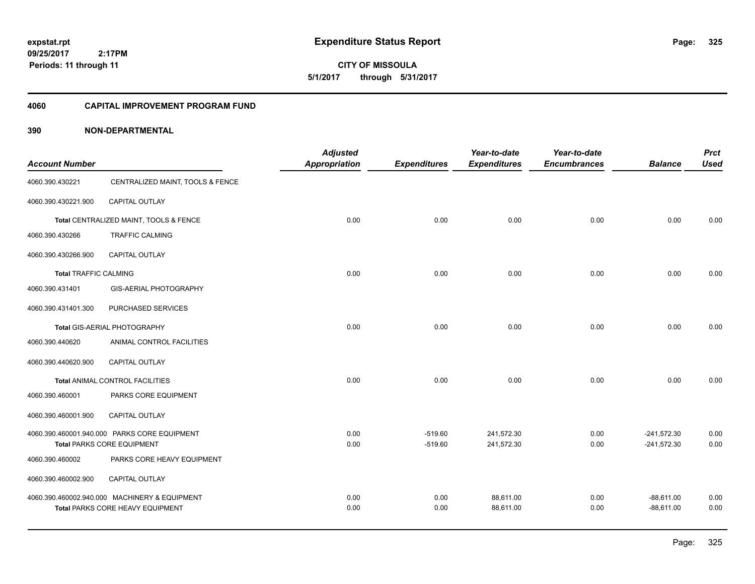**CITY OF MISSOULA 5/1/2017 through 5/31/2017**

#### **4060 CAPITAL IMPROVEMENT PROGRAM FUND**

|                              |                                               | <b>Adjusted</b> |                     | Year-to-date        | Year-to-date        |                | <b>Prct</b> |
|------------------------------|-----------------------------------------------|-----------------|---------------------|---------------------|---------------------|----------------|-------------|
| <b>Account Number</b>        |                                               | Appropriation   | <b>Expenditures</b> | <b>Expenditures</b> | <b>Encumbrances</b> | <b>Balance</b> | <b>Used</b> |
| 4060.390.430221              | CENTRALIZED MAINT, TOOLS & FENCE              |                 |                     |                     |                     |                |             |
| 4060.390.430221.900          | <b>CAPITAL OUTLAY</b>                         |                 |                     |                     |                     |                |             |
|                              | Total CENTRALIZED MAINT, TOOLS & FENCE        | 0.00            | 0.00                | 0.00                | 0.00                | 0.00           | 0.00        |
| 4060.390.430266              | <b>TRAFFIC CALMING</b>                        |                 |                     |                     |                     |                |             |
| 4060.390.430266.900          | CAPITAL OUTLAY                                |                 |                     |                     |                     |                |             |
| <b>Total TRAFFIC CALMING</b> |                                               | 0.00            | 0.00                | 0.00                | 0.00                | 0.00           | 0.00        |
| 4060.390.431401              | <b>GIS-AERIAL PHOTOGRAPHY</b>                 |                 |                     |                     |                     |                |             |
| 4060.390.431401.300          | PURCHASED SERVICES                            |                 |                     |                     |                     |                |             |
|                              | Total GIS-AERIAL PHOTOGRAPHY                  | 0.00            | 0.00                | 0.00                | 0.00                | 0.00           | 0.00        |
| 4060.390.440620              | ANIMAL CONTROL FACILITIES                     |                 |                     |                     |                     |                |             |
| 4060.390.440620.900          | <b>CAPITAL OUTLAY</b>                         |                 |                     |                     |                     |                |             |
|                              | <b>Total ANIMAL CONTROL FACILITIES</b>        | 0.00            | 0.00                | 0.00                | 0.00                | 0.00           | 0.00        |
| 4060.390.460001              | PARKS CORE EQUIPMENT                          |                 |                     |                     |                     |                |             |
| 4060.390.460001.900          | CAPITAL OUTLAY                                |                 |                     |                     |                     |                |             |
|                              | 4060.390.460001.940.000 PARKS CORE EQUIPMENT  | 0.00            | $-519.60$           | 241,572.30          | 0.00                | $-241,572.30$  | 0.00        |
|                              | <b>Total PARKS CORE EQUIPMENT</b>             | 0.00            | $-519.60$           | 241,572.30          | 0.00                | $-241,572.30$  | 0.00        |
| 4060.390.460002              | PARKS CORE HEAVY EQUIPMENT                    |                 |                     |                     |                     |                |             |
| 4060.390.460002.900          | CAPITAL OUTLAY                                |                 |                     |                     |                     |                |             |
|                              | 4060.390.460002.940.000 MACHINERY & EQUIPMENT | 0.00            | 0.00                | 88,611.00           | 0.00                | $-88,611.00$   | 0.00        |
|                              | Total PARKS CORE HEAVY EQUIPMENT              | 0.00            | 0.00                | 88,611.00           | 0.00                | $-88,611.00$   | 0.00        |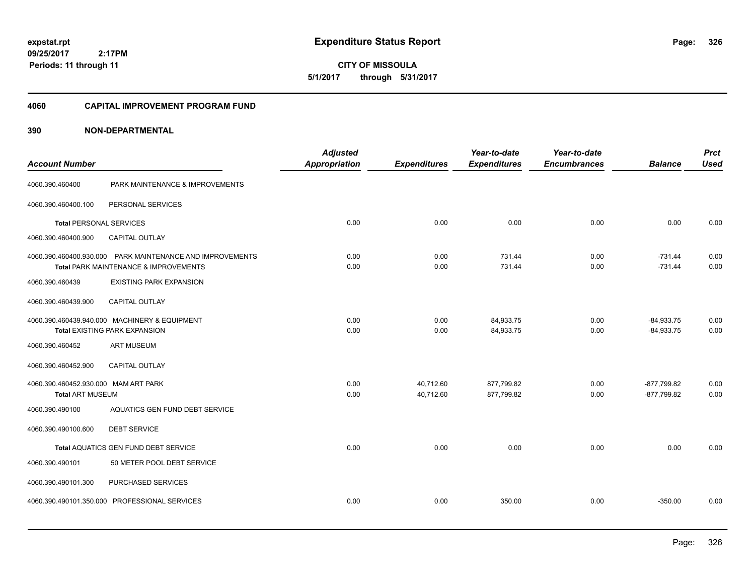**CITY OF MISSOULA 5/1/2017 through 5/31/2017**

#### **4060 CAPITAL IMPROVEMENT PROGRAM FUND**

| <b>Account Number</b>                |                                                                                                    | <b>Adjusted</b><br><b>Appropriation</b> | <b>Expenditures</b> | Year-to-date<br><b>Expenditures</b> | Year-to-date<br><b>Encumbrances</b> | <b>Balance</b>         | <b>Prct</b><br><b>Used</b> |
|--------------------------------------|----------------------------------------------------------------------------------------------------|-----------------------------------------|---------------------|-------------------------------------|-------------------------------------|------------------------|----------------------------|
| 4060.390.460400                      | PARK MAINTENANCE & IMPROVEMENTS                                                                    |                                         |                     |                                     |                                     |                        |                            |
| 4060.390.460400.100                  | PERSONAL SERVICES                                                                                  |                                         |                     |                                     |                                     |                        |                            |
| <b>Total PERSONAL SERVICES</b>       |                                                                                                    | 0.00                                    | 0.00                | 0.00                                | 0.00                                | 0.00                   | 0.00                       |
| 4060.390.460400.900                  | CAPITAL OUTLAY                                                                                     |                                         |                     |                                     |                                     |                        |                            |
|                                      | 4060.390.460400.930.000 PARK MAINTENANCE AND IMPROVEMENTS<br>Total PARK MAINTENANCE & IMPROVEMENTS | 0.00<br>0.00                            | 0.00<br>0.00        | 731.44<br>731.44                    | 0.00<br>0.00                        | $-731.44$<br>$-731.44$ | 0.00<br>0.00               |
| 4060.390.460439                      | <b>EXISTING PARK EXPANSION</b>                                                                     |                                         |                     |                                     |                                     |                        |                            |
| 4060.390.460439.900                  | CAPITAL OUTLAY                                                                                     |                                         |                     |                                     |                                     |                        |                            |
|                                      | 4060.390.460439.940.000 MACHINERY & EQUIPMENT                                                      | 0.00                                    | 0.00                | 84,933.75                           | 0.00                                | $-84,933.75$           | 0.00                       |
|                                      | <b>Total EXISTING PARK EXPANSION</b>                                                               | 0.00                                    | 0.00                | 84,933.75                           | 0.00                                | $-84,933.75$           | 0.00                       |
| 4060.390.460452                      | <b>ART MUSEUM</b>                                                                                  |                                         |                     |                                     |                                     |                        |                            |
| 4060.390.460452.900                  | <b>CAPITAL OUTLAY</b>                                                                              |                                         |                     |                                     |                                     |                        |                            |
| 4060.390.460452.930.000 MAM ART PARK |                                                                                                    | 0.00                                    | 40,712.60           | 877,799.82                          | 0.00                                | $-877,799.82$          | 0.00                       |
| Total ART MUSEUM                     |                                                                                                    | 0.00                                    | 40,712.60           | 877,799.82                          | 0.00                                | $-877.799.82$          | 0.00                       |
| 4060.390.490100                      | AQUATICS GEN FUND DEBT SERVICE                                                                     |                                         |                     |                                     |                                     |                        |                            |
| 4060.390.490100.600                  | <b>DEBT SERVICE</b>                                                                                |                                         |                     |                                     |                                     |                        |                            |
|                                      | Total AQUATICS GEN FUND DEBT SERVICE                                                               | 0.00                                    | 0.00                | 0.00                                | 0.00                                | 0.00                   | 0.00                       |
| 4060.390.490101                      | 50 METER POOL DEBT SERVICE                                                                         |                                         |                     |                                     |                                     |                        |                            |
| 4060.390.490101.300                  | PURCHASED SERVICES                                                                                 |                                         |                     |                                     |                                     |                        |                            |
|                                      | 4060.390.490101.350.000 PROFESSIONAL SERVICES                                                      | 0.00                                    | 0.00                | 350.00                              | 0.00                                | $-350.00$              | 0.00                       |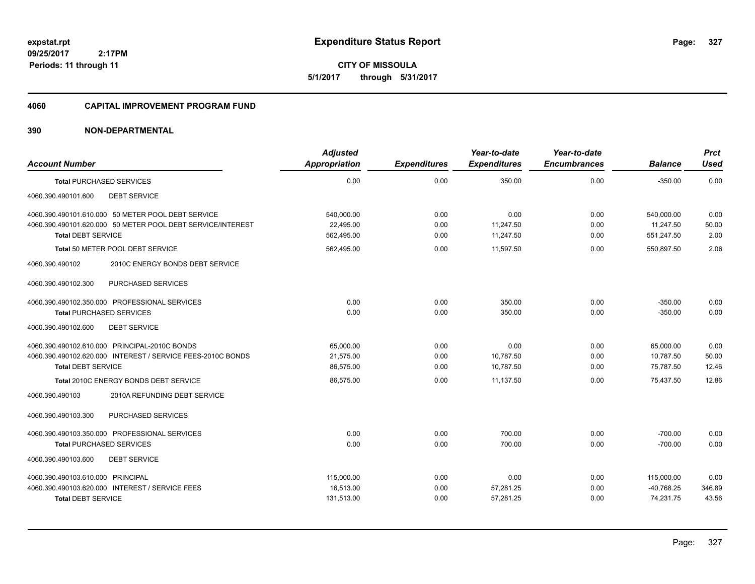**CITY OF MISSOULA 5/1/2017 through 5/31/2017**

#### **4060 CAPITAL IMPROVEMENT PROGRAM FUND**

| <b>Account Number</b>                                                                                                                          | <b>Adjusted</b><br><b>Appropriation</b> | <b>Expenditures</b>  | Year-to-date<br><b>Expenditures</b> | Year-to-date<br><b>Encumbrances</b> | <b>Balance</b>                        | <b>Prct</b><br><b>Used</b> |
|------------------------------------------------------------------------------------------------------------------------------------------------|-----------------------------------------|----------------------|-------------------------------------|-------------------------------------|---------------------------------------|----------------------------|
| <b>Total PURCHASED SERVICES</b>                                                                                                                | 0.00                                    | 0.00                 | 350.00                              | 0.00                                | $-350.00$                             | 0.00                       |
| <b>DEBT SERVICE</b><br>4060.390.490101.600                                                                                                     |                                         |                      |                                     |                                     |                                       |                            |
| 4060.390.490101.610.000 50 METER POOL DEBT SERVICE<br>4060.390.490101.620.000 50 METER POOL DEBT SERVICE/INTEREST<br><b>Total DEBT SERVICE</b> | 540.000.00<br>22,495.00<br>562,495.00   | 0.00<br>0.00<br>0.00 | 0.00<br>11,247.50<br>11,247.50      | 0.00<br>0.00<br>0.00                | 540.000.00<br>11,247.50<br>551,247.50 | 0.00<br>50.00<br>2.00      |
| Total 50 METER POOL DEBT SERVICE                                                                                                               | 562,495.00                              | 0.00                 | 11,597.50                           | 0.00                                | 550,897.50                            | 2.06                       |
| 4060.390.490102<br>2010C ENERGY BONDS DEBT SERVICE<br>PURCHASED SERVICES<br>4060.390.490102.300                                                |                                         |                      |                                     |                                     |                                       |                            |
| 4060.390.490102.350.000 PROFESSIONAL SERVICES                                                                                                  | 0.00                                    | 0.00                 | 350.00                              | 0.00                                | $-350.00$                             | 0.00                       |
| <b>Total PURCHASED SERVICES</b>                                                                                                                | 0.00                                    | 0.00                 | 350.00                              | 0.00                                | $-350.00$                             | 0.00                       |
| <b>DEBT SERVICE</b><br>4060.390.490102.600                                                                                                     |                                         |                      |                                     |                                     |                                       |                            |
| 4060.390.490102.610.000 PRINCIPAL-2010C BONDS                                                                                                  | 65,000.00                               | 0.00                 | 0.00                                | 0.00                                | 65,000.00                             | 0.00                       |
| 4060.390.490102.620.000 INTEREST / SERVICE FEES-2010C BONDS                                                                                    | 21,575.00                               | 0.00                 | 10,787.50                           | 0.00                                | 10,787.50                             | 50.00                      |
| <b>Total DEBT SERVICE</b>                                                                                                                      | 86,575.00                               | 0.00                 | 10,787.50                           | 0.00                                | 75,787.50                             | 12.46                      |
| Total 2010C ENERGY BONDS DEBT SERVICE                                                                                                          | 86,575.00                               | 0.00                 | 11,137.50                           | 0.00                                | 75,437.50                             | 12.86                      |
| 4060.390.490103<br>2010A REFUNDING DEBT SERVICE                                                                                                |                                         |                      |                                     |                                     |                                       |                            |
| PURCHASED SERVICES<br>4060.390.490103.300                                                                                                      |                                         |                      |                                     |                                     |                                       |                            |
| 4060.390.490103.350.000 PROFESSIONAL SERVICES                                                                                                  | 0.00                                    | 0.00                 | 700.00                              | 0.00                                | $-700.00$                             | 0.00                       |
| <b>Total PURCHASED SERVICES</b>                                                                                                                | 0.00                                    | 0.00                 | 700.00                              | 0.00                                | $-700.00$                             | 0.00                       |
| 4060.390.490103.600<br><b>DEBT SERVICE</b>                                                                                                     |                                         |                      |                                     |                                     |                                       |                            |
| 4060.390.490103.610.000 PRINCIPAL                                                                                                              | 115,000.00                              | 0.00                 | 0.00                                | 0.00                                | 115,000.00                            | 0.00                       |
| 4060.390.490103.620.000 INTEREST / SERVICE FEES                                                                                                | 16.513.00                               | 0.00                 | 57,281.25                           | 0.00                                | $-40,768.25$                          | 346.89                     |
| <b>Total DEBT SERVICE</b>                                                                                                                      | 131,513.00                              | 0.00                 | 57,281.25                           | 0.00                                | 74,231.75                             | 43.56                      |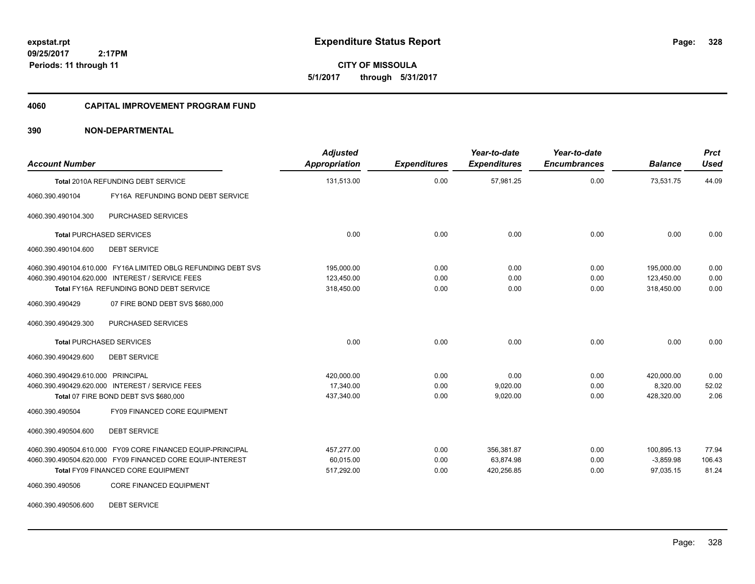**CITY OF MISSOULA 5/1/2017 through 5/31/2017**

#### **4060 CAPITAL IMPROVEMENT PROGRAM FUND**

### **390 NON-DEPARTMENTAL**

| <b>Account Number</b>             |                                                               | <b>Adjusted</b><br><b>Appropriation</b> | <b>Expenditures</b> | Year-to-date<br><b>Expenditures</b> | Year-to-date<br><b>Encumbrances</b> | <b>Balance</b> | <b>Prct</b><br><b>Used</b> |
|-----------------------------------|---------------------------------------------------------------|-----------------------------------------|---------------------|-------------------------------------|-------------------------------------|----------------|----------------------------|
|                                   | Total 2010A REFUNDING DEBT SERVICE                            | 131,513.00                              | 0.00                | 57,981.25                           | 0.00                                | 73,531.75      | 44.09                      |
| 4060.390.490104                   | FY16A REFUNDING BOND DEBT SERVICE                             |                                         |                     |                                     |                                     |                |                            |
| 4060.390.490104.300               | PURCHASED SERVICES                                            |                                         |                     |                                     |                                     |                |                            |
|                                   | <b>Total PURCHASED SERVICES</b>                               | 0.00                                    | 0.00                | 0.00                                | 0.00                                | 0.00           | 0.00                       |
| 4060.390.490104.600               | <b>DEBT SERVICE</b>                                           |                                         |                     |                                     |                                     |                |                            |
|                                   | 4060.390.490104.610.000 FY16A LIMITED OBLG REFUNDING DEBT SVS | 195,000.00                              | 0.00                | 0.00                                | 0.00                                | 195,000.00     | 0.00                       |
|                                   | 4060.390.490104.620.000 INTEREST / SERVICE FEES               | 123,450.00                              | 0.00                | 0.00                                | 0.00                                | 123,450.00     | 0.00                       |
|                                   | Total FY16A REFUNDING BOND DEBT SERVICE                       | 318,450.00                              | 0.00                | 0.00                                | 0.00                                | 318,450.00     | 0.00                       |
| 4060.390.490429                   | 07 FIRE BOND DEBT SVS \$680,000                               |                                         |                     |                                     |                                     |                |                            |
| 4060.390.490429.300               | PURCHASED SERVICES                                            |                                         |                     |                                     |                                     |                |                            |
|                                   | <b>Total PURCHASED SERVICES</b>                               | 0.00                                    | 0.00                | 0.00                                | 0.00                                | 0.00           | 0.00                       |
| 4060.390.490429.600               | <b>DEBT SERVICE</b>                                           |                                         |                     |                                     |                                     |                |                            |
| 4060.390.490429.610.000 PRINCIPAL |                                                               | 420,000.00                              | 0.00                | 0.00                                | 0.00                                | 420,000.00     | 0.00                       |
|                                   | 4060.390.490429.620.000 INTEREST / SERVICE FEES               | 17,340.00                               | 0.00                | 9,020.00                            | 0.00                                | 8,320.00       | 52.02                      |
|                                   | Total 07 FIRE BOND DEBT SVS \$680,000                         | 437,340.00                              | 0.00                | 9,020.00                            | 0.00                                | 428,320.00     | 2.06                       |
| 4060.390.490504                   | FY09 FINANCED CORE EQUIPMENT                                  |                                         |                     |                                     |                                     |                |                            |
| 4060.390.490504.600               | <b>DEBT SERVICE</b>                                           |                                         |                     |                                     |                                     |                |                            |
|                                   | 4060.390.490504.610.000 FY09 CORE FINANCED EQUIP-PRINCIPAL    | 457,277.00                              | 0.00                | 356,381.87                          | 0.00                                | 100,895.13     | 77.94                      |
|                                   | 4060.390.490504.620.000 FY09 FINANCED CORE EQUIP-INTEREST     | 60,015.00                               | 0.00                | 63,874.98                           | 0.00                                | $-3,859.98$    | 106.43                     |
|                                   | Total FY09 FINANCED CORE EQUIPMENT                            | 517,292.00                              | 0.00                | 420,256.85                          | 0.00                                | 97,035.15      | 81.24                      |
| 4060.390.490506                   | <b>CORE FINANCED EQUIPMENT</b>                                |                                         |                     |                                     |                                     |                |                            |

4060.390.490506.600 DEBT SERVICE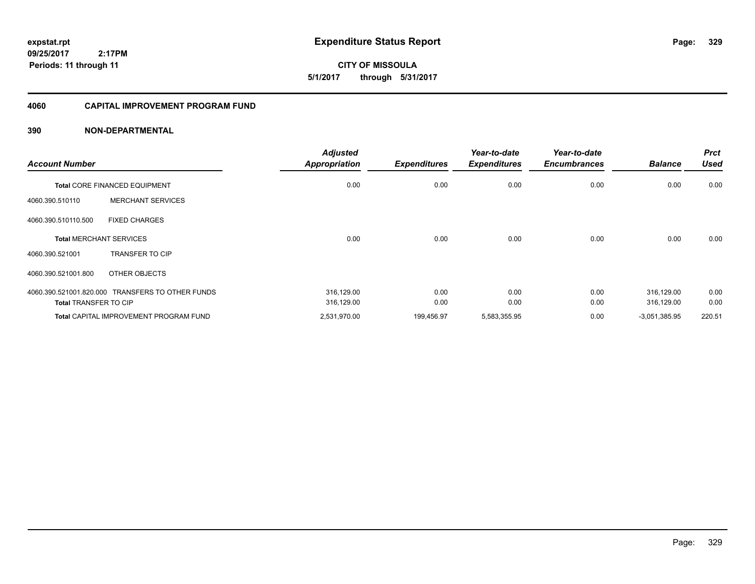**CITY OF MISSOULA 5/1/2017 through 5/31/2017**

### **4060 CAPITAL IMPROVEMENT PROGRAM FUND**

| <b>Account Number</b>        |                                                  | <b>Adjusted</b><br><b>Appropriation</b> | <b>Expenditures</b> | Year-to-date<br><b>Expenditures</b> | Year-to-date<br><b>Encumbrances</b> | <b>Balance</b>  | <b>Prct</b><br><b>Used</b> |
|------------------------------|--------------------------------------------------|-----------------------------------------|---------------------|-------------------------------------|-------------------------------------|-----------------|----------------------------|
|                              | <b>Total CORE FINANCED EQUIPMENT</b>             | 0.00                                    | 0.00                | 0.00                                | 0.00                                | 0.00            | 0.00                       |
| 4060.390.510110              | <b>MERCHANT SERVICES</b>                         |                                         |                     |                                     |                                     |                 |                            |
| 4060.390.510110.500          | <b>FIXED CHARGES</b>                             |                                         |                     |                                     |                                     |                 |                            |
|                              | <b>Total MERCHANT SERVICES</b>                   | 0.00                                    | 0.00                | 0.00                                | 0.00                                | 0.00            | 0.00                       |
| 4060.390.521001              | <b>TRANSFER TO CIP</b>                           |                                         |                     |                                     |                                     |                 |                            |
| 4060.390.521001.800          | OTHER OBJECTS                                    |                                         |                     |                                     |                                     |                 |                            |
|                              | 4060.390.521001.820.000 TRANSFERS TO OTHER FUNDS | 316,129.00                              | 0.00                | 0.00                                | 0.00                                | 316,129.00      | 0.00                       |
| <b>Total TRANSFER TO CIP</b> |                                                  | 316,129.00                              | 0.00                | 0.00                                | 0.00                                | 316,129.00      | 0.00                       |
|                              | <b>Total CAPITAL IMPROVEMENT PROGRAM FUND</b>    | 2,531,970.00                            | 199,456.97          | 5,583,355.95                        | 0.00                                | $-3,051,385.95$ | 220.51                     |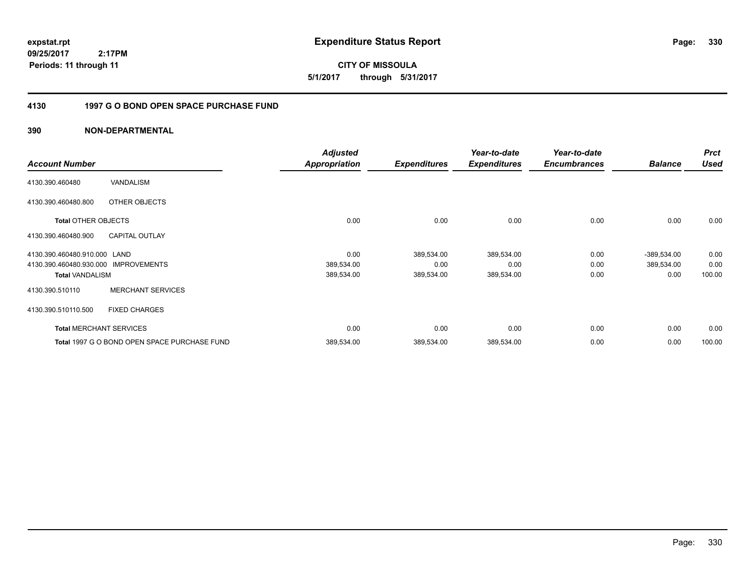**expstat.rpt Expenditure Status Report Page:**

**09/25/2017 2:17PM Periods: 11 through 11**

**CITY OF MISSOULA 5/1/2017 through 5/31/2017**

#### **4130 1997 G O BOND OPEN SPACE PURCHASE FUND**

|                              |                                              | <b>Adjusted</b>      |                     | Year-to-date        | Year-to-date        |                | <b>Prct</b> |
|------------------------------|----------------------------------------------|----------------------|---------------------|---------------------|---------------------|----------------|-------------|
| <b>Account Number</b>        |                                              | <b>Appropriation</b> | <b>Expenditures</b> | <b>Expenditures</b> | <b>Encumbrances</b> | <b>Balance</b> | <b>Used</b> |
| 4130.390.460480              | VANDALISM                                    |                      |                     |                     |                     |                |             |
| 4130.390.460480.800          | OTHER OBJECTS                                |                      |                     |                     |                     |                |             |
| <b>Total OTHER OBJECTS</b>   |                                              | 0.00                 | 0.00                | 0.00                | 0.00                | 0.00           | 0.00        |
| 4130.390.460480.900          | <b>CAPITAL OUTLAY</b>                        |                      |                     |                     |                     |                |             |
| 4130.390.460480.910.000 LAND |                                              | 0.00                 | 389,534.00          | 389,534.00          | 0.00                | $-389,534.00$  | 0.00        |
| 4130.390.460480.930.000      | <b>IMPROVEMENTS</b>                          | 389,534.00           | 0.00                | 0.00                | 0.00                | 389,534.00     | 0.00        |
| <b>Total VANDALISM</b>       |                                              | 389,534.00           | 389,534.00          | 389,534.00          | 0.00                | 0.00           | 100.00      |
| 4130.390.510110              | <b>MERCHANT SERVICES</b>                     |                      |                     |                     |                     |                |             |
| 4130.390.510110.500          | <b>FIXED CHARGES</b>                         |                      |                     |                     |                     |                |             |
|                              | <b>Total MERCHANT SERVICES</b>               | 0.00                 | 0.00                | 0.00                | 0.00                | 0.00           | 0.00        |
|                              | Total 1997 G O BOND OPEN SPACE PURCHASE FUND | 389,534.00           | 389,534.00          | 389,534.00          | 0.00                | 0.00           | 100.00      |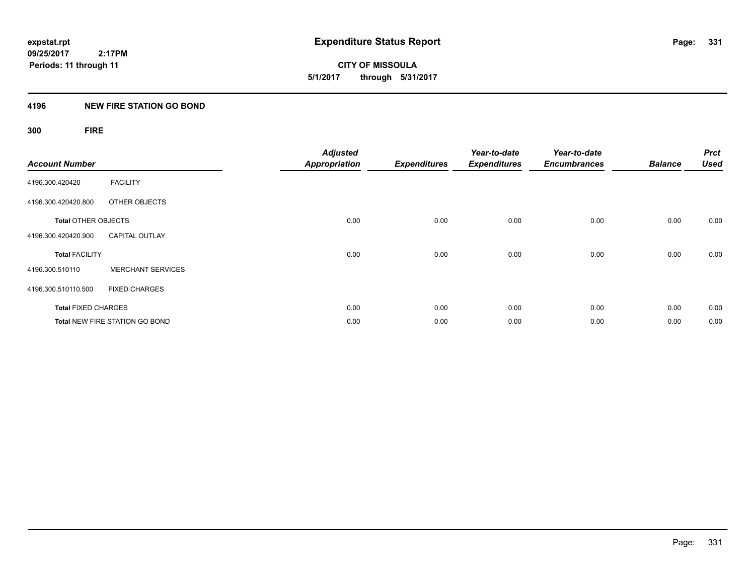**CITY OF MISSOULA 5/1/2017 through 5/31/2017**

### **4196 NEW FIRE STATION GO BOND**

# **300 FIRE**

| <b>Account Number</b>      |                                       | <b>Adjusted</b><br><b>Appropriation</b> | <b>Expenditures</b> | Year-to-date<br><b>Expenditures</b> | Year-to-date<br><b>Encumbrances</b> | <b>Balance</b> | <b>Prct</b><br><b>Used</b> |
|----------------------------|---------------------------------------|-----------------------------------------|---------------------|-------------------------------------|-------------------------------------|----------------|----------------------------|
| 4196.300.420420            | <b>FACILITY</b>                       |                                         |                     |                                     |                                     |                |                            |
| 4196.300.420420.800        | OTHER OBJECTS                         |                                         |                     |                                     |                                     |                |                            |
| <b>Total OTHER OBJECTS</b> |                                       | 0.00                                    | 0.00                | 0.00                                | 0.00                                | 0.00           | 0.00                       |
| 4196.300.420420.900        | <b>CAPITAL OUTLAY</b>                 |                                         |                     |                                     |                                     |                |                            |
| <b>Total FACILITY</b>      |                                       | 0.00                                    | 0.00                | 0.00                                | 0.00                                | 0.00           | 0.00                       |
| 4196.300.510110            | <b>MERCHANT SERVICES</b>              |                                         |                     |                                     |                                     |                |                            |
| 4196.300.510110.500        | <b>FIXED CHARGES</b>                  |                                         |                     |                                     |                                     |                |                            |
| <b>Total FIXED CHARGES</b> |                                       | 0.00                                    | 0.00                | 0.00                                | 0.00                                | 0.00           | 0.00                       |
|                            | <b>Total NEW FIRE STATION GO BOND</b> | 0.00                                    | 0.00                | 0.00                                | 0.00                                | 0.00           | 0.00                       |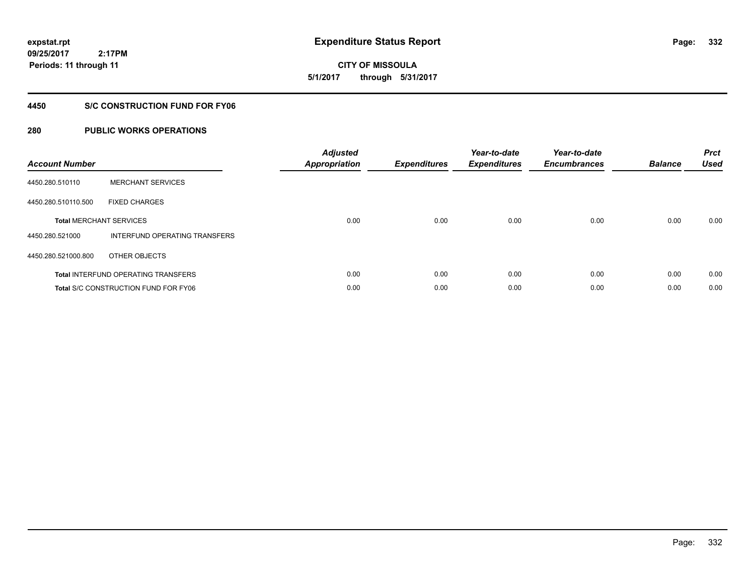**332**

**09/25/2017 2:17PM Periods: 11 through 11**

**CITY OF MISSOULA 5/1/2017 through 5/31/2017**

### **4450 S/C CONSTRUCTION FUND FOR FY06**

| <b>Account Number</b> |                                             | <b>Adjusted</b><br>Appropriation | <b>Expenditures</b> | Year-to-date<br><b>Expenditures</b> | Year-to-date<br><b>Encumbrances</b> | <b>Balance</b> | <b>Prct</b><br><b>Used</b> |
|-----------------------|---------------------------------------------|----------------------------------|---------------------|-------------------------------------|-------------------------------------|----------------|----------------------------|
| 4450.280.510110       | <b>MERCHANT SERVICES</b>                    |                                  |                     |                                     |                                     |                |                            |
| 4450.280.510110.500   | <b>FIXED CHARGES</b>                        |                                  |                     |                                     |                                     |                |                            |
|                       | <b>Total MERCHANT SERVICES</b>              | 0.00                             | 0.00                | 0.00                                | 0.00                                | 0.00           | 0.00                       |
| 4450.280.521000       | INTERFUND OPERATING TRANSFERS               |                                  |                     |                                     |                                     |                |                            |
| 4450.280.521000.800   | OTHER OBJECTS                               |                                  |                     |                                     |                                     |                |                            |
|                       | <b>Total INTERFUND OPERATING TRANSFERS</b>  | 0.00                             | 0.00                | 0.00                                | 0.00                                | 0.00           | 0.00                       |
|                       | <b>Total S/C CONSTRUCTION FUND FOR FY06</b> | 0.00                             | 0.00                | 0.00                                | 0.00                                | 0.00           | 0.00                       |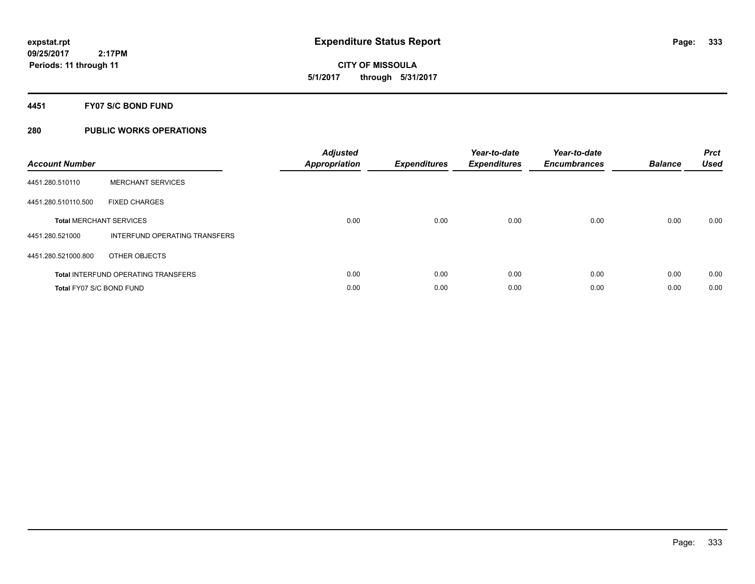**CITY OF MISSOULA 5/1/2017 through 5/31/2017**

#### **4451 FY07 S/C BOND FUND**

| <b>Account Number</b>    |                                            | <b>Adjusted</b><br>Appropriation | <b>Expenditures</b> | Year-to-date<br><b>Expenditures</b> | Year-to-date<br><b>Encumbrances</b> | <b>Balance</b> | <b>Prct</b><br><b>Used</b> |
|--------------------------|--------------------------------------------|----------------------------------|---------------------|-------------------------------------|-------------------------------------|----------------|----------------------------|
| 4451.280.510110          | <b>MERCHANT SERVICES</b>                   |                                  |                     |                                     |                                     |                |                            |
| 4451.280.510110.500      | <b>FIXED CHARGES</b>                       |                                  |                     |                                     |                                     |                |                            |
|                          | <b>Total MERCHANT SERVICES</b>             | 0.00                             | 0.00                | 0.00                                | 0.00                                | 0.00           | 0.00                       |
| 4451.280.521000          | INTERFUND OPERATING TRANSFERS              |                                  |                     |                                     |                                     |                |                            |
| 4451.280.521000.800      | OTHER OBJECTS                              |                                  |                     |                                     |                                     |                |                            |
|                          | <b>Total INTERFUND OPERATING TRANSFERS</b> | 0.00                             | 0.00                | 0.00                                | 0.00                                | 0.00           | 0.00                       |
| Total FY07 S/C BOND FUND |                                            | 0.00                             | 0.00                | 0.00                                | 0.00                                | 0.00           | 0.00                       |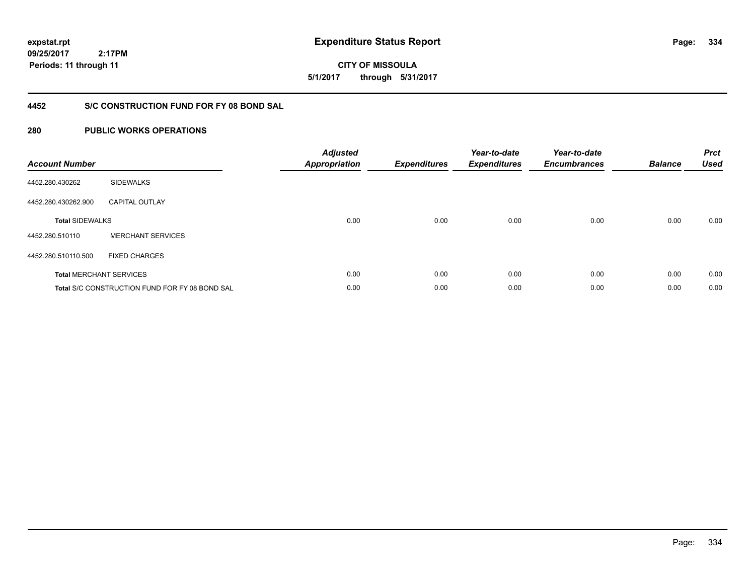**334**

**09/25/2017 2:17PM Periods: 11 through 11**

**CITY OF MISSOULA 5/1/2017 through 5/31/2017**

### **4452 S/C CONSTRUCTION FUND FOR FY 08 BOND SAL**

| <b>Account Number</b>  |                                                       | <b>Adjusted</b><br><b>Appropriation</b> | <b>Expenditures</b> | Year-to-date<br><b>Expenditures</b> | Year-to-date<br><b>Encumbrances</b> | <b>Balance</b> | <b>Prct</b><br><b>Used</b> |
|------------------------|-------------------------------------------------------|-----------------------------------------|---------------------|-------------------------------------|-------------------------------------|----------------|----------------------------|
| 4452.280.430262        | <b>SIDEWALKS</b>                                      |                                         |                     |                                     |                                     |                |                            |
| 4452.280.430262.900    | <b>CAPITAL OUTLAY</b>                                 |                                         |                     |                                     |                                     |                |                            |
| <b>Total SIDEWALKS</b> |                                                       | 0.00                                    | 0.00                | 0.00                                | 0.00                                | 0.00           | 0.00                       |
| 4452.280.510110        | <b>MERCHANT SERVICES</b>                              |                                         |                     |                                     |                                     |                |                            |
| 4452.280.510110.500    | <b>FIXED CHARGES</b>                                  |                                         |                     |                                     |                                     |                |                            |
|                        | <b>Total MERCHANT SERVICES</b>                        | 0.00                                    | 0.00                | 0.00                                | 0.00                                | 0.00           | 0.00                       |
|                        | <b>Total S/C CONSTRUCTION FUND FOR FY 08 BOND SAL</b> | 0.00                                    | 0.00                | 0.00                                | 0.00                                | 0.00           | 0.00                       |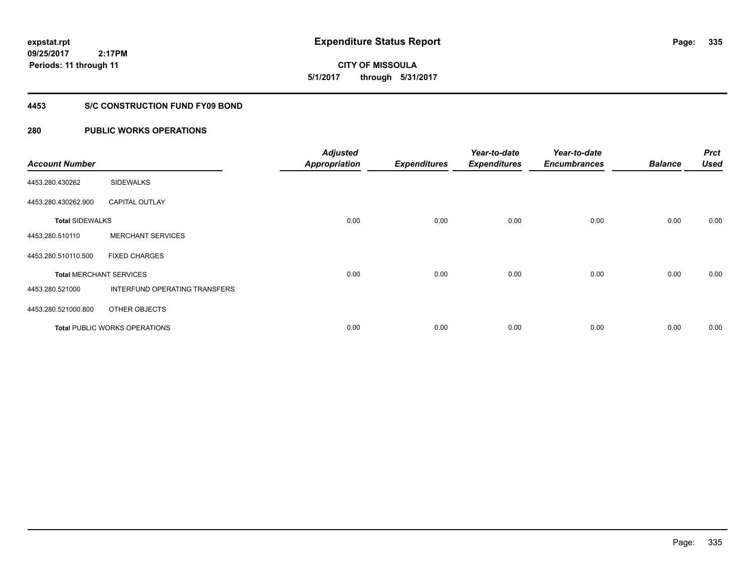**CITY OF MISSOULA 5/1/2017 through 5/31/2017**

### **4453 S/C CONSTRUCTION FUND FY09 BOND**

| <b>Account Number</b>  |                                      | <b>Adjusted</b><br><b>Appropriation</b> | <b>Expenditures</b> | Year-to-date<br><b>Expenditures</b> | Year-to-date<br><b>Encumbrances</b> | <b>Balance</b> | <b>Prct</b><br><b>Used</b> |
|------------------------|--------------------------------------|-----------------------------------------|---------------------|-------------------------------------|-------------------------------------|----------------|----------------------------|
| 4453.280.430262        | <b>SIDEWALKS</b>                     |                                         |                     |                                     |                                     |                |                            |
| 4453.280.430262.900    | <b>CAPITAL OUTLAY</b>                |                                         |                     |                                     |                                     |                |                            |
| <b>Total SIDEWALKS</b> |                                      | 0.00                                    | 0.00                | 0.00                                | 0.00                                | 0.00           | 0.00                       |
| 4453.280.510110        | <b>MERCHANT SERVICES</b>             |                                         |                     |                                     |                                     |                |                            |
| 4453.280.510110.500    | <b>FIXED CHARGES</b>                 |                                         |                     |                                     |                                     |                |                            |
|                        | <b>Total MERCHANT SERVICES</b>       | 0.00                                    | 0.00                | 0.00                                | 0.00                                | 0.00           | 0.00                       |
| 4453.280.521000        | INTERFUND OPERATING TRANSFERS        |                                         |                     |                                     |                                     |                |                            |
| 4453.280.521000.800    | OTHER OBJECTS                        |                                         |                     |                                     |                                     |                |                            |
|                        | <b>Total PUBLIC WORKS OPERATIONS</b> | 0.00                                    | 0.00                | 0.00                                | 0.00                                | 0.00           | 0.00                       |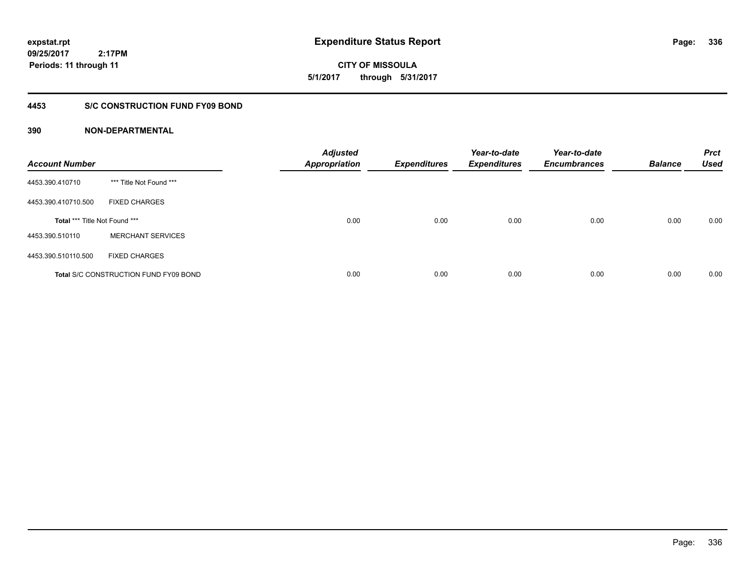**expstat.rpt Expenditure Status Report Page:**

**09/25/2017 2:17PM Periods: 11 through 11**

**CITY OF MISSOULA 5/1/2017 through 5/31/2017**

### **4453 S/C CONSTRUCTION FUND FY09 BOND**

| <b>Account Number</b>         |                                              | <b>Adjusted</b><br><b>Appropriation</b> | <b>Expenditures</b> | Year-to-date<br><b>Expenditures</b> | Year-to-date<br><b>Encumbrances</b> | <b>Balance</b> | <b>Prct</b><br><b>Used</b> |
|-------------------------------|----------------------------------------------|-----------------------------------------|---------------------|-------------------------------------|-------------------------------------|----------------|----------------------------|
| 4453.390.410710               | *** Title Not Found ***                      |                                         |                     |                                     |                                     |                |                            |
| 4453.390.410710.500           | <b>FIXED CHARGES</b>                         |                                         |                     |                                     |                                     |                |                            |
| Total *** Title Not Found *** |                                              | 0.00                                    | 0.00                | 0.00                                | 0.00                                | 0.00           | 0.00                       |
| 4453.390.510110               | <b>MERCHANT SERVICES</b>                     |                                         |                     |                                     |                                     |                |                            |
| 4453.390.510110.500           | <b>FIXED CHARGES</b>                         |                                         |                     |                                     |                                     |                |                            |
|                               | <b>Total S/C CONSTRUCTION FUND FY09 BOND</b> | 0.00                                    | 0.00                | 0.00                                | 0.00                                | 0.00           | 0.00                       |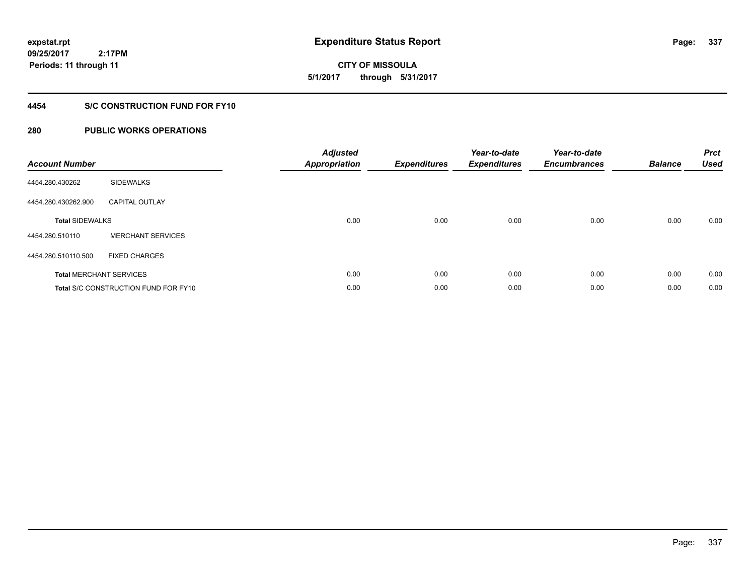**CITY OF MISSOULA 5/1/2017 through 5/31/2017**

### **4454 S/C CONSTRUCTION FUND FOR FY10**

| <b>Account Number</b>          |                                             | <b>Adjusted</b><br><b>Appropriation</b> | <b>Expenditures</b> | Year-to-date<br><b>Expenditures</b> | Year-to-date<br><b>Encumbrances</b> | <b>Balance</b> | <b>Prct</b><br><b>Used</b> |
|--------------------------------|---------------------------------------------|-----------------------------------------|---------------------|-------------------------------------|-------------------------------------|----------------|----------------------------|
| 4454.280.430262                | <b>SIDEWALKS</b>                            |                                         |                     |                                     |                                     |                |                            |
| 4454.280.430262.900            | <b>CAPITAL OUTLAY</b>                       |                                         |                     |                                     |                                     |                |                            |
| <b>Total SIDEWALKS</b>         |                                             | 0.00                                    | 0.00                | 0.00                                | 0.00                                | 0.00           | 0.00                       |
| 4454.280.510110                | <b>MERCHANT SERVICES</b>                    |                                         |                     |                                     |                                     |                |                            |
| 4454.280.510110.500            | <b>FIXED CHARGES</b>                        |                                         |                     |                                     |                                     |                |                            |
| <b>Total MERCHANT SERVICES</b> |                                             | 0.00                                    | 0.00                | 0.00                                | 0.00                                | 0.00           | 0.00                       |
|                                | <b>Total S/C CONSTRUCTION FUND FOR FY10</b> | 0.00                                    | 0.00                | 0.00                                | 0.00                                | 0.00           | 0.00                       |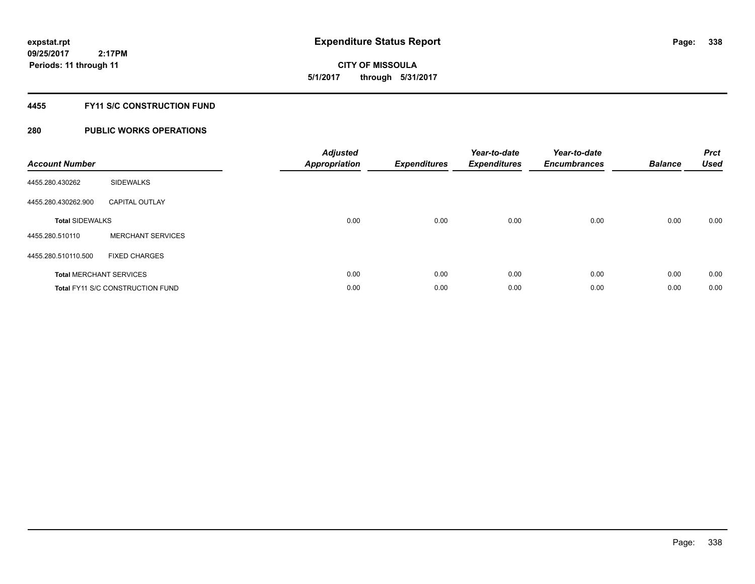# **CITY OF MISSOULA 5/1/2017 through 5/31/2017**

### **4455 FY11 S/C CONSTRUCTION FUND**

| <b>Account Number</b>  |                                         | <b>Adjusted</b><br><b>Appropriation</b> | <b>Expenditures</b> | Year-to-date<br><b>Expenditures</b> | Year-to-date<br><b>Encumbrances</b> | <b>Balance</b> | <b>Prct</b><br><b>Used</b> |
|------------------------|-----------------------------------------|-----------------------------------------|---------------------|-------------------------------------|-------------------------------------|----------------|----------------------------|
| 4455.280.430262        | <b>SIDEWALKS</b>                        |                                         |                     |                                     |                                     |                |                            |
| 4455.280.430262.900    | <b>CAPITAL OUTLAY</b>                   |                                         |                     |                                     |                                     |                |                            |
| <b>Total SIDEWALKS</b> |                                         | 0.00                                    | 0.00                | 0.00                                | 0.00                                | 0.00           | 0.00                       |
| 4455.280.510110        | <b>MERCHANT SERVICES</b>                |                                         |                     |                                     |                                     |                |                            |
| 4455.280.510110.500    | <b>FIXED CHARGES</b>                    |                                         |                     |                                     |                                     |                |                            |
|                        | <b>Total MERCHANT SERVICES</b>          | 0.00                                    | 0.00                | 0.00                                | 0.00                                | 0.00           | 0.00                       |
|                        | <b>Total FY11 S/C CONSTRUCTION FUND</b> | 0.00                                    | 0.00                | 0.00                                | 0.00                                | 0.00           | 0.00                       |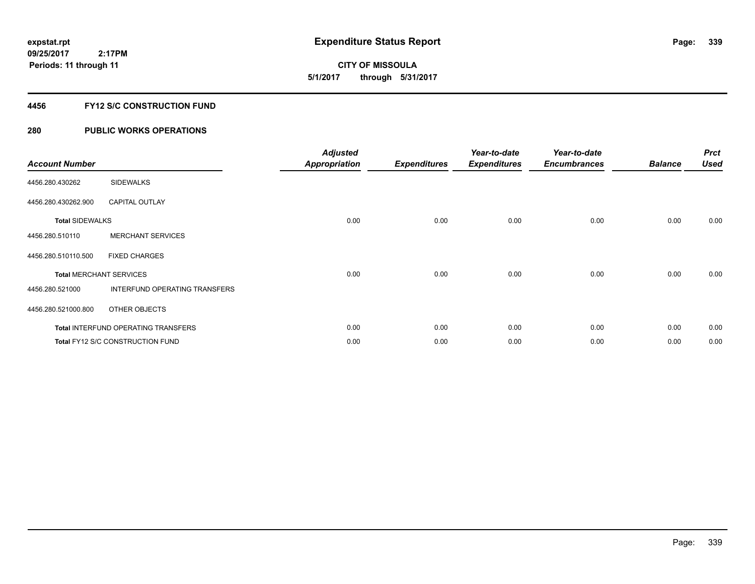**CITY OF MISSOULA 5/1/2017 through 5/31/2017**

#### **4456 FY12 S/C CONSTRUCTION FUND**

| <b>Account Number</b>          |                                            | <b>Adjusted</b><br><b>Appropriation</b> | <b>Expenditures</b> | Year-to-date<br><b>Expenditures</b> | Year-to-date<br><b>Encumbrances</b> | <b>Balance</b> | <b>Prct</b><br><b>Used</b> |
|--------------------------------|--------------------------------------------|-----------------------------------------|---------------------|-------------------------------------|-------------------------------------|----------------|----------------------------|
| 4456.280.430262                | <b>SIDEWALKS</b>                           |                                         |                     |                                     |                                     |                |                            |
| 4456.280.430262.900            | <b>CAPITAL OUTLAY</b>                      |                                         |                     |                                     |                                     |                |                            |
| <b>Total SIDEWALKS</b>         |                                            | 0.00                                    | 0.00                | 0.00                                | 0.00                                | 0.00           | 0.00                       |
| 4456.280.510110                | <b>MERCHANT SERVICES</b>                   |                                         |                     |                                     |                                     |                |                            |
| 4456.280.510110.500            | <b>FIXED CHARGES</b>                       |                                         |                     |                                     |                                     |                |                            |
| <b>Total MERCHANT SERVICES</b> |                                            | 0.00                                    | 0.00                | 0.00                                | 0.00                                | 0.00           | 0.00                       |
| 4456.280.521000                | INTERFUND OPERATING TRANSFERS              |                                         |                     |                                     |                                     |                |                            |
| 4456.280.521000.800            | OTHER OBJECTS                              |                                         |                     |                                     |                                     |                |                            |
|                                | <b>Total INTERFUND OPERATING TRANSFERS</b> | 0.00                                    | 0.00                | 0.00                                | 0.00                                | 0.00           | 0.00                       |
|                                | Total FY12 S/C CONSTRUCTION FUND           | 0.00                                    | 0.00                | 0.00                                | 0.00                                | 0.00           | 0.00                       |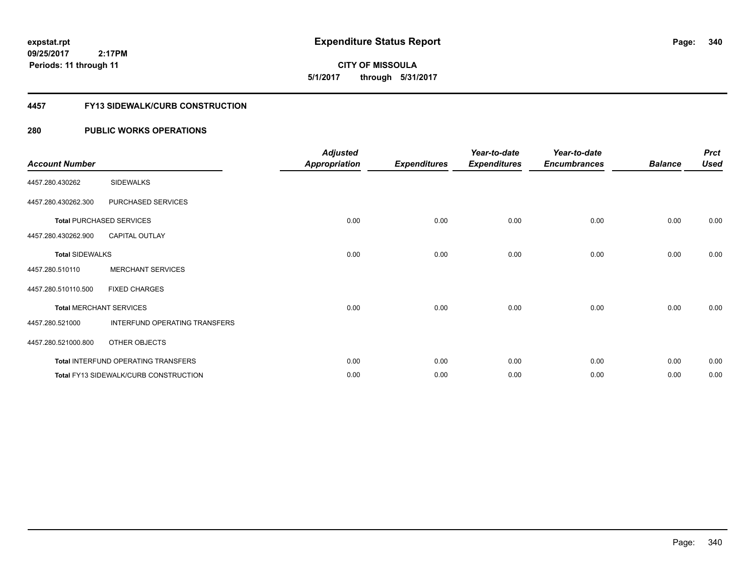**CITY OF MISSOULA 5/1/2017 through 5/31/2017**

#### **4457 FY13 SIDEWALK/CURB CONSTRUCTION**

| <b>Account Number</b>  |                                       | <b>Adjusted</b><br><b>Appropriation</b> | <b>Expenditures</b> | Year-to-date<br><b>Expenditures</b> | Year-to-date<br><b>Encumbrances</b> | <b>Balance</b> | <b>Prct</b><br><b>Used</b> |
|------------------------|---------------------------------------|-----------------------------------------|---------------------|-------------------------------------|-------------------------------------|----------------|----------------------------|
| 4457.280.430262        | <b>SIDEWALKS</b>                      |                                         |                     |                                     |                                     |                |                            |
| 4457.280.430262.300    | PURCHASED SERVICES                    |                                         |                     |                                     |                                     |                |                            |
|                        | <b>Total PURCHASED SERVICES</b>       | 0.00                                    | 0.00                | 0.00                                | 0.00                                | 0.00           | 0.00                       |
| 4457.280.430262.900    | <b>CAPITAL OUTLAY</b>                 |                                         |                     |                                     |                                     |                |                            |
| <b>Total SIDEWALKS</b> |                                       | 0.00                                    | 0.00                | 0.00                                | 0.00                                | 0.00           | 0.00                       |
| 4457.280.510110        | <b>MERCHANT SERVICES</b>              |                                         |                     |                                     |                                     |                |                            |
| 4457.280.510110.500    | <b>FIXED CHARGES</b>                  |                                         |                     |                                     |                                     |                |                            |
|                        | <b>Total MERCHANT SERVICES</b>        | 0.00                                    | 0.00                | 0.00                                | 0.00                                | 0.00           | 0.00                       |
| 4457.280.521000        | INTERFUND OPERATING TRANSFERS         |                                         |                     |                                     |                                     |                |                            |
| 4457.280.521000.800    | OTHER OBJECTS                         |                                         |                     |                                     |                                     |                |                            |
|                        | Total INTERFUND OPERATING TRANSFERS   | 0.00                                    | 0.00                | 0.00                                | 0.00                                | 0.00           | 0.00                       |
|                        | Total FY13 SIDEWALK/CURB CONSTRUCTION | 0.00                                    | 0.00                | 0.00                                | 0.00                                | 0.00           | 0.00                       |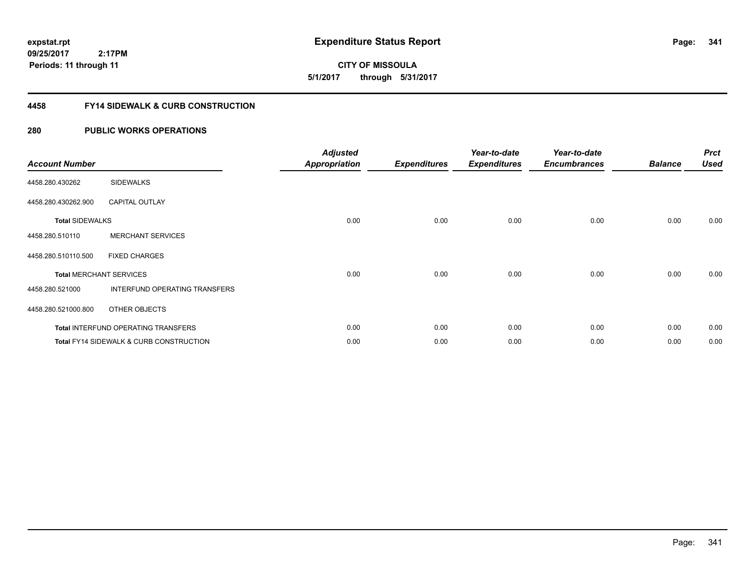**CITY OF MISSOULA 5/1/2017 through 5/31/2017**

#### **4458 FY14 SIDEWALK & CURB CONSTRUCTION**

| <b>Account Number</b>  |                                                    | <b>Adjusted</b><br><b>Appropriation</b> | <b>Expenditures</b> | Year-to-date<br><b>Expenditures</b> | Year-to-date<br><b>Encumbrances</b> | <b>Balance</b> | <b>Prct</b><br><b>Used</b> |
|------------------------|----------------------------------------------------|-----------------------------------------|---------------------|-------------------------------------|-------------------------------------|----------------|----------------------------|
| 4458.280.430262        | <b>SIDEWALKS</b>                                   |                                         |                     |                                     |                                     |                |                            |
| 4458.280.430262.900    | <b>CAPITAL OUTLAY</b>                              |                                         |                     |                                     |                                     |                |                            |
| <b>Total SIDEWALKS</b> |                                                    | 0.00                                    | 0.00                | 0.00                                | 0.00                                | 0.00           | 0.00                       |
| 4458.280.510110        | <b>MERCHANT SERVICES</b>                           |                                         |                     |                                     |                                     |                |                            |
| 4458.280.510110.500    | <b>FIXED CHARGES</b>                               |                                         |                     |                                     |                                     |                |                            |
|                        | <b>Total MERCHANT SERVICES</b>                     | 0.00                                    | 0.00                | 0.00                                | 0.00                                | 0.00           | 0.00                       |
| 4458.280.521000        | INTERFUND OPERATING TRANSFERS                      |                                         |                     |                                     |                                     |                |                            |
| 4458.280.521000.800    | OTHER OBJECTS                                      |                                         |                     |                                     |                                     |                |                            |
|                        | <b>Total INTERFUND OPERATING TRANSFERS</b>         | 0.00                                    | 0.00                | 0.00                                | 0.00                                | 0.00           | 0.00                       |
|                        | <b>Total FY14 SIDEWALK &amp; CURB CONSTRUCTION</b> | 0.00                                    | 0.00                | 0.00                                | 0.00                                | 0.00           | 0.00                       |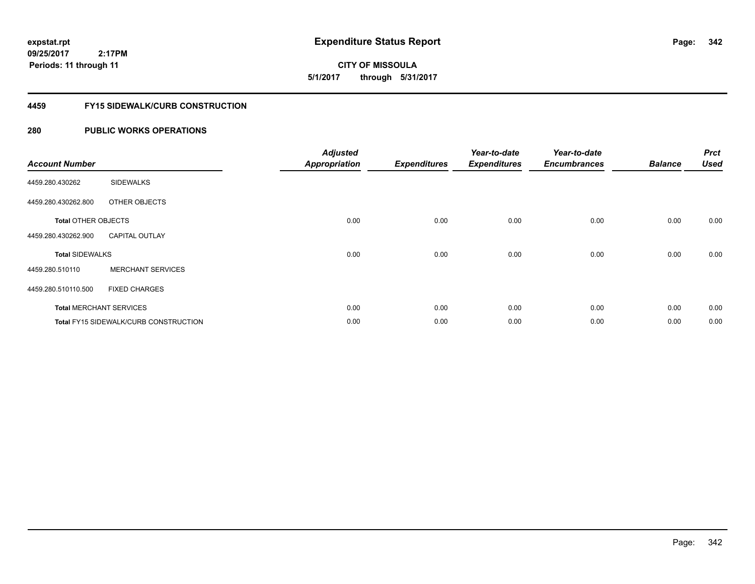**CITY OF MISSOULA 5/1/2017 through 5/31/2017**

#### **4459 FY15 SIDEWALK/CURB CONSTRUCTION**

| <b>Account Number</b>      |                                              | <b>Adjusted</b><br><b>Appropriation</b> | <b>Expenditures</b> | Year-to-date<br><b>Expenditures</b> | Year-to-date<br><b>Encumbrances</b> | <b>Balance</b> | <b>Prct</b><br><b>Used</b> |
|----------------------------|----------------------------------------------|-----------------------------------------|---------------------|-------------------------------------|-------------------------------------|----------------|----------------------------|
| 4459.280.430262            | <b>SIDEWALKS</b>                             |                                         |                     |                                     |                                     |                |                            |
| 4459.280.430262.800        | OTHER OBJECTS                                |                                         |                     |                                     |                                     |                |                            |
| <b>Total OTHER OBJECTS</b> |                                              | 0.00                                    | 0.00                | 0.00                                | 0.00                                | 0.00           | 0.00                       |
| 4459.280.430262.900        | <b>CAPITAL OUTLAY</b>                        |                                         |                     |                                     |                                     |                |                            |
| <b>Total SIDEWALKS</b>     |                                              | 0.00                                    | 0.00                | 0.00                                | 0.00                                | 0.00           | 0.00                       |
| 4459.280.510110            | <b>MERCHANT SERVICES</b>                     |                                         |                     |                                     |                                     |                |                            |
| 4459.280.510110.500        | <b>FIXED CHARGES</b>                         |                                         |                     |                                     |                                     |                |                            |
|                            | <b>Total MERCHANT SERVICES</b>               | 0.00                                    | 0.00                | 0.00                                | 0.00                                | 0.00           | 0.00                       |
|                            | <b>Total FY15 SIDEWALK/CURB CONSTRUCTION</b> | 0.00                                    | 0.00                | 0.00                                | 0.00                                | 0.00           | 0.00                       |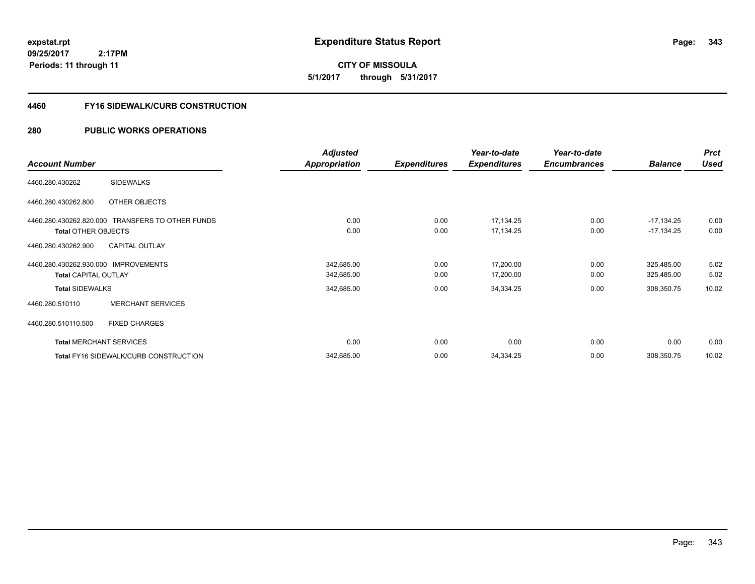**CITY OF MISSOULA 5/1/2017 through 5/31/2017**

#### **4460 FY16 SIDEWALK/CURB CONSTRUCTION**

|                                                  | <b>Adjusted</b>      |                     | Year-to-date        | Year-to-date        |                | <b>Prct</b> |
|--------------------------------------------------|----------------------|---------------------|---------------------|---------------------|----------------|-------------|
| <b>Account Number</b>                            | <b>Appropriation</b> | <b>Expenditures</b> | <b>Expenditures</b> | <b>Encumbrances</b> | <b>Balance</b> | <b>Used</b> |
| <b>SIDEWALKS</b><br>4460.280.430262              |                      |                     |                     |                     |                |             |
| 4460.280.430262.800<br>OTHER OBJECTS             |                      |                     |                     |                     |                |             |
| 4460.280.430262.820.000 TRANSFERS TO OTHER FUNDS | 0.00                 | 0.00                | 17,134.25           | 0.00                | $-17,134.25$   | 0.00        |
| <b>Total OTHER OBJECTS</b>                       | 0.00                 | 0.00                | 17,134.25           | 0.00                | $-17,134.25$   | 0.00        |
| <b>CAPITAL OUTLAY</b><br>4460.280.430262.900     |                      |                     |                     |                     |                |             |
| 4460.280.430262.930.000 IMPROVEMENTS             | 342,685.00           | 0.00                | 17,200.00           | 0.00                | 325,485.00     | 5.02        |
| <b>Total CAPITAL OUTLAY</b>                      | 342,685.00           | 0.00                | 17,200.00           | 0.00                | 325,485.00     | 5.02        |
| <b>Total SIDEWALKS</b>                           | 342,685.00           | 0.00                | 34,334.25           | 0.00                | 308,350.75     | 10.02       |
| <b>MERCHANT SERVICES</b><br>4460.280.510110      |                      |                     |                     |                     |                |             |
| 4460.280.510110.500<br><b>FIXED CHARGES</b>      |                      |                     |                     |                     |                |             |
| <b>Total MERCHANT SERVICES</b>                   | 0.00                 | 0.00                | 0.00                | 0.00                | 0.00           | 0.00        |
| Total FY16 SIDEWALK/CURB CONSTRUCTION            | 342,685.00           | 0.00                | 34,334.25           | 0.00                | 308,350.75     | 10.02       |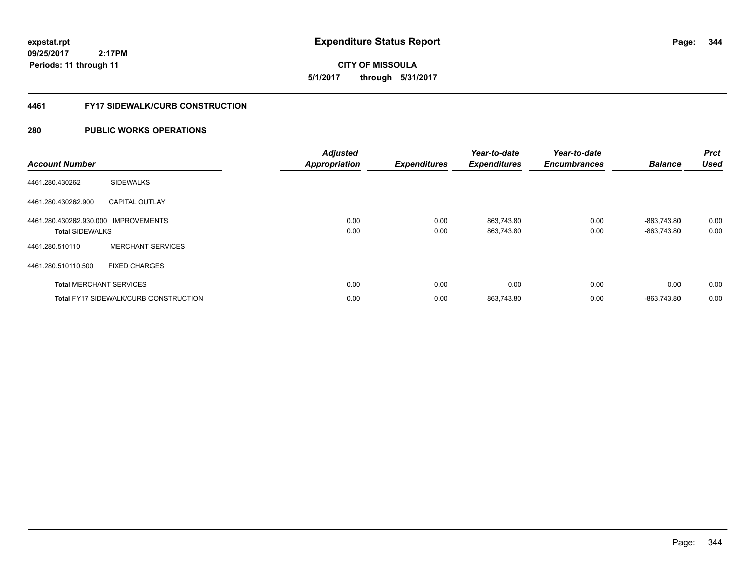**5/1/2017 through 5/31/2017**

#### **4461 FY17 SIDEWALK/CURB CONSTRUCTION**

| <b>Account Number</b>                             |                                              | <b>Adjusted</b><br><b>Appropriation</b> | <b>Expenditures</b> | Year-to-date<br><b>Expenditures</b> | Year-to-date<br><b>Encumbrances</b> | <b>Balance</b>             | <b>Prct</b><br><b>Used</b> |
|---------------------------------------------------|----------------------------------------------|-----------------------------------------|---------------------|-------------------------------------|-------------------------------------|----------------------------|----------------------------|
| 4461.280.430262                                   | <b>SIDEWALKS</b>                             |                                         |                     |                                     |                                     |                            |                            |
| 4461.280.430262.900                               | <b>CAPITAL OUTLAY</b>                        |                                         |                     |                                     |                                     |                            |                            |
| 4461.280.430262.930.000<br><b>Total SIDEWALKS</b> | <b>IMPROVEMENTS</b>                          | 0.00<br>0.00                            | 0.00<br>0.00        | 863,743.80<br>863,743.80            | 0.00<br>0.00                        | -863.743.80<br>-863,743.80 | 0.00<br>0.00               |
| 4461.280.510110                                   | <b>MERCHANT SERVICES</b>                     |                                         |                     |                                     |                                     |                            |                            |
| 4461.280.510110.500                               | <b>FIXED CHARGES</b>                         |                                         |                     |                                     |                                     |                            |                            |
|                                                   | <b>Total MERCHANT SERVICES</b>               | 0.00                                    | 0.00                | 0.00                                | 0.00                                | 0.00                       | 0.00                       |
|                                                   | <b>Total FY17 SIDEWALK/CURB CONSTRUCTION</b> | 0.00                                    | 0.00                | 863,743.80                          | 0.00                                | -863.743.80                | 0.00                       |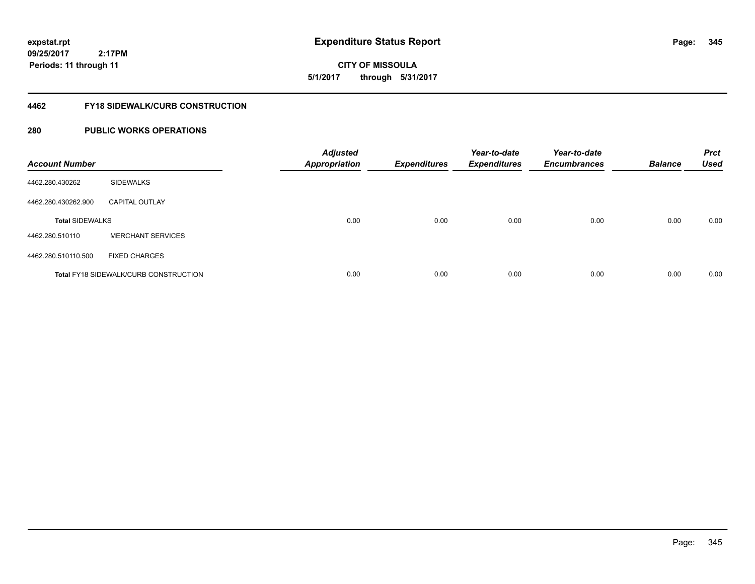**CITY OF MISSOULA 5/1/2017 through 5/31/2017**

#### **4462 FY18 SIDEWALK/CURB CONSTRUCTION**

| <b>Account Number</b>  |                                              | <b>Adjusted</b><br><b>Appropriation</b> | <b>Expenditures</b> | Year-to-date<br><b>Expenditures</b> | Year-to-date<br><b>Encumbrances</b> | <b>Balance</b> | <b>Prct</b><br><b>Used</b> |
|------------------------|----------------------------------------------|-----------------------------------------|---------------------|-------------------------------------|-------------------------------------|----------------|----------------------------|
| 4462.280.430262        | <b>SIDEWALKS</b>                             |                                         |                     |                                     |                                     |                |                            |
| 4462.280.430262.900    | <b>CAPITAL OUTLAY</b>                        |                                         |                     |                                     |                                     |                |                            |
| <b>Total SIDEWALKS</b> |                                              | 0.00                                    | 0.00                | 0.00                                | 0.00                                | 0.00           | 0.00                       |
| 4462.280.510110        | <b>MERCHANT SERVICES</b>                     |                                         |                     |                                     |                                     |                |                            |
| 4462.280.510110.500    | <b>FIXED CHARGES</b>                         |                                         |                     |                                     |                                     |                |                            |
|                        | <b>Total FY18 SIDEWALK/CURB CONSTRUCTION</b> | 0.00                                    | 0.00                | 0.00                                | 0.00                                | 0.00           | 0.00                       |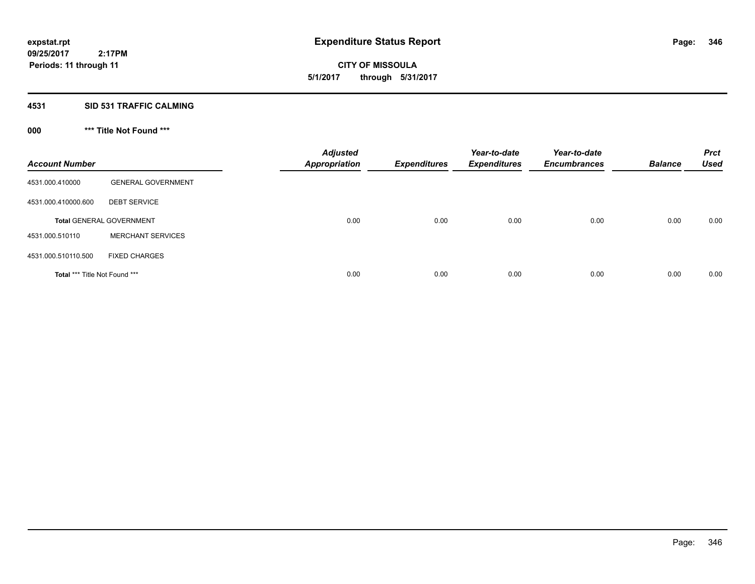**CITY OF MISSOULA 5/1/2017 through 5/31/2017**

#### **4531 SID 531 TRAFFIC CALMING**

# **000 \*\*\* Title Not Found \*\*\***

| <b>Account Number</b>         |                                 | <b>Adjusted</b><br><b>Appropriation</b> | <b>Expenditures</b> | Year-to-date<br><b>Expenditures</b> | Year-to-date<br><b>Encumbrances</b> | <b>Balance</b> | <b>Prct</b><br><b>Used</b> |
|-------------------------------|---------------------------------|-----------------------------------------|---------------------|-------------------------------------|-------------------------------------|----------------|----------------------------|
| 4531.000.410000               | <b>GENERAL GOVERNMENT</b>       |                                         |                     |                                     |                                     |                |                            |
| 4531.000.410000.600           | <b>DEBT SERVICE</b>             |                                         |                     |                                     |                                     |                |                            |
|                               | <b>Total GENERAL GOVERNMENT</b> | 0.00                                    | 0.00                | 0.00                                | 0.00                                | 0.00           | 0.00                       |
| 4531.000.510110               | <b>MERCHANT SERVICES</b>        |                                         |                     |                                     |                                     |                |                            |
| 4531.000.510110.500           | <b>FIXED CHARGES</b>            |                                         |                     |                                     |                                     |                |                            |
| Total *** Title Not Found *** |                                 | 0.00                                    | 0.00                | 0.00                                | 0.00                                | 0.00           | 0.00                       |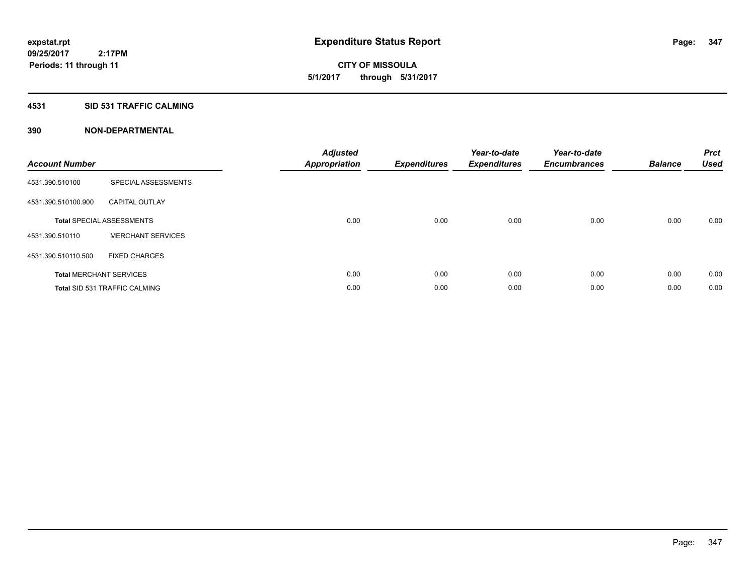**CITY OF MISSOULA 5/1/2017 through 5/31/2017**

### **4531 SID 531 TRAFFIC CALMING**

| <b>Account Number</b> |                                      | <b>Adjusted</b><br><b>Appropriation</b> | <b>Expenditures</b> | Year-to-date<br><b>Expenditures</b> | Year-to-date<br><b>Encumbrances</b> | <b>Balance</b> | <b>Prct</b><br><b>Used</b> |
|-----------------------|--------------------------------------|-----------------------------------------|---------------------|-------------------------------------|-------------------------------------|----------------|----------------------------|
| 4531.390.510100       | SPECIAL ASSESSMENTS                  |                                         |                     |                                     |                                     |                |                            |
| 4531.390.510100.900   | <b>CAPITAL OUTLAY</b>                |                                         |                     |                                     |                                     |                |                            |
|                       | <b>Total SPECIAL ASSESSMENTS</b>     | 0.00                                    | 0.00                | 0.00                                | 0.00                                | 0.00           | 0.00                       |
| 4531.390.510110       | <b>MERCHANT SERVICES</b>             |                                         |                     |                                     |                                     |                |                            |
| 4531.390.510110.500   | <b>FIXED CHARGES</b>                 |                                         |                     |                                     |                                     |                |                            |
|                       | <b>Total MERCHANT SERVICES</b>       | 0.00                                    | 0.00                | 0.00                                | 0.00                                | 0.00           | 0.00                       |
|                       | <b>Total SID 531 TRAFFIC CALMING</b> | 0.00                                    | 0.00                | 0.00                                | 0.00                                | 0.00           | 0.00                       |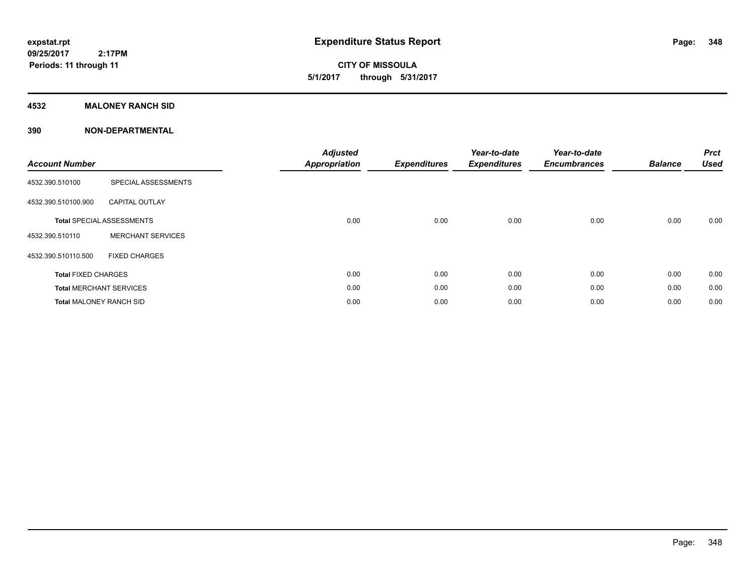**CITY OF MISSOULA 5/1/2017 through 5/31/2017**

#### **4532 MALONEY RANCH SID**

| <b>Account Number</b>          |                                  | <b>Adjusted</b><br><b>Appropriation</b> | <b>Expenditures</b> | Year-to-date<br><b>Expenditures</b> | Year-to-date<br><b>Encumbrances</b> | <b>Balance</b> | <b>Prct</b><br><b>Used</b> |
|--------------------------------|----------------------------------|-----------------------------------------|---------------------|-------------------------------------|-------------------------------------|----------------|----------------------------|
| 4532.390.510100                | SPECIAL ASSESSMENTS              |                                         |                     |                                     |                                     |                |                            |
| 4532.390.510100.900            | <b>CAPITAL OUTLAY</b>            |                                         |                     |                                     |                                     |                |                            |
|                                | <b>Total SPECIAL ASSESSMENTS</b> | 0.00                                    | 0.00                | 0.00                                | 0.00                                | 0.00           | 0.00                       |
| 4532.390.510110                | <b>MERCHANT SERVICES</b>         |                                         |                     |                                     |                                     |                |                            |
| 4532.390.510110.500            | <b>FIXED CHARGES</b>             |                                         |                     |                                     |                                     |                |                            |
| <b>Total FIXED CHARGES</b>     |                                  | 0.00                                    | 0.00                | 0.00                                | 0.00                                | 0.00           | 0.00                       |
|                                | <b>Total MERCHANT SERVICES</b>   | 0.00                                    | 0.00                | 0.00                                | 0.00                                | 0.00           | 0.00                       |
| <b>Total MALONEY RANCH SID</b> |                                  | 0.00                                    | 0.00                | 0.00                                | 0.00                                | 0.00           | 0.00                       |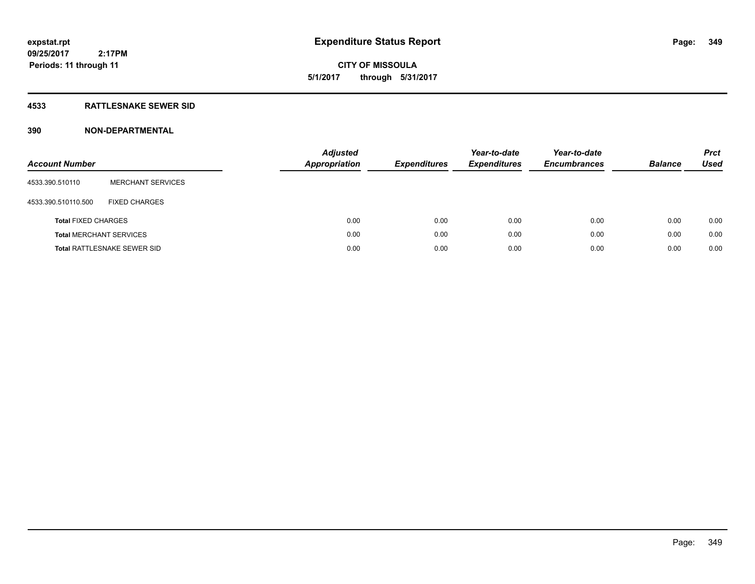**CITY OF MISSOULA 5/1/2017 through 5/31/2017**

### **4533 RATTLESNAKE SEWER SID**

| <b>Account Number</b>          |                                    | <b>Adjusted</b><br><b>Appropriation</b> | <b>Expenditures</b> | Year-to-date<br><b>Expenditures</b> | Year-to-date<br><b>Encumbrances</b> | <b>Balance</b> | <b>Prct</b><br>Used |
|--------------------------------|------------------------------------|-----------------------------------------|---------------------|-------------------------------------|-------------------------------------|----------------|---------------------|
| 4533.390.510110                | <b>MERCHANT SERVICES</b>           |                                         |                     |                                     |                                     |                |                     |
| 4533.390.510110.500            | <b>FIXED CHARGES</b>               |                                         |                     |                                     |                                     |                |                     |
| <b>Total FIXED CHARGES</b>     |                                    | 0.00                                    | 0.00                | 0.00                                | 0.00                                | 0.00           | 0.00                |
| <b>Total MERCHANT SERVICES</b> |                                    | 0.00                                    | 0.00                | 0.00                                | 0.00                                | 0.00           | 0.00                |
|                                | <b>Total RATTLESNAKE SEWER SID</b> | 0.00                                    | 0.00                | 0.00                                | 0.00                                | 0.00           | 0.00                |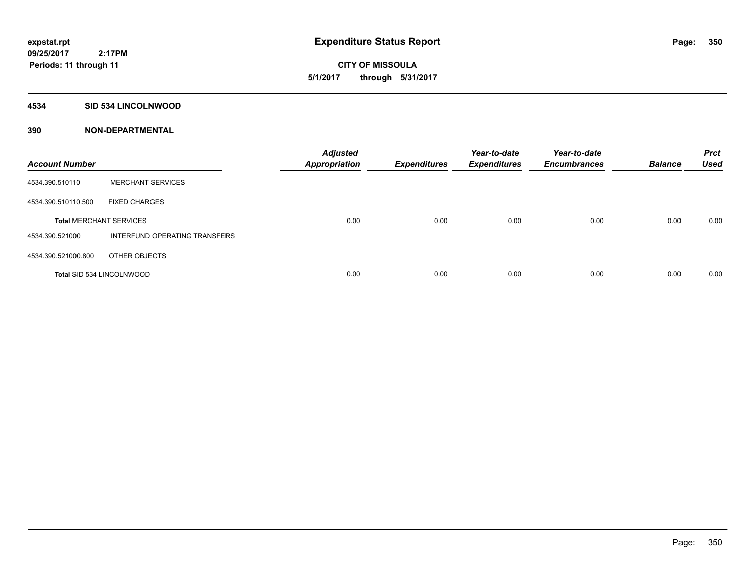**CITY OF MISSOULA 5/1/2017 through 5/31/2017**

#### **4534 SID 534 LINCOLNWOOD**

| <b>Account Number</b>            |                               | <b>Adjusted</b><br><b>Appropriation</b> | <b>Expenditures</b> | Year-to-date<br><b>Expenditures</b> | Year-to-date<br><b>Encumbrances</b> | <b>Balance</b> | <b>Prct</b><br><b>Used</b> |
|----------------------------------|-------------------------------|-----------------------------------------|---------------------|-------------------------------------|-------------------------------------|----------------|----------------------------|
| 4534.390.510110                  | <b>MERCHANT SERVICES</b>      |                                         |                     |                                     |                                     |                |                            |
| 4534.390.510110.500              | <b>FIXED CHARGES</b>          |                                         |                     |                                     |                                     |                |                            |
| <b>Total MERCHANT SERVICES</b>   |                               | 0.00                                    | 0.00                | 0.00                                | 0.00                                | 0.00           | 0.00                       |
| 4534.390.521000                  | INTERFUND OPERATING TRANSFERS |                                         |                     |                                     |                                     |                |                            |
| 4534.390.521000.800              | OTHER OBJECTS                 |                                         |                     |                                     |                                     |                |                            |
| <b>Total SID 534 LINCOLNWOOD</b> |                               | 0.00                                    | 0.00                | 0.00                                | 0.00                                | 0.00           | 0.00                       |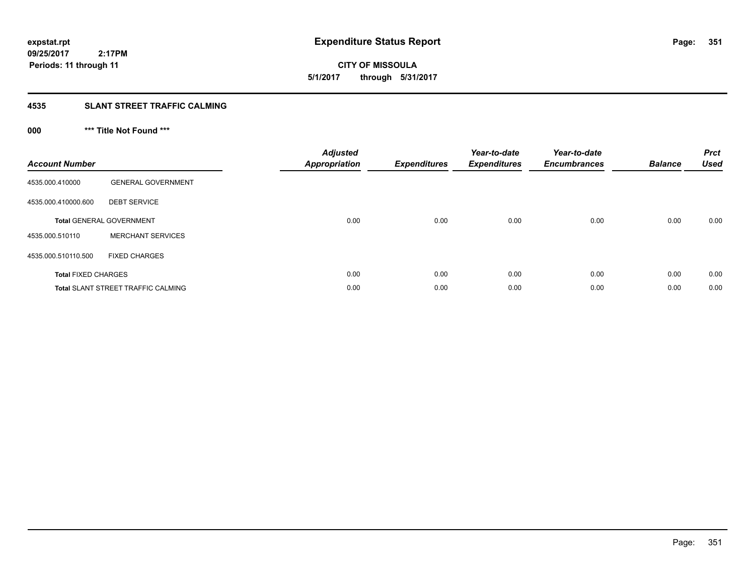**CITY OF MISSOULA 5/1/2017 through 5/31/2017**

### **4535 SLANT STREET TRAFFIC CALMING**

# **000 \*\*\* Title Not Found \*\*\***

| <b>Account Number</b>      |                                           | <b>Adjusted</b><br>Appropriation | <b>Expenditures</b> | Year-to-date<br><b>Expenditures</b> | Year-to-date<br><b>Encumbrances</b> | <b>Balance</b> | <b>Prct</b><br><b>Used</b> |
|----------------------------|-------------------------------------------|----------------------------------|---------------------|-------------------------------------|-------------------------------------|----------------|----------------------------|
| 4535.000.410000            | <b>GENERAL GOVERNMENT</b>                 |                                  |                     |                                     |                                     |                |                            |
| 4535.000.410000.600        | <b>DEBT SERVICE</b>                       |                                  |                     |                                     |                                     |                |                            |
|                            | <b>Total GENERAL GOVERNMENT</b>           | 0.00                             | 0.00                | 0.00                                | 0.00                                | 0.00           | 0.00                       |
| 4535.000.510110            | <b>MERCHANT SERVICES</b>                  |                                  |                     |                                     |                                     |                |                            |
| 4535.000.510110.500        | <b>FIXED CHARGES</b>                      |                                  |                     |                                     |                                     |                |                            |
| <b>Total FIXED CHARGES</b> |                                           | 0.00                             | 0.00                | 0.00                                | 0.00                                | 0.00           | 0.00                       |
|                            | <b>Total SLANT STREET TRAFFIC CALMING</b> | 0.00                             | 0.00                | 0.00                                | 0.00                                | 0.00           | 0.00                       |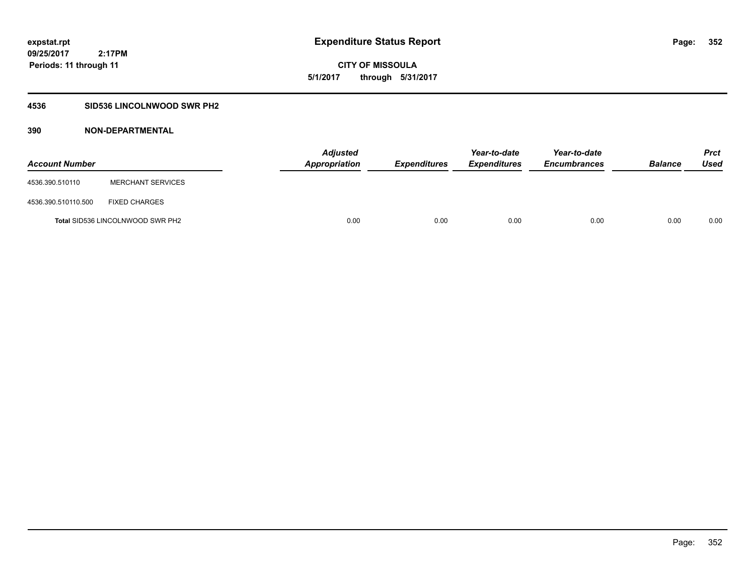**CITY OF MISSOULA 5/1/2017 through 5/31/2017**

### **4536 SID536 LINCOLNWOOD SWR PH2**

| <b>Account Number</b> |                                         | <b>Adjusted</b><br>Appropriation | Expenditures | Year-to-date<br><b>Expenditures</b> | Year-to-date<br><b>Encumbrances</b> | <b>Balance</b> | <b>Prct</b><br>Used |
|-----------------------|-----------------------------------------|----------------------------------|--------------|-------------------------------------|-------------------------------------|----------------|---------------------|
| 4536.390.510110       | <b>MERCHANT SERVICES</b>                |                                  |              |                                     |                                     |                |                     |
| 4536.390.510110.500   | <b>FIXED CHARGES</b>                    |                                  |              |                                     |                                     |                |                     |
|                       | <b>Total SID536 LINCOLNWOOD SWR PH2</b> | 0.00                             | 0.00         | 0.00                                | 0.00                                | 0.00           | 0.00                |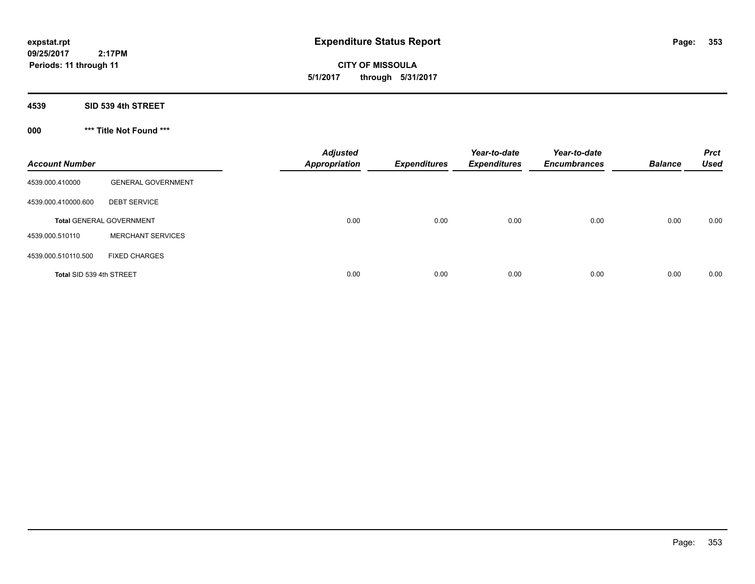**CITY OF MISSOULA 5/1/2017 through 5/31/2017**

**4539 SID 539 4th STREET**

**000 \*\*\* Title Not Found \*\*\***

| <b>Account Number</b>    |                                 | <b>Adjusted</b><br><b>Appropriation</b> | <b>Expenditures</b> | Year-to-date<br><b>Expenditures</b> | Year-to-date<br><b>Encumbrances</b> | <b>Balance</b> | <b>Prct</b><br><b>Used</b> |
|--------------------------|---------------------------------|-----------------------------------------|---------------------|-------------------------------------|-------------------------------------|----------------|----------------------------|
| 4539.000.410000          | <b>GENERAL GOVERNMENT</b>       |                                         |                     |                                     |                                     |                |                            |
| 4539.000.410000.600      | <b>DEBT SERVICE</b>             |                                         |                     |                                     |                                     |                |                            |
|                          | <b>Total GENERAL GOVERNMENT</b> | 0.00                                    | 0.00                | 0.00                                | 0.00                                | 0.00           | 0.00                       |
| 4539.000.510110          | <b>MERCHANT SERVICES</b>        |                                         |                     |                                     |                                     |                |                            |
| 4539.000.510110.500      | <b>FIXED CHARGES</b>            |                                         |                     |                                     |                                     |                |                            |
| Total SID 539 4th STREET |                                 | 0.00                                    | 0.00                | 0.00                                | 0.00                                | 0.00           | 0.00                       |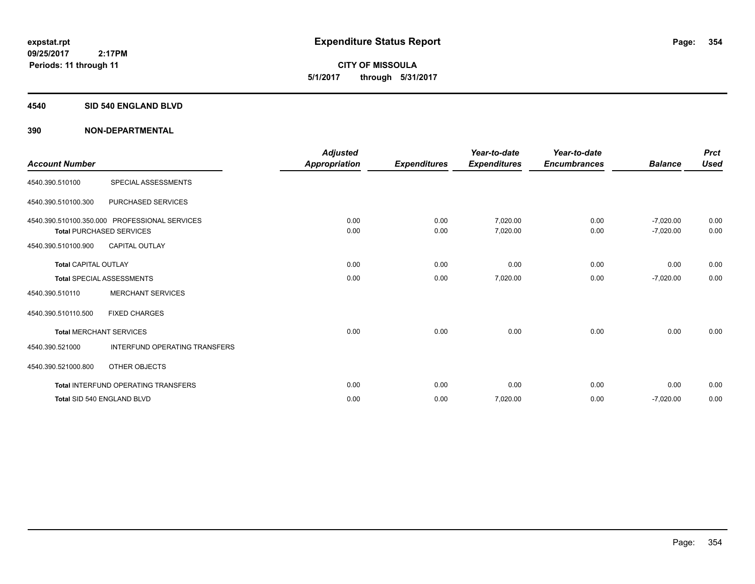**CITY OF MISSOULA 5/1/2017 through 5/31/2017**

#### **4540 SID 540 ENGLAND BLVD**

| <b>Account Number</b>       |                                                                                  | <b>Adjusted</b><br><b>Appropriation</b> | <b>Expenditures</b> | Year-to-date<br><b>Expenditures</b> | Year-to-date<br><b>Encumbrances</b> | <b>Balance</b>             | <b>Prct</b><br><b>Used</b> |
|-----------------------------|----------------------------------------------------------------------------------|-----------------------------------------|---------------------|-------------------------------------|-------------------------------------|----------------------------|----------------------------|
| 4540.390.510100             | SPECIAL ASSESSMENTS                                                              |                                         |                     |                                     |                                     |                            |                            |
| 4540.390.510100.300         | PURCHASED SERVICES                                                               |                                         |                     |                                     |                                     |                            |                            |
|                             | 4540.390.510100.350.000 PROFESSIONAL SERVICES<br><b>Total PURCHASED SERVICES</b> | 0.00<br>0.00                            | 0.00<br>0.00        | 7,020.00<br>7,020.00                | 0.00<br>0.00                        | $-7,020.00$<br>$-7,020.00$ | 0.00<br>0.00               |
| 4540.390.510100.900         | <b>CAPITAL OUTLAY</b>                                                            |                                         |                     |                                     |                                     |                            |                            |
| <b>Total CAPITAL OUTLAY</b> |                                                                                  | 0.00                                    | 0.00                | 0.00                                | 0.00                                | 0.00                       | 0.00                       |
|                             | <b>Total SPECIAL ASSESSMENTS</b>                                                 | 0.00                                    | 0.00                | 7,020.00                            | 0.00                                | $-7,020.00$                | 0.00                       |
| 4540.390.510110             | <b>MERCHANT SERVICES</b>                                                         |                                         |                     |                                     |                                     |                            |                            |
| 4540.390.510110.500         | <b>FIXED CHARGES</b>                                                             |                                         |                     |                                     |                                     |                            |                            |
|                             | <b>Total MERCHANT SERVICES</b>                                                   | 0.00                                    | 0.00                | 0.00                                | 0.00                                | 0.00                       | 0.00                       |
| 4540.390.521000             | <b>INTERFUND OPERATING TRANSFERS</b>                                             |                                         |                     |                                     |                                     |                            |                            |
| 4540.390.521000.800         | <b>OTHER OBJECTS</b>                                                             |                                         |                     |                                     |                                     |                            |                            |
|                             | <b>Total INTERFUND OPERATING TRANSFERS</b>                                       | 0.00                                    | 0.00                | 0.00                                | 0.00                                | 0.00                       | 0.00                       |
|                             | Total SID 540 ENGLAND BLVD                                                       | 0.00                                    | 0.00                | 7,020.00                            | 0.00                                | $-7,020.00$                | 0.00                       |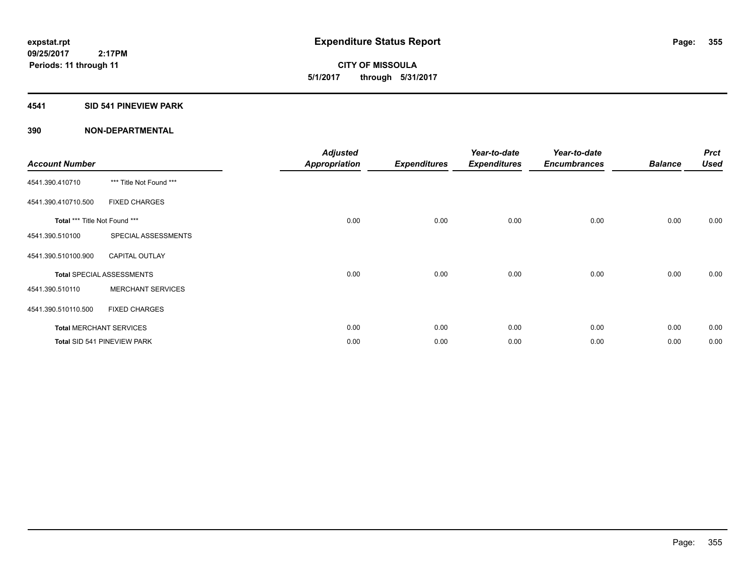**CITY OF MISSOULA 5/1/2017 through 5/31/2017**

#### **4541 SID 541 PINEVIEW PARK**

| <b>Account Number</b>         |                                  | <b>Adjusted</b><br><b>Appropriation</b> | <b>Expenditures</b> | Year-to-date<br><b>Expenditures</b> | Year-to-date<br><b>Encumbrances</b> | <b>Balance</b> | <b>Prct</b><br><b>Used</b> |
|-------------------------------|----------------------------------|-----------------------------------------|---------------------|-------------------------------------|-------------------------------------|----------------|----------------------------|
| 4541.390.410710               | *** Title Not Found ***          |                                         |                     |                                     |                                     |                |                            |
| 4541.390.410710.500           | <b>FIXED CHARGES</b>             |                                         |                     |                                     |                                     |                |                            |
| Total *** Title Not Found *** |                                  | 0.00                                    | 0.00                | 0.00                                | 0.00                                | 0.00           | 0.00                       |
| 4541.390.510100               | SPECIAL ASSESSMENTS              |                                         |                     |                                     |                                     |                |                            |
| 4541.390.510100.900           | <b>CAPITAL OUTLAY</b>            |                                         |                     |                                     |                                     |                |                            |
|                               | <b>Total SPECIAL ASSESSMENTS</b> | 0.00                                    | 0.00                | 0.00                                | 0.00                                | 0.00           | 0.00                       |
| 4541.390.510110               | <b>MERCHANT SERVICES</b>         |                                         |                     |                                     |                                     |                |                            |
| 4541.390.510110.500           | <b>FIXED CHARGES</b>             |                                         |                     |                                     |                                     |                |                            |
|                               | <b>Total MERCHANT SERVICES</b>   | 0.00                                    | 0.00                | 0.00                                | 0.00                                | 0.00           | 0.00                       |
|                               | Total SID 541 PINEVIEW PARK      | 0.00                                    | 0.00                | 0.00                                | 0.00                                | 0.00           | 0.00                       |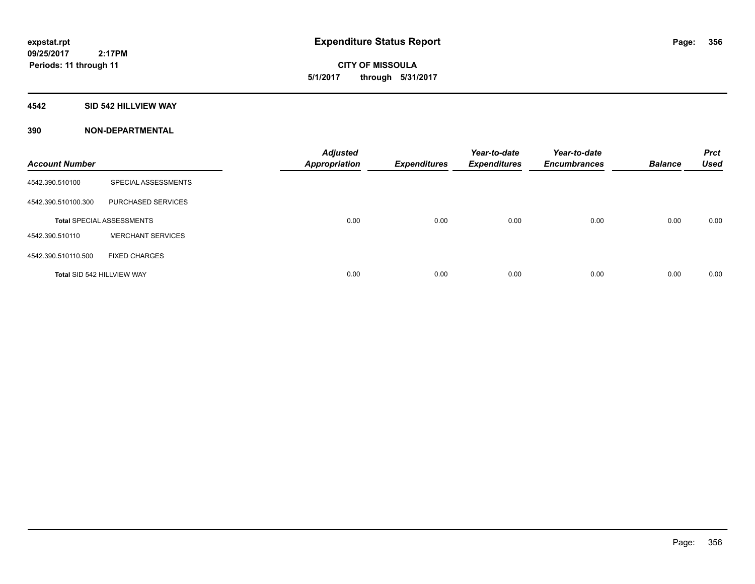**CITY OF MISSOULA 5/1/2017 through 5/31/2017**

#### **4542 SID 542 HILLVIEW WAY**

| <b>Account Number</b>      |                                  | <b>Adjusted</b><br><b>Appropriation</b> | <b>Expenditures</b> | Year-to-date<br><b>Expenditures</b> | Year-to-date<br><b>Encumbrances</b> | <b>Balance</b> | <b>Prct</b><br><b>Used</b> |
|----------------------------|----------------------------------|-----------------------------------------|---------------------|-------------------------------------|-------------------------------------|----------------|----------------------------|
| 4542.390.510100            | SPECIAL ASSESSMENTS              |                                         |                     |                                     |                                     |                |                            |
| 4542.390.510100.300        | PURCHASED SERVICES               |                                         |                     |                                     |                                     |                |                            |
|                            | <b>Total SPECIAL ASSESSMENTS</b> | 0.00                                    | 0.00                | 0.00                                | 0.00                                | 0.00           | 0.00                       |
| 4542.390.510110            | <b>MERCHANT SERVICES</b>         |                                         |                     |                                     |                                     |                |                            |
| 4542.390.510110.500        | <b>FIXED CHARGES</b>             |                                         |                     |                                     |                                     |                |                            |
| Total SID 542 HILLVIEW WAY |                                  | 0.00                                    | 0.00                | 0.00                                | 0.00                                | 0.00           | 0.00                       |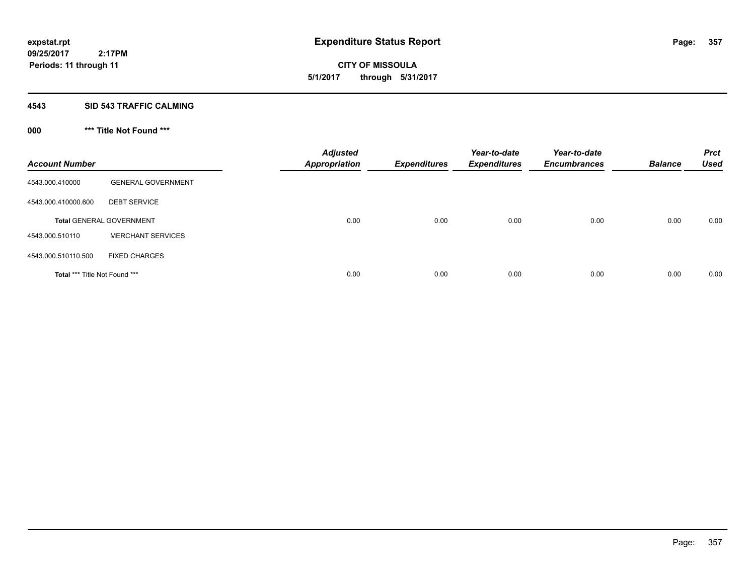**CITY OF MISSOULA 5/1/2017 through 5/31/2017**

#### **4543 SID 543 TRAFFIC CALMING**

# **000 \*\*\* Title Not Found \*\*\***

| <b>Account Number</b>         |                                 | <b>Adjusted</b><br><b>Appropriation</b> | <b>Expenditures</b> | Year-to-date<br><b>Expenditures</b> | Year-to-date<br><b>Encumbrances</b> | <b>Balance</b> | <b>Prct</b><br><b>Used</b> |
|-------------------------------|---------------------------------|-----------------------------------------|---------------------|-------------------------------------|-------------------------------------|----------------|----------------------------|
| 4543.000.410000               | <b>GENERAL GOVERNMENT</b>       |                                         |                     |                                     |                                     |                |                            |
| 4543.000.410000.600           | <b>DEBT SERVICE</b>             |                                         |                     |                                     |                                     |                |                            |
|                               | <b>Total GENERAL GOVERNMENT</b> | 0.00                                    | 0.00                | 0.00                                | 0.00                                | 0.00           | 0.00                       |
| 4543.000.510110               | <b>MERCHANT SERVICES</b>        |                                         |                     |                                     |                                     |                |                            |
| 4543.000.510110.500           | <b>FIXED CHARGES</b>            |                                         |                     |                                     |                                     |                |                            |
| Total *** Title Not Found *** |                                 | 0.00                                    | 0.00                | 0.00                                | 0.00                                | 0.00           | 0.00                       |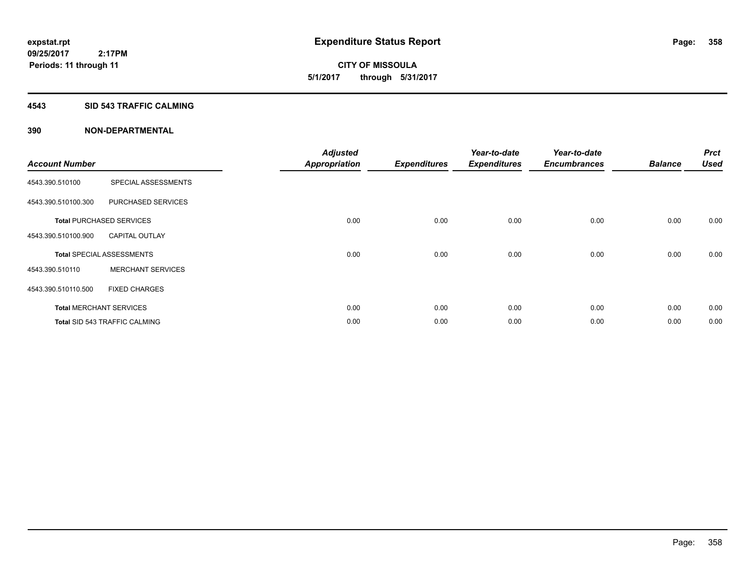**CITY OF MISSOULA 5/1/2017 through 5/31/2017**

#### **4543 SID 543 TRAFFIC CALMING**

| <b>Account Number</b> |                                      | <b>Adjusted</b><br><b>Appropriation</b> | <b>Expenditures</b> | Year-to-date<br><b>Expenditures</b> | Year-to-date<br><b>Encumbrances</b> | <b>Balance</b> | <b>Prct</b><br><b>Used</b> |
|-----------------------|--------------------------------------|-----------------------------------------|---------------------|-------------------------------------|-------------------------------------|----------------|----------------------------|
|                       |                                      |                                         |                     |                                     |                                     |                |                            |
| 4543.390.510100       | SPECIAL ASSESSMENTS                  |                                         |                     |                                     |                                     |                |                            |
| 4543.390.510100.300   | PURCHASED SERVICES                   |                                         |                     |                                     |                                     |                |                            |
|                       | <b>Total PURCHASED SERVICES</b>      | 0.00                                    | 0.00                | 0.00                                | 0.00                                | 0.00           | 0.00                       |
| 4543.390.510100.900   | <b>CAPITAL OUTLAY</b>                |                                         |                     |                                     |                                     |                |                            |
|                       | <b>Total SPECIAL ASSESSMENTS</b>     | 0.00                                    | 0.00                | 0.00                                | 0.00                                | 0.00           | 0.00                       |
| 4543.390.510110       | <b>MERCHANT SERVICES</b>             |                                         |                     |                                     |                                     |                |                            |
| 4543.390.510110.500   | <b>FIXED CHARGES</b>                 |                                         |                     |                                     |                                     |                |                            |
|                       | <b>Total MERCHANT SERVICES</b>       | 0.00                                    | 0.00                | 0.00                                | 0.00                                | 0.00           | 0.00                       |
|                       | <b>Total SID 543 TRAFFIC CALMING</b> | 0.00                                    | 0.00                | 0.00                                | 0.00                                | 0.00           | 0.00                       |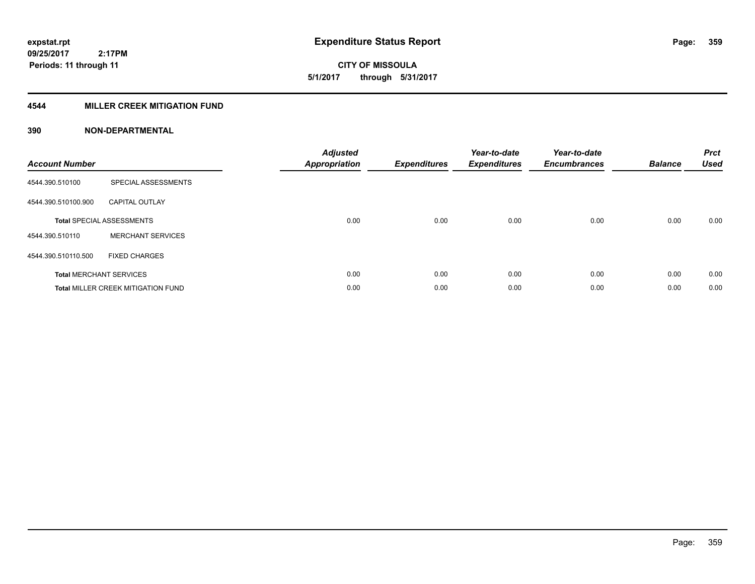**359**

**09/25/2017 2:17PM Periods: 11 through 11**

# **CITY OF MISSOULA 5/1/2017 through 5/31/2017**

### **4544 MILLER CREEK MITIGATION FUND**

| <b>Account Number</b> |                                           | <b>Adjusted</b><br>Appropriation | <b>Expenditures</b> | Year-to-date<br><b>Expenditures</b> | Year-to-date<br><b>Encumbrances</b> | <b>Balance</b> | <b>Prct</b><br><b>Used</b> |
|-----------------------|-------------------------------------------|----------------------------------|---------------------|-------------------------------------|-------------------------------------|----------------|----------------------------|
| 4544.390.510100       | SPECIAL ASSESSMENTS                       |                                  |                     |                                     |                                     |                |                            |
| 4544.390.510100.900   | <b>CAPITAL OUTLAY</b>                     |                                  |                     |                                     |                                     |                |                            |
|                       | <b>Total SPECIAL ASSESSMENTS</b>          | 0.00                             | 0.00                | 0.00                                | 0.00                                | 0.00           | 0.00                       |
| 4544.390.510110       | <b>MERCHANT SERVICES</b>                  |                                  |                     |                                     |                                     |                |                            |
| 4544.390.510110.500   | <b>FIXED CHARGES</b>                      |                                  |                     |                                     |                                     |                |                            |
|                       | <b>Total MERCHANT SERVICES</b>            | 0.00                             | 0.00                | 0.00                                | 0.00                                | 0.00           | 0.00                       |
|                       | <b>Total MILLER CREEK MITIGATION FUND</b> | 0.00                             | 0.00                | 0.00                                | 0.00                                | 0.00           | 0.00                       |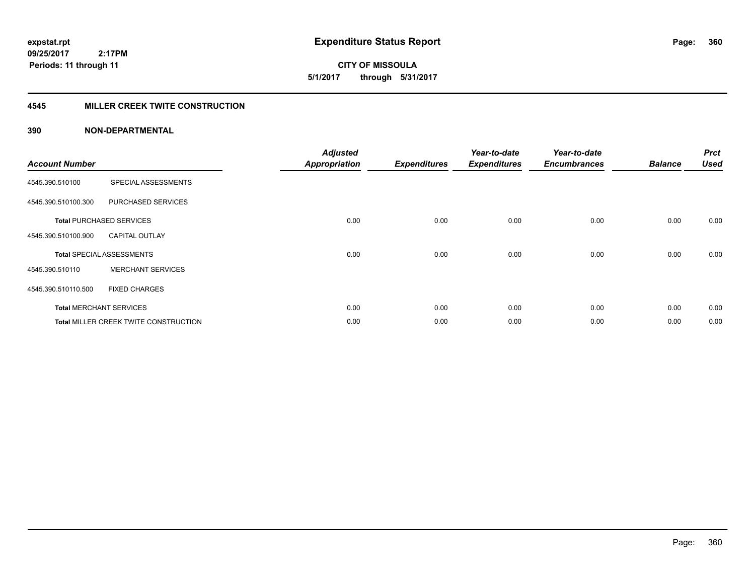**expstat.rpt Expenditure Status Report Page:**

**09/25/2017 2:17PM Periods: 11 through 11**

**CITY OF MISSOULA 5/1/2017 through 5/31/2017**

#### **4545 MILLER CREEK TWITE CONSTRUCTION**

| <b>Account Number</b> |                                       | <b>Adjusted</b><br><b>Appropriation</b> | <b>Expenditures</b> | Year-to-date<br><b>Expenditures</b> | Year-to-date<br><b>Encumbrances</b> | <b>Balance</b> | <b>Prct</b><br><b>Used</b> |
|-----------------------|---------------------------------------|-----------------------------------------|---------------------|-------------------------------------|-------------------------------------|----------------|----------------------------|
| 4545.390.510100       | SPECIAL ASSESSMENTS                   |                                         |                     |                                     |                                     |                |                            |
| 4545.390.510100.300   | PURCHASED SERVICES                    |                                         |                     |                                     |                                     |                |                            |
|                       | <b>Total PURCHASED SERVICES</b>       | 0.00                                    | 0.00                | 0.00                                | 0.00                                | 0.00           | 0.00                       |
| 4545.390.510100.900   | <b>CAPITAL OUTLAY</b>                 |                                         |                     |                                     |                                     |                |                            |
|                       | <b>Total SPECIAL ASSESSMENTS</b>      | 0.00                                    | 0.00                | 0.00                                | 0.00                                | 0.00           | 0.00                       |
| 4545.390.510110       | <b>MERCHANT SERVICES</b>              |                                         |                     |                                     |                                     |                |                            |
| 4545.390.510110.500   | <b>FIXED CHARGES</b>                  |                                         |                     |                                     |                                     |                |                            |
|                       | <b>Total MERCHANT SERVICES</b>        | 0.00                                    | 0.00                | 0.00                                | 0.00                                | 0.00           | 0.00                       |
|                       | Total MILLER CREEK TWITE CONSTRUCTION | 0.00                                    | 0.00                | 0.00                                | 0.00                                | 0.00           | 0.00                       |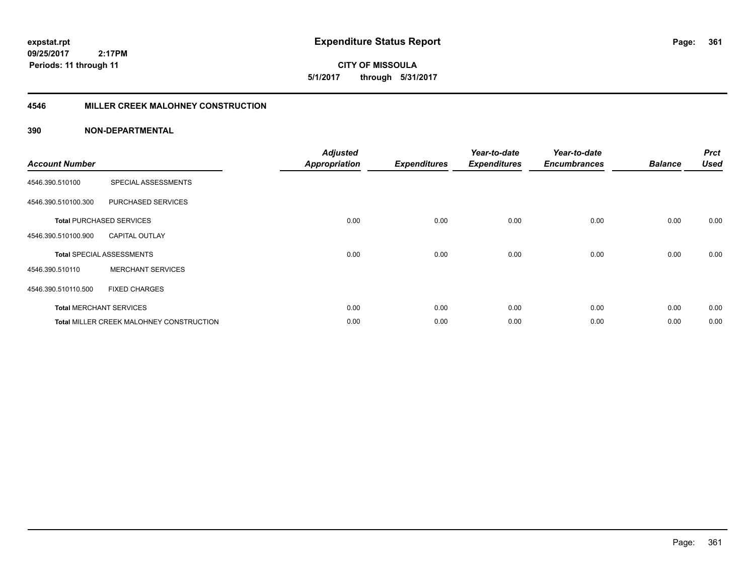**CITY OF MISSOULA 5/1/2017 through 5/31/2017**

### **4546 MILLER CREEK MALOHNEY CONSTRUCTION**

| <b>Account Number</b> |                                          | <b>Adjusted</b><br><b>Appropriation</b> | <b>Expenditures</b> | Year-to-date<br><b>Expenditures</b> | Year-to-date<br><b>Encumbrances</b> | <b>Balance</b> | <b>Prct</b><br><b>Used</b> |
|-----------------------|------------------------------------------|-----------------------------------------|---------------------|-------------------------------------|-------------------------------------|----------------|----------------------------|
| 4546.390.510100       | SPECIAL ASSESSMENTS                      |                                         |                     |                                     |                                     |                |                            |
| 4546.390.510100.300   | PURCHASED SERVICES                       |                                         |                     |                                     |                                     |                |                            |
|                       | <b>Total PURCHASED SERVICES</b>          | 0.00                                    | 0.00                | 0.00                                | 0.00                                | 0.00           | 0.00                       |
| 4546.390.510100.900   | <b>CAPITAL OUTLAY</b>                    |                                         |                     |                                     |                                     |                |                            |
|                       | <b>Total SPECIAL ASSESSMENTS</b>         | 0.00                                    | 0.00                | 0.00                                | 0.00                                | 0.00           | 0.00                       |
| 4546.390.510110       | <b>MERCHANT SERVICES</b>                 |                                         |                     |                                     |                                     |                |                            |
| 4546.390.510110.500   | <b>FIXED CHARGES</b>                     |                                         |                     |                                     |                                     |                |                            |
|                       | <b>Total MERCHANT SERVICES</b>           | 0.00                                    | 0.00                | 0.00                                | 0.00                                | 0.00           | 0.00                       |
|                       | Total MILLER CREEK MALOHNEY CONSTRUCTION | 0.00                                    | 0.00                | 0.00                                | 0.00                                | 0.00           | 0.00                       |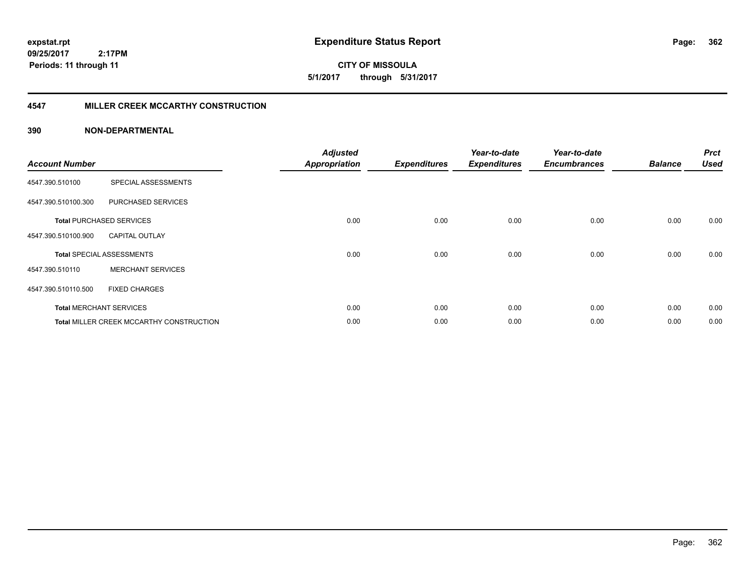**CITY OF MISSOULA 5/1/2017 through 5/31/2017**

### **4547 MILLER CREEK MCCARTHY CONSTRUCTION**

| <b>Account Number</b> |                                          | <b>Adjusted</b><br><b>Appropriation</b> | <b>Expenditures</b> | Year-to-date<br><b>Expenditures</b> | Year-to-date<br><b>Encumbrances</b> | <b>Balance</b> | <b>Prct</b><br><b>Used</b> |
|-----------------------|------------------------------------------|-----------------------------------------|---------------------|-------------------------------------|-------------------------------------|----------------|----------------------------|
| 4547.390.510100       | SPECIAL ASSESSMENTS                      |                                         |                     |                                     |                                     |                |                            |
| 4547.390.510100.300   | PURCHASED SERVICES                       |                                         |                     |                                     |                                     |                |                            |
|                       | <b>Total PURCHASED SERVICES</b>          | 0.00                                    | 0.00                | 0.00                                | 0.00                                | 0.00           | 0.00                       |
| 4547.390.510100.900   | <b>CAPITAL OUTLAY</b>                    |                                         |                     |                                     |                                     |                |                            |
|                       | <b>Total SPECIAL ASSESSMENTS</b>         | 0.00                                    | 0.00                | 0.00                                | 0.00                                | 0.00           | 0.00                       |
| 4547.390.510110       | <b>MERCHANT SERVICES</b>                 |                                         |                     |                                     |                                     |                |                            |
| 4547.390.510110.500   | <b>FIXED CHARGES</b>                     |                                         |                     |                                     |                                     |                |                            |
|                       | <b>Total MERCHANT SERVICES</b>           | 0.00                                    | 0.00                | 0.00                                | 0.00                                | 0.00           | 0.00                       |
|                       | Total MILLER CREEK MCCARTHY CONSTRUCTION | 0.00                                    | 0.00                | 0.00                                | 0.00                                | 0.00           | 0.00                       |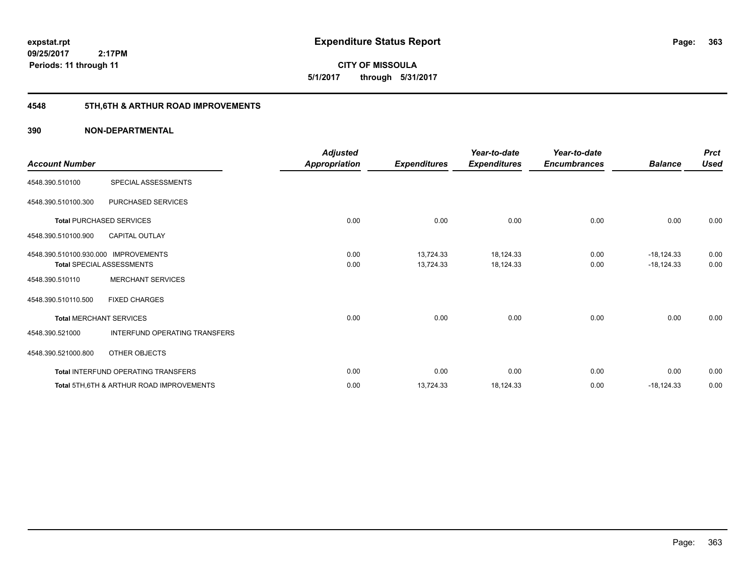**363**

**CITY OF MISSOULA 5/1/2017 through 5/31/2017**

## **4548 5TH,6TH & ARTHUR ROAD IMPROVEMENTS**

| <b>Account Number</b>                |                                                     | <b>Adjusted</b><br>Appropriation | <b>Expenditures</b> | Year-to-date<br><b>Expenditures</b> | Year-to-date<br><b>Encumbrances</b> | <b>Balance</b> | <b>Prct</b><br><b>Used</b> |
|--------------------------------------|-----------------------------------------------------|----------------------------------|---------------------|-------------------------------------|-------------------------------------|----------------|----------------------------|
| 4548.390.510100                      | SPECIAL ASSESSMENTS                                 |                                  |                     |                                     |                                     |                |                            |
| 4548.390.510100.300                  | PURCHASED SERVICES                                  |                                  |                     |                                     |                                     |                |                            |
|                                      | <b>Total PURCHASED SERVICES</b>                     | 0.00                             | 0.00                | 0.00                                | 0.00                                | 0.00           | 0.00                       |
| 4548.390.510100.900                  | <b>CAPITAL OUTLAY</b>                               |                                  |                     |                                     |                                     |                |                            |
| 4548.390.510100.930.000 IMPROVEMENTS |                                                     | 0.00                             | 13,724.33           | 18,124.33                           | 0.00                                | $-18,124.33$   | 0.00                       |
|                                      | <b>Total SPECIAL ASSESSMENTS</b>                    | 0.00                             | 13,724.33           | 18,124.33                           | 0.00                                | $-18,124.33$   | 0.00                       |
| 4548.390.510110                      | <b>MERCHANT SERVICES</b>                            |                                  |                     |                                     |                                     |                |                            |
| 4548.390.510110.500                  | <b>FIXED CHARGES</b>                                |                                  |                     |                                     |                                     |                |                            |
|                                      | <b>Total MERCHANT SERVICES</b>                      | 0.00                             | 0.00                | 0.00                                | 0.00                                | 0.00           | 0.00                       |
| 4548.390.521000                      | INTERFUND OPERATING TRANSFERS                       |                                  |                     |                                     |                                     |                |                            |
| 4548.390.521000.800                  | OTHER OBJECTS                                       |                                  |                     |                                     |                                     |                |                            |
|                                      | Total INTERFUND OPERATING TRANSFERS                 | 0.00                             | 0.00                | 0.00                                | 0.00                                | 0.00           | 0.00                       |
|                                      | <b>Total 5TH.6TH &amp; ARTHUR ROAD IMPROVEMENTS</b> | 0.00                             | 13,724.33           | 18,124.33                           | 0.00                                | $-18,124.33$   | 0.00                       |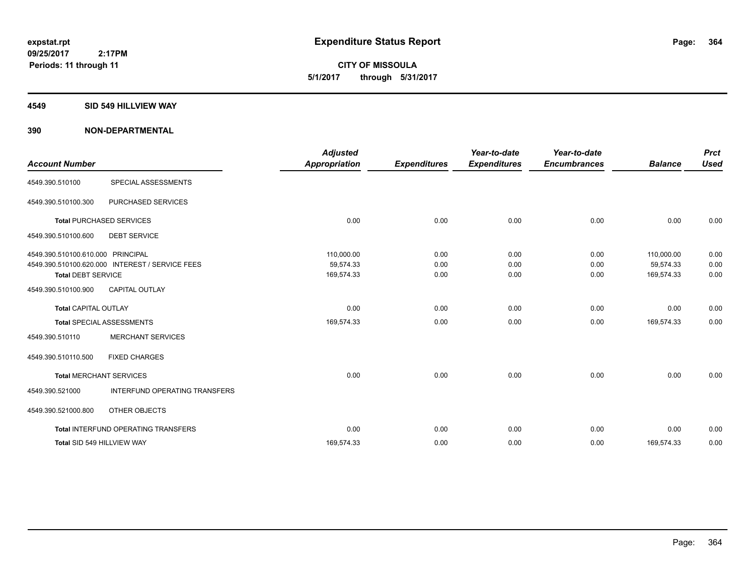**CITY OF MISSOULA 5/1/2017 through 5/31/2017**

#### **4549 SID 549 HILLVIEW WAY**

| <b>Account Number</b>                                          |                                                 | <b>Adjusted</b><br><b>Appropriation</b> | <b>Expenditures</b>  | Year-to-date<br><b>Expenditures</b> | Year-to-date<br><b>Encumbrances</b> | <b>Balance</b>                        | <b>Prct</b><br><b>Used</b> |
|----------------------------------------------------------------|-------------------------------------------------|-----------------------------------------|----------------------|-------------------------------------|-------------------------------------|---------------------------------------|----------------------------|
| 4549.390.510100                                                | SPECIAL ASSESSMENTS                             |                                         |                      |                                     |                                     |                                       |                            |
| 4549.390.510100.300                                            | PURCHASED SERVICES                              |                                         |                      |                                     |                                     |                                       |                            |
|                                                                | <b>Total PURCHASED SERVICES</b>                 | 0.00                                    | 0.00                 | 0.00                                | 0.00                                | 0.00                                  | 0.00                       |
| 4549.390.510100.600                                            | <b>DEBT SERVICE</b>                             |                                         |                      |                                     |                                     |                                       |                            |
| 4549.390.510100.610.000 PRINCIPAL<br><b>Total DEBT SERVICE</b> | 4549.390.510100.620.000 INTEREST / SERVICE FEES | 110.000.00<br>59,574.33<br>169,574.33   | 0.00<br>0.00<br>0.00 | 0.00<br>0.00<br>0.00                | 0.00<br>0.00<br>0.00                | 110.000.00<br>59,574.33<br>169,574.33 | 0.00<br>0.00<br>0.00       |
| 4549.390.510100.900                                            | <b>CAPITAL OUTLAY</b>                           |                                         |                      |                                     |                                     |                                       |                            |
| <b>Total CAPITAL OUTLAY</b>                                    |                                                 | 0.00                                    | 0.00                 | 0.00                                | 0.00                                | 0.00                                  | 0.00                       |
|                                                                | <b>Total SPECIAL ASSESSMENTS</b>                | 169,574.33                              | 0.00                 | 0.00                                | 0.00                                | 169,574.33                            | 0.00                       |
| 4549.390.510110                                                | <b>MERCHANT SERVICES</b>                        |                                         |                      |                                     |                                     |                                       |                            |
| 4549.390.510110.500                                            | <b>FIXED CHARGES</b>                            |                                         |                      |                                     |                                     |                                       |                            |
|                                                                | <b>Total MERCHANT SERVICES</b>                  | 0.00                                    | 0.00                 | 0.00                                | 0.00                                | 0.00                                  | 0.00                       |
| 4549.390.521000                                                | INTERFUND OPERATING TRANSFERS                   |                                         |                      |                                     |                                     |                                       |                            |
| 4549.390.521000.800                                            | OTHER OBJECTS                                   |                                         |                      |                                     |                                     |                                       |                            |
|                                                                | Total INTERFUND OPERATING TRANSFERS             | 0.00                                    | 0.00                 | 0.00                                | 0.00                                | 0.00                                  | 0.00                       |
|                                                                | Total SID 549 HILLVIEW WAY                      | 169,574.33                              | 0.00                 | 0.00                                | 0.00                                | 169,574.33                            | 0.00                       |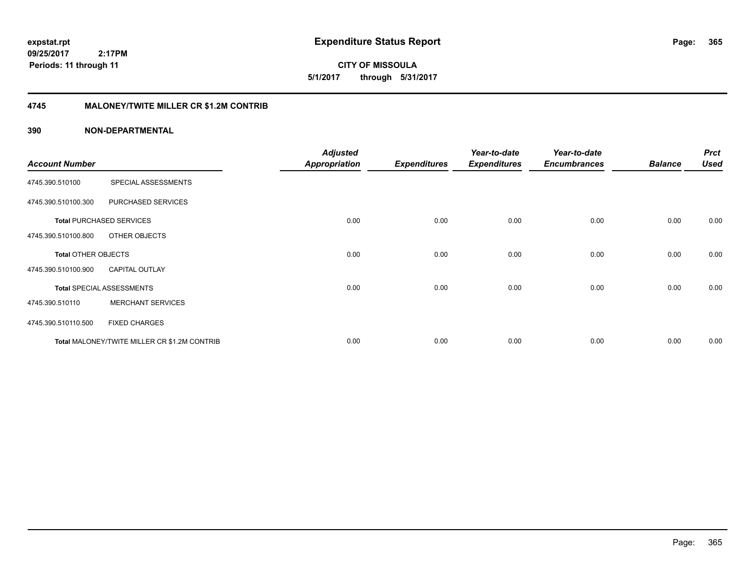**CITY OF MISSOULA 5/1/2017 through 5/31/2017**

### **4745 MALONEY/TWITE MILLER CR \$1.2M CONTRIB**

| <b>Account Number</b>      |                                              | <b>Adjusted</b><br><b>Appropriation</b> | <b>Expenditures</b> | Year-to-date<br><b>Expenditures</b> | Year-to-date<br><b>Encumbrances</b> | <b>Balance</b> | <b>Prct</b><br><b>Used</b> |
|----------------------------|----------------------------------------------|-----------------------------------------|---------------------|-------------------------------------|-------------------------------------|----------------|----------------------------|
|                            |                                              |                                         |                     |                                     |                                     |                |                            |
| 4745.390.510100            | SPECIAL ASSESSMENTS                          |                                         |                     |                                     |                                     |                |                            |
| 4745.390.510100.300        | PURCHASED SERVICES                           |                                         |                     |                                     |                                     |                |                            |
|                            | <b>Total PURCHASED SERVICES</b>              | 0.00                                    | 0.00                | 0.00                                | 0.00                                | 0.00           | 0.00                       |
| 4745.390.510100.800        | OTHER OBJECTS                                |                                         |                     |                                     |                                     |                |                            |
| <b>Total OTHER OBJECTS</b> |                                              | 0.00                                    | 0.00                | 0.00                                | 0.00                                | 0.00           | 0.00                       |
| 4745.390.510100.900        | <b>CAPITAL OUTLAY</b>                        |                                         |                     |                                     |                                     |                |                            |
|                            | <b>Total SPECIAL ASSESSMENTS</b>             | 0.00                                    | 0.00                | 0.00                                | 0.00                                | 0.00           | 0.00                       |
| 4745.390.510110            | <b>MERCHANT SERVICES</b>                     |                                         |                     |                                     |                                     |                |                            |
| 4745.390.510110.500        | <b>FIXED CHARGES</b>                         |                                         |                     |                                     |                                     |                |                            |
|                            | Total MALONEY/TWITE MILLER CR \$1.2M CONTRIB | 0.00                                    | 0.00                | 0.00                                | 0.00                                | 0.00           | 0.00                       |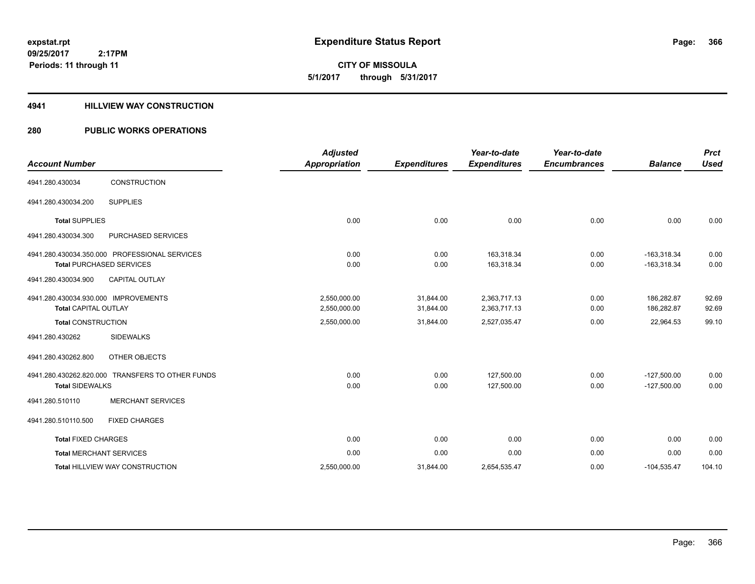# **CITY OF MISSOULA 5/1/2017 through 5/31/2017**

### **4941 HILLVIEW WAY CONSTRUCTION**

### **280 PUBLIC WORKS OPERATIONS**

|                                      |                                                  | <b>Adjusted</b>      |                     | Year-to-date        | Year-to-date        |                | <b>Prct</b> |
|--------------------------------------|--------------------------------------------------|----------------------|---------------------|---------------------|---------------------|----------------|-------------|
| <b>Account Number</b>                |                                                  | <b>Appropriation</b> | <b>Expenditures</b> | <b>Expenditures</b> | <b>Encumbrances</b> | <b>Balance</b> | <b>Used</b> |
| 4941.280.430034                      | CONSTRUCTION                                     |                      |                     |                     |                     |                |             |
| 4941.280.430034.200                  | <b>SUPPLIES</b>                                  |                      |                     |                     |                     |                |             |
| <b>Total SUPPLIES</b>                |                                                  | 0.00                 | 0.00                | 0.00                | 0.00                | 0.00           | 0.00        |
| 4941.280.430034.300                  | PURCHASED SERVICES                               |                      |                     |                     |                     |                |             |
|                                      | 4941.280.430034.350.000 PROFESSIONAL SERVICES    | 0.00                 | 0.00                | 163,318.34          | 0.00                | $-163,318.34$  | 0.00        |
|                                      | <b>Total PURCHASED SERVICES</b>                  | 0.00                 | 0.00                | 163,318.34          | 0.00                | $-163,318.34$  | 0.00        |
| 4941.280.430034.900                  | <b>CAPITAL OUTLAY</b>                            |                      |                     |                     |                     |                |             |
| 4941.280.430034.930.000 IMPROVEMENTS |                                                  | 2,550,000.00         | 31,844.00           | 2,363,717.13        | 0.00                | 186,282.87     | 92.69       |
| <b>Total CAPITAL OUTLAY</b>          |                                                  | 2,550,000.00         | 31,844.00           | 2,363,717.13        | 0.00                | 186,282.87     | 92.69       |
| <b>Total CONSTRUCTION</b>            |                                                  | 2,550,000.00         | 31,844.00           | 2,527,035.47        | 0.00                | 22,964.53      | 99.10       |
| 4941.280.430262                      | <b>SIDEWALKS</b>                                 |                      |                     |                     |                     |                |             |
| 4941.280.430262.800                  | <b>OTHER OBJECTS</b>                             |                      |                     |                     |                     |                |             |
|                                      | 4941.280.430262.820.000 TRANSFERS TO OTHER FUNDS | 0.00                 | 0.00                | 127,500.00          | 0.00                | $-127,500.00$  | 0.00        |
| <b>Total SIDEWALKS</b>               |                                                  | 0.00                 | 0.00                | 127,500.00          | 0.00                | $-127,500.00$  | 0.00        |
| 4941.280.510110                      | <b>MERCHANT SERVICES</b>                         |                      |                     |                     |                     |                |             |
| 4941.280.510110.500                  | <b>FIXED CHARGES</b>                             |                      |                     |                     |                     |                |             |
| <b>Total FIXED CHARGES</b>           |                                                  | 0.00                 | 0.00                | 0.00                | 0.00                | 0.00           | 0.00        |
| <b>Total MERCHANT SERVICES</b>       |                                                  | 0.00                 | 0.00                | 0.00                | 0.00                | 0.00           | 0.00        |
|                                      | <b>Total HILLVIEW WAY CONSTRUCTION</b>           | 2,550,000.00         | 31,844.00           | 2,654,535.47        | 0.00                | $-104,535.47$  | 104.10      |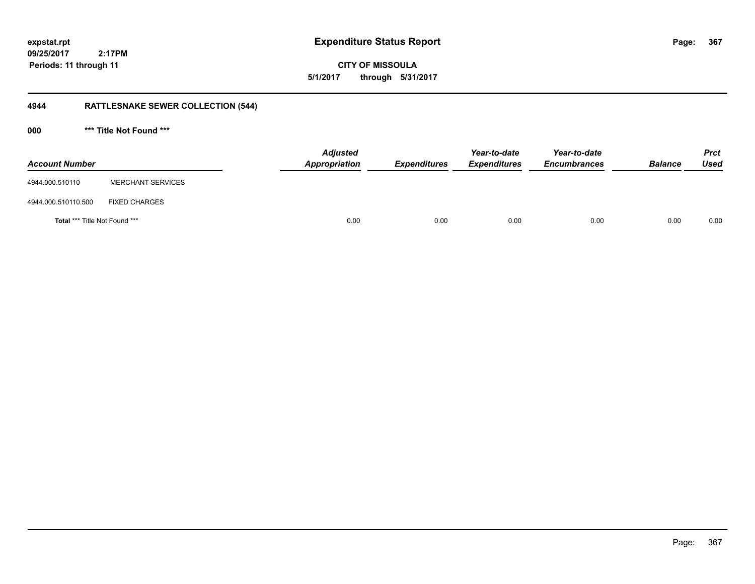**367**

**09/25/2017 2:17PM Periods: 11 through 11**

**CITY OF MISSOULA 5/1/2017 through 5/31/2017**

## **4944 RATTLESNAKE SEWER COLLECTION (544)**

**000 \*\*\* Title Not Found \*\*\***

| <b>Account Number</b>                |                          | <b>Adjusted</b><br>Appropriation | <b>Expenditures</b> | Year-to-date<br><b>Expenditures</b> | Year-to-date<br><b>Encumbrances</b> | <b>Balance</b> | <b>Prct</b><br><b>Used</b> |
|--------------------------------------|--------------------------|----------------------------------|---------------------|-------------------------------------|-------------------------------------|----------------|----------------------------|
| 4944.000.510110                      | <b>MERCHANT SERVICES</b> |                                  |                     |                                     |                                     |                |                            |
| 4944.000.510110.500                  | <b>FIXED CHARGES</b>     |                                  |                     |                                     |                                     |                |                            |
| <b>Total *** Title Not Found ***</b> |                          | 0.00                             | 0.00                | 0.00                                | 0.00                                | 0.00           | 0.00                       |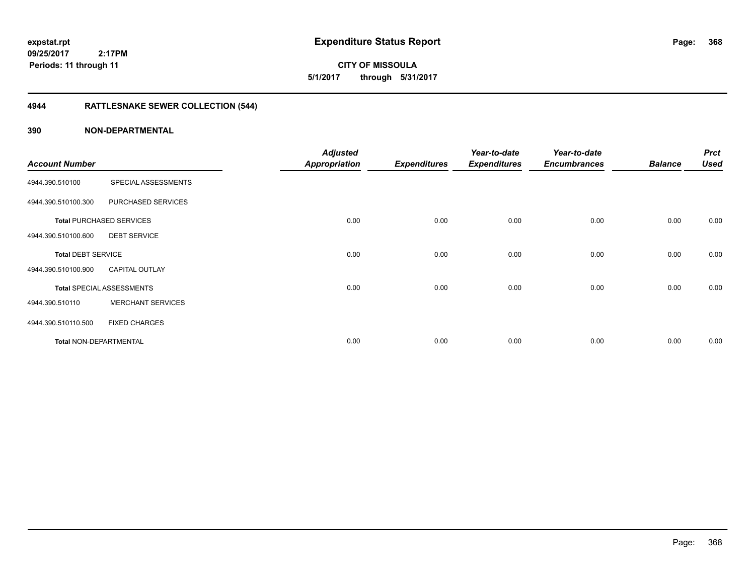**expstat.rpt Expenditure Status Report Page:**

**09/25/2017 2:17PM Periods: 11 through 11**

**CITY OF MISSOULA 5/1/2017 through 5/31/2017**

## **4944 RATTLESNAKE SEWER COLLECTION (544)**

|                           |                                  | <b>Adjusted</b>      |                     | Year-to-date        | Year-to-date        |                | <b>Prct</b> |
|---------------------------|----------------------------------|----------------------|---------------------|---------------------|---------------------|----------------|-------------|
| <b>Account Number</b>     |                                  | <b>Appropriation</b> | <b>Expenditures</b> | <b>Expenditures</b> | <b>Encumbrances</b> | <b>Balance</b> | <b>Used</b> |
| 4944.390.510100           | SPECIAL ASSESSMENTS              |                      |                     |                     |                     |                |             |
| 4944.390.510100.300       | PURCHASED SERVICES               |                      |                     |                     |                     |                |             |
|                           | <b>Total PURCHASED SERVICES</b>  | 0.00                 | 0.00                | 0.00                | 0.00                | 0.00           | 0.00        |
| 4944.390.510100.600       | <b>DEBT SERVICE</b>              |                      |                     |                     |                     |                |             |
| <b>Total DEBT SERVICE</b> |                                  | 0.00                 | 0.00                | 0.00                | 0.00                | 0.00           | 0.00        |
| 4944.390.510100.900       | <b>CAPITAL OUTLAY</b>            |                      |                     |                     |                     |                |             |
|                           | <b>Total SPECIAL ASSESSMENTS</b> | 0.00                 | 0.00                | 0.00                | 0.00                | 0.00           | 0.00        |
| 4944.390.510110           | <b>MERCHANT SERVICES</b>         |                      |                     |                     |                     |                |             |
| 4944.390.510110.500       | <b>FIXED CHARGES</b>             |                      |                     |                     |                     |                |             |
| Total NON-DEPARTMENTAL    |                                  | 0.00                 | 0.00                | 0.00                | 0.00                | 0.00           | 0.00        |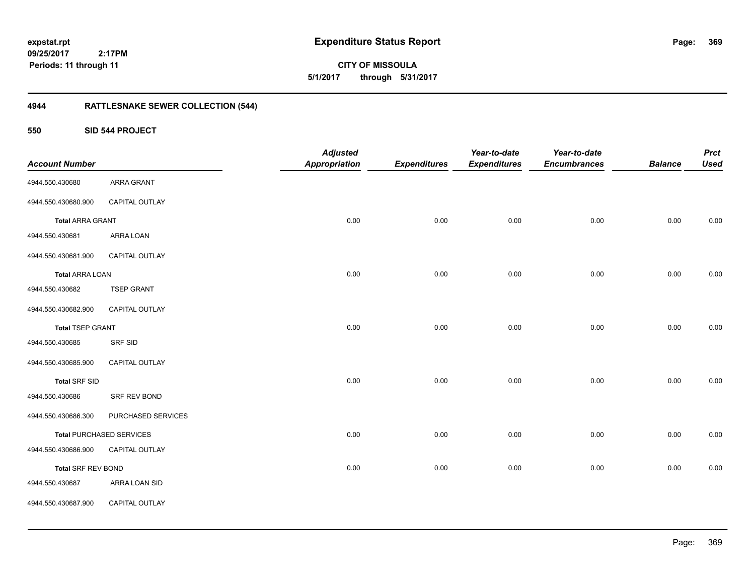**CITY OF MISSOULA 5/1/2017 through 5/31/2017**

## **4944 RATTLESNAKE SEWER COLLECTION (544)**

### **550 SID 544 PROJECT**

|                           |                                 | <b>Adjusted</b>      |                     | Year-to-date        | Year-to-date        |                | <b>Prct</b> |
|---------------------------|---------------------------------|----------------------|---------------------|---------------------|---------------------|----------------|-------------|
| <b>Account Number</b>     |                                 | <b>Appropriation</b> | <b>Expenditures</b> | <b>Expenditures</b> | <b>Encumbrances</b> | <b>Balance</b> | <b>Used</b> |
| 4944.550.430680           | ARRA GRANT                      |                      |                     |                     |                     |                |             |
| 4944.550.430680.900       | <b>CAPITAL OUTLAY</b>           |                      |                     |                     |                     |                |             |
| <b>Total ARRA GRANT</b>   |                                 | 0.00                 | 0.00                | 0.00                | 0.00                | 0.00           | 0.00        |
| 4944.550.430681           | ARRA LOAN                       |                      |                     |                     |                     |                |             |
| 4944.550.430681.900       | CAPITAL OUTLAY                  |                      |                     |                     |                     |                |             |
| <b>Total ARRA LOAN</b>    |                                 | 0.00                 | 0.00                | 0.00                | 0.00                | 0.00           | 0.00        |
| 4944.550.430682           | <b>TSEP GRANT</b>               |                      |                     |                     |                     |                |             |
| 4944.550.430682.900       | CAPITAL OUTLAY                  |                      |                     |                     |                     |                |             |
| <b>Total TSEP GRANT</b>   |                                 | 0.00                 | 0.00                | 0.00                | 0.00                | 0.00           | 0.00        |
| 4944.550.430685           | SRF SID                         |                      |                     |                     |                     |                |             |
| 4944.550.430685.900       | CAPITAL OUTLAY                  |                      |                     |                     |                     |                |             |
| <b>Total SRF SID</b>      |                                 | 0.00                 | 0.00                | 0.00                | 0.00                | 0.00           | 0.00        |
| 4944.550.430686           | SRF REV BOND                    |                      |                     |                     |                     |                |             |
| 4944.550.430686.300       | PURCHASED SERVICES              |                      |                     |                     |                     |                |             |
|                           | <b>Total PURCHASED SERVICES</b> | 0.00                 | 0.00                | 0.00                | 0.00                | 0.00           | 0.00        |
| 4944.550.430686.900       | CAPITAL OUTLAY                  |                      |                     |                     |                     |                |             |
| <b>Total SRF REV BOND</b> |                                 | 0.00                 | 0.00                | 0.00                | 0.00                | 0.00           | 0.00        |
| 4944.550.430687           | ARRA LOAN SID                   |                      |                     |                     |                     |                |             |
| 4944.550.430687.900       | CAPITAL OUTLAY                  |                      |                     |                     |                     |                |             |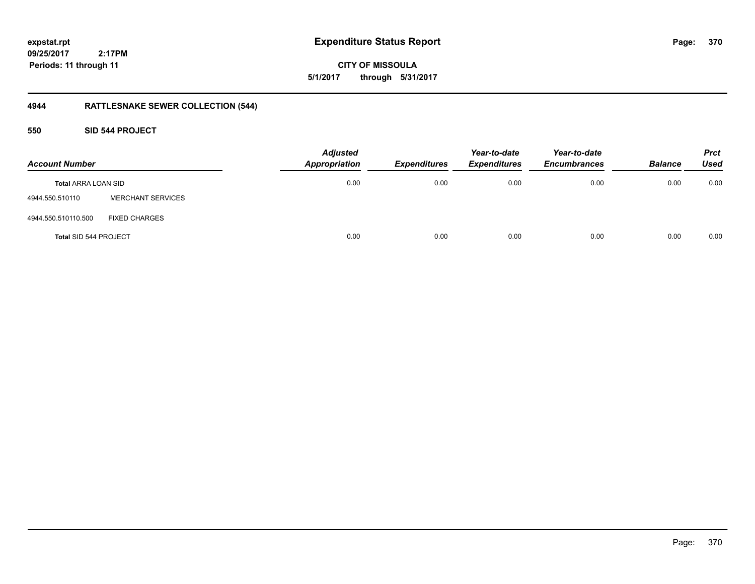**CITY OF MISSOULA 5/1/2017 through 5/31/2017**

## **4944 RATTLESNAKE SEWER COLLECTION (544)**

### **550 SID 544 PROJECT**

| <b>Account Number</b>      |                          | <b>Adjusted</b><br><b>Appropriation</b> | <b>Expenditures</b> | Year-to-date<br><b>Expenditures</b> | Year-to-date<br><b>Encumbrances</b> | <b>Balance</b> | <b>Prct</b><br><b>Used</b> |
|----------------------------|--------------------------|-----------------------------------------|---------------------|-------------------------------------|-------------------------------------|----------------|----------------------------|
| <b>Total ARRA LOAN SID</b> |                          | 0.00                                    | 0.00                | 0.00                                | 0.00                                | 0.00           | 0.00                       |
| 4944.550.510110            | <b>MERCHANT SERVICES</b> |                                         |                     |                                     |                                     |                |                            |
| 4944.550.510110.500        | <b>FIXED CHARGES</b>     |                                         |                     |                                     |                                     |                |                            |
| Total SID 544 PROJECT      |                          | 0.00                                    | 0.00                | 0.00                                | 0.00                                | 0.00           | 0.00                       |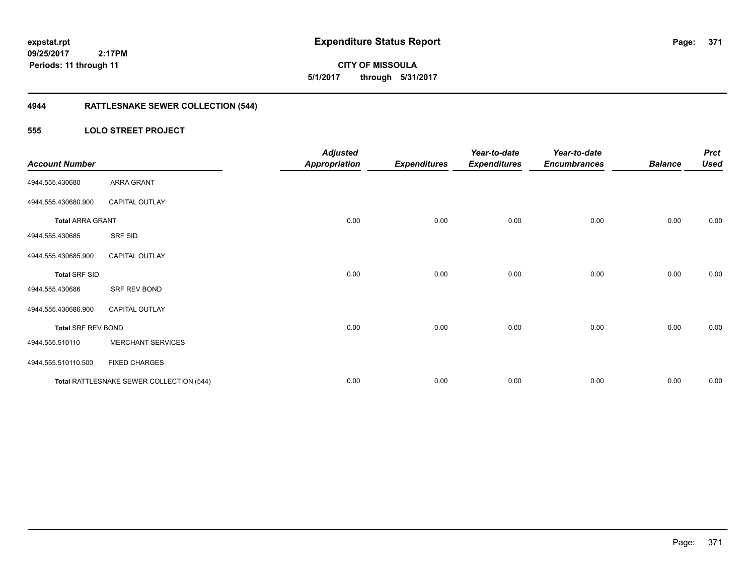**CITY OF MISSOULA 5/1/2017 through 5/31/2017**

## **4944 RATTLESNAKE SEWER COLLECTION (544)**

### **555 LOLO STREET PROJECT**

| <b>Account Number</b>     |                                          | <b>Adjusted</b><br><b>Appropriation</b> | <b>Expenditures</b> | Year-to-date<br><b>Expenditures</b> | Year-to-date<br><b>Encumbrances</b> | <b>Balance</b> | <b>Prct</b><br><b>Used</b> |
|---------------------------|------------------------------------------|-----------------------------------------|---------------------|-------------------------------------|-------------------------------------|----------------|----------------------------|
| 4944.555.430680           | ARRA GRANT                               |                                         |                     |                                     |                                     |                |                            |
| 4944.555.430680.900       | <b>CAPITAL OUTLAY</b>                    |                                         |                     |                                     |                                     |                |                            |
| <b>Total ARRA GRANT</b>   |                                          | 0.00                                    | 0.00                | 0.00                                | 0.00                                | 0.00           | 0.00                       |
| 4944.555.430685           | SRF SID                                  |                                         |                     |                                     |                                     |                |                            |
| 4944.555.430685.900       | <b>CAPITAL OUTLAY</b>                    |                                         |                     |                                     |                                     |                |                            |
| <b>Total SRF SID</b>      |                                          | 0.00                                    | 0.00                | 0.00                                | 0.00                                | 0.00           | 0.00                       |
| 4944.555.430686           | SRF REV BOND                             |                                         |                     |                                     |                                     |                |                            |
| 4944.555.430686.900       | <b>CAPITAL OUTLAY</b>                    |                                         |                     |                                     |                                     |                |                            |
| <b>Total SRF REV BOND</b> |                                          | 0.00                                    | 0.00                | 0.00                                | 0.00                                | 0.00           | 0.00                       |
| 4944.555.510110           | <b>MERCHANT SERVICES</b>                 |                                         |                     |                                     |                                     |                |                            |
| 4944.555.510110.500       | <b>FIXED CHARGES</b>                     |                                         |                     |                                     |                                     |                |                            |
|                           | Total RATTLESNAKE SEWER COLLECTION (544) | 0.00                                    | 0.00                | 0.00                                | 0.00                                | 0.00           | 0.00                       |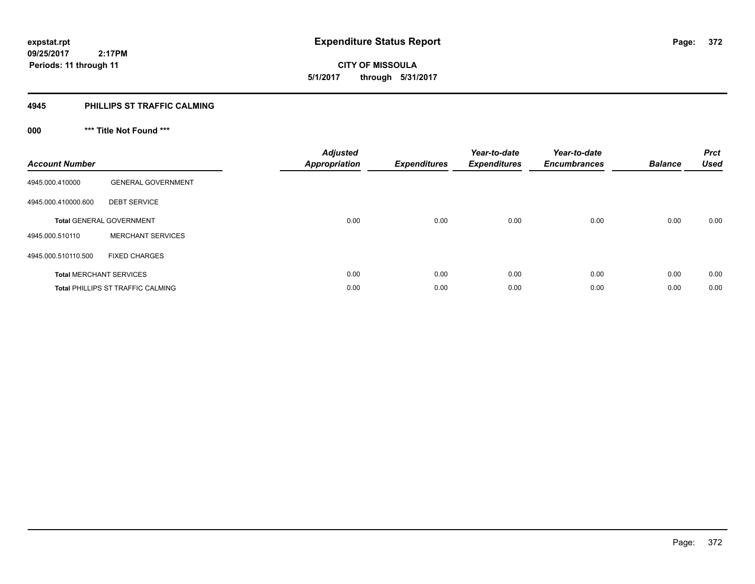**372**

**09/25/2017 2:17PM Periods: 11 through 11**

**CITY OF MISSOULA 5/1/2017 through 5/31/2017**

### **4945 PHILLIPS ST TRAFFIC CALMING**

**000 \*\*\* Title Not Found \*\*\***

| <b>Account Number</b>          |                                          | <b>Adjusted</b><br><b>Appropriation</b> | <b>Expenditures</b> | Year-to-date<br><b>Expenditures</b> | Year-to-date<br><b>Encumbrances</b> | <b>Balance</b> | <b>Prct</b><br><b>Used</b> |
|--------------------------------|------------------------------------------|-----------------------------------------|---------------------|-------------------------------------|-------------------------------------|----------------|----------------------------|
| 4945.000.410000                | <b>GENERAL GOVERNMENT</b>                |                                         |                     |                                     |                                     |                |                            |
| 4945.000.410000.600            | <b>DEBT SERVICE</b>                      |                                         |                     |                                     |                                     |                |                            |
|                                | <b>Total GENERAL GOVERNMENT</b>          | 0.00                                    | 0.00                | 0.00                                | 0.00                                | 0.00           | 0.00                       |
| 4945.000.510110                | <b>MERCHANT SERVICES</b>                 |                                         |                     |                                     |                                     |                |                            |
| 4945.000.510110.500            | <b>FIXED CHARGES</b>                     |                                         |                     |                                     |                                     |                |                            |
| <b>Total MERCHANT SERVICES</b> |                                          | 0.00                                    | 0.00                | 0.00                                | 0.00                                | 0.00           | 0.00                       |
|                                | <b>Total PHILLIPS ST TRAFFIC CALMING</b> | 0.00                                    | 0.00                | 0.00                                | 0.00                                | 0.00           | 0.00                       |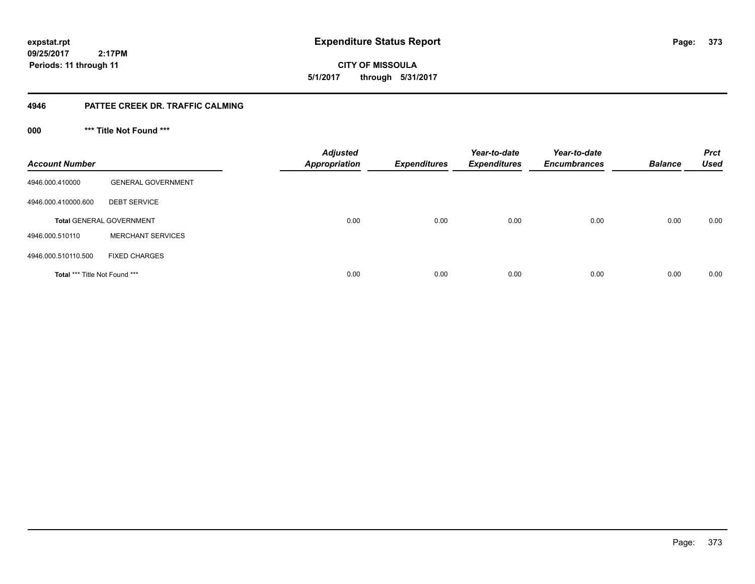**CITY OF MISSOULA 5/1/2017 through 5/31/2017**

### **4946 PATTEE CREEK DR. TRAFFIC CALMING**

**000 \*\*\* Title Not Found \*\*\***

| <b>Account Number</b>         |                                 | <b>Adjusted</b><br><b>Appropriation</b> | <b>Expenditures</b> | Year-to-date<br><b>Expenditures</b> | Year-to-date<br><b>Encumbrances</b> | <b>Balance</b> | <b>Prct</b><br><b>Used</b> |
|-------------------------------|---------------------------------|-----------------------------------------|---------------------|-------------------------------------|-------------------------------------|----------------|----------------------------|
| 4946.000.410000               | <b>GENERAL GOVERNMENT</b>       |                                         |                     |                                     |                                     |                |                            |
| 4946.000.410000.600           | <b>DEBT SERVICE</b>             |                                         |                     |                                     |                                     |                |                            |
|                               | <b>Total GENERAL GOVERNMENT</b> | 0.00                                    | 0.00                | 0.00                                | 0.00                                | 0.00           | 0.00                       |
| 4946.000.510110               | <b>MERCHANT SERVICES</b>        |                                         |                     |                                     |                                     |                |                            |
| 4946.000.510110.500           | <b>FIXED CHARGES</b>            |                                         |                     |                                     |                                     |                |                            |
| Total *** Title Not Found *** |                                 | 0.00                                    | 0.00                | 0.00                                | 0.00                                | 0.00           | 0.00                       |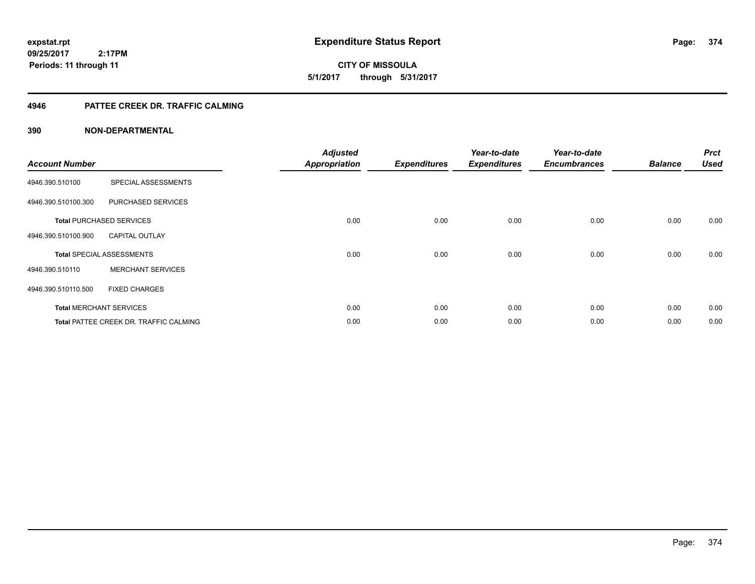**expstat.rpt Expenditure Status Report** 

**09/25/2017 2:17PM Periods: 11 through 11**

**CITY OF MISSOULA 5/1/2017 through 5/31/2017**

### **4946 PATTEE CREEK DR. TRAFFIC CALMING**

| <b>Account Number</b> |                                               | <b>Adjusted</b><br><b>Appropriation</b> | <b>Expenditures</b> | Year-to-date<br><b>Expenditures</b> | Year-to-date<br><b>Encumbrances</b> | <b>Balance</b> | <b>Prct</b><br><b>Used</b> |
|-----------------------|-----------------------------------------------|-----------------------------------------|---------------------|-------------------------------------|-------------------------------------|----------------|----------------------------|
| 4946.390.510100       | SPECIAL ASSESSMENTS                           |                                         |                     |                                     |                                     |                |                            |
| 4946.390.510100.300   | PURCHASED SERVICES                            |                                         |                     |                                     |                                     |                |                            |
|                       | <b>Total PURCHASED SERVICES</b>               | 0.00                                    | 0.00                | 0.00                                | 0.00                                | 0.00           | 0.00                       |
| 4946.390.510100.900   | <b>CAPITAL OUTLAY</b>                         |                                         |                     |                                     |                                     |                |                            |
|                       | <b>Total SPECIAL ASSESSMENTS</b>              | 0.00                                    | 0.00                | 0.00                                | 0.00                                | 0.00           | 0.00                       |
| 4946.390.510110       | <b>MERCHANT SERVICES</b>                      |                                         |                     |                                     |                                     |                |                            |
| 4946.390.510110.500   | <b>FIXED CHARGES</b>                          |                                         |                     |                                     |                                     |                |                            |
|                       | <b>Total MERCHANT SERVICES</b>                | 0.00                                    | 0.00                | 0.00                                | 0.00                                | 0.00           | 0.00                       |
|                       | <b>Total PATTEE CREEK DR. TRAFFIC CALMING</b> | 0.00                                    | 0.00                | 0.00                                | 0.00                                | 0.00           | 0.00                       |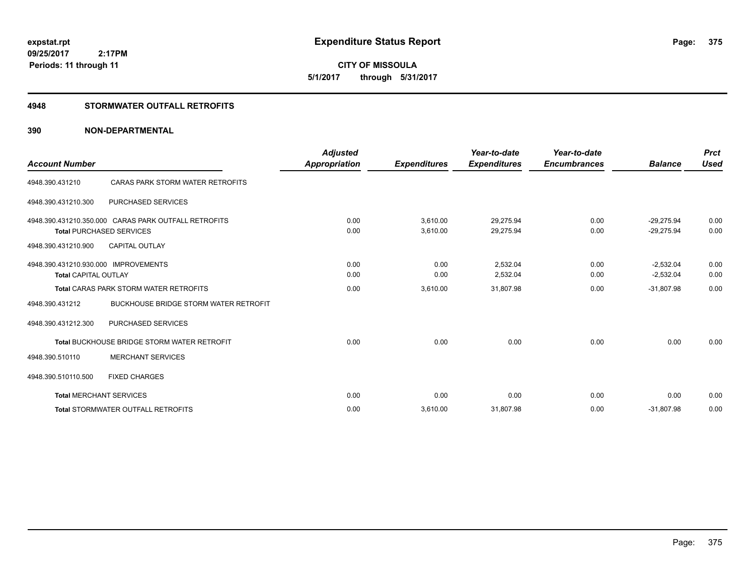**CITY OF MISSOULA 5/1/2017 through 5/31/2017**

### **4948 STORMWATER OUTFALL RETROFITS**

| <b>Account Number</b>                                               |                                                                                         | <b>Adjusted</b><br><b>Appropriation</b> | <b>Expenditures</b>      | Year-to-date<br><b>Expenditures</b> | Year-to-date<br><b>Encumbrances</b> | <b>Balance</b>                             | <b>Prct</b><br><b>Used</b> |
|---------------------------------------------------------------------|-----------------------------------------------------------------------------------------|-----------------------------------------|--------------------------|-------------------------------------|-------------------------------------|--------------------------------------------|----------------------------|
| 4948.390.431210                                                     | CARAS PARK STORM WATER RETROFITS                                                        |                                         |                          |                                     |                                     |                                            |                            |
| 4948.390.431210.300                                                 | <b>PURCHASED SERVICES</b>                                                               |                                         |                          |                                     |                                     |                                            |                            |
|                                                                     | 4948.390.431210.350.000 CARAS PARK OUTFALL RETROFITS<br><b>Total PURCHASED SERVICES</b> | 0.00<br>0.00                            | 3,610.00<br>3,610.00     | 29,275.94<br>29,275.94              | 0.00<br>0.00                        | $-29.275.94$<br>$-29,275.94$               | 0.00<br>0.00               |
| 4948.390.431210.900                                                 | <b>CAPITAL OUTLAY</b>                                                                   |                                         |                          |                                     |                                     |                                            |                            |
| 4948.390.431210.930.000 IMPROVEMENTS<br><b>Total CAPITAL OUTLAY</b> | <b>Total CARAS PARK STORM WATER RETROFITS</b>                                           | 0.00<br>0.00<br>0.00                    | 0.00<br>0.00<br>3,610.00 | 2,532.04<br>2,532.04<br>31,807.98   | 0.00<br>0.00<br>0.00                | $-2,532.04$<br>$-2,532.04$<br>$-31,807.98$ | 0.00<br>0.00<br>0.00       |
| 4948.390.431212<br>4948.390.431212.300                              | <b>BUCKHOUSE BRIDGE STORM WATER RETROFIT</b><br><b>PURCHASED SERVICES</b>               |                                         |                          |                                     |                                     |                                            |                            |
| 4948.390.510110                                                     | Total BUCKHOUSE BRIDGE STORM WATER RETROFIT<br><b>MERCHANT SERVICES</b>                 | 0.00                                    | 0.00                     | 0.00                                | 0.00                                | 0.00                                       | 0.00                       |
| 4948.390.510110.500                                                 | <b>FIXED CHARGES</b>                                                                    |                                         |                          |                                     |                                     |                                            |                            |
| <b>Total MERCHANT SERVICES</b>                                      |                                                                                         | 0.00                                    | 0.00                     | 0.00                                | 0.00                                | 0.00                                       | 0.00                       |
|                                                                     | <b>Total STORMWATER OUTFALL RETROFITS</b>                                               | 0.00                                    | 3,610.00                 | 31,807.98                           | 0.00                                | $-31,807.98$                               | 0.00                       |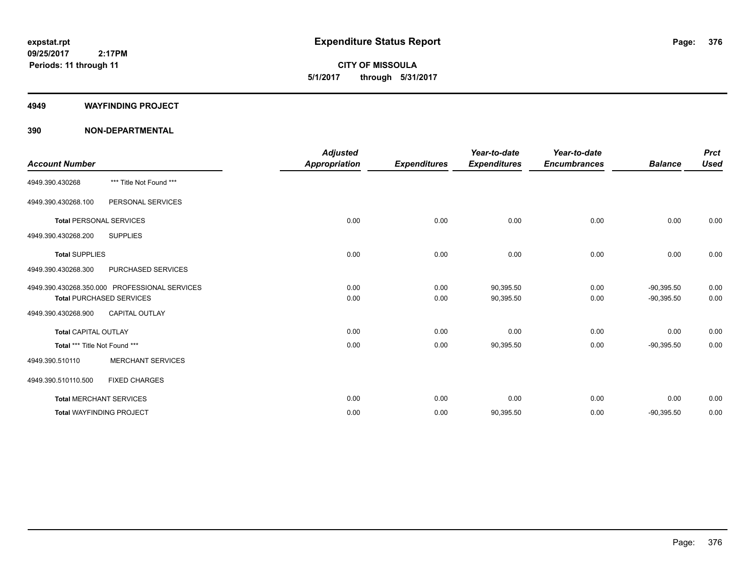**CITY OF MISSOULA 5/1/2017 through 5/31/2017**

#### **4949 WAYFINDING PROJECT**

| <b>Account Number</b>           |                                                                                  | <b>Adjusted</b><br><b>Appropriation</b> | <b>Expenditures</b> | Year-to-date<br><b>Expenditures</b> | Year-to-date<br><b>Encumbrances</b> | <b>Balance</b>               | <b>Prct</b><br><b>Used</b> |
|---------------------------------|----------------------------------------------------------------------------------|-----------------------------------------|---------------------|-------------------------------------|-------------------------------------|------------------------------|----------------------------|
| 4949.390.430268                 | *** Title Not Found ***                                                          |                                         |                     |                                     |                                     |                              |                            |
| 4949.390.430268.100             | PERSONAL SERVICES                                                                |                                         |                     |                                     |                                     |                              |                            |
| <b>Total PERSONAL SERVICES</b>  |                                                                                  | 0.00                                    | 0.00                | 0.00                                | 0.00                                | 0.00                         | 0.00                       |
| 4949.390.430268.200             | <b>SUPPLIES</b>                                                                  |                                         |                     |                                     |                                     |                              |                            |
| <b>Total SUPPLIES</b>           |                                                                                  | 0.00                                    | 0.00                | 0.00                                | 0.00                                | 0.00                         | 0.00                       |
| 4949.390.430268.300             | PURCHASED SERVICES                                                               |                                         |                     |                                     |                                     |                              |                            |
|                                 | 4949.390.430268.350.000 PROFESSIONAL SERVICES<br><b>Total PURCHASED SERVICES</b> | 0.00<br>0.00                            | 0.00<br>0.00        | 90,395.50<br>90,395.50              | 0.00<br>0.00                        | $-90,395.50$<br>$-90,395.50$ | 0.00<br>0.00               |
| 4949.390.430268.900             | <b>CAPITAL OUTLAY</b>                                                            |                                         |                     |                                     |                                     |                              |                            |
| <b>Total CAPITAL OUTLAY</b>     |                                                                                  | 0.00                                    | 0.00                | 0.00                                | 0.00                                | 0.00                         | 0.00                       |
| Total *** Title Not Found ***   |                                                                                  | 0.00                                    | 0.00                | 90,395.50                           | 0.00                                | $-90,395.50$                 | 0.00                       |
| 4949.390.510110                 | <b>MERCHANT SERVICES</b>                                                         |                                         |                     |                                     |                                     |                              |                            |
| 4949.390.510110.500             | <b>FIXED CHARGES</b>                                                             |                                         |                     |                                     |                                     |                              |                            |
| <b>Total MERCHANT SERVICES</b>  |                                                                                  | 0.00                                    | 0.00                | 0.00                                | 0.00                                | 0.00                         | 0.00                       |
| <b>Total WAYFINDING PROJECT</b> |                                                                                  | 0.00                                    | 0.00                | 90,395.50                           | 0.00                                | $-90,395.50$                 | 0.00                       |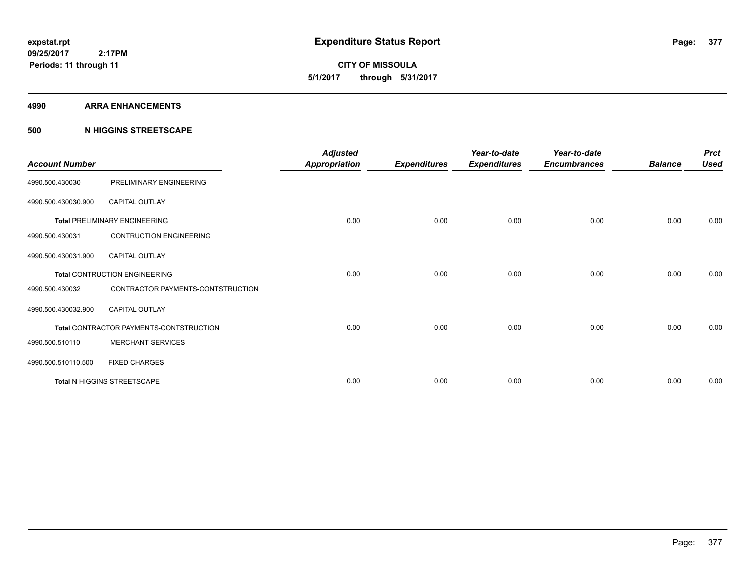**CITY OF MISSOULA 5/1/2017 through 5/31/2017**

#### **4990 ARRA ENHANCEMENTS**

### **500 N HIGGINS STREETSCAPE**

| <b>Account Number</b> |                                         | <b>Adjusted</b><br><b>Appropriation</b> | <b>Expenditures</b> | Year-to-date<br><b>Expenditures</b> | Year-to-date<br><b>Encumbrances</b> | <b>Balance</b> | <b>Prct</b><br><b>Used</b> |
|-----------------------|-----------------------------------------|-----------------------------------------|---------------------|-------------------------------------|-------------------------------------|----------------|----------------------------|
| 4990.500.430030       | PRELIMINARY ENGINEERING                 |                                         |                     |                                     |                                     |                |                            |
| 4990.500.430030.900   | <b>CAPITAL OUTLAY</b>                   |                                         |                     |                                     |                                     |                |                            |
|                       | <b>Total PRELIMINARY ENGINEERING</b>    | 0.00                                    | 0.00                | 0.00                                | 0.00                                | 0.00           | 0.00                       |
| 4990.500.430031       | <b>CONTRUCTION ENGINEERING</b>          |                                         |                     |                                     |                                     |                |                            |
| 4990.500.430031.900   | <b>CAPITAL OUTLAY</b>                   |                                         |                     |                                     |                                     |                |                            |
|                       | Total CONTRUCTION ENGINEERING           | 0.00                                    | 0.00                | 0.00                                | 0.00                                | 0.00           | 0.00                       |
| 4990.500.430032       | CONTRACTOR PAYMENTS-CONTSTRUCTION       |                                         |                     |                                     |                                     |                |                            |
| 4990.500.430032.900   | <b>CAPITAL OUTLAY</b>                   |                                         |                     |                                     |                                     |                |                            |
|                       | Total CONTRACTOR PAYMENTS-CONTSTRUCTION | 0.00                                    | 0.00                | 0.00                                | 0.00                                | 0.00           | 0.00                       |
| 4990.500.510110       | <b>MERCHANT SERVICES</b>                |                                         |                     |                                     |                                     |                |                            |
| 4990.500.510110.500   | <b>FIXED CHARGES</b>                    |                                         |                     |                                     |                                     |                |                            |
|                       | Total N HIGGINS STREETSCAPE             | 0.00                                    | 0.00                | 0.00                                | 0.00                                | 0.00           | 0.00                       |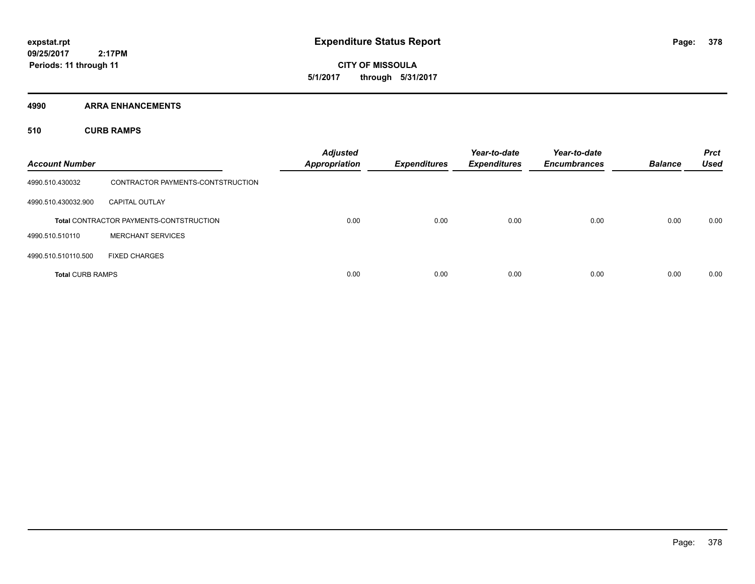**CITY OF MISSOULA 5/1/2017 through 5/31/2017**

**4990 ARRA ENHANCEMENTS**

**510 CURB RAMPS**

| <b>Account Number</b>   |                                                | <b>Adjusted</b><br><b>Appropriation</b> | <b>Expenditures</b> | Year-to-date<br><b>Expenditures</b> | Year-to-date<br><b>Encumbrances</b> | <b>Balance</b> | <b>Prct</b><br><b>Used</b> |
|-------------------------|------------------------------------------------|-----------------------------------------|---------------------|-------------------------------------|-------------------------------------|----------------|----------------------------|
| 4990.510.430032         | CONTRACTOR PAYMENTS-CONTSTRUCTION              |                                         |                     |                                     |                                     |                |                            |
| 4990.510.430032.900     | <b>CAPITAL OUTLAY</b>                          |                                         |                     |                                     |                                     |                |                            |
|                         | <b>Total CONTRACTOR PAYMENTS-CONTSTRUCTION</b> | 0.00                                    | 0.00                | 0.00                                | 0.00                                | 0.00           | 0.00                       |
| 4990.510.510110         | <b>MERCHANT SERVICES</b>                       |                                         |                     |                                     |                                     |                |                            |
| 4990.510.510110.500     | <b>FIXED CHARGES</b>                           |                                         |                     |                                     |                                     |                |                            |
| <b>Total CURB RAMPS</b> |                                                | 0.00                                    | 0.00                | 0.00                                | 0.00                                | 0.00           | 0.00                       |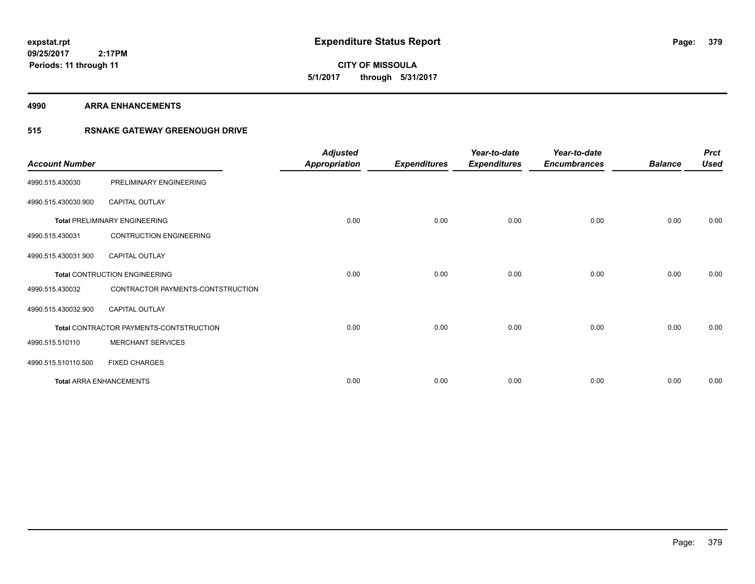**CITY OF MISSOULA 5/1/2017 through 5/31/2017**

#### **4990 ARRA ENHANCEMENTS**

### **515 RSNAKE GATEWAY GREENOUGH DRIVE**

| <b>Account Number</b> |                                         | <b>Adjusted</b><br><b>Appropriation</b> | <b>Expenditures</b> | Year-to-date<br><b>Expenditures</b> | Year-to-date<br><b>Encumbrances</b> | <b>Balance</b> | <b>Prct</b><br><b>Used</b> |
|-----------------------|-----------------------------------------|-----------------------------------------|---------------------|-------------------------------------|-------------------------------------|----------------|----------------------------|
| 4990.515.430030       | PRELIMINARY ENGINEERING                 |                                         |                     |                                     |                                     |                |                            |
| 4990.515.430030.900   | CAPITAL OUTLAY                          |                                         |                     |                                     |                                     |                |                            |
|                       | <b>Total PRELIMINARY ENGINEERING</b>    | 0.00                                    | 0.00                | 0.00                                | 0.00                                | 0.00           | 0.00                       |
| 4990.515.430031       | <b>CONTRUCTION ENGINEERING</b>          |                                         |                     |                                     |                                     |                |                            |
| 4990.515.430031.900   | <b>CAPITAL OUTLAY</b>                   |                                         |                     |                                     |                                     |                |                            |
|                       | <b>Total CONTRUCTION ENGINEERING</b>    | 0.00                                    | 0.00                | 0.00                                | 0.00                                | 0.00           | 0.00                       |
| 4990.515.430032       | CONTRACTOR PAYMENTS-CONTSTRUCTION       |                                         |                     |                                     |                                     |                |                            |
| 4990.515.430032.900   | <b>CAPITAL OUTLAY</b>                   |                                         |                     |                                     |                                     |                |                            |
|                       | Total CONTRACTOR PAYMENTS-CONTSTRUCTION | 0.00                                    | 0.00                | 0.00                                | 0.00                                | 0.00           | 0.00                       |
| 4990.515.510110       | <b>MERCHANT SERVICES</b>                |                                         |                     |                                     |                                     |                |                            |
| 4990.515.510110.500   | <b>FIXED CHARGES</b>                    |                                         |                     |                                     |                                     |                |                            |
|                       | <b>Total ARRA ENHANCEMENTS</b>          | 0.00                                    | 0.00                | 0.00                                | 0.00                                | 0.00           | 0.00                       |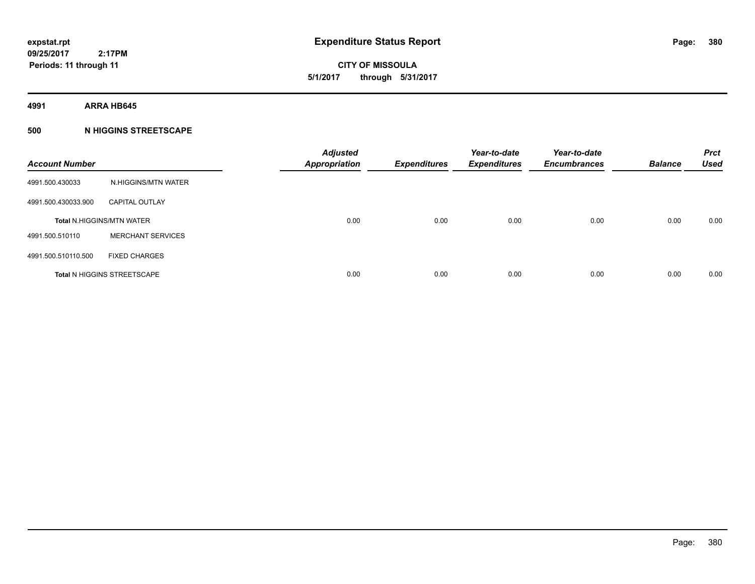**CITY OF MISSOULA 5/1/2017 through 5/31/2017**

**4991 ARRA HB645**

### **500 N HIGGINS STREETSCAPE**

| <b>Account Number</b> |                                    | <b>Adjusted</b><br><b>Appropriation</b> | <b>Expenditures</b> | Year-to-date<br><b>Expenditures</b> | Year-to-date<br><b>Encumbrances</b> | <b>Balance</b> | <b>Prct</b><br><b>Used</b> |
|-----------------------|------------------------------------|-----------------------------------------|---------------------|-------------------------------------|-------------------------------------|----------------|----------------------------|
| 4991.500.430033       | N.HIGGINS/MTN WATER                |                                         |                     |                                     |                                     |                |                            |
| 4991.500.430033.900   | <b>CAPITAL OUTLAY</b>              |                                         |                     |                                     |                                     |                |                            |
|                       | <b>Total N.HIGGINS/MTN WATER</b>   | 0.00                                    | 0.00                | 0.00                                | 0.00                                | 0.00           | 0.00                       |
| 4991.500.510110       | <b>MERCHANT SERVICES</b>           |                                         |                     |                                     |                                     |                |                            |
| 4991.500.510110.500   | <b>FIXED CHARGES</b>               |                                         |                     |                                     |                                     |                |                            |
|                       | <b>Total N HIGGINS STREETSCAPE</b> | 0.00                                    | 0.00                | 0.00                                | 0.00                                | 0.00           | 0.00                       |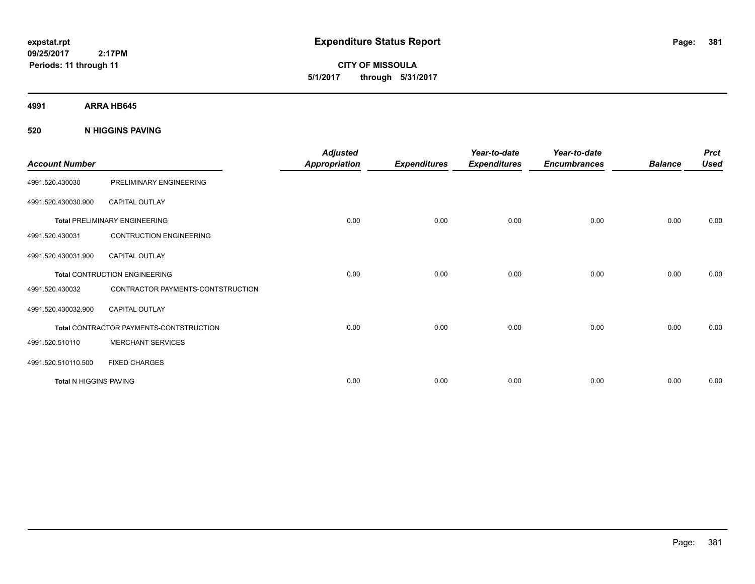**CITY OF MISSOULA 5/1/2017 through 5/31/2017**

**4991 ARRA HB645**

**520 N HIGGINS PAVING**

| <b>Account Number</b>  |                                         | <b>Adjusted</b><br><b>Appropriation</b> | <b>Expenditures</b> | Year-to-date<br><b>Expenditures</b> | Year-to-date<br><b>Encumbrances</b> | <b>Balance</b> | <b>Prct</b><br><b>Used</b> |
|------------------------|-----------------------------------------|-----------------------------------------|---------------------|-------------------------------------|-------------------------------------|----------------|----------------------------|
| 4991.520.430030        | PRELIMINARY ENGINEERING                 |                                         |                     |                                     |                                     |                |                            |
| 4991.520.430030.900    | <b>CAPITAL OUTLAY</b>                   |                                         |                     |                                     |                                     |                |                            |
|                        | <b>Total PRELIMINARY ENGINEERING</b>    | 0.00                                    | 0.00                | 0.00                                | 0.00                                | 0.00           | 0.00                       |
| 4991.520.430031        | <b>CONTRUCTION ENGINEERING</b>          |                                         |                     |                                     |                                     |                |                            |
| 4991.520.430031.900    | <b>CAPITAL OUTLAY</b>                   |                                         |                     |                                     |                                     |                |                            |
|                        | <b>Total CONTRUCTION ENGINEERING</b>    | 0.00                                    | 0.00                | 0.00                                | 0.00                                | 0.00           | 0.00                       |
| 4991.520.430032        | CONTRACTOR PAYMENTS-CONTSTRUCTION       |                                         |                     |                                     |                                     |                |                            |
| 4991.520.430032.900    | <b>CAPITAL OUTLAY</b>                   |                                         |                     |                                     |                                     |                |                            |
|                        | Total CONTRACTOR PAYMENTS-CONTSTRUCTION | 0.00                                    | 0.00                | 0.00                                | 0.00                                | 0.00           | 0.00                       |
| 4991.520.510110        | <b>MERCHANT SERVICES</b>                |                                         |                     |                                     |                                     |                |                            |
| 4991.520.510110.500    | <b>FIXED CHARGES</b>                    |                                         |                     |                                     |                                     |                |                            |
| Total N HIGGINS PAVING |                                         | 0.00                                    | 0.00                | 0.00                                | 0.00                                | 0.00           | 0.00                       |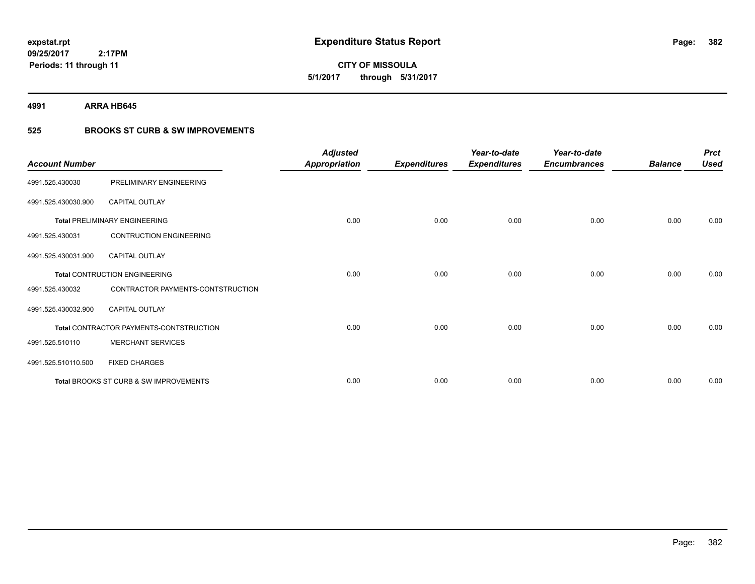**382**

**09/25/2017 2:17PM Periods: 11 through 11**

**CITY OF MISSOULA 5/1/2017 through 5/31/2017**

**4991 ARRA HB645**

### **525 BROOKS ST CURB & SW IMPROVEMENTS**

| <b>Account Number</b> |                                         | <b>Adjusted</b><br><b>Appropriation</b> | <b>Expenditures</b> | Year-to-date<br><b>Expenditures</b> | Year-to-date<br><b>Encumbrances</b> | <b>Balance</b> | <b>Prct</b><br><b>Used</b> |
|-----------------------|-----------------------------------------|-----------------------------------------|---------------------|-------------------------------------|-------------------------------------|----------------|----------------------------|
| 4991.525.430030       | PRELIMINARY ENGINEERING                 |                                         |                     |                                     |                                     |                |                            |
| 4991.525.430030.900   | <b>CAPITAL OUTLAY</b>                   |                                         |                     |                                     |                                     |                |                            |
|                       | <b>Total PRELIMINARY ENGINEERING</b>    | 0.00                                    | 0.00                | 0.00                                | 0.00                                | 0.00           | 0.00                       |
| 4991.525.430031       | <b>CONTRUCTION ENGINEERING</b>          |                                         |                     |                                     |                                     |                |                            |
| 4991.525.430031.900   | <b>CAPITAL OUTLAY</b>                   |                                         |                     |                                     |                                     |                |                            |
|                       | <b>Total CONTRUCTION ENGINEERING</b>    | 0.00                                    | 0.00                | 0.00                                | 0.00                                | 0.00           | 0.00                       |
| 4991.525.430032       | CONTRACTOR PAYMENTS-CONTSTRUCTION       |                                         |                     |                                     |                                     |                |                            |
| 4991.525.430032.900   | <b>CAPITAL OUTLAY</b>                   |                                         |                     |                                     |                                     |                |                            |
|                       | Total CONTRACTOR PAYMENTS-CONTSTRUCTION | 0.00                                    | 0.00                | 0.00                                | 0.00                                | 0.00           | 0.00                       |
| 4991.525.510110       | <b>MERCHANT SERVICES</b>                |                                         |                     |                                     |                                     |                |                            |
| 4991.525.510110.500   | <b>FIXED CHARGES</b>                    |                                         |                     |                                     |                                     |                |                            |
|                       | Total BROOKS ST CURB & SW IMPROVEMENTS  | 0.00                                    | 0.00                | 0.00                                | 0.00                                | 0.00           | 0.00                       |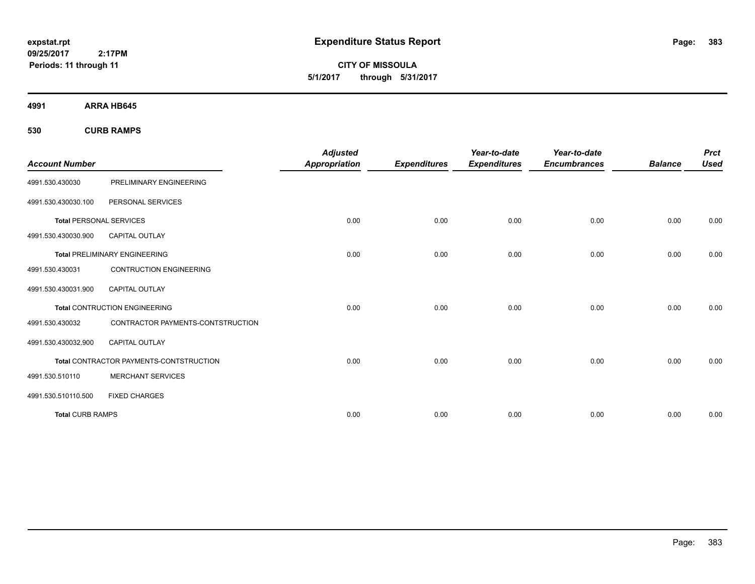**CITY OF MISSOULA 5/1/2017 through 5/31/2017**

**4991 ARRA HB645**

**530 CURB RAMPS**

|                                |                                         | <b>Adjusted</b>      |                     | Year-to-date        | Year-to-date        |                | <b>Prct</b> |
|--------------------------------|-----------------------------------------|----------------------|---------------------|---------------------|---------------------|----------------|-------------|
| <b>Account Number</b>          |                                         | <b>Appropriation</b> | <b>Expenditures</b> | <b>Expenditures</b> | <b>Encumbrances</b> | <b>Balance</b> | <b>Used</b> |
| 4991.530.430030                | PRELIMINARY ENGINEERING                 |                      |                     |                     |                     |                |             |
| 4991.530.430030.100            | PERSONAL SERVICES                       |                      |                     |                     |                     |                |             |
| <b>Total PERSONAL SERVICES</b> |                                         | 0.00                 | 0.00                | 0.00                | 0.00                | 0.00           | 0.00        |
| 4991.530.430030.900            | <b>CAPITAL OUTLAY</b>                   |                      |                     |                     |                     |                |             |
|                                | <b>Total PRELIMINARY ENGINEERING</b>    | 0.00                 | 0.00                | 0.00                | 0.00                | 0.00           | 0.00        |
| 4991.530.430031                | <b>CONTRUCTION ENGINEERING</b>          |                      |                     |                     |                     |                |             |
| 4991.530.430031.900            | CAPITAL OUTLAY                          |                      |                     |                     |                     |                |             |
|                                | <b>Total CONTRUCTION ENGINEERING</b>    | 0.00                 | 0.00                | 0.00                | 0.00                | 0.00           | 0.00        |
| 4991.530.430032                | CONTRACTOR PAYMENTS-CONTSTRUCTION       |                      |                     |                     |                     |                |             |
| 4991.530.430032.900            | <b>CAPITAL OUTLAY</b>                   |                      |                     |                     |                     |                |             |
|                                | Total CONTRACTOR PAYMENTS-CONTSTRUCTION | 0.00                 | 0.00                | 0.00                | 0.00                | 0.00           | 0.00        |
| 4991.530.510110                | <b>MERCHANT SERVICES</b>                |                      |                     |                     |                     |                |             |
| 4991.530.510110.500            | <b>FIXED CHARGES</b>                    |                      |                     |                     |                     |                |             |
| <b>Total CURB RAMPS</b>        |                                         | 0.00                 | 0.00                | 0.00                | 0.00                | 0.00           | 0.00        |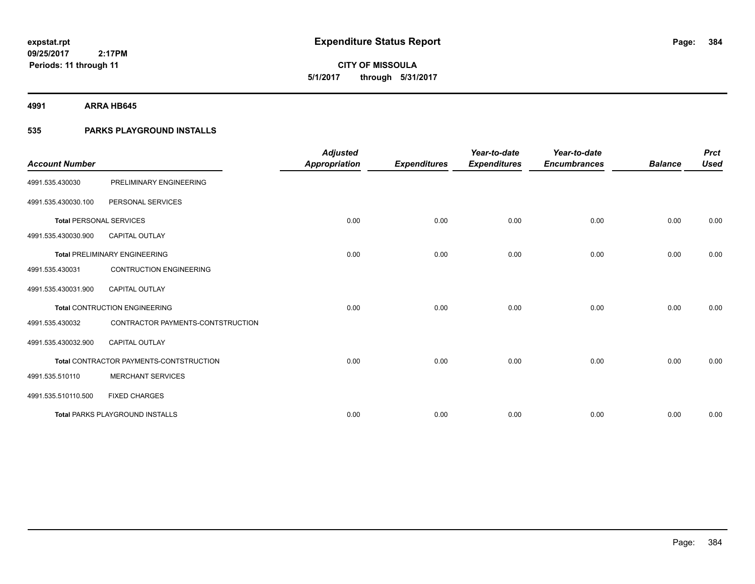**384**

**09/25/2017 2:17PM Periods: 11 through 11**

**CITY OF MISSOULA 5/1/2017 through 5/31/2017**

**4991 ARRA HB645**

### **535 PARKS PLAYGROUND INSTALLS**

|                                |                                         | <b>Adjusted</b>      |                     | Year-to-date        | Year-to-date        |                | <b>Prct</b> |
|--------------------------------|-----------------------------------------|----------------------|---------------------|---------------------|---------------------|----------------|-------------|
| <b>Account Number</b>          |                                         | <b>Appropriation</b> | <b>Expenditures</b> | <b>Expenditures</b> | <b>Encumbrances</b> | <b>Balance</b> | <b>Used</b> |
| 4991.535.430030                | PRELIMINARY ENGINEERING                 |                      |                     |                     |                     |                |             |
| 4991.535.430030.100            | PERSONAL SERVICES                       |                      |                     |                     |                     |                |             |
| <b>Total PERSONAL SERVICES</b> |                                         | 0.00                 | 0.00                | 0.00                | 0.00                | 0.00           | 0.00        |
| 4991.535.430030.900            | <b>CAPITAL OUTLAY</b>                   |                      |                     |                     |                     |                |             |
|                                | <b>Total PRELIMINARY ENGINEERING</b>    | 0.00                 | 0.00                | 0.00                | 0.00                | 0.00           | 0.00        |
| 4991.535.430031                | <b>CONTRUCTION ENGINEERING</b>          |                      |                     |                     |                     |                |             |
| 4991.535.430031.900            | <b>CAPITAL OUTLAY</b>                   |                      |                     |                     |                     |                |             |
|                                | <b>Total CONTRUCTION ENGINEERING</b>    | 0.00                 | 0.00                | 0.00                | 0.00                | 0.00           | 0.00        |
| 4991.535.430032                | CONTRACTOR PAYMENTS-CONTSTRUCTION       |                      |                     |                     |                     |                |             |
| 4991.535.430032.900            | <b>CAPITAL OUTLAY</b>                   |                      |                     |                     |                     |                |             |
|                                | Total CONTRACTOR PAYMENTS-CONTSTRUCTION | 0.00                 | 0.00                | 0.00                | 0.00                | 0.00           | 0.00        |
| 4991.535.510110                | <b>MERCHANT SERVICES</b>                |                      |                     |                     |                     |                |             |
| 4991.535.510110.500            | <b>FIXED CHARGES</b>                    |                      |                     |                     |                     |                |             |
|                                | <b>Total PARKS PLAYGROUND INSTALLS</b>  | 0.00                 | 0.00                | 0.00                | 0.00                | 0.00           | 0.00        |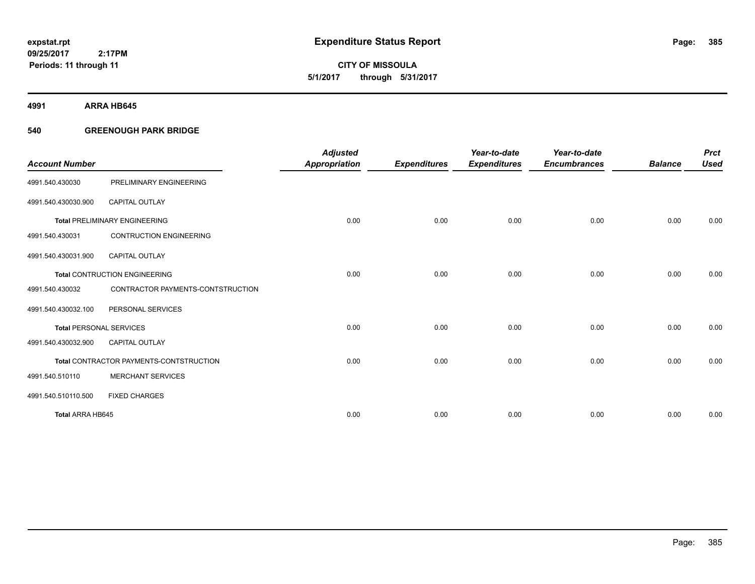**CITY OF MISSOULA 5/1/2017 through 5/31/2017**

**4991 ARRA HB645**

### **540 GREENOUGH PARK BRIDGE**

|                                |                                         | <b>Adjusted</b>      |                     | Year-to-date        | Year-to-date        |                | <b>Prct</b> |
|--------------------------------|-----------------------------------------|----------------------|---------------------|---------------------|---------------------|----------------|-------------|
| <b>Account Number</b>          |                                         | <b>Appropriation</b> | <b>Expenditures</b> | <b>Expenditures</b> | <b>Encumbrances</b> | <b>Balance</b> | <b>Used</b> |
| 4991.540.430030                | PRELIMINARY ENGINEERING                 |                      |                     |                     |                     |                |             |
| 4991.540.430030.900            | <b>CAPITAL OUTLAY</b>                   |                      |                     |                     |                     |                |             |
|                                | <b>Total PRELIMINARY ENGINEERING</b>    | 0.00                 | 0.00                | 0.00                | 0.00                | 0.00           | 0.00        |
| 4991.540.430031                | <b>CONTRUCTION ENGINEERING</b>          |                      |                     |                     |                     |                |             |
| 4991.540.430031.900            | <b>CAPITAL OUTLAY</b>                   |                      |                     |                     |                     |                |             |
|                                | <b>Total CONTRUCTION ENGINEERING</b>    | 0.00                 | 0.00                | 0.00                | 0.00                | 0.00           | 0.00        |
| 4991.540.430032                | CONTRACTOR PAYMENTS-CONTSTRUCTION       |                      |                     |                     |                     |                |             |
| 4991.540.430032.100            | PERSONAL SERVICES                       |                      |                     |                     |                     |                |             |
| <b>Total PERSONAL SERVICES</b> |                                         | 0.00                 | 0.00                | 0.00                | 0.00                | 0.00           | 0.00        |
| 4991.540.430032.900            | <b>CAPITAL OUTLAY</b>                   |                      |                     |                     |                     |                |             |
|                                | Total CONTRACTOR PAYMENTS-CONTSTRUCTION | 0.00                 | 0.00                | 0.00                | 0.00                | 0.00           | 0.00        |
| 4991.540.510110                | <b>MERCHANT SERVICES</b>                |                      |                     |                     |                     |                |             |
| 4991.540.510110.500            | <b>FIXED CHARGES</b>                    |                      |                     |                     |                     |                |             |
| Total ARRA HB645               |                                         | 0.00                 | 0.00                | 0.00                | 0.00                | 0.00           | 0.00        |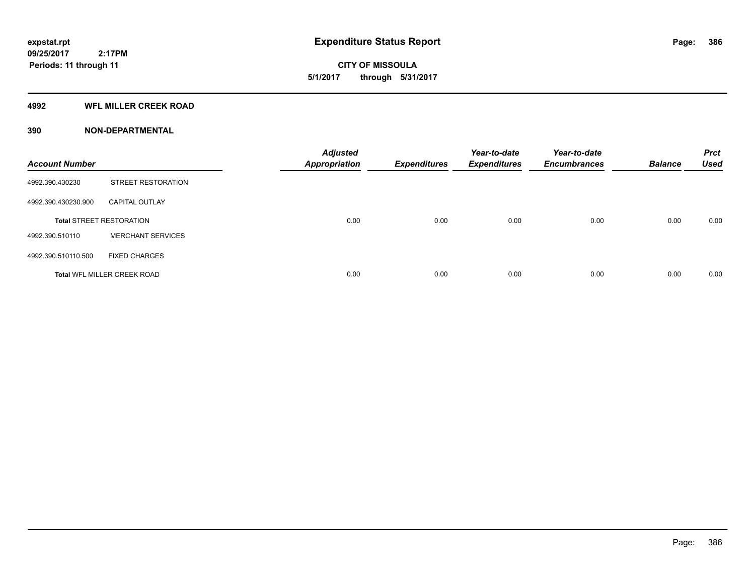**CITY OF MISSOULA 5/1/2017 through 5/31/2017**

### **4992 WFL MILLER CREEK ROAD**

| <b>Account Number</b> |                                    | <b>Adjusted</b><br><b>Appropriation</b> | <b>Expenditures</b> | Year-to-date<br><b>Expenditures</b> | Year-to-date<br><b>Encumbrances</b> | <b>Balance</b> | <b>Prct</b><br><b>Used</b> |
|-----------------------|------------------------------------|-----------------------------------------|---------------------|-------------------------------------|-------------------------------------|----------------|----------------------------|
| 4992.390.430230       | <b>STREET RESTORATION</b>          |                                         |                     |                                     |                                     |                |                            |
| 4992.390.430230.900   | <b>CAPITAL OUTLAY</b>              |                                         |                     |                                     |                                     |                |                            |
|                       | <b>Total STREET RESTORATION</b>    | 0.00                                    | 0.00                | 0.00                                | 0.00                                | 0.00           | 0.00                       |
| 4992.390.510110       | <b>MERCHANT SERVICES</b>           |                                         |                     |                                     |                                     |                |                            |
| 4992.390.510110.500   | <b>FIXED CHARGES</b>               |                                         |                     |                                     |                                     |                |                            |
|                       | <b>Total WFL MILLER CREEK ROAD</b> | 0.00                                    | 0.00                | 0.00                                | 0.00                                | 0.00           | 0.00                       |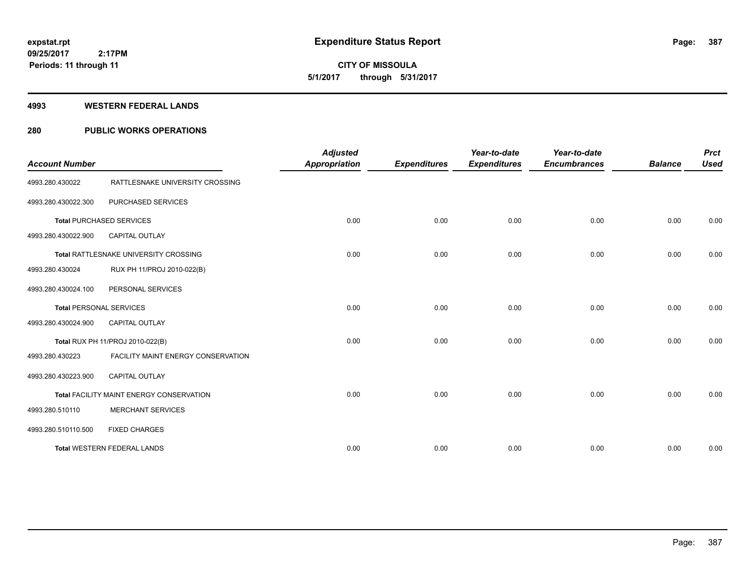# **CITY OF MISSOULA 5/1/2017 through 5/31/2017**

#### **4993 WESTERN FEDERAL LANDS**

### **280 PUBLIC WORKS OPERATIONS**

| <b>Account Number</b> |                                          | <b>Adjusted</b><br><b>Appropriation</b> | <b>Expenditures</b> | Year-to-date<br><b>Expenditures</b> | Year-to-date<br><b>Encumbrances</b> | <b>Balance</b> | <b>Prct</b><br><b>Used</b> |
|-----------------------|------------------------------------------|-----------------------------------------|---------------------|-------------------------------------|-------------------------------------|----------------|----------------------------|
| 4993.280.430022       | RATTLESNAKE UNIVERSITY CROSSING          |                                         |                     |                                     |                                     |                |                            |
| 4993.280.430022.300   | PURCHASED SERVICES                       |                                         |                     |                                     |                                     |                |                            |
|                       | <b>Total PURCHASED SERVICES</b>          | 0.00                                    | 0.00                | 0.00                                | 0.00                                | 0.00           | 0.00                       |
| 4993.280.430022.900   | CAPITAL OUTLAY                           |                                         |                     |                                     |                                     |                |                            |
|                       | Total RATTLESNAKE UNIVERSITY CROSSING    | 0.00                                    | 0.00                | 0.00                                | 0.00                                | 0.00           | 0.00                       |
| 4993.280.430024       | RUX PH 11/PROJ 2010-022(B)               |                                         |                     |                                     |                                     |                |                            |
| 4993.280.430024.100   | PERSONAL SERVICES                        |                                         |                     |                                     |                                     |                |                            |
|                       | <b>Total PERSONAL SERVICES</b>           | 0.00                                    | 0.00                | 0.00                                | 0.00                                | 0.00           | 0.00                       |
| 4993.280.430024.900   | <b>CAPITAL OUTLAY</b>                    |                                         |                     |                                     |                                     |                |                            |
|                       | Total RUX PH 11/PROJ 2010-022(B)         | 0.00                                    | 0.00                | 0.00                                | 0.00                                | 0.00           | 0.00                       |
| 4993.280.430223       | FACILITY MAINT ENERGY CONSERVATION       |                                         |                     |                                     |                                     |                |                            |
| 4993.280.430223.900   | <b>CAPITAL OUTLAY</b>                    |                                         |                     |                                     |                                     |                |                            |
|                       | Total FACILITY MAINT ENERGY CONSERVATION | 0.00                                    | 0.00                | 0.00                                | 0.00                                | 0.00           | 0.00                       |
| 4993.280.510110       | <b>MERCHANT SERVICES</b>                 |                                         |                     |                                     |                                     |                |                            |
| 4993.280.510110.500   | <b>FIXED CHARGES</b>                     |                                         |                     |                                     |                                     |                |                            |
|                       | <b>Total WESTERN FEDERAL LANDS</b>       | 0.00                                    | 0.00                | 0.00                                | 0.00                                | 0.00           | 0.00                       |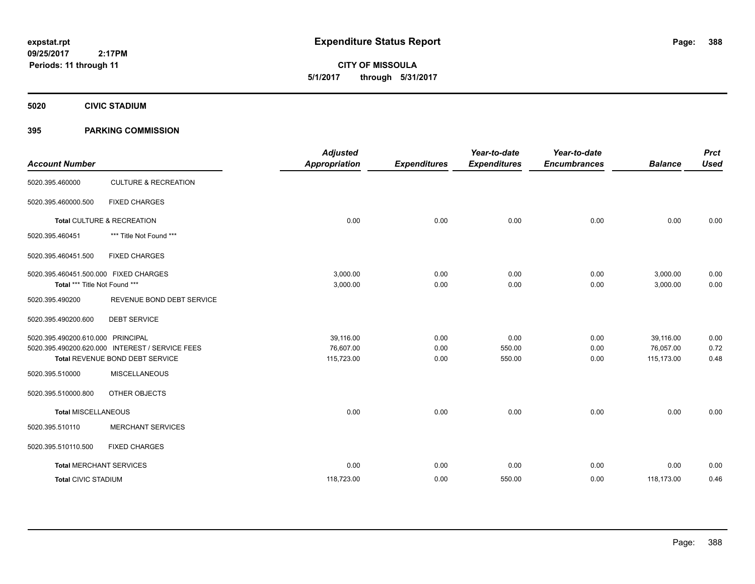**CITY OF MISSOULA 5/1/2017 through 5/31/2017**

**5020 CIVIC STADIUM**

### **395 PARKING COMMISSION**

| <b>Account Number</b>                                                  |                                                                                    | <b>Adjusted</b><br><b>Appropriation</b> | <b>Expenditures</b>  | Year-to-date<br><b>Expenditures</b> | Year-to-date<br><b>Encumbrances</b> | <b>Balance</b>                       | <b>Prct</b><br><b>Used</b> |
|------------------------------------------------------------------------|------------------------------------------------------------------------------------|-----------------------------------------|----------------------|-------------------------------------|-------------------------------------|--------------------------------------|----------------------------|
| 5020.395.460000                                                        | <b>CULTURE &amp; RECREATION</b>                                                    |                                         |                      |                                     |                                     |                                      |                            |
| 5020.395.460000.500                                                    | <b>FIXED CHARGES</b>                                                               |                                         |                      |                                     |                                     |                                      |                            |
|                                                                        | Total CULTURE & RECREATION                                                         | 0.00                                    | 0.00                 | 0.00                                | 0.00                                | 0.00                                 | 0.00                       |
| 5020.395.460451                                                        | *** Title Not Found ***                                                            |                                         |                      |                                     |                                     |                                      |                            |
| 5020.395.460451.500                                                    | <b>FIXED CHARGES</b>                                                               |                                         |                      |                                     |                                     |                                      |                            |
| 5020.395.460451.500.000 FIXED CHARGES<br>Total *** Title Not Found *** |                                                                                    | 3,000.00<br>3,000.00                    | 0.00<br>0.00         | 0.00<br>0.00                        | 0.00<br>0.00                        | 3,000.00<br>3,000.00                 | 0.00<br>0.00               |
| 5020.395.490200                                                        | REVENUE BOND DEBT SERVICE                                                          |                                         |                      |                                     |                                     |                                      |                            |
| 5020.395.490200.600                                                    | <b>DEBT SERVICE</b>                                                                |                                         |                      |                                     |                                     |                                      |                            |
| 5020.395.490200.610.000 PRINCIPAL                                      | 5020.395.490200.620.000 INTEREST / SERVICE FEES<br>Total REVENUE BOND DEBT SERVICE | 39,116.00<br>76,607.00<br>115,723.00    | 0.00<br>0.00<br>0.00 | 0.00<br>550.00<br>550.00            | 0.00<br>0.00<br>0.00                | 39,116.00<br>76,057.00<br>115,173.00 | 0.00<br>0.72<br>0.48       |
| 5020.395.510000                                                        | <b>MISCELLANEOUS</b>                                                               |                                         |                      |                                     |                                     |                                      |                            |
| 5020.395.510000.800                                                    | OTHER OBJECTS                                                                      |                                         |                      |                                     |                                     |                                      |                            |
| Total MISCELLANEOUS                                                    |                                                                                    | 0.00                                    | 0.00                 | 0.00                                | 0.00                                | 0.00                                 | 0.00                       |
| 5020.395.510110                                                        | <b>MERCHANT SERVICES</b>                                                           |                                         |                      |                                     |                                     |                                      |                            |
| 5020.395.510110.500                                                    | <b>FIXED CHARGES</b>                                                               |                                         |                      |                                     |                                     |                                      |                            |
|                                                                        | <b>Total MERCHANT SERVICES</b>                                                     | 0.00                                    | 0.00                 | 0.00                                | 0.00                                | 0.00                                 | 0.00                       |
| <b>Total CIVIC STADIUM</b>                                             |                                                                                    | 118,723.00                              | 0.00                 | 550.00                              | 0.00                                | 118,173.00                           | 0.46                       |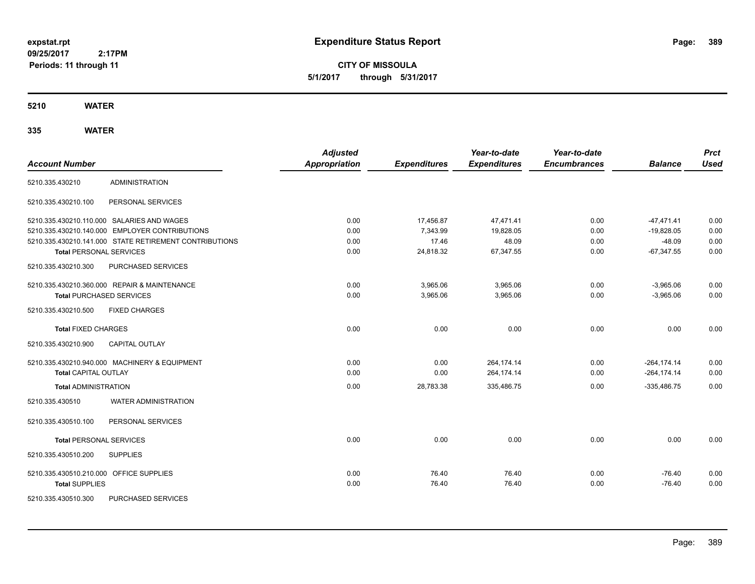**CITY OF MISSOULA 5/1/2017 through 5/31/2017**

**5210 WATER**

| <b>Account Number</b>                   |                                                        | <b>Adjusted</b><br><b>Appropriation</b> |                     | Year-to-date<br><b>Expenditures</b> | Year-to-date<br><b>Encumbrances</b> | <b>Balance</b> | <b>Prct</b><br><b>Used</b> |
|-----------------------------------------|--------------------------------------------------------|-----------------------------------------|---------------------|-------------------------------------|-------------------------------------|----------------|----------------------------|
|                                         |                                                        |                                         | <b>Expenditures</b> |                                     |                                     |                |                            |
| 5210.335.430210                         | <b>ADMINISTRATION</b>                                  |                                         |                     |                                     |                                     |                |                            |
| 5210.335.430210.100                     | PERSONAL SERVICES                                      |                                         |                     |                                     |                                     |                |                            |
|                                         | 5210.335.430210.110.000 SALARIES AND WAGES             | 0.00                                    | 17,456.87           | 47,471.41                           | 0.00                                | $-47,471.41$   | 0.00                       |
|                                         | 5210.335.430210.140.000 EMPLOYER CONTRIBUTIONS         | 0.00                                    | 7,343.99            | 19,828.05                           | 0.00                                | $-19,828.05$   | 0.00                       |
|                                         | 5210.335.430210.141.000 STATE RETIREMENT CONTRIBUTIONS | 0.00                                    | 17.46               | 48.09                               | 0.00                                | $-48.09$       | 0.00                       |
| <b>Total PERSONAL SERVICES</b>          |                                                        | 0.00                                    | 24,818.32           | 67,347.55                           | 0.00                                | $-67,347.55$   | 0.00                       |
| 5210.335.430210.300                     | PURCHASED SERVICES                                     |                                         |                     |                                     |                                     |                |                            |
|                                         | 5210.335.430210.360.000 REPAIR & MAINTENANCE           | 0.00                                    | 3,965.06            | 3,965.06                            | 0.00                                | $-3,965.06$    | 0.00                       |
|                                         | <b>Total PURCHASED SERVICES</b>                        | 0.00                                    | 3,965.06            | 3,965.06                            | 0.00                                | $-3,965.06$    | 0.00                       |
| 5210.335.430210.500                     | <b>FIXED CHARGES</b>                                   |                                         |                     |                                     |                                     |                |                            |
| <b>Total FIXED CHARGES</b>              |                                                        | 0.00                                    | 0.00                | 0.00                                | 0.00                                | 0.00           | 0.00                       |
| 5210.335.430210.900                     | <b>CAPITAL OUTLAY</b>                                  |                                         |                     |                                     |                                     |                |                            |
|                                         | 5210.335.430210.940.000 MACHINERY & EQUIPMENT          | 0.00                                    | 0.00                | 264,174.14                          | 0.00                                | $-264, 174.14$ | 0.00                       |
| <b>Total CAPITAL OUTLAY</b>             |                                                        | 0.00                                    | 0.00                | 264,174.14                          | 0.00                                | $-264, 174.14$ | 0.00                       |
| <b>Total ADMINISTRATION</b>             |                                                        | 0.00                                    | 28,783.38           | 335,486.75                          | 0.00                                | $-335,486.75$  | 0.00                       |
| 5210.335.430510                         | <b>WATER ADMINISTRATION</b>                            |                                         |                     |                                     |                                     |                |                            |
| 5210.335.430510.100                     | PERSONAL SERVICES                                      |                                         |                     |                                     |                                     |                |                            |
| <b>Total PERSONAL SERVICES</b>          |                                                        | 0.00                                    | 0.00                | 0.00                                | 0.00                                | 0.00           | 0.00                       |
| 5210.335.430510.200                     | <b>SUPPLIES</b>                                        |                                         |                     |                                     |                                     |                |                            |
| 5210.335.430510.210.000 OFFICE SUPPLIES |                                                        | 0.00                                    | 76.40               | 76.40                               | 0.00                                | $-76.40$       | 0.00                       |
| <b>Total SUPPLIES</b>                   |                                                        | 0.00                                    | 76.40               | 76.40                               | 0.00                                | $-76.40$       | 0.00                       |
| 5210.335.430510.300                     | PURCHASED SERVICES                                     |                                         |                     |                                     |                                     |                |                            |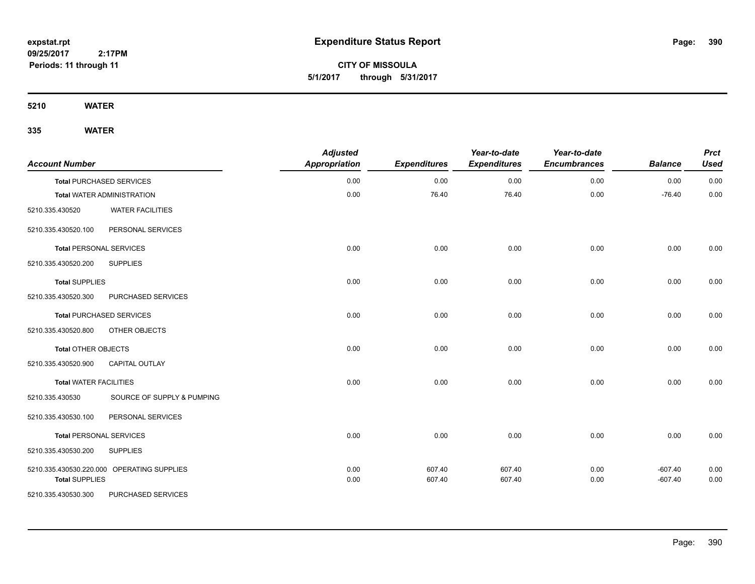**CITY OF MISSOULA 5/1/2017 through 5/31/2017**

**5210 WATER**

| <b>Account Number</b>         |                                            | <b>Adjusted</b><br><b>Appropriation</b> | <b>Expenditures</b> | Year-to-date<br><b>Expenditures</b> | Year-to-date<br><b>Encumbrances</b> | <b>Balance</b> | <b>Prct</b><br><b>Used</b> |
|-------------------------------|--------------------------------------------|-----------------------------------------|---------------------|-------------------------------------|-------------------------------------|----------------|----------------------------|
|                               | <b>Total PURCHASED SERVICES</b>            | 0.00                                    | 0.00                | 0.00                                | 0.00                                | 0.00           | 0.00                       |
|                               | <b>Total WATER ADMINISTRATION</b>          | 0.00                                    | 76.40               | 76.40                               | 0.00                                | $-76.40$       | 0.00                       |
| 5210.335.430520               | <b>WATER FACILITIES</b>                    |                                         |                     |                                     |                                     |                |                            |
| 5210.335.430520.100           | PERSONAL SERVICES                          |                                         |                     |                                     |                                     |                |                            |
|                               | <b>Total PERSONAL SERVICES</b>             | 0.00                                    | 0.00                | 0.00                                | 0.00                                | 0.00           | 0.00                       |
| 5210.335.430520.200           | <b>SUPPLIES</b>                            |                                         |                     |                                     |                                     |                |                            |
| <b>Total SUPPLIES</b>         |                                            | 0.00                                    | 0.00                | 0.00                                | 0.00                                | 0.00           | 0.00                       |
| 5210.335.430520.300           | PURCHASED SERVICES                         |                                         |                     |                                     |                                     |                |                            |
|                               | <b>Total PURCHASED SERVICES</b>            | 0.00                                    | 0.00                | 0.00                                | 0.00                                | 0.00           | 0.00                       |
| 5210.335.430520.800           | OTHER OBJECTS                              |                                         |                     |                                     |                                     |                |                            |
| <b>Total OTHER OBJECTS</b>    |                                            | 0.00                                    | 0.00                | 0.00                                | 0.00                                | 0.00           | 0.00                       |
| 5210.335.430520.900           | CAPITAL OUTLAY                             |                                         |                     |                                     |                                     |                |                            |
| <b>Total WATER FACILITIES</b> |                                            | 0.00                                    | 0.00                | 0.00                                | 0.00                                | 0.00           | 0.00                       |
| 5210.335.430530               | SOURCE OF SUPPLY & PUMPING                 |                                         |                     |                                     |                                     |                |                            |
| 5210.335.430530.100           | PERSONAL SERVICES                          |                                         |                     |                                     |                                     |                |                            |
|                               | <b>Total PERSONAL SERVICES</b>             | 0.00                                    | 0.00                | 0.00                                | 0.00                                | 0.00           | 0.00                       |
| 5210.335.430530.200           | <b>SUPPLIES</b>                            |                                         |                     |                                     |                                     |                |                            |
|                               | 5210.335.430530.220.000 OPERATING SUPPLIES | 0.00                                    | 607.40              | 607.40                              | 0.00                                | $-607.40$      | 0.00                       |
| <b>Total SUPPLIES</b>         |                                            | 0.00                                    | 607.40              | 607.40                              | 0.00                                | $-607.40$      | 0.00                       |
| 5210.335.430530.300           | PURCHASED SERVICES                         |                                         |                     |                                     |                                     |                |                            |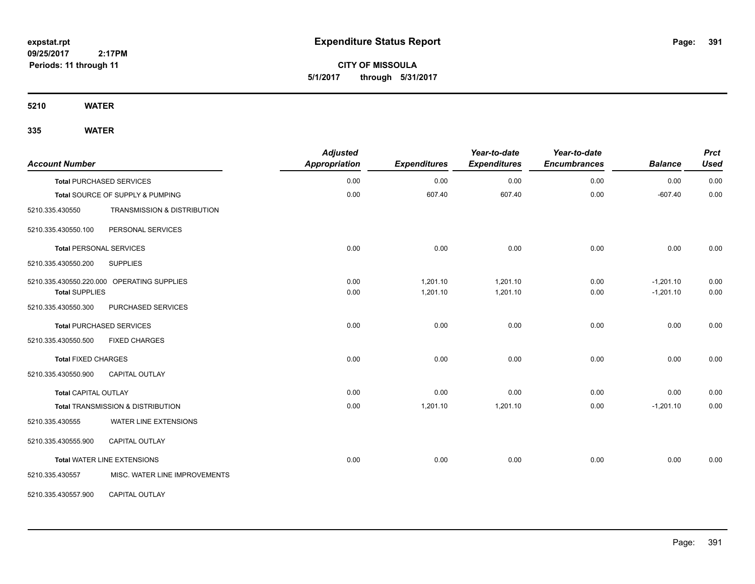**CITY OF MISSOULA 5/1/2017 through 5/31/2017**

**5210 WATER**

| <b>Account Number</b>                        |                                              | <b>Adjusted</b><br><b>Appropriation</b> | <b>Expenditures</b>  | Year-to-date<br><b>Expenditures</b> | Year-to-date<br><b>Encumbrances</b> | <b>Balance</b> | <b>Prct</b><br><b>Used</b> |
|----------------------------------------------|----------------------------------------------|-----------------------------------------|----------------------|-------------------------------------|-------------------------------------|----------------|----------------------------|
|                                              | <b>Total PURCHASED SERVICES</b>              | 0.00                                    | 0.00                 | 0.00                                | 0.00                                | 0.00           | 0.00                       |
|                                              | Total SOURCE OF SUPPLY & PUMPING             | 0.00                                    | 607.40               | 607.40                              | 0.00                                | $-607.40$      | 0.00                       |
| 5210.335.430550                              | TRANSMISSION & DISTRIBUTION                  |                                         |                      |                                     |                                     |                |                            |
| 5210.335.430550.100                          | PERSONAL SERVICES                            |                                         |                      |                                     |                                     |                |                            |
| <b>Total PERSONAL SERVICES</b>               |                                              | 0.00                                    | 0.00                 | 0.00                                | 0.00                                | 0.00           | 0.00                       |
| 5210.335.430550.200                          | <b>SUPPLIES</b>                              |                                         |                      |                                     |                                     |                |                            |
|                                              | 5210.335.430550.220.000 OPERATING SUPPLIES   | 0.00                                    | 1,201.10<br>1,201.10 | 1,201.10                            | 0.00                                | $-1,201.10$    | 0.00                       |
| <b>Total SUPPLIES</b><br>5210.335.430550.300 | PURCHASED SERVICES                           | 0.00                                    |                      | 1,201.10                            | 0.00                                | $-1,201.10$    | 0.00                       |
|                                              | <b>Total PURCHASED SERVICES</b>              | 0.00                                    | 0.00                 | 0.00                                | 0.00                                | 0.00           | 0.00                       |
| 5210.335.430550.500                          | <b>FIXED CHARGES</b>                         |                                         |                      |                                     |                                     |                |                            |
| <b>Total FIXED CHARGES</b>                   |                                              | 0.00                                    | 0.00                 | 0.00                                | 0.00                                | 0.00           | 0.00                       |
| 5210.335.430550.900                          | CAPITAL OUTLAY                               |                                         |                      |                                     |                                     |                |                            |
| <b>Total CAPITAL OUTLAY</b>                  |                                              | 0.00                                    | 0.00                 | 0.00                                | 0.00                                | 0.00           | 0.00                       |
|                                              | <b>Total TRANSMISSION &amp; DISTRIBUTION</b> | 0.00                                    | 1,201.10             | 1,201.10                            | 0.00                                | $-1,201.10$    | 0.00                       |
| 5210.335.430555                              | WATER LINE EXTENSIONS                        |                                         |                      |                                     |                                     |                |                            |
| 5210.335.430555.900                          | <b>CAPITAL OUTLAY</b>                        |                                         |                      |                                     |                                     |                |                            |
|                                              | <b>Total WATER LINE EXTENSIONS</b>           | 0.00                                    | 0.00                 | 0.00                                | 0.00                                | 0.00           | 0.00                       |
| 5210.335.430557                              | MISC. WATER LINE IMPROVEMENTS                |                                         |                      |                                     |                                     |                |                            |
| 5210.335.430557.900                          | CAPITAL OUTLAY                               |                                         |                      |                                     |                                     |                |                            |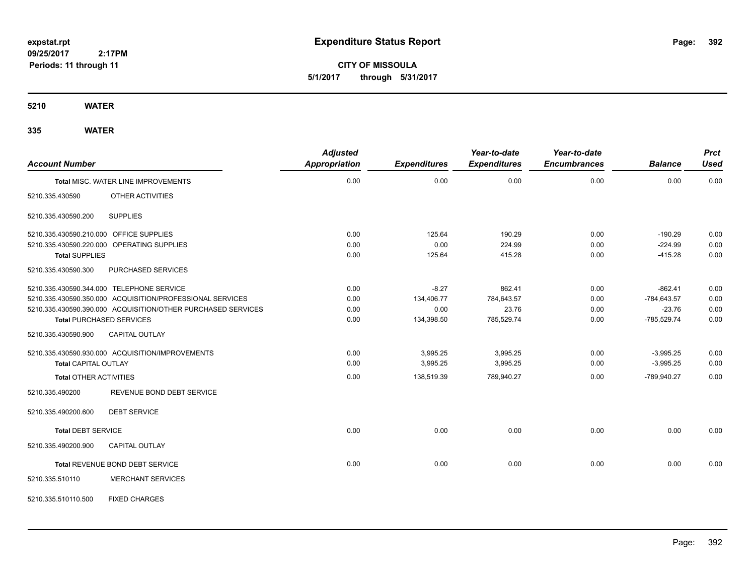**CITY OF MISSOULA 5/1/2017 through 5/31/2017**

**5210 WATER**

| <b>Account Number</b>         |                                                              | <b>Adjusted</b><br><b>Appropriation</b> | <b>Expenditures</b> | Year-to-date<br><b>Expenditures</b> | Year-to-date<br><b>Encumbrances</b> | <b>Balance</b> | <b>Prct</b><br><b>Used</b> |
|-------------------------------|--------------------------------------------------------------|-----------------------------------------|---------------------|-------------------------------------|-------------------------------------|----------------|----------------------------|
|                               | <b>Total MISC. WATER LINE IMPROVEMENTS</b>                   | 0.00                                    | 0.00                | 0.00                                | 0.00                                | 0.00           | 0.00                       |
| 5210.335.430590               | OTHER ACTIVITIES                                             |                                         |                     |                                     |                                     |                |                            |
| 5210.335.430590.200           | <b>SUPPLIES</b>                                              |                                         |                     |                                     |                                     |                |                            |
|                               | 5210.335.430590.210.000 OFFICE SUPPLIES                      | 0.00                                    | 125.64              | 190.29                              | 0.00                                | $-190.29$      | 0.00                       |
|                               | 5210.335.430590.220.000 OPERATING SUPPLIES                   | 0.00                                    | 0.00                | 224.99                              | 0.00                                | $-224.99$      | 0.00                       |
| <b>Total SUPPLIES</b>         |                                                              | 0.00                                    | 125.64              | 415.28                              | 0.00                                | $-415.28$      | 0.00                       |
| 5210.335.430590.300           | PURCHASED SERVICES                                           |                                         |                     |                                     |                                     |                |                            |
|                               | 5210.335.430590.344.000 TELEPHONE SERVICE                    | 0.00                                    | $-8.27$             | 862.41                              | 0.00                                | $-862.41$      | 0.00                       |
|                               | 5210.335.430590.350.000 ACQUISITION/PROFESSIONAL SERVICES    | 0.00                                    | 134,406.77          | 784,643.57                          | 0.00                                | $-784,643.57$  | 0.00                       |
|                               | 5210.335.430590.390.000 ACQUISITION/OTHER PURCHASED SERVICES | 0.00                                    | 0.00                | 23.76                               | 0.00                                | $-23.76$       | 0.00                       |
|                               | <b>Total PURCHASED SERVICES</b>                              | 0.00                                    | 134,398.50          | 785,529.74                          | 0.00                                | $-785,529.74$  | 0.00                       |
| 5210.335.430590.900           | <b>CAPITAL OUTLAY</b>                                        |                                         |                     |                                     |                                     |                |                            |
|                               | 5210.335.430590.930.000 ACQUISITION/IMPROVEMENTS             | 0.00                                    | 3,995.25            | 3,995.25                            | 0.00                                | $-3,995.25$    | 0.00                       |
| <b>Total CAPITAL OUTLAY</b>   |                                                              | 0.00                                    | 3,995.25            | 3,995.25                            | 0.00                                | $-3,995.25$    | 0.00                       |
| <b>Total OTHER ACTIVITIES</b> |                                                              | 0.00                                    | 138,519.39          | 789,940.27                          | 0.00                                | -789,940.27    | 0.00                       |
| 5210.335.490200               | REVENUE BOND DEBT SERVICE                                    |                                         |                     |                                     |                                     |                |                            |
| 5210.335.490200.600           | <b>DEBT SERVICE</b>                                          |                                         |                     |                                     |                                     |                |                            |
| <b>Total DEBT SERVICE</b>     |                                                              | 0.00                                    | 0.00                | 0.00                                | 0.00                                | 0.00           | 0.00                       |
| 5210.335.490200.900           | <b>CAPITAL OUTLAY</b>                                        |                                         |                     |                                     |                                     |                |                            |
|                               | Total REVENUE BOND DEBT SERVICE                              | 0.00                                    | 0.00                | 0.00                                | 0.00                                | 0.00           | 0.00                       |
| 5210.335.510110               | <b>MERCHANT SERVICES</b>                                     |                                         |                     |                                     |                                     |                |                            |
| 5210.335.510110.500           | <b>FIXED CHARGES</b>                                         |                                         |                     |                                     |                                     |                |                            |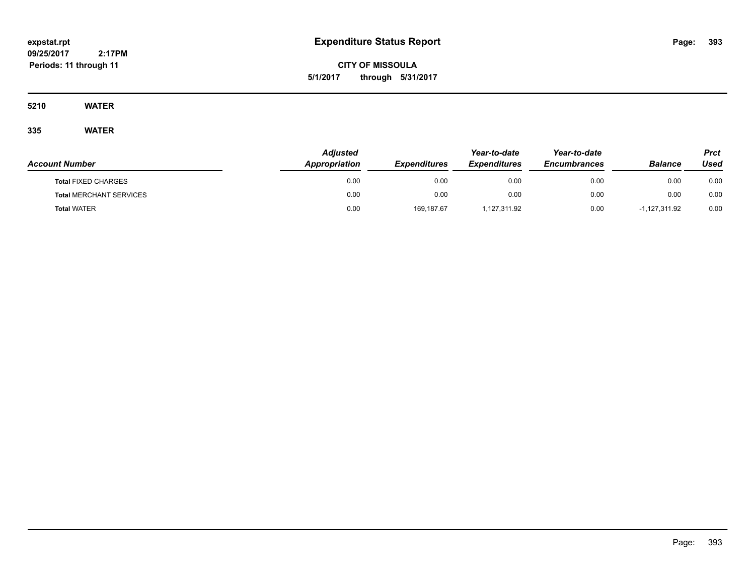**CITY OF MISSOULA 5/1/2017 through 5/31/2017**

**5210 WATER**

|                                | <b>Adjusted</b>      |                     | Year-to-date        | Year-to-date               |                 | Prct |
|--------------------------------|----------------------|---------------------|---------------------|----------------------------|-----------------|------|
| <b>Account Number</b>          | <b>Appropriation</b> | <b>Expenditures</b> | <b>Expenditures</b> | <i><b>Encumbrances</b></i> | <b>Balance</b>  | Used |
| <b>Total FIXED CHARGES</b>     | 0.00                 | 0.00                | 0.00                | 0.00                       | 0.00            | 0.00 |
| <b>Total MERCHANT SERVICES</b> | 0.00                 | 0.00                | 0.00                | 0.00                       | 0.00            | 0.00 |
| <b>Total WATER</b>             | 0.00                 | 169,187.67          | 1,127,311.92        | 0.00                       | $-1,127,311.92$ | 0.00 |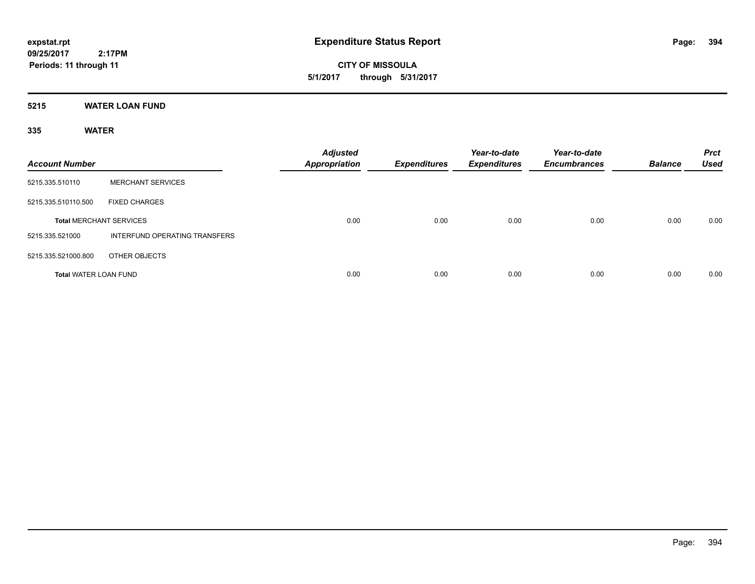**CITY OF MISSOULA 5/1/2017 through 5/31/2017**

**5215 WATER LOAN FUND**

| <b>Account Number</b>          |                               | <b>Adjusted</b><br>Appropriation | Expenditures | Year-to-date<br><b>Expenditures</b> | Year-to-date<br><b>Encumbrances</b> | <b>Balance</b> | <b>Prct</b><br><b>Used</b> |
|--------------------------------|-------------------------------|----------------------------------|--------------|-------------------------------------|-------------------------------------|----------------|----------------------------|
| 5215.335.510110                | <b>MERCHANT SERVICES</b>      |                                  |              |                                     |                                     |                |                            |
| 5215.335.510110.500            | <b>FIXED CHARGES</b>          |                                  |              |                                     |                                     |                |                            |
| <b>Total MERCHANT SERVICES</b> |                               | 0.00                             | 0.00         | 0.00                                | 0.00                                | 0.00           | 0.00                       |
| 5215.335.521000                | INTERFUND OPERATING TRANSFERS |                                  |              |                                     |                                     |                |                            |
| 5215.335.521000.800            | OTHER OBJECTS                 |                                  |              |                                     |                                     |                |                            |
| <b>Total WATER LOAN FUND</b>   |                               | 0.00                             | 0.00         | 0.00                                | 0.00                                | 0.00           | 0.00                       |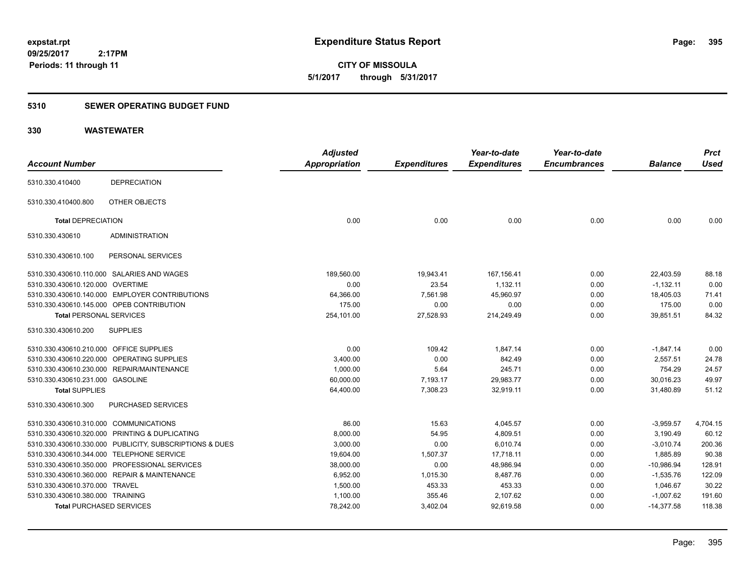**CITY OF MISSOULA 5/1/2017 through 5/31/2017**

### **5310 SEWER OPERATING BUDGET FUND**

### **330 WASTEWATER**

| <b>Account Number</b>                                   | <b>Adjusted</b><br><b>Appropriation</b> | <b>Expenditures</b> | Year-to-date<br><b>Expenditures</b> | Year-to-date<br><b>Encumbrances</b> | <b>Balance</b> | <b>Prct</b><br><b>Used</b> |
|---------------------------------------------------------|-----------------------------------------|---------------------|-------------------------------------|-------------------------------------|----------------|----------------------------|
| <b>DEPRECIATION</b><br>5310.330.410400                  |                                         |                     |                                     |                                     |                |                            |
| OTHER OBJECTS<br>5310.330.410400.800                    |                                         |                     |                                     |                                     |                |                            |
| <b>Total DEPRECIATION</b>                               | 0.00                                    | 0.00                | 0.00                                | 0.00                                | 0.00           | 0.00                       |
| <b>ADMINISTRATION</b><br>5310.330.430610                |                                         |                     |                                     |                                     |                |                            |
| PERSONAL SERVICES<br>5310.330.430610.100                |                                         |                     |                                     |                                     |                |                            |
| 5310.330.430610.110.000 SALARIES AND WAGES              | 189,560.00                              | 19,943.41           | 167,156.41                          | 0.00                                | 22,403.59      | 88.18                      |
| 5310.330.430610.120.000 OVERTIME                        | 0.00                                    | 23.54               | 1,132.11                            | 0.00                                | $-1,132.11$    | 0.00                       |
| 5310.330.430610.140.000 EMPLOYER CONTRIBUTIONS          | 64,366.00                               | 7,561.98            | 45,960.97                           | 0.00                                | 18,405.03      | 71.41                      |
| 5310.330.430610.145.000 OPEB CONTRIBUTION               | 175.00                                  | 0.00                | 0.00                                | 0.00                                | 175.00         | 0.00                       |
| <b>Total PERSONAL SERVICES</b>                          | 254,101.00                              | 27,528.93           | 214,249.49                          | 0.00                                | 39,851.51      | 84.32                      |
| 5310.330.430610.200<br><b>SUPPLIES</b>                  |                                         |                     |                                     |                                     |                |                            |
| 5310.330.430610.210.000 OFFICE SUPPLIES                 | 0.00                                    | 109.42              | 1,847.14                            | 0.00                                | $-1,847.14$    | 0.00                       |
| 5310.330.430610.220.000 OPERATING SUPPLIES              | 3,400.00                                | 0.00                | 842.49                              | 0.00                                | 2,557.51       | 24.78                      |
| 5310.330.430610.230.000 REPAIR/MAINTENANCE              | 1,000.00                                | 5.64                | 245.71                              | 0.00                                | 754.29         | 24.57                      |
| 5310.330.430610.231.000 GASOLINE                        | 60,000.00                               | 7,193.17            | 29,983.77                           | 0.00                                | 30,016.23      | 49.97                      |
| <b>Total SUPPLIES</b>                                   | 64,400.00                               | 7,308.23            | 32,919.11                           | 0.00                                | 31,480.89      | 51.12                      |
| PURCHASED SERVICES<br>5310.330.430610.300               |                                         |                     |                                     |                                     |                |                            |
| 5310.330.430610.310.000 COMMUNICATIONS                  | 86.00                                   | 15.63               | 4,045.57                            | 0.00                                | $-3,959.57$    | 4,704.15                   |
| 5310.330.430610.320.000 PRINTING & DUPLICATING          | 8,000.00                                | 54.95               | 4,809.51                            | 0.00                                | 3,190.49       | 60.12                      |
| 5310.330.430610.330.000 PUBLICITY, SUBSCRIPTIONS & DUES | 3,000.00                                | 0.00                | 6,010.74                            | 0.00                                | $-3,010.74$    | 200.36                     |
| 5310.330.430610.344.000 TELEPHONE SERVICE               | 19,604.00                               | 1,507.37            | 17,718.11                           | 0.00                                | 1,885.89       | 90.38                      |
| 5310.330.430610.350.000 PROFESSIONAL SERVICES           | 38,000.00                               | 0.00                | 48.986.94                           | 0.00                                | $-10.986.94$   | 128.91                     |
| 5310.330.430610.360.000 REPAIR & MAINTENANCE            | 6,952.00                                | 1,015.30            | 8,487.76                            | 0.00                                | $-1,535.76$    | 122.09                     |
| 5310.330.430610.370.000 TRAVEL                          | 1,500.00                                | 453.33              | 453.33                              | 0.00                                | 1,046.67       | 30.22                      |
| 5310.330.430610.380.000 TRAINING                        | 1,100.00                                | 355.46              | 2,107.62                            | 0.00                                | $-1,007.62$    | 191.60                     |
| <b>Total PURCHASED SERVICES</b>                         | 78,242.00                               | 3,402.04            | 92,619.58                           | 0.00                                | $-14,377.58$   | 118.38                     |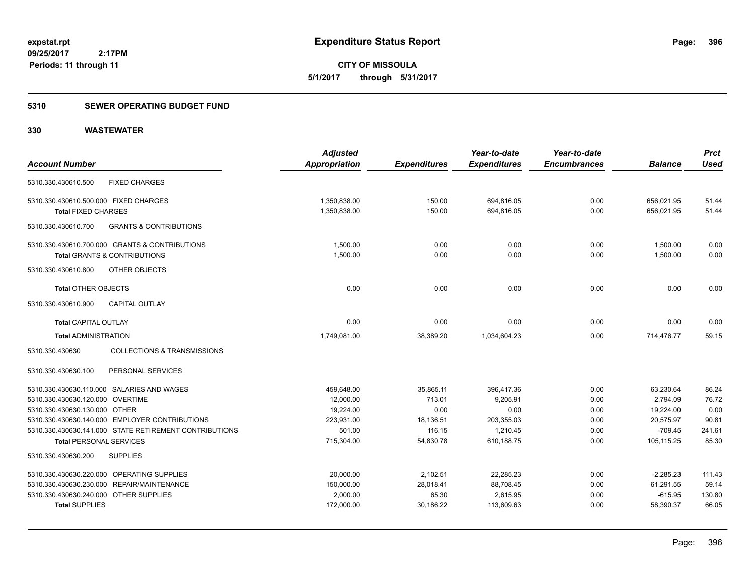**396**

**09/25/2017 2:17PM Periods: 11 through 11**

**CITY OF MISSOULA 5/1/2017 through 5/31/2017**

#### **5310 SEWER OPERATING BUDGET FUND**

### **330 WASTEWATER**

| <b>Account Number</b>                                     | <b>Adjusted</b><br><b>Appropriation</b> | <b>Expenditures</b> | Year-to-date<br><b>Expenditures</b> | Year-to-date<br><b>Encumbrances</b> | <b>Balance</b> | <b>Prct</b><br><b>Used</b> |
|-----------------------------------------------------------|-----------------------------------------|---------------------|-------------------------------------|-------------------------------------|----------------|----------------------------|
|                                                           |                                         |                     |                                     |                                     |                |                            |
| <b>FIXED CHARGES</b><br>5310.330.430610.500               |                                         |                     |                                     |                                     |                |                            |
| 5310.330.430610.500.000 FIXED CHARGES                     | 1,350,838.00                            | 150.00              | 694,816.05                          | 0.00                                | 656,021.95     | 51.44                      |
| <b>Total FIXED CHARGES</b>                                | 1,350,838.00                            | 150.00              | 694,816.05                          | 0.00                                | 656,021.95     | 51.44                      |
| <b>GRANTS &amp; CONTRIBUTIONS</b><br>5310.330.430610.700  |                                         |                     |                                     |                                     |                |                            |
| 5310.330.430610.700.000 GRANTS & CONTRIBUTIONS            | 1.500.00                                | 0.00                | 0.00                                | 0.00                                | 1,500.00       | 0.00                       |
| <b>Total GRANTS &amp; CONTRIBUTIONS</b>                   | 1,500.00                                | 0.00                | 0.00                                | 0.00                                | 1,500.00       | 0.00                       |
| 5310.330.430610.800<br>OTHER OBJECTS                      |                                         |                     |                                     |                                     |                |                            |
| <b>Total OTHER OBJECTS</b>                                | 0.00                                    | 0.00                | 0.00                                | 0.00                                | 0.00           | 0.00                       |
| <b>CAPITAL OUTLAY</b><br>5310.330.430610.900              |                                         |                     |                                     |                                     |                |                            |
| <b>Total CAPITAL OUTLAY</b>                               | 0.00                                    | 0.00                | 0.00                                | 0.00                                | 0.00           | 0.00                       |
| <b>Total ADMINISTRATION</b>                               | 1,749,081.00                            | 38,389.20           | 1,034,604.23                        | 0.00                                | 714,476.77     | 59.15                      |
| <b>COLLECTIONS &amp; TRANSMISSIONS</b><br>5310.330.430630 |                                         |                     |                                     |                                     |                |                            |
| PERSONAL SERVICES<br>5310.330.430630.100                  |                                         |                     |                                     |                                     |                |                            |
| 5310.330.430630.110.000 SALARIES AND WAGES                | 459,648.00                              | 35,865.11           | 396,417.36                          | 0.00                                | 63,230.64      | 86.24                      |
| 5310.330.430630.120.000 OVERTIME                          | 12,000.00                               | 713.01              | 9.205.91                            | 0.00                                | 2.794.09       | 76.72                      |
| 5310.330.430630.130.000 OTHER                             | 19,224.00                               | 0.00                | 0.00                                | 0.00                                | 19,224.00      | 0.00                       |
| 5310.330.430630.140.000 EMPLOYER CONTRIBUTIONS            | 223,931.00                              | 18,136.51           | 203,355.03                          | 0.00                                | 20,575.97      | 90.81                      |
| 5310.330.430630.141.000 STATE RETIREMENT CONTRIBUTIONS    | 501.00                                  | 116.15              | 1,210.45                            | 0.00                                | $-709.45$      | 241.61                     |
| <b>Total PERSONAL SERVICES</b>                            | 715,304.00                              | 54,830.78           | 610,188.75                          | 0.00                                | 105,115.25     | 85.30                      |
| 5310.330.430630.200<br><b>SUPPLIES</b>                    |                                         |                     |                                     |                                     |                |                            |
| 5310.330.430630.220.000 OPERATING SUPPLIES                | 20,000.00                               | 2,102.51            | 22,285.23                           | 0.00                                | $-2,285.23$    | 111.43                     |
| 5310.330.430630.230.000 REPAIR/MAINTENANCE                | 150,000.00                              | 28,018.41           | 88,708.45                           | 0.00                                | 61,291.55      | 59.14                      |
| 5310.330.430630.240.000 OTHER SUPPLIES                    | 2,000.00                                | 65.30               | 2,615.95                            | 0.00                                | $-615.95$      | 130.80                     |
| <b>Total SUPPLIES</b>                                     | 172,000.00                              | 30,186.22           | 113,609.63                          | 0.00                                | 58,390.37      | 66.05                      |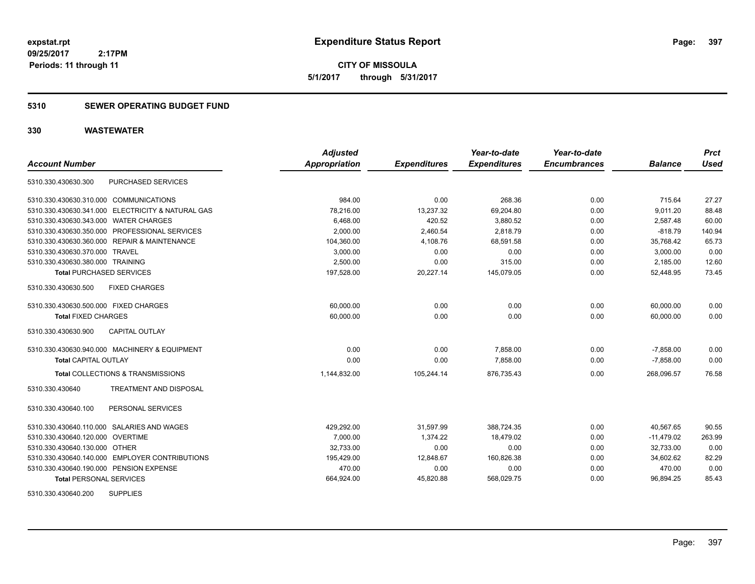**CITY OF MISSOULA 5/1/2017 through 5/31/2017**

### **5310 SEWER OPERATING BUDGET FUND**

### **330 WASTEWATER**

|                                                   | <b>Adjusted</b>      |                     | Year-to-date        | Year-to-date        |                | <b>Prct</b> |
|---------------------------------------------------|----------------------|---------------------|---------------------|---------------------|----------------|-------------|
| <b>Account Number</b>                             | <b>Appropriation</b> | <b>Expenditures</b> | <b>Expenditures</b> | <b>Encumbrances</b> | <b>Balance</b> | <b>Used</b> |
| <b>PURCHASED SERVICES</b><br>5310.330.430630.300  |                      |                     |                     |                     |                |             |
| 5310.330.430630.310.000 COMMUNICATIONS            | 984.00               | 0.00                | 268.36              | 0.00                | 715.64         | 27.27       |
| 5310.330.430630.341.000 ELECTRICITY & NATURAL GAS | 78,216.00            | 13,237.32           | 69,204.80           | 0.00                | 9,011.20       | 88.48       |
| 5310.330.430630.343.000 WATER CHARGES             | 6,468.00             | 420.52              | 3,880.52            | 0.00                | 2,587.48       | 60.00       |
| 5310.330.430630.350.000 PROFESSIONAL SERVICES     | 2.000.00             | 2,460.54            | 2.818.79            | 0.00                | $-818.79$      | 140.94      |
| 5310.330.430630.360.000 REPAIR & MAINTENANCE      | 104,360.00           | 4,108.76            | 68,591.58           | 0.00                | 35,768.42      | 65.73       |
| 5310.330.430630.370.000 TRAVEL                    | 3,000.00             | 0.00                | 0.00                | 0.00                | 3,000.00       | 0.00        |
| 5310.330.430630.380.000 TRAINING                  | 2,500.00             | 0.00                | 315.00              | 0.00                | 2,185.00       | 12.60       |
| <b>Total PURCHASED SERVICES</b>                   | 197,528.00           | 20,227.14           | 145,079.05          | 0.00                | 52,448.95      | 73.45       |
| <b>FIXED CHARGES</b><br>5310.330.430630.500       |                      |                     |                     |                     |                |             |
| 5310.330.430630.500.000 FIXED CHARGES             | 60,000.00            | 0.00                | 0.00                | 0.00                | 60,000.00      | 0.00        |
| <b>Total FIXED CHARGES</b>                        | 60,000.00            | 0.00                | 0.00                | 0.00                | 60.000.00      | 0.00        |
| <b>CAPITAL OUTLAY</b><br>5310.330.430630.900      |                      |                     |                     |                     |                |             |
| 5310.330.430630.940.000 MACHINERY & EQUIPMENT     | 0.00                 | 0.00                | 7,858.00            | 0.00                | $-7,858.00$    | 0.00        |
| <b>Total CAPITAL OUTLAY</b>                       | 0.00                 | 0.00                | 7,858.00            | 0.00                | $-7,858.00$    | 0.00        |
| <b>Total COLLECTIONS &amp; TRANSMISSIONS</b>      | 1,144,832.00         | 105,244.14          | 876,735.43          | 0.00                | 268,096.57     | 76.58       |
| TREATMENT AND DISPOSAL<br>5310.330.430640         |                      |                     |                     |                     |                |             |
| PERSONAL SERVICES<br>5310.330.430640.100          |                      |                     |                     |                     |                |             |
| 5310.330.430640.110.000 SALARIES AND WAGES        | 429,292.00           | 31,597.99           | 388,724.35          | 0.00                | 40,567.65      | 90.55       |
| 5310.330.430640.120.000 OVERTIME                  | 7,000.00             | 1,374.22            | 18,479.02           | 0.00                | $-11,479.02$   | 263.99      |
| 5310.330.430640.130.000 OTHER                     | 32,733.00            | 0.00                | 0.00                | 0.00                | 32,733.00      | 0.00        |
| 5310.330.430640.140.000 EMPLOYER CONTRIBUTIONS    | 195,429.00           | 12,848.67           | 160,826.38          | 0.00                | 34.602.62      | 82.29       |
| 5310.330.430640.190.000 PENSION EXPENSE           | 470.00               | 0.00                | 0.00                | 0.00                | 470.00         | 0.00        |
| <b>Total PERSONAL SERVICES</b>                    | 664,924.00           | 45,820.88           | 568,029.75          | 0.00                | 96,894.25      | 85.43       |

5310.330.430640.200 SUPPLIES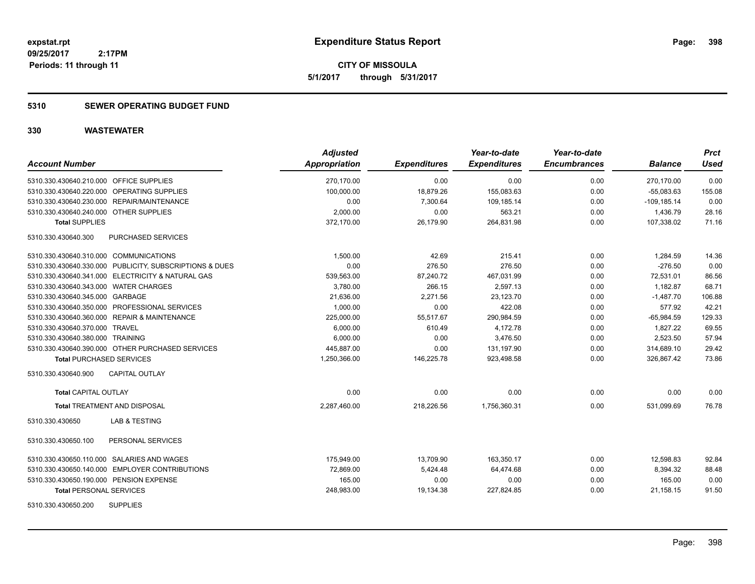**CITY OF MISSOULA 5/1/2017 through 5/31/2017**

### **5310 SEWER OPERATING BUDGET FUND**

| <b>Account Number</b>                                    | <b>Adjusted</b><br>Appropriation | <b>Expenditures</b> | Year-to-date<br><b>Expenditures</b> | Year-to-date<br><b>Encumbrances</b> | <b>Balance</b> | <b>Prct</b><br><b>Used</b> |
|----------------------------------------------------------|----------------------------------|---------------------|-------------------------------------|-------------------------------------|----------------|----------------------------|
| 5310.330.430640.210.000 OFFICE SUPPLIES                  | 270,170.00                       | 0.00                | 0.00                                | 0.00                                | 270,170.00     | 0.00                       |
| 5310.330.430640.220.000 OPERATING SUPPLIES               | 100,000.00                       | 18,879.26           | 155,083.63                          | 0.00                                | $-55,083.63$   | 155.08                     |
| 5310.330.430640.230.000 REPAIR/MAINTENANCE               | 0.00                             | 7,300.64            | 109,185.14                          | 0.00                                | $-109, 185.14$ | 0.00                       |
| 5310.330.430640.240.000 OTHER SUPPLIES                   | 2,000.00                         | 0.00                | 563.21                              | 0.00                                | 1,436.79       | 28.16                      |
| <b>Total SUPPLIES</b>                                    | 372,170.00                       | 26,179.90           | 264,831.98                          | 0.00                                | 107,338.02     | 71.16                      |
| PURCHASED SERVICES<br>5310.330.430640.300                |                                  |                     |                                     |                                     |                |                            |
| 5310.330.430640.310.000 COMMUNICATIONS                   | 1,500.00                         | 42.69               | 215.41                              | 0.00                                | 1,284.59       | 14.36                      |
| 5310.330.430640.330.000 PUBLICITY, SUBSCRIPTIONS & DUES  | 0.00                             | 276.50              | 276.50                              | 0.00                                | $-276.50$      | 0.00                       |
| 5310.330.430640.341.000 ELECTRICITY & NATURAL GAS        | 539,563.00                       | 87,240.72           | 467,031.99                          | 0.00                                | 72,531.01      | 86.56                      |
| 5310.330.430640.343.000 WATER CHARGES                    | 3,780.00                         | 266.15              | 2,597.13                            | 0.00                                | 1,182.87       | 68.71                      |
| 5310.330.430640.345.000 GARBAGE                          | 21,636.00                        | 2,271.56            | 23,123.70                           | 0.00                                | $-1,487.70$    | 106.88                     |
| 5310.330.430640.350.000 PROFESSIONAL SERVICES            | 1,000.00                         | 0.00                | 422.08                              | 0.00                                | 577.92         | 42.21                      |
| 5310.330.430640.360.000 REPAIR & MAINTENANCE             | 225,000.00                       | 55,517.67           | 290,984.59                          | 0.00                                | $-65,984.59$   | 129.33                     |
| 5310.330.430640.370.000 TRAVEL                           | 6,000.00                         | 610.49              | 4,172.78                            | 0.00                                | 1.827.22       | 69.55                      |
| 5310.330.430640.380.000 TRAINING                         | 6,000.00                         | 0.00                | 3,476.50                            | 0.00                                | 2,523.50       | 57.94                      |
| 5310.330.430640.390.000 OTHER PURCHASED SERVICES         | 445,887.00                       | 0.00                | 131,197.90                          | 0.00                                | 314,689.10     | 29.42                      |
| <b>Total PURCHASED SERVICES</b>                          | 1,250,366.00                     | 146,225.78          | 923,498.58                          | 0.00                                | 326,867.42     | 73.86                      |
| 5310.330.430640.900<br><b>CAPITAL OUTLAY</b>             |                                  |                     |                                     |                                     |                |                            |
| <b>Total CAPITAL OUTLAY</b>                              | 0.00                             | 0.00                | 0.00                                | 0.00                                | 0.00           | 0.00                       |
| <b>Total TREATMENT AND DISPOSAL</b>                      | 2,287,460.00                     | 218,226.56          | 1,756,360.31                        | 0.00                                | 531,099.69     | 76.78                      |
| <b>LAB &amp; TESTING</b><br>5310.330.430650              |                                  |                     |                                     |                                     |                |                            |
| PERSONAL SERVICES<br>5310.330.430650.100                 |                                  |                     |                                     |                                     |                |                            |
| 5310.330.430650.110.000 SALARIES AND WAGES               | 175,949.00                       | 13,709.90           | 163,350.17                          | 0.00                                | 12,598.83      | 92.84                      |
| <b>EMPLOYER CONTRIBUTIONS</b><br>5310.330.430650.140.000 | 72,869.00                        | 5,424.48            | 64,474.68                           | 0.00                                | 8,394.32       | 88.48                      |
| 5310.330.430650.190.000 PENSION EXPENSE                  | 165.00                           | 0.00                | 0.00                                | 0.00                                | 165.00         | 0.00                       |
| <b>Total PERSONAL SERVICES</b>                           | 248,983.00                       | 19,134.38           | 227,824.85                          | 0.00                                | 21,158.15      | 91.50                      |
| <b>SUPPLIES</b><br>5310.330.430650.200                   |                                  |                     |                                     |                                     |                |                            |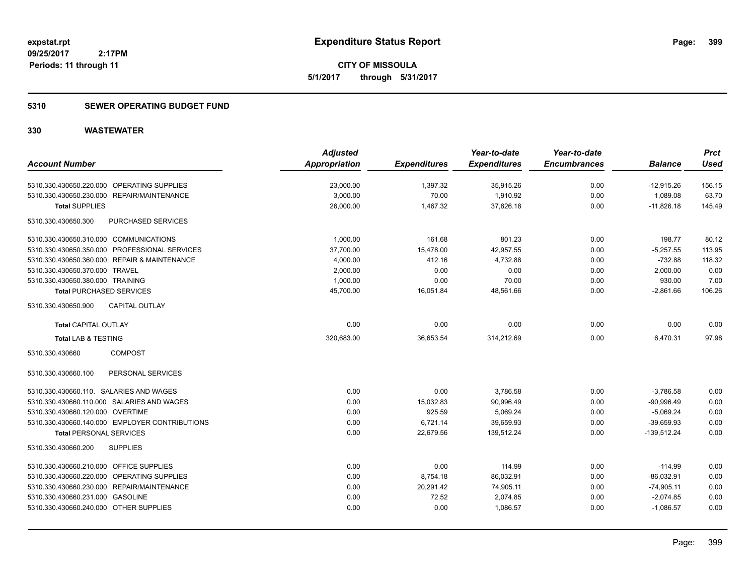**CITY OF MISSOULA 5/1/2017 through 5/31/2017**

### **5310 SEWER OPERATING BUDGET FUND**

|                                                | <b>Adjusted</b> |                     | Year-to-date        | Year-to-date        |                | <b>Prct</b> |
|------------------------------------------------|-----------------|---------------------|---------------------|---------------------|----------------|-------------|
| <b>Account Number</b>                          | Appropriation   | <b>Expenditures</b> | <b>Expenditures</b> | <b>Encumbrances</b> | <b>Balance</b> | <b>Used</b> |
| 5310.330.430650.220.000 OPERATING SUPPLIES     | 23,000.00       | 1,397.32            | 35,915.26           | 0.00                | $-12,915.26$   | 156.15      |
| 5310.330.430650.230.000 REPAIR/MAINTENANCE     | 3,000.00        | 70.00               | 1,910.92            | 0.00                | 1,089.08       | 63.70       |
| <b>Total SUPPLIES</b>                          | 26,000.00       | 1,467.32            | 37,826.18           | 0.00                | $-11,826.18$   | 145.49      |
| PURCHASED SERVICES<br>5310.330.430650.300      |                 |                     |                     |                     |                |             |
| 5310.330.430650.310.000 COMMUNICATIONS         | 1.000.00        | 161.68              | 801.23              | 0.00                | 198.77         | 80.12       |
| 5310.330.430650.350.000 PROFESSIONAL SERVICES  | 37,700.00       | 15,478.00           | 42,957.55           | 0.00                | $-5,257.55$    | 113.95      |
| 5310.330.430650.360.000 REPAIR & MAINTENANCE   | 4,000.00        | 412.16              | 4,732.88            | 0.00                | $-732.88$      | 118.32      |
| 5310.330.430650.370.000 TRAVEL                 | 2,000.00        | 0.00                | 0.00                | 0.00                | 2,000.00       | 0.00        |
| 5310.330.430650.380.000 TRAINING               | 1,000.00        | 0.00                | 70.00               | 0.00                | 930.00         | 7.00        |
| <b>Total PURCHASED SERVICES</b>                | 45,700.00       | 16,051.84           | 48,561.66           | 0.00                | $-2,861.66$    | 106.26      |
| <b>CAPITAL OUTLAY</b><br>5310.330.430650.900   |                 |                     |                     |                     |                |             |
| <b>Total CAPITAL OUTLAY</b>                    | 0.00            | 0.00                | 0.00                | 0.00                | 0.00           | 0.00        |
| <b>Total LAB &amp; TESTING</b>                 | 320,683.00      | 36,653.54           | 314,212.69          | 0.00                | 6,470.31       | 97.98       |
| <b>COMPOST</b><br>5310.330.430660              |                 |                     |                     |                     |                |             |
| PERSONAL SERVICES<br>5310.330.430660.100       |                 |                     |                     |                     |                |             |
| 5310.330.430660.110. SALARIES AND WAGES        | 0.00            | 0.00                | 3,786.58            | 0.00                | $-3,786.58$    | 0.00        |
| 5310.330.430660.110.000 SALARIES AND WAGES     | 0.00            | 15,032.83           | 90,996.49           | 0.00                | $-90,996.49$   | 0.00        |
| 5310.330.430660.120.000 OVERTIME               | 0.00            | 925.59              | 5,069.24            | 0.00                | $-5,069.24$    | 0.00        |
| 5310.330.430660.140.000 EMPLOYER CONTRIBUTIONS | 0.00            | 6,721.14            | 39,659.93           | 0.00                | $-39,659.93$   | 0.00        |
| <b>Total PERSONAL SERVICES</b>                 | 0.00            | 22,679.56           | 139,512.24          | 0.00                | $-139,512.24$  | 0.00        |
| 5310.330.430660.200<br><b>SUPPLIES</b>         |                 |                     |                     |                     |                |             |
| 5310.330.430660.210.000 OFFICE SUPPLIES        | 0.00            | 0.00                | 114.99              | 0.00                | $-114.99$      | 0.00        |
| 5310.330.430660.220.000 OPERATING SUPPLIES     | 0.00            | 8,754.18            | 86,032.91           | 0.00                | $-86,032.91$   | 0.00        |
| 5310.330.430660.230.000 REPAIR/MAINTENANCE     | 0.00            | 20,291.42           | 74,905.11           | 0.00                | $-74,905.11$   | 0.00        |
| 5310.330.430660.231.000 GASOLINE               | 0.00            | 72.52               | 2,074.85            | 0.00                | $-2,074.85$    | 0.00        |
| 5310.330.430660.240.000 OTHER SUPPLIES         | 0.00            | 0.00                | 1,086.57            | 0.00                | $-1,086.57$    | 0.00        |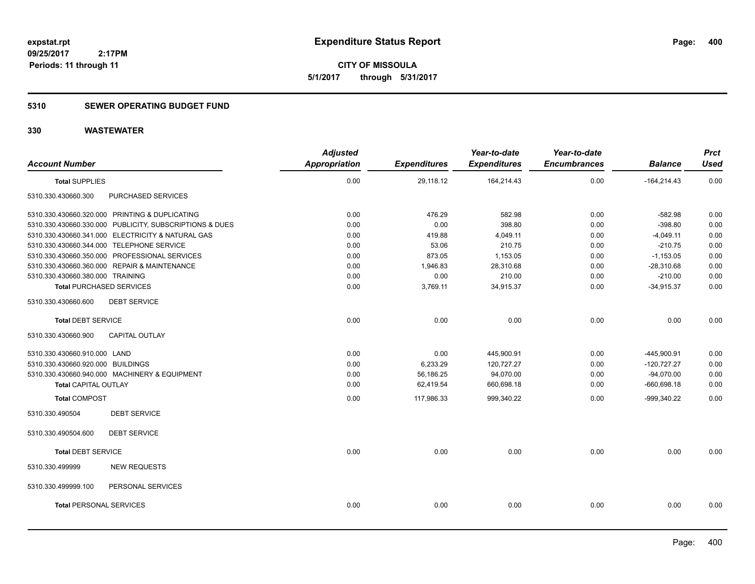**CITY OF MISSOULA 5/1/2017 through 5/31/2017**

### **5310 SEWER OPERATING BUDGET FUND**

| <b>Account Number</b>                                   |                    | <b>Adjusted</b><br><b>Appropriation</b> | <b>Expenditures</b> | Year-to-date<br><b>Expenditures</b> | Year-to-date<br><b>Encumbrances</b> | <b>Balance</b> | <b>Prct</b><br><b>Used</b> |
|---------------------------------------------------------|--------------------|-----------------------------------------|---------------------|-------------------------------------|-------------------------------------|----------------|----------------------------|
| <b>Total SUPPLIES</b>                                   |                    | 0.00                                    | 29,118.12           | 164,214.43                          | 0.00                                | $-164,214.43$  | 0.00                       |
| 5310.330.430660.300                                     | PURCHASED SERVICES |                                         |                     |                                     |                                     |                |                            |
| 5310.330.430660.320.000 PRINTING & DUPLICATING          |                    | 0.00                                    | 476.29              | 582.98                              | 0.00                                | $-582.98$      | 0.00                       |
| 5310.330.430660.330.000 PUBLICITY, SUBSCRIPTIONS & DUES |                    | 0.00                                    | 0.00                | 398.80                              | 0.00                                | $-398.80$      | 0.00                       |
| 5310.330.430660.341.000 ELECTRICITY & NATURAL GAS       |                    | 0.00                                    | 419.88              | 4,049.11                            | 0.00                                | $-4,049.11$    | 0.00                       |
| 5310.330.430660.344.000 TELEPHONE SERVICE               |                    | 0.00                                    | 53.06               | 210.75                              | 0.00                                | $-210.75$      | 0.00                       |
| 5310.330.430660.350.000 PROFESSIONAL SERVICES           |                    | 0.00                                    | 873.05              | 1,153.05                            | 0.00                                | $-1,153.05$    | 0.00                       |
| 5310.330.430660.360.000 REPAIR & MAINTENANCE            |                    | 0.00                                    | 1,946.83            | 28,310.68                           | 0.00                                | $-28,310.68$   | 0.00                       |
| 5310.330.430660.380.000 TRAINING                        |                    | 0.00                                    | 0.00                | 210.00                              | 0.00                                | $-210.00$      | 0.00                       |
| <b>Total PURCHASED SERVICES</b>                         |                    | 0.00                                    | 3,769.11            | 34,915.37                           | 0.00                                | $-34,915.37$   | 0.00                       |
| <b>DEBT SERVICE</b><br>5310.330.430660.600              |                    |                                         |                     |                                     |                                     |                |                            |
| <b>Total DEBT SERVICE</b>                               |                    | 0.00                                    | 0.00                | 0.00                                | 0.00                                | 0.00           | 0.00                       |
| <b>CAPITAL OUTLAY</b><br>5310.330.430660.900            |                    |                                         |                     |                                     |                                     |                |                            |
| 5310.330.430660.910.000 LAND                            |                    | 0.00                                    | 0.00                | 445,900.91                          | 0.00                                | -445.900.91    | 0.00                       |
| 5310.330.430660.920.000 BUILDINGS                       |                    | 0.00                                    | 6,233.29            | 120,727.27                          | 0.00                                | $-120,727.27$  | 0.00                       |
| 5310.330.430660.940.000 MACHINERY & EQUIPMENT           |                    | 0.00                                    | 56,186.25           | 94,070.00                           | 0.00                                | $-94,070.00$   | 0.00                       |
| <b>Total CAPITAL OUTLAY</b>                             |                    | 0.00                                    | 62,419.54           | 660,698.18                          | 0.00                                | $-660,698.18$  | 0.00                       |
| <b>Total COMPOST</b>                                    |                    | 0.00                                    | 117,986.33          | 999,340.22                          | 0.00                                | -999,340.22    | 0.00                       |
| 5310.330.490504<br><b>DEBT SERVICE</b>                  |                    |                                         |                     |                                     |                                     |                |                            |
| <b>DEBT SERVICE</b><br>5310.330.490504.600              |                    |                                         |                     |                                     |                                     |                |                            |
| <b>Total DEBT SERVICE</b>                               |                    | 0.00                                    | 0.00                | 0.00                                | 0.00                                | 0.00           | 0.00                       |
| <b>NEW REQUESTS</b><br>5310.330.499999                  |                    |                                         |                     |                                     |                                     |                |                            |
| 5310.330.499999.100                                     | PERSONAL SERVICES  |                                         |                     |                                     |                                     |                |                            |
| <b>Total PERSONAL SERVICES</b>                          |                    | 0.00                                    | 0.00                | 0.00                                | 0.00                                | 0.00           | 0.00                       |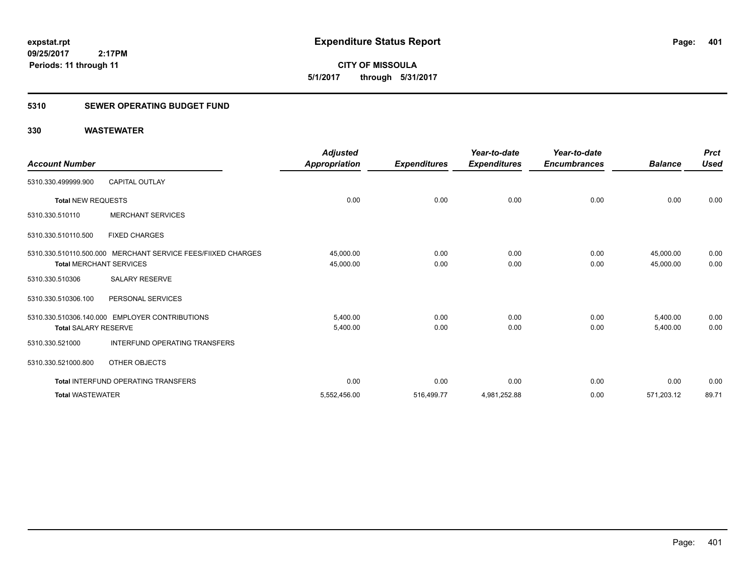**401**

**09/25/2017 2:17PM Periods: 11 through 11**

**CITY OF MISSOULA 5/1/2017 through 5/31/2017**

### **5310 SEWER OPERATING BUDGET FUND**

| <b>Account Number</b>                                                                          | <b>Adjusted</b><br>Appropriation | <b>Expenditures</b> | Year-to-date<br><b>Expenditures</b> | Year-to-date<br><b>Encumbrances</b> | <b>Balance</b>         | <b>Prct</b><br><b>Used</b> |
|------------------------------------------------------------------------------------------------|----------------------------------|---------------------|-------------------------------------|-------------------------------------|------------------------|----------------------------|
| <b>CAPITAL OUTLAY</b><br>5310.330.499999.900                                                   |                                  |                     |                                     |                                     |                        |                            |
| <b>Total NEW REQUESTS</b>                                                                      | 0.00                             | 0.00                | 0.00                                | 0.00                                | 0.00                   | 0.00                       |
| <b>MERCHANT SERVICES</b><br>5310.330.510110                                                    |                                  |                     |                                     |                                     |                        |                            |
| 5310.330.510110.500<br><b>FIXED CHARGES</b>                                                    |                                  |                     |                                     |                                     |                        |                            |
| 5310.330.510110.500.000 MERCHANT SERVICE FEES/FIIXED CHARGES<br><b>Total MERCHANT SERVICES</b> | 45,000.00<br>45,000.00           | 0.00<br>0.00        | 0.00<br>0.00                        | 0.00<br>0.00                        | 45,000.00<br>45,000.00 | 0.00<br>0.00               |
| <b>SALARY RESERVE</b><br>5310.330.510306                                                       |                                  |                     |                                     |                                     |                        |                            |
| 5310.330.510306.100<br>PERSONAL SERVICES                                                       |                                  |                     |                                     |                                     |                        |                            |
| 5310.330.510306.140.000 EMPLOYER CONTRIBUTIONS<br><b>Total SALARY RESERVE</b>                  | 5.400.00<br>5,400.00             | 0.00<br>0.00        | 0.00<br>0.00                        | 0.00<br>0.00                        | 5,400.00<br>5,400.00   | 0.00<br>0.00               |
| <b>INTERFUND OPERATING TRANSFERS</b><br>5310.330.521000                                        |                                  |                     |                                     |                                     |                        |                            |
| 5310.330.521000.800<br>OTHER OBJECTS                                                           |                                  |                     |                                     |                                     |                        |                            |
| <b>Total INTERFUND OPERATING TRANSFERS</b>                                                     | 0.00                             | 0.00                | 0.00                                | 0.00                                | 0.00                   | 0.00                       |
| <b>Total WASTEWATER</b>                                                                        | 5,552,456.00                     | 516,499.77          | 4,981,252.88                        | 0.00                                | 571,203.12             | 89.71                      |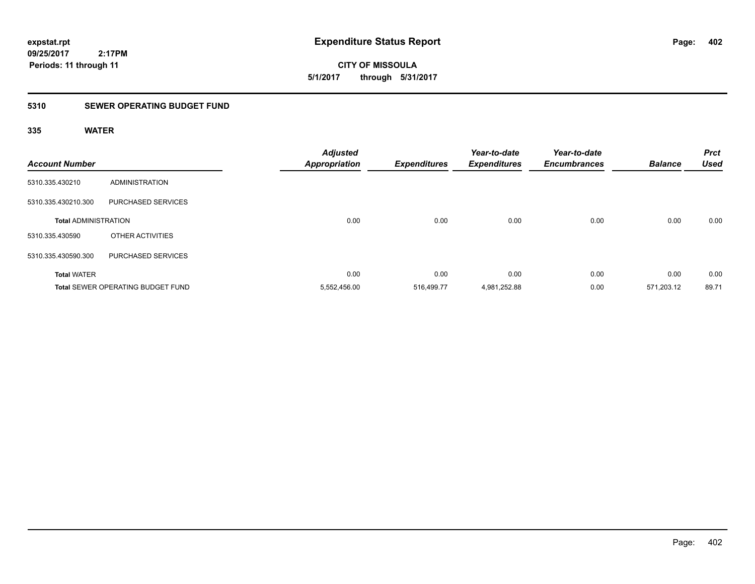**CITY OF MISSOULA 5/1/2017 through 5/31/2017**

### **5310 SEWER OPERATING BUDGET FUND**

### **335 WATER**

| <b>Account Number</b>       |                                          | <b>Adjusted</b><br><b>Appropriation</b> | <b>Expenditures</b> | Year-to-date<br><b>Expenditures</b> | Year-to-date<br><b>Encumbrances</b> | <b>Balance</b> | <b>Prct</b><br><b>Used</b> |
|-----------------------------|------------------------------------------|-----------------------------------------|---------------------|-------------------------------------|-------------------------------------|----------------|----------------------------|
| 5310.335.430210             | <b>ADMINISTRATION</b>                    |                                         |                     |                                     |                                     |                |                            |
| 5310.335.430210.300         | PURCHASED SERVICES                       |                                         |                     |                                     |                                     |                |                            |
| <b>Total ADMINISTRATION</b> |                                          | 0.00                                    | 0.00                | 0.00                                | 0.00                                | 0.00           | 0.00                       |
| 5310.335.430590             | OTHER ACTIVITIES                         |                                         |                     |                                     |                                     |                |                            |
| 5310.335.430590.300         | PURCHASED SERVICES                       |                                         |                     |                                     |                                     |                |                            |
| <b>Total WATER</b>          |                                          | 0.00                                    | 0.00                | 0.00                                | 0.00                                | 0.00           | 0.00                       |
|                             | <b>Total SEWER OPERATING BUDGET FUND</b> | 5,552,456.00                            | 516.499.77          | 4,981,252.88                        | 0.00                                | 571.203.12     | 89.71                      |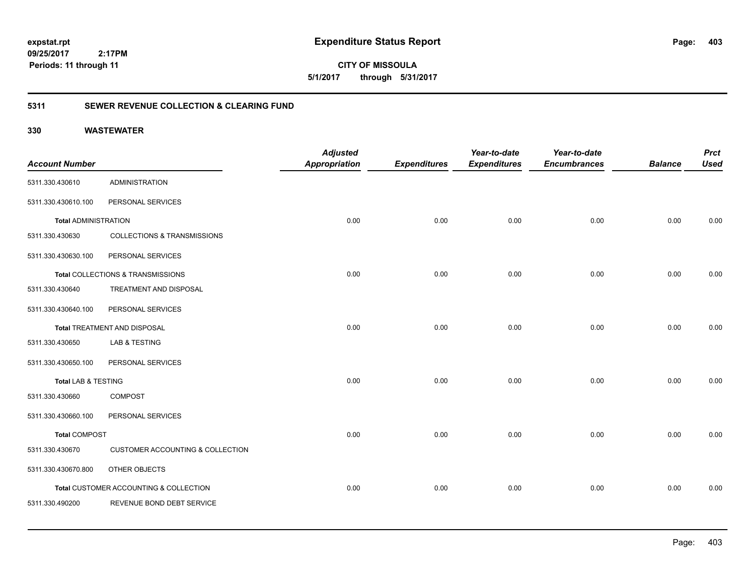**403**

**CITY OF MISSOULA 5/1/2017 through 5/31/2017**

### **5311 SEWER REVENUE COLLECTION & CLEARING FUND**

| <b>Account Number</b>          |                                        | <b>Adjusted</b><br>Appropriation | <b>Expenditures</b> | Year-to-date<br><b>Expenditures</b> | Year-to-date<br><b>Encumbrances</b> | <b>Balance</b> | <b>Prct</b><br><b>Used</b> |
|--------------------------------|----------------------------------------|----------------------------------|---------------------|-------------------------------------|-------------------------------------|----------------|----------------------------|
| 5311.330.430610                | <b>ADMINISTRATION</b>                  |                                  |                     |                                     |                                     |                |                            |
| 5311.330.430610.100            | PERSONAL SERVICES                      |                                  |                     |                                     |                                     |                |                            |
| <b>Total ADMINISTRATION</b>    |                                        | 0.00                             | 0.00                | 0.00                                | 0.00                                | 0.00           | 0.00                       |
| 5311.330.430630                | <b>COLLECTIONS &amp; TRANSMISSIONS</b> |                                  |                     |                                     |                                     |                |                            |
| 5311.330.430630.100            | PERSONAL SERVICES                      |                                  |                     |                                     |                                     |                |                            |
|                                | Total COLLECTIONS & TRANSMISSIONS      | 0.00                             | 0.00                | 0.00                                | 0.00                                | 0.00           | 0.00                       |
| 5311.330.430640                | TREATMENT AND DISPOSAL                 |                                  |                     |                                     |                                     |                |                            |
| 5311.330.430640.100            | PERSONAL SERVICES                      |                                  |                     |                                     |                                     |                |                            |
|                                | Total TREATMENT AND DISPOSAL           | 0.00                             | 0.00                | 0.00                                | 0.00                                | 0.00           | 0.00                       |
| 5311.330.430650                | <b>LAB &amp; TESTING</b>               |                                  |                     |                                     |                                     |                |                            |
| 5311.330.430650.100            | PERSONAL SERVICES                      |                                  |                     |                                     |                                     |                |                            |
| <b>Total LAB &amp; TESTING</b> |                                        | 0.00                             | 0.00                | 0.00                                | 0.00                                | 0.00           | 0.00                       |
| 5311.330.430660                | COMPOST                                |                                  |                     |                                     |                                     |                |                            |
| 5311.330.430660.100            | PERSONAL SERVICES                      |                                  |                     |                                     |                                     |                |                            |
| <b>Total COMPOST</b>           |                                        | 0.00                             | 0.00                | 0.00                                | 0.00                                | 0.00           | 0.00                       |
| 5311.330.430670                | CUSTOMER ACCOUNTING & COLLECTION       |                                  |                     |                                     |                                     |                |                            |
| 5311.330.430670.800            | OTHER OBJECTS                          |                                  |                     |                                     |                                     |                |                            |
|                                | Total CUSTOMER ACCOUNTING & COLLECTION | 0.00                             | 0.00                | 0.00                                | 0.00                                | 0.00           | 0.00                       |
| 5311.330.490200                | REVENUE BOND DEBT SERVICE              |                                  |                     |                                     |                                     |                |                            |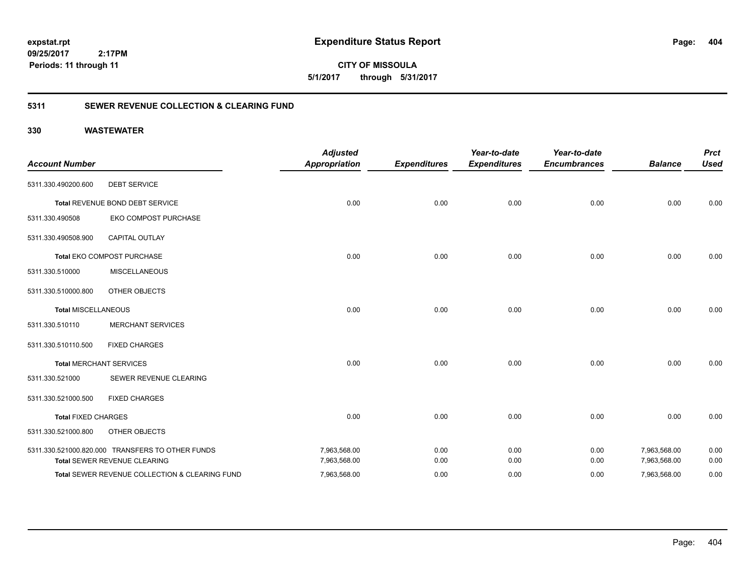**CITY OF MISSOULA 5/1/2017 through 5/31/2017**

### **5311 SEWER REVENUE COLLECTION & CLEARING FUND**

| <b>Account Number</b>      |                                                  | <b>Adjusted</b><br><b>Appropriation</b> | <b>Expenditures</b> | Year-to-date<br><b>Expenditures</b> | Year-to-date<br><b>Encumbrances</b> | <b>Balance</b> | <b>Prct</b><br><b>Used</b> |
|----------------------------|--------------------------------------------------|-----------------------------------------|---------------------|-------------------------------------|-------------------------------------|----------------|----------------------------|
| 5311.330.490200.600        | <b>DEBT SERVICE</b>                              |                                         |                     |                                     |                                     |                |                            |
|                            | Total REVENUE BOND DEBT SERVICE                  | 0.00                                    | 0.00                | 0.00                                | 0.00                                | 0.00           | 0.00                       |
| 5311.330.490508            | EKO COMPOST PURCHASE                             |                                         |                     |                                     |                                     |                |                            |
| 5311.330.490508.900        | <b>CAPITAL OUTLAY</b>                            |                                         |                     |                                     |                                     |                |                            |
|                            | Total EKO COMPOST PURCHASE                       | 0.00                                    | 0.00                | 0.00                                | 0.00                                | 0.00           | 0.00                       |
| 5311.330.510000            | <b>MISCELLANEOUS</b>                             |                                         |                     |                                     |                                     |                |                            |
| 5311.330.510000.800        | OTHER OBJECTS                                    |                                         |                     |                                     |                                     |                |                            |
| <b>Total MISCELLANEOUS</b> |                                                  | 0.00                                    | 0.00                | 0.00                                | 0.00                                | 0.00           | 0.00                       |
| 5311.330.510110            | <b>MERCHANT SERVICES</b>                         |                                         |                     |                                     |                                     |                |                            |
| 5311.330.510110.500        | <b>FIXED CHARGES</b>                             |                                         |                     |                                     |                                     |                |                            |
|                            | <b>Total MERCHANT SERVICES</b>                   | 0.00                                    | 0.00                | 0.00                                | 0.00                                | 0.00           | 0.00                       |
| 5311.330.521000            | SEWER REVENUE CLEARING                           |                                         |                     |                                     |                                     |                |                            |
| 5311.330.521000.500        | <b>FIXED CHARGES</b>                             |                                         |                     |                                     |                                     |                |                            |
| <b>Total FIXED CHARGES</b> |                                                  | 0.00                                    | 0.00                | 0.00                                | 0.00                                | 0.00           | 0.00                       |
| 5311.330.521000.800        | <b>OTHER OBJECTS</b>                             |                                         |                     |                                     |                                     |                |                            |
|                            | 5311.330.521000.820.000 TRANSFERS TO OTHER FUNDS | 7,963,568.00                            | 0.00                | 0.00                                | 0.00                                | 7,963,568.00   | 0.00                       |
|                            | Total SEWER REVENUE CLEARING                     | 7,963,568.00                            | 0.00                | 0.00                                | 0.00                                | 7,963,568.00   | 0.00                       |
|                            | Total SEWER REVENUE COLLECTION & CLEARING FUND   | 7,963,568.00                            | 0.00                | 0.00                                | 0.00                                | 7,963,568.00   | 0.00                       |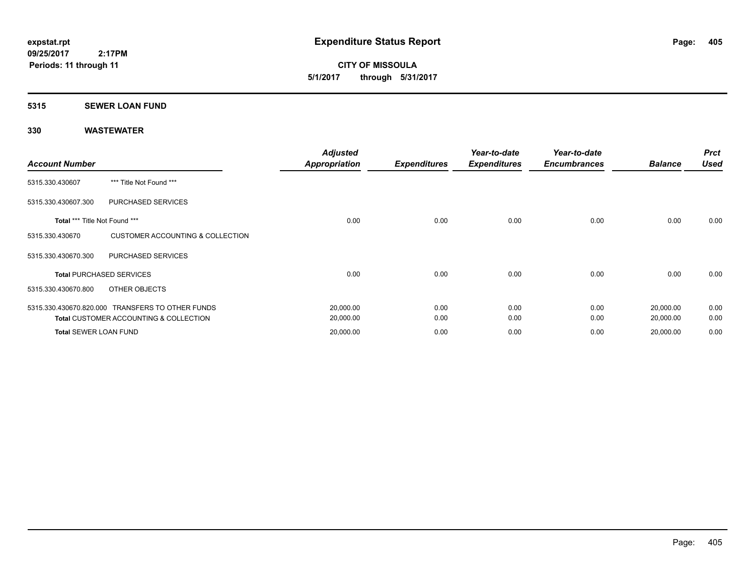**CITY OF MISSOULA 5/1/2017 through 5/31/2017**

#### **5315 SEWER LOAN FUND**

| <b>Account Number</b>         |                                                   | <b>Adjusted</b><br>Appropriation | <b>Expenditures</b> | Year-to-date<br><b>Expenditures</b> | Year-to-date<br><b>Encumbrances</b> | <b>Balance</b> | <b>Prct</b><br><b>Used</b> |
|-------------------------------|---------------------------------------------------|----------------------------------|---------------------|-------------------------------------|-------------------------------------|----------------|----------------------------|
| 5315.330.430607               | *** Title Not Found ***                           |                                  |                     |                                     |                                     |                |                            |
| 5315.330.430607.300           | PURCHASED SERVICES                                |                                  |                     |                                     |                                     |                |                            |
| Total *** Title Not Found *** |                                                   | 0.00                             | 0.00                | 0.00                                | 0.00                                | 0.00           | 0.00                       |
| 5315.330.430670               | <b>CUSTOMER ACCOUNTING &amp; COLLECTION</b>       |                                  |                     |                                     |                                     |                |                            |
| 5315.330.430670.300           | PURCHASED SERVICES                                |                                  |                     |                                     |                                     |                |                            |
|                               | <b>Total PURCHASED SERVICES</b>                   | 0.00                             | 0.00                | 0.00                                | 0.00                                | 0.00           | 0.00                       |
| 5315.330.430670.800           | OTHER OBJECTS                                     |                                  |                     |                                     |                                     |                |                            |
|                               | 5315.330.430670.820.000 TRANSFERS TO OTHER FUNDS  | 20,000.00                        | 0.00                | 0.00                                | 0.00                                | 20,000.00      | 0.00                       |
|                               | <b>Total CUSTOMER ACCOUNTING &amp; COLLECTION</b> | 20,000.00                        | 0.00                | 0.00                                | 0.00                                | 20,000.00      | 0.00                       |
| <b>Total SEWER LOAN FUND</b>  |                                                   | 20,000.00                        | 0.00                | 0.00                                | 0.00                                | 20,000.00      | 0.00                       |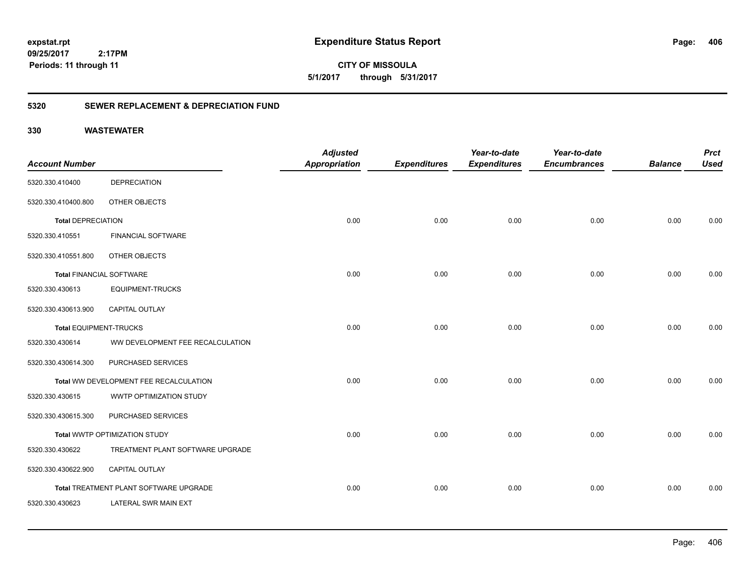**406**

**CITY OF MISSOULA 5/1/2017 through 5/31/2017**

### **5320 SEWER REPLACEMENT & DEPRECIATION FUND**

|                                 |                                        | <b>Adjusted</b>      |                     | Year-to-date        | Year-to-date        |                | <b>Prct</b> |
|---------------------------------|----------------------------------------|----------------------|---------------------|---------------------|---------------------|----------------|-------------|
| <b>Account Number</b>           |                                        | <b>Appropriation</b> | <b>Expenditures</b> | <b>Expenditures</b> | <b>Encumbrances</b> | <b>Balance</b> | <b>Used</b> |
| 5320.330.410400                 | <b>DEPRECIATION</b>                    |                      |                     |                     |                     |                |             |
| 5320.330.410400.800             | OTHER OBJECTS                          |                      |                     |                     |                     |                |             |
| <b>Total DEPRECIATION</b>       |                                        | 0.00                 | 0.00                | 0.00                | 0.00                | 0.00           | 0.00        |
| 5320.330.410551                 | <b>FINANCIAL SOFTWARE</b>              |                      |                     |                     |                     |                |             |
| 5320.330.410551.800             | OTHER OBJECTS                          |                      |                     |                     |                     |                |             |
| <b>Total FINANCIAL SOFTWARE</b> |                                        | 0.00                 | 0.00                | 0.00                | 0.00                | 0.00           | 0.00        |
| 5320.330.430613                 | <b>EQUIPMENT-TRUCKS</b>                |                      |                     |                     |                     |                |             |
| 5320.330.430613.900             | <b>CAPITAL OUTLAY</b>                  |                      |                     |                     |                     |                |             |
| Total EQUIPMENT-TRUCKS          |                                        | 0.00                 | 0.00                | 0.00                | 0.00                | 0.00           | 0.00        |
| 5320.330.430614                 | WW DEVELOPMENT FEE RECALCULATION       |                      |                     |                     |                     |                |             |
| 5320.330.430614.300             | PURCHASED SERVICES                     |                      |                     |                     |                     |                |             |
|                                 | Total WW DEVELOPMENT FEE RECALCULATION | 0.00                 | 0.00                | 0.00                | 0.00                | 0.00           | 0.00        |
| 5320.330.430615                 | WWTP OPTIMIZATION STUDY                |                      |                     |                     |                     |                |             |
| 5320.330.430615.300             | PURCHASED SERVICES                     |                      |                     |                     |                     |                |             |
|                                 | Total WWTP OPTIMIZATION STUDY          | 0.00                 | 0.00                | 0.00                | 0.00                | 0.00           | 0.00        |
| 5320.330.430622                 | TREATMENT PLANT SOFTWARE UPGRADE       |                      |                     |                     |                     |                |             |
| 5320.330.430622.900             | CAPITAL OUTLAY                         |                      |                     |                     |                     |                |             |
|                                 | Total TREATMENT PLANT SOFTWARE UPGRADE | 0.00                 | 0.00                | 0.00                | 0.00                | 0.00           | 0.00        |
| 5320.330.430623                 | LATERAL SWR MAIN EXT                   |                      |                     |                     |                     |                |             |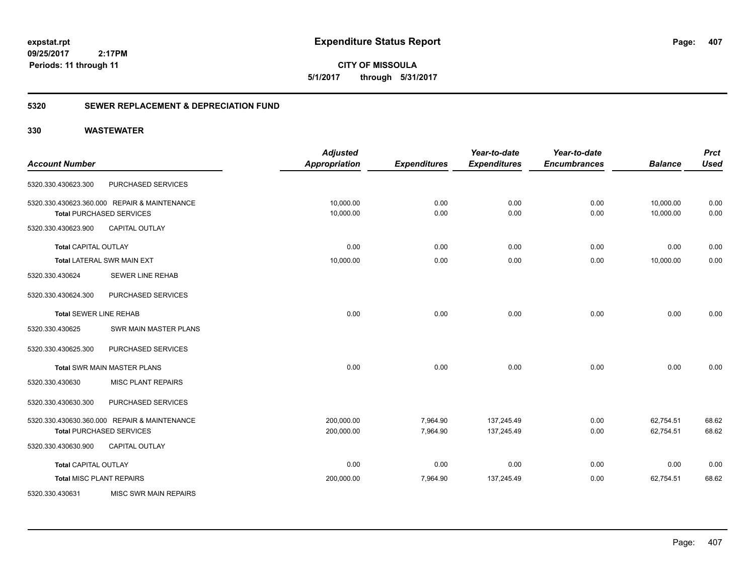**407**

**CITY OF MISSOULA 5/1/2017 through 5/31/2017**

### **5320 SEWER REPLACEMENT & DEPRECIATION FUND**

|                                 |                                              | <b>Adjusted</b>      |                     | Year-to-date        | Year-to-date        |                | <b>Prct</b> |
|---------------------------------|----------------------------------------------|----------------------|---------------------|---------------------|---------------------|----------------|-------------|
| <b>Account Number</b>           |                                              | <b>Appropriation</b> | <b>Expenditures</b> | <b>Expenditures</b> | <b>Encumbrances</b> | <b>Balance</b> | <b>Used</b> |
| 5320.330.430623.300             | PURCHASED SERVICES                           |                      |                     |                     |                     |                |             |
|                                 | 5320.330.430623.360.000 REPAIR & MAINTENANCE | 10,000.00            | 0.00                | 0.00                | 0.00                | 10,000.00      | 0.00        |
|                                 | <b>Total PURCHASED SERVICES</b>              | 10,000.00            | 0.00                | 0.00                | 0.00                | 10,000.00      | 0.00        |
| 5320.330.430623.900             | <b>CAPITAL OUTLAY</b>                        |                      |                     |                     |                     |                |             |
| <b>Total CAPITAL OUTLAY</b>     |                                              | 0.00                 | 0.00                | 0.00                | 0.00                | 0.00           | 0.00        |
|                                 | Total LATERAL SWR MAIN EXT                   | 10,000.00            | 0.00                | 0.00                | 0.00                | 10,000.00      | 0.00        |
| 5320.330.430624                 | <b>SEWER LINE REHAB</b>                      |                      |                     |                     |                     |                |             |
| 5320.330.430624.300             | PURCHASED SERVICES                           |                      |                     |                     |                     |                |             |
| <b>Total SEWER LINE REHAB</b>   |                                              | 0.00                 | 0.00                | 0.00                | 0.00                | 0.00           | 0.00        |
| 5320.330.430625                 | SWR MAIN MASTER PLANS                        |                      |                     |                     |                     |                |             |
| 5320.330.430625.300             | PURCHASED SERVICES                           |                      |                     |                     |                     |                |             |
|                                 | <b>Total SWR MAIN MASTER PLANS</b>           | 0.00                 | 0.00                | 0.00                | 0.00                | 0.00           | 0.00        |
| 5320.330.430630                 | <b>MISC PLANT REPAIRS</b>                    |                      |                     |                     |                     |                |             |
| 5320.330.430630.300             | PURCHASED SERVICES                           |                      |                     |                     |                     |                |             |
|                                 | 5320.330.430630.360.000 REPAIR & MAINTENANCE | 200,000.00           | 7,964.90            | 137,245.49          | 0.00                | 62,754.51      | 68.62       |
|                                 | <b>Total PURCHASED SERVICES</b>              | 200,000.00           | 7,964.90            | 137,245.49          | 0.00                | 62,754.51      | 68.62       |
| 5320.330.430630.900             | <b>CAPITAL OUTLAY</b>                        |                      |                     |                     |                     |                |             |
| <b>Total CAPITAL OUTLAY</b>     |                                              | 0.00                 | 0.00                | 0.00                | 0.00                | 0.00           | 0.00        |
| <b>Total MISC PLANT REPAIRS</b> |                                              | 200,000.00           | 7,964.90            | 137,245.49          | 0.00                | 62,754.51      | 68.62       |
| 5320.330.430631                 | <b>MISC SWR MAIN REPAIRS</b>                 |                      |                     |                     |                     |                |             |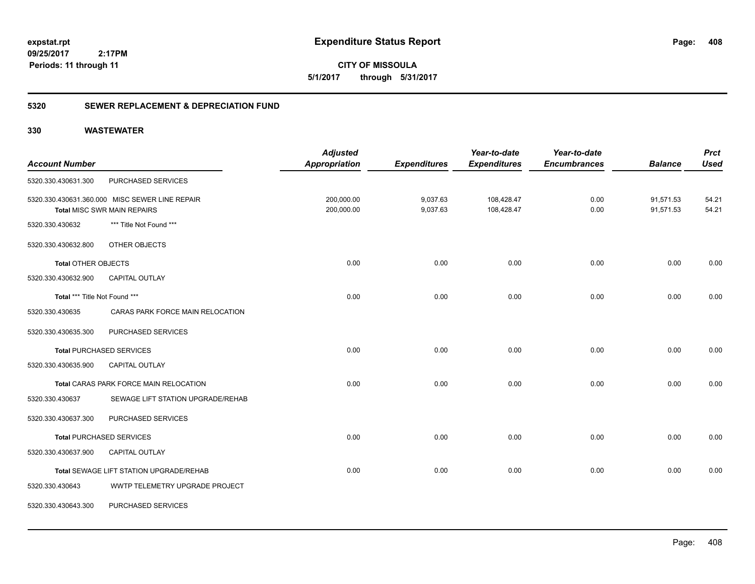**408**

**CITY OF MISSOULA 5/1/2017 through 5/31/2017**

### **5320 SEWER REPLACEMENT & DEPRECIATION FUND**

| <b>Account Number</b>         |                                                                                      | <b>Adjusted</b><br><b>Appropriation</b> | <b>Expenditures</b>  | Year-to-date<br><b>Expenditures</b> | Year-to-date<br><b>Encumbrances</b> | <b>Balance</b>         | <b>Prct</b><br><b>Used</b> |
|-------------------------------|--------------------------------------------------------------------------------------|-----------------------------------------|----------------------|-------------------------------------|-------------------------------------|------------------------|----------------------------|
| 5320.330.430631.300           | PURCHASED SERVICES                                                                   |                                         |                      |                                     |                                     |                        |                            |
|                               | 5320.330.430631.360.000 MISC SEWER LINE REPAIR<br><b>Total MISC SWR MAIN REPAIRS</b> | 200,000.00<br>200,000.00                | 9,037.63<br>9,037.63 | 108,428.47<br>108,428.47            | 0.00<br>0.00                        | 91,571.53<br>91,571.53 | 54.21<br>54.21             |
| 5320.330.430632               | *** Title Not Found ***                                                              |                                         |                      |                                     |                                     |                        |                            |
| 5320.330.430632.800           | OTHER OBJECTS                                                                        |                                         |                      |                                     |                                     |                        |                            |
| <b>Total OTHER OBJECTS</b>    |                                                                                      | 0.00                                    | 0.00                 | 0.00                                | 0.00                                | 0.00                   | 0.00                       |
| 5320.330.430632.900           | <b>CAPITAL OUTLAY</b>                                                                |                                         |                      |                                     |                                     |                        |                            |
| Total *** Title Not Found *** |                                                                                      | 0.00                                    | 0.00                 | 0.00                                | 0.00                                | 0.00                   | 0.00                       |
| 5320.330.430635               | CARAS PARK FORCE MAIN RELOCATION                                                     |                                         |                      |                                     |                                     |                        |                            |
| 5320.330.430635.300           | PURCHASED SERVICES                                                                   |                                         |                      |                                     |                                     |                        |                            |
|                               | <b>Total PURCHASED SERVICES</b>                                                      | 0.00                                    | 0.00                 | 0.00                                | 0.00                                | 0.00                   | 0.00                       |
| 5320.330.430635.900           | CAPITAL OUTLAY                                                                       |                                         |                      |                                     |                                     |                        |                            |
|                               | Total CARAS PARK FORCE MAIN RELOCATION                                               | 0.00                                    | 0.00                 | 0.00                                | 0.00                                | 0.00                   | 0.00                       |
| 5320.330.430637               | SEWAGE LIFT STATION UPGRADE/REHAB                                                    |                                         |                      |                                     |                                     |                        |                            |
| 5320.330.430637.300           | PURCHASED SERVICES                                                                   |                                         |                      |                                     |                                     |                        |                            |
|                               | <b>Total PURCHASED SERVICES</b>                                                      | 0.00                                    | 0.00                 | 0.00                                | 0.00                                | 0.00                   | 0.00                       |
| 5320.330.430637.900           | <b>CAPITAL OUTLAY</b>                                                                |                                         |                      |                                     |                                     |                        |                            |
|                               | Total SEWAGE LIFT STATION UPGRADE/REHAB                                              | 0.00                                    | 0.00                 | 0.00                                | 0.00                                | 0.00                   | 0.00                       |
| 5320.330.430643               | WWTP TELEMETRY UPGRADE PROJECT                                                       |                                         |                      |                                     |                                     |                        |                            |
| 5320.330.430643.300           | PURCHASED SERVICES                                                                   |                                         |                      |                                     |                                     |                        |                            |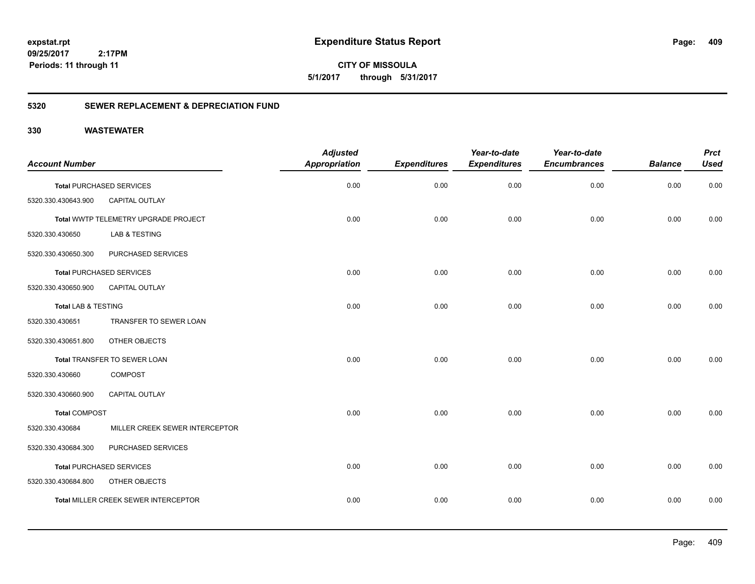**409**

**CITY OF MISSOULA 5/1/2017 through 5/31/2017**

### **5320 SEWER REPLACEMENT & DEPRECIATION FUND**

|                                |                                             | <b>Adjusted</b>      |                     | Year-to-date        | Year-to-date        |                | <b>Prct</b> |
|--------------------------------|---------------------------------------------|----------------------|---------------------|---------------------|---------------------|----------------|-------------|
| <b>Account Number</b>          |                                             | <b>Appropriation</b> | <b>Expenditures</b> | <b>Expenditures</b> | <b>Encumbrances</b> | <b>Balance</b> | <b>Used</b> |
|                                | <b>Total PURCHASED SERVICES</b>             | 0.00                 | 0.00                | 0.00                | 0.00                | 0.00           | 0.00        |
| 5320.330.430643.900            | CAPITAL OUTLAY                              |                      |                     |                     |                     |                |             |
|                                | Total WWTP TELEMETRY UPGRADE PROJECT        | 0.00                 | 0.00                | 0.00                | 0.00                | 0.00           | 0.00        |
| 5320.330.430650                | LAB & TESTING                               |                      |                     |                     |                     |                |             |
| 5320.330.430650.300            | PURCHASED SERVICES                          |                      |                     |                     |                     |                |             |
|                                | <b>Total PURCHASED SERVICES</b>             | 0.00                 | 0.00                | 0.00                | 0.00                | 0.00           | 0.00        |
| 5320.330.430650.900            | CAPITAL OUTLAY                              |                      |                     |                     |                     |                |             |
| <b>Total LAB &amp; TESTING</b> |                                             | 0.00                 | 0.00                | 0.00                | 0.00                | 0.00           | 0.00        |
| 5320.330.430651                | TRANSFER TO SEWER LOAN                      |                      |                     |                     |                     |                |             |
| 5320.330.430651.800            | OTHER OBJECTS                               |                      |                     |                     |                     |                |             |
|                                | Total TRANSFER TO SEWER LOAN                | 0.00                 | 0.00                | 0.00                | 0.00                | 0.00           | 0.00        |
| 5320.330.430660                | <b>COMPOST</b>                              |                      |                     |                     |                     |                |             |
| 5320.330.430660.900            | CAPITAL OUTLAY                              |                      |                     |                     |                     |                |             |
| <b>Total COMPOST</b>           |                                             | 0.00                 | 0.00                | 0.00                | 0.00                | 0.00           | 0.00        |
| 5320.330.430684                | MILLER CREEK SEWER INTERCEPTOR              |                      |                     |                     |                     |                |             |
| 5320.330.430684.300            | PURCHASED SERVICES                          |                      |                     |                     |                     |                |             |
|                                | <b>Total PURCHASED SERVICES</b>             | 0.00                 | 0.00                | 0.00                | 0.00                | 0.00           | 0.00        |
| 5320.330.430684.800            | OTHER OBJECTS                               |                      |                     |                     |                     |                |             |
|                                | <b>Total MILLER CREEK SEWER INTERCEPTOR</b> | 0.00                 | 0.00                | 0.00                | 0.00                | 0.00           | 0.00        |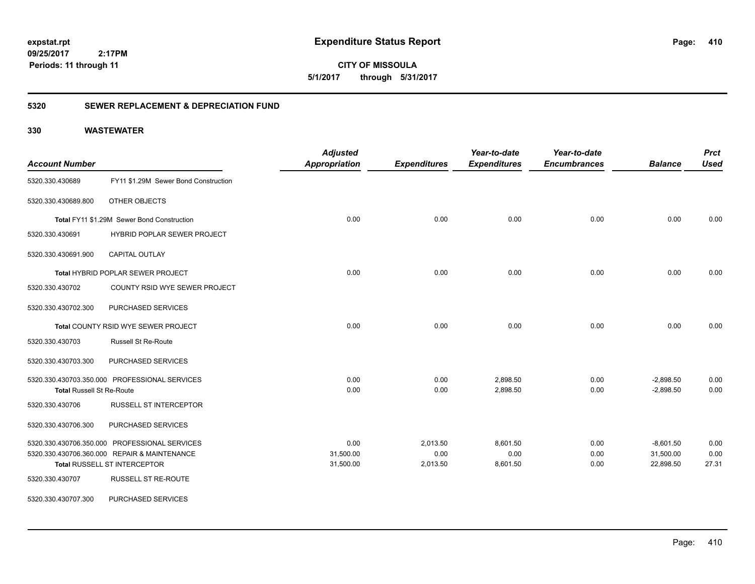**410**

**CITY OF MISSOULA 5/1/2017 through 5/31/2017**

### **5320 SEWER REPLACEMENT & DEPRECIATION FUND**

|                                  |                                               | <b>Adjusted</b>      |                     | Year-to-date        | Year-to-date        |                | <b>Prct</b> |
|----------------------------------|-----------------------------------------------|----------------------|---------------------|---------------------|---------------------|----------------|-------------|
| <b>Account Number</b>            |                                               | <b>Appropriation</b> | <b>Expenditures</b> | <b>Expenditures</b> | <b>Encumbrances</b> | <b>Balance</b> | <b>Used</b> |
| 5320.330.430689                  | FY11 \$1.29M Sewer Bond Construction          |                      |                     |                     |                     |                |             |
| 5320.330.430689.800              | OTHER OBJECTS                                 |                      |                     |                     |                     |                |             |
|                                  | Total FY11 \$1.29M Sewer Bond Construction    | 0.00                 | 0.00                | 0.00                | 0.00                | 0.00           | 0.00        |
| 5320.330.430691                  | <b>HYBRID POPLAR SEWER PROJECT</b>            |                      |                     |                     |                     |                |             |
| 5320.330.430691.900              | <b>CAPITAL OUTLAY</b>                         |                      |                     |                     |                     |                |             |
|                                  | <b>Total HYBRID POPLAR SEWER PROJECT</b>      | 0.00                 | 0.00                | 0.00                | 0.00                | 0.00           | 0.00        |
| 5320.330.430702                  | COUNTY RSID WYE SEWER PROJECT                 |                      |                     |                     |                     |                |             |
| 5320.330.430702.300              | PURCHASED SERVICES                            |                      |                     |                     |                     |                |             |
|                                  | Total COUNTY RSID WYE SEWER PROJECT           | 0.00                 | 0.00                | 0.00                | 0.00                | 0.00           | 0.00        |
| 5320.330.430703                  | <b>Russell St Re-Route</b>                    |                      |                     |                     |                     |                |             |
| 5320.330.430703.300              | PURCHASED SERVICES                            |                      |                     |                     |                     |                |             |
|                                  | 5320.330.430703.350.000 PROFESSIONAL SERVICES | 0.00                 | 0.00                | 2,898.50            | 0.00                | $-2,898.50$    | 0.00        |
| <b>Total Russell St Re-Route</b> |                                               | 0.00                 | 0.00                | 2,898.50            | 0.00                | $-2,898.50$    | 0.00        |
| 5320.330.430706                  | <b>RUSSELL ST INTERCEPTOR</b>                 |                      |                     |                     |                     |                |             |
| 5320.330.430706.300              | PURCHASED SERVICES                            |                      |                     |                     |                     |                |             |
|                                  | 5320.330.430706.350.000 PROFESSIONAL SERVICES | 0.00                 | 2,013.50            | 8,601.50            | 0.00                | $-8,601.50$    | 0.00        |
|                                  | 5320.330.430706.360.000 REPAIR & MAINTENANCE  | 31,500.00            | 0.00                | 0.00                | 0.00                | 31,500.00      | 0.00        |
|                                  | Total RUSSELL ST INTERCEPTOR                  | 31,500.00            | 2,013.50            | 8,601.50            | 0.00                | 22,898.50      | 27.31       |
| 5320.330.430707                  | <b>RUSSELL ST RE-ROUTE</b>                    |                      |                     |                     |                     |                |             |
| 5320.330.430707.300              | PURCHASED SERVICES                            |                      |                     |                     |                     |                |             |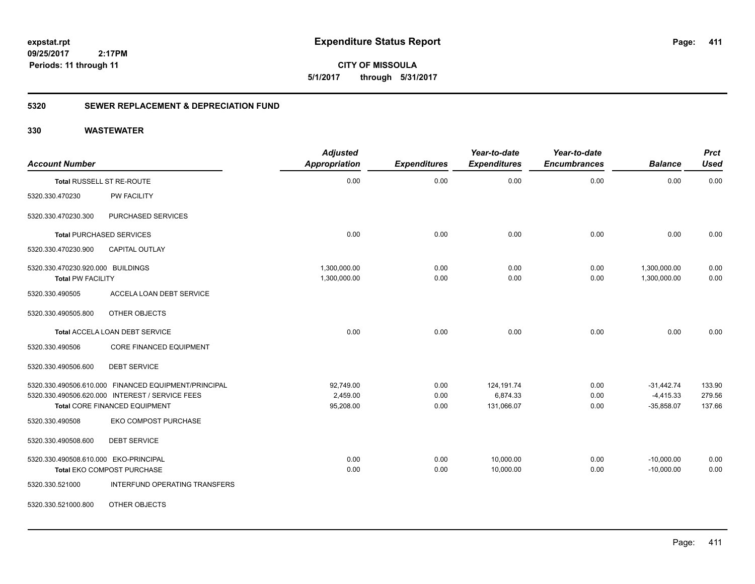**411**

**CITY OF MISSOULA 5/1/2017 through 5/31/2017**

### **5320 SEWER REPLACEMENT & DEPRECIATION FUND**

| <b>Account Number</b>                                         |                                                      | <b>Adjusted</b><br><b>Appropriation</b> | <b>Expenditures</b> | Year-to-date<br><b>Expenditures</b> | Year-to-date<br><b>Encumbrances</b> | <b>Balance</b>               | <b>Prct</b><br><b>Used</b> |
|---------------------------------------------------------------|------------------------------------------------------|-----------------------------------------|---------------------|-------------------------------------|-------------------------------------|------------------------------|----------------------------|
|                                                               | Total RUSSELL ST RE-ROUTE                            | 0.00                                    | 0.00                | 0.00                                | 0.00                                | 0.00                         | 0.00                       |
| 5320.330.470230                                               | <b>PW FACILITY</b>                                   |                                         |                     |                                     |                                     |                              |                            |
| 5320.330.470230.300                                           | PURCHASED SERVICES                                   |                                         |                     |                                     |                                     |                              |                            |
|                                                               | <b>Total PURCHASED SERVICES</b>                      | 0.00                                    | 0.00                | 0.00                                | 0.00                                | 0.00                         | 0.00                       |
| 5320.330.470230.900                                           | <b>CAPITAL OUTLAY</b>                                |                                         |                     |                                     |                                     |                              |                            |
| 5320.330.470230.920.000 BUILDINGS<br><b>Total PW FACILITY</b> |                                                      | 1,300,000.00<br>1,300,000.00            | 0.00<br>0.00        | 0.00<br>0.00                        | 0.00<br>0.00                        | 1,300,000.00<br>1,300,000.00 | 0.00<br>0.00               |
| 5320.330.490505                                               | ACCELA LOAN DEBT SERVICE                             |                                         |                     |                                     |                                     |                              |                            |
| 5320.330.490505.800                                           | OTHER OBJECTS                                        |                                         |                     |                                     |                                     |                              |                            |
|                                                               | Total ACCELA LOAN DEBT SERVICE                       | 0.00                                    | 0.00                | 0.00                                | 0.00                                | 0.00                         | 0.00                       |
| 5320.330.490506                                               | CORE FINANCED EQUIPMENT                              |                                         |                     |                                     |                                     |                              |                            |
| 5320.330.490506.600                                           | <b>DEBT SERVICE</b>                                  |                                         |                     |                                     |                                     |                              |                            |
|                                                               | 5320.330.490506.610.000 FINANCED EQUIPMENT/PRINCIPAL | 92,749.00                               | 0.00                | 124,191.74                          | 0.00                                | $-31,442.74$                 | 133.90                     |
|                                                               | 5320.330.490506.620.000 INTEREST / SERVICE FEES      | 2,459.00                                | 0.00                | 6,874.33                            | 0.00                                | $-4,415.33$                  | 279.56                     |
|                                                               | Total CORE FINANCED EQUIPMENT                        | 95,208.00                               | 0.00                | 131,066.07                          | 0.00                                | $-35,858.07$                 | 137.66                     |
| 5320.330.490508                                               | <b>EKO COMPOST PURCHASE</b>                          |                                         |                     |                                     |                                     |                              |                            |
| 5320.330.490508.600                                           | <b>DEBT SERVICE</b>                                  |                                         |                     |                                     |                                     |                              |                            |
| 5320.330.490508.610.000 EKO-PRINCIPAL                         |                                                      | 0.00                                    | 0.00                | 10,000.00                           | 0.00                                | $-10,000.00$                 | 0.00                       |
|                                                               | Total EKO COMPOST PURCHASE                           | 0.00                                    | 0.00                | 10,000.00                           | 0.00                                | $-10,000.00$                 | 0.00                       |
| 5320.330.521000                                               | INTERFUND OPERATING TRANSFERS                        |                                         |                     |                                     |                                     |                              |                            |
| 5320.330.521000.800                                           | OTHER OBJECTS                                        |                                         |                     |                                     |                                     |                              |                            |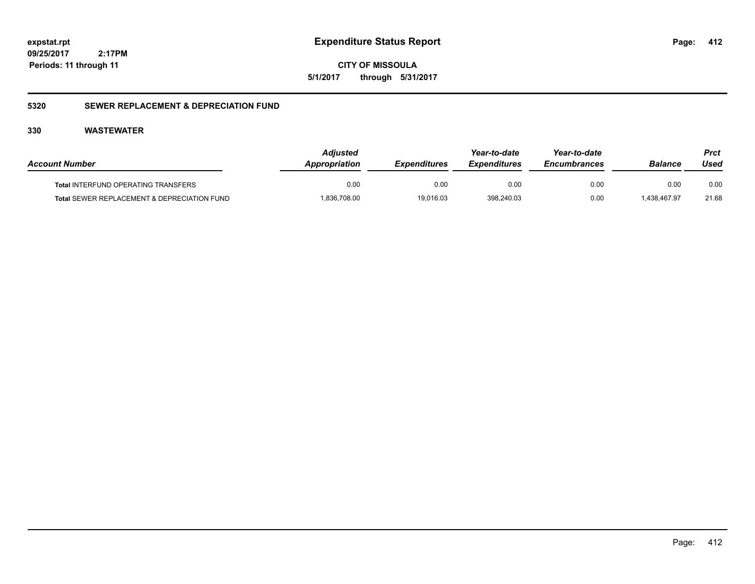**CITY OF MISSOULA 5/1/2017 through 5/31/2017**

### **5320 SEWER REPLACEMENT & DEPRECIATION FUND**

| <b>Account Number</b>                       | <b>Adiusted</b><br><b>Appropriation</b> | <b>Expenditures</b> | Year-to-date<br><b>Expenditures</b> | Year-to-date<br><b>Encumbrances</b> | Balance      | Prct<br>Used |
|---------------------------------------------|-----------------------------------------|---------------------|-------------------------------------|-------------------------------------|--------------|--------------|
| <b>Total INTERFUND OPERATING TRANSFERS</b>  | 0.00                                    | 0.00                | 0.00                                | 0.00                                | 0.00         | 0.00         |
| Total SEWER REPLACEMENT & DEPRECIATION FUND | 836,708.00                              | 19,016.03           | 398,240.03                          | 0.00                                | 1.438.467.97 | 21.68        |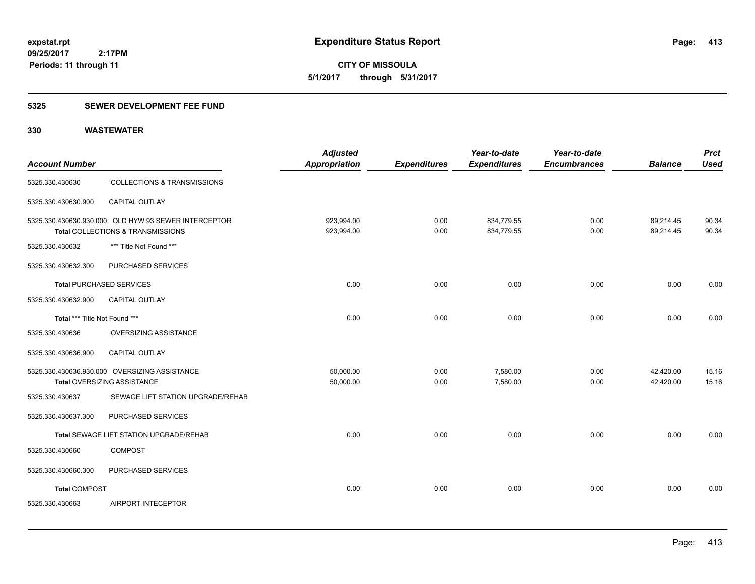**CITY OF MISSOULA 5/1/2017 through 5/31/2017**

### **5325 SEWER DEVELOPMENT FEE FUND**

| <b>Account Number</b>           |                                                                                           | <b>Adjusted</b><br>Appropriation | <b>Expenditures</b> | Year-to-date<br><b>Expenditures</b> | Year-to-date<br><b>Encumbrances</b> | <b>Balance</b>         | <b>Prct</b><br><b>Used</b> |
|---------------------------------|-------------------------------------------------------------------------------------------|----------------------------------|---------------------|-------------------------------------|-------------------------------------|------------------------|----------------------------|
| 5325.330.430630                 | <b>COLLECTIONS &amp; TRANSMISSIONS</b>                                                    |                                  |                     |                                     |                                     |                        |                            |
| 5325.330.430630.900             | CAPITAL OUTLAY                                                                            |                                  |                     |                                     |                                     |                        |                            |
|                                 | 5325.330.430630.930.000 OLD HYW 93 SEWER INTERCEPTOR<br>Total COLLECTIONS & TRANSMISSIONS | 923,994.00<br>923,994.00         | 0.00<br>0.00        | 834,779.55<br>834,779.55            | 0.00<br>0.00                        | 89,214.45<br>89,214.45 | 90.34<br>90.34             |
| 5325.330.430632                 | *** Title Not Found ***                                                                   |                                  |                     |                                     |                                     |                        |                            |
| 5325.330.430632.300             | PURCHASED SERVICES                                                                        |                                  |                     |                                     |                                     |                        |                            |
| <b>Total PURCHASED SERVICES</b> |                                                                                           | 0.00                             | 0.00                | 0.00                                | 0.00                                | 0.00                   | 0.00                       |
| 5325.330.430632.900             | <b>CAPITAL OUTLAY</b>                                                                     |                                  |                     |                                     |                                     |                        |                            |
| Total *** Title Not Found ***   |                                                                                           | 0.00                             | 0.00                | 0.00                                | 0.00                                | 0.00                   | 0.00                       |
| 5325.330.430636                 | <b>OVERSIZING ASSISTANCE</b>                                                              |                                  |                     |                                     |                                     |                        |                            |
| 5325.330.430636.900             | CAPITAL OUTLAY                                                                            |                                  |                     |                                     |                                     |                        |                            |
|                                 | 5325.330.430636.930.000 OVERSIZING ASSISTANCE<br>Total OVERSIZING ASSISTANCE              | 50,000.00<br>50,000.00           | 0.00<br>0.00        | 7,580.00<br>7,580.00                | 0.00<br>0.00                        | 42,420.00<br>42,420.00 | 15.16<br>15.16             |
| 5325.330.430637                 | SEWAGE LIFT STATION UPGRADE/REHAB                                                         |                                  |                     |                                     |                                     |                        |                            |
| 5325.330.430637.300             | PURCHASED SERVICES                                                                        |                                  |                     |                                     |                                     |                        |                            |
|                                 | Total SEWAGE LIFT STATION UPGRADE/REHAB                                                   | 0.00                             | 0.00                | 0.00                                | 0.00                                | 0.00                   | 0.00                       |
| 5325.330.430660                 | <b>COMPOST</b>                                                                            |                                  |                     |                                     |                                     |                        |                            |
| 5325.330.430660.300             | PURCHASED SERVICES                                                                        |                                  |                     |                                     |                                     |                        |                            |
| <b>Total COMPOST</b>            |                                                                                           | 0.00                             | 0.00                | 0.00                                | 0.00                                | 0.00                   | 0.00                       |
| 5325.330.430663                 | AIRPORT INTECEPTOR                                                                        |                                  |                     |                                     |                                     |                        |                            |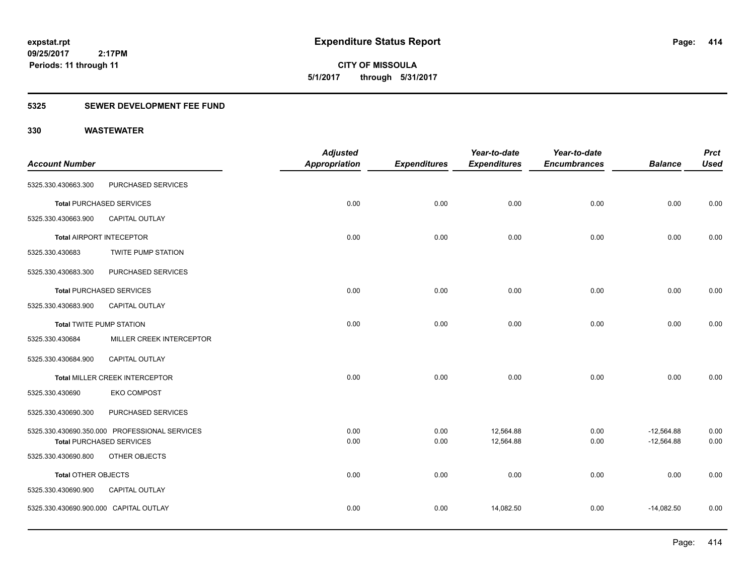**CITY OF MISSOULA 5/1/2017 through 5/31/2017**

### **5325 SEWER DEVELOPMENT FEE FUND**

|                                        |                                               | <b>Adjusted</b>      |                     | Year-to-date        | Year-to-date        |                | <b>Prct</b> |
|----------------------------------------|-----------------------------------------------|----------------------|---------------------|---------------------|---------------------|----------------|-------------|
| <b>Account Number</b>                  |                                               | <b>Appropriation</b> | <b>Expenditures</b> | <b>Expenditures</b> | <b>Encumbrances</b> | <b>Balance</b> | <b>Used</b> |
| 5325.330.430663.300                    | PURCHASED SERVICES                            |                      |                     |                     |                     |                |             |
|                                        | <b>Total PURCHASED SERVICES</b>               | 0.00                 | 0.00                | 0.00                | 0.00                | 0.00           | 0.00        |
| 5325.330.430663.900                    | CAPITAL OUTLAY                                |                      |                     |                     |                     |                |             |
|                                        | <b>Total AIRPORT INTECEPTOR</b>               | 0.00                 | 0.00                | 0.00                | 0.00                | 0.00           | 0.00        |
| 5325.330.430683                        | <b>TWITE PUMP STATION</b>                     |                      |                     |                     |                     |                |             |
| 5325.330.430683.300                    | PURCHASED SERVICES                            |                      |                     |                     |                     |                |             |
|                                        | <b>Total PURCHASED SERVICES</b>               | 0.00                 | 0.00                | 0.00                | 0.00                | 0.00           | 0.00        |
| 5325.330.430683.900                    | <b>CAPITAL OUTLAY</b>                         |                      |                     |                     |                     |                |             |
| <b>Total TWITE PUMP STATION</b>        |                                               | 0.00                 | 0.00                | 0.00                | 0.00                | 0.00           | 0.00        |
| 5325.330.430684                        | MILLER CREEK INTERCEPTOR                      |                      |                     |                     |                     |                |             |
| 5325.330.430684.900                    | CAPITAL OUTLAY                                |                      |                     |                     |                     |                |             |
|                                        | Total MILLER CREEK INTERCEPTOR                | 0.00                 | 0.00                | 0.00                | 0.00                | 0.00           | 0.00        |
| 5325.330.430690                        | <b>EKO COMPOST</b>                            |                      |                     |                     |                     |                |             |
| 5325.330.430690.300                    | PURCHASED SERVICES                            |                      |                     |                     |                     |                |             |
|                                        | 5325.330.430690.350.000 PROFESSIONAL SERVICES | 0.00                 | 0.00                | 12,564.88           | 0.00                | $-12,564.88$   | 0.00        |
|                                        | <b>Total PURCHASED SERVICES</b>               | 0.00                 | 0.00                | 12,564.88           | 0.00                | $-12,564.88$   | 0.00        |
| 5325.330.430690.800                    | OTHER OBJECTS                                 |                      |                     |                     |                     |                |             |
| <b>Total OTHER OBJECTS</b>             |                                               | 0.00                 | 0.00                | 0.00                | 0.00                | 0.00           | 0.00        |
| 5325.330.430690.900                    | CAPITAL OUTLAY                                |                      |                     |                     |                     |                |             |
| 5325.330.430690.900.000 CAPITAL OUTLAY |                                               | 0.00                 | 0.00                | 14,082.50           | 0.00                | $-14,082.50$   | 0.00        |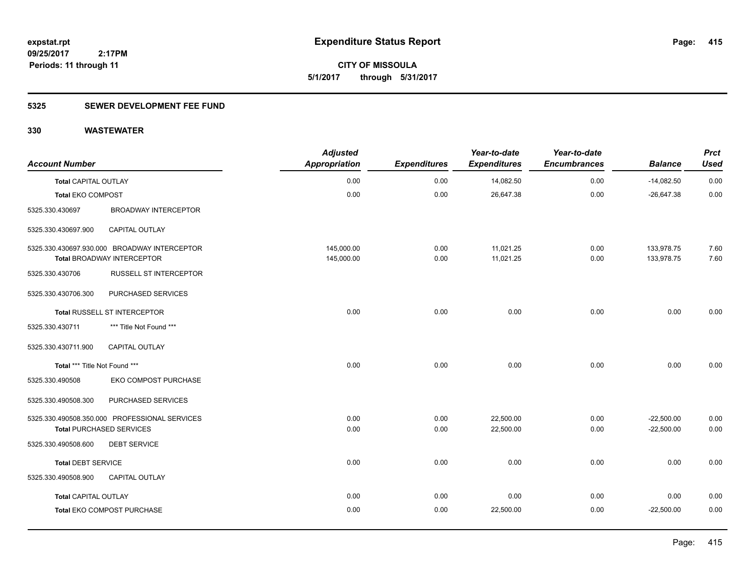**CITY OF MISSOULA 5/1/2017 through 5/31/2017**

### **5325 SEWER DEVELOPMENT FEE FUND**

| <b>Account Number</b>         |                                                                            | <b>Adjusted</b><br><b>Appropriation</b> | <b>Expenditures</b> | Year-to-date<br><b>Expenditures</b> | Year-to-date<br><b>Encumbrances</b> | <b>Balance</b>           | <b>Prct</b><br><b>Used</b> |
|-------------------------------|----------------------------------------------------------------------------|-----------------------------------------|---------------------|-------------------------------------|-------------------------------------|--------------------------|----------------------------|
| <b>Total CAPITAL OUTLAY</b>   |                                                                            | 0.00                                    | 0.00                | 14,082.50                           | 0.00                                | $-14,082.50$             | 0.00                       |
| <b>Total EKO COMPOST</b>      |                                                                            | 0.00                                    | 0.00                | 26,647.38                           | 0.00                                | $-26,647.38$             | 0.00                       |
| 5325.330.430697               | <b>BROADWAY INTERCEPTOR</b>                                                |                                         |                     |                                     |                                     |                          |                            |
| 5325.330.430697.900           | CAPITAL OUTLAY                                                             |                                         |                     |                                     |                                     |                          |                            |
|                               | 5325.330.430697.930.000 BROADWAY INTERCEPTOR<br>Total BROADWAY INTERCEPTOR | 145,000.00<br>145,000.00                | 0.00<br>0.00        | 11,021.25<br>11,021.25              | 0.00<br>0.00                        | 133,978.75<br>133,978.75 | 7.60<br>7.60               |
| 5325.330.430706               | <b>RUSSELL ST INTERCEPTOR</b>                                              |                                         |                     |                                     |                                     |                          |                            |
| 5325.330.430706.300           | PURCHASED SERVICES                                                         |                                         |                     |                                     |                                     |                          |                            |
|                               | Total RUSSELL ST INTERCEPTOR                                               | 0.00                                    | 0.00                | 0.00                                | 0.00                                | 0.00                     | 0.00                       |
| 5325.330.430711               | *** Title Not Found ***                                                    |                                         |                     |                                     |                                     |                          |                            |
| 5325.330.430711.900           | CAPITAL OUTLAY                                                             |                                         |                     |                                     |                                     |                          |                            |
| Total *** Title Not Found *** |                                                                            | 0.00                                    | 0.00                | 0.00                                | 0.00                                | 0.00                     | 0.00                       |
| 5325.330.490508               | EKO COMPOST PURCHASE                                                       |                                         |                     |                                     |                                     |                          |                            |
| 5325.330.490508.300           | PURCHASED SERVICES                                                         |                                         |                     |                                     |                                     |                          |                            |
|                               | 5325.330.490508.350.000 PROFESSIONAL SERVICES                              | 0.00                                    | 0.00                | 22,500.00                           | 0.00                                | $-22,500.00$             | 0.00                       |
|                               | <b>Total PURCHASED SERVICES</b>                                            | 0.00                                    | 0.00                | 22,500.00                           | 0.00                                | $-22,500.00$             | 0.00                       |
| 5325.330.490508.600           | <b>DEBT SERVICE</b>                                                        |                                         |                     |                                     |                                     |                          |                            |
| <b>Total DEBT SERVICE</b>     |                                                                            | 0.00                                    | 0.00                | 0.00                                | 0.00                                | 0.00                     | 0.00                       |
| 5325.330.490508.900           | <b>CAPITAL OUTLAY</b>                                                      |                                         |                     |                                     |                                     |                          |                            |
| Total CAPITAL OUTLAY          |                                                                            | 0.00                                    | 0.00                | 0.00                                | 0.00                                | 0.00                     | 0.00                       |
|                               | Total EKO COMPOST PURCHASE                                                 | 0.00                                    | 0.00                | 22,500.00                           | 0.00                                | $-22,500.00$             | 0.00                       |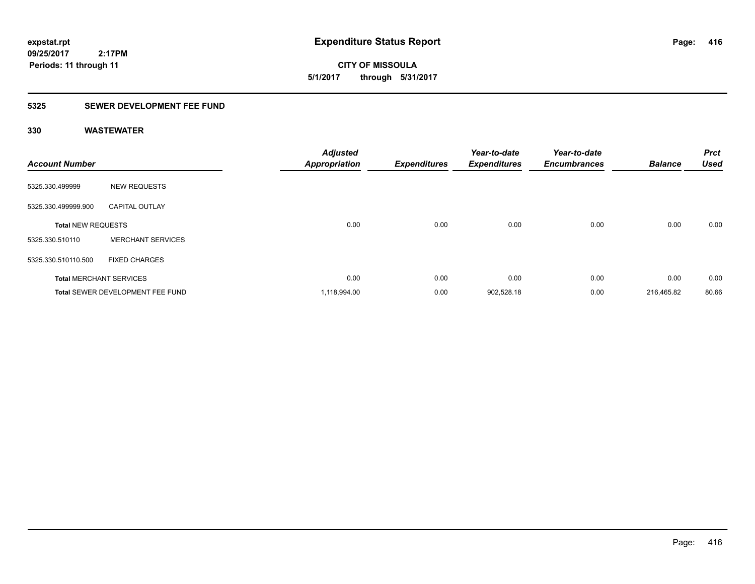**CITY OF MISSOULA 5/1/2017 through 5/31/2017**

### **5325 SEWER DEVELOPMENT FEE FUND**

| <b>Account Number</b>     |                                         | <b>Adjusted</b><br><b>Appropriation</b> | <b>Expenditures</b> | Year-to-date<br><b>Expenditures</b> | Year-to-date<br><b>Encumbrances</b> | <b>Balance</b> | <b>Prct</b><br><b>Used</b> |
|---------------------------|-----------------------------------------|-----------------------------------------|---------------------|-------------------------------------|-------------------------------------|----------------|----------------------------|
| 5325.330.499999           | <b>NEW REQUESTS</b>                     |                                         |                     |                                     |                                     |                |                            |
| 5325.330.499999.900       | <b>CAPITAL OUTLAY</b>                   |                                         |                     |                                     |                                     |                |                            |
| <b>Total NEW REQUESTS</b> |                                         | 0.00                                    | 0.00                | 0.00                                | 0.00                                | 0.00           | 0.00                       |
| 5325.330.510110           | <b>MERCHANT SERVICES</b>                |                                         |                     |                                     |                                     |                |                            |
| 5325.330.510110.500       | <b>FIXED CHARGES</b>                    |                                         |                     |                                     |                                     |                |                            |
|                           | <b>Total MERCHANT SERVICES</b>          | 0.00                                    | 0.00                | 0.00                                | 0.00                                | 0.00           | 0.00                       |
|                           | <b>Total SEWER DEVELOPMENT FEE FUND</b> | 1,118,994.00                            | 0.00                | 902,528.18                          | 0.00                                | 216,465.82     | 80.66                      |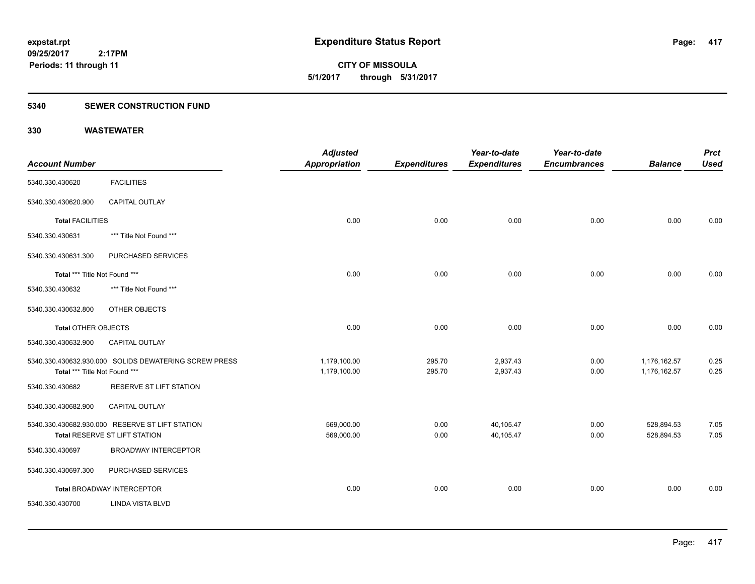**CITY OF MISSOULA 5/1/2017 through 5/31/2017**

### **5340 SEWER CONSTRUCTION FUND**

|                               |                                                                                         | <b>Adjusted</b>              |                     | Year-to-date           | Year-to-date        |                              | <b>Prct</b>  |
|-------------------------------|-----------------------------------------------------------------------------------------|------------------------------|---------------------|------------------------|---------------------|------------------------------|--------------|
| <b>Account Number</b>         |                                                                                         | <b>Appropriation</b>         | <b>Expenditures</b> | <b>Expenditures</b>    | <b>Encumbrances</b> | <b>Balance</b>               | <b>Used</b>  |
| 5340.330.430620               | <b>FACILITIES</b>                                                                       |                              |                     |                        |                     |                              |              |
| 5340.330.430620.900           | CAPITAL OUTLAY                                                                          |                              |                     |                        |                     |                              |              |
| <b>Total FACILITIES</b>       |                                                                                         | 0.00                         | 0.00                | 0.00                   | 0.00                | 0.00                         | 0.00         |
| 5340.330.430631               | *** Title Not Found ***                                                                 |                              |                     |                        |                     |                              |              |
| 5340.330.430631.300           | PURCHASED SERVICES                                                                      |                              |                     |                        |                     |                              |              |
| Total *** Title Not Found *** |                                                                                         | 0.00                         | 0.00                | 0.00                   | 0.00                | 0.00                         | 0.00         |
| 5340.330.430632               | *** Title Not Found ***                                                                 |                              |                     |                        |                     |                              |              |
| 5340.330.430632.800           | OTHER OBJECTS                                                                           |                              |                     |                        |                     |                              |              |
| <b>Total OTHER OBJECTS</b>    |                                                                                         | 0.00                         | 0.00                | 0.00                   | 0.00                | 0.00                         | 0.00         |
| 5340.330.430632.900           | CAPITAL OUTLAY                                                                          |                              |                     |                        |                     |                              |              |
| Total *** Title Not Found *** | 5340.330.430632.930.000 SOLIDS DEWATERING SCREW PRESS                                   | 1,179,100.00<br>1,179,100.00 | 295.70<br>295.70    | 2,937.43<br>2,937.43   | 0.00<br>0.00        | 1,176,162.57<br>1,176,162.57 | 0.25<br>0.25 |
| 5340.330.430682               | RESERVE ST LIFT STATION                                                                 |                              |                     |                        |                     |                              |              |
| 5340.330.430682.900           | CAPITAL OUTLAY                                                                          |                              |                     |                        |                     |                              |              |
|                               | 5340.330.430682.930.000 RESERVE ST LIFT STATION<br><b>Total RESERVE ST LIFT STATION</b> | 569,000.00<br>569,000.00     | 0.00<br>0.00        | 40,105.47<br>40,105.47 | 0.00<br>0.00        | 528,894.53<br>528,894.53     | 7.05<br>7.05 |
| 5340.330.430697               | <b>BROADWAY INTERCEPTOR</b>                                                             |                              |                     |                        |                     |                              |              |
| 5340.330.430697.300           | PURCHASED SERVICES                                                                      |                              |                     |                        |                     |                              |              |
|                               | <b>Total BROADWAY INTERCEPTOR</b>                                                       | 0.00                         | 0.00                | 0.00                   | 0.00                | 0.00                         | 0.00         |
| 5340.330.430700               | <b>LINDA VISTA BLVD</b>                                                                 |                              |                     |                        |                     |                              |              |
|                               |                                                                                         |                              |                     |                        |                     |                              |              |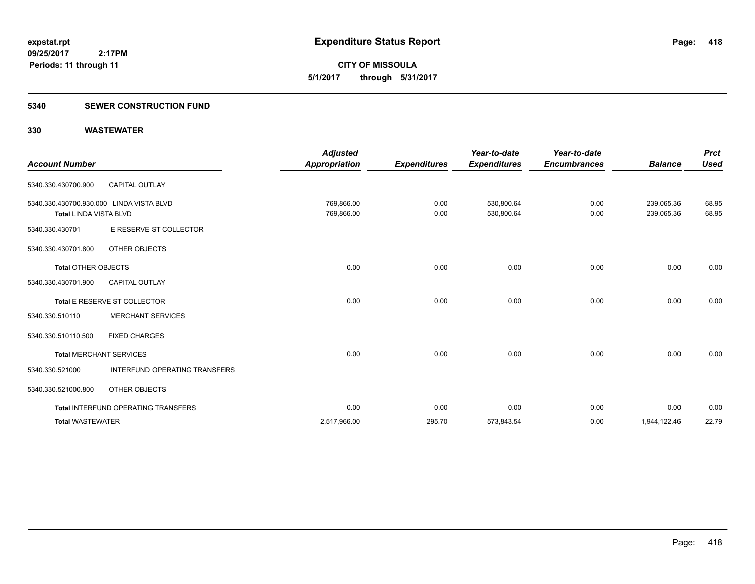**CITY OF MISSOULA 5/1/2017 through 5/31/2017**

### **5340 SEWER CONSTRUCTION FUND**

| <b>Account Number</b>                                                     |                                      | <b>Adjusted</b><br><b>Appropriation</b> | <b>Expenditures</b> | Year-to-date<br><b>Expenditures</b> | Year-to-date<br><b>Encumbrances</b> | <b>Balance</b>           | <b>Prct</b><br><b>Used</b> |
|---------------------------------------------------------------------------|--------------------------------------|-----------------------------------------|---------------------|-------------------------------------|-------------------------------------|--------------------------|----------------------------|
| 5340.330.430700.900                                                       | <b>CAPITAL OUTLAY</b>                |                                         |                     |                                     |                                     |                          |                            |
| 5340.330.430700.930.000 LINDA VISTA BLVD<br><b>Total LINDA VISTA BLVD</b> |                                      | 769,866.00<br>769,866.00                | 0.00<br>0.00        | 530,800.64<br>530,800.64            | 0.00<br>0.00                        | 239,065.36<br>239,065.36 | 68.95<br>68.95             |
| 5340.330.430701                                                           | E RESERVE ST COLLECTOR               |                                         |                     |                                     |                                     |                          |                            |
| 5340.330.430701.800                                                       | OTHER OBJECTS                        |                                         |                     |                                     |                                     |                          |                            |
| Total OTHER OBJECTS                                                       |                                      | 0.00                                    | 0.00                | 0.00                                | 0.00                                | 0.00                     | 0.00                       |
| 5340.330.430701.900                                                       | <b>CAPITAL OUTLAY</b>                |                                         |                     |                                     |                                     |                          |                            |
|                                                                           | Total E RESERVE ST COLLECTOR         | 0.00                                    | 0.00                | 0.00                                | 0.00                                | 0.00                     | 0.00                       |
| 5340.330.510110                                                           | <b>MERCHANT SERVICES</b>             |                                         |                     |                                     |                                     |                          |                            |
| 5340.330.510110.500                                                       | <b>FIXED CHARGES</b>                 |                                         |                     |                                     |                                     |                          |                            |
| <b>Total MERCHANT SERVICES</b>                                            |                                      | 0.00                                    | 0.00                | 0.00                                | 0.00                                | 0.00                     | 0.00                       |
| 5340.330.521000                                                           | <b>INTERFUND OPERATING TRANSFERS</b> |                                         |                     |                                     |                                     |                          |                            |
| 5340.330.521000.800                                                       | OTHER OBJECTS                        |                                         |                     |                                     |                                     |                          |                            |
|                                                                           | Total INTERFUND OPERATING TRANSFERS  | 0.00                                    | 0.00                | 0.00                                | 0.00                                | 0.00                     | 0.00                       |
| <b>Total WASTEWATER</b>                                                   |                                      | 2,517,966.00                            | 295.70              | 573,843.54                          | 0.00                                | 1,944,122.46             | 22.79                      |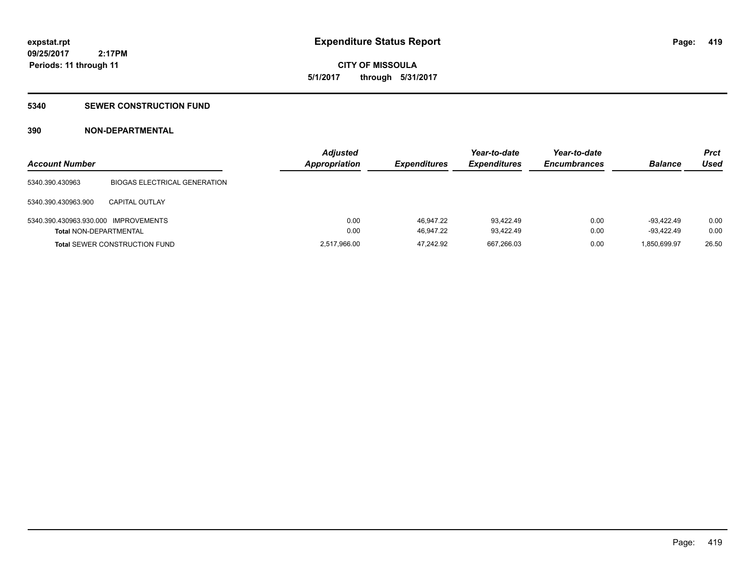**419**

**09/25/2017 2:17PM Periods: 11 through 11**

# **CITY OF MISSOULA 5/1/2017 through 5/31/2017**

### **5340 SEWER CONSTRUCTION FUND**

### **390 NON-DEPARTMENTAL**

| <b>Account Number</b>                |                                      | <b>Adjusted</b><br>Appropriation | <b>Expenditures</b> | Year-to-date<br><b>Expenditures</b> | Year-to-date<br><b>Encumbrances</b> | <b>Balance</b> | <b>Prct</b><br>Used |
|--------------------------------------|--------------------------------------|----------------------------------|---------------------|-------------------------------------|-------------------------------------|----------------|---------------------|
| 5340.390.430963                      | <b>BIOGAS ELECTRICAL GENERATION</b>  |                                  |                     |                                     |                                     |                |                     |
| 5340.390.430963.900                  | <b>CAPITAL OUTLAY</b>                |                                  |                     |                                     |                                     |                |                     |
| 5340.390.430963.930.000 IMPROVEMENTS |                                      | 0.00                             | 46.947.22           | 93.422.49                           | 0.00                                | $-93.422.49$   | 0.00                |
| <b>Total NON-DEPARTMENTAL</b>        |                                      | 0.00                             | 46.947.22           | 93.422.49                           | 0.00                                | $-93,422.49$   | 0.00                |
|                                      | <b>Total SEWER CONSTRUCTION FUND</b> | 2,517,966.00                     | 47.242.92           | 667,266.03                          | 0.00                                | 1.850.699.97   | 26.50               |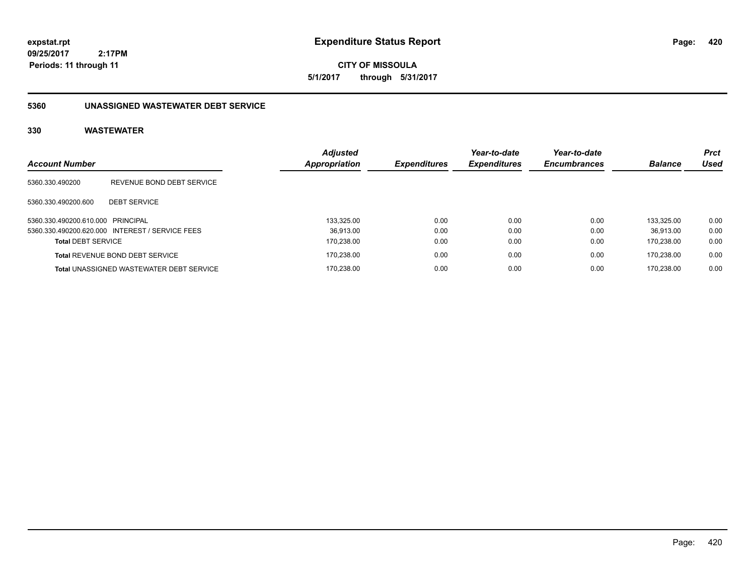**CITY OF MISSOULA 5/1/2017 through 5/31/2017**

#### **5360 UNASSIGNED WASTEWATER DEBT SERVICE**

|                                   |                                                 | <b>Adjusted</b> |                     | Year-to-date        | Year-to-date        |                | <b>Prct</b> |
|-----------------------------------|-------------------------------------------------|-----------------|---------------------|---------------------|---------------------|----------------|-------------|
| <b>Account Number</b>             |                                                 | Appropriation   | <b>Expenditures</b> | <b>Expenditures</b> | <b>Encumbrances</b> | <b>Balance</b> | Used        |
| 5360.330.490200                   | REVENUE BOND DEBT SERVICE                       |                 |                     |                     |                     |                |             |
| 5360.330.490200.600               | <b>DEBT SERVICE</b>                             |                 |                     |                     |                     |                |             |
| 5360.330.490200.610.000 PRINCIPAL |                                                 | 133.325.00      | 0.00                | 0.00                | 0.00                | 133.325.00     | 0.00        |
|                                   | 5360.330.490200.620.000 INTEREST / SERVICE FEES | 36.913.00       | 0.00                | 0.00                | 0.00                | 36.913.00      | 0.00        |
| <b>Total DEBT SERVICE</b>         |                                                 | 170,238.00      | 0.00                | 0.00                | 0.00                | 170.238.00     | 0.00        |
|                                   | <b>Total REVENUE BOND DEBT SERVICE</b>          | 170,238.00      | 0.00                | 0.00                | 0.00                | 170.238.00     | 0.00        |
|                                   | <b>Total UNASSIGNED WASTEWATER DEBT SERVICE</b> | 170.238.00      | 0.00                | 0.00                | 0.00                | 170.238.00     | 0.00        |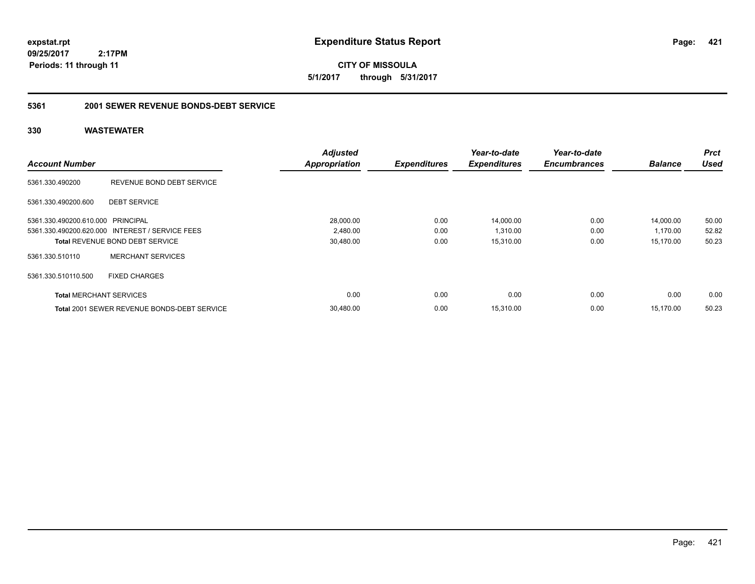**CITY OF MISSOULA 5/1/2017 through 5/31/2017**

#### **5361 2001 SEWER REVENUE BONDS-DEBT SERVICE**

|                                   |                                                    | <b>Adjusted</b>      |                     | Year-to-date        | Year-to-date        |                | <b>Prct</b> |
|-----------------------------------|----------------------------------------------------|----------------------|---------------------|---------------------|---------------------|----------------|-------------|
| <b>Account Number</b>             |                                                    | <b>Appropriation</b> | <b>Expenditures</b> | <b>Expenditures</b> | <b>Encumbrances</b> | <b>Balance</b> | <b>Used</b> |
| 5361.330.490200                   | REVENUE BOND DEBT SERVICE                          |                      |                     |                     |                     |                |             |
| 5361.330.490200.600               | <b>DEBT SERVICE</b>                                |                      |                     |                     |                     |                |             |
| 5361.330.490200.610.000 PRINCIPAL |                                                    | 28,000.00            | 0.00                | 14,000.00           | 0.00                | 14,000.00      | 50.00       |
|                                   | 5361.330.490200.620.000 INTEREST / SERVICE FEES    | 2,480.00             | 0.00                | 1,310.00            | 0.00                | 1,170.00       | 52.82       |
|                                   | <b>Total REVENUE BOND DEBT SERVICE</b>             | 30,480.00            | 0.00                | 15,310.00           | 0.00                | 15,170.00      | 50.23       |
| 5361.330.510110                   | <b>MERCHANT SERVICES</b>                           |                      |                     |                     |                     |                |             |
| 5361.330.510110.500               | <b>FIXED CHARGES</b>                               |                      |                     |                     |                     |                |             |
| <b>Total MERCHANT SERVICES</b>    |                                                    | 0.00                 | 0.00                | 0.00                | 0.00                | 0.00           | 0.00        |
|                                   | <b>Total 2001 SEWER REVENUE BONDS-DEBT SERVICE</b> | 30.480.00            | 0.00                | 15,310.00           | 0.00                | 15.170.00      | 50.23       |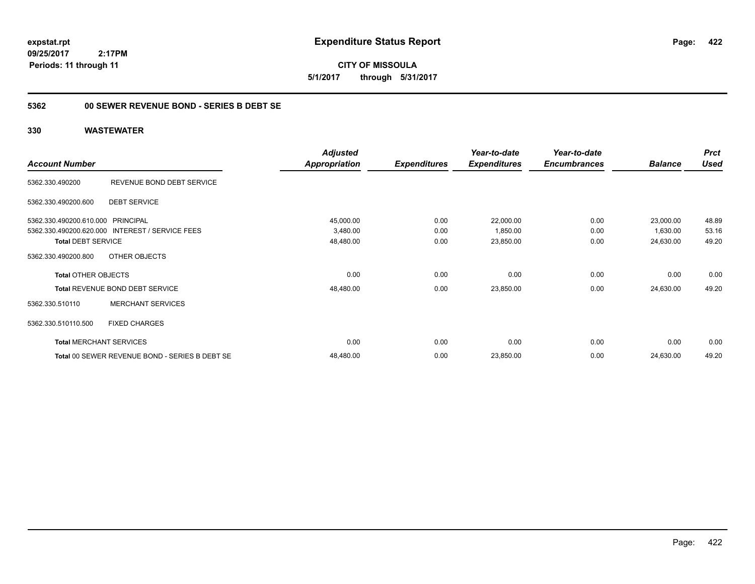**CITY OF MISSOULA 5/1/2017 through 5/31/2017**

### **5362 00 SEWER REVENUE BOND - SERIES B DEBT SE**

|                                   |                                                 | <b>Adjusted</b>      |                     | Year-to-date        | Year-to-date        |                | <b>Prct</b> |
|-----------------------------------|-------------------------------------------------|----------------------|---------------------|---------------------|---------------------|----------------|-------------|
| <b>Account Number</b>             |                                                 | <b>Appropriation</b> | <b>Expenditures</b> | <b>Expenditures</b> | <b>Encumbrances</b> | <b>Balance</b> | <b>Used</b> |
| 5362.330.490200                   | REVENUE BOND DEBT SERVICE                       |                      |                     |                     |                     |                |             |
| 5362.330.490200.600               | <b>DEBT SERVICE</b>                             |                      |                     |                     |                     |                |             |
| 5362.330.490200.610.000 PRINCIPAL |                                                 | 45,000.00            | 0.00                | 22,000.00           | 0.00                | 23,000.00      | 48.89       |
|                                   | 5362.330.490200.620.000 INTEREST / SERVICE FEES | 3,480.00             | 0.00                | 1,850.00            | 0.00                | 1,630.00       | 53.16       |
| <b>Total DEBT SERVICE</b>         |                                                 | 48,480.00            | 0.00                | 23,850.00           | 0.00                | 24,630.00      | 49.20       |
| 5362.330.490200.800               | OTHER OBJECTS                                   |                      |                     |                     |                     |                |             |
| <b>Total OTHER OBJECTS</b>        |                                                 | 0.00                 | 0.00                | 0.00                | 0.00                | 0.00           | 0.00        |
|                                   | Total REVENUE BOND DEBT SERVICE                 | 48,480.00            | 0.00                | 23,850.00           | 0.00                | 24,630.00      | 49.20       |
| 5362.330.510110                   | <b>MERCHANT SERVICES</b>                        |                      |                     |                     |                     |                |             |
| 5362.330.510110.500               | <b>FIXED CHARGES</b>                            |                      |                     |                     |                     |                |             |
|                                   | <b>Total MERCHANT SERVICES</b>                  | 0.00                 | 0.00                | 0.00                | 0.00                | 0.00           | 0.00        |
|                                   | Total 00 SEWER REVENUE BOND - SERIES B DEBT SE  | 48,480.00            | 0.00                | 23,850.00           | 0.00                | 24,630.00      | 49.20       |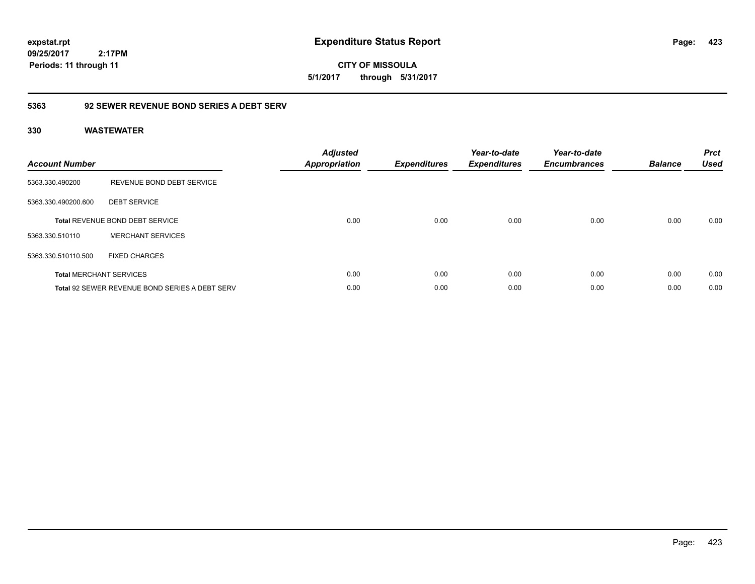**expstat.rpt Expenditure Status Report** 

**09/25/2017 2:17PM Periods: 11 through 11**

### **5363 92 SEWER REVENUE BOND SERIES A DEBT SERV**

### **330 WASTEWATER**

| <b>Account Number</b> |                                                | <b>Adjusted</b><br><b>Appropriation</b> | <b>Expenditures</b> | Year-to-date<br><b>Expenditures</b> | Year-to-date<br><b>Encumbrances</b> | <b>Balance</b> | <b>Prct</b><br><b>Used</b> |
|-----------------------|------------------------------------------------|-----------------------------------------|---------------------|-------------------------------------|-------------------------------------|----------------|----------------------------|
| 5363.330.490200       | REVENUE BOND DEBT SERVICE                      |                                         |                     |                                     |                                     |                |                            |
| 5363.330.490200.600   | <b>DEBT SERVICE</b>                            |                                         |                     |                                     |                                     |                |                            |
|                       | <b>Total REVENUE BOND DEBT SERVICE</b>         | 0.00                                    | 0.00                | 0.00                                | 0.00                                | 0.00           | 0.00                       |
| 5363.330.510110       | <b>MERCHANT SERVICES</b>                       |                                         |                     |                                     |                                     |                |                            |
| 5363.330.510110.500   | <b>FIXED CHARGES</b>                           |                                         |                     |                                     |                                     |                |                            |
|                       | <b>Total MERCHANT SERVICES</b>                 | 0.00                                    | 0.00                | 0.00                                | 0.00                                | 0.00           | 0.00                       |
|                       | Total 92 SEWER REVENUE BOND SERIES A DEBT SERV | 0.00                                    | 0.00                | 0.00                                | 0.00                                | 0.00           | 0.00                       |

**423**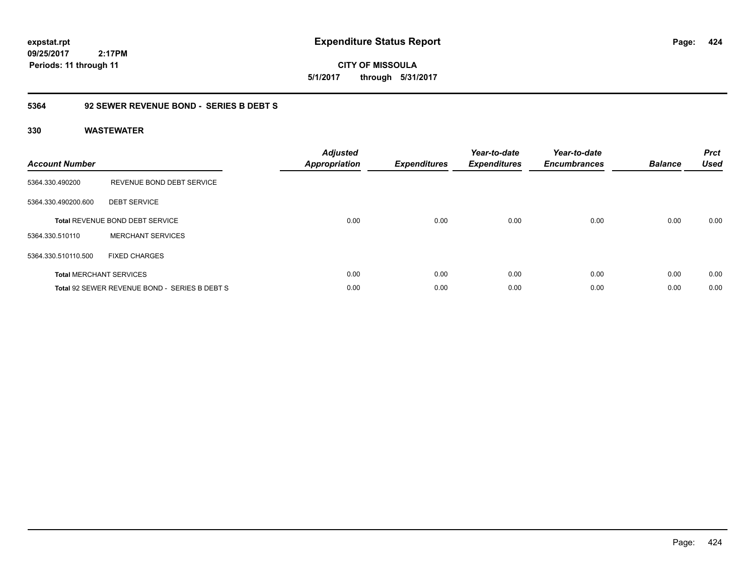**expstat.rpt Expenditure Status Report** 

**09/25/2017 2:17PM Periods: 11 through 11**

### **5364 92 SEWER REVENUE BOND - SERIES B DEBT S**

| <b>Account Number</b> |                                               | <b>Adjusted</b><br><b>Appropriation</b> | <b>Expenditures</b> | Year-to-date<br><b>Expenditures</b> | Year-to-date<br><b>Encumbrances</b> | <b>Balance</b> | <b>Prct</b><br><b>Used</b> |
|-----------------------|-----------------------------------------------|-----------------------------------------|---------------------|-------------------------------------|-------------------------------------|----------------|----------------------------|
| 5364.330.490200       | REVENUE BOND DEBT SERVICE                     |                                         |                     |                                     |                                     |                |                            |
| 5364.330.490200.600   | <b>DEBT SERVICE</b>                           |                                         |                     |                                     |                                     |                |                            |
|                       | <b>Total REVENUE BOND DEBT SERVICE</b>        | 0.00                                    | 0.00                | 0.00                                | 0.00                                | 0.00           | 0.00                       |
| 5364.330.510110       | <b>MERCHANT SERVICES</b>                      |                                         |                     |                                     |                                     |                |                            |
| 5364.330.510110.500   | FIXED CHARGES                                 |                                         |                     |                                     |                                     |                |                            |
|                       | <b>Total MERCHANT SERVICES</b>                | 0.00                                    | 0.00                | 0.00                                | 0.00                                | 0.00           | 0.00                       |
|                       | Total 92 SEWER REVENUE BOND - SERIES B DEBT S | 0.00                                    | 0.00                | 0.00                                | 0.00                                | 0.00           | 0.00                       |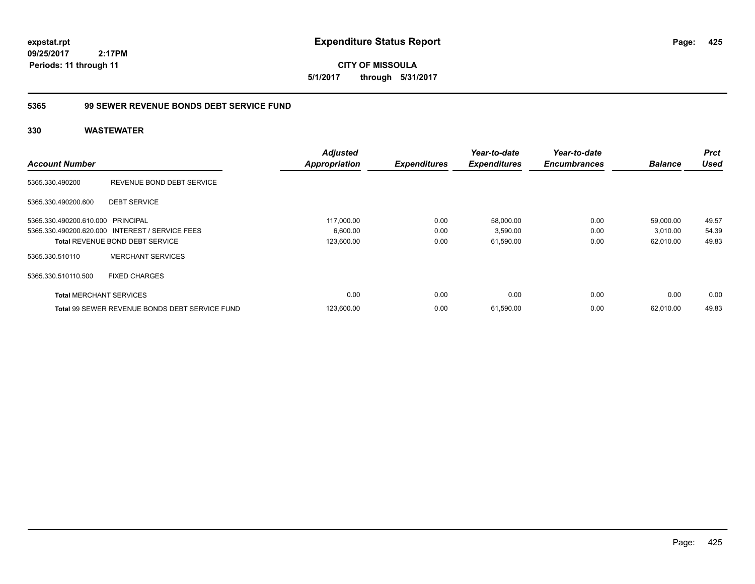**CITY OF MISSOULA 5/1/2017 through 5/31/2017**

### **5365 99 SEWER REVENUE BONDS DEBT SERVICE FUND**

|                                   |                                                       | <b>Adjusted</b>      |                     | Year-to-date        | Year-to-date        |                | <b>Prct</b> |
|-----------------------------------|-------------------------------------------------------|----------------------|---------------------|---------------------|---------------------|----------------|-------------|
| <b>Account Number</b>             |                                                       | <b>Appropriation</b> | <b>Expenditures</b> | <b>Expenditures</b> | <b>Encumbrances</b> | <b>Balance</b> | <b>Used</b> |
| 5365.330.490200                   | REVENUE BOND DEBT SERVICE                             |                      |                     |                     |                     |                |             |
| 5365.330.490200.600               | <b>DEBT SERVICE</b>                                   |                      |                     |                     |                     |                |             |
| 5365.330.490200.610.000 PRINCIPAL |                                                       | 117,000.00           | 0.00                | 58,000.00           | 0.00                | 59,000.00      | 49.57       |
|                                   | 5365.330.490200.620.000 INTEREST / SERVICE FEES       | 6,600.00             | 0.00                | 3,590.00            | 0.00                | 3,010.00       | 54.39       |
|                                   | <b>Total REVENUE BOND DEBT SERVICE</b>                | 123,600.00           | 0.00                | 61,590.00           | 0.00                | 62,010.00      | 49.83       |
| 5365.330.510110                   | <b>MERCHANT SERVICES</b>                              |                      |                     |                     |                     |                |             |
| 5365.330.510110.500               | <b>FIXED CHARGES</b>                                  |                      |                     |                     |                     |                |             |
| <b>Total MERCHANT SERVICES</b>    |                                                       | 0.00                 | 0.00                | 0.00                | 0.00                | 0.00           | 0.00        |
|                                   | <b>Total 99 SEWER REVENUE BONDS DEBT SERVICE FUND</b> | 123,600.00           | 0.00                | 61,590.00           | 0.00                | 62,010.00      | 49.83       |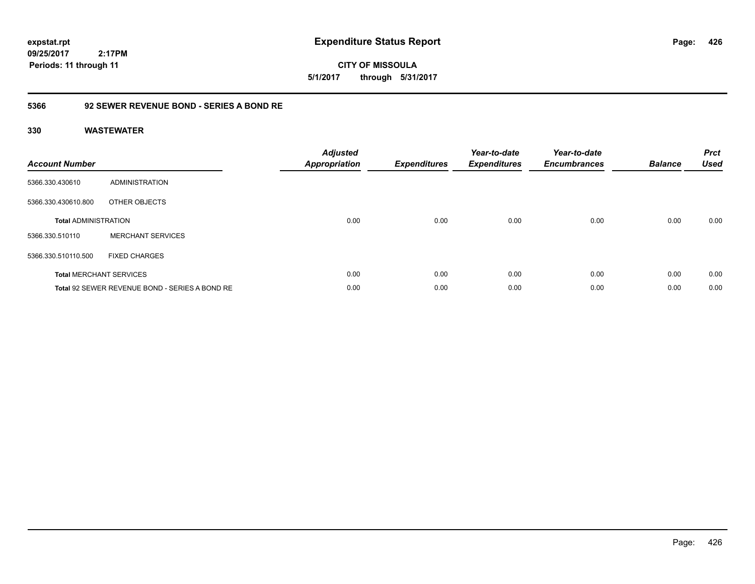**CITY OF MISSOULA 5/1/2017 through 5/31/2017**

### **5366 92 SEWER REVENUE BOND - SERIES A BOND RE**

| <b>Account Number</b>       |                                                | <b>Adjusted</b><br>Appropriation | <b>Expenditures</b> | Year-to-date<br><b>Expenditures</b> | Year-to-date<br><b>Encumbrances</b> | <b>Balance</b> | <b>Prct</b><br><b>Used</b> |
|-----------------------------|------------------------------------------------|----------------------------------|---------------------|-------------------------------------|-------------------------------------|----------------|----------------------------|
| 5366.330.430610             | ADMINISTRATION                                 |                                  |                     |                                     |                                     |                |                            |
| 5366.330.430610.800         | OTHER OBJECTS                                  |                                  |                     |                                     |                                     |                |                            |
| <b>Total ADMINISTRATION</b> |                                                | 0.00                             | 0.00                | 0.00                                | 0.00                                | 0.00           | 0.00                       |
| 5366.330.510110             | <b>MERCHANT SERVICES</b>                       |                                  |                     |                                     |                                     |                |                            |
| 5366.330.510110.500         | <b>FIXED CHARGES</b>                           |                                  |                     |                                     |                                     |                |                            |
|                             | <b>Total MERCHANT SERVICES</b>                 | 0.00                             | 0.00                | 0.00                                | 0.00                                | 0.00           | 0.00                       |
|                             | Total 92 SEWER REVENUE BOND - SERIES A BOND RE | 0.00                             | 0.00                | 0.00                                | 0.00                                | 0.00           | 0.00                       |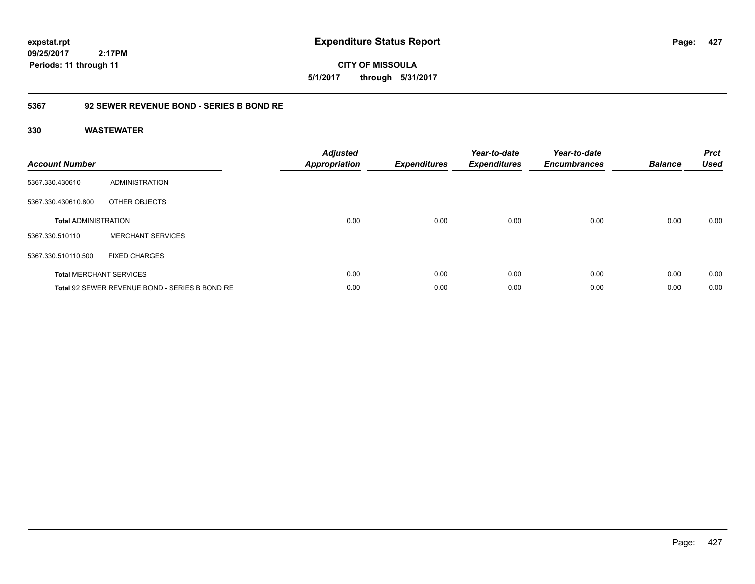**expstat.rpt Expenditure Status Report** 

**09/25/2017 2:17PM Periods: 11 through 11**

**CITY OF MISSOULA 5/1/2017 through 5/31/2017**

### **5367 92 SEWER REVENUE BOND - SERIES B BOND RE**

| <b>Account Number</b>       |                                                | <b>Adjusted</b><br><b>Appropriation</b> | <b>Expenditures</b> | Year-to-date<br><b>Expenditures</b> | Year-to-date<br><b>Encumbrances</b> | <b>Balance</b> | <b>Prct</b><br><b>Used</b> |
|-----------------------------|------------------------------------------------|-----------------------------------------|---------------------|-------------------------------------|-------------------------------------|----------------|----------------------------|
| 5367.330.430610             | ADMINISTRATION                                 |                                         |                     |                                     |                                     |                |                            |
| 5367.330.430610.800         | OTHER OBJECTS                                  |                                         |                     |                                     |                                     |                |                            |
| <b>Total ADMINISTRATION</b> |                                                | 0.00                                    | 0.00                | 0.00                                | 0.00                                | 0.00           | 0.00                       |
| 5367.330.510110             | <b>MERCHANT SERVICES</b>                       |                                         |                     |                                     |                                     |                |                            |
| 5367.330.510110.500         | <b>FIXED CHARGES</b>                           |                                         |                     |                                     |                                     |                |                            |
|                             | <b>Total MERCHANT SERVICES</b>                 | 0.00                                    | 0.00                | 0.00                                | 0.00                                | 0.00           | 0.00                       |
|                             | Total 92 SEWER REVENUE BOND - SERIES B BOND RE | 0.00                                    | 0.00                | 0.00                                | 0.00                                | 0.00           | 0.00                       |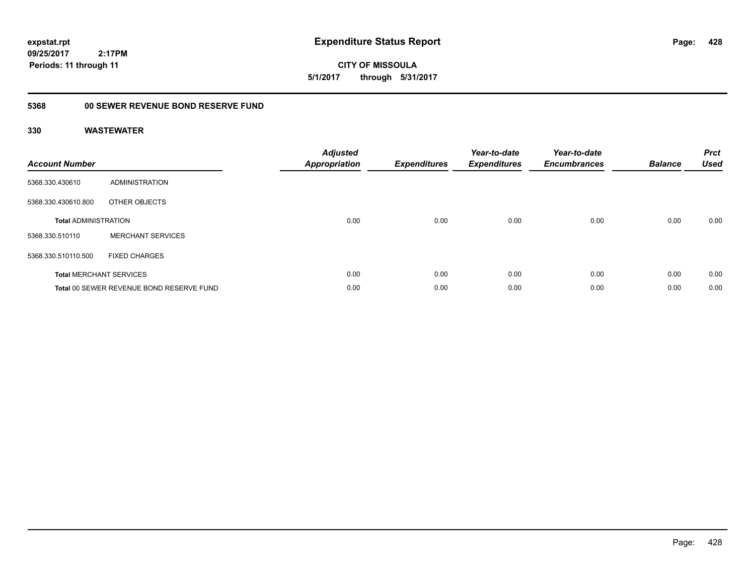**expstat.rpt Expenditure Status Report** 

**09/25/2017 2:17PM Periods: 11 through 11**

**CITY OF MISSOULA 5/1/2017 through 5/31/2017**

# **5368 00 SEWER REVENUE BOND RESERVE FUND**

| <b>Account Number</b>       |                                          | <b>Adjusted</b><br>Appropriation | <b>Expenditures</b> | Year-to-date<br><b>Expenditures</b> | Year-to-date<br><b>Encumbrances</b> | <b>Balance</b> | <b>Prct</b><br><b>Used</b> |
|-----------------------------|------------------------------------------|----------------------------------|---------------------|-------------------------------------|-------------------------------------|----------------|----------------------------|
| 5368.330.430610             | <b>ADMINISTRATION</b>                    |                                  |                     |                                     |                                     |                |                            |
| 5368.330.430610.800         | OTHER OBJECTS                            |                                  |                     |                                     |                                     |                |                            |
| <b>Total ADMINISTRATION</b> |                                          | 0.00                             | 0.00                | 0.00                                | 0.00                                | 0.00           | 0.00                       |
| 5368.330.510110             | <b>MERCHANT SERVICES</b>                 |                                  |                     |                                     |                                     |                |                            |
| 5368.330.510110.500         | <b>FIXED CHARGES</b>                     |                                  |                     |                                     |                                     |                |                            |
|                             | <b>Total MERCHANT SERVICES</b>           | 0.00                             | 0.00                | 0.00                                | 0.00                                | 0.00           | 0.00                       |
|                             | Total 00 SEWER REVENUE BOND RESERVE FUND | 0.00                             | 0.00                | 0.00                                | 0.00                                | 0.00           | 0.00                       |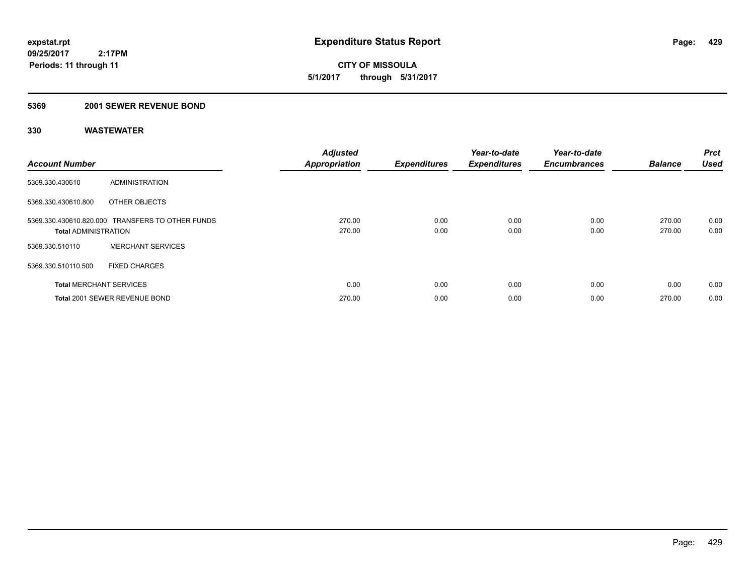**CITY OF MISSOULA 5/1/2017 through 5/31/2017**

### **5369 2001 SEWER REVENUE BOND**

| <b>Account Number</b>          |                                                  | <b>Adjusted</b><br><b>Appropriation</b> | <b>Expenditures</b> | Year-to-date<br><b>Expenditures</b> | Year-to-date<br><b>Encumbrances</b> | <b>Balance</b>   | <b>Prct</b><br><b>Used</b> |
|--------------------------------|--------------------------------------------------|-----------------------------------------|---------------------|-------------------------------------|-------------------------------------|------------------|----------------------------|
| 5369.330.430610                | ADMINISTRATION                                   |                                         |                     |                                     |                                     |                  |                            |
| 5369.330.430610.800            | OTHER OBJECTS                                    |                                         |                     |                                     |                                     |                  |                            |
| <b>Total ADMINISTRATION</b>    | 5369.330.430610.820.000 TRANSFERS TO OTHER FUNDS | 270.00<br>270.00                        | 0.00<br>0.00        | 0.00<br>0.00                        | 0.00<br>0.00                        | 270.00<br>270.00 | 0.00<br>0.00               |
| 5369.330.510110                | <b>MERCHANT SERVICES</b>                         |                                         |                     |                                     |                                     |                  |                            |
| 5369.330.510110.500            | <b>FIXED CHARGES</b>                             |                                         |                     |                                     |                                     |                  |                            |
| <b>Total MERCHANT SERVICES</b> |                                                  | 0.00                                    | 0.00                | 0.00                                | 0.00                                | 0.00             | 0.00                       |
|                                | Total 2001 SEWER REVENUE BOND                    | 270.00                                  | 0.00                | 0.00                                | 0.00                                | 270.00           | 0.00                       |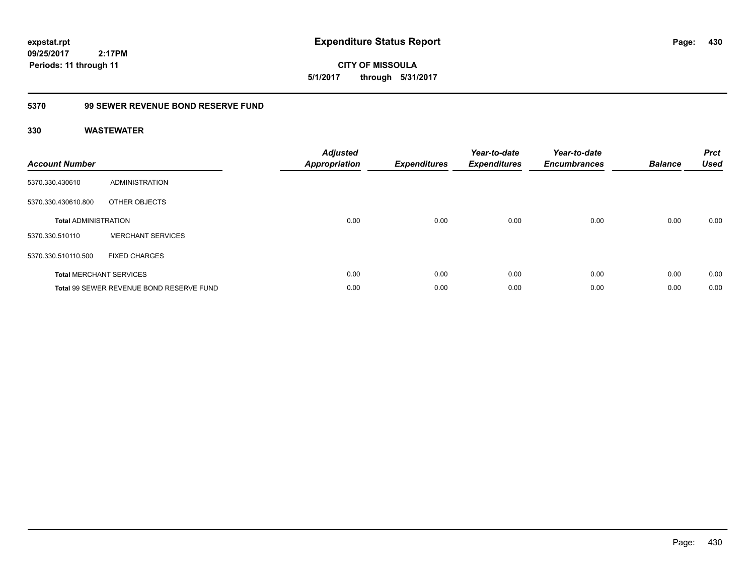**expstat.rpt Expenditure Status Report** 

**09/25/2017 2:17PM Periods: 11 through 11**

**CITY OF MISSOULA 5/1/2017 through 5/31/2017**

# **5370 99 SEWER REVENUE BOND RESERVE FUND**

| <b>Account Number</b>       |                                          | <b>Adjusted</b><br>Appropriation | <b>Expenditures</b> | Year-to-date<br><b>Expenditures</b> | Year-to-date<br><b>Encumbrances</b> | <b>Balance</b> | <b>Prct</b><br><b>Used</b> |
|-----------------------------|------------------------------------------|----------------------------------|---------------------|-------------------------------------|-------------------------------------|----------------|----------------------------|
| 5370.330.430610             | <b>ADMINISTRATION</b>                    |                                  |                     |                                     |                                     |                |                            |
| 5370.330.430610.800         | OTHER OBJECTS                            |                                  |                     |                                     |                                     |                |                            |
| <b>Total ADMINISTRATION</b> |                                          | 0.00                             | 0.00                | 0.00                                | 0.00                                | 0.00           | 0.00                       |
| 5370.330.510110             | <b>MERCHANT SERVICES</b>                 |                                  |                     |                                     |                                     |                |                            |
| 5370.330.510110.500         | <b>FIXED CHARGES</b>                     |                                  |                     |                                     |                                     |                |                            |
|                             | <b>Total MERCHANT SERVICES</b>           | 0.00                             | 0.00                | 0.00                                | 0.00                                | 0.00           | 0.00                       |
|                             | Total 99 SEWER REVENUE BOND RESERVE FUND | 0.00                             | 0.00                | 0.00                                | 0.00                                | 0.00           | 0.00                       |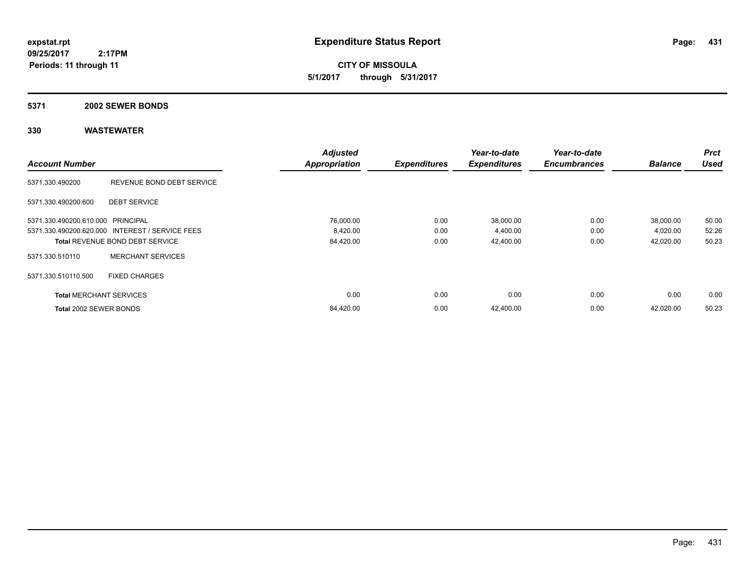**CITY OF MISSOULA 5/1/2017 through 5/31/2017**

#### **5371 2002 SEWER BONDS**

|                                   |                                                 | <b>Adjusted</b>      |                     | Year-to-date        | Year-to-date        |                | <b>Prct</b> |
|-----------------------------------|-------------------------------------------------|----------------------|---------------------|---------------------|---------------------|----------------|-------------|
| <b>Account Number</b>             |                                                 | <b>Appropriation</b> | <b>Expenditures</b> | <b>Expenditures</b> | <b>Encumbrances</b> | <b>Balance</b> | <b>Used</b> |
| 5371.330.490200                   | REVENUE BOND DEBT SERVICE                       |                      |                     |                     |                     |                |             |
| 5371.330.490200.600               | <b>DEBT SERVICE</b>                             |                      |                     |                     |                     |                |             |
| 5371.330.490200.610.000 PRINCIPAL |                                                 | 76,000.00            | 0.00                | 38,000.00           | 0.00                | 38,000.00      | 50.00       |
|                                   | 5371.330.490200.620.000 INTEREST / SERVICE FEES | 8,420.00             | 0.00                | 4,400.00            | 0.00                | 4,020.00       | 52.26       |
|                                   | <b>Total REVENUE BOND DEBT SERVICE</b>          | 84,420.00            | 0.00                | 42,400.00           | 0.00                | 42,020.00      | 50.23       |
| 5371.330.510110                   | <b>MERCHANT SERVICES</b>                        |                      |                     |                     |                     |                |             |
| 5371.330.510110.500               | <b>FIXED CHARGES</b>                            |                      |                     |                     |                     |                |             |
| <b>Total MERCHANT SERVICES</b>    |                                                 | 0.00                 | 0.00                | 0.00                | 0.00                | 0.00           | 0.00        |
| Total 2002 SEWER BONDS            |                                                 | 84,420.00            | 0.00                | 42,400.00           | 0.00                | 42,020.00      | 50.23       |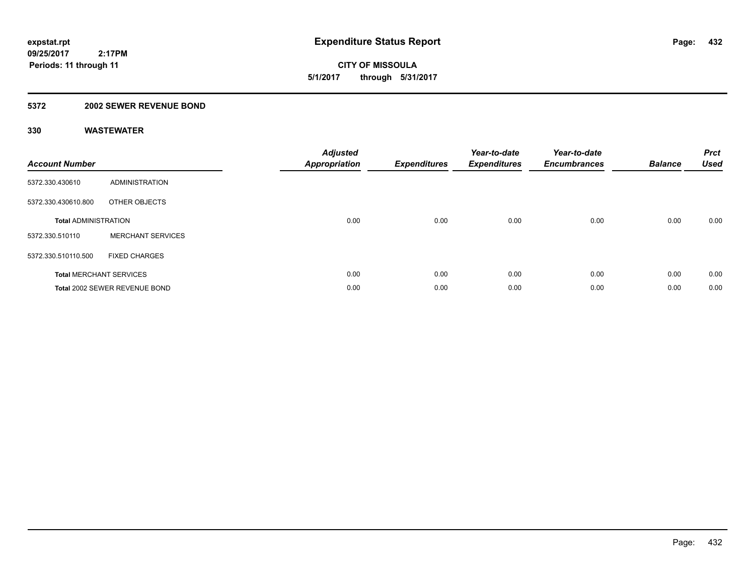**CITY OF MISSOULA 5/1/2017 through 5/31/2017**

### **5372 2002 SEWER REVENUE BOND**

| <b>Account Number</b>       |                                | <b>Adjusted</b><br><b>Appropriation</b> | <b>Expenditures</b> | Year-to-date<br><b>Expenditures</b> | Year-to-date<br><b>Encumbrances</b> | <b>Balance</b> | <b>Prct</b><br><b>Used</b> |
|-----------------------------|--------------------------------|-----------------------------------------|---------------------|-------------------------------------|-------------------------------------|----------------|----------------------------|
| 5372.330.430610             | <b>ADMINISTRATION</b>          |                                         |                     |                                     |                                     |                |                            |
| 5372.330.430610.800         | OTHER OBJECTS                  |                                         |                     |                                     |                                     |                |                            |
| <b>Total ADMINISTRATION</b> |                                | 0.00                                    | 0.00                | 0.00                                | 0.00                                | 0.00           | 0.00                       |
| 5372.330.510110             | <b>MERCHANT SERVICES</b>       |                                         |                     |                                     |                                     |                |                            |
| 5372.330.510110.500         | <b>FIXED CHARGES</b>           |                                         |                     |                                     |                                     |                |                            |
|                             | <b>Total MERCHANT SERVICES</b> | 0.00                                    | 0.00                | 0.00                                | 0.00                                | 0.00           | 0.00                       |
|                             | Total 2002 SEWER REVENUE BOND  | 0.00                                    | 0.00                | 0.00                                | 0.00                                | 0.00           | 0.00                       |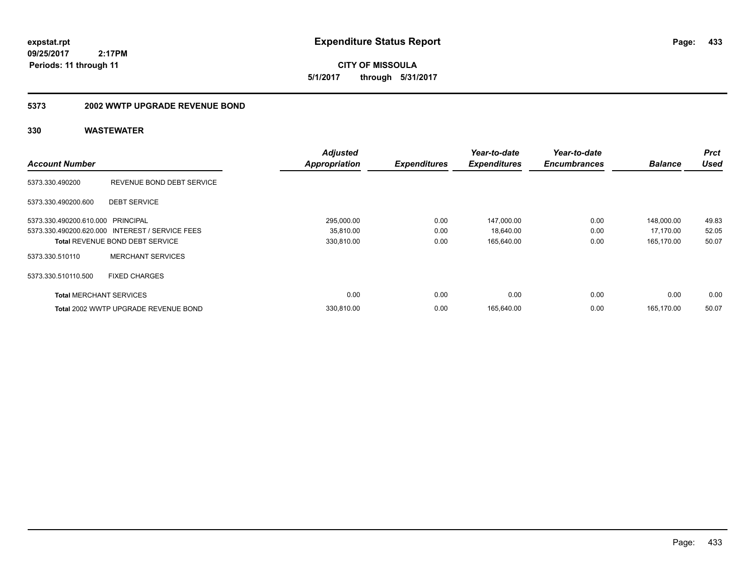**433**

**CITY OF MISSOULA 5/1/2017 through 5/31/2017**

#### **5373 2002 WWTP UPGRADE REVENUE BOND**

|                                   |                                                 | <b>Adjusted</b>      |                     | Year-to-date        | Year-to-date        |                | <b>Prct</b> |
|-----------------------------------|-------------------------------------------------|----------------------|---------------------|---------------------|---------------------|----------------|-------------|
| <b>Account Number</b>             |                                                 | <b>Appropriation</b> | <b>Expenditures</b> | <b>Expenditures</b> | <b>Encumbrances</b> | <b>Balance</b> | <b>Used</b> |
| 5373.330.490200                   | REVENUE BOND DEBT SERVICE                       |                      |                     |                     |                     |                |             |
| 5373.330.490200.600               | <b>DEBT SERVICE</b>                             |                      |                     |                     |                     |                |             |
| 5373.330.490200.610.000 PRINCIPAL |                                                 | 295,000.00           | 0.00                | 147,000.00          | 0.00                | 148,000.00     | 49.83       |
|                                   | 5373.330.490200.620.000 INTEREST / SERVICE FEES | 35,810.00            | 0.00                | 18,640.00           | 0.00                | 17,170.00      | 52.05       |
|                                   | <b>Total REVENUE BOND DEBT SERVICE</b>          | 330,810.00           | 0.00                | 165,640.00          | 0.00                | 165.170.00     | 50.07       |
| 5373.330.510110                   | <b>MERCHANT SERVICES</b>                        |                      |                     |                     |                     |                |             |
| 5373.330.510110.500               | <b>FIXED CHARGES</b>                            |                      |                     |                     |                     |                |             |
| <b>Total MERCHANT SERVICES</b>    |                                                 | 0.00                 | 0.00                | 0.00                | 0.00                | 0.00           | 0.00        |
|                                   | Total 2002 WWTP UPGRADE REVENUE BOND            | 330.810.00           | 0.00                | 165.640.00          | 0.00                | 165.170.00     | 50.07       |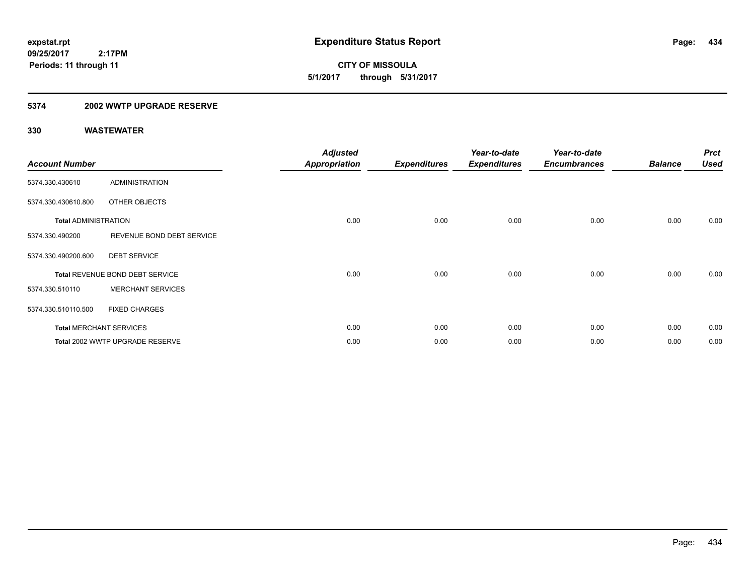**CITY OF MISSOULA 5/1/2017 through 5/31/2017**

### **5374 2002 WWTP UPGRADE RESERVE**

| <b>Account Number</b>       |                                 | <b>Adjusted</b><br>Appropriation | <b>Expenditures</b> | Year-to-date<br><b>Expenditures</b> | Year-to-date<br><b>Encumbrances</b> | <b>Balance</b> | <b>Prct</b><br><b>Used</b> |
|-----------------------------|---------------------------------|----------------------------------|---------------------|-------------------------------------|-------------------------------------|----------------|----------------------------|
| 5374.330.430610             | <b>ADMINISTRATION</b>           |                                  |                     |                                     |                                     |                |                            |
| 5374.330.430610.800         | OTHER OBJECTS                   |                                  |                     |                                     |                                     |                |                            |
| <b>Total ADMINISTRATION</b> |                                 | 0.00                             | 0.00                | 0.00                                | 0.00                                | 0.00           | 0.00                       |
| 5374.330.490200             | REVENUE BOND DEBT SERVICE       |                                  |                     |                                     |                                     |                |                            |
| 5374.330.490200.600         | <b>DEBT SERVICE</b>             |                                  |                     |                                     |                                     |                |                            |
|                             | Total REVENUE BOND DEBT SERVICE | 0.00                             | 0.00                | 0.00                                | 0.00                                | 0.00           | 0.00                       |
| 5374.330.510110             | <b>MERCHANT SERVICES</b>        |                                  |                     |                                     |                                     |                |                            |
| 5374.330.510110.500         | <b>FIXED CHARGES</b>            |                                  |                     |                                     |                                     |                |                            |
|                             | <b>Total MERCHANT SERVICES</b>  | 0.00                             | 0.00                | 0.00                                | 0.00                                | 0.00           | 0.00                       |
|                             | Total 2002 WWTP UPGRADE RESERVE | 0.00                             | 0.00                | 0.00                                | 0.00                                | 0.00           | 0.00                       |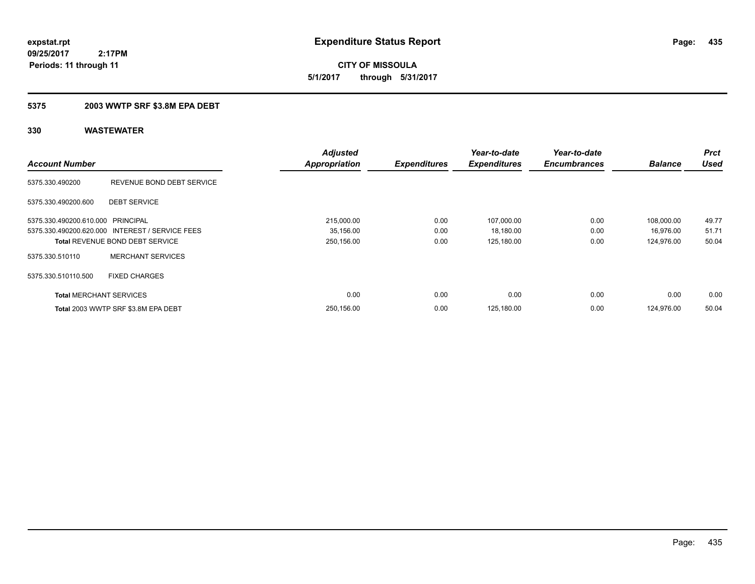**435**

**09/25/2017 2:17PM Periods: 11 through 11**

**CITY OF MISSOULA 5/1/2017 through 5/31/2017**

### **5375 2003 WWTP SRF \$3.8M EPA DEBT**

|                                   |                                                 | <b>Adjusted</b>      |                     | Year-to-date        | Year-to-date        |                | <b>Prct</b> |
|-----------------------------------|-------------------------------------------------|----------------------|---------------------|---------------------|---------------------|----------------|-------------|
| <b>Account Number</b>             |                                                 | <b>Appropriation</b> | <b>Expenditures</b> | <b>Expenditures</b> | <b>Encumbrances</b> | <b>Balance</b> | <b>Used</b> |
| 5375.330.490200                   | REVENUE BOND DEBT SERVICE                       |                      |                     |                     |                     |                |             |
| 5375.330.490200.600               | <b>DEBT SERVICE</b>                             |                      |                     |                     |                     |                |             |
| 5375.330.490200.610.000 PRINCIPAL |                                                 | 215,000.00           | 0.00                | 107,000.00          | 0.00                | 108,000.00     | 49.77       |
|                                   | 5375.330.490200.620.000 INTEREST / SERVICE FEES | 35,156.00            | 0.00                | 18,180.00           | 0.00                | 16,976.00      | 51.71       |
|                                   | <b>Total REVENUE BOND DEBT SERVICE</b>          | 250,156.00           | 0.00                | 125,180.00          | 0.00                | 124.976.00     | 50.04       |
| 5375.330.510110                   | <b>MERCHANT SERVICES</b>                        |                      |                     |                     |                     |                |             |
| 5375.330.510110.500               | <b>FIXED CHARGES</b>                            |                      |                     |                     |                     |                |             |
| <b>Total MERCHANT SERVICES</b>    |                                                 | 0.00                 | 0.00                | 0.00                | 0.00                | 0.00           | 0.00        |
|                                   | Total 2003 WWTP SRF \$3.8M EPA DEBT             | 250,156.00           | 0.00                | 125,180.00          | 0.00                | 124.976.00     | 50.04       |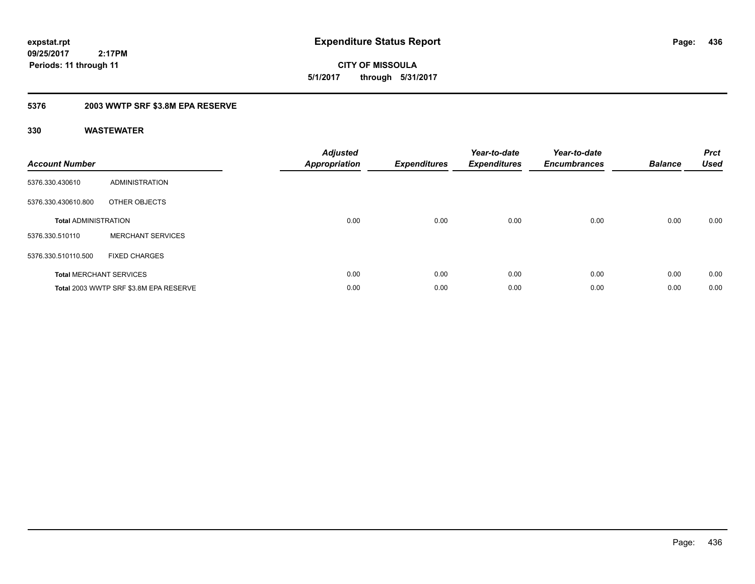**CITY OF MISSOULA 5/1/2017 through 5/31/2017**

### **5376 2003 WWTP SRF \$3.8M EPA RESERVE**

| <b>Account Number</b>       |                                        | <b>Adjusted</b><br>Appropriation | <b>Expenditures</b> | Year-to-date<br><b>Expenditures</b> | Year-to-date<br><b>Encumbrances</b> | <b>Balance</b> | <b>Prct</b><br><b>Used</b> |
|-----------------------------|----------------------------------------|----------------------------------|---------------------|-------------------------------------|-------------------------------------|----------------|----------------------------|
| 5376.330.430610             | ADMINISTRATION                         |                                  |                     |                                     |                                     |                |                            |
| 5376.330.430610.800         | OTHER OBJECTS                          |                                  |                     |                                     |                                     |                |                            |
| <b>Total ADMINISTRATION</b> |                                        | 0.00                             | 0.00                | 0.00                                | 0.00                                | 0.00           | 0.00                       |
| 5376.330.510110             | <b>MERCHANT SERVICES</b>               |                                  |                     |                                     |                                     |                |                            |
| 5376.330.510110.500         | <b>FIXED CHARGES</b>                   |                                  |                     |                                     |                                     |                |                            |
|                             | <b>Total MERCHANT SERVICES</b>         | 0.00                             | 0.00                | 0.00                                | 0.00                                | 0.00           | 0.00                       |
|                             | Total 2003 WWTP SRF \$3.8M EPA RESERVE | 0.00                             | 0.00                | 0.00                                | 0.00                                | 0.00           | 0.00                       |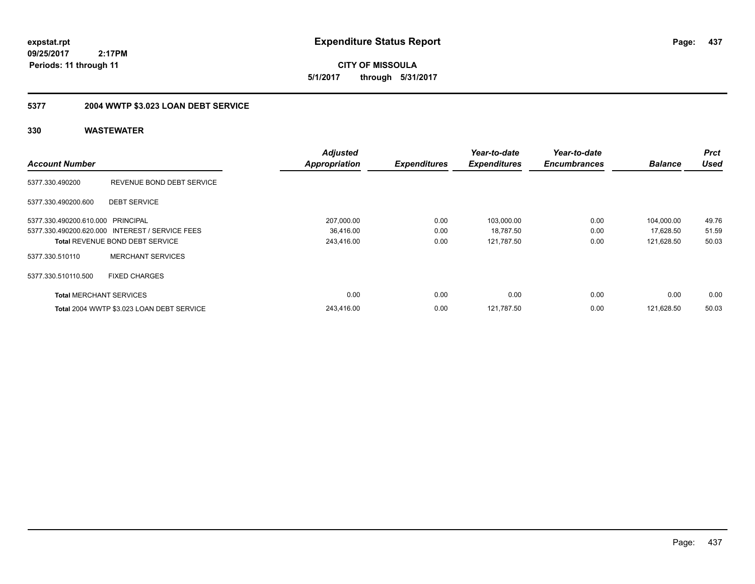**CITY OF MISSOULA 5/1/2017 through 5/31/2017**

## **5377 2004 WWTP \$3.023 LOAN DEBT SERVICE**

|                                   |                                                 | <b>Adjusted</b>      |                     | Year-to-date        | Year-to-date        |                | <b>Prct</b> |
|-----------------------------------|-------------------------------------------------|----------------------|---------------------|---------------------|---------------------|----------------|-------------|
| <b>Account Number</b>             |                                                 | <b>Appropriation</b> | <b>Expenditures</b> | <b>Expenditures</b> | <b>Encumbrances</b> | <b>Balance</b> | <b>Used</b> |
| 5377.330.490200                   | REVENUE BOND DEBT SERVICE                       |                      |                     |                     |                     |                |             |
| 5377.330.490200.600               | <b>DEBT SERVICE</b>                             |                      |                     |                     |                     |                |             |
| 5377.330.490200.610.000 PRINCIPAL |                                                 | 207,000.00           | 0.00                | 103,000.00          | 0.00                | 104,000.00     | 49.76       |
|                                   | 5377.330.490200.620.000 INTEREST / SERVICE FEES | 36,416.00            | 0.00                | 18,787.50           | 0.00                | 17,628.50      | 51.59       |
|                                   | <b>Total REVENUE BOND DEBT SERVICE</b>          | 243,416.00           | 0.00                | 121,787.50          | 0.00                | 121,628.50     | 50.03       |
| 5377.330.510110                   | <b>MERCHANT SERVICES</b>                        |                      |                     |                     |                     |                |             |
| 5377.330.510110.500               | <b>FIXED CHARGES</b>                            |                      |                     |                     |                     |                |             |
| <b>Total MERCHANT SERVICES</b>    |                                                 | 0.00                 | 0.00                | 0.00                | 0.00                | 0.00           | 0.00        |
|                                   | Total 2004 WWTP \$3.023 LOAN DEBT SERVICE       | 243.416.00           | 0.00                | 121.787.50          | 0.00                | 121.628.50     | 50.03       |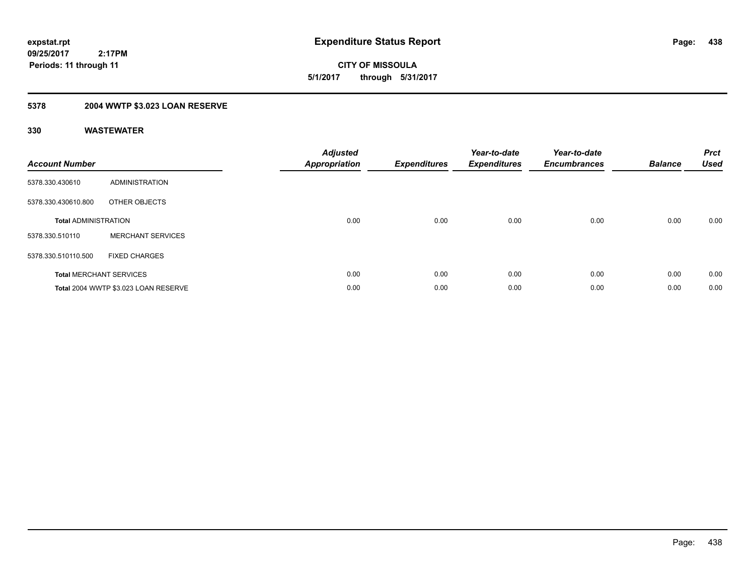**CITY OF MISSOULA 5/1/2017 through 5/31/2017**

## **5378 2004 WWTP \$3.023 LOAN RESERVE**

| <b>Account Number</b>       |                                      | <b>Adjusted</b><br><b>Appropriation</b> | <b>Expenditures</b> | Year-to-date<br><b>Expenditures</b> | Year-to-date<br><b>Encumbrances</b> | <b>Balance</b> | <b>Prct</b><br><b>Used</b> |
|-----------------------------|--------------------------------------|-----------------------------------------|---------------------|-------------------------------------|-------------------------------------|----------------|----------------------------|
| 5378.330.430610             | <b>ADMINISTRATION</b>                |                                         |                     |                                     |                                     |                |                            |
| 5378.330.430610.800         | OTHER OBJECTS                        |                                         |                     |                                     |                                     |                |                            |
| <b>Total ADMINISTRATION</b> |                                      | 0.00                                    | 0.00                | 0.00                                | 0.00                                | 0.00           | 0.00                       |
| 5378.330.510110             | <b>MERCHANT SERVICES</b>             |                                         |                     |                                     |                                     |                |                            |
| 5378.330.510110.500         | <b>FIXED CHARGES</b>                 |                                         |                     |                                     |                                     |                |                            |
|                             | <b>Total MERCHANT SERVICES</b>       | 0.00                                    | 0.00                | 0.00                                | 0.00                                | 0.00           | 0.00                       |
|                             | Total 2004 WWTP \$3.023 LOAN RESERVE | 0.00                                    | 0.00                | 0.00                                | 0.00                                | 0.00           | 0.00                       |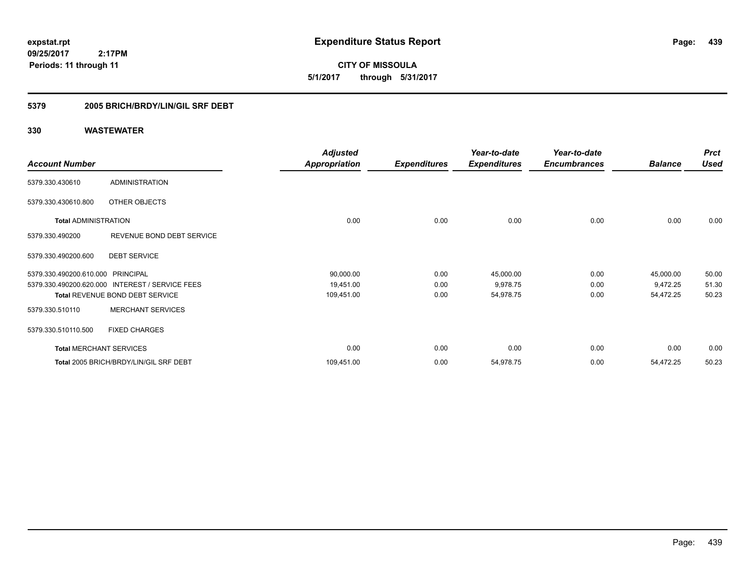**CITY OF MISSOULA 5/1/2017 through 5/31/2017**

### **5379 2005 BRICH/BRDY/LIN/GIL SRF DEBT**

|                                   |                                                 | <b>Adjusted</b>      |                     | Year-to-date        | Year-to-date        |                | <b>Prct</b> |
|-----------------------------------|-------------------------------------------------|----------------------|---------------------|---------------------|---------------------|----------------|-------------|
| <b>Account Number</b>             |                                                 | <b>Appropriation</b> | <b>Expenditures</b> | <b>Expenditures</b> | <b>Encumbrances</b> | <b>Balance</b> | <b>Used</b> |
| 5379.330.430610                   | <b>ADMINISTRATION</b>                           |                      |                     |                     |                     |                |             |
| 5379.330.430610.800               | OTHER OBJECTS                                   |                      |                     |                     |                     |                |             |
| <b>Total ADMINISTRATION</b>       |                                                 | 0.00                 | 0.00                | 0.00                | 0.00                | 0.00           | 0.00        |
| 5379.330.490200                   | REVENUE BOND DEBT SERVICE                       |                      |                     |                     |                     |                |             |
| 5379.330.490200.600               | <b>DEBT SERVICE</b>                             |                      |                     |                     |                     |                |             |
| 5379.330.490200.610.000 PRINCIPAL |                                                 | 90,000.00            | 0.00                | 45,000.00           | 0.00                | 45,000.00      | 50.00       |
|                                   | 5379.330.490200.620.000 INTEREST / SERVICE FEES | 19,451.00            | 0.00                | 9,978.75            | 0.00                | 9,472.25       | 51.30       |
|                                   | <b>Total REVENUE BOND DEBT SERVICE</b>          | 109,451.00           | 0.00                | 54,978.75           | 0.00                | 54,472.25      | 50.23       |
| 5379.330.510110                   | <b>MERCHANT SERVICES</b>                        |                      |                     |                     |                     |                |             |
| 5379.330.510110.500               | <b>FIXED CHARGES</b>                            |                      |                     |                     |                     |                |             |
| <b>Total MERCHANT SERVICES</b>    |                                                 | 0.00                 | 0.00                | 0.00                | 0.00                | 0.00           | 0.00        |
|                                   | Total 2005 BRICH/BRDY/LIN/GIL SRF DEBT          | 109,451.00           | 0.00                | 54,978.75           | 0.00                | 54,472.25      | 50.23       |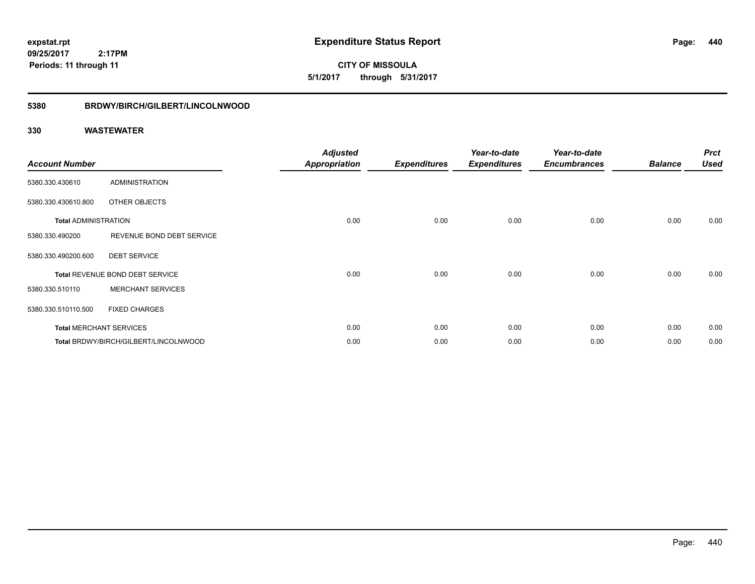**CITY OF MISSOULA 5/1/2017 through 5/31/2017**

#### **5380 BRDWY/BIRCH/GILBERT/LINCOLNWOOD**

| <b>Account Number</b>       |                                       | <b>Adjusted</b><br>Appropriation | <b>Expenditures</b> | Year-to-date<br><b>Expenditures</b> | Year-to-date<br><b>Encumbrances</b> | <b>Balance</b> | <b>Prct</b><br><b>Used</b> |
|-----------------------------|---------------------------------------|----------------------------------|---------------------|-------------------------------------|-------------------------------------|----------------|----------------------------|
| 5380.330.430610             | ADMINISTRATION                        |                                  |                     |                                     |                                     |                |                            |
| 5380.330.430610.800         | OTHER OBJECTS                         |                                  |                     |                                     |                                     |                |                            |
| <b>Total ADMINISTRATION</b> |                                       | 0.00                             | 0.00                | 0.00                                | 0.00                                | 0.00           | 0.00                       |
| 5380.330.490200             | REVENUE BOND DEBT SERVICE             |                                  |                     |                                     |                                     |                |                            |
| 5380.330.490200.600         | <b>DEBT SERVICE</b>                   |                                  |                     |                                     |                                     |                |                            |
|                             | Total REVENUE BOND DEBT SERVICE       | 0.00                             | 0.00                | 0.00                                | 0.00                                | 0.00           | 0.00                       |
| 5380.330.510110             | <b>MERCHANT SERVICES</b>              |                                  |                     |                                     |                                     |                |                            |
| 5380.330.510110.500         | <b>FIXED CHARGES</b>                  |                                  |                     |                                     |                                     |                |                            |
|                             | <b>Total MERCHANT SERVICES</b>        | 0.00                             | 0.00                | 0.00                                | 0.00                                | 0.00           | 0.00                       |
|                             | Total BRDWY/BIRCH/GILBERT/LINCOLNWOOD | 0.00                             | 0.00                | 0.00                                | 0.00                                | 0.00           | 0.00                       |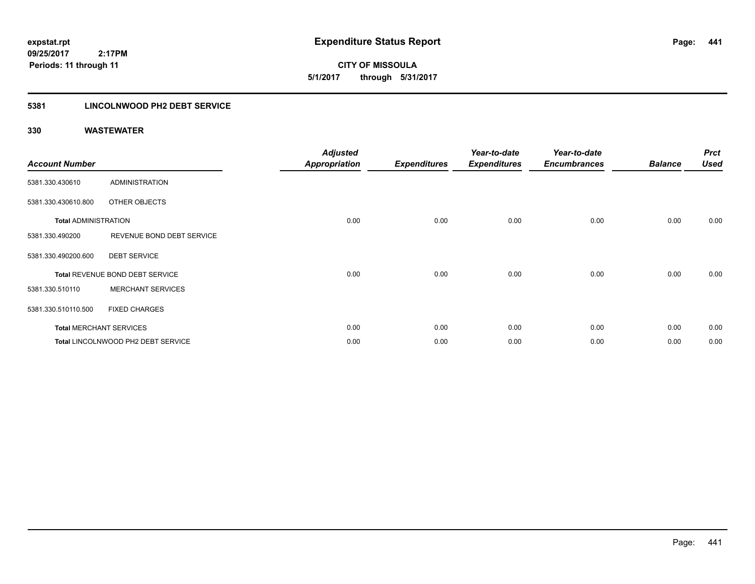**CITY OF MISSOULA 5/1/2017 through 5/31/2017**

### **5381 LINCOLNWOOD PH2 DEBT SERVICE**

| <b>Account Number</b>       |                                    | <b>Adjusted</b><br>Appropriation | <b>Expenditures</b> | Year-to-date<br><b>Expenditures</b> | Year-to-date<br><b>Encumbrances</b> | <b>Balance</b> | <b>Prct</b><br><b>Used</b> |
|-----------------------------|------------------------------------|----------------------------------|---------------------|-------------------------------------|-------------------------------------|----------------|----------------------------|
| 5381.330.430610             | ADMINISTRATION                     |                                  |                     |                                     |                                     |                |                            |
| 5381.330.430610.800         | OTHER OBJECTS                      |                                  |                     |                                     |                                     |                |                            |
| <b>Total ADMINISTRATION</b> |                                    | 0.00                             | 0.00                | 0.00                                | 0.00                                | 0.00           | 0.00                       |
| 5381.330.490200             | REVENUE BOND DEBT SERVICE          |                                  |                     |                                     |                                     |                |                            |
| 5381.330.490200.600         | <b>DEBT SERVICE</b>                |                                  |                     |                                     |                                     |                |                            |
|                             | Total REVENUE BOND DEBT SERVICE    | 0.00                             | 0.00                | 0.00                                | 0.00                                | 0.00           | 0.00                       |
| 5381.330.510110             | <b>MERCHANT SERVICES</b>           |                                  |                     |                                     |                                     |                |                            |
| 5381.330.510110.500         | <b>FIXED CHARGES</b>               |                                  |                     |                                     |                                     |                |                            |
|                             | <b>Total MERCHANT SERVICES</b>     | 0.00                             | 0.00                | 0.00                                | 0.00                                | 0.00           | 0.00                       |
|                             | Total LINCOLNWOOD PH2 DEBT SERVICE | 0.00                             | 0.00                | 0.00                                | 0.00                                | 0.00           | 0.00                       |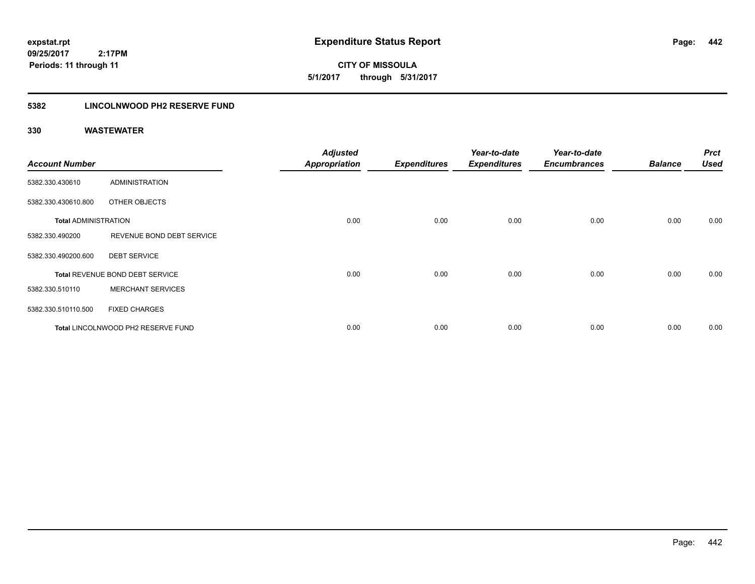**CITY OF MISSOULA 5/1/2017 through 5/31/2017**

### **5382 LINCOLNWOOD PH2 RESERVE FUND**

| <b>Account Number</b>       |                                    | <b>Adjusted</b><br><b>Appropriation</b> | <b>Expenditures</b> | Year-to-date<br><b>Expenditures</b> | Year-to-date<br><b>Encumbrances</b> | <b>Balance</b> | <b>Prct</b><br><b>Used</b> |
|-----------------------------|------------------------------------|-----------------------------------------|---------------------|-------------------------------------|-------------------------------------|----------------|----------------------------|
| 5382.330.430610             | ADMINISTRATION                     |                                         |                     |                                     |                                     |                |                            |
| 5382.330.430610.800         | OTHER OBJECTS                      |                                         |                     |                                     |                                     |                |                            |
| <b>Total ADMINISTRATION</b> |                                    | 0.00                                    | 0.00                | 0.00                                | 0.00                                | 0.00           | 0.00                       |
| 5382.330.490200             | REVENUE BOND DEBT SERVICE          |                                         |                     |                                     |                                     |                |                            |
| 5382.330.490200.600         | <b>DEBT SERVICE</b>                |                                         |                     |                                     |                                     |                |                            |
|                             | Total REVENUE BOND DEBT SERVICE    | 0.00                                    | 0.00                | 0.00                                | 0.00                                | 0.00           | 0.00                       |
| 5382.330.510110             | <b>MERCHANT SERVICES</b>           |                                         |                     |                                     |                                     |                |                            |
| 5382.330.510110.500         | <b>FIXED CHARGES</b>               |                                         |                     |                                     |                                     |                |                            |
|                             | Total LINCOLNWOOD PH2 RESERVE FUND | 0.00                                    | 0.00                | 0.00                                | 0.00                                | 0.00           | 0.00                       |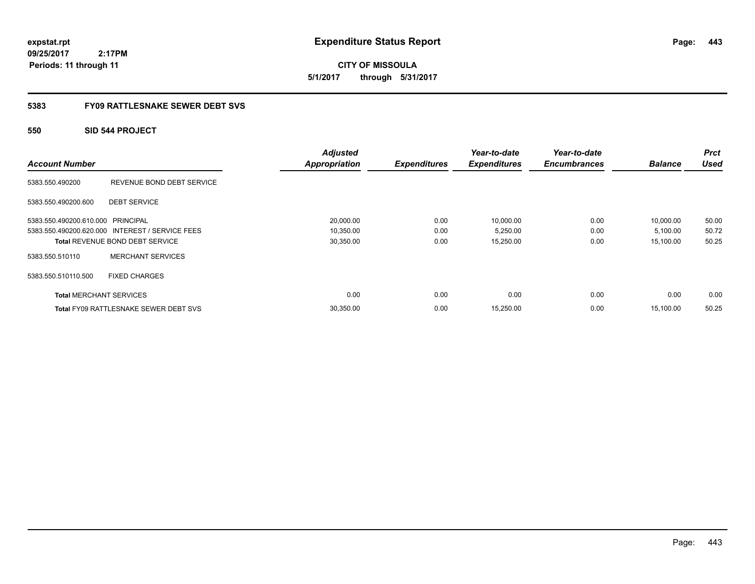**443**

**CITY OF MISSOULA 5/1/2017 through 5/31/2017**

### **5383 FY09 RATTLESNAKE SEWER DEBT SVS**

### **550 SID 544 PROJECT**

| <b>Account Number</b>             |                                                 | <b>Adjusted</b><br><b>Appropriation</b> | <b>Expenditures</b> | Year-to-date<br><b>Expenditures</b> | Year-to-date<br><b>Encumbrances</b> | <b>Balance</b> | <b>Prct</b><br><b>Used</b> |
|-----------------------------------|-------------------------------------------------|-----------------------------------------|---------------------|-------------------------------------|-------------------------------------|----------------|----------------------------|
| 5383.550.490200                   | REVENUE BOND DEBT SERVICE                       |                                         |                     |                                     |                                     |                |                            |
| 5383.550.490200.600               | <b>DEBT SERVICE</b>                             |                                         |                     |                                     |                                     |                |                            |
| 5383.550.490200.610.000 PRINCIPAL |                                                 | 20,000.00                               | 0.00                | 10,000.00                           | 0.00                                | 10,000.00      | 50.00                      |
|                                   | 5383.550.490200.620.000 INTEREST / SERVICE FEES | 10,350.00                               | 0.00                | 5,250.00                            | 0.00                                | 5,100.00       | 50.72                      |
|                                   | <b>Total REVENUE BOND DEBT SERVICE</b>          | 30,350.00                               | 0.00                | 15,250.00                           | 0.00                                | 15.100.00      | 50.25                      |
| 5383.550.510110                   | <b>MERCHANT SERVICES</b>                        |                                         |                     |                                     |                                     |                |                            |
| 5383.550.510110.500               | <b>FIXED CHARGES</b>                            |                                         |                     |                                     |                                     |                |                            |
| <b>Total MERCHANT SERVICES</b>    |                                                 | 0.00                                    | 0.00                | 0.00                                | 0.00                                | 0.00           | 0.00                       |
|                                   | <b>Total FY09 RATTLESNAKE SEWER DEBT SVS</b>    | 30,350.00                               | 0.00                | 15,250.00                           | 0.00                                | 15.100.00      | 50.25                      |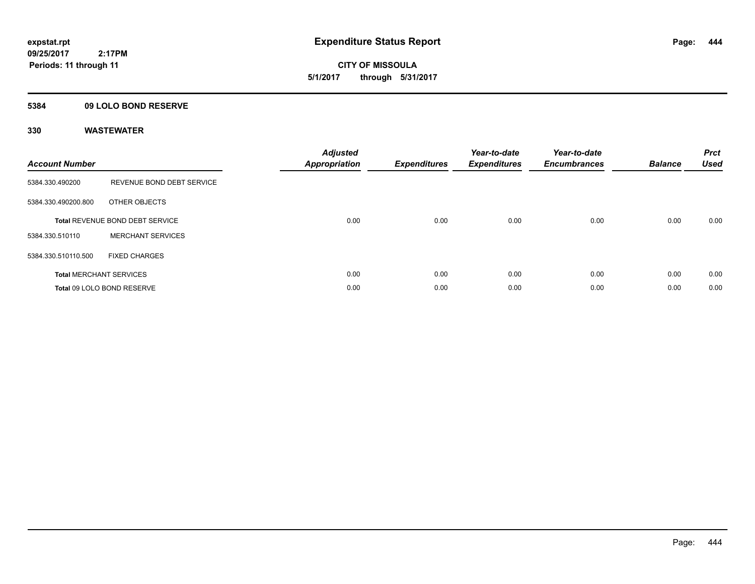**CITY OF MISSOULA 5/1/2017 through 5/31/2017**

### **5384 09 LOLO BOND RESERVE**

| <b>Account Number</b> |                                        | <b>Adjusted</b><br>Appropriation | <b>Expenditures</b> | Year-to-date<br><b>Expenditures</b> | Year-to-date<br><b>Encumbrances</b> | <b>Balance</b> | <b>Prct</b><br><b>Used</b> |
|-----------------------|----------------------------------------|----------------------------------|---------------------|-------------------------------------|-------------------------------------|----------------|----------------------------|
| 5384.330.490200       | REVENUE BOND DEBT SERVICE              |                                  |                     |                                     |                                     |                |                            |
| 5384.330.490200.800   | OTHER OBJECTS                          |                                  |                     |                                     |                                     |                |                            |
|                       | <b>Total REVENUE BOND DEBT SERVICE</b> | 0.00                             | 0.00                | 0.00                                | 0.00                                | 0.00           | 0.00                       |
| 5384.330.510110       | <b>MERCHANT SERVICES</b>               |                                  |                     |                                     |                                     |                |                            |
| 5384.330.510110.500   | <b>FIXED CHARGES</b>                   |                                  |                     |                                     |                                     |                |                            |
|                       | <b>Total MERCHANT SERVICES</b>         | 0.00                             | 0.00                | 0.00                                | 0.00                                | 0.00           | 0.00                       |
|                       | Total 09 LOLO BOND RESERVE             | 0.00                             | 0.00                | 0.00                                | 0.00                                | 0.00           | 0.00                       |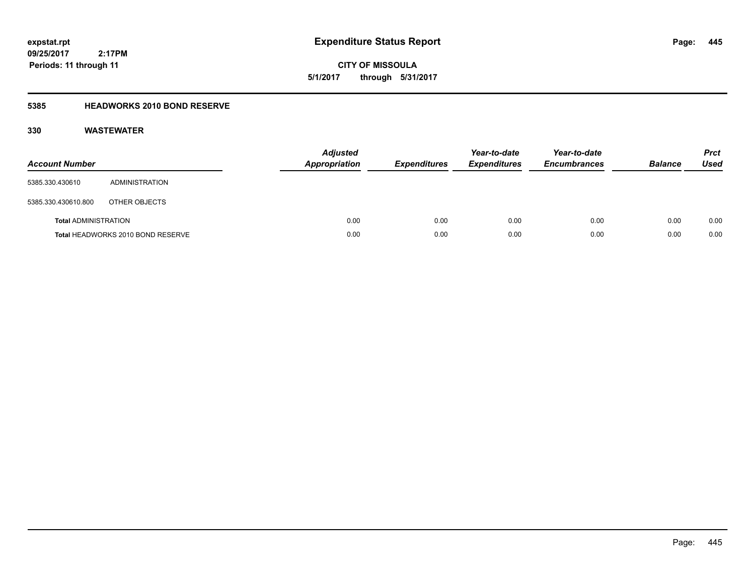**CITY OF MISSOULA 5/1/2017 through 5/31/2017**

### **5385 HEADWORKS 2010 BOND RESERVE**

| <b>Account Number</b>       |                                   | <b>Adjusted</b><br><b>Appropriation</b> | <b>Expenditures</b> | Year-to-date<br><b>Expenditures</b> | Year-to-date<br><b>Encumbrances</b> | <b>Balance</b> | <b>Prct</b><br><b>Used</b> |
|-----------------------------|-----------------------------------|-----------------------------------------|---------------------|-------------------------------------|-------------------------------------|----------------|----------------------------|
| 5385.330.430610             | ADMINISTRATION                    |                                         |                     |                                     |                                     |                |                            |
| 5385.330.430610.800         | OTHER OBJECTS                     |                                         |                     |                                     |                                     |                |                            |
| <b>Total ADMINISTRATION</b> |                                   | 0.00                                    | 0.00                | 0.00                                | 0.00                                | 0.00           | 0.00                       |
|                             | Total HEADWORKS 2010 BOND RESERVE | 0.00                                    | 0.00                | 0.00                                | 0.00                                | 0.00           | 0.00                       |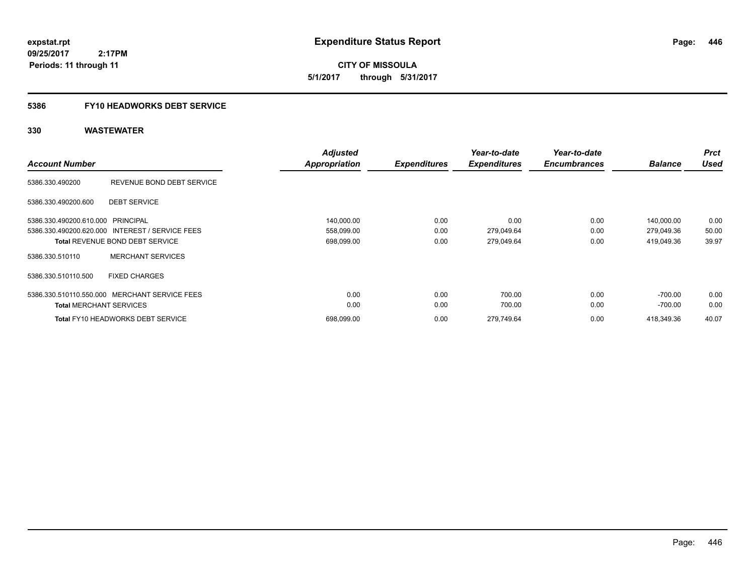**CITY OF MISSOULA 5/1/2017 through 5/31/2017**

# **5386 FY10 HEADWORKS DEBT SERVICE**

| <b>Account Number</b>             |                                                 | <b>Adjusted</b><br><b>Appropriation</b> | <b>Expenditures</b> | Year-to-date<br><b>Expenditures</b> | Year-to-date<br><b>Encumbrances</b> | <b>Balance</b> | <b>Prct</b><br><b>Used</b> |
|-----------------------------------|-------------------------------------------------|-----------------------------------------|---------------------|-------------------------------------|-------------------------------------|----------------|----------------------------|
| 5386.330.490200                   | REVENUE BOND DEBT SERVICE                       |                                         |                     |                                     |                                     |                |                            |
| 5386.330.490200.600               | <b>DEBT SERVICE</b>                             |                                         |                     |                                     |                                     |                |                            |
| 5386.330.490200.610.000 PRINCIPAL |                                                 | 140,000.00                              | 0.00                | 0.00                                | 0.00                                | 140.000.00     | 0.00                       |
|                                   | 5386.330.490200.620.000 INTEREST / SERVICE FEES | 558,099.00                              | 0.00                | 279,049.64                          | 0.00                                | 279,049.36     | 50.00                      |
|                                   | <b>Total REVENUE BOND DEBT SERVICE</b>          | 698,099.00                              | 0.00                | 279,049.64                          | 0.00                                | 419,049.36     | 39.97                      |
| 5386.330.510110                   | <b>MERCHANT SERVICES</b>                        |                                         |                     |                                     |                                     |                |                            |
| 5386.330.510110.500               | <b>FIXED CHARGES</b>                            |                                         |                     |                                     |                                     |                |                            |
|                                   | 5386.330.510110.550.000 MERCHANT SERVICE FEES   | 0.00                                    | 0.00                | 700.00                              | 0.00                                | $-700.00$      | 0.00                       |
| <b>Total MERCHANT SERVICES</b>    |                                                 | 0.00                                    | 0.00                | 700.00                              | 0.00                                | -700.00        | 0.00                       |
|                                   | <b>Total FY10 HEADWORKS DEBT SERVICE</b>        | 698.099.00                              | 0.00                | 279.749.64                          | 0.00                                | 418.349.36     | 40.07                      |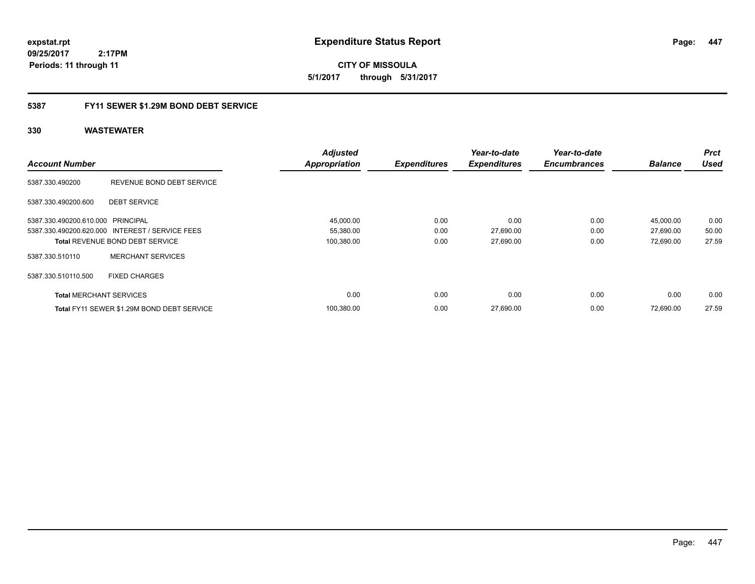**CITY OF MISSOULA 5/1/2017 through 5/31/2017**

### **5387 FY11 SEWER \$1.29M BOND DEBT SERVICE**

|                                   |                                                 | <b>Adjusted</b>      |                     | Year-to-date        | Year-to-date        |                | <b>Prct</b> |
|-----------------------------------|-------------------------------------------------|----------------------|---------------------|---------------------|---------------------|----------------|-------------|
| <b>Account Number</b>             |                                                 | <b>Appropriation</b> | <b>Expenditures</b> | <b>Expenditures</b> | <b>Encumbrances</b> | <b>Balance</b> | <b>Used</b> |
| 5387.330.490200                   | REVENUE BOND DEBT SERVICE                       |                      |                     |                     |                     |                |             |
| 5387.330.490200.600               | <b>DEBT SERVICE</b>                             |                      |                     |                     |                     |                |             |
| 5387.330.490200.610.000 PRINCIPAL |                                                 | 45,000.00            | 0.00                | 0.00                | 0.00                | 45,000.00      | 0.00        |
|                                   | 5387.330.490200.620.000 INTEREST / SERVICE FEES | 55,380.00            | 0.00                | 27,690.00           | 0.00                | 27,690.00      | 50.00       |
|                                   | <b>Total REVENUE BOND DEBT SERVICE</b>          | 100,380.00           | 0.00                | 27,690.00           | 0.00                | 72,690.00      | 27.59       |
| 5387.330.510110                   | <b>MERCHANT SERVICES</b>                        |                      |                     |                     |                     |                |             |
| 5387.330.510110.500               | <b>FIXED CHARGES</b>                            |                      |                     |                     |                     |                |             |
| <b>Total MERCHANT SERVICES</b>    |                                                 | 0.00                 | 0.00                | 0.00                | 0.00                | 0.00           | 0.00        |
|                                   | Total FY11 SEWER \$1.29M BOND DEBT SERVICE      | 100.380.00           | 0.00                | 27,690.00           | 0.00                | 72.690.00      | 27.59       |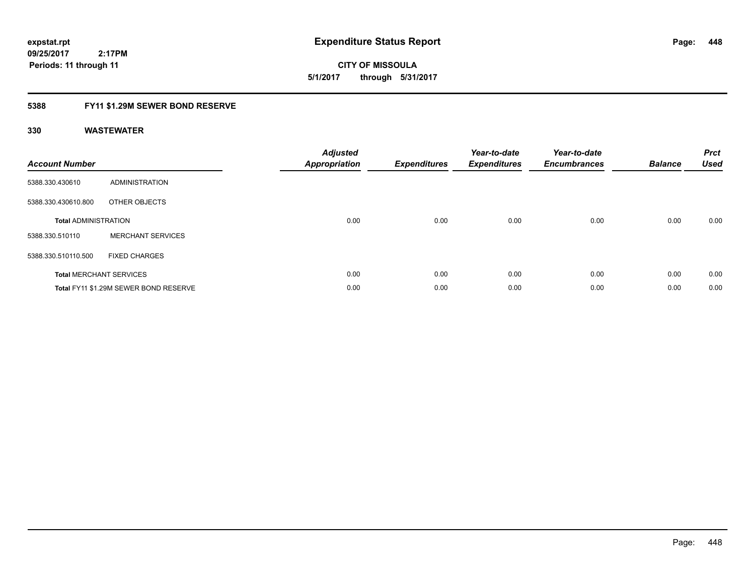**2:17PM**

**CITY OF MISSOULA 5/1/2017 through 5/31/2017**

### **5388 FY11 \$1.29M SEWER BOND RESERVE**

| <b>Account Number</b>       |                                       | Adjusted<br><b>Appropriation</b> | <b>Expenditures</b> | Year-to-date<br><b>Expenditures</b> | Year-to-date<br><b>Encumbrances</b> | <b>Balance</b> | <b>Prct</b><br><b>Used</b> |
|-----------------------------|---------------------------------------|----------------------------------|---------------------|-------------------------------------|-------------------------------------|----------------|----------------------------|
| 5388.330.430610             | <b>ADMINISTRATION</b>                 |                                  |                     |                                     |                                     |                |                            |
| 5388.330.430610.800         | OTHER OBJECTS                         |                                  |                     |                                     |                                     |                |                            |
| <b>Total ADMINISTRATION</b> |                                       | 0.00                             | 0.00                | 0.00                                | 0.00                                | 0.00           | 0.00                       |
| 5388.330.510110             | <b>MERCHANT SERVICES</b>              |                                  |                     |                                     |                                     |                |                            |
| 5388.330.510110.500         | <b>FIXED CHARGES</b>                  |                                  |                     |                                     |                                     |                |                            |
|                             | <b>Total MERCHANT SERVICES</b>        | 0.00                             | 0.00                | 0.00                                | 0.00                                | 0.00           | 0.00                       |
|                             | Total FY11 \$1.29M SEWER BOND RESERVE | 0.00                             | 0.00                | 0.00                                | 0.00                                | 0.00           | 0.00                       |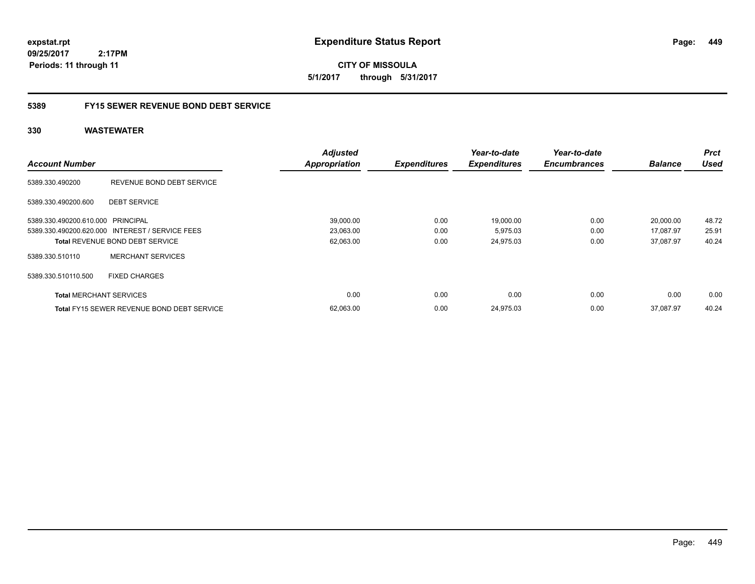**449**

**CITY OF MISSOULA 5/1/2017 through 5/31/2017**

### **5389 FY15 SEWER REVENUE BOND DEBT SERVICE**

|                                   |                                                   | <b>Adjusted</b>      |                     | Year-to-date        | Year-to-date        |                | <b>Prct</b> |
|-----------------------------------|---------------------------------------------------|----------------------|---------------------|---------------------|---------------------|----------------|-------------|
| <b>Account Number</b>             |                                                   | <b>Appropriation</b> | <b>Expenditures</b> | <b>Expenditures</b> | <b>Encumbrances</b> | <b>Balance</b> | <b>Used</b> |
| 5389.330.490200                   | REVENUE BOND DEBT SERVICE                         |                      |                     |                     |                     |                |             |
| 5389.330.490200.600               | <b>DEBT SERVICE</b>                               |                      |                     |                     |                     |                |             |
| 5389.330.490200.610.000 PRINCIPAL |                                                   | 39,000.00            | 0.00                | 19,000.00           | 0.00                | 20,000.00      | 48.72       |
|                                   | 5389.330.490200.620.000 INTEREST / SERVICE FEES   | 23,063.00            | 0.00                | 5,975.03            | 0.00                | 17,087.97      | 25.91       |
|                                   | <b>Total REVENUE BOND DEBT SERVICE</b>            | 62,063.00            | 0.00                | 24,975.03           | 0.00                | 37.087.97      | 40.24       |
| 5389.330.510110                   | <b>MERCHANT SERVICES</b>                          |                      |                     |                     |                     |                |             |
| 5389.330.510110.500               | <b>FIXED CHARGES</b>                              |                      |                     |                     |                     |                |             |
| <b>Total MERCHANT SERVICES</b>    |                                                   | 0.00                 | 0.00                | 0.00                | 0.00                | 0.00           | 0.00        |
|                                   | <b>Total FY15 SEWER REVENUE BOND DEBT SERVICE</b> | 62,063.00            | 0.00                | 24,975.03           | 0.00                | 37.087.97      | 40.24       |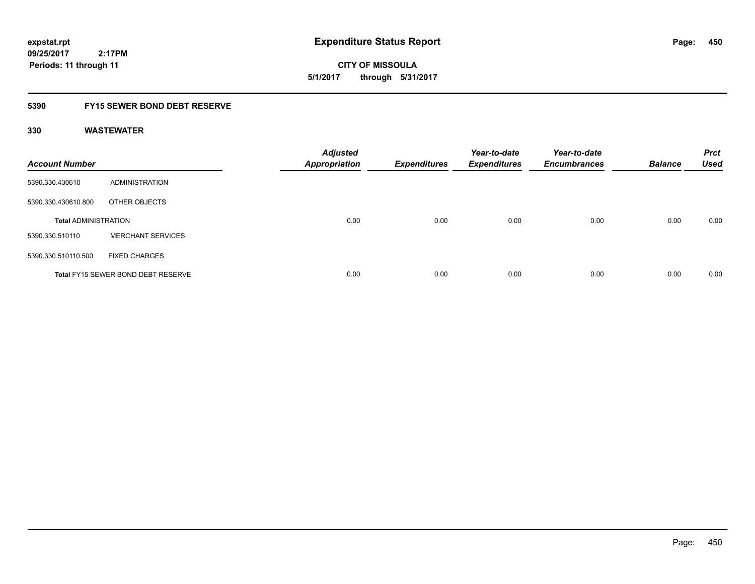**CITY OF MISSOULA 5/1/2017 through 5/31/2017**

### **5390 FY15 SEWER BOND DEBT RESERVE**

| <b>Account Number</b>       |                                           | <b>Adjusted</b><br><b>Appropriation</b> | <b>Expenditures</b> | Year-to-date<br><b>Expenditures</b> | Year-to-date<br><b>Encumbrances</b> | <b>Balance</b> | <b>Prct</b><br><b>Used</b> |
|-----------------------------|-------------------------------------------|-----------------------------------------|---------------------|-------------------------------------|-------------------------------------|----------------|----------------------------|
| 5390.330.430610             | ADMINISTRATION                            |                                         |                     |                                     |                                     |                |                            |
| 5390.330.430610.800         | OTHER OBJECTS                             |                                         |                     |                                     |                                     |                |                            |
| <b>Total ADMINISTRATION</b> |                                           | 0.00                                    | 0.00                | 0.00                                | 0.00                                | 0.00           | 0.00                       |
| 5390.330.510110             | <b>MERCHANT SERVICES</b>                  |                                         |                     |                                     |                                     |                |                            |
| 5390.330.510110.500         | <b>FIXED CHARGES</b>                      |                                         |                     |                                     |                                     |                |                            |
|                             | <b>Total FY15 SEWER BOND DEBT RESERVE</b> | 0.00                                    | 0.00                | 0.00                                | 0.00                                | 0.00           | 0.00                       |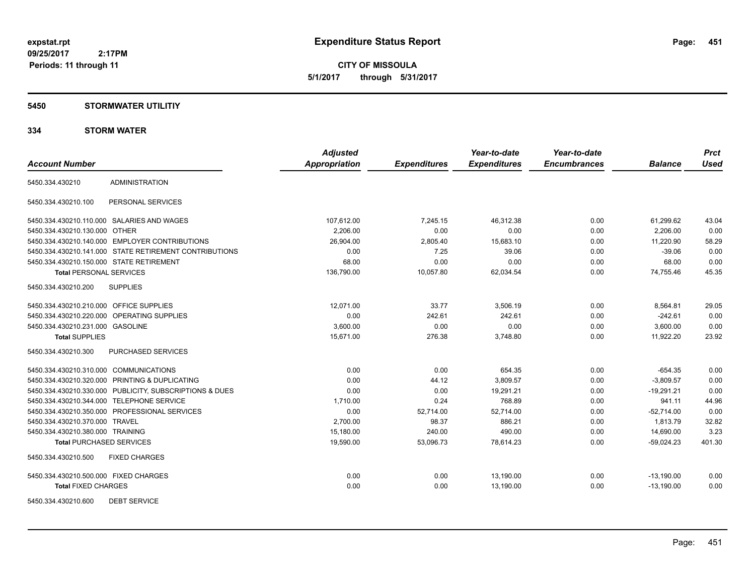**CITY OF MISSOULA 5/1/2017 through 5/31/2017**

### **5450 STORMWATER UTILITIY**

### **334 STORM WATER**

| <b>Account Number</b>                    |                                                         | <b>Adjusted</b><br>Appropriation | <b>Expenditures</b> | Year-to-date<br><b>Expenditures</b> | Year-to-date<br><b>Encumbrances</b> | <b>Balance</b> | <b>Prct</b><br><b>Used</b> |
|------------------------------------------|---------------------------------------------------------|----------------------------------|---------------------|-------------------------------------|-------------------------------------|----------------|----------------------------|
|                                          |                                                         |                                  |                     |                                     |                                     |                |                            |
| 5450.334.430210                          | <b>ADMINISTRATION</b>                                   |                                  |                     |                                     |                                     |                |                            |
| 5450.334.430210.100                      | PERSONAL SERVICES                                       |                                  |                     |                                     |                                     |                |                            |
|                                          | 5450.334.430210.110.000 SALARIES AND WAGES              | 107,612.00                       | 7,245.15            | 46,312.38                           | 0.00                                | 61,299.62      | 43.04                      |
| 5450.334.430210.130.000 OTHER            |                                                         | 2,206.00                         | 0.00                | 0.00                                | 0.00                                | 2,206.00       | 0.00                       |
|                                          | 5450.334.430210.140.000 EMPLOYER CONTRIBUTIONS          | 26,904.00                        | 2,805.40            | 15,683.10                           | 0.00                                | 11.220.90      | 58.29                      |
|                                          | 5450.334.430210.141.000 STATE RETIREMENT CONTRIBUTIONS  | 0.00                             | 7.25                | 39.06                               | 0.00                                | $-39.06$       | 0.00                       |
| 5450.334.430210.150.000 STATE RETIREMENT |                                                         | 68.00                            | 0.00                | 0.00                                | 0.00                                | 68.00          | 0.00                       |
| <b>Total PERSONAL SERVICES</b>           |                                                         | 136,790.00                       | 10,057.80           | 62,034.54                           | 0.00                                | 74,755.46      | 45.35                      |
| 5450.334.430210.200                      | <b>SUPPLIES</b>                                         |                                  |                     |                                     |                                     |                |                            |
| 5450.334.430210.210.000 OFFICE SUPPLIES  |                                                         | 12.071.00                        | 33.77               | 3,506.19                            | 0.00                                | 8,564.81       | 29.05                      |
|                                          | 5450.334.430210.220.000 OPERATING SUPPLIES              | 0.00                             | 242.61              | 242.61                              | 0.00                                | $-242.61$      | 0.00                       |
| 5450.334.430210.231.000 GASOLINE         |                                                         | 3,600.00                         | 0.00                | 0.00                                | 0.00                                | 3,600.00       | 0.00                       |
| <b>Total SUPPLIES</b>                    |                                                         | 15,671.00                        | 276.38              | 3,748.80                            | 0.00                                | 11,922.20      | 23.92                      |
| 5450.334.430210.300                      | PURCHASED SERVICES                                      |                                  |                     |                                     |                                     |                |                            |
| 5450.334.430210.310.000 COMMUNICATIONS   |                                                         | 0.00                             | 0.00                | 654.35                              | 0.00                                | $-654.35$      | 0.00                       |
|                                          | 5450.334.430210.320.000 PRINTING & DUPLICATING          | 0.00                             | 44.12               | 3,809.57                            | 0.00                                | $-3,809.57$    | 0.00                       |
|                                          | 5450.334.430210.330.000 PUBLICITY, SUBSCRIPTIONS & DUES | 0.00                             | 0.00                | 19,291.21                           | 0.00                                | $-19,291.21$   | 0.00                       |
|                                          | 5450.334.430210.344.000 TELEPHONE SERVICE               | 1,710.00                         | 0.24                | 768.89                              | 0.00                                | 941.11         | 44.96                      |
|                                          | 5450.334.430210.350.000 PROFESSIONAL SERVICES           | 0.00                             | 52,714.00           | 52,714.00                           | 0.00                                | $-52,714.00$   | 0.00                       |
| 5450.334.430210.370.000 TRAVEL           |                                                         | 2,700.00                         | 98.37               | 886.21                              | 0.00                                | 1,813.79       | 32.82                      |
| 5450.334.430210.380.000 TRAINING         |                                                         | 15,180.00                        | 240.00              | 490.00                              | 0.00                                | 14,690.00      | 3.23                       |
| <b>Total PURCHASED SERVICES</b>          |                                                         | 19,590.00                        | 53,096.73           | 78,614.23                           | 0.00                                | $-59,024.23$   | 401.30                     |
| 5450.334.430210.500                      | <b>FIXED CHARGES</b>                                    |                                  |                     |                                     |                                     |                |                            |
| 5450.334.430210.500.000 FIXED CHARGES    |                                                         | 0.00                             | 0.00                | 13,190.00                           | 0.00                                | $-13,190.00$   | 0.00                       |
| <b>Total FIXED CHARGES</b>               |                                                         | 0.00                             | 0.00                | 13,190.00                           | 0.00                                | $-13,190.00$   | 0.00                       |
| 5450.334.430210.600                      | <b>DEBT SERVICE</b>                                     |                                  |                     |                                     |                                     |                |                            |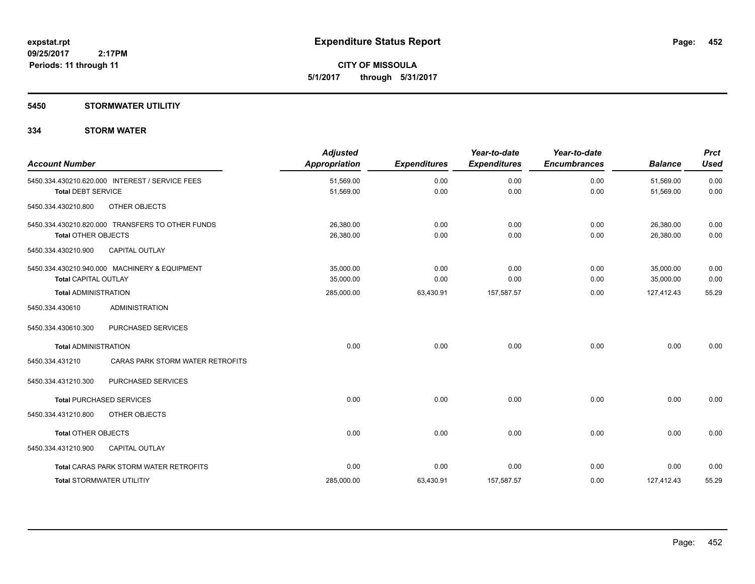**Periods: 11 through 11**

**CITY OF MISSOULA 5/1/2017 through 5/31/2017**

### **5450 STORMWATER UTILITIY**

 **2:17PM**

### **334 STORM WATER**

| <b>Account Number</b>            |                                                  | <b>Adjusted</b><br>Appropriation | <b>Expenditures</b> | Year-to-date<br><b>Expenditures</b> | Year-to-date<br><b>Encumbrances</b> | <b>Balance</b>         | <b>Prct</b><br><b>Used</b> |
|----------------------------------|--------------------------------------------------|----------------------------------|---------------------|-------------------------------------|-------------------------------------|------------------------|----------------------------|
| <b>Total DEBT SERVICE</b>        | 5450.334.430210.620.000 INTEREST / SERVICE FEES  | 51,569.00<br>51,569.00           | 0.00<br>0.00        | 0.00<br>0.00                        | 0.00<br>0.00                        | 51,569.00<br>51,569.00 | 0.00<br>0.00               |
| 5450.334.430210.800              | OTHER OBJECTS                                    |                                  |                     |                                     |                                     |                        |                            |
| <b>Total OTHER OBJECTS</b>       | 5450.334.430210.820.000 TRANSFERS TO OTHER FUNDS | 26,380.00<br>26,380.00           | 0.00<br>0.00        | 0.00<br>0.00                        | 0.00<br>0.00                        | 26,380.00<br>26,380.00 | 0.00<br>0.00               |
| 5450.334.430210.900              | <b>CAPITAL OUTLAY</b>                            |                                  |                     |                                     |                                     |                        |                            |
| <b>Total CAPITAL OUTLAY</b>      | 5450.334.430210.940.000 MACHINERY & EQUIPMENT    | 35.000.00<br>35,000.00           | 0.00<br>0.00        | 0.00<br>0.00                        | 0.00<br>0.00                        | 35.000.00<br>35,000.00 | 0.00<br>0.00               |
| <b>Total ADMINISTRATION</b>      |                                                  | 285,000.00                       | 63,430.91           | 157,587.57                          | 0.00                                | 127,412.43             | 55.29                      |
| 5450.334.430610                  | <b>ADMINISTRATION</b>                            |                                  |                     |                                     |                                     |                        |                            |
| 5450.334.430610.300              | PURCHASED SERVICES                               |                                  |                     |                                     |                                     |                        |                            |
| <b>Total ADMINISTRATION</b>      |                                                  | 0.00                             | 0.00                | 0.00                                | 0.00                                | 0.00                   | 0.00                       |
| 5450.334.431210                  | CARAS PARK STORM WATER RETROFITS                 |                                  |                     |                                     |                                     |                        |                            |
| 5450.334.431210.300              | PURCHASED SERVICES                               |                                  |                     |                                     |                                     |                        |                            |
|                                  | <b>Total PURCHASED SERVICES</b>                  | 0.00                             | 0.00                | 0.00                                | 0.00                                | 0.00                   | 0.00                       |
| 5450.334.431210.800              | OTHER OBJECTS                                    |                                  |                     |                                     |                                     |                        |                            |
| <b>Total OTHER OBJECTS</b>       |                                                  | 0.00                             | 0.00                | 0.00                                | 0.00                                | 0.00                   | 0.00                       |
| 5450.334.431210.900              | <b>CAPITAL OUTLAY</b>                            |                                  |                     |                                     |                                     |                        |                            |
|                                  | <b>Total CARAS PARK STORM WATER RETROFITS</b>    | 0.00                             | 0.00                | 0.00                                | 0.00                                | 0.00                   | 0.00                       |
| <b>Total STORMWATER UTILITIY</b> |                                                  | 285,000.00                       | 63,430.91           | 157,587.57                          | 0.00                                | 127,412.43             | 55.29                      |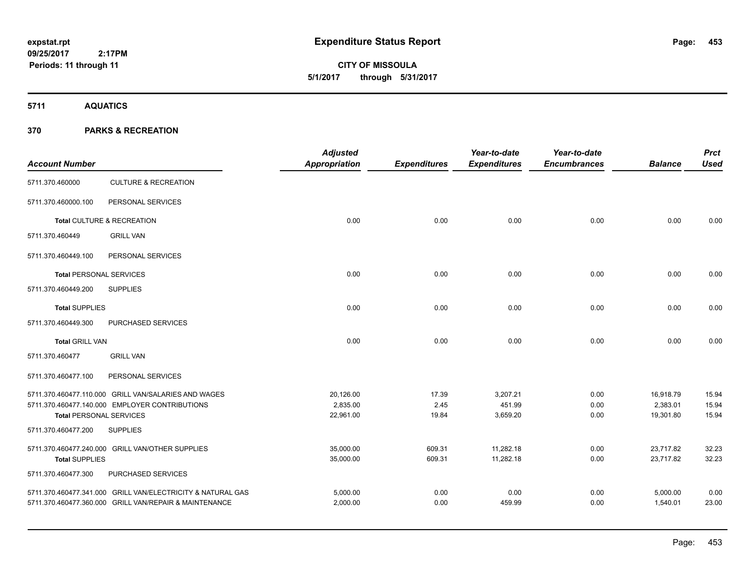**CITY OF MISSOULA 5/1/2017 through 5/31/2017**

**5711 AQUATICS**

| <b>Account Number</b>          |                                                             | <b>Adjusted</b><br>Appropriation | <b>Expenditures</b> | Year-to-date<br><b>Expenditures</b> | Year-to-date<br><b>Encumbrances</b> | <b>Balance</b> | <b>Prct</b><br><b>Used</b> |
|--------------------------------|-------------------------------------------------------------|----------------------------------|---------------------|-------------------------------------|-------------------------------------|----------------|----------------------------|
| 5711.370.460000                | <b>CULTURE &amp; RECREATION</b>                             |                                  |                     |                                     |                                     |                |                            |
| 5711.370.460000.100            | PERSONAL SERVICES                                           |                                  |                     |                                     |                                     |                |                            |
|                                | Total CULTURE & RECREATION                                  | 0.00                             | 0.00                | 0.00                                | 0.00                                | 0.00           | 0.00                       |
| 5711.370.460449                | <b>GRILL VAN</b>                                            |                                  |                     |                                     |                                     |                |                            |
| 5711.370.460449.100            | PERSONAL SERVICES                                           |                                  |                     |                                     |                                     |                |                            |
| <b>Total PERSONAL SERVICES</b> |                                                             | 0.00                             | 0.00                | 0.00                                | 0.00                                | 0.00           | 0.00                       |
| 5711.370.460449.200            | <b>SUPPLIES</b>                                             |                                  |                     |                                     |                                     |                |                            |
| <b>Total SUPPLIES</b>          |                                                             | 0.00                             | 0.00                | 0.00                                | 0.00                                | 0.00           | 0.00                       |
| 5711.370.460449.300            | PURCHASED SERVICES                                          |                                  |                     |                                     |                                     |                |                            |
| <b>Total GRILL VAN</b>         |                                                             | 0.00                             | 0.00                | 0.00                                | 0.00                                | 0.00           | 0.00                       |
| 5711.370.460477                | <b>GRILL VAN</b>                                            |                                  |                     |                                     |                                     |                |                            |
| 5711.370.460477.100            | PERSONAL SERVICES                                           |                                  |                     |                                     |                                     |                |                            |
|                                | 5711.370.460477.110.000 GRILL VAN/SALARIES AND WAGES        | 20,126.00                        | 17.39               | 3,207.21                            | 0.00                                | 16,918.79      | 15.94                      |
|                                | 5711.370.460477.140.000 EMPLOYER CONTRIBUTIONS              | 2,835.00                         | 2.45                | 451.99                              | 0.00                                | 2,383.01       | 15.94                      |
| <b>Total PERSONAL SERVICES</b> |                                                             | 22,961.00                        | 19.84               | 3,659.20                            | 0.00                                | 19,301.80      | 15.94                      |
| 5711.370.460477.200            | <b>SUPPLIES</b>                                             |                                  |                     |                                     |                                     |                |                            |
|                                | 5711.370.460477.240.000 GRILL VAN/OTHER SUPPLIES            | 35,000.00                        | 609.31              | 11,282.18                           | 0.00                                | 23,717.82      | 32.23                      |
| <b>Total SUPPLIES</b>          |                                                             | 35,000.00                        | 609.31              | 11,282.18                           | 0.00                                | 23,717.82      | 32.23                      |
| 5711.370.460477.300            | PURCHASED SERVICES                                          |                                  |                     |                                     |                                     |                |                            |
|                                | 5711.370.460477.341.000 GRILL VAN/ELECTRICITY & NATURAL GAS | 5,000.00                         | 0.00                | 0.00                                | 0.00                                | 5,000.00       | 0.00                       |
|                                | 5711.370.460477.360.000 GRILL VAN/REPAIR & MAINTENANCE      | 2,000.00                         | 0.00                | 459.99                              | 0.00                                | 1,540.01       | 23.00                      |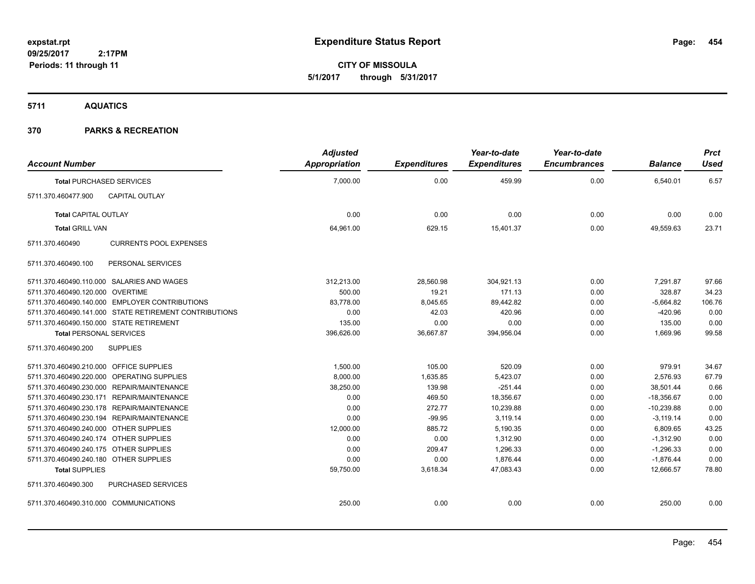**CITY OF MISSOULA 5/1/2017 through 5/31/2017**

**5711 AQUATICS**

| <b>Account Number</b>                   |                                                        | <b>Adjusted</b><br>Appropriation | <b>Expenditures</b> | Year-to-date<br><b>Expenditures</b> | Year-to-date<br><b>Encumbrances</b> | <b>Balance</b> | <b>Prct</b><br>Used |
|-----------------------------------------|--------------------------------------------------------|----------------------------------|---------------------|-------------------------------------|-------------------------------------|----------------|---------------------|
|                                         | <b>Total PURCHASED SERVICES</b>                        | 7,000.00                         | 0.00                | 459.99                              | 0.00                                | 6,540.01       | 6.57                |
| 5711.370.460477.900                     | <b>CAPITAL OUTLAY</b>                                  |                                  |                     |                                     |                                     |                |                     |
| <b>Total CAPITAL OUTLAY</b>             |                                                        | 0.00                             | 0.00                | 0.00                                | 0.00                                | 0.00           | 0.00                |
| <b>Total GRILL VAN</b>                  |                                                        | 64,961.00                        | 629.15              | 15,401.37                           | 0.00                                | 49,559.63      | 23.71               |
| 5711.370.460490                         | <b>CURRENTS POOL EXPENSES</b>                          |                                  |                     |                                     |                                     |                |                     |
| 5711.370.460490.100                     | PERSONAL SERVICES                                      |                                  |                     |                                     |                                     |                |                     |
|                                         | 5711.370.460490.110.000 SALARIES AND WAGES             | 312,213.00                       | 28,560.98           | 304,921.13                          | 0.00                                | 7,291.87       | 97.66               |
| 5711.370.460490.120.000 OVERTIME        |                                                        | 500.00                           | 19.21               | 171.13                              | 0.00                                | 328.87         | 34.23               |
|                                         | 5711.370.460490.140.000 EMPLOYER CONTRIBUTIONS         | 83,778.00                        | 8,045.65            | 89,442.82                           | 0.00                                | $-5,664.82$    | 106.76              |
|                                         | 5711.370.460490.141.000 STATE RETIREMENT CONTRIBUTIONS | 0.00                             | 42.03               | 420.96                              | 0.00                                | $-420.96$      | 0.00                |
|                                         | 5711.370.460490.150.000 STATE RETIREMENT               | 135.00                           | 0.00                | 0.00                                | 0.00                                | 135.00         | 0.00                |
| <b>Total PERSONAL SERVICES</b>          |                                                        | 396,626.00                       | 36,667.87           | 394,956.04                          | 0.00                                | 1,669.96       | 99.58               |
| 5711.370.460490.200                     | <b>SUPPLIES</b>                                        |                                  |                     |                                     |                                     |                |                     |
| 5711.370.460490.210.000 OFFICE SUPPLIES |                                                        | 1,500.00                         | 105.00              | 520.09                              | 0.00                                | 979.91         | 34.67               |
|                                         | 5711.370.460490.220.000 OPERATING SUPPLIES             | 8,000.00                         | 1,635.85            | 5,423.07                            | 0.00                                | 2,576.93       | 67.79               |
|                                         | 5711.370.460490.230.000 REPAIR/MAINTENANCE             | 38,250.00                        | 139.98              | $-251.44$                           | 0.00                                | 38,501.44      | 0.66                |
|                                         | 5711.370.460490.230.171 REPAIR/MAINTENANCE             | 0.00                             | 469.50              | 18,356.67                           | 0.00                                | $-18,356.67$   | 0.00                |
|                                         | 5711.370.460490.230.178 REPAIR/MAINTENANCE             | 0.00                             | 272.77              | 10,239.88                           | 0.00                                | $-10,239.88$   | 0.00                |
|                                         | 5711.370.460490.230.194 REPAIR/MAINTENANCE             | 0.00                             | $-99.95$            | 3,119.14                            | 0.00                                | $-3,119.14$    | 0.00                |
| 5711.370.460490.240.000 OTHER SUPPLIES  |                                                        | 12,000.00                        | 885.72              | 5,190.35                            | 0.00                                | 6,809.65       | 43.25               |
| 5711.370.460490.240.174 OTHER SUPPLIES  |                                                        | 0.00                             | 0.00                | 1,312.90                            | 0.00                                | $-1,312.90$    | 0.00                |
| 5711.370.460490.240.175 OTHER SUPPLIES  |                                                        | 0.00                             | 209.47              | 1,296.33                            | 0.00                                | $-1,296.33$    | 0.00                |
| 5711.370.460490.240.180 OTHER SUPPLIES  |                                                        | 0.00                             | 0.00                | 1,876.44                            | 0.00                                | $-1,876.44$    | 0.00                |
| <b>Total SUPPLIES</b>                   |                                                        | 59,750.00                        | 3,618.34            | 47,083.43                           | 0.00                                | 12.666.57      | 78.80               |
| 5711.370.460490.300                     | <b>PURCHASED SERVICES</b>                              |                                  |                     |                                     |                                     |                |                     |
| 5711.370.460490.310.000 COMMUNICATIONS  |                                                        | 250.00                           | 0.00                | 0.00                                | 0.00                                | 250.00         | 0.00                |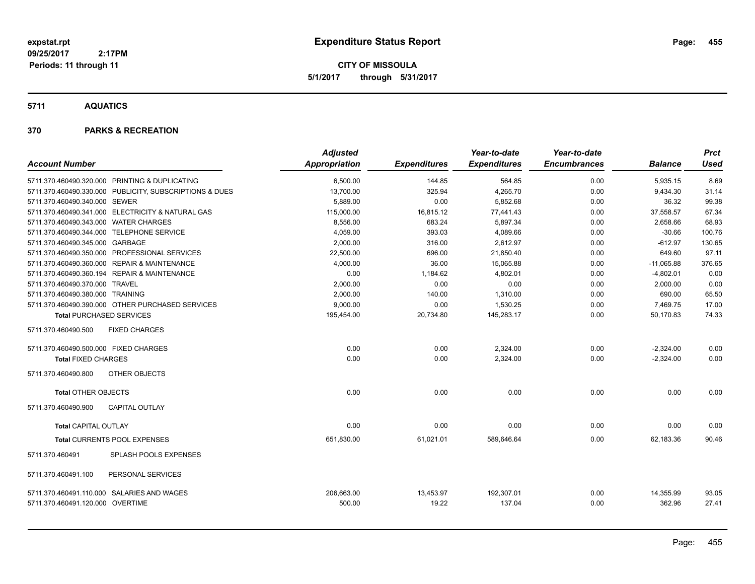**CITY OF MISSOULA 5/1/2017 through 5/31/2017**

**5711 AQUATICS**

| <b>Account Number</b>                                                          |                                                         | <b>Adjusted</b><br>Appropriation | <b>Expenditures</b> | Year-to-date<br><b>Expenditures</b> | Year-to-date<br><b>Encumbrances</b> | <b>Balance</b>      | <b>Prct</b><br><b>Used</b> |
|--------------------------------------------------------------------------------|---------------------------------------------------------|----------------------------------|---------------------|-------------------------------------|-------------------------------------|---------------------|----------------------------|
|                                                                                | 5711.370.460490.320.000 PRINTING & DUPLICATING          | 6,500.00                         | 144.85              | 564.85                              | 0.00                                | 5,935.15            | 8.69                       |
|                                                                                | 5711.370.460490.330.000 PUBLICITY, SUBSCRIPTIONS & DUES | 13,700.00                        | 325.94              | 4,265.70                            | 0.00                                | 9,434.30            | 31.14                      |
| 5711.370.460490.340.000 SEWER                                                  |                                                         | 5,889.00                         | 0.00                | 5,852.68                            | 0.00                                | 36.32               | 99.38                      |
|                                                                                | 5711.370.460490.341.000 ELECTRICITY & NATURAL GAS       | 115,000.00                       | 16,815.12           | 77,441.43                           | 0.00                                | 37,558.57           | 67.34                      |
| 5711.370.460490.343.000 WATER CHARGES                                          |                                                         | 8,556.00                         | 683.24              | 5,897.34                            | 0.00                                | 2,658.66            | 68.93                      |
| 5711.370.460490.344.000 TELEPHONE SERVICE                                      |                                                         | 4,059.00                         | 393.03              | 4,089.66                            | 0.00                                | $-30.66$            | 100.76                     |
| 5711.370.460490.345.000 GARBAGE                                                |                                                         | 2,000.00                         | 316.00              | 2,612.97                            | 0.00                                | $-612.97$           | 130.65                     |
|                                                                                | 5711.370.460490.350.000 PROFESSIONAL SERVICES           | 22,500.00                        | 696.00              | 21,850.40                           | 0.00                                | 649.60              | 97.11                      |
|                                                                                | 5711.370.460490.360.000 REPAIR & MAINTENANCE            | 4.000.00                         | 36.00               | 15,065.88                           | 0.00                                | $-11,065.88$        | 376.65                     |
|                                                                                | 5711.370.460490.360.194 REPAIR & MAINTENANCE            | 0.00                             | 1,184.62            | 4,802.01                            | 0.00                                | $-4,802.01$         | 0.00                       |
| 5711.370.460490.370.000 TRAVEL                                                 |                                                         | 2,000.00                         | 0.00                | 0.00                                | 0.00                                | 2,000.00            | 0.00                       |
| 5711.370.460490.380.000 TRAINING                                               |                                                         | 2,000.00                         | 140.00              | 1,310.00                            | 0.00                                | 690.00              | 65.50                      |
|                                                                                | 5711.370.460490.390.000 OTHER PURCHASED SERVICES        | 9,000.00                         | 0.00                | 1,530.25                            | 0.00                                | 7,469.75            | 17.00                      |
| <b>Total PURCHASED SERVICES</b>                                                |                                                         | 195,454.00                       | 20,734.80           | 145,283.17                          | 0.00                                | 50.170.83           | 74.33                      |
| 5711.370.460490.500                                                            | <b>FIXED CHARGES</b>                                    |                                  |                     |                                     |                                     |                     |                            |
| 5711.370.460490.500.000 FIXED CHARGES                                          |                                                         | 0.00                             | 0.00                | 2,324.00                            | 0.00                                | $-2,324.00$         | 0.00                       |
| <b>Total FIXED CHARGES</b>                                                     |                                                         | 0.00                             | 0.00                | 2,324.00                            | 0.00                                | $-2,324.00$         | 0.00                       |
| 5711.370.460490.800                                                            | OTHER OBJECTS                                           |                                  |                     |                                     |                                     |                     |                            |
| <b>Total OTHER OBJECTS</b>                                                     |                                                         | 0.00                             | 0.00                | 0.00                                | 0.00                                | 0.00                | 0.00                       |
| 5711.370.460490.900                                                            | <b>CAPITAL OUTLAY</b>                                   |                                  |                     |                                     |                                     |                     |                            |
| <b>Total CAPITAL OUTLAY</b>                                                    |                                                         | 0.00                             | 0.00                | 0.00                                | 0.00                                | 0.00                | 0.00                       |
|                                                                                | Total CURRENTS POOL EXPENSES                            | 651,830.00                       | 61,021.01           | 589,646.64                          | 0.00                                | 62,183.36           | 90.46                      |
| 5711.370.460491                                                                | <b>SPLASH POOLS EXPENSES</b>                            |                                  |                     |                                     |                                     |                     |                            |
| 5711.370.460491.100                                                            | PERSONAL SERVICES                                       |                                  |                     |                                     |                                     |                     |                            |
| 5711.370.460491.110.000 SALARIES AND WAGES<br>5711.370.460491.120.000 OVERTIME |                                                         | 206,663.00<br>500.00             | 13,453.97<br>19.22  | 192,307.01<br>137.04                | 0.00<br>0.00                        | 14,355.99<br>362.96 | 93.05<br>27.41             |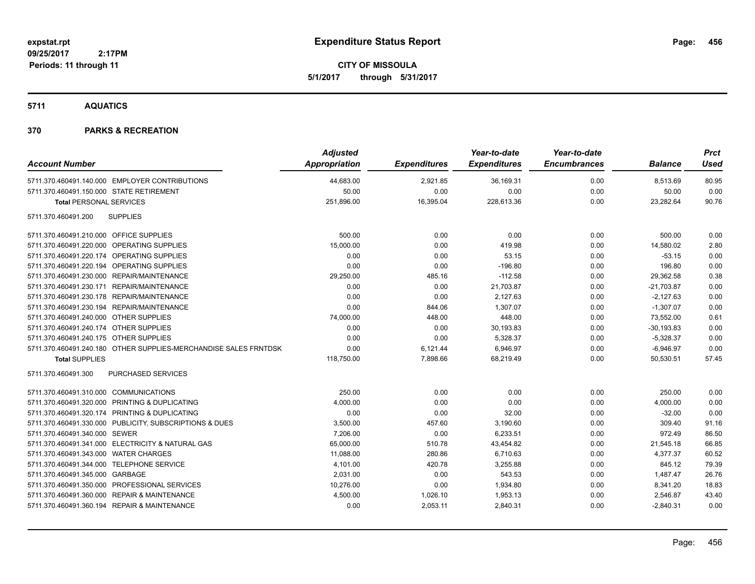**CITY OF MISSOULA 5/1/2017 through 5/31/2017**

**5711 AQUATICS**

| <b>Account Number</b>                                            | <b>Adjusted</b><br>Appropriation | <b>Expenditures</b> | Year-to-date<br><b>Expenditures</b> | Year-to-date<br><b>Encumbrances</b> | <b>Balance</b> | <b>Prct</b><br><b>Used</b> |
|------------------------------------------------------------------|----------------------------------|---------------------|-------------------------------------|-------------------------------------|----------------|----------------------------|
| 5711.370.460491.140.000 EMPLOYER CONTRIBUTIONS                   | 44,683.00                        | 2,921.85            | 36,169.31                           | 0.00                                | 8,513.69       | 80.95                      |
| 5711.370.460491.150.000 STATE RETIREMENT                         | 50.00                            | 0.00                | 0.00                                | 0.00                                | 50.00          | 0.00                       |
| <b>Total PERSONAL SERVICES</b>                                   | 251,896.00                       | 16,395.04           | 228,613.36                          | 0.00                                | 23,282.64      | 90.76                      |
| <b>SUPPLIES</b><br>5711.370.460491.200                           |                                  |                     |                                     |                                     |                |                            |
| 5711.370.460491.210.000 OFFICE SUPPLIES                          | 500.00                           | 0.00                | 0.00                                | 0.00                                | 500.00         | 0.00                       |
| 5711.370.460491.220.000 OPERATING SUPPLIES                       | 15,000.00                        | 0.00                | 419.98                              | 0.00                                | 14,580.02      | 2.80                       |
| 5711.370.460491.220.174 OPERATING SUPPLIES                       | 0.00                             | 0.00                | 53.15                               | 0.00                                | $-53.15$       | 0.00                       |
| 5711.370.460491.220.194 OPERATING SUPPLIES                       | 0.00                             | 0.00                | $-196.80$                           | 0.00                                | 196.80         | 0.00                       |
| 5711.370.460491.230.000 REPAIR/MAINTENANCE                       | 29,250.00                        | 485.16              | $-112.58$                           | 0.00                                | 29,362.58      | 0.38                       |
| 5711.370.460491.230.171 REPAIR/MAINTENANCE                       | 0.00                             | 0.00                | 21,703.87                           | 0.00                                | $-21,703.87$   | 0.00                       |
| 5711.370.460491.230.178 REPAIR/MAINTENANCE                       | 0.00                             | 0.00                | 2,127.63                            | 0.00                                | $-2,127.63$    | 0.00                       |
| 5711.370.460491.230.194 REPAIR/MAINTENANCE                       | 0.00                             | 844.06              | 1,307.07                            | 0.00                                | $-1,307.07$    | 0.00                       |
| 5711.370.460491.240.000 OTHER SUPPLIES                           | 74,000.00                        | 448.00              | 448.00                              | 0.00                                | 73,552.00      | 0.61                       |
| 5711.370.460491.240.174 OTHER SUPPLIES                           | 0.00                             | 0.00                | 30,193.83                           | 0.00                                | $-30, 193.83$  | 0.00                       |
| 5711.370.460491.240.175 OTHER SUPPLIES                           | 0.00                             | 0.00                | 5,328.37                            | 0.00                                | $-5,328.37$    | 0.00                       |
| 5711.370.460491.240.180 OTHER SUPPLIES-MERCHANDISE SALES FRNTDSK | 0.00                             | 6,121.44            | 6,946.97                            | 0.00                                | $-6,946.97$    | 0.00                       |
| <b>Total SUPPLIES</b>                                            | 118,750.00                       | 7,898.66            | 68,219.49                           | 0.00                                | 50,530.51      | 57.45                      |
| PURCHASED SERVICES<br>5711.370.460491.300                        |                                  |                     |                                     |                                     |                |                            |
| 5711.370.460491.310.000 COMMUNICATIONS                           | 250.00                           | 0.00                | 0.00                                | 0.00                                | 250.00         | 0.00                       |
| 5711.370.460491.320.000 PRINTING & DUPLICATING                   | 4,000.00                         | 0.00                | 0.00                                | 0.00                                | 4,000.00       | 0.00                       |
| 5711.370.460491.320.174 PRINTING & DUPLICATING                   | 0.00                             | 0.00                | 32.00                               | 0.00                                | $-32.00$       | 0.00                       |
| 5711.370.460491.330.000 PUBLICITY, SUBSCRIPTIONS & DUES          | 3,500.00                         | 457.60              | 3,190.60                            | 0.00                                | 309.40         | 91.16                      |
| 5711.370.460491.340.000 SEWER                                    | 7,206.00                         | 0.00                | 6,233.51                            | 0.00                                | 972.49         | 86.50                      |
| 5711.370.460491.341.000 ELECTRICITY & NATURAL GAS                | 65,000.00                        | 510.78              | 43,454.82                           | 0.00                                | 21,545.18      | 66.85                      |
| 5711.370.460491.343.000 WATER CHARGES                            | 11,088.00                        | 280.86              | 6,710.63                            | 0.00                                | 4,377.37       | 60.52                      |
| 5711.370.460491.344.000 TELEPHONE SERVICE                        | 4,101.00                         | 420.78              | 3,255.88                            | 0.00                                | 845.12         | 79.39                      |
| 5711.370.460491.345.000 GARBAGE                                  | 2,031.00                         | 0.00                | 543.53                              | 0.00                                | 1,487.47       | 26.76                      |
| 5711.370.460491.350.000 PROFESSIONAL SERVICES                    | 10,276.00                        | 0.00                | 1,934.80                            | 0.00                                | 8,341.20       | 18.83                      |
| 5711.370.460491.360.000 REPAIR & MAINTENANCE                     | 4,500.00                         | 1,026.10            | 1,953.13                            | 0.00                                | 2,546.87       | 43.40                      |
| 5711.370.460491.360.194 REPAIR & MAINTENANCE                     | 0.00                             | 2,053.11            | 2,840.31                            | 0.00                                | $-2,840.31$    | 0.00                       |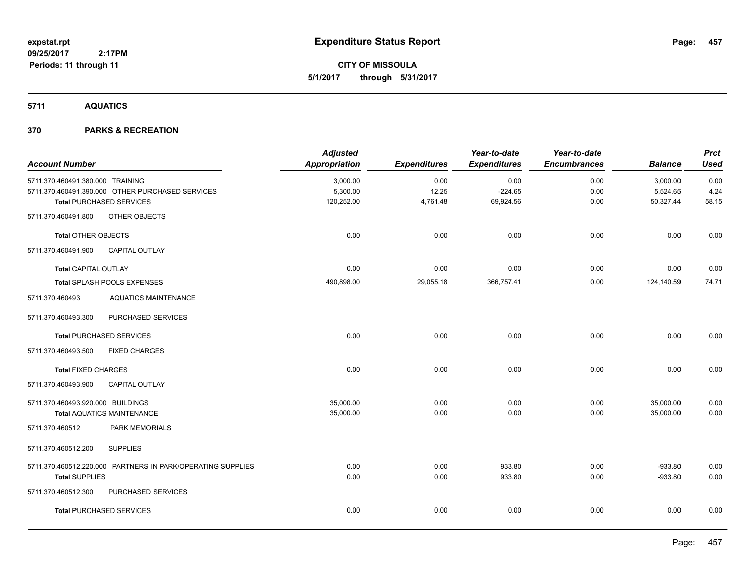**CITY OF MISSOULA 5/1/2017 through 5/31/2017**

**5711 AQUATICS**

| <b>Account Number</b>             |                                                             | <b>Adjusted</b><br><b>Appropriation</b> | <b>Expenditures</b> | Year-to-date<br><b>Expenditures</b> | Year-to-date<br><b>Encumbrances</b> | <b>Balance</b> | <b>Prct</b><br><b>Used</b> |
|-----------------------------------|-------------------------------------------------------------|-----------------------------------------|---------------------|-------------------------------------|-------------------------------------|----------------|----------------------------|
| 5711.370.460491.380.000 TRAINING  |                                                             | 3,000.00                                | 0.00                | 0.00                                | 0.00                                | 3,000.00       | 0.00                       |
|                                   | 5711.370.460491.390.000 OTHER PURCHASED SERVICES            | 5,300.00                                | 12.25               | $-224.65$                           | 0.00                                | 5,524.65       | 4.24                       |
|                                   | <b>Total PURCHASED SERVICES</b>                             | 120,252.00                              | 4,761.48            | 69,924.56                           | 0.00                                | 50,327.44      | 58.15                      |
| 5711.370.460491.800               | OTHER OBJECTS                                               |                                         |                     |                                     |                                     |                |                            |
| <b>Total OTHER OBJECTS</b>        |                                                             | 0.00                                    | 0.00                | 0.00                                | 0.00                                | 0.00           | 0.00                       |
| 5711.370.460491.900               | CAPITAL OUTLAY                                              |                                         |                     |                                     |                                     |                |                            |
| <b>Total CAPITAL OUTLAY</b>       |                                                             | 0.00                                    | 0.00                | 0.00                                | 0.00                                | 0.00           | 0.00                       |
|                                   | Total SPLASH POOLS EXPENSES                                 | 490,898.00                              | 29,055.18           | 366,757.41                          | 0.00                                | 124,140.59     | 74.71                      |
| 5711.370.460493                   | <b>AQUATICS MAINTENANCE</b>                                 |                                         |                     |                                     |                                     |                |                            |
| 5711.370.460493.300               | PURCHASED SERVICES                                          |                                         |                     |                                     |                                     |                |                            |
|                                   | <b>Total PURCHASED SERVICES</b>                             | 0.00                                    | 0.00                | 0.00                                | 0.00                                | 0.00           | 0.00                       |
| 5711.370.460493.500               | <b>FIXED CHARGES</b>                                        |                                         |                     |                                     |                                     |                |                            |
| <b>Total FIXED CHARGES</b>        |                                                             | 0.00                                    | 0.00                | 0.00                                | 0.00                                | 0.00           | 0.00                       |
| 5711.370.460493.900               | CAPITAL OUTLAY                                              |                                         |                     |                                     |                                     |                |                            |
| 5711.370.460493.920.000 BUILDINGS |                                                             | 35,000.00                               | 0.00                | 0.00                                | 0.00                                | 35,000.00      | 0.00                       |
|                                   | <b>Total AQUATICS MAINTENANCE</b>                           | 35,000.00                               | 0.00                | 0.00                                | 0.00                                | 35,000.00      | 0.00                       |
| 5711.370.460512                   | <b>PARK MEMORIALS</b>                                       |                                         |                     |                                     |                                     |                |                            |
| 5711.370.460512.200               | <b>SUPPLIES</b>                                             |                                         |                     |                                     |                                     |                |                            |
|                                   | 5711.370.460512.220.000 PARTNERS IN PARK/OPERATING SUPPLIES | 0.00                                    | 0.00                | 933.80                              | 0.00                                | $-933.80$      | 0.00                       |
| <b>Total SUPPLIES</b>             |                                                             | 0.00                                    | 0.00                | 933.80                              | 0.00                                | $-933.80$      | 0.00                       |
| 5711.370.460512.300               | PURCHASED SERVICES                                          |                                         |                     |                                     |                                     |                |                            |
|                                   | <b>Total PURCHASED SERVICES</b>                             | 0.00                                    | 0.00                | 0.00                                | 0.00                                | 0.00           | 0.00                       |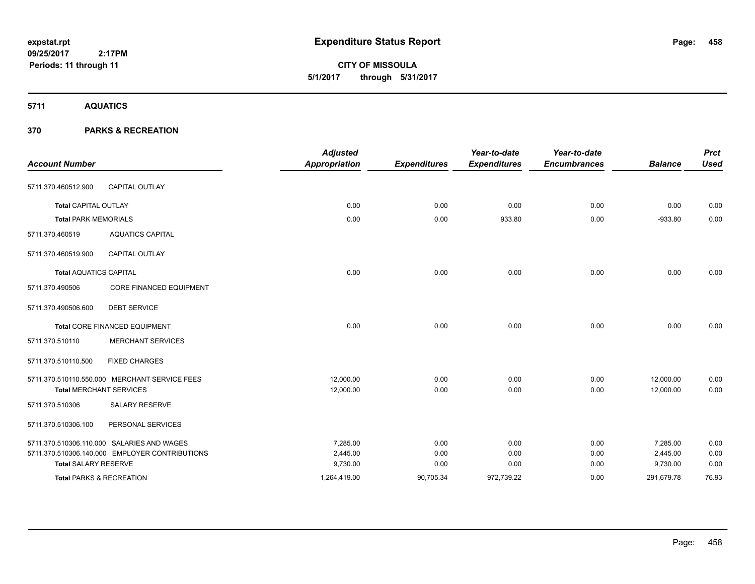**CITY OF MISSOULA 5/1/2017 through 5/31/2017**

**5711 AQUATICS**

| <b>Account Number</b>               |                                                | <b>Adjusted</b><br><b>Appropriation</b> | <b>Expenditures</b> | Year-to-date<br><b>Expenditures</b> | Year-to-date<br><b>Encumbrances</b> | <b>Balance</b> | <b>Prct</b><br><b>Used</b> |
|-------------------------------------|------------------------------------------------|-----------------------------------------|---------------------|-------------------------------------|-------------------------------------|----------------|----------------------------|
|                                     |                                                |                                         |                     |                                     |                                     |                |                            |
| 5711.370.460512.900                 | CAPITAL OUTLAY                                 |                                         |                     |                                     |                                     |                |                            |
| <b>Total CAPITAL OUTLAY</b>         |                                                | 0.00                                    | 0.00                | 0.00                                | 0.00                                | 0.00           | 0.00                       |
| <b>Total PARK MEMORIALS</b>         |                                                | 0.00                                    | 0.00                | 933.80                              | 0.00                                | $-933.80$      | 0.00                       |
| 5711.370.460519                     | <b>AQUATICS CAPITAL</b>                        |                                         |                     |                                     |                                     |                |                            |
| 5711.370.460519.900                 | <b>CAPITAL OUTLAY</b>                          |                                         |                     |                                     |                                     |                |                            |
| <b>Total AQUATICS CAPITAL</b>       |                                                | 0.00                                    | 0.00                | 0.00                                | 0.00                                | 0.00           | 0.00                       |
| 5711.370.490506                     | <b>CORE FINANCED EQUIPMENT</b>                 |                                         |                     |                                     |                                     |                |                            |
| 5711.370.490506.600                 | <b>DEBT SERVICE</b>                            |                                         |                     |                                     |                                     |                |                            |
|                                     | <b>Total CORE FINANCED EQUIPMENT</b>           | 0.00                                    | 0.00                | 0.00                                | 0.00                                | 0.00           | 0.00                       |
| 5711.370.510110                     | <b>MERCHANT SERVICES</b>                       |                                         |                     |                                     |                                     |                |                            |
| 5711.370.510110.500                 | <b>FIXED CHARGES</b>                           |                                         |                     |                                     |                                     |                |                            |
|                                     | 5711.370.510110.550.000 MERCHANT SERVICE FEES  | 12,000.00                               | 0.00                | 0.00                                | 0.00                                | 12,000.00      | 0.00                       |
| <b>Total MERCHANT SERVICES</b>      |                                                | 12,000.00                               | 0.00                | 0.00                                | 0.00                                | 12,000.00      | 0.00                       |
| 5711.370.510306                     | <b>SALARY RESERVE</b>                          |                                         |                     |                                     |                                     |                |                            |
| 5711.370.510306.100                 | PERSONAL SERVICES                              |                                         |                     |                                     |                                     |                |                            |
|                                     | 5711.370.510306.110.000 SALARIES AND WAGES     | 7.285.00                                | 0.00                | 0.00                                | 0.00                                | 7,285.00       | 0.00                       |
|                                     | 5711.370.510306.140.000 EMPLOYER CONTRIBUTIONS | 2,445.00                                | 0.00                | 0.00                                | 0.00                                | 2,445.00       | 0.00                       |
| <b>Total SALARY RESERVE</b>         |                                                | 9,730.00                                | 0.00                | 0.00                                | 0.00                                | 9,730.00       | 0.00                       |
| <b>Total PARKS &amp; RECREATION</b> |                                                | 1,264,419.00                            | 90,705.34           | 972,739.22                          | 0.00                                | 291,679.78     | 76.93                      |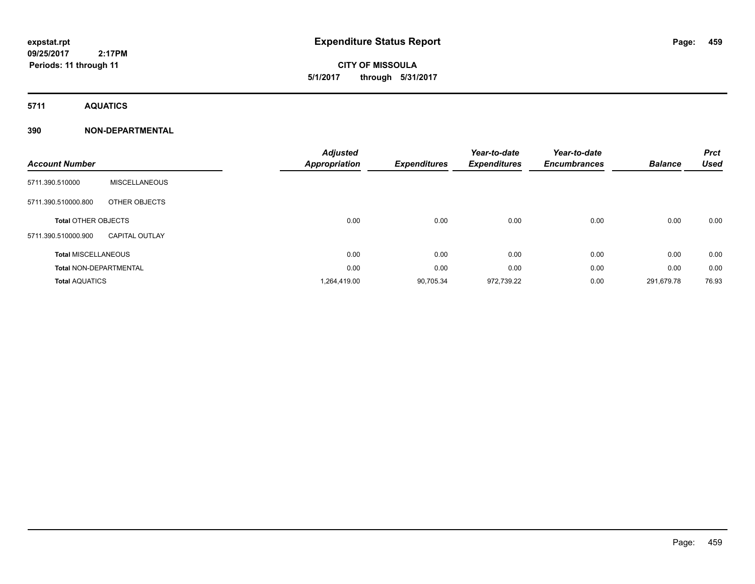## **CITY OF MISSOULA 5/1/2017 through 5/31/2017**

**5711 AQUATICS**

### **390 NON-DEPARTMENTAL**

| <b>Account Number</b>         |                       | <b>Adjusted</b><br>Appropriation | <b>Expenditures</b> | Year-to-date<br><b>Expenditures</b> | Year-to-date<br><b>Encumbrances</b> | <b>Balance</b> | <b>Prct</b><br>Used |
|-------------------------------|-----------------------|----------------------------------|---------------------|-------------------------------------|-------------------------------------|----------------|---------------------|
| 5711.390.510000               | <b>MISCELLANEOUS</b>  |                                  |                     |                                     |                                     |                |                     |
| 5711.390.510000.800           | OTHER OBJECTS         |                                  |                     |                                     |                                     |                |                     |
| <b>Total OTHER OBJECTS</b>    |                       | 0.00                             | 0.00                | 0.00                                | 0.00                                | 0.00           | 0.00                |
| 5711.390.510000.900           | <b>CAPITAL OUTLAY</b> |                                  |                     |                                     |                                     |                |                     |
| <b>Total MISCELLANEOUS</b>    |                       | 0.00                             | 0.00                | 0.00                                | 0.00                                | 0.00           | 0.00                |
| <b>Total NON-DEPARTMENTAL</b> |                       | 0.00                             | 0.00                | 0.00                                | 0.00                                | 0.00           | 0.00                |
| <b>Total AQUATICS</b>         |                       | 1,264,419.00                     | 90,705.34           | 972,739.22                          | 0.00                                | 291,679.78     | 76.93               |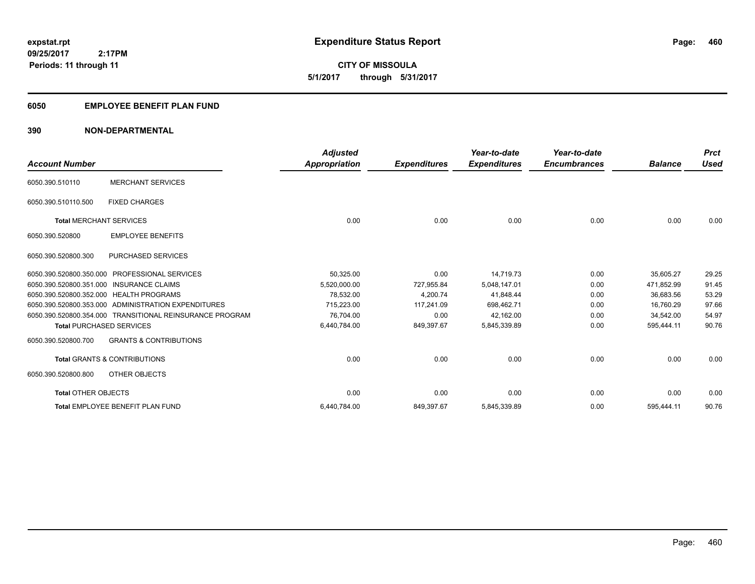**460**

**09/25/2017 2:17PM Periods: 11 through 11**

**CITY OF MISSOULA 5/1/2017 through 5/31/2017**

### **6050 EMPLOYEE BENEFIT PLAN FUND**

### **390 NON-DEPARTMENTAL**

| <b>Account Number</b>                    |                                                          | <b>Adjusted</b><br>Appropriation | <b>Expenditures</b> | Year-to-date<br><b>Expenditures</b> | Year-to-date<br><b>Encumbrances</b> | <b>Balance</b> | <b>Prct</b><br><b>Used</b> |
|------------------------------------------|----------------------------------------------------------|----------------------------------|---------------------|-------------------------------------|-------------------------------------|----------------|----------------------------|
|                                          |                                                          |                                  |                     |                                     |                                     |                |                            |
| 6050.390.510110                          | <b>MERCHANT SERVICES</b>                                 |                                  |                     |                                     |                                     |                |                            |
| 6050.390.510110.500                      | <b>FIXED CHARGES</b>                                     |                                  |                     |                                     |                                     |                |                            |
| <b>Total MERCHANT SERVICES</b>           |                                                          | 0.00                             | 0.00                | 0.00                                | 0.00                                | 0.00           | 0.00                       |
| 6050.390.520800                          | <b>EMPLOYEE BENEFITS</b>                                 |                                  |                     |                                     |                                     |                |                            |
| 6050.390.520800.300                      | <b>PURCHASED SERVICES</b>                                |                                  |                     |                                     |                                     |                |                            |
| 6050.390.520800.350.000                  | <b>PROFESSIONAL SERVICES</b>                             | 50,325.00                        | 0.00                | 14.719.73                           | 0.00                                | 35.605.27      | 29.25                      |
| 6050.390.520800.351.000 INSURANCE CLAIMS |                                                          | 5.520.000.00                     | 727,955.84          | 5,048,147.01                        | 0.00                                | 471.852.99     | 91.45                      |
| 6050.390.520800.352.000 HEALTH PROGRAMS  |                                                          | 78,532.00                        | 4,200.74            | 41,848.44                           | 0.00                                | 36,683.56      | 53.29                      |
|                                          | 6050.390.520800.353.000 ADMINISTRATION EXPENDITURES      | 715.223.00                       | 117,241.09          | 698.462.71                          | 0.00                                | 16.760.29      | 97.66                      |
|                                          | 6050.390.520800.354.000 TRANSITIONAL REINSURANCE PROGRAM | 76,704.00                        | 0.00                | 42,162.00                           | 0.00                                | 34.542.00      | 54.97                      |
| <b>Total PURCHASED SERVICES</b>          |                                                          | 6,440,784.00                     | 849,397.67          | 5,845,339.89                        | 0.00                                | 595,444.11     | 90.76                      |
| 6050.390.520800.700                      | <b>GRANTS &amp; CONTRIBUTIONS</b>                        |                                  |                     |                                     |                                     |                |                            |
|                                          | <b>Total GRANTS &amp; CONTRIBUTIONS</b>                  | 0.00                             | 0.00                | 0.00                                | 0.00                                | 0.00           | 0.00                       |
| 6050.390.520800.800                      | OTHER OBJECTS                                            |                                  |                     |                                     |                                     |                |                            |
| <b>Total OTHER OBJECTS</b>               |                                                          | 0.00                             | 0.00                | 0.00                                | 0.00                                | 0.00           | 0.00                       |
|                                          | Total EMPLOYEE BENEFIT PLAN FUND                         | 6,440,784.00                     | 849,397.67          | 5,845,339.89                        | 0.00                                | 595,444.11     | 90.76                      |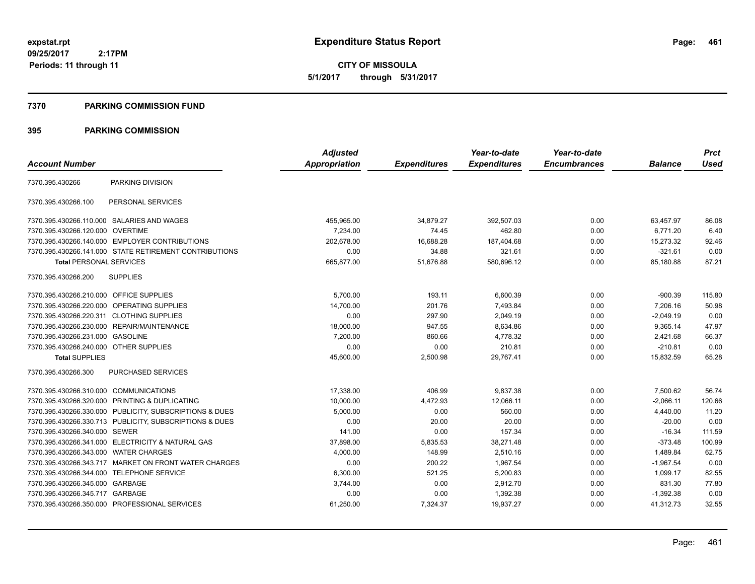**CITY OF MISSOULA 5/1/2017 through 5/31/2017**

#### **7370 PARKING COMMISSION FUND**

|                                           |                                                         | <b>Adjusted</b> |                     | Year-to-date        | Year-to-date        |                | <b>Prct</b> |
|-------------------------------------------|---------------------------------------------------------|-----------------|---------------------|---------------------|---------------------|----------------|-------------|
| <b>Account Number</b>                     |                                                         | Appropriation   | <b>Expenditures</b> | <b>Expenditures</b> | <b>Encumbrances</b> | <b>Balance</b> | <b>Used</b> |
| 7370.395.430266                           | PARKING DIVISION                                        |                 |                     |                     |                     |                |             |
| 7370.395.430266.100                       | PERSONAL SERVICES                                       |                 |                     |                     |                     |                |             |
|                                           | 7370.395.430266.110.000 SALARIES AND WAGES              | 455,965.00      | 34,879.27           | 392,507.03          | 0.00                | 63,457.97      | 86.08       |
| 7370.395.430266.120.000 OVERTIME          |                                                         | 7,234.00        | 74.45               | 462.80              | 0.00                | 6,771.20       | 6.40        |
|                                           | 7370.395.430266.140.000 EMPLOYER CONTRIBUTIONS          | 202.678.00      | 16,688.28           | 187,404.68          | 0.00                | 15.273.32      | 92.46       |
|                                           | 7370.395.430266.141.000 STATE RETIREMENT CONTRIBUTIONS  | 0.00            | 34.88               | 321.61              | 0.00                | $-321.61$      | 0.00        |
| <b>Total PERSONAL SERVICES</b>            |                                                         | 665,877.00      | 51,676.88           | 580,696.12          | 0.00                | 85,180.88      | 87.21       |
| 7370.395.430266.200                       | <b>SUPPLIES</b>                                         |                 |                     |                     |                     |                |             |
| 7370.395.430266.210.000 OFFICE SUPPLIES   |                                                         | 5,700.00        | 193.11              | 6,600.39            | 0.00                | $-900.39$      | 115.80      |
| 7370.395.430266.220.000                   | OPERATING SUPPLIES                                      | 14,700.00       | 201.76              | 7,493.84            | 0.00                | 7,206.16       | 50.98       |
| 7370.395.430266.220.311 CLOTHING SUPPLIES |                                                         | 0.00            | 297.90              | 2,049.19            | 0.00                | $-2,049.19$    | 0.00        |
|                                           | 7370.395.430266.230.000 REPAIR/MAINTENANCE              | 18,000.00       | 947.55              | 8,634.86            | 0.00                | 9,365.14       | 47.97       |
| 7370.395.430266.231.000 GASOLINE          |                                                         | 7,200.00        | 860.66              | 4,778.32            | 0.00                | 2,421.68       | 66.37       |
| 7370.395.430266.240.000 OTHER SUPPLIES    |                                                         | 0.00            | 0.00                | 210.81              | 0.00                | $-210.81$      | 0.00        |
| <b>Total SUPPLIES</b>                     |                                                         | 45,600.00       | 2,500.98            | 29,767.41           | 0.00                | 15,832.59      | 65.28       |
| 7370.395.430266.300                       | PURCHASED SERVICES                                      |                 |                     |                     |                     |                |             |
| 7370.395.430266.310.000 COMMUNICATIONS    |                                                         | 17,338.00       | 406.99              | 9,837.38            | 0.00                | 7,500.62       | 56.74       |
|                                           | 7370.395.430266.320.000 PRINTING & DUPLICATING          | 10,000.00       | 4,472.93            | 12.066.11           | 0.00                | $-2.066.11$    | 120.66      |
|                                           | 7370.395.430266.330.000 PUBLICITY, SUBSCRIPTIONS & DUES | 5,000.00        | 0.00                | 560.00              | 0.00                | 4.440.00       | 11.20       |
|                                           | 7370.395.430266.330.713 PUBLICITY, SUBSCRIPTIONS & DUES | 0.00            | 20.00               | 20.00               | 0.00                | $-20.00$       | 0.00        |
| 7370.395.430266.340.000                   | <b>SEWER</b>                                            | 141.00          | 0.00                | 157.34              | 0.00                | $-16.34$       | 111.59      |
|                                           | 7370.395.430266.341.000 ELECTRICITY & NATURAL GAS       | 37,898.00       | 5,835.53            | 38,271.48           | 0.00                | $-373.48$      | 100.99      |
| 7370.395.430266.343.000                   | <b>WATER CHARGES</b>                                    | 4,000.00        | 148.99              | 2,510.16            | 0.00                | 1,489.84       | 62.75       |
|                                           | 7370.395.430266.343.717 MARKET ON FRONT WATER CHARGES   | 0.00            | 200.22              | 1,967.54            | 0.00                | $-1,967.54$    | 0.00        |
| 7370.395.430266.344.000                   | <b>TELEPHONE SERVICE</b>                                | 6,300.00        | 521.25              | 5,200.83            | 0.00                | 1,099.17       | 82.55       |
| 7370.395.430266.345.000 GARBAGE           |                                                         | 3,744.00        | 0.00                | 2,912.70            | 0.00                | 831.30         | 77.80       |
| 7370.395.430266.345.717 GARBAGE           |                                                         | 0.00            | 0.00                | 1,392.38            | 0.00                | $-1,392.38$    | 0.00        |
|                                           | 7370.395.430266.350.000 PROFESSIONAL SERVICES           | 61,250.00       | 7,324.37            | 19,937.27           | 0.00                | 41,312.73      | 32.55       |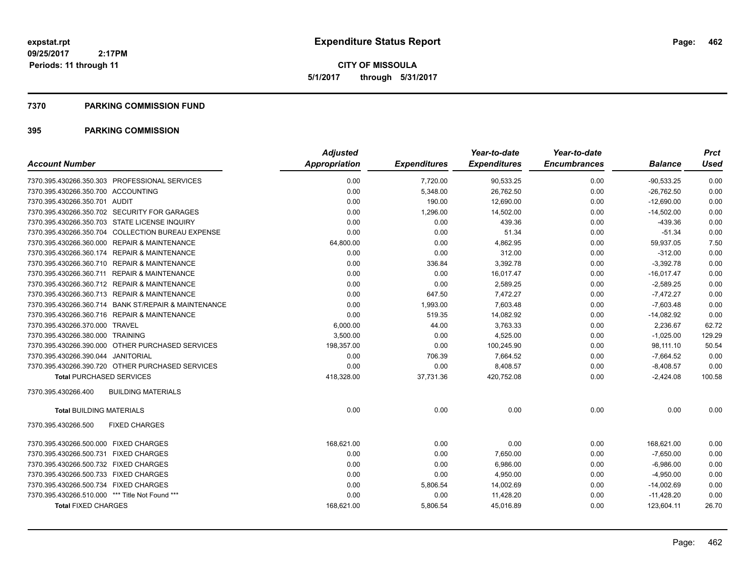**CITY OF MISSOULA 5/1/2017 through 5/31/2017**

#### **7370 PARKING COMMISSION FUND**

| <b>Account Number</b>                                | <b>Adjusted</b><br><b>Appropriation</b> | <b>Expenditures</b> | Year-to-date<br><b>Expenditures</b> | Year-to-date<br><b>Encumbrances</b> | <b>Balance</b> | <b>Prct</b><br><b>Used</b> |
|------------------------------------------------------|-----------------------------------------|---------------------|-------------------------------------|-------------------------------------|----------------|----------------------------|
| 7370.395.430266.350.303 PROFESSIONAL SERVICES        | 0.00                                    | 7,720.00            | 90,533.25                           | 0.00                                | $-90,533.25$   | 0.00                       |
| 7370.395.430266.350.700 ACCOUNTING                   | 0.00                                    | 5,348.00            | 26,762.50                           | 0.00                                | $-26,762.50$   | 0.00                       |
| 7370.395.430266.350.701 AUDIT                        | 0.00                                    | 190.00              | 12,690.00                           | 0.00                                | $-12,690.00$   | 0.00                       |
| 7370.395.430266.350.702 SECURITY FOR GARAGES         | 0.00                                    | 1,296.00            | 14,502.00                           | 0.00                                | $-14,502.00$   | 0.00                       |
| 7370.395.430266.350.703 STATE LICENSE INQUIRY        | 0.00                                    | 0.00                | 439.36                              | 0.00                                | $-439.36$      | 0.00                       |
| 7370.395.430266.350.704 COLLECTION BUREAU EXPENSE    | 0.00                                    | 0.00                | 51.34                               | 0.00                                | $-51.34$       | 0.00                       |
| 7370.395.430266.360.000 REPAIR & MAINTENANCE         | 64,800.00                               | 0.00                | 4,862.95                            | 0.00                                | 59,937.05      | 7.50                       |
| 7370.395.430266.360.174 REPAIR & MAINTENANCE         | 0.00                                    | 0.00                | 312.00                              | 0.00                                | $-312.00$      | 0.00                       |
| 7370.395.430266.360.710 REPAIR & MAINTENANCE         | 0.00                                    | 336.84              | 3,392.78                            | 0.00                                | $-3.392.78$    | 0.00                       |
| 7370.395.430266.360.711 REPAIR & MAINTENANCE         | 0.00                                    | 0.00                | 16,017.47                           | 0.00                                | $-16,017.47$   | 0.00                       |
| 7370.395.430266.360.712 REPAIR & MAINTENANCE         | 0.00                                    | 0.00                | 2,589.25                            | 0.00                                | $-2,589.25$    | 0.00                       |
| 7370.395.430266.360.713 REPAIR & MAINTENANCE         | 0.00                                    | 647.50              | 7,472.27                            | 0.00                                | $-7,472.27$    | 0.00                       |
| 7370.395.430266.360.714 BANK ST/REPAIR & MAINTENANCE | 0.00                                    | 1,993.00            | 7,603.48                            | 0.00                                | $-7,603.48$    | 0.00                       |
| 7370.395.430266.360.716 REPAIR & MAINTENANCE         | 0.00                                    | 519.35              | 14,082.92                           | 0.00                                | $-14,082.92$   | 0.00                       |
| 7370.395.430266.370.000 TRAVEL                       | 6,000.00                                | 44.00               | 3,763.33                            | 0.00                                | 2,236.67       | 62.72                      |
| 7370.395.430266.380.000 TRAINING                     | 3,500.00                                | 0.00                | 4,525.00                            | 0.00                                | $-1,025.00$    | 129.29                     |
| 7370.395.430266.390.000 OTHER PURCHASED SERVICES     | 198,357.00                              | 0.00                | 100,245.90                          | 0.00                                | 98,111.10      | 50.54                      |
| 7370.395.430266.390.044 JANITORIAL                   | 0.00                                    | 706.39              | 7,664.52                            | 0.00                                | $-7,664.52$    | 0.00                       |
| 7370.395.430266.390.720 OTHER PURCHASED SERVICES     | 0.00                                    | 0.00                | 8,408.57                            | 0.00                                | $-8,408.57$    | 0.00                       |
| <b>Total PURCHASED SERVICES</b>                      | 418,328.00                              | 37,731.36           | 420,752.08                          | 0.00                                | $-2,424.08$    | 100.58                     |
| <b>BUILDING MATERIALS</b><br>7370.395.430266.400     |                                         |                     |                                     |                                     |                |                            |
| <b>Total BUILDING MATERIALS</b>                      | 0.00                                    | 0.00                | 0.00                                | 0.00                                | 0.00           | 0.00                       |
| 7370.395.430266.500<br><b>FIXED CHARGES</b>          |                                         |                     |                                     |                                     |                |                            |
| 7370.395.430266.500.000 FIXED CHARGES                | 168.621.00                              | 0.00                | 0.00                                | 0.00                                | 168,621.00     | 0.00                       |
| 7370.395.430266.500.731 FIXED CHARGES                | 0.00                                    | 0.00                | 7,650.00                            | 0.00                                | $-7,650.00$    | 0.00                       |
| 7370.395.430266.500.732 FIXED CHARGES                | 0.00                                    | 0.00                | 6,986.00                            | 0.00                                | $-6,986.00$    | 0.00                       |
| 7370.395.430266.500.733 FIXED CHARGES                | 0.00                                    | 0.00                | 4,950.00                            | 0.00                                | $-4,950.00$    | 0.00                       |
| 7370.395.430266.500.734 FIXED CHARGES                | 0.00                                    | 5,806.54            | 14,002.69                           | 0.00                                | $-14,002.69$   | 0.00                       |
| 7370.395.430266.510.000 *** Title Not Found ***      | 0.00                                    | 0.00                | 11,428.20                           | 0.00                                | $-11,428.20$   | 0.00                       |
| <b>Total FIXED CHARGES</b>                           | 168,621.00                              | 5,806.54            | 45,016.89                           | 0.00                                | 123,604.11     | 26.70                      |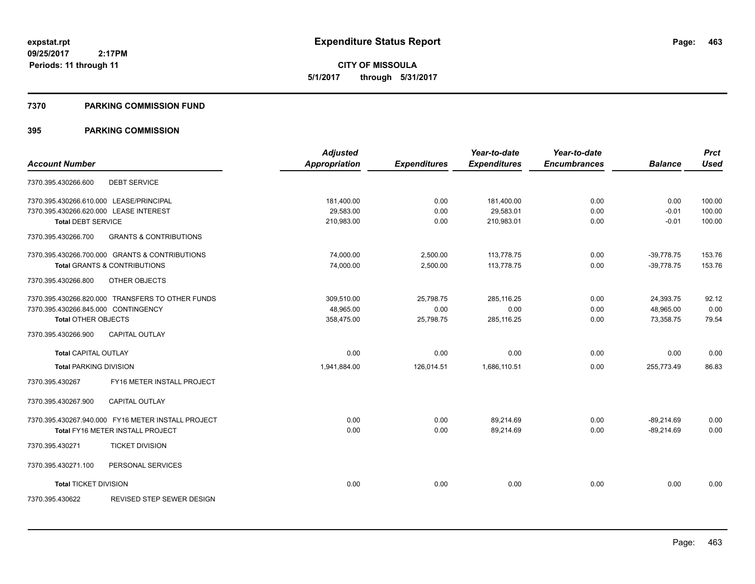**CITY OF MISSOULA 5/1/2017 through 5/31/2017**

#### **7370 PARKING COMMISSION FUND**

|                                                          | <b>Adjusted</b>      |                     | Year-to-date        | Year-to-date        |                | <b>Prct</b> |
|----------------------------------------------------------|----------------------|---------------------|---------------------|---------------------|----------------|-------------|
| <b>Account Number</b>                                    | <b>Appropriation</b> | <b>Expenditures</b> | <b>Expenditures</b> | <b>Encumbrances</b> | <b>Balance</b> | <b>Used</b> |
| <b>DEBT SERVICE</b><br>7370.395.430266.600               |                      |                     |                     |                     |                |             |
| 7370.395.430266.610.000 LEASE/PRINCIPAL                  | 181,400.00           | 0.00                | 181,400.00          | 0.00                | 0.00           | 100.00      |
| 7370.395.430266.620.000 LEASE INTEREST                   | 29,583.00            | 0.00                | 29,583.01           | 0.00                | $-0.01$        | 100.00      |
| <b>Total DEBT SERVICE</b>                                | 210,983.00           | 0.00                | 210,983.01          | 0.00                | $-0.01$        | 100.00      |
| 7370.395.430266.700<br><b>GRANTS &amp; CONTRIBUTIONS</b> |                      |                     |                     |                     |                |             |
| 7370.395.430266.700.000 GRANTS & CONTRIBUTIONS           | 74,000.00            | 2,500.00            | 113,778.75          | 0.00                | $-39,778.75$   | 153.76      |
| <b>Total GRANTS &amp; CONTRIBUTIONS</b>                  | 74,000.00            | 2,500.00            | 113,778.75          | 0.00                | $-39,778.75$   | 153.76      |
| 7370.395.430266.800<br>OTHER OBJECTS                     |                      |                     |                     |                     |                |             |
| 7370.395.430266.820.000 TRANSFERS TO OTHER FUNDS         | 309,510.00           | 25,798.75           | 285,116.25          | 0.00                | 24,393.75      | 92.12       |
| 7370.395.430266.845.000 CONTINGENCY                      | 48,965.00            | 0.00                | 0.00                | 0.00                | 48,965.00      | 0.00        |
| <b>Total OTHER OBJECTS</b>                               | 358.475.00           | 25,798.75           | 285,116.25          | 0.00                | 73.358.75      | 79.54       |
| 7370.395.430266.900<br><b>CAPITAL OUTLAY</b>             |                      |                     |                     |                     |                |             |
| <b>Total CAPITAL OUTLAY</b>                              | 0.00                 | 0.00                | 0.00                | 0.00                | 0.00           | 0.00        |
| <b>Total PARKING DIVISION</b>                            | 1,941,884.00         | 126,014.51          | 1,686,110.51        | 0.00                | 255,773.49     | 86.83       |
| FY16 METER INSTALL PROJECT<br>7370.395.430267            |                      |                     |                     |                     |                |             |
| 7370.395.430267.900<br><b>CAPITAL OUTLAY</b>             |                      |                     |                     |                     |                |             |
| 7370.395.430267.940.000 FY16 METER INSTALL PROJECT       | 0.00                 | 0.00                | 89.214.69           | 0.00                | $-89.214.69$   | 0.00        |
| Total FY16 METER INSTALL PROJECT                         | 0.00                 | 0.00                | 89,214.69           | 0.00                | $-89,214.69$   | 0.00        |
| <b>TICKET DIVISION</b><br>7370.395.430271                |                      |                     |                     |                     |                |             |
| 7370.395.430271.100<br>PERSONAL SERVICES                 |                      |                     |                     |                     |                |             |
| <b>Total TICKET DIVISION</b>                             | 0.00                 | 0.00                | 0.00                | 0.00                | 0.00           | 0.00        |
| <b>REVISED STEP SEWER DESIGN</b><br>7370.395.430622      |                      |                     |                     |                     |                |             |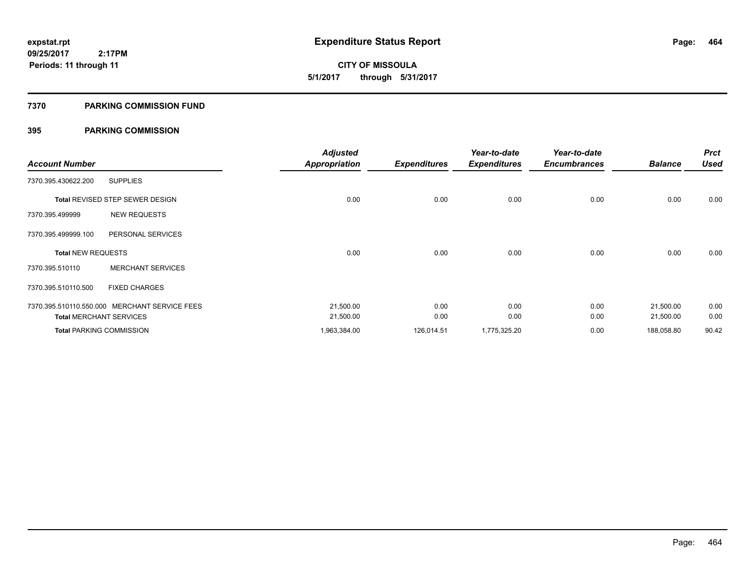**464**

**09/25/2017 2:17PM Periods: 11 through 11**

# **CITY OF MISSOULA 5/1/2017 through 5/31/2017**

#### **7370 PARKING COMMISSION FUND**

| <b>Account Number</b>     |                                               | <b>Adjusted</b><br><b>Appropriation</b> | <b>Expenditures</b> | Year-to-date<br><b>Expenditures</b> | Year-to-date<br><b>Encumbrances</b> | <b>Balance</b> | <b>Prct</b><br><b>Used</b> |
|---------------------------|-----------------------------------------------|-----------------------------------------|---------------------|-------------------------------------|-------------------------------------|----------------|----------------------------|
| 7370.395.430622.200       | <b>SUPPLIES</b>                               |                                         |                     |                                     |                                     |                |                            |
|                           | Total REVISED STEP SEWER DESIGN               | 0.00                                    | 0.00                | 0.00                                | 0.00                                | 0.00           | 0.00                       |
| 7370.395.499999           | <b>NEW REQUESTS</b>                           |                                         |                     |                                     |                                     |                |                            |
| 7370.395.499999.100       | PERSONAL SERVICES                             |                                         |                     |                                     |                                     |                |                            |
| <b>Total NEW REQUESTS</b> |                                               | 0.00                                    | 0.00                | 0.00                                | 0.00                                | 0.00           | 0.00                       |
| 7370.395.510110           | <b>MERCHANT SERVICES</b>                      |                                         |                     |                                     |                                     |                |                            |
| 7370.395.510110.500       | <b>FIXED CHARGES</b>                          |                                         |                     |                                     |                                     |                |                            |
|                           | 7370.395.510110.550.000 MERCHANT SERVICE FEES | 21,500.00                               | 0.00                | 0.00                                | 0.00                                | 21,500.00      | 0.00                       |
|                           | <b>Total MERCHANT SERVICES</b>                | 21,500.00                               | 0.00                | 0.00                                | 0.00                                | 21,500.00      | 0.00                       |
|                           | <b>Total PARKING COMMISSION</b>               | 1,963,384.00                            | 126,014.51          | 1,775,325.20                        | 0.00                                | 188,058.80     | 90.42                      |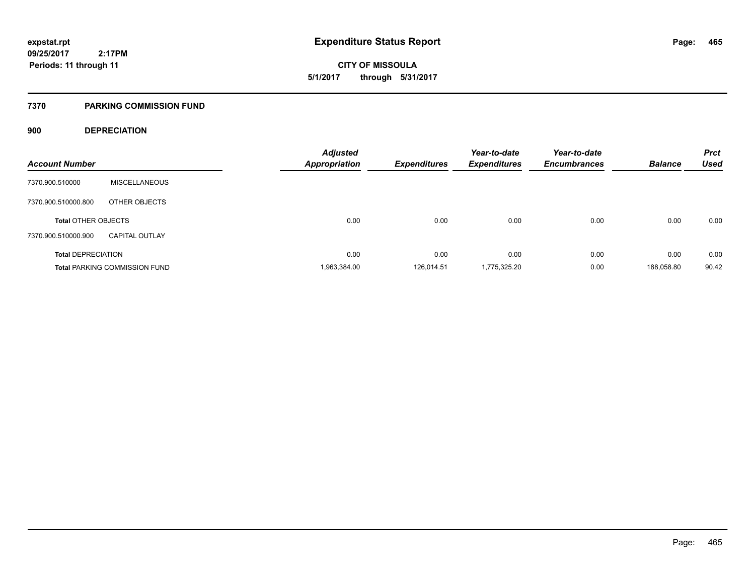**CITY OF MISSOULA 5/1/2017 through 5/31/2017**

#### **7370 PARKING COMMISSION FUND**

### **900 DEPRECIATION**

| <b>Account Number</b>      |                                      | <b>Adjusted</b><br><b>Appropriation</b> | <b>Expenditures</b> | Year-to-date<br><b>Expenditures</b> | Year-to-date<br><b>Encumbrances</b> | <b>Balance</b> | <b>Prct</b><br><b>Used</b> |
|----------------------------|--------------------------------------|-----------------------------------------|---------------------|-------------------------------------|-------------------------------------|----------------|----------------------------|
| 7370.900.510000            | <b>MISCELLANEOUS</b>                 |                                         |                     |                                     |                                     |                |                            |
| 7370.900.510000.800        | OTHER OBJECTS                        |                                         |                     |                                     |                                     |                |                            |
| <b>Total OTHER OBJECTS</b> |                                      | 0.00                                    | 0.00                | 0.00                                | 0.00                                | 0.00           | 0.00                       |
| 7370.900.510000.900        | <b>CAPITAL OUTLAY</b>                |                                         |                     |                                     |                                     |                |                            |
| <b>Total DEPRECIATION</b>  |                                      | 0.00                                    | 0.00                | 0.00                                | 0.00                                | 0.00           | 0.00                       |
|                            | <b>Total PARKING COMMISSION FUND</b> | 1,963,384.00                            | 126.014.51          | 1,775,325.20                        | 0.00                                | 188,058.80     | 90.42                      |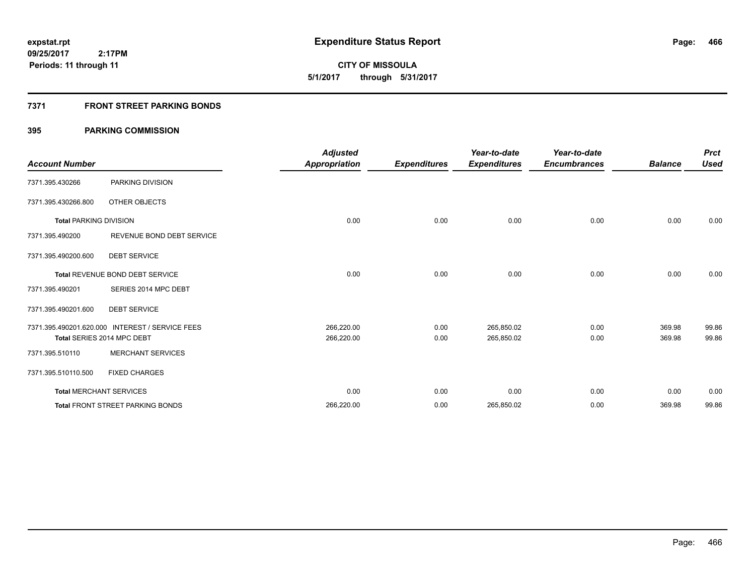# **CITY OF MISSOULA 5/1/2017 through 5/31/2017**

### **7371 FRONT STREET PARKING BONDS**

| <b>Account Number</b>         |                                                 | <b>Adjusted</b><br><b>Appropriation</b> | <b>Expenditures</b> | Year-to-date<br><b>Expenditures</b> | Year-to-date<br><b>Encumbrances</b> | <b>Balance</b> | <b>Prct</b><br><b>Used</b> |
|-------------------------------|-------------------------------------------------|-----------------------------------------|---------------------|-------------------------------------|-------------------------------------|----------------|----------------------------|
| 7371.395.430266               | PARKING DIVISION                                |                                         |                     |                                     |                                     |                |                            |
| 7371.395.430266.800           | OTHER OBJECTS                                   |                                         |                     |                                     |                                     |                |                            |
| <b>Total PARKING DIVISION</b> |                                                 | 0.00                                    | 0.00                | 0.00                                | 0.00                                | 0.00           | 0.00                       |
| 7371.395.490200               | REVENUE BOND DEBT SERVICE                       |                                         |                     |                                     |                                     |                |                            |
| 7371.395.490200.600           | <b>DEBT SERVICE</b>                             |                                         |                     |                                     |                                     |                |                            |
|                               | <b>Total REVENUE BOND DEBT SERVICE</b>          | 0.00                                    | 0.00                | 0.00                                | 0.00                                | 0.00           | 0.00                       |
| 7371.395.490201               | SERIES 2014 MPC DEBT                            |                                         |                     |                                     |                                     |                |                            |
| 7371.395.490201.600           | <b>DEBT SERVICE</b>                             |                                         |                     |                                     |                                     |                |                            |
|                               | 7371.395.490201.620.000 INTEREST / SERVICE FEES | 266,220.00                              | 0.00                | 265,850.02                          | 0.00                                | 369.98         | 99.86                      |
|                               | Total SERIES 2014 MPC DEBT                      | 266,220.00                              | 0.00                | 265,850.02                          | 0.00                                | 369.98         | 99.86                      |
| 7371.395.510110               | <b>MERCHANT SERVICES</b>                        |                                         |                     |                                     |                                     |                |                            |
| 7371.395.510110.500           | <b>FIXED CHARGES</b>                            |                                         |                     |                                     |                                     |                |                            |
|                               | <b>Total MERCHANT SERVICES</b>                  | 0.00                                    | 0.00                | 0.00                                | 0.00                                | 0.00           | 0.00                       |
|                               | <b>Total FRONT STREET PARKING BONDS</b>         | 266,220.00                              | 0.00                | 265,850.02                          | 0.00                                | 369.98         | 99.86                      |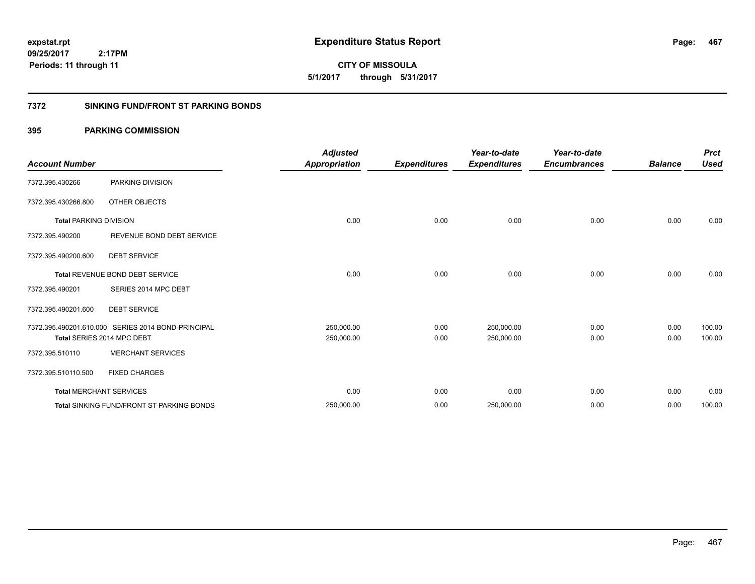**CITY OF MISSOULA 5/1/2017 through 5/31/2017**

### **7372 SINKING FUND/FRONT ST PARKING BONDS**

| <b>Account Number</b>          |                                                    | <b>Adjusted</b><br><b>Appropriation</b> | <b>Expenditures</b> | Year-to-date<br><b>Expenditures</b> | Year-to-date<br><b>Encumbrances</b> | <b>Balance</b> | <b>Prct</b><br><b>Used</b> |
|--------------------------------|----------------------------------------------------|-----------------------------------------|---------------------|-------------------------------------|-------------------------------------|----------------|----------------------------|
| 7372.395.430266                | PARKING DIVISION                                   |                                         |                     |                                     |                                     |                |                            |
| 7372.395.430266.800            | OTHER OBJECTS                                      |                                         |                     |                                     |                                     |                |                            |
| <b>Total PARKING DIVISION</b>  |                                                    | 0.00                                    | 0.00                | 0.00                                | 0.00                                | 0.00           | 0.00                       |
| 7372.395.490200                | REVENUE BOND DEBT SERVICE                          |                                         |                     |                                     |                                     |                |                            |
| 7372.395.490200.600            | <b>DEBT SERVICE</b>                                |                                         |                     |                                     |                                     |                |                            |
|                                | Total REVENUE BOND DEBT SERVICE                    | 0.00                                    | 0.00                | 0.00                                | 0.00                                | 0.00           | 0.00                       |
| 7372.395.490201                | SERIES 2014 MPC DEBT                               |                                         |                     |                                     |                                     |                |                            |
| 7372.395.490201.600            | <b>DEBT SERVICE</b>                                |                                         |                     |                                     |                                     |                |                            |
|                                | 7372.395.490201.610.000 SERIES 2014 BOND-PRINCIPAL | 250,000.00                              | 0.00                | 250,000.00                          | 0.00                                | 0.00           | 100.00                     |
|                                | Total SERIES 2014 MPC DEBT                         | 250,000.00                              | 0.00                | 250,000.00                          | 0.00                                | 0.00           | 100.00                     |
| 7372.395.510110                | <b>MERCHANT SERVICES</b>                           |                                         |                     |                                     |                                     |                |                            |
| 7372.395.510110.500            | <b>FIXED CHARGES</b>                               |                                         |                     |                                     |                                     |                |                            |
| <b>Total MERCHANT SERVICES</b> |                                                    | 0.00                                    | 0.00                | 0.00                                | 0.00                                | 0.00           | 0.00                       |
|                                | <b>Total SINKING FUND/FRONT ST PARKING BONDS</b>   | 250,000.00                              | 0.00                | 250,000.00                          | 0.00                                | 0.00           | 100.00                     |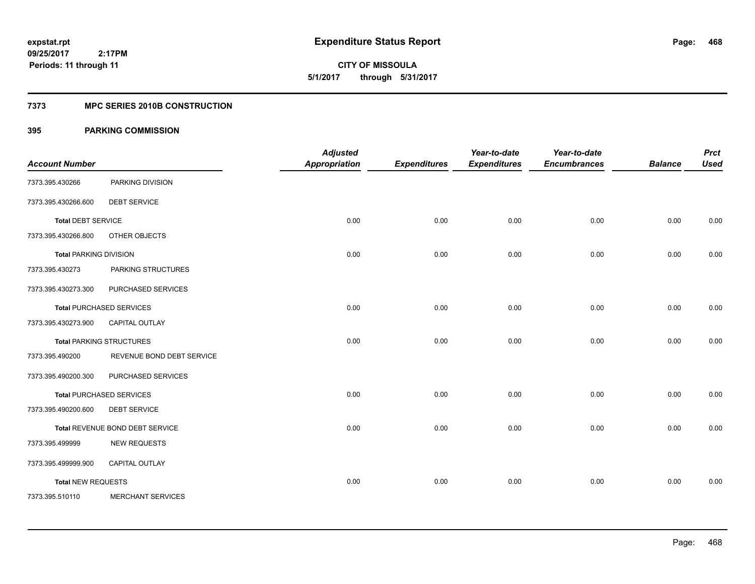**Periods: 11 through 11**

**468**

**CITY OF MISSOULA 5/1/2017 through 5/31/2017**

### **7373 MPC SERIES 2010B CONSTRUCTION**

### **395 PARKING COMMISSION**

 **2:17PM**

| <b>Account Number</b>         |                                 | <b>Adjusted</b><br><b>Appropriation</b> | <b>Expenditures</b> | Year-to-date<br><b>Expenditures</b> | Year-to-date<br><b>Encumbrances</b> | <b>Balance</b> | <b>Prct</b><br><b>Used</b> |
|-------------------------------|---------------------------------|-----------------------------------------|---------------------|-------------------------------------|-------------------------------------|----------------|----------------------------|
| 7373.395.430266               | PARKING DIVISION                |                                         |                     |                                     |                                     |                |                            |
| 7373.395.430266.600           | <b>DEBT SERVICE</b>             |                                         |                     |                                     |                                     |                |                            |
| <b>Total DEBT SERVICE</b>     |                                 | 0.00                                    | 0.00                | 0.00                                | 0.00                                | 0.00           | 0.00                       |
| 7373.395.430266.800           | OTHER OBJECTS                   |                                         |                     |                                     |                                     |                |                            |
| <b>Total PARKING DIVISION</b> |                                 | 0.00                                    | 0.00                | 0.00                                | 0.00                                | 0.00           | 0.00                       |
| 7373.395.430273               | PARKING STRUCTURES              |                                         |                     |                                     |                                     |                |                            |
| 7373.395.430273.300           | PURCHASED SERVICES              |                                         |                     |                                     |                                     |                |                            |
|                               | <b>Total PURCHASED SERVICES</b> | 0.00                                    | 0.00                | 0.00                                | 0.00                                | 0.00           | 0.00                       |
| 7373.395.430273.900           | CAPITAL OUTLAY                  |                                         |                     |                                     |                                     |                |                            |
|                               | <b>Total PARKING STRUCTURES</b> | 0.00                                    | 0.00                | 0.00                                | 0.00                                | 0.00           | 0.00                       |
| 7373.395.490200               | REVENUE BOND DEBT SERVICE       |                                         |                     |                                     |                                     |                |                            |
| 7373.395.490200.300           | PURCHASED SERVICES              |                                         |                     |                                     |                                     |                |                            |
|                               | <b>Total PURCHASED SERVICES</b> | 0.00                                    | 0.00                | 0.00                                | 0.00                                | 0.00           | 0.00                       |
| 7373.395.490200.600           | <b>DEBT SERVICE</b>             |                                         |                     |                                     |                                     |                |                            |
|                               | Total REVENUE BOND DEBT SERVICE | 0.00                                    | 0.00                | 0.00                                | 0.00                                | 0.00           | 0.00                       |
| 7373.395.499999               | <b>NEW REQUESTS</b>             |                                         |                     |                                     |                                     |                |                            |
| 7373.395.499999.900           | <b>CAPITAL OUTLAY</b>           |                                         |                     |                                     |                                     |                |                            |
| <b>Total NEW REQUESTS</b>     |                                 | 0.00                                    | 0.00                | 0.00                                | 0.00                                | 0.00           | 0.00                       |
| 7373.395.510110               | <b>MERCHANT SERVICES</b>        |                                         |                     |                                     |                                     |                |                            |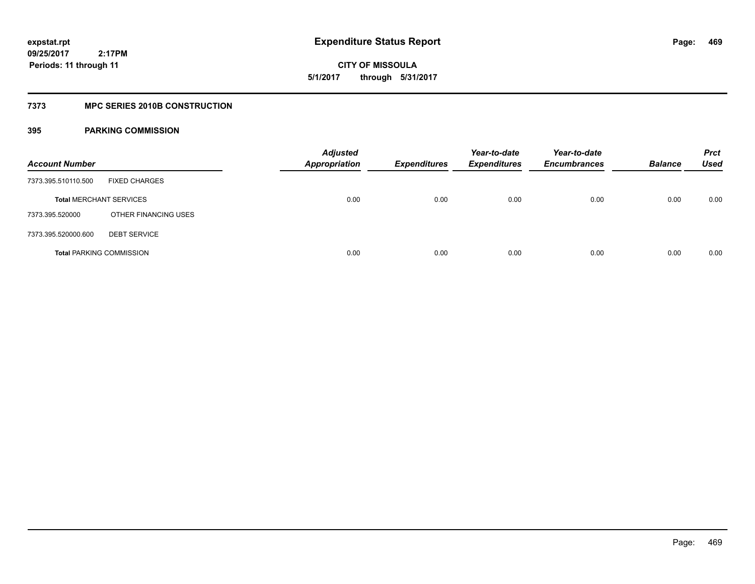**469**

**09/25/2017 2:17PM Periods: 11 through 11**

**CITY OF MISSOULA 5/1/2017 through 5/31/2017**

### **7373 MPC SERIES 2010B CONSTRUCTION**

| <b>Account Number</b>          |                                 | <b>Adjusted</b><br><b>Appropriation</b> | <b>Expenditures</b> | Year-to-date<br><b>Expenditures</b> | Year-to-date<br><b>Encumbrances</b> | <b>Balance</b> | <b>Prct</b><br>Used |
|--------------------------------|---------------------------------|-----------------------------------------|---------------------|-------------------------------------|-------------------------------------|----------------|---------------------|
| 7373.395.510110.500            | <b>FIXED CHARGES</b>            |                                         |                     |                                     |                                     |                |                     |
| <b>Total MERCHANT SERVICES</b> |                                 | 0.00                                    | 0.00                | 0.00                                | 0.00                                | 0.00           | 0.00                |
| 7373.395.520000                | OTHER FINANCING USES            |                                         |                     |                                     |                                     |                |                     |
| 7373.395.520000.600            | <b>DEBT SERVICE</b>             |                                         |                     |                                     |                                     |                |                     |
|                                | <b>Total PARKING COMMISSION</b> | 0.00                                    | 0.00                | 0.00                                | 0.00                                | 0.00           | 0.00                |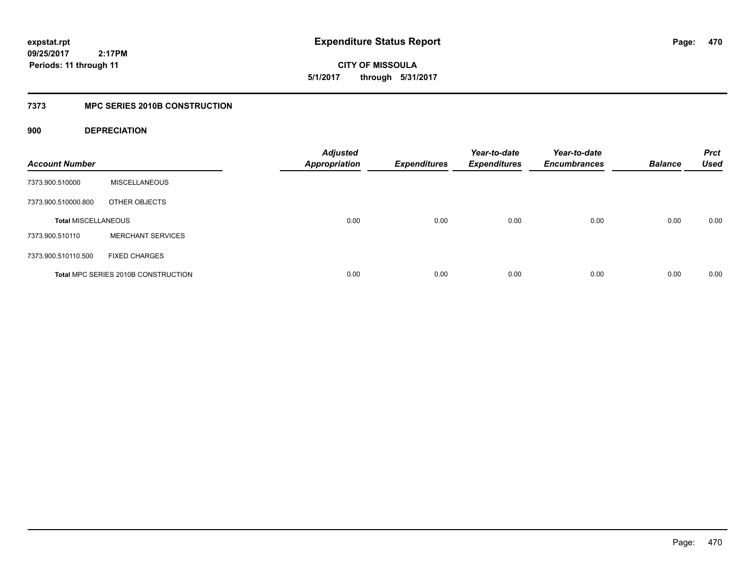**CITY OF MISSOULA 5/1/2017 through 5/31/2017**

## **7373 MPC SERIES 2010B CONSTRUCTION**

### **900 DEPRECIATION**

| <b>Account Number</b>      |                                     | <b>Adjusted</b><br><b>Appropriation</b> | <b>Expenditures</b> | Year-to-date<br><b>Expenditures</b> | Year-to-date<br><b>Encumbrances</b> | <b>Balance</b> | <b>Prct</b><br><b>Used</b> |
|----------------------------|-------------------------------------|-----------------------------------------|---------------------|-------------------------------------|-------------------------------------|----------------|----------------------------|
| 7373.900.510000            | <b>MISCELLANEOUS</b>                |                                         |                     |                                     |                                     |                |                            |
| 7373.900.510000.800        | OTHER OBJECTS                       |                                         |                     |                                     |                                     |                |                            |
| <b>Total MISCELLANEOUS</b> |                                     | 0.00                                    | 0.00                | 0.00                                | 0.00                                | 0.00           | 0.00                       |
| 7373.900.510110            | <b>MERCHANT SERVICES</b>            |                                         |                     |                                     |                                     |                |                            |
| 7373.900.510110.500        | <b>FIXED CHARGES</b>                |                                         |                     |                                     |                                     |                |                            |
|                            | Total MPC SERIES 2010B CONSTRUCTION | 0.00                                    | 0.00                | 0.00                                | 0.00                                | 0.00           | 0.00                       |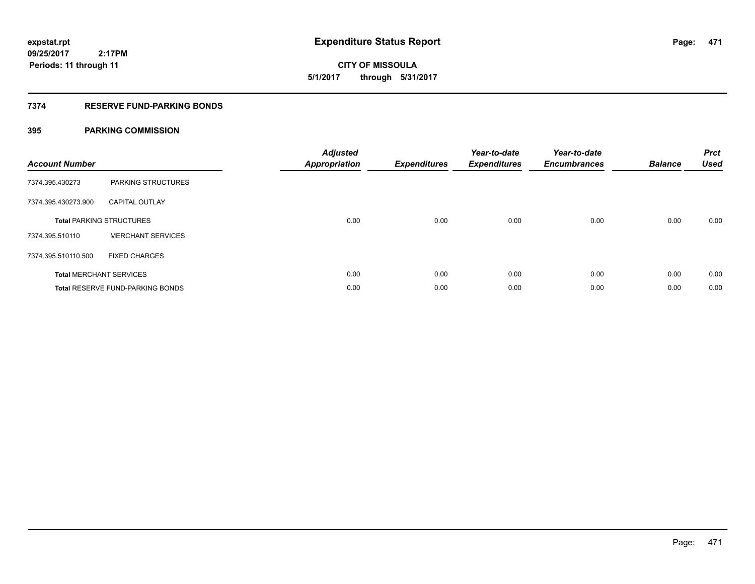**471**

**09/25/2017 2:17PM Periods: 11 through 11**

**CITY OF MISSOULA 5/1/2017 through 5/31/2017**

### **7374 RESERVE FUND-PARKING BONDS**

| <b>Account Number</b> |                                         | Adjusted<br><b>Appropriation</b> | <b>Expenditures</b> | Year-to-date<br><b>Expenditures</b> | Year-to-date<br><b>Encumbrances</b> | <b>Balance</b> | <b>Prct</b><br><b>Used</b> |
|-----------------------|-----------------------------------------|----------------------------------|---------------------|-------------------------------------|-------------------------------------|----------------|----------------------------|
| 7374.395.430273       | PARKING STRUCTURES                      |                                  |                     |                                     |                                     |                |                            |
| 7374.395.430273.900   | <b>CAPITAL OUTLAY</b>                   |                                  |                     |                                     |                                     |                |                            |
|                       | <b>Total PARKING STRUCTURES</b>         | 0.00                             | 0.00                | 0.00                                | 0.00                                | 0.00           | 0.00                       |
| 7374.395.510110       | <b>MERCHANT SERVICES</b>                |                                  |                     |                                     |                                     |                |                            |
| 7374.395.510110.500   | <b>FIXED CHARGES</b>                    |                                  |                     |                                     |                                     |                |                            |
|                       | <b>Total MERCHANT SERVICES</b>          | 0.00                             | 0.00                | 0.00                                | 0.00                                | 0.00           | 0.00                       |
|                       | <b>Total RESERVE FUND-PARKING BONDS</b> | 0.00                             | 0.00                | 0.00                                | 0.00                                | 0.00           | 0.00                       |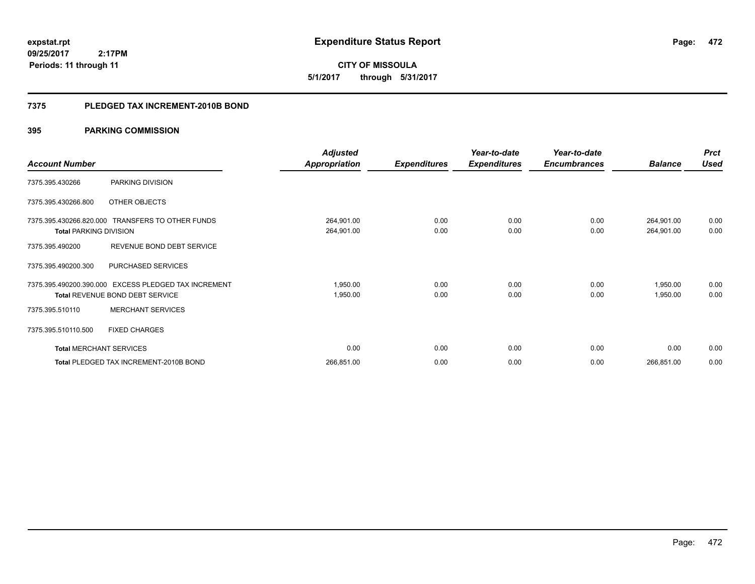**CITY OF MISSOULA 5/1/2017 through 5/31/2017**

### **7375 PLEDGED TAX INCREMENT-2010B BOND**

|                                |                                                                                                | <b>Adjusted</b>          |                     | Year-to-date        | Year-to-date        |                          | <b>Prct</b>  |
|--------------------------------|------------------------------------------------------------------------------------------------|--------------------------|---------------------|---------------------|---------------------|--------------------------|--------------|
| <b>Account Number</b>          |                                                                                                | <b>Appropriation</b>     | <b>Expenditures</b> | <b>Expenditures</b> | <b>Encumbrances</b> | <b>Balance</b>           | <b>Used</b>  |
| 7375.395.430266                | PARKING DIVISION                                                                               |                          |                     |                     |                     |                          |              |
| 7375.395.430266.800            | OTHER OBJECTS                                                                                  |                          |                     |                     |                     |                          |              |
| <b>Total PARKING DIVISION</b>  | 7375.395.430266.820.000 TRANSFERS TO OTHER FUNDS                                               | 264,901.00<br>264,901.00 | 0.00<br>0.00        | 0.00<br>0.00        | 0.00<br>0.00        | 264,901.00<br>264,901.00 | 0.00<br>0.00 |
| 7375.395.490200                | REVENUE BOND DEBT SERVICE                                                                      |                          |                     |                     |                     |                          |              |
| 7375.395.490200.300            | PURCHASED SERVICES                                                                             |                          |                     |                     |                     |                          |              |
|                                | 7375.395.490200.390.000 EXCESS PLEDGED TAX INCREMENT<br><b>Total REVENUE BOND DEBT SERVICE</b> | 1,950.00<br>1,950.00     | 0.00<br>0.00        | 0.00<br>0.00        | 0.00<br>0.00        | 1,950.00<br>1,950.00     | 0.00<br>0.00 |
| 7375.395.510110                | <b>MERCHANT SERVICES</b>                                                                       |                          |                     |                     |                     |                          |              |
| 7375.395.510110.500            | <b>FIXED CHARGES</b>                                                                           |                          |                     |                     |                     |                          |              |
| <b>Total MERCHANT SERVICES</b> |                                                                                                | 0.00                     | 0.00                | 0.00                | 0.00                | 0.00                     | 0.00         |
|                                | Total PLEDGED TAX INCREMENT-2010B BOND                                                         | 266,851.00               | 0.00                | 0.00                | 0.00                | 266,851.00               | 0.00         |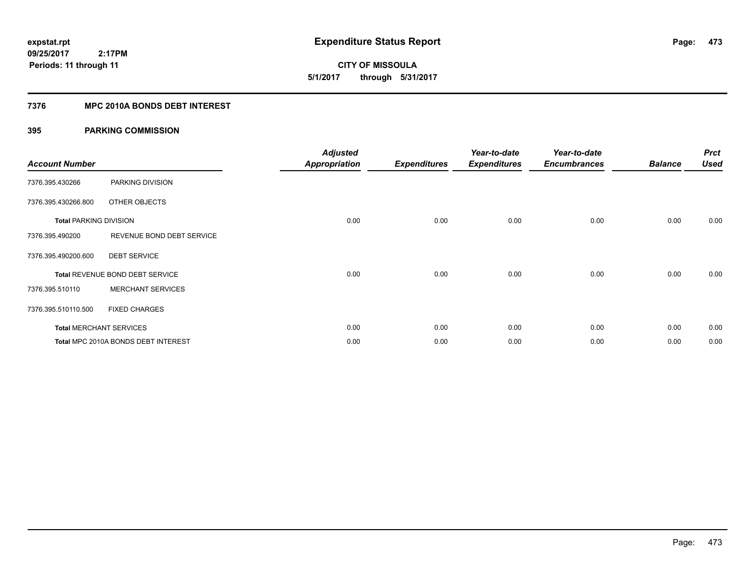**CITY OF MISSOULA 5/1/2017 through 5/31/2017**

### **7376 MPC 2010A BONDS DEBT INTEREST**

| <b>Account Number</b>         |                                     | <b>Adjusted</b><br><b>Appropriation</b> | <b>Expenditures</b> | Year-to-date<br><b>Expenditures</b> | Year-to-date<br><b>Encumbrances</b> | <b>Balance</b> | <b>Prct</b><br><b>Used</b> |
|-------------------------------|-------------------------------------|-----------------------------------------|---------------------|-------------------------------------|-------------------------------------|----------------|----------------------------|
| 7376.395.430266               | PARKING DIVISION                    |                                         |                     |                                     |                                     |                |                            |
| 7376.395.430266.800           | OTHER OBJECTS                       |                                         |                     |                                     |                                     |                |                            |
| <b>Total PARKING DIVISION</b> |                                     | 0.00                                    | 0.00                | 0.00                                | 0.00                                | 0.00           | 0.00                       |
| 7376.395.490200               | REVENUE BOND DEBT SERVICE           |                                         |                     |                                     |                                     |                |                            |
| 7376.395.490200.600           | <b>DEBT SERVICE</b>                 |                                         |                     |                                     |                                     |                |                            |
|                               | Total REVENUE BOND DEBT SERVICE     | 0.00                                    | 0.00                | 0.00                                | 0.00                                | 0.00           | 0.00                       |
| 7376.395.510110               | <b>MERCHANT SERVICES</b>            |                                         |                     |                                     |                                     |                |                            |
| 7376.395.510110.500           | <b>FIXED CHARGES</b>                |                                         |                     |                                     |                                     |                |                            |
|                               | <b>Total MERCHANT SERVICES</b>      | 0.00                                    | 0.00                | 0.00                                | 0.00                                | 0.00           | 0.00                       |
|                               | Total MPC 2010A BONDS DEBT INTEREST | 0.00                                    | 0.00                | 0.00                                | 0.00                                | 0.00           | 0.00                       |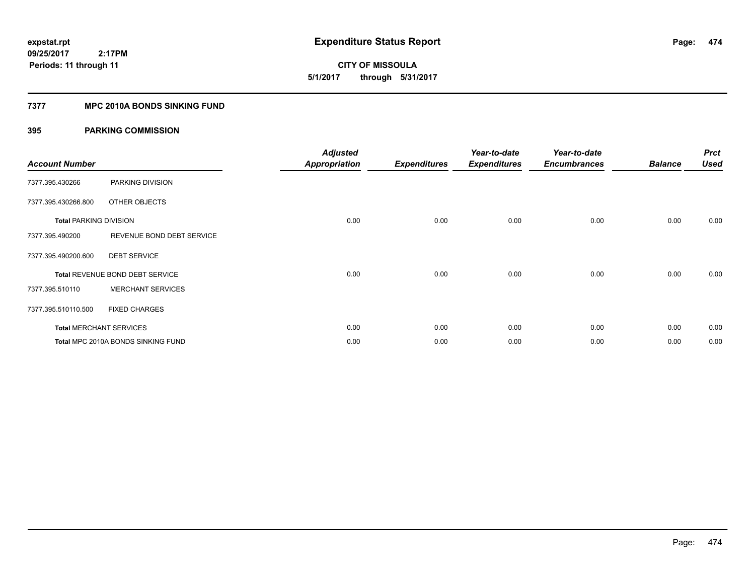**CITY OF MISSOULA 5/1/2017 through 5/31/2017**

### **7377 MPC 2010A BONDS SINKING FUND**

| <b>Account Number</b>         |                                    | <b>Adjusted</b><br><b>Appropriation</b> | <b>Expenditures</b> | Year-to-date<br><b>Expenditures</b> | Year-to-date<br><b>Encumbrances</b> | <b>Balance</b> | <b>Prct</b><br><b>Used</b> |
|-------------------------------|------------------------------------|-----------------------------------------|---------------------|-------------------------------------|-------------------------------------|----------------|----------------------------|
| 7377.395.430266               | PARKING DIVISION                   |                                         |                     |                                     |                                     |                |                            |
| 7377.395.430266.800           | OTHER OBJECTS                      |                                         |                     |                                     |                                     |                |                            |
| <b>Total PARKING DIVISION</b> |                                    | 0.00                                    | 0.00                | 0.00                                | 0.00                                | 0.00           | 0.00                       |
| 7377.395.490200               | REVENUE BOND DEBT SERVICE          |                                         |                     |                                     |                                     |                |                            |
| 7377.395.490200.600           | <b>DEBT SERVICE</b>                |                                         |                     |                                     |                                     |                |                            |
|                               | Total REVENUE BOND DEBT SERVICE    | 0.00                                    | 0.00                | 0.00                                | 0.00                                | 0.00           | 0.00                       |
| 7377.395.510110               | <b>MERCHANT SERVICES</b>           |                                         |                     |                                     |                                     |                |                            |
| 7377.395.510110.500           | <b>FIXED CHARGES</b>               |                                         |                     |                                     |                                     |                |                            |
|                               | <b>Total MERCHANT SERVICES</b>     | 0.00                                    | 0.00                | 0.00                                | 0.00                                | 0.00           | 0.00                       |
|                               | Total MPC 2010A BONDS SINKING FUND | 0.00                                    | 0.00                | 0.00                                | 0.00                                | 0.00           | 0.00                       |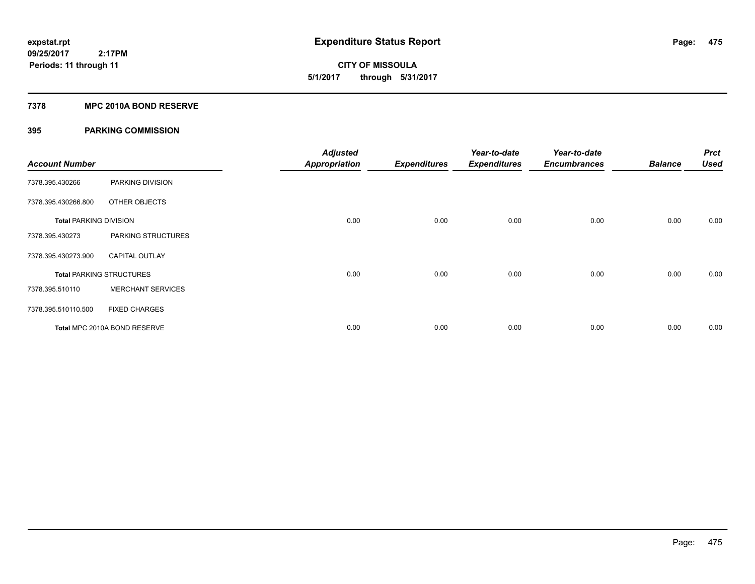**CITY OF MISSOULA 5/1/2017 through 5/31/2017**

### **7378 MPC 2010A BOND RESERVE**

| <b>Account Number</b>         |                                 | <b>Adjusted</b><br><b>Appropriation</b> | <b>Expenditures</b> | Year-to-date<br><b>Expenditures</b> | Year-to-date<br><b>Encumbrances</b> | <b>Balance</b> | <b>Prct</b><br><b>Used</b> |
|-------------------------------|---------------------------------|-----------------------------------------|---------------------|-------------------------------------|-------------------------------------|----------------|----------------------------|
| 7378.395.430266               | PARKING DIVISION                |                                         |                     |                                     |                                     |                |                            |
| 7378.395.430266.800           | OTHER OBJECTS                   |                                         |                     |                                     |                                     |                |                            |
| <b>Total PARKING DIVISION</b> |                                 | 0.00                                    | 0.00                | 0.00                                | 0.00                                | 0.00           | 0.00                       |
| 7378.395.430273               | PARKING STRUCTURES              |                                         |                     |                                     |                                     |                |                            |
| 7378.395.430273.900           | <b>CAPITAL OUTLAY</b>           |                                         |                     |                                     |                                     |                |                            |
|                               | <b>Total PARKING STRUCTURES</b> | 0.00                                    | 0.00                | 0.00                                | 0.00                                | 0.00           | 0.00                       |
| 7378.395.510110               | <b>MERCHANT SERVICES</b>        |                                         |                     |                                     |                                     |                |                            |
| 7378.395.510110.500           | <b>FIXED CHARGES</b>            |                                         |                     |                                     |                                     |                |                            |
|                               | Total MPC 2010A BOND RESERVE    | 0.00                                    | 0.00                | 0.00                                | 0.00                                | 0.00           | 0.00                       |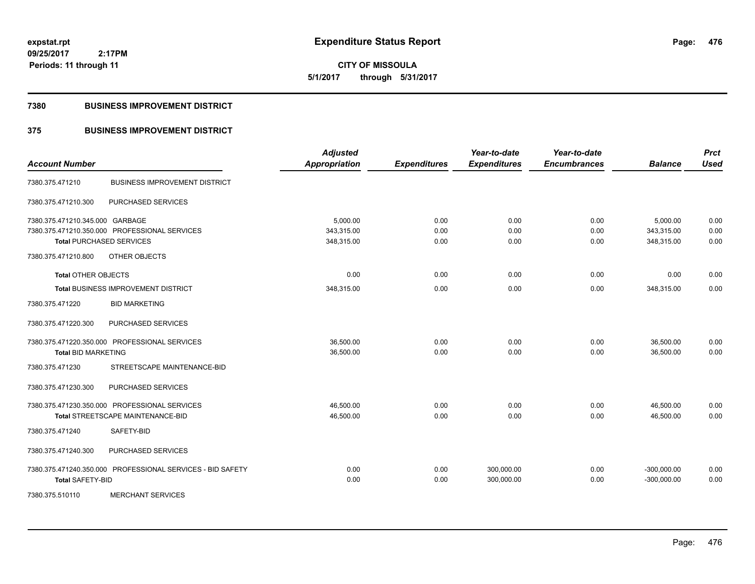**CITY OF MISSOULA 5/1/2017 through 5/31/2017**

### **7380 BUSINESS IMPROVEMENT DISTRICT**

## **375 BUSINESS IMPROVEMENT DISTRICT**

| <b>Account Number</b>           |                                                            | <b>Adjusted</b><br>Appropriation | <b>Expenditures</b> | Year-to-date<br><b>Expenditures</b> | Year-to-date<br><b>Encumbrances</b> | <b>Balance</b> | <b>Prct</b><br><b>Used</b> |
|---------------------------------|------------------------------------------------------------|----------------------------------|---------------------|-------------------------------------|-------------------------------------|----------------|----------------------------|
| 7380.375.471210                 | <b>BUSINESS IMPROVEMENT DISTRICT</b>                       |                                  |                     |                                     |                                     |                |                            |
| 7380.375.471210.300             | PURCHASED SERVICES                                         |                                  |                     |                                     |                                     |                |                            |
| 7380.375.471210.345.000 GARBAGE |                                                            | 5,000.00                         | 0.00                | 0.00                                | 0.00                                | 5,000.00       | 0.00                       |
|                                 | 7380.375.471210.350.000 PROFESSIONAL SERVICES              | 343,315.00                       | 0.00                | 0.00                                | 0.00                                | 343,315.00     | 0.00                       |
|                                 | <b>Total PURCHASED SERVICES</b>                            | 348,315.00                       | 0.00                | 0.00                                | 0.00                                | 348,315.00     | 0.00                       |
| 7380.375.471210.800             | OTHER OBJECTS                                              |                                  |                     |                                     |                                     |                |                            |
| <b>Total OTHER OBJECTS</b>      |                                                            | 0.00                             | 0.00                | 0.00                                | 0.00                                | 0.00           | 0.00                       |
|                                 | Total BUSINESS IMPROVEMENT DISTRICT                        | 348,315.00                       | 0.00                | 0.00                                | 0.00                                | 348,315.00     | 0.00                       |
| 7380.375.471220                 | <b>BID MARKETING</b>                                       |                                  |                     |                                     |                                     |                |                            |
| 7380.375.471220.300             | PURCHASED SERVICES                                         |                                  |                     |                                     |                                     |                |                            |
|                                 | 7380.375.471220.350.000 PROFESSIONAL SERVICES              | 36,500.00                        | 0.00                | 0.00                                | 0.00                                | 36,500.00      | 0.00                       |
| <b>Total BID MARKETING</b>      |                                                            | 36,500.00                        | 0.00                | 0.00                                | 0.00                                | 36,500.00      | 0.00                       |
| 7380.375.471230                 | STREETSCAPE MAINTENANCE-BID                                |                                  |                     |                                     |                                     |                |                            |
| 7380.375.471230.300             | PURCHASED SERVICES                                         |                                  |                     |                                     |                                     |                |                            |
|                                 | 7380.375.471230.350.000 PROFESSIONAL SERVICES              | 46,500.00                        | 0.00                | 0.00                                | 0.00                                | 46,500.00      | 0.00                       |
|                                 | Total STREETSCAPE MAINTENANCE-BID                          | 46,500.00                        | 0.00                | 0.00                                | 0.00                                | 46.500.00      | 0.00                       |
| 7380.375.471240                 | SAFETY-BID                                                 |                                  |                     |                                     |                                     |                |                            |
| 7380.375.471240.300             | PURCHASED SERVICES                                         |                                  |                     |                                     |                                     |                |                            |
|                                 | 7380.375.471240.350.000 PROFESSIONAL SERVICES - BID SAFETY | 0.00                             | 0.00                | 300,000.00                          | 0.00                                | $-300,000.00$  | 0.00                       |
| <b>Total SAFETY-BID</b>         |                                                            | 0.00                             | 0.00                | 300,000.00                          | 0.00                                | $-300,000.00$  | 0.00                       |
| 7380.375.510110                 | <b>MERCHANT SERVICES</b>                                   |                                  |                     |                                     |                                     |                |                            |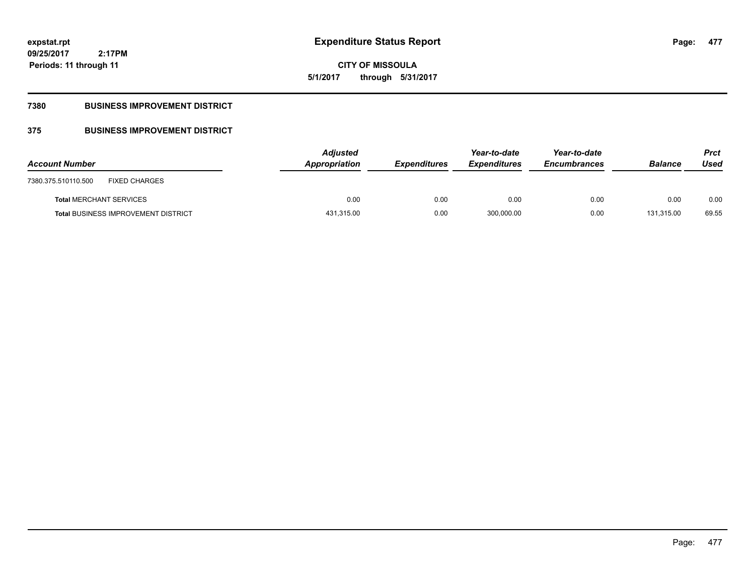**CITY OF MISSOULA 5/1/2017 through 5/31/2017**

## **7380 BUSINESS IMPROVEMENT DISTRICT**

## **375 BUSINESS IMPROVEMENT DISTRICT**

| <b>Account Number</b>                       | <b>Adjusted</b><br>Appropriation | <b>Expenditures</b> | Year-to-date<br><b>Expenditures</b> | Year-to-date<br><b>Encumbrances</b> | <b>Balance</b> | <b>Prct</b><br>Used |
|---------------------------------------------|----------------------------------|---------------------|-------------------------------------|-------------------------------------|----------------|---------------------|
| <b>FIXED CHARGES</b><br>7380.375.510110.500 |                                  |                     |                                     |                                     |                |                     |
| <b>Total MERCHANT SERVICES</b>              | 0.00                             | 0.00                | 0.00                                | 0.00                                | 0.00           | 0.00                |
| <b>Total BUSINESS IMPROVEMENT DISTRICT</b>  | 431,315.00                       | 0.00                | 300,000.00                          | 0.00                                | 131.315.00     | 69.55               |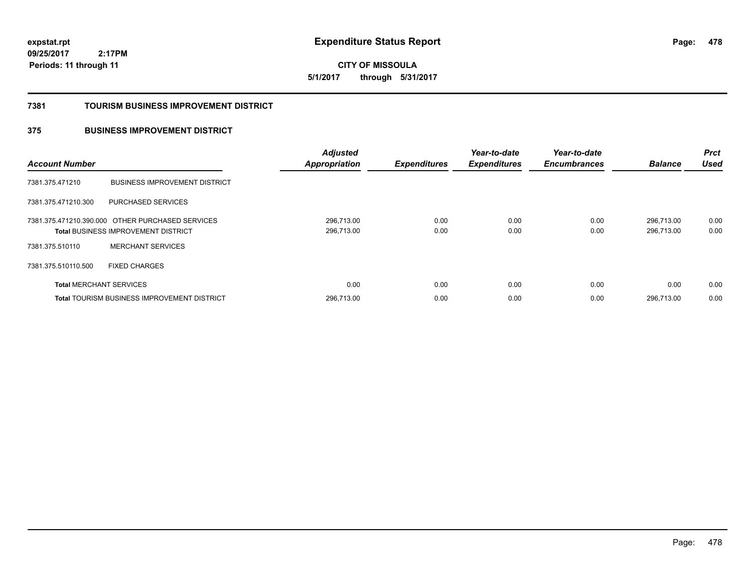**CITY OF MISSOULA 5/1/2017 through 5/31/2017**

#### **7381 TOURISM BUSINESS IMPROVEMENT DISTRICT**

## **375 BUSINESS IMPROVEMENT DISTRICT**

| <b>Account Number</b>          |                                                                                                | <b>Adjusted</b><br><b>Appropriation</b> | <b>Expenditures</b> | Year-to-date<br><b>Expenditures</b> | Year-to-date<br><b>Encumbrances</b> | <b>Balance</b>           | <b>Prct</b><br><b>Used</b> |
|--------------------------------|------------------------------------------------------------------------------------------------|-----------------------------------------|---------------------|-------------------------------------|-------------------------------------|--------------------------|----------------------------|
| 7381.375.471210                | <b>BUSINESS IMPROVEMENT DISTRICT</b>                                                           |                                         |                     |                                     |                                     |                          |                            |
| 7381.375.471210.300            | PURCHASED SERVICES                                                                             |                                         |                     |                                     |                                     |                          |                            |
|                                | 7381.375.471210.390.000 OTHER PURCHASED SERVICES<br><b>Total BUSINESS IMPROVEMENT DISTRICT</b> | 296,713.00<br>296,713.00                | 0.00<br>0.00        | 0.00<br>0.00                        | 0.00<br>0.00                        | 296.713.00<br>296.713.00 | 0.00<br>0.00               |
| 7381.375.510110                | <b>MERCHANT SERVICES</b>                                                                       |                                         |                     |                                     |                                     |                          |                            |
| 7381.375.510110.500            | <b>FIXED CHARGES</b>                                                                           |                                         |                     |                                     |                                     |                          |                            |
| <b>Total MERCHANT SERVICES</b> |                                                                                                | 0.00                                    | 0.00                | 0.00                                | 0.00                                | 0.00                     | 0.00                       |
|                                | <b>Total TOURISM BUSINESS IMPROVEMENT DISTRICT</b>                                             | 296,713.00                              | 0.00                | 0.00                                | 0.00                                | 296.713.00               | 0.00                       |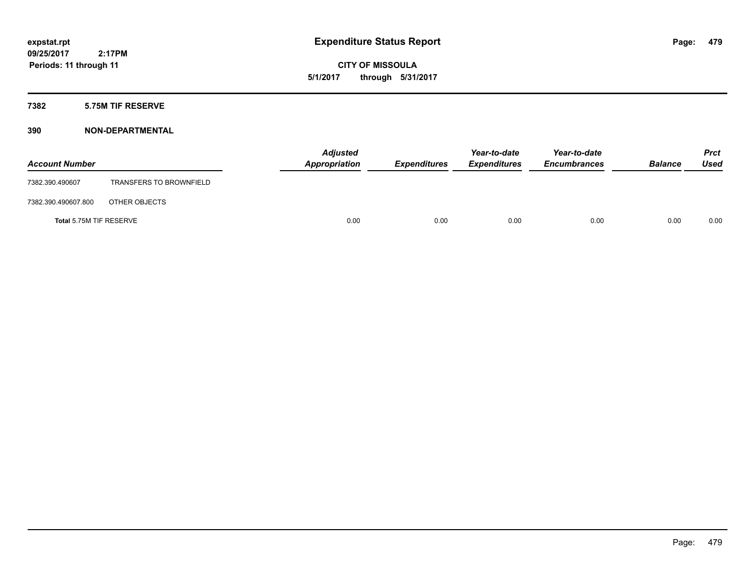**CITY OF MISSOULA 5/1/2017 through 5/31/2017**

### **7382 5.75M TIF RESERVE**

| <b>Account Number</b>   |                                | <b>Adjusted</b><br>Appropriation | <b>Expenditures</b> | Year-to-date<br><b>Expenditures</b> | Year-to-date<br><b>Encumbrances</b> | <b>Balance</b> | <b>Prct</b><br>Used |
|-------------------------|--------------------------------|----------------------------------|---------------------|-------------------------------------|-------------------------------------|----------------|---------------------|
| 7382.390.490607         | <b>TRANSFERS TO BROWNFIELD</b> |                                  |                     |                                     |                                     |                |                     |
| 7382.390.490607.800     | OTHER OBJECTS                  |                                  |                     |                                     |                                     |                |                     |
| Total 5.75M TIF RESERVE |                                | 0.00                             | 0.00                | 0.00                                | 0.00                                | 0.00           | 0.00                |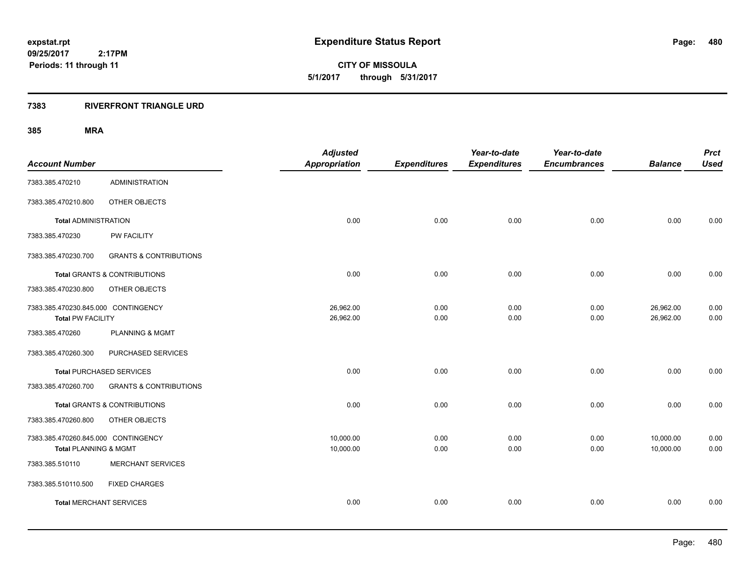**CITY OF MISSOULA 5/1/2017 through 5/31/2017**

### **7383 RIVERFRONT TRIANGLE URD**

|                                   | <b>Adjusted</b>                                                                                                                                                                                                                                                                                                |                                   | Year-to-date        | Year-to-date                |                             | <b>Prct</b><br><b>Used</b>  |
|-----------------------------------|----------------------------------------------------------------------------------------------------------------------------------------------------------------------------------------------------------------------------------------------------------------------------------------------------------------|-----------------------------------|---------------------|-----------------------------|-----------------------------|-----------------------------|
|                                   |                                                                                                                                                                                                                                                                                                                |                                   |                     |                             |                             |                             |
| <b>ADMINISTRATION</b>             |                                                                                                                                                                                                                                                                                                                |                                   |                     |                             |                             |                             |
| OTHER OBJECTS                     |                                                                                                                                                                                                                                                                                                                |                                   |                     |                             |                             |                             |
|                                   | 0.00                                                                                                                                                                                                                                                                                                           | 0.00                              | 0.00                | 0.00                        | 0.00                        | 0.00                        |
| PW FACILITY                       |                                                                                                                                                                                                                                                                                                                |                                   |                     |                             |                             |                             |
| <b>GRANTS &amp; CONTRIBUTIONS</b> |                                                                                                                                                                                                                                                                                                                |                                   |                     |                             |                             |                             |
|                                   | 0.00                                                                                                                                                                                                                                                                                                           | 0.00                              | 0.00                | 0.00                        | 0.00                        | 0.00                        |
| OTHER OBJECTS                     |                                                                                                                                                                                                                                                                                                                |                                   |                     |                             |                             |                             |
|                                   | 26,962.00                                                                                                                                                                                                                                                                                                      | 0.00                              | 0.00                | 0.00                        | 26,962.00                   | 0.00                        |
|                                   |                                                                                                                                                                                                                                                                                                                | 0.00                              |                     |                             |                             | 0.00                        |
| <b>PLANNING &amp; MGMT</b>        |                                                                                                                                                                                                                                                                                                                |                                   |                     |                             |                             |                             |
| PURCHASED SERVICES                |                                                                                                                                                                                                                                                                                                                |                                   |                     |                             |                             |                             |
|                                   | 0.00                                                                                                                                                                                                                                                                                                           | 0.00                              | 0.00                | 0.00                        | 0.00                        | 0.00                        |
| <b>GRANTS &amp; CONTRIBUTIONS</b> |                                                                                                                                                                                                                                                                                                                |                                   |                     |                             |                             |                             |
|                                   | 0.00                                                                                                                                                                                                                                                                                                           | 0.00                              | 0.00                | 0.00                        | 0.00                        | 0.00                        |
| OTHER OBJECTS                     |                                                                                                                                                                                                                                                                                                                |                                   |                     |                             |                             |                             |
|                                   | 10,000.00                                                                                                                                                                                                                                                                                                      | 0.00                              | 0.00                | 0.00                        | 10,000.00                   | 0.00                        |
|                                   | 10,000.00                                                                                                                                                                                                                                                                                                      | 0.00                              | 0.00                | 0.00                        | 10,000.00                   | 0.00                        |
| <b>MERCHANT SERVICES</b>          |                                                                                                                                                                                                                                                                                                                |                                   |                     |                             |                             |                             |
| <b>FIXED CHARGES</b>              |                                                                                                                                                                                                                                                                                                                |                                   |                     |                             |                             |                             |
|                                   | 0.00                                                                                                                                                                                                                                                                                                           | 0.00                              | 0.00                | 0.00                        | 0.00                        | 0.00                        |
|                                   | <b>Total ADMINISTRATION</b><br>Total GRANTS & CONTRIBUTIONS<br>7383.385.470230.845.000 CONTINGENCY<br><b>Total PW FACILITY</b><br><b>Total PURCHASED SERVICES</b><br><b>Total GRANTS &amp; CONTRIBUTIONS</b><br>7383.385.470260.845.000 CONTINGENCY<br>Total PLANNING & MGMT<br><b>Total MERCHANT SERVICES</b> | <b>Appropriation</b><br>26,962.00 | <b>Expenditures</b> | <b>Expenditures</b><br>0.00 | <b>Encumbrances</b><br>0.00 | <b>Balance</b><br>26,962.00 |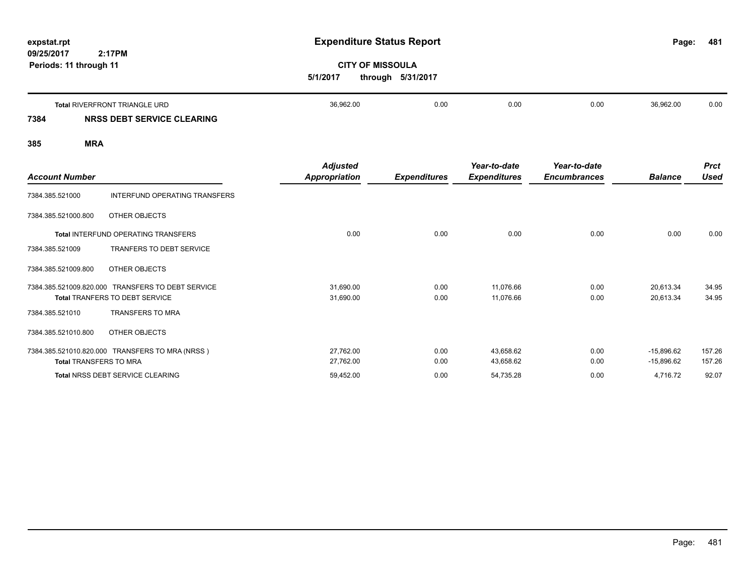| expstat.rpt<br>09/25/2017<br>Periods: 11 through 11 | 2:17PM                                                      | <b>Expenditure Status Report</b><br>5/1/2017 | <b>CITY OF MISSOULA</b><br>through 5/31/2017 |      |      | Page:     | 481  |
|-----------------------------------------------------|-------------------------------------------------------------|----------------------------------------------|----------------------------------------------|------|------|-----------|------|
| 7384                                                | Total RIVERFRONT TRIANGLE URD<br>NRSS DEBT SERVICE CLEARING | 36,962.00                                    | 0.00                                         | 0.00 | 0.00 | 36,962.00 | 0.00 |
| 385                                                 | <b>MRA</b>                                                  |                                              |                                              |      |      |           |      |

| <b>Account Number</b>         |                                                                                            | <b>Adjusted</b><br>Appropriation | <b>Expenditures</b> | Year-to-date<br><b>Expenditures</b> | Year-to-date<br><b>Encumbrances</b> | <b>Balance</b>         | <b>Prct</b><br>Used |
|-------------------------------|--------------------------------------------------------------------------------------------|----------------------------------|---------------------|-------------------------------------|-------------------------------------|------------------------|---------------------|
| 7384.385.521000               | INTERFUND OPERATING TRANSFERS                                                              |                                  |                     |                                     |                                     |                        |                     |
| 7384.385.521000.800           | OTHER OBJECTS                                                                              |                                  |                     |                                     |                                     |                        |                     |
|                               | <b>Total INTERFUND OPERATING TRANSFERS</b>                                                 | 0.00                             | 0.00                | 0.00                                | 0.00                                | 0.00                   | 0.00                |
| 7384.385.521009               | <b>TRANFERS TO DEBT SERVICE</b>                                                            |                                  |                     |                                     |                                     |                        |                     |
| 7384.385.521009.800           | OTHER OBJECTS                                                                              |                                  |                     |                                     |                                     |                        |                     |
|                               | 7384.385.521009.820.000 TRANSFERS TO DEBT SERVICE<br><b>Total TRANFERS TO DEBT SERVICE</b> | 31,690.00<br>31,690.00           | 0.00<br>0.00        | 11,076.66<br>11,076.66              | 0.00<br>0.00                        | 20,613.34<br>20,613.34 | 34.95<br>34.95      |
| 7384.385.521010               | <b>TRANSFERS TO MRA</b>                                                                    |                                  |                     |                                     |                                     |                        |                     |
| 7384.385.521010.800           | OTHER OBJECTS                                                                              |                                  |                     |                                     |                                     |                        |                     |
|                               | 7384.385.521010.820.000 TRANSFERS TO MRA (NRSS)                                            | 27,762.00                        | 0.00                | 43,658.62                           | 0.00                                | $-15,896.62$           | 157.26              |
| <b>Total TRANSFERS TO MRA</b> |                                                                                            | 27,762.00                        | 0.00                | 43,658.62                           | 0.00                                | $-15,896.62$           | 157.26              |
|                               | <b>Total NRSS DEBT SERVICE CLEARING</b>                                                    | 59,452.00                        | 0.00                | 54,735.28                           | 0.00                                | 4,716.72               | 92.07               |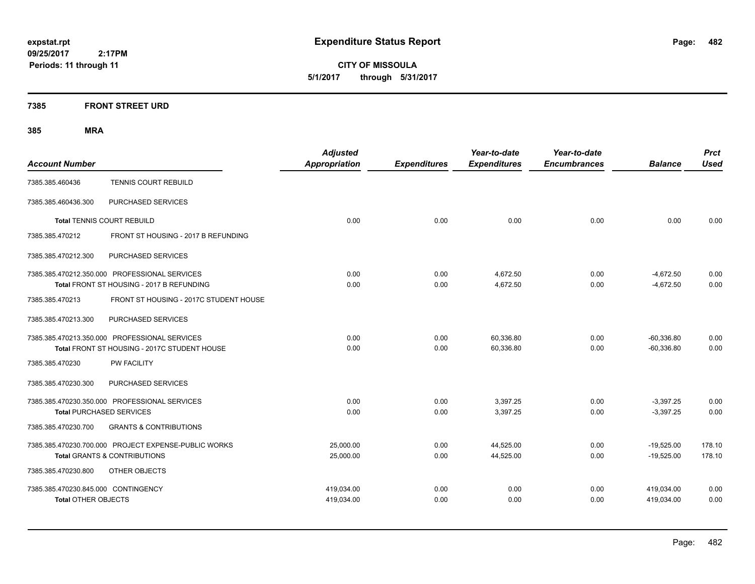**CITY OF MISSOULA 5/1/2017 through 5/31/2017**

### **7385 FRONT STREET URD**

|                                     |                                                      | <b>Adjusted</b>      |                     | Year-to-date        | Year-to-date        |                | <b>Prct</b> |
|-------------------------------------|------------------------------------------------------|----------------------|---------------------|---------------------|---------------------|----------------|-------------|
| <b>Account Number</b>               |                                                      | <b>Appropriation</b> | <b>Expenditures</b> | <b>Expenditures</b> | <b>Encumbrances</b> | <b>Balance</b> | <b>Used</b> |
| 7385.385.460436                     | TENNIS COURT REBUILD                                 |                      |                     |                     |                     |                |             |
| 7385.385.460436.300                 | PURCHASED SERVICES                                   |                      |                     |                     |                     |                |             |
|                                     | <b>Total TENNIS COURT REBUILD</b>                    | 0.00                 | 0.00                | 0.00                | 0.00                | 0.00           | 0.00        |
| 7385.385.470212                     | FRONT ST HOUSING - 2017 B REFUNDING                  |                      |                     |                     |                     |                |             |
| 7385.385.470212.300                 | PURCHASED SERVICES                                   |                      |                     |                     |                     |                |             |
|                                     | 7385.385.470212.350.000 PROFESSIONAL SERVICES        | 0.00                 | 0.00                | 4,672.50            | 0.00                | $-4,672.50$    | 0.00        |
|                                     | Total FRONT ST HOUSING - 2017 B REFUNDING            | 0.00                 | 0.00                | 4,672.50            | 0.00                | $-4,672.50$    | 0.00        |
| 7385.385.470213                     | FRONT ST HOUSING - 2017C STUDENT HOUSE               |                      |                     |                     |                     |                |             |
| 7385.385.470213.300                 | PURCHASED SERVICES                                   |                      |                     |                     |                     |                |             |
|                                     | 7385.385.470213.350.000 PROFESSIONAL SERVICES        | 0.00                 | 0.00                | 60,336.80           | 0.00                | $-60,336.80$   | 0.00        |
|                                     | Total FRONT ST HOUSING - 2017C STUDENT HOUSE         | 0.00                 | 0.00                | 60,336.80           | 0.00                | $-60,336.80$   | 0.00        |
| 7385.385.470230                     | <b>PW FACILITY</b>                                   |                      |                     |                     |                     |                |             |
| 7385.385.470230.300                 | PURCHASED SERVICES                                   |                      |                     |                     |                     |                |             |
|                                     | 7385.385.470230.350.000 PROFESSIONAL SERVICES        | 0.00                 | 0.00                | 3,397.25            | 0.00                | $-3,397.25$    | 0.00        |
|                                     | <b>Total PURCHASED SERVICES</b>                      | 0.00                 | 0.00                | 3,397.25            | 0.00                | $-3,397.25$    | 0.00        |
| 7385.385.470230.700                 | <b>GRANTS &amp; CONTRIBUTIONS</b>                    |                      |                     |                     |                     |                |             |
|                                     | 7385.385.470230.700.000 PROJECT EXPENSE-PUBLIC WORKS | 25,000.00            | 0.00                | 44,525.00           | 0.00                | $-19,525.00$   | 178.10      |
|                                     | <b>Total GRANTS &amp; CONTRIBUTIONS</b>              | 25,000.00            | 0.00                | 44,525.00           | 0.00                | $-19,525.00$   | 178.10      |
| 7385.385.470230.800                 | OTHER OBJECTS                                        |                      |                     |                     |                     |                |             |
| 7385.385.470230.845.000 CONTINGENCY |                                                      | 419,034.00           | 0.00                | 0.00                | 0.00                | 419,034.00     | 0.00        |
| <b>Total OTHER OBJECTS</b>          |                                                      | 419,034.00           | 0.00                | 0.00                | 0.00                | 419,034.00     | 0.00        |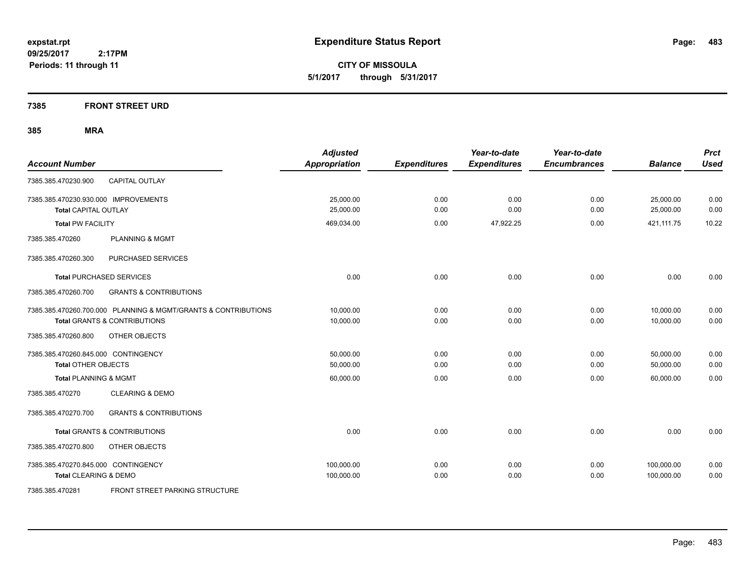**CITY OF MISSOULA 5/1/2017 through 5/31/2017**

**7385 FRONT STREET URD**

| <b>Account Number</b>                                                                                     | <b>Adjusted</b><br><b>Appropriation</b> | <b>Expenditures</b> | Year-to-date<br><b>Expenditures</b> | Year-to-date<br><b>Encumbrances</b> | <b>Balance</b>           | <b>Prct</b><br><b>Used</b> |
|-----------------------------------------------------------------------------------------------------------|-----------------------------------------|---------------------|-------------------------------------|-------------------------------------|--------------------------|----------------------------|
| <b>CAPITAL OUTLAY</b><br>7385.385.470230.900                                                              |                                         |                     |                                     |                                     |                          |                            |
| 7385.385.470230.930.000 IMPROVEMENTS<br><b>Total CAPITAL OUTLAY</b>                                       | 25,000.00<br>25,000.00                  | 0.00<br>0.00        | 0.00<br>0.00                        | 0.00<br>0.00                        | 25,000.00<br>25,000.00   | 0.00<br>0.00               |
| <b>Total PW FACILITY</b>                                                                                  | 469,034.00                              | 0.00                | 47,922.25                           | 0.00                                | 421,111.75               | 10.22                      |
| 7385.385.470260<br><b>PLANNING &amp; MGMT</b>                                                             |                                         |                     |                                     |                                     |                          |                            |
| 7385.385.470260.300<br>PURCHASED SERVICES                                                                 |                                         |                     |                                     |                                     |                          |                            |
| <b>Total PURCHASED SERVICES</b>                                                                           | 0.00                                    | 0.00                | 0.00                                | 0.00                                | 0.00                     | 0.00                       |
| 7385.385.470260.700<br><b>GRANTS &amp; CONTRIBUTIONS</b>                                                  |                                         |                     |                                     |                                     |                          |                            |
| 7385.385.470260.700.000 PLANNING & MGMT/GRANTS & CONTRIBUTIONS<br><b>Total GRANTS &amp; CONTRIBUTIONS</b> | 10,000.00<br>10,000.00                  | 0.00<br>0.00        | 0.00<br>0.00                        | 0.00<br>0.00                        | 10,000.00<br>10.000.00   | 0.00<br>0.00               |
| 7385.385.470260.800<br>OTHER OBJECTS                                                                      |                                         |                     |                                     |                                     |                          |                            |
| 7385.385.470260.845.000 CONTINGENCY<br><b>Total OTHER OBJECTS</b>                                         | 50,000.00<br>50,000.00                  | 0.00<br>0.00        | 0.00<br>0.00                        | 0.00<br>0.00                        | 50,000.00<br>50,000.00   | 0.00<br>0.00               |
| <b>Total PLANNING &amp; MGMT</b>                                                                          | 60,000.00                               | 0.00                | 0.00                                | 0.00                                | 60.000.00                | 0.00                       |
| <b>CLEARING &amp; DEMO</b><br>7385.385.470270                                                             |                                         |                     |                                     |                                     |                          |                            |
| <b>GRANTS &amp; CONTRIBUTIONS</b><br>7385.385.470270.700                                                  |                                         |                     |                                     |                                     |                          |                            |
| <b>Total GRANTS &amp; CONTRIBUTIONS</b>                                                                   | 0.00                                    | 0.00                | 0.00                                | 0.00                                | 0.00                     | 0.00                       |
| 7385.385.470270.800<br>OTHER OBJECTS                                                                      |                                         |                     |                                     |                                     |                          |                            |
| 7385.385.470270.845.000 CONTINGENCY<br>Total CLEARING & DEMO                                              | 100,000.00<br>100,000.00                | 0.00<br>0.00        | 0.00<br>0.00                        | 0.00<br>0.00                        | 100,000.00<br>100,000.00 | 0.00<br>0.00               |
| 7385.385.470281<br><b>FRONT STREET PARKING STRUCTURE</b>                                                  |                                         |                     |                                     |                                     |                          |                            |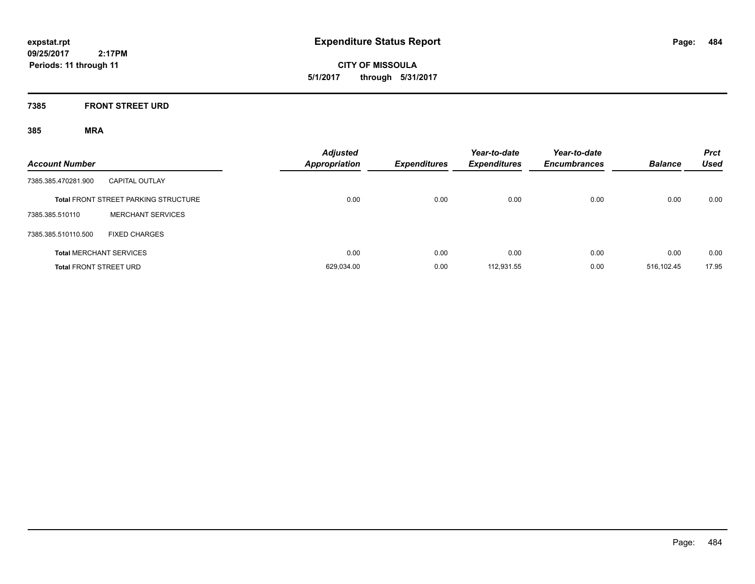**CITY OF MISSOULA 5/1/2017 through 5/31/2017**

### **7385 FRONT STREET URD**

| <b>Account Number</b>         |                                             | <b>Adjusted</b><br><b>Appropriation</b> | <b>Expenditures</b> | Year-to-date<br><b>Expenditures</b> | Year-to-date<br><b>Encumbrances</b> | <b>Balance</b> | <b>Prct</b><br><b>Used</b> |
|-------------------------------|---------------------------------------------|-----------------------------------------|---------------------|-------------------------------------|-------------------------------------|----------------|----------------------------|
| 7385.385.470281.900           | <b>CAPITAL OUTLAY</b>                       |                                         |                     |                                     |                                     |                |                            |
|                               | <b>Total FRONT STREET PARKING STRUCTURE</b> | 0.00                                    | 0.00                | 0.00                                | 0.00                                | 0.00           | 0.00                       |
| 7385.385.510110               | <b>MERCHANT SERVICES</b>                    |                                         |                     |                                     |                                     |                |                            |
| 7385.385.510110.500           | <b>FIXED CHARGES</b>                        |                                         |                     |                                     |                                     |                |                            |
|                               | <b>Total MERCHANT SERVICES</b>              | 0.00                                    | 0.00                | 0.00                                | 0.00                                | 0.00           | 0.00                       |
| <b>Total FRONT STREET URD</b> |                                             | 629.034.00                              | 0.00                | 112.931.55                          | 0.00                                | 516.102.45     | 17.95                      |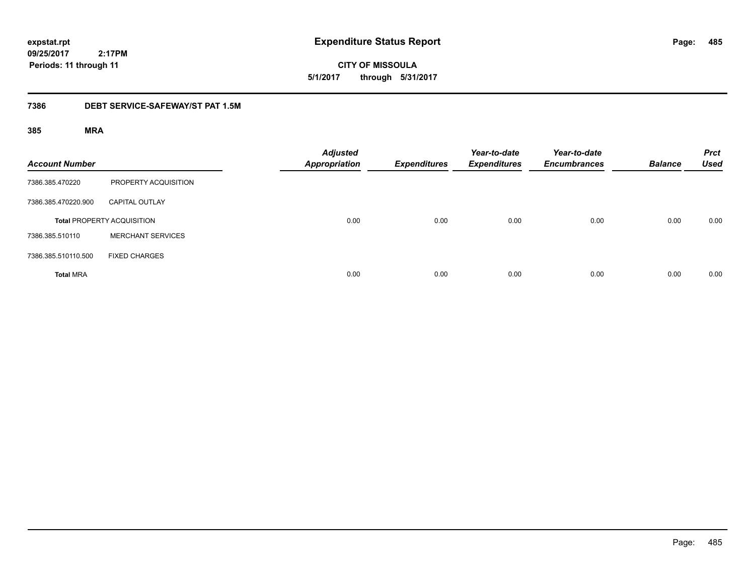**CITY OF MISSOULA 5/1/2017 through 5/31/2017**

### **7386 DEBT SERVICE-SAFEWAY/ST PAT 1.5M**

| <b>Account Number</b> |                                   | <b>Adjusted</b><br><b>Appropriation</b> | <b>Expenditures</b> | Year-to-date<br><b>Expenditures</b> | Year-to-date<br><b>Encumbrances</b> | <b>Balance</b> | <b>Prct</b><br><b>Used</b> |
|-----------------------|-----------------------------------|-----------------------------------------|---------------------|-------------------------------------|-------------------------------------|----------------|----------------------------|
| 7386.385.470220       | PROPERTY ACQUISITION              |                                         |                     |                                     |                                     |                |                            |
| 7386.385.470220.900   | <b>CAPITAL OUTLAY</b>             |                                         |                     |                                     |                                     |                |                            |
|                       | <b>Total PROPERTY ACQUISITION</b> | 0.00                                    | 0.00                | 0.00                                | 0.00                                | 0.00           | 0.00                       |
| 7386.385.510110       | <b>MERCHANT SERVICES</b>          |                                         |                     |                                     |                                     |                |                            |
| 7386.385.510110.500   | <b>FIXED CHARGES</b>              |                                         |                     |                                     |                                     |                |                            |
| <b>Total MRA</b>      |                                   | 0.00                                    | 0.00                | 0.00                                | 0.00                                | 0.00           | 0.00                       |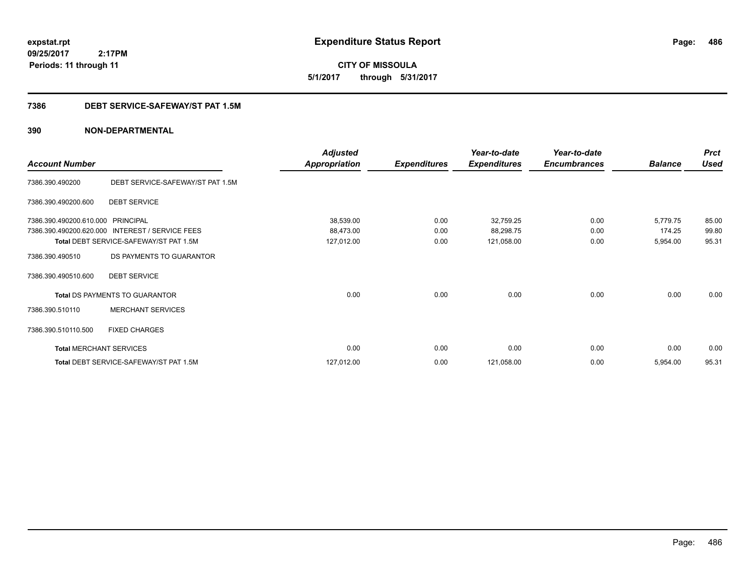**CITY OF MISSOULA 5/1/2017 through 5/31/2017**

### **7386 DEBT SERVICE-SAFEWAY/ST PAT 1.5M**

|                                                                             |                                        | <b>Adjusted</b>      |                     | Year-to-date        | Year-to-date        |                | <b>Prct</b> |
|-----------------------------------------------------------------------------|----------------------------------------|----------------------|---------------------|---------------------|---------------------|----------------|-------------|
| <b>Account Number</b><br>7386.390.490200.610.000<br>7386.390.490200.620.000 |                                        | <b>Appropriation</b> | <b>Expenditures</b> | <b>Expenditures</b> | <b>Encumbrances</b> | <b>Balance</b> | <b>Used</b> |
| 7386.390.490200                                                             | DEBT SERVICE-SAFEWAY/ST PAT 1.5M       |                      |                     |                     |                     |                |             |
| 7386.390.490200.600                                                         | <b>DEBT SERVICE</b>                    |                      |                     |                     |                     |                |             |
|                                                                             | <b>PRINCIPAL</b>                       | 38,539.00            | 0.00                | 32,759.25           | 0.00                | 5,779.75       | 85.00       |
|                                                                             | INTEREST / SERVICE FEES                | 88,473.00            | 0.00                | 88,298.75           | 0.00                | 174.25         | 99.80       |
| Total DEBT SERVICE-SAFEWAY/ST PAT 1.5M                                      |                                        | 127,012.00           | 0.00                | 121,058.00          | 0.00                | 5,954.00       | 95.31       |
| 7386.390.490510                                                             | DS PAYMENTS TO GUARANTOR               |                      |                     |                     |                     |                |             |
| 7386.390.490510.600                                                         | <b>DEBT SERVICE</b>                    |                      |                     |                     |                     |                |             |
|                                                                             | Total DS PAYMENTS TO GUARANTOR         | 0.00                 | 0.00                | 0.00                | 0.00                | 0.00           | 0.00        |
| 7386.390.510110                                                             | <b>MERCHANT SERVICES</b>               |                      |                     |                     |                     |                |             |
| 7386.390.510110.500                                                         | <b>FIXED CHARGES</b>                   |                      |                     |                     |                     |                |             |
| <b>Total MERCHANT SERVICES</b>                                              |                                        | 0.00                 | 0.00                | 0.00                | 0.00                | 0.00           | 0.00        |
|                                                                             | Total DEBT SERVICE-SAFEWAY/ST PAT 1.5M | 127,012.00           | 0.00                | 121,058.00          | 0.00                | 5,954.00       | 95.31       |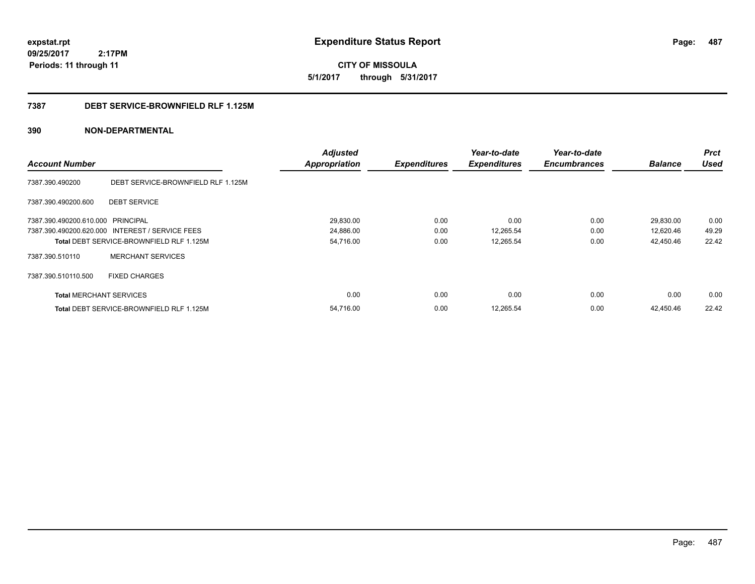**CITY OF MISSOULA 5/1/2017 through 5/31/2017**

### **7387 DEBT SERVICE-BROWNFIELD RLF 1.125M**

| <b>Account Number</b>             |                                                 | <b>Adjusted</b><br><b>Appropriation</b> | <b>Expenditures</b> | Year-to-date<br><b>Expenditures</b> | Year-to-date<br><b>Encumbrances</b> | <b>Balance</b> | <b>Prct</b><br><b>Used</b> |
|-----------------------------------|-------------------------------------------------|-----------------------------------------|---------------------|-------------------------------------|-------------------------------------|----------------|----------------------------|
|                                   |                                                 |                                         |                     |                                     |                                     |                |                            |
| 7387.390.490200                   | DEBT SERVICE-BROWNFIELD RLF 1.125M              |                                         |                     |                                     |                                     |                |                            |
| 7387.390.490200.600               | <b>DEBT SERVICE</b>                             |                                         |                     |                                     |                                     |                |                            |
| 7387.390.490200.610.000 PRINCIPAL |                                                 | 29,830.00                               | 0.00                | 0.00                                | 0.00                                | 29,830.00      | 0.00                       |
|                                   | 7387.390.490200.620.000 INTEREST / SERVICE FEES | 24,886.00                               | 0.00                | 12,265.54                           | 0.00                                | 12,620.46      | 49.29                      |
|                                   | <b>Total DEBT SERVICE-BROWNFIELD RLF 1.125M</b> | 54,716.00                               | 0.00                | 12,265.54                           | 0.00                                | 42,450.46      | 22.42                      |
| 7387.390.510110                   | <b>MERCHANT SERVICES</b>                        |                                         |                     |                                     |                                     |                |                            |
| 7387.390.510110.500               | <b>FIXED CHARGES</b>                            |                                         |                     |                                     |                                     |                |                            |
| <b>Total MERCHANT SERVICES</b>    |                                                 | 0.00                                    | 0.00                | 0.00                                | 0.00                                | 0.00           | 0.00                       |
|                                   | <b>Total DEBT SERVICE-BROWNFIELD RLF 1.125M</b> | 54.716.00                               | 0.00                | 12,265.54                           | 0.00                                | 42.450.46      | 22.42                      |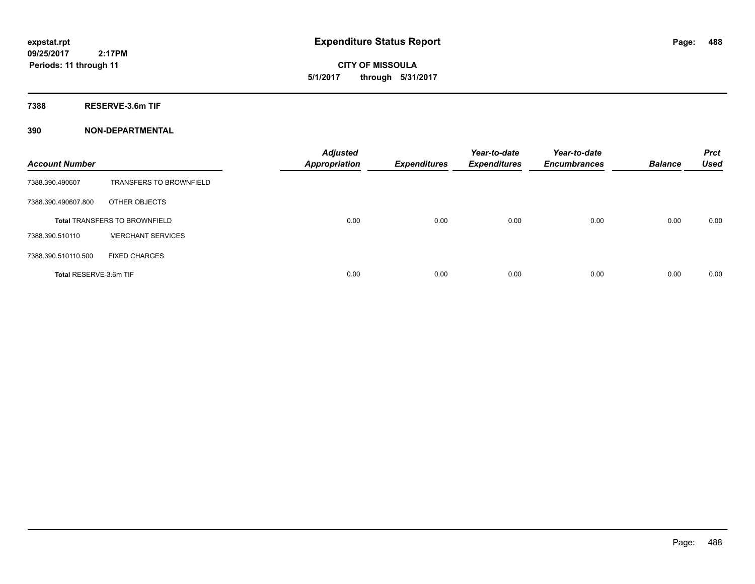**CITY OF MISSOULA 5/1/2017 through 5/31/2017**

**7388 RESERVE-3.6m TIF**

| <b>Account Number</b>  |                                      | <b>Adjusted</b><br><b>Appropriation</b> | <b>Expenditures</b> | Year-to-date<br><b>Expenditures</b> | Year-to-date<br><b>Encumbrances</b> | <b>Balance</b> | <b>Prct</b><br><b>Used</b> |
|------------------------|--------------------------------------|-----------------------------------------|---------------------|-------------------------------------|-------------------------------------|----------------|----------------------------|
| 7388.390.490607        | <b>TRANSFERS TO BROWNFIELD</b>       |                                         |                     |                                     |                                     |                |                            |
| 7388.390.490607.800    | OTHER OBJECTS                        |                                         |                     |                                     |                                     |                |                            |
|                        | <b>Total TRANSFERS TO BROWNFIELD</b> | 0.00                                    | 0.00                | 0.00                                | 0.00                                | 0.00           | 0.00                       |
| 7388.390.510110        | <b>MERCHANT SERVICES</b>             |                                         |                     |                                     |                                     |                |                            |
| 7388.390.510110.500    | <b>FIXED CHARGES</b>                 |                                         |                     |                                     |                                     |                |                            |
| Total RESERVE-3.6m TIF |                                      | 0.00                                    | 0.00                | 0.00                                | 0.00                                | 0.00           | 0.00                       |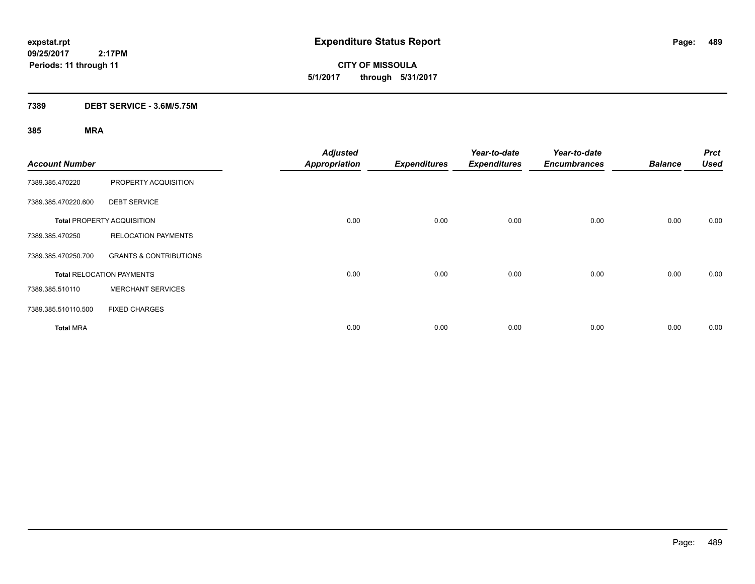**CITY OF MISSOULA 5/1/2017 through 5/31/2017**

### **7389 DEBT SERVICE - 3.6M/5.75M**

| <b>Account Number</b> |                                   | <b>Adjusted</b><br><b>Appropriation</b> | <b>Expenditures</b> | Year-to-date<br><b>Expenditures</b> | Year-to-date<br><b>Encumbrances</b> | <b>Balance</b> | <b>Prct</b><br><b>Used</b> |
|-----------------------|-----------------------------------|-----------------------------------------|---------------------|-------------------------------------|-------------------------------------|----------------|----------------------------|
| 7389.385.470220       | PROPERTY ACQUISITION              |                                         |                     |                                     |                                     |                |                            |
| 7389.385.470220.600   | <b>DEBT SERVICE</b>               |                                         |                     |                                     |                                     |                |                            |
|                       | <b>Total PROPERTY ACQUISITION</b> | 0.00                                    | 0.00                | 0.00                                | 0.00                                | 0.00           | 0.00                       |
| 7389.385.470250       | <b>RELOCATION PAYMENTS</b>        |                                         |                     |                                     |                                     |                |                            |
| 7389.385.470250.700   | <b>GRANTS &amp; CONTRIBUTIONS</b> |                                         |                     |                                     |                                     |                |                            |
|                       | <b>Total RELOCATION PAYMENTS</b>  | 0.00                                    | 0.00                | 0.00                                | 0.00                                | 0.00           | 0.00                       |
| 7389.385.510110       | <b>MERCHANT SERVICES</b>          |                                         |                     |                                     |                                     |                |                            |
| 7389.385.510110.500   | <b>FIXED CHARGES</b>              |                                         |                     |                                     |                                     |                |                            |
| <b>Total MRA</b>      |                                   | 0.00                                    | 0.00                | 0.00                                | 0.00                                | 0.00           | 0.00                       |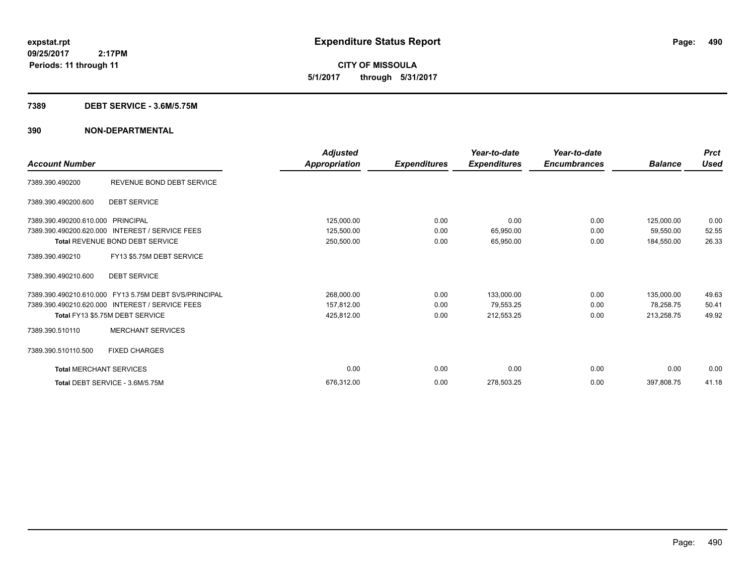**CITY OF MISSOULA 5/1/2017 through 5/31/2017**

#### **7389 DEBT SERVICE - 3.6M/5.75M**

| <b>Account Number</b>          |                                                       | <b>Adjusted</b><br>Appropriation | <b>Expenditures</b> | Year-to-date<br><b>Expenditures</b> | Year-to-date<br><b>Encumbrances</b> | <b>Balance</b> | <b>Prct</b><br><b>Used</b> |
|--------------------------------|-------------------------------------------------------|----------------------------------|---------------------|-------------------------------------|-------------------------------------|----------------|----------------------------|
|                                |                                                       |                                  |                     |                                     |                                     |                |                            |
| 7389.390.490200                | REVENUE BOND DEBT SERVICE                             |                                  |                     |                                     |                                     |                |                            |
| 7389.390.490200.600            | <b>DEBT SERVICE</b>                                   |                                  |                     |                                     |                                     |                |                            |
| 7389.390.490200.610.000        | PRINCIPAL                                             | 125,000.00                       | 0.00                | 0.00                                | 0.00                                | 125,000.00     | 0.00                       |
| 7389.390.490200.620.000        | <b>INTEREST / SERVICE FEES</b>                        | 125,500.00                       | 0.00                | 65,950.00                           | 0.00                                | 59,550.00      | 52.55                      |
|                                | Total REVENUE BOND DEBT SERVICE                       | 250,500.00                       | 0.00                | 65,950.00                           | 0.00                                | 184,550.00     | 26.33                      |
| 7389.390.490210                | FY13 \$5.75M DEBT SERVICE                             |                                  |                     |                                     |                                     |                |                            |
| 7389.390.490210.600            | <b>DEBT SERVICE</b>                                   |                                  |                     |                                     |                                     |                |                            |
|                                | 7389.390.490210.610.000 FY13 5.75M DEBT SVS/PRINCIPAL | 268,000.00                       | 0.00                | 133,000.00                          | 0.00                                | 135,000.00     | 49.63                      |
|                                | 7389.390.490210.620.000 INTEREST / SERVICE FEES       | 157,812.00                       | 0.00                | 79,553.25                           | 0.00                                | 78.258.75      | 50.41                      |
|                                | Total FY13 \$5.75M DEBT SERVICE                       | 425,812.00                       | 0.00                | 212,553.25                          | 0.00                                | 213,258.75     | 49.92                      |
| 7389.390.510110                | <b>MERCHANT SERVICES</b>                              |                                  |                     |                                     |                                     |                |                            |
| 7389.390.510110.500            | <b>FIXED CHARGES</b>                                  |                                  |                     |                                     |                                     |                |                            |
| <b>Total MERCHANT SERVICES</b> |                                                       | 0.00                             | 0.00                | 0.00                                | 0.00                                | 0.00           | 0.00                       |
|                                | Total DEBT SERVICE - 3.6M/5.75M                       | 676.312.00                       | 0.00                | 278,503.25                          | 0.00                                | 397,808.75     | 41.18                      |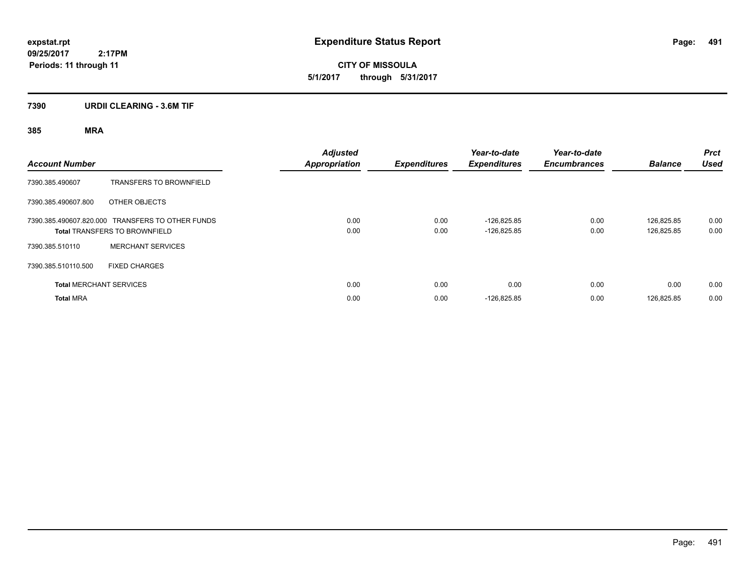**CITY OF MISSOULA 5/1/2017 through 5/31/2017**

### **7390 URDII CLEARING - 3.6M TIF**

| <b>Account Number</b> |                                                                                          | <b>Adjusted</b><br><b>Appropriation</b> | <b>Expenditures</b> | Year-to-date<br><b>Expenditures</b> | Year-to-date<br><b>Encumbrances</b> | <b>Balance</b>           | <b>Prct</b><br><b>Used</b> |
|-----------------------|------------------------------------------------------------------------------------------|-----------------------------------------|---------------------|-------------------------------------|-------------------------------------|--------------------------|----------------------------|
| 7390.385.490607       | <b>TRANSFERS TO BROWNFIELD</b>                                                           |                                         |                     |                                     |                                     |                          |                            |
| 7390.385.490607.800   | OTHER OBJECTS                                                                            |                                         |                     |                                     |                                     |                          |                            |
|                       | 7390.385.490607.820.000 TRANSFERS TO OTHER FUNDS<br><b>Total TRANSFERS TO BROWNFIELD</b> | 0.00<br>0.00                            | 0.00<br>0.00        | $-126.825.85$<br>$-126,825.85$      | 0.00<br>0.00                        | 126.825.85<br>126,825.85 | 0.00<br>0.00               |
| 7390.385.510110       | <b>MERCHANT SERVICES</b>                                                                 |                                         |                     |                                     |                                     |                          |                            |
| 7390.385.510110.500   | <b>FIXED CHARGES</b>                                                                     |                                         |                     |                                     |                                     |                          |                            |
|                       | <b>Total MERCHANT SERVICES</b>                                                           | 0.00                                    | 0.00                | 0.00                                | 0.00                                | 0.00                     | 0.00                       |
| <b>Total MRA</b>      |                                                                                          | 0.00                                    | 0.00                | $-126,825.85$                       | 0.00                                | 126,825.85               | 0.00                       |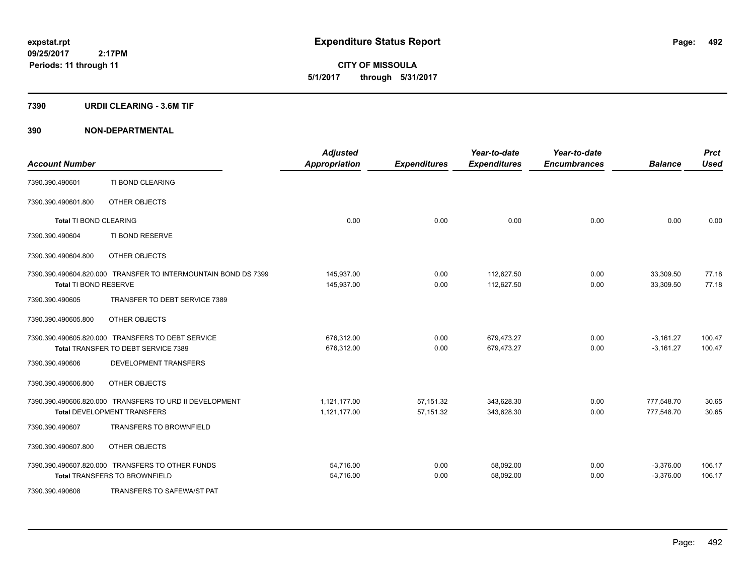**CITY OF MISSOULA 5/1/2017 through 5/31/2017**

#### **7390 URDII CLEARING - 3.6M TIF**

| <b>Account Number</b>         |                                                                | <b>Adjusted</b><br><b>Appropriation</b> | <b>Expenditures</b> | Year-to-date<br><b>Expenditures</b> | Year-to-date<br><b>Encumbrances</b> | <b>Balance</b> | <b>Prct</b><br><b>Used</b> |
|-------------------------------|----------------------------------------------------------------|-----------------------------------------|---------------------|-------------------------------------|-------------------------------------|----------------|----------------------------|
| 7390.390.490601               | TI BOND CLEARING                                               |                                         |                     |                                     |                                     |                |                            |
| 7390.390.490601.800           | OTHER OBJECTS                                                  |                                         |                     |                                     |                                     |                |                            |
| <b>Total TI BOND CLEARING</b> |                                                                | 0.00                                    | 0.00                | 0.00                                | 0.00                                | 0.00           | 0.00                       |
| 7390.390.490604               | TI BOND RESERVE                                                |                                         |                     |                                     |                                     |                |                            |
| 7390.390.490604.800           | OTHER OBJECTS                                                  |                                         |                     |                                     |                                     |                |                            |
|                               | 7390.390.490604.820.000 TRANSFER TO INTERMOUNTAIN BOND DS 7399 | 145,937.00                              | 0.00                | 112,627.50                          | 0.00                                | 33,309.50      | 77.18                      |
| Total TI BOND RESERVE         |                                                                | 145,937.00                              | 0.00                | 112,627.50                          | 0.00                                | 33,309.50      | 77.18                      |
| 7390.390.490605               | TRANSFER TO DEBT SERVICE 7389                                  |                                         |                     |                                     |                                     |                |                            |
| 7390.390.490605.800           | OTHER OBJECTS                                                  |                                         |                     |                                     |                                     |                |                            |
|                               | 7390.390.490605.820.000 TRANSFERS TO DEBT SERVICE              | 676,312.00                              | 0.00                | 679,473.27                          | 0.00                                | $-3,161.27$    | 100.47                     |
|                               | Total TRANSFER TO DEBT SERVICE 7389                            | 676,312.00                              | 0.00                | 679,473.27                          | 0.00                                | $-3,161.27$    | 100.47                     |
| 7390.390.490606               | <b>DEVELOPMENT TRANSFERS</b>                                   |                                         |                     |                                     |                                     |                |                            |
| 7390.390.490606.800           | OTHER OBJECTS                                                  |                                         |                     |                                     |                                     |                |                            |
|                               | 7390.390.490606.820.000 TRANSFERS TO URD II DEVELOPMENT        | 1,121,177.00                            | 57,151.32           | 343,628.30                          | 0.00                                | 777,548.70     | 30.65                      |
|                               | <b>Total DEVELOPMENT TRANSFERS</b>                             | 1,121,177.00                            | 57,151.32           | 343,628.30                          | 0.00                                | 777,548.70     | 30.65                      |
| 7390.390.490607               | TRANSFERS TO BROWNFIELD                                        |                                         |                     |                                     |                                     |                |                            |
| 7390.390.490607.800           | OTHER OBJECTS                                                  |                                         |                     |                                     |                                     |                |                            |
|                               | 7390.390.490607.820.000 TRANSFERS TO OTHER FUNDS               | 54,716.00                               | 0.00                | 58,092.00                           | 0.00                                | $-3,376.00$    | 106.17                     |
|                               | <b>Total TRANSFERS TO BROWNFIELD</b>                           | 54,716.00                               | 0.00                | 58,092.00                           | 0.00                                | $-3,376.00$    | 106.17                     |
| 7390.390.490608               | <b>TRANSFERS TO SAFEWA/ST PAT</b>                              |                                         |                     |                                     |                                     |                |                            |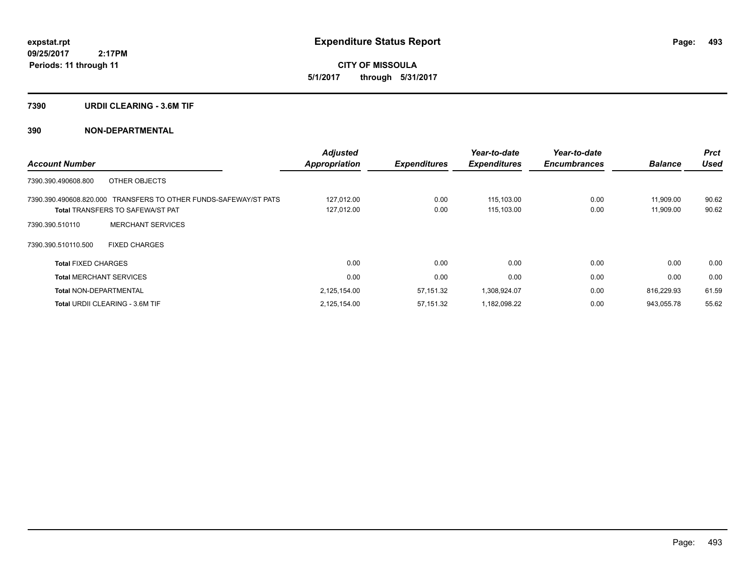**CITY OF MISSOULA 5/1/2017 through 5/31/2017**

#### **7390 URDII CLEARING - 3.6M TIF**

| <b>Account Number</b>                                                                                       | <b>Adjusted</b><br><b>Appropriation</b> | <b>Expenditures</b> | Year-to-date<br><b>Expenditures</b> | Year-to-date<br><b>Encumbrances</b> | <b>Balance</b>         | <b>Prct</b><br><b>Used</b> |
|-------------------------------------------------------------------------------------------------------------|-----------------------------------------|---------------------|-------------------------------------|-------------------------------------|------------------------|----------------------------|
| OTHER OBJECTS<br>7390.390.490608.800                                                                        |                                         |                     |                                     |                                     |                        |                            |
| 7390.390.490608.820.000 TRANSFERS TO OTHER FUNDS-SAFEWAY/ST PATS<br><b>Total TRANSFERS TO SAFEWA/ST PAT</b> | 127,012.00<br>127,012.00                | 0.00<br>0.00        | 115.103.00<br>115,103.00            | 0.00<br>0.00                        | 11,909.00<br>11,909.00 | 90.62<br>90.62             |
| <b>MERCHANT SERVICES</b><br>7390.390.510110                                                                 |                                         |                     |                                     |                                     |                        |                            |
| 7390.390.510110.500<br><b>FIXED CHARGES</b>                                                                 |                                         |                     |                                     |                                     |                        |                            |
| <b>Total FIXED CHARGES</b>                                                                                  | 0.00                                    | 0.00                | 0.00                                | 0.00                                | 0.00                   | 0.00                       |
| <b>Total MERCHANT SERVICES</b>                                                                              | 0.00                                    | 0.00                | 0.00                                | 0.00                                | 0.00                   | 0.00                       |
| <b>Total NON-DEPARTMENTAL</b>                                                                               | 2,125,154.00                            | 57,151.32           | 1,308,924.07                        | 0.00                                | 816,229.93             | 61.59                      |
| Total URDII CLEARING - 3.6M TIF                                                                             | 2,125,154.00                            | 57,151.32           | 1,182,098.22                        | 0.00                                | 943,055.78             | 55.62                      |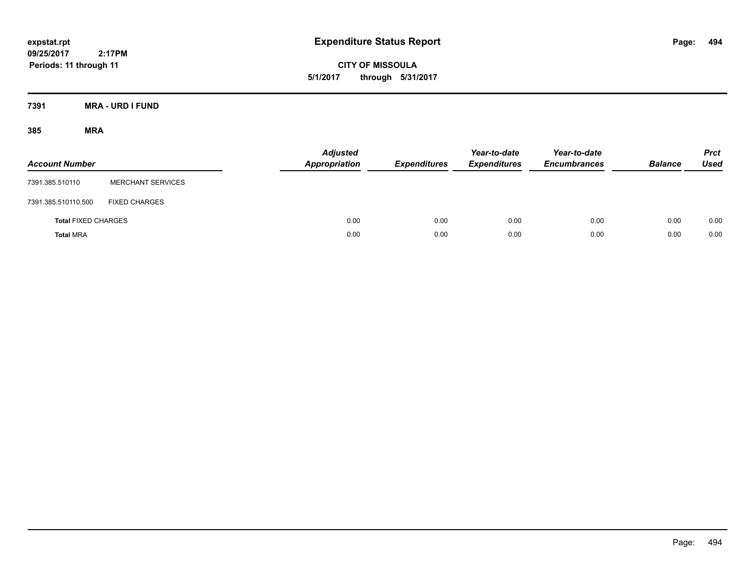**CITY OF MISSOULA 5/1/2017 through 5/31/2017**

**7391 MRA - URD I FUND**

| <b>Account Number</b>      |                          | Adjusted<br>Appropriation | <b>Expenditures</b> | Year-to-date<br><b>Expenditures</b> | Year-to-date<br><b>Encumbrances</b> | <b>Balance</b> | <b>Prct</b><br><b>Used</b> |
|----------------------------|--------------------------|---------------------------|---------------------|-------------------------------------|-------------------------------------|----------------|----------------------------|
| 7391.385.510110            | <b>MERCHANT SERVICES</b> |                           |                     |                                     |                                     |                |                            |
| 7391.385.510110.500        | <b>FIXED CHARGES</b>     |                           |                     |                                     |                                     |                |                            |
| <b>Total FIXED CHARGES</b> |                          | 0.00                      | 0.00                | 0.00                                | 0.00                                | 0.00           | 0.00                       |
| <b>Total MRA</b>           |                          | 0.00                      | 0.00                | 0.00                                | 0.00                                | 0.00           | 0.00                       |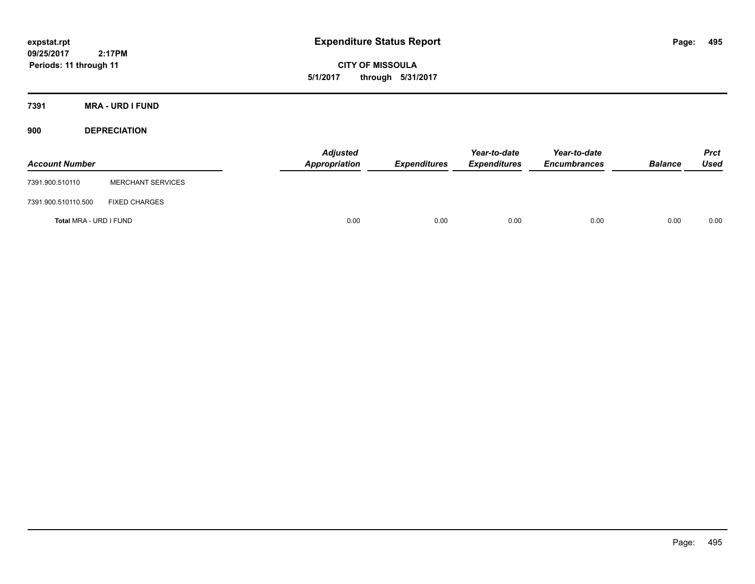**CITY OF MISSOULA 5/1/2017 through 5/31/2017**

**7391 MRA - URD I FUND**

**900 DEPRECIATION**

| <b>Account Number</b>  |                          | Adjusted<br>Appropriation | <b>Expenditures</b> | Year-to-date<br><b>Expenditures</b> | Year-to-date<br><b>Encumbrances</b> | <b>Balance</b> | <b>Prct</b><br><b>Used</b> |
|------------------------|--------------------------|---------------------------|---------------------|-------------------------------------|-------------------------------------|----------------|----------------------------|
| 7391.900.510110        | <b>MERCHANT SERVICES</b> |                           |                     |                                     |                                     |                |                            |
| 7391.900.510110.500    | <b>FIXED CHARGES</b>     |                           |                     |                                     |                                     |                |                            |
| Total MRA - URD I FUND |                          | 0.00                      | 0.00                | 0.00                                | 0.00                                | 0.00           | 0.00                       |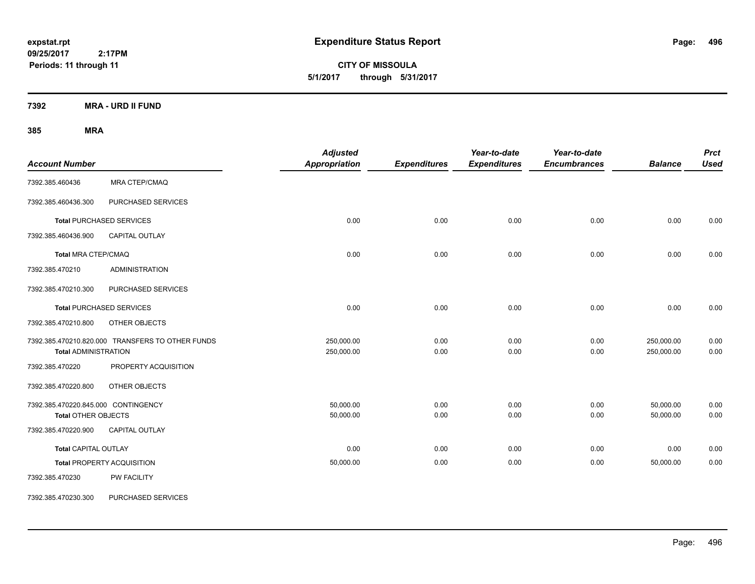**CITY OF MISSOULA 5/1/2017 through 5/31/2017**

**7392 MRA - URD II FUND**

| <b>Account Number</b>                                      |                                                  | <b>Adjusted</b><br><b>Appropriation</b> | <b>Expenditures</b> | Year-to-date<br><b>Expenditures</b> | Year-to-date<br><b>Encumbrances</b> | <b>Balance</b>           | <b>Prct</b><br><b>Used</b> |
|------------------------------------------------------------|--------------------------------------------------|-----------------------------------------|---------------------|-------------------------------------|-------------------------------------|--------------------------|----------------------------|
| 7392.385.460436                                            | MRA CTEP/CMAQ                                    |                                         |                     |                                     |                                     |                          |                            |
| 7392.385.460436.300                                        | PURCHASED SERVICES                               |                                         |                     |                                     |                                     |                          |                            |
|                                                            | <b>Total PURCHASED SERVICES</b>                  | 0.00                                    | 0.00                | 0.00                                | 0.00                                | 0.00                     | 0.00                       |
| 7392.385.460436.900                                        | CAPITAL OUTLAY                                   |                                         |                     |                                     |                                     |                          |                            |
| <b>Total MRA CTEP/CMAQ</b>                                 |                                                  | 0.00                                    | 0.00                | 0.00                                | 0.00                                | 0.00                     | 0.00                       |
| 7392.385.470210                                            | <b>ADMINISTRATION</b>                            |                                         |                     |                                     |                                     |                          |                            |
| 7392.385.470210.300                                        | PURCHASED SERVICES                               |                                         |                     |                                     |                                     |                          |                            |
|                                                            | <b>Total PURCHASED SERVICES</b>                  | 0.00                                    | 0.00                | 0.00                                | 0.00                                | 0.00                     | 0.00                       |
| 7392.385.470210.800                                        | OTHER OBJECTS                                    |                                         |                     |                                     |                                     |                          |                            |
| <b>Total ADMINISTRATION</b>                                | 7392.385.470210.820.000 TRANSFERS TO OTHER FUNDS | 250,000.00<br>250,000.00                | 0.00<br>0.00        | 0.00<br>0.00                        | 0.00<br>0.00                        | 250,000.00<br>250,000.00 | 0.00<br>0.00               |
| 7392.385.470220                                            | PROPERTY ACQUISITION                             |                                         |                     |                                     |                                     |                          |                            |
| 7392.385.470220.800                                        | OTHER OBJECTS                                    |                                         |                     |                                     |                                     |                          |                            |
| 7392.385.470220.845.000 CONTINGENCY<br>Total OTHER OBJECTS |                                                  | 50,000.00<br>50,000.00                  | 0.00<br>0.00        | 0.00<br>0.00                        | 0.00<br>0.00                        | 50,000.00<br>50,000.00   | 0.00<br>0.00               |
| 7392.385.470220.900                                        | CAPITAL OUTLAY                                   |                                         |                     |                                     |                                     |                          |                            |
| <b>Total CAPITAL OUTLAY</b>                                |                                                  | 0.00                                    | 0.00                | 0.00                                | 0.00                                | 0.00                     | 0.00                       |
|                                                            | Total PROPERTY ACQUISITION                       | 50,000.00                               | 0.00                | 0.00                                | 0.00                                | 50,000.00                | 0.00                       |
| 7392.385.470230                                            | PW FACILITY                                      |                                         |                     |                                     |                                     |                          |                            |
| 7392.385.470230.300                                        | PURCHASED SERVICES                               |                                         |                     |                                     |                                     |                          |                            |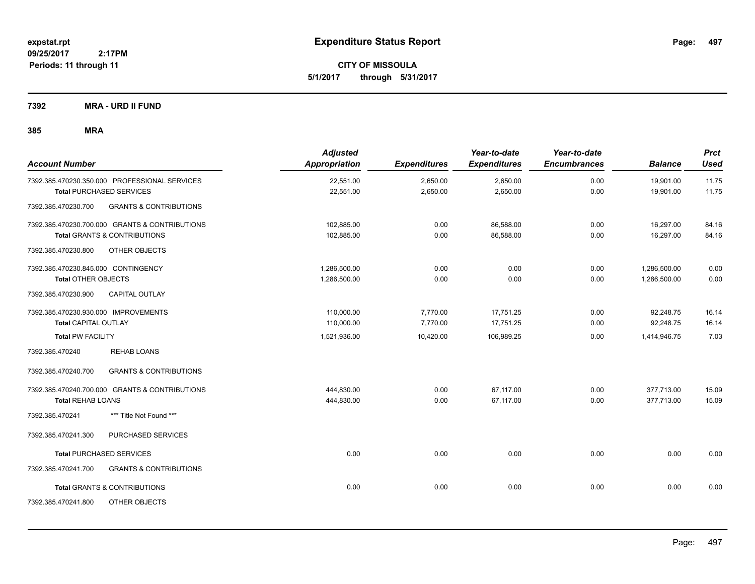**CITY OF MISSOULA 5/1/2017 through 5/31/2017**

**7392 MRA - URD II FUND**

| <b>Account Number</b>                                                                     | <b>Adjusted</b><br><b>Appropriation</b> | <b>Expenditures</b>  | Year-to-date<br><b>Expenditures</b> | Year-to-date<br><b>Encumbrances</b> | <b>Balance</b>               | <b>Prct</b><br><b>Used</b> |
|-------------------------------------------------------------------------------------------|-----------------------------------------|----------------------|-------------------------------------|-------------------------------------|------------------------------|----------------------------|
| 7392.385.470230.350.000 PROFESSIONAL SERVICES<br><b>Total PURCHASED SERVICES</b>          | 22,551.00<br>22,551.00                  | 2,650.00<br>2,650.00 | 2,650.00<br>2,650.00                | 0.00<br>0.00                        | 19,901.00<br>19,901.00       | 11.75<br>11.75             |
| <b>GRANTS &amp; CONTRIBUTIONS</b><br>7392.385.470230.700                                  |                                         |                      |                                     |                                     |                              |                            |
| 7392.385.470230.700.000 GRANTS & CONTRIBUTIONS<br><b>Total GRANTS &amp; CONTRIBUTIONS</b> | 102,885.00<br>102,885.00                | 0.00<br>0.00         | 86,588.00<br>86,588.00              | 0.00<br>0.00                        | 16,297.00<br>16,297.00       | 84.16<br>84.16             |
| 7392.385.470230.800<br>OTHER OBJECTS                                                      |                                         |                      |                                     |                                     |                              |                            |
| 7392.385.470230.845.000 CONTINGENCY<br><b>Total OTHER OBJECTS</b>                         | 1,286,500.00<br>1,286,500.00            | 0.00<br>0.00         | 0.00<br>0.00                        | 0.00<br>0.00                        | 1,286,500.00<br>1,286,500.00 | 0.00<br>0.00               |
| 7392.385.470230.900<br>CAPITAL OUTLAY                                                     |                                         |                      |                                     |                                     |                              |                            |
| 7392.385.470230.930.000 IMPROVEMENTS<br><b>Total CAPITAL OUTLAY</b>                       | 110,000.00<br>110,000.00                | 7,770.00<br>7,770.00 | 17,751.25<br>17,751.25              | 0.00<br>0.00                        | 92,248.75<br>92,248.75       | 16.14<br>16.14             |
| <b>Total PW FACILITY</b>                                                                  | 1,521,936.00                            | 10,420.00            | 106,989.25                          | 0.00                                | 1,414,946.75                 | 7.03                       |
| 7392.385.470240<br><b>REHAB LOANS</b>                                                     |                                         |                      |                                     |                                     |                              |                            |
| <b>GRANTS &amp; CONTRIBUTIONS</b><br>7392.385.470240.700                                  |                                         |                      |                                     |                                     |                              |                            |
| 7392.385.470240.700.000 GRANTS & CONTRIBUTIONS<br>Total REHAB LOANS                       | 444,830.00<br>444,830.00                | 0.00<br>0.00         | 67.117.00<br>67,117.00              | 0.00<br>0.00                        | 377,713.00<br>377,713.00     | 15.09<br>15.09             |
| *** Title Not Found ***<br>7392.385.470241                                                |                                         |                      |                                     |                                     |                              |                            |
| PURCHASED SERVICES<br>7392.385.470241.300                                                 |                                         |                      |                                     |                                     |                              |                            |
| <b>Total PURCHASED SERVICES</b>                                                           | 0.00                                    | 0.00                 | 0.00                                | 0.00                                | 0.00                         | 0.00                       |
| 7392.385.470241.700<br><b>GRANTS &amp; CONTRIBUTIONS</b>                                  |                                         |                      |                                     |                                     |                              |                            |
| <b>Total GRANTS &amp; CONTRIBUTIONS</b>                                                   | 0.00                                    | 0.00                 | 0.00                                | 0.00                                | 0.00                         | 0.00                       |
| 7392.385.470241.800<br>OTHER OBJECTS                                                      |                                         |                      |                                     |                                     |                              |                            |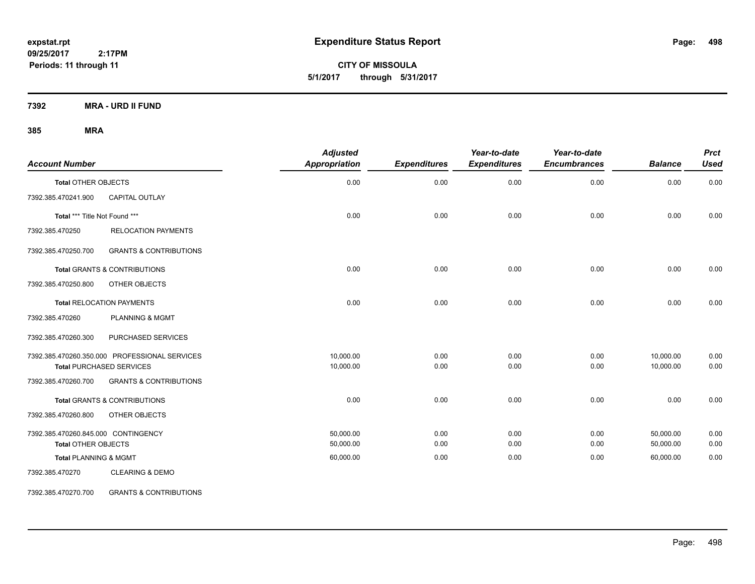**CITY OF MISSOULA 5/1/2017 through 5/31/2017**

**7392 MRA - URD II FUND**

### **385 MRA**

| <b>Account Number</b>               |                                               | <b>Adjusted</b><br>Appropriation | <b>Expenditures</b> | Year-to-date<br><b>Expenditures</b> | Year-to-date<br><b>Encumbrances</b> | <b>Balance</b> | <b>Prct</b><br><b>Used</b> |
|-------------------------------------|-----------------------------------------------|----------------------------------|---------------------|-------------------------------------|-------------------------------------|----------------|----------------------------|
| <b>Total OTHER OBJECTS</b>          |                                               | 0.00                             | 0.00                | 0.00                                | 0.00                                | 0.00           | 0.00                       |
| 7392.385.470241.900                 | <b>CAPITAL OUTLAY</b>                         |                                  |                     |                                     |                                     |                |                            |
| Total *** Title Not Found ***       |                                               | 0.00                             | 0.00                | 0.00                                | 0.00                                | 0.00           | 0.00                       |
| 7392.385.470250                     | <b>RELOCATION PAYMENTS</b>                    |                                  |                     |                                     |                                     |                |                            |
| 7392.385.470250.700                 | <b>GRANTS &amp; CONTRIBUTIONS</b>             |                                  |                     |                                     |                                     |                |                            |
|                                     | <b>Total GRANTS &amp; CONTRIBUTIONS</b>       | 0.00                             | 0.00                | 0.00                                | 0.00                                | 0.00           | 0.00                       |
| 7392.385.470250.800                 | OTHER OBJECTS                                 |                                  |                     |                                     |                                     |                |                            |
|                                     | <b>Total RELOCATION PAYMENTS</b>              | 0.00                             | 0.00                | 0.00                                | 0.00                                | 0.00           | 0.00                       |
| 7392.385.470260                     | <b>PLANNING &amp; MGMT</b>                    |                                  |                     |                                     |                                     |                |                            |
| 7392.385.470260.300                 | PURCHASED SERVICES                            |                                  |                     |                                     |                                     |                |                            |
|                                     | 7392.385.470260.350.000 PROFESSIONAL SERVICES | 10,000.00                        | 0.00                | 0.00                                | 0.00                                | 10,000.00      | 0.00                       |
|                                     | <b>Total PURCHASED SERVICES</b>               | 10,000.00                        | 0.00                | 0.00                                | 0.00                                | 10,000.00      | 0.00                       |
| 7392.385.470260.700                 | <b>GRANTS &amp; CONTRIBUTIONS</b>             |                                  |                     |                                     |                                     |                |                            |
|                                     | Total GRANTS & CONTRIBUTIONS                  | 0.00                             | 0.00                | 0.00                                | 0.00                                | 0.00           | 0.00                       |
| 7392.385.470260.800                 | OTHER OBJECTS                                 |                                  |                     |                                     |                                     |                |                            |
| 7392.385.470260.845.000 CONTINGENCY |                                               | 50.000.00                        | 0.00                | 0.00                                | 0.00                                | 50,000.00      | 0.00                       |
| <b>Total OTHER OBJECTS</b>          |                                               | 50,000.00                        | 0.00                | 0.00                                | 0.00                                | 50,000.00      | 0.00                       |
| <b>Total PLANNING &amp; MGMT</b>    |                                               | 60,000.00                        | 0.00                | 0.00                                | 0.00                                | 60,000.00      | 0.00                       |
| 7392.385.470270                     | <b>CLEARING &amp; DEMO</b>                    |                                  |                     |                                     |                                     |                |                            |

7392.385.470270.700 GRANTS & CONTRIBUTIONS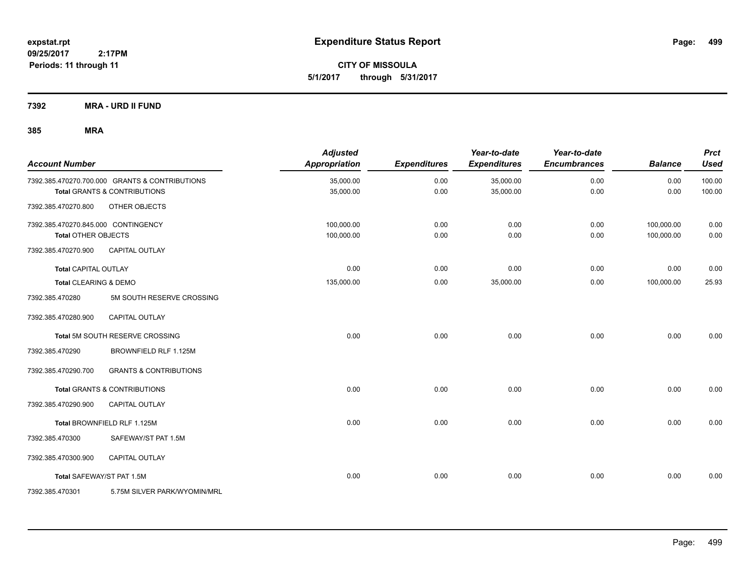**CITY OF MISSOULA 5/1/2017 through 5/31/2017**

**7392 MRA - URD II FUND**

| <b>Account Number</b>               |                                                | <b>Adjusted</b><br><b>Appropriation</b> | <b>Expenditures</b> | Year-to-date<br><b>Expenditures</b> | Year-to-date<br><b>Encumbrances</b> | <b>Balance</b> | <b>Prct</b><br><b>Used</b> |
|-------------------------------------|------------------------------------------------|-----------------------------------------|---------------------|-------------------------------------|-------------------------------------|----------------|----------------------------|
|                                     | 7392.385.470270.700.000 GRANTS & CONTRIBUTIONS | 35,000.00                               | 0.00                | 35,000.00                           | 0.00                                | 0.00           | 100.00                     |
|                                     | <b>Total GRANTS &amp; CONTRIBUTIONS</b>        | 35,000.00                               | 0.00                | 35,000.00                           | 0.00                                | 0.00           | 100.00                     |
| 7392.385.470270.800                 | OTHER OBJECTS                                  |                                         |                     |                                     |                                     |                |                            |
| 7392.385.470270.845.000 CONTINGENCY |                                                | 100,000.00                              | 0.00                | 0.00                                | 0.00                                | 100,000.00     | 0.00                       |
| <b>Total OTHER OBJECTS</b>          |                                                | 100,000.00                              | 0.00                | 0.00                                | 0.00                                | 100,000.00     | 0.00                       |
| 7392.385.470270.900                 | <b>CAPITAL OUTLAY</b>                          |                                         |                     |                                     |                                     |                |                            |
| <b>Total CAPITAL OUTLAY</b>         |                                                | 0.00                                    | 0.00                | 0.00                                | 0.00                                | 0.00           | 0.00                       |
| Total CLEARING & DEMO               |                                                | 135,000.00                              | 0.00                | 35,000.00                           | 0.00                                | 100,000.00     | 25.93                      |
| 7392.385.470280                     | 5M SOUTH RESERVE CROSSING                      |                                         |                     |                                     |                                     |                |                            |
| 7392.385.470280.900                 | CAPITAL OUTLAY                                 |                                         |                     |                                     |                                     |                |                            |
|                                     | Total 5M SOUTH RESERVE CROSSING                | 0.00                                    | 0.00                | 0.00                                | 0.00                                | 0.00           | 0.00                       |
| 7392.385.470290                     | BROWNFIELD RLF 1.125M                          |                                         |                     |                                     |                                     |                |                            |
| 7392.385.470290.700                 | <b>GRANTS &amp; CONTRIBUTIONS</b>              |                                         |                     |                                     |                                     |                |                            |
|                                     | <b>Total GRANTS &amp; CONTRIBUTIONS</b>        | 0.00                                    | 0.00                | 0.00                                | 0.00                                | 0.00           | 0.00                       |
| 7392.385.470290.900                 | <b>CAPITAL OUTLAY</b>                          |                                         |                     |                                     |                                     |                |                            |
|                                     | Total BROWNFIELD RLF 1.125M                    | 0.00                                    | 0.00                | 0.00                                | 0.00                                | 0.00           | 0.00                       |
| 7392.385.470300                     | SAFEWAY/ST PAT 1.5M                            |                                         |                     |                                     |                                     |                |                            |
| 7392.385.470300.900                 | <b>CAPITAL OUTLAY</b>                          |                                         |                     |                                     |                                     |                |                            |
| Total SAFEWAY/ST PAT 1.5M           |                                                | 0.00                                    | 0.00                | 0.00                                | 0.00                                | 0.00           | 0.00                       |
| 7392.385.470301                     | 5.75M SILVER PARK/WYOMIN/MRL                   |                                         |                     |                                     |                                     |                |                            |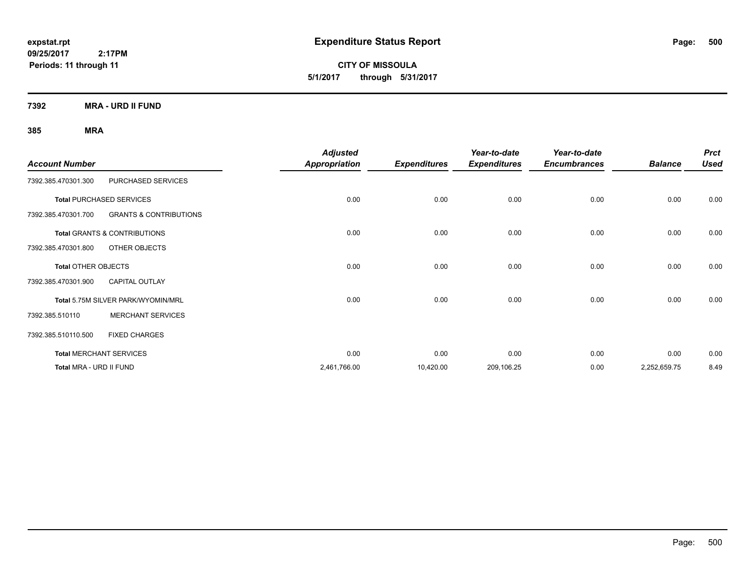**CITY OF MISSOULA 5/1/2017 through 5/31/2017**

**7392 MRA - URD II FUND**

| <b>Account Number</b>   |                                         | <b>Adjusted</b><br><b>Appropriation</b> | <b>Expenditures</b> | Year-to-date<br><b>Expenditures</b> | Year-to-date<br><b>Encumbrances</b> | <b>Balance</b> | <b>Prct</b><br><b>Used</b> |
|-------------------------|-----------------------------------------|-----------------------------------------|---------------------|-------------------------------------|-------------------------------------|----------------|----------------------------|
| 7392.385.470301.300     | PURCHASED SERVICES                      |                                         |                     |                                     |                                     |                |                            |
|                         | <b>Total PURCHASED SERVICES</b>         | 0.00                                    | 0.00                | 0.00                                | 0.00                                | 0.00           | 0.00                       |
| 7392.385.470301.700     | <b>GRANTS &amp; CONTRIBUTIONS</b>       |                                         |                     |                                     |                                     |                |                            |
|                         | <b>Total GRANTS &amp; CONTRIBUTIONS</b> | 0.00                                    | 0.00                | 0.00                                | 0.00                                | 0.00           | 0.00                       |
| 7392.385.470301.800     | OTHER OBJECTS                           |                                         |                     |                                     |                                     |                |                            |
| Total OTHER OBJECTS     |                                         | 0.00                                    | 0.00                | 0.00                                | 0.00                                | 0.00           | 0.00                       |
| 7392.385.470301.900     | <b>CAPITAL OUTLAY</b>                   |                                         |                     |                                     |                                     |                |                            |
|                         | Total 5.75M SILVER PARK/WYOMIN/MRL      | 0.00                                    | 0.00                | 0.00                                | 0.00                                | 0.00           | 0.00                       |
| 7392.385.510110         | <b>MERCHANT SERVICES</b>                |                                         |                     |                                     |                                     |                |                            |
| 7392.385.510110.500     | <b>FIXED CHARGES</b>                    |                                         |                     |                                     |                                     |                |                            |
|                         | <b>Total MERCHANT SERVICES</b>          | 0.00                                    | 0.00                | 0.00                                | 0.00                                | 0.00           | 0.00                       |
| Total MRA - URD II FUND |                                         | 2,461,766.00                            | 10,420.00           | 209,106.25                          | 0.00                                | 2,252,659.75   | 8.49                       |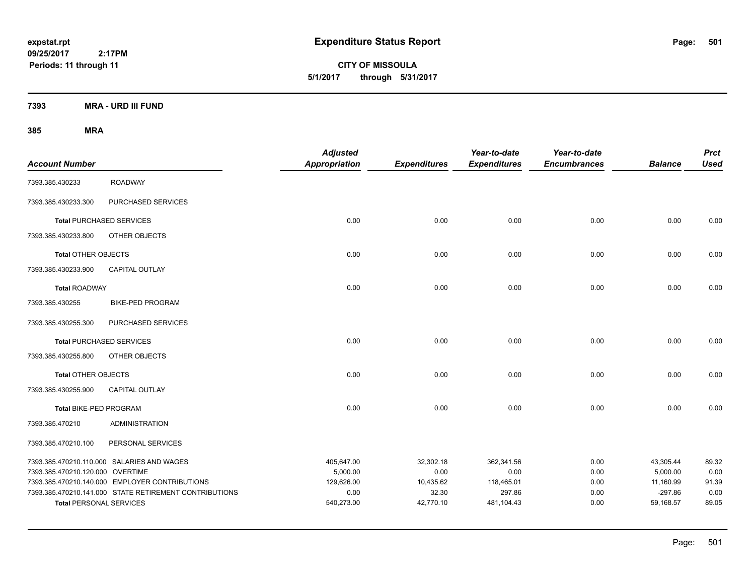**CITY OF MISSOULA 5/1/2017 through 5/31/2017**

**7393 MRA - URD III FUND**

| <b>Account Number</b>            |                                                        | <b>Adjusted</b><br><b>Appropriation</b> | <b>Expenditures</b> | Year-to-date<br><b>Expenditures</b> | Year-to-date<br><b>Encumbrances</b> | <b>Balance</b>        | <b>Prct</b><br><b>Used</b> |
|----------------------------------|--------------------------------------------------------|-----------------------------------------|---------------------|-------------------------------------|-------------------------------------|-----------------------|----------------------------|
| 7393.385.430233                  | <b>ROADWAY</b>                                         |                                         |                     |                                     |                                     |                       |                            |
| 7393.385.430233.300              | PURCHASED SERVICES                                     |                                         |                     |                                     |                                     |                       |                            |
| <b>Total PURCHASED SERVICES</b>  |                                                        | 0.00                                    | 0.00                | 0.00                                | 0.00                                | 0.00                  | 0.00                       |
| 7393.385.430233.800              | OTHER OBJECTS                                          |                                         |                     |                                     |                                     |                       |                            |
| <b>Total OTHER OBJECTS</b>       |                                                        | 0.00                                    | 0.00                | 0.00                                | 0.00                                | 0.00                  | 0.00                       |
| 7393.385.430233.900              | <b>CAPITAL OUTLAY</b>                                  |                                         |                     |                                     |                                     |                       |                            |
| <b>Total ROADWAY</b>             |                                                        | 0.00                                    | 0.00                | 0.00                                | 0.00                                | 0.00                  | 0.00                       |
| 7393.385.430255                  | <b>BIKE-PED PROGRAM</b>                                |                                         |                     |                                     |                                     |                       |                            |
| 7393.385.430255.300              | PURCHASED SERVICES                                     |                                         |                     |                                     |                                     |                       |                            |
| <b>Total PURCHASED SERVICES</b>  |                                                        | 0.00                                    | 0.00                | 0.00                                | 0.00                                | 0.00                  | 0.00                       |
| 7393.385.430255.800              | OTHER OBJECTS                                          |                                         |                     |                                     |                                     |                       |                            |
| <b>Total OTHER OBJECTS</b>       |                                                        | 0.00                                    | 0.00                | 0.00                                | 0.00                                | 0.00                  | 0.00                       |
| 7393.385.430255.900              | <b>CAPITAL OUTLAY</b>                                  |                                         |                     |                                     |                                     |                       |                            |
| Total BIKE-PED PROGRAM           |                                                        | 0.00                                    | 0.00                | 0.00                                | 0.00                                | 0.00                  | 0.00                       |
| 7393.385.470210                  | <b>ADMINISTRATION</b>                                  |                                         |                     |                                     |                                     |                       |                            |
| 7393.385.470210.100              | PERSONAL SERVICES                                      |                                         |                     |                                     |                                     |                       |                            |
| 7393.385.470210.120.000 OVERTIME | 7393.385.470210.110.000 SALARIES AND WAGES             | 405,647.00<br>5,000.00                  | 32,302.18<br>0.00   | 362,341.56<br>0.00                  | 0.00<br>0.00                        | 43,305.44<br>5,000.00 | 89.32<br>0.00              |
|                                  | 7393.385.470210.140.000 EMPLOYER CONTRIBUTIONS         | 129,626.00                              | 10,435.62           | 118,465.01                          | 0.00                                | 11,160.99             | 91.39                      |
|                                  | 7393.385.470210.141.000 STATE RETIREMENT CONTRIBUTIONS | 0.00                                    | 32.30               | 297.86                              | 0.00                                | $-297.86$             | 0.00                       |
| <b>Total PERSONAL SERVICES</b>   |                                                        | 540,273.00                              | 42,770.10           | 481,104.43                          | 0.00                                | 59,168.57             | 89.05                      |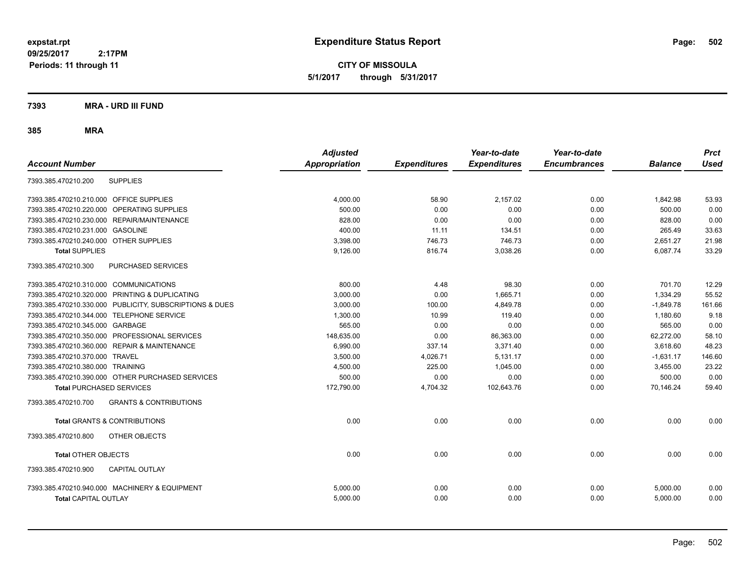**CITY OF MISSOULA 5/1/2017 through 5/31/2017**

### **7393 MRA - URD III FUND**

|                                                          | <b>Adjusted</b>      |                     | Year-to-date        | Year-to-date        |                | <b>Prct</b> |
|----------------------------------------------------------|----------------------|---------------------|---------------------|---------------------|----------------|-------------|
| <b>Account Number</b>                                    | <b>Appropriation</b> | <b>Expenditures</b> | <b>Expenditures</b> | <b>Encumbrances</b> | <b>Balance</b> | <b>Used</b> |
| <b>SUPPLIES</b><br>7393.385.470210.200                   |                      |                     |                     |                     |                |             |
| 7393.385.470210.210.000<br><b>OFFICE SUPPLIES</b>        | 4,000.00             | 58.90               | 2,157.02            | 0.00                | 1,842.98       | 53.93       |
| OPERATING SUPPLIES<br>7393.385.470210.220.000            | 500.00               | 0.00                | 0.00                | 0.00                | 500.00         | 0.00        |
| 7393.385.470210.230.000 REPAIR/MAINTENANCE               | 828.00               | 0.00                | 0.00                | 0.00                | 828.00         | 0.00        |
| <b>GASOLINE</b><br>7393.385.470210.231.000               | 400.00               | 11.11               | 134.51              | 0.00                | 265.49         | 33.63       |
| 7393.385.470210.240.000 OTHER SUPPLIES                   | 3,398.00             | 746.73              | 746.73              | 0.00                | 2,651.27       | 21.98       |
| <b>Total SUPPLIES</b>                                    | 9.126.00             | 816.74              | 3,038.26            | 0.00                | 6.087.74       | 33.29       |
| PURCHASED SERVICES<br>7393.385.470210.300                |                      |                     |                     |                     |                |             |
| 7393.385.470210.310.000 COMMUNICATIONS                   | 800.00               | 4.48                | 98.30               | 0.00                | 701.70         | 12.29       |
| 7393.385.470210.320.000 PRINTING & DUPLICATING           | 3.000.00             | 0.00                | 1.665.71            | 0.00                | 1.334.29       | 55.52       |
| 7393.385.470210.330.000 PUBLICITY, SUBSCRIPTIONS & DUES  | 3,000.00             | 100.00              | 4,849.78            | 0.00                | $-1,849.78$    | 161.66      |
| 7393.385.470210.344.000 TELEPHONE SERVICE                | 1,300.00             | 10.99               | 119.40              | 0.00                | 1,180.60       | 9.18        |
| 7393.385.470210.345.000 GARBAGE                          | 565.00               | 0.00                | 0.00                | 0.00                | 565.00         | 0.00        |
| 7393.385.470210.350.000 PROFESSIONAL SERVICES            | 148,635.00           | 0.00                | 86,363.00           | 0.00                | 62,272.00      | 58.10       |
| 7393.385.470210.360.000 REPAIR & MAINTENANCE             | 6.990.00             | 337.14              | 3,371.40            | 0.00                | 3.618.60       | 48.23       |
| 7393.385.470210.370.000 TRAVEL                           | 3,500.00             | 4,026.71            | 5,131.17            | 0.00                | $-1,631.17$    | 146.60      |
| 7393.385.470210.380.000 TRAINING                         | 4.500.00             | 225.00              | 1.045.00            | 0.00                | 3.455.00       | 23.22       |
| 7393.385.470210.390.000 OTHER PURCHASED SERVICES         | 500.00               | 0.00                | 0.00                | 0.00                | 500.00         | 0.00        |
| <b>Total PURCHASED SERVICES</b>                          | 172,790.00           | 4,704.32            | 102,643.76          | 0.00                | 70,146.24      | 59.40       |
| 7393.385.470210.700<br><b>GRANTS &amp; CONTRIBUTIONS</b> |                      |                     |                     |                     |                |             |
| <b>Total GRANTS &amp; CONTRIBUTIONS</b>                  | 0.00                 | 0.00                | 0.00                | 0.00                | 0.00           | 0.00        |
| 7393.385.470210.800<br>OTHER OBJECTS                     |                      |                     |                     |                     |                |             |
| <b>Total OTHER OBJECTS</b>                               | 0.00                 | 0.00                | 0.00                | 0.00                | 0.00           | 0.00        |
| 7393.385.470210.900<br><b>CAPITAL OUTLAY</b>             |                      |                     |                     |                     |                |             |
| 7393.385.470210.940.000 MACHINERY & EQUIPMENT            | 5,000.00             | 0.00                | 0.00                | 0.00                | 5,000.00       | 0.00        |
| <b>Total CAPITAL OUTLAY</b>                              | 5,000.00             | 0.00                | 0.00                | 0.00                | 5,000.00       | 0.00        |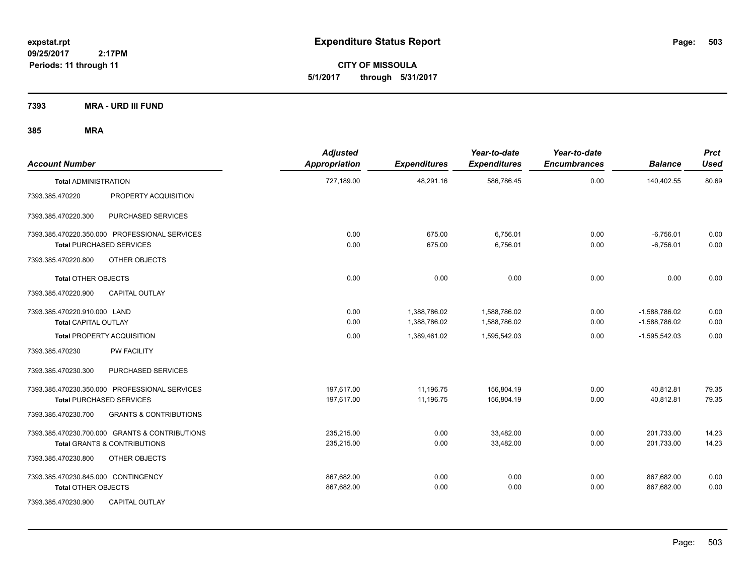**CITY OF MISSOULA 5/1/2017 through 5/31/2017**

**7393 MRA - URD III FUND**

| <b>Account Number</b>               |                                                | <b>Adjusted</b><br>Appropriation | <b>Expenditures</b> | Year-to-date<br><b>Expenditures</b> | Year-to-date<br><b>Encumbrances</b> | <b>Balance</b>  | <b>Prct</b><br><b>Used</b> |
|-------------------------------------|------------------------------------------------|----------------------------------|---------------------|-------------------------------------|-------------------------------------|-----------------|----------------------------|
| <b>Total ADMINISTRATION</b>         |                                                | 727,189.00                       | 48,291.16           | 586,786.45                          | 0.00                                | 140,402.55      | 80.69                      |
| 7393.385.470220                     | PROPERTY ACQUISITION                           |                                  |                     |                                     |                                     |                 |                            |
| 7393.385.470220.300                 | PURCHASED SERVICES                             |                                  |                     |                                     |                                     |                 |                            |
|                                     | 7393.385.470220.350.000 PROFESSIONAL SERVICES  | 0.00                             | 675.00              | 6,756.01                            | 0.00                                | $-6,756.01$     | 0.00                       |
| <b>Total PURCHASED SERVICES</b>     |                                                | 0.00                             | 675.00              | 6,756.01                            | 0.00                                | $-6,756.01$     | 0.00                       |
| 7393.385.470220.800                 | OTHER OBJECTS                                  |                                  |                     |                                     |                                     |                 |                            |
| <b>Total OTHER OBJECTS</b>          |                                                | 0.00                             | 0.00                | 0.00                                | 0.00                                | 0.00            | 0.00                       |
| 7393.385.470220.900                 | <b>CAPITAL OUTLAY</b>                          |                                  |                     |                                     |                                     |                 |                            |
| 7393.385.470220.910.000 LAND        |                                                | 0.00                             | 1,388,786.02        | 1,588,786.02                        | 0.00                                | $-1,588,786.02$ | 0.00                       |
| Total CAPITAL OUTLAY                |                                                | 0.00                             | 1,388,786.02        | 1,588,786.02                        | 0.00                                | $-1,588,786.02$ | 0.00                       |
|                                     | <b>Total PROPERTY ACQUISITION</b>              | 0.00                             | 1,389,461.02        | 1,595,542.03                        | 0.00                                | $-1,595,542.03$ | 0.00                       |
| 7393.385.470230                     | <b>PW FACILITY</b>                             |                                  |                     |                                     |                                     |                 |                            |
| 7393.385.470230.300                 | PURCHASED SERVICES                             |                                  |                     |                                     |                                     |                 |                            |
|                                     | 7393.385.470230.350.000 PROFESSIONAL SERVICES  | 197,617.00                       | 11,196.75           | 156,804.19                          | 0.00                                | 40,812.81       | 79.35                      |
| <b>Total PURCHASED SERVICES</b>     |                                                | 197,617.00                       | 11,196.75           | 156,804.19                          | 0.00                                | 40,812.81       | 79.35                      |
| 7393.385.470230.700                 | <b>GRANTS &amp; CONTRIBUTIONS</b>              |                                  |                     |                                     |                                     |                 |                            |
|                                     | 7393.385.470230.700.000 GRANTS & CONTRIBUTIONS | 235,215.00                       | 0.00                | 33,482.00                           | 0.00                                | 201,733.00      | 14.23                      |
|                                     | <b>Total GRANTS &amp; CONTRIBUTIONS</b>        | 235,215.00                       | 0.00                | 33,482.00                           | 0.00                                | 201,733.00      | 14.23                      |
| 7393.385.470230.800                 | OTHER OBJECTS                                  |                                  |                     |                                     |                                     |                 |                            |
| 7393.385.470230.845.000 CONTINGENCY |                                                | 867,682.00                       | 0.00                | 0.00                                | 0.00                                | 867,682.00      | 0.00                       |
| <b>Total OTHER OBJECTS</b>          |                                                | 867,682.00                       | 0.00                | 0.00                                | 0.00                                | 867,682.00      | 0.00                       |
| 7393.385.470230.900                 | <b>CAPITAL OUTLAY</b>                          |                                  |                     |                                     |                                     |                 |                            |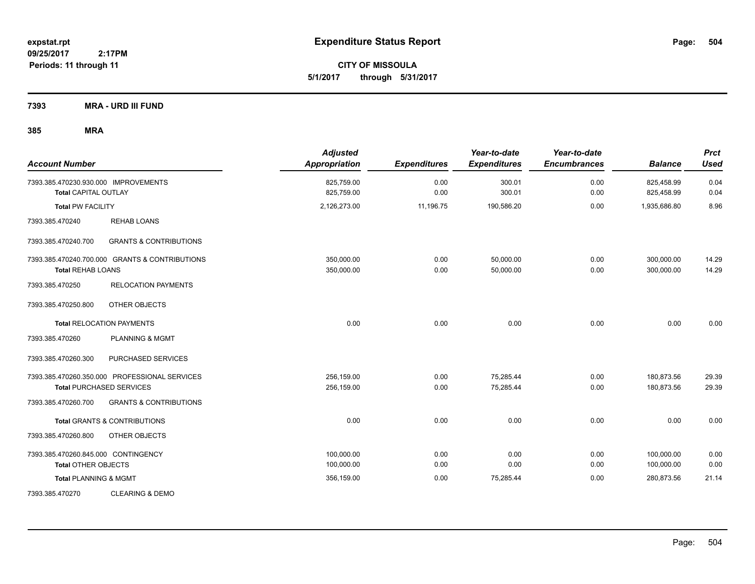**CITY OF MISSOULA 5/1/2017 through 5/31/2017**

**7393 MRA - URD III FUND**

| <b>Account Number</b>                                                                           |                                   | <b>Adjusted</b><br><b>Appropriation</b> | <b>Expenditures</b> | Year-to-date<br><b>Expenditures</b> | Year-to-date<br><b>Encumbrances</b> | <b>Balance</b>           | <b>Prct</b><br><b>Used</b> |
|-------------------------------------------------------------------------------------------------|-----------------------------------|-----------------------------------------|---------------------|-------------------------------------|-------------------------------------|--------------------------|----------------------------|
| 7393.385.470230.930.000 IMPROVEMENTS<br><b>Total CAPITAL OUTLAY</b><br><b>Total PW FACILITY</b> |                                   | 825,759.00<br>825,759.00                | 0.00<br>0.00        | 300.01<br>300.01                    | 0.00<br>0.00                        | 825,458.99<br>825,458.99 | 0.04<br>0.04               |
|                                                                                                 |                                   | 2,126,273.00                            | 11,196.75           | 190,586.20                          | 0.00                                | 1,935,686.80             | 8.96                       |
| 7393.385.470240                                                                                 | <b>REHAB LOANS</b>                |                                         |                     |                                     |                                     |                          |                            |
| 7393.385.470240.700                                                                             | <b>GRANTS &amp; CONTRIBUTIONS</b> |                                         |                     |                                     |                                     |                          |                            |
| 7393.385.470240.700.000 GRANTS & CONTRIBUTIONS<br><b>Total REHAB LOANS</b>                      |                                   | 350,000.00<br>350,000.00                | 0.00<br>0.00        | 50,000.00<br>50,000.00              | 0.00<br>0.00                        | 300,000.00<br>300,000.00 | 14.29<br>14.29             |
| 7393.385.470250                                                                                 | <b>RELOCATION PAYMENTS</b>        |                                         |                     |                                     |                                     |                          |                            |
| 7393.385.470250.800                                                                             | OTHER OBJECTS                     |                                         |                     |                                     |                                     |                          |                            |
| <b>Total RELOCATION PAYMENTS</b>                                                                |                                   | 0.00                                    | 0.00                | 0.00                                | 0.00                                | 0.00                     | 0.00                       |
| 7393.385.470260                                                                                 | <b>PLANNING &amp; MGMT</b>        |                                         |                     |                                     |                                     |                          |                            |
| 7393.385.470260.300                                                                             | PURCHASED SERVICES                |                                         |                     |                                     |                                     |                          |                            |
| 7393.385.470260.350.000 PROFESSIONAL SERVICES                                                   |                                   | 256,159.00                              | 0.00                | 75,285.44                           | 0.00                                | 180,873.56               | 29.39                      |
| <b>Total PURCHASED SERVICES</b>                                                                 |                                   | 256,159.00                              | 0.00                | 75,285.44                           | 0.00                                | 180,873.56               | 29.39                      |
| 7393.385.470260.700                                                                             | <b>GRANTS &amp; CONTRIBUTIONS</b> |                                         |                     |                                     |                                     |                          |                            |
| <b>Total GRANTS &amp; CONTRIBUTIONS</b>                                                         |                                   | 0.00                                    | 0.00                | 0.00                                | 0.00                                | 0.00                     | 0.00                       |
| 7393.385.470260.800                                                                             | OTHER OBJECTS                     |                                         |                     |                                     |                                     |                          |                            |
| 7393.385.470260.845.000 CONTINGENCY                                                             |                                   | 100,000.00                              | 0.00                | 0.00                                | 0.00                                | 100,000.00               | 0.00                       |
| <b>Total OTHER OBJECTS</b>                                                                      |                                   | 100,000.00                              | 0.00                | 0.00                                | 0.00                                | 100,000.00               | 0.00                       |
| <b>Total PLANNING &amp; MGMT</b>                                                                |                                   | 356,159.00                              | 0.00                | 75,285.44                           | 0.00                                | 280,873.56               | 21.14                      |
| 7393.385.470270                                                                                 | <b>CLEARING &amp; DEMO</b>        |                                         |                     |                                     |                                     |                          |                            |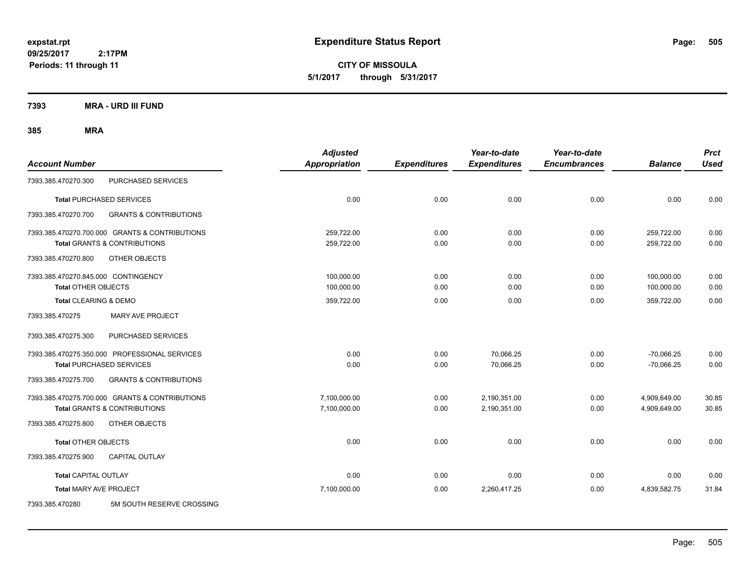**CITY OF MISSOULA 5/1/2017 through 5/31/2017**

**7393 MRA - URD III FUND**

| <b>Account Number</b>                                                                     |                                   | <b>Adjusted</b><br><b>Appropriation</b> | <b>Expenditures</b> | Year-to-date<br><b>Expenditures</b> | Year-to-date<br><b>Encumbrances</b> | <b>Balance</b>               | <b>Prct</b><br><b>Used</b> |
|-------------------------------------------------------------------------------------------|-----------------------------------|-----------------------------------------|---------------------|-------------------------------------|-------------------------------------|------------------------------|----------------------------|
| 7393.385.470270.300                                                                       | PURCHASED SERVICES                |                                         |                     |                                     |                                     |                              |                            |
| <b>Total PURCHASED SERVICES</b>                                                           |                                   | 0.00                                    | 0.00                | 0.00                                | 0.00                                | 0.00                         | 0.00                       |
| 7393.385.470270.700                                                                       | <b>GRANTS &amp; CONTRIBUTIONS</b> |                                         |                     |                                     |                                     |                              |                            |
| 7393.385.470270.700.000 GRANTS & CONTRIBUTIONS<br><b>Total GRANTS &amp; CONTRIBUTIONS</b> |                                   | 259,722.00<br>259,722.00                | 0.00<br>0.00        | 0.00<br>0.00                        | 0.00<br>0.00                        | 259,722.00<br>259,722.00     | 0.00<br>0.00               |
| 7393.385.470270.800<br>OTHER OBJECTS                                                      |                                   |                                         |                     |                                     |                                     |                              |                            |
| 7393.385.470270.845.000 CONTINGENCY<br><b>Total OTHER OBJECTS</b>                         |                                   | 100,000.00<br>100,000.00                | 0.00<br>0.00        | 0.00<br>0.00                        | 0.00<br>0.00                        | 100,000.00<br>100,000.00     | 0.00<br>0.00               |
| Total CLEARING & DEMO<br>7393.385.470275                                                  | MARY AVE PROJECT                  | 359,722.00                              | 0.00                | 0.00                                | 0.00                                | 359,722.00                   | 0.00                       |
| 7393.385.470275.300                                                                       | PURCHASED SERVICES                |                                         |                     |                                     |                                     |                              |                            |
| 7393.385.470275.350.000 PROFESSIONAL SERVICES<br><b>Total PURCHASED SERVICES</b>          |                                   | 0.00<br>0.00                            | 0.00<br>0.00        | 70,066.25<br>70,066.25              | 0.00<br>0.00                        | $-70,066.25$<br>$-70,066.25$ | 0.00<br>0.00               |
| 7393.385.470275.700                                                                       | <b>GRANTS &amp; CONTRIBUTIONS</b> |                                         |                     |                                     |                                     |                              |                            |
| 7393.385.470275.700.000 GRANTS & CONTRIBUTIONS<br><b>Total GRANTS &amp; CONTRIBUTIONS</b> |                                   | 7.100.000.00<br>7,100,000.00            | 0.00<br>0.00        | 2,190,351.00<br>2,190,351.00        | 0.00<br>0.00                        | 4,909,649.00<br>4,909,649.00 | 30.85<br>30.85             |
| 7393.385.470275.800<br>OTHER OBJECTS                                                      |                                   |                                         |                     |                                     |                                     |                              |                            |
| <b>Total OTHER OBJECTS</b>                                                                |                                   | 0.00                                    | 0.00                | 0.00                                | 0.00                                | 0.00                         | 0.00                       |
| <b>CAPITAL OUTLAY</b><br>7393.385.470275.900                                              |                                   |                                         |                     |                                     |                                     |                              |                            |
| <b>Total CAPITAL OUTLAY</b>                                                               |                                   | 0.00                                    | 0.00                | 0.00                                | 0.00                                | 0.00                         | 0.00                       |
| <b>Total MARY AVE PROJECT</b>                                                             |                                   | 7,100,000.00                            | 0.00                | 2,260,417.25                        | 0.00                                | 4,839,582.75                 | 31.84                      |
| 7393.385.470280                                                                           | 5M SOUTH RESERVE CROSSING         |                                         |                     |                                     |                                     |                              |                            |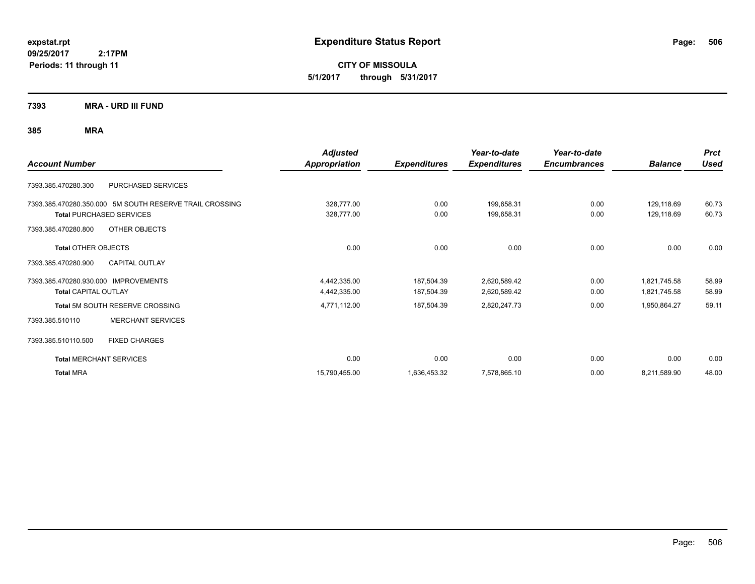**CITY OF MISSOULA 5/1/2017 through 5/31/2017**

**7393 MRA - URD III FUND**

|                                                         | <b>Adjusted</b>      |                     | Year-to-date        | Year-to-date        |                | <b>Prct</b> |
|---------------------------------------------------------|----------------------|---------------------|---------------------|---------------------|----------------|-------------|
| <b>Account Number</b>                                   | <b>Appropriation</b> | <b>Expenditures</b> | <b>Expenditures</b> | <b>Encumbrances</b> | <b>Balance</b> | <b>Used</b> |
| PURCHASED SERVICES<br>7393.385.470280.300               |                      |                     |                     |                     |                |             |
| 7393.385.470280.350.000 5M SOUTH RESERVE TRAIL CROSSING | 328,777.00           | 0.00                | 199,658.31          | 0.00                | 129,118.69     | 60.73       |
| <b>Total PURCHASED SERVICES</b>                         | 328,777.00           | 0.00                | 199,658.31          | 0.00                | 129,118.69     | 60.73       |
| OTHER OBJECTS<br>7393.385.470280.800                    |                      |                     |                     |                     |                |             |
| <b>Total OTHER OBJECTS</b>                              | 0.00                 | 0.00                | 0.00                | 0.00                | 0.00           | 0.00        |
| 7393.385.470280.900<br><b>CAPITAL OUTLAY</b>            |                      |                     |                     |                     |                |             |
| 7393.385.470280.930.000 IMPROVEMENTS                    | 4,442,335.00         | 187,504.39          | 2,620,589.42        | 0.00                | 1,821,745.58   | 58.99       |
| <b>Total CAPITAL OUTLAY</b>                             | 4,442,335.00         | 187,504.39          | 2,620,589.42        | 0.00                | 1,821,745.58   | 58.99       |
| Total 5M SOUTH RESERVE CROSSING                         | 4,771,112.00         | 187,504.39          | 2,820,247.73        | 0.00                | 1,950,864.27   | 59.11       |
| <b>MERCHANT SERVICES</b><br>7393.385.510110             |                      |                     |                     |                     |                |             |
| 7393.385.510110.500<br><b>FIXED CHARGES</b>             |                      |                     |                     |                     |                |             |
| <b>Total MERCHANT SERVICES</b>                          | 0.00                 | 0.00                | 0.00                | 0.00                | 0.00           | 0.00        |
| <b>Total MRA</b>                                        | 15,790,455.00        | 1,636,453.32        | 7,578,865.10        | 0.00                | 8,211,589.90   | 48.00       |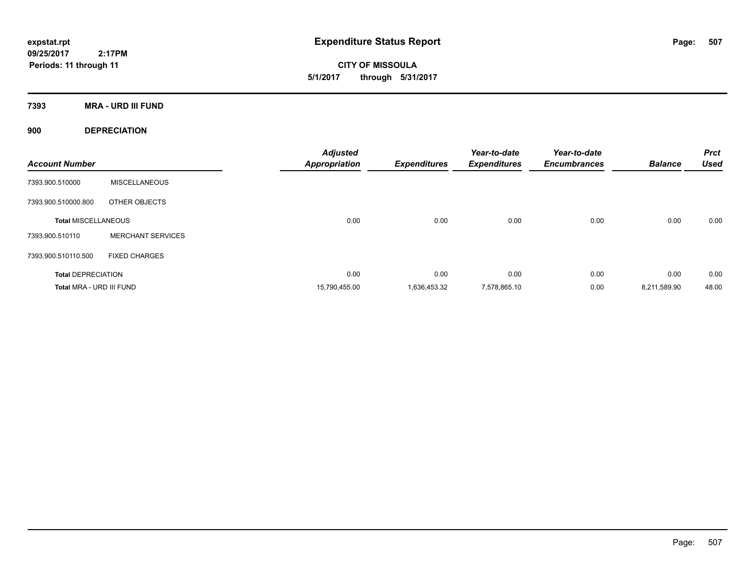**CITY OF MISSOULA 5/1/2017 through 5/31/2017**

**7393 MRA - URD III FUND**

**900 DEPRECIATION**

| <b>Account Number</b>      |                          | <b>Adjusted</b><br><b>Appropriation</b> | <b>Expenditures</b> | Year-to-date<br><b>Expenditures</b> | Year-to-date<br><b>Encumbrances</b> | <b>Balance</b> | <b>Prct</b><br><b>Used</b> |
|----------------------------|--------------------------|-----------------------------------------|---------------------|-------------------------------------|-------------------------------------|----------------|----------------------------|
| 7393.900.510000            | <b>MISCELLANEOUS</b>     |                                         |                     |                                     |                                     |                |                            |
| 7393.900.510000.800        | OTHER OBJECTS            |                                         |                     |                                     |                                     |                |                            |
| <b>Total MISCELLANEOUS</b> |                          | 0.00                                    | 0.00                | 0.00                                | 0.00                                | 0.00           | 0.00                       |
| 7393.900.510110            | <b>MERCHANT SERVICES</b> |                                         |                     |                                     |                                     |                |                            |
| 7393.900.510110.500        | <b>FIXED CHARGES</b>     |                                         |                     |                                     |                                     |                |                            |
| <b>Total DEPRECIATION</b>  |                          | 0.00                                    | 0.00                | 0.00                                | 0.00                                | 0.00           | 0.00                       |
| Total MRA - URD III FUND   |                          | 15,790,455.00                           | 1.636.453.32        | 7,578,865.10                        | 0.00                                | 8,211,589.90   | 48.00                      |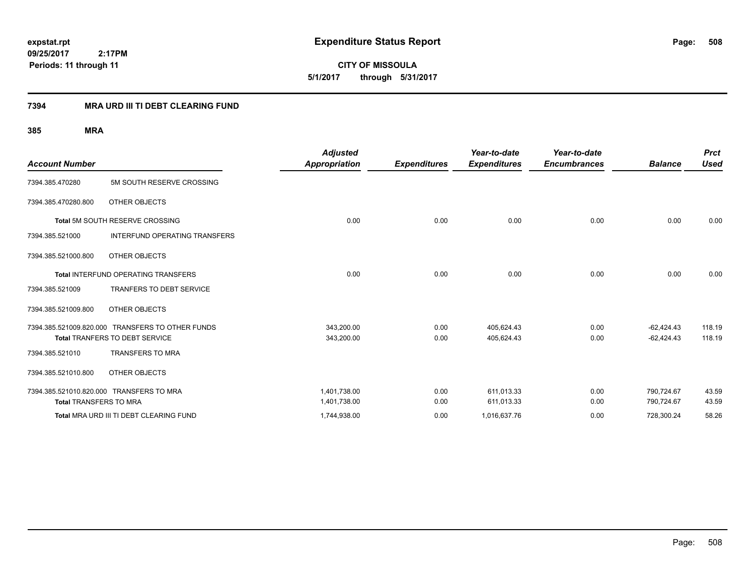**CITY OF MISSOULA 5/1/2017 through 5/31/2017**

### **7394 MRA URD III TI DEBT CLEARING FUND**

|                               |                                                  | <b>Adjusted</b>      |                     | Year-to-date        | Year-to-date        |                | <b>Prct</b> |
|-------------------------------|--------------------------------------------------|----------------------|---------------------|---------------------|---------------------|----------------|-------------|
| <b>Account Number</b>         |                                                  | <b>Appropriation</b> | <b>Expenditures</b> | <b>Expenditures</b> | <b>Encumbrances</b> | <b>Balance</b> | <b>Used</b> |
| 7394.385.470280               | 5M SOUTH RESERVE CROSSING                        |                      |                     |                     |                     |                |             |
| 7394.385.470280.800           | OTHER OBJECTS                                    |                      |                     |                     |                     |                |             |
|                               | Total 5M SOUTH RESERVE CROSSING                  | 0.00                 | 0.00                | 0.00                | 0.00                | 0.00           | 0.00        |
| 7394.385.521000               | <b>INTERFUND OPERATING TRANSFERS</b>             |                      |                     |                     |                     |                |             |
| 7394.385.521000.800           | OTHER OBJECTS                                    |                      |                     |                     |                     |                |             |
|                               | <b>Total INTERFUND OPERATING TRANSFERS</b>       | 0.00                 | 0.00                | 0.00                | 0.00                | 0.00           | 0.00        |
| 7394.385.521009               | <b>TRANFERS TO DEBT SERVICE</b>                  |                      |                     |                     |                     |                |             |
| 7394.385.521009.800           | OTHER OBJECTS                                    |                      |                     |                     |                     |                |             |
|                               | 7394.385.521009.820.000 TRANSFERS TO OTHER FUNDS | 343,200.00           | 0.00                | 405,624.43          | 0.00                | $-62,424.43$   | 118.19      |
|                               | <b>Total TRANFERS TO DEBT SERVICE</b>            | 343,200.00           | 0.00                | 405,624.43          | 0.00                | $-62,424.43$   | 118.19      |
| 7394.385.521010               | <b>TRANSFERS TO MRA</b>                          |                      |                     |                     |                     |                |             |
| 7394.385.521010.800           | OTHER OBJECTS                                    |                      |                     |                     |                     |                |             |
|                               | 7394.385.521010.820.000 TRANSFERS TO MRA         | 1.401.738.00         | 0.00                | 611.013.33          | 0.00                | 790.724.67     | 43.59       |
| <b>Total TRANSFERS TO MRA</b> |                                                  | 1,401,738.00         | 0.00                | 611,013.33          | 0.00                | 790,724.67     | 43.59       |
|                               | Total MRA URD III TI DEBT CLEARING FUND          | 1,744,938.00         | 0.00                | 1,016,637.76        | 0.00                | 728,300.24     | 58.26       |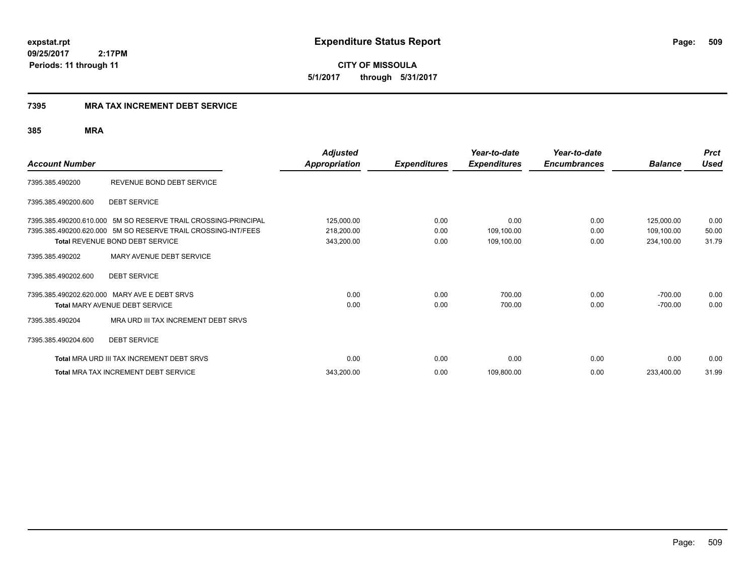**509**

**CITY OF MISSOULA 5/1/2017 through 5/31/2017**

### **7395 MRA TAX INCREMENT DEBT SERVICE**

|                       |                                                                | <b>Adjusted</b>      |                     | Year-to-date        | Year-to-date        |                | <b>Prct</b> |
|-----------------------|----------------------------------------------------------------|----------------------|---------------------|---------------------|---------------------|----------------|-------------|
| <b>Account Number</b> |                                                                | <b>Appropriation</b> | <b>Expenditures</b> | <b>Expenditures</b> | <b>Encumbrances</b> | <b>Balance</b> | <b>Used</b> |
| 7395.385.490200       | REVENUE BOND DEBT SERVICE                                      |                      |                     |                     |                     |                |             |
| 7395.385.490200.600   | <b>DEBT SERVICE</b>                                            |                      |                     |                     |                     |                |             |
|                       | 7395.385.490200.610.000 5M SO RESERVE TRAIL CROSSING-PRINCIPAL | 125,000.00           | 0.00                | 0.00                | 0.00                | 125,000.00     | 0.00        |
|                       | 7395.385.490200.620.000 5M SO RESERVE TRAIL CROSSING-INT/FEES  | 218,200.00           | 0.00                | 109,100.00          | 0.00                | 109,100.00     | 50.00       |
|                       | <b>Total REVENUE BOND DEBT SERVICE</b>                         | 343,200.00           | 0.00                | 109,100.00          | 0.00                | 234,100.00     | 31.79       |
| 7395.385.490202       | MARY AVENUE DEBT SERVICE                                       |                      |                     |                     |                     |                |             |
| 7395.385.490202.600   | <b>DEBT SERVICE</b>                                            |                      |                     |                     |                     |                |             |
|                       | 7395.385.490202.620.000 MARY AVE E DEBT SRVS                   | 0.00                 | 0.00                | 700.00              | 0.00                | $-700.00$      | 0.00        |
|                       | <b>Total MARY AVENUE DEBT SERVICE</b>                          | 0.00                 | 0.00                | 700.00              | 0.00                | $-700.00$      | 0.00        |
| 7395.385.490204       | MRA URD III TAX INCREMENT DEBT SRVS                            |                      |                     |                     |                     |                |             |
| 7395.385.490204.600   | <b>DEBT SERVICE</b>                                            |                      |                     |                     |                     |                |             |
|                       | <b>Total MRA URD III TAX INCREMENT DEBT SRVS</b>               | 0.00                 | 0.00                | 0.00                | 0.00                | 0.00           | 0.00        |
|                       | <b>Total MRA TAX INCREMENT DEBT SERVICE</b>                    | 343,200.00           | 0.00                | 109,800.00          | 0.00                | 233,400.00     | 31.99       |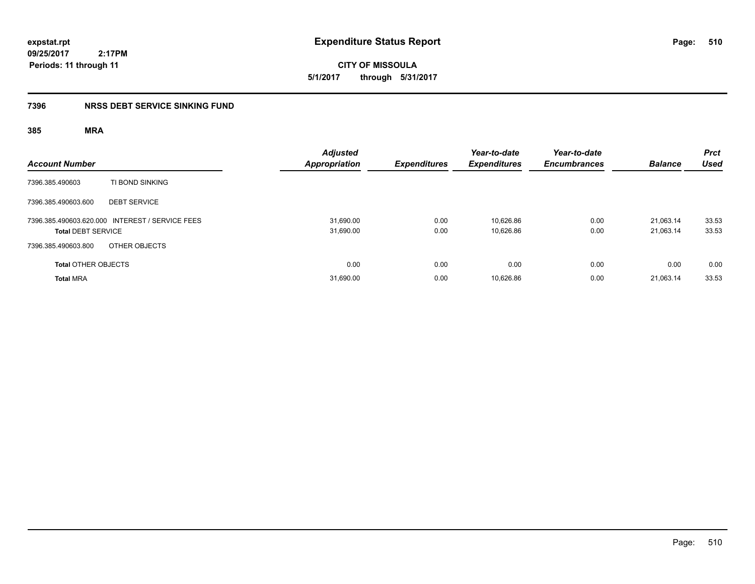**CITY OF MISSOULA 5/1/2017 through 5/31/2017**

### **7396 NRSS DEBT SERVICE SINKING FUND**

| <b>Account Number</b>                                                        | <b>Adjusted</b><br><b>Appropriation</b> | <b>Expenditures</b> | Year-to-date<br><b>Expenditures</b> | Year-to-date<br><b>Encumbrances</b> | <b>Balance</b>         | <b>Prct</b><br><b>Used</b> |
|------------------------------------------------------------------------------|-----------------------------------------|---------------------|-------------------------------------|-------------------------------------|------------------------|----------------------------|
| TI BOND SINKING<br>7396.385.490603                                           |                                         |                     |                                     |                                     |                        |                            |
| 7396.385.490603.600<br><b>DEBT SERVICE</b>                                   |                                         |                     |                                     |                                     |                        |                            |
| 7396.385.490603.620.000 INTEREST / SERVICE FEES<br><b>Total DEBT SERVICE</b> | 31,690.00<br>31,690.00                  | 0.00<br>0.00        | 10,626.86<br>10,626.86              | 0.00<br>0.00                        | 21,063.14<br>21,063.14 | 33.53<br>33.53             |
| OTHER OBJECTS<br>7396.385.490603.800                                         |                                         |                     |                                     |                                     |                        |                            |
| <b>Total OTHER OBJECTS</b>                                                   | 0.00                                    | 0.00                | 0.00                                | 0.00                                | 0.00                   | 0.00                       |
| <b>Total MRA</b>                                                             | 31,690.00                               | 0.00                | 10,626.86                           | 0.00                                | 21,063.14              | 33.53                      |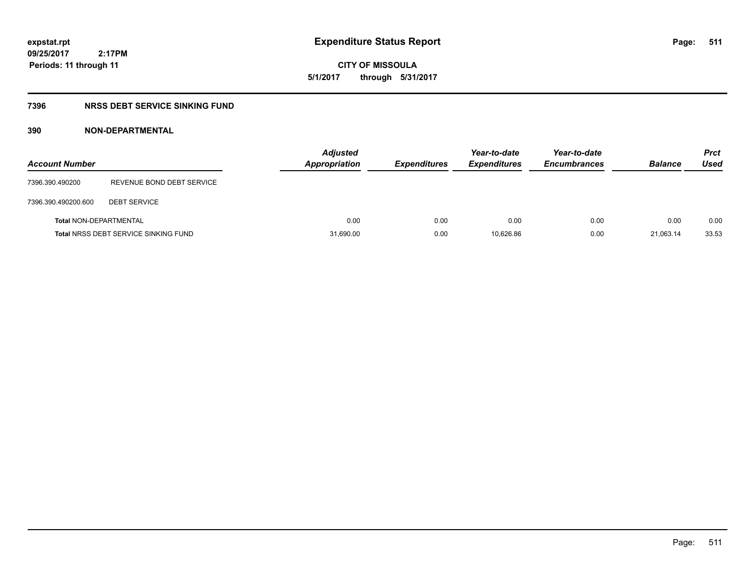**CITY OF MISSOULA 5/1/2017 through 5/31/2017**

### **7396 NRSS DEBT SERVICE SINKING FUND**

### **390 NON-DEPARTMENTAL**

| <b>Account Number</b>         |                                             | Adjusted<br><b>Appropriation</b> | <b>Expenditures</b> | Year-to-date<br><b>Expenditures</b> | Year-to-date<br><b>Encumbrances</b> | <b>Balance</b> | <b>Prct</b><br>Used |
|-------------------------------|---------------------------------------------|----------------------------------|---------------------|-------------------------------------|-------------------------------------|----------------|---------------------|
| 7396.390.490200               | REVENUE BOND DEBT SERVICE                   |                                  |                     |                                     |                                     |                |                     |
| 7396.390.490200.600           | <b>DEBT SERVICE</b>                         |                                  |                     |                                     |                                     |                |                     |
| <b>Total NON-DEPARTMENTAL</b> |                                             | 0.00                             | 0.00                | 0.00                                | 0.00                                | 0.00           | 0.00                |
|                               | <b>Total NRSS DEBT SERVICE SINKING FUND</b> | 31,690.00                        | 0.00                | 10.626.86                           | 0.00                                | 21,063.14      | 33.53               |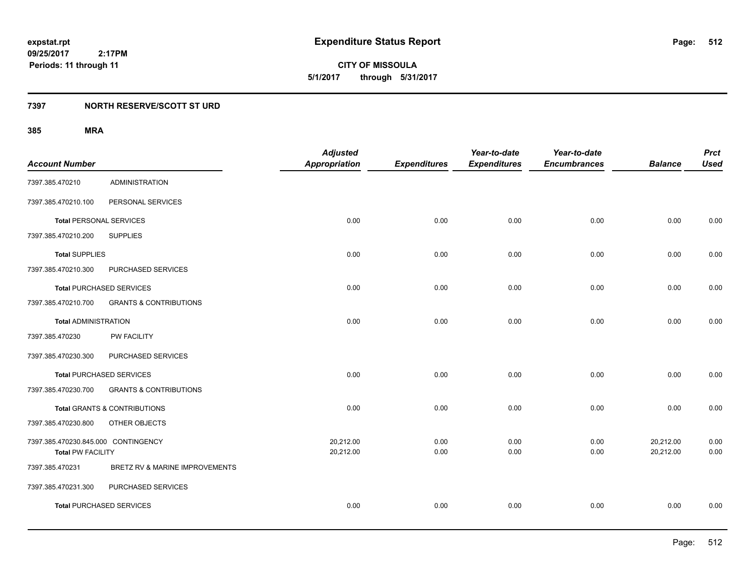**CITY OF MISSOULA 5/1/2017 through 5/31/2017**

### **7397 NORTH RESERVE/SCOTT ST URD**

|                                     |                                   | <b>Adjusted</b>      |                     | Year-to-date        | Year-to-date        |                | <b>Prct</b> |
|-------------------------------------|-----------------------------------|----------------------|---------------------|---------------------|---------------------|----------------|-------------|
| <b>Account Number</b>               |                                   | <b>Appropriation</b> | <b>Expenditures</b> | <b>Expenditures</b> | <b>Encumbrances</b> | <b>Balance</b> | <b>Used</b> |
| 7397.385.470210                     | <b>ADMINISTRATION</b>             |                      |                     |                     |                     |                |             |
| 7397.385.470210.100                 | PERSONAL SERVICES                 |                      |                     |                     |                     |                |             |
| <b>Total PERSONAL SERVICES</b>      |                                   | 0.00                 | 0.00                | 0.00                | 0.00                | 0.00           | 0.00        |
| 7397.385.470210.200                 | <b>SUPPLIES</b>                   |                      |                     |                     |                     |                |             |
| <b>Total SUPPLIES</b>               |                                   | 0.00                 | 0.00                | 0.00                | 0.00                | 0.00           | 0.00        |
| 7397.385.470210.300                 | PURCHASED SERVICES                |                      |                     |                     |                     |                |             |
| <b>Total PURCHASED SERVICES</b>     |                                   | 0.00                 | 0.00                | 0.00                | 0.00                | 0.00           | 0.00        |
| 7397.385.470210.700                 | <b>GRANTS &amp; CONTRIBUTIONS</b> |                      |                     |                     |                     |                |             |
| <b>Total ADMINISTRATION</b>         |                                   | 0.00                 | 0.00                | 0.00                | 0.00                | 0.00           | 0.00        |
| 7397.385.470230                     | PW FACILITY                       |                      |                     |                     |                     |                |             |
| 7397.385.470230.300                 | PURCHASED SERVICES                |                      |                     |                     |                     |                |             |
| <b>Total PURCHASED SERVICES</b>     |                                   | 0.00                 | 0.00                | 0.00                | 0.00                | 0.00           | 0.00        |
| 7397.385.470230.700                 | <b>GRANTS &amp; CONTRIBUTIONS</b> |                      |                     |                     |                     |                |             |
|                                     | Total GRANTS & CONTRIBUTIONS      | 0.00                 | 0.00                | 0.00                | 0.00                | 0.00           | 0.00        |
| 7397.385.470230.800                 | OTHER OBJECTS                     |                      |                     |                     |                     |                |             |
| 7397.385.470230.845.000 CONTINGENCY |                                   | 20,212.00            | 0.00                | 0.00                | 0.00                | 20,212.00      | 0.00        |
| <b>Total PW FACILITY</b>            |                                   | 20,212.00            | 0.00                | 0.00                | 0.00                | 20,212.00      | 0.00        |
| 7397.385.470231                     | BRETZ RV & MARINE IMPROVEMENTS    |                      |                     |                     |                     |                |             |
| 7397.385.470231.300                 | PURCHASED SERVICES                |                      |                     |                     |                     |                |             |
| <b>Total PURCHASED SERVICES</b>     |                                   | 0.00                 | 0.00                | 0.00                | 0.00                | 0.00           | 0.00        |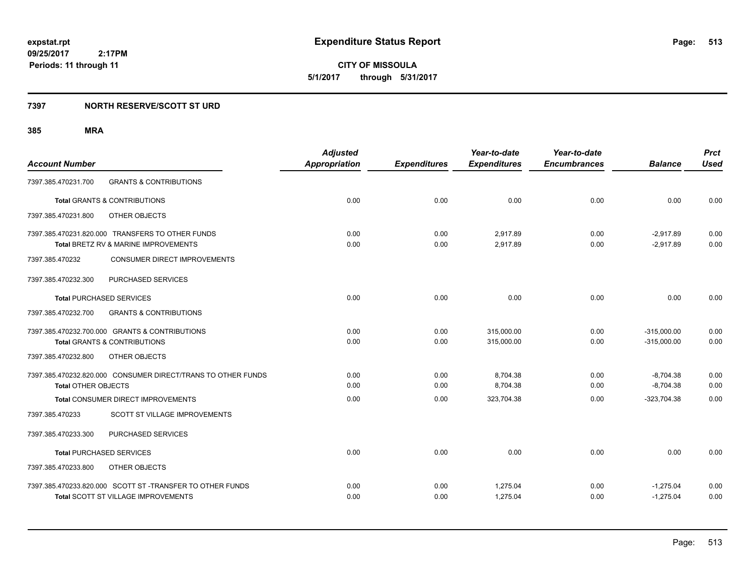**513**

**CITY OF MISSOULA 5/1/2017 through 5/31/2017**

### **7397 NORTH RESERVE/SCOTT ST URD**

| <b>Account Number</b>                                        | <b>Adjusted</b><br><b>Appropriation</b> | <b>Expenditures</b> | Year-to-date<br><b>Expenditures</b> | Year-to-date<br><b>Encumbrances</b> | <b>Balance</b> | <b>Prct</b><br><b>Used</b> |
|--------------------------------------------------------------|-----------------------------------------|---------------------|-------------------------------------|-------------------------------------|----------------|----------------------------|
|                                                              |                                         |                     |                                     |                                     |                |                            |
| 7397.385.470231.700<br><b>GRANTS &amp; CONTRIBUTIONS</b>     |                                         |                     |                                     |                                     |                |                            |
| <b>Total GRANTS &amp; CONTRIBUTIONS</b>                      | 0.00                                    | 0.00                | 0.00                                | 0.00                                | 0.00           | 0.00                       |
| OTHER OBJECTS<br>7397.385.470231.800                         |                                         |                     |                                     |                                     |                |                            |
| 7397.385.470231.820.000 TRANSFERS TO OTHER FUNDS             | 0.00                                    | 0.00                | 2,917.89                            | 0.00                                | $-2,917.89$    | 0.00                       |
| Total BRETZ RV & MARINE IMPROVEMENTS                         | 0.00                                    | 0.00                | 2,917.89                            | 0.00                                | $-2,917.89$    | 0.00                       |
| 7397.385.470232<br><b>CONSUMER DIRECT IMPROVEMENTS</b>       |                                         |                     |                                     |                                     |                |                            |
| PURCHASED SERVICES<br>7397.385.470232.300                    |                                         |                     |                                     |                                     |                |                            |
| <b>Total PURCHASED SERVICES</b>                              | 0.00                                    | 0.00                | 0.00                                | 0.00                                | 0.00           | 0.00                       |
| 7397.385.470232.700<br><b>GRANTS &amp; CONTRIBUTIONS</b>     |                                         |                     |                                     |                                     |                |                            |
| 7397.385.470232.700.000 GRANTS & CONTRIBUTIONS               | 0.00                                    | 0.00                | 315,000.00                          | 0.00                                | $-315,000.00$  | 0.00                       |
| <b>Total GRANTS &amp; CONTRIBUTIONS</b>                      | 0.00                                    | 0.00                | 315,000.00                          | 0.00                                | $-315,000.00$  | 0.00                       |
| 7397.385.470232.800<br>OTHER OBJECTS                         |                                         |                     |                                     |                                     |                |                            |
| 7397.385.470232.820.000 CONSUMER DIRECT/TRANS TO OTHER FUNDS | 0.00                                    | 0.00                | 8,704.38                            | 0.00                                | $-8,704.38$    | 0.00                       |
| <b>Total OTHER OBJECTS</b>                                   | 0.00                                    | 0.00                | 8,704.38                            | 0.00                                | $-8,704.38$    | 0.00                       |
| Total CONSUMER DIRECT IMPROVEMENTS                           | 0.00                                    | 0.00                | 323,704.38                          | 0.00                                | $-323,704.38$  | 0.00                       |
| 7397.385.470233<br>SCOTT ST VILLAGE IMPROVEMENTS             |                                         |                     |                                     |                                     |                |                            |
| PURCHASED SERVICES<br>7397.385.470233.300                    |                                         |                     |                                     |                                     |                |                            |
| <b>Total PURCHASED SERVICES</b>                              | 0.00                                    | 0.00                | 0.00                                | 0.00                                | 0.00           | 0.00                       |
| 7397.385.470233.800<br>OTHER OBJECTS                         |                                         |                     |                                     |                                     |                |                            |
| 7397.385.470233.820.000 SCOTT ST -TRANSFER TO OTHER FUNDS    | 0.00                                    | 0.00                | 1,275.04                            | 0.00                                | $-1,275.04$    | 0.00                       |
| <b>Total SCOTT ST VILLAGE IMPROVEMENTS</b>                   | 0.00                                    | 0.00                | 1,275.04                            | 0.00                                | $-1,275.04$    | 0.00                       |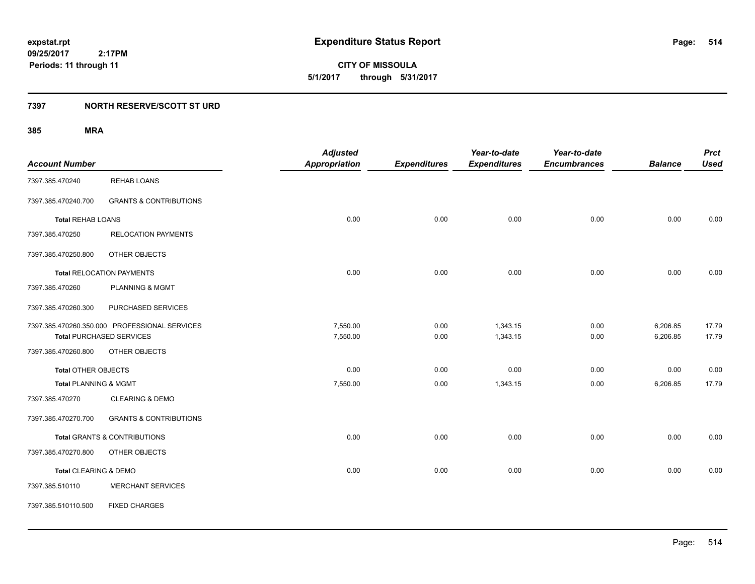**CITY OF MISSOULA 5/1/2017 through 5/31/2017**

### **7397 NORTH RESERVE/SCOTT ST URD**

|                            |                                               | <b>Adjusted</b>      |                     | Year-to-date        | Year-to-date        |                | <b>Prct</b> |
|----------------------------|-----------------------------------------------|----------------------|---------------------|---------------------|---------------------|----------------|-------------|
| <b>Account Number</b>      |                                               | <b>Appropriation</b> | <b>Expenditures</b> | <b>Expenditures</b> | <b>Encumbrances</b> | <b>Balance</b> | <b>Used</b> |
| 7397.385.470240            | <b>REHAB LOANS</b>                            |                      |                     |                     |                     |                |             |
| 7397.385.470240.700        | <b>GRANTS &amp; CONTRIBUTIONS</b>             |                      |                     |                     |                     |                |             |
| <b>Total REHAB LOANS</b>   |                                               | 0.00                 | 0.00                | 0.00                | 0.00                | 0.00           | 0.00        |
| 7397.385.470250            | <b>RELOCATION PAYMENTS</b>                    |                      |                     |                     |                     |                |             |
| 7397.385.470250.800        | OTHER OBJECTS                                 |                      |                     |                     |                     |                |             |
|                            | <b>Total RELOCATION PAYMENTS</b>              | 0.00                 | 0.00                | 0.00                | 0.00                | 0.00           | 0.00        |
| 7397.385.470260            | <b>PLANNING &amp; MGMT</b>                    |                      |                     |                     |                     |                |             |
| 7397.385.470260.300        | PURCHASED SERVICES                            |                      |                     |                     |                     |                |             |
|                            | 7397.385.470260.350.000 PROFESSIONAL SERVICES | 7,550.00             | 0.00                | 1,343.15            | 0.00                | 6,206.85       | 17.79       |
|                            | <b>Total PURCHASED SERVICES</b>               | 7,550.00             | 0.00                | 1,343.15            | 0.00                | 6,206.85       | 17.79       |
| 7397.385.470260.800        | OTHER OBJECTS                                 |                      |                     |                     |                     |                |             |
| <b>Total OTHER OBJECTS</b> |                                               | 0.00                 | 0.00                | 0.00                | 0.00                | 0.00           | 0.00        |
| Total PLANNING & MGMT      |                                               | 7,550.00             | 0.00                | 1,343.15            | 0.00                | 6,206.85       | 17.79       |
| 7397.385.470270            | <b>CLEARING &amp; DEMO</b>                    |                      |                     |                     |                     |                |             |
| 7397.385.470270.700        | <b>GRANTS &amp; CONTRIBUTIONS</b>             |                      |                     |                     |                     |                |             |
|                            | <b>Total GRANTS &amp; CONTRIBUTIONS</b>       | 0.00                 | 0.00                | 0.00                | 0.00                | 0.00           | 0.00        |
| 7397.385.470270.800        | OTHER OBJECTS                                 |                      |                     |                     |                     |                |             |
| Total CLEARING & DEMO      |                                               | 0.00                 | 0.00                | 0.00                | 0.00                | 0.00           | 0.00        |
| 7397.385.510110            | <b>MERCHANT SERVICES</b>                      |                      |                     |                     |                     |                |             |
| 7397.385.510110.500        | <b>FIXED CHARGES</b>                          |                      |                     |                     |                     |                |             |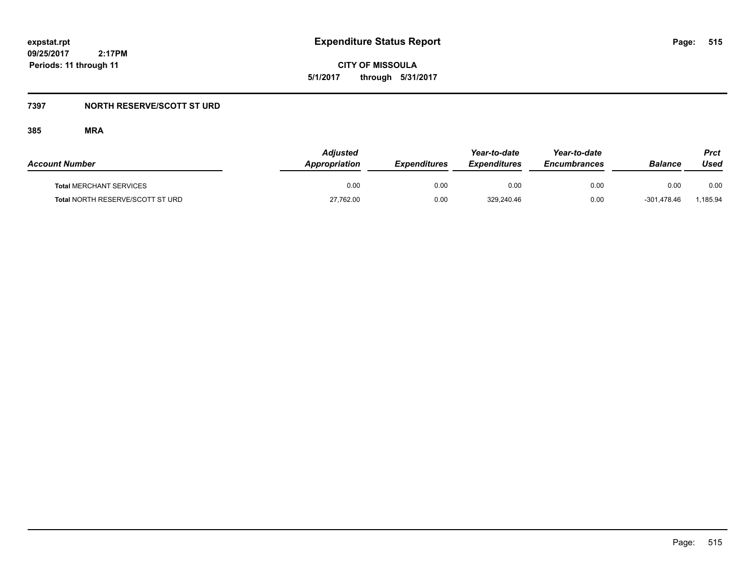**CITY OF MISSOULA 5/1/2017 through 5/31/2017**

### **7397 NORTH RESERVE/SCOTT ST URD**

| <b>Account Number</b>            | Adjusted<br>Appropriation | <b>Expenditures</b> | Year-to-date<br><b>Expenditures</b> | Year-to-date<br><b>Encumbrances</b> | <b>Balance</b> | Prct<br>Used |
|----------------------------------|---------------------------|---------------------|-------------------------------------|-------------------------------------|----------------|--------------|
| <b>Total MERCHANT SERVICES</b>   | 0.00                      | 0.00                | 0.00                                | 0.00                                | 0.00           | 0.00         |
| Total NORTH RESERVE/SCOTT ST URD | 27,762.00                 | 0.00                | 329.240.46                          | 0.00                                | $-301.478.46$  | 1,185.94     |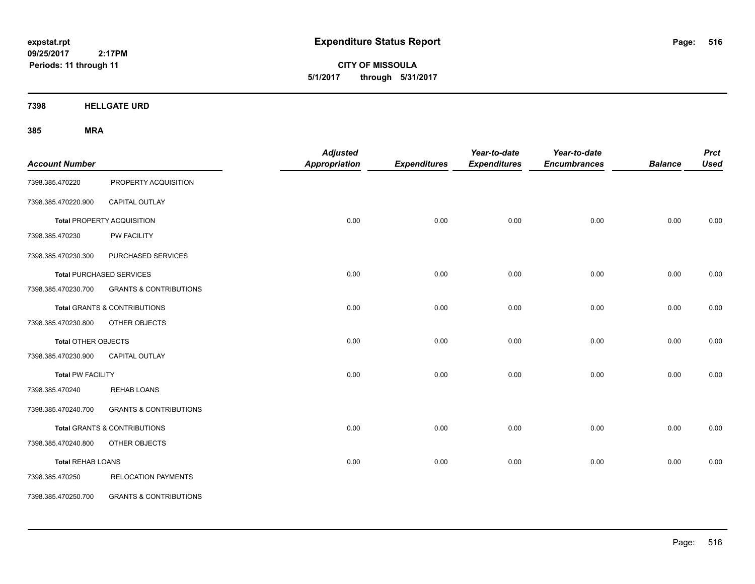**CITY OF MISSOULA 5/1/2017 through 5/31/2017**

**7398 HELLGATE URD**

| <b>Account Number</b>    |                                         | <b>Adjusted</b><br><b>Appropriation</b> | <b>Expenditures</b> | Year-to-date<br><b>Expenditures</b> | Year-to-date<br><b>Encumbrances</b> | <b>Balance</b> | <b>Prct</b><br><b>Used</b> |
|--------------------------|-----------------------------------------|-----------------------------------------|---------------------|-------------------------------------|-------------------------------------|----------------|----------------------------|
| 7398.385.470220          | PROPERTY ACQUISITION                    |                                         |                     |                                     |                                     |                |                            |
| 7398.385.470220.900      | CAPITAL OUTLAY                          |                                         |                     |                                     |                                     |                |                            |
|                          | <b>Total PROPERTY ACQUISITION</b>       | 0.00                                    | 0.00                | 0.00                                | 0.00                                | 0.00           | 0.00                       |
| 7398.385.470230          | <b>PW FACILITY</b>                      |                                         |                     |                                     |                                     |                |                            |
| 7398.385.470230.300      | PURCHASED SERVICES                      |                                         |                     |                                     |                                     |                |                            |
|                          | <b>Total PURCHASED SERVICES</b>         | 0.00                                    | 0.00                | 0.00                                | 0.00                                | 0.00           | 0.00                       |
| 7398.385.470230.700      | <b>GRANTS &amp; CONTRIBUTIONS</b>       |                                         |                     |                                     |                                     |                |                            |
|                          | <b>Total GRANTS &amp; CONTRIBUTIONS</b> | 0.00                                    | 0.00                | 0.00                                | 0.00                                | 0.00           | 0.00                       |
| 7398.385.470230.800      | OTHER OBJECTS                           |                                         |                     |                                     |                                     |                |                            |
| Total OTHER OBJECTS      |                                         | 0.00                                    | 0.00                | 0.00                                | 0.00                                | 0.00           | 0.00                       |
| 7398.385.470230.900      | CAPITAL OUTLAY                          |                                         |                     |                                     |                                     |                |                            |
| <b>Total PW FACILITY</b> |                                         | 0.00                                    | 0.00                | 0.00                                | 0.00                                | 0.00           | 0.00                       |
| 7398.385.470240          | <b>REHAB LOANS</b>                      |                                         |                     |                                     |                                     |                |                            |
| 7398.385.470240.700      | <b>GRANTS &amp; CONTRIBUTIONS</b>       |                                         |                     |                                     |                                     |                |                            |
|                          | Total GRANTS & CONTRIBUTIONS            | 0.00                                    | 0.00                | 0.00                                | 0.00                                | 0.00           | 0.00                       |
| 7398.385.470240.800      | OTHER OBJECTS                           |                                         |                     |                                     |                                     |                |                            |
| <b>Total REHAB LOANS</b> |                                         | 0.00                                    | 0.00                | 0.00                                | 0.00                                | 0.00           | 0.00                       |
| 7398.385.470250          | <b>RELOCATION PAYMENTS</b>              |                                         |                     |                                     |                                     |                |                            |
| 7398.385.470250.700      | <b>GRANTS &amp; CONTRIBUTIONS</b>       |                                         |                     |                                     |                                     |                |                            |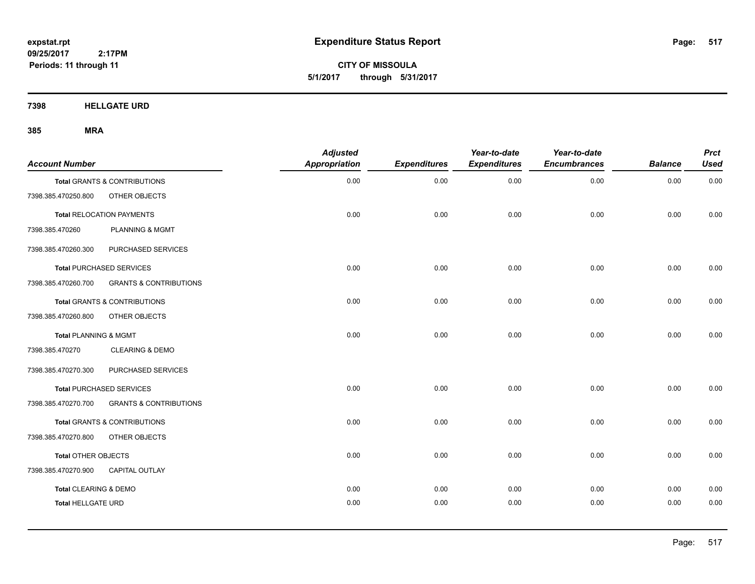**CITY OF MISSOULA 5/1/2017 through 5/31/2017**

**7398 HELLGATE URD**

| <b>Account Number</b>     |                                   | <b>Adjusted</b><br><b>Appropriation</b> | <b>Expenditures</b> | Year-to-date<br><b>Expenditures</b> | Year-to-date<br><b>Encumbrances</b> | <b>Balance</b> | <b>Prct</b><br><b>Used</b> |
|---------------------------|-----------------------------------|-----------------------------------------|---------------------|-------------------------------------|-------------------------------------|----------------|----------------------------|
|                           | Total GRANTS & CONTRIBUTIONS      | 0.00                                    | 0.00                | 0.00                                | 0.00                                | 0.00           | 0.00                       |
| 7398.385.470250.800       | OTHER OBJECTS                     |                                         |                     |                                     |                                     |                |                            |
|                           | <b>Total RELOCATION PAYMENTS</b>  | 0.00                                    | 0.00                | 0.00                                | 0.00                                | 0.00           | 0.00                       |
| 7398.385.470260           | PLANNING & MGMT                   |                                         |                     |                                     |                                     |                |                            |
| 7398.385.470260.300       | PURCHASED SERVICES                |                                         |                     |                                     |                                     |                |                            |
|                           | <b>Total PURCHASED SERVICES</b>   | 0.00                                    | 0.00                | 0.00                                | 0.00                                | 0.00           | 0.00                       |
| 7398.385.470260.700       | <b>GRANTS &amp; CONTRIBUTIONS</b> |                                         |                     |                                     |                                     |                |                            |
|                           | Total GRANTS & CONTRIBUTIONS      | 0.00                                    | 0.00                | 0.00                                | 0.00                                | 0.00           | 0.00                       |
| 7398.385.470260.800       | OTHER OBJECTS                     |                                         |                     |                                     |                                     |                |                            |
| Total PLANNING & MGMT     |                                   | 0.00                                    | 0.00                | 0.00                                | 0.00                                | 0.00           | 0.00                       |
| 7398.385.470270           | <b>CLEARING &amp; DEMO</b>        |                                         |                     |                                     |                                     |                |                            |
| 7398.385.470270.300       | PURCHASED SERVICES                |                                         |                     |                                     |                                     |                |                            |
|                           | <b>Total PURCHASED SERVICES</b>   | 0.00                                    | 0.00                | 0.00                                | 0.00                                | 0.00           | 0.00                       |
| 7398.385.470270.700       | <b>GRANTS &amp; CONTRIBUTIONS</b> |                                         |                     |                                     |                                     |                |                            |
|                           | Total GRANTS & CONTRIBUTIONS      | 0.00                                    | 0.00                | 0.00                                | 0.00                                | 0.00           | 0.00                       |
| 7398.385.470270.800       | OTHER OBJECTS                     |                                         |                     |                                     |                                     |                |                            |
| Total OTHER OBJECTS       |                                   | 0.00                                    | 0.00                | 0.00                                | 0.00                                | 0.00           | 0.00                       |
| 7398.385.470270.900       | CAPITAL OUTLAY                    |                                         |                     |                                     |                                     |                |                            |
| Total CLEARING & DEMO     |                                   | 0.00                                    | 0.00                | 0.00                                | 0.00                                | 0.00           | 0.00                       |
| <b>Total HELLGATE URD</b> |                                   | 0.00                                    | 0.00                | 0.00                                | 0.00                                | 0.00           | 0.00                       |
|                           |                                   |                                         |                     |                                     |                                     |                |                            |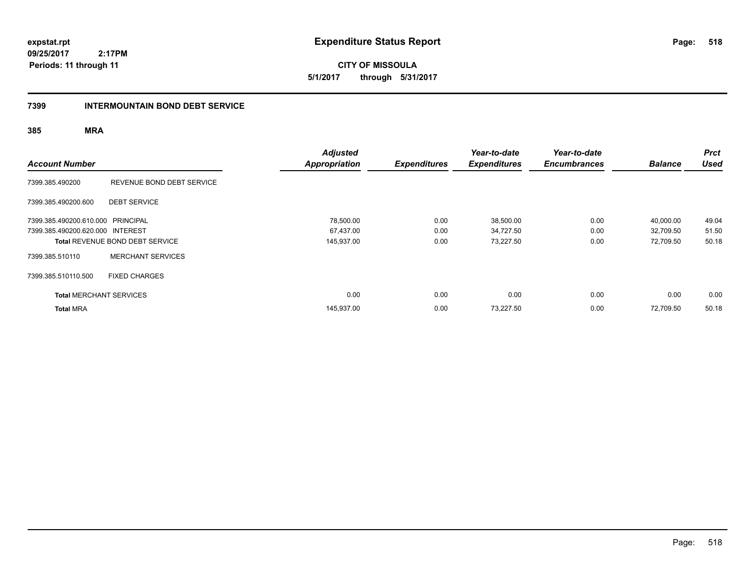**CITY OF MISSOULA 5/1/2017 through 5/31/2017**

### **7399 INTERMOUNTAIN BOND DEBT SERVICE**

| <b>Account Number</b>             |                                        | <b>Adjusted</b><br><b>Appropriation</b> | <b>Expenditures</b> | Year-to-date<br><b>Expenditures</b> | Year-to-date<br><b>Encumbrances</b> | <b>Balance</b> | <b>Prct</b><br><b>Used</b> |
|-----------------------------------|----------------------------------------|-----------------------------------------|---------------------|-------------------------------------|-------------------------------------|----------------|----------------------------|
| 7399.385.490200                   | REVENUE BOND DEBT SERVICE              |                                         |                     |                                     |                                     |                |                            |
| 7399.385.490200.600               | <b>DEBT SERVICE</b>                    |                                         |                     |                                     |                                     |                |                            |
| 7399.385.490200.610.000 PRINCIPAL |                                        | 78,500.00                               | 0.00                | 38,500.00                           | 0.00                                | 40,000.00      | 49.04                      |
| 7399.385.490200.620.000 INTEREST  |                                        | 67,437.00                               | 0.00                | 34,727.50                           | 0.00                                | 32,709.50      | 51.50                      |
|                                   | <b>Total REVENUE BOND DEBT SERVICE</b> | 145,937.00                              | 0.00                | 73,227.50                           | 0.00                                | 72,709.50      | 50.18                      |
| 7399.385.510110                   | <b>MERCHANT SERVICES</b>               |                                         |                     |                                     |                                     |                |                            |
| 7399.385.510110.500               | <b>FIXED CHARGES</b>                   |                                         |                     |                                     |                                     |                |                            |
| <b>Total MERCHANT SERVICES</b>    |                                        | 0.00                                    | 0.00                | 0.00                                | 0.00                                | 0.00           | 0.00                       |
| <b>Total MRA</b>                  |                                        | 145,937.00                              | 0.00                | 73,227.50                           | 0.00                                | 72,709.50      | 50.18                      |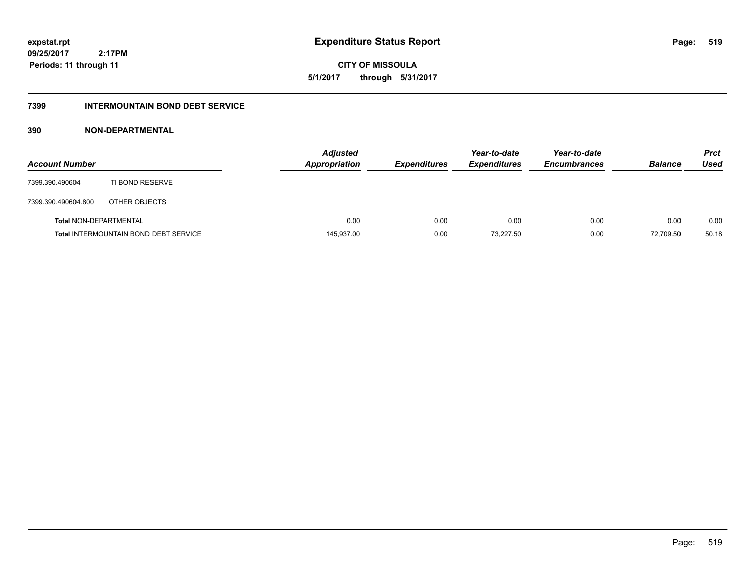**CITY OF MISSOULA 5/1/2017 through 5/31/2017**

### **7399 INTERMOUNTAIN BOND DEBT SERVICE**

### **390 NON-DEPARTMENTAL**

| <b>Account Number</b>         |                                              | <b>Adjusted</b><br><b>Appropriation</b> | <b>Expenditures</b> | Year-to-date<br><b>Expenditures</b> | Year-to-date<br><b>Encumbrances</b> | <b>Balance</b> | <b>Prct</b><br>Used |
|-------------------------------|----------------------------------------------|-----------------------------------------|---------------------|-------------------------------------|-------------------------------------|----------------|---------------------|
| 7399.390.490604               | TI BOND RESERVE                              |                                         |                     |                                     |                                     |                |                     |
| 7399.390.490604.800           | OTHER OBJECTS                                |                                         |                     |                                     |                                     |                |                     |
| <b>Total NON-DEPARTMENTAL</b> |                                              | 0.00                                    | 0.00                | 0.00                                | 0.00                                | 0.00           | 0.00                |
|                               | <b>Total INTERMOUNTAIN BOND DEBT SERVICE</b> | 145,937.00                              | 0.00                | 73,227.50                           | 0.00                                | 72,709.50      | 50.18               |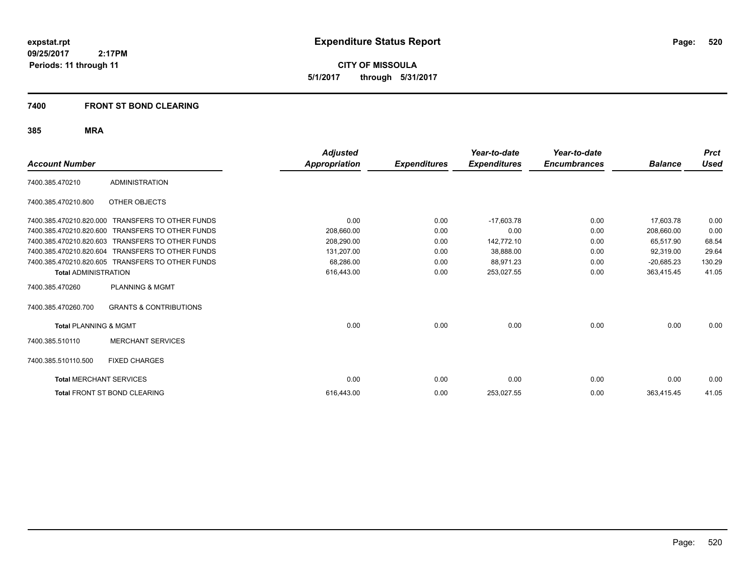**CITY OF MISSOULA 5/1/2017 through 5/31/2017**

### **7400 FRONT ST BOND CLEARING**

|                                  |                                                  | <b>Adjusted</b>      |                     | Year-to-date        | Year-to-date        |                | <b>Prct</b> |
|----------------------------------|--------------------------------------------------|----------------------|---------------------|---------------------|---------------------|----------------|-------------|
| <b>Account Number</b>            |                                                  | <b>Appropriation</b> | <b>Expenditures</b> | <b>Expenditures</b> | <b>Encumbrances</b> | <b>Balance</b> | Used        |
| 7400.385.470210                  | <b>ADMINISTRATION</b>                            |                      |                     |                     |                     |                |             |
| 7400.385.470210.800              | <b>OTHER OBJECTS</b>                             |                      |                     |                     |                     |                |             |
| 7400.385.470210.820.000          | <b>TRANSFERS TO OTHER FUNDS</b>                  | 0.00                 | 0.00                | $-17,603.78$        | 0.00                | 17.603.78      | 0.00        |
| 7400.385.470210.820.600          | <b>TRANSFERS TO OTHER FUNDS</b>                  | 208,660.00           | 0.00                | 0.00                | 0.00                | 208,660.00     | 0.00        |
| 7400.385.470210.820.603          | <b>TRANSFERS TO OTHER FUNDS</b>                  | 208.290.00           | 0.00                | 142.772.10          | 0.00                | 65,517.90      | 68.54       |
| 7400.385.470210.820.604          | <b>TRANSFERS TO OTHER FUNDS</b>                  | 131,207.00           | 0.00                | 38,888.00           | 0.00                | 92,319.00      | 29.64       |
|                                  | 7400.385.470210.820.605 TRANSFERS TO OTHER FUNDS | 68,286.00            | 0.00                | 88,971.23           | 0.00                | $-20,685.23$   | 130.29      |
| <b>Total ADMINISTRATION</b>      |                                                  | 616,443.00           | 0.00                | 253,027.55          | 0.00                | 363,415.45     | 41.05       |
| 7400.385.470260                  | <b>PLANNING &amp; MGMT</b>                       |                      |                     |                     |                     |                |             |
| 7400.385.470260.700              | <b>GRANTS &amp; CONTRIBUTIONS</b>                |                      |                     |                     |                     |                |             |
| <b>Total PLANNING &amp; MGMT</b> |                                                  | 0.00                 | 0.00                | 0.00                | 0.00                | 0.00           | 0.00        |
| 7400.385.510110                  | <b>MERCHANT SERVICES</b>                         |                      |                     |                     |                     |                |             |
| 7400.385.510110.500              | <b>FIXED CHARGES</b>                             |                      |                     |                     |                     |                |             |
| <b>Total MERCHANT SERVICES</b>   |                                                  | 0.00                 | 0.00                | 0.00                | 0.00                | 0.00           | 0.00        |
|                                  | <b>Total FRONT ST BOND CLEARING</b>              | 616,443.00           | 0.00                | 253,027.55          | 0.00                | 363,415.45     | 41.05       |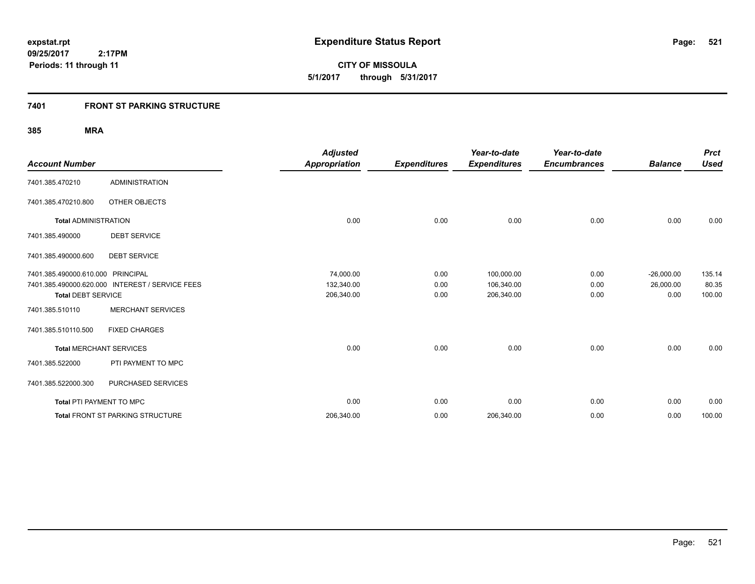**521**

**09/25/2017 2:17PM Periods: 11 through 11**

**CITY OF MISSOULA 5/1/2017 through 5/31/2017**

### **7401 FRONT ST PARKING STRUCTURE**

| <b>Account Number</b>           |                                                 | <b>Adjusted</b><br><b>Appropriation</b> | <b>Expenditures</b> | Year-to-date<br><b>Expenditures</b> | Year-to-date<br><b>Encumbrances</b> | <b>Balance</b> | <b>Prct</b><br><b>Used</b> |
|---------------------------------|-------------------------------------------------|-----------------------------------------|---------------------|-------------------------------------|-------------------------------------|----------------|----------------------------|
| 7401.385.470210                 | <b>ADMINISTRATION</b>                           |                                         |                     |                                     |                                     |                |                            |
| 7401.385.470210.800             | OTHER OBJECTS                                   |                                         |                     |                                     |                                     |                |                            |
| <b>Total ADMINISTRATION</b>     |                                                 | 0.00                                    | 0.00                | 0.00                                | 0.00                                | 0.00           | 0.00                       |
| 7401.385.490000                 | <b>DEBT SERVICE</b>                             |                                         |                     |                                     |                                     |                |                            |
| 7401.385.490000.600             | <b>DEBT SERVICE</b>                             |                                         |                     |                                     |                                     |                |                            |
| 7401.385.490000.610.000         | <b>PRINCIPAL</b>                                | 74,000.00                               | 0.00                | 100,000.00                          | 0.00                                | $-26,000.00$   | 135.14                     |
|                                 | 7401.385.490000.620.000 INTEREST / SERVICE FEES | 132,340.00                              | 0.00                | 106,340.00                          | 0.00                                | 26,000.00      | 80.35                      |
| <b>Total DEBT SERVICE</b>       |                                                 | 206,340.00                              | 0.00                | 206,340.00                          | 0.00                                | 0.00           | 100.00                     |
| 7401.385.510110                 | <b>MERCHANT SERVICES</b>                        |                                         |                     |                                     |                                     |                |                            |
| 7401.385.510110.500             | <b>FIXED CHARGES</b>                            |                                         |                     |                                     |                                     |                |                            |
| <b>Total MERCHANT SERVICES</b>  |                                                 | 0.00                                    | 0.00                | 0.00                                | 0.00                                | 0.00           | 0.00                       |
| 7401.385.522000                 | PTI PAYMENT TO MPC                              |                                         |                     |                                     |                                     |                |                            |
| 7401.385.522000.300             | PURCHASED SERVICES                              |                                         |                     |                                     |                                     |                |                            |
| <b>Total PTI PAYMENT TO MPC</b> |                                                 | 0.00                                    | 0.00                | 0.00                                | 0.00                                | 0.00           | 0.00                       |
|                                 | Total FRONT ST PARKING STRUCTURE                | 206,340.00                              | 0.00                | 206,340.00                          | 0.00                                | 0.00           | 100.00                     |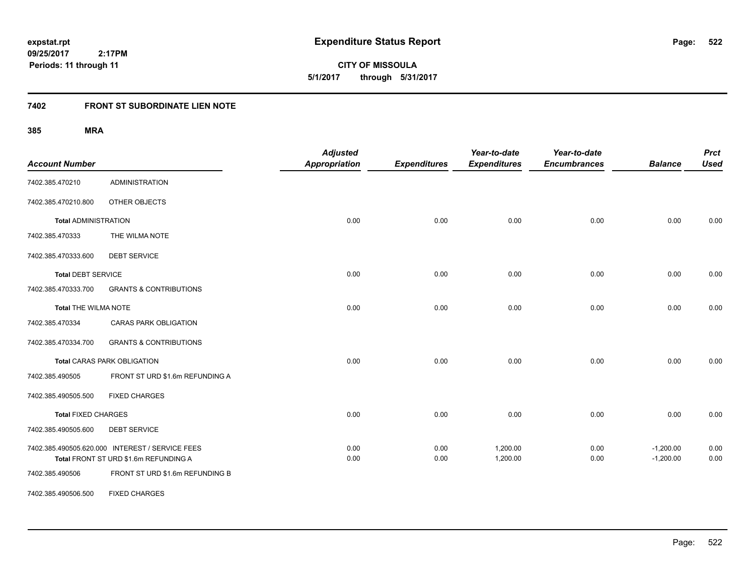**522**

**CITY OF MISSOULA 5/1/2017 through 5/31/2017**

# **7402 FRONT ST SUBORDINATE LIEN NOTE**

| <b>Account Number</b>       |                                                                                          | <b>Adjusted</b><br><b>Appropriation</b> | <b>Expenditures</b> | Year-to-date<br><b>Expenditures</b> | Year-to-date<br><b>Encumbrances</b> | <b>Balance</b>             | <b>Prct</b><br><b>Used</b> |
|-----------------------------|------------------------------------------------------------------------------------------|-----------------------------------------|---------------------|-------------------------------------|-------------------------------------|----------------------------|----------------------------|
| 7402.385.470210             | <b>ADMINISTRATION</b>                                                                    |                                         |                     |                                     |                                     |                            |                            |
| 7402.385.470210.800         | OTHER OBJECTS                                                                            |                                         |                     |                                     |                                     |                            |                            |
| <b>Total ADMINISTRATION</b> |                                                                                          | 0.00                                    | 0.00                | 0.00                                | 0.00                                | 0.00                       | 0.00                       |
| 7402.385.470333             | THE WILMA NOTE                                                                           |                                         |                     |                                     |                                     |                            |                            |
| 7402.385.470333.600         | <b>DEBT SERVICE</b>                                                                      |                                         |                     |                                     |                                     |                            |                            |
| <b>Total DEBT SERVICE</b>   |                                                                                          | 0.00                                    | 0.00                | 0.00                                | 0.00                                | 0.00                       | 0.00                       |
| 7402.385.470333.700         | <b>GRANTS &amp; CONTRIBUTIONS</b>                                                        |                                         |                     |                                     |                                     |                            |                            |
| <b>Total THE WILMA NOTE</b> |                                                                                          | 0.00                                    | 0.00                | 0.00                                | 0.00                                | 0.00                       | 0.00                       |
| 7402.385.470334             | CARAS PARK OBLIGATION                                                                    |                                         |                     |                                     |                                     |                            |                            |
| 7402.385.470334.700         | <b>GRANTS &amp; CONTRIBUTIONS</b>                                                        |                                         |                     |                                     |                                     |                            |                            |
|                             | <b>Total CARAS PARK OBLIGATION</b>                                                       | 0.00                                    | 0.00                | 0.00                                | 0.00                                | 0.00                       | 0.00                       |
| 7402.385.490505             | FRONT ST URD \$1.6m REFUNDING A                                                          |                                         |                     |                                     |                                     |                            |                            |
| 7402.385.490505.500         | <b>FIXED CHARGES</b>                                                                     |                                         |                     |                                     |                                     |                            |                            |
| <b>Total FIXED CHARGES</b>  |                                                                                          | 0.00                                    | 0.00                | 0.00                                | 0.00                                | 0.00                       | 0.00                       |
| 7402.385.490505.600         | <b>DEBT SERVICE</b>                                                                      |                                         |                     |                                     |                                     |                            |                            |
|                             | 7402.385.490505.620.000 INTEREST / SERVICE FEES<br>Total FRONT ST URD \$1.6m REFUNDING A | 0.00<br>0.00                            | 0.00<br>0.00        | 1,200.00<br>1,200.00                | 0.00<br>0.00                        | $-1,200.00$<br>$-1,200.00$ | 0.00<br>0.00               |
| 7402.385.490506             | FRONT ST URD \$1.6m REFUNDING B                                                          |                                         |                     |                                     |                                     |                            |                            |
| 7402.385.490506.500         | <b>FIXED CHARGES</b>                                                                     |                                         |                     |                                     |                                     |                            |                            |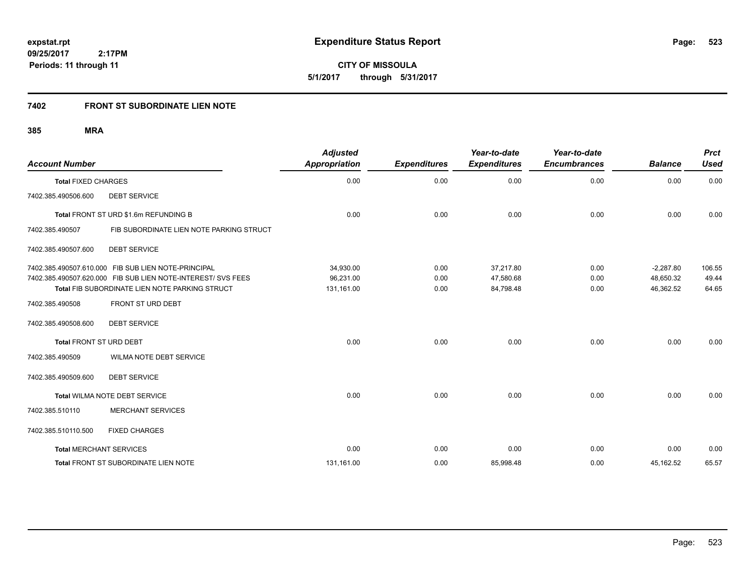**CITY OF MISSOULA 5/1/2017 through 5/31/2017**

# **7402 FRONT ST SUBORDINATE LIEN NOTE**

| <b>Account Number</b>          |                                                                                                                | <b>Adjusted</b><br><b>Appropriation</b> | <b>Expenditures</b> | Year-to-date<br><b>Expenditures</b> | Year-to-date<br><b>Encumbrances</b> | <b>Balance</b>         | <b>Prct</b><br><b>Used</b> |
|--------------------------------|----------------------------------------------------------------------------------------------------------------|-----------------------------------------|---------------------|-------------------------------------|-------------------------------------|------------------------|----------------------------|
| <b>Total FIXED CHARGES</b>     |                                                                                                                | 0.00                                    | 0.00                | 0.00                                | 0.00                                | 0.00                   | 0.00                       |
| 7402.385.490506.600            | <b>DEBT SERVICE</b>                                                                                            |                                         |                     |                                     |                                     |                        |                            |
|                                | Total FRONT ST URD \$1.6m REFUNDING B                                                                          | 0.00                                    | 0.00                | 0.00                                | 0.00                                | 0.00                   | 0.00                       |
| 7402.385.490507                | FIB SUBORDINATE LIEN NOTE PARKING STRUCT                                                                       |                                         |                     |                                     |                                     |                        |                            |
| 7402.385.490507.600            | <b>DEBT SERVICE</b>                                                                                            |                                         |                     |                                     |                                     |                        |                            |
|                                | 7402.385.490507.610.000 FIB SUB LIEN NOTE-PRINCIPAL                                                            | 34,930.00                               | 0.00                | 37,217.80                           | 0.00                                | $-2,287.80$            | 106.55                     |
|                                | 7402.385.490507.620.000 FIB SUB LIEN NOTE-INTEREST/ SVS FEES<br>Total FIB SUBORDINATE LIEN NOTE PARKING STRUCT | 96.231.00<br>131,161.00                 | 0.00<br>0.00        | 47.580.68<br>84,798.48              | 0.00<br>0.00                        | 48.650.32<br>46,362.52 | 49.44<br>64.65             |
| 7402.385.490508                | FRONT ST URD DEBT                                                                                              |                                         |                     |                                     |                                     |                        |                            |
| 7402.385.490508.600            | <b>DEBT SERVICE</b>                                                                                            |                                         |                     |                                     |                                     |                        |                            |
| <b>Total FRONT ST URD DEBT</b> |                                                                                                                | 0.00                                    | 0.00                | 0.00                                | 0.00                                | 0.00                   | 0.00                       |
| 7402.385.490509                | WILMA NOTE DEBT SERVICE                                                                                        |                                         |                     |                                     |                                     |                        |                            |
| 7402.385.490509.600            | <b>DEBT SERVICE</b>                                                                                            |                                         |                     |                                     |                                     |                        |                            |
|                                | Total WILMA NOTE DEBT SERVICE                                                                                  | 0.00                                    | 0.00                | 0.00                                | 0.00                                | 0.00                   | 0.00                       |
| 7402.385.510110                | <b>MERCHANT SERVICES</b>                                                                                       |                                         |                     |                                     |                                     |                        |                            |
| 7402.385.510110.500            | <b>FIXED CHARGES</b>                                                                                           |                                         |                     |                                     |                                     |                        |                            |
| <b>Total MERCHANT SERVICES</b> |                                                                                                                | 0.00                                    | 0.00                | 0.00                                | 0.00                                | 0.00                   | 0.00                       |
|                                | Total FRONT ST SUBORDINATE LIEN NOTE                                                                           | 131,161.00                              | 0.00                | 85,998.48                           | 0.00                                | 45,162.52              | 65.57                      |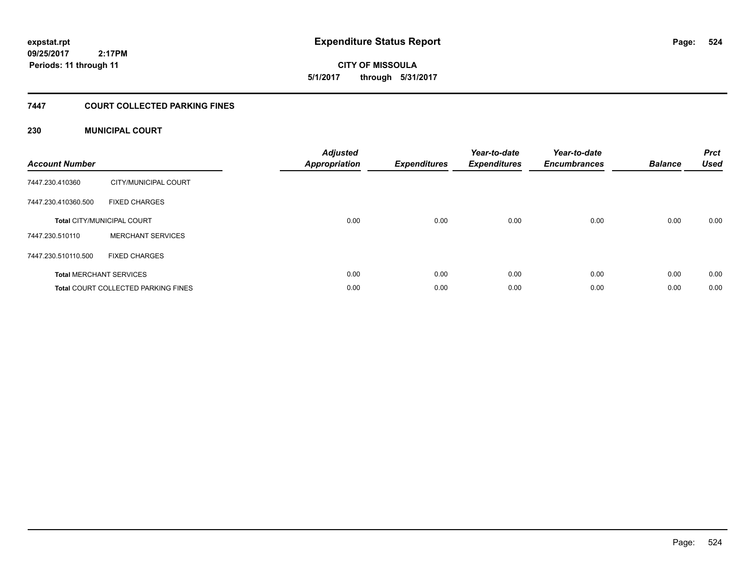**expstat.rpt Expenditure Status Report Page:**

**09/25/2017 2:17PM Periods: 11 through 11**

**CITY OF MISSOULA 5/1/2017 through 5/31/2017**

### **7447 COURT COLLECTED PARKING FINES**

### **230 MUNICIPAL COURT**

| <b>Account Number</b> |                                            | <b>Adjusted</b><br>Appropriation | <b>Expenditures</b> | Year-to-date<br><b>Expenditures</b> | Year-to-date<br><b>Encumbrances</b> | <b>Balance</b> | <b>Prct</b><br><b>Used</b> |
|-----------------------|--------------------------------------------|----------------------------------|---------------------|-------------------------------------|-------------------------------------|----------------|----------------------------|
| 7447.230.410360       | CITY/MUNICIPAL COURT                       |                                  |                     |                                     |                                     |                |                            |
| 7447.230.410360.500   | <b>FIXED CHARGES</b>                       |                                  |                     |                                     |                                     |                |                            |
|                       | <b>Total CITY/MUNICIPAL COURT</b>          | 0.00                             | 0.00                | 0.00                                | 0.00                                | 0.00           | 0.00                       |
| 7447.230.510110       | <b>MERCHANT SERVICES</b>                   |                                  |                     |                                     |                                     |                |                            |
| 7447.230.510110.500   | <b>FIXED CHARGES</b>                       |                                  |                     |                                     |                                     |                |                            |
|                       | <b>Total MERCHANT SERVICES</b>             | 0.00                             | 0.00                | 0.00                                | 0.00                                | 0.00           | 0.00                       |
|                       | <b>Total COURT COLLECTED PARKING FINES</b> | 0.00                             | 0.00                | 0.00                                | 0.00                                | 0.00           | 0.00                       |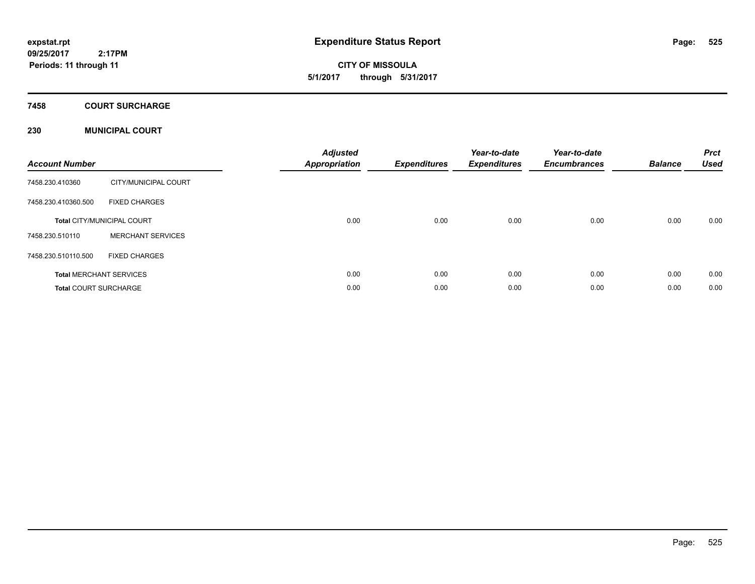**CITY OF MISSOULA 5/1/2017 through 5/31/2017**

### **7458 COURT SURCHARGE**

### **230 MUNICIPAL COURT**

| <b>Account Number</b>        |                                   | <b>Adjusted</b><br><b>Appropriation</b> | <b>Expenditures</b> | Year-to-date<br><b>Expenditures</b> | Year-to-date<br><b>Encumbrances</b> | <b>Balance</b> | <b>Prct</b><br><b>Used</b> |
|------------------------------|-----------------------------------|-----------------------------------------|---------------------|-------------------------------------|-------------------------------------|----------------|----------------------------|
| 7458.230.410360              | CITY/MUNICIPAL COURT              |                                         |                     |                                     |                                     |                |                            |
| 7458.230.410360.500          | <b>FIXED CHARGES</b>              |                                         |                     |                                     |                                     |                |                            |
|                              | <b>Total CITY/MUNICIPAL COURT</b> | 0.00                                    | 0.00                | 0.00                                | 0.00                                | 0.00           | 0.00                       |
| 7458.230.510110              | <b>MERCHANT SERVICES</b>          |                                         |                     |                                     |                                     |                |                            |
| 7458.230.510110.500          | <b>FIXED CHARGES</b>              |                                         |                     |                                     |                                     |                |                            |
|                              | <b>Total MERCHANT SERVICES</b>    | 0.00                                    | 0.00                | 0.00                                | 0.00                                | 0.00           | 0.00                       |
| <b>Total COURT SURCHARGE</b> |                                   | 0.00                                    | 0.00                | 0.00                                | 0.00                                | 0.00           | 0.00                       |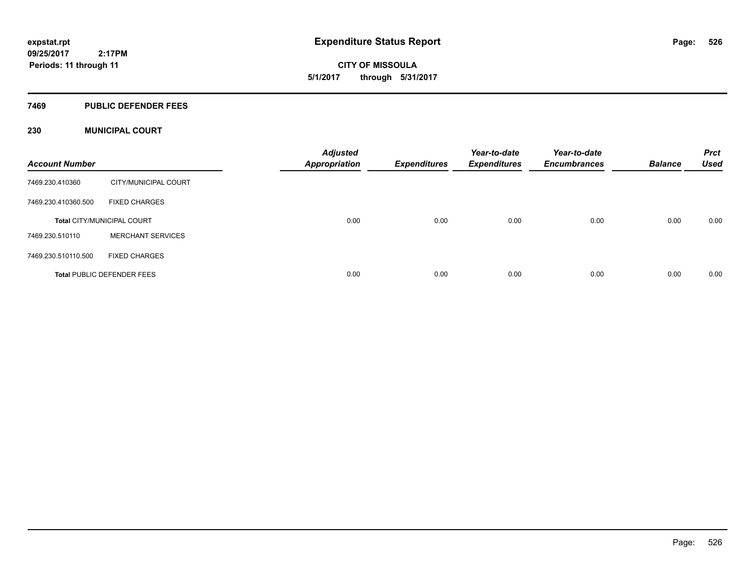**CITY OF MISSOULA 5/1/2017 through 5/31/2017**

### **7469 PUBLIC DEFENDER FEES**

### **230 MUNICIPAL COURT**

| <b>Account Number</b> |                                   | <b>Adjusted</b><br><b>Appropriation</b> | Expenditures | Year-to-date<br><b>Expenditures</b> | Year-to-date<br><b>Encumbrances</b> | <b>Balance</b> | <b>Prct</b><br><b>Used</b> |
|-----------------------|-----------------------------------|-----------------------------------------|--------------|-------------------------------------|-------------------------------------|----------------|----------------------------|
| 7469.230.410360       | CITY/MUNICIPAL COURT              |                                         |              |                                     |                                     |                |                            |
| 7469.230.410360.500   | <b>FIXED CHARGES</b>              |                                         |              |                                     |                                     |                |                            |
|                       | <b>Total CITY/MUNICIPAL COURT</b> | 0.00                                    | 0.00         | 0.00                                | 0.00                                | 0.00           | 0.00                       |
| 7469.230.510110       | <b>MERCHANT SERVICES</b>          |                                         |              |                                     |                                     |                |                            |
| 7469.230.510110.500   | <b>FIXED CHARGES</b>              |                                         |              |                                     |                                     |                |                            |
|                       | <b>Total PUBLIC DEFENDER FEES</b> | 0.00                                    | 0.00         | 0.00                                | 0.00                                | 0.00           | 0.00                       |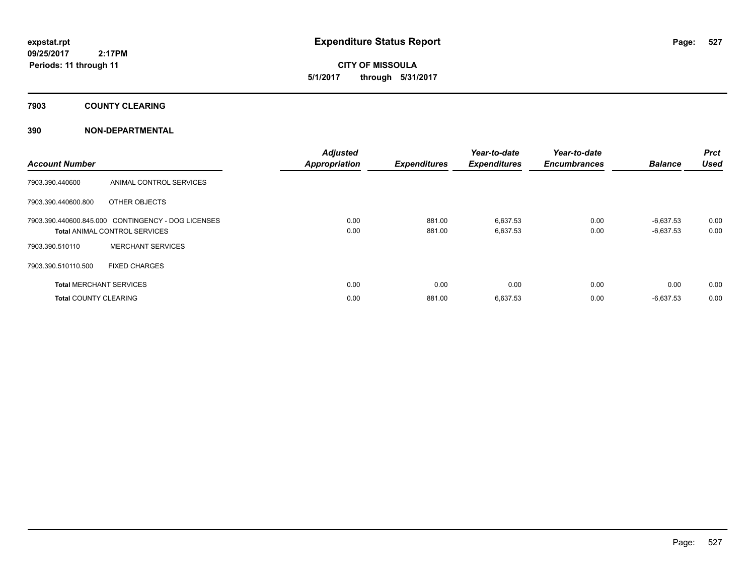**CITY OF MISSOULA 5/1/2017 through 5/31/2017**

**7903 COUNTY CLEARING**

### **390 NON-DEPARTMENTAL**

| <b>Account Number</b>        |                                                    | <b>Adjusted</b><br><b>Appropriation</b> | <b>Expenditures</b> | Year-to-date<br><b>Expenditures</b> | Year-to-date<br><b>Encumbrances</b> | <b>Balance</b> | <b>Prct</b><br><b>Used</b> |
|------------------------------|----------------------------------------------------|-----------------------------------------|---------------------|-------------------------------------|-------------------------------------|----------------|----------------------------|
| 7903.390.440600              | ANIMAL CONTROL SERVICES                            |                                         |                     |                                     |                                     |                |                            |
| 7903.390.440600.800          | OTHER OBJECTS                                      |                                         |                     |                                     |                                     |                |                            |
|                              | 7903.390.440600.845.000 CONTINGENCY - DOG LICENSES | 0.00                                    | 881.00              | 6,637.53                            | 0.00                                | $-6,637.53$    | 0.00                       |
|                              | <b>Total ANIMAL CONTROL SERVICES</b>               | 0.00                                    | 881.00              | 6,637.53                            | 0.00                                | $-6,637.53$    | 0.00                       |
| 7903.390.510110              | <b>MERCHANT SERVICES</b>                           |                                         |                     |                                     |                                     |                |                            |
| 7903.390.510110.500          | <b>FIXED CHARGES</b>                               |                                         |                     |                                     |                                     |                |                            |
|                              | <b>Total MERCHANT SERVICES</b>                     | 0.00                                    | 0.00                | 0.00                                | 0.00                                | 0.00           | 0.00                       |
| <b>Total COUNTY CLEARING</b> |                                                    | 0.00                                    | 881.00              | 6,637.53                            | 0.00                                | $-6,637.53$    | 0.00                       |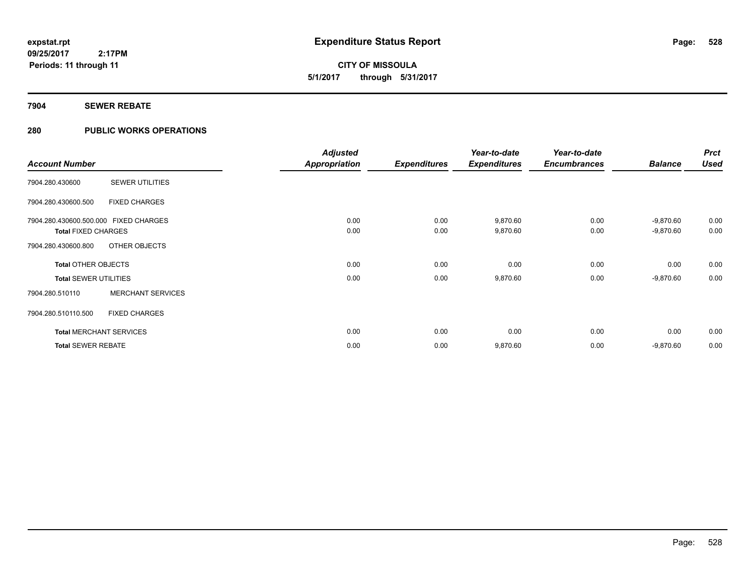**528**

**09/25/2017 2:17PM Periods: 11 through 11**

# **CITY OF MISSOULA 5/1/2017 through 5/31/2017**

### **7904 SEWER REBATE**

### **280 PUBLIC WORKS OPERATIONS**

|                                       |                          | <b>Adjusted</b>      |                                                                                                                                                                                                                                                                                                                                             | Year-to-date | Year-to-date |             | <b>Prct</b> |
|---------------------------------------|--------------------------|----------------------|---------------------------------------------------------------------------------------------------------------------------------------------------------------------------------------------------------------------------------------------------------------------------------------------------------------------------------------------|--------------|--------------|-------------|-------------|
| <b>Account Number</b>                 |                          | <b>Appropriation</b> | <b>Expenditures</b><br><b>Used</b><br><b>Expenditures</b><br><b>Balance</b><br><b>Encumbrances</b><br>0.00<br>0.00<br>9,870.60<br>0.00<br>$-9,870.60$<br>0.00<br>0.00<br>9,870.60<br>0.00<br>$-9,870.60$<br>0.00<br>0.00<br>0.00<br>0.00<br>0.00<br>0.00<br>0.00<br>9,870.60<br>0.00<br>$-9,870.60$<br>0.00<br>0.00<br>0.00<br>0.00<br>0.00 |              |              |             |             |
| 7904.280.430600                       | <b>SEWER UTILITIES</b>   |                      |                                                                                                                                                                                                                                                                                                                                             |              |              |             |             |
| 7904.280.430600.500                   | <b>FIXED CHARGES</b>     |                      |                                                                                                                                                                                                                                                                                                                                             |              |              |             |             |
| 7904.280.430600.500.000 FIXED CHARGES |                          |                      |                                                                                                                                                                                                                                                                                                                                             |              |              |             | 0.00        |
| <b>Total FIXED CHARGES</b>            |                          |                      |                                                                                                                                                                                                                                                                                                                                             |              |              |             | 0.00        |
| 7904.280.430600.800                   | OTHER OBJECTS            |                      |                                                                                                                                                                                                                                                                                                                                             |              |              |             |             |
| <b>Total OTHER OBJECTS</b>            |                          |                      |                                                                                                                                                                                                                                                                                                                                             |              |              |             | 0.00        |
| <b>Total SEWER UTILITIES</b>          |                          |                      |                                                                                                                                                                                                                                                                                                                                             |              |              |             | 0.00        |
| 7904.280.510110                       | <b>MERCHANT SERVICES</b> |                      |                                                                                                                                                                                                                                                                                                                                             |              |              |             |             |
| 7904.280.510110.500                   | <b>FIXED CHARGES</b>     |                      |                                                                                                                                                                                                                                                                                                                                             |              |              |             |             |
| <b>Total MERCHANT SERVICES</b>        |                          |                      |                                                                                                                                                                                                                                                                                                                                             |              |              |             | 0.00        |
| <b>Total SEWER REBATE</b>             |                          | 0.00                 | 0.00                                                                                                                                                                                                                                                                                                                                        | 9,870.60     | 0.00         | $-9,870.60$ | 0.00        |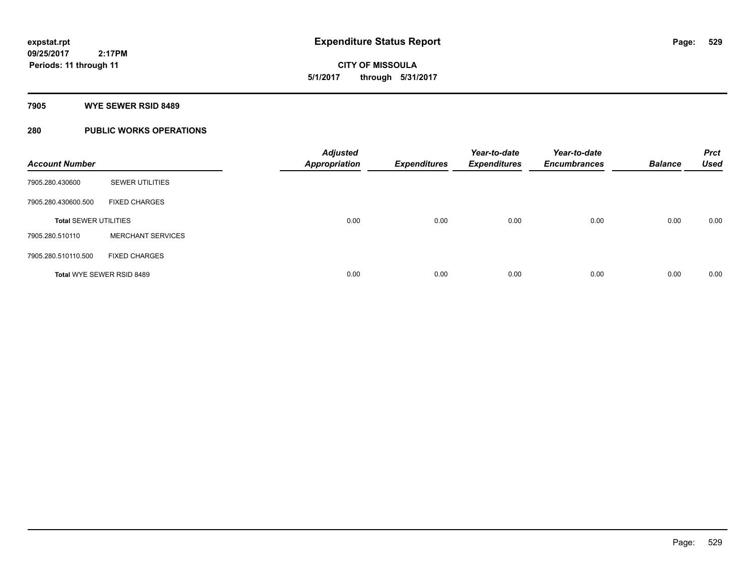# **CITY OF MISSOULA 5/1/2017 through 5/31/2017**

### **7905 WYE SEWER RSID 8489**

### **280 PUBLIC WORKS OPERATIONS**

| <b>Account Number</b>        |                          | <b>Adjusted</b><br><b>Appropriation</b> | <b>Expenditures</b> | Year-to-date<br><b>Expenditures</b> | Year-to-date<br><b>Encumbrances</b> | <b>Balance</b> | <b>Prct</b><br><b>Used</b> |
|------------------------------|--------------------------|-----------------------------------------|---------------------|-------------------------------------|-------------------------------------|----------------|----------------------------|
| 7905.280.430600              | <b>SEWER UTILITIES</b>   |                                         |                     |                                     |                                     |                |                            |
| 7905.280.430600.500          | <b>FIXED CHARGES</b>     |                                         |                     |                                     |                                     |                |                            |
| <b>Total SEWER UTILITIES</b> |                          | 0.00                                    | 0.00                | 0.00                                | 0.00                                | 0.00           | 0.00                       |
| 7905.280.510110              | <b>MERCHANT SERVICES</b> |                                         |                     |                                     |                                     |                |                            |
| 7905.280.510110.500          | <b>FIXED CHARGES</b>     |                                         |                     |                                     |                                     |                |                            |
| Total WYE SEWER RSID 8489    |                          | 0.00                                    | 0.00                | 0.00                                | 0.00                                | 0.00           | 0.00                       |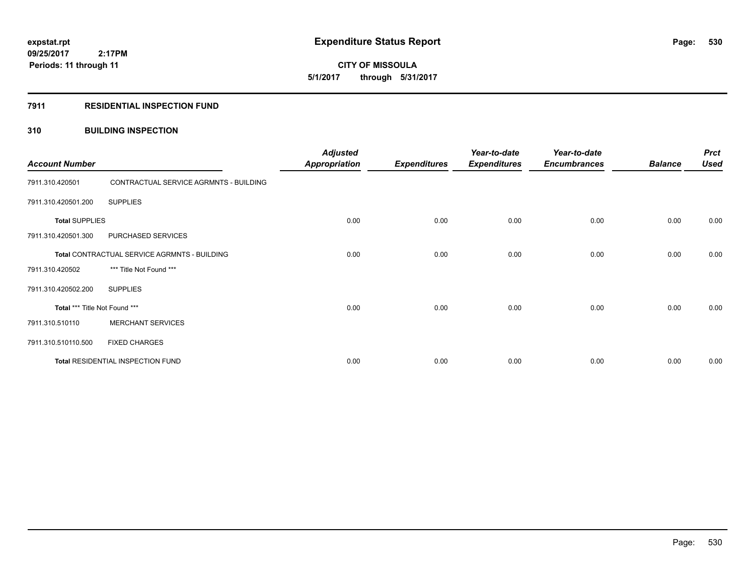# **CITY OF MISSOULA 5/1/2017 through 5/31/2017**

### **7911 RESIDENTIAL INSPECTION FUND**

### **310 BUILDING INSPECTION**

| <b>Account Number</b>                        |                                        | <b>Adjusted</b><br><b>Appropriation</b> | <b>Expenditures</b> | Year-to-date<br><b>Expenditures</b> | Year-to-date<br><b>Encumbrances</b> | <b>Balance</b> | <b>Prct</b><br><b>Used</b> |
|----------------------------------------------|----------------------------------------|-----------------------------------------|---------------------|-------------------------------------|-------------------------------------|----------------|----------------------------|
| 7911.310.420501                              | CONTRACTUAL SERVICE AGRMNTS - BUILDING |                                         |                     |                                     |                                     |                |                            |
| 7911.310.420501.200                          | <b>SUPPLIES</b>                        |                                         |                     |                                     |                                     |                |                            |
| <b>Total SUPPLIES</b>                        |                                        | 0.00                                    | 0.00                | 0.00                                | 0.00                                | 0.00           | 0.00                       |
| 7911.310.420501.300                          | PURCHASED SERVICES                     |                                         |                     |                                     |                                     |                |                            |
| Total CONTRACTUAL SERVICE AGRMNTS - BUILDING |                                        | 0.00                                    | 0.00                | 0.00                                | 0.00                                | 0.00           | 0.00                       |
| 7911.310.420502                              | *** Title Not Found ***                |                                         |                     |                                     |                                     |                |                            |
| 7911.310.420502.200                          | <b>SUPPLIES</b>                        |                                         |                     |                                     |                                     |                |                            |
| Total *** Title Not Found ***                |                                        | 0.00                                    | 0.00                | 0.00                                | 0.00                                | 0.00           | 0.00                       |
| 7911.310.510110                              | <b>MERCHANT SERVICES</b>               |                                         |                     |                                     |                                     |                |                            |
| 7911.310.510110.500                          | <b>FIXED CHARGES</b>                   |                                         |                     |                                     |                                     |                |                            |
| Total RESIDENTIAL INSPECTION FUND            |                                        | 0.00                                    | 0.00                | 0.00                                | 0.00                                | 0.00           | 0.00                       |